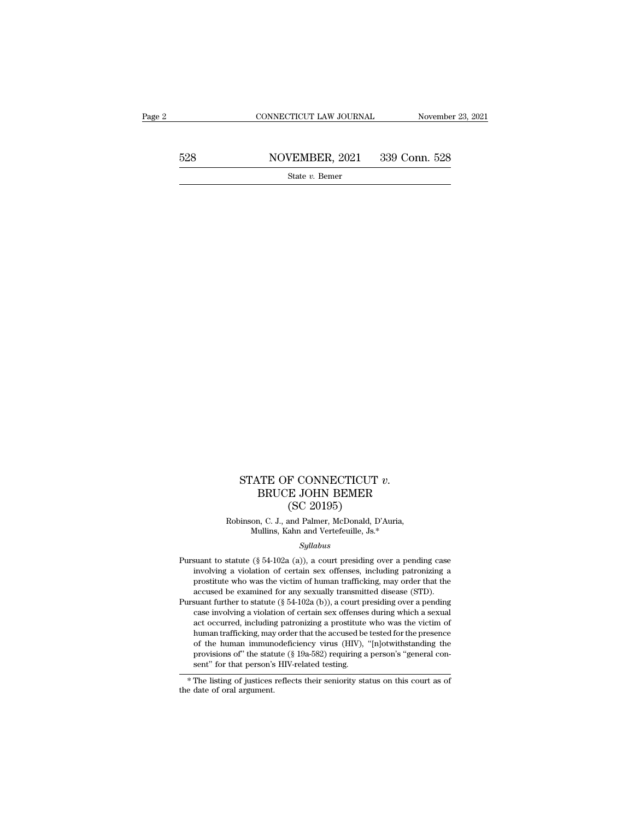|     | CONNECTICUT LAW JOURNAL | November 23, 2021 |
|-----|-------------------------|-------------------|
| 528 | NOVEMBER, 2021          | 339 Conn. 528     |
|     | State $v$ . Bemer       |                   |

### STATE OF CONNECTICUT *v*.<br>BRUCE JOHN BEMER<br>(SC 20195)<br>into G J, and Pelma MeRandi Pilitics F CONNECTICUT<br>E JOHN BEMER<br>(SC 20195)<br>and Palmer, McDonald, D'<br>ahn and Vertefeuille. Js.\* STATE OF CONNECTICUT  $v$ .<br>BRUCE JOHN BEMER<br>(SC 20195)<br>Robinson, C. J., and Palmer, McDonald, D'Auria,<br>Mullins, Kahn and Vertefeuille, Js.\* ATE OF CONNECTICUT  $v$ .<br>BRUCE JOHN BEMER<br>(SC 20195)<br>on, C. J., and Palmer, McDonald, D'Auria,<br>Mullins, Kahn and Vertefeuille, Js.\*<br>Syllabus

### *Syllabus*

- (SC 20195)<br>
Robinson, C. J., and Palmer, McDonald, D'Auria,<br>
Mullins, Kahn and Vertefeuille, Js.\*<br> *Syllabus*<br>
Pursuant to statute (§ 54-102a (a)), a court presiding over a pending case<br>
involving a violation of certain s Franchiller, C. J., and Palmer, McDonald, D'Auria,<br>Mullins, Kahn and Vertefeuille, Js.\*<br>Syllabus<br>suant to statute (§ 54-102a (a)), a court presiding over a pending case<br>involving a violation of certain sex offenses, inclu Robinson, C. J., and Palmer, McDonald, D'Auria,<br>Mullins, Kahn and Vertefeuille, Js.\*<br>Syllabus<br>suant to statute (§ 54-102a (a)), a court presiding over a pending case<br>involving a violation of certain sex offenses, including Mullins, Kahn and Vertefeuille, Js.\*<br>Syllabus<br>suant to statute (§ 54-102a (a)), a court presiding over a pending case<br>involving a violation of certain sex offenses, including patronizing a<br>prostitute who was the victim of *Syllabus*<br> *Syllabus*<br>
Pursuant to statute (§ 54-102a (a)), a court presiding over a pending case<br>
involving a violation of certain sex offenses, including patronizing a<br>
prostitute who was the victim of human traffickin suant to statute (§ 54-102a (a)), a court presiding over a pending case<br>involving a violation of certain sex offenses, including patronizing a<br>prostitute who was the victim of human trafficking, may order that the<br>accused
- suant to statute ( $\frac{1}{8}$  34-102a ( $\frac{1}{4}$ )), a court pressum gover a pentung case involving a violation of certain sex offenses, including patronizing a prostitute who was the victim of human trafficking, may order t mvolving a violation of certain sex offenses, including patronizing a prostitute who was the victim of human trafficking, may order that the accused be examined for any sexually transmitted disease (STD). Suant further to prosultule who was the victim of numan trafficking, may order that the accused be examined for any sexually transmitted disease (STD).<br>suant further to statute (§ 54-102a (b)), a court presiding over a pending<br>case involvi accused be examined for any sexually transmitted disease (STD).<br>suant further to statute (§ 54-102a (b)), a court presiding over a pending<br>case involving a violation of certain sex offenses during which a sexual<br>act occurr stant further to statute ( $\frac{1}{3}$  of -102a (0)), a court pressum over a pentung<br>case involving a violation of certain sex offenses during which a sexual<br>act occurred, including patronizing a prostitute who was the victi human trafficking, may<br>of the human immune<br>provisions of" the statt<br>sent" for that person's<br>\*The listing of justices<br>the date of oral argument.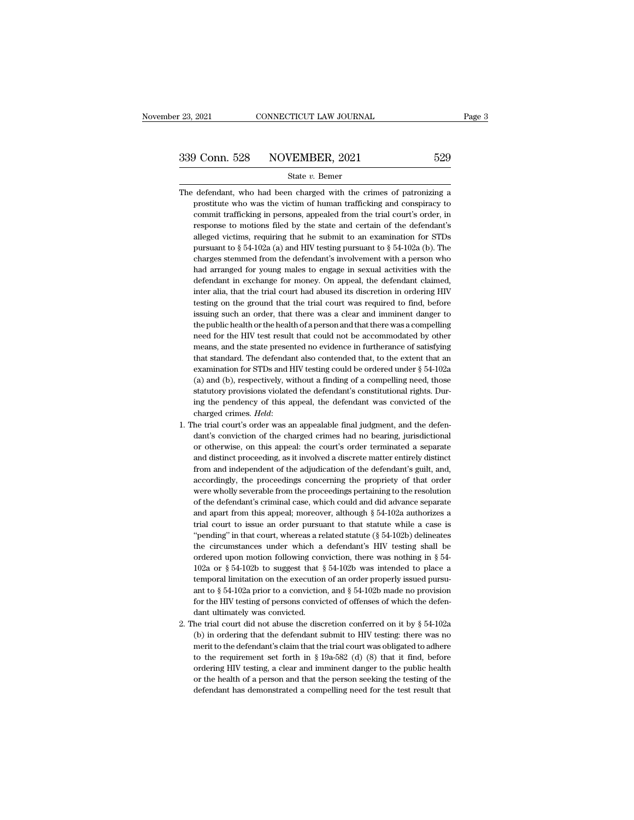- $\begin{array}{r} \n 339 \text{ Conn. } 528 \quad \text{NOVEMBER, } 2021 \quad \text{529} \\
 \hline \n \text{State } v. \text{ Bemer} \n \end{array}$ The defendant, who had been charged with the crimes of patronizing a prostitute who was the victim of human trafficking and conspiracy to provember 1628 MOVEMBER, 2021 529<br>
State v. Bemer<br>
defendant, who had been charged with the crimes of patronizing a<br>
prostitute who was the victim of human trafficking and conspiracy to<br>
commit trafficking in persons, appe Commit trafficking in persons, appealed from the trial court's order, in the trial court's order, in persons, appealed from the trial court's order, in response to motions filed by the state and certain of the defendant's State v. Bemer<br>defendant, who had been charged with the crimes of patronizing a<br>prostitute who was the victim of human trafficking and conspiracy to<br>commit trafficking in persons, appealed from the trial court's order, in<br> State v. Bemer<br>defendant, who had been charged with the crimes of patronizing a<br>prostitute who was the victim of human trafficking and conspiracy to<br>commit trafficking in persons, appealed from the trial court's order, in defendant, who had been charged with the crimes of patronizing a prostitute who was the victim of human trafficking and conspiracy to commit trafficking in persons, appealed from the trial court's order, in response to mo prostitute who was the victim of human trafficking and conspiracy to commit trafficking in persons, appealed from the trial court's order, in response to motions filed by the state and certain of the defendant's alleged v commit trafficking in persons, appealed from the trial court's order, in response to motions filed by the state and certain of the defendant's alleged victims, requiring that he submit to an examination for STDs pursuant response to motions filed by the state and certain of the defendant's alleged victims, requiring that he submit to an examination for STDs pursuant to  $\S 54-102a$  (a) and HIV testing pursuant to  $\S 54-102a$  (b). The charg alleged victims, requiring that he submit to an examination for STDs<br>pursuant to  $\S$  54-102a (a) and HIV testing pursuant to  $\S$  54-102a (b). The<br>charges stemmed from the defendant's involvement with a person who<br>had arra pursuant to  $\S$  54-102a (a) and HIV testing pursuant to  $\S$  54-102a (b). The charges stemmed from the defendant's involvement with a person who had arranged for young males to engage in sexual activities with the defendan charges stemmed from the defendant's involvement with a person who had arranged for young males to engage in sexual activities with the defendant in exchange for money. On appeal, the defendant claimed, inter alia, that th had arranged for young males to engage in sexual activities with the defendant in exchange for money. On appeal, the defendant claimed, inter alia, that the trial court had abused its discretion in ordering HIV testing on had arranged for young males to engage in sexual activities with the defendant in exchange for money. On appeal, the defendant claimed, inter alia, that the trial court had abused its discretion in ordering HIV testing on inter alia, that the trial court had abused its discretion in ordering HIV testing on the ground that the trial court was required to find, before issuing such an order, that there was a clear and imminent danger to the pu testing on the ground that the trial court was required to find, before issuing such an order, that there was a clear and imminent danger to the public health or the health of a person and that there was a compelling need issuing such an order, that there was a clear and imminent danger to<br>the public health or the health of a person and that there was a compelling<br>need for the HIV test result that could not be accommodated by other<br>means, the public health or the health of a person and that there was a compelling<br>need for the HIV test result that could not be accommodated by other<br>means, and the state presented no evidence in furtherance of satisfying<br>that need for the HIV test result that could not be accommodated by other means, and the state presented no evidence in furtherance of satisfying that standard. The defendant also contended that, to the extent that an examinat means, and the state presented no evidence in furtherance of satisfying<br>that standard. The defendant also contended that, to the extent that an<br>examination for STDs and HIV testing could be ordered under  $\S$  54-102a<br>(a) a that standard. The defendant also contended that, to the extent that an examination for STDs and HIV testing could be ordered under  $\S$  54-102a (a) and (b), respectively, without a finding of a compelling need, those stat (a) and (b), respectively, without a finding of a compelling need, those statutory provisions violated the defendant's constitutional rights. During the pendency of this appeal, the defendant was convicted of the charged
- statutory provisions violated the defendant's constitutional rights. During the pendency of this appeal, the defendant was convicted of the charged crimes. *Held*:<br>he trial court's order was an appealable final judgment, a ing the pendency of this appeal, the defendant was convicted of the charged crimes. *Held*:<br>he trial court's order was an appealable final judgment, and the defen-<br>dant's conviction of the charged crimes had no bearing, ju charged crimes. *Held*:<br>he trial court's order was an appealable final judgment, and the defen-<br>dant's conviction of the charged crimes had no bearing, jurisdictional<br>or otherwise, on this appeal: the court's order termina he trial court's order was an appealable final judgment, and the defendant's conviction of the charged crimes had no bearing, jurisdictional or otherwise, on this appeal: the court's order terminated a separate and distinc dant's conviction of the charged crimes had no bearing, jurisdictional<br>or otherwise, on this appeal: the court's order terminated a separate<br>and distinct proceeding, as it involved a discrete matter entirely distinct<br>from or otherwise, on this appeal: the court's order terminated a separate and distinct proceeding, as it involved a discrete matter entirely distinct from and independent of the adjudication of the defendant's guilt, and, acco and distinct proceeding, as it involved a discrete matter entirely distinct<br>from and independent of the adjudication of the defendant's guilt, and,<br>accordingly, the proceedings concerning the propriety of that order<br>were from and independent of the adjudication of the defendant's guilt, and, accordingly, the proceedings concerning the propriety of that order were wholly severable from the proceedings pertaining to the resolution of the de accordingly, the proceedings concerning the propriety of that order<br>were wholly severable from the proceedings pertaining to the resolution<br>of the defendant's criminal case, which could and did advance separate<br>and apart were wholly severable from the proceedings pertaining to the resolution<br>of the defendant's criminal case, which could and did advance separate<br>and apart from this appeal; moreover, although  $\S$  54-102a authorizes a<br>trial of the defendant's criminal case, which could and did advance separate and apart from this appeal; moreover, although  $\S$  54-102a authorizes a trial court to issue an order pursuant to that statute while a case is "pendin and apart from this appeal; moreover, although § 54-102a authorizes a<br>trial court to issue an order pursuant to that statute while a case is<br>"pending" in that court, whereas a related statute (§ 54-102b) delineates<br>the ci trial court to issue an order pursuant to that statute while a case is<br>"pending" in that court, whereas a related statute (§ 54-102b) delineates<br>the circumstances under which a defendant's HIV testing shall be<br>ordered upo "pending" in that court, whereas a related statute (§ 54-102b) delineates<br>the circumstances under which a defendant's HIV testing shall be<br>ordered upon motion following conviction, there was nothing in § 54-<br>102a or § 54-"pending" in that court, whereas a related statute (§ 54-102b) delineates<br>the circumstances under which a defendant's HIV testing shall be<br>ordered upon motion following conviction, there was nothing in § 54-<br>102a or § 54ordered upon motion following conviction, there was nothing in § 54-102a or § 54-102b to suggest that § 54-102b was intended to place a temporal limitation on the execution of an order properly issued pursuant to § 54-102 102a or § 54-102b to suggest that § 54-102b was intended to place a temporal limitation on the execution of an order properly issued pursuant to § 54-102a prior to a conviction, and § 54-102b made no provision for the HIV temporal limitation on the execution of an order properly issued pursu-<br>ant to § 54-102a prior to a conviction, and § 54-102b made no provision<br>for the HIV testing of persons convicted of offenses of which the defen-<br>dant
- ant to § 54-102a prior to a conviction, and § 54-102b made no provision<br>for the HIV testing of persons convicted of offenses of which the defendant<br>ultimately was convicted.<br>he trial court did not abuse the discretion con for the HIV testing of persons convicted of offenses of which the defendant ultimately was convicted.<br>he trial court did not abuse the discretion conferred on it by  $\S 54-102a$ <br>(b) in ordering that the defendant submit to dant ultimately was convicted.<br>
he trial court did not abuse the discretion conferred on it by § 54-102a<br>
(b) in ordering that the defendant submit to HIV testing: there was no<br>
merit to the defendant's claim that the tri he trial court did not abuse the discretion conferred on it by  $\S$  54-102a<br>(b) in ordering that the defendant submit to HIV testing: there was no<br>merit to the defendant's claim that the trial court was obligated to adhere (b) in ordering that the defendant submit to HIV testing: there was no<br>merit to the defendant's claim that the trial court was obligated to adhere<br>to the requirement set forth in § 19a-582 (d) (8) that it find, before<br>ord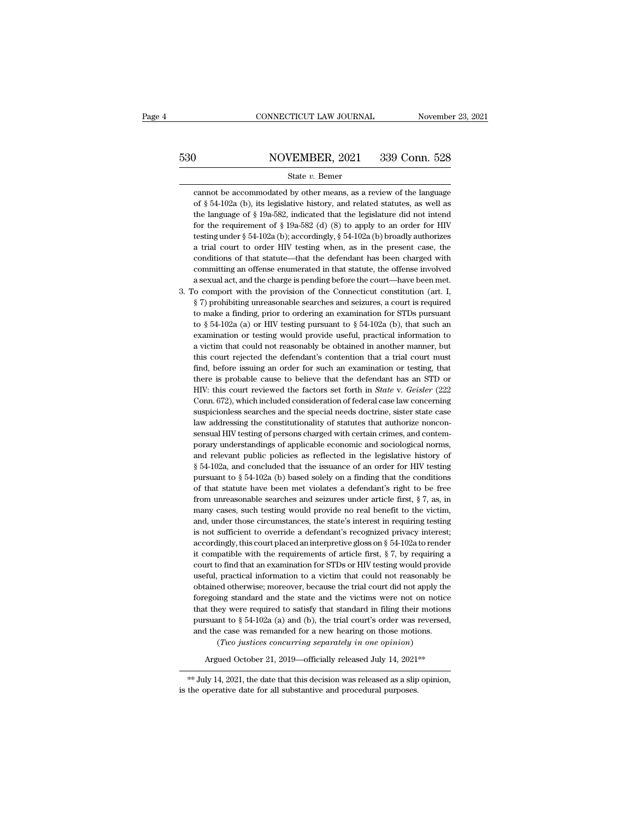# EXECUTE CONNECTICUT LAW JOURNAL Movember 23, 2021<br>530 NOVEMBER, 2021 339 Conn. 528<br>530 State v. Bemer

### State *v.* Bemer

NOVEMBER, 2021 339 Conn. 528<br>State v. Bemer<br>cannot be accommodated by other means, as a review of the language<br>of § 54-102a (b), its legislative history, and related statutes, as well as NOVEMBER, 2021 339 Conn. 528<br>
State v. Bemer<br>
cannot be accommodated by other means, as a review of the language<br>
of § 54-102a (b), its legislative history, and related statutes, as well as<br>
the language of § 19a-582, indi NOVEMBER, 2021 339 Conn. 528<br>
State v. Bemer<br>
cannot be accommodated by other means, as a review of the language<br>
of § 54-102a (b), its legislative history, and related statutes, as well as<br>
the language of § 19a-582, indi State v. Bemer<br>cannot be accommodated by other means, as a review of the language<br>of § 54-102a (b), its legislative history, and related statutes, as well as<br>the language of § 19a-582, indicated that the legislature did n State v. Bemer<br>cannot be accommodated by other means, as a review of the language<br>of § 54-102a (b), its legislative history, and related statutes, as well as<br>the language of § 19a-582, indicated that the legislature did n cannot be accommodated by other means, as a review of the language<br>of  $\S 54-102a$  (b), its legislative history, and related statutes, as well as<br>the language of  $\S 19a-582$ , indicated that the legislature did not intend<br>f of  $\S$  54-102a (b), its legislative history, and related statutes, as well as<br>the language of  $\S$  19a-582, indicated that the legislature did not intend<br>for the requirement of  $\S$  19a-582 (d) (8) to apply to an order for the language of § 19a-582, indicated that the legislature did not intend<br>for the requirement of § 19a-582 (d) (8) to apply to an order for HIV<br>testing under § 54-102a (b); accordingly, § 54-102a (b) broadly authorizes<br>a t for the requirement of  $\S$  19a-582 (d) (8) to apply to an order for HIV testing under  $\S$  54-102a (b); accordingly,  $\S$  54-102a (b) broadly authorizes a trial court to order HIV testing when, as in the present case, the c testing under § 54-102a (b); accordingly, § 54-102a (b) broadly authorizes a trial court to order HIV testing when, as in the present case, the conditions of that statute—that the defendant has been charged with committin a trial court to order HIV testing when, as in the present case, the conditions of that statute—that the defendant has been charged with committing an offense enumerated in that statute, the offense involved a sexual act, conditions of that statute—that the defendant has been charged with committing an offense enumerated in that statute, the offense involved a sexual act, and the charge is pending before the court—have been met.<br>
to compor committing an offense enumerated in that statute, the offense involved<br>a sexual act, and the charge is pending before the court—have been met.<br>o comport with the provision of the Connecticut constitution (art. I,<br> $\S 7$ ) p a sexual act, and the charge is pending before the court—have been met.<br>
o comport with the provision of the Connecticut constitution (art. I,<br>
§ 7) prohibiting unreasonable searches and seizures, a court is required<br>
to be comport with the provision of the Connecticut constitution (art. I,  $\S 7$ ) prohibiting unreasonable searches and seizures, a court is required to make a finding, prior to ordering an examination for STDs pursuant to  $\S$  $\S$  7) prohibiting unreasonable searches and seizures, a court is required to make a finding, prior to ordering an examination for STDs pursuant to  $\S$  54-102a (a) or HIV testing pursuant to  $\S$  54-102a (b), that such an to make a finding, prior to ordering an examination for STDs pursuant to  $\S 54-102a$  (a) or HIV testing pursuant to  $\S 54-102a$  (b), that such an examination or testing would provide useful, practical information to a vic to  $\S$  54-102a (a) or HIV testing pursuant to  $\S$  54-102a (b), that such an examination or testing would provide useful, practical information to a victim that could not reasonably be obtained in another manner, but this examination or testing would provide useful, practical information to<br>a victim that could not reasonably be obtained in another manner, but<br>this court rejected the defendant's contention that a trial court must<br>find, befor

a victim that could not reasonably be obtained in another manner, but<br>this court rejected the defendant's contention that a trial court must<br>find, before issuing an order for such an examination or testing, that<br>there is p this court rejected the defendant's contention that a trial court must find, before issuing an order for such an examination or testing, that there is probable cause to believe that the defendant has an STD or HIV: this c this court rejected the defendant's contention that a trial court must find, before issuing an order for such an examination or testing, that there is probable cause to believe that the defendant has an STD or HIV: this c law addressing the constitutionality of statutes that authorize nonconsensual HIV testing of persons charged with certain crimes, and contem-<br>porary understandings of applicable economic and sociological norms,<br>and relevan HIV: this court reviewed the factors set forth in *State* v. *Geisler* (222 Conn. 672), which included consideration of federal case law concerning suspicionless searches and the special needs doctrine, sister state case l Conn. 672), which included consideration of federal case law concerning<br>suspicionless searches and the special needs doctrine, sister state case<br>law addressing the constitutionality of statutes that authorize noncon-<br>sensu suspicionless searches and the special needs doctrine, sister state case<br>law addressing the constitutionality of statutes that authorize noncon-<br>sensual HIV testing of persons charged with certain crimes, and contem-<br>pora law addressing the constitutionality of statutes that authorize nonconsensual HIV testing of persons charged with certain crimes, and contem-<br>porary understandings of applicable economic and sociological norms,<br>and releva sensual HIV testing of persons charged with certain crimes, and contem-<br>porary understandings of applicable economic and sociological norms,<br>and relevant public policies as reflected in the legislative history of<br> $\S 54-10$ porary understandings of applicable economic and sociological norms,<br>and relevant public policies as reflected in the legislative history of<br>§ 54-102a, and concluded that the issuance of an order for HIV testing<br>pursuant and relevant public policies as reflected in the legislative history of  $\S 54-102a$ , and concluded that the issuance of an order for HIV testing pursuant to  $\S 54-102a$  (b) based solely on a finding that the conditions of  $\S$  54-102a, and concluded that the issuance of an order for HIV testing<br>pursuant to  $\S$  54-102a (b) based solely on a finding that the conditions<br>of that statute have been met violates a defendant's right to be free<br>from pursuant to § 54-102a (b) based solely on a finding that the conditions of that statute have been met violates a defendant's right to be free from unreasonable searches and seizures under article first, § 7, as, in many c of that statute have been met violates a defendant's right to be free<br>from unreasonable searches and seizures under article first,  $\S 7$ , as, in<br>many cases, such testing would provide no real benefit to the victim,<br>and, u from unreasonable searches and seizures under article first,  $\S$  7, as, in many cases, such testing would provide no real benefit to the victim, and, under those circumstances, the state's interest in requiring testing is many cases, such testing would provide no real benefit to the victim, and, under those circumstances, the state's interest in requiring testing is not sufficient to override a defendant's recognized privacy interest; acco and, under those circumstances, the state's interest in requiring testing<br>is not sufficient to override a defendant's recognized privacy interest;<br>accordingly, this court placed an interpretive gloss on  $\S$  54-102a to ren is not sufficient to override a defendant's recognized privacy interest;<br>accordingly, this court placed an interpretive gloss on  $\S$  54-102a to render<br>it compatible with the requirements of article first,  $\S$  7, by requir accordingly, this court placed an interpretive gloss on  $\S$  54-102a to render it compatible with the requirements of article first,  $\S$  7, by requiring a court to find that an examination for STDs or HIV testing would pro it compatible with the requirements of article first,  $\S 7$ , by requiring a court to find that an examination for STDs or HIV testing would provide useful, practical information to a victim that could not reasonably be ob court to find that an examination for STDs or HIV testing would provide useful, practical information to a victim that could not reasonably be obtained otherwise; moreover, because the trial court did not apply the forego useful, practical information to a victim that could not reasonably be obtained otherwise; moreover, because the trial court did not apply the foregoing standard and the state and the victims were not on notice that they ed otherwise; moreover, because the trial court did not apply ting standard and the state and the victims were not on noticely were required to satisfy that standard in filing their motion to  $\S 54-102a$  (a) and (b), the t that they were required to satisfy that standard in filing their motions pursuant to  $\S$  54-102a (a) and (b), the trial court's order was reversed, and the case was remanded for a new hearing on those motions. (Two justic

pursuant to § 54-102a (a) and (b), the trial court's order was reversed,<br>and the case was remanded for a new hearing on those motions.<br>(*Two justices concurring separately in one opinion*)<br>Argued October 21, 2019—official  $\ast$  July 14, 2021, the date that this decision was released as a slip opinion, is the operative date for all substantive and procedural purposes.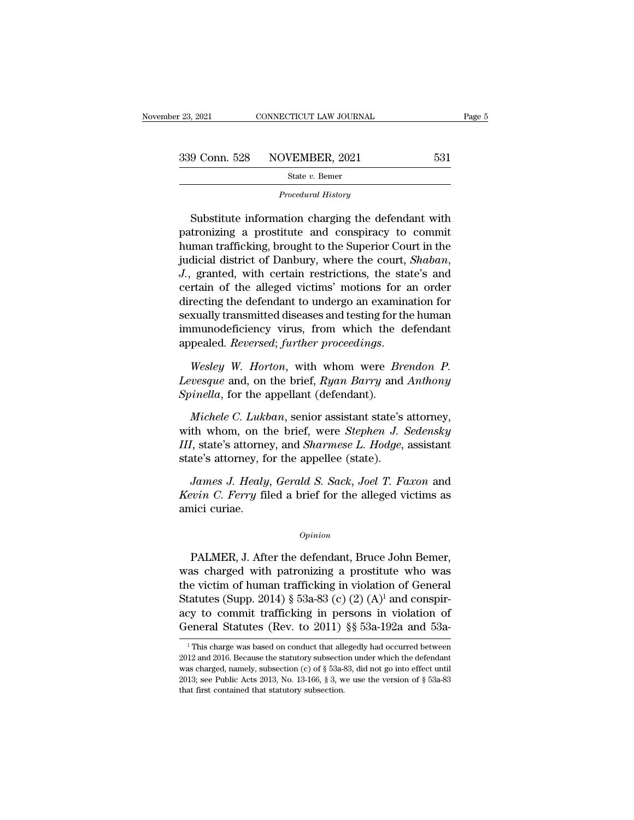$\begin{array}{r} \text{9 Conn. } 528 \quad \text{NOVEMBER, } 2021 \quad \text{531} \\ \text{State } v. \text{ Bemer} \quad \text{Proceedural History} \\ \text{Substitute information charging the defendant with the training a positive and conspiracy to commit.} \end{array}$ 339 Conn. 528 NOVEMBER, 2021 531<br>
State v. Bemer<br>
Procedural History<br>
Procedural History<br>
Substitute information charging the defendant with<br>
patronizing a prostitute and conspiracy to commit<br>
human trafficking, brought t Substitute information charging the defendant with<br>patronizing a prostitute and conspiracy to commit<br>human trafficking, brought to the Superior Court in the<br>judicial district of Danbury, where the court, *Shaban*,<br>Letter's State v. Bemer<br>
Procedural History<br>
Substitute information charging the defendant with<br>
patronizing a prostitute and conspiracy to commit<br>
human trafficking, brought to the Superior Court in the<br>
judicial district of Danbu Substitute information charging the defendant with<br>patronizing a prostitute and conspiracy to commit<br>human trafficking, brought to the Superior Court in the<br>judicial district of Danbury, where the court, *Shaban*,<br>J., gran Substitute information charging the defendant with<br>patronizing a prostitute and conspiracy to commit<br>human trafficking, brought to the Superior Court in the<br>judicial district of Danbury, where the court, *Shaban*,<br>J., gran patronizing a prostitute and conspiracy to commit<br>human trafficking, brought to the Superior Court in the<br>judicial district of Danbury, where the court, *Shaban*,<br>J., granted, with certain restrictions, the state's and<br>cer human trafficking, brought to the Superior Court in the<br>judicial district of Danbury, where the court, *Shaban*,<br>*J.*, granted, with certain restrictions, the state's and<br>certain of the alleged victims' motions for an orde judicial district of Danbury, where the court, *Shaban*,<br>*J.*, granted, with certain restrictions, the state's and<br>certain of the alleged victims' motions for an order<br>directing the defendant to undergo an examination for<br> directing the defendant to undergo an examination for<br>sexually transmitted diseases and testing for the human<br>immunodeficiency virus, from which the defendant<br>appealed. *Reversed*; *further proceedings.*<br>Wesley W. Horton, *Sexually transmitted diseases and testing for timmunodeficiency virus, from which the appealed. <i>Reversed; further proceedings.*<br>*Wesley W. Horton, with whom were By Levesque and, on the brief, <i>Ryan Barry and Spinella, f* 

*Michele C. Lukban*, senior assistant state's attorney,<br>*Mesley W. Horton*, with whom were *Brendon P.*<br>*Wesley W. Horton*, with whom were *Brendon P.*<br>*Wichele C. Lukban*, senior assistant state's attorney,<br>*Michele C. Lu* 

Wesley W. Horton, with whom were *Brendon P.*<br>Levesque and, on the brief, *Ryan Barry* and *Anthony*<br>Spinella, for the appellant (defendant).<br>Michele C. Lukban, senior assistant state's attorney,<br>with whom, on the brief, w *III*, state's attorney, and *Sharmese L. Hodge*, assistant Levesque and, on the brief, Ryan Barry and<br>Spinella, for the appellant (defendant).<br>Michele C. Lukban, senior assistant state's<br>with whom, on the brief, were Stephen J. S.<br>III, state's attorney, and Sharmese L. Hodge,<br>stat *James J. Lukban*, senior assistant state's attorney,<br>*J. Sedensky*<br>*J.* state's attorney, and *Sharmese L. Hodge*, assistant<br>*James J. Healy*, *Gerald S. Sack*, *Joel T. Faxon* and<br>*vin C. Ferry* filed a brief for the all *Michele C. Lukban*, senior assistant state's attorney,<br>with whom, on the brief, were *Stephen J. Sedensky*<br>*III*, state's attorney, and *Sharmese L. Hodge*, assistant<br>state's attorney, for the appellee (state).<br>*James J.* with whom, on the *III*, state's attorney, for all the state's attorney, for *James J. Healy*<br>*Kevin C. Ferry* filewing *Kevin C. Ferry* filewing

*James J. Healy, Gerald S. Sack, Joel T. Faxon* and<br> *evin C. Ferry* filed a brief for the alleged victims as<br>
ici curiae.<br> *Opinion*<br>
PALMER, J. After the defendant, Bruce John Bemer,<br>
as charged with patronizing a prosti

### *Opinion*

*Kevin C. Ferry* filed a brief for the alleged victims as<br>amici curiae.<br> $opinion$ <br>PALMER, J. After the defendant, Bruce John Bemer,<br>was charged with patronizing a prostitute who was<br>the victim of human trafficking in violation amici curiae.<br>  $\frac{Option}{i}$ <br>
PALMER, J. After the defendant, Bruce John Bemer,<br>
was charged with patronizing a prostitute who was<br>
the victim of human trafficking in violation of General<br>
Statutes (Supp. 2014) § 53a-83 (c) ( *Opinion*<br> **Statutes (Supp. 3)** *Opinion*<br>
PALMER, J. After the defendant, Bruce John Bemer,<br>
was charged with patronizing a prostitute who was<br>
the victim of human trafficking in violation of General<br>
Statutes (Supp. 201 <sup>Opinion</sup><br>
PALMER, J. After the defendant, Bruce John Bemer,<br>
was charged with patronizing a prostitute who was<br>
the victim of human trafficking in violation of General<br>
Statutes (Supp. 2014) § 53a-83 (c) (2) (A)<sup>1</sup> and c PALMER, J. After the defendant, Bruce John Bemer,<br>was charged with patronizing a prostitute who was<br>the victim of human trafficking in violation of General<br>Statutes (Supp. 2014) § 53a-83 (c) (2) (A)<sup>1</sup> and conspir-<br>acy to the victim of human trafficking in violation of General<br>Statutes (Supp. 2014) § 53a-83 (c) (2) (A)<sup>1</sup> and conspir-<br>acy to commit trafficking in persons in violation of<br>General Statutes (Rev. to 2011) §§ 53a-192a and 53a-<br> Statutes (Supp. 2014) § 53a-83 (c) (2) (A)<sup>1</sup> and conspiracy to commit trafficking in persons in violation of General Statutes (Rev. to 2011) §§ 53a-192a and 53a-<br><sup>1</sup>This charge was based on conduct that allegedly had occ

acy to commit trafficking in persons in violation of General Statutes (Rev. to 2011) §§ 53a-192a and 53a-<br><sup>1</sup>This charge was based on conduct that allegedly had occurred between 2012 and 2016. Because the statutory subsec **2013** Statures (Rev. to 2011) §§ 53a-192a and 53a-<br><sup>1</sup>This charge was based on conduct that allegedly had occurred between<br>2012 and 2016. Because the statutory subsection under which the defendant<br>was charged, namely, su <sup>1</sup> This charge was based on conduct that allegedly had occurred between 2012 and 2016. Because the statutory subsection under which the defendant was charged, namely, subsection (c) of  $\S$  53a-83, did not go into effect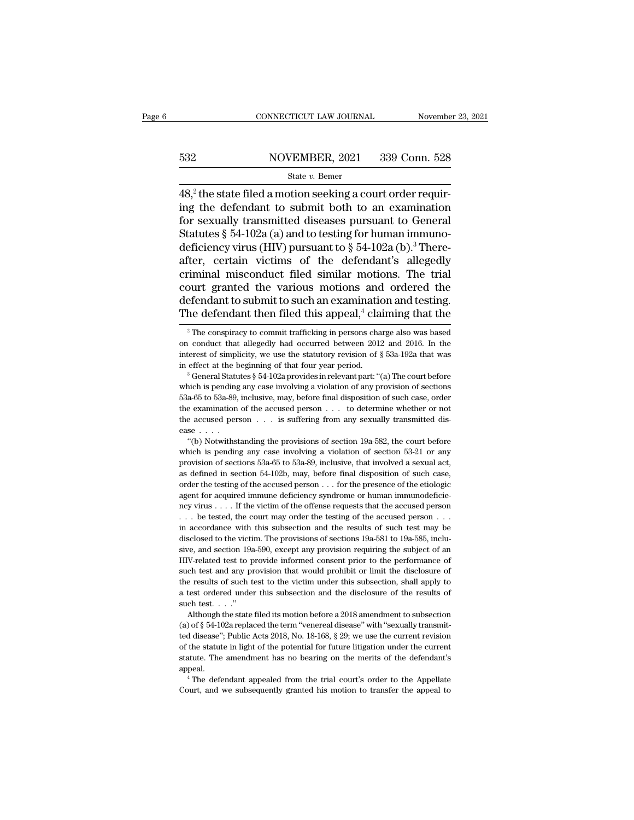# EXECUTE CONNECTICUT LAW JOURNAL Movember 23, 2021<br>532 NOVEMBER, 2021 339 Conn. 528<br>532 State v. Bemer

### State *v.* Bemer

 $\frac{\text{COMNETICUT LAW JOURNAL}}{\text{S32}}$   $\frac{\text{NOVEMBER, 2021}}{\text{State } v. \text{ Bemer}}$ <br>48,<sup>2</sup> the state filed a motion seeking a court order requir-<br>ing the defendant to submit both to an examination<br>for soyully transmitted diseases pursuant to Gonera 532 NOVEMBER, 2021 339 Conn. 528<br>
State v. Bemer<br>
48,<sup>2</sup> the state filed a motion seeking a court order requiring the defendant to submit both to an examination<br>
for sexually transmitted diseases pursuant to General<br>
Stat 532 NOVEMBER, 2021 339 Conn. 528<br>
State v. Bemer<br>
48,<sup>2</sup> the state filed a motion seeking a court order requiring the defendant to submit both to an examination<br>
for sexually transmitted diseases pursuant to General<br>
Stat S32 NOVEMBER, 2021 339 Conn. 528<br>
State v. Bemer<br>
48,<sup>2</sup> the state filed a motion seeking a court order requiring the defendant to submit both to an examination<br>
for sexually transmitted diseases pursuant to General<br>
Stat  $\begin{array}{c}\n\hline\n\text{State } v. \text{ Bemer} \\
\hline\n\end{array}$   $\begin{array}{c}\n\text{State } v. \text{ Bemer} \\
\hline\n\end{array}$   $\begin{array}{c}\n\text{State } v. \text{ Bemer} \\
\end{array}$   $\begin{array}{c}\n\text{State } v. \text{ Bemer} \\
\end{array}$   $\begin{array}{c}\n\text{State } v. \text{ Bemer} \\
\end{array}$   $\begin{array}{c}\n\text{State } v. \text{ Bemer} \\
\end{array}$   $\begin{array}{c}\n\text{State } v. \text{ Bemer} \\
\end{array}$ state *v*. Bemer<br>48,<sup>2</sup> the state filed a motion seeking a court order requiring the defendant to submit both to an examination<br>for sexually transmitted diseases pursuant to General<br>Statutes § 54-102a (a) and to testing f 48,<sup>2</sup> the state filed a motion seeking a court order requiring the defendant to submit both to an examination for sexually transmitted diseases pursuant to General Statutes § 54-102a (a) and to testing for human immuno-d ing the defendant to submit both to an examination<br>for sexually transmitted diseases pursuant to General<br>Statutes  $\S 54-102a$  (a) and to testing for human immuno-<br>deficiency virus (HIV) pursuant to  $\S 54-102a$  (b).<sup>3</sup> The for sexually transmitted diseases pursuant to General<br>Statutes § 54-102a (a) and to testing for human immuno-<br>deficiency virus (HIV) pursuant to § 54-102a (b).<sup>3</sup> There-<br>after, certain victims of the defendant's allegedly Statutes § 54-102a (a) and to testing for human immuno-<br>deficiency virus (HIV) pursuant to § 54-102a (b).<sup>3</sup> There-<br>after, certain victims of the defendant's allegedly<br>criminal misconduct filed similar motions. The trial<br> riminal misconduct filed similar motions. The trial<br>purt granted the various motions and ordered the<br>efendant to submit to such an examination and testing.<br>he defendant then filed this appeal,<sup>4</sup> claiming that the<br><sup>2</sup>The court granted the various motions and ordered the defendant to submit to such an examination and testing.<br>The defendant then filed this appeal,<sup>4</sup> claiming that the  $\frac{2}{\pi}$  The conspiracy to commit trafficking in perso

defendant to submit to such an examination and testing.<br>The defendant then filed this appeal,<sup>4</sup> claiming that the<br><sup>2</sup> The conspiracy to commit trafficking in persons charge also was based<br>on conduct that allegedly had oc The defendant then filed this appeal,<sup>4</sup> claiming that the  $\frac{1}{2}$  The conspiracy to commit trafficking in persons charge also was based on conduct that allegedly had occurred between 2012 and 2016. In the interest of s <sup>2</sup> The conspiracy to commit trafficking in persons charge also was based<br>on conduct that allegedly had occurred between 2012 and 2016. In the<br>interest of simplicity, we use the statutory revision of § 53a-192a that was<br>i

on conduct that allegedly had occurred between 2012 and 2016. In the interest of simplicity, we use the statutory revision of  $\S$  53a-192a that was in effect at the beginning of that four year period.<br><sup>3</sup> General Statutes the examination of the statutory revision of § 53a-192a that was<br>in effect at the beginning of that four year period.<br><sup>3</sup> General Statutes § 54-102a provides in relevant part: "(a) The court before<br>which is pending any ca in effect at the beginning of that four year period.<br>
<sup>3</sup> General Statutes § 54-102a provides in relevant part: "(a) The court before which is pending any case involving a violation of any provision of sections 53a-65 to inch is pending any case involving a violation of any provision of sections a-65 to 53a-89, inclusive, may, before final disposition of such case, order examination of the accused person  $\dots$  to determine whether or not a when  $\overline{a}$  is pending any case involving a violation of such case, order<br>the examination of the accused person . . . to determine whether or not<br>the accused person . . . is suffering from any sexually transmitted dis-<br>

between the examination of the accused person  $\ldots$  to determine whether or not the accused person  $\ldots$  is suffering from any sexually transmitted disease  $\ldots$ .<br>
"(b) Notwithstanding the provisions of section 19a-582, t the accused person  $\ldots$  is suffering from any sexually transmitted dis-<br>ease  $\ldots$ .<br>"(b) Notwithstanding the provisions of section 19a-582, the court before<br>which is pending any case involving a violation of section 53-2 ease ....<br>
"(b) Notwithstanding the provisions of section 19a-582, the court before<br>
which is pending any case involving a violation of section 53-21 or any<br>
provision of sections 53a-65 to 53a-89, inclusive, that involved "(b) Notwithstanding the provisions of section 19a-582, the court before which is pending any case involving a violation of section 53-21 or any provision of sections 53a-65 to 53a-89, inclusive, that involved a sexual ac which is pending any case involving a violation of section 53-21 or any provision of sections 53a-65 to 53a-89, inclusive, that involved a sexual act, as defined in section 54-102b, may, before final disposition of such c provision of sections 53a-65 to 53a-89, inclusive, that involved a sexual act, as defined in section 54-102b, may, before final disposition of such case, order the testing of the accused person . . . for the presence of t For a stefined in section 54-102b, may, before final disposition of such case, as defined in section 54-102b, may, before final disposition of such case, order the testing of the accused person . . . for the presence of t so order the testing of the accused person . . . for the presence of the etiologic agent for acquired immune deficiency syndrome or human immunodeficiency virus . . . . If the victim of the offense requests that the accus signal for acquired immune deficiency syndrome or human immunodeficiency virus  $\ldots$ . If the victim of the offense requests that the accused person  $\ldots$  be tested, the court may order the testing of the accused person  $\$  $H$ -related test to provide informed consent prior to the performance of such test that the accused person . . . . be tested, the court may order the testing of the accused person . . . in accordance with this subsection such that would provide in the course of the and any provision and the results of such test may be disclosed to the victim. The provisions of sections  $19a-581$  to  $19a-585$ , inclusive, and section  $19a-590$ , except any p The results of such test to the victim. The provisions of sections 19a-581 to 19a-585, inclusive, and section 19a-590, except any provision requiring the subject of an HIV-related test to provide informed consent prior to a test order the victim. The provisions of sections 19a-581 to 19a-585, inclu-<br>sive, and section 19a-590, except any provision requiring the subject of an<br>HIV-related test to provide informed consent prior to the performa sive, and section 19<br>sive, and section 19<br>HIV-related test to p<br>such test and any p<br>the results of such t<br>a test ordered unde<br>such test. . . ."<br>Although the state V-related test to provide informed consent prior to the performance of ch test and any provision that would prohibit or limit the disclosure of e results of such test to the victim under this subsection, shall apply to te such test and any provision that would prohibit or limit the disclosure of the results of such test to the victim under this subsection, shall apply to a test ordered under this subsection and the disclosure of the result

the results of such test to the victim under this subsection, shall apply to a test ordered under this subsection and the disclosure of the results of such test. . . ."<br>Although the state filed its motion before a 2018 am a test ordered under this subsection and the disclosure of the results of such test. . . ."<br>Although the state filed its motion before a 2018 amendment to subsection (a) of  $\S$  54-102a replaced the term "venereal disease" statute. The amendment has no bearing on the merits of the defendant's appear and the state filed its motion before a 2018 amendment to subsection (a) of  $\S 54-102$  areplaced the term "venereal disease" with "sexually tra appeal.  $\frac{1}{2}$  The defendant appealed the term "venereal disease" with "sexually transmitial disease"; Public Acts 2018, No. 18-168, § 29; we use the current revision the statute in light of the potential for future litigation (e) of some contributions are the current statute in light of the potential for future litigation under the current revision of the statute in light of the potential for future litigation under the current statute. The ame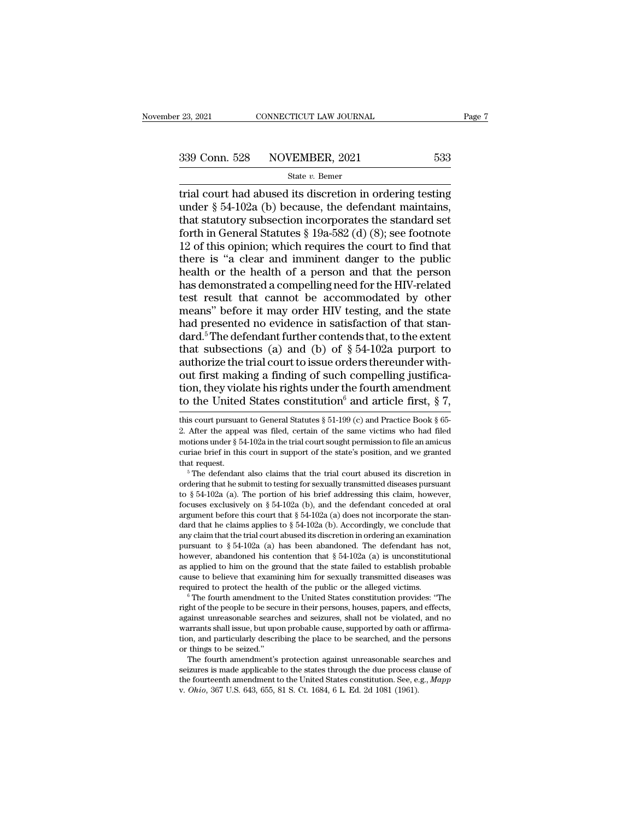trial court had abused its discretion in ordering testing<br>
that statutory subsection in ordering testing<br>
that statutory subsection in corporates the standard set 339 Conn. 528 NOVEMBER, 2021 533<br>
State v. Bemer<br>
Trial court had abused its discretion in ordering testing<br>
under § 54-102a (b) because, the defendant maintains,<br>
that statutory subsection incorporates the standard set<br> 339 Conn. 528 NOVEMBER, 2021 533<br>
State v. Bemer<br>
trial court had abused its discretion in ordering testing<br>
under § 54-102a (b) because, the defendant maintains,<br>
that statutory subsection incorporates the standard set<br> 339 Conn. 528 NOVEMBER, 2021 533<br>
State v. Bemer<br>
trial court had abused its discretion in ordering testing<br>
under § 54-102a (b) because, the defendant maintains,<br>
that statutory subsection incorporates the standard set<br> Solution:  $\frac{120}{200}$  State v. Bemer<br>
Trial court had abused its discretion in ordering testing<br>
under § 54-102a (b) because, the defendant maintains,<br>
that statutory subsection incorporates the standard set<br>
forth in G State v. Bemer<br>
trial court had abused its discretion in ordering testing<br>
under § 54-102a (b) because, the defendant maintains,<br>
that statutory subsection incorporates the standard set<br>
forth in General Statutes § 19a-58 trial court had abused its discretion in ordering testing<br>under  $\S$  54-102a (b) because, the defendant maintains,<br>that statutory subsection incorporates the standard set<br>forth in General Statutes  $\S$  19a-582 (d) (8); see under § 54-102a (b) because, the defendant maintains,<br>that statutory subsection incorporates the standard set<br>forth in General Statutes § 19a-582 (d) (8); see footnote<br>12 of this opinion; which requires the court to find that statutory subsection incorporates the standard set<br>forth in General Statutes § 19a-582 (d) (8); see footnote<br>12 of this opinion; which requires the court to find that<br>there is "a clear and imminent danger to the publi forth in General Statutes  $\S$  19a-582 (d) (8); see footnote<br>12 of this opinion; which requires the court to find that<br>there is "a clear and imminent danger to the public<br>health or the health of a person and that the perso forth in General Statutes § 19a-582 (d) (8); see footnote 12 of this opinion; which requires the court to find that there is "a clear and imminent danger to the public health or the health of a person and that the person there is "a clear and imminent danger to the public<br>health or the health of a person and that the person<br>has demonstrated a compelling need for the HIV-related<br>test result that cannot be accommodated by other<br>means" befor health or the health of a person and that the person<br>has demonstrated a compelling need for the HIV-related<br>test result that cannot be accommodated by other<br>means" before it may order HIV testing, and the state<br>had presen has demonstrated a compelling need for the HIV-related<br>test result that cannot be accommodated by other<br>means" before it may order HIV testing, and the state<br>had presented no evidence in satisfaction of that stan-<br>dard.<sup>5</sup> test result that cannot be accommodated by other<br>means" before it may order HIV testing, and the state<br>had presented no evidence in satisfaction of that stan-<br>dard.<sup>5</sup> The defendant further contends that, to the extent<br>th means" before it may order HIV testing, and the state<br>had presented no evidence in satisfaction of that stan-<br>dard.<sup>5</sup> The defendant further contends that, to the extent<br>that subsections (a) and (b) of  $\S 54-102a$  purport had presented no evidence in satisfaction of that stan-<br>dard.<sup>5</sup> The defendant further contends that, to the extent<br>that subsections (a) and (b) of § 54-102a purport to<br>authorize the trial court to issue orders thereunder authorize the trial court to issue orders thereunder without first making a finding of such compelling justification, they violate his rights under the fourth amendment to the United States constitution<sup>6</sup> and article fir out first making a finding of such compelling justification, they violate his rights under the fourth amendment<br>to the United States constitution<sup>6</sup> and article first, § 7,<br>this court pursuant to General Statutes § 51-199

2. Zuter the appear was fined, certain of the same victims who had filed motions under § 54-102a in the trial court sought permission to file an amicus curiae brief in this court in support of the state's position, and we focuses exclusively on § 54-102a (b), and the defendant conceded at oral argument before this court in support of the state's position, and we granted that request.<br>
<sup>5</sup> The defendant also claims that the trial court abus curiae brief in this court in support of the state's position, and we granted<br>that request.<br><sup>5</sup> The defendant also claims that the trial court abused its discretion in<br>ordering that he submit to testing for sexually trans that request.<br>
<sup>5</sup> The defendant also claims that the trial court abused its discretion in<br>
ordering that he submit to testing for sexually transmitted diseases pursuant<br>
to § 54-102a (a). The portion of his brief address The defendant also claims that the trial court abused its discretion in ordering that he submit to testing for sexually transmitted diseases pursuant to  $\S 54-102a$  (a). The portion of his brief addressing this claim, how ordering that he submit to testing for sexually transmitted diseases pursuant<br>to § 54-102a (a). The portion of his brief addressing this claim, however,<br>focuses exclusively on § 54-102a (b), and the defendant conceded at to  $\S$   $\geq$   $\geq$   $\geq$   $\geq$   $\geq$   $\geq$   $\geq$   $\geq$   $\geq$   $\geq$   $\geq$   $\geq$   $\geq$   $\geq$   $\geq$   $\geq$   $\geq$   $\geq$   $\geq$   $\geq$   $\geq$   $\geq$   $\geq$   $\geq$   $\geq$   $\geq$   $\geq$   $\geq$   $\geq$   $\geq$   $\geq$   $\geq$   $\geq$   $\geq$   $\geq$   $\geq$ rocuses exclusively on  $\S$  34-102a (b), and the derendant conceded at oral argument before this court that  $\S$  54-102a (a) does not incorporate the standard that he claims applies to  $\S$  54-102a (b). Accordingly, we concl argument before this court that  $\S$  54-102a (a) does not incorporate the standard that he claims applies to  $\S$  54-102a (b). Accordingly, we conclude that any claim that the trial court abused its discretion in ordering a dard that he claims applies to  $\frac{1}{2}$  or  $\frac{1}{2}$  (b). Accordingly, we conclude that any claim that the trial court abused its discretion in ordering an examination pursuant to  $\frac{1}{2}$  54-102a (a) has been abandoned pursuant to  $\frac{1}{2}$  of  $\frac{1}{2}$  and  $\frac{1}{2}$  and  $\frac{1}{2}$  and  $\frac{1}{2}$  and  $\frac{1}{2}$  and  $\frac{1}{2}$  and  $\frac{1}{2}$  and  $\frac{1}{2}$  and  $\frac{1}{2}$  and  $\frac{1}{2}$  and  $\frac{1}{2}$  and  $\frac{1}{2}$  and  $\frac{1}{2}$  and  $\frac{1}{2}$  and

nowever, abandoned his contention that § 54-102a (a) is unconstitutional<br>as applied to him on the ground that the state failed to establish probable<br>cause to believe that examining him for sexually transmitted diseases was as applied to film on the ground that the state failed to establish probable cause to believe that examining him for sexually transmitted diseases was required to protect the health of the public or the alleged victims.<br>
<sup></sup> cause to beneve that examining nim for sexually transmitted diseases was<br>required to protect the health of the public or the alleged victims.<br><sup>6</sup> The fourth amendment to the United States constitution provides: "The<br>right required to protect the heat<br>
<sup>6</sup> The fourth amendment t<br>
right of the people to be secu<br>
against unreasonable search<br>
warrants shall issue, but upo<br>
tion, and particularly descri<br>
or things to be seized."<br>
The fourth amen The fourth amendment to the United States constitution provides: The<br>ght of the people to be secure in their persons, houses, papers, and effects,<br>ainst unreasonable searches and seizures, shall not be violated, and no<br>arr right of the people to be secure in their persons, houses, papers, and effects, against unreasonable searches and seizures, shall not be violated, and no warrants shall issue, but upon probable cause, supported by oath or

agamst unreasonable searches and seizures, shall not be violated, and no<br>warrants shall issue, but upon probable cause, supported by oath or affirma-<br>tion, and particularly describing the place to be searched, and the pers warrants shall issue, but upon probable cause, supported by oath or affirmation, and particularly describing the place to be searched, and the persons or things to be seized."<br>The fourth amendment's protection against unre

tion, they violate his rights under the fourth amendment<br>to the United States constitution<sup>6</sup> and article first, § 7,<br>this court pursuant to General Statutes § 51-199 (c) and Practice Book § 65-<br>2. After the appeal was fi to the United States constitution<sup>6</sup> and article first, § 7,<br>this court pursuant to General Statutes § 51-199 (c) and Practice Book § 65-<br>2. After the appeal was filed, certain of the same victims who had filed<br>motions un to the UTITUE STATES CONSTRUITION and article IIISt,  $S$   $I$ ,<br>this court pursuant to General Statutes  $\S 51-199$  (c) and Practice Book  $\S 65$ -<br>2. After the appeal was filed, certain of the same victims who had filed<br>motio 2. After the appeal was filed, certain of the same victims who had filed motions under § 54-102a in the trial court sought permission to file an amicus curiae brief in this court in support of the state's position, and we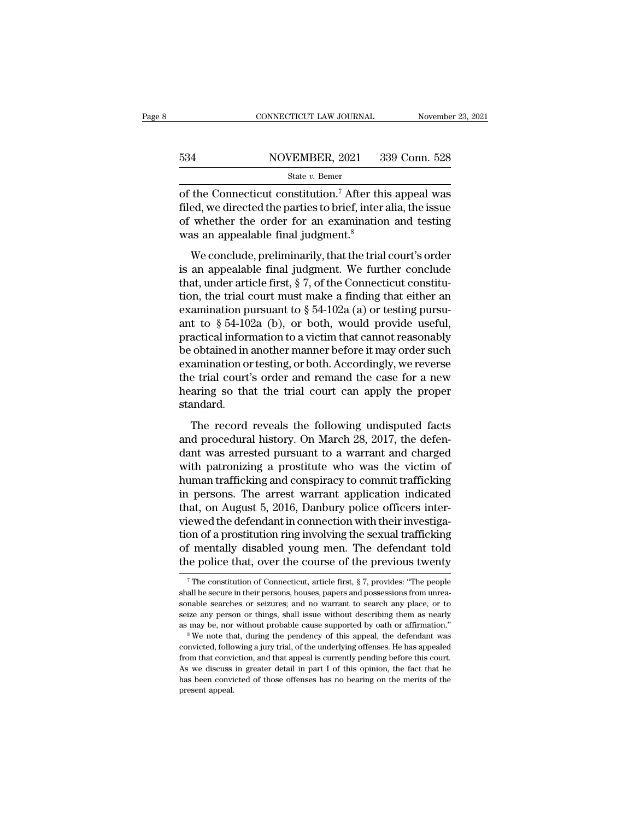|     | CONNECTICUT LAW JOURNAL | November 23, 2021 |
|-----|-------------------------|-------------------|
|     |                         |                   |
| 534 | NOVEMBER, 2021          | 339 Conn. 528     |
|     | State $v$ . Bemer       |                   |

CONNECTICUT LAW JOURNAL November 23, 2021<br>
S34 NOVEMBER, 2021 339 Conn. 528<br>
State v. Bemer<br>
of the Connecticut constitution.<sup>7</sup> After this appeal was<br>
filed, we directed the parties to brief, inter alia, the issue<br>
of wh 534 NOVEMBER, 2021 339 Conn. 528<br>
State v. Bemer<br>
of the Connecticut constitution.<sup>7</sup> After this appeal was<br>
filed, we directed the parties to brief, inter alia, the issue<br>
of whether the order for an examination and test 534 NOVEMBER, 2021 339 Conn. 528<br>
State v. Bemer<br>
of the Connecticut constitution.<sup>7</sup> After this appeal was<br>
filed, we directed the parties to brief, inter alia, the issue<br>
of whether the order for an examination and test 534 NOVEMBER, 2021 3<br>
State v. Bemer<br>
of the Connecticut constitution.<sup>7</sup> After the<br>
filed, we directed the parties to brief, inter<br>
of whether the order for an examination<br>
was an appealable final judgment.<sup>8</sup><br>
We conclu State v. Bemer<br>the Connecticut constitution.<sup>7</sup> After this appeal was<br>ed, we directed the parties to brief, inter alia, the issue<br>whether the order for an examination and testing<br>as an appealable final judgment.<sup>8</sup><br>We con of the Connecticut constitution.<sup>7</sup> After this appeal was<br>filed, we directed the parties to brief, inter alia, the issue<br>of whether the order for an examination and testing<br>was an appealable final judgment.<sup>8</sup><br>We conclude

filed, we directed the parties to brief, inter alia, the issue<br>filed, we directed the parties to brief, inter alia, the issue<br>of whether the order for an examination and testing<br>was an appealable final judgment.<sup>8</sup><br>We con the trial court of whether the order for an examination and testing<br>was an appealable final judgment.<sup>8</sup><br>We conclude, preliminarily, that the trial court's order<br>is an appealable final judgment. We further conclude<br>that, Example in the state of the contribution was an appealable final judgment.<sup>8</sup><br>We conclude, preliminarily, that the trial court's order<br>is an appealable final judgment. We further conclude<br>that, under article first, § 7, o We conclude, preliminarily, that the trial court's order<br>is an appealable final judgment. We further conclude<br>that, under article first,  $\S 7$ , of the Connecticut constitu-<br>tion, the trial court must make a finding that e We conclude, preliminarily, that the trial court's order<br>is an appealable final judgment. We further conclude<br>that, under article first, § 7, of the Connecticut constitu-<br>tion, the trial court must make a finding that eit is an appealable final judgment. We further conclude<br>that, under article first, § 7, of the Connecticut constitu-<br>tion, the trial court must make a finding that either an<br>examination pursuant to § 54-102a (a) or testing p that, under article first, § 7, of the Connecticut constitu-<br>tion, the trial court must make a finding that either an<br>examination pursuant to § 54-102a (a) or testing pursu-<br>ant to § 54-102a (b), or both, would provide us tion, the trial court must make a finding that either an<br>examination pursuant to  $\S 54{\text -}102{\text a}$  (a) or testing pursu-<br>ant to  $\S 54{\text -}102{\text a}$  (b), or both, would provide useful,<br>practical information to a victim that examination pursuant to  $\S$  54-102a (a) or testing pursu-<br>ant to  $\S$  54-102a (b), or both, would provide useful,<br>practical information to a victim that cannot reasonably<br>be obtained in another manner before it may order s standard. The record in another manner before it may order such a<br>mination or testing, or both. Accordingly, we reverse<br>e trial court's order and remand the case for a new<br>arring so that the trial court can apply the proper<br>andard.<br> be obtained in another names before a raty order stead<br>examination or testing, or both. Accordingly, we reverse<br>the trial court's order and remand the case for a new<br>hearing so that the trial court can apply the proper<br>sta

dant was arrested pursuant to a warrant and the case for a new<br>hearing so that the trial court can apply the proper<br>standard.<br>The record reveals the following undisputed facts<br>and procedural history. On March 28, 2017, the The area of the trial court can apply the proper<br>hearing so that the trial court can apply the proper<br>standard.<br>The record reveals the following undisputed facts<br>and procedural history. On March 28, 2017, the defen-<br>dant w standard.<br>
The record reveals the following undisputed facts<br>
and procedural history. On March 28, 2017, the defen-<br>
dant was arrested pursuant to a warrant and charged<br>
with patronizing a prostitute who was the victim of The record reveals the following undisputed facts<br>and procedural history. On March 28, 2017, the defen-<br>dant was arrested pursuant to a warrant and charged<br>with patronizing a prostitute who was the victim of<br>human traffick The record reveals the following undisputed facts<br>and procedural history. On March 28, 2017, the defen-<br>dant was arrested pursuant to a warrant and charged<br>with patronizing a prostitute who was the victim of<br>human traffick and procedural history. On March 28, 2017, the defendant was arrested pursuant to a warrant and charged with patronizing a prostitute who was the victim of human trafficking and conspiracy to commit trafficking in persons. dant was arrested pursuant to a warrant and charged<br>with patronizing a prostitute who was the victim of<br>human trafficking and conspiracy to commit trafficking<br>in persons. The arrest warrant application indicated<br>that, on A with patronizing a prostitute who was the victim of<br>human trafficking and conspiracy to commit trafficking<br>in persons. The arrest warrant application indicated<br>that, on August 5, 2016, Danbury police officers inter-<br>viewed human trafficking and conspiracy to commit trafficking<br>in persons. The arrest warrant application indicated<br>that, on August 5, 2016, Danbury police officers inter-<br>viewed the defendant in connection with their investiga-<br>t viewed the defendant in connection with their investigation of a prostitution ring involving the sexual trafficking of mentally disabled young men. The defendant told the police that, over the course of the previous twenty tion of a prostitution ring involving the sexual trafficking<br>of mentally disabled young men. The defendant told<br>the police that, over the course of the previous twenty<br> $\frac{1}{7}$  The constitution of Connecticut, article fi

of mentally disabled young men. The defendant told<br>the police that, over the course of the previous twenty<br> $\frac{1}{\sqrt{2}}$  The constitution of Connecticut, article first,  $\frac{8}{9}$  7, provides: "The people<br>shall be secure in the police that, over the course of the previous twenty<br>
The constitution of Connecticut, article first, § 7, provides: "The people<br>
shall be secure in their persons, houses, papers and possessions from unrea-<br>
sonable se The constitution of Connecticut, article first, § 7, provides: "The people shall be secure in their persons, houses, papers and possessions from unreasonable searches or seizures; and no warrant to search any place, or to shall be secure in their persons, houses, papers and possessions from unreasonable searches or seizures; and no warrant to search any place, or to seize any person or things, shall issue without describing them as nearly a

sonable searches or seizures; and no warrant to search any place, or to seize any person or things, shall issue without describing them as nearly as may be, nor without probable cause supported by oath or affirmation."  $8$ Seize any person or things, shall issue without describing them as nearly as may be, nor without probable cause supported by oath or affirmation."<br>
<sup>8</sup> We note that, during the pendency of this appeal, the defendant was c as may be, nor without probable cause supported by oath or affirmation."<br>
<sup>8</sup> We note that, during the pendency of this appeal, the defendant was<br>
convicted, following a jury trial, of the underlying offenses. He has appea convicted, following a jury trial, of the underlying offenses. He has appealed from that conviction, and that appeal is currently pending before this court. As we discuss in greater detail in part I of this opinion, the f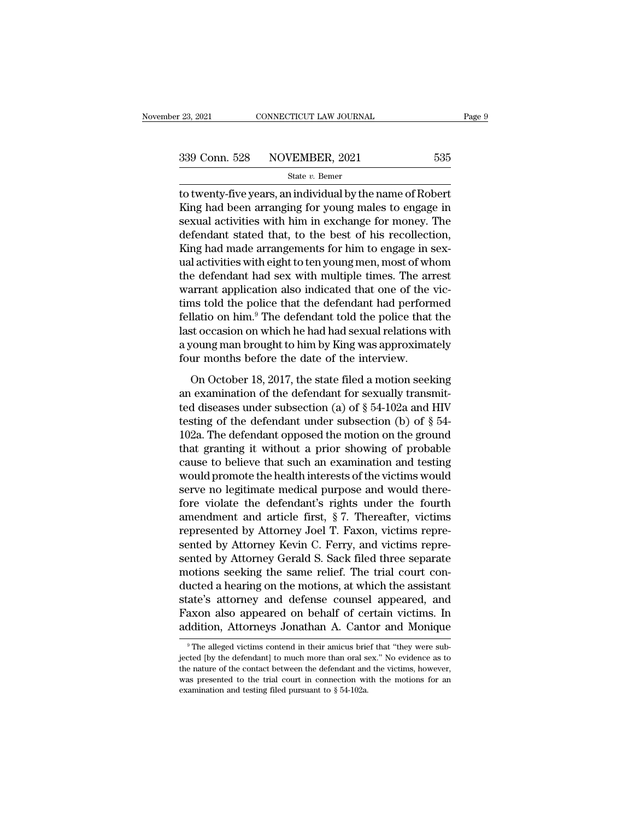to twenty-five years, an individual by the name of Robert<br>
State v. Bemer<br>
The name of Robert<br>
Example 2021<br>
State v. Bemer<br>
The name of Robert<br>
Example 2021<br>
State v. Bemer<br>
Example 2021<br>
State v. Bemer<br>
State is now the  $\begin{array}{r} \text{339 Conn. } 528 \quad \text{NOVEMBER, } 2021 \quad \text{535} \\ \text{State } v. \text{ Bemer} \end{array}$  to twenty-five years, an individual by the name of Robert King had been arranging for young males to engage in sexual activities with him in exchange for 339 Conn. 528 NOVEMBER, 2021 535<br>
state v. Bemer<br>
to twenty-five years, an individual by the name of Robert<br>
King had been arranging for young males to engage in<br>
sexual activities with him in exchange for money. The<br>
def 339 Conn. 528 NOVEMBER, 2021 535<br>
state v. Bemer<br>
to twenty-five years, an individual by the name of Robert<br>
King had been arranging for young males to engage in<br>
sexual activities with him in exchange for money. The<br>
def State  $v$ . Bemer<br>
to twenty-five years, an individual by the name of Robert<br>
King had been arranging for young males to engage in<br>
sexual activities with him in exchange for money. The<br>
defendant stated that, to the best state  $v$ . Benter<br>to twenty-five years, an individual by the name of Robert<br>King had been arranging for young males to engage in<br>sexual activities with him in exchange for money. The<br>defendant stated that, to the best of to twenty-five years, an individual by the name of Robert<br>King had been arranging for young males to engage in<br>sexual activities with him in exchange for money. The<br>defendant stated that, to the best of his recollection,<br>K King had been arranging for young males to engage in<br>sexual activities with him in exchange for money. The<br>defendant stated that, to the best of his recollection,<br>King had made arrangements for him to engage in sex-<br>ual a sexual activities with him in exchange for money. The<br>defendant stated that, to the best of his recollection,<br>King had made arrangements for him to engage in sex-<br>ual activities with eight to ten young men, most of whom<br>th defendant stated that, to the best of his recollection,<br>King had made arrangements for him to engage in sex-<br>ual activities with eight to ten young men, most of whom<br>the defendant had sex with multiple times. The arrest<br>wa King had made arrangements for him to engage in sex-<br>ual activities with eight to ten young men, most of whom<br>the defendant had sex with multiple times. The arrest<br>warrant application also indicated that one of the vic-<br>ti ual activities with eight to ten young men, most of whom<br>the defendant had sex with multiple times. The arrest<br>warrant application also indicated that one of the vic-<br>tims told the police that the defendant had performed<br>f the defendant had sex with multiple times. The arrow<br>arrant application also indicated that one of the<br>tims told the police that the defendant had perform<br>fellatio on him.<sup>9</sup> The defendant told the police that<br>last occasio ms told the police that the defendant had performed<br>llatio on him.<sup>9</sup> The defendant told the police that the<br>st occasion on which he had had sexual relations with<br>young man brought to him by King was approximately<br>ur mont fellatio on him.<sup>9</sup> The defendant told the police that the last occasion on which he had had sexual relations with a young man brought to him by King was approximately four months before the date of the interview.<br>On Octo

last occasion on which he had had sexual relations with<br>a young man brought to him by King was approximately<br>four months before the date of the interview.<br>On October 18, 2017, the state filed a motion seeking<br>an examinati a young man brought to him by King was approximately<br>four months before the date of the interview.<br>On October 18, 2017, the state filed a motion seeking<br>an examination of the defendant for sexually transmit-<br>ted diseases four months before the date of the interview.<br>
On October 18, 2017, the state filed a motion seeking<br>
an examination of the defendant for sexually transmit-<br>
ted diseases under subsection (a) of  $\S$  54-102a and HIV<br>
testi On October 18, 2017, the state filed a motion seeking<br>an examination of the defendant for sexually transmit-<br>ted diseases under subsection (a) of  $\S$  54-102a and HIV<br>testing of the defendant under subsection (b) of  $\S$  54 On October 18, 2017, the state filed a motion seeking<br>an examination of the defendant for sexually transmit-<br>ted diseases under subsection (a) of  $\S$  54-102a and HIV<br>testing of the defendant under subsection (b) of  $\S$  54 an examination of the defendant for sexually transmitted diseases under subsection (a) of  $\S$  54-102a and HIV testing of the defendant under subsection (b) of  $\S$  54-102a. The defendant opposed the motion on the ground th ted diseases under subsection (a) of  $\S$  54-102a and HIV<br>testing of the defendant under subsection (b) of  $\S$  54-<br>102a. The defendant opposed the motion on the ground<br>that granting it without a prior showing of probable<br>c testing of the defendant under subsection (b) of  $\S$  54-<br>102a. The defendant opposed the motion on the ground<br>that granting it without a prior showing of probable<br>cause to believe that such an examination and testing<br>woul 102a. The defendant opposed the motion on the ground<br>that granting it without a prior showing of probable<br>cause to believe that such an examination and testing<br>would promote the health interests of the victims would<br>serve that granting it without a prior showing of probable<br>cause to believe that such an examination and testing<br>would promote the health interests of the victims would<br>serve no legitimate medical purpose and would there-<br>fore v cause to believe that such an examination and testing<br>would promote the health interests of the victims would<br>serve no legitimate medical purpose and would there-<br>fore violate the defendant's rights under the fourth<br>amendm would promote the health interests of the victims would<br>serve no legitimate medical purpose and would there-<br>fore violate the defendant's rights under the fourth<br>amendment and article first, § 7. Thereafter, victims<br>repres serve no legitimate medical purpose and would there-<br>fore violate the defendant's rights under the fourth<br>amendment and article first, §7. Thereafter, victims<br>represented by Attorney Kevin C. Ferry, and victims repre-<br>sent fore violate the defendant's rights under the fourth<br>amendment and article first, §7. Thereafter, victims<br>represented by Attorney Kevin C. Ferry, and victims repre-<br>sented by Attorney Kevin C. Ferry, and victims repre-<br>sen amendment and article first, § 7. Thereafter, victims<br>represented by Attorney Joel T. Faxon, victims repre-<br>sented by Attorney Kevin C. Ferry, and victims repre-<br>sented by Attorney Gerald S. Sack filed three separate<br>motio represented by Attorney Joel T. Faxon, victims represented by Attorney Kevin C. Ferry, and victims represented by Attorney Gerald S. Sack filed three separate motions seeking the same relief. The trial court conducted a he sented by Attorney Kevin C. Ferry, and victims represented by Attorney Gerald S. Sack filed three separate motions seeking the same relief. The trial court conducted a hearing on the motions, at which the assistant state's ducted a hearing on the motions, at which the assistant state's attorney and defense counsel appeared, and Faxon also appeared on behalf of certain victims. In addition, Attorneys Jonathan A. Cantor and Monique  $\frac{1}{\sqrt{2$ state's attorney and defense counsel appeared, and<br>Faxon also appeared on behalf of certain victims. In<br>addition, Attorneys Jonathan A. Cantor and Monique<br><sup>9</sup>The alleged victims contend in their amicus brief that "they wer

Faxon also appeared on behalf of certain victims. In addition, Attorneys Jonathan A. Cantor and Monique<br><sup>9</sup>The alleged victims contend in their amicus brief that "they were subjected [by the defendant] to much more than or addition, Attorneys Jonathan A. Cantor and Monique<br>
The alleged victims contend in their amicus brief that "they were sub-<br>
jected [by the defendant] to much more than oral sex." No evidence as to<br>
the nature of the conta The alleged victims contend in their amicus bries<br>igected [by the defendant] to much more than oral state at the nature of the contact between the defendant and<br>was presented to the trial court in connection wire examinat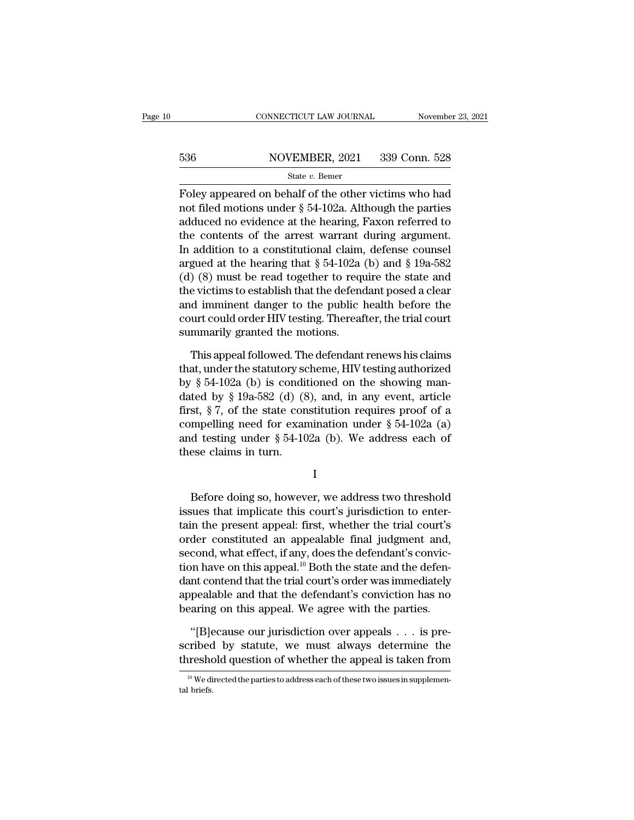### EXECUTE CONNECTICUT LAW JOURNAL Movember 23, 2021<br>536 NOVEMBER, 2021 339 Conn. 528<br>536 State v. Bemer State *v.* Bemer

Foley appeared on behalf of the other victims who had<br>
state v. Bemer<br>  $\frac{1}{2}$ <br>
Foley appeared on behalf of the other victims who had<br>
not filed motions under § 54-102a. Although the parties<br>
adduced no exidence at the 536 NOVEMBER, 2021 339 Conn. 528<br>
State v. Bemer<br>
Foley appeared on behalf of the other victims who had<br>
not filed motions under § 54-102a. Although the parties<br>
adduced no evidence at the hearing, Faxon referred to<br>
the 536 NOVEMBER, 2021 339 Conn. 528<br>
State v. Bemer<br>
Foley appeared on behalf of the other victims who had<br>
not filed motions under § 54-102a. Although the parties<br>
adduced no evidence at the hearing, Faxon referred to<br>
the 536 NOVEMBER, 2021 339 Conn. 528<br>
State v. Bemer<br>
Foley appeared on behalf of the other victims who had<br>
not filed motions under § 54-102a. Although the parties<br>
adduced no evidence at the hearing, Faxon referred to<br>
the State v. Bemer<br>
Foley appeared on behalf of the other victims who had<br>
not filed motions under § 54-102a. Although the parties<br>
adduced no evidence at the hearing, Faxon referred to<br>
the contents of the arrest warrant dur Foley appeared on behalf of the other victims who had<br>not filed motions under § 54-102a. Although the parties<br>adduced no evidence at the hearing, Faxon referred to<br>the contents of the arrest warrant during argument.<br>In ad Foley appeared on behalf of the other victims who had<br>not filed motions under  $\S 54-102a$ . Although the parties<br>adduced no evidence at the hearing, Faxon referred to<br>the contents of the arrest warrant during argument.<br>In not filed motions under § 54-102a. Although the parties<br>adduced no evidence at the hearing, Faxon referred to<br>the contents of the arrest warrant during argument.<br>In addition to a constitutional claim, defense counsel<br>argu adduced no evidence at the hearing, Faxon referred to<br>the contents of the arrest warrant during argument.<br>In addition to a constitutional claim, defense counsel<br>argued at the hearing that § 54-102a (b) and § 19a-582<br>(d) (8 the contents of the arrest warrant during argument.<br>In addition to a constitutional claim, defense counsel<br>argued at the hearing that  $\S 54-102a$  (b) and  $\S 19a-582$ <br>(d) (8) must be read together to require the state and<br> In addition to a constitutional claim,<br>argued at the hearing that  $\S$  54-102a<br>(d) (8) must be read together to requ<br>the victims to establish that the defend<br>and imminent danger to the public l<br>court could order HIV testin  $(8)$  must be read together to require the state and<br>e victims to establish that the defendant posed a clear<br>d imminent danger to the public health before the<br>urt could order HIV testing. Thereafter, the trial court<br>mmari the victims to establish that the defendant posed a clear<br>and imminent danger to the public health before the<br>court could order HIV testing. Thereafter, the trial court<br>summarily granted the motions.<br>This appeal followed.

and imminent danger to the public health before the<br>court could order HIV testing. Thereafter, the trial court<br>summarily granted the motions.<br>This appeal followed. The defendant renews his claims<br>that, under the statutory court could order HIV testing. Thereafter, the trial court<br>summarily granted the motions.<br>This appeal followed. The defendant renews his claims<br>that, under the statutory scheme, HIV testing authorized<br>by § 54-102a (b) is summarily granted the motions.<br>This appeal followed. The defendant renews his claims<br>that, under the statutory scheme, HIV testing authorized<br>by § 54-102a (b) is conditioned on the showing man-<br>dated by § 19a-582 (d) (8), This appeal followed. The defendant renews his claims<br>that, under the statutory scheme, HIV testing authorized<br>by § 54-102a (b) is conditioned on the showing man-<br>dated by § 19a-582 (d) (8), and, in any event, article<br>fir This appeal followed. The defendant renews his claims<br>that, under the statutory scheme, HIV testing authorized<br>by § 54-102a (b) is conditioned on the showing man-<br>dated by § 19a-582 (d) (8), and, in any event, article<br>fir that, under the statutory so<br>by  $\S$  54-102a (b) is condidated by  $\S$  19a-582 (d) ( $\S$ <br>first,  $\S$  7, of the state con<br>compelling need for exar<br>and testing under  $\S$  54-10<br>these claims in turn. st,  $\frac{1}{8}$  i, or the state constitution requires proof of a<br>mpelling need for examination under  $\frac{1}{8}$  54-102a (a)<br>d testing under  $\frac{1}{8}$  54-102a (b). We address each of<br>ese claims in turn.<br> $I$ <br>Before doing so, h

I

Examination under  $\S$  54-102a (a)<br>and testing under  $\S$  54-102a (b). We address each of<br>these claims in turn.<br>I<br>Before doing so, however, we address two threshold<br>issues that implicate this court's jurisdiction to enter-<br> I<br>these claims in turn.<br>I<br>Before doing so, however, we address two threshold<br>issues that implicate this court's jurisdiction to enter-<br>tain the present appeal: first, whether the trial court's<br>order constituted an appealab I<br>
Before doing so, however, we address two threshold<br>
issues that implicate this court's jurisdiction to enter-<br>
tain the present appeal: first, whether the trial court's<br>
order constituted an appealable final judgment an I<br>Before doing so, however, we address two threshold<br>issues that implicate this court's jurisdiction to enter-<br>tain the present appeal: first, whether the trial court's<br>order constituted an appealable final judgment and,<br>s Before doing so, however, we address two threshold<br>issues that implicate this court's jurisdiction to enter-<br>tain the present appeal. first, whether the trial court's<br>order constituted an appealable final judgment and,<br>se Before doing so, however, we address two threshold<br>issues that implicate this court's jurisdiction to enter-<br>tain the present appeal: first, whether the trial court's<br>order constituted an appealable final judgment and,<br>se issues that implicate this court's jurisdiction to enter-<br>tain the present appeal: first, whether the trial court's<br>order constituted an appealable final judgment and,<br>second, what effect, if any, does the defendant's conv tain the present appeal: first, whether the trial court's<br>order constituted an appealable final judgment and,<br>second, what effect, if any, does the defendant's convic-<br>tion have on this appeal.<sup>10</sup> Both the state and the cond, what effect, if any, does the defendant's conviction have on this appeal.<sup>10</sup> Both the state and the defention contend that the trial court's order was immediately pealable and that the defendant's conviction has no tion have on this appeal.<sup>10</sup> Both the state and the defendant contend that the trial court's order was immediately appealable and that the defendant's conviction has no bearing on this appeal. We agree with the parties.<br>" dant contend that the trial court's order was immediately<br>appealable and that the defendant's conviction has no<br>bearing on this appeal. We agree with the parties.<br>"[B]ecause our jurisdiction over appeals . . . is pre-<br>scr

"[B]ecause our jurisdiction over appeals . . . is pre-<br>ribed by statute, we must always determine the<br>reshold question of whether the appeal is taken from<br><sup>10</sup> We directed the parties to address each of these two issues i  $\begin{aligned} \n\text{``[B]}\n\text{scribec} \n\text{threshold} \n\end{aligned}$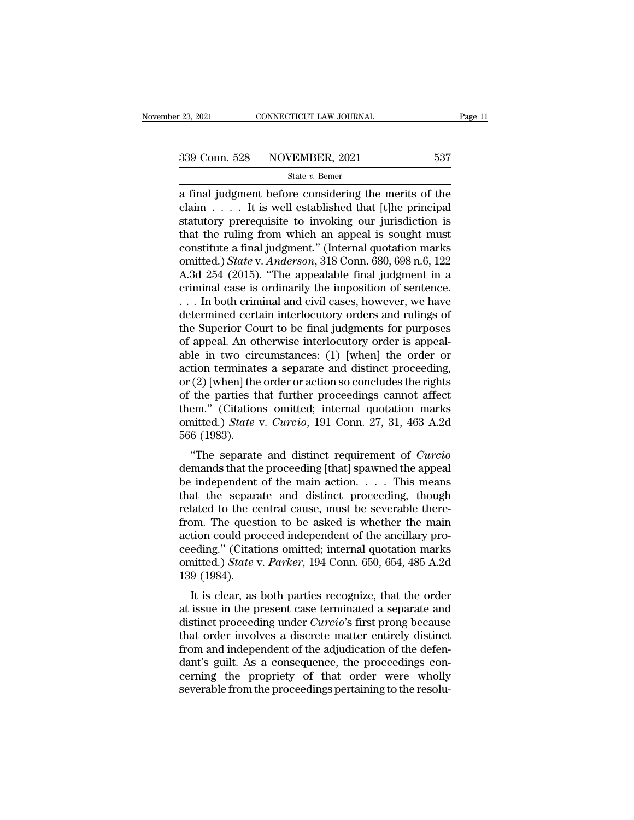<sup>23, 2021</sup> CONNECTICUT LAW JOURNAL Page 11<br>  $\frac{339 \text{ Conn. } 528}{\text{State } v. \text{ Bemer}}$ <br>
a final judgment before considering the merits of the<br>
claim . . . . It is well established that [t]he principal<br>
statutory proconvisite to inv 339 Conn. 528 NOVEMBER, 2021 537<br>
state v. Bemer<br>
a final judgment before considering the merits of the<br>
claim . . . . It is well established that [t]he principal<br>
statutory prerequisite to invoking our jurisdiction is<br>
t 339 Conn. 528 NOVEMBER, 2021 537<br>
State v. Bemer<br>
a final judgment before considering the merits of the<br>
claim . . . . It is well established that [t]he principal<br>
statutory prerequisite to invoking our jurisdiction is<br>
t 339 Conn. 528 NOVEMBER, 2021 537<br>
State v. Bemer<br>
a final judgment before considering the merits of the<br>
claim . . . . It is well established that [t]he principal<br>
statutory prerequisite to invoking our jurisdiction is<br>
t Solution 22 The Charles Hermann, 2021<br>
State v. Bemer<br>
a final judgment before considering the merits of the<br>
claim . . . . It is well established that [t]he principal<br>
statutory prerequisite to invoking our jurisdiction state *v*. Bemer<br>
a final judgment before considering the merits of the<br>
claim . . . . It is well established that [t]he principal<br>
statutory prerequisite to invoking our jurisdiction is<br>
that the ruling from which an appe a final judgment before considering the merits of the<br>claim . . . . It is well established that [t]he principal<br>statutory prerequisite to invoking our jurisdiction is<br>that the ruling from which an appeal is sought must<br>co claim . . . . It is well established that [t]he principal<br>statutory prerequisite to invoking our jurisdiction is<br>that the ruling from which an appeal is sought must<br>constitute a final judgment." (Internal quotation marks<br> statutory prerequisite to invoking our jurisdiction is<br>that the ruling from which an appeal is sought must<br>constitute a final judgment." (Internal quotation marks<br>omitted.) State v. Anderson, 318 Conn. 680, 698 n.6, 122<br>A. that the ruling from which an appeal is sought must<br>constitute a final judgment." (Internal quotation marks<br>omitted.) *State* v. *Anderson*, 318 Conn. 680, 698 n.6, 122<br>A.3d 254 (2015). "The appealable final judgment in a constitute a final judgment." (Internal quotation marks<br>omitted.) *State* v. *Anderson*, 318 Conn. 680, 698 n.6, 122<br>A.3d 254 (2015). "The appealable final judgment in a<br>criminal case is ordinarily the imposition of sente omitted.) *State* v. *Anderson*, 318 Conn. 680, 698 n.6, 122<br>A.3d 254 (2015). "The appealable final judgment in a<br>criminal case is ordinarily the imposition of sentence.<br>... In both criminal and civil cases, however, we ha A.3d 254 (2015). "The appealable final judgment in a<br>criminal case is ordinarily the imposition of sentence.<br>... In both criminal and civil cases, however, we have<br>determined certain interlocutory orders and rulings of<br>th criminal case is ordinarily the imposition of sentence.<br>  $\dots$  In both criminal and civil cases, however, we have<br>
determined certain interlocutory orders and rulings of<br>
the Superior Court to be final judgments for purpos ... In both criminal and civil cases, however, we have<br>determined certain interlocutory orders and rulings of<br>the Superior Court to be final judgments for purposes<br>of appeal. An otherwise interlocutory order is appeal-<br>abl determined certain interlocutory orders and rulings of<br>the Superior Court to be final judgments for purposes<br>of appeal. An otherwise interlocutory order is appeal-<br>able in two circumstances: (1) [when] the order or<br>action the Superior Court to be final judgments for purposes<br>of appeal. An otherwise interlocutory order is appeal-<br>able in two circumstances: (1) [when] the order or<br>action terminates a separate and distinct proceeding,<br>or (2) of appeal. An otherwise interlocutory order is appeal-<br>able in two circumstances: (1) [when] the order or<br>action terminates a separate and distinct proceeding,<br>or (2) [when] the order or action so concludes the rights<br>of t able in two cirve<br>action terminate<br>or (2) [when] the<br>of the parties tl<br>them." (Citation<br>omitted.) *State*<br>566 (1983).<br>"The separate (2) [when] the order or action so concludes the rights<br>
the parties that further proceedings cannot affect<br>
em." (Citations omitted; internal quotation marks<br>
nitted.) *State* v. *Curcio*, 191 Conn. 27, 31, 463 A.2d<br>
6 (19 or (2) [with the based of actions of concludes the rights<br>of the parties that further proceedings cannot affect<br>them." (Citations omitted; internal quotation marks<br>omitted.) *State* v. *Curcio*, 191 Conn. 27, 31, 463 A.2d

of the parties that further proceedings cannot arect<br>them." (Citations omitted; internal quotation marks<br>omitted.) *State* v. *Curcio*, 191 Conn. 27, 31, 463 A.2d<br>566 (1983).<br>"The separate and distinct requirement of *Cur* then. (Chanons omitted, internal quotation makes<br>omitted.) *State* v. *Curcio*, 191 Conn. 27, 31, 463 A.2d<br>566 (1983).<br>"The separate and distinct requirement of *Curcio*<br>demands that the proceeding [that] spawned the appe omitted.) state v. Carcio, 131 Comt. 27, 51, 405 A.2d<br>566 (1983).<br>"The separate and distinct requirement of *Curcio*<br>demands that the proceeding [that] spawned the appeal<br>be independent of the main action.... This means<br>t From Soo (1985).<br>
"The separate and distinct requirement of *Curcio*<br>
demands that the proceeding [that] spawned the appeal<br>
be independent of the main action.... This means<br>
that the separate and distinct proceeding, tho "The separate and distinct requirement of *Curcio*<br>demands that the proceeding [that] spawned the appeal<br>be independent of the main action. . . . This means<br>that the separate and distinct proceeding, though<br>related to the demands that the proceeding [that] spawned the appeal<br>be independent of the main action. . . . . This means<br>that the separate and distinct proceeding, though<br>related to the central cause, must be severable there-<br>from. Th be independent of the main action. . . . . This means<br>that the separate and distinct proceeding, though<br>related to the central cause, must be severable there-<br>from. The question to be asked is whether the main<br>action could that the separa<br>related to the corporate from. The quest<br>action could pro<br>ceeding." (Citati<br>omitted.) *State* v<br>139 (1984).<br>It is clear, as It is clear, as both parties recognize, that the order issue in the present of the ancillary pro-<br>eding." (Citations omitted; internal quotation marks<br>intted.) *State* v. *Parker*, 194 Conn. 650, 654, 485 A.2d<br>9 (1984).<br>It From the question to be asked is whether the main<br>action could proceed independent of the ancillary pro-<br>ceeding." (Citations omitted; internal quotation marks<br>omitted.) *State* v. *Parker*, 194 Conn. 650, 654, 485 A.2d<br>13

action could proceed independent of the ancinary proceeding." (Citations omitted; internal quotation marks omitted.) *State v. Parker*, 194 Conn. 650, 654, 485 A.2d 139 (1984).<br>It is clear, as both parties recognize, that ceeding. (Citations onlitted, internal quotation marks<br>omitted.) *State v. Parker*, 194 Conn. 650, 654, 485 A.2d<br>139 (1984).<br>It is clear, as both parties recognize, that the order<br>at issue in the present case terminated a from and independent of the adjudication of the advanced and a separate and distinct proceeding under *Curcio*'s first prong because that order involves a discrete matter entirely distinct from and independent of the adju It is clear, as both parties recognize, that the order<br>at issue in the present case terminated a separate and<br>distinct proceeding under *Curcio*'s first prong because<br>that order involves a discrete matter entirely distinc It is clear, as both parties recognize, that the order<br>at issue in the present case terminated a separate and<br>distinct proceeding under *Curcio*'s first prong because<br>that order involves a discrete matter entirely distinct at issue in the present case terminated a separate and<br>distinct proceeding under *Curcio*'s first prong because<br>that order involves a discrete matter entirely distinct<br>from and independent of the adjudication of the defen-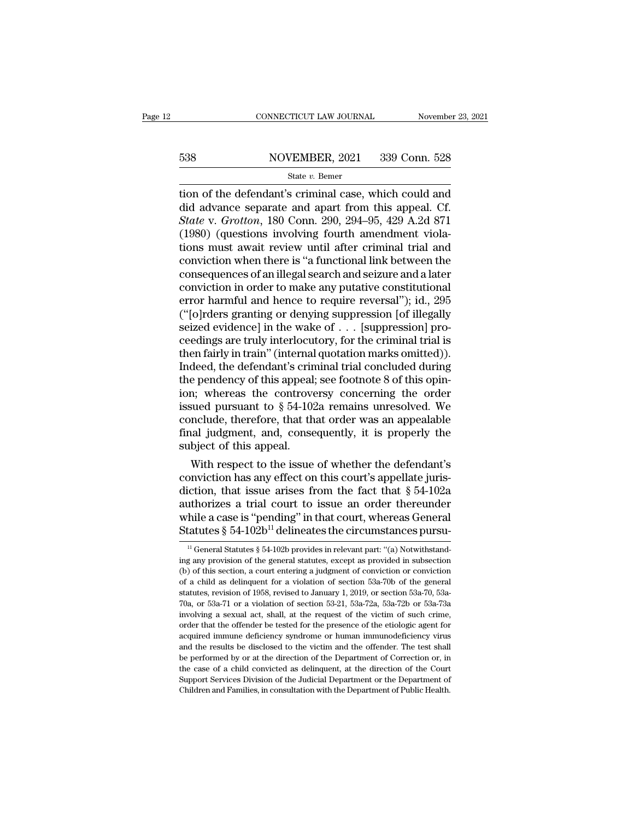# EXECUTE CONNECTICUT LAW JOURNAL Movember 23, 2021<br>538 NOVEMBER, 2021 339 Conn. 528<br>538 State v. Bemer

### State *v.* Bemer

the defendant's criminal case, which could and<br>State v. Bemer<br>dion of the defendant's criminal case, which could and<br>did advance separate and apart from this appeal. Cf.<br>State v. Grotton 180 Conn. 200, 204, 95, 429, A 24,  $\begin{array}{r} \text{538} & \text{NOVEMBER, 2021} & \text{339 Conn. } 528 \\ \text{State } v. \text{ Bemer} \\ \text{tion of the defendant's criminal case, which could and did advance separate and apart from this appeal. Cf. } \text{State v. Grotton, 180 Conn. } 290, 294–95, 429 A.2d 871 \\ \text{(1980) (questions involving fourth andment yields}) \end{array}$  $S38$  NOVEMBER, 2021 339 Conn. 528<br> *State v. Bemer*<br> **State v.** *Grotton*, 180 Conn. 290, 294–95, 429 A.2d 871<br>
(1980) (questions involving fourth amendment violations must await roviow until after criminal trial and  $1988$  MOVEMBER, 2021 339 Conn. 528<br>
State v. Bemer<br>
tion of the defendant's criminal case, which could and<br>
did advance separate and apart from this appeal. Cf.<br>
State v. Grotton, 180 Conn. 290, 294–95, 429 A.2d 871<br>
(19 State v. Bener<br>State v. Bener<br>Theorem and State v. Bener<br>did advance separate and apart from this appeal. Cf.<br>State v. Grotton, 180 Conn. 290, 294–95, 429 A.2d 871<br>(1980) (questions involving fourth amendment viola-<br>tions state v. Bemer<br>tion of the defendant's criminal case, which could and<br>did advance separate and apart from this appeal. Cf.<br>State v. Grotton, 180 Conn. 290, 294–95, 429 A.2d 871<br>(1980) (questions involving fourth amendment tion of the defendant's criminal case, which could and<br>did advance separate and apart from this appeal. Cf.<br>State v. Grotton, 180 Conn. 290, 294–95, 429 A.2d 871<br>(1980) (questions involving fourth amendment viola-<br>tions m did advance separate and apart from this appeal. Cf.<br>State v. Grotton, 180 Conn. 290, 294–95, 429 A.2d 871<br>(1980) (questions involving fourth amendment viola-<br>tions must await review until after criminal trial and<br>convicti State v. Grotton, 180 Conn. 290, 294–95, 429 A.2d 871 (1980) (questions involving fourth amendment violations must await review until after criminal trial and conviction when there is "a functional link between the consequ (1980) (questions involving fourth amendment violations must await review until after criminal trial and conviction when there is "a functional link between the consequences of an illegal search and seizure and a later co tions must await review until after criminal trial and<br>conviction when there is "a functional link between the<br>consequences of an illegal search and seizure and a later<br>conviction in order to make any putative constitutio conviction when there is "a functional link between the consequences of an illegal search and seizure and a later conviction in order to make any putative constitutional error harmful and hence to require reversal"); id., consequences of an illegal search and seizure and a later<br>conviction in order to make any putative constitutional<br>error harmful and hence to require reversal"); id., 295<br>("[o]rders granting or denying suppression [of illeg conviction in order to make any putative constitutional<br>error harmful and hence to require reversal"); id., 295<br>("[o]rders granting or denying suppression [of illegally<br>seized evidence] in the wake of  $\ldots$  [suppression] error harmful and hence to require reversal"); id., 295<br>("[o]rders granting or denying suppression [of illegally<br>seized evidence] in the wake of  $\ldots$  [suppression] pro-<br>ceedings are truly interlocutory, for the criminal ("[o]rders granting or denying suppression [of illegally<br>seized evidence] in the wake of  $\ldots$  [suppression] pro-<br>ceedings are truly interlocutory, for the criminal trial is<br>then fairly in train" (internal quotation marks seized evidence] in the wake of . . . [suppression] pro-<br>ceedings are truly interlocutory, for the criminal trial is<br>then fairly in train" (internal quotation marks omitted)).<br>Indeed, the defendant's criminal trial conclud ceedings are truly interlocutory, for the criminal trial is<br>then fairly in train" (internal quotation marks omitted)).<br>Indeed, the defendant's criminal trial concluded during<br>the pendency of this appeal; see footnote 8 of then fairly in train" (internal quotation marks omitted)).<br>Indeed, the defendant's criminal trial concluded during<br>the pendency of this appeal; see footnote 8 of this opin-<br>ion; whereas the controversy concerning the order Indeed, the defendant's crin<br>the pendency of this appeal;<br>ion; whereas the controve<br>issued pursuant to  $\S 54-102$ <br>conclude, therefore, that th<br>final judgment, and, conse<br>subject of this appeal.<br>With respect to the issue e pendency of this appeal; see footnote 8 of this opin-<br>n; whereas the controversy concerning the order<br>sued pursuant to  $\S 54-102a$  remains unresolved. We<br>nclude, therefore, that that order was an appealable<br>lal judgment Figure 1.1 The controversy concerning the order<br>issued pursuant to  $\S$  54-102a remains unresolved. We<br>conclude, therefore, that that order was an appealable<br>final judgment, and, consequently, it is properly the<br>subject of

diction, that that order was an appealable<br>final judgment, and, consequently, it is properly the<br>subject of this appeal.<br>With respect to the issue of whether the defendant's<br>conviction has any effect on this court's appel conclude, therefore, that that order was an appealable<br>final judgment, and, consequently, it is properly the<br>subject of this appeal.<br>With respect to the issue of whether the defendant's<br>conviction has any effect on this c final judgment, and, consequently, it is properly the<br>subject of this appeal.<br>With respect to the issue of whether the defendant's<br>conviction has any effect on this court's appellate juris-<br>diction, that issue arises from subject of this appeal.<br>
With respect to the issue of whether the defendant's<br>
conviction has any effect on this court's appellate juris-<br>
diction, that issue arises from the fact that  $\S 54-102a$ <br>
authorizes a trial cour iction, that issue arises from the fact that § 54-102a<br>uthorizes a trial court to issue an order thereunder<br>hile a case is "pending" in that court, whereas General<br>tatutes § 54-102b<sup>11</sup> delineates the circumstances pursuauthorizes a trial court to issue an order thereunder<br>while a case is "pending" in that court, whereas General<br>Statutes § 54-102b<sup>11</sup> delineates the circumstances pursu-<br><sup>11</sup> General Statutes § 54-102b provides in relevan

while a case is "pending" in that court, whereas General<br>Statutes § 54-102b<sup>11</sup> delineates the circumstances pursu-<br><sup>11</sup> General Statutes § 54-102b provides in relevant part: "(a) Notwithstand-<br>ing any provision of the ge **Statutes** § 54-102b<sup>11</sup> delineates the circumstances pursu-<br>
<sup>11</sup> General Statutes § 54-102b provides in relevant part: "(a) Notwithstanding any provision of the general statutes, except as provided in subsection (b) of Statutes  $\S$  54-102D<sup>--</sup> definementes the CITCurtistances pursu-<br><sup>11</sup> General Statutes  $\S$  54-102b provides in relevant part: "(a) Notwithstand-<br>ing any provision of the general statutes, except as provided in subsection<br> <sup>11</sup> General Statutes § 54-102b provides in relevant part: "(a) Notwithstanding any provision of the general statutes, except as provided in subsection (b) of this section, a court entering a judgment of conviction or con ing any provision of the general statutes, except as provided in subsection (b) of this section, a court entering a judgment of conviction or conviction of a child as delinquent for a violation of section 53a-70b of the g (b) of this section, a court entering a judgment of conviction or conviction of a child as delinquent for a violation of section 53a-70b of the general statutes, revision of 1958, revised to January 1, 2019, or section 53 For a child as delinquent for a violation of section 53a-70b of the general statutes, revision of 1958, revised to January 1, 2019, or section 53a-70, 53a-70a, or 53a-71 or a violation of section 53-21, 53a-72a, 53a-72b o and the results be disclosed to danuary 1, 2019, or section 53a-70, 53a-70a, or 53a-71 or a violation of section 53-21, 53a-72a, 53a-72b or 53a-73a involving a sexual act, shall, at the request of the victim of such crime be performed by or at the direction of the Department of Correction of the Correction of section 53-21, 53a-72a, 53a-72b or 53a-73a involving a sexual act, shall, at the request of the victim of such crime, order that the involving a sexual act, shall, at the request of the victim of such crime, order that the offender be tested for the presence of the etiologic agent for acquired immune deficiency syndrome or human immunodeficiency virus order that the offender be tested for the presence of the etiologic agent for acquired immune deficiency syndrome or human immunodeficiency virus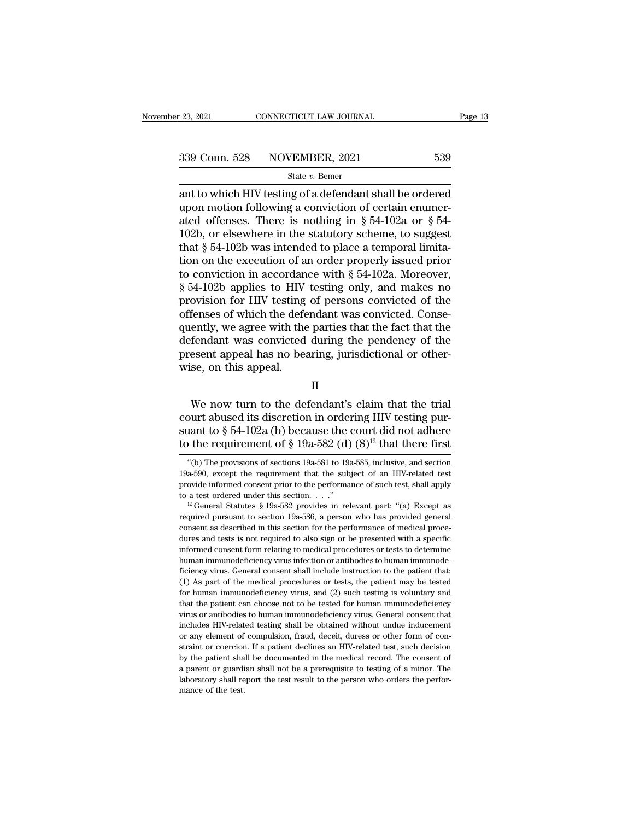<sup>23, 2021</sup> CONNECTICUT LAW JOURNAL Page 13<br>  $\frac{339 \text{ Conn. } 528}{\text{State } v. \text{ Bemer}}$ <br>  $\frac{539}{\text{State } v. \text{ Bemer}}$ <br>
ant to which HIV testing of a defendant shall be ordered<br>
upon motion following a conviction of certain enumerated offe 339 Conn. 528 NOVEMBER, 2021 539<br>
State v. Bemer<br>
ant to which HIV testing of a defendant shall be ordered<br>
upon motion following a conviction of certain enumer-<br>
ated offenses. There is nothing in § 54-102a or § 54-<br>
102 339 Conn. 528 NOVEMBER, 2021 539<br>
State v. Bemer<br>
ant to which HIV testing of a defendant shall be ordered<br>
upon motion following a conviction of certain enumer-<br>
ated offenses. There is nothing in § 54-102a or § 54-<br>
102 339 Conn. 528 NOVEMBER, 2021 539<br>
State v. Bemer<br>
ant to which HIV testing of a defendant shall be ordered<br>
upon motion following a conviction of certain enumer-<br>
ated offenses. There is nothing in § 54-102a or § 54-<br>
102 SECUTE SECUTE SECUTE SECUTE SECUTE SECUTE SET State v. Bener<br>ant to which HIV testing of a defendant shall be ordered<br>upon motion following a conviction of certain enumer-<br>ated offenses. There is nothing in § 54-102a or § state v. Bemer<br>ant to which HIV testing of a defendant shall be ordered<br>upon motion following a conviction of certain enumer-<br>ated offenses. There is nothing in § 54-102a or § 54-<br>102b, or elsewhere in the statutory schem ant to which HIV testing of a defendant shall be ordered<br>upon motion following a conviction of certain enumer-<br>ated offenses. There is nothing in § 54-102a or § 54-<br>102b, or elsewhere in the statutory scheme, to suggest<br>t upon motion following a conviction of certain enumer-<br>ated offenses. There is nothing in § 54-102a or § 54-<br>102b, or elsewhere in the statutory scheme, to suggest<br>that § 54-102b was intended to place a temporal limita-<br>ti ated offenses. There is nothing in § 54-102a or § 54-102b, or elsewhere in the statutory scheme, to suggest that § 54-102b was intended to place a temporal limitation on the execution of an order properly issued prior to 102b, or elsewhere in the statutory scheme, to suggest<br>that  $\S$  54-102b was intended to place a temporal limita-<br>tion on the execution of an order properly issued prior<br>to conviction in accordance with  $\S$  54-102a. Moreov that  $\S$  54-102b was intended to place a temporal limitation on the execution of an order properly issued prior to conviction in accordance with  $\S$  54-102a. Moreover,  $\S$  54-102b applies to HIV testing only, and makes no tion on the execution of an order properly issued prior<br>to conviction in accordance with  $\S$  54-102a. Moreover,<br> $\S$  54-102b applies to HIV testing only, and makes no<br>provision for HIV testing of persons convicted of the<br>o to conviction in accordance with  $\S$  54-102a. Moreover,  $\S$  54-102b applies to HIV testing only, and makes no provision for HIV testing of persons convicted of the offenses of which the defendant was convicted. Consequent § 54-102b applies to HIV<br>provision for HIV testing<br>offenses of which the defe<br>quently, we agree with the<br>defendant was convicted<br>present appeal has no bea<br>wise, on this appeal. ently, we agree with the parties that the fact that the<br>fendant was convicted during the pendency of the<br>esent appeal has no bearing, jurisdictional or other-<br>se, on this appeal.<br> $II$ <br>We now turn to the defendant's claim t

II

defendant was convicted during the pendency of the<br>present appeal has no bearing, jurisdictional or other-<br>wise, on this appeal.<br> $II$ <br>We now turn to the defendant's claim that the trial<br>court abused its discretion in order present appeal has no bearing, jurisdictional or other-<br>wise, on this appeal.<br>  $II$ <br>
We now turn to the defendant's claim that the trial<br>
court abused its discretion in ordering HIV testing pur-<br>
suant to § 54-102a (b) bec Wise, on this appeal.<br>
II<br>
We now turn to the defendant's claim that the trial<br>
court abused its discretion in ordering HIV testing pur-<br>
suant to § 54-102a (b) because the court did not adhere<br>
to the requirement of § 19 We now turn to the defendant's claim that the trial<br>ourt abused its discretion in ordering HIV testing pur-<br>aant to § 54-102a (b) because the court did not adhere<br>of the requirement of § 19a-582 (d) (8)<sup>12</sup> that there fir court abused its discretion in ordering HIV testing pursuant to § 54-102a (b) because the court did not adhere<br>to the requirement of § 19a-582 (d)  $(8)^{12}$  that there first<br>"(b) The provisions of sections 19a-581 to 19a-

suant to § 54-102a (b) because the court did not adhere<br>to the requirement of § 19a-582 (d) (8)<sup>12</sup> that there first<br>"(b) The provisions of sections 19a-581 to 19a-585, inclusive, and section<br>19a-590, except the requireme to the requirement of § 19a-582 (d) (8)<sup>12</sup> that there first (b) The provisions of sections 19a-581 to 19a-585, inclusive, and section 19a-590, except the requirement that the subject of an HIV-related test provide inform

<sup>&</sup>quot;(b) The provisions of sections 19a-581 to 19a-585, inclusive, and section 19a-590, except the requirement that the subject of an HIV-related test provide informed consent prior to the performance of such test, shall appl 19a-590, except the requirement that the subject of an HIV-related test provide informed consent prior to the performance of such test, shall apply to a test ordered under this section  $\ldots$ ."<br><sup>12</sup> General Statutes § 19aprovide informed consent prior to the performance of such test, shall apply<br>to a test ordered under this section. . . ."<br> $^{12}$  General Statutes § 19a-582 provides in relevant part: "(a) Except as<br>required pursuant to sec informed consent form relating to medical procedures or tests to determine required pursuant to section 19a-586, a person who has provided general consent as described in this section for the performance of medical procedures and tests is not required to also sign or be presented with a specific ficiency virus. General consent shall include instruction to the patient consent as described in this section for the performance of medical procedures and tests is not required to also sign or be presented with a specific request as described in this section for the performance of medical procedures and tests is not required to also sign or be presented with a specific informed consent form relating to medical procedures or tests to determi dures and tests is not required to also sign or be presented with a specific informed consent form relating to medical procedures or tests to determine human immunodeficiency virus infection or antibodies to human immunode and that the patient computer of the patient can choose of the patient consent form relating to medical procedures or tests to determine human immunodeficiency virus. General consent shall include instruction to the patien human immunodeficiency virus infection or antibodies to human immunodeficiency virus. General consent shall include instruction to the patient that:<br>(1) As part of the medical procedures or tests, the patient may be tested ficiency virus. General consent shall include instruction to the patient that:<br>(1) As part of the medical procedures or tests, the patient may be tested<br>for human immunodeficiency virus, and (2) such testing is voluntary a (1) As part of the medical procedures or tests, the patient may be tested<br>for human immunodeficiency virus, and (2) such testing is voluntary and<br>that the patient can choose not to be tested for human immunodeficiency<br>vir For human immunodeficiency virus, and (2) such testing is voluntary and that the patient can choose not to be tested for human immunodeficiency virus or antibodies to human immunodeficiency virus. General consent that inc for human immunodeficiency virus, and  $(2)$  such testing is voluntary and that the patient can choose not to be tested for human immunodeficiency virus or antibodies to human immunodeficiency virus. General consent that i a parent or guardian shall he obtained without undue inducement that includes HIV-related testing shall be obtained without undue inducement or any element of compulsion, fraud, deceit, duress or other form of constraint o includes HIV-related testing shall be obtained without undue inducement<br>or any element of compulsion, fraud, deceit, duress or other form of con-<br>straint or coercion. If a patient declines an HIV-related test, such decisio or any element of compulsion, fraud, deceit, duress or other form of con-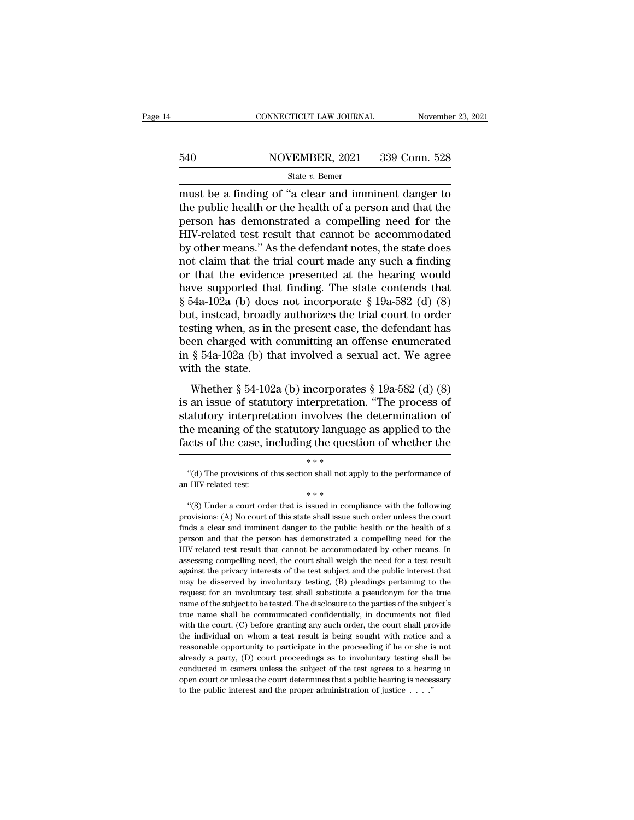# EXECUTE CONNECTICUT LAW JOURNAL Movember 23, 2021<br>540 NOVEMBER, 2021 339 Conn. 528<br>540 State v. Bemer

### State *v.* Bemer

CONNECTICUT LAW JOURNAL November 23, 2021<br>
S40 NOVEMBER, 2021 339 Conn. 528<br>
State v. Bemer<br>
must be a finding of "a clear and imminent danger to<br>
the public health or the health of a person and that the<br>
person has demon 540 NOVEMBER, 2021 339 Conn. 528<br>
State v. Bemer<br>
must be a finding of "a clear and imminent danger to<br>
the public health or the health of a person and that the<br>
person has demonstrated a compelling need for the<br>
HIV rola 540 NOVEMBER, 2021 339 Conn. 528<br>
State v. Bemer<br>
must be a finding of "a clear and imminent danger to<br>
the public health or the health of a person and that the<br>
person has demonstrated a compelling need for the<br>
HIV-rela  $\frac{\text{S40}}{\text{State } v. \text{ Bemer}}$ <br>  $\frac{\text{State } v. \text{ Bemer}}{\text{must be a finding of "a clear and imminent danger to}}$ <br>
the public health or the health of a person and that the<br>
person has demonstrated a compelling need for the<br>
HIV-related test result that cannot be accommodat State v. Bener<br>
State v. Bener<br>
must be a finding of "a clear and imminent danger to<br>
the public health or the health of a person and that the<br>
person has demonstrated a compelling need for the<br>
HIV-related test result th state  $v$ . Bemer<br>
must be a finding of "a clear and imminent danger to<br>
the public health or the health of a person and that the<br>
person has demonstrated a compelling need for the<br>
HIV-related test result that cannot be a must be a finding of "a clear and imminent danger to<br>the public health or the health of a person and that the<br>person has demonstrated a compelling need for the<br>HIV-related test result that cannot be accommodated<br>by other the public health or the health of a person and that the<br>person has demonstrated a compelling need for the<br>HIV-related test result that cannot be accommodated<br>by other means." As the defendant notes, the state does<br>not cl person has demonstrated a compelling need for the<br>HIV-related test result that cannot be accommodated<br>by other means." As the defendant notes, the state does<br>not claim that the trial court made any such a finding<br>or that t HIV-related test result that cannot be accommodated<br>by other means." As the defendant notes, the state does<br>not claim that the trial court made any such a finding<br>or that the evidence presented at the hearing would<br>have s by other means." As the defendant notes, the state does<br>not claim that the trial court made any such a finding<br>or that the evidence presented at the hearing would<br>have supported that finding. The state contends that<br> $\S 54$ not claim that the trial court made any such a finding<br>or that the evidence presented at the hearing would<br>have supported that finding. The state contends that<br> $\S 54a-102a$  (b) does not incorporate  $\S 19a-582$  (d) (8)<br>but or that the evidence presented at the hearing would<br>have supported that finding. The state contends that<br> $\S 54a-102a$  (b) does not incorporate  $\S 19a-582$  (d) (8)<br>but, instead, broadly authorizes the trial court to order<br> have supported tha<br> $\S$  54a-102a (b) does<br>but, instead, broadl;<br>testing when, as in t<br>been charged with<br>in  $\S$  54a-102a (b) th<br>with the state.<br>Whether  $\S$  54-102a  $\frac{1}{2}$  and  $\frac{1}{2}$  incorporate s  $\frac{1}{2}$  is  $\frac{1}{2}$  is  $\frac{1}{2}$  is  $\frac{1}{2}$  is  $\frac{1}{2}$  incorporate s the trial court to order sting when, as in the present case, the defendant has en charged with committing a but, instead, broadly additionless the trial court to order<br>testing when, as in the present case, the defendant has<br>been charged with committing an offense enumerated<br>in § 54a-102a (b) that involved a sexual act. We agree

stature when, as in the present case, the determinant has<br>been charged with committing an offense enumerated<br>in § 54a-102a (b) that involved a sexual act. We agree<br>with the state.<br>Whether § 54-102a (b) incorporates § 19athe meaning of the statutory interpretation. We agree with the state.<br>Whether  $\S 54-102a$  (b) incorporates  $\S 19a-582$  (d) (8) is an issue of statutory interpretation. "The process of statutory interpretation involves the for the state. Whether  $\S$  54-102a (b) incorporates  $\S$  19a-582 (d) (8) is an issue of statutory interpretation. "The process of statutory interpretation involves the determination of the meaning of the statutory language is an issue of statutory interpretation. "The process of statutory interpretation involves the determination of the meaning of the statutory language as applied to the facts of the case, including the question of whether According interpretation involves the determination of<br>
interpretations of the statutory language as applied to the<br>
contracts of the case, including the question of whether the<br>  $***$ <br>
"(d) The provisions of this section sh the meaning of the statutory language<br>facts of the case, including the ques<br> $\begin{array}{r} * \ * \ * \ \end{array}$ <br>"(d) The provisions of this section shall not ap<br>an HIV-related test:<br>"(8) Under a court order that is issued in comp

<sup>&</sup>lt;sup>\*\*\*</sup><br>
"(d) The provisions of this section shall not apply to the performance of<br>
HIV-related test:<br>
<sup>\*\*\*</sup><br>
"(8) Under a court order that is issued in compliance with the following<br>
ovisions: (A) No court of this state sha <sup>\*</sup>\*\*<br>
"(d) The provisions of this section shall not apply to the performance of<br>
an HIV-related test:<br>  $* * *$ <br>
"(8) Under a court order that is issued in compliance with the following<br>
provisions: (A) No court of this sta finds a clear and imminent danger to the public health or the health of a person and that the person has demonstrated a compliance with the following provisions: (A) No court of this state shall issue such order unless th an HIV-related test:<br>
\*\*\*<br>
"(8) Under a court order that is issued in compliance with the following<br>
provisions: (A) No court of this state shall issue such order unless the court<br>
finds a clear and imminent danger to the  $**$ <br>
"(8) Under a court order that is issued in compliance with the following<br>
provisions: (A) No court of this state shall issue such order unless the court<br>
finds a clear and imminent danger to the public health or the "(8) Under a court order that is issued in compliance with the following provisions: (A) No court of this state shall issue such order unless the court finds a clear and imminent danger to the public health or the health provisions: (A) No court of this state shall issue such order unless the court<br>finds a clear and imminent danger to the public health or the health of a<br>person and that the person has demonstrated a compelling need for th Finds a clear and imminent danger to the public health or the health of a<br>finds a clear and imminent danger to the public health or the health of a<br>person and that the person has demonstrated a compelling need for the<br>HIVrepreson and that the person has demonstrated a compelling need for the HIV-related test result that cannot be accommodated by other means. In assessing compelling need, the court shall weigh the need for a test result aga FIIV-related test result that cannot be accommodated by other means. In assessing compelling need, the court shall weigh the need for a test result against the privacy interests of the test subject and the public interest assessing compelling need, the court shall weigh the need for a test result against the privacy interests of the test subject and the public interest that may be disserved by involuntary testing, (B) pleadings pertaining t against the privacy interests of the test subject and the public interest that may be disserved by involuntary testing, (B) pleadings pertaining to the request for an involuntary test shall substitute a pseudonym for the t the individual on whom a test result is being sought with notice and a reasonable opportunity to the produce and a test of the subject's true name shall be communicated confidentially, in documents not filed with the court request for an involuntary test shall substitute a pseudonym for the true<br>name of the subject to be tested. The disclosure to the parties of the subject's<br>true name shall be communicated confidentially, in documents not f ready a party, (D) court proceedings as to involuntary testing in comme of the subject's true name shall be communicated confidentially, in documents not filed with the court, (C) before granting any such order, the court true name shall be communicated confidentially, in documents not filed<br>with the court, (C) before granting any such order, the court shall provide<br>the individual on whom a test result is being sought with notice and a<br>reas with the court, (C) before granting any such order, the court shall provide the individual on whom a test result is being sought with notice and a reasonable opportunity to participate in the proceeding if he or she is no the individual on whom a test result is being sought with notice and a reasonable opportunity to participate in the proceeding if he or she is not already a party, (D) court proceedings as to involuntary testing shall be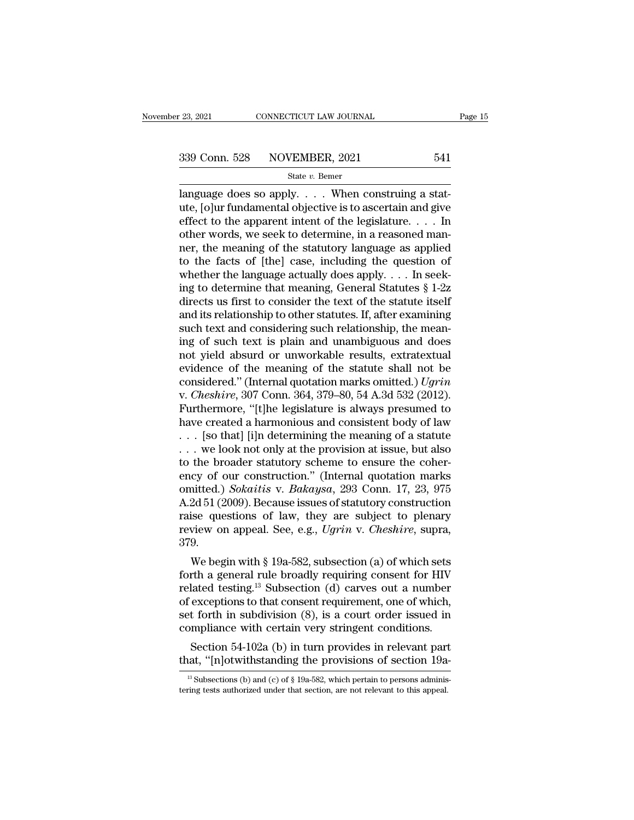$\begin{array}{cccc}\n \text{23, 2021} & \text{CONNETICUT LAW JOURNAL} \\
 \hline\n 339 \text{ Conn. } 528 & \text{NOVEMBER, } 2021 & 541 \\
 \text{State } v. \text{ Bemer} \\
 \text{language does so apply. . . . When constructing a stat-ute, [O]ur fundamental objective is to ascertain and give offset to the apparent intent of the logistic law. \end{array}$ 339 Conn. 528 NOVEMBER, 2021 541<br>
state v. Bemer<br>
language does so apply. . . . When construing a stat-<br>
ute, [o]ur fundamental objective is to ascertain and give<br>
effect to the apparent intent of the legislature. . . . . 339 Conn. 528 NOVEMBER, 2021 541<br>
State v. Bemer<br>
language does so apply.... When construing a stat-<br>
ute, [o]ur fundamental objective is to ascertain and give<br>
effect to the apparent intent of the legislature.... In<br>
oth 339 Conn. 528 NOVEMBER, 2021 541<br>
State v. Bemer<br>
language does so apply. . . . When construing a stat-<br>
ute, [o]ur fundamental objective is to ascertain and give<br>
effect to the apparent intent of the legislature. . . . . State v. Bemer<br>
State v. Bemer<br>
language does so apply. . . . When construing a stat-<br>
ute, [o]ur fundamental objective is to ascertain and give<br>
effect to the apparent intent of the legislature. . . . In<br>
other words, we state *v*. Bemer<br>language does so apply. . . . When construing a stat-<br>ute, [o]ur fundamental objective is to ascertain and give<br>effect to the apparent intent of the legislature. . . . In<br>other words, we seek to determine language does so apply. . . . . When construing a stat-<br>ute, [o]ur fundamental objective is to ascertain and give<br>effect to the apparent intent of the legislature. . . . . In<br>other words, we seek to determine, in a reason ute, [o]ur fundamental objective is to ascertain and give<br>effect to the apparent intent of the legislature. . . . In<br>other words, we seek to determine, in a reasoned man-<br>ner, the meaning of the statutory language as appl effect to the apparent intent of the legislature. . . . In<br>other words, we seek to determine, in a reasoned man-<br>ner, the meaning of the statutory language as applied<br>to the facts of [the] case, including the question of<br> other words, we seek to determine, in a reasoned manner, the meaning of the statutory language as applied<br>to the facts of [the] case, including the question of<br>whether the language actually does apply. . . . In seek-<br>ing ner, the meaning of the statutory language as applied<br>to the facts of [the] case, including the question of<br>whether the language actually does apply. . . . In seek-<br>ing to determine that meaning, General Statutes § 1-2z<br>d to the facts of [the] case, including the question of<br>whether the language actually does apply. . . . In seek-<br>ing to determine that meaning, General Statutes  $§$  1-2z<br>directs us first to consider the text of the statute whether the language actually does apply. . . . In seeking to determine that meaning, General Statutes § 1-2z directs us first to consider the text of the statute itself and its relationship to other statutes. If, after e ing to determine that meaning, General Statutes § 1-2z<br>directs us first to consider the text of the statute itself<br>and its relationship to other statutes. If, after examining<br>such text and considering such relationship, t directs us first to consider the text of the statute itself<br>and its relationship to other statutes. If, after examining<br>such text and considering such relationship, the mean-<br>ing of such text is plain and unambiguous and d and its relationship to other statutes. If, after examining<br>such text and considering such relationship, the mean-<br>ing of such text is plain and unambiguous and does<br>not yield absurd or unworkable results, extratextual<br>evi such text and considering such relationship, the meaning of such text is plain and unambiguous and does<br>not yield absurd or unworkable results, extratextual<br>evidence of the meaning of the statute shall not be<br>considered." ing of such text is plain and unambiguous and does<br>not yield absurd or unworkable results, extratextual<br>evidence of the meaning of the statute shall not be<br>considered." (Internal quotation marks omitted.) *Ugrin*<br>v. *Ches* not yield absurd or unworkable results, extratextual<br>evidence of the meaning of the statute shall not be<br>considered." (Internal quotation marks omitted.) *Ugrin*<br>v. *Cheshire*, 307 Conn. 364, 379–80, 54 A.3d 532 (2012).<br>F evidence of the meaning of the statute shall not be considered." (Internal quotation marks omitted.) *Ugrin* v. *Cheshire*, 307 Conn. 364, 379–80, 54 A.3d 532 (2012). Furthermore, "[t]he legislature is always presumed to considered." (Internal quotation marks omitted.) Ugrin v. Cheshire, 307 Conn. 364, 379–80, 54 A.3d 532 (2012).<br>Furthermore, "[t]he legislature is always presumed to have created a harmonious and consistent body of law . . v. *Cheshire*, 307 Conn. 364, 379–80, 54 A.3d 532 (2012).<br>Furthermore, "[t]he legislature is always presumed to<br>have created a harmonious and consistent body of law<br>... [so that] [i]n determining the meaning of a statute<br> Furthermore, "[t]he legislature is always presumed to<br>have created a harmonious and consistent body of law<br>... [so that] [i]n determining the meaning of a statute<br>... we look not only at the provision at issue, but also<br>to have created a harmonious and consistent body of law . . . [so that] [i]n determining the meaning of a statute . . . we look not only at the provision at issue, but also to the broader statutory scheme to ensure the coher ... [so that] [i]n determining the meaning of a statute<br>... we look not only at the provision at issue, but also<br>to the broader statutory scheme to ensure the coher-<br>ency of our construction." (Internal quotation marks<br>om review on a issue, but also<br>to the broader statutory scheme to ensure the coher-<br>ency of our construction." (Internal quotation marks<br>omitted.) *Sokaitis* v. *Bakaysa*, 293 Conn. 17, 23, 975<br>A.2d 51 (2009). Because issues 379. cy of our construction. (Internal quotation marks<br>
intted.) Sokaitis v. Bakaysa, 293 Conn. 17, 23, 975<br>
2d 51 (2009). Because issues of statutory construction<br>
ise questions of law, they are subject to plenary<br>
view on ap omitted.) Sokalus V. Bakaysa, 293 Conn. 17, 25, 975<br>A.2d 51 (2009). Because issues of statutory construction<br>raise questions of law, they are subject to plenary<br>review on appeal. See, e.g., *Ugrin v. Cheshire*, supra,<br>379

A.2d 51 (2009). Because issues of statutory construction<br>raise questions of law, they are subject to plenary<br>review on appeal. See, e.g., *Ugrin* v. *Cheshire*, supra,<br>379.<br>We begin with § 19a-582, subsection (a) of which raise questions of law, they are subject to pienary<br>review on appeal. See, e.g., *Ugrin v. Cheshire*, supra,<br>379.<br>We begin with § 19a-582, subsection (a) of which sets<br>forth a general rule broadly requiring consent for HI review on appeal. See, e.g., *Ugrin* v. *Cheshire*, supra,<br>379.<br>We begin with § 19a-582, subsection (a) of which sets<br>forth a general rule broadly requiring consent for HIV<br>related testing.<sup>13</sup> Subsection (d) carves out a We begin with § 19a-582, subsection (a) of which sets<br>forth a general rule broadly requiring consent for HIV<br>related testing.<sup>13</sup> Subsection (d) carves out a number<br>of exceptions to that consent requirement, one of which, We begin with § 19a-582, subsection (a) or which sets<br>trih a general rule broadly requiring consent for HIV<br>lated testing.<sup>13</sup> Subsection (d) carves out a number<br>exceptions to that consent requirement, one of which,<br>t fort Figure 1 are general rule broadly requiring consent for HIV<br>related testing.<sup>13</sup> Subsection (d) carves out a number<br>of exceptions to that consent requirement, one of which,<br>set forth in subdivision (8), is a court order i

mpliance with certain very stringent conditions.<br>Section 54-102a (b) in turn provides in relevant part<br>aat, "[n]otwithstanding the provisions of section 19a-<br> $\frac{13}{19}$  Subsections (b) and (c) of § 19a-582, which pertain Exercise with certain very stringent conditions.<br>Section 54-102a (b) in turn provides in relevant part<br>that, "[n]otwithstanding the provisions of section 19a.<br> $\frac{13}{13}$  Subsections (b) and (c) of § 19a-582, which pertai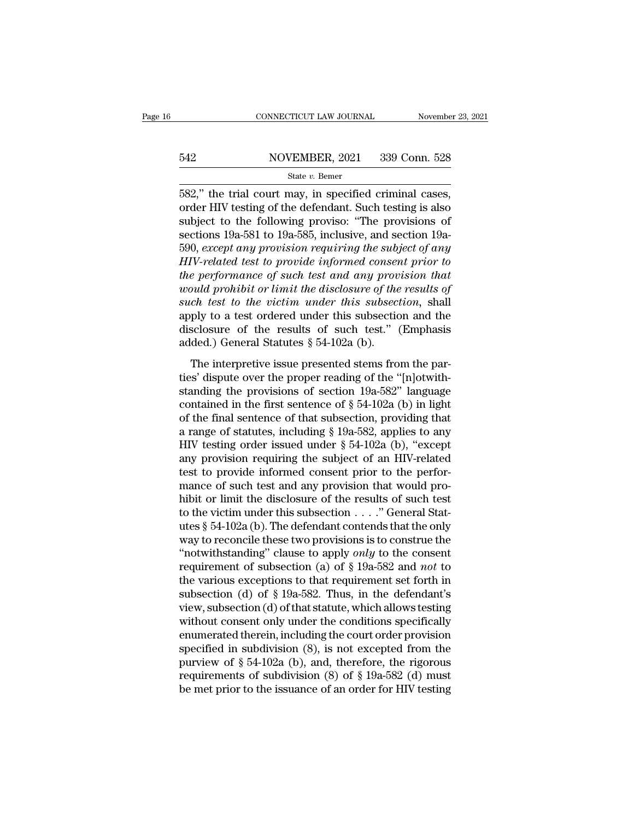# EXECUTE CONNECTICUT LAW JOURNAL Movember 23, 2021<br>542 NOVEMBER, 2021 339 Conn. 528<br>542 State v. Bemer

### State *v.* Bemer

CONNECTICUT LAW JOURNAL November 23, 2<br>
State V. Demer<br>
State V. Bemer<br>
State V. Bemer<br>
State V. Bemer<br>
State V. Bemer<br>
State V. Bemer<br>
State V. Bemer<br>
State Criminal cases, order HIV testing of the defendant. Such testing 542 NOVEMBER, 2021 339 Conn. 528<br>
State v. Bemer<br>
582," the trial court may, in specified criminal cases,<br>
order HIV testing of the defendant. Such testing is also<br>
subject to the following proviso: "The provisions of<br>
se  $542$  NOVEMBER, 2021 339 Conn. 528<br>
State v. Bemer<br>  $582$ ," the trial court may, in specified criminal cases,<br>
order HIV testing of the defendant. Such testing is also<br>
subject to the following proviso: "The provisions of  $\frac{\text{S42}}{\text{State } v. \text{ Bemer}}$ <br>State  $v. \text{ Bemer}$ <br>582," the trial court may, in specified criminal cases,<br>order HIV testing of the defendant. Such testing is also<br>subject to the following proviso: "The provisions of<br>sections 19a-State *v*. Bener<br>
State *v*. Bener<br>
582," the trial court may, in specified criminal cases,<br>
order HIV testing of the defendant. Such testing is also<br>
subject to the following proviso: "The provisions of<br>
sections 19a-581 <sup>Higher</sup> *Hemer*<br> **HIV-related countains in specified criminal cases,**<br> **CHIV-related of the defendant.** Such testing is also<br>
subject to the following proviso: "The provisions of<br>
sections 19a-581 to 19a-585, inclusive, a 582," the trial court may, in specified criminal cases,<br>order HIV testing of the defendant. Such testing is also<br>subject to the following proviso: "The provisions of<br>sections 19a-581 to 19a-585, inclusive, and section 19aorder HIV testing of the defendant. Such testing is also<br>subject to the following proviso: "The provisions of<br>sections 19a-581 to 19a-585, inclusive, and section 19a-<br>590, *except any provision requiring the subject of any* subject to the following proviso: "The provisions of<br>sections 19a-581 to 19a-585, inclusive, and section 19a-<br>590, *except any provision requiring the subject of any*<br>*HIV-related test to provide informed consent prior to* sections 19a-581 to 19a-585, inclusive, and section 19a-<br>590, except any provision requiring the subject of any<br>HIV-related test to provide informed consent prior to<br>the performance of such test and any provision that<br>wou 590, except any provision requiring the subject of any  $HIV$ -related test to provide informed consent prior to the performance of such test and any provision that would prohibit or limit the disclosure of the results of su HIV-related test to provide informed conser<br>the performance of such test and any prov<br>would prohibit or limit the disclosure of the<br>such test to the victim under this subsectic<br>apply to a test ordered under this subsectic<br> and prohibit or limit the disclosure of the results of the test to the victim under this subsection, shall ply to a test ordered under this subsection, shall ply to a test ordered under this subsection and the sclosure of such test to the victim under this subsection, shall<br>such test to the victim under this subsection, shall<br>apply to a test ordered under this subsection and the<br>disclosure of the results of such test." (Emphasis<br>added.) Ge

stand itself is the betterm and the subsection, share<br>apply to a test ordered under this subsection and the<br>disclosure of the results of such test." (Emphasis<br>added.) General Statutes § 54-102a (b).<br>The interpretive issue disclosure of the results of such test." (Emphasis added.) General Statutes § 54-102a (b).<br>The interpretive issue presented stems from the parties' dispute over the proper reading of the "[n]otwith-<br>standing the provision added.) General Statutes § 54-102a (b).<br>The interpretive issue presented stems from the par-<br>ties' dispute over the proper reading of the "[n]otwith-<br>standing the provisions of section 19a-582" language<br>contained in the f The interpretive issue presented stems from the parties' dispute over the proper reading of the "[n]otwith-<br>standing the provisions of section 19a-582" language<br>contained in the first sentence of § 54-102a (b) in light<br>of The interpretive issue presented stems from the parties' dispute over the proper reading of the "[n]otwith-<br>standing the provisions of section 19a-582" language<br>contained in the first sentence of  $\S 54-102a$  (b) in light<br> ties' dispute over the proper reading of the "[n]otwith-<br>standing the provisions of section 19a-582" language<br>contained in the first sentence of  $\S 54-102a$  (b) in light<br>of the final sentence of that subsection, providing standing the provisions of section 19a-582" language<br>contained in the first sentence of  $\S$  54-102a (b) in light<br>of the final sentence of that subsection, providing that<br>a range of statutes, including  $\S$  19a-582, applies contained in the first sentence of  $\S$  54-102a (b) in light<br>of the final sentence of that subsection, providing that<br>a range of statutes, including  $\S$  19a-582, applies to any<br>HIV testing order issued under  $\S$  54-102a (b of the final sentence of that subsection, providing that<br>a range of statutes, including § 19a-582, applies to any<br>HIV testing order issued under § 54-102a (b), "except<br>any provision requiring the subject of an HIV-related a range of statutes, including § 19a-582, applies to any<br>HIV testing order issued under § 54-102a (b), "except<br>any provision requiring the subject of an HIV-related<br>test to provide informed consent prior to the perfor-<br>ma HIV testing order issued under § 54-102a (b), "except<br>any provision requiring the subject of an HIV-related<br>test to provide informed consent prior to the perfor-<br>mance of such test and any provision that would pro-<br>hibit any provision requiring the subject of an HIV-related<br>test to provide informed consent prior to the perfor-<br>mance of such test and any provision that would pro-<br>hibit or limit the disclosure of the results of such test<br>to test to provide informed consent prior to the performance of such test and any provision that would pro-<br>hibit or limit the disclosure of the results of such test<br>to the victim under this subsection  $\ldots$ ." General Stat-<br> mance of such test and any provision that would pro-<br>hibit or limit the disclosure of the results of such test<br>to the victim under this subsection  $\ldots$ ." General Stat-<br>utes § 54-102a (b). The defendant contends that the hibit or limit the disclosure of the results of such test<br>to the victim under this subsection . . . ." General Stat-<br>utes § 54-102a (b). The defendant contends that the only<br>way to reconcile these two provisions is to con to the victim under this subsection  $\dots$ ." General Stat-<br>utes § 54-102a (b). The defendant contends that the only<br>way to reconcile these two provisions is to construe the<br>"notwithstanding" clause to apply *only* to the co utes § 54-102a (b). The defendant contends that the only<br>way to reconcile these two provisions is to construe the<br>"notwithstanding" clause to apply *only* to the consent<br>requirement of subsection (a) of § 19a-582 and *not* way to reconcile these two provisions is to construe the<br>"notwithstanding" clause to apply *only* to the consent<br>requirement of subsection (a) of § 19a-582 and *not* to<br>the various exceptions to that requirement set forth "notwithstanding" clause to apply *only* to the consent<br>requirement of subsection (a) of § 19a-582 and *not* to<br>the various exceptions to that requirement set forth in<br>subsection (d) of § 19a-582. Thus, in the defendant's requirement of subsection (a) of § 19a-582 and *not* to<br>the various exceptions to that requirement set forth in<br>subsection (d) of § 19a-582. Thus, in the defendant's<br>view, subsection (d) of that statute, which allows test the various exceptions to that requirement set forth in<br>subsection (d) of § 19a-582. Thus, in the defendant's<br>view, subsection (d) of that statute, which allows testing<br>without consent only under the conditions specifical subsection (d) of § 19a-582. Thus, in the defendant's<br>view, subsection (d) of that statute, which allows testing<br>without consent only under the conditions specifically<br>enumerated therein, including the court order provisi view, subsection (d) of that statute, which allows testing<br>without consent only under the conditions specifically<br>enumerated therein, including the court order provision<br>specified in subdivision (8), is not excepted from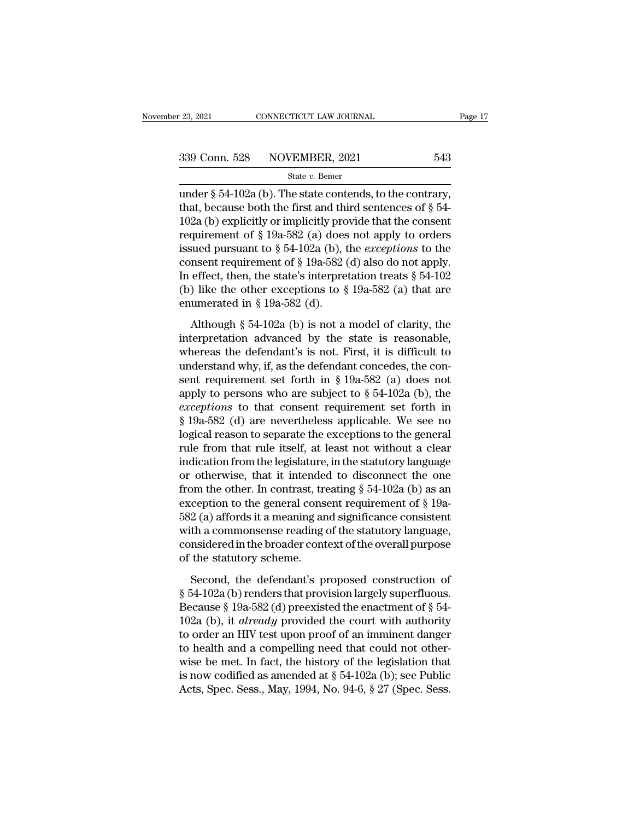<sup>23, 2021</sup> CONNECTICUT LAW JOURNAL Page<br>  $\frac{339 \text{ Conn. } 528}{\text{State } v. \text{ Bemer}}$ <br>
Under § 54-102a (b). The state contends, to the contrary,<br>
that, because both the first and third sentences of § 54-102a (b) evaluative complicitl 339 Conn. 528 NOVEMBER, 2021 543<br>
State v. Bemer<br>
under § 54-102a (b). The state contends, to the contrary,<br>
that, because both the first and third sentences of § 54-<br>
102a (b) explicitly or implicitly provide that the co 339 Conn. 528 NOVEMBER, 2021 543<br>
State v. Bemer<br>
under § 54-102a (b). The state contends, to the contrary,<br>
that, because both the first and third sentences of § 54-<br>
102a (b) explicitly or implicitly provide that the co 339 Conn. 528 NOVEMBER, 2021 543<br>
State v. Bemer<br>
under § 54-102a (b). The state contends, to the contrary,<br>
that, because both the first and third sentences of § 54-<br>
102a (b) explicitly or implicitly provide that the co State *v*. Bemer<br>
under § 54-102a (b). The state contends, to the contrary,<br>
that, because both the first and third sentences of § 54-<br>
102a (b) explicitly or implicitly provide that the consent<br>
requirement of § 19a-582 state v. Benter<br>under § 54-102a (b). The state contends, to the contrary,<br>that, because both the first and third sentences of § 54-<br>102a (b) explicitly or implicitly provide that the consent<br>requirement of § 19a-582 (a) d under § 54-102a (b). The state contends, to the contrary,<br>that, because both the first and third sentences of § 54-<br>102a (b) explicitly or implicitly provide that the consent<br>requirement of § 19a-582 (a) does not apply to that, because both the first and third sentences of § 54-<br>102a (b) explicitly or implicitly provide that the consent<br>requirement of § 19a-582 (a) does not apply to orders<br>issued pursuant to § 54-102a (b), the *exceptions* 102a (b) explicitly or implicitly pro<br>requirement of  $\S$  19a-582 (a) does<br>issued pursuant to  $\S$  54-102a (b), t<br>consent requirement of  $\S$  19a-582 (<br>In effect, then, the state's interpre<br>(b) like the other exceptions to and pursuant to § 54-102a (b), the *exceptions* to the msent requirement of § 19a-582 (d) also do not apply.<br>
effect, then, the state's interpretation treats § 54-102<br>
) like the other exceptions to § 19a-582 (a) that are consent requirement of § 19a-582 (d) also do not apply.<br>In effect, then, the state's interpretation treats § 54-102<br>(b) like the other exceptions to § 19a-582 (a) that are<br>enumerated in § 19a-582 (d).<br>Although § 54-102a (

In effect, then, the state's interpretation treats  $\S$  54-102<br>
(b) like the other exceptions to  $\S$  19a-582 (a) that are<br>
enumerated in  $\S$  19a-582 (d).<br>
Although  $\S$  54-102a (b) is not a model of clarity, the<br>
interpreta (b) like the other exceptions to § 19a-582 (a) that are<br>enumerated in § 19a-582 (d).<br>Although § 54-102a (b) is not a model of clarity, the<br>interpretation advanced by the state is reasonable,<br>whereas the defendant's is not enumerated in § 19a-582 (d).<br>Although § 54-102a (b) is not a model of clarity, the<br>interpretation advanced by the state is reasonable,<br>whereas the defendant's is not. First, it is difficult to<br>understand why, if, as the d Although § 54-102a (b) is not a model of clarity, the<br>interpretation advanced by the state is reasonable,<br>whereas the defendant's is not. First, it is difficult to<br>understand why, if, as the defendant concedes, the con-<br>s Although § 54-102a (b) is not a model of clarity, the<br>interpretation advanced by the state is reasonable,<br>whereas the defendant's is not. First, it is difficult to<br>understand why, if, as the defendant concedes, the con-<br>s interpretation advanced by the state is reasonable,<br>whereas the defendant's is not. First, it is difficult to<br>understand why, if, as the defendant concedes, the con-<br>sent requirement set forth in § 19a-582 (a) does not<br>ap whereas the defendant's is not. First, it is difficult to understand why, if, as the defendant concedes, the consent requirement set forth in § 19a-582 (a) does not apply to persons who are subject to § 54-102a (b), the understand why, if, as the defendant concedes, the consent requirement set forth in  $\S 19a-582$  (a) does not apply to persons who are subject to  $\S 54-102a$  (b), the *exceptions* to that consent requirement set forth in sent requirement set forth in § 19a-582 (a) does not<br>apply to persons who are subject to § 54-102a (b), the<br>*exceptions* to that consent requirement set forth in<br>§ 19a-582 (d) are nevertheless applicable. We see no<br>logica apply to persons who are subject to § 54-102a (b), the *exceptions* to that consent requirement set forth in § 19a-582 (d) are nevertheless applicable. We see no logical reason to separate the exceptions to the general ru exceptions to that consent requirement set forth in § 19a-582 (d) are nevertheless applicable. We see no logical reason to separate the exceptions to the general rule from that rule itself, at least not without a clear ind § 19a-582 (d) are nevertheless applicable. We see no<br>logical reason to separate the exceptions to the general<br>rule from that rule itself, at least not without a clear<br>indication from the legislature, in the statutory lang logical reason to separate the exceptions to the general<br>rule from that rule itself, at least not without a clear<br>indication from the legislature, in the statutory language<br>or otherwise, that it intended to disconnect the rule from that rule itself, at least not without a clear<br>indication from the legislature, in the statutory language<br>or otherwise, that it intended to disconnect the one<br>from the other. In contrast, treating § 54-102a (b) a indication from the legislature, in the statutory language<br>or otherwise, that it intended to disconnect the one<br>from the other. In contrast, treating § 54-102a (b) as an<br>exception to the general consent requirement of § 1 or otherwise, that it intendee<br>from the other. In contrast, tre<br>exception to the general cons<br>582 (a) affords it a meaning an<br>with a commonsense reading (<br>considered in the broader cont<br>of the statutory scheme.<br>Second, the ception to the general consent requirement of § 19a-<br>2 (a) affords it a meaning and significance consistent<br>th a commonsense reading of the statutory language,<br>msidered in the broader context of the overall purpose<br>the st 582 (a) affords it a meaning and significance consistent<br>with a commonsense reading of the statutory language,<br>considered in the broader context of the overall purpose<br>of the statutory scheme.<br>Second, the defendant's prop

with a commonsense reading of the statutory language,<br>considered in the broader context of the overall purpose<br>of the statutory scheme.<br>Second, the defendant's proposed construction of<br> $\S 54-102a$  (b) renders that provisi considered in the broader context of the overall purpose<br>of the statutory scheme.<br>Second, the defendant's proposed construction of<br>§ 54-102a (b) renders that provision largely superfluous.<br>Because § 19a-582 (d) preexisted of the statutory scheme.<br>
Second, the defendant's proposed construction of<br>
§ 54-102a (b) renders that provision largely superfluous.<br>
Because § 19a-582 (d) preexisted the enactment of § 54-<br>
102a (b), it *already* provid Second, the defendant's proposed construction of<br>
§ 54-102a (b) renders that provision largely superfluous.<br>
Because § 19a-582 (d) preexisted the enactment of § 54-<br>
102a (b), it *already* provided the court with authorit Second, the defendant's proposed construction of  $\S$  54-102a (b) renders that provision largely superfluous.<br>Because  $\S$  19a-582 (d) preexisted the enactment of  $\S$  54-102a (b), it *already* provided the court with author § 54-102a (b) renders that provision largely superfluous.<br>Because § 19a-582 (d) preexisted the enactment of § 54-<br>102a (b), it *already* provided the court with authority<br>to order an HIV test upon proof of an imminent dan Because § 19a-582 (d) preexisted the enactment of § 54-102a (b), it *already* provided the court with authority to order an HIV test upon proof of an imminent danger to health and a compelling need that could not otherwis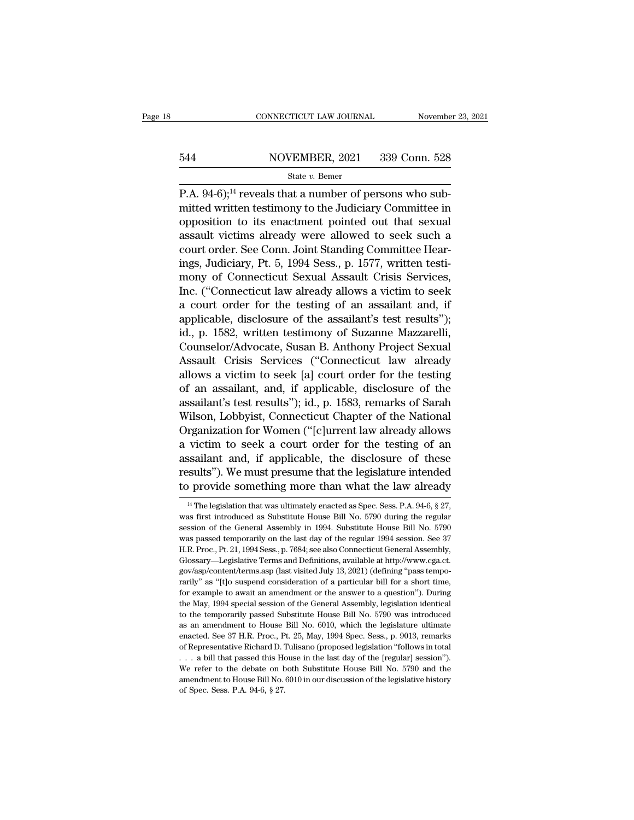# EXECUTE CONNECTICUT LAW JOURNAL Movember 23, 2021<br>544 NOVEMBER, 2021 339 Conn. 528<br>544 State v. Bemer

### State *v.* Bemer

CONNECTICUT LAW JOURNAL November<br>
S44 NOVEMBER, 2021 339 Conn. 528<br>
State v. Bemer<br>
P.A. 94-6);<sup>14</sup> reveals that a number of persons who sub-<br>
mitted written testimony to the Judiciary Committee in 544 NOVEMBER, 2021 339 Conn. 528<br>
State v. Bemer<br>
P.A. 94-6);<sup>14</sup> reveals that a number of persons who sub-<br>
mitted written testimony to the Judiciary Committee in<br>
opposition to its enactment pointed out that sexual<br>
ass 544 NOVEMBER, 2021 339 Conn. 528<br>
State v. Bemer<br>
P.A. 94-6);<sup>14</sup> reveals that a number of persons who sub-<br>
mitted written testimony to the Judiciary Committee in<br>
opposition to its enactment pointed out that sexual<br>
ass 544 NOVEMBER, 2021 339 Conn. 528<br>
State v. Bemer<br>
P.A. 94-6);<sup>14</sup> reveals that a number of persons who sub-<br>
mitted written testimony to the Judiciary Committee in<br>
opposition to its enactment pointed out that sexual<br>
ass State v. Bemer<br>
P.A. 94-6);<sup>14</sup> reveals that a number of persons who sub-<br>
mitted written testimony to the Judiciary Committee in<br>
opposition to its enactment pointed out that sexual<br>
assault victims already were allowed state *i*. Benter<br>
P.A. 94-6);<sup>14</sup> reveals that a number of persons who sub-<br>
mitted written testimony to the Judiciary Committee in<br>
opposition to its enactment pointed out that sexual<br>
assault victims already were allowe P.A. 94-6);<sup>14</sup> reveals that a number of persons who sub-<br>mitted written testimony to the Judiciary Committee in<br>opposition to its enactment pointed out that sexual<br>assault victims already were allowed to seek such a<br>court mitted written testimony to the Judiciary Committee in<br>opposition to its enactment pointed out that sexual<br>assault victims already were allowed to seek such a<br>court order. See Conn. Joint Standing Committee Hear-<br>ings, Jud opposition to its enactment pointed out that sexual<br>assault victims already were allowed to seek such a<br>court order. See Conn. Joint Standing Committee Hear-<br>ings, Judiciary, Pt. 5, 1994 Sess., p. 1577, written testi-<br>mony assault victims already were allowed to seek such a<br>court order. See Conn. Joint Standing Committee Hear-<br>ings, Judiciary, Pt. 5, 1994 Sess., p. 1577, written testi-<br>mony of Connecticut Sexual Assault Crisis Services,<br>Inc. court order. See Conn. Joint Standing Committee Hearings, Judiciary, Pt. 5, 1994 Sess., p. 1577, written testimony of Connecticut Sexual Assault Crisis Services, Inc. ("Connecticut law already allows a victim to seek a cou ings, Judiciary, Pt. 5, 1994 Sess., p. 1577, written testi-<br>mony of Connecticut Sexual Assault Crisis Services,<br>Inc. ("Connecticut law already allows a victim to seek<br>a court order for the testing of an assailant and, if<br>a mony of Connecticut Sexual Assault Crisis Services,<br>Inc. ("Connecticut law already allows a victim to seek<br>a court order for the testing of an assailant and, if<br>applicable, disclosure of the assailant's test results");<br>id. Inc. ("Connecticut law already allows a victim to seek<br>a court order for the testing of an assailant and, if<br>applicable, disclosure of the assailant's test results");<br>id., p. 1582, written testimony of Suzanne Mazzarelli,<br> a court order for the testing of an assailant and, if<br>applicable, disclosure of the assailant's test results");<br>id., p. 1582, written testimony of Suzanne Mazzarelli,<br>Counselor/Advocate, Susan B. Anthony Project Sexual<br>Ass applicable, disclosure of the assailant's test results'');<br>id., p. 1582, written testimony of Suzanne Mazzarelli,<br>Counselor/Advocate, Susan B. Anthony Project Sexual<br>Assault Crisis Services ("Connecticut law already<br>allows id., p. 1582, written testimony of Suzanne Mazzarelli,<br>Counselor/Advocate, Susan B. Anthony Project Sexual<br>Assault Crisis Services ("Connecticut law already<br>allows a victim to seek [a] court order for the testing<br>of an ass Counselor/Advocate, Susan B. Anthony Project Sexual<br>Assault Crisis Services ("Connecticut law already<br>allows a victim to seek [a] court order for the testing<br>of an assailant, and, if applicable, disclosure of the<br>assailant Assault Crisis Services ("Connecticut law already<br>allows a victim to seek [a] court order for the testing<br>of an assailant, and, if applicable, disclosure of the<br>assailant's test results''); id., p. 1583, remarks of Sarah<br>W allows a victim to seek [a] court order for the testing<br>of an assailant, and, if applicable, disclosure of the<br>assailant's test results"); id., p. 1583, remarks of Sarah<br>Wilson, Lobbyist, Connecticut Chapter of the Nationa of an assailant, and, if applicable, disclosure of the<br>assailant's test results''); id., p. 1583, remarks of Sarah<br>Wilson, Lobbyist, Connecticut Chapter of the National<br>Organization for Women ("[c]urrent law already allows assailant's test results"); id., p. 1583, remarks of Sarah<br>Wilson, Lobbyist, Connecticut Chapter of the National<br>Organization for Women ("[c]urrent law already allows<br>a victim to seek a court order for the testing of an<br>a VICUM to seek a court order for the testing of an ssailant and, if applicable, the disclosure of these ssults"). We must presume that the legislature intended p provide something more than what the law already  $\frac{14}{11}$ assailant and, if applicable, the disclosure of these<br>results"). We must presume that the legislature intended<br>to provide something more than what the law already<br> $\frac{14 \text{ The legislation that was ultimately enacted as Spec. Sess. P.A. 94-6, § 27, }{4 \text{ was first introduced as Substitute House Bill No. 5790 during the regular$ 

results"). We must presume that the legislature intended<br>to provide something more than what the law already<br> $\frac{14}{1}$ The legislation that was ultimately enacted as Spec. Sess. P.A. 94-6, § 27,<br>was first introduced as Su to provide something more than what the law already<br>
<sup>14</sup> The legislation that was ultimately enacted as Spec. Sess. P.A. 94-6, § 27,<br>
was first introduced as Substitute House Bill No. 5790 during the regular<br>
session of t <sup>14</sup> The legislation that was ultimately enacted as Spec. Sess. P.A. 94-6, § 27, was first introduced as Substitute House Bill No. 5790 during the regular session of the General Assembly in 1994. Substitute House Bill No. <sup>14</sup> The legislation that was ultimately enacted as Spec. Sess. P.A. 94-6, § 27, was first introduced as Substitute House Bill No. 5790 during the regular session of the General Assembly in 1994. Substitute House Bill No. <sup>14</sup> The legislation that was ultimately enacted as Spec. Sess. P.A. 94-6, § 27, was first introduced as Substitute House Bill No. 5790 during the regular session of the General Assembly in 1994. Substitute House Bill No. rarily'' as 'the General Assembly in 1994. Substitute House Bill No. 5790 was passed temporarily on the last day of the regular 1994 session. See 37 H.R. Proc., Pt. 21, 1994 Sess., p. 7684; see also Connecticut General Ass was passed temporarily on the last day of the regular 1994 session. See 37 H.R. Proc., Pt. 21, 1994 Sess., p. 7684; see also Connecticut General Assembly, Glossary—Legislative Terms and Definitions, available at http://www H.R. Proc., Pt. 21, 1994 Sess., p. 7684; see also Connecticut General Assembly,<br>Glossary—Legislative Terms and Definitions, available at http://www.cga.ct.<br>gov/asp/content/terms.asp (last visited July 13, 2021) (defining " Glossary—Legislative Terms and Definitions, available at http://www.cga.ct.<br>gov/asp/content/terms asp (last visited July 13, 2021) (defining "pass tempo-<br>rarily" as "[t]o suspend consideration of a particular bill for a sh gov/asp/content/terms.asp (last visited July 13, 2021) (defining "pass tempo-<br>rarily" as "[t]o suspend consideration of a particular bill for a short time,<br>for example to await an amendment or the answer to a question"). D enally" as "(t) o suspend consideration of a particular bill for a short time, for example to await an amendment or the answer to a question"). During the May, 1994 special session of the General Assembly, legislation iden For example to await an amendment or the answer to a question"). During<br>the May, 1994 special session of the General Assembly, legislation identical<br>to the temporarily passed Substitute House Bill No. 5790 was introduced<br>a the May, 1994 special session of the General Assembly, legislation identical<br>to the temporarily passed Substitute House Bill No. 5790 was introduced<br>as an amendment to House Bill No. 6010, which the legislature ultimate<br>e to the temporarily passed Substitute House Bill No. 5790 was introduced as an amendment to House Bill No. 6010, which the legislature ultimate enacted. See 37 H.R. Proc., Pt. 25, May, 1994 Spec. Sess., p. 9013, remarks of as an amendment to House Bill No. 6010, which the legislature ultimate enacted. See 37 H.R. Proc., Pt. 25, May, 1994 Spec. Sess., p. 9013, remarks of Representative Richard D. Tulisano (proposed legislation "follows in to enacted. See 37 H.R. Proc., Pt. 25, May, 1994 Spec. Sess., p. 9013, remarks of Representative Richard D. Tulisano (proposed legislation "follows in total . . . a bill that passed this House in the last day of the [regular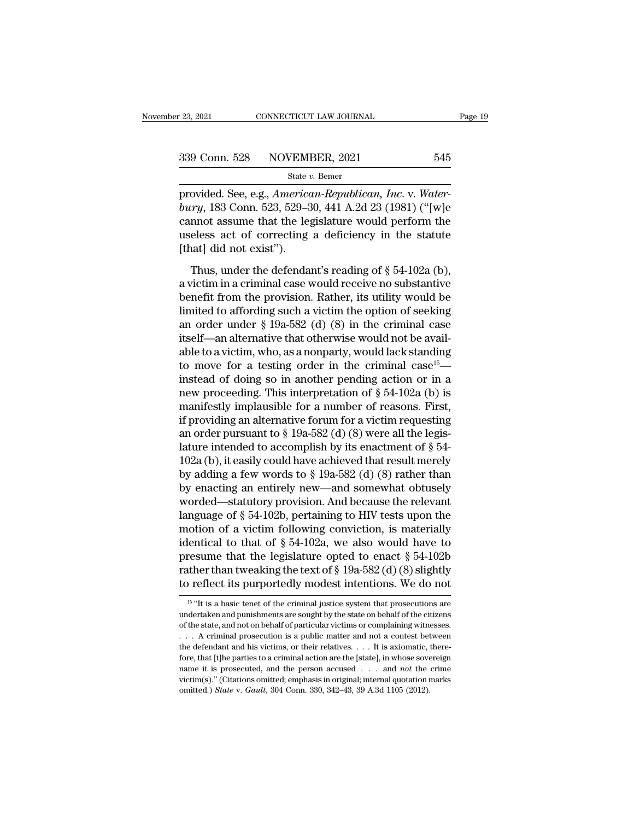provided. See, e.g., *American-Republican, Inc.* v. *Water-*<br>
provided. See, e.g., *American-Republican, Inc.* v. *Water-*<br>
provided. See, e.g., *American-Republican, Inc.* v. *Water-*<br>
bury, 183 Conn. 523, 529–30, 441 A.2 <sup>339</sup> Conn. 528 NOVEMBER, 2021 545<br>
<sup>State v. Bemer<br>
provided. See, e.g., *American-Republican*, *Inc.* v. *Water-bury*, 183 Conn. 523, 529–30, 441 A.2d 23 (1981) ("[w]e<br>
cannot assume that the legislature would perform th</sup> 339 Conn. 528 NOVEMBER, 2021 545<br>
State v. Bemer<br>
provided. See, e.g., *American-Republican*, *Inc.* v. *Water-bury*, 183 Conn. 523, 529–30, 441 A.2d 23 (1981) ("[w]e<br>
cannot assume that the legislature would perform the<br> 339 Conn. 528 NOVEMBER, 2021 545<br>
state v. Bemer<br>
provided. See, e.g., *American-Republican*, *Inc.* v. *Water-*<br>
bury, 183 Conn. 523, 529–30, 441 A.2d 23 (1981) ("[w]e<br>
cannot assume that the legislature would perform th  $\begin{array}{l} \hline \text{State } i \\ \hline \text{provided. See, e.g., *Americed, American image, and the image, and the image, and the image, the image is the image.} \\ \hline \text{useless act of correcting (that) did not exist'').} \\ \hline \text{Thus, under the defenda.} \end{array}*$ ovided. See, e.g., *American-Republican*, *Inc.* v. *Water-*<br> *Thus,* 183 Conn. 523, 529–30, 441 A.2d 23 (1981) ("[w]e<br>
mot assume that the legislature would perform the<br>
eless act of correcting a deficiency in the statut bury, 183 Conn. 523, 529–30, 441 A.2d 23 (1981) ("[w]e<br>cannot assume that the legislature would perform the<br>useless act of correcting a deficiency in the statute<br>[that] did not exist").<br>Thus, under the defendant's reading

benefit from the provision. Rather, its utility would be<br>less act of correcting a deficiency in the statute<br>[that] did not exist").<br>Thus, under the defendant's reading of § 54-102a (b),<br>a victim in a criminal case would r useless act of correcting a deficiency in the statute<br>
[that] did not exist").<br>
Thus, under the defendant's reading of  $\S$  54-102a (b),<br>
a victim in a criminal case would receive no substantive<br>
benefit from the provision [that] did not exist").<br>
Thus, under the defendant's reading of  $\S$  54-102a (b),<br>
a victim in a criminal case would receive no substantive<br>
benefit from the provision. Rather, its utility would be<br>
limited to affording su Thus, under the defendant's reading of § 54-102a (b),<br>a victim in a criminal case would receive no substantive<br>benefit from the provision. Rather, its utility would be<br>limited to affording such a victim the option of seek Thus, under the defendant's reading of § 54-102a (b),<br>a victim in a criminal case would receive no substantive<br>benefit from the provision. Rather, its utility would be<br>limited to affording such a victim the option of seek a victim in a criminal case would receive no substantive<br>benefit from the provision. Rather, its utility would be<br>limited to affording such a victim the option of seeking<br>an order under § 19a-582 (d) (8) in the criminal c benefit from the provision. Rather, its utility would be<br>limited to affording such a victim the option of seeking<br>an order under § 19a-582 (d) (8) in the criminal case<br>itself—an alternative that otherwise would not be ava limited to affording such a victim the option of seeking<br>an order under § 19a-582 (d) (8) in the criminal case<br>itself—an alternative that otherwise would not be avail-<br>able to a victim, who, as a nonparty, would lack stan an order under § 19a-582 (d) (8) in the criminal case<br>itself—an alternative that otherwise would not be avail-<br>able to a victim, who, as a nonparty, would lack standing<br>to move for a testing order in the criminal case<sup>15</sup> itself—an alternative that otherwise would not be available to a victim, who, as a nonparty, would lack standing<br>to move for a testing order in the criminal case<sup>15</sup>—<br>instead of doing so in another pending action or in a<br> able to a victim, who, as a nonparty, would lack standing<br>to move for a testing order in the criminal case<sup>15</sup>—<br>instead of doing so in another pending action or in a<br>new proceeding. This interpretation of § 54-102a (b) is to move for a testing order in the criminal case<sup>15</sup>—<br>instead of doing so in another pending action or in a<br>new proceeding. This interpretation of § 54-102a (b) is<br>manifestly implausible for a number of reasons. First,<br>if instead of doing so in another pending action or in a<br>new proceeding. This interpretation of § 54-102a (b) is<br>manifestly implausible for a number of reasons. First,<br>if providing an alternative forum for a victim requestin new proceeding. This interpretation of § 54-102a (b) is<br>manifestly implausible for a number of reasons. First,<br>if providing an alternative forum for a victim requesting<br>an order pursuant to § 19a-582 (d) (8) were all the manifestly implausible for a number of reasons. First,<br>if providing an alternative forum for a victim requesting<br>an order pursuant to § 19a-582 (d) (8) were all the legis-<br>lature intended to accomplish by its enactment of if providing an alternative forum for a victim requesting<br>an order pursuant to  $\S$  19a-582 (d) (8) were all the legis-<br>lature intended to accomplish by its enactment of  $\S$  54-<br>102a (b), it easily could have achieved that an order pursuant to § 19a-582 (d) (8) were all the legis-<br>lature intended to accomplish by its enactment of § 54-<br>102a (b), it easily could have achieved that result merely<br>by adding a few words to § 19a-582 (d) (8) rath lature intended to accomplish by its enactment of  $\S$  54-<br>102a (b), it easily could have achieved that result merely<br>by adding a few words to  $\S$  19a-582 (d) (8) rather than<br>by enacting an entirely new—and somewhat obtuse 102a (b), it easily could have achieved that result merely<br>by adding a few words to § 19a-582 (d) (8) rather than<br>by enacting an entirely new—and somewhat obtusely<br>worded—statutory provision. And because the relevant<br>lang by adding a few words to § 19a-582 (d) (8) rather than<br>by enacting an entirely new—and somewhat obtusely<br>worded—statutory provision. And because the relevant<br>language of § 54-102b, pertaining to HIV tests upon the<br>motion by enacting an entirely new—and somewhat obtusely<br>worded—statutory provision. And because the relevant<br>language of § 54-102b, pertaining to HIV tests upon the<br>motion of a victim following conviction, is materially<br>identic worded—statutory provision. And because the relevant<br>language of § 54-102b, pertaining to HIV tests upon the<br>motion of a victim following conviction, is materially<br>identical to that of § 54-102a, we also would have to<br>pre 15 "It is a basic tenet of the criminal justice system that prosecutions are detected to the criminal justice system that prosecutions are  $^{15}$  "It is a basic tenet of the criminal justice system that prosecutions are d presume that the legislature opted to enact § 54-102b<br>rather than tweaking the text of § 19a-582 (d) (8) slightly<br>to reflect its purportedly modest intentions. We do not<br> $\frac{15 \text{ ft}}{15 \text{ ft}}$  is a basic tenet of the crimin

rather than tweaking the text of § 19a-582 (d) (8) slightly<br>to reflect its purportedly modest intentions. We do not<br> $\frac{16 \text{ °H}}{16 \text{ °H}}$  is a basic tenet of the criminal justice system that prosecutions are<br>undertaken a to reflect its purportedly modest intentions. We do not<br>
<sup>15</sup> "It is a basic tenet of the criminal justice system that prosecutions are<br>
undertaken and punishments are sought by the state on behalf of the citizens<br>
of the The defendant and his victims, are the defendant and his victims, we do not a content of the citizens of the state, and not on behalf of particular victims or complaining witnesses. . . . A criminal prosecution is a publi <sup>15</sup> "It is a basic tenet of the criminal justice system that prosecutions are undertaken and punishments are sought by the state on behalf of the citizens of the state, and not on behalf of particular victims or complain name it is prosecuted, and the person accused . . . . and *not* the critizens of the state, and not on behalf of particular victims or complaining witnesses. . . . A criminal prosecution is a public matter and not a contes undertaken and punishments are sought by the state on behalf of the citizens of the state, and not on behalf of particular victims or complaining witnesses. . . . A criminal prosecution is a public matter and not a contes . . . A criminal prosecution is a public matter and not a contest between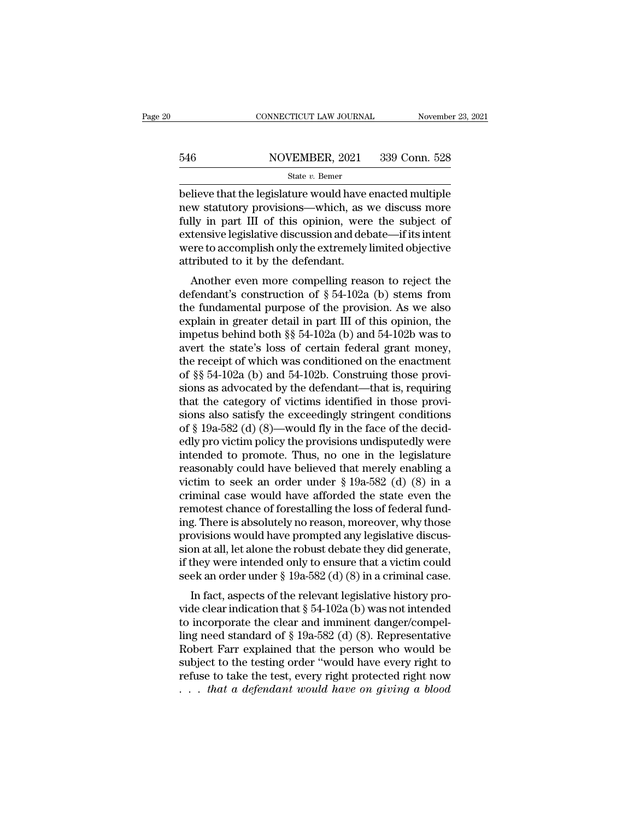# EXECUTE CONNECTICUT LAW JOURNAL Movember 23, 2021<br>546 NOVEMBER, 2021 339 Conn. 528<br>546 State v. Bemer

### State *v.* Bemer

 $\begin{array}{r|l} \text{COMRECTICUT LAW JOURNAL} & \text{November 23, 2021} \ \hline \text{546} & \text{NOVEMBER, 2021} & \text{339 Conn. 528} \ \hline \text{state } v. \text{ Bemer} \ \hline \text{believe that the legislature would have enacted multiple} \ \text{new statutory provisions—which, as we discuss more} \ \hline \text{full} & \text{in. part III. of this opinion, were the subject of} \end{array}$ 546 NOVEMBER, 2021 339 Conn. 528<br>
state v. Bemer<br>
believe that the legislature would have enacted multiple<br>
new statutory provisions—which, as we discuss more<br>
fully in part III of this opinion, were the subject of<br>
oxton  $546$  NOVEMBER, 2021 339 Conn. 528<br>
State v. Bemer<br>
believe that the legislature would have enacted multiple<br>
new statutory provisions—which, as we discuss more<br>
fully in part III of this opinion, were the subject of<br>
ext 546 NOVEMBER, 2021 339 Conn. 528<br>
State v. Bemer<br>
believe that the legislature would have enacted multiple<br>
new statutory provisions—which, as we discuss more<br>
fully in part III of this opinion, were the subject of<br>
exten State v. Bemer<br>
State v. Bemer<br>
believe that the legislature would have enacted multiple<br>
new statutory provisions—which, as we discuss more<br>
fully in part III of this opinion, were the subject of<br>
extensive legislative d state  $v$ . Bemer<br>believe that the legislature would have  $\alpha$ <br>new statutory provisions—which, as  $\alpha$ <br>fully in part III of this opinion, were<br>extensive legislative discussion and def<br>were to accomplish only the extremely<br> meve that the legislature would have enacted multiple<br>w statutory provisions—which, as we discuss more<br>lly in part III of this opinion, were the subject of<br>tensive legislative discussion and debate—if its intent<br>refer to Hew statutory provisions—which, as we discuss inter-<br>fully in part III of this opinion, were the subject of<br>extensive legislative discussion and debate—if its intent<br>were to accomplish only the extremely limited objective

the fundamental purpose of the provision and department were to accomplish only the extremely limited objective attributed to it by the defendant.<br>Another even more compelling reason to reject the defendant's construction extensive legislative discussion and debate—in its intent<br>were to accomplish only the extremely limited objective<br>attributed to it by the defendant.<br>Another even more compelling reason to reject the<br>defendant's constructi were to accomplish only the extremely immed objective<br>attributed to it by the defendant.<br>Another even more compelling reason to reject the<br>defendant's construction of § 54-102a (b) stems from<br>the fundamental purpose of th Another even more compelling reason to reject the<br>defendant's construction of  $\S 54-102a$  (b) stems from<br>the fundamental purpose of the provision. As we also<br>explain in greater detail in part III of this opinion, the<br>impe Another even more compelling reason to reject the<br>defendant's construction of § 54-102a (b) stems from<br>the fundamental purpose of the provision. As we also<br>explain in greater detail in part III of this opinion, the<br>impetu defendant's construction of § 54-102a (b) stems from<br>the fundamental purpose of the provision. As we also<br>explain in greater detail in part III of this opinion, the<br>impetus behind both §§ 54-102a (b) and 54-102b was to<br>av the fundamental purpose of the provision. As we also<br>explain in greater detail in part III of this opinion, the<br>impetus behind both  $\S$   $\S$   $54$ -102a (b) and  $54$ -102b was to<br>avert the state's loss of certain federal gran explain in greater detail in part III of this opinion, the<br>impetus behind both §§ 54-102a (b) and 54-102b was to<br>avert the state's loss of certain federal grant money,<br>the receipt of which was conditioned on the enactment impetus behind both §§ 54-102a (b) and 54-102b was to<br>avert the state's loss of certain federal grant money,<br>the receipt of which was conditioned on the enactment<br>of §§ 54-102a (b) and 54-102b. Construing those provi-<br>sio avert the state's loss of certain federal grant money,<br>the receipt of which was conditioned on the enactment<br>of §§ 54-102a (b) and 54-102b. Construing those provi-<br>sions as advocated by the defendant—that is, requiring<br>tha the receipt of which was conditioned on the enactment<br>of  $\S$ § 54-102a (b) and 54-102b. Construing those provi-<br>sions as advocated by the defendant—that is, requiring<br>that the category of victims identified in those proviof §§ 54-102a (b) and 54-102b. Construing those provisions as advocated by the defendant—that is, requiring<br>that the category of victims identified in those provisions also satisfy the exceedingly stringent conditions<br>of sions as advocated by the defendant—that is, requiring<br>that the category of victims identified in those provi-<br>sions also satisfy the exceedingly stringent conditions<br>of § 19a-582 (d) (8)—would fly in the face of the deci that the category of victims identified in those provisions also satisfy the exceedingly stringent conditions<br>of § 19a-582 (d) (8)—would fly in the face of the decid-<br>edly pro victim policy the provisions undisputedly wer sions also satisfy the exceedingly stringent conditions<br>of § 19a-582 (d) (8)—would fly in the face of the decid-<br>edly pro victim policy the provisions undisputedly were<br>intended to promote. Thus, no one in the legislature of § 19a-582 (d) (8)—would fly in the face of the decidedly pro victim policy the provisions undisputedly were<br>intended to promote. Thus, no one in the legislature<br>reasonably could have believed that merely enabling a<br>vic edly pro victim policy the provisions undisputedly were<br>intended to promote. Thus, no one in the legislature<br>reasonably could have believed that merely enabling a<br>victim to seek an order under § 19a-582 (d) (8) in a<br>crimin intended to promote. Thus, no one in the legislature<br>reasonably could have believed that merely enabling a<br>victim to seek an order under  $\S$  19a-582 (d) (8) in a<br>criminal case would have afforded the state even the<br>remote reasonably could have believed that merely enabling a<br>victim to seek an order under § 19a-582 (d) (8) in a<br>criminal case would have afforded the state even the<br>remotest chance of forestalling the loss of federal fund-<br>ing victim to seek an order under  $\S$  19a-582 (d) (8) in a<br>criminal case would have afforded the state even the<br>remotest chance of forestalling the loss of federal fund-<br>ing. There is absolutely no reason, moreover, why those criminal case would have afforded the state even the<br>remotest chance of forestalling the loss of federal fund-<br>ing. There is absolutely no reason, moreover, why those<br>provisions would have prompted any legislative discus-<br> In fact, aspects of the relevant legislative discussions would have prompted any legislative discussion at all, let alone the robust debate they did generate, they were intended only to ensure that a victim could ek an or ing. There is absolutely no reason, indreover, why those<br>provisions would have prompted any legislative discus-<br>sion at all, let alone the robust debate they did generate,<br>if they were intended only to ensure that a victi

provisions would have prompted any regislative discussion at all, let alone the robust debate they did generate, if they were intended only to ensure that a victim could seek an order under  $\S$  19a-582 (d) (8) in a crimin sion at an, let alone the robust debate they did generate,<br>if they were intended only to ensure that a victim could<br>seek an order under § 19a-582 (d) (8) in a criminal case.<br>In fact, aspects of the relevant legislative hi In they were intended only to ensure that a victim codd<br>seek an order under § 19a-582 (d) (8) in a criminal case.<br>In fact, aspects of the relevant legislative history pro-<br>vide clear indication that § 54-102a (b) was not seek an order under  $\S$  15a-562 (d) (6) in a criminal case.<br>
In fact, aspects of the relevant legislative history pro-<br>
vide clear indication that  $\S$  54-102a (b) was not intended<br>
to incorporate the clear and imminent da In fact, aspects of the relevant legislative history pro-<br>vide clear indication that  $\S$  54-102a (b) was not intended<br>to incorporate the clear and imminent danger/compel-<br>ling need standard of  $\S$  19a-582 (d) (8). Represe vide clear indication that  $\S$  54-102a (b) was not intended<br>to incorporate the clear and imminent danger/compel-<br>ling need standard of  $\S$  19a-582 (d) (8). Representative<br>Robert Farr explained that the person who would be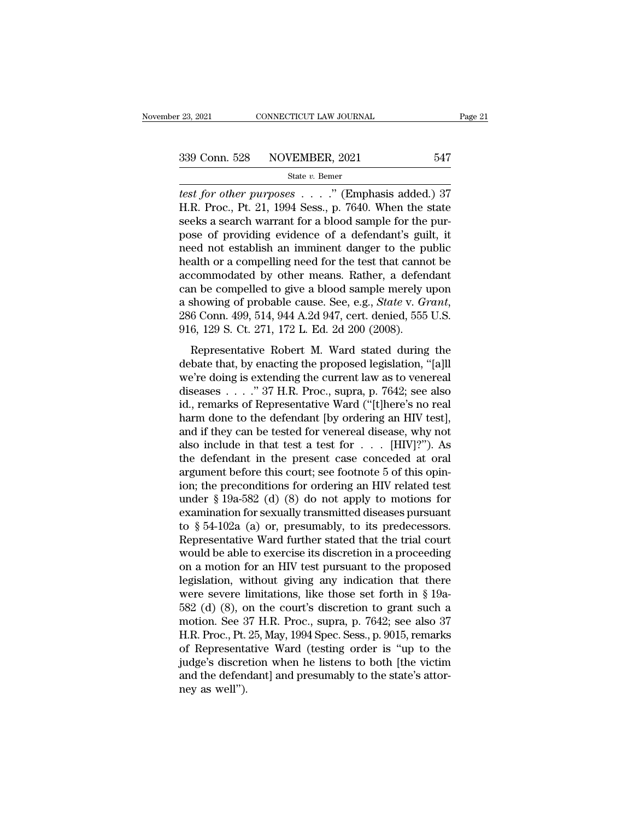*test for other purposes* . . . . " (Emphasis added.) 37<br> **test for other purposes** . . . . " (Emphasis added.) 37<br> **test for other purposes** . . . . " (Emphasis added.) 37<br> **H.R. Proc., Pt. 21, 1994 Sess., p. 7640.** When 339 Conn. 528 NOVEMBER, 2021 547<br>
State v. Bemer<br> *test for other purposes* . . . . " (Emphasis added.) 37<br>
H.R. Proc., Pt. 21, 1994 Sess., p. 7640. When the state<br>
seeks a search warrant for a blood sample for the pur-<br> 339 Conn. 528 NOVEMBER, 2021 547<br>
State v. Bemer<br>
test for other purposes . . . . . " (Emphasis added.) 37<br>
H.R. Proc., Pt. 21, 1994 Sess., p. 7640. When the state<br>
seeks a search warrant for a blood sample for the pur-<br> 339 Conn. 528 NOVEMBER, 2021 547<br>
State v. Bemer<br>
test for other purposes . . . . " (Emphasis added.) 37<br>
H.R. Proc., Pt. 21, 1994 Sess., p. 7640. When the state<br>
seeks a search warrant for a blood sample for the pur-<br>
po State v. Bemer<br>
Lest for other purposes . . . ." (Emphasis added.) 37<br>
H.R. Proc., Pt. 21, 1994 Sess., p. 7640. When the state<br>
seeks a search warrant for a blood sample for the pur-<br>
pose of providing evidence of a defen state v. Bemer<br>
test for other purposes . . . . " (Emphasis added.) 37<br>
H.R. Proc., Pt. 21, 1994 Sess., p. 7640. When the state<br>
seeks a search warrant for a blood sample for the pur-<br>
pose of providing evidence of a defe test for other purposes  $\dots$  ." (Emphasis added.) 37<br>H.R. Proc., Pt. 21, 1994 Sess., p. 7640. When the state<br>seeks a search warrant for a blood sample for the pur-<br>pose of providing evidence of a defendant's guilt, it<br>nee H.R. Proc., Pt. 21, 1994 Sess., p. 7640. When the state<br>seeks a search warrant for a blood sample for the pur-<br>pose of providing evidence of a defendant's guilt, it<br>need not establish an imminent danger to the public<br>heal seeks a search warrant for a blood sample for the purpose of providing evidence of a defendant's guilt, it need not establish an imminent danger to the public health or a compelling need for the test that cannot be accommo need not establish an imminent danger to the publeadth or a compelling need for the test that cannon<br>accommodated by other means. Rather, a defen<br>can be compelled to give a blood sample merely u<br>a showing of probable cause duari of a competing need for are test and cannot be<br>commodated by other means. Rather, a defendant<br>in be compelled to give a blood sample merely upon<br>showing of probable cause. See, e.g., *State v. Grant*,<br>6 Conn. 499, 51 can be compelled to give a blood sample merely upon<br>a showing of probable cause. See, e.g., *State* v. *Grant*,<br>286 Conn. 499, 514, 944 A.2d 947, cert. denied, 555 U.S.<br>916, 129 S. Ct. 271, 172 L. Ed. 2d 200 (2008).<br>Repre

a showing of probable cause. See, e.g., *State v. Grant*, 286 Conn. 499, 514, 944 A.2d 947, cert. denied, 555 U.S.<br>916, 129 S. Ct. 271, 172 L. Ed. 2d 200 (2008).<br>Representative Robert M. Ward stated during the debate that 286 Conn. 499, 514, 944 A.2d 947, cert. denied, 555 U.S.<br>286 Conn. 499, 514, 944 A.2d 947, cert. denied, 555 U.S.<br>916, 129 S. Ct. 271, 172 L. Ed. 2d 200 (2008).<br>Representative Robert M. Ward stated during the<br>debate that, 200 Colli. 100, 311, 311 h.2d 311, cert. defined, 353 C.C.<br>
916, 129 S. Ct. 271, 172 L. Ed. 2d 200 (2008).<br>
Representative Robert M. Ward stated during the<br>
debate that, by enacting the proposed legislation, "[a]ll<br>
we're Representative Robert M. Ward stated during the debate that, by enacting the proposed legislation, "[a]ll we're doing is extending the current law as to venereal diseases . . . ." 37 H.R. Proc., supra, p. 7642; see also i Representative Robert M. Ward stated during the<br>debate that, by enacting the proposed legislation, "[a]ll<br>we're doing is extending the current law as to venereal<br>diseases . . . . " 37 H.R. Proc., supra, p. 7642; see also<br> debate that, by enacting the proposed legislation, "[a]ll<br>we're doing is extending the current law as to venereal<br>diseases . . . . ." 37 H.R. Proc., supra, p. 7642; see also<br>id., remarks of Representative Ward ("[t]here's we're doing is extending the current law as to venereal<br>diseases . . . ." 37 H.R. Proc., supra, p. 7642; see also<br>id., remarks of Representative Ward ("[t]here's no real<br>harm done to the defendant [by ordering an HIV test diseases . . . . . " 37 H.R. Proc., supra, p. 7642; see also<br>id., remarks of Representative Ward ("[t]here's no real<br>harm done to the defendant [by ordering an HIV test],<br>and if they can be tested for venereal disease, wh id., remarks of Representative Ward ("[t]here's no real<br>harm done to the defendant [by ordering an HIV test],<br>and if they can be tested for venereal disease, why not<br>also include in that test a test for  $\dots$  [HIV]?"). As<br> harm done to the defendant [by ordering an HIV test],<br>and if they can be tested for venereal disease, why not<br>also include in that test a test for  $\dots$  [HIV]?"). As<br>the defendant in the present case conceded at oral<br>argum and if they can be tested for venereal disease, why not<br>also include in that test a test for . . . [HIV]?"). As<br>the defendant in the present case conceded at oral<br>argument before this court; see footnote 5 of this opin-<br>i also include in that test a test for  $\ldots$  [HIV]?"). As<br>the defendant in the present case conceded at oral<br>argument before this court; see footnote 5 of this opin-<br>ion; the preconditions for ordering an HIV related test<br>u the defendant in the present case conceded at oral<br>argument before this court; see footnote 5 of this opin-<br>ion; the preconditions for ordering an HIV related test<br>under § 19a-582 (d) (8) do not apply to motions for<br>exami argument before this court; see footnote 5 of this opin-<br>ion; the preconditions for ordering an HIV related test<br>under § 19a-582 (d) (8) do not apply to motions for<br>examination for sexually transmitted diseases pursuant<br>to ion; the preconditions for ordering an HIV related test<br>under § 19a-582 (d) (8) do not apply to motions for<br>examination for sexually transmitted diseases pursuant<br>to § 54-102a (a) or, presumably, to its predecessors.<br>Repr under § 19a-582 (d) (8) do not apply to motions for<br>examination for sexually transmitted diseases pursuant<br>to § 54-102a (a) or, presumably, to its predecessors.<br>Representative Ward further stated that the trial court<br>woul examination for sexually transmitted diseases pursuant<br>to § 54-102a (a) or, presumably, to its predecessors.<br>Representative Ward further stated that the trial court<br>would be able to exercise its discretion in a proceeding to § 54-102a (a) or, presumably, to its predecessors.<br>Representative Ward further stated that the trial court<br>would be able to exercise its discretion in a proceeding<br>on a motion for an HIV test pursuant to the proposed<br>l Representative Ward further stated that the trial court<br>would be able to exercise its discretion in a proceeding<br>on a motion for an HIV test pursuant to the proposed<br>legislation, without giving any indication that there<br>we would be able to exercise its discretion in a proceeding<br>on a motion for an HIV test pursuant to the proposed<br>legislation, without giving any indication that there<br>were severe limitations, like those set forth in § 19a-<br>58 on a motion for an HIV test pursuant to the proposed<br>legislation, without giving any indication that there<br>were severe limitations, like those set forth in § 19a-<br>582 (d) (8), on the court's discretion to grant such a<br>moti legislation, without giving any indication that there<br>were severe limitations, like those set forth in § 19a-<br>582 (d) (8), on the court's discretion to grant such a<br>motion. See 37 H.R. Proc., supra, p. 7642; see also 37<br>H were severe limitations, like those set forth in § 19a-582 (d) (8), on the court's discretion to grant such a motion. See 37 H.R. Proc., supra, p. 7642; see also 37 H.R. Proc., Pt. 25, May, 1994 Spec. Sess., p. 9015, rema 582 (d) (8), o<br>motion. See 3<br>H.R. Proc., Pt.<br>of Representa<br>judge's discre<br>and the defent<br>ney as well'').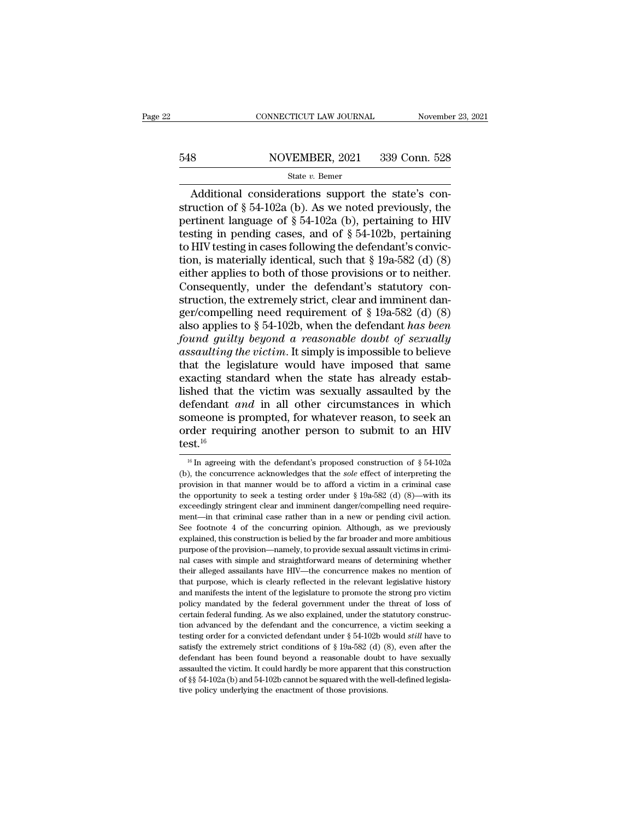# EXECUTE CONNECTICUT LAW JOURNAL Movember 23, 2021<br>548 NOVEMBER, 2021 339 Conn. 528<br>548 State v. Bemer

### State *v.* Bemer

CONNECTICUT LAW JOURNAL November<br>  $\text{A}\left(\frac{1}{2}\right)$  Additional considerations support the state's con-<br>  $\text{A}\left(\frac{1}{2}\right)$  and  $\text{A}\left(\frac{1}{2}\right)$  and  $\text{A}\left(\frac{1}{2}\right)$ . As we noted previously, the<br>  $\text{A}\left(\frac{1}{2}\right)$  and  $\text$ 548 NOVEMBER, 2021 339 Conn. 528<br>
State v. Bemer<br>
Additional considerations support the state's construction of § 54-102a (b). As we noted previously, the<br>
pertinent language of § 54-102a (b), pertaining to HIV<br>
testing i 548 NOVEMBER, 2021 339 Conn. 528<br>
State v. Bemer<br>
Additional considerations support the state's construction of § 54-102a (b). As we noted previously, the<br>
pertinent language of § 54-102a (b), pertaining to HIV<br>
testing i 548 NOVEMBER, 2021 339 Conn. 528<br>
State v. Bemer<br>
Additional considerations support the state's construction of § 54-102a (b). As we noted previously, the<br>
pertinent language of § 54-102a (b), pertaining to HIV<br>
testing i MOVEMENT, 2021 600 COME 020<br>State v. Bemer<br>Additional considerations support the state's construction of § 54-102a (b). As we noted previously, the<br>pertinent language of § 54-102a (b), pertaining to HIV<br>testing in pending State v. Bemer<br>
Additional considerations support the state's con-<br>
struction of § 54-102a (b). As we noted previously, the<br>
pertinent language of § 54-102a (b), pertaining to HIV<br>
testing in pending cases, and of § 54-10 Additional considerations support the state's construction of  $\S$  54-102a (b). As we noted previously, the pertinent language of  $\S$  54-102a (b), pertaining to HIV testing in pending cases, and of  $\S$  54-102b, pertaining struction of § 54-102a (b). As we noted previously, the<br>pertinent language of § 54-102a (b), pertaining to HIV<br>testing in pending cases, and of § 54-102b, pertaining<br>to HIV testing in cases following the defendant's convi pertinent language of § 54-102a (b), pertaining to HIV<br>testing in pending cases, and of § 54-102b, pertaining<br>to HIV testing in cases following the defendant's convic-<br>tion, is materially identical, such that § 19a-582 (d testing in pending cases, and of § 54-102b, pertaining<br>to HIV testing in cases following the defendant's convic-<br>tion, is materially identical, such that § 19a-582 (d) (8)<br>either applies to both of those provisions or to to HIV testing in cases following the defendant's conviction, is materially identical, such that § 19a-582 (d) (8) either applies to both of those provisions or to neither.<br>Consequently, under the defendant's statutory con tion, is materially identical, such that  $\S$  19a-582 (d) (8)<br>either applies to both of those provisions or to neither.<br>Consequently, under the defendant's statutory con-<br>struction, the extremely strict, clear and imminent either applies to both of those provisions or to neither.<br>Consequently, under the defendant's statutory construction, the extremely strict, clear and imminent danger/compelling need requirement of § 19a-582 (d) (8) also ap Consequently, under the defendant's statutory construction, the extremely strict, clear and imminent danger/compelling need requirement of  $\S$  19a-582 (d) (8) also applies to  $\S$  54-102b, when the defendant has been found struction, the extremely strict, clear and imminent danger/compelling need requirement of § 19a-582 (d) (8) also applies to § 54-102b, when the defendant has been found guilty beyond a reasonable doubt of sexually assault ger/compelling need requirement of  $\S$  19a-582 (d) (8)<br>also applies to  $\S$  54-102b, when the defendant has been<br>found guilty beyond a reasonable doubt of sexually<br>assaulting the victim. It simply is impossible to believe<br> also applies to  $\S$  54-102b, when the defendant *has been* found *guilty beyond a reasonable doubt of sexually* assaulting the victim. It simply is impossible to believe that the legislature would have imposed that same e found guilty beyond a reasonable doubt of sexually<br>assaulting the victim. It simply is impossible to believe<br>that the legislature would have imposed that same<br>exacting standard when the state has already estab-<br>lished tha assaulting the victim. It simply is impossible to believe<br>that the legislature would have imposed that same<br>exacting standard when the state has already estab-<br>lished that the victim was sexually assaulted by the<br>defendan test.<sup>16</sup> efendant *and* in all other circumstances in which<br>omeone is prompted, for whatever reason, to seek an<br>rder requiring another person to submit to an HIV<br>st.<sup>16</sup><br>I<sup>16</sup> In agreeing with the defendant's proposed construction someone is prompted, for whatever reason, to seek an order requiring another person to submit to an HIV test.<sup>16</sup><br>test.<sup>16</sup><br> $\frac{16}{16}$  In agreeing with the defendant's proposed construction of § 54-102a<br>(b), the concurre

order requiring another person to submit to an HIV<br>test.<sup>16</sup><br> $^{16}$  In agreeing with the defendant's proposed construction of § 54-102a<br>(b), the concurrence acknowledges that the *sole* effect of interpreting the<br>provisio test.<sup>16</sup><br>
<sup>16</sup> In agreeing with the defendant's proposed construction of § 54-102a<br>
(b), the concurrence acknowledges that the sole effect of interpreting the<br>
provision in that manner would be to afford a victim in a cr **LESL.**<br><sup>16</sup> In agreeing with the defendant's proposed construction of § 54-102a<br>(b), the concurrence acknowledges that the *sole* effect of interpreting the<br>provision in that manner would be to afford a victim in a crimi <sup>16</sup> In agreeing with the defendant's proposed construction of § 54-102a (b), the concurrence acknowledges that the *sole* effect of interpreting the provision in that manner would be to afford a victim in a criminal case The concurrence acknowledges that the *sole* effect of interpreting the provision in that manner would be to afford a victim in a criminal case the opportunity to seek a testing order under  $\S$  19a-582 (d) (8)—with its ex explained, this construction is belied by the far broader and more ambition. See footnote a vertex a testing order under  $\S$  19a-582 (d) (8)—with its exceedingly stringent clear and imminent danger/compelling need require provision in that manner would be to afford a victim in a criminal case<br>the opportunity to seek a testing order under  $\S$  19a-582 (d) (8)—with its<br>exceedingly stringent clear and imminent danger/compelling need require-<br>m are dependingly stringent clear and imminent danger/compelling need requirement—in that criminal case rather than in a new or pending civil action.<br>See footnote 4 of the concurring opinion. Although, as we previously expla ment—in that criminal case rather than in a new or pending civil action.<br>See footnote 4 of the concurring opinion. Although, as we previously<br>explained, this construction is belied by the far broader and more ambitious<br>pur See footnote 4 of the concurring opinion. Although, as we previously explained, this construction is belied by the far broader and more ambitious purpose of the provision—namely, to provide sexual assault victims in crimin explained, this construction is belied by the far broader and more ambitious<br>purpose of the provision—namely, to provide sexual assault victims in crimi-<br>nal cases with simple and straightforward means of determining wheth purpose of the provision—namely, to provide sexual assault victims in crimi-<br>nal cases with simple and straightforward means of determining whether<br>their alleged assailants have HIV—the concurrence makes no mention of<br>that ral cases with simple and straightforward means of determining whether their alleged assailants have HIV—the concurrence makes no mention of that purpose, which is clearly reflected in the relevant legislative history and their alleged assailants have HIV—the concurrence makes no mention of that purpose, which is clearly reflected in the relevant legislative history and manifests the intent of the legislature to promote the strong pro victi that purpose, which is clearly reflected in the relevant legislative history<br>and manifests the intent of the legislature to promote the strong pro victim<br>policy mandated by the federal government under the threat of loss and manifests the intent of the legislature to promote the strong pro vicim policy mandated by the federal government under the threat of loss of certain federal funding. As we also explained, under the statutory construc policy mandated by the federal government under the threat of loss of certain federal funding. As we also explained, under the statutory construction advanced by the defendant and the concurrence, a victim seeking a testi pency interaction advanced by the defendant and the concurrence, a victim seeking a testing order for a convicted defendant under  $\S$  54-102b would *still* have to satisfy the extremely strict conditions of  $\S$  19a-582 (d certain federal funding. As we also explained, under the statutory construction advanced by the defendant and the concurrence, a victim seeking a testing order for a convicted defendant under  $\S$  54-102b would *still* hav testing order for a convicted defendant under § 54-102b would still have to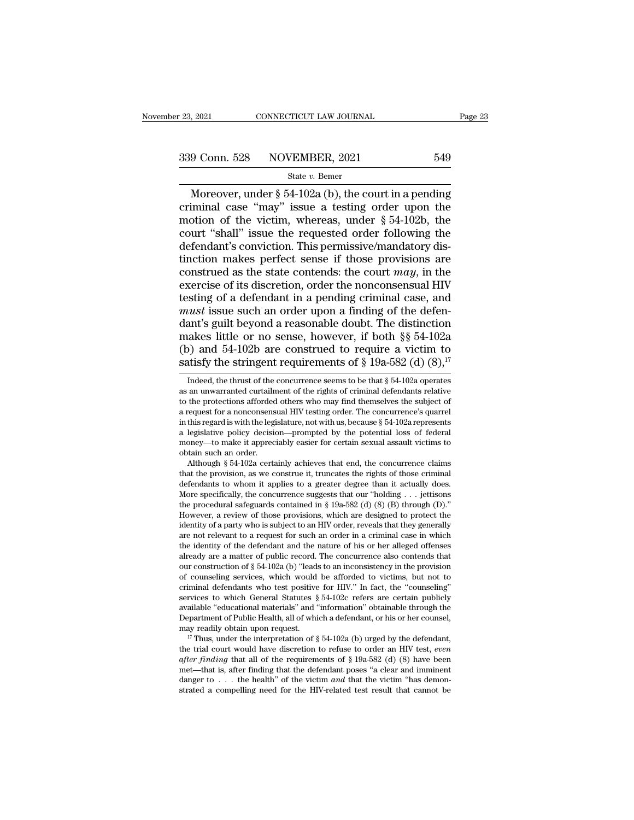9 Conn. 528 NOVEMBER, 2021 Page 23<br>
9 Conn. 528 NOVEMBER, 2021 549<br>
State v. Bemer<br>
Moreover, under § 54-102a (b), the court in a pending<br>
iminal case "may" issue a testing order upon the<br>
ption of the victim whereas unde 339 Conn. 528 NOVEMBER, 2021 549<br>
State v. Bemer<br>
Moreover, under § 54-102a (b), the court in a pending<br>
criminal case "may" issue a testing order upon the<br>
motion of the victim, whereas, under § 54-102b, the<br>
court "shal 339 Conn. 528 NOVEMBER, 2021 549<br>
State v. Bemer<br>
Moreover, under § 54-102a (b), the court in a pending<br>
criminal case "may" issue a testing order upon the<br>
motion of the victim, whereas, under § 54-102b, the<br>
court "shal 339 Conn. 528 NOVEMBER, 2021 549<br>
State v. Bemer<br>
Moreover, under § 54-102a (b), the court in a pending<br>
criminal case "may" issue a testing order upon the<br>
motion of the victim, whereas, under § 54-102b, the<br>
court "shal Moreover, under § 54-102a (b), the court in a pending<br>
criminal case "may" issue a testing order upon the<br>
motion of the victim, whereas, under § 54-102b, the<br>
court "shall" issue the requested order following the<br>
defend State v. Bemer<br>Moreover, under § 54-102a (b), the court in a pending<br>criminal case "may" issue a testing order upon the<br>motion of the victim, whereas, under § 54-102b, the<br>court "shall" issue the requested order following Moreover, under § 54-102a (b), the court in a pending<br>criminal case "may" issue a testing order upon the<br>motion of the victim, whereas, under § 54-102b, the<br>court "shall" issue the requested order following the<br>defendant' criminal case "may" issue a testing order upon the<br>motion of the victim, whereas, under  $\S$  54-102b, the<br>court "shall" issue the requested order following the<br>defendant's conviction. This permissive/mandatory dis-<br>tinctio motion of the victim, whereas, under  $\S$  54-102b, the<br>court "shall" issue the requested order following the<br>defendant's conviction. This permissive/mandatory dis-<br>tinction makes perfect sense if those provisions are<br>const court "shall" issue the requested order following the<br>defendant's conviction. This permissive/mandatory dis-<br>tinction makes perfect sense if those provisions are<br>construed as the state contends: the court *may*, in the<br>exe defendant's conviction. This permissive/mandatory dis-<br>tinction makes perfect sense if those provisions are<br>construed as the state contends: the court  $may$ , in the<br>exercise of its discretion, order the nonconsensual HIV<br>te tinction makes perfect sense if those provisions are construed as the state contends: the court *may*, in the exercise of its discretion, order the nonconsensual HIV testing of a defendant in a pending criminal case, and construed as the state contends: the court *may*, in the exercise of its discretion, order the nonconsensual HIV testing of a defendant in a pending criminal case, and *must* issue such an order upon a finding of the defe exercise of its discretion, order the nonconsensual HIV<br>testing of a defendant in a pending criminal case, and<br>*must* issue such an order upon a finding of the defen-<br>dant's guilt beyond a reasonable doubt. The distinctio dant's guilt beyond a reasonable doubt. The distinction<br>makes little or no sense, however, if both §§ 54-102a<br>(b) and 54-102b are construed to require a victim to<br>satisfy the stringent requirements of § 19a-582 (d) (8),<sup>1</sup>

makes little or no sense, however, if both §§ 54-102a (b) and 54-102b are construed to require a victim to satisfy the stringent requirements of § 19a-582 (d) (8),<sup>17</sup> Indeed, the thrust of the concurrence seems to be tha that the protections afforded others who may find themselves the subject of a require the subsetsfy the stringent requirements of  $\S$  19a-582 (d) (8),<sup>17</sup> Indeed, the thrust of the concurrence seems to be that  $\S$  54-102a (b) and 34-1020 are construed to require a victim to satisfy the stringent requirements of § 19a-582 (d) (8),<sup>17</sup> Indeed, the thrust of the concurrence seems to be that § 54-102a operates as an unwarranted curtailment of satisfy the stringent requirements of § 19a-582 (d) (8),"<br>Indeed, the thrust of the concurrence seems to be that § 54-102a operates<br>as an unwarranted curtailment of the rights of criminal defendants relative<br>to the protec Indeed, the thrust of the concurrence seems to be that  $\S$  54-102a operates as an unwarranted curtailment of the rights of criminal defendants relative to the protections afforded others who may find themselves the subjec moleed, the thrust of the concurrence seems to be that  $\S$   $34$ -102a operates as an unwarranted curtailment of the rights of criminal defendants relative to the protections afforded others who may find themselves the subj as an unwarranted curtain<br>to the protections afforded<br>a request for a nonconsens<br>in this regard is with the legi<br>a legislative policy decisio<br>money—to make it apprec<br>obtain such an order.<br>Although § 54-102a certa the protections arrorded others who may find themselves the subject of<br>request for a nonconsensual HIV testing order. The concurrence's quarrel<br>this regard is with the legislature, not with us, because § 54-102a represents a request for a nonconsensual HIV testing order. The concurrence s quarrel<br>in this regard is with the legislature, not with us, because  $\S$  54-102a represents<br>a legislative policy decision—prompted by the potential loss o

In this regard is with the legislature, not with us, because  $\S$  54-102a represents<br>a legislative policy decision—prompted by the potential loss of federal<br>money—to make it appreciably easier for certain sexual assault vi a legislative policy decision—prompted by the potential loss of rederal<br>money—to make it appreciably easier for certain sexual assault victims to<br>obtain such an order.<br>Although § 54-102a certainly achieves that end, the c money—to make a appreciably easier for certain sexual assault victims to<br>obtain such an order.<br>Although § 54-102a certainly achieves that end, the concurrence claims<br>that the provision, as we construe it, truncates the ri obtain such an order.<br>
Although § 54-102a certainly achieves that end, the concurrence claims<br>
that the provision, as we construe it, truncates the rights of those criminal<br>
defendants to whom it applies to a greater degr Atthough § 54-102a certainly achieves that end, the concurrence claims<br>that the provision, as we construe it, truncates the rights of those criminal<br>defendants to whom it applies to a greater degree than it actually does. that the provision, as we construe it, truncates the rights of those criminal defendants to whom it applies to a greater degree than it actually does. More specifically, the concurrence suggests that our "holding . . . je derendants to whom it applies to a greater degree than it actually does.<br>More specifically, the concurrence suggests that our "holding  $\ldots$  jettisons<br>the procedural safeguards contained in § 19a-582 (d) (8) (B) through ( more specincally, the concurrence suggests that our "holding . . . Jettisons<br>the procedural safeguards contained in § 19a-582 (d) (8) (B) through (D)."<br>However, a review of those provisions, which are designed to protect the procedural sareguards contained in  $\S$  19a-582 (d) (8) (B) through (D).<br>However, a review of those provisions, which are designed to protect the<br>identity of a party who is subject to an HIV order, reveals that they ge However, a review of those provisions, which are designed to protect the identity of a party who is subject to an HIV order, reveals that they generally are not relevant to a request for such an order in a criminal case in dentuty or a party who is subject to an HIV order, reveals that they generally<br>are not relevant to a request for such an order in a criminal case in which<br>the identity of the defendant and the nature of his or her alleged are not relevant to a request for such an order in a criminal case in which<br>the identity of the defendant and the nature of his or her alleged offenses<br>already are a matter of public record. The concurrence also contends the identity of the defendant and the nature of his or her alleged offenses<br>already are a matter of public record. The concurrence also contends that<br>our construction of  $\S 54-102a$  (b) "leads to an inconsistency in the p aready are a matter or public record. The concurrence also contends that<br>our construction of § 54-102a (b) "leads to an inconsistency in the provision<br>of counseling services, which would be afforded to victims, but not to our construction of §  $34-102a$  (b) leads to an inconsistency in the provision<br>of counseling services, which would be afforded to victims, but not to<br>criminal defendants who test positive for HIV." In fact, the "counselin criminal detendants who test positive for  $H_1V$ . In fact, the counseling<br>services to which General Statutes § 54-102c refers are certain publicly<br>available "educational materials" and "information" obtainable through the

*after finding* that all of the requirements of § 19a-582 (d) (8) have been met—that is, after finding<sup>*n*</sup> and "information" obtainable through the Department of Public Health, all of which a defendant, or his or her coun available "educational materials" and "information obtainable through the Department of Public Health, all of which a defendant, or his or her counsel,  $^{17}$  Thus, under the interpretation of § 54-102a (b) urged by the d Department of Public Health, all of which a detendant, or his or her counsel,<br>may readily obtain upon request.<br><sup>17</sup> Thus, under the interpretation of § 54-102a (b) urged by the defendant,<br>the trial court would have discre may readily obtain upon request.<br>
<sup>17</sup> Thus, under the interpretation of § 54-102a (b) urged by the defendant,<br>
the trial court would have discretion to refuse to order an HIV test, *even*<br> *after finding* that all of the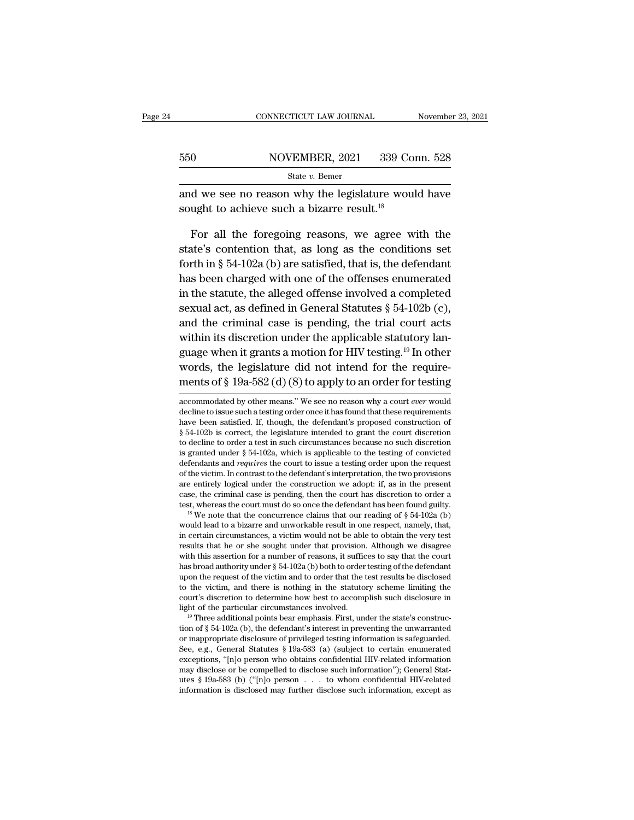|     | CONNECTICUT LAW JOURNAL                                                                                                                                                                                                                                                                                                                          | November 23, 2021 |
|-----|--------------------------------------------------------------------------------------------------------------------------------------------------------------------------------------------------------------------------------------------------------------------------------------------------------------------------------------------------|-------------------|
| 550 | NOVEMBER, 2021                                                                                                                                                                                                                                                                                                                                   | 339 Conn. 528     |
|     | State $v$ . Bemer                                                                                                                                                                                                                                                                                                                                |                   |
|     | and we see no reason why the legislature would have<br>sought to achieve such a bizarre result. <sup>18</sup>                                                                                                                                                                                                                                    |                   |
|     | For all the foregoing reasons, we agree with the<br>state's contention that, as long as the conditions set<br>$\mathcal{C}$ . The set of the set of the set of the set of the set of the set of the set of the set of the set of the set of the set of the set of the set of the set of the set of the set of the set of the set of the set of t |                   |

State v. Bemer<br>and we see no reason why the legislature would have<br>sought to achieve such a bizarre result.<sup>18</sup><br>For all the foregoing reasons, we agree with the<br>state's contention that, as long as the conditions set<br>forth for all the foregoing reasons, we agree with the state's contention that, as long as the conditions set forth in § 54-102a (b) are satisfied, that is, the defendant has been charged with one of the offenses enumerated and we see no reason why the legislature would have<br>sought to achieve such a bizarre result.<sup>18</sup><br>For all the foregoing reasons, we agree with the<br>state's contention that, as long as the conditions set<br>forth in § 54-102a ( sought to achieve such a bizarre result.<sup>5</sup><br>For all the foregoing reasons, we agree with the<br>state's contention that, as long as the conditions set<br>forth in § 54-102a (b) are satisfied, that is, the defendant<br>has been cha For all the foregoing reasons, we agree with the state's contention that, as long as the conditions set forth in  $\S 54-102a$  (b) are satisfied, that is, the defendant has been charged with one of the offenses enumerated i and the criminal case is pending, the difference with the state's contention that, as long as the conditions set forth in § 54-102a (b) are satisfied, that is, the defendant has been charged with one of the offenses enume forth in § 54-102a (b) are satisfied, that is, the defendant<br>has been charged with one of the offenses enumerated<br>in the statute, the alleged offense involved a completed<br>sexual act, as defined in General Statutes § 54-10 has been charged with one of the offenses enumerated<br>in the statute, the alleged offense involved a completed<br>sexual act, as defined in General Statutes § 54-102b (c),<br>and the criminal case is pending, the trial court act The statute, the alleged offense involved a completed<br>sexual act, as defined in General Statutes § 54-102b (c),<br>and the criminal case is pending, the trial court acts<br>within its discretion under the applicable statutory l ment statute, are antigon offering inverted a compresed<br>sexual act, as defined in General Statutes § 54-102b (c),<br>and the criminal case is pending, the trial court acts<br>within its discretion under the applicable statutory whim its discretion under the applicable statutory language when it grants a motion for HIV testing.<sup>19</sup> In other words, the legislature did not intend for the requirements of  $\S 19a-582$  (d) (8) to apply to an order for guage when it grants a motion for HIV testing.<sup>19</sup> In other<br>words, the legislature did not intend for the require-<br>ments of § 19a-582 (d) (8) to apply to an order for testing<br>accommodated by other means." We see no reason

words, the legislature did not intend for the require-<br>ments of § 19a-582 (d) (8) to apply to an order for testing<br>accommodated by other means." We see no reason why a court *ever* would<br>decline to issue such a testing or ments of § 19a-582 (d) (8) to apply to an order for testing<br>accommodated by other means." We see no reason why a court *ever* would<br>decline to issue such a testing order once it has found that these requirements<br>have been ments of § 19a-582 (d) (8) to apply to an order for testing<br>accommodated by other means." We see no reason why a court *ever* would<br>decline to issue such a testing order once it has found that these requirements<br>have been accommodated by other means." We see no reason why a court *ever* would decline to issue such a testing order once it has found that these requirements have been satisfied. If, though, the defendant's proposed constructio accommodated by other means. We see no reason why a court *ever* would<br>decline to issue such a testing order once it has found that these requirements<br>have been satisfied. If, though, the defendant's proposed construction decime to issue such a testing order once it has found that these requirements<br>have been satisfied. If, though, the defendant's proposed construction of<br> $\S 54-102b$  is correct, the legislature intended to grant the court have been satisfied. It, though, the defendant is proposed construction of  $\S$  54-102b is correct, the legislature intended to grant the court discretion to decline to order a test in such circumstances because no such di  $\S$  54-102b is correct, the legislature intended to grant the court discretion<br>to decline to order a test in such circumstances because no such discretion<br>is granted under  $\S$  54-102a, which is applicable to the testing o to decime to order a test in such circumstances because no such discretion<br>is granted under § 54-102a, which is applicable to the testing of convicted<br>defendants and *requires* the court to issue a testing order upon the derendants and *requires* the court to issue a testing order upon the request<br>of the victim. In contrast to the defendant's interpretation, the two provisions<br>are entirely logical under the construction we adopt: if, as i

or the victim. In contrast to the defendant s interpretation, the two provisions<br>are entirely logical under the construction we adopt: if, as in the present<br>case, the criminal case is pending, then the court has discretio are entirely logical under the construction we adopt: if, as in the present case, the criminal case is pending, then the court has discretion to order a test, whereas the court must do so once the defendant has been found case, the criminal case is pending, then the court has discretion to order a<br>test, whereas the court must do so once the defendant has been found guilty.<br><sup>18</sup> We note that the concurrence claims that our reading of § 54-10 test, whereas the court must ao so once the defendant has been found guilty.<br><sup>18</sup> We note that the concurrence claims that our reading of  $\S$  54-102a (b) would lead to a bizarre and unworkable result in one respect, namel we note that the concurrence claims that our reading of  $\S$   $\S$   $\beta$ 4-102a ( $\nu$ ) would lead to a bizarre and unworkable result in one respect, namely, that, in certain circumstances, a victim would not be able to obtain would lead to a bizarre and unworkable result in one respect, namely, that, in certain circumstances, a victim would not be able to obtain the very test results that he or she sought under that provision. Although we disag in certain circumstances, a victim would not be able to obtain the very test<br>results that he or she sought under that provision. Although we disagree<br>with this assertion for a number of reasons, it suffices to say that th results that he or she solight under that provision. Although we disagree<br>with this assertion for a number of reasons, it suffices to say that the court<br>has broad authority under § 54-102a (b) both to order testing of the The provident of state of the victim and to order that the test results be disclosed to the victim, and there is nothing in the statutory scheme limiting the court's discretion to determine how best to accomplish such dis

upon the request of the victim and to order that the test results be disclosed<br>to the victim, and there is nothing in the statutory scheme limiting the<br>court's discretion to determine how best to accomplish such disclosur for the victim, and there is nothing in the statutory scheme inhulng the court's discretion to determine how best to accomplish such disclosure in light of the particular circumstances involved.<br><sup>19</sup> Three additional poin court s ascretion to determine now best to accompilsh such also<br>lost in light of the particular circumstances involved.<br><sup>19</sup> Three additional points bear emphasis. First, under the state's construc-<br>tion of § 54-102a (b), may disclose or be compelled to disclose such information of  $\$  54-102a (b), the defendant's interest in preventing the unwarranted or inappropriate disclosure of privileged testing information is safeguarded.<br>See, e.g., Three additional points bear emphasis. First, under the state s construction of § 54-102a (b), the defendant's interest in preventing the unwarranted or inappropriate disclosure of privileged testing information is safegu tion of § 54-102a (b), the defendant s interest in preventing the unwarranted<br>or inappropriate disclosure of privileged testing information is safeguarded.<br>See, e.g., General Statutes § 19a-583 (a) (subject to certain enu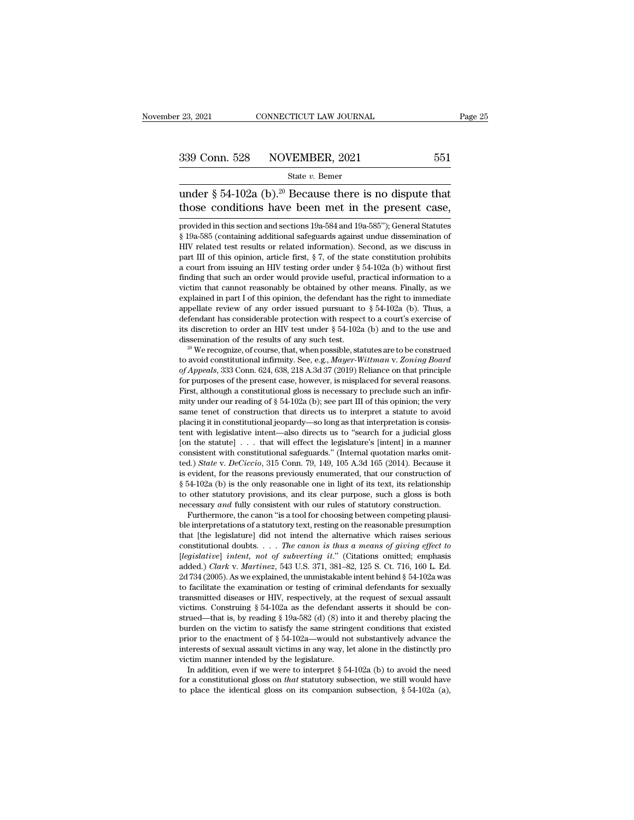### 23, 2021 CONNECTICUT LAW JOURNAL Page 2<br>
339 Conn. 528 NOVEMBER, 2021 551<br>
State v. Bemer<br>
under § 54-102a (b).<sup>20</sup> Because there is no dispute that<br>
those conditions have been met in the present case, 339 Conn. 528 NOVEMBER, 2021 551<br>
State v. Bemer<br>
under § 54-102a (b).<sup>20</sup> Because there is no dispute that<br>
those conditions have been met in the present case,<br>
provided in this section and sections 19a-584 and 19a-585")

State v. Bemer<br>
under § 54-102a (b).<sup>20</sup> Because there is no dispute that<br>
those conditions have been met in the present case,<br>
provided in this section and sections 19a-584 and 19a-585''); General Statutes<br>
§ 19a-585 (co State v. Bemer<br>
State v. Bemer<br>
under § 54-102a (b).<sup>20</sup> Because there is no dispute that<br>
those conditions have been met in the present case,<br>
provided in this section and sections 19a-584 and 19a-585"); General Statutes<br> under § 54-102a (b).<sup>20</sup> Because there is no dispute that those conditions have been met in the present case, provided in this section and sections 19a-584 and 19a-585"); General Statutes § 19a-585 (containing additional under  $\frac{9}{4}$ -102a (b). Because there is no dispute that<br>those conditions have been met in the present case,<br>provided in this section and sections 19a-584 and 19a-585"); General Statutes<br> $\frac{8}{9}$  19a-585 (containing ad those conditions have been met in the present case,<br>provided in this section and sections 19a-584 and 19a-585"); General Statutes<br>§ 19a-585 (containing additional safeguards against undue dissemination of<br>HIV related test provided in this section and sections 19a-584 and 19a-585"); General Statutes § 19a-585 (containing additional safeguards against undue dissemination of HIV related test results or related information). Second, as we disc provided in this section and sections 19a-584 and 19a-585 *)*; General statiues § 19a-585 (containing additional safeguards against undue dissemination of HIV related test results or related information). Second, as we di g 19a-585 (containing additional sareguards against undue dissemination of HIV related test results or related information). Second, as we discuss in part III of this opinion, article first, § 7, of the state constitution Firv related test results or related information). Second, as we discuss in part III of this opinion, article first,  $\S$  7, of the state constitution prohibits a court from issuing an HIV testing order under  $\S$  54-102a ( part in or this opinion, article first,  $\S$  *i*, or the state constitution pronibits a court from issuing an HIV testing order under  $\S$  54-102a (b) without first finding that such an order would provide useful, practical a court from issumg an HIV testing order under  $\S$  54-102a (b) without first finding that such an order would provide useful, practical information to a victim that cannot reasonably be obtained by other means. Finally, a maing that such an order would provide useful, practical information to a<br>victim that cannot reasonably be obtained by other means. Finally, as we<br>explained in part I of this opinion, the defendant has the right to immedi explained in part 1 of this opinion, the defendant has the right to immediate<br>appellate review of any order issued pursuant to § 54-102a (b). Thus, a<br>defendant has considerable protection with respect to a court's exercise

appellate review of any order issued pursuant to § 54-102a (b). Thus, a<br>defendant has considerable protection with respect to a court's exercise of<br>its discretion to order an HIV test under § 54-102a (b) and to the use and defendant has considerable protection with respect to a court's exercise of its discretion to order an HIV test under  $\S 54-102a$  (b) and to the use and dissemination of the results of any such test.<br><sup>20</sup> We recognize, of to avoid constitutional infirmity. See, e.g., *Mayer-Wittman v. Zoning Board* of *Appeals*, 333 Conn. 624, 638, 218 A.3d 37 (2019) Reliance on that principle for purposes of the present case, however, is misplaced for sev mitted as we recognize, of course, that, when possible, statutes are to be construed<br>to avoid constitutional infirmity. See, e.g., *Mayer-Wittman v. Zoning Board*<br>of *Appeals*, 333 Conn. 624, 638, 218 A.3d 37 (2019) Relia we recognize, or course, that, when possible, statutes are to be construed<br>to avoid constitutional infirmity. See, e.g., *Mayer-Wittman v. Zoning Board*<br>of *Appeals*, 333 Conn. 624, 638, 218 A.3d 37 (2019) Reliance on tha of Appeals, 333 Conn. 624, 638, 218 A.3d 37 (2019) Reliance on that principle<br>for purposes of the present case, however, is misplaced for several reasons.<br>First, although a constitutional gloss is necessary to preclude su the proposes of the present case, however, is misplaced for several reasons.<br>First, although a constitutional gloss is necessary to preclude such an infirmity under our reading of § 54-102a (b); see part III of this opini for purposes of the present case, nowever, is misplaced for several reasons.<br>First, although a constitutional gloss is necessary to preclude such an infirmity under our reading of § 54-102a (b); see part III of this opinio placing it in constitutional jeopardy—so long as that interpretation is consistent with legislative intent—also directs us to "search for a judicial gloss [on the statute]  $\dots$  that will effect the legislature's [intent] mity under our reading of § 54-102a (b); see part in of this opinion; the very<br>same tenet of construction that directs us to interpret a statute to avoid<br>placing it in constitutional jeopardy—so long as that interpretation same tenet or construction that directs us to interpret a statute to avoid<br>placing it in constitutional jeopardy—so long as that interpretation is consis-<br>tent with legislative intent—also directs us to "search for a judi placing it in constitutional jeopardy—so long as that interpretation is consistent with legislative intent—also directs us to "search for a judicial gloss [on the statute] . . . that will effect the legislature's [intent] tent with legislative interi—also directs us to 'search for a judicial gloss<br>[on the statute] . . . that will effect the legislature's [intent] in a manner<br>consistent with constitutional safeguards." (Internal quotation m for the statute *and* fully consistent with constitutional safeguards." (Internal quotation marks omitted.) *State v. DeCiccio*, 315 Conn. 79, 149, 105 A.3d 165 (2014). Because it is evident, for the reasons previously enu maistent with constitutional sateguards." (internal quotation marks omit-<br>d.) *State* v. *DeCiccio*, 315 Conn. 79, 149, 105 A.3d 165 (2014). Because it<br>evident, for the reasons previously enumerated, that our construction ted.) *State V. DeCrecio*, 315 Conn. (9, 149, 105 A.3d 165 (2014). Because it is evident, for the reasons previously enumerated, that our construction of § 54-102a (b) is the only reasonable one in light of its text, its

§ 54-102a (b) is the only reasonable one in light of its text, its relationship to other statutory provisions, and its clear purpose, such a gloss is both necessary *and* fully consistent with our rules of statutory const g b4-102a (b) is the only reasonable one in light of its text, its relationship<br>to other statutory provisions, and its clear purpose, such a gloss is both<br>necessary and fully consistent with our rules of statutory construc for other statutory provisions, and its clear purpose, such a gloss is both necessary *and* fully consistent with our rules of statutory construction.<br> *Furthermore*, the canon "is a tool for choosing between competing pla necessary *ana* ruly consistent with our rules or statutory construction.<br>Furthermore, the canon "is a tool for choosing between competing plausi-<br>ble interpretations of a statutory text, resting on the reasonable presumpt Furthermore, the canon is a tool for choosing between competing plausi-<br>ble interpretations of a statutory text, resting on the reasonable presumption<br>that [the legislature] did not intend the alternative which raises ser ble interpretations or a statutory text, resung on the reasonable presumption<br>that [the legislature] did not intend the alternative which raises serious<br>constitutional doubts.... *The canon is thus a means of giving effec* that [the legislature] did not intend the alternative which raises serious constitutional doubts. . . . The canon is thus a means of giving effect to [legislative] intent, not of subverting it." (Citations omitted; emphas constitutional doubts. . . . The canon is thus a means of giving effect to [legislative] intent, not of subverting it." (Citations omitted; emphasis added.) Clark v. Martinez, 543 U.S. 371, 381–82, 125 S. Ct. 716, 160 L. (*legislative*] *intent, not of subverting it.* (Citations omitted; empnasis added.) *Clark v. Martinez*, 543 U.S. 371, 381–82, 125 S. Ct. 716, 160 L. Ed. 2d 734 (2005). As we explained, the unmistakable intent behind § 5 added.) *Clark* v. *Martinez*, 543 U.S. 371, 351–52, 125 S. Ct. 716, 100 L. Ed.<br>2d 734 (2005). As we explained, the unmistakable intent behind § 54-102a was<br>to facilitate the examination or testing of criminal defendants 2d  $734$  (2005). As we explained, the unmistakable intent benind § 54-102a was to facilitate the examination or testing of criminal defendants for sexually transmitted diseases or HIV, respectively, at the request of sexu to facilitate the examination or testing of criminal defendants for sexually transmitted diseases or HIV, respectively, at the request of sexual assault victims. Construing § 54-102a as the defendant asserts it should be transmitted diseases or HIV, respectively, at the request of sexual assault victims. Construing § 54-102a as the defendant asserts it should be construed—that is, by reading § 19a-582 (d) (8) into it and thereby placing t cums. Construing § 54-102a as the derendant asserts it should be con-<br>ued—that is, by reading § 19a-582 (d) (8) into it and thereby placing the<br>rden on the victim to satisfy the same stringent conditions that existed<br>ior strued—that is, by reading § 19a-582 (d) (8) into it and thereby placing the burden on the victim to satisfy the same stringent conditions that existed prior to the enactment of § 54-102a—would not substantively advance t prior to the enactment of § 54-102a—would not substantively advance the interests of sexual assault victims in any way, let alone in the distinctly pro victim manner intended by the legislature.<br>In addition, even if we we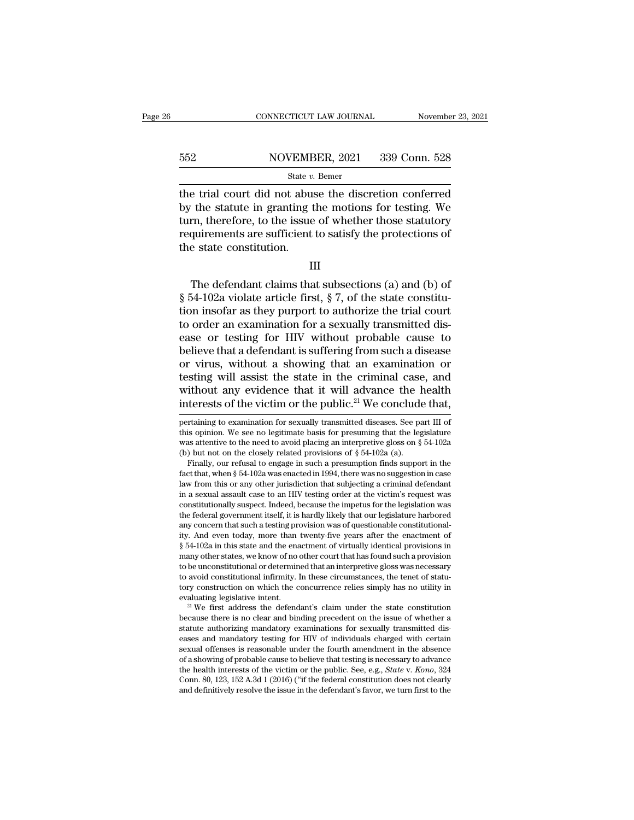# EXECUTE CONNECTICUT LAW JOURNAL Movember 23, 2021<br>552 NOVEMBER, 2021 339 Conn. 528<br>541 State v. Bemer

### State *v.* Bemer

CONNECTICUT LAW JOURNAL November 23, 2021<br>  $\begin{array}{r}\n 552 \text{ NOVEMBER, } 2021 \quad 339 \text{ Conn. } 528 \\
 \text{State } v. \text{ Bemer} \\
 \end{array}$ the trial court did not abuse the discretion conferred<br>
by the statute in granting the motions for testing. We<br>
t  $\begin{array}{r} \text{552} & \text{NOVEMBER, 2021} & \text{339 Conn. 528} \\ \text{State } v. \text{ Bemer} \\ \text{the trial court did not abuse the discretion conferred by the statue in granting the motions for testing. We turn, therefore, to the issue of whether those statutory requirements are sufficient to satisfy the practices of the interactions of the interactions.} \end{array}$ 552 NOVEMBER, 2021 339 Conn. 528<br>
State v. Bemer<br>
the trial court did not abuse the discretion conferred<br>
by the statute in granting the motions for testing. We<br>
turn, therefore, to the issue of whether those statutory<br>
r For the trial court did not abuse the discretion conferred<br>the trial court did not abuse the discretion conferred<br>by the statute in granting the motions for testing. We<br>turn, therefore, to the issue of whether those statu  $\begin{array}{r}\n\hline\n\text{State } v.\n\hline\n\text{State } v.\n\hline\n\end{array}$ the trial court did not abus<br>
by the statute in granting t<br>
turn, therefore, to the issue<br>
requirements are sufficient<br>
the state constitution. The statute in granting the motions for testing. We<br>then, therefore, to the issue of whether those statutory<br>quirements are sufficient to satisfy the protections of<br>e state constitution.<br> $III$ <br>The defendant claims that subs

### III

turn, therefore, to the issue of whether those statutory<br>requirements are sufficient to satisfy the protections of<br>the state constitution.<br>III<br>The defendant claims that subsections (a) and (b) of<br> $\S 54-102a$  violate articl requirements are sufficient to satisfy the protections of<br>the state constitution.<br>III<br>The defendant claims that subsections (a) and (b) of<br> $\S 54-102a$  violate article first,  $\S 7$ , of the state constitu-<br>tion insofar as th the state constitution.<br>
III<br>
The defendant claims that subsections (a) and (b) of<br>
§ 54-102a violate article first, § 7, of the state constitu-<br>
tion insofar as they purport to authorize the trial court<br>
to order an exami III<br>
The defendant claims that subsections (a) and (b) of<br>  $\S$  54-102a violate article first,  $\S$  7, of the state constitu-<br>
tion insofar as they purport to authorize the trial court<br>
to order an examination for a sexuall III<br>The defendant claims that subsections (a) and (b) of<br> $\S$  54-102a violate article first,  $\S$  7, of the state constitu-<br>tion insofar as they purport to authorize the trial court<br>to order an examination for a sexually tr The defendant claims that subsections (a) and (b) of  $\S$  54-102a violate article first,  $\S$  7, of the state constitution insofar as they purport to authorize the trial court to order an examination for a sexually transmit § 54-102a violate article first, § 7, of the state constitution insofar as they purport to authorize the trial court<br>to order an examination for a sexually transmitted dis-<br>ease or testing for HIV without probable cause t tion insofar as they purport to authorize the trial court<br>to order an examination for a sexually transmitted dis-<br>ease or testing for HIV without probable cause to<br>believe that a defendant is suffering from such a disease<br> to order an examination for a sexually transmitted dis-<br>ease or testing for HIV without probable cause to<br>believe that a defendant is suffering from such a disease<br>or virus, without a showing that an examination or<br>testin or virus, without a showing that an examination or testing will assist the state in the criminal case, and without any evidence that it will advance the health interests of the victim or the public.<sup>21</sup> We conclude that, testing will assist the state in the criminal case, and<br>without any evidence that it will advance the health<br>interests of the victim or the public.<sup>21</sup> We conclude that,<br>pertaining to examination for sexually transmitted

pertaining to examination for sexually transmitted diseases. See part in of this opinion. We see no legitimate basis for presuming that the legislature was attentive to the need to avoid placing an interpretive gloss on this opinion. we see no legitimate basis for presuming that the legislature was attentive to the need to avoid placing an interpretive gloss on  $\S$  54-102a (b) but not on the closely related provisions of  $\S$  54-102a (a). was attentive to the fleed to avoid placing an interpretive gloss on  $\S$  54-102a (b) but not on the closely related provisions of  $\S$  54-102a (a).<br>Finally, our refusal to engage in such a presumption finds support in the (b) but not on the closely related provisions of  $\hat{s}$  54-102a (a).<br>Finally, our refusal to engage in such a presumption finds support in the<br>fact that, when  $\hat{s}$  54-102a was enacted in 1994, there was no suggestion in Finally, our reflusal to engage in such a presumption mids support in the fact that, when  $\S$  54-102a was enacted in 1994, there was no suggestion in case law from this or any other jurisdiction that subjecting a criminal flact that, when § 54-102a was enacted in 1994, there was no suggestion in case<br>law from this or any other jurisdiction that subjecting a criminal defendant<br>in a sexual assault case to an HIV testing order at the victim's haw from this or any other jurisdiction that subjecting a criminal defendant<br>in a sexual assault case to an HIV testing order at the victim's request was<br>constitutionally suspect. Indeed, because the impetus for the legisl m a sexual assault case to an HIV testing order at the victims request was constitutionally suspect. Indeed, because the impetus for the legislation was the federal government itself, it is hardly likely that our legislatu constitutionally suspect. Indeed, because the impetus for the legislation was<br>the federal government itself, it is hardly likely that our legislature harbored<br>any concern that such a testing provision was of questionable c the federal government itself, it is hardly likely that our legislature harbored<br>any concern that such a testing provision was of questionable constitutional-<br>ity. And even today, more than twenty-five years after the enac any concern that such a testing provision was or questionable constitutionality. And even today, more than twenty-five years after the enactment of § 54-102a in this state and the enactment of virtually identical provision fly. And even today, more than twenty-five years after the enactment of  $\S$  54-102a in this state and the enactment of virtually identical provisions in many other states, we know of no other court that has found such a p many other states, we know of no other court that has found such a provision<br>to be unconstitutional or determined that an interpretive gloss was necessary<br>to avoid constitutional infirmity. In these circumstances, the ten

to avoid constitutional infirmity. In these circumstances, the tenet of statu-<br>tory construction on which the concurrence relies simply has no utility in<br>evaluating legislative intent.<br><sup>21</sup> We first address the defendant' to avoid constitutional minrinty. In these circumstances, the tenet of statu-<br>tory construction on which the concurrence relies simply has no utility in<br>evaluating legislative intent.<br><sup>21</sup> We first address the defendant's for construction on which the concurrence relies simply has no utility in<br>evaluating legislative intent.<br><sup>21</sup> We first address the defendant's claim under the state constitution<br>because there is no clear and binding preced evaluating legislative intent.<br><sup>21</sup> We first address the defendant's claim under the state constitution<br>because there is no clear and binding precedent on the issue of whether a<br>statute authorizing mandatory examinations The health interests of the victim or the issue of whether a statute authorizing mandatory examinations for sexually transmitted diseases and mandatory testing for HIV of individuals charged with certain sexual offenses is because there is no clear and binding precedent on the issue of whether a<br>statute authorizing mandatory examinations for sexually transmitted dis-<br>eases and mandatory testing for HIV of individuals charged with certain<br>sex eases and mandatory testing for HIV of individuals charged with certain sexual offenses is reasonable under the fourth amendment in the absence of a showing of probable cause to believe that testing is necessary to advanc

without any evidence that it will advance the health<br>interests of the victim or the public.<sup>21</sup> We conclude that,<br>pertaining to examination for sexually transmitted diseases. See part III of<br>this opinion. We see no legiti Without any evidence that it will advance the interests of the victim or the public.<sup>21</sup> We conclude pertaining to examination for sexually transmitted diseases. See pathis opinion. We see no legitimate basis for presumin the erests of the victim or the public.<sup>21</sup> We conclude that,<br>ritaining to examination for sexually transmitted diseases. See part III of<br>is opinion. We see no legitimate basis for presuming that the legislature<br>as attent pertaining to examination for sexually transmitted diseases. See part III of this opinion. We see no legitimate basis for presuming that the legislature was attentive to the need to avoid placing an interpretive gloss on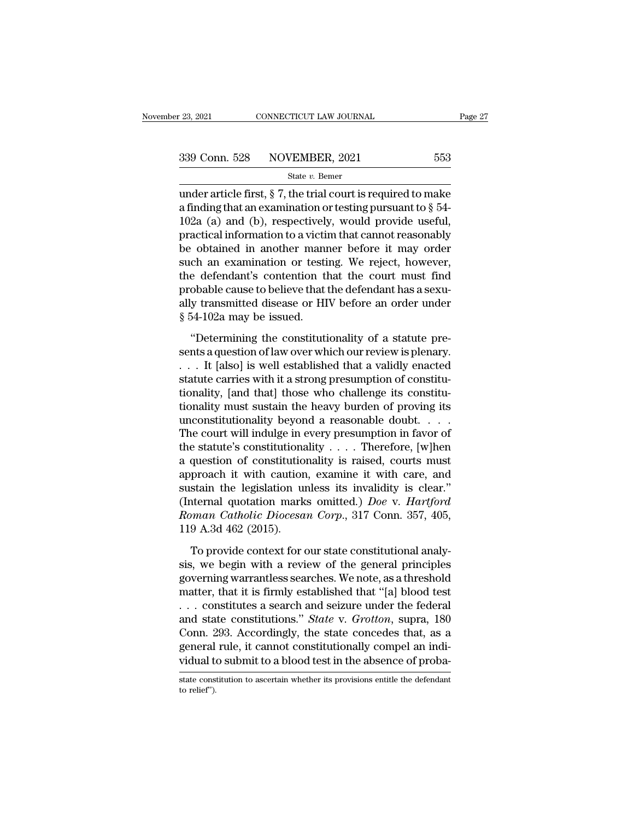23, 2021 CONNECTICUT LAW JOURNAL Page 27<br>
339 Conn. 528 NOVEMBER, 2021 553<br>
State v. Bemer<br>
under article first, § 7, the trial court is required to make<br>
a finding that an examination or testing pursuant to § 54-<br>
1029 ( 339 Conn. 528 NOVEMBER, 2021 553<br>
state v. Bemer<br>
under article first, § 7, the trial court is required to make<br>
a finding that an examination or testing pursuant to § 54-<br>
102a (a) and (b), respectively, would provide us 339 Conn. 528 NOVEMBER, 2021 553<br>
State v. Bemer<br>
under article first, § 7, the trial court is required to make<br>
a finding that an examination or testing pursuant to § 54-<br>
102a (a) and (b), respectively, would provide us 339 Conn. 528 NOVEMBER, 2021 553<br>
state v. Bemer<br>
under article first, § 7, the trial court is required to make<br>
a finding that an examination or testing pursuant to § 54-<br>
102a (a) and (b), respectively, would provide us State v. Bemer<br>
under article first, § 7, the trial court is required to make<br>
a finding that an examination or testing pursuant to § 54-<br>
102a (a) and (b), respectively, would provide useful,<br>
practical information to a state  $v$ . Better<br>under article first, § 7, the trial court is required to make<br>a finding that an examination or testing pursuant to § 54-<br>102a (a) and (b), respectively, would provide useful,<br>practical information to a v under article first, § 7, the trial court is required to make<br>a finding that an examination or testing pursuant to § 54-<br>102a (a) and (b), respectively, would provide useful,<br>practical information to a victim that cannot a finding that an examination or testing pursuant to  $\S$  54-102a (a) and (b), respectively, would provide useful, practical information to a victim that cannot reasonably be obtained in another manner before it may order 102a (a) and (b), respectively, would provide useful, practical information to a victim that cannot reasonably be obtained in another manner before it may order such an examination or testing. We reject, however, the defe practical information to a victii<br>be obtained in another mann<br>such an examination or testi<br>the defendant's contention th<br>probable cause to believe that i<br>ally transmitted disease or HI<br>§ 54-102a may be issued.<br>"Determining The constitution of the constitutional is very selected to an examination or testing. We reject, however, a defendant's contention that the court must find obable cause to believe that the defendant has a sexu-<br>y transmitt sent an emanufactor of looking. The reject, nowever,<br>the defendant's contention that the court must find<br>probable cause to believe that the defendant has a sexu-<br>ally transmitted disease or HIV before an order under<br> $§ 54-$ 

The bable cause to believe that the defendant has a sexually transmitted disease or HIV before an order under<br>§ 54-102a may be issued.<br>"Determining the constitutionality of a statute pre-<br>sents a question of law over which statute carries with the statute carries with the strong of a statute pre-<br>sents a question of law over which our review is plenary.<br> $\ldots$  It [also] is well established that a validly enacted<br>statute carries with it a stro  $\frac{1}{2}$   $\frac{1}{2}$  and  $\frac{1}{2}$  and  $\frac{1}{2}$  and  $\frac{1}{2}$  is sued.<br>
"Determining the constitutionality of a statute presents a question of law over which our review is plenary.<br>  $\ldots$  It [also] is well established tha "Determining the constitutionality of a statute presents a question of law over which our review is plenary.<br>  $\ldots$  It [also] is well established that a validly enacted<br>
statute carries with it a strong presumption of con "Determining the constitutionality of a statute presents a question of law over which our review is plenary.<br>
. . . It [also] is well established that a validly enacted statute carries with it a strong presumption of cons sents a question of law over which our review is plenary.<br>  $\ldots$  It [also] is well established that a validly enacted<br>
statute carries with it a strong presumption of constitu-<br>
tionality, [and that] those who challenge i . . . It [also] is well established that a validly enacted<br>statute carries with it a strong presumption of constitu-<br>tionality, [and that] those who challenge its constitu-<br>tionality must sustain the heavy burden of provin statute carries with it a strong presumption of constitu-<br>tionality, [and that] those who challenge its constitu-<br>tionality must sustain the heavy burden of proving its<br>unconstitutionality beyond a reasonable doubt. . . .<br> tionality, [and that] those who challenge its constitu-<br>tionality must sustain the heavy burden of proving its<br>unconstitutionality beyond a reasonable doubt. . . .<br>The court will indulge in every presumption in favor of<br>t tionality must sustain the heavy burden of proving its<br>unconstitutionality beyond a reasonable doubt. . . .<br>The court will indulge in every presumption in favor of<br>the statute's constitutionality . . . . Therefore, [w]hen unconstitutionality beyond a reasonable doubt. . . . The court will indulge in every presumption in favor of<br>the statute's constitutionality . . . . Therefore, [w]hen<br>a question of constitutionality is raised, courts must The court will indulge in every presumption in favor of<br>the statute's constitutionality . . . . Therefore, [w]hen<br>a question of constitutionality is raised, courts must<br>approach it with caution, examine it with care, and<br>s the statute's constitutiona<br>a question of constitution<br>approach it with caution<br>sustain the legislation un<br>(Internal quotation mark<br>*Roman Catholic Diocesa*<br>119 A.3d 462 (2015).<br>To provide context for **c** proach it with caution, examine it with care, and<br>proach it with caution, examine it with care, and<br>stain the legislation unless its invalidity is clear."<br>ternal quotation marks omitted.) *Doe v. Hartford*<br>pman *Catholic D* sustain the legislation unless its invalidity is clear."<br>
(Internal quotation marks omitted.) *Doe* v. *Hartford*<br> *Roman Catholic Diocesan Corp.*, 317 Conn. 357, 405,<br>
119 A.3d 462 (2015).<br>
To provide context for our sta

(Internal quotation marks omitted.) *Doe* v. *Hartford*<br>*Roman Catholic Diocesan Corp.*, 317 Conn. 357, 405,<br>119 A.3d 462 (2015).<br>To provide context for our state constitutional analy-<br>sis, we begin with a review of the g Roman Catholic Diocesan Corp., 317 Conn. 357, 405,<br>119 A.3d 462 (2015).<br>To provide context for our state constitutional analysis, we begin with a review of the general principles<br>governing warrantless searches. We note, a 119 A.3d 462 (2015).<br>
To provide context for our state constitutional analysis, we begin with a review of the general principles<br>
governing warrantless searches. We note, as a threshold<br>
matter, that it is firmly establis To provide context for our state constitutional analysis, we begin with a review of the general principles governing warrantless searches. We note, as a threshold matter, that it is firmly established that "[a] blood test To provide context for our state constitutional analysis, we begin with a review of the general principles<br>governing warrantless searches. We note, as a threshold<br>matter, that it is firmly established that "[a] blood test sis, we begin with a review of the general principles<br>governing warrantless searches. We note, as a threshold<br>matter, that it is firmly established that "[a] blood test<br> $\ldots$  constitutions a search and seizure under the f governing warrantless searches. We note, as a threshold matter, that it is firmly established that "[a] blood test . . . constitutes a search and seizure under the federal and state constitutions." *State* v. *Grotton*, s and state constitutions." *State* v. *Grotton*, supra, 180 Conn. 293. Accordingly, the state concedes that, as a general rule, it cannot constitutionally compel an individual to submit to a blood test in the absence of pro vidual to submit to a blood test in the absence of proba-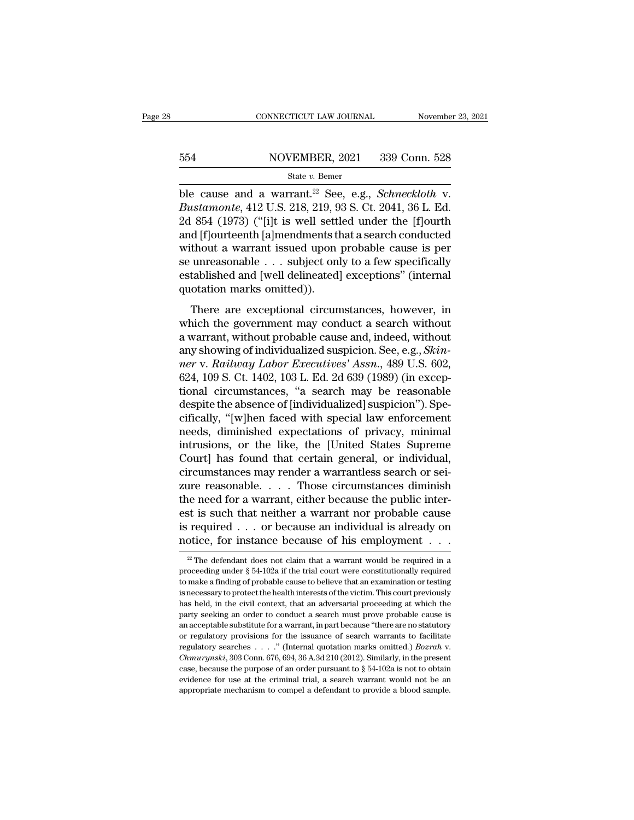# EXECUTE CONNECTICUT LAW JOURNAL Movember 23, 2021<br>554 NOVEMBER, 2021 339 Conn. 528<br>554 State v. Bemer

### State *v.* Bemer

CONNECTICUT LAW JOURNAL November 23, 2021<br> **ble cause and a warrant.<sup>22</sup> See, e.g.,** *Schneckloth* **v.<br>** *Bustamonte***, 412 U.S. 218, 219, 93 S. Ct. 2041, 36 L. Ed.<br>
24, 854 (1073) ("filt is woll sottled under the flourth Bustain State West State V. Bustamonte, 412 U.S. 218, 219, 93 S. Ct. 2041, 36 L. Ed.**<br> **Bustamonte, 412 U.S. 218, 219, 93 S. Ct. 2041, 36 L. Ed.**<br> **Bustain State V. 2041, 36 L. Ed.**<br> **Cd. 854 (1973) ("[i]t is well settled**  $2654$  NOVEMBER, 2021 339 Conn. 528<br>
State v. Bemer<br>
ble cause and a warrant.<sup>22</sup> See, e.g., *Schneckloth* v.<br> *Bustamonte*, 412 U.S. 218, 219, 93 S. Ct. 2041, 36 L. Ed.<br>
2d 854 (1973) ("[i]t is well settled under the [f] 554 NOVEMBER, 2021 339 Conn. 528<br>
State v. Bemer<br>
ble cause and a warrant.<sup>22</sup> See, e.g., *Schneckloth* v.<br> *Bustamonte*, 412 U.S. 218, 219, 93 S. Ct. 2041, 36 L. Ed.<br>
2d 854 (1973) ("[i]t is well settled under the [f]our State v. Bemer<br>
State v. Bemer<br>
ble cause and a warrant.<sup>22</sup> See, e.g., *Schneckloth* v.<br> *Bustamonte*, 412 U.S. 218, 219, 93 S. Ct. 2041, 36 L. Ed.<br>
2d 854 (1973) ("[i]t is well settled under the [f]ourth<br>
and [f]ourteen state v. Bemer<br>ble cause and a warrant.<sup>22</sup> See, e.g., *Schneckloth* v.<br>*Bustamonte*, 412 U.S. 218, 219, 93 S. Ct. 2041, 36 L. Ed.<br>2d 854 (1973) ("[i]t is well settled under the [f]ourth<br>and [f]ourteenth [a]mendments that ble cause and a warrant.<sup>22</sup> See, e.g., *Schneckloth* v.<br>Bustamonte, 412 U.S. 218, 219, 93 S. Ct. 2041, 36 L. Ed.<br>2d 854 (1973) ("[i]t is well settled under the [f]ourth<br>and [f]ourteenth [a]mendments that a search conduct Bustamonte, 412 U.S. 218, 219, 9<br>2d 854 (1973) ("[i]t is well settl<br>and [f]ourteenth [a]mendments tl<br>without a warrant issued upon<br>se unreasonable . . . subject on<br>established and [well delineated]<br>quotation marks omitted)  $\text{d}$  [f]ourteenth [a]mendments that a search conducted<br>thout a warrant issued upon probable cause is per<br>unreasonable . . . subject only to a few specifically<br>tablished and [well delineated] exceptions" (internal<br>otati without a warrant issued upon probable cause is per<br>se unreasonable  $\dots$  subject only to a few specifically<br>established and [well delineated] exceptions" (internal<br>quotation marks omitted)).<br>There are exceptional circumst

a warrant, issued apon procasse cause is per<br>se unreasonable . . . subject only to a few specifically<br>established and [well delineated] exceptions" (internal<br>quotation marks omitted)).<br>There are exceptional circumstances, be directionally controlled intervalsions and the setablished and [well delineated] exceptions" (internal quotation marks omitted)).<br>There are exceptional circumstances, however, in which the government may conduct a searc quotation marks omitted)).<br>
There are exceptional circumstances, however, in<br>
which the government may conduct a search without<br>
a warrant, without probable cause and, indeed, without<br>
any showing of individualized suspici There are exceptional circumstances, however, in<br>which the government may conduct a search without<br>a warrant, without probable cause and, indeed, without<br>any showing of individualized suspicion. See, e.g., *Skin-<br>ner* v. There are exceptional circumstances, however, in<br>which the government may conduct a search without<br>a warrant, without probable cause and, indeed, without<br>any showing of individualized suspicion. See, e.g., *Skin-<br>ner* v. which the government may conduct a search without<br>a warrant, without probable cause and, indeed, without<br>any showing of individualized suspicion. See, e.g., *Skin-<br>ner* v. *Railway Labor Executives' Assn.*, 489 U.S. 602,<br>6 a warrant, without probable cause and, indeed, without<br>any showing of individualized suspicion. See, e.g., *Skinner* v. *Railway Labor Executives' Assn.*, 489 U.S. 602,<br>624, 109 S. Ct. 1402, 103 L. Ed. 2d 639 (1989) (in ex any showing of individualized suspicion. See, e.g., *Skinner v. Railway Labor Executives' Assn.*, 489 U.S. 602, 624, 109 S. Ct. 1402, 103 L. Ed. 2d 639 (1989) (in exceptional circumstances, "a search may be reasonable desp ner v. Railway Labor Executives' Assn., 489 U.S. 602,<br>624, 109 S. Ct. 1402, 103 L. Ed. 2d 639 (1989) (in exceptional circumstances, "a search may be reasonable<br>despite the absence of [individualized] suspicion"). Spe-<br>cifi 624, 109 S. Ct. 1402, 103 L. Ed. 2d 639 (1989) (in exceptional circumstances, "a search may be reasonable despite the absence of [individualized] suspicion"). Specifically, "[w]hen faced with special law enforcement needs, tional circumstances, "a search may be reasonable<br>despite the absence of [individualized] suspicion"). Spe-<br>cifically, "[w]hen faced with special law enforcement<br>needs, diminished expectations of privacy, minimal<br>intrusion despite the absence of [individualized] suspicion"). Specifically, "[w]hen faced with special law enforcement<br>needs, diminished expectations of privacy, minimal<br>intrusions, or the like, the [United States Supreme<br>Court] ha cifically, "[w]hen faced with special law enforcement<br>needs, diminished expectations of privacy, minimal<br>intrusions, or the like, the [United States Supreme<br>Court] has found that certain general, or individual,<br>circumstanc needs, diminished expectations of privacy, minimal<br>intrusions, or the like, the [United States Supreme<br>Court] has found that certain general, or individual,<br>circumstances may render a warrantless search or sei-<br>zure reason intrusions, or the like, the [United States Supreme<br>Court] has found that certain general, or individual,<br>circumstances may render a warrantless search or sei-<br>zure reasonable. . . . Those circumstances diminish<br>the need Court] has found that certain general, or individual, circumstances may render a warrantless search or seizure reasonable. . . . Those circumstances diminish the need for a warrant, either because the public interest is s the need for a warrant, either because the public interest is such that neither a warrant nor probable cause<br>is required  $\ldots$  or because an individual is already on<br>notice, for instance because of his employment  $\ldots$ <br> $\$ est is such that neither a warrant nor probable cause<br>is required . . . or because an individual is already on<br>notice, for instance because of his employment . . .<br> $\frac{1}{2}$  The defendant does not claim that a warrant wou

is required . . . or because an individual is already on notice, for instance because of his employment . . . .<br> $\frac{1}{2}$  The defendant does not claim that a warrant would be required in a proceeding under § 54-102a if th is necessary to protect the health interests of the victim. This court proceeding under  $\S 54$ -102a if the trial court were constitutionally required to make a finding of probable cause to believe that an examination or t From Thomas and the civil context of this employment  $\cdot \cdot \cdot$ <br>
<sup>22</sup> The defendant does not claim that a warrant would be required in a<br>proceeding under § 54-102a if the trial court were constitutionally required<br>to make a to make a finding of probable cause to believe that an examination or testing is necessary to protect the health interests of the victim. This court previously has held, in the civil context, that an adversarial proceeding proceeding under  $\S$  54-102a if the trial court were constitutionally required to make a finding of probable cause to believe that an examination or testing is necessary to protect the health interests of the victim. This From the a finding of probable cause to believe that an examination or testing is necessary to protect the health interests of the victim. This court previously has held, in the civil context, that an adversarial proceedi is necessary to protect the health interests of the victim. This court previously has held, in the civil context, that an adversarial proceeding at which the party seeking an order to conduct a search must prove probable party seeking an order to conduct a search must prove probable cause is<br>an acceptable substitute for a warrant, in part because "there are no statutory<br>or regulatory provisions for the issuance of search warrants to facil para, acceptable substitute for a warrant, in part because "there are no statutory or regulatory provisions for the issuance of search warrants to facilitate regulatory searches . . . ." (Internal quotation marks omitted. or regulatory provisions for the issuance of search warrants to facilitate regulatory searches . . . ." (Internal quotation marks omitted.) *Bozrah* v. *Chmurynski*, 303 Conn. 676, 694, 36 A.3d 210 (2012). Similarly, in t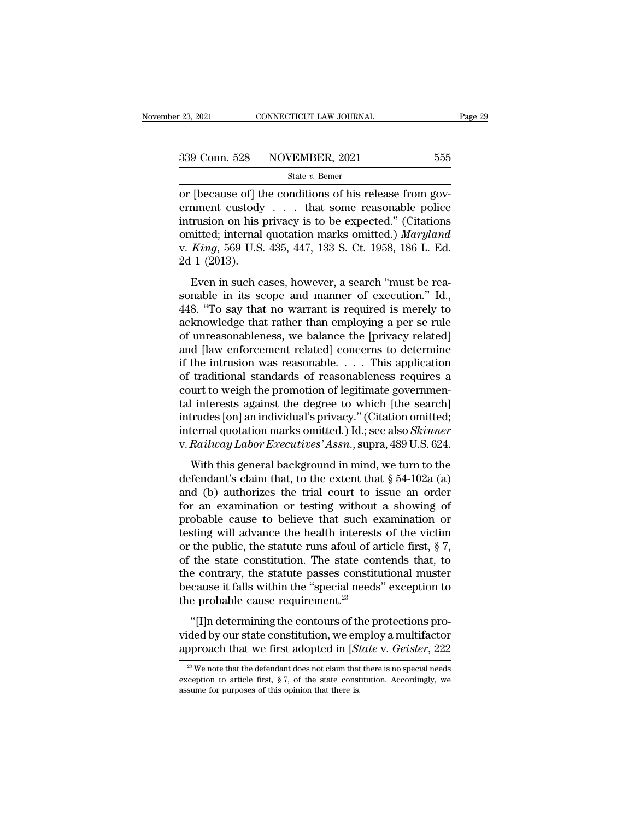| r 23, 2021    | CONNECTICUT LAW JOURNAL | Page 29 |  |
|---------------|-------------------------|---------|--|
| 339 Conn. 528 | NOVEMBER, 2021          | 555     |  |
|               | State $v$ . Bemer       |         |  |

<sup>23, 2021</sup> CONNECTICUT LAW JOURNAL<br>
<sup>339</sup> Conn. 528 NOVEMBER, 2021 555<br>
<sup>359</sup> State *v*. Bemer<br>
or [because of] the conditions of his release from gov-<br>
ernment custody . . . that some reasonable police<br>
intrusion on his 339 Conn. 528 NOVEMBER, 2021 555<br>
state v. Bemer<br>
or [because of] the conditions of his release from government custody . . . that some reasonable police<br>
intrusion on his privacy is to be expected." (Citations<br>
omitted: 339 Conn. 528 NOVEMBER, 2021 555<br>
State v. Bemer<br>
or [because of] the conditions of his release from government custody . . . that some reasonable police<br>
intrusion on his privacy is to be expected.'' (Citations<br>
omitted; 339 Conn. 528 NOVEMBER, 2021 555<br>
State v. Bemer<br>
or [because of] the conditions of his release from government custody . . . that some reasonable police<br>
intrusion on his privacy is to be expected." (Citations<br>
omitted; State v. Bener<br>
or [because of] the conditions of his release from government custody . . . that some reasonable police<br>
intrusion on his privacy is to be expected." (Citations<br>
omitted; internal quotation marks omitted.) or [because of] tlemment custody<br>intrusion on his ]<br>omitted; internal<br>v. *King*, 569 U.S.<br>2d 1 (2013).<br>Even in such c Foccause of the conditions of its recase from government custody... that some reasonable police<br>trusion on his privacy is to be expected." (Citations<br>initted; internal quotation marks omitted.) *Maryland*<br> $King, 569$  U.S. 43 intrusion on his privacy is to be expected." (Citations<br>omitted; internal quotation marks omitted.) *Maryland*<br>v. *King*, 569 U.S. 435, 447, 133 S. Ct. 1958, 186 L. Ed.<br>2d 1 (2013).<br>Even in such cases, however, a search "

matured; internal quotation marks omitted.) *Maryland*<br>v. *King*, 569 U.S. 435, 447, 133 S. Ct. 1958, 186 L. Ed.<br>2d 1 (2013).<br>Even in such cases, however, a search "must be rea-<br>sonable in its scope and manner of executio v. *King*, 569 U.S. 435, 447, 133 S. Ct. 1958, 186 L. Ed.<br>2d 1 (2013).<br>Even in such cases, however, a search "must be reasonable in its scope and manner of execution." Id.,<br>448. "To say that no warrant is required is mere of unreasonable in its scope and manner of execution." Id.,<br>448. "To say that no warrant is required is merely to<br>acknowledge that rather than employing a per se rule<br>of unreasonableness, we balance the [privacy related]<br> Even in such cases, however, a search "must be reasonable in its scope and manner of execution." Id., 448. "To say that no warrant is required is merely to acknowledge that rather than employing a per se rule of unreasona Even in such cases, however, a search "must be reasonable in its scope and manner of execution." Id.,  $448$ . "To say that no warrant is required is merely to acknowledge that rather than employing a per se rule of unreaso sonable in its scope and manner of execution." Id.,<br>448. "To say that no warrant is required is merely to<br>acknowledge that rather than employing a per se rule<br>of unreasonableness, we balance the [privacy related]<br>and [law 448. "To say that no warrant is required is merely to acknowledge that rather than employing a per se rule of unreasonableness, we balance the [privacy related] and [law enforcement related] concerns to determine if the i acknowledge that rather than employing a per se rule<br>of unreasonableness, we balance the [privacy related]<br>and [law enforcement related] concerns to determine<br>if the intrusion was reasonable. . . . This application<br>of trad of unreasonableness, we balance the [privacy related]<br>and [law enforcement related] concerns to determine<br>if the intrusion was reasonable. . . . This application<br>of traditional standards of reasonableness requires a<br>court and [law enforcement related] concerns to determine<br>if the intrusion was reasonable. . . . This application<br>of traditional standards of reasonableness requires a<br>court to weigh the promotion of legitimate governmen-<br>tal in if the intrusion was reasonable. . . . . This application<br>of traditional standards of reasonableness requires a<br>court to weigh the promotion of legitimate governmen-<br>tal interests against the degree to which [the search]<br>i Interests against the degree to which [the search]<br>
linterests against the degree to which [the search]<br>
trudes [on] an individual's privacy." (Citation omitted;<br>
ternal quotation marks omitted.) Id.; see also *Skinner*<br> tal interests against the degree to which [the search]<br>intrudes [on] an individual's privacy." (Citation omitted;<br>internal quotation marks omitted.) Id.; see also *Skinner*<br>v. *Railway Labor Executives' Assn.*, supra, 489

intrudes [on] an individual's privacy." (Citation omitted;<br>internal quotation marks omitted.) Id.; see also *Skinner*<br>v. Railway Labor Executives' Assn., supra, 489 U.S. 624.<br>With this general background in mind, we turn for an examination or testing with the short chatter of the victor<br>w. Railway Labor Executives' Assn., supra, 489 U.S. 624.<br>With this general background in mind, we turn to the<br>defendant's claim that, to the extent that probable cause to believe that such examination or testing with this general background in mind, we turn to the defendant's claim that, to the extent that  $\S 54-102a$  (a) and (b) authorizes the trial court to issue an ord With this general background in mind, we turn to the defendant's claim that, to the extent that  $\S 54-102a$  (a) and (b) authorizes the trial court to issue an order for an examination or testing without a showing of proba With this general background in mind, we turn to the defendant's claim that, to the extent that  $\S 54-102a$  (a) and (b) authorizes the trial court to issue an order for an examination or testing without a showing of proba defendant's claim that, to the extent that  $\S$  54-102a (a)<br>and (b) authorizes the trial court to issue an order<br>for an examination or testing without a showing of<br>probable cause to believe that such examination or<br>testing and (b) authorizes the trial court to issue an order<br>for an examination or testing without a showing of<br>probable cause to believe that such examination or<br>testing will advance the health interests of the victim<br>or the pub for an examination or testing without a showing of<br>probable cause to believe that such examination or<br>testing will advance the health interests of the victim<br>or the public, the statute runs afoul of article first,  $\S$  7,<br> probable cause to believe that such e<br>testing will advance the health interests<br>or the public, the statute runs afoul of a<br>of the state constitution. The state cor<br>the contrary, the statute passes constitu<br>because it falls the public, the statute runs afoul of article first, § 7,<br>the state constitution. The state contends that, to<br>e contrary, the statute passes constitutional muster<br>cause it falls within the "special needs" exception to<br>e p of the state constitution. The state contends that, to<br>the contrary, the statute passes constitutional muster<br>because it falls within the "special needs" exception to<br>the probable cause requirement.<sup>23</sup><br>"[I]n determining of the state constrained. The state contends and, to<br>the contrary, the statute passes constitutional muster<br>because it falls within the "special needs" exception to<br>the probable cause requirement.<sup>23</sup><br>"[I]n determining the

"[I]n determining the contours of the protections pro-<br>ded by our state constitution, we employ a multifactor<br>oproach that we first adopted in [*State* v. *Geisler*, 222<br><sup>23</sup> We note that the defendant does not claim that "[I]n determining the contours of the protections provided by our state constitution, we employ a multifactor approach that we first adopted in [*State* v. *Geisler*, 222  $\frac{27}{2}$  We note that the defendant does not cla

vided by our state constitution, we en<br>approach that we first adopted in [*Si*<br> $\frac{1}{2}$  we note that the defendant does not claim that<br>exception to article first, § 7, of the state const<br>assume for purposes of this opini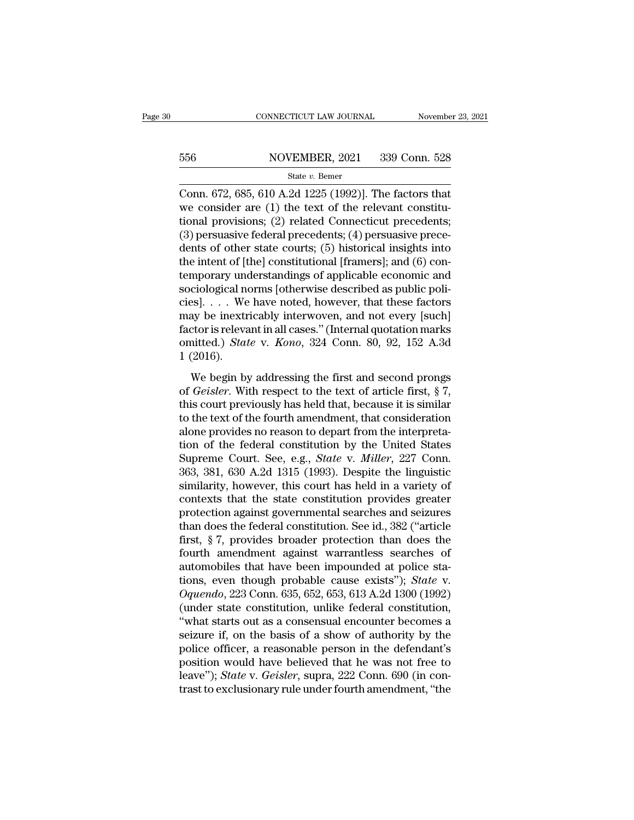# EXECUTE CONNECTICUT LAW JOURNAL Movember 23, 2021<br>556 NOVEMBER, 2021 339 Conn. 528<br>556 State v. Bemer

### State *v.* Bemer

CONNECTICUT LAW JOURNAL November 23, 202<br>
State v. Bemer<br>
Conn. 672, 685, 610 A.2d 1225 (1992)]. The factors that<br>
we consider are (1) the text of the relevant constitu-<br>
tional provisions: (2) related Connecticut procede 556 NOVEMBER, 2021 339 Conn. 528<br>
State v. Bemer<br>
Conn. 672, 685, 610 A.2d 1225 (1992)]. The factors that<br>
we consider are (1) the text of the relevant constitu-<br>
tional provisions; (2) related Connecticut precedents;<br>
(3 556 NOVEMBER, 2021 339 Conn. 528<br>
State v. Bemer<br>
Conn. 672, 685, 610 A.2d 1225 (1992)]. The factors that<br>
we consider are (1) the text of the relevant constitu-<br>
tional provisions; (2) related Connecticut precedents;<br>
(3 556 NOVEMBER, 2021 339 Conn. 528<br>
State v. Bemer<br>
Conn. 672, 685, 610 A.2d 1225 (1992)]. The factors that<br>
we consider are (1) the text of the relevant constitu-<br>
tional provisions; (2) related Connecticut precedents;<br>
(3 State v. Bemer<br>
Conn. 672, 685, 610 A.2d 1225 (1992)]. The factors that<br>
we consider are (1) the text of the relevant constitu-<br>
tional provisions; (2) related Connecticut precedents;<br>
(3) persuasive federal precedents; ( state v. Bemer<br>
Conn. 672, 685, 610 A.2d 1225 (1992)]. The factors that<br>
we consider are (1) the text of the relevant constitu-<br>
tional provisions; (2) related Connecticut precedents;<br>
(3) persuasive federal precedents; ( Conn. 672, 685, 610 A.2d 1225 (1992)]. The factors that<br>we consider are (1) the text of the relevant constitu-<br>tional provisions; (2) related Connecticut precedents;<br>(3) persuasive federal precedents; (4) persuasive prece we consider are  $(1)$  the text of the relevant constitutional provisions;  $(2)$  related Connecticut precedents;  $(3)$  persuasive federal precedents;  $(4)$  persuasive precedents of other state courts;  $(5)$  historical insi tional provisions; (2) related Connecticut precedents;<br>(3) persuasive federal precedents; (4) persuasive prece-<br>dents of other state courts; (5) historical insights into<br>the intent of [the] constitutional [framers]; and (6 (3) persuasive federal precedents; (4) persuasive precedents of other state courts; (5) historical insights into the intent of [the] constitutional [framers]; and (6) contemporary understandings of applicable economic and dents of other state courts; (5) historical insights into<br>the intent of [the] constitutional [framers]; and (6) con-<br>temporary understandings of applicable economic and<br>sociological norms [otherwise described as public po the intent of [the] constitutional [framers]; and (6) con-<br>temporary understandings of applicable economic and<br>sociological norms [otherwise described as public poli-<br>cies]. . . . We have noted, however, that these factors temporary une<br>sociological neiss.... We<br>may be inextriator is releva<br>factor is releva<br>omitted.) *Stau*<br>1 (2016).<br>We begin by Sological norms point wise described as plaste points.<br>
Seconds as plaste points and second properties and the factors ay be inextricably interwoven, and not every [such]<br>
ctor is relevant in all cases." (Internal quotati of  $G$  is  $\cdot$  *i*  $\cdot$  *i*  $\cdot$  *i*  $\cdot$  *i*  $\cdot$  *i*  $\cdot$  *i*  $\cdot$  *i*  $\cdot$  *factor* is relevant in all cases." (Internal quotation marks omitted.) *State* v. *Kono*, 324 Conn. 80, 92, 152 A.3d 1 (2016).<br>We begin by add

factor is relevant in all cases." (Internal quotation marks<br>omitted.) *State* v. *Kono*, 324 Conn. 80, 92, 152 A.3d<br>1 (2016).<br>We begin by addressing the first and second prongs<br>of *Geisler*. With respect to the text of ar tation is relevant in an eases. (Internal quotation matrix<br>omitted.) *State* v. *Kono*, 324 Conn. 80, 92, 152 A.3d<br>1 (2016).<br>We begin by addressing the first and second prongs<br>of *Geisler*. With respect to the text of art 1 (2016).<br>
We begin by addressing the first and second prongs<br>
of *Geisler*. With respect to the text of article first, § 7,<br>
this court previously has held that, because it is similar<br>
to the text of the fourth amendment We begin by addressing the first and second prongs<br>of *Geisler*. With respect to the text of article first, § 7,<br>this court previously has held that, because it is similar<br>to the text of the fourth amendment, that conside We begin by addressing the first and second prongs<br>of *Geisler*. With respect to the text of article first, § 7,<br>this court previously has held that, because it is similar<br>to the text of the fourth amendment, that consider of *Geisler*. With respect to the text of article first,  $\S$  7, this court previously has held that, because it is similar to the text of the fourth amendment, that consideration alone provides no reason to depart from th this court previously has held that, because it is similar<br>to the text of the fourth amendment, that consideration<br>alone provides no reason to depart from the interpreta-<br>tion of the federal constitution by the United Stat to the text of the fourth amendment, that consideration<br>alone provides no reason to depart from the interpreta-<br>tion of the federal constitution by the United States<br>Supreme Court. See, e.g., *State v. Miller*, 227 Conn.<br>3 alone provides no reason to depart from the interpretation of the federal constitution by the United States Supreme Court. See, e.g., *State* v. *Miller*, 227 Conn. 363, 381, 630 A.2d 1315 (1993). Despite the linguistic si tion of the federal constitution by the United States<br>Supreme Court. See, e.g., *State* v. *Miller*, 227 Conn.<br>363, 381, 630 A.2d 1315 (1993). Despite the linguistic<br>similarity, however, this court has held in a variety of Supreme Court. See, e.g., *State* v. *Miller*, 227 Conn.<br>363, 381, 630 A.2d 1315 (1993). Despite the linguistic<br>similarity, however, this court has held in a variety of<br>contexts that the state constitution provides greater 363, 381, 630 A.2d 1315 (1993). Despite the linguistic similarity, however, this court has held in a variety of contexts that the state constitution provides greater protection against governmental searches and seizures th similarity, however, this court has held in a variety of<br>contexts that the state constitution provides greater<br>protection against governmental searches and seizures<br>than does the federal constitution. See id., 382 ("artic contexts that the state constitution provides greater<br>protection against governmental searches and seizures<br>than does the federal constitution. See id., 382 ("article<br>first, § 7, provides broader protection than does the<br>f protection against governmental searches and seizures<br>than does the federal constitution. See id., 382 ("article<br>first, § 7, provides broader protection than does the<br>fourth amendment against warrantless searches of<br>automo than does the federal constitution. See id., 382 ("article<br>first, § 7, provides broader protection than does the<br>fourth amendment against warrantless searches of<br>automobiles that have been impounded at police sta-<br>tions, first, § 7, provides broader protection than does the<br>fourth amendment against warrantless searches of<br>automobiles that have been impounded at police sta-<br>tions, even though probable cause exists"); *State* v.<br> $Oquendo$ , 223 fourth amendment against warrantless searches of<br>automobiles that have been impounded at police sta-<br>tions, even though probable cause exists"); *State* v.<br>Oquendo, 223 Conn. 635, 652, 653, 613 A.2d 1300 (1992)<br>(under stat automobiles that have been impounded at police sta-<br>tions, even though probable cause exists"); *State* v.<br>Oquendo, 223 Conn. 635, 652, 653, 613 A.2d 1300 (1992)<br>(under state constitution, unlike federal constitution,<br>"wha tions, even though probable cause exists"); *State* v.<br>  $Oquendo$ , 223 Conn. 635, 652, 653, 613 A.2d 1300 (1992)<br>
(under state constitution, unlike federal constitution,<br>
"what starts out as a consensual encounter becomes a<br> Oquendo, 223 Conn. 635, 652, 653, 613 A.2d 1300 (1992)<br>(under state constitution, unlike federal constitution,<br>"what starts out as a consensual encounter becomes a<br>seizure if, on the basis of a show of authority by the<br>pol (under state constitution, unlike federal constitution, "what starts out as a consensual encounter becomes a seizure if, on the basis of a show of authority by the police officer, a reasonable person in the defendant's po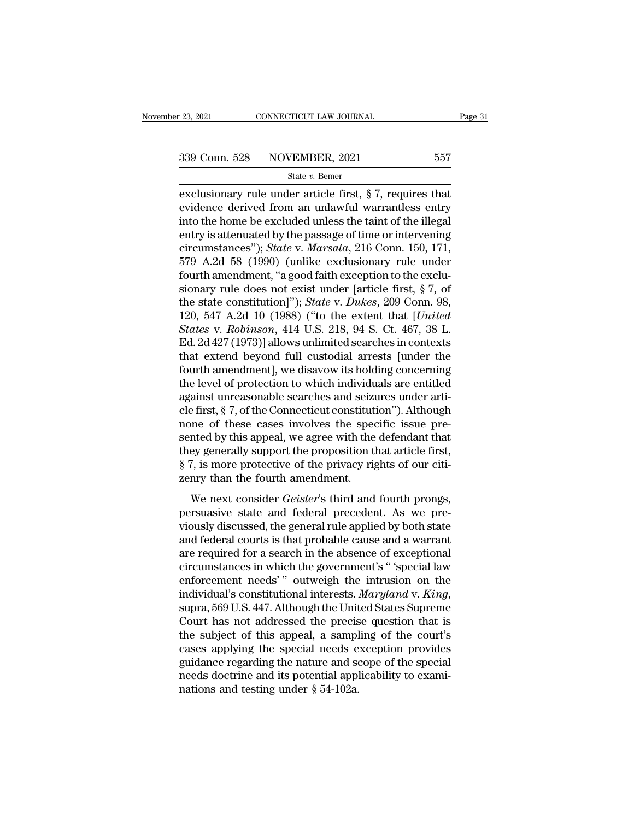exclusionary rule under article first,  $\S 7$ , requires that<br>exclusionary rule under article first,  $\S 7$ , requires that<br>evidence derived from an unlawful warrantless entry<br>into the home be exclusied unless the teint of th 339 Conn. 528 NOVEMBER, 2021 557<br>
state v. Bemer<br>
exclusionary rule under article first, § 7, requires that<br>
evidence derived from an unlawful warrantless entry<br>
into the home be excluded unless the taint of the illegal<br> 339 Conn. 528 NOVEMBER, 2021 557<br>
state v. Bemer<br>
exclusionary rule under article first, § 7, requires that<br>
evidence derived from an unlawful warrantless entry<br>
into the home be excluded unless the taint of the illegal<br> 339 Conn. 528 NOVEMBER, 2021 557<br>
state v. Bemer<br>
exclusionary rule under article first, § 7, requires that<br>
evidence derived from an unlawful warrantless entry<br>
into the home be excluded unless the taint of the illegal<br> state *v*. Bemer<br>exclusionary rule under article first, § 7, requires that<br>evidence derived from an unlawful warrantless entry<br>into the home be excluded unless the taint of the illegal<br>entry is attenuated by the passage of state v. Bemer<br>exclusionary rule under article first, § 7, requires that<br>evidence derived from an unlawful warrantless entry<br>into the home be excluded unless the taint of the illegal<br>entry is attenuated by the passage of exclusionary rule under article first, § 7, requires that<br>evidence derived from an unlawful warrantless entry<br>into the home be excluded unless the taint of the illegal<br>entry is attenuated by the passage of time or interve evidence derived from an unlawful warrantless entry<br>into the home be excluded unless the taint of the illegal<br>entry is attenuated by the passage of time or intervening<br>circumstances"); *State* v. *Marsala*, 216 Conn. 150, into the home be excluded unless the taint of the illegal<br>entry is attenuated by the passage of time or intervening<br>circumstances"); *State* v. *Marsala*, 216 Conn. 150, 171,<br>579 A.2d 58 (1990) (unlike exclusionary rule un entry is attenuated by the passage of time or intervening<br>circumstances"); *State* v. *Marsala*, 216 Conn. 150, 171,<br>579 A.2d 58 (1990) (unlike exclusionary rule under<br>fourth amendment, "a good faith exception to the exclu circumstances"); *State* v. *Marsala*, 216 Conn. 150, 171,<br>579 A.2d 58 (1990) (unlike exclusionary rule under<br>fourth amendment, "a good faith exception to the exclu-<br>sionary rule does not exist under [article first, § 7, o 579 A.2d 58 (1990) (unlike exclusionary rule under<br>fourth amendment, "a good faith exception to the exclusionary rule does not exist under [article first, § 7, of<br>the state constitution]"); *State* v. *Dukes*, 209 Conn. 9 fourth amendment, "a good faith exception to the exclusionary rule does not exist under [article first,  $\S$  7, of the state constitution]"); *State v. Dukes*, 209 Conn. 98, 120, 547 A.2d 10 (1988) ("to the extent that [*U* sionary rule does not exist under [article first,  $\S$  7, of<br>the state constitution]"); *State* v. *Dukes*, 209 Conn. 98,<br>120, 547 A.2d 10 (1988) ("to the extent that [*United*<br>*States* v. *Robinson*, 414 U.S. 218, 94 S. C the state constitution]"); *State* v. *Dukes*, 209 Conn. 98, 120, 547 A.2d 10 (1988) ("to the extent that [*United States* v. *Robinson*, 414 U.S. 218, 94 S. Ct. 467, 38 L. Ed. 2d 427 (1973)] allows unlimited searches in 120, 547 A.2d 10 (1988) ("to the extent that [United States v. Robinson, 414 U.S. 218, 94 S. Ct. 467, 38 L.<br>Ed. 2d 427 (1973)] allows unlimited searches in contexts that extend beyond full custodial arrests [under the fou States v. Robinson, 414 U.S. 218, 94 S. Ct. 467, 38 L.<br>Ed. 2d 427 (1973)] allows unlimited searches in contexts<br>that extend beyond full custodial arrests [under the<br>fourth amendment], we disavow its holding concerning<br>the Ed. 2d 427 (1973)] allows unlimited searches in contexts<br>that extend beyond full custodial arrests [under the<br>fourth amendment], we disavow its holding concerning<br>the level of protection to which individuals are entitled<br>a that extend beyond full custodial arrests [under the<br>fourth amendment], we disavow its holding concerning<br>the level of protection to which individuals are entitled<br>against unreasonable searches and seizures under arti-<br>cle fourth amendment], we disavow its holding concerning<br>the level of protection to which individuals are entitled<br>against unreasonable searches and seizures under arti-<br>cle first, § 7, of the Connecticut constitution"). Altho the level of protection to which individuals are entitled<br>against unreasonable searches and seizures under arti-<br>cle first, § 7, of the Connecticut constitution"). Although<br>none of these cases involves the specific issue p against unreasonable searches and seizu<br>cle first, § 7, of the Connecticut constituti<br>none of these cases involves the spec<br>sented by this appeal, we agree with the<br>they generally support the proposition tl<br>§ 7, is more pr of these cases involves the specific issue pre-<br>metal by this appeal, we agree with the defendant that<br>ey generally support the proposition that article first,<br>7, is more protective of the privacy rights of our citi-<br>nry t persuasive states involves are specific issue presented by this appeal, we agree with the defendant that<br>they generally support the proposition that article first,<br>§ 7, is more protective of the privacy rights of our citi-

via the generally support the proposition that article first,<br>
§ 7, is more protective of the privacy rights of our citi-<br>
zenry than the fourth amendment.<br>
We next consider *Geisler's* third and fourth prongs,<br>
persuasive  $\S$  7, is more protective of the privacy rights of our citi-<br>zenry than the fourth amendment.<br>We next consider *Geisler's* third and fourth prongs,<br>persuasive state and federal precedent. As we pre-<br>viously discussed, the Example 1 and the formulation of the absence of the absence of the absence of the absence of the absence persuasive state and federal precedent. As we previously discussed, the general rule applied by both state and feder We next consider *Geisler's* third and fourth prongs,<br>persuasive state and federal precedent. As we pre-<br>viously discussed, the general rule applied by both state<br>and federal courts is that probable cause and a warrant<br>ar We next consider *Geisler's* third and fourth prongs,<br>persuasive state and federal precedent. As we pre-<br>viously discussed, the general rule applied by both state<br>and federal courts is that probable cause and a warrant<br>ar persuasive state and federal precedent. As we pre-<br>viously discussed, the general rule applied by both state<br>and federal courts is that probable cause and a warrant<br>are required for a search in the absence of exceptional<br>c and federal courts is that probable cause and a warrant<br>are required for a search in the absence of exceptional<br>circumstances in which the government's "special law<br>enforcement needs" outweigh the intrusion on the<br>individu are required for a search in the absence of exceptional<br>circumstances in which the government's "special law<br>enforcement needs" outweigh the intrusion on the<br>individual's constitutional interests. *Maryland* v. *King*,<br>sup circumstances in which the government's "special law<br>enforcement needs'" outweigh the intrusion on the<br>individual's constitutional interests. *Maryland* v. *King*,<br>supra, 569 U.S. 447. Although the United States Supreme<br>Co enforcement needs'" outweigh the intrusion on the<br>individual's constitutional interests. *Maryland* v. *King*,<br>supra, 569 U.S. 447. Although the United States Supreme<br>Court has not addressed the precise question that is<br>th individual's constitutional interests. *Maryland* v. *King*, supra, 569 U.S. 447. Although the United States Supreme Court has not addressed the precise question that is the subject of this appeal, a sampling of the court supra, 569 U.S. 447. Although the Unit<br>Court has not addressed the precis<br>the subject of this appeal, a sampl<br>cases applying the special needs e<br>guidance regarding the nature and so<br>needs doctrine and its potential appl<br>na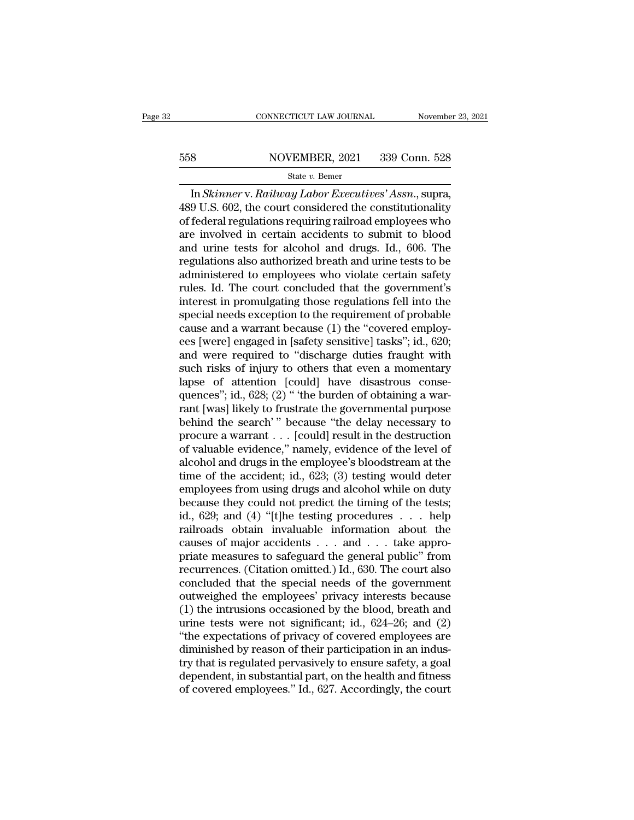# EXECUTE CONNECTICUT LAW JOURNAL Movember 23, 2021<br>558 NOVEMBER, 2021 339 Conn. 528<br>558 State v. Bemer

### State *v.* Bemer

CONNECTICUT LAW JOURNAL November 23, 20<br>
8 NOVEMBER, 2021 339 Conn. 528<br>
<sup>28</sup> State *v*. Bemer<br>
In *Skinner* v. *Railway Labor Executives' Assn*., supra,<br>
9 U.S. 602, the court considered the constitutionality<br>
foderal req  $\begin{array}{r} \text{558} & \text{NOVEMBER, 2021} & \text{339 Conn. 528} \\ \text{State } v. \text{ Bemer} & \text{In } Skinner \text{V. } \text{Railway} \textit{ Labor} \textit{Executives' Assn., supra,} \\ \text{489 U.S. 602, the court considered the constitutionality of federal regulations requiring railroad employees who are involved in certain accidents to submit to blood.} \end{array}$ 558 NOVEMBER, 2021 339 Conn. 528<br>
State v. Bemer<br>
In *Skinner* v. *Railway Labor Executives' Assn.*, supra,<br>
489 U.S. 602, the court considered the constitutionality<br>
of federal regulations requiring railroad employees wh 558 NOVEMBER, 2021 339 Conn. 528<br>
State v. Bemer<br>
In Skinner v. Railway Labor Executives' Assn., supra,<br>
489 U.S. 602, the court considered the constitutionality<br>
of federal regulations requiring railroad employees who<br>
a From The VEREER, 2021 1999 091.1. 929<br>
State v. Bemer<br>
In Skinner v. Railway Labor Executives' Assn., supra,<br>
489 U.S. 602, the court considered the constitutionality<br>
of federal regulations requiring railroad employees w state *v.* Bemer<br>In Skinner v. Railway Labor Executives' Assn., supra,<br>489 U.S. 602, the court considered the constitutionality<br>of federal regulations requiring railroad employees who<br>are involved in certain accidents to s In *Skinner* v. *Railway Labor Executives' Assn.*, supra,<br>489 U.S. 602, the court considered the constitutionality<br>of federal regulations requiring railroad employees who<br>are involved in certain accidents to submit to bloo 489 U.S. 602, the court considered the constitutionality<br>of federal regulations requiring railroad employees who<br>are involved in certain accidents to submit to blood<br>and urine tests for alcohol and drugs. Id., 606. The<br>reg of federal regulations requiring railroad employees who<br>are involved in certain accidents to submit to blood<br>and urine tests for alcohol and drugs. Id., 606. The<br>regulations also authorized breath and urine tests to be<br>adm are involved in certain accidents to submit to blood<br>and urine tests for alcohol and drugs. Id., 606. The<br>regulations also authorized breath and urine tests to be<br>administered to employees who violate certain safety<br>rules. and urine tests for alcohol and drugs. Id., 606. The<br>regulations also authorized breath and urine tests to be<br>administered to employees who violate certain safety<br>rules. Id. The court concluded that the government's<br>intere regulations also authorized breath and urine tests to be administered to employees who violate certain safety rules. Id. The court concluded that the government's interest in promulgating those regulations fell into the sp administered to employees who violate certain safety<br>rules. Id. The court concluded that the government's<br>interest in promulgating those regulations fell into the<br>special needs exception to the requirement of probable<br>caus rules. Id. The court concluded that the government's<br>interest in promulgating those regulations fell into the<br>special needs exception to the requirement of probable<br>cause and a warrant because (1) the "covered employ-<br>ees interest in promulgating those regulations fell into the special needs exception to the requirement of probable cause and a warrant because (1) the "covered employees [were] engaged in [safety sensitive] tasks"; id., 620; special needs exception to the requirement of probable<br>cause and a warrant because (1) the "covered employ-<br>ees [were] engaged in [safety sensitive] tasks"; id., 620;<br>and were required to "discharge duties fraught with<br>suc cause and a warrant because (1) the "covered employ-<br>ees [were] engaged in [safety sensitive] tasks"; id., 620;<br>and were required to "discharge duties fraught with<br>such risks of injury to others that even a momentary<br>lapse ees [were] engaged in [safety sensitive] tasks"; id., 620;<br>and were required to "discharge duties fraught with<br>such risks of injury to others that even a momentary<br>lapse of attention [could] have disastrous conse-<br>quences" and were required to "discharge duties fraught with<br>such risks of injury to others that even a momentary<br>lapse of attention [could] have disastrous conse-<br>quences"; id., 628; (2) " 'the burden of obtaining a war-<br>rant [was such risks of injury to others that even a momentary<br>lapse of attention [could] have disastrous conse-<br>quences"; id., 628; (2) " the burden of obtaining a war-<br>rant [was] likely to frustrate the governmental purpose<br>behin lapse of attention [could] have disastrous consequences"; id., 628; (2) " 'the burden of obtaining a warrant [was] likely to frustrate the governmental purpose behind the search' " because "the delay necessary to procure quences"; id., 628; (2) " 'the burden of obtaining a warrant [was] likely to frustrate the governmental purpose<br>behind the search' " because "the delay necessary to<br>procure a warrant . . . [could] result in the destruction rant [was] likely to frustrate the governmental purpose<br>behind the search'" because "the delay necessary to<br>procure a warrant . . . [could] result in the destruction<br>of valuable evidence," namely, evidence of the level of behind the search'" because "the delay necessary to<br>procure a warrant . . . [could] result in the destruction<br>of valuable evidence," namely, evidence of the level of<br>alcohol and drugs in the employee's bloodstream at the<br> procure a warrant . . . [could] result in the destruction<br>of valuable evidence," namely, evidence of the level of<br>alcohol and drugs in the employee's bloodstream at the<br>time of the accident; id., 623; (3) testing would de of valuable evidence," namely, evidence of the level of<br>alcohol and drugs in the employee's bloodstream at the<br>time of the accident; id., 623; (3) testing would deter<br>employees from using drugs and alcohol while on duty<br>b alcohol and drugs in the employee's bloodstream at the<br>time of the accident; id., 623; (3) testing would deter<br>employees from using drugs and alcohol while on duty<br>because they could not predict the timing of the tests;<br>i time of the accident; id., 623; (3) testing would deter<br>employees from using drugs and alcohol while on duty<br>because they could not predict the timing of the tests;<br>id., 629; and (4) "[t]he testing procedures  $\dots$  help<br>ra employees from using drugs and alcohol while on duty<br>because they could not predict the timing of the tests;<br>id., 629; and (4) "[t]he testing procedures . . . help<br>railroads obtain invaluable information about the<br>causes o because they could not predict the timing of the tests;<br>id., 629; and (4) "[t]he testing procedures  $\ldots$  help<br>railroads obtain invaluable information about the<br>causes of major accidents  $\ldots$  and  $\ldots$  take appro-<br>priate id., 629; and (4) "[t]he testing procedures . . . help<br>railroads obtain invaluable information about the<br>causes of major accidents . . . and . . . take appro-<br>priate measures to safeguard the general public" from<br>recurren railroads obtain invaluable information about the<br>causes of major accidents . . . and . . . take appro-<br>priate measures to safeguard the general public" from<br>recurrences. (Citation omitted.) Id., 630. The court also<br>concl causes of major accidents  $\dots$  and  $\dots$  take appropriate measures to safeguard the general public" from recurrences. (Citation omitted.) Id., 630. The court also concluded that the special needs of the government outweigh priate measures to safeguard the general public" from<br>recurrences. (Citation omitted.) Id., 630. The court also<br>concluded that the special needs of the government<br>outweighed the employees' privacy interests because<br>(1) the recurrences. (Citation omitted.) Id., 630. The court also<br>concluded that the special needs of the government<br>outweighed the employees' privacy interests because<br>(1) the intrusions occasioned by the blood, breath and<br>urine concluded that the special needs of the government<br>outweighed the employees' privacy interests because<br>(1) the intrusions occasioned by the blood, breath and<br>urine tests were not significant; id., 624–26; and (2)<br>"the exp outweighed the employees' privacy interests because<br>(1) the intrusions occasioned by the blood, breath and<br>urine tests were not significant; id., 624–26; and (2)<br>"the expectations of privacy of covered employees are<br>dimini (1) the intrusions occasioned by the blood, breath and urine tests were not significant; id.,  $624-26$ ; and (2) "the expectations of privacy of covered employees are diminished by reason of their participation in an indus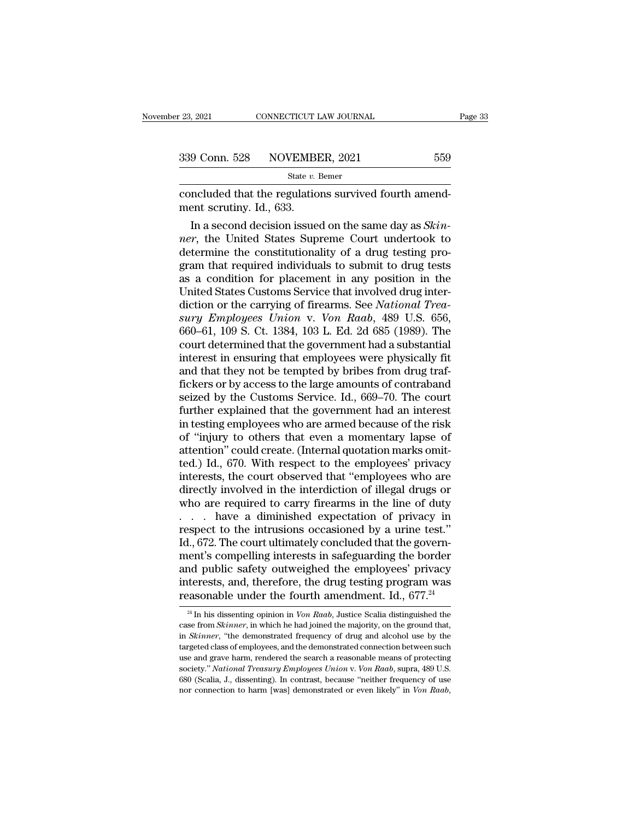| r 23, 2021    | CONNECTICUT LAW JOURNAL |     | Page 33 |
|---------------|-------------------------|-----|---------|
| 339 Conn. 528 | NOVEMBER, 2021          | 559 |         |
|               | State $v$ . Bemer       |     |         |

convecticut LAW JOURNAL<br>
23, 2021 CONNECTICUT LAW JOURNAL<br>
239 Conn. 528 NOVEMBER, 2021 559<br>
34te v. Bemer<br>
26 Concluded that the regulations survived fourth amend-<br>
26 Memorit scrutiny. Id., 633. 339 Conn. 528 NOVEMBI<br>
<sup>State v.1</sup><br>
concluded that the regulatio<br>
ment scrutiny. Id., 633.<br>
In a second decision issue

9 Conn. 528 NOVEMBER, 2021 559<br>
State *v*. Bemer<br>
ncluded that the regulations survived fourth amend-<br>
ent scrutiny. Id., 633.<br>
In a second decision issued on the same day as *Skin-*<br> *r*, the United States Supreme Court u **1239 Conn. 528** NOVEMBER, 2021 559<br> **nexret State v. Bener**<br>
concluded that the regulations survived fourth amend-<br>
ment scrutiny. Id., 633.<br>
In a second decision issued on the same day as *Skinner*, the United States Su State v. Bemer<br>
concluded that the regulations survived fourth amend-<br>
ment scrutiny. Id., 633.<br>
In a second decision issued on the same day as *Skin-*<br>
ner, the United States Supreme Court undertook to<br>
determine the con concluded that the regulations survived fourth amend-<br>ment scrutiny. Id., 633.<br>In a second decision issued on the same day as *Skin-*<br>*ner*, the United States Supreme Court undertook to<br>determine the constitutionality of a concluded that the regulations survived fourth amendment scrutiny. Id., 633.<br>
In a second decision issued on the same day as *Skinner*, the United States Supreme Court undertook to<br>
determine the constitutionality of a dr ment scrutny. Id., 633.<br>
In a second decision issued on the same day as *Skinner*, the United States Supreme Court undertook to<br>
determine the constitutionality of a drug testing pro-<br>
gram that required individuals to su In a second decision issued on the same day as *Skinner*, the United States Supreme Court undertook to determine the constitutionality of a drug testing program that required individuals to submit to drug tests as a condit *surementionality* of a drug testing program that required individuals to submit to drug tests as a condition for placement in any position in the United States Customs Service that involved drug interdiction or the carryi determine the constitutionality of a drug testing program that required individuals to submit to drug tests<br>as a condition for placement in any position in the<br>United States Customs Service that involved drug inter-<br>dictio gram that required individuals to submit to drug tests<br>as a condition for placement in any position in the<br>United States Customs Service that involved drug inter-<br>diction or the carrying of firearms. See *National Trea-*<br>s as a condition for placement in any position in the<br>United States Customs Service that involved drug inter-<br>diction or the carrying of firearms. See *National Trea-*<br>sury Employees Union v. Von Raab, 489 U.S. 656,<br>660–61, United States Customs Service that involved drug interdiction or the carrying of firearms. See *National Treasury Employees Union v. Von Raab*, 489 U.S. 656, 660–61, 109 S. Ct. 1384, 103 L. Ed. 2d 685 (1989). The court det diction or the carrying of firearms. See *National Trea-*<br>sury Employees Union v. Von Raab, 489 U.S. 656,<br>660–61, 109 S. Ct. 1384, 103 L. Ed. 2d 685 (1989). The<br>court determined that the government had a substantial<br>intere sury Employees Union v. Von Raab, 489 U.S. 656,<br>660–61, 109 S. Ct. 1384, 103 L. Ed. 2d 685 (1989). The<br>court determined that the government had a substantial<br>interest in ensuring that employees were physically fit<br>and that 660–61, 109 S. Ct. 1384, 103 L. Ed. 2d 685 (1989). The court determined that the government had a substantial interest in ensuring that employees were physically fit and that they not be tempted by bribes from drug traffic court determined that the government had a substantial<br>interest in ensuring that employees were physically fit<br>and that they not be tempted by bribes from drug traf-<br>fickers or by access to the large amounts of contraband<br> interest in ensuring that employees were physically fit<br>and that they not be tempted by bribes from drug traf-<br>fickers or by access to the large amounts of contraband<br>seized by the Customs Service. Id., 669–70. The court<br>f and that they not be tempted by bribes from drug traf-<br>fickers or by access to the large amounts of contraband<br>seized by the Customs Service. Id., 669–70. The court<br>further explained that the government had an interest<br>in fickers or by access to the large amounts of contraband<br>seized by the Customs Service. Id., 669–70. The court<br>further explained that the government had an interest<br>in testing employees who are armed because of the risk<br>of seized by the Customs Service. Id., 669–70. The court<br>further explained that the government had an interest<br>in testing employees who are armed because of the risk<br>of "injury to others that even a momentary lapse of<br>attenti further explained that the government had an interest<br>in testing employees who are armed because of the risk<br>of "injury to others that even a momentary lapse of<br>attention" could create. (Internal quotation marks omit-<br>ted. in testing employees who are armed because of the risk<br>of "injury to others that even a momentary lapse of<br>attention" could create. (Internal quotation marks omit-<br>ted.) Id., 670. With respect to the employees' privacy<br>in of "injury to others that even a momentary lapse of<br>attention" could create. (Internal quotation marks omit-<br>ted.) Id., 670. With respect to the employees' privacy<br>interests, the court observed that "employees who are<br>dire attention" could create. (Internal quotation marks omitted.) Id., 670. With respect to the employees' privacy<br>interests, the court observed that "employees who are<br>directly involved in the interdiction of illegal drugs or<br> ted.) Id., 670. With respect to the employees' privacy<br>interests, the court observed that "employees who are<br>directly involved in the interdiction of illegal drugs or<br>who are required to carry firearms in the line of duty<br> interests, the court observed that "employees who are<br>directly involved in the interdiction of illegal drugs or<br>who are required to carry firearms in the line of duty<br>. . . . have a diminished expectation of privacy in<br>res directly involved in the interdiction of illegal drugs or<br>who are required to carry firearms in the line of duty<br>. . . . have a diminished expectation of privacy in<br>respect to the intrusions occasioned by a urine test."<br>I who are required to carry firearms in the line of duty<br>  $\ldots$  have a diminished expectation of privacy in<br>
respect to the intrusions occasioned by a urine test."<br>
Id., 672. The court ultimately concluded that the govern-<br> ... have a diminished expectation of privacy in respect to the intrusions occasioned by a urine test."<br>Id., 672. The court ultimately concluded that the government's compelling interests in safeguarding the border and pub ient's compelling interests in safeguarding the border<br>nd public safety outweighed the employees' privacy<br>terests, and, therefore, the drug testing program was<br>assonable under the fourth amendment. Id., 677.<sup>24</sup><br><sup>24</sup> In hi and public safety outweighed the employees' privacy<br>interests, and, therefore, the drug testing program was<br>reasonable under the fourth amendment. Id., 677.<sup>24</sup><br><sup>24</sup> In his dissenting opinion in *Von Raab*, Justice Scalia

interests, and, therefore, the drug testing program was<br>reasonable under the fourth amendment. Id., 677.<sup>24</sup><br><sup>24</sup> In his dissenting opinion in *Von Raab*, Justice Scalia distinguished the<br>case from *Skinner*, in which he h **The mass of employees** and the fourth amendment. Id., 677.<sup>24</sup><br><sup>24</sup> In his dissenting opinion in *Von Raab*, Justice Scalia distinguished the case from *Skinner*, in which he had joined the majority, on the ground that, reasonable under the fourth americantent.  $10, 077$ .<br><sup>24</sup> In his dissenting opinion in *Von Raab*, Justice Scalia distinguished the case from *Skinner*, in which he had joined the majority, on the ground that, in *Skinner* <sup>24</sup> In his dissenting opinion in *Von Raab*, Justice Scalia distinguished the case from *Skinner*, in which he had joined the majority, on the ground that, in *Skinner*, "the demonstrated frequency of drug and alcohol us exame from *Skinner*, in which he had joined the majority, on the ground that, in *Skinner*, "the demonstrated frequency of drug and alcohol use by the targeted class of employees, and the demonstrated connection between s case from *Skinner*, in which he had joined the majority, on the ground that, in *Skinner*, "the demonstrated frequency of drug and alcohol use by the targeted class of employees, and the demonstrated connection between su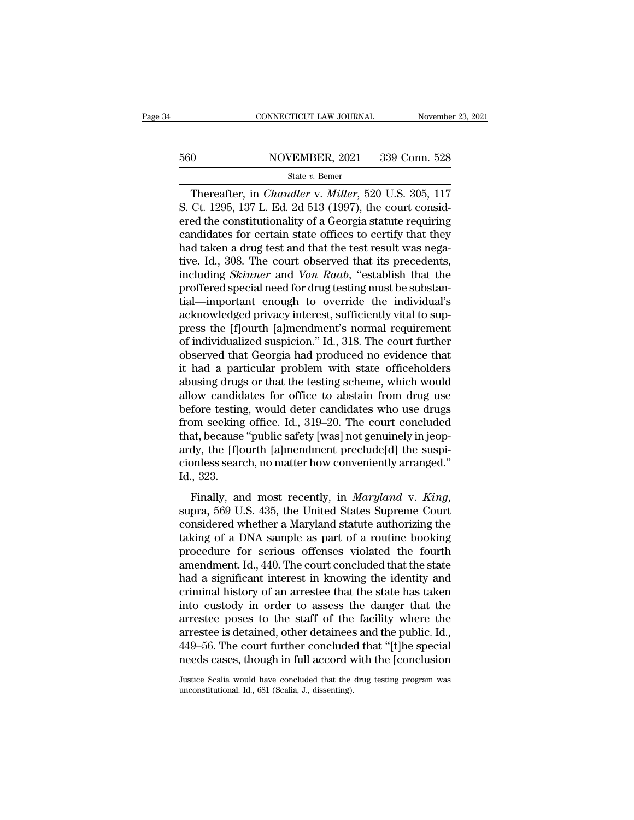# EXECUTE CONNECTICUT LAW JOURNAL Movember 23, 2021<br>560 NOVEMBER, 2021 339 Conn. 528<br>540 State v. Bemer

### State *v.* Bemer

CONNECTICUT LAW JOURNAL November 23, 2021<br>
0<br>
0<br>
NOVEMBER, 2021 339 Conn. 528<br>
State *v*. Bemer<br>
Thereafter, in *Chandler* v. *Miller*, 520 U.S. 305, 117<br>
Ct. 1295, 137 L. Ed. 2d 513 (1997), the court considered the consti S. Eq. 339 Conn. 528<br>
State v. Bemer<br>
State v. Bemer<br>
Thereafter, in *Chandler* v. *Miller*, 520 U.S. 305, 117<br>
S. Ct. 1295, 137 L. Ed. 2d 513 (1997), the court considered the constitutionality of a Georgia statute requiri For the constitutionality of a Georgia statute requiring<br>
Example 1997), the constitutionality of a Georgia statute requiring<br>
Candidates for certain state offices to certify that they<br>
had taken a drug test and that the 560 NOVEMBER, 2021 339 Conn. 528<br>
State v. Bemer<br>
Thereafter, in *Chandler v. Miller*, 520 U.S. 305, 117<br>
S. Ct. 1295, 137 L. Ed. 2d 513 (1997), the court considered the constitutionality of a Georgia statute requiring<br>
c From Exception 2012 1992, 1992 1993<br>State v. Bemer<br>Thereafter, in *Chandler v. Miller*, 520 U.S. 305, 117<br>S. Ct. 1295, 137 L. Ed. 2d 513 (1997), the court considered the constitutionality of a Georgia statute requiring<br>ca State v. Bemer<br>
Thereafter, in *Chandler* v. *Miller*, 520 U.S. 305, 117<br>
S. Ct. 1295, 137 L. Ed. 2d 513 (1997), the court consid-<br>
ered the constitutionality of a Georgia statute requiring<br>
candidates for certain state o Thereafter, in *Chandler v. Miller*, 520 U.S. 305, 117<br>S. Ct. 1295, 137 L. Ed. 2d 513 (1997), the court consid-<br>ered the constitutionality of a Georgia statute requiring<br>candidates for certain state offices to certify that S. Ct. 1295, 137 L. Ed. 2d 513 (1997), the court considered the constitutionality of a Georgia statute requiring candidates for certain state offices to certify that they had taken a drug test and that the test result was ered the constitutionality of a Georgia statute requiring<br>candidates for certain state offices to certify that they<br>had taken a drug test and that the test result was nega-<br>tive. Id., 308. The court observed that its prece candidates for certain state offices to certify that they<br>had taken a drug test and that the test result was nega-<br>tive. Id., 308. The court observed that its precedents,<br>including *Skinner* and *Von Raab*, "establish that had taken a drug test and that the test result was negative. Id., 308. The court observed that its precedents, including *Skinner* and *Von Raab*, "establish that the proffered special need for drug testing must be substan tive. Id., 308. The court observed that its precedents,<br>including *Skinner* and *Von Raab*, "establish that the<br>proffered special need for drug testing must be substan-<br>tial—important enough to override the individual's<br>ac including *Skinner* and *Von Raab*, "establish that the proffered special need for drug testing must be substantial—important enough to override the individual's acknowledged privacy interest, sufficiently vital to suppres proffered special need for drug testing must be substantial—important enough to override the individual's acknowledged privacy interest, sufficiently vital to suppress the [f]ourth [a]mendment's normal requirement of indiv tial—important enough to override the individual's<br>acknowledged privacy interest, sufficiently vital to sup-<br>press the [f]ourth [a]mendment's normal requirement<br>of individualized suspicion." Id., 318. The court further<br>obs acknowledged privacy interest, sufficiently vital to suppress the [f]ourth [a]mendment's normal requirement<br>of individualized suspicion." Id., 318. The court further<br>observed that Georgia had produced no evidence that<br>it h press the [f]ourth [a]mendment's normal requirement<br>of individualized suspicion." Id., 318. The court further<br>observed that Georgia had produced no evidence that<br>it had a particular problem with state officeholders<br>abusing of individualized suspicion." Id., 318. The court further<br>observed that Georgia had produced no evidence that<br>it had a particular problem with state officeholders<br>abusing drugs or that the testing scheme, which would<br>allow observed that Georgia had produced no evidence that<br>it had a particular problem with state officeholders<br>abusing drugs or that the testing scheme, which would<br>allow candidates for office to abstain from drug use<br>before tes it had a particular problem with state officeholders<br>abusing drugs or that the testing scheme, which would<br>allow candidates for office to abstain from drug use<br>before testing, would deter candidates who use drugs<br>from seek abusing drugs or that the testing scheme, which would<br>allow candidates for office to abstain from drug use<br>before testing, would deter candidates who use drugs<br>from seeking office. Id., 319–20. The court concluded<br>that, be allow candid<br>before testing<br>from seeking<br>that, because<br>ardy, the [f]o<br>cionless seare<br>Id., 323.<br>Finally, an From seeking office. Id., 319–20. The court concluded<br>that, because "public safety [was] not genuinely in jeop-<br>ardy, the [f]ourth [a]mendment preclude[d] the suspi-<br>cionless search, no matter how conveniently arranged."<br>I

and, because public state, [was] not genantly in jeop<br>ardy, the [f]ourth [a]mendment preclude[d] the suspi-<br>cionless search, no matter how conveniently arranged."<br>Id., 323.<br>Finally, and most recently, in *Maryland* v. *Ki* taking of a DNA sample as part of a routine predicted and the state.<br>Then, 323.<br>Finally, and most recently, in *Maryland v. King*,<br>supra, 569 U.S. 435, the United States Supreme Court<br>considered whether a Maryland statute Id., 323.<br>
Id., 323.<br>
Finally, and most recently, in *Maryland v. King*,<br>
supra, 569 U.S. 435, the United States Supreme Court<br>
considered whether a Maryland statute authorizing the<br>
taking of a DNA sample as part of a rou Finally, and most recently, in *Maryland v. King*,<br>supra, 569 U.S. 435, the United States Supreme Court<br>considered whether a Maryland statute authorizing the<br>taking of a DNA sample as part of a routine booking<br>procedure fo Finally, and most recently, in *Maryland* v. *King*,<br>supra, 569 U.S. 435, the United States Supreme Court<br>considered whether a Maryland statute authorizing the<br>taking of a DNA sample as part of a routine booking<br>procedure supra, 569 U.S. 435, the United States Supreme Court<br>considered whether a Maryland statute authorizing the<br>taking of a DNA sample as part of a routine booking<br>procedure for serious offenses violated the fourth<br>amendment. I considered whether a Maryland statute authorizing the<br>taking of a DNA sample as part of a routine booking<br>procedure for serious offenses violated the fourth<br>amendment. Id., 440. The court concluded that the state<br>had a sig taking of a DNA sample as part of a routine booking<br>procedure for serious offenses violated the fourth<br>amendment. Id., 440. The court concluded that the state<br>had a significant interest in knowing the identity and<br>criminal procedure for serious offenses violated the fourth<br>amendment. Id., 440. The court concluded that the state<br>had a significant interest in knowing the identity and<br>criminal history of an arrestee that the state has taken<br>int amendment. Id., 440. The court concluded that the state<br>had a significant interest in knowing the identity and<br>criminal history of an arrestee that the state has taken<br>into custody in order to assess the danger that the<br>ar had a significant interest in knowing the identity and<br>criminal history of an arrestee that the state has taken<br>into custody in order to assess the danger that the<br>arrestee poses to the staff of the facility where the<br>arre arrestee poses to the staff of the facility where the arrestee is detained, other detainees and the public. Id., 449–56. The court further concluded that "[t]he special needs cases, though in full accord with the [conclusi needs cases, though in full accord with the [conclusion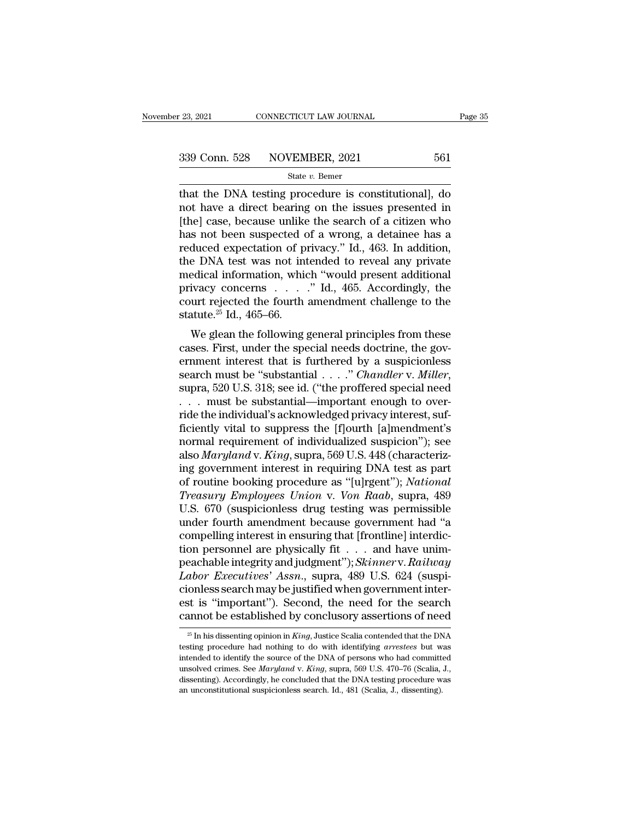that the DNA testing procedure is constitutional], do<br>  $\frac{339 \text{ Conn. } 528 \text{ NOVEMBER, } 2021}{}$   $\frac{561}{\text{State } v. \text{ Bemer}}$ <br>  $\frac{1}{256 \text{ Int. } 561 \text{ A}}$ <br>  $\frac{1}{256 \text{ A}}$  and the DNA testing procedure is constitutional], do<br>  $\frac{1}{256 \$ 339 Conn. 528 NOVEMBER, 2021 561<br>
State v. Bemer<br>
that the DNA testing procedure is constitutional], do<br>
not have a direct bearing on the issues presented in<br>
[the] case, because unlike the search of a citizen who<br>
has no  $\begin{array}{c|c} \text{339 Conn. } 528 & \text{NOVEMBER, } 2021 & 561 \\ \hline \text{State } v. \text{ Bemer} \\ \text{that the DNA testing procedure is constitutional, do not have a direct bearing on the issues presented in [the] case, because unlike the search of a citizen who has not been suspected of a wrong, a detailed base of a reduced expectation of privacy. If A. 463. In addition, the model is a reduced expectation of the system.} \end{array}$ 339 Conn. 528 NOVEMBER, 2021 561<br>
state v. Bemer<br>
that the DNA testing procedure is constitutional], do<br>
not have a direct bearing on the issues presented in<br>
[the] case, because unlike the search of a citizen who<br>
has no State v. Bener<br>
State v. Bener<br>
that the DNA testing procedure is constitutional], do<br>
not have a direct bearing on the issues presented in<br>
[the] case, because unlike the search of a citizen who<br>
has not been suspected o state v. Bemer<br>that the DNA testing procedure is constitutional], do<br>not have a direct bearing on the issues presented in<br>[the] case, because unlike the search of a citizen who<br>has not been suspected of a wrong, a detaine that the DNA testing procedure is constitutional], do<br>not have a direct bearing on the issues presented in<br>[the] case, because unlike the search of a citizen who<br>has not been suspected of a wrong, a detainee has a<br>reduced not have a direct bearing on the issues presented in [the] case, because unlike the search of a citizen who has not been suspected of a wrong, a detainee has a reduced expectation of privacy." Id., 463. In addition, the D [the] case, because unlike the search of a citizen who<br>has not been suspected of a wrong, a detainee has a<br>reduced expectation of privacy." Id., 463. In addition,<br>the DNA test was not intended to reveal any private<br>medica has not been suspected of a wrong, a detainee has a reduced expectation of privacy." Id., 463. In addition, the DNA test was not intended to reveal any private medical information, which "would present additional privacy anced expectation of privacy. Tu., 465. In addition,<br>
e DNA test was not intended to reveal any private<br>
edical information, which "would present additional<br>
ivacy concerns  $\dots$ " Id., 465. Accordingly, the<br>
urt rejected t cases. First, was not intended to revear any private medical information, which "would present additional privacy concerns  $\ldots$ " Id., 465. Accordingly, the court rejected the fourth amendment challenge to the statute.<sup>25</sup>

meancar mormation, which would present additional<br>privacy concerns  $\dots$  " Id., 465. Accordingly, the<br>court rejected the fourth amendment challenge to the<br>statute.<sup>25</sup> Id., 465–66.<br>We glean the following general principles search must be ''substantial . . . .'' *Chandler* v. *Miller*, supra, 520 U.S. 318; see id. (''the proffered special need We glean the following general principles from these<br>cases. First, under the special needs doctrine, the gov-<br>ernment interest that is furthered by a suspicionless<br>search must be "substantial  $\ldots$ ." *Chandler v. Miller*, We glean the following general principles from these cases. First, under the special needs doctrine, the government interest that is furthered by a suspicionless search must be "substantial  $\ldots$ " *Chandler v. Miller*, su cases. First, under the special needs doctrine, the government interest that is furthered by a suspicionless<br>search must be "substantial . . . ." *Chandler v. Miller*,<br>supra, 520 U.S. 318; see id. ("the proffered special ernment interest that is furthered by a suspicionless<br>search must be "substantial . . . ." *Chandler* v. *Miller*,<br>supra, 520 U.S. 318; see id. ("the proffered special need<br>. . . must be substantial—important enough to ov search must be "substantial . . . . *." Chandler v. Miller*,<br>supra, 520 U.S. 318; see id. ("the proffered special need<br>. . . . must be substantial—important enough to over-<br>ride the individual's acknowledged privacy intere supra, 520 U.S. 318; see id. ("the proffered special need<br>
. . . . must be substantial—important enough to over-<br>
ride the individual's acknowledged privacy interest, suf-<br>
ficiently vital to suppress the [f]ourth [a]mend . . . must be substantial—important enough to over-<br>ride the individual's acknowledged privacy interest, suf-<br>ficiently vital to suppress the [f]ourth [a]mendment's<br>normal requirement of individualized suspicion''); see<br>al ride the individual's acknowledged privacy interest, suf-<br>ficiently vital to suppress the [f]ourth [a]mendment's<br>normal requirement of individualized suspicion"); see<br>also *Maryland* v. *King*, supra, 569 U.S. 448 (charact ficiently vital to suppress the [f]ourth [a]mendment's<br>normal requirement of individualized suspicion"); see<br>also *Maryland* v. *King*, supra, 569 U.S. 448 (characteriz-<br>ing government interest in requiring DNA test as par normal requirement of individualized suspicion"); see<br>also *Maryland* v. *King*, supra, 569 U.S. 448 (characteriz-<br>ing government interest in requiring DNA test as part<br>of routine booking procedure as "[u]rgent"); *Nationa* also *Maryland* v. *King*, supra, 569 U.S. 448 (characterizing government interest in requiring DNA test as part of routine booking procedure as "[u]rgent"); *National Treasury Employees Union* v. *Von Raab*, supra, 489 U ing government interest in requiring DNA test as part<br>of routine booking procedure as "[u]rgent"); *National*<br>*Treasury Employees Union* v. *Von Raab*, supra, 489<br>U.S. 670 (suspicionless drug testing was permissible<br>under of routine booking procedure as "[u]rgent"); *National*<br>Treasury Employees Union v. Von Raab, supra, 489<br>U.S. 670 (suspicionless drug testing was permissible<br>under fourth amendment because government had "a<br>compelling inte *Treasury Employees Union v. Von Raab*, supra, 489 U.S. 670 (suspicionless drug testing was permissible under fourth amendment because government had "a compelling interest in ensuring that [frontline] interdiction personn U.S. 670 (suspicionless drug testing was permissible<br>under fourth amendment because government had "a<br>compelling interest in ensuring that [frontline] interdic-<br>tion personnel are physically fit  $\ldots$  and have unim-<br>peach under fourth amendment because government had "a<br>compelling interest in ensuring that [frontline] interdic-<br>tion personnel are physically fit . . . and have unim-<br>peachable integrity and judgment"); *Skinner* v. *Railway*<br> compelling interest in ensuring that [frontline] interdiction personnel are physically fit . . . and have unim-<br>peachable integrity and judgment"); *Skinner* v. *Railway*<br>*Labor Executives' Assn.*, supra, 489 U.S. 624 (su abor *Executives' Assn.*, supra, 489 U.S. 624 (suspi-<br>onless search may be justified when government inter-<br>st is "important"). Second, the need for the search<br>annot be established by conclusory assertions of need<br> $\frac{25}{5$ cionless search may be justified when government inter-<br>est is "important"). Second, the need for the search<br>cannot be established by conclusory assertions of need<br> $\frac{1}{25}$  In his dissenting opinion in *King*, Justice Sc

est is "important"). Second, the need for the search<br>cannot be established by conclusory assertions of need<br> $\frac{1}{25}$  In his dissenting opinion in *King*, Justice Scalia contended that the DNA<br>testing procedure had nothi cannot be established by conclusory assertions of need<br>
<sup>25</sup> In his dissenting opinion in *King*, Justice Scalia contended that the DNA<br>
testing procedure had nothing to do with identifying *arrestees* but was<br>
intended to <sup>25</sup> In his dissenting opinion in *King*, Justice Scalia contended that the DNA testing procedure had nothing to do with identifying *arrestees* but was intended to identify the source of the DNA of persons who had commit <sup>25</sup> In his dissenting opinion in *King*, Justice Scalia contended that the DN testing procedure had nothing to do with identifying *arrestees* but wintended to identify the source of the DNA of persons who had committens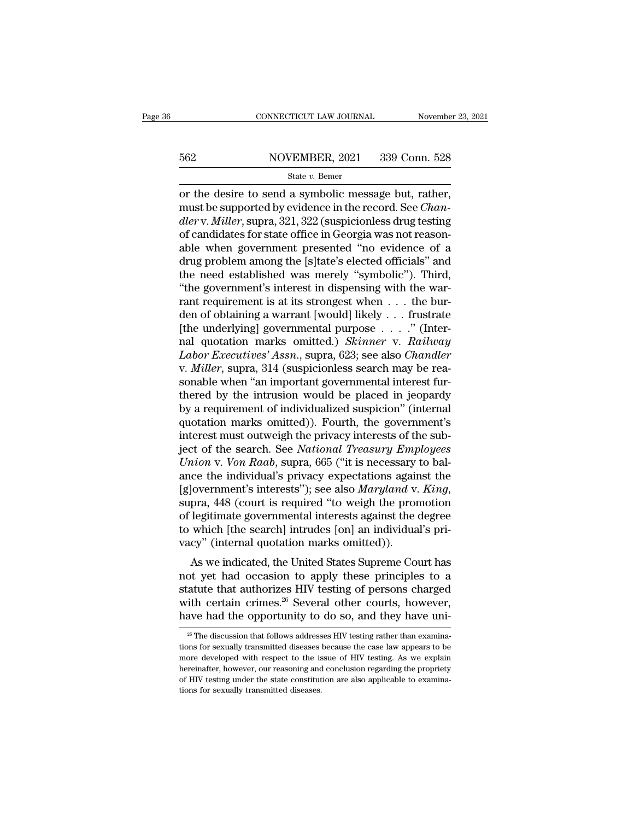# EXECUTE CONNECTICUT LAW JOURNAL Movember 23, 2021<br>562 NOVEMBER, 2021 339 Conn. 528<br>562 State v. Bemer

### State *v.* Bemer

CONNECTICUT LAW JOURNAL November 23, 2<br>
562 NOVEMBER, 2021 339 Conn. 528<br>  $\frac{\text{State } v. \text{ Bemer}}{\text{for the desire to send a symbolic message but, rather,}}$ <br>
must be supported by evidence in the record. See *Chandlery Miller* support 221-222 (suspicionless drug tosting must be supported by evidence in the record. See *Chandler* v. Miller, supported by evidence in the record. See *Chandler* v. *Miller*, supported by evidence in the record. See *Chandler* v. *Miller*, supported by evidence *dlerry* MOVEMBER, 2021 339 Conn. 528<br> *State v. Bemer*<br> *desire to send a symbolic message but, rather,*<br> *must be supported by evidence in the record. See Chan-<br>
<i>dler* v. *Miller*, supra, 321, 322 (suspicionless drug te  $\frac{\text{S62}}{\text{State } v. \text{ Bemer}}$ <br>
or the desire to send a symbolic message but, rather,<br>
must be supported by evidence in the record. See *Chan-*<br>
dler v. *Miller*, supra, 321, 322 (suspicionless drug testing<br>
of candidates for s State v. Bemer<br>
or the desire to send a symbolic message but, rather,<br>
must be supported by evidence in the record. See *Chan-*<br>
dler v. Miller, supra, 321, 322 (suspicionless drug testing<br>
of candidates for state office state v. Bemer<br>
or the desire to send a symbolic message but, rather,<br>
must be supported by evidence in the record. See *Chan-*<br>
dler v. Miller, supra, 321, 322 (suspicionless drug testing<br>
of candidates for state office or the desire to send a symbolic message but, rather,<br>must be supported by evidence in the record. See *Chan-<br>dler* v. *Miller*, supra, 321, 322 (suspicionless drug testing<br>of candidates for state office in Georgia was not must be supported by evidence in the record. See *Chan-dler* v. *Miller*, supra, 321, 322 (suspicionless drug testing of candidates for state office in Georgia was not reason-able when government presented "no evidence of dler v. Miller, supra, 321, 322 (suspicionless drug testing<br>of candidates for state office in Georgia was not reason-<br>able when government presented "no evidence of a<br>drug problem among the [s]tate's elected officials" and of candidates for state office in Georgia was not reasonable when government presented "no evidence of a drug problem among the [s]tate's elected officials" and the need established was merely "symbolic"). Third, "the gove able when government presented "no evidence of a<br>drug problem among the [s]tate's elected officials" and<br>the need established was merely "symbolic"). Third,<br>"the government's interest in dispensing with the war-<br>rant requ drug problem among the [s]tate's elected officials" and<br>the need established was merely "symbolic"). Third,<br>"the government's interest in dispensing with the war-<br>rant requirement is at its strongest when . . . the bur-<br>de the need established was merely "symbolic"). Third,<br>
"the government's interest in dispensing with the warrant requirement is at its strongest when . . . the bur-<br>
den of obtaining a warrant [would] likely . . . frustrate<br> "the government's interest in dispensing with the warrant requirement is at its strongest when . . . the burden of obtaining a warrant [would] likely . . . frustrate [the underlying] governmental purpose . . . ." (Internal rant requirement is at its strongest when  $\ldots$  the burden of obtaining a warrant [would] likely  $\ldots$  frustrate [the underlying] governmental purpose  $\ldots$ ." (Internal quotation marks omitted.) *Skinner* v. *Railway La* den of obtaining a warrant [would] likely . . . frustrate<br>[the underlying] governmental purpose . . . ." (Inter-<br>nal quotation marks omitted.) *Skinner* v. *Railway*<br>*Labor Executives' Assn.*, supra, 623; see also *Chandl* [the underlying] governmental purpose  $\ldots$ ." (Internal quotation marks omitted.) *Skinner* v. *Railway Labor Executives' Assn.*, supra, 623; see also *Chandler* v. *Miller*, supra, 314 (suspicionless search may be reas nal quotation marks omitted.) *Skinner* v. *Railway*<br>Labor Executives' Assn., supra, 623; see also Chandler<br>v. Miller, supra, 314 (suspicionless search may be rea-<br>sonable when "an important governmental interest fur-<br>ther Labor Executives' Assn., supra, 623; see also Chandler<br>v. Miller, supra, 314 (suspicionless search may be rea-<br>sonable when "an important governmental interest fur-<br>thered by the intrusion would be placed in jeopardy<br>by a v. *Miller*, supra, 314 (suspicionless search may be reasonable when "an important governmental interest furthered by the intrusion would be placed in jeopardy by a requirement of individualized suspicion" (internal quotat sonable when "an important governmental interest fur-<br>thered by the intrusion would be placed in jeopardy<br>by a requirement of individualized suspicion" (internal<br>quotation marks omitted)). Fourth, the government's<br>interest thered by the intrusion would be placed in jeopardy<br>by a requirement of individualized suspicion" (internal<br>quotation marks omitted)). Fourth, the government's<br>interest must outweigh the privacy interests of the sub-<br>ject by a requirement of individualized suspicion" (internal<br>quotation marks omitted)). Fourth, the government's<br>interest must outweigh the privacy interests of the sub-<br>ject of the search. See *National Treasury Employees*<br>*Un* interest must outweigh the privacy interests of the sub-<br>ject of the search. See *National Treasury Employees*<br>*Union v. Von Raab*, supra, 665 ("it is necessary to bal-<br>ance the individual's privacy expectations against th ject of the search. See *National Treasury Employees*<br>Union v. Von Raab, supra, 665 ("it is necessary to bal-<br>ance the individual's privacy expectations against the<br>[g]overnment's interests"); see also *Maryland* v. King,<br> Union v. Von Raab, supra, 665 ("it is necessary<br>ance the individual's privacy expectations again<br>[g]overnment's interests"); see also Maryland v.<br>supra, 448 (court is required "to weigh the pro<br>of legitimate governmental i Let the muvidials privacy expectations against the<br>
dovernment's interests"); see also *Maryland* v. *King*,<br>
pra, 448 (court is required "to weigh the promotion<br>
legitimate governmental interests against the degree<br>
which glovernment s interests *f*, see also *marytana v*. *King*,<br>supra, 448 (court is required "to weigh the promotion<br>of legitimate governmental interests against the degree<br>to which [the search] intrudes [on] an individual

supra, 443 (court is required to weight the promotion<br>of legitimate governmental interests against the degree<br>to which [the search] intrudes [on] an individual's pri-<br>vacy" (internal quotation marks omitted)).<br>As we indica or regninate governmentar interests against the degree<br>to which [the search] intrudes [on] an individual's pri-<br>vacy" (internal quotation marks omitted)).<br>As we indicated, the United States Supreme Court has<br>not yet had oc to which [the search] intrudes [oh] an individual s phase privacy" (internal quotation marks omitted)).<br>As we indicated, the United States Supreme Court has<br>not yet had occasion to apply these principles to a<br>statute that of yet had occasion to apply these principles to a latute that authorizes HIV testing of persons charged ith certain crimes.<sup>26</sup> Several other courts, however, ave had the opportunity to do so, and they have uni<sup>28</sup> The di statute that authorizes HIV testing of persons charged<br>with certain crimes.<sup>26</sup> Several other courts, however,<br>have had the opportunity to do so, and they have uni-<br><sup>26</sup> The discussion that follows addresses HIV testing ra

with certain crimes.<sup>26</sup> Several other courts, however, have had the opportunity to do so, and they have uni-<br><sup>26</sup> The discussion that follows addresses HIV testing rather than examinations for sexually transmitted diseas have had the opportunity to do so, and they have uni-<br> $\frac{26}{100}$  The discussion that follows addresses HIV testing rather than examinations for sexually transmitted diseases because the case law appears to be more devel The discussion that follows addresses HIV testing rather than examinations for sexually transmitted diseases because the case law appears to be more developed with respect to the issue of HIV testing. As we explain herein  $\frac{26}{3}$  The discussion that follows address<br>tions for sexually transmitted diseases<br>more developed with respect to the is<br>hereinafter, however, our reasoning and<br>of HIV testing under the state constitut<br>tions for sexua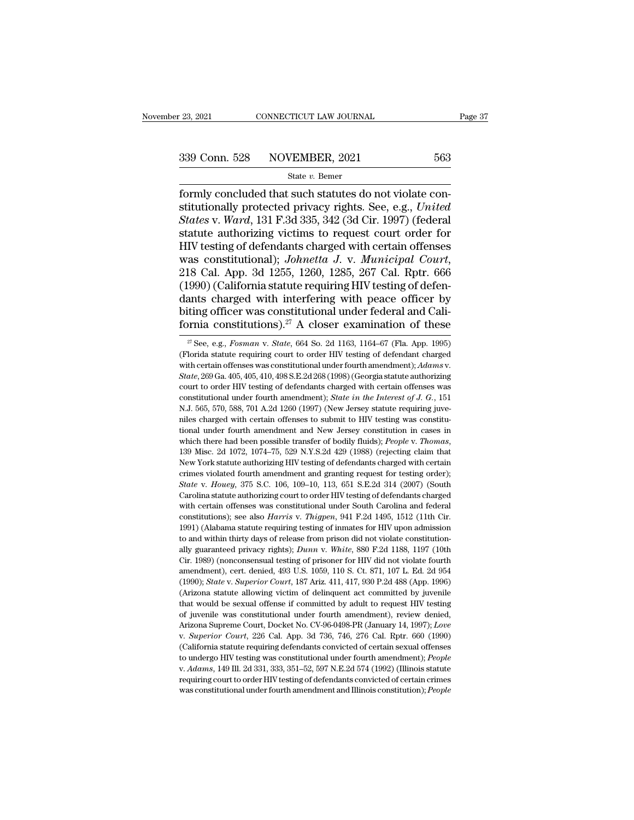Movember 23, 2021 CONNECTICUT LAW JOURNAL<br>
339 Conn. 528 NOVEMBER, 2021 563<br>
563<br>
568 State v. Bemer<br>
formly concluded that such statutes do not violate con-<br>
stitutionally protected privacy rights. See, e.g., United<br>
Stat State v. Bener State v. Bener State v. Bener State v. Bener State v. Bener State v. Bener States v. Ward, 131 F.3d 335, 342 (3d Cir. 1997) (federal Statute authorizing victims to request court order for <sup>339</sup> Conn. 528 NOVEMBER, 2021 563<br>
<sup>State v. Bemer<br>
formly concluded that such statutes do not violate constitutionally protected privacy rights. See, e.g., *United*<br> *States* v. *Ward*, 131 F.3d 335, 342 (3d Cir. 1997) (</sup> 339 Conn. 528 NOVEMBER, 2021 563<br>
state *v*. Bemer<br>
formly concluded that such statutes do not violate constitutionally protected privacy rights. See, e.g., *United*<br> *States* v. *Ward*, 131 F.3d 335, 342 (3d Cir. 1997) ( Solutionally concluded that such statutes do not violate constitutionally protected privacy rights. See, e.g., *United*<br>States v. Ward, 131 F.3d 335, 342 (3d Cir. 1997) (federal<br>statute authorizing victims to request cour state *v*. Bemer<br>formly concluded that such statutes do not violate con-<br>stitutionally protected privacy rights. See, e.g., *United*<br>*States* v. *Ward*, 131 F.3d 335, 342 (3d Cir. 1997) (federal<br>statute authorizing victims stitutionally protected privacy rights. See, e.g., *United*<br>States v. Ward, 131 F.3d 335, 342 (3d Cir. 1997) (federal<br>statute authorizing victims to request court order for<br>HIV testing of defendants charged with certain of States v. Ward, 131 F.3d 335, 342 (3d Cir. 1997) (federal<br>statute authorizing victims to request court order for<br>HIV testing of defendants charged with certain offenses<br>was constitutional); *Johnetta J. v. Municipal Court* statute authorizing victims to request court order for HIV testing of defendants charged with certain offenses was constitutional); *Johnetta J. v. Municipal Court*, 218 Cal. App. 3d 1255, 1260, 1285, 267 Cal. Rptr. 666 (1 HIV testing of defendants charged with certain offenses<br>was constitutional); *Johnetta J. v. Municipal Court*,<br>218 Cal. App. 3d 1255, 1260, 1285, 267 Cal. Rptr. 666<br>(1990) (California statute requiring HIV testing of defe 2900) (California statute requiring HIV testing of defenants charged with interfering with peace officer by ting officer was constitutional under federal and California constitutions).<sup>27</sup> A closer examination of these  $\frac$ dants charged with interfering with peace officer by<br>biting officer was constitutional under federal and Cali-<br>fornia constitutions).<sup>27</sup> A closer examination of these<br> $\frac{x}{\sqrt{5}}$  See, e.g., *Fosman v. State*, 664 So. 2d

biting officer was constitutional under federal and California constitutions).<sup>27</sup> A closer examination of these<br>
<sup>27</sup> See, e.g., *Fosman v. State*, 664 So. 2d 1163, 1164–67 (Fla. App. 1995)<br>
(Florida statute requiring cou FOTTILE CONSTITUTIONS). A CIOSET EXEMITIATION OF THESE<br>
<sup>27</sup> See, e.g., *Fosman v. State*, 664 So. 2d 1163, 1164–67 (Fla. App. 1995)<br>
(Florida statute requiring court to order HIV testing of defendant charged<br>
with certai <sup>27</sup> See, e.g., *Fosman v. State*, 664 So. 2d 1163, 1164–67 (Fla. App. 1995)<br>(Florida statute requiring court to order HIV testing of defendant charged<br>with certain offenses was constitutional under fourth amendment); *Ada* <sup>27</sup> See, e.g., *Fosman* v. *State*, 664 So. 2d 1163, 1164–67 (Fla. App. 1995) (Florida statute requiring court to order HIV testing of defendant charged with certain offenses was constitutional under fourth amendment); with certain offenses was constitutional under fourth amendment); Adams v. State, 269 Ga. 405, 405, 410, 498 S.E.2d 268 (1998) (Georgia statute authorizing court to order HIV testing of defendants charged with certain off State, 269 Ga. 405, 405, 410, 498 S.E.2d 268 (1998) (Georgia statute authorizing court to order HIV testing of defendants charged with certain offenses was constitutional under fourth amendment); *State in the Interest of* court to order HIV testing of defendants charged with certain offenses was constitutional under fourth amendment); *State in the Interest of J. G.*, 151 N.J. 565, 570, 588, 701 A.2d 1260 (1997) (New Jersey statute requirin N.J. 565, 570, 588, 701 A.2d 1260 (1997) (New Jersey statute requiring juve-<br>niles charged with certain offenses to submit to HIV testing was constitu-<br>inicial under fourth amendment and New Jersey constitution in cases in rilles charged with certain offenses to submit to HIV testing was constitutional under fourth amendment and New Jersey constitution in cases in which there had been possible transfer of bodily fluids); *People v. Thomas*, *State* v. *Houey*, 375 S.C. 106, 109–10, 113, 651 S.E.2d 314 (2007) (South Carolina statute authorizing HIV testing of defendants charged with certain orimes violated fourth amendment and granting fequest for testing orde which there had been possible transfer of bodily fluids); *People v. Thomas*, 139 Misc. 2d 1072, 1074–75, 529 N.Y.S.2d 429 (1988) (rejecting claim that New York statute authorizing HIV testing of defendants charged with ce 139 Misc. 2d 1072, 1074–75, 529 N.Y.S.2d 429 (1988) (rejecting claim that New York statute authorizing HIV testing of defendants charged with certain crimes violated fourth amendment and granting request for testing order New York statute authorizing HIV testing of defendants charged with certain crimes violated fourth amendment and granting request for testing order); State v. *Houey*, 375 S.C. 106, 109–10, 113, 651 S.E.2d 314 (2007) (Sout remes violated fourth amendment and granting request for testing order);<br> *State* v. *Houey*, 375 S.C. 106, 109–10, 113, 651 S.E.2d 314 (2007) (South<br>
Carolina statute authorizing court to order HIV testing of defendants c crimes violated fourth amendment and granting request for testing order); *State* v. *Houey*, 375 S.C. 106, 109–10, 113, 651 S.E.2d 314 (2007) (South Carolina statute authorizing court to order HIV testing of defendants c Carolina statute authorizing court to order HIV testing of defendants charged<br>with certain offenses was constitutional under South Carolina and federal<br>constitutions); see also *Harris v. Thigpen*, 941 F.2d 1495, 1512 (11t with certain offenses was constitutional under South Carolina and federal constitutions); see also *Harris v. Thigpen*, 941 F.2d 1495, 1512 (11th Cir. 1991) (Alabama statute requiring testing of inmates for HIV upon admiss amendment), cert. denied, 493 U.S. 1059, 110 S. Ct. 871, 107 L. Ed. 2d 954 (1990); *State v. Superior Court*, 187 Ariz. 411, 417, 930 P.2d 488 (App. 1996) (1990); *State v. Superior Court*, 187 Ariz. 411, 417, 930 P.2d 488 (Alabama statute requiring testing of inmates for HIV upon admission<br>1991) (Alabama statute requiring testing of inmates for HIV upon admission<br>to and within thirty days of release from prison did not violate constitutionto and within thirty days of release from prison did not violate constitution-<br>ally guaranteed privacy rights); *Dunn v. White*, 880 F.2d 1188, 1197 (10th<br>Cir. 1989) (nonconsensual testing of prisoner for HIV did not viola ally guaranteed privacy rights); *Dunn v. White*, 880 F.2d 1188, 1197 (10th Cir. 1989) (nonconsensual testing of prisoner for HIV did not violate fourth amendment), cert. denied, 493 U.S. 1059, 110 S. Ct. 871, 107 L. Ed. 2 Cir. 1989) (nonconsensual testing of prisoner for HIV did not violate fourth amendment), cert. denied, 493 U.S. 1059, 110 S. Ct. 871, 107 L. Ed. 2d 954 (1990); *State v. Superior Court*, 187 Ariz. 411, 417, 930 P.2d 488 (A armendment), cert. denied, 493 U.S. 1059, 110 S. Ct. 871, 107 L. Ed. 2d 954 (1990); *State v. Superior Court*, 187 Ariz. 411, 417, 930 P.2d 488 (App. 1996) (Arizona statute allowing victim of delinquent act committed by ju (Arizona statute allowing victim of delinquent act committed by juvenile that would be sexual offense if committed by adult to request HIV testing of juvenile was constitutional under fourth amendment), review denied, Ari that would be sexual offense if committed by adult to request HIV testing of juvenile was constitutional under fourth amendment), review denied, Arizona Supreme Court, Docket No. CV-96-0498-PR (January 14, 1997); *Love* v. Arizona Supreme Court, Docket No. CV-96-0498-PR (January 14, 1997); Love v. Superior Court, 226 Cal. App. 3d 736, 746, 276 Cal. Rptr. 660 (1990) (California statute requiring defendants convicted of certain sexual offenses v. Superior Court, 226 Cal. App. 3d 736, 746, 276 Cal. Rptr. 660 (1990)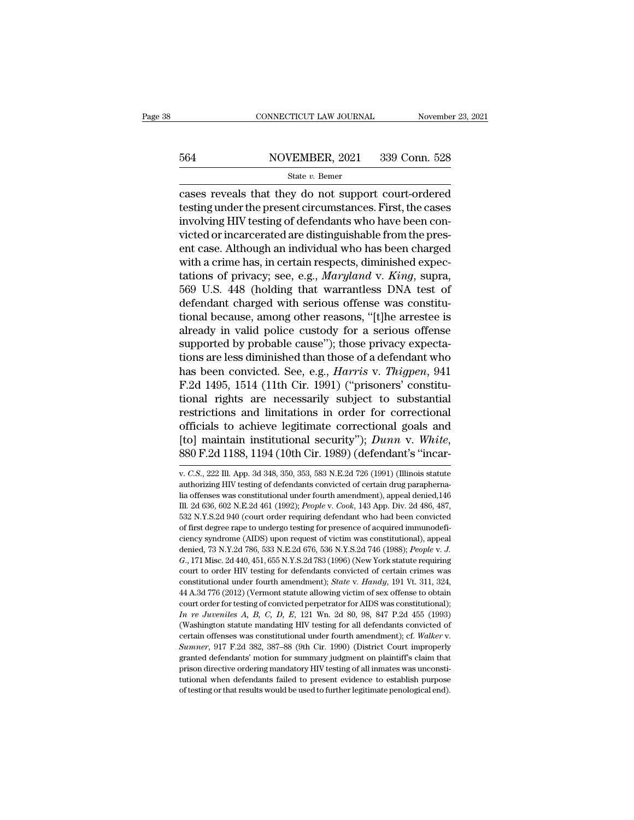# EXECUTE CONNECTICUT LAW JOURNAL Movember 23, 2021<br>564 NOVEMBER, 2021 339 Conn. 528<br>564 State v. Bemer

### State *v.* Bemer

CONNECTICUT LAW JOURNAL November 23, 2021<br>
State V. Bemer<br>
Cases reveals that they do not support court-ordered<br>
testing under the present circumstances. First, the cases<br>
involving HIV testing of defendants who besue been 564 NOVEMBER, 2021 339 Conn. 528<br>
State v. Bemer<br>
cases reveals that they do not support court-ordered<br>
testing under the present circumstances. First, the cases<br>
involving HIV testing of defendants who have been con- $\frac{\text{564}}{\text{State } v. \text{ Bemer}}$ <br>  $\frac{\text{State } v. \text{ Bemer}}{\text{cases} \text{ reveals that they do not support court-ordered}}$ <br>
testing under the present circumstances. First, the cases<br>
involving HIV testing of defendants who have been con-<br>
victed or incarcerated are distinguishable  $\frac{\text{S64}}{\text{State } v. \text{ Bemer}}$ <br>  $\frac{\text{State } v. \text{ Bemer}}{\text{cases}}$ <br>
cases reveals that they do not support court-ordered<br>
testing under the present circumstances. First, the cases<br>
involving HIV testing of defendants who have been con-<br>
vi State v. Bemer<br>
cases reveals that they do not support court-ordered<br>
testing under the present circumstances. First, the cases<br>
involving HIV testing of defendants who have been con-<br>
victed or incarcerated are distingui siate  $v$ . Bener<br>
cases reveals that they do not support court-ordered<br>
testing under the present circumstances. First, the cases<br>
involving HIV testing of defendants who have been con-<br>
victed or incarcerated are disting cases reveals that they do not support court-ordered<br>testing under the present circumstances. First, the cases<br>involving HIV testing of defendants who have been con-<br>victed or incarcerated are distinguishable from the pres testing under the present circumstances. First, the cases<br>involving HIV testing of defendants who have been con-<br>victed or incarcerated are distinguishable from the pres-<br>ent case. Although an individual who has been charg involving HIV testing of defendants who have been convicted or incarcerated are distinguishable from the present case. Although an individual who has been charged with a crime has, in certain respects, diminished expectati victed or incarcerated are distinguishable from the present case. Although an individual who has been charged<br>with a crime has, in certain respects, diminished expectations of privacy; see, e.g., *Maryland* v. *King*, supr ent case. Although an individual who has been charged<br>with a crime has, in certain respects, diminished expec-<br>tations of privacy; see, e.g., *Maryland v. King*, supra,<br>569 U.S. 448 (holding that warrantless DNA test of<br>de with a crime has, in certain respects, diminished expectations of privacy; see, e.g., *Maryland* v. *King*, supra, 569 U.S. 448 (holding that warrantless DNA test of defendant charged with serious offense was constitution tations of privacy; see, e.g., *Maryland* v. *King*, supra, 569 U.S. 448 (holding that warrantless DNA test of defendant charged with serious offense was constitutional because, among other reasons, "[t]he arrestee is alr 569 U.S. 448 (holding that warrantless DNA test of<br>defendant charged with serious offense was constitu-<br>tional because, among other reasons, "[t]he arrestee is<br>already in valid police custody for a serious offense<br>supporte defendant charged with serious offense was constitutional because, among other reasons, "[t]he arrestee is already in valid police custody for a serious offense supported by probable cause"); those privacy expectations are tional because, among other reasons, "[t]he arrestee is<br>already in valid police custody for a serious offense<br>supported by probable cause"); those privacy expecta-<br>tions are less diminished than those of a defendant who<br>ha already in valid police custody for a serious offense<br>supported by probable cause"); those privacy expecta-<br>tions are less diminished than those of a defendant who<br>has been convicted. See, e.g., *Harris* v. *Thigpen*, 941<br> supported by probable cause"); those privacy expecta-<br>tions are less diminished than those of a defendant who<br>has been convicted. See, e.g., *Harris* v. *Thigpen*, 941<br>F.2d 1495, 1514 (11th Cir. 1991) ("prisoners' constit tions are less diminished than those of a defendant who<br>has been convicted. See, e.g., *Harris* v. *Thigpen*, 941<br>F.2d 1495, 1514 (11th Cir. 1991) ("prisoners' constitu-<br>tional rights are necessarily subject to substantial officials to achieve legitimate correctional goals and<br>[to] maintain institutional security"); *Dunn v. White*,<br>880 F.2d 1188, 1194 (10th Cir. 1989) (defendant's "incar-<br>v. *C.S.*, 222 Ill. App. 3d 348, 350, 353, 583 N.E.2

[to] maintain institutional security"); *Dunn v. White*,  $880$  F.2d 1188, 1194 (10th Cir. 1989) (defendant's "incar-<br>v. C.S., 222 Ill. App. 3d 348, 350, 353, 583 N.E.2d 726 (1991) (Illinois statute authorizing HIV testing Ill. 2d 636, 602 N.E.2d 461 (1992); *People* v. *Cook*, 143 App. Div. 2d 486, 487, 252 N.Y.S.2d 940 (court order requiring defendant who had been convicted of 20 N.E.2d 461 (1992); *People* v. *Cook*, 143 App. Div. 2d 486, 532 N.Y.S.2d 940 (court order requiring defendant who had been convicted of first degree rape to undergo testing of personalizations was constitutional under fourth amendment), appeal denied, 146 m. 2d 636, 602 N.E.2d 461 v. *C.S.*, 222 Ill. App. 3d 348, 350, 353, 583 N.E.2d 726 (1991) (Illinois statute authorizing HIV testing of defendants convicted of certain drug paraphernalia offenses was constitutional under fourth amendment), appeal d authorizing HIV testing of defendants convicted of certain drug parapherna-<br>lia offenses was constitutional under fourth amendment), appeal denied,<br>146 Ill. 2d 636, 602 N.E.2d 461 (1992); *People* v. *Cook*, 143 App. Div. and offenses was constitutional under fourth amendment), appeal denied, 146 III. 2d 636, 602 N.E.2d 461 (1992); *People* v. *Cook*, 143 App. Div. 2d 486, 487, 532 N.Y.S.2d 940 (court order requiring defendant who had been *GB.* 171 Misc. 2d 440, 451, 655 N.Y.S.2d 783 (1996) (New York statute requiring court to order noticed of first degree rape to undergo testing for presence of acquired immunodeficiency syndrome (AIDS) upon request of vict 532 N.Y.S.2d 940 (court order requiring defendant who had been convicted of first degree rape to undergo testing for presence of acquired immunodeficiency syndrome (AIDS) upon request of victim was constitutional), appeal of first degree rape to undergo testing for presence of acquired immunodeficiency syndrome (AIDS) upon request of victim was constitutional), appeal denied, 73 N.Y.2d 786, 533 N.E.2d 676, 536 N.Y.S.2d 746 (1988); *People v* eiency syndrome (AIDS) upon request of victim was constitutional), appeal<br>denied, 73 N.Y.2d 786, 533 N.E.2d 676, 536 N.Y.S.2d 746 (1988); *People v. J.*<br>G., 171 Misc. 2d 440, 451, 655 N.Y.S.2d 783 (1996) (New York statute denied, 73 N.Y.2d 786, 533 N.E.2d 676, 536 N.Y.S.2d 746 (1988); *People v. J.*<br>G., 171 Misc. 2d 440, 451, 655 N.Y.S.2d 783 (1996) (New York statute requiring<br>court to order HIV testing for defendants convicted of certain *In In is a 44 A.3d 776* (2012) (Vermont statute alowing victors A, 171 Misc. 2d 440, 451, 655 N.Y.S.2d 783 (1996) (New York statute requiring court to order HIV testing for defendants convicted of certain crimes was const court to order HIV testing for defendants convicted of certain crimes was constitutional under fourth amendment); *State v. Handy*, 191 Vt. 311, 324, 44 A.3d 776 (2012) (Vermont statute allowing victim of sex offense to o constitutional under fourth amendment); *State* v. *Handy*, 191 Vt. 311, 324, 44 A.3d 776 (2012) (Vermont statute allowing victim of sex offense to obtain court order for testing of convicted perpetrator for AIDS was const 44 A.3d 776 (2012) (Vermont statute allowing victim of sex offense to obtain court order for testing of convicted perpetrator for AIDS was constitutional); *In re Juveniles A, B, C, D, E,* 121 Wn. 2d 80, 98, 847 P.2d 455 In re Juveniles A, B, C, D, E, 121 Wn. 2d 80, 98, 847 P.2d 455 (1993) (Washington statute mandating HIV testing for all defendants convicted of certain offenses was constitutional under fourth amendment); cf. *Walker v.* The defendants failed to present evidence to establish purpose of testing for all defendants convicted of certain offenses was constitutional under fourth amendment); cf. Walker v. Sumner, 917 F.2d 382, 387–88 (9th Cir. 1 certain offenses was constitutional under fourth amendment); cf. Walker v.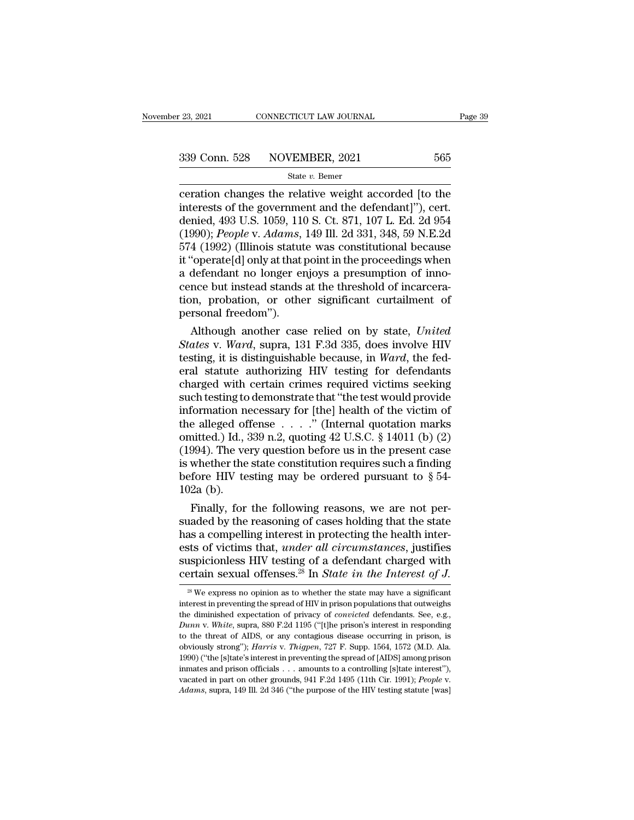connecticut LAW JOURNAL Page 39<br>
339 Conn. 528 NOVEMBER, 2021 565<br>  $\frac{\text{State } v. \text{ Bemer}}{\text{ceration changes the relative weight accepted [to the  
interests of the government and the defendant]"), cert.}$ 339 Conn. 528 NOVEMBER, 2021 565<br>
State v. Bemer<br>
ceration changes the relative weight accorded [to the<br>
interests of the government and the defendant]''), cert.<br>
denied, 493 U.S. 1059, 110 S. Ct. 871, 107 L. Ed. 2d 954<br> 339 Conn. 528 NOVEMBER, 2021 565<br>
State v. Bemer<br>
ceration changes the relative weight accorded [to the<br>
interests of the government and the defendant]"), cert.<br>
denied, 493 U.S. 1059, 110 S. Ct. 871, 107 L. Ed. 2d 954<br>
( (1992) (Illinois statute was constitutional because<br>
1992); *State v. Bemer*<br>
1993 U.S. 1059, 110 S. Ct. 871, 107 L. Ed. 2d 954<br>
1990); *People* v. *Adams*, 149 Ill. 2d 331, 348, 59 N.E.2d<br>
1990); *People* v. *Adams*, 149 SECTE TREADER, 2021<br>
State v. Bemer<br>
Ceration changes the relative weight accorded [to the<br>
interests of the government and the defendant]"), cert.<br>
denied, 493 U.S. 1059, 110 S. Ct. 871, 107 L. Ed. 2d 954<br>
(1990); *Peopl* State v. Bemer<br>
ceration changes the relative weight accorded [to the<br>
interests of the government and the defendant]"), cert.<br>
denied, 493 U.S. 1059, 110 S. Ct. 871, 107 L. Ed. 2d 954<br>
(1990); *People* v. Adams, 149 Ill. ceration changes the relative weight accorded [to the<br>interests of the government and the defendant]"), cert.<br>denied, 493 U.S. 1059, 110 S. Ct. 871, 107 L. Ed. 2d 954<br>(1990); *People* v. *Adams*, 149 Ill. 2d 331, 348, 59 N interests of the government and the defendant]"), cert.<br>denied, 493 U.S. 1059, 110 S. Ct. 871, 107 L. Ed. 2d 954<br>(1990); *People v. Adams*, 149 Ill. 2d 331, 348, 59 N.E.2d<br>574 (1992) (Illinois statute was constitutional be denied, 493 U.S. 1059, 110 S. Ct. 871, 107 L. Ed. 2d 954<br>(1990); *People v. Adams*, 149 Ill. 2d 331, 348, 59 N.E.2d<br>574 (1992) (Illinois statute was constitutional because<br>it "operate[d] only at that point in the proceedin (1990); *People* v. Adams,<br>574 (1992) (Illinois statut<br>it "operate[d] only at that  $\mu$ <br>a defendant no longer er<br>cence but instead stands<br>tion, probation, or othe<br>personal freedom").<br>Although another case 4 (1992) (Illinois statute was constitutional because<br>
'operate[d] only at that point in the proceedings when<br>
defendant no longer enjoys a presumption of inno-<br>
nce but instead stands at the threshold of incarcera-<br>
nn, p It "operate[d] only at that point in the proceedings when<br>a defendant no longer enjoys a presumption of inno-<br>cence but instead stands at the threshold of incarcera-<br>tion, probation, or other significant curtailment of<br>per

a detendant no longer enjoys a presumption of imo-<br>cence but instead stands at the threshold of incarcera-<br>tion, probation, or other significant curtailment of<br>personal freedom").<br>Although another case relied on by state, cence but instead stands at the threshold of incarceration, probation, or other significant curtailment of<br>personal freedom").<br>Although another case relied on by state, United<br>States v. Ward, supra, 131 F.3d 335, does invo tion, probation, or other significant curtailment of<br>personal freedom").<br>Although another case relied on by state, United<br>States v. Ward, supra, 131 F.3d 335, does involve HIV<br>testing, it is distinguishable because, in Wa personal freedom").<br>
Although another case relied on by state, United<br>
States v. Ward, supra, 131 F.3d 335, does involve HIV<br>
testing, it is distinguishable because, in Ward, the fed-<br>
eral statute authorizing HIV testing Although another case relied on by state, *United*<br>States v. Ward, supra, 131 F.3d 335, does involve HIV<br>testing, it is distinguishable because, in Ward, the fed-<br>eral statute authorizing HIV testing for defendants<br>charge States v. Ward, supra, 131 F.3d 335, does involve HIV<br>testing, it is distinguishable because, in Ward, the fed-<br>eral statute authorizing HIV testing for defendants<br>charged with certain crimes required victims seeking<br>such testing, it is distinguishable because, in *Ward*, the federal statute authorizing HIV testing for defendants<br>charged with certain crimes required victims seeking<br>such testing to demonstrate that "the test would provide<br>i eral statute authorizing HIV testing for defendants<br>charged with certain crimes required victims seeking<br>such testing to demonstrate that "the test would provide<br>information necessary for [the] health of the victim of<br>the charged with certain crimes required victims seeking<br>such testing to demonstrate that "the test would provide<br>information necessary for [the] health of the victim of<br>the alleged offense  $\ldots$ ." (Internal quotation marks<br>o such testing to demonstrate that "the test would provide<br>information necessary for [the] health of the victim of<br>the alleged offense  $\dots$ ." (Internal quotation marks<br>omitted.) Id., 339 n.2, quoting 42 U.S.C. § 14011 (b) ( information no<br>the alleged of<br>omitted.) Id., :<br>(1994). The ve<br>is whether the<br>before HIV te<br>102a (b).<br>Finally, for Finally, for the following reasons, we are not per-<br>added by the very question before us in the present case<br>whether the state constitution requires such a finding<br>fore HIV testing may be ordered pursuant to  $\S$  54-<br>2a (b omitted.) Id., 339 n.2, quoting 42 U.S.C. § 14011 (b) (2)<br>(1994). The very question before us in the present case<br>is whether the state constitution requires such a finding<br>before HIV testing may be ordered pursuant to § 5

(1994). The very question before us in the present case<br>is whether the state constitution requires such a finding<br>before HIV testing may be ordered pursuant to  $\S$  54-<br>102a (b).<br>Finally, for the following reasons, we are is whether the state constitution requires such a finding<br>before HIV testing may be ordered pursuant to  $\S$  54-<br>102a (b).<br>Finally, for the following reasons, we are not per-<br>suaded by the reasoning of cases holding that t before HIV testing may be ordered pursuant to  $\S$  54-<br>102a (b).<br>Finally, for the following reasons, we are not per-<br>suaded by the reasoning of cases holding that the state<br>has a compelling interest in protecting the healt 102a (b).<br>Finally, for the following reasons, we are not per-<br>suaded by the reasoning of cases holding that the state<br>has a compelling interest in protecting the health inter-<br>ests of victims that, *under all circumstances* as a compelling interest in protecting the health inter-<br>sts of victims that, *under all circumstances*, justifies<br>uspicionless HIV testing of a defendant charged with<br>pertain sexual offenses.<sup>28</sup> In *State in the Interes* ests of victims that, *under all circumstances*, justifies<br>suspicionless HIV testing of a defendant charged with<br>certain sexual offenses.<sup>28</sup> In *State in the Interest of J*.<br><sup>28</sup> We express no opinion as to whether the s

suspicionless HIV testing of a defendant charged with<br>certain sexual offenses.<sup>28</sup> In *State in the Interest of J.*<br><sup>28</sup> We express no opinion as to whether the state may have a significant<br>interest in preventing the sprea **Dunna v.** *Publication* **Dunna v.** *Butter in the Interest of J.*<br>
<sup>28</sup> We express no opinion as to whether the state may have a significant interest in preventing the spread of HIV in prison populations that outweighs t Certain Sexual Offenses.<sup>--</sup> In *State Th the Thierest Of J.*<br><sup>28</sup> We express no opinion as to whether the state may have a significant interest in preventing the spread of HIV in prison populations that outweighs the dim <sup>28</sup> We express no opinion as to whether the state may have a significant interest in preventing the spread of HIV in prison populations that outweighs the diminished expectation of privacy of *convicted* defendants. See, interest in preventing the spread of HIV in prison populations that outweighs the diminished expectation of privacy of *convicted* defendants. See, e.g., *Dunn v. White*, supra, 880 F.2d 1195 ("[t]he prison's interest in r the diminished expectation of privacy of *convicted* defendants. See, e.g., *Dunn v. White*, supra, 880 F.2d 1195 ("[t]he prison's interest in responding to the threat of AIDS, or any contagious disease occurring in priso *Dunn v. White*, supra, 880 F.2d 1195 ("[t]he prison's interest in responding to the threat of AIDS, or any contagious disease occurring in prison, is obviously strong"); *Harris v. Thigpen*, 727 F. Supp. 1564, 1572 (M.D.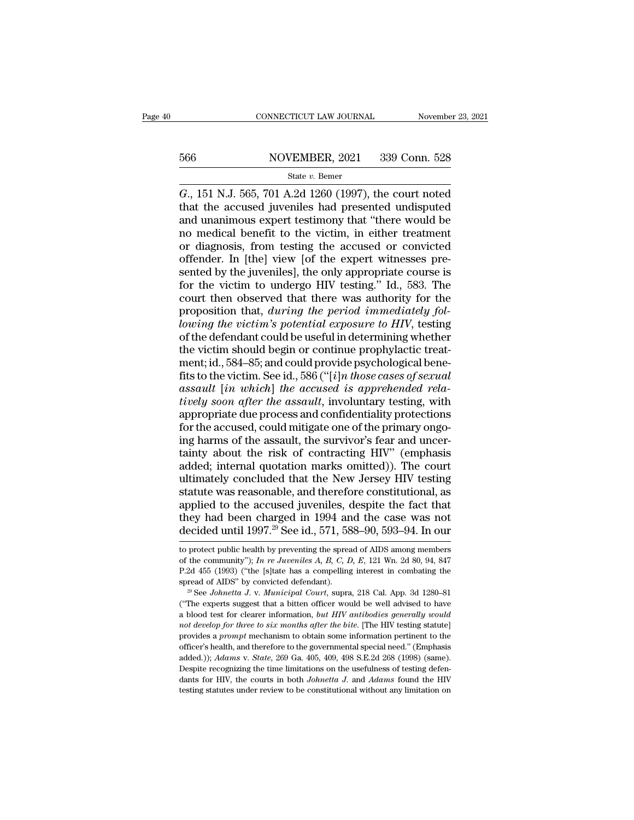# EXECUTE CONNECTICUT LAW JOURNAL Movember 23, 2021<br>566 NOVEMBER, 2021 339 Conn. 528<br>566 State v. Bemer

### State *v.* Bemer

CONNECTICUT LAW JOURNAL November 23, 2021<br>
566 NOVEMBER, 2021 339 Conn. 528<br>
State v. Bemer<br> *G.*, 151 N.J. 565, 701 A.2d 1260 (1997), the court noted<br>
that the accused juveniles had presented undisputed<br>
and unanimous exp 566 NOVEMBER, 2021 339 Conn. 528<br>
State v. Bemer<br>
G., 151 N.J. 565, 701 A.2d 1260 (1997), the court noted<br>
that the accused juveniles had presented undisputed<br>
and unanimous expert testimony that "there would be<br>
no medic 566 NOVEMBER, 2021 339 Conn. 528<br>  $\frac{\text{State } v. \text{ Bemer}}{G., 151 \text{ N.J. } 565, 701 \text{ A.2d } 1260 (1997), \text{ the court noted that the accused juveniles had presented undisputed and unanimous expert testimony that "there would be no medical benefit to the victim, in either treatment or diagnosis from testing the accused or convicted.$ 566 NOVEMBER, 2021 339 Conn. 528<br>
State v. Bemer<br>
G., 151 N.J. 565, 701 A.2d 1260 (1997), the court noted<br>
that the accused juveniles had presented undisputed<br>
and unanimous expert testimony that "there would be<br>
no medic State v. Bemer<br>
G., 151 N.J. 565, 701 A.2d 1260 (1997), the court noted<br>
that the accused juveniles had presented undisputed<br>
and unanimous expert testimony that "there would be<br>
no medical benefit to the victim, in eithe state v. Bemer<br>  $G_{\cdot}$ , 151 N.J. 565, 701 A.2d 1260 (1997), the court noted<br>
that the accused juveniles had presented undisputed<br>
and unanimous expert testimony that "there would be<br>
no medical benefit to the victim, in G., 151 N.J. 565, 701 A.2d 1260 (1997), the court noted<br>that the accused juveniles had presented undisputed<br>and unanimous expert testimony that "there would be<br>no medical benefit to the victim, in either treatment<br>or diagn that the accused juveniles had presented undisputed<br>and unanimous expert testimony that "there would be<br>no medical benefit to the victim, in either treatment<br>or diagnosis, from testing the accused or convicted<br>offender. In and unanimous expert testimony that "there would be<br>no medical benefit to the victim, in either treatment<br>or diagnosis, from testing the accused or convicted<br>offender. In [the] view [of the expert witnesses pre-<br>sented by no medical benefit to the victim, in either treatment<br>or diagnosis, from testing the accused or convicted<br>offender. In [the] view [of the expert witnesses pre-<br>sented by the juveniles], the only appropriate course is<br>for t or diagnosis, from testing the accused or convicted<br>offender. In [the] view [of the expert witnesses pre-<br>sented by the juveniles], the only appropriate course is<br>for the victim to undergo HIV testing." Id., 583. The<br>court offender. In [the] view [of the expert witnesses pre-<br>sented by the juveniles], the only appropriate course is<br>for the victim to undergo HIV testing." Id., 583. The<br>court then observed that there was authority for the<br>prop sented by the juveniles], the only appropriate course is<br>for the victim to undergo HIV testing." Id., 583. The<br>court then observed that there was authority for the<br>proposition that, *during the period immediately fol-*<br>*lo* for the victim to undergo HIV testing." Id., 583. The<br>court then observed that there was authority for the<br>proposition that, *during the period immediately fol-*<br>*lowing the victim's potential exposure to HIV*, testing<br>of fraction the proposition that, *during the period immediately following the victim's potential exposure to HIV*, testing of the defendant could be useful in determining whether the victim should begin or continue prophylac proposition that, *during the period immediately following the victim's potential exposure to HIV*, testing of the defendant could be useful in determining whether the victim should begin or continue prophylactic treatment *towing the victim's potential exposure to HIV*, testing<br>*towing the victim's potential exposure to HIV*, testing<br>of the defendant could be useful in determining whether<br>the victim should begin or continue prophylactic tre of the defendant could be useful in determining whether<br>the victim should begin or continue prophylactic treat-<br>ment; id., 584–85; and could provide psychological bene-<br>fits to the victim. See id., 586 ("[*i*]*n those case* the victim should begin or continue prophylactic treatment; id., 584–85; and could provide psychological bene-<br>fits to the victim. See id., 586 ("[*i*]*n those cases of sexual* assault [*in which*] the accused is apprehen ment; id., 584–85; and could provide psychological benefits to the victim. See id., 586 ("[*i*]*n those cases of sexual* assault [*in which*] *the accused is apprehended relatively soon after the assault*, involuntary tes fits to the victim. See id., 586 ("[*i*]*n those cases of sexual* assault [*in which*] *the accused is apprehended relatively soon after the assault*, involuntary testing, with appropriate due process and confidentiality assault [in which] the accused is apprehended relatively soon after the assault, involuntary testing, with<br>appropriate due process and confidentiality protections<br>for the accused, could mitigate one of the primary ongo-<br>in tively soon after the assault, involuntary testing, with<br>appropriate due process and confidentiality protections<br>for the accused, could mitigate one of the primary ongo-<br>ing harms of the assault, the survivor's fear and un appropriate due process and confidentiality protections<br>for the accused, could mitigate one of the primary ongo-<br>ing harms of the assault, the survivor's fear and uncer-<br>tainty about the risk of contracting HIV" (emphasis<br> for the accused, could mitigate one of the primary ongo-<br>ing harms of the assault, the survivor's fear and uncer-<br>tainty about the risk of contracting HIV" (emphasis<br>added; internal quotation marks omitted)). The court<br>ul ing harms of the assault, the survivor's fear and uncertainty about the risk of contracting HIV" (emphasis added; internal quotation marks omitted)). The court ultimately concluded that the New Jersey HIV testing statute w tainty about the risk of contracting HIV" (emphasis added; internal quotation marks omitted)). The court ultimately concluded that the New Jersey HIV testing statute was reasonable, and therefore constitutional, as applied statute was reasonable, and therefore constitutional, as<br>applied to the accused juveniles, despite the fact that<br>they had been charged in 1994 and the case was not<br>decided until 1997.<sup>29</sup> See id., 571, 588–90, 593–94. In applied to the accused juveniles, despite the fact that<br>they had been charged in 1994 and the case was not<br>decided until 1997.<sup>29</sup> See id., 571, 588–90, 593–94. In our<br>to protect public health by preventing the spread of A

a blood test for clearer information, *but HIV* antibodies generally would not develop for the expects suggest that a bitten officer would be well advised to have a blood test for clearer information, *but HIV antibodies* **P.2d 455 (1993) ("the [s]tate has a compelling interest in combating the spread of AIDS" by convicted defendant).**<br><sup>29</sup> See Johnetta J. v. Municipal Court, supra, 218 Cal. App. 3d 1280–81 ("The experts suggest that a bitt spread of AIDS" by convicted defendant).<br><sup>29</sup> See *Johnetta J. v. Municipal Court*, supra, 218 Cal. App. 3d 1280–81<br><sup>29</sup> See *Johnetta J. v. Municipal Court*, supra, 218 Cal. App. 3d 1280–81<br>("The experts suggest that a b <sup>29</sup> See *Johnetta J. v. Municipal Court*, supra, 218 Cal. App. 3d 1280–81<br>
<sup>29</sup> See *Johnetta J. v. Municipal Court*, supra, 218 Cal. App. 3d 1280–81<br>
("The experts suggest that a bitten officer would be well advised to ("The experts suggest that a bitten officer would be well advised to have a blood test for clearer information, *but HIV antibodies generally would not develop for three to six months after the bite.* [The HIV testing stat a blood test for clearer information, *but HIV antibodies generally would not develop for three to six months after the bite.* [The HIV testing statute] provides a *prompt* mechanism to obtain some information pertinent t a cood ecop for three to six months after the bite. [The HIV testing statute] provides a *prompt* mechanism to obtain some information pertinent to the officer's health, and therefore to the governmental special need." (Em provides a *prompt* mechanism to obtain some information pertinent to the

they had been charged in 1994 and the case was not decided until 1997.<sup>29</sup> See id., 571, 588–90, 593–94. In our to protect public health by preventing the spread of AIDS among members of the community"); *In re Juveniles* decided until 1997.<sup>29</sup> See id., 571, 588–90, 593–94. In our<br>to protect public health by preventing the spread of AIDS among members<br>of the community"); *In re Juveniles A, B, C, D, E*, 121 Wn. 2d 80, 94, 847<br>P.2d 455 (199 to protect public health by preventing the spread of AIDS among members<br>of the community"); *In re Juveniles A, B, C, D, E,* 121 Wn. 2d 80, 94, 847<br>P.2d 455 (1993) ("the [s]tate has a compelling interest in combating the<br>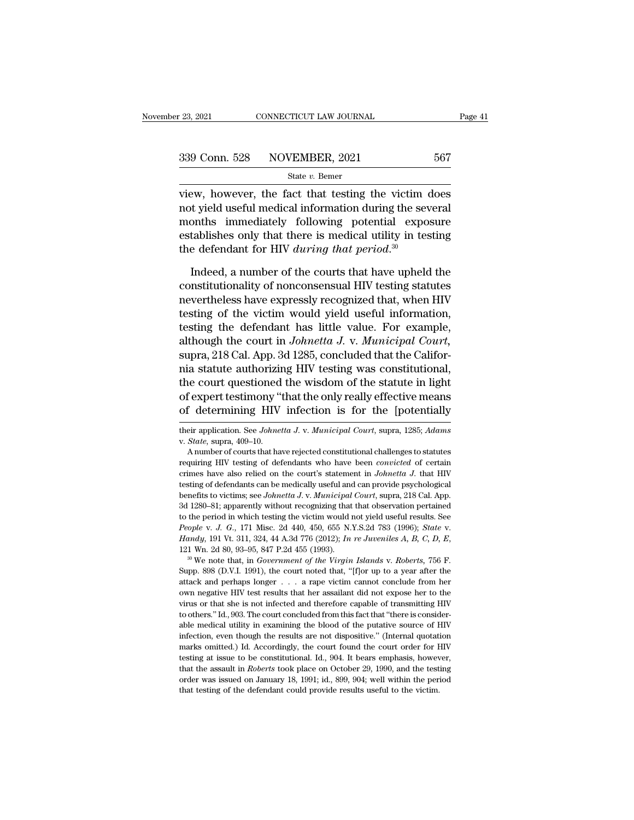view, however, the fact that testing the victim does<br>
not yield useful medical information during the several<br>
norths, immediately, following, notatial, empeys 339 Conn. 528 NOVEMBER, 2021 567<br>
State v. Bemer<br>
view, however, the fact that testing the victim does<br>
not yield useful medical information during the several<br>
months immediately following potential exposure<br>
establishes 339 Conn. 528 NOVEMBER, 2021 567<br>
State v. Bemer<br>
view, however, the fact that testing the victim does<br>
not yield useful medical information during the several<br>
months immediately following potential exposure<br>
establishes 339 Conn. 528 NOVEMBER, 2021 567<br>
state v. Bemer<br>
view, however, the fact that testing the victim does<br>
not yield useful medical information during the several<br>
months immediately following potential exposure<br>
establishes State *v*. Bemer<br>
view, however, the fact that testing the victim<br>
inot yield useful medical information during the sev<br>
months immediately following potential expo<br>
establishes only that there is medical utility in tes<br> Evolvement that testing the victim does<br>t yield useful medical information during the several<br>onths immediately following potential exposure<br>tablishes only that there is medical utility in testing<br>e defendant for HIV *duri* not yield useful medical information during the several<br>months immediately following potential exposure<br>establishes only that there is medical utility in testing<br>the defendant for HIV *during that period*.<sup>30</sup><br>Indeed, a nu

months immediately following potential exposure<br>establishes only that there is medical utility in testing<br>the defendant for HIV *during that period*.<sup>30</sup><br>Indeed, a number of the courts that have upheld the<br>constitutionali establishes only that there is medical utility in testing<br>the defendant for HIV *during that period*.<sup>30</sup><br>Indeed, a number of the courts that have upheld the<br>constitutionality of nonconsensual HIV testing statutes<br>neverth the defendant for HIV *during that period*.<sup>30</sup><br>Indeed, a number of the courts that have upheld the<br>constitutionality of nonconsensual HIV testing statutes<br>nevertheless have expressly recognized that, when HIV<br>testing of Indeed, a number of the courts that have upheld the<br>constitutionality of nonconsensual HIV testing statutes<br>nevertheless have expressly recognized that, when HIV<br>testing of the victim would yield useful information,<br>testin Indeed, a number of the courts that have upheld the<br>constitutionality of nonconsensual HIV testing statutes<br>nevertheless have expressly recognized that, when HIV<br>testing of the victim would yield useful information,<br>testin constitutionality of nonconsensual HIV testing statutes<br>nevertheless have expressly recognized that, when HIV<br>testing of the victim would yield useful information,<br>testing the defendant has little value. For example,<br>altho nevertheless have expressly recognized that, when HIV<br>testing of the victim would yield useful information,<br>testing the defendant has little value. For example,<br>although the court in *Johnetta J. v. Municipal Court*,<br>supra testing of the victim would yield useful information,<br>testing the defendant has little value. For example,<br>although the court in Johnetta J. v. Municipal Court,<br>supra, 218 Cal. App. 3d 1285, concluded that the Califor-<br>nia testing the defendant has little value. For example,<br>although the court in *Johnetta J. v. Municipal Court*,<br>supra, 218 Cal. App. 3d 1285, concluded that the Califor-<br>nia statute authorizing HIV testing was constitutional, the court questioned the wisdom of the statute in light<br>of expert testimony "that the only really effective means<br>of determining HIV infection is for the [potentially<br>their application. See *Johnetta J. v. Municipal Court* f expert testimony "that the only really effective means<br>f determining HIV infection is for the [potentially<br>eir application. See *Johnetta J. v. Municipal Court*, supra, 1285; Adams<br>*State*, supra, 409–10.<br>A number of cou

People v. J. G., 171 Misc. 2d 440, 450, 655 N.Y.S.2d 783 (1996); *State* v. *Handy*, 191 Vt. 311, 324, 44 A.3d 776 (2012); *In re Juveniles A, B, C, D, E,* 121 Wn. 2d 80, 93–95, 847 P.2d 455 (1993).<br><sup>30</sup> We note that, in *Handy*, 191 Vt. 311, 324, 44 A.3d 776 (2012); *In re Juveniles A, B, C, D, E,* 121 Wn. 2d 80, 93–95, 847 P.2d 455 (1993).<br><sup>30</sup> We note that, in *Government of the Virgin Islands v. Roberts*, 756 F. Supp. 898 (D.V.I. 1991 121 Wn. 2d 80, 93–95, 847 P.2d 455 (1993).<br><sup>30</sup> We note that, in *Government of the Virgin Islands* v. *Roberts*, 756 F.<br>Supp. 898 (D.V.I. 1991), the court noted that, "[f]or up to a year after the<br>attack and perhaps long <sup>30</sup> We note that, in *Government of the Virgin Islands* v. *Roberts*, 756 F. Supp. 898 (D.V.I. 1991), the court noted that, "[f]or up to a year after the attack and perhaps longer  $\ldots$  a rape victim cannot conclude from Supp. 898 (D.V.I. 1991), the court noted that, "[f]or up to a year after the attack and perhaps longer  $\ldots$  a rape victim cannot conclude from her own negative HIV test results that her assailant did not expose her to th Extract and perhaps longer  $\ldots$  a rape victim cannot conclude from her own negative HIV test results that her assailant did not expose her to the virus or that she is not infected and therefore capable of transmitting HI www. negative HIV test results that her assailant did not expose her to the virus or that she is not infected and therefore capable of transmitting HIV to others." Id., 903. The court concluded from this fact that "there i virus or that she is not infected and therefore capable of transmitting HIV to others." Id., 903. The court concluded from this fact that "there is considerable medical utility in examining the blood of the putative sourc that the assault in *Roberts* took place on October 29, 1990, and the testing at its others." Id., 903. The court concluded from this fact that "there is considerable medical utility in examining the blood of the putative able medical utility in examining the blood of the putative source of HIV infection, even though the results are not dispositive." (Internal quotation marks omitted.) Id. Accordingly, the court found the court order for HI infection, even though the results are not dispositive." (Internal quotation marks omitted.) Id. Accordingly, the court found the court order for HIV testing at issue to be constitutional. Id.,  $904$ . It bears emphasis, h

of determining HIV infection is for the [potentially<br>their application. See *Johnetta J. v. Municipal Court*, supra, 1285; *Adams*<br>v. *State*, supra, 409–10.<br>A number of courts that have rejected constitutional challenges crimation. See *Johnetta J. v. Municipal Court*, supra, 1285; *Adams* v. *State*, supra, 409–10.<br>A number of courts that have rejected constitutional challenges to statutes requiring HIV testing of defendants who have been their application. See *Johnetta J.* v. *Municipal Court*, supra, 1285; *Adams* v. *State*, supra, 409–10.<br>A number of courts that have rejected constitutional challenges to statutes requiring HIV testing of defendants who benefits to victims; see *Johnetta J. v. Municipal Court*, supple, 1200, *Municipal Court*, *State*, suppra, 199–10.<br>A number of courts that have rejected constitutional challenges to statutes requiring HIV testing of defe A number of courts that have rejected constitutional challenges to statutes<br>requiring HIV testing of defendants who have been *convicted* of certain<br>crimes have also relied on the court's statement in *Johnetta J*. that HI requiring HIV testing of defendants who have been *convicted* of certain crimes have also relied on the court's statement in *Johnetta J*. that HIV testing of defendants can be medically useful and can provide psychologic references have also relied on the court's statement in *Johnetta J*. that HIV tresting of defendants can be medically useful and can provide psychological benefits to victims; see *Johnetta J. v. Municipal Court*, supra, Supp. 898 (D.V.I. 1991), the court noted that, "[f]or up to a year after the attack and perhaps longer ... a rape victim cannot conclude from her attack and perhaps longer ... a rape victim cannot conclude from her attack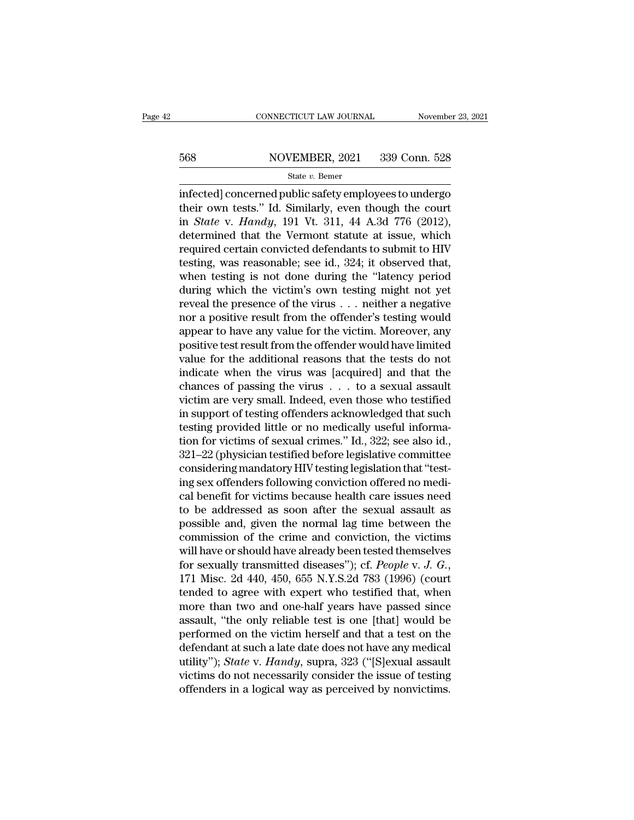# EXECUTE CONNECTICUT LAW JOURNAL Movember 23, 2021<br>568 NOVEMBER, 2021 339 Conn. 528<br>568 State v. Bemer

### State *v.* Bemer

CONNECTICUT LAW JOURNAL November 23, 2021<br>
So Side MOVEMBER, 2021 339 Conn. 528<br>
State v. Bemer<br>
infected] concerned public safety employees to undergo<br>
their own tests." Id. Similarly, even though the court<br>
in State v. 568 NOVEMBER, 2021 339 Conn. 528<br>
State v. Bemer<br>
infected] concerned public safety employees to undergo<br>
their own tests.'' Id. Similarly, even though the court<br>
in *State v. Handy*, 191 Vt. 311, 44 A.3d 776 (2012),<br>
det **EXECUTE:** State *v.* Bemer<br>
State *v.* Bemer<br>
infected] concerned public safety employees to undergo<br>
their own tests." Id. Similarly, even though the court<br>
in *State* v. *Handy*, 191 Vt. 311, 44 A.3d 776 (2012),<br>
determ 568 NOVEMBER, 2021 339 Conn. 528<br>
state v. Bemer<br>
infected] concerned public safety employees to undergo<br>
their own tests." Id. Similarly, even though the court<br>
in *State* v. *Handy*, 191 Vt. 311, 44 A.3d 776 (2012),<br>
de State v. Bemer<br>
infected] concerned public safety employees to undergo<br>
their own tests." Id. Similarly, even though the court<br>
in *State* v. *Handy*, 191 Vt. 311, 44 A.3d 776 (2012),<br>
determined that the Vermont statute state v. Better<br>
infected] concerned public safety employees to undergo<br>
their own tests." Id. Similarly, even though the court<br>
in *State* v. *Handy*, 191 Vt. 311, 44 A.3d 776 (2012),<br>
determined that the Vermont statute infected] concerned public safety employees to undergo<br>their own tests." Id. Similarly, even though the court<br>in *State* v. *Handy*, 191 Vt. 311, 44 A.3d 776 (2012),<br>determined that the Vermont statute at issue, which<br>requ their own tests." Id. Similarly, even though the court<br>in *State* v. *Handy*, 191 Vt. 311, 44 A.3d 776 (2012),<br>determined that the Vermont statute at issue, which<br>required certain convicted defendants to submit to HIV<br>tes in *State* v. *Handy*, 191 Vt. 311, 44 A.3d 776 (2012),<br>determined that the Vermont statute at issue, which<br>required certain convicted defendants to submit to HIV<br>testing, was reasonable; see id., 324; it observed that,<br>w determined that the Vermont statute at issue, which<br>required certain convicted defendants to submit to HIV<br>testing, was reasonable; see id., 324; it observed that,<br>when testing is not done during the "latency period<br>during required certain convicted defendants to submit to HIV<br>testing, was reasonable; see id., 324; it observed that,<br>when testing is not done during the "latency period<br>during which the victim's own testing might not yet<br>reveal testing, was reasonable; see id., 324; it observed that,<br>when testing is not done during the "latency period<br>during which the victim's own testing might not yet<br>reveal the presence of the virus . . . neither a negative<br>nor when testing is not done during the "latency period<br>during which the victim's own testing might not yet<br>reveal the presence of the virus  $\ldots$  neither a negative<br>nor a positive result from the offender's testing would<br>app during which the victim's own testing might not yet<br>reveal the presence of the virus . . . neither a negative<br>nor a positive result from the offender's testing would<br>appear to have any value for the victim. Moreover, any<br>p reveal the presence of the virus . . . neither a negative<br>nor a positive result from the offender's testing would<br>appear to have any value for the victim. Moreover, any<br>positive test result from the offender would have lim nor a positive result from the offender's testing would<br>appear to have any value for the victim. Moreover, any<br>positive test result from the offender would have limited<br>value for the additional reasons that the tests do no appear to have any value for the victim. Moreover, any<br>positive test result from the offender would have limited<br>value for the additional reasons that the tests do not<br>indicate when the virus was [acquired] and that the<br>ch positive test result from the offender would have limited<br>value for the additional reasons that the tests do not<br>indicate when the virus was [acquired] and that the<br>chances of passing the virus . . . to a sexual assault<br>vi value for the additional reasons that the tests do not<br>indicate when the virus was [acquired] and that the<br>chances of passing the virus . . . to a sexual assault<br>victim are very small. Indeed, even those who testified<br>in s indicate when the virus was [acquired] and that the<br>chances of passing the virus . . . to a sexual assault<br>victim are very small. Indeed, even those who testified<br>in support of testing offenders acknowledged that such<br>test chances of passing the virus . . . . to a sexual assault<br>victim are very small. Indeed, even those who testified<br>in support of testing offenders acknowledged that such<br>testing provided little or no medically useful informa victim are very small. Indeed, even those who testified<br>in support of testing offenders acknowledged that such<br>testing provided little or no medically useful informa-<br>tion for victims of sexual crimes." Id., 322; see also in support of testing offenders acknowledged that such<br>testing provided little or no medically useful informa-<br>tion for victims of sexual crimes." Id., 322; see also id.,<br>321–22 (physician testified before legislative comm testing provided little or no medically useful information for victims of sexual crimes." Id., 322; see also id., 321–22 (physician testified before legislative committee considering mandatory HIV testing legislation that tion for victims of sexual crimes." Id., 322; see also id.,<br>321–22 (physician testified before legislative committee<br>considering mandatory HIV testing legislation that "test-<br>ing sex offenders following conviction offered  $321-22$  (physician testified before legislative committee<br>considering mandatory HIV testing legislation that "test-<br>ing sex offenders following conviction offered no medi-<br>cal benefit for victims because health care issu considering mandatory HIV testing legislation that "test-<br>ing sex offenders following conviction offered no medi-<br>cal benefit for victims because health care issues need<br>to be addressed as soon after the sexual assault as ing sex offenders following conviction offered no medical benefit for victims because health care issues need<br>to be addressed as soon after the sexual assault as<br>possible and, given the normal lag time between the<br>commissi to be addressed as soon after the sexual assault as<br>possible and, given the normal lag time between the<br>commission of the crime and conviction, the victims<br>will have or should have already been tested themselves<br>for sexual possible and, given the normal lag time between the<br>commission of the crime and conviction, the victims<br>will have or should have already been tested themselves<br>for sexually transmitted diseases"); cf. *People* v. *J. G.*, commission of the crime and conviction, the victims<br>will have or should have already been tested themselves<br>for sexually transmitted diseases"); cf. People v. J. G.,<br>171 Misc. 2d 440, 450, 655 N.Y.S.2d 783 (1996) (court<br>te will have or should have already been tested themselves<br>for sexually transmitted diseases"); cf. *People* v. *J. G.*,<br>171 Misc. 2d 440, 450, 655 N.Y.S.2d 783 (1996) (court<br>tended to agree with expert who testified that, w for sexually transmitted diseases"); cf. *People v. J. G.*, 171 Misc. 2d 440, 450, 655 N.Y.S.2d 783 (1996) (court tended to agree with expert who testified that, when more than two and one-half years have passed since ass 171 Misc. 2d 440, 450, 655 N.Y.S.2d 783 (1996) (court<br>tended to agree with expert who testified that, when<br>more than two and one-half years have passed since<br>assault, "the only reliable test is one [that] would be<br>performe tended to agree with expert who testified that, when<br>more than two and one-half years have passed since<br>assault, "the only reliable test is one [that] would be<br>performed on the victim herself and that a test on the<br>defenda more than two and one-half years have passed since<br>assault, "the only reliable test is one [that] would be<br>performed on the victim herself and that a test on the<br>defendant at such a late date does not have any medical<br>util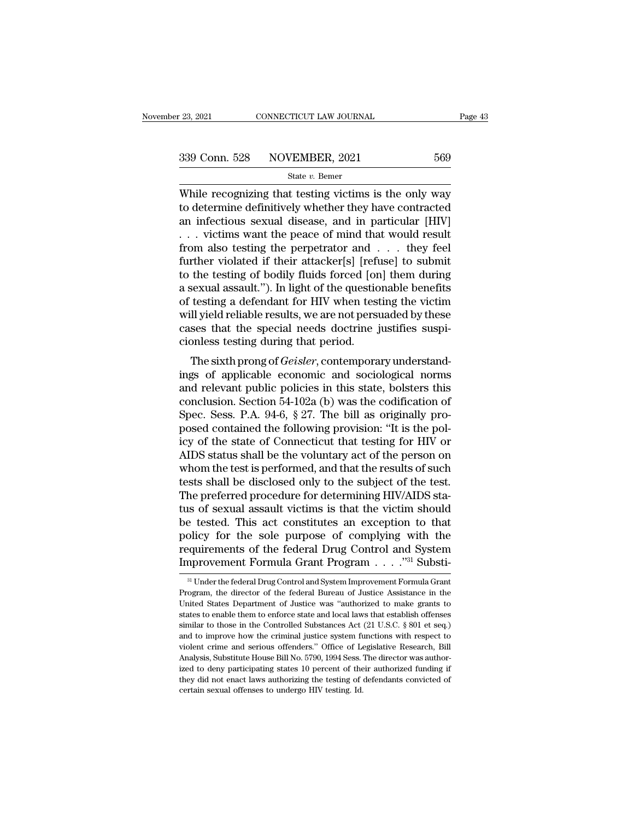$\begin{array}{r|l} \text{23, 2021} & \text{CONNETICUT LAW JOURNAL} & \text{Page 43} \ \hline \text{339 Conn. } 528 & \text{NOVEMBER, 2021} & 569 \ \hline & \text{State } v. \text{ Bemer} \ \hline \end{array}$ <br>While recognizing that testing victims is the only way to determine definitively whether they have contracted  $\begin{array}{r} \text{339 Conn. } 528 \quad \text{NOVEMBER, } 2021 \quad \text{569} \\ \text{State } v. \text{ Bemer} \end{array}$ <br>While recognizing that testing victims is the only way to determine definitively whether they have contracted an infectious sexual disease, and in particu 339 Conn. 528 NOVEMBER, 2021 569<br>
State v. Bemer<br>
While recognizing that testing victims is the only way<br>
to determine definitively whether they have contracted<br>
an infectious sexual disease, and in particular [HIV]<br>
. . 339 Conn. 528 NOVEMBER, 2021 569<br>
State v. Bemer<br>
While recognizing that testing victims is the only way<br>
to determine definitively whether they have contracted<br>
an infectious sexual disease, and in particular [HIV]<br>
... Solution also testing that testing victims is the only way<br>while recognizing that testing victims is the only way<br>to determine definitively whether they have contracted<br>an infectious sexual disease, and in particular [HIV State v. Bemer<br>While recognizing that testing victims is the only way<br>to determine definitively whether they have contracted<br>an infectious sexual disease, and in particular [HIV]<br> $\dots$  victims want the peace of mind that w While recognizing that testing victims is the only way<br>to determine definitively whether they have contracted<br>an infectious sexual disease, and in particular [HIV]<br> $\dots$  victims want the peace of mind that would result<br>fro to determine definitively whether they have contracted<br>an infectious sexual disease, and in particular [HIV]<br>... victims want the peace of mind that would result<br>from also testing the perpetrator and ... they feel<br>further an infectious sexual disease, and in particular [HIV]<br>  $\ldots$  victims want the peace of mind that would result<br>
from also testing the perpetrator and  $\ldots$  they feel<br>
further violated if their attacker[s] [refuse] to submi when also testing the peace of mind that would result<br>from also testing the perpetrator and  $\dots$  they feel<br>further violated if their attacker[s] [refuse] to submit<br>to the testing of bodily fluids forced [on] them during<br>a from also testing the perpetrator and  $\ldots$  they feel further violated if their attacker[s] [refuse] to submit to the testing of bodily fluids forced [on] them during a sexual assault."). In light of the questionable bene further violated if their attacker[s] [reft<br>to the testing of bodily fluids forced [or<br>a sexual assault."). In light of the questio<br>of testing a defendant for HIV when test<br>will yield reliable results, we are not pers<br>case the testing of *Bodny mads* forced [off] them during<br>sexual assault."). In light of the questionable benefits<br>testing a defendant for HIV when testing the victim<br>Il yield reliable results, we are not persuaded by these<br>ses a sexual assault. ). If light of the questionable benefits<br>of testing a defendant for HIV when testing the victim<br>will yield reliable results, we are not persuaded by these<br>cases that the special needs doctrine justifies

or testing a defendant for firv when testing the victim<br>will yield reliable results, we are not persuaded by these<br>cases that the special needs doctrine justifies suspi-<br>cionless testing during that period.<br>The sixth pron win yield reliable results, we are not persuaded by these<br>cases that the special needs doctrine justifies suspi-<br>cionless testing during that period.<br>The sixth prong of *Geisler*, contemporary understand-<br>ings of applicab cases that the spectal heeds doctrine justines suspicionless testing during that period.<br>The sixth prong of *Geisler*, contemporary understandings of applicable economic and sociological norms<br>and relevant public policies The sixth prong of *Geisler*, contemporary understand-<br>ings of applicable economic and sociological norms<br>and relevant public policies in this state, bolsters this<br>conclusion. Section 54-102a (b) was the codification of<br>Sp The sixth prong of *Geisler*, contemporary understandings of applicable economic and sociological norms<br>and relevant public policies in this state, bolsters this<br>conclusion. Section 54-102a (b) was the codification of<br>Spec ings of applicable economic and sociological norms<br>and relevant public policies in this state, bolsters this<br>conclusion. Section 54-102a (b) was the codification of<br>Spec. Sess. P.A. 94-6, § 27. The bill as originally pro-<br> and relevant public policies in this state, bolsters this<br>conclusion. Section 54-102a (b) was the codification of<br>Spec. Sess. P.A. 94-6, § 27. The bill as originally pro-<br>posed contained the following provision: "It is th conclusion. Section 54-102a (b) was the codification of<br>Spec. Sess. P.A. 94-6, § 27. The bill as originally pro-<br>posed contained the following provision: "It is the pol-<br>icy of the state of Connecticut that testing for HIV Spec. Sess. P.A. 94-6, § 27. The bill as originally proposed contained the following provision: "It is the policy of the state of Connecticut that testing for HIV or AIDS status shall be the voluntary act of the person on posed contained the following provision: "It is the policy of the state of Connecticut that testing for HIV or<br>AIDS status shall be the voluntary act of the person on<br>whom the test is performed, and that the results of suc icy of the state of Connecticut that testing for HIV or<br>AIDS status shall be the voluntary act of the person on<br>whom the test is performed, and that the results of such<br>tests shall be disclosed only to the subject of the t AIDS status shall be the voluntary act of the person on<br>whom the test is performed, and that the results of such<br>tests shall be disclosed only to the subject of the test.<br>The preferred procedure for determining HIV/AIDS st whom the test is performed, and that the results of such<br>tests shall be disclosed only to the subject of the test.<br>The preferred procedure for determining HIV/AIDS sta-<br>tus of sexual assault victims is that the victim sho tests shall be disclosed only to the subject of the test.<br>The preferred procedure for determining HIV/AIDS status of sexual assault victims is that the victim should<br>be tested. This act constitutes an exception to that<br>po <sup>31</sup> Under the federal Drug Control and System Improvement Formula Grant policy for the sole purpose of complying with the<br>requirements of the federal Drug Control and System<br>Improvement Formula Grant Program . . . . .<sup>731</sup> Substi-<br><sup>31</sup> Under the federal Drug Control and System Improvement Form

requirements of the federal Drug Control and System<br>Improvement Formula Grant Program  $\ldots$ .  $\cdot$ <sup>31</sup> Substi-<br><sup>31</sup> Under the federal Drug Control and System Improvement Formula Grant<br>Program, the director of the federal B Improvement Formula Grant Program  $\ldots$ <sup>331</sup> Substi-<br><sup>31</sup> Under the federal Drug Control and System Improvement Formula Grant<br>Program, the director of the federal Bureau of Justice Assistance in the<br>United States Departme  $\frac{3}{10}$  Under the federal Drug Control and System Improvement Formula Grant<br>Program, the director of the federal Bureau of Justice Assistance in the<br>United States Department of Justice was "authorized to make grants to <sup>al</sup> Under the federal Drug Control and System Improvement Formula Grant Program, the director of the federal Bureau of Justice Assistance in the United States Department of Justice was "authorized to make grants to state Program, the director of the federal Bureau of Justice Assistance in the United States Department of Justice was "authorized to make grants to states to enable them to enforce state and local laws that establish offenses s United States Department of Justice was "authorized to make grants to states to enable them to enforce state and local laws that establish offenses similar to those in the Controlled Substances Act (21 U.S.C. § 801 et seq. states to enable them to enforce state and local laws that establish offenses similar to those in the Controlled Substances Act (21 U.S.C. § 801 et seq.) and to improve how the criminal justice system functions with respec similar to those in the Controlled Substances Act (21 U.S.C. § 801 et seq.) and to improve how the criminal justice system functions with respect to violent crime and serious offenders." Office of Legislative Research, Bi and to improve how the criminal justice system field and to improve how the criminal justice system field Midlenders." Office of LA Analysis, Substitute House Bill No. 5790, 1994 Sess. 'ized to deny participating states 10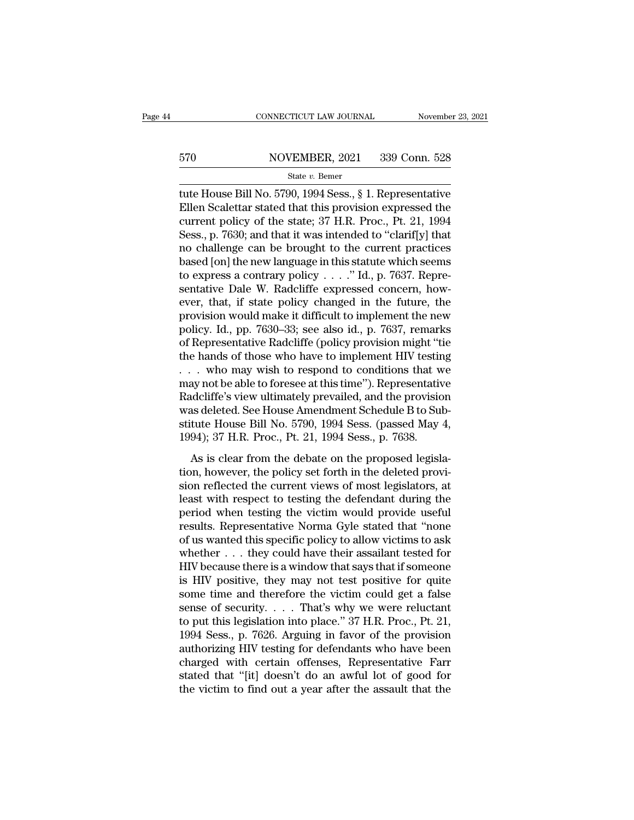# EXECUTE CONNECTICUT LAW JOURNAL Movember 23, 2021<br>570 NOVEMBER, 2021 339 Conn. 528<br>510 State v. Bemer

### State *v.* Bemer

CONNECTICUT LAW JOURNAL November 23, 2021<br>
State v. Bemer<br>
State v. Bemer<br>
Tute House Bill No. 5790, 1994 Sess., § 1. Representative<br>
Ellen Scalettar stated that this provision expressed the<br>
current policy of the state: Ellen Scalettar stated that this provision expressed the state policy of the state; 37 H.R. Proc., Pt. 21, 1994 570 NOVEMBER, 2021 339 Conn. 528<br>
State v. Bemer<br>
tute House Bill No. 5790, 1994 Sess., § 1. Representative<br>
Ellen Scalettar stated that this provision expressed the<br>
current policy of the state; 37 H.R. Proc., Pt. 21, 19 S70 NOVEMBER, 2021 339 Conn. 528<br>
State v. Bemer<br>
tute House Bill No. 5790, 1994 Sess., § 1. Representative<br>
Ellen Scalettar stated that this provision expressed the<br>
current policy of the state; 37 H.R. Proc., Pt. 21, 19 State v. Bemer<br>
state v. Bemer<br>
tute House Bill No. 5790, 1994 Sess., § 1. Representative<br>
Ellen Scalettar stated that this provision expressed the<br>
current policy of the state; 37 H.R. Proc., Pt. 21, 1994<br>
Sess., p. 7630 state v. Bemer<br>tute House Bill No. 5790, 1994 Sess., § 1. Representative<br>Ellen Scalettar stated that this provision expressed the<br>current policy of the state; 37 H.R. Proc., Pt. 21, 1994<br>Sess., p. 7630; and that it was in tute House Bill No. 5790, 1994 Sess., § 1. Representative<br>Ellen Scalettar stated that this provision expressed the<br>current policy of the state; 37 H.R. Proc., Pt. 21, 1994<br>Sess., p. 7630; and that it was intended to "clari Ellen Scalettar stated that this provision expressed the current policy of the state; 37 H.R. Proc., Pt. 21, 1994<br>Sess., p. 7630; and that it was intended to "clarif[y] that<br>no challenge can be brought to the current prac current policy of the state; 37 H.R. Proc., Pt. 21, 1994<br>Sess., p. 7630; and that it was intended to "clarif[y] that<br>no challenge can be brought to the current practices<br>based [on] the new language in this statute which s Sess., p. 7630; and that it was intended to "clarif[y] that<br>no challenge can be brought to the current practices<br>based [on] the new language in this statute which seems<br>to express a contrary policy  $\ldots$ ." Id., p. 7637. R no challenge can be brought to the current practices<br>based [on] the new language in this statute which seems<br>to express a contrary policy  $\ldots$ ." Id., p. 7637. Repre-<br>sentative Dale W. Radcliffe expressed concern, how-<br>ev based [on] the new language in this statute which seems<br>to express a contrary policy  $\ldots$ ." Id., p. 7637. Repre-<br>sentative Dale W. Radcliffe expressed concern, how-<br>ever, that, if state policy changed in the future, the<br> to express a contrary policy  $\ldots$ ." Id., p. 7637. Representative Dale W. Radcliffe expressed concern, however, that, if state policy changed in the future, the provision would make it difficult to implement the new polic sentative Dale W. Radcliffe expressed concern, how-<br>ever, that, if state policy changed in the future, the<br>provision would make it difficult to implement the new<br>policy. Id., pp. 7630–33; see also id., p. 7637, remarks<br>of ever, that, if state policy changed in the future, the<br>provision would make it difficult to implement the new<br>policy. Id., pp. 7630–33; see also id., p. 7637, remarks<br>of Representative Radcliffe (policy provision might "ti provision would make it difficult to implement the new<br>policy. Id., pp. 7630–33; see also id., p. 7637, remarks<br>of Representative Radcliffe (policy provision might "tie<br>the hands of those who have to implement HIV testing policy. Id., pp. 7630–33; see also id., p. 7637, remarks<br>of Representative Radcliffe (policy provision might "tie<br>the hands of those who have to implement HIV testing<br>... who may wish to respond to conditions that we<br>may of Representative Radcliffe (policy provision might "tie<br>the hands of those who have to implement HIV testing<br>... who may wish to respond to conditions that we<br>may not be able to foresee at this time"). Representative<br>Radc the hands of those who have to implement HIV testir<br>
. . . who may wish to respond to conditions that w<br>
may not be able to foresee at this time"). Representative<br>
Radcliffe's view ultimately prevailed, and the provision<br> As is clear from the debate on the proposed legisla-<br>As is clear from the provision<br>as deleted. See House Amendment Schedule B to Sub-<br>tute House Bill No. 5790, 1994 Sess. (passed May 4,<br>94); 37 H.R. Proc., Pt. 21, 1994 Se had the provident is the provident and the provision was deleted. See House Amendment Schedule B to Substitute House Bill No. 5790, 1994 Sess. (passed May 4, 1994); 37 H.R. Proc., Pt. 21, 1994 Sess., p. 7638.<br>As is clear f

reflected. See House Amendment Schedule B to Substitute House Bill No. 5790, 1994 Sess. (passed May 4, 1994); 37 H.R. Proc., Pt. 21, 1994 Sess., p. 7638.<br>As is clear from the debate on the proposed legislation, however, th mas detect. See Hodse Hinchannens Schedale D to Sabs<br>stitute House Bill No. 5790, 1994 Sess., p. 7638.<br>As is clear from the debate on the proposed legisla-<br>tion, however, the policy set forth in the deleted provi-<br>sion ref 1994); 37 H.R. Proc., Pt. 21, 1994 Sess., p. 7638.<br>
As is clear from the debate on the proposed legislation, however, the policy set forth in the deleted provision reflected the current views of most legislators, at least results. Representative Norma Gyle stated that "none of us wanted this specific policy set forth in the deleted provision reflected the current views of most legislators, at least with respect to testing the defendant duri As is clear from the debate on the proposed legislation, however, the policy set forth in the deleted provision reflected the current views of most legislators, at least with respect to testing the defendant during the pe tion, however, the policy set forth in the deleted provision reflected the current views of most legislators, at least with respect to testing the defendant during the period when testing the victim would provide useful re sion reflected the current views of most legislators, at<br>least with respect to testing the defendant during the<br>period when testing the victim would provide useful<br>results. Representative Norma Gyle stated that "none<br>of us least with respect to testing the defendant during the<br>period when testing the victim would provide useful<br>results. Representative Norma Gyle stated that "none<br>of us wanted this specific policy to allow victims to ask<br>whet period when testing the victim would provide useful<br>results. Representative Norma Gyle stated that "none<br>of us wanted this specific policy to allow victims to ask<br>whether . . . they could have their assailant tested for<br>H results. Representative Norma Gyle stated that "none<br>of us wanted this specific policy to allow victims to ask<br>whether . . . they could have their assailant tested for<br>HIV because there is a window that says that if someo of us wanted this specific policy to allow victims to ask<br>whether . . . they could have their assailant tested for<br>HIV because there is a window that says that if someone<br>is HIV positive, they may not test positive for qui whether . . . they could have their assailant tested for HIV because there is a window that says that if someone<br>is HIV positive, they may not test positive for quite<br>some time and therefore the victim could get a false<br>s HIV because there is a window that says that if someone<br>is HIV positive, they may not test positive for quite<br>some time and therefore the victim could get a false<br>sense of security.... That's why we were reluctant<br>to put is HIV positive, they may not test positive for quite<br>some time and therefore the victim could get a false<br>sense of security.... That's why we were reluctant<br>to put this legislation into place."  $37$  H.R. Proc., Pt. 21,<br>1 some time and therefore the victim could get a false<br>sense of security. . . . That's why we were reluctant<br>to put this legislation into place." 37 H.R. Proc., Pt. 21,<br>1994 Sess., p. 7626. Arguing in favor of the provision sense of security. . . . That's why we were reluctant<br>to put this legislation into place."  $37$  H.R. Proc., Pt. 21,<br>1994 Sess., p. 7626. Arguing in favor of the provision<br>authorizing HIV testing for defendants who have be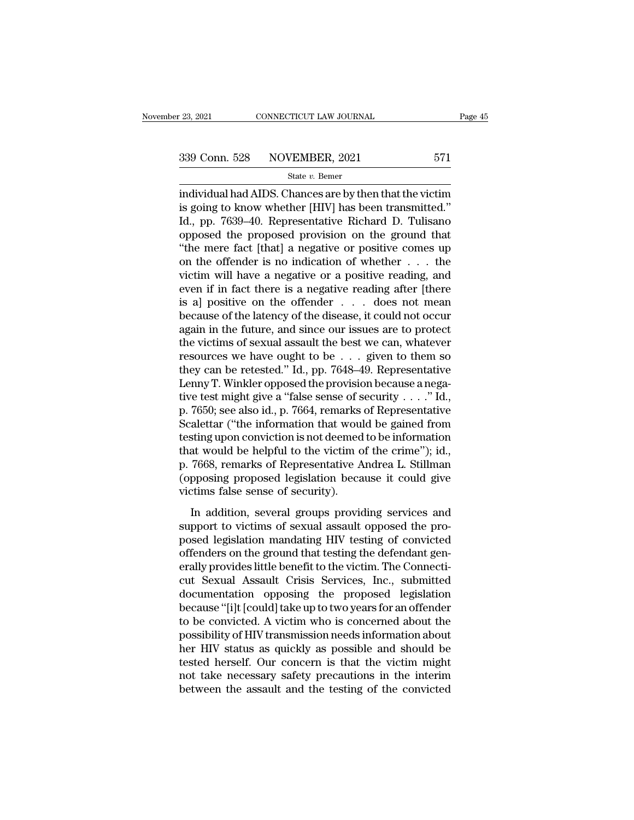<sup>23, 2021</sup> CONNECTICUT LAW JOURNAL Page 45<br>
339 Conn. 528 NOVEMBER, 2021 571<br>
<sup>339</sup> State v. Bemer<br>
individual had AIDS. Chances are by then that the victim<br>
is going to know whether [HIV] has been transmitted." 339 Conn. 528 NOVEMBER, 2021 571<br>
State  $v$ . Bemer<br>
individual had AIDS. Chances are by then that the victim<br>
is going to know whether [HIV] has been transmitted.''<br>
Id., pp. 7639–40. Representative Richard D. Tulisano<br>
o 339 Conn. 528 NOVEMBER, 2021 571<br>
State v. Bemer<br>
individual had AIDS. Chances are by then that the victim<br>
is going to know whether [HIV] has been transmitted."<br>
Id., pp. 7639–40. Representative Richard D. Tulisano<br>
oppo 339 Conn. 528 NOVEMBER, 2021 571<br>
State v. Bemer<br>
individual had AIDS. Chances are by then that the victim<br>
is going to know whether [HIV] has been transmitted."<br>
Id., pp. 7639–40. Representative Richard D. Tulisano<br>
oppo State v. Bemer<br>
State v. Bemer<br>
individual had AIDS. Chances are by then that the victim<br>
is going to know whether [HIV] has been transmitted."<br>
Id., pp. 7639–40. Representative Richard D. Tulisano<br>
opposed the proposed p state v. Bemer<br>
individual had AIDS. Chances are by then that the victim<br>
is going to know whether [HIV] has been transmitted."<br>
Id., pp. 7639–40. Representative Richard D. Tulisano<br>
opposed the proposed provision on the individual had AIDS. Chances are by then that the victim<br>is going to know whether [HIV] has been transmitted."<br>Id., pp. 7639–40. Representative Richard D. Tulisano<br>opposed the proposed provision on the ground that<br>"the mer is going to know whether [HIV] has been transmitted."<br>Id., pp. 7639–40. Representative Richard D. Tulisano<br>opposed the proposed provision on the ground that<br>"the mere fact [that] a negative or positive comes up<br>on the off Id., pp. 7639–40. Representative Richard D. Tulisano<br>opposed the proposed provision on the ground that<br>"the mere fact [that] a negative or positive comes up<br>on the offender is no indication of whether . . . the<br>victim wil % opposed the proposed provision on the ground that<br>"the mere fact [that] a negative or positive comes up<br>on the offender is no indication of whether  $\dots$  the<br>victim will have a negative or a positive reading, and<br>even if "the mere fact [that] a negative or positive comes up<br>on the offender is no indication of whether  $\dots$  the<br>victim will have a negative or a positive reading, and<br>even if in fact there is a negative reading after [there<br>is on the offender is no indication of whether  $\ldots$  the victim will have a negative or a positive reading, and even if in fact there is a negative reading after [there is a] positive on the offender  $\ldots$  does not mean beca victim will have a negative or a positive reading, and<br>even if in fact there is a negative reading after [there<br>is a] positive on the offender . . . does not mean<br>because of the latency of the disease, it could not occur<br> even if in fact there is a negative reading after [there is a] positive on the offender  $\ldots$  does not mean because of the latency of the disease, it could not occur again in the future, and since our issues are to protec is a] positive on the offender . . . does not mean<br>because of the latency of the disease, it could not occur<br>again in the future, and since our issues are to protect<br>the victims of sexual assault the best we can, whatever because of the latency of the disease, it could not occur<br>again in the future, and since our issues are to protect<br>the victims of sexual assault the best we can, whatever<br>resources we have ought to be . . . . given to the again in the future, and since our issues are to protect<br>the victims of sexual assault the best we can, whatever<br>resources we have ought to be  $\ldots$  given to them so<br>they can be retested." Id., pp. 7648–49. Representative the victims of sexual assault the best we can, whatever<br>resources we have ought to be . . . given to them so<br>they can be retested." Id., pp. 7648–49. Representative<br>Lenny T. Winkler opposed the provision because a nega-<br>t resources we have ought to be . . . given to them so<br>they can be retested." Id., pp. 7648–49. Representative<br>Lenny T. Winkler opposed the provision because a nega-<br>tive test might give a "false sense of security . . . ." they can be retested." Id., pp. 7648–49. Representative<br>Lenny T. Winkler opposed the provision because a nega-<br>tive test might give a "false sense of security  $\ldots$ ." Id.,<br>p. 7650; see also id., p. 7664, remarks of Repres Lenny T. Winkler opposed the provision because a negative test might give a "false sense of security  $\ldots$ ." Id., p. 7650; see also id., p. 7664, remarks of Representative Scalettar ("the information that would be gained tive test might give a "false sense of security  $\dots$ " Id.,<br>p. 7650; see also id., p. 7664, remarks of Representative<br>Scalettar ("the information that would be gained from<br>testing upon conviction is not deemed to be inform p. 7650; see also id., p. 7664, remarks<br>Scalettar ("the information that woul<br>testing upon conviction is not deemed<br>that would be helpful to the victim o<br>p. 7668, remarks of Representative A<br>(opposing proposed legislation Mostling upon conviction is not deemed to be information<br>at would be helpful to the victim of the crime"); id.,<br>7668, remarks of Representative Andrea L. Stillman<br>pposing proposed legislation because it could give<br>tims fal substituted in the victims of sexual associated to search that would be helpful to the victim of the crime"); id., p. 7668, remarks of Representative Andrea L. Stillman (opposing proposed legislation because it could give

posed legislation because it could give<br>posed legislation because it could give<br>victims false sense of security).<br>In addition, several groups providing services and<br>support to victims of sexual assault opposed the pro-<br>pos (opposing proposed legislation because it could give<br>victims false sense of security).<br>In addition, several groups providing services and<br>support to victims of sexual assault opposed the pro-<br>posed legislation mandating HI erally proposed registrator sectation is count give<br>
in addition, several groups providing services and<br>
support to victims of sexual assault opposed the pro-<br>
posed legislation mandating HIV testing of convicted<br>
offender In addition, several groups providing services and<br>support to victims of sexual assault opposed the pro-<br>posed legislation mandating HIV testing of convicted<br>offenders on the ground that testing the defendant gen-<br>erally p In addition, several groups providing services and<br>support to victims of sexual assault opposed the pro-<br>posed legislation mandating HIV testing of convicted<br>offenders on the ground that testing the defendant gen-<br>erally p support to victims of sexual assault opposed the proposed legislation mandating HIV testing of convicted<br>offenders on the ground that testing the defendant generally provides little benefit to the victim. The Connecti-<br>cut posed legislation mandating HIV testing of convicted<br>offenders on the ground that testing the defendant gen-<br>erally provides little benefit to the victim. The Connecti-<br>cut. Sexual. Assault. Crisis. Services, Inc., submitt offenders on the ground that testing the defendant generally provides little benefit to the victim. The Connecticut<br>cut Sexual Assault Crisis Services, Inc., submitted<br>documentation opposing the proposed legislation<br>becaus erally provides little benefit to the victim. The Connecticut<br>cut Sexual Assault Crisis Services, Inc., submitted<br>documentation opposing the proposed legislation<br>because "[i]t [could] take up to two years for an offender<br>t cut Sexual Assault Crisis Services, Inc., submitted<br>documentation opposing the proposed legislation<br>because "[i]t [could] take up to two years for an offender<br>to be convicted. A victim who is concerned about the<br>possibilit documentation opposing the proposed legislation<br>because "[i]t [could] take up to two years for an offender<br>to be convicted. A victim who is concerned about the<br>possibility of HIV transmission needs information about<br>her HI because "[i]t [could] take up to two years for an offender<br>to be convicted. A victim who is concerned about the<br>possibility of HIV transmission needs information about<br>her HIV status as quickly as possible and should be<br>te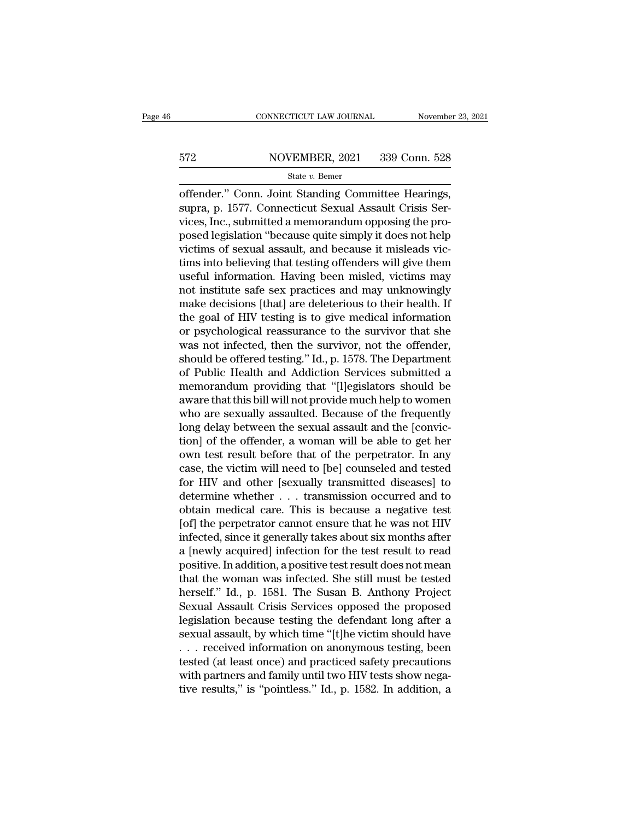# EXECUTE CONNECTICUT LAW JOURNAL Movember 23, 2021<br>572 NOVEMBER, 2021 339 Conn. 528<br>539 State v. Bemer

### State *v.* Bemer

CONNECTICUT LAW JOURNAL November 23, 2<br>
State v. Bemer<br>
State v. Bemer<br>
Standing Committee Hearings,<br>
Supra, p. 1577. Connecticut Sexual Assault Crisis Services Inc. when the memorial memorial theory ST2 NOVEMBER, 2021 339 Conn. 528<br>
State v. Bemer<br>
offender." Conn. Joint Standing Committee Hearings,<br>
supra, p. 1577. Connecticut Sexual Assault Crisis Ser-<br>
vices, Inc., submitted a memorandum opposing the pro- $\begin{array}{r} \text{572} & \text{NOVEMBER, 2021} & \text{339 Conn. 528} \\ \text{State } v. \text{ Bemer} \end{array}$ <br>
offender." Conn. Joint Standing Committee Hearings, supra, p. 1577. Connecticut Sexual Assault Crisis Services, Inc., submitted a memorandum opposing the p 572 NOVEMBER, 2021 339 Conn. 528<br>
State v. Bemer<br>
offender." Conn. Joint Standing Committee Hearings,<br>
supra, p. 1577. Connecticut Sexual Assault Crisis Services, Inc., submitted a memorandum opposing the pro-<br>
posed legi State v. Bemer<br>
offender." Conn. Joint Standing Committee Hearings,<br>
supra, p. 1577. Connecticut Sexual Assault Crisis Ser-<br>
vices, Inc., submitted a memorandum opposing the pro-<br>
posed legislation "because quite simply i siate  $v$ . Bellier<br>
offender." Conn. Joint Standing Committee Hearings,<br>
supra, p. 1577. Connecticut Sexual Assault Crisis Ser-<br>
vices, Inc., submitted a memorandum opposing the pro-<br>
posed legislation "because quite simp offender." Conn. Joint Standing Committee Hearings,<br>supra, p. 1577. Connecticut Sexual Assault Crisis Ser-<br>vices, Inc., submitted a memorandum opposing the pro-<br>posed legislation "because quite simply it does not help<br>vict supra, p. 1577. Connecticut Sexual Assault Crisis Services, Inc., submitted a memorandum opposing the proposed legislation "because quite simply it does not help victims of sexual assault, and because it misleads victims i vices, Inc., submitted a memorandum opposing the pro-<br>posed legislation "because quite simply it does not help<br>victims of sexual assault, and because it misleads vic-<br>tims into believing that testing offenders will give th posed legislation "because quite simply it does not help<br>victims of sexual assault, and because it misleads vic-<br>tims into believing that testing offenders will give them<br>useful information. Having been misled, victims may victims of sexual assault, and because it misleads victims into believing that testing offenders will give them<br>useful information. Having been misled, victims may<br>not institute safe sex practices and may unknowingly<br>make tims into believing that testing offenders will give them<br>useful information. Having been misled, victims may<br>not institute safe sex practices and may unknowingly<br>make decisions [that] are deleterious to their health. If<br>t useful information. Having been misled, victims may<br>not institute safe sex practices and may unknowingly<br>make decisions [that] are deleterious to their health. If<br>the goal of HIV testing is to give medical information<br>or p not institute safe sex practices and may unknowingly<br>make decisions [that] are deleterious to their health. If<br>the goal of HIV testing is to give medical information<br>or psychological reassurance to the survivor that she<br>wa make decisions [that] are deleterious to their health. If<br>the goal of HIV testing is to give medical information<br>or psychological reassurance to the survivor that she<br>was not infected, then the survivor, not the offender,<br> the goal of HIV testing is to give medical information<br>or psychological reassurance to the survivor that she<br>was not infected, then the survivor, not the offender,<br>should be offered testing." Id., p. 1578. The Department<br>o or psychological reassurance to the survivor that she<br>was not infected, then the survivor, not the offender,<br>should be offered testing." Id., p. 1578. The Department<br>of Public Health and Addiction Services submitted a<br>memo was not infected, then the survivor, not the offender,<br>should be offered testing." Id., p. 1578. The Department<br>of Public Health and Addiction Services submitted a<br>memorandum providing that "[l]egislators should be<br>aware t should be offered testing." Id., p. 1578. The Department<br>of Public Health and Addiction Services submitted a<br>memorandum providing that "[l]egislators should be<br>aware that this bill will not provide much help to women<br>who a of Public Health and Addiction Services submitted a<br>memorandum providing that "[l]egislators should be<br>aware that this bill will not provide much help to women<br>who are sexually assaulted. Because of the frequently<br>long del memorandum providing that "[l]egislators should be<br>aware that this bill will not provide much help to women<br>who are sexually assaulted. Because of the frequently<br>long delay between the sexual assault and the [convic-<br>tion] aware that this bill will not provide much help to women<br>who are sexually assaulted. Because of the frequently<br>long delay between the sexual assault and the [convic-<br>tion] of the offender, a woman will be able to get her<br>o who are sexually assaulted. Because of the frequently<br>long delay between the sexual assault and the [convic-<br>tion] of the offender, a woman will be able to get her<br>own test result before that of the perpetrator. In any<br>cas long delay between the sexual assault and the [conviction] of the offender, a woman will be able to get her own test result before that of the perpetrator. In any case, the victim will need to [be] counseled and tested for tion] of the offender, a woman will be able to get her<br>own test result before that of the perpetrator. In any<br>case, the victim will need to [be] counseled and tested<br>for HIV and other [sexually transmitted diseases] to<br>det own test result before that of the perpetrator. In any<br>case, the victim will need to [be] counseled and tested<br>for HIV and other [sexually transmitted diseases] to<br>determine whether . . . transmission occurred and to<br>obtai case, the victim will need to [be] counseled and tested<br>for HIV and other [sexually transmitted diseases] to<br>determine whether  $\ldots$  transmission occurred and to<br>obtain medical care. This is because a negative test<br>[of] t for HIV and other [sexually transmitted diseases] to<br>determine whether  $\ldots$  transmission occurred and to<br>obtain medical care. This is because a negative test<br>[of] the perpetrator cannot ensure that he was not HIV<br>infecte determine whether . . . transmission occurred and to<br>obtain medical care. This is because a negative test<br>[of] the perpetrator cannot ensure that he was not HIV<br>infected, since it generally takes about six months after<br>a [ obtain medical care. This is because a negative test<br>[of] the perpetrator cannot ensure that he was not HIV<br>infected, since it generally takes about six months after<br>a [newly acquired] infection for the test result to read [of] the perpetrator cannot ensure that he was not HIV<br>infected, since it generally takes about six months after<br>a [newly acquired] infection for the test result to read<br>positive. In addition, a positive test result does n infected, since it generally takes about six months after<br>a [newly acquired] infection for the test result to read<br>positive. In addition, a positive test result does not mean<br>that the woman was infected. She still must be a [newly acquired] infection for the test result to read<br>positive. In addition, a positive test result does not mean<br>that the woman was infected. She still must be tested<br>herself." Id., p. 1581. The Susan B. Anthony Projec positive. In addition, a positive test result does not mean<br>that the woman was infected. She still must be tested<br>herself." Id., p. 1581. The Susan B. Anthony Project<br>Sexual Assault Crisis Services opposed the proposed<br>leg that the woman was infected. She still must be tested<br>herself." Id., p. 1581. The Susan B. Anthony Project<br>Sexual Assault Crisis Services opposed the proposed<br>legislation because testing the defendant long after a<br>sexual a herself." Id., p. 1581. The Susan B. Anthony Project<br>Sexual Assault Crisis Services opposed the proposed<br>legislation because testing the defendant long after a<br>sexual assault, by which time "[t]he victim should have<br>... re Sexual Assault Crisis Services opposed the proposed<br>legislation because testing the defendant long after a<br>sexual assault, by which time "[t]he victim should have<br>... received information on anonymous testing, been<br>tested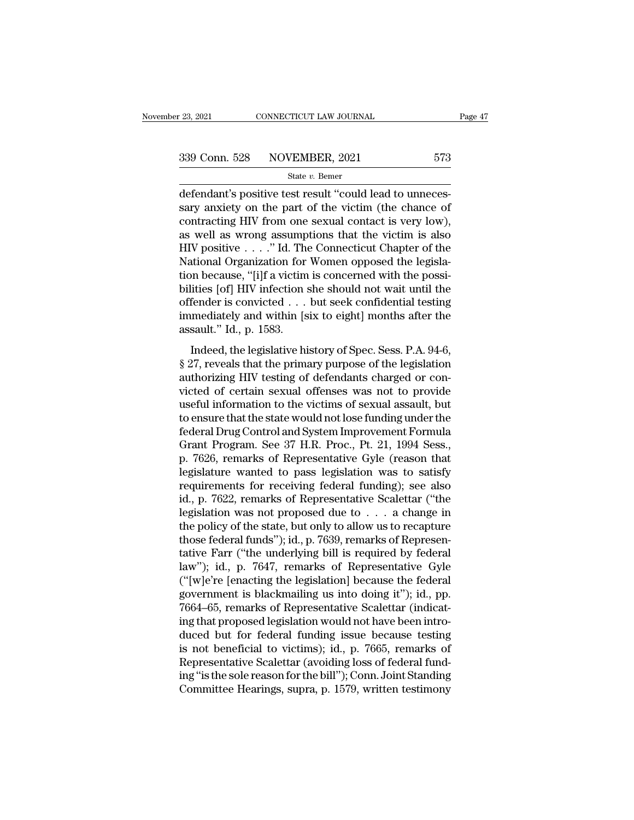$\begin{array}{ccc}\n \text{23, 2021} & \text{CONNETICUT LAW JOURNAL}\n \hline\n 339 \text{ Conn. } 528 & \text{NOVEMBER, } 2021 & 573 \\
 \text{State } v. \text{ Bemer}\n \end{array}$ defendant's positive test result "could lead to unneces-<br>
sary anxiety on the part of the victim (the chance of contracting H 339 Conn. 528 NOVEMBER, 2021 573<br>
State  $v$ . Bemer<br>
defendant's positive test result "could lead to unneces-<br>
sary anxiety on the part of the victim (the chance of<br>
contracting HIV from one sexual contact is very low),<br>
a 339 Conn. 528 NOVEMBER, 2021 573<br>
State v. Bemer<br>
defendant's positive test result "could lead to unneces-<br>
sary anxiety on the part of the victim (the chance of<br>
contracting HIV from one sexual contact is very low),<br>
as 339 Conn. 528 NOVEMBER, 2021 573<br>
State v. Bemer<br>
defendant's positive test result "could lead to unneces-<br>
sary anxiety on the part of the victim (the chance of<br>
contracting HIV from one sexual contact is very low),<br>
as State v. Bemer<br>
defendant's positive test result "could lead to unneces-<br>
sary anxiety on the part of the victim (the chance of<br>
contracting HIV from one sexual contact is very low),<br>
as well as wrong assumptions that the State v. Bemer<br>defendant's positive test result "could lead to unneces-<br>sary anxiety on the part of the victim (the chance of<br>contracting HIV from one sexual contact is very low),<br>as well as wrong assumptions that the vic defendant's positive test result "could lead to unnecessary anxiety on the part of the victim (the chance of contracting HIV from one sexual contact is very low), as well as wrong assumptions that the victim is also HIV po sary anxiety on the part of the victim (the chance of contracting HIV from one sexual contact is very low), as well as wrong assumptions that the victim is also HIV positive  $\ldots$ ." Id. The Connecticut Chapter of the Nati contracting HIV from one sexual contact is very low),<br>as well as wrong assumptions that the victim is also<br>HIV positive . . . ." Id. The Connecticut Chapter of the<br>National Organization for Women opposed the legisla-<br>tion as well as wrong assumptions that the victim is also<br>HIV positive . . . ." Id. The Connecticut Chapter of the<br>National Organization for Women opposed the legisla-<br>tion because, "[i]f a victim is concerned with the possi-<br> HIV positive . . . ." Id. The<br>National Organization for<br>tion because, "[i]f a victim<br>bilities [of] HIV infection s<br>offender is convicted . . .<br>immediately and within [s<br>assault." Id., p. 1583.<br>Indeed, the legislative hi Indeed, the legislation is the should not wait the possi-<br>
ities [of] HIV infection she should not wait until the<br>
fender is convicted . . . but seek confidential testing<br>
mediately and within [six to eight] months after t figures and the priorities of HIV infection she should not wait until the offender is convicted . . . but seek confidential testing immediately and within [six to eight] months after the assault." Id., p. 1583.<br>Indeed, th

binded for the should not want and are<br>offender is convicted . . . but seek confidential testing<br>immediately and within [six to eight] months after the<br>assault." Id., p. 1583.<br>Indeed, the legislative history of Spec. Sess immediately and within [six to eight] months after the<br>assault." Id., p. 1583.<br>Indeed, the legislative history of Spec. Sess. P.A. 94-6,<br>§ 27, reveals that the primary purpose of the legislation<br>authorizing HIV testing of minedately and whill find to eight] moments anter are<br>assault." Id., p. 1583.<br>Sexual information to the victims of the legislation<br>authorizing HIV testing of defendants charged or con-<br>victed of certain sexual offenses was Indeed, the legislative history of Spec. Sess. P.A. 94-6,<br>
§ 27, reveals that the primary purpose of the legislation<br>
authorizing HIV testing of defendants charged or con-<br>
victed of certain sexual offenses was not to pro Indeed, the legislative history of Spec. Sess. P.A. 94-6,<br>§ 27, reveals that the primary purpose of the legislation<br>authorizing HIV testing of defendants charged or con-<br>victed of certain sexual offenses was not to provide § 27, reveals that the primary purpose of the legislation<br>authorizing HIV testing of defendants charged or con-<br>victed of certain sexual offenses was not to provide<br>useful information to the victims of sexual assault, but<br> authorizing HIV testing of defendants charged or convicted of certain sexual offenses was not to provide<br>useful information to the victims of sexual assault, but<br>to ensure that the state would not lose funding under the<br>fe victed of certain sexual offenses was not to provide<br>useful information to the victims of sexual assault, but<br>to ensure that the state would not lose funding under the<br>federal Drug Control and System Improvement Formula<br>Gr useful information to the victims of sexual assault, but<br>to ensure that the state would not lose funding under the<br>federal Drug Control and System Improvement Formula<br>Grant Program. See 37 H.R. Proc., Pt. 21, 1994 Sess.,<br>p to ensure that the state would not lose funding under the<br>federal Drug Control and System Improvement Formula<br>Grant Program. See 37 H.R. Proc., Pt. 21, 1994 Sess.,<br>p. 7626, remarks of Representative Gyle (reason that<br>legis federal Drug Control and System Improvement Formula<br>Grant Program. See 37 H.R. Proc., Pt. 21, 1994 Sess.,<br>p. 7626, remarks of Representative Gyle (reason that<br>legislature wanted to pass legislation was to satisfy<br>requireme Grant Program. See 37 H.R. Proc., Pt. 21, 1994 Sess.,<br>p. 7626, remarks of Representative Gyle (reason that<br>legislature wanted to pass legislation was to satisfy<br>requirements for receiving federal funding); see also<br>id., p. p. 7626, remarks of Representative Gyle (reason that legislature wanted to pass legislation was to satisfy requirements for receiving federal funding); see also id., p. 7622, remarks of Representative Scalettar ("the legi legislature wanted to pass legislation was to satisfy<br>requirements for receiving federal funding); see also<br>id., p. 7622, remarks of Representative Scalettar ("the<br>legislation was not proposed due to . . . a change in<br>the requirements for receiving federal funding); see also<br>id., p. 7622, remarks of Representative Scalettar ("the<br>legislation was not proposed due to  $\dots$  a change in<br>the policy of the state, but only to allow us to recapture id., p. 7622, remarks of Representative Scalettar ("the legislation was not proposed due to  $\ldots$  a change in the policy of the state, but only to allow us to recapture those federal funds"); id., p. 7639, remarks of Repr legislation was not proposed due to . . . . a change in<br>the policy of the state, but only to allow us to recapture<br>those federal funds"); id., p. 7639, remarks of Represen-<br>tative Farr ("the underlying bill is required by the policy of the state, but only to allow us to recapture<br>those federal funds"); id., p. 7639, remarks of Represen-<br>tative Farr ("the underlying bill is required by federal<br>law"); id., p. 7647, remarks of Representative G those federal funds"); id., p. 7639, remarks of Representative Farr ("the underlying bill is required by federal law"); id., p. 7647, remarks of Representative Gyle ("[w]e're [enacting the legislation] because the federal tative Farr ("the underlying bill is required by federal<br>law"); id., p. 7647, remarks of Representative Gyle<br>("[w]e're [enacting the legislation] because the federal<br>government is blackmailing us into doing it"); id., pp.<br> law"); id., p. 7647, remarks of Representative Gyle<br>("[w]e're [enacting the legislation] because the federal<br>government is blackmailing us into doing it"); id., pp.<br>7664–65, remarks of Representative Scalettar (indicat-<br>in ("[w]e're [enacting the legislation] because the federal government is blackmailing us into doing it"); id., pp. 7664–65, remarks of Representative Scalettar (indicating that proposed legislation would not have been intro government is blackmailing us into doing it"); id., pp.<br>7664–65, remarks of Representative Scalettar (indicating that proposed legislation would not have been intro-<br>duced but for federal funding issue because testing<br>is n 7664–65, remarks of Representative Scalettar (indicating that proposed legislation would not have been introduced but for federal funding issue because testing is not beneficial to victims); id., p. 7665, remarks of Repres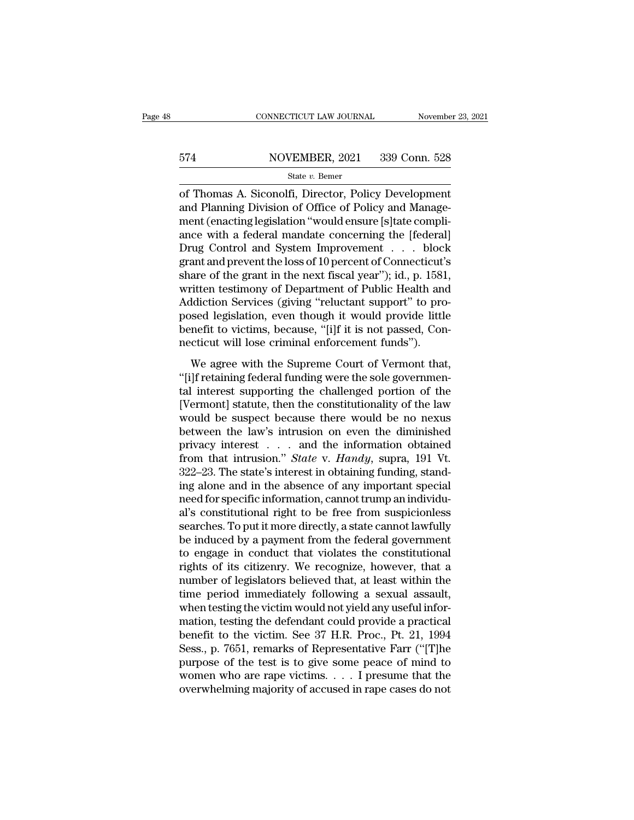# EXECUTE CONNECTICUT LAW JOURNAL Movember 23, 2021<br>574 NOVEMBER, 2021 339 Conn. 528<br>534 State v. Bemer

### State *v.* Bemer

CONNECTICUT LAW JOURNAL November 23, 202<br>
State v. Bemer<br>
State v. Bemer<br>
State v. Bemer<br>
Director, Policy Development<br>
and Planning Division of Office of Policy and Management (ongeting logislation "would one list to comp 574 NOVEMBER, 2021 339 Conn. 528<br>
State v. Bemer<br>
of Thomas A. Siconolfi, Director, Policy Development<br>
and Planning Division of Office of Policy and Manage-<br>
ment (enacting legislation "would ensure [s] tate compli-<br>
ango  $\frac{\text{574}}{\text{State } v. \text{ Bemer}}$ <br>
of Thomas A. Siconolfi, Director, Policy Development<br>
and Planning Division of Office of Policy and Manage-<br>
ment (enacting legislation "would ensure [s]tate compli-<br>
ance with a federal mandate  $\frac{\text{574}}{\text{State } v. \text{ Bemer}}$ <br>  $\frac{\text{State } v. \text{ Bemer}}{\text{of Thomas A. Siconolfi, Director, Policy Development}}$ <br>
and Planning Division of Office of Policy and Management (enacting legislation "would ensure [s]tate compli-<br>
ance with a federal mandate concerning the [feder State v. Bemer<br>
State v. Bemer<br>
Of Thomas A. Siconolfi, Director, Policy Development<br>
and Planning Division of Office of Policy and Manage-<br>
ment (enacting legislation "would ensure [s]tate compli-<br>
ance with a federal ma state v. Bemer<br>
of Thomas A. Siconolfi, Director, Policy Development<br>
and Planning Division of Office of Policy and Manage-<br>
ment (enacting legislation "would ensure [s]tate compli-<br>
ance with a federal mandate concerning of Thomas A. Siconolfi, Director, Policy Development<br>and Planning Division of Office of Policy and Manage-<br>ment (enacting legislation "would ensure [s]tate compli-<br>ance with a federal mandate concerning the [federal]<br>Drug and Planning Division of Office of Policy and Management (enacting legislation "would ensure [s]tate compli-<br>ance with a federal mandate concerning the [federal]<br>Drug Control and System Improvement . . . . block<br>grant and ment (enacting legislation "would ensure [s]tate compli-<br>ance with a federal mandate concerning the [federal]<br>Drug Control and System Improvement . . . . block<br>grant and prevent the loss of 10 percent of Connecticut's<br>shar ance with a federal mandate concerning the [federal]<br>Drug Control and System Improvement . . . block<br>grant and prevent the loss of 10 percent of Connecticut's<br>share of the grant in the next fiscal year"); id., p. 1581,<br>wri Drug Control and System Improvement . . . block<br>grant and prevent the loss of 10 percent of Connecticut's<br>share of the grant in the next fiscal year"); id., p. 1581,<br>written testimony of Department of Public Health and<br>Add grant and prevent the loss of 10 percent of Connecticut'<br>share of the grant in the next fiscal year"); id., p. 1581<br>written testimony of Department of Public Health and<br>Addiction Services (giving "reluctant support" to pro The Supreme Court of Public Health and<br>itten testimony of Department of Public Health and<br>ddiction Services (giving "reluctant support" to pro-<br>sed legislation, even though it would provide little<br>mefit to victims, because Mitter testinony of Deptational of 1 astic frediat and<br>Addiction Services (giving "reluctant support" to pro-<br>posed legislation, even though it would provide little<br>benefit to victims, because, "[i]f it is not passed, Con-

Tradicator Services (gring Teratedari Support to pro<br>posed legislation, even though it would provide little<br>benefit to victims, because, "[i]f it is not passed, Con-<br>necticut will lose criminal enforcement funds").<br>We agre benefit to victims, because, "[i]f it is not passed, Connecticut will lose criminal enforcement funds").<br>We agree with the Supreme Court of Vermont that,<br>"[i]f retaining federal funding were the sole governmen-<br>tal interes would be criminal enforcement funds").<br>We agree with the Supreme Court of Vermont that,<br>"[i]f retaining federal funding were the sole governmen-<br>tal interest supporting the challenged portion of the<br>[Vermont] statute, then We agree with the Supreme Court of Vermont that,<br>"[i]f retaining federal funding were the sole governmental interest supporting the challenged portion of the<br>[Vermont] statute, then the constitutionality of the law<br>would We agree with the Supreme Court of Vermont that,<br>"[i]f retaining federal funding were the sole governmental interest supporting the challenged portion of the<br>[Vermont] statute, then the constitutionality of the law<br>would "[i]f retaining federal funding were the sole governmental interest supporting the challenged portion of the [Vermont] statute, then the constitutionality of the law would be suspect because there would be no nexus between tal interest supporting the challenged portion of the [Vermont] statute, then the constitutionality of the law would be suspect because there would be no nexus between the law's intrusion on even the diminished privacy in [Vermont] statute, then the constitutionality of the law<br>would be suspect because there would be no nexus<br>between the law's intrusion on even the diminished<br>privacy interest . . . and the information obtained<br>from that in would be suspect because there would be no nexus<br>between the law's intrusion on even the diminished<br>privacy interest  $\ldots$  and the information obtained<br>from that intrusion." *State* v. *Handy*, supra, 191 Vt.<br>322–23. The between the law's intrusion on even the diminished<br>privacy interest  $\ldots$  and the information obtained<br>from that intrusion." *State* v. *Handy*, supra, 191 Vt.<br>322–23. The state's interest in obtaining funding, stand-<br>ing privacy interest . . . . and the information obtained<br>from that intrusion." *State* v. *Handy*, supra, 191 Vt.<br>322–23. The state's interest in obtaining funding, stand-<br>ing alone and in the absence of any important special from that intrusion." *State* v. *Handy*, supra, 191 Vt.<br>322–23. The state's interest in obtaining funding, stand-<br>ing alone and in the absence of any important special<br>need for specific information, cannot trump an indiv 322–23. The state's interest in obtaining funding, standing alone and in the absence of any important special<br>need for specific information, cannot trump an individual's constitutional right to be free from suspicionless<br>s ing alone and in the absence of any important special<br>need for specific information, cannot trump an individu-<br>al's constitutional right to be free from suspicionless<br>searches. To put it more directly, a state cannot lawfu need for specific information, cannot trump an individual's constitutional right to be free from suspicionless<br>searches. To put it more directly, a state cannot lawfully<br>be induced by a payment from the federal government<br> al's constitutional right to be free from suspicionless<br>searches. To put it more directly, a state cannot lawfully<br>be induced by a payment from the federal government<br>to engage in conduct that violates the constitutional<br>r searches. To put it more directly, a state cannot lawfully<br>be induced by a payment from the federal government<br>to engage in conduct that violates the constitutional<br>rights of its citizenry. We recognize, however, that a<br>n be induced by a payment from the federal government<br>to engage in conduct that violates the constitutional<br>rights of its citizenry. We recognize, however, that a<br>number of legislators believed that, at least within the<br>time to engage in conduct that violates the constitutional<br>rights of its citizenry. We recognize, however, that a<br>number of legislators believed that, at least within the<br>time period immediately following a sexual assault,<br>when rights of its citizenry. We recognize, however, that a<br>number of legislators believed that, at least within the<br>time period immediately following a sexual assault,<br>when testing the victim would not yield any useful infor-<br> number of legislators believed that, at least within the<br>time period immediately following a sexual assault,<br>when testing the victim would not yield any useful infor-<br>mation, testing the defendant could provide a practical time period immediately following a sexual assault,<br>when testing the victim would not yield any useful infor-<br>mation, testing the defendant could provide a practical<br>benefit to the victim. See 37 H.R. Proc., Pt. 21, 1994<br> when testing the victim would not yield any useful information, testing the defendant could provide a practical<br>benefit to the victim. See 37 H.R. Proc., Pt. 21, 1994<br>Sess., p. 7651, remarks of Representative Farr ("[T]he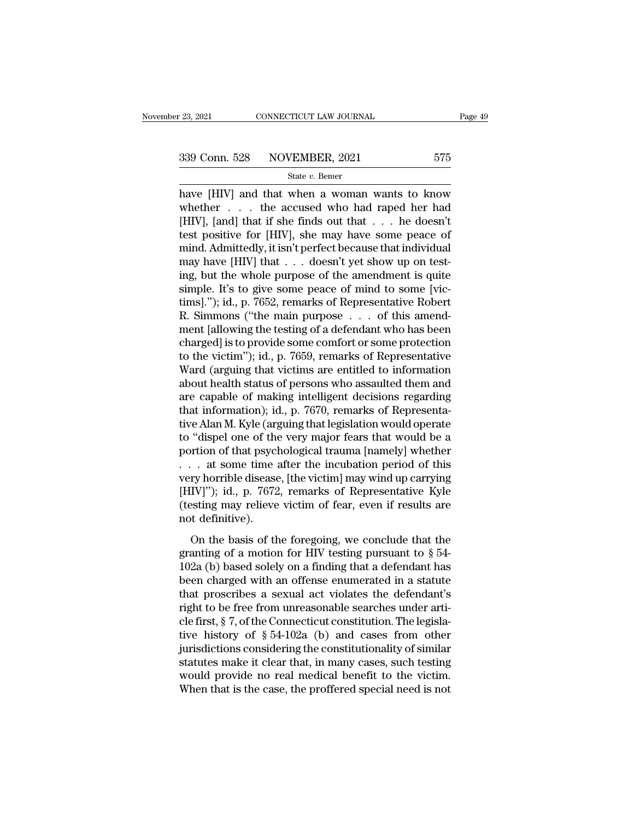<sup>23, 2021</sup> CONNECTICUT LAW JOURNAL Page 49<br>
239 Conn. 528 NOVEMBER, 2021 575<br>
<sup>23</sup> State v. Bemer<br>
have [HIV] and that when a woman wants to know<br>
whether . . . the accused who had raped her had<br>
2021 339 Conn. 528 NOVEMBER, 2021 575<br>
State v. Bemer<br>
have [HIV] and that when a woman wants to know<br>
whether ... the accused who had raped her had<br>
[HIV], [and] that if she finds out that ... he doesn't<br>
test positive for  $[H$ 339 Conn. 528 NOVEMBER, 2021 575<br>
State v. Bemer<br>
have [HIV] and that when a woman wants to know<br>
whether . . . the accused who had raped her had<br>
[HIV], [and] that if she finds out that . . . he doesn't<br>
test positive fo 339 Conn. 528 NOVEMBER, 2021 575<br>
State v. Bemer<br>
have [HIV] and that when a woman wants to know<br>
whether . . . the accused who had raped her had<br>
[HIV], [and] that if she finds out that . . . he doesn't<br>
test positive fo State v. Bemer<br>
State v. Bemer<br>
have [HIV] and that when a woman wants to know<br>
whether . . . the accused who had raped her had<br>
[HIV], [and] that if she finds out that . . . he doesn't<br>
test positive for [HIV], she may h state v. Bemer<br>have [HIV] and that when a woman wants to know<br>whether . . . the accused who had raped her had<br>[HIV], [and] that if she finds out that . . . he doesn't<br>test positive for [HIV], she may have some peace of<br>mi have [HIV] and that when a woman wants to know<br>whether . . . the accused who had raped her had<br>[HIV], [and] that if she finds out that . . . he doesn't<br>test positive for [HIV], she may have some peace of<br>mind. Admittedly, whether  $\ldots$  the accused who had raped her had [HIV], [and] that if she finds out that  $\ldots$  he doesn't test positive for [HIV], she may have some peace of mind. Admittedly, it isn't perfect because that individual may h [HIV], [and] that if she finds out that . . . he doesn't<br>test positive for [HIV], she may have some peace of<br>mind. Admittedly, it isn't perfect because that individual<br>may have [HIV] that . . . doesn't yet show up on testtest positive for [HIV], she may have some peace of<br>mind. Admittedly, it isn't perfect because that individual<br>may have [HIV] that  $\ldots$  doesn't yet show up on test-<br>ing, but the whole purpose of the amendment is quite<br>si mind. Admittedly, it isn't perfect because that individual<br>may have [HIV] that . . . doesn't yet show up on test-<br>ing, but the whole purpose of the amendment is quite<br>simple. It's to give some peace of mind to some [vic-<br> may have [HIV] that  $\ldots$  doesn't yet show up on test-<br>ing, but the whole purpose of the amendment is quite<br>simple. It's to give some peace of mind to some [vic-<br>tims]."); id., p. 7652, remarks of Representative Robert<br>R. ing, but the whole purpose of the amendment is quite<br>simple. It's to give some peace of mind to some [vic-<br>tims]."); id., p. 7652, remarks of Representative Robert<br>R. Simmons ("the main purpose . . . of this amend-<br>ment [a simple. It's to give some peace of mind to some [victims]."); id., p. 7652, remarks of Representative Robert R. Simmons ("the main purpose  $\ldots$  of this amendment [allowing the testing of a defendant who has been charged] tims]."); id., p. 7652, remarks of Representative Robert<br>R. Simmons ("the main purpose  $\ldots$  of this amend-<br>ment [allowing the testing of a defendant who has been<br>charged] is to provide some comfort or some protection<br>to R. Simmons ("the main purpose  $\ldots$  of this amend-<br>ment [allowing the testing of a defendant who has been<br>charged] is to provide some comfort or some protection<br>to the victim"); id., p. 7659, remarks of Representative<br>War ment [allowing the testing of a defendant who has been<br>charged] is to provide some comfort or some protection<br>to the victim''); id., p. 7659, remarks of Representative<br>Ward (arguing that victims are entitled to information charged] is to provide some comfort or some protection<br>to the victim"); id., p. 7659, remarks of Representative<br>Ward (arguing that victims are entitled to information<br>about health status of persons who assaulted them and<br>a to the victim"); id., p. 7659, remarks of Representative<br>Ward (arguing that victims are entitled to information<br>about health status of persons who assaulted them and<br>are capable of making intelligent decisions regarding<br>th Ward (arguing that victims are entitled to information<br>about health status of persons who assaulted them and<br>are capable of making intelligent decisions regarding<br>that information); id., p. 7670, remarks of Representa-<br>ti about health status of persons who assaulted them and<br>are capable of making intelligent decisions regarding<br>that information); id., p. 7670, remarks of Representa-<br>tive Alan M. Kyle (arguing that legislation would operate are capable of making intelligent decisions regarding<br>that information); id., p. 7670, remarks of Representa-<br>tive Alan M. Kyle (arguing that legislation would operate<br>to "dispel one of the very major fears that would be a that information); id., p. 7670, remarks of Representative Alan M. Kyle (arguing that legislation would operate<br>to "dispel one of the very major fears that would be a<br>portion of that psychological trauma [namely] whether<br>. tive Alan M. Kyle (arguing that legislation would operate<br>to "dispel one of the very major fears that would be a<br>portion of that psychological trauma [namely] whether<br>. . . at some time after the incubation period of this<br> to "dispel one of the very major fears that would be a<br>portion of that psychological trauma [namely] whether<br> $\dots$  at some time after the incubation period of this<br>very horrible disease, [the victim] may wind up carrying<br>[ The basis of the incubation period of this<br>ry horrible disease, [the victim] may wind up carrying<br>IV]"); id., p. 7672, remarks of Representative Kyle<br>sting may relieve victim of fear, even if results are<br>of definitive).<br>O example of a model is also a model in a more priori of a more priori of the victim may wind up carrying [HIV]"); id., p. 7672, remarks of Representative Kyle (testing may relieve victim of fear, even if results are not de

(HIV]"); id., p. 7672, remarks of Representative Kyle<br>(testing may relieve victim of fear, even if results are<br>not definitive).<br>On the basis of the foregoing, we conclude that the<br>granting of a motion for HIV testing purs (testing may relieve victim of fear, even if results are<br>not definitive).<br>On the basis of the foregoing, we conclude that the<br>granting of a motion for HIV testing pursuant to § 54-<br>102a (b) based solely on a finding that on the basis of the foregoing, we conclude that the<br>granting of a motion for HIV testing pursuant to  $\S$  54-<br>102a (b) based solely on a finding that a defendant has<br>been charged with an offense enumerated in a statute<br>tha on the basis of the foregoing, we conclude that the<br>granting of a motion for HIV testing pursuant to § 54-<br>102a (b) based solely on a finding that a defendant has<br>been charged with an offense enumerated in a statute<br>that On the basis of the foregoing, we conclude that the granting of a motion for HIV testing pursuant to  $\S$  54-102a (b) based solely on a finding that a defendant has been charged with an offense enumerated in a statute that granting of a motion for HIV testing pursuant to § 54-102a (b) based solely on a finding that a defendant has<br>been charged with an offense enumerated in a statute<br>that proscribes a sexual act violates the defendant's<br>righ 102a (b) based solely on a finding that a defendant has<br>been charged with an offense enumerated in a statute<br>that proscribes a sexual act violates the defendant's<br>right to be free from unreasonable searches under arti-<br>cl been charged with an offense enumerated in a statute<br>that proscribes a sexual act violates the defendant's<br>right to be free from unreasonable searches under arti-<br>cle first, § 7, of the Connecticut constitution. The legisl that proscribes a sexual act violates the defendant's<br>right to be free from unreasonable searches under arti-<br>cle first, § 7, of the Connecticut constitution. The legisla-<br>tive history of § 54-102a (b) and cases from othe right to be free from unreasonable searches under article first,  $\S$  7, of the Connecticut constitution. The legislative history of  $\S$  54-102a (b) and cases from other jurisdictions considering the constitutionality of s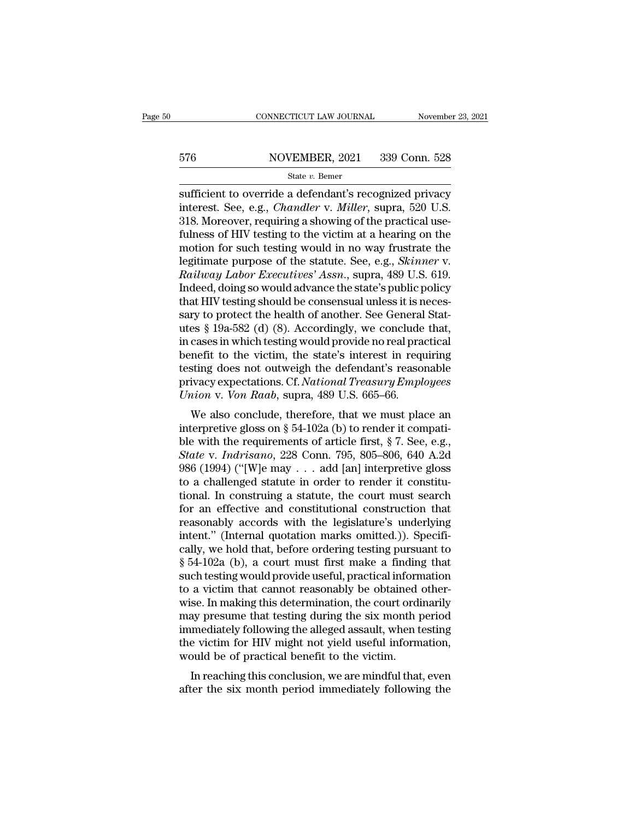# EXECUTE CONNECTICUT LAW JOURNAL Movember 23, 2021<br>576 NOVEMBER, 2021 339 Conn. 528<br>State v. Bemer

### State *v.* Bemer

CONNECTICUT LAW JOURNAL November 23, 2021<br>
SUGALE 2021 339 Conn. 528<br>
State v. Bemer<br>
Sufficient to override a defendant's recognized privacy<br>
interest. See, e.g., *Chandler v. Miller*, supra, 520 U.S.<br>
218 Moreover requir ST6 NOVEMBER, 2021 339 Conn. 528<br>
State *v*. Bemer<br>
sufficient to override a defendant's recognized privacy<br>
interest. See, e.g., *Chandler* v. *Miller*, supra, 520 U.S.<br>
318. Moreover, requiring a showing of the practical  $\frac{\text{576}}{\text{State } v. \text{ Bemer}}$ <br>  $\frac{\text{State } v. \text{ Bemer}}{\text{sufficient to override a defendant's recognized privacy}}$ <br>
sufficient to override a defendant's recognized privacy<br>
interest. See, e.g., *Chandler v. Miller*, supra, 520 U.S.<br>
318. Moreover, requiring a showing of the prac 576 NOVEMBER, 2021 339 Conn. 528<br>
state v. Bemer<br>
sufficient to override a defendant's recognized privacy<br>
interest. See, e.g., *Chandler* v. *Miller*, supra, 520 U.S.<br>
318. Moreover, requiring a showing of the practical State v. Bemer<br>
State v. Bemer<br>
Sufficient to override a defendant's recognized privacy<br>
interest. See, e.g., *Chandler v. Miller*, supra, 520 U.S.<br>
318. Moreover, requiring a showing of the practical use-<br>
fulness of HIV state *v*. Bemer<br>sufficient to override a defendant's recognized privacy<br>interest. See, e.g., *Chandler v. Miller*, supra, 520 U.S.<br>318. Moreover, requiring a showing of the practical use-<br>fulness of HIV testing to the vic sufficient to override a defendant's recognized privacy<br>interest. See, e.g., *Chandler* v. *Miller*, supra, 520 U.S.<br>318. Moreover, requiring a showing of the practical use-<br>fulness of HIV testing to the victim at a hearin interest. See, e.g., *Chandler v. Miller*, supra, 520 U.S.<br>318. Moreover, requiring a showing of the practical use-<br>fulness of HIV testing to the victim at a hearing on the<br>motion for such testing would in no way frustrate 318. Moreover, requiring a showing of the practical use-<br>fulness of HIV testing to the victim at a hearing on the<br>motion for such testing would in no way frustrate the<br>legitimate purpose of the statute. See, e.g., *Skinne* fulness of HIV testing to the victim at a hearing on the<br>motion for such testing would in no way frustrate the<br>legitimate purpose of the statute. See, e.g., *Skinner* v.<br>*Railway Labor Executives' Assn.*, supra, 489 U.S. 6 motion for such testing would in no way frustrate the<br>legitimate purpose of the statute. See, e.g., *Skinner* v.<br>*Railway Labor Executives' Assn.*, supra, 489 U.S. 619.<br>Indeed, doing so would advance the state's public pol legitimate purpose of the statute. See, e.g., *Skinner v.*<br> *Railway Labor Executives' Assn.*, supra, 489 U.S. 619.<br>
Indeed, doing so would advance the state's public policy<br>
that HIV testing should be consensual unless it Railway Labor Executives' Assn., supra, 489 U.S. 619.<br>Indeed, doing so would advance the state's public policy<br>that HIV testing should be consensual unless it is neces-<br>sary to protect the health of another. See General St Indeed, doing so would advance the state's public policy<br>that HIV testing should be consensual unless it is neces-<br>sary to protect the health of another. See General Stat-<br>utes § 19a-582 (d) (8). Accordingly, we conclude t that HIV testing should be consensual unless it is necessary to protect the health of another. See General Statures § 19a-582 (d) (8). Accordingly, we conclude that, in cases in which testing would provide no real practica sary to protect the health of another. See General<br>utes § 19a-582 (d) (8). Accordingly, we conclude<br>in cases in which testing would provide no real pra<br>benefit to the victim, the state's interest in req<br>testing does not ou Es y 19a-562 (d) (6). Accordingly, we conclude that,<br>cases in which testing would provide no real practical<br>nefit to the victim, the state's interest in requiring<br>sting does not outweigh the defendant's reasonable<br>ivacy e in cases in which testing would provide no real practical<br>benefit to the victim, the state's interest in requiring<br>testing does not outweigh the defendant's reasonable<br>privacy expectations. Cf. *National Treasury Employee* 

benefit to the victint, the state's interest in requiring<br>testing does not outweigh the defendant's reasonable<br>privacy expectations. Cf. *National Treasury Employees*<br> $Union v. Von Raab$ , supra, 489 U.S. 665–66.<br>We also conclude, th *Stater v. Indrigano, 228 Conn. 795, 805–806, 640 A.2d* (1994) ("We also conclude, therefore, that we must place an interpretive gloss on § 54-102a (b) to render it compatible with the requirements of article first, § 7. S privacy expectations. Cr. National Treasary Employees<br>
Union v. Von Raab, supra, 489 U.S. 665–66.<br>
We also conclude, therefore, that we must place an<br>
interpretive gloss on § 54-102a (b) to render it compati-<br>
ble with th We also conclude, therefore, that we must place an interpretive gloss on  $\S$  54-102a (b) to render it compatible with the requirements of article first,  $\S$  7. See, e.g., State v. *Indrisano*, 228 Conn. 795, 805–806, 640 We also conclude, therefore, that we must place an<br>interpretive gloss on  $\S$  54-102a (b) to render it compati-<br>ble with the requirements of article first,  $\S$  7. See, e.g.,<br>*State* v. *Indrisano*, 228 Conn. 795, 805–806, interpretive gloss on § 54-102a (b) to render it compati-<br>ble with the requirements of article first, § 7. See, e.g.,<br>*State v. Indrisano*, 228 Conn. 795, 805–806, 640 A.2d<br>986 (1994) ("[W]e may . . . add [an] interpretiv ble with the requirements of article first,  $\S$  7. See, e.g.,<br> *State* v. *Indrisano*, 228 Conn. 795, 805–806, 640 A.2d<br>
986 (1994) ("[W]e may . . . add [an] interpretive gloss<br>
to a challenged statute in order to render State v. Indrisano, 228 Conn. 795, 805–806, 640 A.2d<br>986 (1994) ("[W]e may . . . add [an] interpretive gloss<br>to a challenged statute in order to render it constitu-<br>tional. In construing a statute, the court must search<br>f 986 (1994) ("[W]e may . . . add [an] interpretive gloss<br>to a challenged statute in order to render it constitu-<br>tional. In construing a statute, the court must search<br>for an effective and constitutional construction that<br> to a challenged statute in order to render it constitu-<br>tional. In construing a statute, the court must search<br>for an effective and constitutional construction that<br>reasonably accords with the legislature's underlying<br>inte tional. In construing a statute, the court must search<br>for an effective and constitutional construction that<br>reasonably accords with the legislature's underlying<br>intent." (Internal quotation marks omitted.)). Specifi-<br>call for an effective and constitutional construction that<br>reasonably accords with the legislature's underlying<br>intent." (Internal quotation marks omitted.)). Specifi-<br>cally, we hold that, before ordering testing pursuant to<br>§ reasonably accords with the legislature's underlying<br>intent." (Internal quotation marks omitted.)). Specifi-<br>cally, we hold that, before ordering testing pursuant to<br>§ 54-102a (b), a court must first make a finding that<br>su intent." (Internal quotation marks omitted.)). Specifically, we hold that, before ordering testing pursuant to  $\S$  54-102a (b), a court must first make a finding that such testing would provide useful, practical informatio cally, we hold that, before ordering testing pursuant to  $\S$  54-102a (b), a court must first make a finding that such testing would provide useful, practical information to a victim that cannot reasonably be obtained other  $§$  54-102a (b), a court must first make a finding that<br>such testing would provide useful, practical information<br>to a victim that cannot reasonably be obtained other-<br>wise. In making this determination, the court ordinari such testing would provide useful, practical inform<br>to a victim that cannot reasonably be obtained<br>wise. In making this determination, the court ordi<br>may presume that testing during the six month p<br>immediately following th a victim that cannot reasonably be obtained other-<br>se. In making this determination, the court ordinarily<br>ay presume that testing during the six month period<br>mediately following the alleged assault, when testing<br>e victim f wise. In making this determination, the court ordinarily<br>may presume that testing during the six month period<br>immediately following the alleged assault, when testing<br>the victim for HIV might not yield useful information,<br>w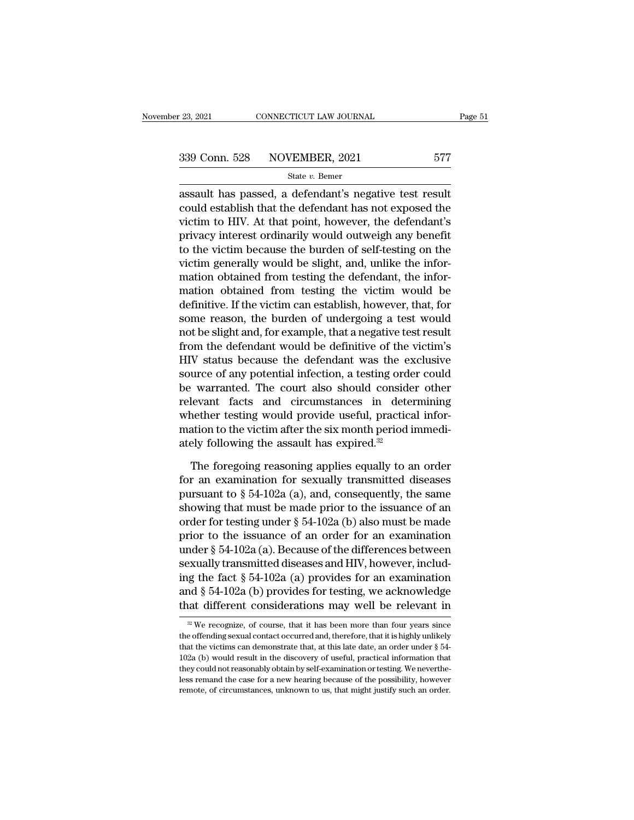<sup>23, 2021</sup> CONNECTICUT LAW JOURNAL Page 5<br>  $\frac{339 \text{ Conn. } 528}{\text{State } v. \text{ Bemer}}$ <br>  $\frac{\text{State } v. \text{ Bemer}}{\text{assault has passed, a defendant's negative test result}}$ <br>
could establish that the defendant has not exposed the 339 Conn. 528 NOVEMBER, 2021 577<br>
State v. Bemer<br>
assault has passed, a defendant's negative test result<br>
could establish that the defendant has not exposed the<br>
victim to HIV. At that point, however, the defendant's<br>
pri 339 Conn. 528 NOVEMBER, 2021 577<br>
State v. Bemer<br>
assault has passed, a defendant's negative test result<br>
could establish that the defendant has not exposed the<br>
victim to HIV. At that point, however, the defendant's<br>
pri 339 Conn. 528 NOVEMBER, 2021 577<br>
State v. Bemer<br>
assault has passed, a defendant's negative test result<br>
could establish that the defendant has not exposed the<br>
victim to HIV. At that point, however, the defendant's<br>
pri State v. Bemer<br>
assault has passed, a defendant's negative test result<br>
could establish that the defendant has not exposed the<br>
victim to HIV. At that point, however, the defendant's<br>
privacy interest ordinarily would out state *i*. Benter<br>assault has passed, a defendant's negative test result<br>could establish that the defendant has not exposed the<br>victim to HIV. At that point, however, the defendant's<br>privacy interest ordinarily would outwe assault has passed, a defendant's negative test result<br>could establish that the defendant has not exposed the<br>victim to HIV. At that point, however, the defendant's<br>privacy interest ordinarily would outweigh any benefit<br>to could establish that the defendant has not exposed the<br>victim to HIV. At that point, however, the defendant's<br>privacy interest ordinarily would outweigh any benefit<br>to the victim because the burden of self-testing on the<br>v victim to HIV. At that point, however, the defendant's<br>privacy interest ordinarily would outweigh any benefit<br>to the victim because the burden of self-testing on the<br>victim generally would be slight, and, unlike the inforprivacy interest ordinarily would outweigh any benefit<br>to the victim because the burden of self-testing on the<br>victim generally would be slight, and, unlike the infor-<br>mation obtained from testing the defendant, the inforto the victim because the burden of self-testing on the<br>victim generally would be slight, and, unlike the infor-<br>mation obtained from testing the defendant, the infor-<br>mation obtained from testing the victim would be<br>defin victim generally would be slight, and, unlike the information obtained from testing the defendant, the information obtained from testing the victim would be definitive. If the victim can establish, however, that, for some mation obtained from testing the defendant, the information obtained from testing the victim would be definitive. If the victim can establish, however, that, for some reason, the burden of undergoing a test would not be sl mation obtained from testing the victim would be<br>definitive. If the victim can establish, however, that, for<br>some reason, the burden of undergoing a test would<br>not be slight and, for example, that a negative test result<br>fr definitive. If the victim can establish, however, that, for<br>some reason, the burden of undergoing a test would<br>not be slight and, for example, that a negative test result<br>from the defendant would be definitive of the victi some reason, the burden of undergoing a test would<br>not be slight and, for example, that a negative test result<br>from the defendant would be definitive of the victim's<br>HIV status because the defendant was the exclusive<br>sourc not be slight and, for example, that a negative test result<br>from the defendant would be definitive of the victim's<br>HIV status because the defendant was the exclusive<br>source of any potential infection, a testing order coul from the defendant would be definitive of the victim's<br>HIV status because the defendant was the exclusive<br>source of any potential infection, a testing order could<br>be warranted. The court also should consider other<br>relevan HIV status because the defendant was the ex-<br>source of any potential infection, a testing orde<br>be warranted. The court also should conside<br>relevant facts and circumstances in deter<br>whether testing would provide useful, pr Fortunated warranted. The court also should consider other<br>levant facts and circumstances in determining<br>nether testing would provide useful, practical infor-<br>ation to the victim after the six month period immedi-<br>ely fol relevant facts and circumstances in determining<br>whether testing would provide useful, practical infor-<br>mation to the victim after the six month period immedi-<br>ately following the assault has expired.<sup>32</sup><br>The foregoing rea

whether testing would provide useful, practical information to the victim after the six month period immediately following the assault has expired.<sup>32</sup><br>The foregoing reasoning applies equally to an order<br>for an examinatio mation to the victim after the six month period immediately following the assault has expired.<sup>32</sup><br>The foregoing reasoning applies equally to an order<br>for an examination for sexually transmitted diseases<br>pursuant to  $\S 54$ ately following the assault has expired.<sup>32</sup><br>The foregoing reasoning applies equally to an order<br>for an examination for sexually transmitted diseases<br>pursuant to § 54-102a (a), and, consequently, the same<br>showing that mus The foregoing reasoning applies equally to an order<br>for an examination for sexually transmitted diseases<br>pursuant to  $\S 54-102a$  (a), and, consequently, the same<br>showing that must be made prior to the issuance of an<br>order The foregoing reasoning applies equally to an order<br>for an examination for sexually transmitted diseases<br>pursuant to § 54-102a (a), and, consequently, the same<br>showing that must be made prior to the issuance of an<br>order f for an examination for sexually transmitted diseases<br>pursuant to § 54-102a (a), and, consequently, the same<br>showing that must be made prior to the issuance of an<br>order for testing under § 54-102a (b) also must be made<br>pri pursuant to § 54-102a (a), and, consequently, the same<br>showing that must be made prior to the issuance of an<br>order for testing under § 54-102a (b) also must be made<br>prior to the issuance of an order for an examination<br>und showing that must be made prior to the issuance of an<br>order for testing under  $\S$  54-102a (b) also must be made<br>prior to the issuance of an order for an examination<br>under  $\S$  54-102a (a). Because of the differences betwee order for testing under § 54-102a (b) also must be made<br>prior to the issuance of an order for an examination<br>under § 54-102a (a). Because of the differences between<br>sexually transmitted diseases and HIV, however, includ-<br> Exually transmitted diseases and HIV, however, including the fact  $\S$  54-102a (a) provides for an examination and  $\S$  54-102a (b) provides for testing, we acknowledge at different considerations may well be relevant in  $\$ ing the fact § 54-102a (a) provides for an examination<br>and § 54-102a (b) provides for testing, we acknowledge<br>that different considerations may well be relevant in<br> $\frac{w}{w}$  We recognize, of course, that it has been more

and § 54-102a (b) provides for testing, we acknowledge that different considerations may well be relevant in  $\frac{1}{\sqrt{2}}$  We recognize, of course, that it has been more than four years since the offending sexual contact o that different considerations may well be relevant in  $\frac{1}{2}$  We recognize, of course, that it has been more than four years since the offending sexual contact occurred and, therefore, that it is highly unlikely that th <sup>22</sup> We recognize, of course, that it has been more than four years since the offending sexual contact occurred and, therefore, that it is highly unlikely that the victims can demonstrate that, at this late date, an order <sup>22</sup> We recognize, of course, that it has been more than four years since the offending sexual contact occurred and, therefore, that it is highly unlikely that the victims can demonstrate that, at this late date, an order the offending sexual contact occurred and, therefore, that it is highly unlikely<br>that the victims can demonstrate that, at this late date, an order under § 54-<br>102a (b) would result in the discovery of useful, practical in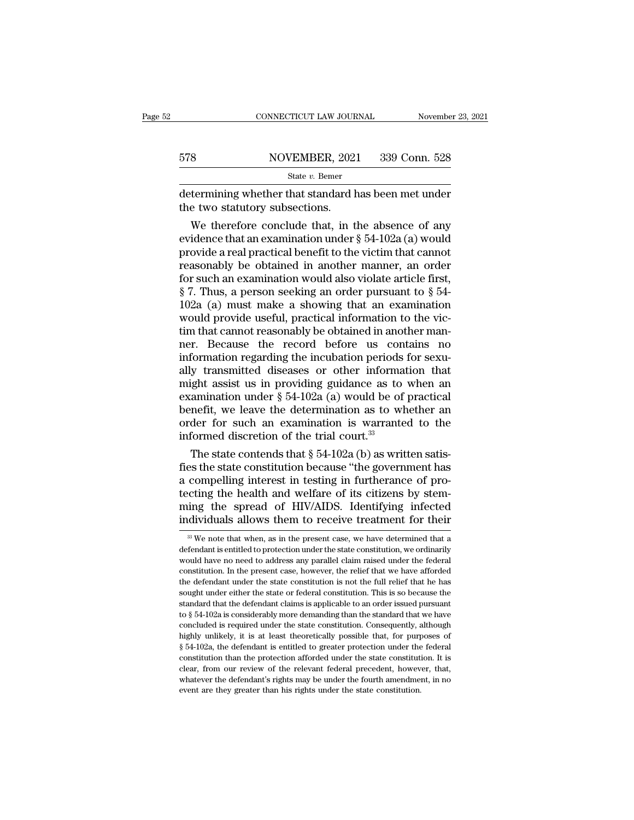|     | CONNECTICUT LAW JOURNAL | November 23, 2021 |
|-----|-------------------------|-------------------|
|     |                         |                   |
| 578 | NOVEMBER, 2021          | 339 Conn. 528     |
|     | State $v$ . Bemer       |                   |

CONNECTICUT LAW JOURNAL November 23, 2021<br>578 NOVEMBER, 2021 339 Conn. 528<br>518 State v. Bemer<br>determining whether that standard has been met under<br>the two statutory subsections.  $578$  NOVEMBER, 202<br>  $\frac{\text{State } v. \text{ Bemer}}{\text{determining whether that standard } h}$ <br>
the two statutory subsections.<br>
We therefore conclude that, in t

 $\begin{array}{ll}\n\text{S} & \text{NOVEMBER, 2021} & \text{339 Conn. 528} \\
\hline\n\text{State } v. \text{ Bemer}\n\end{array}$ termining whether that standard has been met under<br>
e two statutory subsections.<br>
We therefore conclude that, in the absence of any<br>
idence that an exam 578 NOVEMBER, 2021 339 Conn. 528<br>
State v. Bemer<br>
determining whether that standard has been met under<br>
the two statutory subsections.<br>
We therefore conclude that, in the absence of any<br>
evidence that an examination under State v. Bemer<br>determining whether that standard has been met under<br>the two statutory subsections.<br>We therefore conclude that, in the absence of any<br>evidence that an examination under § 54-102a (a) would<br>provide a real pr determining whether that standard has been met under<br>the two statutory subsections.<br>We therefore conclude that, in the absence of any<br>evidence that an examination under  $\S 54-102a$  (a) would<br>provide a real practical benef determining whether that standard has been met under<br>the two statutory subsections.<br>We therefore conclude that, in the absence of any<br>evidence that an examination under § 54-102a (a) would<br>provide a real practical benefit the two statutory subsections.<br>
We therefore conclude that, in the absence of any<br>
evidence that an examination under  $\S$  54-102a (a) would<br>
provide a real practical benefit to the victim that cannot<br>
reasonably be obtain We therefore conclude that, in the absence of any<br>evidence that an examination under  $\S 54{\text -}102a$  (a) would<br>provide a real practical benefit to the victim that cannot<br>reasonably be obtained in another manner, an order<br>f evidence that an examination under  $\S$  54-102a (a) would<br>provide a real practical benefit to the victim that cannot<br>reasonably be obtained in another manner, an order<br>for such an examination would also violate article fir provide a real practical benefit to the victim that cannot<br>reasonably be obtained in another manner, an order<br>for such an examination would also violate article first,<br> $\S$  7. Thus, a person seeking an order pursuant to  $\S$ reasonably be obtained in another manner, an order<br>for such an examination would also violate article first,<br> $\S 7$ . Thus, a person seeking an order pursuant to  $\S 54$ -<br> $102a$  (a) must make a showing that an examination<br>wo for such an examination would also violate article first,  $\S$  7. Thus, a person seeking an order pursuant to  $\S$  54-102a (a) must make a showing that an examination would provide useful, practical information to the victi § 7. Thus, a person seeking an order pursuant to § 54-<br>102a (a) must make a showing that an examination<br>would provide useful, practical information to the vic-<br>tim that cannot reasonably be obtained in another man-<br>ner. B 102a (a) must make a showing that an examination<br>would provide useful, practical information to the vic-<br>tim that cannot reasonably be obtained in another man-<br>ner. Because the record before us contains no<br>information reg would provide useful, practical information to the victim that cannot reasonably be obtained in another man-<br>ner. Because the record before us contains no<br>information regarding the incubation periods for sexu-<br>ally transmi tim that cannot reasonably be obtained in another man-<br>ner. Because the record before us contains no<br>information regarding the incubation periods for sexu-<br>ally transmitted diseases or other information that<br>might assist ner. Because the record before us contains no<br>information regarding the incubation periods for sexu-<br>ally transmitted diseases or other information that<br>might assist us in providing guidance as to when an<br>examination unde information regarding the incubation periods<br>ally transmitted diseases or other informa<br>might assist us in providing guidance as to<br>examination under  $\S 54-102a$  (a) would be of<br>benefit, we leave the determination as to w y transmitted diseases or other information that<br>ight assist us in providing guidance as to when an<br>amination under  $\S 54-102a$  (a) would be of practical<br>nefit, we leave the determination as to whether an<br>der for such an might assist us in providing guidance as to when an examination under  $\S 54-102a$  (a) would be of practical benefit, we leave the determination as to whether an order for such an examination is warranted to the informed d

examination under § 54-102a (a) would be of practical<br>benefit, we leave the determination as to whether an<br>order for such an examination is warranted to the<br>informed discretion of the trial court.<sup>33</sup><br>The state contends t benefit, we leave the determination as to whether an order for such an examination is warranted to the informed discretion of the trial court.<sup>33</sup><br>The state contends that  $\S 54-102a$  (b) as written satisfies the state con order for such an examination is warranted to the<br>informed discretion of the trial court.<sup>33</sup><br>The state contends that  $\S 54-102a$  (b) as written satis-<br>fies the state constitution because "the government has<br>a compelling informed discretion of the trial court.<sup>35</sup><br>The state contends that § 54-102a (b) as written satis-<br>fies the state constitution because "the government has<br>a compelling interest in testing in furtherance of pro-<br>tecting t compelling interest in testing in furtherance of pro-<br>ccting the health and welfare of its citizens by stem-<br>ing the spread of HIV/AIDS. Identifying infected<br>dividuals allows them to receive treatment for their<br><sup>33</sup> We not tecting the health and welfare of its citizens by stem-<br>ming the spread of HIV/AIDS. Identifying infected<br>individuals allows them to receive treatment for their<br><sup>38</sup> We note that when, as in the present case, we have deter

ming the spread of HIV/AIDS. Identifying infected<br>individuals allows them to receive treatment for their<br> $\frac{1}{2}$   $\frac{1}{2}$   $\frac{1}{2}$   $\frac{1}{2}$   $\frac{1}{2}$   $\frac{1}{2}$   $\frac{1}{2}$   $\frac{1}{2}$   $\frac{1}{2}$  are note that when, as in individuals allows them to receive treatment for their<br>
<sup>33</sup> We note that when, as in the present case, we have determined that a<br>
defendant is entitled to protection under the state constitution, we ordinarily<br>
would hav  $\frac{1}{100}$  we note that when, as in the present case, we have determined that a defendant is entitled to protection under the state constitution, we ordinarily would have no need to address any parallel claim raised unde  $30$  We note that when, as in the present case, we have determined that a defendant is entitled to protection under the state constitution, we ordinarily would have no need to address any parallel claim raised under the f defendant is entitled to protection under the state constitution, we ordinarily would have no need to address any parallel claim raised under the federal constitution. In the present case, however, the relief that we have would have no need to address any parallel claim raised under the federal constitution. In the present case, however, the relief that we have afforded the defendant under the state constitution is not the full relief that constitution. In the present case, however, the relief that we have afforded the defendant under the state constitution is not the full relief that he has sought under either the state or federal constitution. This is so b the defendant under the state constitution is not the full relief that he has sought under either the state or federal constitution. This is so because the standard that the defendant claims is applicable to an order issu sought under either the state or federal constitution. This is so because the standard that the defendant claims is applicable to an order issued pursuant to  $\S 54-102a$  is considerably more demanding than the standard th standard that the defendant claims is applicable to an order issued pursuant to  $\S 54-102a$  is considerably more demanding than the standard that we have concluded is required under the state constitution. Consequently, a to  $\S$  54-102a is considerably more demanding than the standard that we have concluded is required under the state constitution. Consequently, although highly unlikely, it is at least theoretically possible that, for purp concluded is required under the state constitution. Consequently, although highly unlikely, it is at least theoretically possible that, for purposes of § 54-102a, the defendant is entitled to greater protection under the f highly unlikely, it is at least theoretically possible that, for purposes of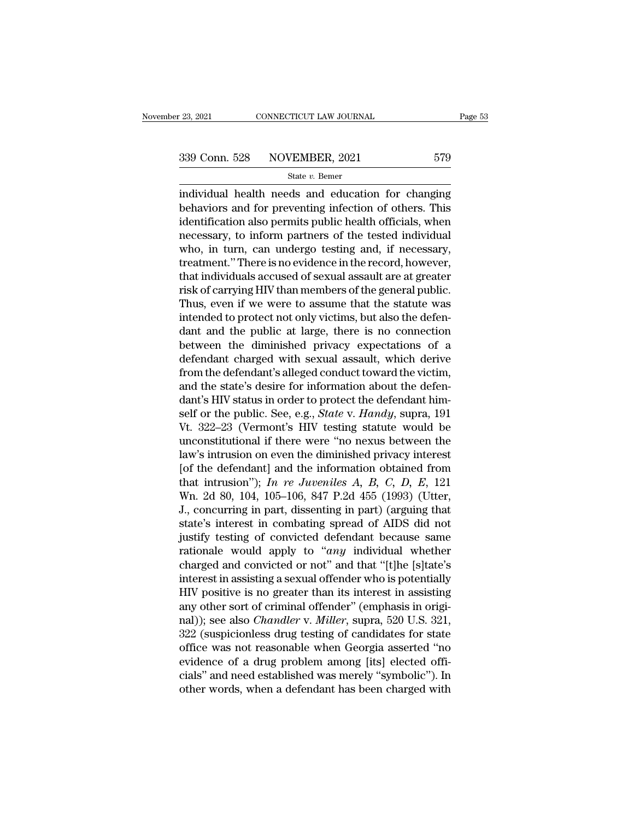<sup>23, 2021</sup> CONNECTICUT LAW JOURNAL Page 53<br>
339 Conn. 528 NOVEMBER, 2021 579<br>
<sup>339</sup> State *v*. Bemer<br>
individual health needs and education for changing<br>
behaviors and for preventing infection of others. This<br>
identificat  $\begin{array}{ccc}\n 339 \text{ Conn. } 528 \text{ NOVEMBER, } 2021 & 579 \\
 \text{State } v. \text{ Bemer} \text{ individual health needs and education for changing behaviors and for preventing infection of others. This identification also permits public health officials, when necessary to inform partners of the tested individual.} \end{array}$ 339 Conn. 528 NOVEMBER, 2021 579<br>
State v. Bemer<br>
individual health needs and education for changing<br>
behaviors and for preventing infection of others. This<br>
identification also permits public health officials, when<br>
nece 339 Conn. 528 NOVEMBER, 2021 579<br>
state  $v$ . Bemer<br>
individual health needs and education for changing<br>
behaviors and for preventing infection of others. This<br>
identification also permits public health officials, when<br>
ne State  $v$ . Bemer<br>
individual health needs and education for changing<br>
behaviors and for preventing infection of others. This<br>
identification also permits public health officials, when<br>
necessary, to inform partners of the state v. Better<br>
individual health needs and education for changing<br>
behaviors and for preventing infection of others. This<br>
identification also permits public health officials, when<br>
necessary, to inform partners of the individual health needs and education for changing<br>behaviors and for preventing infection of others. This<br>identification also permits public health officials, when<br>necessary, to inform partners of the tested individual<br>who behaviors and for preventing infection of others. This<br>identification also permits public health officials, when<br>necessary, to inform partners of the tested individual<br>who, in turn, can undergo testing and, if necessary,<br>t identification also permits public health officials, when<br>necessary, to inform partners of the tested individual<br>who, in turn, can undergo testing and, if necessary,<br>treatment." There is no evidence in the record, however, necessary, to inform partners of the tested individual<br>who, in turn, can undergo testing and, if necessary,<br>treatment." There is no evidence in the record, however,<br>that individuals accused of sexual assault are at greater who, in turn, can undergo testing and, if necessary,<br>treatment." There is no evidence in the record, however,<br>that individuals accused of sexual assault are at greater<br>risk of carrying HIV than members of the general publi treatment." There is no evidence in the record, however,<br>that individuals accused of sexual assault are at greater<br>risk of carrying HIV than members of the general public.<br>Thus, even if we were to assume that the statute w that individuals accused of sexual assault are at greater<br>risk of carrying HIV than members of the general public.<br>Thus, even if we were to assume that the statute was<br>intended to protect not only victims, but also the def risk of carrying HIV than members of the general public.<br>Thus, even if we were to assume that the statute was<br>intended to protect not only victims, but also the defen-<br>dant and the public at large, there is no connection<br>b Thus, even if we were to assume that the statute was<br>intended to protect not only victims, but also the defen-<br>dant and the public at large, there is no connection<br>between the diminished privacy expectations of a<br>defendant intended to protect not only victims, but also the defendant and the public at large, there is no connection<br>between the diminished privacy expectations of a defendant charged with sexual assault, which derive<br>from the de dant and the public at large, there is no connection<br>between the diminished privacy expectations of a<br>defendant charged with sexual assault, which derive<br>from the defendant's alleged conduct toward the victim,<br>and the stat between the diminished privacy expectations of a<br>defendant charged with sexual assault, which derive<br>from the defendant's alleged conduct toward the victim,<br>and the state's desire for information about the defen-<br>dant's HI defendant charged with sexual assault, which derive<br>from the defendant's alleged conduct toward the victim,<br>and the state's desire for information about the defen-<br>dant's HIV status in order to protect the defendant him-<br>s from the defendant's alleged conduct toward the victim,<br>and the state's desire for information about the defen-<br>dant's HIV status in order to protect the defendant him-<br>self or the public. See, e.g., *State* v. *Handy*, s and the state's desire for information about the defen-<br>dant's HIV status in order to protect the defendant him-<br>self or the public. See, e.g., *State v. Handy*, supra, 191<br>Vt. 322–23 (Vermont's HIV testing statute would dant's HIV status in order to protect the defendant himself or the public. See, e.g., *State* v. *Handy*, supra, 191<br>Vt. 322–23 (Vermont's HIV testing statute would be<br>unconstitutional if there were "no nexus between the<br>l self or the public. See, e.g., *State* v. *Handy*, supra, 191<br>Vt. 322–23 (Vermont's HIV testing statute would be<br>unconstitutional if there were "no nexus between the<br>law's intrusion on even the diminished privacy interest<br> Vt. 322–23 (Vermont's HIV testing statute would be<br>unconstitutional if there were "no nexus between the<br>law's intrusion on even the diminished privacy interest<br>[of the defendant] and the information obtained from<br>that int unconstitutional if there were "no nexus between the<br>law's intrusion on even the diminished privacy interest<br>[of the defendant] and the information obtained from<br>that intrusion"); In re Juveniles A, B, C, D, E, 121<br>Wn. 2d law's intrusion on even the diminished privacy interest<br>[of the defendant] and the information obtained from<br>that intrusion"); In re Juveniles A, B, C, D, E, 121<br>Wn. 2d 80, 104, 105–106, 847 P.2d 455 (1993) (Utter,<br>J., co [of the defendant] and the information obtained from<br>that intrusion"); *In re Juveniles A*, *B*, *C*, *D*, *E*, 121<br>Wn. 2d 80, 104, 105–106, 847 P.2d 455 (1993) (Utter,<br>J., concurring in part, dissenting in part) (arguing that intrusion"); In re Juveniles A, B, C, D, E, 121<br>Wn. 2d 80, 104, 105–106, 847 P.2d 455 (1993) (Utter,<br>J., concurring in part, dissenting in part) (arguing that<br>state's interest in combating spread of AIDS did not<br>just Wn. 2d 80, 104, 105–106, 847 P.2d 455 (1993) (Utter,<br>J., concurring in part, dissenting in part) (arguing that<br>state's interest in combating spread of AIDS did not<br>justify testing of convicted defendant because same<br>ration J., concurring in part, dissenting in part) (arguing that<br>state's interest in combating spread of AIDS did not<br>justify testing of convicted defendant because same<br>rationale would apply to "*any* individual whether<br>charged state's interest in combating spread of AIDS did not<br>justify testing of convicted defendant because same<br>rationale would apply to "*any* individual whether<br>charged and convicted or not" and that "[t]he [s]tate's<br>interest i justify testing of convicted defendant because same<br>rationale would apply to "*any* individual whether<br>charged and convicted or not" and that "[t]he [s]tate's<br>interest in assisting a sexual offender who is potentially<br>HIV rationale would apply to "*any* individual whether<br>charged and convicted or not" and that "[t]he [s]tate's<br>interest in assisting a sexual offender who is potentially<br>HIV positive is no greater than its interest in assistin charged and convicted or not" and that "[t]he [s]tate's<br>interest in assisting a sexual offender who is potentially<br>HIV positive is no greater than its interest in assisting<br>any other sort of criminal offender" (emphasis in interest in assisting a sexual offender who is potentially<br>HIV positive is no greater than its interest in assisting<br>any other sort of criminal offender" (emphasis in origi-<br>nal)); see also *Chandler* v. *Miller*, supra, 5 HIV positive is no greater than its interest in assisting<br>any other sort of criminal offender" (emphasis in origi-<br>nal)); see also *Chandler* v. *Miller*, supra, 520 U.S. 321,<br>322 (suspicionless drug testing of candidates any other sort of criminal offender" (emphasis in original)); see also *Chandler* v. *Miller*, supra, 520 U.S. 321, 322 (suspicionless drug testing of candidates for state office was not reasonable when Georgia asserted "n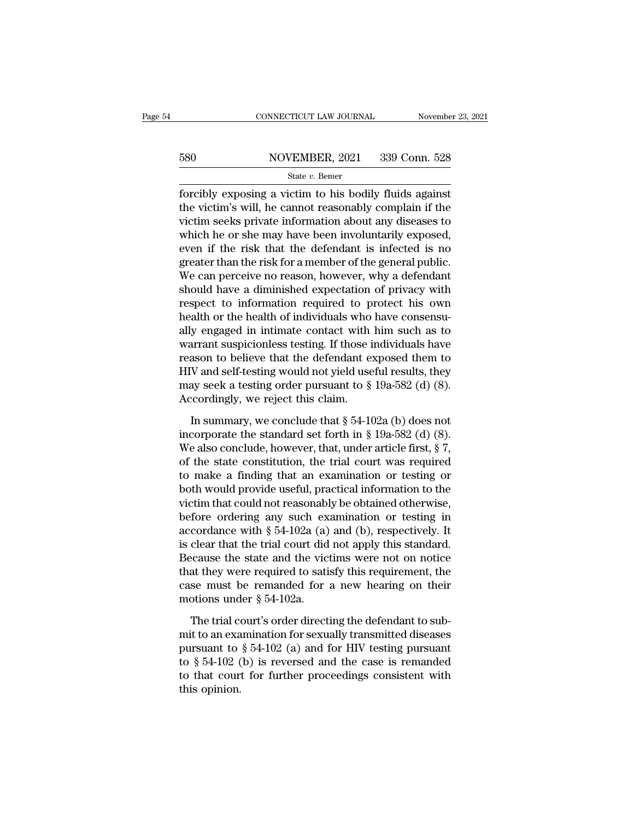# EXECUTE CONNECTICUT LAW JOURNAL Movember 23, 2021<br>580 NOVEMBER, 2021 339 Conn. 528<br>580 State v. Bemer

### State *v.* Bemer

FORMECTICUT LAW JOURNAL Movember 23, 202<br>
S580 NOVEMBER, 2021 339 Conn. 528<br>
State v. Bemer<br>
forcibly exposing a victim to his bodily fluids against<br>
the victim's will, he cannot reasonably complain if the<br>
victim socks p 580 NOVEMBER, 2021 339 Conn. 528<br>
State v. Bemer<br>
forcibly exposing a victim to his bodily fluids against<br>
the victim's will, he cannot reasonably complain if the<br>
victim seeks private information about any diseases to<br>
w 580 NOVEMBER, 2021 339 Conn. 528<br>
State v. Bemer<br>
forcibly exposing a victim to his bodily fluids against<br>
the victim's will, he cannot reasonably complain if the<br>
victim seeks private information about any diseases to<br>
w 580 NOVEMBER, 2021 339 Conn. 528<br>
State v. Bemer<br>
forcibly exposing a victim to his bodily fluids against<br>
the victim's will, he cannot reasonably complain if the<br>
victim seeks private information about any diseases to<br>
w State v. Bemer<br>
forcibly exposing a victim to his bodily fluids against<br>
the victim's will, he cannot reasonably complain if the<br>
victim seeks private information about any diseases to<br>
which he or she may have been invol state *v*. Benter<br>forcibly exposing a victim to his bodily fluids against<br>the victim's will, he cannot reasonably complain if the<br>victim seeks private information about any diseases to<br>which he or she may have been involu forcibly exposing a victim to his bodily fluids against<br>the victim's will, he cannot reasonably complain if the<br>victim seeks private information about any diseases to<br>which he or she may have been involuntarily exposed,<br>ev the victim's will, he cannot reasonably complain if the<br>victim seeks private information about any diseases to<br>which he or she may have been involuntarily exposed,<br>even if the risk that the defendant is infected is no<br>grea victim seeks private information about any diseases to<br>which he or she may have been involuntarily exposed,<br>even if the risk that the defendant is infected is no<br>greater than the risk for a member of the general public.<br>We which he or she may have been involuntarily exposed,<br>even if the risk that the defendant is infected is no<br>greater than the risk for a member of the general public.<br>We can perceive no reason, however, why a defendant<br>shoul even if the risk that the defendant is infected is no<br>greater than the risk for a member of the general public.<br>We can perceive no reason, however, why a defendant<br>should have a diminished expectation of privacy with<br>respe greater than the risk for a member of the general public.<br>We can perceive no reason, however, why a defendant<br>should have a diminished expectation of privacy with<br>respect to information required to protect his own<br>health o We can perceive no reason, however, why a defendant<br>should have a diminished expectation of privacy with<br>respect to information required to protect his own<br>health or the health of individuals who have consensu-<br>ally engag should have a diminished expectation of privacy with<br>respect to information required to protect his own<br>health or the health of individuals who have consensu-<br>ally engaged in intimate contact with him such as to<br>warrant s respect to information required to protect his own<br>health or the health of individuals who have consensu-<br>ally engaged in intimate contact with him such as to<br>warrant suspicionless testing. If those individuals have<br>reason health or the health of individuals who<br>ally engaged in intimate contact with<br>warrant suspicionless testing. If those i<br>reason to believe that the defendant e:<br>HIV and self-testing would not yield use<br>may seek a testing or Figure 3.1 Superionless testing. If those individuals have<br>ason to believe that the defendant exposed them to<br>V and self-testing would not yield useful results, they<br>ay seek a testing order pursuant to § 19a-582 (d) (8).<br> reason to believe that the defendant exposed them to<br>HIV and self-testing would not yield useful results, they<br>may seek a testing order pursuant to  $\S$  19a-582 (d) (8).<br>Accordingly, we reject this claim.<br>In summary, we co

HIV and self-testing would not yield useful results, they<br>may seek a testing order pursuant to  $\S$  19a-582 (d) (8).<br>Accordingly, we reject this claim.<br>In summary, we conclude that  $\S$  54-102a (b) does not<br>incorporate the may seek a testing order pursuant to § 19a-582 (d) (8).<br>Accordingly, we reject this claim.<br>In summary, we conclude that § 54-102a (b) does not<br>incorporate the standard set forth in § 19a-582 (d) (8).<br>We also conclude, how Accordingly, we reject this claim.<br>In summary, we conclude that  $\S 54{\text -}102a$  (b) does not<br>incorporate the standard set forth in  $\S 19a{\text -}582$  (d) (8).<br>We also conclude, however, that, under article first,  $\S 7$ ,<br>of the In summary, we conclude that  $\S$  54-102a (b) does not<br>incorporate the standard set forth in  $\S$  19a-582 (d) (8).<br>We also conclude, however, that, under article first,  $\S$  7,<br>of the state constitution, the trial court was In summary, we conclude that  $\S$  54-102a (b) does not<br>incorporate the standard set forth in  $\S$  19a-582 (d) (8).<br>We also conclude, however, that, under article first,  $\S$  7,<br>of the state constitution, the trial court was incorporate the standard set forth in § 19a-582 (d) (8).<br>We also conclude, however, that, under article first, § 7,<br>of the state constitution, the trial court was required<br>to make a finding that an examination or testing We also conclude, however, that, under article first,  $\S$  7,<br>of the state constitution, the trial court was required<br>to make a finding that an examination or testing or<br>both would provide useful, practical information to of the state constitution, the trial court was required<br>to make a finding that an examination or testing or<br>both would provide useful, practical information to the<br>victim that could not reasonably be obtained otherwise,<br>be to make a finding that an examination or testing or<br>both would provide useful, practical information to the<br>victim that could not reasonably be obtained otherwise,<br>before ordering any such examination or testing in<br>accord both would provide useful, practical information to the<br>victim that could not reasonably be obtained otherwise,<br>before ordering any such examination or testing in<br>accordance with § 54-102a (a) and (b), respectively. It<br>is victim that could not reasonably be obtained otherwise,<br>before ordering any such examination or testing in<br>accordance with  $\S 54-102a$  (a) and (b), respectively. It<br>is clear that the trial court did not apply this standar before ordering any such exaccordance with  $\S$  54-102a (a) is clear that the trial court did Because the state and the viction of that they were required to sati case must be remanded for motions under  $\S$  54-102a. The tr clear that the trial court did not apply this standard.<br>
ecause the state and the victims were not on notice<br>
at they were required to satisfy this requirement, the<br>
se must be remanded for a new hearing on their<br>
order Because the state and the victims were not on notice<br>that they were required to satisfy this requirement, the<br>case must be remanded for a new hearing on their<br>motions under § 54-102a.<br>The trial court's order directing the

that they were required to satisfy this requirement, the<br>case must be remanded for a new hearing on their<br>motions under  $\S 54-102a$ .<br>The trial court's order directing the defendant to sub-<br>mit to an examination for sexual case must be remanded for a new hearing on their<br>motions under  $\S 54-102a$ .<br>The trial court's order directing the defendant to sub-<br>mit to an examination for sexually transmitted diseases<br>pursuant to  $\S 54-102$  (a) and fo motions under  $\S$  54-102a.<br>The trial court's order directing the defendant to sub-<br>mit to an examination for sexually transmitted diseases<br>pursuant to  $\S$  54-102 (a) and for HIV testing pursuant<br>to  $\S$  54-102 (b) is rever The trial comit to an example and to  $\frac{1}{2}$  54-102 (to that court this opinion.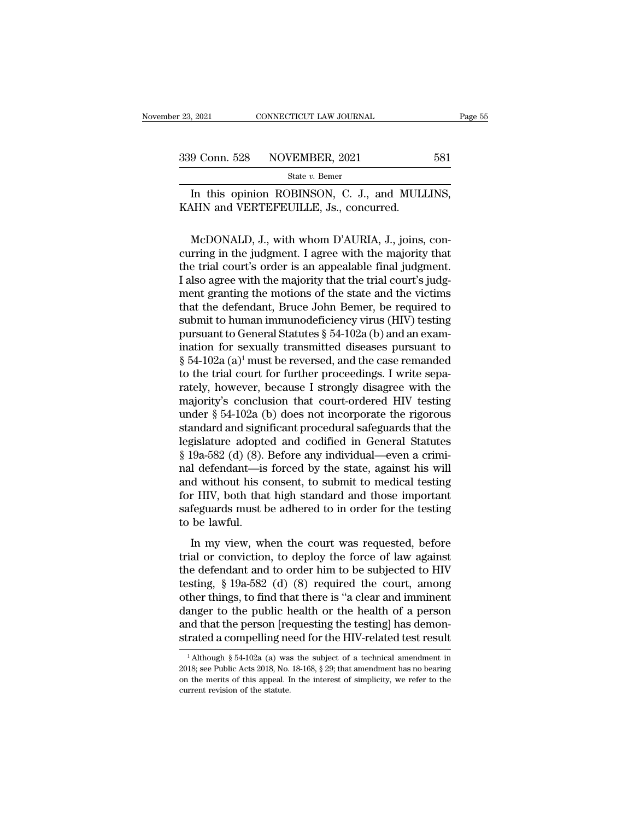9 Conn. 528 NOVEMBER, 2021 581<br>
State v. Bemer<br>
In this opinion ROBINSON, C. J., and MULLINS,<br>
MHN and VERTEFEUILLE, Js., concurred. 339 Conn. 528 NOVEMBER, 2021<br>
State v. Bemer<br>
In this opinion ROBINSON, C. J., and MULI<br>
KAHN and VERTEFEUILLE, Js., concurred.

9 Conn. 528 NOVEMBER, 2021 581<br>
state v. Bemer<br>
In this opinion ROBINSON, C. J., and MULLINS,<br>
MCDONALD, J., with whom D'AURIA, J., joins, con-<br>
McDONALD, J., with whom D'AURIA, J., joins, con-<br>
rring in the judgment. I a State v. Bemer<br>In this opinion ROBINSON, C. J., and MULLINS,<br>KAHN and VERTEFEUILLE, Js., concurred.<br>McDONALD, J., with whom D'AURIA, J., joins, concurring in the judgment. I agree with the majority that<br>the trial court's In this opinion ROBINSON, C. J., and MULLINS,<br>KAHN and VERTEFEUILLE, Js., concurred.<br>McDONALD, J., with whom D'AURIA, J., joins, concurring in the judgment. I agree with the majority that<br>the trial court's order is an appe In this opinion ROBINSON, C. J., and MOLLINS,<br>KAHN and VERTEFEUILLE, Js., concurred.<br>McDONALD, J., with whom D'AURIA, J., joins, con-<br>curring in the judgment. I agree with the majority that<br>the trial court's order is an ap McDONALD, J., with whom D'AURIA, J., joins, concurring in the judgment. I agree with the majority that<br>the trial court's order is an appealable final judgment.<br>I also agree with the majority that the trial court's judgment McDONALD, J., with whom D'AURIA, J., joins, concurring in the judgment. I agree with the majority that<br>the trial court's order is an appealable final judgment.<br>I also agree with the majority that the trial court's judgmen McDONALD, J., with whom D'AURIA, J., joins, concurring in the judgment. I agree with the majority that<br>the trial court's order is an appealable final judgment.<br>I also agree with the majority that the trial court's judgmen curring in the judgment. I agree with the majority that<br>the trial court's order is an appealable final judgment.<br>I also agree with the majority that the trial court's judg-<br>ment granting the motions of the state and the v the trial court's order is an appealable final judgment.<br>I also agree with the majority that the trial court's judgment granting the motions of the state and the victims<br>that the defendant, Bruce John Bemer, be required t I also agree with the majority that the trial court's judg-<br>ment granting the motions of the state and the victims<br>that the defendant, Bruce John Bemer, be required to<br>submit to human immunodeficiency virus (HIV) testing<br> ment granting the motions of the state and the victims<br>that the defendant, Bruce John Bemer, be required to<br>submit to human immunodeficiency virus (HIV) testing<br>pursuant to General Statutes § 54-102a (b) and an exam-<br>inat that the defendant, Bruce John Bemer, be required to<br>submit to human immunodeficiency virus (HIV) testing<br>pursuant to General Statutes § 54-102a (b) and an exam-<br>ination for sexually transmitted diseases pursuant to<br>§ 54submit to human immunodeficiency virus (HIV) testing<br>pursuant to General Statutes § 54-102a (b) and an exam-<br>ination for sexually transmitted diseases pursuant to<br>§ 54-102a (a)<sup>1</sup> must be reversed, and the case remanded<br>t pursuant to General Statutes § 54-102a (b) and an examination for sexually transmitted diseases pursuant to § 54-102a (a)<sup>1</sup> must be reversed, and the case remanded to the trial court for further proceedings. I write sepa ination for sexually transmitted diseases pursuant to  $\S$  54-102a (a)<sup>1</sup> must be reversed, and the case remanded<br>to the trial court for further proceedings. I write sepa-<br>rately, however, because I strongly disagree with § 54-102a (a)<sup>1</sup> must be reversed, and the case remanded<br>to the trial court for further proceedings. I write sepa-<br>rately, however, because I strongly disagree with the<br>majority's conclusion that court-ordered HIV testing to the trial court for further proceedings. I write separately, however, because I strongly disagree with the majority's conclusion that court-ordered HIV testing under § 54-102a (b) does not incorporate the rigorous stand rately, however, because I strongly disagree with the<br>majority's conclusion that court-ordered HIV testing<br>under § 54-102a (b) does not incorporate the rigorous<br>standard and significant procedural safeguards that the<br>legis majority's conclusion that court-ordered HIV testing<br>under  $\S$  54-102a (b) does not incorporate the rigorous<br>standard and significant procedural safeguards that the<br>legislature adopted and codified in General Statutes<br> $\S$ under § 54-102a (b) does not incorporate the rigorous<br>standard and significant procedural safeguards that the<br>legislature adopted and codified in General Statutes<br>§ 19a-582 (d) (8). Before any individual—even a crimi-<br>nal standard and significant procedural safeguards that the<br>legislature adopted and codified in General Statutes<br>§ 19a-582 (d) (8). Before any individual—even a crimi-<br>nal defendant—is forced by the state, against his will<br>and legislature adopte<br>§ 19a-582 (d) (8).<br>nal defendant—is<br>and without his c<br>for HIV, both that<br>safeguards must t<br>to be lawful.<br>In my view, wh I defendant—is forced by the state, against his will<br>d without his consent, to submit to medical testing<br>r HIV, both that high standard and those important<br>feguards must be adhered to in order for the testing<br>be lawful.<br>I and without his consent, to submit to medical testing<br>for HIV, both that high standard and those important<br>safeguards must be adhered to in order for the testing<br>to be lawful.<br>In my view, when the court was requested, bef

the defendant and those important<br>for HIV, both that high standard and those important<br>safeguards must be adhered to in order for the testing<br>to be lawful.<br>In my view, when the court was requested, before<br>trial or convicti tof HP, boarding high standard and above important<br>safeguards must be adhered to in order for the testing<br>to be lawful.<br>In my view, when the court was requested, before<br>trial or conviction, to deploy the force of law again of the lawful.<br>
In my view, when the court was requested, before<br>
trial or conviction, to deploy the force of law against<br>
the defendant and to order him to be subjected to HIV<br>
testing, § 19a-582 (d) (8) required the cour In my view, when the court was requested, before<br>trial or conviction, to deploy the force of law against<br>the defendant and to order him to be subjected to HIV<br>testing, § 19a-582 (d) (8) required the court, among<br>other thin In my view, when the court was requested, before<br>trial or conviction, to deploy the force of law against<br>the defendant and to order him to be subjected to HIV<br>testing, § 19a-582 (d) (8) required the court, among<br>other thin trial or conviction, to deploy the force of law against<br>the defendant and to order him to be subjected to HIV<br>testing, § 19a-582 (d) (8) required the court, among<br>other things, to find that there is "a clear and imminent<br> ther things, to find that there is "a clear and imminent<br>anger to the public health or the health of a person<br>nd that the person [requesting the testing] has demon-<br>rated a compelling need for the HIV-related test result<br> danger to the public health or the health of a person<br>and that the person [requesting the testing] has demon-<br>strated a compelling need for the HIV-related test result<br> $\frac{1}{1}$ Although § 54-102a (a) was the subject of a

and that the person [requesting the testing] has demonstrated a compelling need for the HIV-related test result<br> $\frac{1}{1}$ Although § 54-102a (a) was the subject of a technical amendment in 2018; see Public Acts 2018, No. 1 strated a compelling ne<br>  $\frac{1}{1}$  Although § 54-102a (a) was<br>
2018; see Public Acts 2018, No.<br>
on the merits of this appeal. I<br>
current revision of the statute.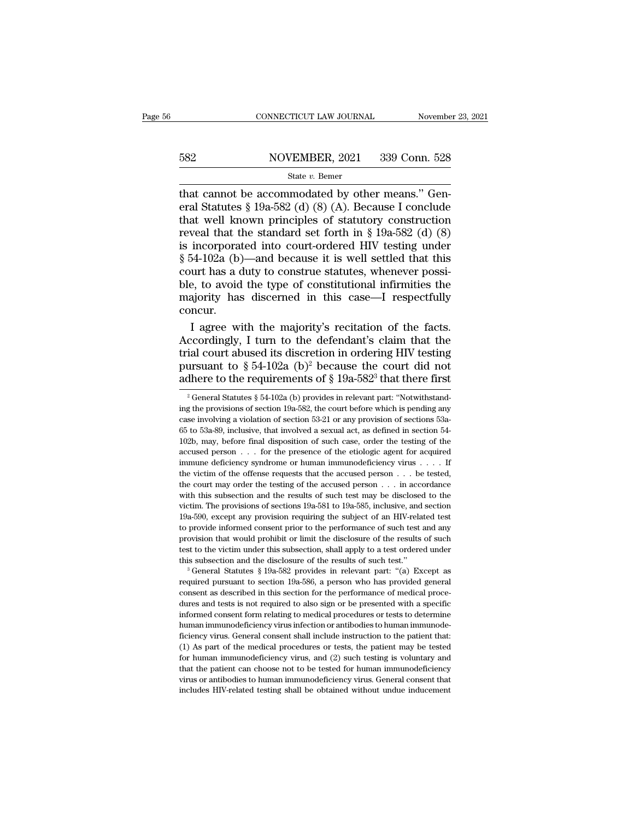# EXECUTE CONNECTICUT LAW JOURNAL Movember 23, 2021<br>582 NOVEMBER, 2021 339 Conn. 528<br>582 State v. Bemer

### State *v.* Bemer

CONNECTICUT LAW JOURNAL November<br>
582 NOVEMBER, 2021 339 Conn. 528<br>
501 State v. Bemer<br>
101 Statutes § 19a-582 (d) (8) (A). Because I conclude<br>
101 Statutes § 19a-582 (d) (8) (A). Because I conclude<br>
101 Statutes of statut Example 1943 (Separation 1943)<br>
Example 1939 (Sparation 1948)<br>
State v. Bemer<br>
Example 1945 (d) (8) (A). Because I conclude<br>
Statutes § 19a-582 (d) (8) (A). Because I conclude<br>
that well known principles of statutory cons 582 NOVEMBER, 2021 339 Conn. 528<br>
State v. Bemer<br>
that cannot be accommodated by other means." General Statutes § 19a-582 (d) (8) (A). Because I conclude<br>
that well known principles of statutory construction<br>
reveal that For Sea Solution State v. Bemer<br>
State v. Bemer<br>
that cannot be accommodated by other means." General Statutes § 19a-582 (d) (8) (A). Because I conclude<br>
that well known principles of statutory construction<br>
reveal that t Solution State v. Bemer<br>
State v. Bemer<br>
that cannot be accommodated by other means." General Statutes § 19a-582 (d) (8) (A). Because I conclude<br>
that well known principles of statutory construction<br>
reveal that the stand State v. Bemer<br>
that cannot be accommodated by other means." General Statutes § 19a-582 (d) (8) (A). Because I conclude<br>
that well known principles of statutory construction<br>
reveal that the standard set forth in § 19a-58 that cannot be accommodated by other means." General Statutes § 19a-582 (d) (8) (A). Because I conclude that well known principles of statutory construction reveal that the standard set forth in § 19a-582 (d) (8) is incor eral Statutes § 19a-582 (d) (8) (A). Because I conclude<br>that well known principles of statutory construction<br>reveal that the standard set forth in § 19a-582 (d) (8)<br>is incorporated into court-ordered HIV testing under<br>§ 5 that well known principles of statutory construction<br>reveal that the standard set forth in § 19a-582 (d) (8)<br>is incorporated into court-ordered HIV testing under<br>§ 54-102a (b)—and because it is well settled that this<br>cour concur. incorporated into court-ordered HIV testing under<br>54-102a (b)—and because it is well settled that this<br>urt has a duty to construe statutes, whenever possi-<br>e, to avoid the type of constitutional infirmities the<br>ajority has  $\S$  54-102a (b)—and because it is well settled that this<br>court has a duty to construe statutes, whenever possi-<br>ble, to avoid the type of constitutional infirmities the<br>majority has discerned in this case—I respectfully<br>c

court has a duty to construe statutes, whenever possi-<br>ble, to avoid the type of constitutional infirmities the<br>majority has discerned in this case—I respectfully<br>concur.<br>I agree with the majority's recitation of the fact ble, to avoid the type of constitutional infirmities the<br>majority has discerned in this case—I respectfully<br>concur.<br>I agree with the majority's recitation of the facts.<br>Accordingly, I turn to the defendant's claim that th majority has discerned in this case—I respectfully<br>concur.<br>I agree with the majority's recitation of the facts.<br>Accordingly, I turn to the defendant's claim that the<br>trial court abused its discretion in ordering HIV testi ccordingly, I turn to the defendant's claim that the<br>ial court abused its discretion in ordering HIV testing<br>ursuant to § 54-102a (b)<sup>2</sup> because the court did not<br>there to the requirements of § 19a-582<sup>3</sup> that there first trial court abused its discretion in ordering HIV testing<br>pursuant to § 54-102a (b)<sup>2</sup> because the court did not<br>adhere to the requirements of § 19a-582<sup>3</sup> that there first<br><sup>2</sup> General Statutes § 54-102a (b) provides in r

pursuant to § 54-102a (b)<sup>2</sup> because the court did not adhere to the requirements of § 19a-582<sup>3</sup> that there first  $\frac{1}{2}$  General Statutes § 54-102a (b) provides in relevant part: "Notwithstanding the provision of sect parsuant to  $\frac{1}{8}$  or 102a (b) because the court and not<br>adhere to the requirements of  $\frac{5}{8}$  19a-582<sup>3</sup> that there first<br><sup>2</sup> General Statutes  $\frac{5}{8}$  54-102a (b) provides in relevant part: "Notwithstand-<br>ing the Example 10 the requirements of state-302<sup>-</sup> that there inst<br>
<sup>2</sup> General Statutes § 54-102a (b) provides in relevant part: "Notwithstand-<br>
ing the provisions of section 19a-582, the court before which is pending any<br>
case <sup>2</sup> General Statutes § 54-102a (b) provides in relevant part: "Notwithstanding the provisions of section 19a-582, the court before which is pending any case involving a violation of section 53-21 or any provision of secti immune deficiency syndrome or human immunodeficiency virus . . . . If the victim of the offerse requests that involved a sexual act, as defined in section 54-65 to 53a-89, inclusive, that involved a sexual act, as defined The victim of section 53-21 or any provision of sections 53-25 case involving a violation of section 53-21 or any provision of sections 53-65 to 53a-89, inclusive, that involved a sexual act, as defined in section 54-102b 65 to 53a-89, inclusive, that involved a sexual act, as defined in section 54-<br>65 to 53a-89, inclusive, that involved a sexual act, as defined in section 54-<br>102b, may, before final disposition of such case, order the tes 102b, may, before final disposition of such case, order the testing of the accused person . . . for the presence of the etiologic agent for acquired immune deficiency syndrome or human immunodeficiency virus . . . . If th accused person  $\ldots$  for the presence of the etiologic agent for acquired immune deficiency syndrome or human immunodeficiency virus  $\ldots$ . If the victim of the offense requests that the accused person  $\ldots$  be tested, th immune deficiency syndrome or human immunodeficiency virus  $\ldots$  If the victim of the offense requests that the accused person  $\ldots$  be tested, the court may order the testing of the accused person  $\ldots$  in accordance wit the victim of the offense requests that the accused person  $\ldots$  be tested, the court may order the testing of the accused person  $\ldots$  in accordance with this subsection and the results of such test may be disclosed to t the court may order the testing of the accused person  $\ldots$  in accordance with this subsection and the results of such test may be disclosed to the victim. The provisions of sections 19a-581 to 19a-585, inclusive, and sec with this subsection and the results of such test may be disclosed to the victim. The provisions of sections  $19a-581$  to  $19a-585$ , inclusive, and section  $19a-590$ , except any provision requiring the subject of an HIV-r wictim. The provisions of sections 19a-581 to 19a-585, inclusive, and section 19a-590, except any provision requiring the subject of an HIV-related test to provide informed consent prior to the performance of such test an For provide informed consent prior to the performance of such test and any provision that would prohibit or limit the disclosure of the results of such test to the victim under this subsection, shall apply to a test order

provision that would prohibit or limit the disclosure of the results of such test to the victim under this subsection, shall apply to a test ordered under this subsection and the disclosure of the results of such test."<br><sup>3</sup> test to the victim under this subsection, shall apply to a test ordered under this subsection and the disclosure of the results of such test."<br>
<sup>3</sup> General Statutes § 19a-582 provides in relevant part: "(a) Except as<br>
req this subsection and the disclosure of the results of such test."<br>
<sup>3</sup> General Statutes § 19a-582 provides in relevant part: "(a) Except as<br>
required pursuant to section 19a-586, a person who has provided general<br>
consent a <sup>3</sup> General Statutes § 19a-582 provides in relevant part: "(a) Except as required pursuant to section 19a-586, a person who has provided general consent as described in this section for the performance of medical procedur ficiency virus. General consent shall include instruction to the patient consent as described in this section for the performance of medical procedures and tests is not required to also sign or be presented with a specific request as described in this section for the performance of medical procedures and tests is not required to also sign or be presented with a specific informed consent form relating to medical procedures or tests to determi dures and tests is not required to also sign or be presented with a specific informed consent form relating to medical procedures or tests to determine human immunodeficiency virus infection or antibodies to human immunode informed consent form relating to medical procedures or tests to determine<br>human immunodeficiency virus infection or antibodies to human immunode-<br>ficiency virus. General consent shall include instruction to the patient th informed consent form relating to medical procedures or tests to determine<br>human immunodeficiency virus infection or antibodies to human immunode-<br>ficiency virus. General consent shall include instruction to the patient th  $(1)$  As part of the medical procedures or tests, the patient may be tested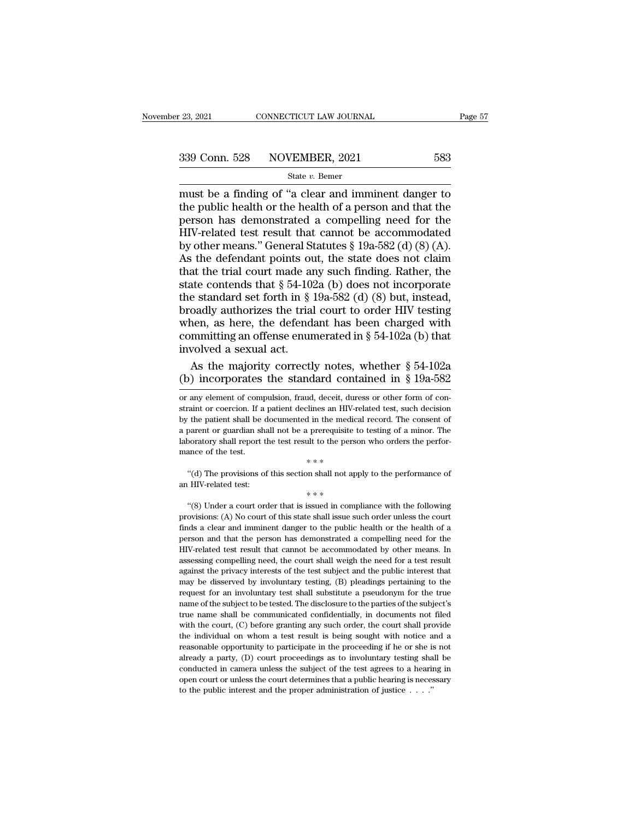# $\begin{array}{r|l} \text{23, 2021} & \text{CONNECTICUT LAW JOURNAL} & \text{Page 57} \ \text{339 Conn. } 528 & \text{NOVEMBER, 2021} & 583 \ \text{State } v. \text{ Bemer} & & \end{array}$

### State *v.* Bemer

23, 2021 CONNECTICUT LAW JOURNAL Page 57<br>
339 Conn. 528 NOVEMBER, 2021 583<br>  $\frac{\text{State } v. \text{ Bemer}}{\text{Must } \text{be a finding of "a clear and inminent danger to the public health or the health of a person and that the person has demonstrated a compelling need for the$ 339 Conn. 528 NOVEMBER, 2021 583<br>
State v. Bemer<br>
must be a finding of "a clear and imminent danger to<br>
the public health or the health of a person and that the<br>
person has demonstrated a compelling need for the<br>
HIV-rela 339 Conn. 528 NOVEMBER, 2021 583<br>
State v. Bemer<br>
must be a finding of "a clear and imminent danger to<br>
the public health or the health of a person and that the<br>
person has demonstrated a compelling need for the<br>
HIV-rela 339 Conn. 528 NOVEMBER, 2021 583<br>
State v. Bemer<br>
must be a finding of "a clear and imminent danger to<br>
the public health or the health of a person and that the<br>
person has demonstrated a compelling need for the<br>
HIV-rela **by COM.** 520 **EXAMPLE,** 2021 633<br>
State v. Bemer<br>
must be a finding of "a clear and imminent danger to<br>
the public health or the health of a person and that the<br>
person has demonstrated a compelling need for the<br>
HIV-rel State v. Bemer<br>
must be a finding of "a clear and imminent danger to<br>
the public health or the health of a person and that the<br>
person has demonstrated a compelling need for the<br>
HIV-related test result that cannot be acc must be a finding of "a clear and imminent danger to<br>the public health or the health of a person and that the<br>person has demonstrated a compelling need for the<br>HIV-related test result that cannot be accommodated<br>by other the public health or the health of a person and that the<br>person has demonstrated a compelling need for the<br>HIV-related test result that cannot be accommodated<br>by other means." General Statutes § 19a-582 (d) (8) (A).<br>As th person has demonstrated a compelling need for the<br>HIV-related test result that cannot be accommodated<br>by other means." General Statutes § 19a-582 (d) (8) (A).<br>As the defendant points out, the state does not claim<br>that the HIV-related test result that cannot be accommodated<br>by other means." General Statutes § 19a-582 (d) (8) (A).<br>As the defendant points out, the state does not claim<br>that the trial court made any such finding. Rather, the<br>st by other means." General Statutes  $\S$  19a-582 (d) (8) (A).<br>As the defendant points out, the state does not claim<br>that the trial court made any such finding. Rather, the<br>state contends that  $\S$  54-102a (b) does not incorpo As the defendant points out, the state does not claim<br>that the trial court made any such finding. Rather, the<br>state contends that § 54-102a (b) does not incorporate<br>the standard set forth in § 19a-582 (d) (8) but, instead that the trial court made as<br>state contends that  $\S$  54-10:<br>the standard set forth in  $\S$ <br>broadly authorizes the trial<br>when, as here, the defend<br>committing an offense enur<br>involved a sexual act.<br>As the majority correctl ate contends that § 54-102a (b) does not incorporate<br>e standard set forth in § 19a-582 (d) (8) but, instead,<br>oadly authorizes the trial court to order HIV testing<br>nen, as here, the defendant has been charged with<br>mmitting the standard set forth in § 19a-582 (d) (8) but, instead,<br>broadly authorizes the trial court to order HIV testing<br>when, as here, the defendant has been charged with<br>committing an offense enumerated in § 54-102a (b) that<br>i

The contract of the test.<br>  $***$ <br>
"(d) The provisions of this section shall not apply to the performance of HIV-related test:<br>  $***$ <br>
"(8) Under a court order that is issued in compliance with the following ovisions: (A) No co  $**$ <br>
"(d) The provisions of this section shall not apply to the performance of<br>
an HIV-related test:<br>  $***$ <br>
"(8) Under a court order that is issued in compliance with the following<br>
provisions: (A) No court of this state s finds a clear and imminent danger to the public health or the health of a person and that the person has demonstrated a compliance with the following provisions: (A) No court of this state shall issue such order unless th an HIV-related test:<br>
\*\*\*<br>
"(8) Under a court order that is issued in compliance with the following<br>
provisions: (A) No court of this state shall issue such order unless the court<br>
finds a clear and imminent danger to the  $**$ <br>
"(8) Under a court order that is issued in compliance with the following<br>
provisions: (A) No court of this state shall issue such order unless the court<br>
finds a clear and imminent danger to the public health or the "(8) Under a court order that is issued in compliance with the following provisions: (A) No court of this state shall issue such order unless the court finds a clear and imminent danger to the public health or the health provisions: (A) No court of this state shall issue such order unless the court<br>finds a clear and imminent danger to the public health or the health of a<br>person and that the person has demonstrated a compelling need for th Finds a clear and imminent danger to the public health or the health of a<br>finds a clear and imminent danger to the public health or the health of a<br>person and that the person has demonstrated a compelling need for the<br>HIVrepreson and that the person has demonstrated a compelling need for the HIV-related test result that cannot be accommodated by other means. In assessing compelling need, the court shall weigh the need for a test result aga FIIV-related test result that cannot be accommodated by other means. In assessing compelling need, the court shall weigh the need for a test result against the privacy interests of the test subject and the public interest assessing compelling need, the court shall weigh the need for a test result against the privacy interests of the test subject and the public interest that may be disserved by involuntary testing, (B) pleadings pertaining t against the privacy interests of the test subject and the public interest that may be disserved by involuntary testing, (B) pleadings pertaining to the request for an involuntary test shall substitute a pseudonym for the t the individual on whom a test result is being sought with notice and a reasonable opportunity to the produce and a test of the subject's true name shall be communicated confidentially, in documents not filed with the court request for an involuntary test shall substitute a pseudonym for the true<br>name of the subject to be tested. The disclosure to the parties of the subject's<br>true name shall be communicated confidentially, in documents not f ready a party, (D) court proceedings as to involuntary testing in comme of the subject's true name shall be communicated confidentially, in documents not filed with the court, (C) before granting any such order, the court true name shall be communicated confidentially, in documents not filed<br>with the court, (C) before granting any such order, the court shall provide<br>the individual on whom a test result is being sought with notice and a<br>reas with the court, (C) before granting any such order, the court shall provide the individual on whom a test result is being sought with notice and a reasonable opportunity to participate in the proceeding if he or she is no the individual on whom a test result is being sought with notice and a reasonable opportunity to participate in the proceeding if he or she is not already a party, (D) court proceedings as to involuntary testing shall be

committing an offense enumerated in § 54-102a (b) that<br>involved a sexual act.<br>As the majority correctly notes, whether § 54-102a<br>(b) incorporates the standard contained in § 19a-582<br>or any element of compulsion, fraud, de involved a sexual act.<br>
As the majority correctly notes, whether  $\S$  54-102a<br>
(b) incorporates the standard contained in  $\S$  19a-582<br>
or any element of compulsion, fraud, deceit, duress or other form of con-<br>
straint or c As the majority correctly notes, whether  $\S$  54-102a<br>
(b) incorporates the standard contained in  $\S$  19a-582<br>
or any element of compulsion, fraud, deceit, duress or other form of con-<br>
straint or coercion. If a patient de The the majority correctly hotes, whencer  $\frac{1}{8}$  or  $\frac{1}{2}$  or  $\frac{1}{2}$  (b) incorporates the standard contained in  $\frac{8}{8}$  19a-582 or any element of compulsion, fraud, deceit, duress or other form of constraint or Laboratory shall report the standard contrained in  $\frac{1}{9}$  198-902<br>or any element of compulsion, fraud, deceit, duress or other form of con-<br>straint or coercion. If a patient declines an HIV-related test, such decision<br> % or any element of compulsion, fraud, deceit, due<br>straint or coercion. If a patient declines an HIV-by the patient shall be documented in the medic<br>a parent or guardian shall not be a prerequisite<br>laboratory shall report The patient shall be documented in the medical record. The consent of the patient shall not be a prerequisite to testing of a minor. The ooratory shall report the test result to the person who orders the performance of th an HIV-related test:<br>  $\begin{aligned}\na \text{ parent or} \text{ guardian shall not be a prerequisite} \\
\text{laboratory shall report the test result to the pers} \\
\text{maner of the test.} \\
\text{``(d) The provisions of this section shall not an HIV-related test:}\n\end{aligned}$ <br>  $\begin{aligned}\n\ast \ast \ast \\
\text{``(8) Under a court order that is issued in com}\n\end{aligned}$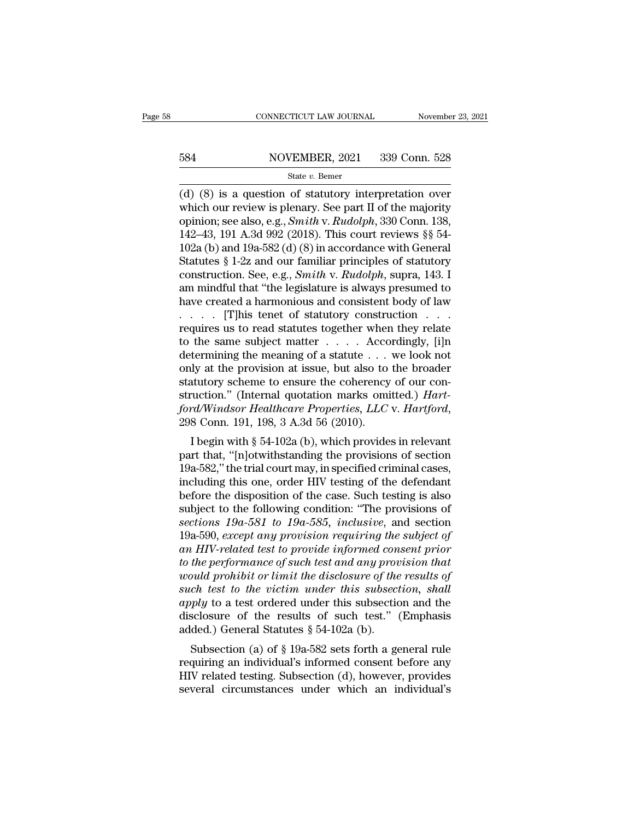# EXECUTE CONNECTICUT LAW JOURNAL Movember 23, 2021<br>584 NOVEMBER, 2021 339 Conn. 528<br>584 State v. Bemer

### State *v.* Bemer

 $\frac{\text{COMNETICUT LAW JOURNAL}}{\text{S34}}$  NOVEMBER, 2021 339 Conn. 528<br>  $\frac{\text{State } v. \text{ Bemer}}{\text{(d) (8) is a question of statutory interpretation over which our review is plenary. See part II of the majority opinion: see also 0.6. Smith by Budolch 330 Conn. 138$ 584 NOVEMBER, 2021 339 Conn. 528<br>
state v. Bemer<br>
(d) (8) is a question of statutory interpretation over<br>
which our review is plenary. See part II of the majority<br>
opinion; see also, e.g., *Smith v. Rudolph*, 330 Conn. 13 **S84** NOVEMBER, 2021 339 Conn. 528<br>
State v. Bemer<br>
(d) (8) is a question of statutory interpretation over<br>
which our review is plenary. See part II of the majority<br>
opinion; see also, e.g., *Smith* v. *Rudolph*, 330 Conn. 584 NOVEMBER, 2021 339 Conn. 528<br>
State v. Bemer<br>
(d) (8) is a question of statutory interpretation over<br>
which our review is plenary. See part II of the majority<br>
opinion; see also, e.g., *Smith* v. *Rudolph*, 330 Conn. State v. Bener<br>
(d) (8) is a question of statutory interpretation over<br>
which our review is plenary. See part II of the majority<br>
opinion; see also, e.g., *Smith* v. *Rudolph*, 330 Conn. 138,<br>
142–43, 191 A.3d 992 (2018). State v. Bemer<br>
(d) (8) is a question of statutory interpretation over<br>
which our review is plenary. See part II of the majority<br>
opinion; see also, e.g., *Smith* v. *Rudolph*, 330 Conn. 138,<br>
142–43, 191 A.3d 992 (2018). (d) (8) is a question of statutory interpretation over<br>which our review is plenary. See part II of the majority<br>opinion; see also, e.g., *Smith* v. *Rudolph*, 330 Conn. 138,<br>142–43, 191 A.3d 992 (2018). This court reviews which our review is plenary. See part II of the majority<br>opinion; see also, e.g., *Smith v. Rudolph*, 330 Conn. 138,<br>142–43, 191 A.3d 992 (2018). This court reviews §§ 54-<br>102a (b) and 19a-582 (d) (8) in accordance with G opinion; see also, e.g., *Smith* v. *Rudolph*, 330 Conn. 138, 142–43, 191 A.3d 992 (2018). This court reviews §§ 54-<br>102a (b) and 19a-582 (d) (8) in accordance with General Statutes § 1-2z and our familiar principles of s 142–43, 191 A.3d 992 (2018). This court reviews §§ 54-<br>102a (b) and 19a-582 (d) (8) in accordance with General<br>Statutes § 1-2z and our familiar principles of statutory<br>construction. See, e.g., *Smith* v. *Rudolph*, supra, 102a (b) and 19a-582 (d) (8) in accordance with General<br>Statutes § 1-2z and our familiar principles of statutory<br>construction. See, e.g., *Smith* v. *Rudolph*, supra, 143. I<br>am mindful that "the legislature is always pres Statutes § 1-2z and our familiar principles of statutory<br>construction. See, e.g., *Smith* v. *Rudolph*, supra, 143. I<br>am mindful that "the legislature is always presumed to<br>have created a harmonious and consistent body of construction. See, e.g., *Smith v. Rudolph*, supra, 143. I<br>am mindful that "the legislature is always presumed to<br>have created a harmonious and consistent body of law<br> $\ldots$  [T]his tenet of statutory construction  $\ldots$ <br>req am mindful that "the legislature is always presumed to<br>have created a harmonious and consistent body of law<br>. . . . . . . [T]his tenet of statutory construction . . .<br>requires us to read statutes together when they relate have created a harmonious and consistent body of law<br>  $\ldots$  [T]his tenet of statutory construction  $\ldots$ <br>
requires us to read statutes together when they relate<br>
to the same subject matter  $\ldots$ . Accordingly, [i]n<br>
determ struction.'' (Internal quotation marks omitted.) *Hartford/Windsor Healthcare Properties, LLC* v. *Hartford/Windsor Health S4.3d S4.3d S4.3d S6 (2010).* I begin with § 54-102a (b), which provides in relevant properties, *Hartford/Windsor Healthcare Properties, LLC* v. *Hartf* Iternifilm give meaning or a statute  $\cdot \cdot \cdot$  we look not<br>ly at the provision at issue, but also to the broader<br>atutory scheme to ensure the coherency of our con-<br>ruction." (Internal quotation marks omitted.) *Hart-*<br>rd/W buty at the provision at issue, but also to the broader<br>statutory scheme to ensure the coherency of our con-<br>struction." (Internal quotation marks omitted.) *Hart-*<br>ford/Windsor Healthcare Properties, LLC v. Hartford,<br>298

statutory scheme to ensure the contentry of our construction." (Internal quotation marks omitted.) *Hart-ford/Windsor Healthcare Properties, LLC* v. *Hartford,*<br>298 Conn. 191, 198, 3 A.3d 56 (2010).<br>I begin with § 54-102a struction. (internal quotation marks ontitied.) Tari-<br>ford/Windsor Healthcare Properties, LLC v. Hartford,<br>298 Conn. 191, 198, 3 A.3d 56 (2010).<br>I begin with § 54-102a (b), which provides in relevant<br>part that, "[n]otwith bord winds of Healincare Troperues, EEC v. Harlyora,<br>298 Conn. 191, 198, 3 A.3d 56 (2010).<br>I begin with § 54-102a (b), which provides in relevant<br>part that, "[n]otwithstanding the provisions of section<br>19a-582," the trial I begin with § 54-102a (b), which provides in relevant<br>part that, "[n]otwithstanding the provisions of section<br>19a-582," the trial court may, in specified criminal cases,<br>including this one, order HIV testing of the defen I begin with § 54-102a (b), which provides in relevant<br>part that, "[n]otwithstanding the provisions of section<br>19a-582," the trial court may, in specified criminal cases,<br>including this one, order HIV testing of the defend part that, "[n]otwithstanding the provisions of section 19a-582," the trial court may, in specified criminal cases, including this one, order HIV testing of the defendant before the disposition of the case. Such testing is 19a-582," the trial court may, in specified criminal cases,<br>including this one, order HIV testing of the defendant<br>before the disposition of the case. Such testing is also<br>subject to the following condition: "The provision including this one, order HIV testing of the defendant<br>before the disposition of the case. Such testing is also<br>subject to the following condition: "The provisions of<br>sections 19a-581 to 19a-585, inclusive, and section<br>19a *were the disposition of the case. Such testing is also* subject to the following condition: "The provisions of sections 19a-581 to 19a-585, inclusive, and section 19a-590, except any provision requiring the subject of an subject to the following condition: "The provisions of<br>sections 19a-581 to 19a-585, inclusive, and section<br>19a-590, except any provision requiring the subject of<br>an HIV-related test to provide informed consent prior<br>to the *sections 19a-581 to 19a-585, inclusive, and section*<br>19a-590, *except any provision requiring the subject of*<br>*an HIV-related test to provide informed consent prior*<br>*to the performance of such test and any provision that* 19a-590, except any provision requiring the subject of<br>an HIV-related test to provide informed consent prior<br>to the performance of such test and any provision that<br>would prohibit or limit the disclosure of the results of<br> an HIV-related test to provide informed con<br>to the performance of such test and any prov<br>would prohibit or limit the disclosure of the<br>such test to the victim under this subsectic<br>apply to a test ordered under this subsec *Subsection (a) of § 19a-582* sets forth a general rule perpendicular probability of the victim under this subsection, shall ply to a test ordered under this subsection and the sclosure of the results of such test." (Emph *requision to infinit the discussive of the results of*<br>such test to the victim under this subsection, shall<br>apply to a test ordered under this subsection and the<br>disclosure of the results of such test." (Emphasis<br>added.)

Such lest to the bittim ander this subsection, shall apply to a test ordered under this subsection and the disclosure of the results of such test." (Emphasis added.) General Statutes  $\S 54-102a$  (b).<br>Subsection (a) of  $\S$ subsection and the disclosure of the results of such test." (Emphasis added.) General Statutes  $\S$  54-102a (b).<br>Subsection (a) of  $\S$  19a-582 sets forth a general rule requiring an individual's informed consent before any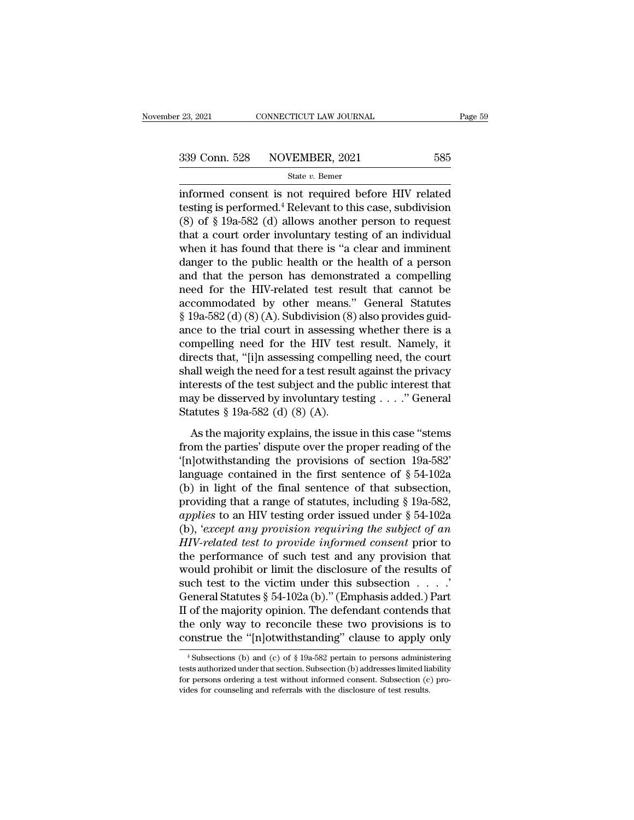<sup>23, 2021</sup> CONNECTICUT LAW JOURNAL Page 59<br>
339 Conn. 528 NOVEMBER, 2021 585<br>
<sup>339</sup> State *v*. Bemer<br>
informed consent is not required before HIV related<br>
testing is performed.<sup>4</sup> Relevant to this case, subdivision<br>
(8) o 339 Conn. 528 NOVEMBER, 2021 585<br>
State v. Bemer<br>
informed consent is not required before HIV related<br>
testing is performed.<sup>4</sup> Relevant to this case, subdivision<br>
(8) of § 19a-582 (d) allows another person to request<br>
th (8)  $\frac{339 \text{ Conn. } 528 \text{ NOVEMBER, } 2021 \qquad \qquad 585 \text{ State } v. \text{ Bemer} }$ <br>
informed consent is not required before HIV related<br>
testing is performed.<sup>4</sup> Relevant to this case, subdivision<br>
(8) of § 19a-582 (d) allows another person to 339 Conn. 528 NOVEMBER, 2021 585<br>
state v. Bemer<br>
informed consent is not required before HIV related<br>
testing is performed.<sup>4</sup> Relevant to this case, subdivision<br>
(8) of § 19a-582 (d) allows another person to request<br>
th State v. Bemer<br>
informed consent is not required before HIV related<br>
testing is performed.<sup>4</sup> Relevant to this case, subdivision<br>
(8) of § 19a-582 (d) allows another person to request<br>
that a court order involuntary testi state *v*. Bemer<br>informed consent is not required before HIV related<br>testing is performed.<sup>4</sup> Relevant to this case, subdivision<br>(8) of § 19a-582 (d) allows another person to request<br>that a court order involuntary testing informed consent is not required before HIV related<br>testing is performed.<sup>4</sup> Relevant to this case, subdivision<br>(8) of § 19a-582 (d) allows another person to request<br>that a court order involuntary testing of an individual<br> testing is performed.<sup>4</sup> Relevant to this case, subdivision (8) of § 19a-582 (d) allows another person to request that a court order involuntary testing of an individual when it has found that there is "a clear and immine (8) of § 19a-582 (d) allows another person to request<br>that a court order involuntary testing of an individual<br>when it has found that there is "a clear and imminent<br>danger to the public health or the health of a person<br>and that a court order involuntary testing of an individual<br>when it has found that there is "a clear and imminent<br>danger to the public health or the health of a person<br>and that the person has demonstrated a compelling<br>need for when it has found that there is "a clear and imminent<br>danger to the public health or the health of a person<br>and that the person has demonstrated a compelling<br>need for the HIV-related test result that cannot be<br>accommodate danger to the public health or the health of a person<br>and that the person has demonstrated a compelling<br>need for the HIV-related test result that cannot be<br>accommodated by other means." General Statutes<br>§ 19a-582 (d) (8) ( and that the person has demonstrated a compelling<br>need for the HIV-related test result that cannot be<br>accommodated by other means." General Statutes<br>§ 19a-582 (d) (8) (A). Subdivision (8) also provides guid-<br>ance to the tr need for the HIV-related test result that cannot be<br>accommodated by other means." General Statutes<br>§ 19a-582 (d) (8) (A). Subdivision (8) also provides guid-<br>ance to the trial court in assessing whether there is a<br>compelli accommodated by other means." General Statutes<br>
§ 19a-582 (d) (8) (A). Subdivision (8) also provides guid-<br>
ance to the trial court in assessing whether there is a<br>
compelling need for the HIV test result. Namely, it<br>
dir  $\S$  19a-582 (d) (8) (A). Subdivision (8) also provides guidance to the trial court in assessing whether there is a compelling need for the HIV test result. Namely, it directs that, "[i]n assessing compelling need, the cou ance to the trial court in assessing<br>compelling need for the HIV test<br>directs that, "[i]n assessing compel<br>shall weigh the need for a test result<br>interests of the test subject and the<br>may be disserved by involuntary tes<br>St Framed and the majority explains (the court<br>all weigh the need for a test result against the privacy<br>terests of the test subject and the public interest that<br>ay be disserved by involuntary testing . . . . " General<br>atutes shall weigh the need for a test result against the privacy<br>sinterests of the test subject and the public interest that<br>may be disserved by involuntary testing . . . ." General<br>Statutes § 19a-582 (d) (8) (A).<br>As the majori

The mass of the test subject and the public interest that<br>
may be disserved by involuntary testing . . . ." General<br>
Statutes § 19a-582 (d) (8) (A).<br>
As the majority explains, the issue in this case "stems<br>
from the parti may be disserved by involuntary testing . . . ." General<br>Statutes § 19a-582 (d) (8) (A).<br>As the majority explains, the issue in this case "stems<br>from the parties' dispute over the proper reading of the<br>'[n]otwithstanding Statutes § 19a-582 (d) (8) (A).<br>
As the majority explains, the issue in this case "stems<br>
from the parties' dispute over the proper reading of the<br>
'[n]otwithstanding the provisions of section 19a-582'<br>
language contained As the majority explains, the issue in this case "stems<br>from the parties' dispute over the proper reading of the<br>'[n]otwithstanding the provisions of section 19a-582'<br>language contained in the first sentence of § 54-102a<br> As the majority explains, the issue in this case "stems<br>from the parties' dispute over the proper reading of the<br>'[n]otwithstanding the provisions of section 19a-582'<br>language contained in the first sentence of  $\S 54-102a$ from the parties' dispute over the proper reading of the<br>
'[n]otwithstanding the provisions of section 19a-582'<br>
language contained in the first sentence of  $\S 54-102a$ <br>
(b) in light of the final sentence of that subsecti "In Jotwithstanding the provisions of section 19a-582"<br>
language contained in the first sentence of  $\S$  54-102a<br>
(b) in light of the final sentence of that subsection,<br>
providing that a range of statutes, including  $\S$  19 language contained in the first sentence of  $\S$  54-102a<br>(b) in light of the final sentence of that subsection,<br>providing that a range of statutes, including  $\S$  19a-582,<br>*applies* to an HIV testing order issued under  $\S$  (b) in light of the final sentence of that subsection,<br>providing that a range of statutes, including § 19a-582,<br>*applies* to an HIV testing order issued under § 54-102a<br>(b), 'except any provision requiring the subject of providing that a range of statutes, including § 19a-582,<br>applies to an HIV testing order issued under § 54-102a<br>(b), 'except any provision requiring the subject of an<br>HIV-related test to provide informed consent prior to<br> applies to an HIV testing order issued under § 54-102a<br>(b), 'except any provision requiring the subject of an<br>HIV-related test to provide informed consent prior to<br>the performance of such test and any provision that<br>would (b), 'except any provision requiring the subject of an HIV-related test to provide informed consent prior to the performance of such test and any provision that would prohibit or limit the disclosure of the results of suc HIV-related test to provide informed consent prior to<br>the performance of such test and any provision that<br>would prohibit or limit the disclosure of the results of<br>such test to the victim under this subsection  $\dots$ .<br>Genera the performance of such test and any provision that<br>would prohibit or limit the disclosure of the results of<br>such test to the victim under this subsection . . . . .<br>General Statutes § 54-102a (b)." (Emphasis added.) Part<br> eneral Statutes § 54-102a (b)." (Emphasis added.) Part<br>of the majority opinion. The defendant contends that<br>he only way to reconcile these two provisions is to<br>onstrue the "[n]otwithstanding" clause to apply only<br> $\frac{4}{3}$ II of the majority opinion. The defendant contends that<br>the only way to reconcile these two provisions is to<br>construe the "[n]otwithstanding" clause to apply only<br><sup>4</sup> Subsections (b) and (c) of § 19a-582 pertain to person

the only way to reconcile these two provisions is to construe the "[n]otwithstanding" clause to apply only  $\frac{4 \text{ Subsections (b) and (c) of § } 19a-582 \text{ pertain to persons administered tests authorized under that section. Subsection (b) addresses limited liability for persons ordering a test without informed consent. Subsection (c) provides for conseling and referrals with the disclosure of test results.}$ construe the "[n]otwithstanding" clause to apply <br>
<sup>4</sup>Subsections (b) and (c) of § 19a-582 pertain to persons adminis<br>
tests authorized under that section. Subsection (b) addresses limited lia<br>
for persons ordering a test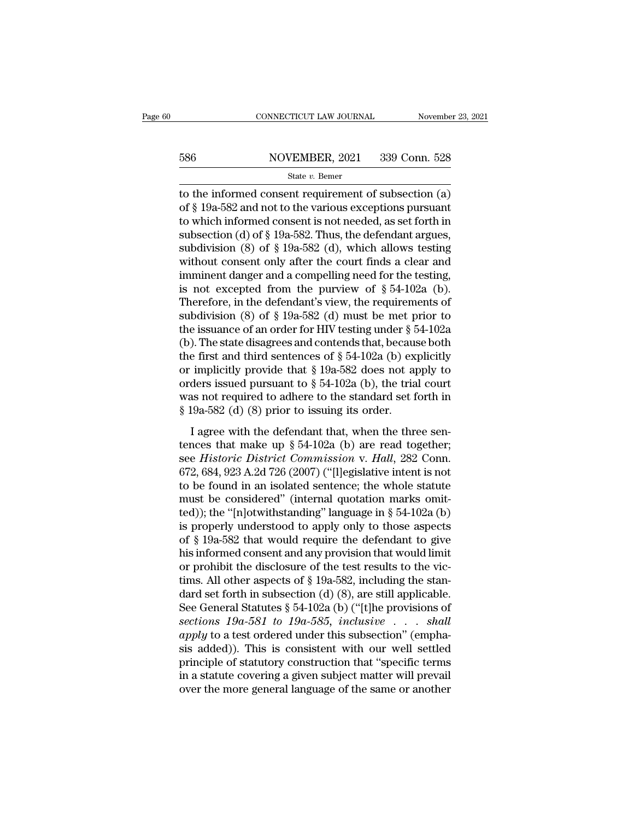# EXECUTE CONNECTICUT LAW JOURNAL Movember 23, 2021<br>586 NOVEMBER, 2021 339 Conn. 528<br>586 State v. Bemer

### State *v.* Bemer

CONNECTICUT LAW JOURNAL November 23, 2021<br>
586 NOVEMBER, 2021 339 Conn. 528<br>
586 State v. Bemer<br>
528 State v. Bemer<br>
528 State v. Bemer<br>
528 State v. Bemer<br>
528 State v. Bemer<br>
528 State v. Bemer<br>
528 State v. Bemer<br>
528 586 NOVEMBER, 2021 339 Conn. 528<br>
State v. Bemer<br>
to the informed consent requirement of subsection (a)<br>
of § 19a-582 and not to the various exceptions pursuant<br>
to which informed consent is not needed, as set forth in<br>
s 586 NOVEMBER, 2021 339 Conn. 528<br>
State v. Bemer<br>
to the informed consent requirement of subsection (a)<br>
of § 19a-582 and not to the various exceptions pursuant<br>
to which informed consent is not needed, as set forth in<br>
s 586 NOVEMBER, 2021 339 Conn. 528<br>
State v. Bemer<br>
to the informed consent requirement of subsection (a)<br>
of § 19a-582 and not to the various exceptions pursuant<br>
to which informed consent is not needed, as set forth in<br>
s state v. Bemer<br>state v. Bemer<br>to the informed consent requirement of subsection (a)<br>of § 19a-582 and not to the various exceptions pursuant<br>to which informed consent is not needed, as set forth in<br>subsection (d) of § 19astate v. Bemer<br>to the informed consent requirement of subsection (a)<br>of § 19a-582 and not to the various exceptions pursuant<br>to which informed consent is not needed, as set forth in<br>subsection (d) of § 19a-582. Thus, the to the informed consent requirement of subsection (a)<br>of § 19a-582 and not to the various exceptions pursuant<br>to which informed consent is not needed, as set forth in<br>subsection (d) of § 19a-582. Thus, the defendant argue of § 19a-582 and not to the various exceptions pursuant<br>to which informed consent is not needed, as set forth in<br>subsection (d) of § 19a-582. Thus, the defendant argues,<br>subdivision (8) of § 19a-582 (d), which allows test to which informed consent is not needed, as set forth in<br>subsection (d) of § 19a-582. Thus, the defendant argues,<br>subdivision (8) of § 19a-582 (d), which allows testing<br>without consent only after the court finds a clear a subsection (d) of § 19a-582. Thus, the defendant argues,<br>subdivision (8) of § 19a-582 (d), which allows testing<br>without consent only after the court finds a clear and<br>imminent danger and a compelling need for the testing, subdivision (8) of § 19a-582 (d), which allows testing<br>without consent only after the court finds a clear and<br>imminent danger and a compelling need for the testing,<br>is not excepted from the purview of § 54-102a (b).<br>There without consent only after the court finds a clear and<br>imminent danger and a compelling need for the testing,<br>is not excepted from the purview of  $\S 54-102a$  (b).<br>Therefore, in the defendant's view, the requirements of<br>su imminent danger and a compelling need for the testing,<br>is not excepted from the purview of § 54-102a (b).<br>Therefore, in the defendant's view, the requirements of<br>subdivision (8) of § 19a-582 (d) must be met prior to<br>the i is not excepted from the purview of § 54-102a (b).<br>Therefore, in the defendant's view, the requirements of<br>subdivision (8) of § 19a-582 (d) must be met prior to<br>the issuance of an order for HIV testing under § 54-102a<br>(b) Therefore, in the defendant's view, the requirements of<br>subdivision (8) of § 19a-582 (d) must be met prior to<br>the issuance of an order for HIV testing under § 54-102a<br>(b). The state disagrees and contends that, because bo subdivision (8) of § 19a-582 (d) must be met prior to<br>the issuance of an order for HIV testing under § 54-102a<br>(b). The state disagrees and contends that, because both<br>the first and third sentences of § 54-102a (b) explic the issuance of an order for HIV testing under  $\S$  5<br>(b). The state disagrees and contends that, becaus<br>the first and third sentences of  $\S$  54-102a (b) ex<br>or implicitly provide that  $\S$  19a-582 does not a<br>orders issued p It is state and the defendant that, because some<br>
e first and third sentences of § 54-102a (b) explicitly<br>
implicitly provide that § 19a-582 does not apply to<br>
ders issued pursuant to § 54-102a (b), the trial court<br>
as no or implicitly provide that § 19a-582 does not apply to<br>orders issued pursuant to § 54-102a (b), the trial court<br>was not required to adhere to the standard set forth in<br>§ 19a-582 (d) (8) prior to issuing its order.<br>I agree

or implicity provide that *s* for 52 tocs fier apply to<br>orders issued pursuant to § 54-102a (b), the trial court<br>was not required to adhere to the standard set forth in<br>§ 19a-582 (d) (8) prior to issuing its order.<br>I agree was not required to adhere to the standard set forth in  $\S$  19a-582 (d) (8) prior to issuing its order.<br>
I agree with the defendant that, when the three sentences that make up  $\S$  54-102a (b) are read together;<br>
see *Hist* Section 1982 1984-582 (d) (8) prior to issuing its order.<br>
I agree with the defendant that, when the three sentences that make up § 54-102a (b) are read together;<br>
see *Historic District Commission v. Hall*, 282 Conn.<br>
67 I agree with the defendant that, when the three sentences that make up § 54-102a (b) are read together; see *Historic District Commission v. Hall*, 282 Conn. 672, 684, 923 A.2d 726 (2007) ("[l]egislative intent is not to I agree with the defendant that, when the three sentences that make up § 54-102a (b) are read together;<br>see *Historic District Commission* v. *Hall*, 282 Conn.<br>672, 684, 923 A.2d 726 (2007) ("[l]egislative intent is not<br>t tences that make up  $\S$  54-102a (b) are read together;<br>see *Historic District Commission* v. *Hall*, 282 Conn.<br>672, 684, 923 A.2d 726 (2007) ("[l]egislative intent is not<br>to be found in an isolated sentence; the whole sta see *Historic District Commission* v. *Hall*, 282 Conn.<br>672, 684, 923 A.2d 726 (2007) ("[l]egislative intent is not<br>to be found in an isolated sentence; the whole statute<br>must be considered" (internal quotation marks omit-672, 684, 923 A.2d 726 (2007) ("[l]egislative intent is not<br>to be found in an isolated sentence; the whole statute<br>must be considered" (internal quotation marks omit-<br>ted)); the "[n]otwithstanding" language in § 54-102a ( to be found in an isolated sentence; the whole statute<br>must be considered" (internal quotation marks omit-<br>ted)); the "[n]otwithstanding" language in § 54-102a (b)<br>is properly understood to apply only to those aspects<br>of must be considered" (internal quotation marks omit-<br>ted)); the "[n]otwithstanding" language in § 54-102a (b)<br>is properly understood to apply only to those aspects<br>of § 19a-582 that would require the defendant to give<br>his ted)); the "[n]otwithstanding" language in § 54-102a (b)<br>is properly understood to apply only to those aspects<br>of § 19a-582 that would require the defendant to give<br>his informed consent and any provision that would limit<br> is properly understood to apply only to those aspects<br>of § 19a-582 that would require the defendant to give<br>his informed consent and any provision that would limit<br>or prohibit the disclosure of the test results to the vic of § 19a-582 that would require the defendant to give<br>his informed consent and any provision that would limit<br>or prohibit the disclosure of the test results to the vic-<br>tims. All other aspects of § 19a-582, including the s his informed consent and any provision that would limit<br>or prohibit the disclosure of the test results to the vic-<br>tims. All other aspects of § 19a-582, including the stan-<br>dard set forth in subsection (d) (8), are still or prohibit the disclosure of the test results to the victims. All other aspects of § 19a-582, including the stan-<br>dard set forth in subsection (d) (8), are still applicable.<br>See General Statutes § 54-102a (b) ("[t]he pro tims. All other aspects of § 19a-582, including the stan-<br>dard set forth in subsection (d) (8), are still applicable.<br>See General Statutes § 54-102a (b) ("[t]he provisions of<br>sections 19a-581 to 19a-585, inclusive . . . s dard set forth in subsection (d) (8), are still applicable.<br>See General Statutes § 54-102a (b) ("[t]he provisions of<br>sections 19a-581 to 19a-585, inclusive . . . shall<br>apply to a test ordered under this subsection" (empha See General Statutes § 54-102a (b) ("[t]he provisions of *sections 19a-581 to 19a-585*, *inclusive* . . . *shall apply* to a test ordered under this subsection" (emphasis added)). This is consistent with our well settle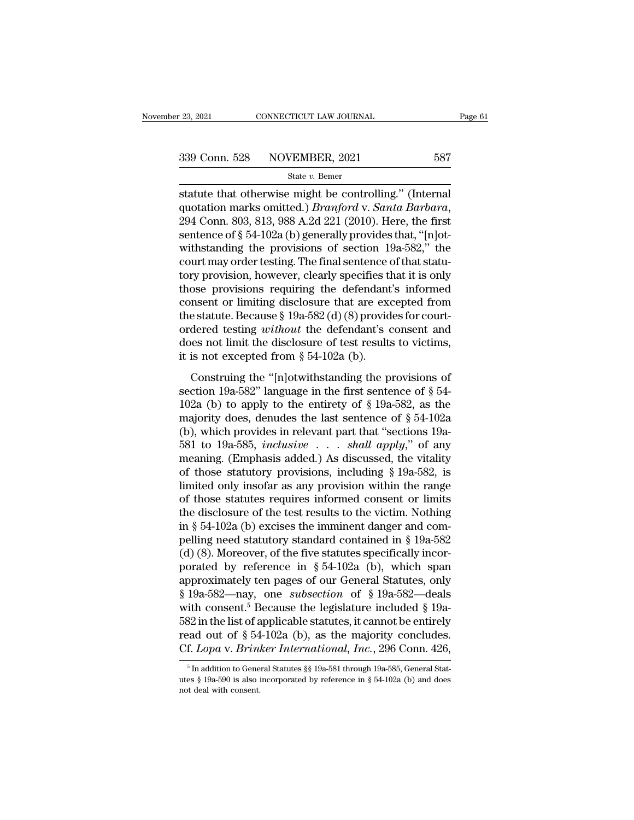statute that otherwise might be controlling." (Internal protection marks omitted.) *Branford v. Santa Barbara*,<br>2014 Conn. 803–813–988 A 2d 211–2010) Horo the first <sup>339</sup> Conn. 528 NOVEMBER, 2021 587<br>
<sup>State v. Bemer<br>
statute that otherwise might be controlling." (Internal<br>
quotation marks omitted.) *Branford* v. *Santa Barbara*,<br>
294 Conn. 803, 813, 988 A.2d 221 (2010). Here, the fir</sup> 339 Conn. 528 NOVEMBER, 2021 587<br>
State v. Bemer<br>
statute that otherwise might be controlling." (Internal<br>
quotation marks omitted.) *Branford* v. *Santa Barbara*,<br>
294 Conn. 803, 813, 988 A.2d 221 (2010). Here, the first Statute that otherwise might be controlling." (Internal<br>quotation marks omitted.) *Branford* v. *Santa Barbara*,<br>294 Conn. 803, 813, 988 A.2d 221 (2010). Here, the first<br>sentence of § 54-102a (b) generally provides that, statute that otherwise might be controlling." (Internal<br>quotation marks omitted.) *Branford v. Santa Barbara*,<br>294 Conn. 803, 813, 988 A.2d 221 (2010). Here, the first<br>sentence of  $\S$  54-102a (b) generally provides that, statute that otherwise might be controlling." (Internal<br>quotation marks omitted.) *Branford* v. *Santa Barbara*,<br>294 Conn. 803, 813, 988 A.2d 221 (2010). Here, the first<br>sentence of § 54-102a (b) generally provides that, " quotation marks omitted.) *Branford* v. *Santa Barbara*,<br>294 Conn. 803, 813, 988 A.2d 221 (2010). Here, the first<br>sentence of § 54-102a (b) generally provides that, "[n]ot-<br>withstanding the provisions of section 19a-582," 294 Conn. 803, 813, 988 A.2d 221 (2010). Here, the first<br>sentence of § 54-102a (b) generally provides that, "[n]ot-<br>withstanding the provisions of section 19a-582," the<br>court may order testing. The final sentence of that sentence of § 54-102a (b) generally provides that, "[n]ot-<br>withstanding the provisions of section 19a-582," the<br>court may order testing. The final sentence of that statu-<br>tory provision, however, clearly specifies that it withstanding the provisions of section 19a-582," the<br>court may order testing. The final sentence of that statu-<br>tory provision, however, clearly specifies that it is only<br>those provisions requiring the defendant's informed court may order testing. The final sentence of that statu-<br>tory provision, however, clearly specifies that it is only<br>those provisions requiring the defendant's informed<br>consent or limiting disclosure that are excepted fr tory provision, however, clearly specifies those provisions requiring the defendant consent or limiting disclosure that are excepted testing without the defendant's conserved testing without the defendant's conserved from msent or limiting disclosure that are excepted from<br>e statute. Because § 19a-582 (d) (8) provides for court-<br>dered testing *without* the defendant's consent and<br>es not limit the disclosure of test results to victims,<br>is n the statute. Because § 19a-582'(d) (8) provides for court-<br>ordered testing *without* the defendant's consent and<br>does not limit the disclosure of test results to victims,<br>it is not excepted from § 54-102a (b).<br>Construing

ordered testing *without* the defendant's consent and<br>does not limit the disclosure of test results to victims,<br>it is not excepted from § 54-102a (b).<br>Construing the "[n]otwithstanding the provisions of<br>section 19a-582" l does not limit the disclosure of test results to victims,<br>it is not excepted from § 54-102a (b).<br>Construing the "[n]otwithstanding the provisions of<br>section 19a-582" language in the first sentence of § 54-<br>102a (b) to app it is not excepted from § 54-102a (b).<br>
Construing the "[n]otwithstanding the provisions of<br>
section 19a-582" language in the first sentence of § 54-<br>
102a (b) to apply to the entirety of § 19a-582, as the<br>
majority does, Construing the "[n]otwithstanding the provisions of<br>section 19a-582" language in the first sentence of § 54-<br>102a (b) to apply to the entirety of § 19a-582, as the<br>majority does, denudes the last sentence of § 54-102a<br>(b) Construing the "[n]otwithstanding the provisions of<br>section 19a-582" language in the first sentence of § 54-<br>102a (b) to apply to the entirety of § 19a-582, as the<br>majority does, denudes the last sentence of § 54-102a<br>(b) section 19a-582" language in the first sentence of § 54-102a (b) to apply to the entirety of § 19a-582, as the majority does, denudes the last sentence of § 54-102a (b), which provides in relevant part that "sections 19a-102a (b) to apply to the entirety of § 19a-582, as the majority does, denudes the last sentence of § 54-102a (b), which provides in relevant part that "sections 19a-581 to 19a-585, *inclusive* . . . *shall apply*," of any majority does, denudes the last sentence of § 54-102a<br>
(b), which provides in relevant part that "sections 19a-<br>
581 to 19a-585, *inclusive* . . . *shall apply*," of any<br>
meaning. (Emphasis added.) As discussed, the vital (b), which provides in relevant part that "sections 19a-<br>581 to 19a-585, *inclusive* . . . *shall apply*," of any<br>meaning. (Emphasis added.) As discussed, the vitality<br>of those statutory provisions, including § 19a-582, i 581 to 19a-585, *inclusive* . . . *shall apply,*" of any<br>meaning. (Emphasis added.) As discussed, the vitality<br>of those statutory provisions, including § 19a-582, is<br>limited only insofar as any provision within the range<br> meaning. (Emphasis added.) As discussed, the vitality<br>of those statutory provisions, including § 19a-582, is<br>limited only insofar as any provision within the range<br>of those statutes requires informed consent or limits<br>the % of those statutory provisions, including § 19a-582, is<br>limited only insofar as any provision within the range<br>of those statutes requires informed consent or limits<br>the disclosure of the test results to the victim. Nothi limited only insofar as any provision within the range<br>of those statutes requires informed consent or limits<br>the disclosure of the test results to the victim. Nothing<br>in § 54-102a (b) excises the imminent danger and com-<br> of those statutes requires informed consent or limits<br>the disclosure of the test results to the victim. Nothing<br>in § 54-102a (b) excises the imminent danger and com-<br>pelling need statutory standard contained in § 19a-582<br> the disclosure of the test results to the victim. Nothing<br>in § 54-102a (b) excises the imminent danger and com-<br>pelling need statutory standard contained in § 19a-582<br>(d) (8). Moreover, of the five statutes specifically i in § 54-102a (b) excises the imminent danger and compelling need statutory standard contained in § 19a-582 (d) (8). Moreover, of the five statutes specifically incorporated by reference in § 54-102a (b), which span approx pelling need statutory standard contained in § 19a-582 (d) (8). Moreover, of the five statutes specifically incor-<br>porated by reference in § 54-102a (b), which span<br>approximately ten pages of our General Statutes, only<br>§ (d) (8). Moreover, of the five statutes specifically incor-<br>porated by reference in § 54-102a (b), which span<br>approximately ten pages of our General Statutes, only<br>§ 19a-582—nay, one *subsection* of § 19a-582—deals<br>with c porated by reference in § 54-102a (b), which span<br>approximately ten pages of our General Statutes, only<br>§ 19a-582—nay, one *subsection* of § 19a-582—deals<br>with consent.<sup>5</sup> Because the legislature included § 19a-<br>582 in the The consent." Because the legislature included § 19a-32 in the list of applicable statutes, it cannot be entirely ead out of § 54-102a (b), as the majority concludes.<br>f.  $Lopa$  v.  $Brinker International, Inc., 296$  Conn. 426,  $\frac{5}{5}$  In addit 582 in the list of applicable statutes, it cannot be entirely read out of § 54-102a (b), as the majority concludes.<br>Cf. *Lopa* v. *Brinker International*, *Inc.*, 296 Conn. 426,  $\frac{5 \text{ In addition to General Status $ } $19a-581 \text{ through } 19a-585, \text{ General Statutes$ 

read out of § 54<br>Cf. *Lopa* v. *Brina*<br><sup>5</sup> In addition to Gene<br>utes § 19a-590 is also i<br>not deal with consent.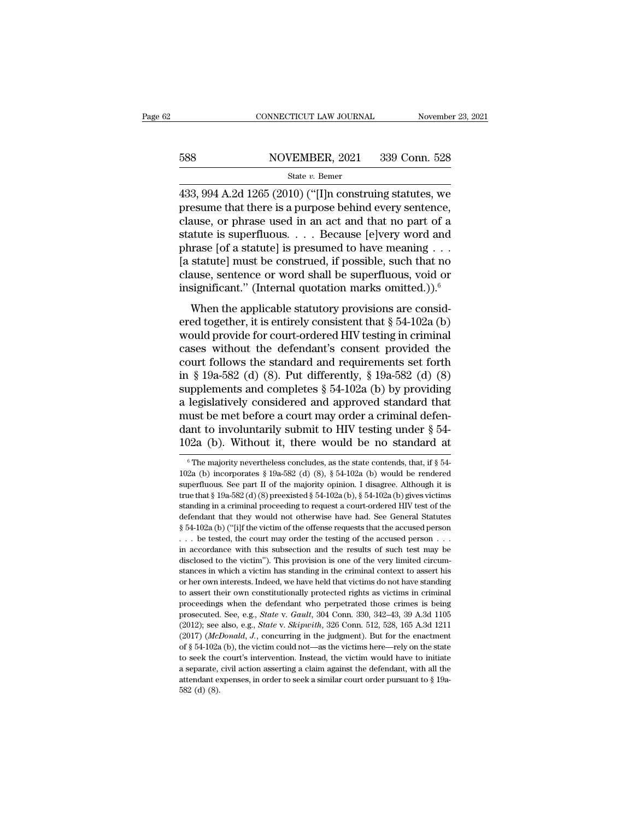# EXECUTE CONNECTICUT LAW JOURNAL Movember 23, 2021<br>588 NOVEMBER, 2021 339 Conn. 528<br>588 State v. Bemer

### State *v.* Bemer

CONNECTICUT LAW JOURNAL November 23, 2021<br>
588 NOVEMBER, 2021 339 Conn. 528<br>
583, 994 A.2d 1265 (2010) ("[I]n construing statutes, we<br>
presume that there is a purpose behind every sentence,<br>
clause or phrase used in an act 588 NOVEMBER, 2021 339 Conn. 528<br>
State v. Bemer<br>
433, 994 A.2d 1265 (2010) ("[I]n construing statutes, we<br>
presume that there is a purpose behind every sentence,<br>
clause, or phrase used in an act and that no part of a<br>
s 588 NOVEMBER, 2021 339 Conn. 528<br>
State v. Bemer<br>
433, 994 A.2d 1265 (2010) ("[I]n construing statutes, we<br>
presume that there is a purpose behind every sentence,<br>
clause, or phrase used in an act and that no part of a<br>
s 588 NOVEMBER, 2021 339 Conn. 528<br>
State v. Bemer<br>
433, 994 A.2d 1265 (2010) ("[I]n construing statutes, we<br>
presume that there is a purpose behind every sentence,<br>
clause, or phrase used in an act and that no part of a<br>
s State v. Bemer<br>
State v. Bemer<br>
433, 994 A.2d 1265 (2010) ("[I]n construing statutes, we<br>
presume that there is a purpose behind every sentence,<br>
clause, or phrase used in an act and that no part of a<br>
statute is superflu state v. Bemer<br>
433, 994 A.2d 1265 (2010) ("[I]n construing statutes, we<br>
presume that there is a purpose behind every sentence,<br>
clause, or phrase used in an act and that no part of a<br>
statute is superfluous. . . . Becau 433, 994 A.2d 1265 (2010) ("[I]n construing statutes, we<br>presume that there is a purpose behind every sentence,<br>clause, or phrase used in an act and that no part of a<br>statute is superfluous. . . . Because [e]very word and presume that there is a purpose behind every sentence,<br>clause, or phrase used in an act and that no part of a<br>statute is superfluous.... Because [e]very word and<br>phrase [of a statute] is presumed to have meaning ...<br>[a st Music, or private used in an act and that no part of a<br>atute is superfluous.... Because [e]very word and<br>arase [of a statute] is presumed to have meaning ...<br>statute] must be construed, if possible, such that no<br>ause, sen between the supernuous.  $\ldots$  because (efvery word and phrase [of a statute] is presumed to have meaning  $\ldots$  [a statute] must be construed, if possible, such that no clause, sentence or word shall be superfluous, void o

phrase [or a statute] is presulted to have incalling : . .<br>[a statute] must be construed, if possible, such that no<br>clause, sentence or word shall be superfluous, void or<br>insignificant." (Internal quotation marks omitted. reading the constraint, it possible, such that no<br>clause, sentence or word shall be superfluous, void or<br>insignificant." (Internal quotation marks omitted.)).<sup>6</sup><br>When the applicable statutory provisions are consid-<br>ered t chause, sentence of word share be superfuded, you of<br>insignificant." (Internal quotation marks omitted.)).<sup>6</sup><br>When the applicable statutory provisions are consid-<br>ered together, it is entirely consistent that § 54-102a (b in Significant. (Internal quotation marks omitted.)).<br>
When the applicable statutory provisions are considered together, it is entirely consistent that  $\S 54-102a$  (b)<br>
would provide for court-ordered HIV testing in crimi When the applicable statutory provisions are considered together, it is entirely consistent that  $\S 54-102a$  (b) would provide for court-ordered HIV testing in criminal cases without the defendant's consent provided the c ered together, it is entirely consistent that  $\S$  54-102a (b)<br>would provide for court-ordered HIV testing in criminal<br>cases without the defendant's consent provided the<br>court follows the standard and requirements set fort would provide for court-ordered HIV testing in criminal<br>cases without the defendant's consent provided the<br>court follows the standard and requirements set forth<br>in § 19a-582 (d) (8). Put differently, § 19a-582 (d) (8)<br>sup cases without the defendant's consent provided the<br>court follows the standard and requirements set forth<br>in § 19a-582 (d) (8). Put differently, § 19a-582 (d) (8)<br>supplements and completes § 54-102a (b) by providing<br>a legi court follows the standard and requirements set forth<br>in § 19a-582 (d) (8). Put differently, § 19a-582 (d) (8)<br>supplements and completes § 54-102a (b) by providing<br>a legislatively considered and approved standard that<br>mus a legislatively considered and approved standard that<br>must be met before a court may order a criminal defen-<br>dant to involuntarily submit to HIV testing under § 54-<br>102a (b). Without it, there would be no standard at<br> $\frac{$ must be met before a court may order a criminal defendant to involuntarily submit to HIV testing under § 54-<br>102a (b). Without it, there would be no standard at<br><sup>6</sup>The majority nevertheless concludes, as the state contend

dant to involuntarily submit to HIV testing under § 54-<br>102a (b). Without it, there would be no standard at<br><sup>6</sup>The majority nevertheless concludes, as the state contends, that, if § 54-<br>102a (b) incorporates § 19a-582 (d) 102a (b). Without it, there would be no standard at<br>
<sup>6</sup> The majority nevertheless concludes, as the state contends, that, if § 54-<br>
102a (b) incorporates § 19a-582 (d) (8), § 54-102a (b) would be rendered<br>
superfluous. S standing in a criminal proceeding to request a court-ordered HIV test of the defendant that they would not otherwise have had. See part II of the majority opinion. I disagree. Although it is true that § 19a-582 (d) (8) pr <sup>6</sup> The majority nevertheless concludes, as the state contends, that, if § 54-102a (b) incorporates § 19a-582 (d) (8), § 54-102a (b) would be rendered superfluous. See part II of the majority opinion. I disagree. Although 102a (b) incorporates § 19a-582 (d) (8), § 54-102a (b) would be rendered superfluous. See part II of the majority opinion. I disagree. Although it is true that § 19a-582 (d) (8) preexisted § 54-102a (b), § 54-102a (b) giv superfluous. See part II of the majority opinion. I disagree. Although it is true that § 19a-582 (d) (8) preexisted § 54-102a (b), § 54-102a (b) gives victims standing in a criminal proceeding to request a court-ordered H Expective that \$ 19a-582 (d) (8) preexisted \$ 54-102a (b), \$ 54-102a (b) gives victims standing in a criminal proceeding to request a court-ordered HIV test of the defendant that they would not otherwise have had. See Gen standing in a criminal proceeding to request a court-ordered HIV test of the defendant that they would not otherwise have had. See General Statutes  $§$  54-102a (b) ("[i]f the victim of the offense requests that the accuse stances in which a victim of the risk and the criminal context of the defendant that they would not otherwise have had. See General Statutes  $\S$  54-102a (b) ("[i]f the victim of the offense requests that the accused perso  $\frac{1}{2}$  s 54-102a (b) ("[i]f the victim of the offense requests that the accused person . . . be tested, the court may order the testing of the accused person . . . in accordance with this subsection and the results of to assert their own constitutionally protected rights as victims in criminal in accordance with this subsection and the results of such test may be disclosed to the victim''). This provision is one of the very limited circum-<br>stances in which a victim has standing in the criminal context to assert disclosed to the victim"). This provision is one of the very limited circum-<br>stances in which a victim has standing in the criminal context to assert his<br>or her own interests. Indeed, we have held that victims do not have stances in which a victim has standing in the criminal context to assert his<br>or her own interests. Indeed, we have held that victims do not have standing<br>to assert their own constitutionally protected rights as victims in or her own interests. Indeed, we have held that victims do not have standing to assert their own constitutionally protected rights as victims in criminal proceedings when the defendant who perpetrated those crimes is being to assert their own constitutionally protected rights as victims in criminal proceedings when the defendant who perpetrated those crimes is being prosecuted. See, e.g., *State v. Gault*, 304 Conn. 330, 342–43, 39 A.3d 110 proceedings when the defendant who perpetrated those crimes is being<br>prosecuted. See, e.g., *State v. Gault*, 304 Conn. 330, 342–43, 39 A.3d 1105<br>(2012); see also, e.g., *State v. Skipwith*, 326 Conn. 512, 528, 165 A.3d 1 prosecuted. See, e.g., *State* v. *Gault*, 304 Conn. 330, 342–43, 39 A.3d 1105 (2012); see also, e.g., *State* v. *Skipwith*, 326 Conn. 512, 528, 165 A.3d 1211 (2017) (*McDonald, J.*, concurring in the judgment). But for prosecuted. See, e.g., *State* v. *Gault*, 304 Conn. 330, 342–43, 39 A.3d 1105 (2012); see also, e.g., *State* v. *Skipwith*, 326 Conn. 512, 528, 165 A.3d 1211 (2017) (*McDonald, J.*, concurring in the judgment). But for  $(2017)$  (McDonald, J., concurring in the judgment). But for the enactment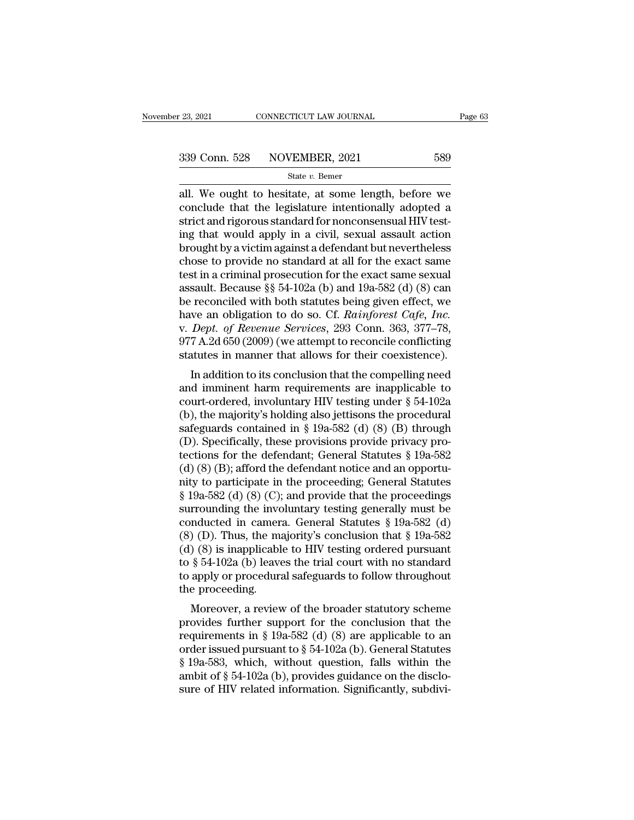<sup>23, 2021</sup> CONNECTICUT LAW JOURNAL Page 63<br>  $\frac{339 \text{ Conn. } 528}{\text{State } v. \text{ Bemer}}$ <br>
all. We ought to hesitate, at some length, before we<br>
conclude that the legislature intentionally adopted a<br>
strict and risorous standard for p 339 Conn. 528 NOVEMBER, 2021 589<br>
state v. Bemer<br>
all. We ought to hesitate, at some length, before we<br>
conclude that the legislature intentionally adopted a<br>
strict and rigorous standard for nonconsensual HIV test-<br>
ing 339 Conn. 528 NOVEMBER, 2021 589<br>
State v. Bemer<br>
all. We ought to hesitate, at some length, before we<br>
conclude that the legislature intentionally adopted a<br>
strict and rigorous standard for nonconsensual HIV test-<br>
ing 339 Conn. 528 NOVEMBER, 2021 589<br>
State v. Bemer<br>
all. We ought to hesitate, at some length, before we<br>
conclude that the legislature intentionally adopted a<br>
strict and rigorous standard for nonconsensual HIV test-<br>
ing State v. Bener<br>State v. Bener<br>all. We ought to hesitate, at some length, before we<br>conclude that the legislature intentionally adopted a<br>strict and rigorous standard for nonconsensual HIV test-<br>ing that would apply in a c state *v*. Bemer<br>all. We ought to hesitate, at some length, before we<br>conclude that the legislature intentionally adopted a<br>strict and rigorous standard for nonconsensual HIV test-<br>ing that would apply in a civil, sexual all. We ought to hesitate, at some length, before we conclude that the legislature intentionally adopted a strict and rigorous standard for nonconsensual HIV testing that would apply in a civil, sexual assault action broug conclude that the legislature intentionally adopted a<br>strict and rigorous standard for nonconsensual HIV test-<br>ing that would apply in a civil, sexual assault action<br>brought by a victim against a defendant but nevertheles strict and rigorous standard for nonconsensual HIV test-<br>ing that would apply in a civil, sexual assault action<br>brought by a victim against a defendant but nevertheless<br>chose to provide no standard at all for the exact sam ing that would apply in a civil, sexual assault action<br>brought by a victim against a defendant but nevertheless<br>chose to provide no standard at all for the exact same<br>test in a criminal prosecution for the exact same sexua brought by a victim against a defendant but nevertheless<br>chose to provide no standard at all for the exact same<br>test in a criminal prosecution for the exact same sexual<br>assault. Because §§ 54-102a (b) and 19a-582 (d) (8) c chose to provide no standard at all for the exact same<br>test in a criminal prosecution for the exact same sexual<br>assault. Because §§ 54-102a (b) and 19a-582 (d) (8) can<br>be reconciled with both statutes being given effect, w test in a criminal prosecution for the exact same sexual<br>assault. Because §§ 54-102a (b) and 19a-582 (d) (8) can<br>be reconciled with both statutes being given effect, we<br>have an obligation to do so. Cf. *Rainforest Cafe, In* Saun. Because 88 04-102a (b) and 19a-062 (d) (b) can<br>reconciled with both statutes being given effect, we<br>we an obligation to do so. Cf. Rainforest Cafe, Inc.<br>Dept. of Revenue Services, 293 Conn. 363, 377–78,<br>7 A.2d 650 ( be reconcined with both statutes being given enect, we<br>have an obligation to do so. Cf. Rainforest Cafe, Inc.<br>v. Dept. of Revenue Services, 293 Conn. 363, 377–78,<br>977 A.2d 650 (2009) (we attempt to reconcile conflicting<br>s

rave an obigation to do so. Cf. *Kathforest Cafe, Thc.*<br>v. *Dept. of Revenue Services*, 293 Conn. 363, 377–78,<br>977 A.2d 650 (2009) (we attempt to reconcile conflicting<br>statutes in manner that allows for their coexistence) v. *Dept.* of Revenue Services, 235 Comit. 305, 377–76, 977 A.2d 650 (2009) (we attempt to reconcile conflicting statutes in manner that allows for their coexistence).<br>In addition to its conclusion that the compelling nee safeguards contained in § 19a-582 (d) (8) through<br>the divideo in the contained and imminent harm requirements are inapplicable to<br>court-ordered, involuntary HIV testing under § 54-102a<br>(b), the majority's holding also jet In addition to its conclusion that the compelling need<br>and imminent harm requirements are inapplicable to<br>court-ordered, involuntary HIV testing under  $\S$  54-102a<br>(b), the majority's holding also jettisons the procedural<br> In addition to its conclusion that the compelling need<br>and imminent harm requirements are inapplicable to<br>court-ordered, involuntary HIV testing under  $\S$  54-102a<br>(b), the majority's holding also jettisons the procedural<br> and imminent harm requirements are inapplicable to<br>court-ordered, involuntary HIV testing under § 54-102a<br>(b), the majority's holding also jettisons the procedural<br>safeguards contained in § 19a-582 (d) (8) (B) through<br>(D) court-ordered, involuntary HIV testing under  $\S$  54-102a<br>(b), the majority's holding also jettisons the procedural<br>safeguards contained in  $\S$  19a-582 (d) (8) (B) through<br>(D). Specifically, these provisions provide privac (b), the majority's holding also jettisons the procedural<br>safeguards contained in § 19a-582 (d) (8) (B) through<br>(D). Specifically, these provisions provide privacy pro-<br>tections for the defendant; General Statutes § 19a-5 safeguards contained in § 19a-582 (d) (8) (B) through<br>
(D). Specifically, these provisions provide privacy pro-<br>
tections for the defendant; General Statutes § 19a-582<br>
(d) (8) (B); afford the defendant notice and an oppo (D). Specifically, these provisions provide privacy protections for the defendant; General Statutes § 19a-582 (d) (8) (B); afford the defendant notice and an opportunity to participate in the proceeding; General Statutes tections for the defendant; General Statutes § 19a-582<br>(d) (8) (B); afford the defendant notice and an opportu-<br>nity to participate in the proceeding; General Statutes<br>§ 19a-582 (d) (8) (C); and provide that the proceedin (d) (8) (B); afford the defendant notice and an opportunity to participate in the proceeding; General Statutes  $\S$  19a-582 (d) (8) (C); and provide that the proceedings surrounding the involuntary testing generally must b nity to participate in the proceeding; General Statutes<br>
§ 19a-582 (d) (8) (C); and provide that the proceedings<br>
surrounding the involuntary testing generally must be<br>
conducted in camera. General Statutes § 19a-582 (d)<br> § 19a-582 (d) (8) (C); and provide that the proceedings<br>surrounding the involuntary testing generally must be<br>conducted in camera. General Statutes § 19a-582 (d)<br>(8) (D). Thus, the majority's conclusion that § 19a-582<br>(d) surrounding the involcend<br>conducted in camer (8) (D). Thus, the maid (d) (8) is inapplicable<br>to  $\S 54-102a$  (b) leave<br>to apply or procedurathe proceeding.<br>the proceeding.<br>Moreover, a reviev Moreover, a review of the broader statutes is 19a-582 (d)<br>Moreover, the majority's conclusion that § 19a-582 (e)<br>S is inapplicable to HIV testing ordered pursuant<br>§ 54-102a (b) leaves the trial court with no standard<br>appl (c) (D). Thus, the majority's conclusion that  $\S$  19a-562<br>
(d) (8) is inapplicable to HIV testing ordered pursuant<br>
to  $\S$  54-102a (b) leaves the trial court with no standard<br>
to apply or procedural safeguards to follow t

(d) (s) is inapplicable to fiv testing ordered pursuant<br>to § 54-102a (b) leaves the trial court with no standard<br>to apply or procedural safeguards to follow throughout<br>the proceeding.<br>Moreover, a review of the broader sta to g 54-102a (b) leaves the that court while no standard<br>to apply or procedural safeguards to follow throughout<br>the proceeding.<br>Moreover, a review of the broader statutory scheme<br>provides further support for the conclusio the proceeding.<br>
Moreover, a review of the broader statutory scheme<br>
provides further support for the conclusion that the<br>
requirements in § 19a-582 (d) (8) are applicable to an<br>
order issued pursuant to § 54-102a (b). Ge Moreover, a review of the broader statutory scheme<br>provides further support for the conclusion that the<br>requirements in § 19a-582 (d) (8) are applicable to an<br>order issued pursuant to § 54-102a (b). General Statutes<br>§ 19a Moreover, a review of the broader statutory scheme<br>provides further support for the conclusion that the<br>requirements in § 19a-582 (d) (8) are applicable to an<br>order issued pursuant to § 54-102a (b). General Statutes<br>§ 19a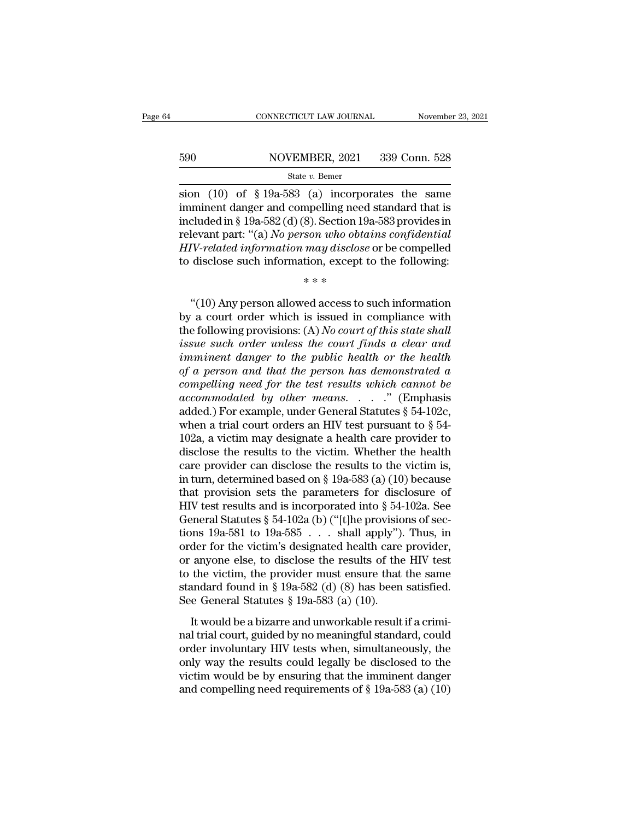# EXECUTE CONNECTICUT LAW JOURNAL Movember 23, 2021<br>590 NOVEMBER, 2021 339 Conn. 528<br>54te v. Bemer

### State *v.* Bemer

CONNECTICUT LAW JOURNAL November 23, 2021<br>
Sion (10) of § 19a-583 (a) incorporates the same<br>
imminent danger and compelling need standard that is<br>
included in § 19a-583 (d) (8) Soction 19a-583 provides in 590 NOVEMBER, 2021 339 Conn. 528<br>
State v. Bemer<br>
sion (10) of §19a-583 (a) incorporates the same<br>
imminent danger and compelling need standard that is<br>
included in §19a-582 (d) (8). Section 19a-583 provides in<br>
relevant 590 NOVEMBER, 2021 339 Conn. 528<br>
State v. Bemer<br>
State v. Bemer<br>
State v. Bemer<br>
imminent danger and compelling need standard that is<br>
included in § 19a-582 (d) (8). Section 19a-583 provides in<br>
relevant part: "(a) No pe For the same of the same of the same of the same of the same in<br>the value of  $\frac{10}{9}$  of  $\frac{10}{9}$  and  $\frac{10}{9}$  incorporates the same in<br>the same in the same in the same of the same included in  $\frac{10}{9}$  and  $\frac{10}{$ *HIV-RELATER, 2021 Co. COLLET CO. COLLET SUBDER 300 COLLET STATE 11, 2021 Co. COLLET STATE 11, 2021 Co. Bener* is simple information and compelling need standard that is included in § 19a-582 (d) (8). Section 19a-583 state *v*. Bener<br>sion (10) of §19a-583 (a) incorporates the same<br>imminent danger and compelling need standard that is<br>included in §19a-582 (d) (8). Section 19a-583 provides in<br>relevant part: "(a) *No person who obtains co*  $\alpha$  mechod<br>mpelling need<br>8). Section 19a<br>son who obtas<br>may disclose<br>tion, except to<br>\*\*\* cluded in § 19a-582 (d) (8). Section 19a-583 provides in<br>
levant part: "(a) *No person who obtains confidential*<br>
IV-related information may disclose or be compelled<br>
disclose such information, except to the following:<br>

relevant part: "(a) *No person who obtains confidential*<br> *HIV-related information may disclose* or be compelled<br>
to disclose such information, except to the following:<br>  $***$ <br>
"(10) Any person allowed access to such inform HIV-related information may disclose or be compelled<br>to disclose such information, except to the following:<br> $***$ <br>"(10) Any person allowed access to such information<br>by a court order which is issued in compliance with<br>the fo *issues such information, except to the following:*<br>  $***$ <br>  $``(10)$  Any person allowed access to such information<br>
by a court order which is issued in compliance with<br>
the following provisions: (A) No court of this state sha  $i^{**}$ <br>  $i^{**}$ <br>  $i^{**}$ <br>  $i^{**}$ <br>  $i^{**}$ <br>  $i^{**}$ <br>  $i^{**}$ <br>  $i^{**}$ <br>  $i^{**}$ <br>  $i^{**}$ <br>  $i^{**}$ <br>  $i^{**}$ <br>  $i^{**}$ <br>  $i^{**}$ <br>  $i^{**}$ <br>  $i^{**}$ <br>  $i^{**}$ <br>  $i^{**}$ <br>  $i^{**}$ <br>  $i^{**}$ <br>  $i^{**}$ <br>  $i^{**}$ <br>  $i^{**}$ <br>  $i^{**}$ <br>  $i^{**}$ <br>  $i^{**}$ <br>  $i^{**}$ <br>  $i^{**}$  $\alpha$ (10) Any person allowed access to such information<br>by a court order which is issued in compliance with<br>the following provisions: (A) No court of this state shall<br>issue such order unless the court finds a clear and<br>imm "(10) Any person allowed access to such information<br>by a court order which is issued in compliance with<br>the following provisions: (A) No court of this state shall<br>issue such order unless the court finds a clear and<br>immine by a court order which is issued in compliance with<br>the following provisions: (A) *No court of this state shall*<br>issue such order unless the court finds a clear and<br>imminent danger to the public health or the health<br>of a p the following provisions: (A) No court of this state shall<br>issue such order unless the court finds a clear and<br>imminent danger to the public health or the health<br>of a person and that the person has demonstrated a<br>compelli issue such order unless the court finds a clear and<br>imminent danger to the public health or the health<br>of a person and that the person has demonstrated a<br>compelling need for the test results which cannot be<br>accommodated b imminent danger to the public health or the health<br>of a person and that the person has demonstrated a<br>compelling need for the test results which cannot be<br>accommodated by other means. . . . . " (Emphasis<br>added.) For examp of a person and that the person has demonstrated a<br>compelling need for the test results which cannot be<br>accommodated by other means. . . . ." (Emphasis<br>added.) For example, under General Statutes § 54-102c,<br>when a trial c compelling need for the test results which cannot be<br>accommodated by other means. . . . " (Emphasis<br>added.) For example, under General Statutes § 54-102c,<br>when a trial court orders an HIV test pursuant to § 54-<br>102a, a vi *accommodated by other means.* . . . . " (Emphasis added.) For example, under General Statutes § 54-102c, when a trial court orders an HIV test pursuant to § 54-102a, a victim may designate a health care provider to discl added.) For example, under General Statutes § 54-102c,<br>when a trial court orders an HIV test pursuant to § 54-<br>102a, a victim may designate a health care provider to<br>disclose the results to the victim. Whether the health<br> when a trial court orders an HIV test pursuant to § 54-<br>102a, a victim may designate a health care provider to<br>disclose the results to the victim. Whether the health<br>care provider can disclose the results to the victim is 102a, a victim may designate a health care provider to disclose the results to the victim. Whether the health care provider can disclose the results to the victim is, in turn, determined based on § 19a-583 (a) (10) becaus disclose the results to the victim. Whether the health<br>care provider can disclose the results to the victim is,<br>in turn, determined based on § 19a-583 (a) (10) because<br>that provision sets the parameters for disclosure of<br> care provider can disclose the results to the victim is,<br>in turn, determined based on § 19a-583 (a) (10) because<br>that provision sets the parameters for disclosure of<br>HIV test results and is incorporated into § 54-102a. Se in turn, determined based on § 19a-583 (a) (10) because<br>that provision sets the parameters for disclosure of<br>HIV test results and is incorporated into § 54-102a. See<br>General Statutes § 54-102a (b) ("[t]he provisions of se that provision sets the parameters for disclosure of<br>HIV test results and is incorporated into § 54-102a. See<br>General Statutes § 54-102a (b) ("[t]he provisions of sec-<br>tions 19a-581 to 19a-585 . . . shall apply"). Thus, i HIV test results and is incorporated into § 54-102a. See<br>General Statutes § 54-102a (b) ("[t]he provisions of sec-<br>tions 19a-581 to 19a-585 . . . shall apply"). Thus, in<br>order for the victim's designated health care provi General Statutes § 54-102a (b) ("[t]he provisio<br>tions 19a-581 to 19a-585 . . . shall apply").<br>order for the victim's designated health care<br>or anyone else, to disclose the results of the<br>to the victim, the provider must e tions 19a-581 to 19a-585 . . . shall apply"). Thus, in<br>order for the victim's designated health care provider,<br>or anyone else, to disclose the results of the HIV test<br>to the victim, the provider must ensure that the same<br> order for the vientifs designated field redain early provider,<br>or anyone else, to disclose the results of the HIV test<br>to the victim, the provider must ensure that the same<br>standard found in § 19a-582 (d) (8) has been sat

or digione else, to disclose the results of the HIV test<br>to the victim, the provider must ensure that the same<br>standard found in § 19a-582 (d) (8) has been satisfied.<br>See General Statutes § 19a-583 (a) (10).<br>It would be a standard found in § 19a-582 (d) (8) has been satisfied.<br>See General Statutes § 19a-583 (a) (10).<br>It would be a bizarre and unworkable result if a crimi-<br>nal trial court, guided by no meaningful standard, could<br>order invol Standard Found in  $\frac{1}{3}$  Fourtion (e) finds been statistica.<br>See General Statutes § 19a-583 (a) (10).<br>It would be a bizarre and unworkable result if a crimi-<br>nal trial court, guided by no meaningful standard, could<br>ord It would be a bizarre and unworkable result if a crimi-<br>nal trial court, guided by no meaningful standard, could<br>order involuntary HIV tests when, simultaneously, the<br>only way the results could legally be disclosed to the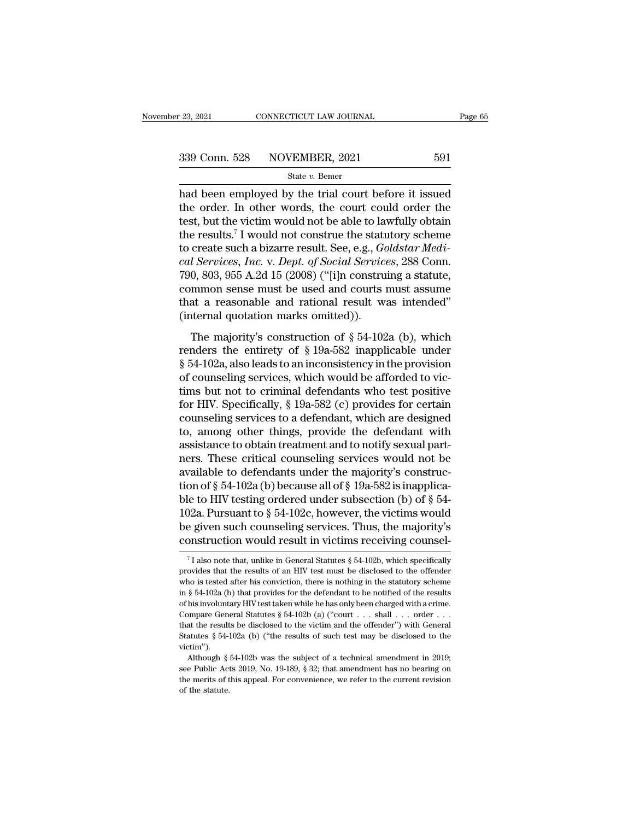$\begin{array}{|l|l|} \hline \text{23, 2021} & \text{COMRECTICUT LAW JOURNAL} & \text{Page 65} \ \hline \text{339 Conn. } 528 & \text{NOVEMBER, 2021} & 591 \ \hline \text{State } v. \text{ Bemer} & \text{Data been employed by the trial court before it issued the order. In other words, the court could order the test but the victim would not be able to lowfully obtain.} \hline \end{array}$ 339 Conn. 528 NOVEMBER, 2021 591<br>
State v. Bemer<br>
had been employed by the trial court before it issued<br>
the order. In other words, the court could order the<br>
test, but the victim would not be able to lawfully obtain<br>
the 339 Conn. 528 NOVEMBER, 2021 591<br>
State v. Bemer<br>
had been employed by the trial court before it issued<br>
the order. In other words, the court could order the<br>
test, but the victim would not be able to lawfully obtain<br>
the 339 Conn. 528 NOVEMBER, 2021 591<br>
State *v*. Bemer<br>
had been employed by the trial court before it issued<br>
the order. In other words, the court could order the<br>
test, but the victim would not be able to lawfully obtain<br>
t See Somme 22 The creating a state v. Bemer<br>
had been employed by the trial court before it issued<br>
the order. In other words, the court could order the<br>
test, but the victim would not be able to lawfully obtain<br>
the result <sup>26</sup> Semer<br>
had been employed by the trial court before it issued<br>
the order. In other words, the court could order the<br>
test, but the victim would not be able to lawfully obtain<br>
the results.<sup>7</sup> I would not construe the s had been employed by the trial court before it issued<br>the order. In other words, the court could order the<br>test, but the victim would not be able to lawfully obtain<br>the results.<sup>7</sup> I would not construe the statutory scheme the order. In other words, the court could order the<br>test, but the victim would not be able to lawfully obtain<br>the results.<sup>7</sup> I would not construe the statutory scheme<br>to create such a bizarre result. See, e.g., *Goldstar* test, but the victim would not be able to lawfully obtain<br>the results.<sup>7</sup> I would not construe the statutory scheme<br>to create such a bizarre result. See, e.g., *Goldstar Medi-<br>cal Services, Inc. v. Dept. of Social Services* the results.<sup>7</sup> I would not construe the stature result. See, e.g., *Gc* cal Services, *Inc.* v. *Dept. of Social Service* 790, 803, 955 A.2d 15 (2008) ("[i]n constru common sense must be used and courts in that a reasona *I* Services, *Inc.* v. *Dept. of Social Services*, 288 Conn.<br>0, 803, 955 A.2d 15 (2008) ("[i]n construing a statute,<br>mmon sense must be used and courts must assume<br>at a reasonable and rational result was intended"<br>iterna renders the entirety of  $\S$  19a-582 inapplicable under<br>form on sense must be used and courts must assume<br>that a reasonable and rational result was intended"<br>(internal quotation marks omitted)).<br>The majority's construction

For the set of the set of the set of the set of the set of the majority's construction field.<br>
The majority's construction of § 54-102a (b), which<br>
renders the entirety of § 19a-582 inapplicable under<br>
§ 54-102a, also lea that a reasonable and rational result was intended"<br>(internal quotation marks omitted)).<br>The majority's construction of § 54-102a (b), which<br>renders the entirety of § 19a-582 inapplicable under<br>§ 54-102a, also leads to an (internal quotation marks omitted)).<br>
The majority's construction of § 54-102a (b), which<br>
renders the entirety of § 19a-582 inapplicable under<br>
§ 54-102a, also leads to an inconsistency in the provision<br>
of counseling se The majority's construction of  $\S$  54-102a (b), which<br>renders the entirety of  $\S$  19a-582 inapplicable under<br> $\S$  54-102a, also leads to an inconsistency in the provision<br>of counseling services, which would be afforded to The majority's construction of § 54-102a (b), which<br>renders the entirety of § 19a-582 inapplicable under<br>§ 54-102a, also leads to an inconsistency in the provision<br>of counseling services, which would be afforded to vic-<br>t renders the entirety of  $\S$  19a-582 inapplicable under<br> $\S$  54-102a, also leads to an inconsistency in the provision<br>of counseling services, which would be afforded to vic-<br>tims but not to criminal defendants who test posi  $\S$  54-102a, also leads to an inconsistency in the provision<br>of counseling services, which would be afforded to vic-<br>tims but not to criminal defendants who test positive<br>for HIV. Specifically,  $\S$  19a-582 (c) provides fo of counseling services, which would be afforded to vic-<br>tims but not to criminal defendants who test positive<br>for HIV. Specifically, § 19a-582 (c) provides for certain<br>counseling services to a defendant, which are designe tims but not to criminal defendants who test positive<br>for HIV. Specifically, § 19a-582 (c) provides for certain<br>counseling services to a defendant, which are designed<br>to, among other things, provide the defendant with<br>ass for HIV. Specifically, § 19a-582 (c) provides for certain counseling services to a defendant, which are designed to, among other things, provide the defendant with assistance to obtain treatment and to notify sexual partn counseling services to a defendant, which are designed<br>to, among other things, provide the defendant with<br>assistance to obtain treatment and to notify sexual part-<br>ners. These critical counseling services would not be<br>ava to, among other things, provide the defendant with<br>assistance to obtain treatment and to notify sexual part-<br>ners. These critical counseling services would not be<br>available to defendants under the majority's construc-<br>tio assistance to obtain treatment and to notify sexual part-<br>ners. These critical counseling services would not be<br>available to defendants under the majority's construc-<br>tion of § 54-102a (b) because all of § 19a-582 is inapp ners. These critical counseling services would not be available to defendants under the majority's construction of  $\S$  54-102a (b) because all of  $\S$  19a-582 is inapplicable to HIV testing ordered under subsection (b) of ble to HIV testing ordered under subsection (b) of § 54-102a. Pursuant to § 54-102c, however, the victims would<br>be given such counseling services. Thus, the majority's<br>construction would result in victims receiving counse 102a. Pursuant to § 54-102c, however, the victims would<br>be given such counseling services. Thus, the majority's<br>construction would result in victims receiving counsel-<br><sup>7</sup>I also note that, unlike in General Statutes § 54-

be given such counseling services. Thus, the majority's construction would result in victims receiving counsel-<br><sup>7</sup>I also note that, unlike in General Statutes § 54-102b, which specifically provides that the results of an construction would result in victims receiving counsel-<br>
<sup>7</sup>I also note that, unlike in General Statutes § 54-102b, which specifically<br>
provides that the results of an HIV test must be disclosed to the offender<br>
who is te The his involute a construction would result in victims receiving counser-<br>
The has onte that, unlike in General Statutes § 54-102b, which specifically<br>
provides that the results of an HIV test must be disclosed to the of <sup>7</sup> I also note that, unlike in General Statutes § 54-102b, which specifically provides that the results of an HIV test must be disclosed to the offender who is tested after his conviction, there is nothing in the statuto in § 54-102a (b) that provides for the defendant to be notified of the results of his involuntary HIV test taken while he has only been charged with a crime.<br>Compare General Statutes § 54-102b (a) ("court  $\dots$  shall  $\dots$  From is ested after his conviction, there is nothing in the statutory scheme<br>in § 54-102a (b) that provides for the defendant to be notified of the results<br>of his involuntary HIV test taken while he has only been charged victim''). % of his involuntary HIV test taken while he has only been charged with a crime.<br>Compare General Statutes § 54-102b (a) ("court . . . shall . . . order . . . that the results be disclosed to the victim and the offender") Compare General Statutes § 54-102b (a) ("court . . . shall . . . order . . . that the results be disclosed to the victim and the offender") with General Statutes § 54-102a (b) ("the results of such test may be disclosed t

that the results be disclosed to the victim and the offender") with General Statutes § 54-102a (b) ("the results of such test may be disclosed to the victim").<br>
Although § 54-102b was the subject of a technical amendment Statutes § 54-102a (b) ("the results of such test may be disclosed to the victim").<br>Although § 54-102b was the subject of a technical amendment in 2019;<br>see Public Acts 2019, No. 19-189, § 32; that amendment has no bearin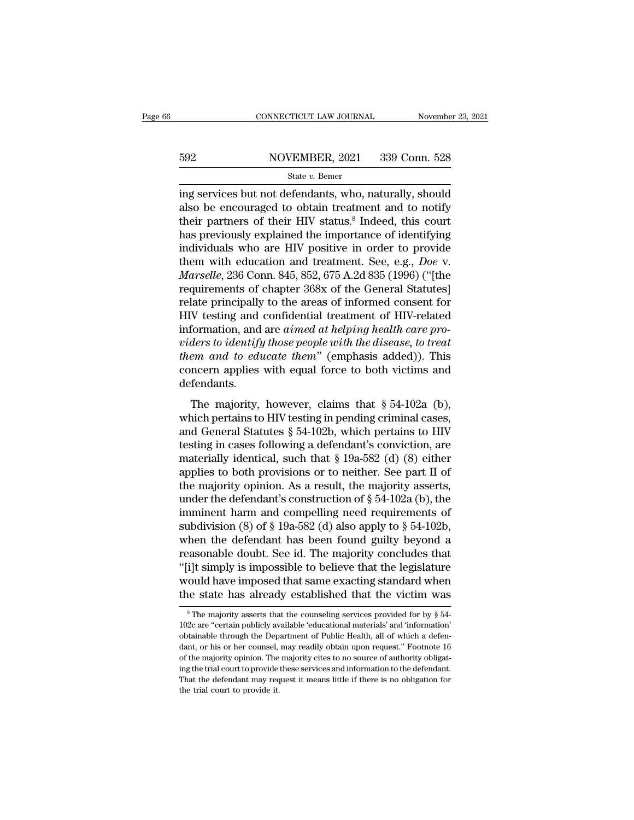# EXECUTE CONNECTICUT LAW JOURNAL Movember 23, 2021<br>592 NOVEMBER, 2021 339 Conn. 528<br>542 State v. Bemer

### State *v.* Bemer

 $\begin{tabular}{ll} \multicolumn{1}{l}{{\small \textbf{COMRECTICUT LAW JOURNAL}}} & \multicolumn{1}{l}{\small \textbf{November 23, 2021}}\\ \hline \multicolumn{1}{l}{\small \textbf{592}} & \multicolumn{1}{l}{\small \textbf{NOVEMBER, 2021}} & \multicolumn{1}{l}{\textbf{339 Conn. 528}}\\ & \multicolumn{1}{l}{\small \textbf{State $v$.} \textbf{Bemer}}\\ & \multicolumn{1}{l}{\small \textbf{State $v$.} \textbf{Bemer}}\\ & \multicolumn{1}{l}{\small \textbf{ing services but not defendants, who$  $\begin{array}{r} \text{592} & \text{NOVEMBER, 2021} & \text{339 Conn. 528} \\ \text{State } v. \text{ Bemer} \end{array}$  ing services but not defendants, who, naturally, should also be encouraged to obtain treatment and to notify their partners of their HIV status.<sup>8</sup> Indeed, 592 NOVEMBER, 2021 339 Conn. 528<br>
State v. Bemer<br>
ing services but not defendants, who, naturally, should<br>
also be encouraged to obtain treatment and to notify<br>
their partners of their HIV status.<sup>8</sup> Indeed, this court<br>
h  $h_{\text{state } v}$  Bemer<br>
ing services but not defendants, who, naturally, should<br>
also be encouraged to obtain treatment and to notify<br>
their partners of their HIV status.<sup>8</sup> Indeed, this court<br>
has previously explained the imp state v. Bemer<br>
ing services but not defendants, who, naturally, should<br>
also be encouraged to obtain treatment and to notify<br>
their partners of their HIV status.<sup>8</sup> Indeed, this court<br>
has previously explained the import state v. Bemer<br>ing services but not defendants, who, naturally, should<br>also be encouraged to obtain treatment and to notify<br>their partners of their HIV status.<sup>8</sup> Indeed, this court<br>has previously explained the importance ing services but not defendants, who, naturally, should<br>also be encouraged to obtain treatment and to notify<br>their partners of their HIV status.<sup>8</sup> Indeed, this court<br>has previously explained the importance of identifying<br> also be encouraged to obtain treatment and to notify<br>their partners of their HIV status.<sup>8</sup> Indeed, this court<br>has previously explained the importance of identifying<br>individuals who are HIV positive in order to provide<br>the their partners of their HIV status.<sup>8</sup> Indeed, this court<br>has previously explained the importance of identifying<br>individuals who are HIV positive in order to provide<br>them with education and treatment. See, e.g., *Doe v.<br>Ma* has previously explained the importance of identifying<br>individuals who are HIV positive in order to provide<br>them with education and treatment. See, e.g., *Doe* v.<br>*Marselle*, 236 Conn. 845, 852, 675 A.2d 835 (1996) ("[the individuals who are *HIV* positive in order to provide<br>them with education and treatment. See, e.g., *Doe* v.<br>*Marselle*, 236 Conn. 845, 852, 675 A.2d 835 (1996) ("[the<br>requirements of chapter 368x of the General Statutes] them with education and treatment. See, e.g., *Doe v.*<br>*Marselle*, 236 Conn. 845, 852, 675 A.2d 835 (1996) ("[the<br>requirements of chapter 368x of the General Statutes]<br>relate principally to the areas of informed consent fo *Marselle*, 236 Conn. 845, 852, 675 A.2d 835 (1996) ("[the<br>requirements of chapter 368x of the General Statutes]<br>relate principally to the areas of informed consent for<br>HIV testing and confidential treatment of HIV-related requirements of chapter 368x of the General Statutes]<br>relate principally to the areas of informed consent for<br>HIV testing and confidential treatment of HIV-related<br>information, and are *aimed at helping health care pro-*<br>v defendants. Formation, and are *aimed at helping health care proders to identify those people with the disease, to treat*  $em$  and to educate them" (emphasis added)). This ncern applies with equal force to both victims and fendants.<br>T mismisted, and are among at negling neatre one providers to identify those people with the disease, to treat<br>them and to educate them" (emphasis added)). This<br>concern applies with equal force to both victims and<br>defendant

them and to educate them" (emphasis added)). This<br>concern applies with equal force to both victims and<br>defendants.<br>The majority, however, claims that § 54-102a (b),<br>which pertains to HIV testing in pending criminal cases, them and to calculate them (chiphasis dataca)). This<br>concern applies with equal force to both victims and<br>defendants.<br>The majority, however, claims that § 54-102a (b),<br>which pertains to HIV testing in pending criminal cas defendants.<br>The majority, however, claims that § 54-102a (b),<br>which pertains to HIV testing in pending criminal cases,<br>and General Statutes § 54-102b, which pertains to HIV<br>testing in cases following a defendant's convict The majority, however, claims that § 54-102a (b),<br>which pertains to HIV testing in pending criminal cases,<br>and General Statutes § 54-102b, which pertains to HIV<br>testing in cases following a defendant's conviction, are<br>mat The majority, however, claims that § 54-102a (b),<br>which pertains to HIV testing in pending criminal cases,<br>and General Statutes § 54-102b, which pertains to HIV<br>testing in cases following a defendant's conviction, are<br>mat which pertains to HIV testing in pending criminal cases,<br>and General Statutes § 54-102b, which pertains to HIV<br>testing in cases following a defendant's conviction, are<br>materially identical, such that § 19a-582 (d) (8) eit and General Statutes § 54-102b, which pertains to HIV<br>testing in cases following a defendant's conviction, are<br>materially identical, such that § 19a-582 (d) (8) either<br>applies to both provisions or to neither. See part II testing in cases following a defendant's conviction, are<br>materially identical, such that  $\S$  19a-582 (d) (8) either<br>applies to both provisions or to neither. See part II of<br>the majority opinion. As a result, the majority materially identical, such that  $\S$  19a-582 (d) (8) either<br>applies to both provisions or to neither. See part II of<br>the majority opinion. As a result, the majority asserts,<br>under the defendant's construction of  $\S$  54-102 applies to both provisions or to neither. See part II of<br>the majority opinion. As a result, the majority asserts,<br>under the defendant's construction of  $\S 54-102a$  (b), the<br>imminent harm and compelling need requirements o the majority opinion. As a result, the majority asserts,<br>
under the defendant's construction of  $\S$  54-102a (b), the<br>
imminent harm and compelling need requirements of<br>
subdivision (8) of  $\S$  19a-582 (d) also apply to  $\S$ under the defendant's construction of § 54-102a (b), the<br>imminent harm and compelling need requirements of<br>subdivision (8) of § 19a-582 (d) also apply to § 54-102b,<br>when the defendant has been found guilty beyond a<br>reason imminent harm and compelling need requirements of<br>subdivision (8) of  $\S$  19a-582 (d) also apply to  $\S$  54-102b,<br>when the defendant has been found guilty beyond a<br>reasonable doubt. See id. The majority concludes that<br>"[i]t Faster and the majority concludes that<br>i]t simply is impossible to believe that the legislature<br>could have imposed that same exacting standard when<br>le state has already established that the victim was<br> $^8$ The majority ass "[i]t simply is impossible to believe that the legislature would have imposed that same exacting standard when the state has already established that the victim was  $\frac{}{\text{s} \text{The majority asserts that the causing services provided for by } \text{\$} 54-102c$  are "certain public

would have imposed that same exacting standard when<br>the state has already established that the victim was<br> $*$ The majority asserts that the counseling services provided for by  $§$  54-<br>102c are "certain publicly available ' The state has already established that the victim was<br>  $\frac{1}{8}$  The majority asserts that the counseling services provided for by § 54-<br>  $\frac{102c}{102c}$  are "certain publicly available 'educational materials' and 'inform The majority asserts that the counseling services provided for by § 54-<br><sup>8</sup> The majority asserts that the counseling services provided for by § 54-<br>102c are "certain publicly available 'educational materials' and 'informat  $^\circ$  The majority asserts that the counseling services provided for by § 54-102c are "certain publicly available 'educational materials' and 'information' obtainable through the Department of Public Health, all of which a That the defendant may request it means little if there is no obligation for the defendant, or his or her counsel, may readily obtain upon request." Footnote 16 of the majority opinion. The majority cites to no source of a  $102c$  are "certain publicly available 'educational materials' and 'information' obtainable through the Department of Public Health, all of which a defendant, or his or her counsel, may readily obtain upon request." Footn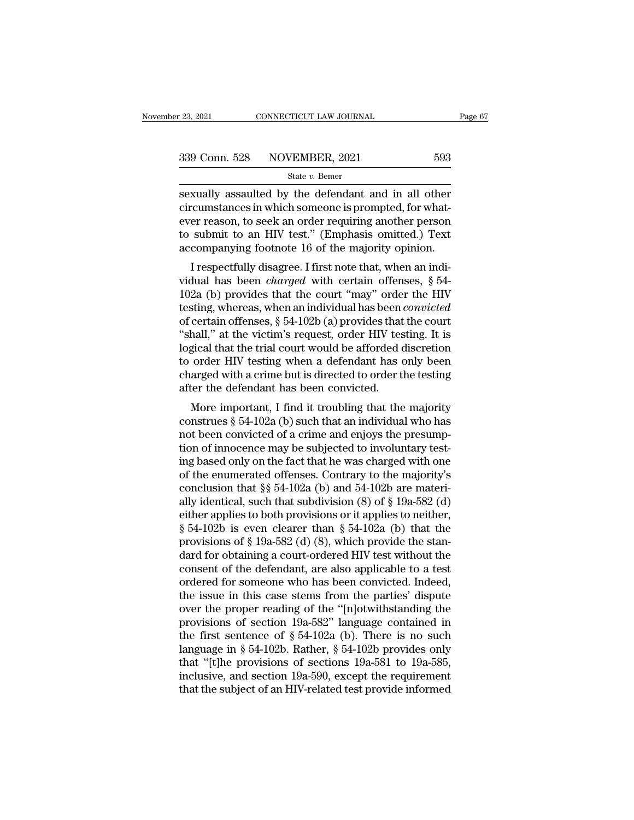sexually assaulted by the defendant and in all other<br>examples are allows assaulted by the defendant and in all other<br>eircumstances in which someone is prompted, for what-<br>ever reason to sook an order requiring another per 339 Conn. 528 NOVEMBER, 2021 593<br>
State v. Bemer<br>
Sexually assaulted by the defendant and in all other<br>
circumstances in which someone is prompted, for what-<br>
ever reason, to seek an order requiring another person<br>
to subm 339 Conn. 528 NOVEMBER, 2021 593<br>
State v. Bemer<br>
Sexually assaulted by the defendant and in all other<br>
circumstances in which someone is prompted, for what-<br>
ever reason, to seek an order requiring another person<br>
to sub 339 Conn. 528 NOVEMBER, 2021 593<br>
State v. Bemer<br>
Sexually assaulted by the defendant and in all other<br>
circumstances in which someone is prompted, for what-<br>
ever reason, to seek an order requiring another person<br>
to sub State v. Bemer<br>
State v. Bemer<br>
State v. Bemer<br>
State v. Bemer<br>
circumstances in which someone is prompted, for what-<br>
ever reason, to seek an order requiring another person<br>
to submit to an HIV test." (Emphasis omitted.) xually assaulted by the defendant and in all other<br>cumstances in which someone is prompted, for what-<br>er reason, to seek an order requiring another person<br>submit to an HIV test." (Emphasis omitted.) Text<br>companying footno sexually assaulted by the defendant and in an other<br>circumstances in which someone is prompted, for what-<br>ever reason, to seek an order requiring another person<br>to submit to an HIV test." (Emphasis omitted.) Text<br>accompany

Encumstances in which soliteone is prompted, for what-<br>ever reason, to seek an order requiring another person<br>to submit to an HIV test." (Emphasis omitted.) Text<br>accompanying footnote 16 of the majority opinion.<br>I respect to submit to an HIV test." (Emphasis omitted.) Text<br>accompanying footnote 16 of the majority opinion.<br>I respectfully disagree. I first note that, when an indi-<br>vidual has been *charged* with certain offenses, § 54-<br>102a (b to submit to an HIV test. (Emphasis of the nyitred.) Lext<br>accompanying footnote 16 of the majority opinion.<br>I respectfully disagree. I first note that, when an indi-<br>vidual has been *charged* with certain offenses, § 54-<br> I respectfully disagree. I first note that, when an individual has been *charged* with certain offenses,  $\S$  54-<br>102a (b) provides that the court "may" order the HIV<br>testing, whereas, when an individual has been *convicte* I respectfully disagree. I first note that, when an individual has been *charged* with certain offenses,  $\S$  54-102a (b) provides that the court "may" order the HIV testing, whereas, when an individual has been *convicted* vidual has been *charged* with certain offenses,  $\S$  54-102a (b) provides that the court "may" order the HIV testing, whereas, when an individual has been *convicted* of certain offenses,  $\S$  54-102b (a) provides that the 102a (b) provides that the court "may" order the HIV<br>testing, whereas, when an individual has been *convicted*<br>of certain offenses,  $\S$  54-102b (a) provides that the court<br>"shall," at the victim's request, order HIV testi testing, whereas, when an individual has been of certain offenses,  $\S$  54-102b (a) provides that "shall," at the victim's request, order HIV tes logical that the trial court would be afforded to order HIV testing when a d certain offenses,  $\frac{1}{8}$  94-1020 (a) provides that the court<br>hall," at the victim's request, order HIV testing. It is<br>gical that the trial court would be afforded discretion<br>order HIV testing when a defendant has only sian, at the victim's request, ofder invitating. It is<br>logical that the trial court would be afforded discretion<br>to order HIV testing when a defendant has only been<br>charged with a crime but is directed to order the testin

noticed order HIV testing when a defendant has only been<br>charged with a crime but is directed to order the testing<br>after the defendant has been convicted.<br>More important, I find it troubling that the majority<br>construes § 5 to order invitesting when a detendant has only been<br>charged with a crime but is directed to order the testing<br>after the defendant has been convicted.<br>More important, I find it troubling that the majority<br>construes § 54-102 charged with a critie but is directed to order the testing<br>after the defendant has been convicted.<br>More important, I find it troubling that the majority<br>construes § 54-102a (b) such that an individual who has<br>not been con More important, I find it troubling that the majority<br>construes § 54-102a (b) such that an individual who has<br>not been convicted of a crime and enjoys the presump-<br>tion of innocence may be subjected to involuntary test-<br>i More important, I find it troubling that the majority<br>construes § 54-102a (b) such that an individual who has<br>not been convicted of a crime and enjoys the presump-<br>tion of innocence may be subjected to involuntary test-<br>i construes § 54-102a (b) such that an individual who has<br>not been convicted of a crime and enjoys the presump-<br>tion of innocence may be subjected to involuntary test-<br>ing based only on the fact that he was charged with one not been convicted of a crime and enjoys the presumption of innocence may be subjected to involuntary test-<br>ing based only on the fact that he was charged with one<br>of the enumerated offenses. Contrary to the majority's<br>co tion of innocence may be subjected to involuntary test-<br>ing based only on the fact that he was charged with one<br>of the enumerated offenses. Contrary to the majority's<br>conclusion that  $\S$  54-102a (b) and 54-102b are materi ing based only on the fact that he was charged with one<br>of the enumerated offenses. Contrary to the majority's<br>conclusion that  $\S$  54-102a (b) and 54-102b are materi-<br>ally identical, such that subdivision (8) of  $\S$  19a-5 of the enumerated offenses. Contrary to the majority's<br>conclusion that  $\S$  54-102a (b) and 54-102b are materi-<br>ally identical, such that subdivision (8) of  $\S$  19a-582 (d)<br>either applies to both provisions or it applies t conclusion that  $\S$  54-102a (b) and 54-102b are materially identical, such that subdivision (8) of  $\S$  19a-582 (d) either applies to both provisions or it applies to neither,  $\S$  54-102b is even clearer than  $\S$  54-102a ( ally identical, such that subdivision (8) of  $\S$  19a-582 (d) either applies to both provisions or it applies to neither,  $\S$  54-102b is even clearer than  $\S$  54-102a (b) that the provisions of  $\S$  19a-582 (d) (8), which p either applies to both provisions or it applies to neither,<br>
§ 54-102b is even clearer than § 54-102a (b) that the<br>
provisions of § 19a-582 (d) (8), which provide the stan-<br>
dard for obtaining a court-ordered HIV test wit § 54-102b is even clearer than § 54-102a (b) that the<br>provisions of § 19a-582 (d) (8), which provide the stan-<br>dard for obtaining a court-ordered HIV test without the<br>consent of the defendant, are also applicable to a tes provisions of § 19a-582 (d) (8), which provide the stan-<br>dard for obtaining a court-ordered HIV test without the<br>consent of the defendant, are also applicable to a test<br>ordered for someone who has been convicted. Indeed,<br> dard for obtaining a court-ordered HIV test without the<br>consent of the defendant, are also applicable to a test<br>ordered for someone who has been convicted. Indeed,<br>the issue in this case stems from the parties' dispute<br>ov consent of the defendant, are also applicable to a test<br>ordered for someone who has been convicted. Indeed,<br>the issue in this case stems from the parties' dispute<br>over the proper reading of the "[n]otwithstanding the<br>prov ordered for someone who has been convicted. Indeed,<br>the issue in this case stems from the parties' dispute<br>over the proper reading of the "[n]otwithstanding the<br>provisions of section 19a-582" language contained in<br>the fir the issue in this case stems from the parties' dispute<br>over the proper reading of the "[n]otwithstanding the<br>provisions of section 19a-582" language contained in<br>the first sentence of  $\S 54-102a$  (b). There is no such<br>lan over the proper reading of the "[n]otwithstanding the<br>provisions of section 19a-582" language contained in<br>the first sentence of  $\S 54-102a$  (b). There is no such<br>language in  $\S 54-102b$ . Rather,  $\S 54-102b$  provides only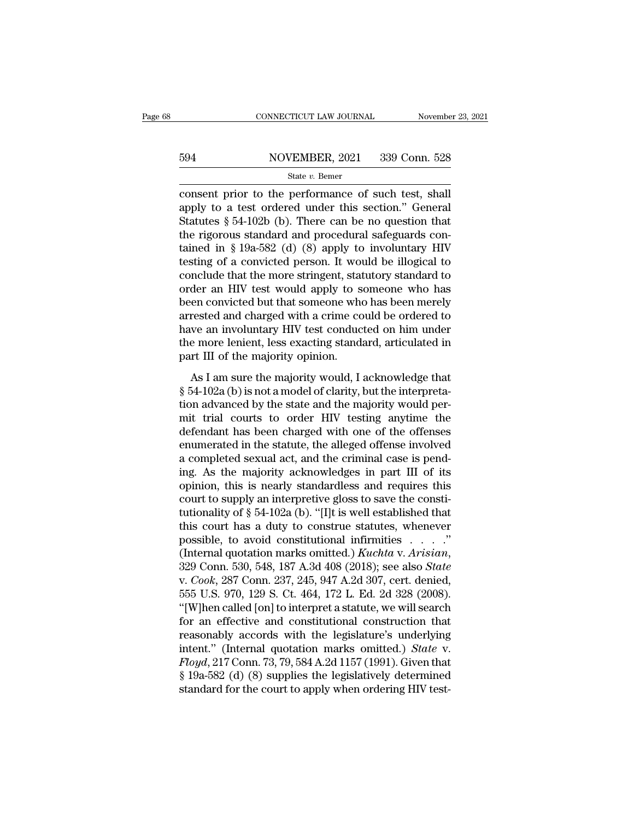# EXECUTE CONNECTICUT LAW JOURNAL Movember 23, 2021<br>594 NOVEMBER, 2021 339 Conn. 528<br>54 State v. Bemer

### State *v.* Bemer

CONNECTICUT LAW JOURNAL November 23, 20<br>
State v. Bemer<br>
Consent prior to the performance of such test, shall<br>
apply to a test ordered under this section." General<br>
Statutes 8.54.102b (b). There can be no question that 594 NOVEMBER, 2021 339 Conn. 528<br>
State v. Bemer<br>
consent prior to the performance of such test, shall<br>
apply to a test ordered under this section.'' General<br>
Statutes § 54-102b (b). There can be no question that<br>
the rig State v. Bener<br>
State v. Bener<br>
State v. Bener<br>
Consent prior to the performance of such test, shall<br>
apply to a test ordered under this section." General<br>
Statutes § 54-102b (b). There can be no question that<br>
the rigoro 594 NOVEMBER, 2021 339 Conn. 528<br>
State v. Bemer<br>
consent prior to the performance of such test, shall<br>
apply to a test ordered under this section." General<br>
Statutes § 54-102b (b). There can be no question that<br>
the rigo State v. Bemer<br>
State v. Bemer<br>
consent prior to the performance of such test, shall<br>
apply to a test ordered under this section." General<br>
Statutes § 54-102b (b). There can be no question that<br>
the rigorous standard and state v. Bemer<br>
consent prior to the performance of such test, shall<br>
apply to a test ordered under this section." General<br>
Statutes § 54-102b (b). There can be no question that<br>
the rigorous standard and procedural safeg consent prior to the performance of such test, shall<br>apply to a test ordered under this section." General<br>Statutes § 54-102b (b). There can be no question that<br>the rigorous standard and procedural safeguards con-<br>tained in apply to a test ordered under this section." General<br>Statutes  $\S 54-102b$  (b). There can be no question that<br>the rigorous standard and procedural safeguards con-<br>tained in  $\S 19a-582$  (d) (8) apply to involuntary HIV<br>test Statutes § 54-102b (b). There can be no question that<br>the rigorous standard and procedural safeguards con-<br>tained in § 19a-582 (d) (8) apply to involuntary HIV<br>testing of a convicted person. It would be illogical to<br>concl the rigorous standard and procedural safeguards con-<br>tained in § 19a-582 (d) (8) apply to involuntary HIV<br>testing of a convicted person. It would be illogical to<br>conclude that the more stringent, statutory standard to<br>orde tained in § 19a-582 (d) (8) apply to involuntary HIV<br>testing of a convicted person. It would be illogical to<br>conclude that the more stringent, statutory standard to<br>order an HIV test would apply to someone who has<br>been co testing of a convicted person. It would be illogical to<br>conclude that the more stringent, statutory standard to<br>order an HIV test would apply to someone who has<br>been convicted but that someone who has been merely<br>arrested conclude that the more stringent, state order an HIV test would apply to s<br>been convicted but that someone whe<br>arrested and charged with a crime co<br>have an involuntary HIV test conduc<br>the more lenient, less exacting stand<br> Example 12. The vest would apply to solutionary has<br>the convicted but that someone who has been merely<br>rested and charged with a crime could be ordered to<br>we an involuntary HIV test conducted on him under<br>e more lenient, l seen convicted but that someone who has been merely<br>arrested and charged with a crime could be ordered to<br>have an involuntary HIV test conducted on him under<br>the more lenient, less exacting standard, articulated in<br>part II

the state and endiged what a critic coald be ordered to<br>have an involuntary HIV test conducted on him under<br>the more lenient, less exacting standard, articulated in<br>part III of the majority opinion.<br>As I am sure the majori move an involution, less exacting standard, articulated in<br>the more lenient, less exacting standard, articulated in<br>part III of the majority opinion.<br>As I am sure the majority would, I acknowledge that<br> $\S 54-102a$  (b) is n definite interestinct, respectively, and the magnetic inpart III of the majority opinion.<br>As I am sure the majority would, I acknowledge that<br>§ 54-102a (b) is not a model of clarity, but the interpreta-<br>tion advanced by th As I am sure the majority would, I acknowledge that<br>  $\S$  54-102a (b) is not a model of clarity, but the interpreta-<br>
tion advanced by the state and the majority would per-<br>
mit trial courts to order HIV testing anytime th As I am sure the majority would, I acknowledge that  $\S$  54-102a (b) is not a model of clarity, but the interpretation advanced by the state and the majority would permit trial courts to order HIV testing anytime the defen  $\S$  54-102a (b) is not a model of clarity, but the interpretation advanced by the state and the majority would permit trial courts to order HIV testing anytime the defendant has been charged with one of the offenses enume tion advanced by the state and the majority would permit trial courts to order HIV testing anytime the defendant has been charged with one of the offenses enumerated in the statute, the alleged offense involved a complete mit trial courts to order HIV testing anytime the<br>defendant has been charged with one of the offenses<br>enumerated in the statute, the alleged offense involved<br>a completed sexual act, and the criminal case is pend-<br>ing. As defendant has been charged with one of the offenses<br>enumerated in the statute, the alleged offense involved<br>a completed sexual act, and the criminal case is pend-<br>ing. As the majority acknowledges in part III of its<br>opinio enumerated in the statute, the alleged offense involved<br>a completed sexual act, and the criminal case is pend-<br>ing. As the majority acknowledges in part III of its<br>opinion, this is nearly standardless and requires this<br>co a completed sexual act, and the criminal case is pending. As the majority acknowledges in part III of its opinion, this is nearly standardless and requires this court to supply an interpretive gloss to save the constituti ing. As the majority acknowledges in part III of its<br>opinion, this is nearly standardless and requires this<br>court to supply an interpretive gloss to save the consti-<br>tutionality of § 54-102a (b). "[I]t is well established court to supply an interpretive gloss to save the constitutionality of § 54-102a (b). "[I]t is well established that<br>this court has a duty to construe statutes, whenever<br>possible, to avoid constitutional infirmities . . . tutionality of § 54-102a (b). "[I]t is well established that<br>this court has a duty to construe statutes, whenever<br>possible, to avoid constitutional infirmities . . . ."<br>(Internal quotation marks omitted.) *Kuchta v. Arisi* this court has a duty to construe statutes, whenever<br>possible, to avoid constitutional infirmities . . . ."<br>(Internal quotation marks omitted.) *Kuchta v. Arisian*,<br>329 Conn. 530, 548, 187 A.3d 408 (2018); see also *State* possible, to avoid constitutional infirmities . . . . ."<br>(Internal quotation marks omitted.) *Kuchta* v. *Arisian*,<br>329 Conn. 530, 548, 187 A.3d 408 (2018); see also *State*<br>v. *Cook*, 287 Conn. 237, 245, 947 A.2d 307, ce (Internal quotation marks omitted.) *Kuchta v. Arisian*,<br>329 Conn. 530, 548, 187 A.3d 408 (2018); see also *State*<br>v. *Cook*, 287 Conn. 237, 245, 947 A.2d 307, cert. denied,<br>555 U.S. 970, 129 S. Ct. 464, 172 L. Ed. 2d 328 329 Conn. 530, 548, 187 A.3d 408 (2018); see also *State* v. *Cook*, 287 Conn. 237, 245, 947 A.2d 307, cert. denied, 555 U.S. 970, 129 S. Ct. 464, 172 L. Ed. 2d 328 (2008). "[W]hen called [on] to interpret a statute, we wi *Frook, 287 Conn. 237, 245, 947 A.2d 307, cert. denied,*<br> *Fabric U.S. 970, 129 S. Ct. 464, 172 L. Ed. 2d 328 (2008).*<br>
"[W]hen called [on] to interpret a statute, we will search<br>
for an effective and constitutional constr 555 U.S. 970, 129 S. Ct. 464, 172 L. Ed. 2d 328 (2008).<br>"[W]hen called [on] to interpret a statute, we will search<br>for an effective and constitutional construction that<br>reasonably accords with the legislature's underlying<br> "[W]hen called [on] to interpret a statute, we will search<br>for an effective and constitutional construction that<br>reasonably accords with the legislature's underlying<br>intent." (Internal quotation marks omitted.) *State* v.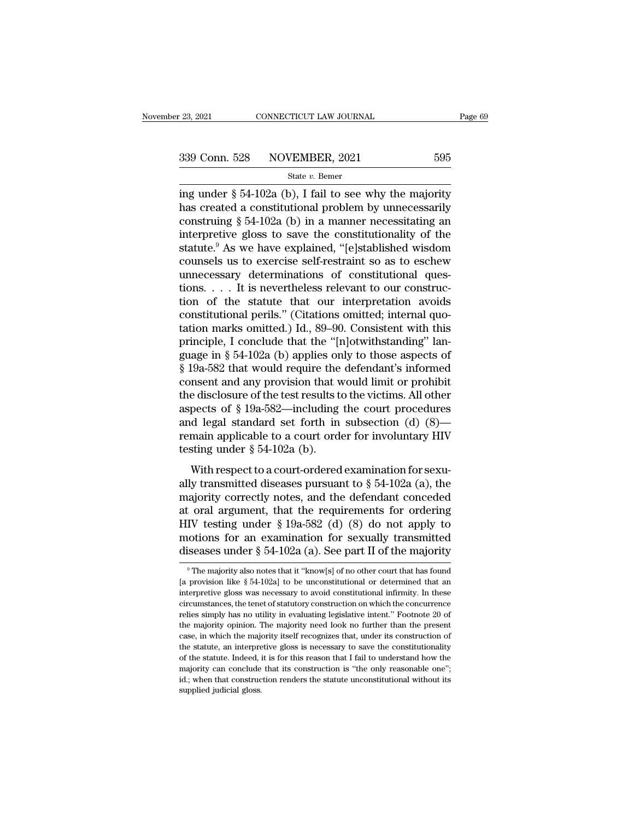<sup>23, 2021</sup> CONNECTICUT LAW JOURNAL Page 69<br>
339 Conn. 528 NOVEMBER, 2021 595<br>
<sup>339</sup> State v. Bemer<br>
ing under § 54-102a (b), I fail to see why the majority<br>
has created a constitutional problem by unnecessarily<br>
construin 339 Conn. 528 NOVEMBER, 2021 595<br>
state v. Bemer<br>
ing under § 54-102a (b), I fail to see why the majority<br>
has created a constitutional problem by unnecessarily<br>
construing § 54-102a (b) in a manner necessitating an<br>
inte 339 Conn. 528 NOVEMBER, 2021 595<br>
State v. Bemer<br>
ing under § 54-102a (b), I fail to see why the majority<br>
has created a constitutional problem by unnecessarily<br>
construing § 54-102a (b) in a manner necessitating an<br>
inte 339 Conn. 528 NOVEMBER, 2021 595<br>
state v. Bemer<br>
ing under § 54-102a (b), I fail to see why the majority<br>
has created a constitutional problem by unnecessarily<br>
construing § 54-102a (b) in a manner necessitating an<br>
inte State v. Bemer<br>
State v. Bemer<br>
ing under § 54-102a (b), I fail to see why the majority<br>
has created a constitutional problem by unnecessarily<br>
construing § 54-102a (b) in a manner necessitating an<br>
interpretive gloss to state v. Bemer<br>ing under § 54-102a (b), I fail to see why the majority<br>has created a constitutional problem by unnecessarily<br>construing § 54-102a (b) in a manner necessitating an<br>interpretive gloss to save the constitutio ing under § 54-102a (b), I fail to see why the majority<br>has created a constitutional problem by unnecessarily<br>construing § 54-102a (b) in a manner necessitating an<br>interpretive gloss to save the constitutionality of the<br>s has created a constitutional problem by unnecessarily construing  $\S 54-102a$  (b) in a manner necessitating an interpretive gloss to save the constitutionality of the statute.<sup>9</sup> As we have explained, "[e]stablished wisdom construing § 54-102a (b) in a manner necessitating an<br>interpretive gloss to save the constitutionality of the<br>statute.<sup>9</sup> As we have explained, "[e]stablished wisdom<br>counsels us to exercise self-restraint so as to eschew<br> interpretive gloss to save the constitutionality of the statute.<sup>9</sup> As we have explained, "[e]stablished wisdom counsels us to exercise self-restraint so as to eschew unnecessary determinations of constitutional questions. statute.<sup>9</sup> As we have explained, "[e]stablished wisdom<br>counsels us to exercise self-restraint so as to eschew<br>unnecessary determinations of constitutional ques-<br>tions.... It is nevertheless relevant to our construc-<br>tion counsels us to exercise self-restraint so as to eschew<br>unnecessary determinations of constitutional ques-<br>tions.... It is nevertheless relevant to our construc-<br>tion of the statute that our interpretation avoids<br>constitut unnecessary determinations of constitutional questions. . . . It is nevertheless relevant to our construction of the statute that our interpretation avoids constitutional perils." (Citations omitted; internal quotation ma tions. . . . It is nevertheless relevant to our construction of the statute that our interpretation avoids constitutional perils." (Citations omitted; internal quotation marks omitted.) Id., 89–90. Consistent with this pr tion of the statute that our interpretation avoids<br>constitutional perils." (Citations omitted; internal quo-<br>tation marks omitted.) Id., 89–90. Consistent with this<br>principle, I conclude that the "[n]otwithstanding" lan-<br> constitutional perils." (Citations omitted; internal quotation marks omitted.) Id., 89–90. Consistent with this principle, I conclude that the "[n]otwithstanding" language in § 54-102a (b) applies only to those aspects of tation marks omitted.) Id., 89–90. Consistent with this<br>principle, I conclude that the "[n]otwithstanding" language in § 54-102a (b) applies only to those aspects of<br>§ 19a-582 that would require the defendant's informed<br>c principle, I conclude that the "[n]otwithstanding" language in § 54-102a (b) applies only to those aspects of § 19a-582 that would require the defendant's informed consent and any provision that would limit or prohibit th guage in § 54-102a (b) applies only to those aspects of § 19a-582 that would require the defendant's informed consent and any provision that would limit or prohibit the disclosure of the test results to the victims. All o  $\S$  19a-582 that would require the<br>consent and any provision that v<br>the disclosure of the test results to<br>aspects of  $\S$  19a-582—including<br>and legal standard set forth in<br>remain applicable to a court orde<br>testing under  $\S$ risem and any provision that would mint of promotion<br>e disclosure of the test results to the victims. All other<br>pects of § 19a-582—including the court procedures<br>d legal standard set forth in subsection (d) (8)—<br>main appl ally transmitted diseases pursuant to § 54-102a (a), the majority correctly notes, and the defendant concedures with respect to a court order for involuntary HIV testing under § 54-102a (b).<br>With respect to a court-ordere

aspects or  $\frac{1}{8}$  racised. Including the court procedures<br>and legal standard set forth in subsection (d) (8)—<br>remain applicable to a court order for involuntary HIV<br>testing under  $\frac{8}{5}$  54-102a (b).<br>With respect to Frame and regar standard set for at a bassection (a) (o)<br>remain applicable to a court order for involuntary HIV<br>testing under § 54-102a (b).<br>With respect to a court-ordered examination for sexu-<br>ally transmitted diseases testing under § 54-102a (b).<br>With respect to a court-ordered examination for sexually transmitted diseases pursuant to § 54-102a (a), the<br>majority correctly notes, and the defendant conceded<br>at oral argument, that the req With respect to a court-ordered examination for sexually transmitted diseases pursuant to  $\S$  54-102a (a), the majority correctly notes, and the defendant conceded at oral argument, that the requirements for ordering HIV With respect to a court-ordered examination for sexually transmitted diseases pursuant to  $\S 54-102a$  (a), the majority correctly notes, and the defendant conceded at oral argument, that the requirements for ordering HIV at oral argument, that the requirements for ordering HIV testing under  $\S$  19a-582 (d) (8) do not apply to motions for an examination for sexually transmitted diseases under  $\S$  54-102a (a). See part II of the majority  $\$ HIV testing under § 19a-582 (d) (8) do not apply to<br>motions for an examination for sexually transmitted<br>diseases under § 54-102a (a). See part II of the majority<br><sup>9</sup>The majority also notes that it "know[s] of no other cou

motions for an examination for sexually transmitted<br>diseases under § 54-102a (a). See part II of the majority<br><sup>9</sup>The majority also notes that it "know[s] of no other court that has found<br>[a provision like § 54-102a] to be diseases under § 54-102a (a). See part  $\Pi$  of the majority<br>
<sup>9</sup> The majority also notes that it "know[s] of no other court that has found<br>
[a provision like § 54-102a] to be unconstitutional or determined that an<br>
interp The majority also notes that it "know[s] of no other court that has found<br>[a provision like § 54-102a] to be unconstitutional or determined that an<br>interpretive gloss was necessary to avoid constitutional infirmity. In th <sup>9</sup> The majority also notes that it "know[s] of no other court that has found [a provision like  $\S$  54-102a] to be unconstitutional or determined that an interpretive gloss was necessary to avoid constitutional infirmity. [a provision like § 54-102a] to be unconstitutional or determined that an interpretive gloss was necessary to avoid constitutional infirmity. In these circumstances, the tenet of statutory construction on which the concur the provided gloss was necessary to avoid constitutional infirmity. In these circumstances, the tenet of statutory construction on which the concurrence relies simply has no utility in evaluating legislative intent." Footn circumstances, the tenet of statutory construction on which the concurrence relies simply has no utility in evaluating legislative intent." Footnote 20 of the majority opinion. The majority need look no further than the pr circumstances, the tenet of statutory construction on which the concurrence relies simply has no utility in evaluating legislative intent." Footnote 20 of the majority opinion. The majority need look no further than the p the majority opinion. The majority need look no further than the present case, in which the majority itself recognizes that, under its construction of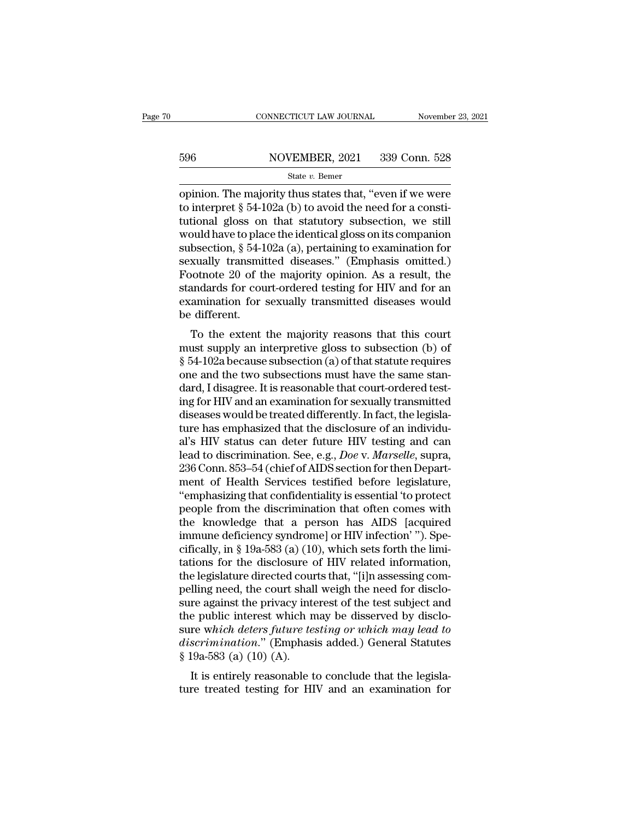# EXECUTE CONNECTICUT LAW JOURNAL Movember 23, 2021<br>596 NOVEMBER, 2021 339 Conn. 528<br>54te v. Bemer

### State *v.* Bemer

CONNECTICUT LAW JOURNAL November 23, 2021<br>
S96 NOVEMBER, 2021 339 Conn. 528<br>
State v. Bemer<br>
Opinion. The majority thus states that, "even if we were<br>
to interpret § 54-102a (b) to avoid the need for a constitutional slop 596 NOVEMBER, 2021 339 Conn. 528<br>
State v. Bemer<br>
opinion. The majority thus states that, "even if we were<br>
to interpret § 54-102a (b) to avoid the need for a consti-<br>
tutional gloss on that statutory subsection, we still 596 NOVEMBER, 2021 339 Conn. 528<br>
State v. Bemer<br>
opinion. The majority thus states that, "even if we were<br>
to interpret § 54-102a (b) to avoid the need for a constitutional gloss on that statutory subsection, we still<br>
w 596 NOVEMBER, 2021 339 Conn. 528<br>
State v. Bemer<br>
opinion. The majority thus states that, "even if we were<br>
to interpret § 54-102a (b) to avoid the need for a consti-<br>
tutional gloss on that statutory subsection, we still Subsection,  $\frac{1}{10}$  and  $\frac{1}{10}$  and  $\frac{1}{10}$  and  $\frac{1}{10}$  and  $\frac{1}{10}$  and  $\frac{1}{10}$  and  $\frac{1}{10}$  are  $\frac{1}{10}$  and  $\frac{1}{10}$  are  $\frac{1}{10}$  are  $\frac{1}{10}$  are  $\frac{1}{10}$  are  $\frac{1}{10}$  and  $\frac{1}{10}$  are state v. Bemer<br>
states that, "even if we were<br>
to interpret § 54-102a (b) to avoid the need for a consti-<br>
tutional gloss on that statutory subsection, we still<br>
would have to place the identical gloss on its companion<br>
s opinion. The majority thus states that, "even if we were<br>to interpret § 54-102a (b) to avoid the need for a consti-<br>tutional gloss on that statutory subsection, we still<br>would have to place the identical gloss on its compa to interpret § 54-102a (b) to avoid the need for a constitutional gloss on that statutory subsection, we still<br>would have to place the identical gloss on its companion<br>subsection, § 54-102a (a), pertaining to examination f tutional gloss on that statutory subsection, we still<br>would have to place the identical gloss on its companion<br>subsection, § 54-102a (a), pertaining to examination for<br>sexually transmitted diseases." (Emphasis omitted.)<br>Fo would have to place the identical gloss on its companion<br>subsection,  $\S$  54-102a (a), pertaining to examination for<br>sexually transmitted diseases." (Emphasis omitted.)<br>Footnote 20 of the majority opinion. As a result, the bsection,  $\frac{1}{8}$  54-102a (a), pertaining to examination for<br>xually transmitted diseases." (Emphasis omitted.)<br>ootnote 20 of the majority opinion. As a result, the<br>andards for court-ordered testing for HIV and for an<br>am sexually transmitted useases. (Emphasis ontitied.)<br>Footnote 20 of the majority opinion. As a result, the<br>standards for court-ordered testing for HIV and for an<br>examination for sexually transmitted diseases would<br>be differe

Foothote 20 of the hiajority opinion. As a result, the<br>standards for court-ordered testing for HIV and for an<br>examination for sexually transmitted diseases would<br>be different.<br>To the extent the majority reasons that this c standards for court-ordered testing for firv and for an<br>examination for sexually transmitted diseases would<br>be different.<br>To the extent the majority reasons that this court<br>must supply an interpretive gloss to subsection ( Examination for sexually transmitted diseases would<br>be different.<br>To the extent the majority reasons that this court<br>must supply an interpretive gloss to subsection (b) of<br>§ 54-102a because subsection (a) of that statute r For the extent the majority reasons that this court<br>must supply an interpretive gloss to subsection (b) of<br>§ 54-102a because subsection (a) of that statute requires<br>one and the two subsections must have the same stan-<br>dard To the extent the majority reasons that this court<br>must supply an interpretive gloss to subsection (b) of<br> $\S$  54-102a because subsection (a) of that statute requires<br>one and the two subsections must have the same stan-<br>da must supply an interpretive gloss to subsection (b) of  $\S$  54-102a because subsection (a) of that statute requires<br>one and the two subsections must have the same stan-<br>dard, I disagree. It is reasonable that court-ordered § 54-102a because subsection (a) of that statute requires<br>one and the two subsections must have the same stan-<br>dard, I disagree. It is reasonable that court-ordered test-<br>ing for HIV and an examination for sexually transm one and the two subsections must have the same stan-<br>dard, I disagree. It is reasonable that court-ordered test-<br>ing for HIV and an examination for sexually transmitted<br>diseases would be treated differently. In fact, the l dard, I disagree. It is reasonable that court-ordered test-<br>ing for HIV and an examination for sexually transmitted<br>diseases would be treated differently. In fact, the legisla-<br>ture has emphasized that the disclosure of an ing for HIV and an examination for sexually transmitted<br>diseases would be treated differently. In fact, the legisla-<br>ture has emphasized that the disclosure of an individu-<br>al's HIV status can deter future HIV testing and diseases would be treated differently. In fact, the legislature has emphasized that the disclosure of an individual's HIV status can deter future HIV testing and can lead to discrimination. See, e.g., *Doe* v. *Marselle*, ture has emphasized that the disclosure of an individual's HIV status can deter future HIV testing and can<br>lead to discrimination. See, e.g., *Doe* v. *Marselle*, supra,<br>236 Conn. 853–54 (chief of AIDS section for then Dep al's HIV status can deter future HIV testing and can<br>lead to discrimination. See, e.g., *Doe* v. *Marselle*, supra,<br>236 Conn. 853–54 (chief of AIDS section for then Depart-<br>ment of Health Services testified before legislat lead to discrimination. See, e.g., *Doe* v. *Marselle*, supra, 236 Conn. 853–54 (chief of AIDS section for then Department of Health Services testified before legislature, "emphasizing that confidentiality is essential 'to 236 Conn. 853–54 (chief of AIDS section for then Department of Health Services testified before legislature, "emphasizing that confidentiality is essential 'to protect people from the discrimination that often comes with t ment of Health Services testified before legislature,<br>"emphasizing that confidentiality is essential 'to protect<br>people from the discrimination that often comes with<br>the knowledge that a person has AIDS [acquired<br>immune de "emphasizing that confidentiality is essential 'to protect<br>people from the discrimination that often comes with<br>the knowledge that a person has AIDS [acquired<br>immune deficiency syndrome] or HIV infection'"). Spe-<br>cifically people from the discrimination that often comes with<br>the knowledge that a person has AIDS [acquired<br>immune deficiency syndrome] or HIV infection'"). Spe-<br>cifically, in § 19a-583 (a) (10), which sets forth the limi-<br>tations the knowledge that a person has AIDS [acquired<br>immune deficiency syndrome] or HIV infection'"). Spe-<br>cifically, in § 19a-583 (a) (10), which sets forth the limi-<br>tations for the disclosure of HIV related information,<br>the l immune deficiency syndrome] or HIV infection' "). Specifically, in § 19a-583 (a) (10), which sets forth the limitations for the disclosure of HIV related information, the legislature directed courts that, "[i]n assessing cifically, in § 19a-583 (a) (10), which sets forth the limitations for the disclosure of HIV related information,<br>the legislature directed courts that, "[i]n assessing com-<br>pelling need, the court shall weigh the need for tations for the disclosure of HIV related information,<br>the legislature directed courts that, "[i]n assessing com-<br>pelling need, the court shall weigh the need for disclo-<br>sure against the privacy interest of the test subje the legislature directed cour<br>pelling need, the court shall<br>sure against the privacy interference which as<br>the public interest which n<br>sure which deters future te.<br>discrimination." (Emphasi<br>§ 19a-583 (a) (10) (A).<br>It is en It is entirely reasonable to conclude that the legisla-<br>It is entired to the test subject and<br>the public interest which may be disserved by disclo-<br>re which deters future testing or which may lead to<br>scrimination." (Emphas sure against the privacy interest of the test subject and<br>the public interest which may be disserved by disclo-<br>sure which deters future testing or which may lead to<br>discrimination." (Emphasis added.) General Statutes<br>§ 19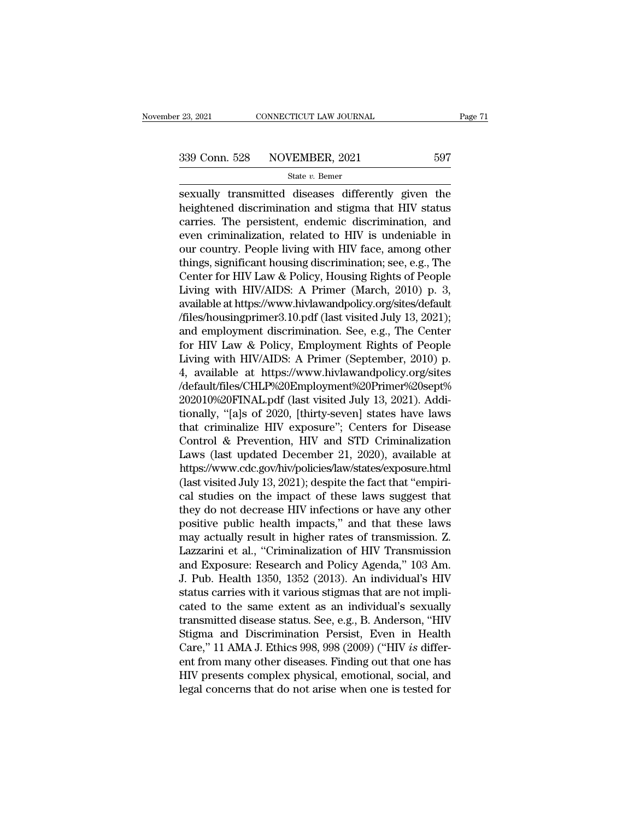$\begin{tabular}{l l l l} \hline 23, 2021 & \multicolumn{1}{c}{\textbf{COMNETICUT LAW JOURNAL}} & \multicolumn{1}{c}{Page\ 71} \\ \hline \multicolumn{1}{c}{\textbf{339 Conn. 528}} & \multicolumn{1}{c}{\textbf{NOVEMBER, 2021}} & \multicolumn{1}{c}{597} \\ & & \\ \hline \multicolumn{1}{c}{\textbf{State $v$.} \textbf{Bemer}} & \\ \hline \multicolumn{1}{c}{\textbf{Sexually transmitted diseases} differently given the} \\ \hline \multicolumn{1}{c}{\textbf{heightened discrimination and sigma that HIV status} } \\ \hline \$ 339 Conn. 528 NOVEMBER, 2021 597<br>
State v. Bemer<br>
Sexually transmitted diseases differently given the<br>
heightened discrimination and stigma that HIV status<br>
carries. The persistent, endemic discrimination, and<br>
such eximi 339 Conn. 528 NOVEMBER, 2021 597<br>
State v. Bemer<br>
Sexually transmitted diseases differently given the<br>
heightened discrimination and stigma that HIV status<br>
carries. The persistent, endemic discrimination, and<br>
even crimi 339 Conn. 528 NOVEMBER, 2021 597<br>
state v. Bemer<br>
sexually transmitted diseases differently given the<br>
heightened discrimination and stigma that HIV status<br>
carries. The persistent, endemic discrimination, and<br>
even crimi State v. Bemer<br>
Sexually transmitted diseases differently given the<br>
heightened discrimination and stigma that HIV status<br>
carries. The persistent, endemic discrimination, and<br>
even criminalization, related to HIV is unde significant diseases differently given the<br>heightened discrimination and stigma that HIV status<br>carries. The persistent, endemic discrimination, and<br>even criminalization, related to HIV is undeniable in<br>our country. Peopl sexually transmitted diseases differently given the<br>heightened discrimination and stigma that HIV status<br>carries. The persistent, endemic discrimination, and<br>even criminalization, related to HIV is undeniable in<br>our countr heightened discrimination and stigma that HIV status<br>carries. The persistent, endemic discrimination, and<br>even criminalization, related to HIV is undeniable in<br>our country. People living with HIV face, among other<br>things, carries. The persistent, endemic discrimination, and<br>even criminalization, related to HIV is undeniable in<br>our country. People living with HIV face, among other<br>things, significant housing discrimination; see, e.g., The<br>Ce even criminalization, related to HIV is undeniable in<br>our country. People living with HIV face, among other<br>things, significant housing discrimination; see, e.g., The<br>Center for HIV Law & Policy, Housing Rights of People<br>L our country. People living with HIV face, among other<br>things, significant housing discrimination; see, e.g., The<br>Center for HIV Law & Policy, Housing Rights of People<br>Living with HIV/AIDS: A Primer (March, 2010) p. 3,<br>avai things, significant housing discrimination; see, e.g., The<br>Center for HIV Law & Policy, Housing Rights of People<br>Living with HIV/AIDS: A Primer (March, 2010) p. 3,<br>available at https://www.hivlawandpolicy.org/sites/default Center for HIV Law & Policy, Housing Rights of People<br>Living with HIV/AIDS: A Primer (March, 2010) p. 3,<br>available at https://www.hivlawandpolicy.org/sites/default<br>/files/housingprimer3.10.pdf (last visited July 13, 2021); Living with HIV/AIDS: A Primer (March, 2010) p. 3,<br>available at https://www.hivlawandpolicy.org/sites/default<br>/files/housingprimer3.10.pdf (last visited July 13, 2021);<br>and employment discrimination. See, e.g., The Center<br> /default/files/CHLP%20Employment%20Primer%20sept% %/files/housingprimer3.10.pdf (last visited July 13, 2021);<br>and employment discrimination. See, e.g., The Center<br>for HIV Law & Policy, Employment Rights of People<br>Living with HIV/AIDS: A Primer (September, 2010) p.<br>4, avai and employment discrimination. See, e.g., The Center<br>for HIV Law & Policy, Employment Rights of People<br>Living with HIV/AIDS: A Primer (September, 2010) p.<br>4, available at https://www.hivlawandpolicy.org/sites<br>/default/file for HIV Law & Policy, Employment Rights of People<br>Living with HIV/AIDS: A Primer (September, 2010) p.<br>4, available at https://www.hivlawandpolicy.org/sites<br>/default/files/CHLP%20Employment%20Primer%20sept%<br>202010%20FINAL.p Living with HIV/AIDS: A Primer (September, 2010) p.<br>4, available at https://www.hivlawandpolicy.org/sites<br>/default/files/CHLP%20Employment%20Primer%20sept%<br>202010%20FINAL.pdf (last visited July 13, 2021). Addi-<br>tionally, " 4, available at https://www.hivlawandpolicy.org/sites<br>/default/files/CHLP%20Employment%20Primer%20sept%<br>202010%20FINAL.pdf (last visited July 13, 2021). Addi-<br>tionally, "[a]s of 2020, [thirty-seven] states have laws<br>that c https://www.cdc.gov/hiv/policies/law/states/exposure.html 202010%20FINAL.pdf (last visited July 13, 2021). Additionally, "[a]s of 2020, [thirty-seven] states have laws<br>that criminalize HIV exposure"; Centers for Disease<br>Control & Prevention, HIV and STD Criminalization<br>Laws (last tionally, "[a]s of 2020, [thirty-seven] states have laws<br>that criminalize HIV exposure"; Centers for Disease<br>Control & Prevention, HIV and STD Criminalization<br>Laws (last updated December 21, 2020), available at<br>https://www that criminalize HIV exposure"; Centers for Disease<br>Control & Prevention, HIV and STD Criminalization<br>Laws (last updated December 21, 2020), available at<br>https://www.cdc.gov/hiv/policies/law/states/exposure.html<br>(last visi Control & Prevention, HIV and STD Criminalization<br>Laws (last updated December 21, 2020), available at<br>https://www.cdc.gov/hiv/policies/law/states/exposure.html<br>(last visited July 13, 2021); despite the fact that "empiri-<br>c Laws (last updated December 21, 2020), available at<br>https://www.cdc.gov/hiv/policies/law/states/exposure.html<br>(last visited July 13, 2021); despite the fact that "empiri-<br>cal studies on the impact of these laws suggest tha https://www.cdc.gov/hiv/policies/law/states/exposure.html<br>(last visited July 13, 2021); despite the fact that "empiri-<br>cal studies on the impact of these laws suggest that<br>they do not decrease HIV infections or have any ot (last visited July 13, 2021); despite the fact that "empirical studies on the impact of these laws suggest that<br>they do not decrease HIV infections or have any other<br>positive public health impacts," and that these laws<br>may cal studies on the impact of these laws suggest that<br>they do not decrease HIV infections or have any other<br>positive public health impacts," and that these laws<br>may actually result in higher rates of transmission. Z.<br>Lazzar they do not decrease HIV infections or have any other positive public health impacts," and that these laws may actually result in higher rates of transmission. Z. Lazzarini et al., "Criminalization of HIV Transmission and positive public health impacts," and that these laws<br>may actually result in higher rates of transmission. Z.<br>Lazzarini et al., "Criminalization of HIV Transmission<br>and Exposure: Research and Policy Agenda," 103 Am.<br>J. Pub. may actually result in higher rates of transmission. Z.<br>Lazzarini et al., "Criminalization of HIV Transmission<br>and Exposure: Research and Policy Agenda," 103 Am.<br>J. Pub. Health 1350, 1352 (2013). An individual's HIV<br>status Lazzarini et al., "Criminalization of HIV Transmission<br>and Exposure: Research and Policy Agenda," 103 Am.<br>J. Pub. Health 1350, 1352 (2013). An individual's HIV<br>status carries with it various stigmas that are not impli-<br>cat and Exposure: Research and Policy Agenda," 103 Am.<br>J. Pub. Health 1350, 1352 (2013). An individual's HIV<br>status carries with it various stigmas that are not impli-<br>cated to the same extent as an individual's sexually<br>trans J. Pub. Health 1350, 1352 (2013). An individual's HIV<br>status carries with it various stigmas that are not impli-<br>cated to the same extent as an individual's sexually<br>transmitted disease status. See, e.g., B. Anderson, "HIV status carries with it various stigmas that are not implicated to the same extent as an individual's sexually transmitted disease status. See, e.g., B. Anderson, "HIV Stigma and Discrimination Persist, Even in Health Care, cated to the same extent as an individual's sexually<br>transmitted disease status. See, e.g., B. Anderson, "HIV<br>Stigma and Discrimination Persist, Even in Health<br>Care," 11 AMA J. Ethics 998, 998 (2009) ("HIV *is* differ-<br>ent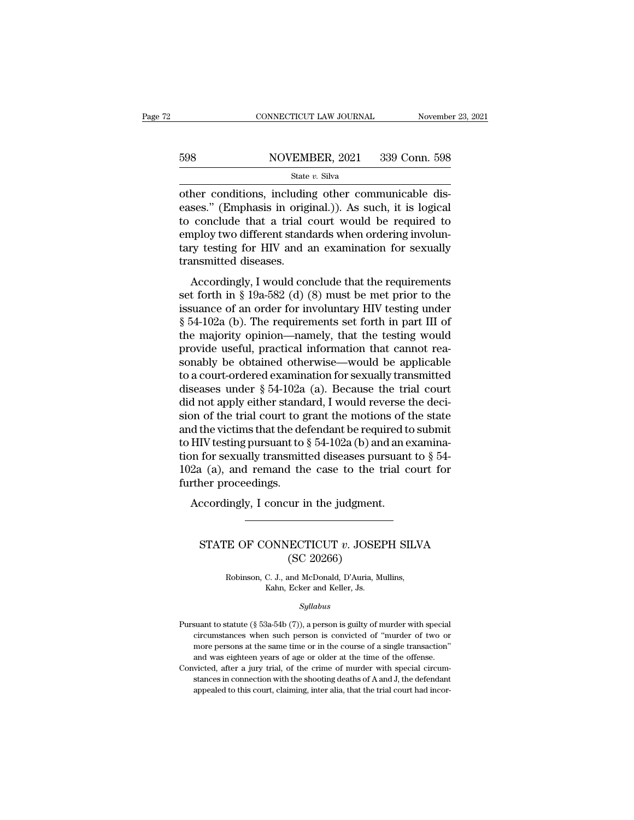# $\begin{tabular}{ll} \multicolumn{2}{l} \multicolumn{2}{l}{{\small\bf CONNECTICUT LAW JOURNAL}} & \multicolumn{2}{l}{\small\bf November 23, 2021} \\\\ 598 & \multicolumn{2}{l}{{\small\bf NOVEMBER, 2021}} & \multicolumn{2}{l}{{\small\bf 339 Conn. 598}} \\\\ & \multicolumn{2}{l}{\small\bf State $v$. Silva} \end{tabular}$

### State *v.* Silva

CONNECTICUT LAW JOURNAL November<br>
598 NOVEMBER, 2021 339 Conn. 598<br>
State v. Silva<br>
other conditions, including other communicable dis-<br>
eases." (Emphasis in original.)). As such, it is logical<br>
to conclude that a trial co Example 1988<br>
Example 1988<br>
Example 1989<br>
State v. Silva<br>
State v. Silva<br>
Other conditions, including other communicable dis-<br>
eases." (Emphasis in original.)). As such, it is logical<br>
to conclude that a trial court would 598 NOVEMBER, 2021 339 Conn. 598<br>
State v. Silva<br>
other conditions, including other communicable dis-<br>
eases." (Emphasis in original.)). As such, it is logical<br>
to conclude that a trial court would be required to<br>
employ For the multiple state with the state with the state with state with state with the conditions, including other communicable diseases." (Emphasis in original.)). As such, it is logical to conclude that a trial court would State v. Silva<br>
State v. Silva<br>
other conditions, including other communicable dis-<br>
eases." (Emphasis in original.)). As such, it is logical<br>
to conclude that a trial court would be required to<br>
employ two different stan state<br>
other conditions, includin<br>
eases." (Emphasis in orig<br>
to conclude that a trial c<br>
employ two different stand<br>
tary testing for HIV and a<br>
transmitted diseases.<br>
Accordingly, I would con Ses." (Emphasis in original.)). As such, it is logical<br>conclude that a trial court would be required to<br>uploy two different standards when ordering involun-<br>ry testing for HIV and an examination for sexually<br>ansmitted dise cases. (Emphasis in original.)). As such, it is fogled<br>to conclude that a trial court would be required to<br>employ two different standards when ordering involun-<br>tary testing for HIV and an examination for sexually<br>transmi

to conclude that a that court would be required to<br>employ two different standards when ordering involun-<br>tary testing for HIV and an examination for sexually<br>transmitted diseases.<br>Accordingly, I would conclude that the req Employ two unterent standards when ordering involutionary<br>tary testing for HIV and an examination for sexually<br>transmitted diseases.<br>Accordingly, I would conclude that the requirements<br>set forth in § 19a-582 (d) (8) must b transmitted diseases.<br>
Accordingly, I would conclude that the requirements<br>
set forth in § 19a-582 (d) (8) must be met prior to the<br>
issuance of an order for involuntary HIV testing under<br>
§ 54-102a (b). The requirements Accordingly, I would conclude that the requirements<br>set forth in  $\S$  19a-582 (d) (8) must be met prior to the<br>issuance of an order for involuntary HIV testing under<br> $\S$  54-102a (b). The requirements set forth in part III Accordingly, I would conclude that the requirements<br>set forth in § 19a-582 (d) (8) must be met prior to the<br>issuance of an order for involuntary HIV testing under<br>§ 54-102a (b). The requirements set forth in part III of<br>t set forth in § 19a-582 (d) (8) must be met prior to the<br>issuance of an order for involuntary HIV testing under<br>§ 54-102a (b). The requirements set forth in part III of<br>the majority opinion—namely, that the testing would<br>p issuance of an order for involuntary HIV testing under<br>§ 54-102a (b). The requirements set forth in part III of<br>the majority opinion—namely, that the testing would<br>provide useful, practical information that cannot rea-<br>so  $\S$  54-102a (b). The requirements set forth in part III of<br>the majority opinion—namely, that the testing would<br>provide useful, practical information that cannot rea-<br>sonably be obtained otherwise—would be applicable<br>to a the majority opinion—namely, that the testing would<br>provide useful, practical information that cannot rea-<br>sonably be obtained otherwise—would be applicable<br>to a court-ordered examination for sexually transmitted<br>diseases provide useful, practical information that cannot reasonably be obtained otherwise—would be applicable<br>to a court-ordered examination for sexually transmitted<br>diseases under  $\S 54-102a$  (a). Because the trial court<br>did no sonably be obtained otherwise—would be applicable<br>to a court-ordered examination for sexually transmitted<br>diseases under  $\S 54-102a$  (a). Because the trial court<br>did not apply either standard, I would reverse the deci-<br>si to a court-ordered examination for sexually transmitted<br>diseases under  $\S 54-102a$  (a). Because the trial court<br>did not apply either standard, I would reverse the deci-<br>sion of the trial court to grant the motions of the diseases under  $\S$  54-102a (a). Because the trial court<br>did not apply either standard, I would reverse the deci-<br>sion of the trial court to grant the motions of the state<br>and the victims that the defendant be required to did not apply either stand<br>sion of the trial court to g<br>and the victims that the de<br>to HIV testing pursuant to<br>tion for sexually transmitt<br>102a (a), and remand th<br>further proceedings.<br>Accordingly, I concur i Accordingly, I concur in the judgment.<br>Accordingly, I concurred to the victims that the defendant be required to<br>HIV testing pursuant to  $\S 54-102a$  (b) and an e<br>on for sexually transmitted diseases pursuant<br>2a (a), and r 1 (a), and remand the case to the trial court for<br>her proceedings.<br>ccordingly, I concur in the judgment.<br>STATE OF CONNECTICUT *v*. JOSEPH SILVA<br>(SC 20266)

### ur in the judgment<br>(SC 20266)<br>(SC 20266)<br>and McDonald, D'Auria, M THE OF CONNECTICUT *v*. JOSEPH SILV<br>
(SC 20266)<br>
Robinson, C. J., and McDonald, D'Auria, Mullins,<br>
Kahn, Ecker and Keller, Js. ONNECTICUT v. JOSEI<br>
(SC 20266)<br>
C. J., and McDonald, D'Auria, M<br>
Kahn, Ecker and Keller, Js.<br>
Sullabus

### *Syllabus*

Robinson, C. J., and McDonald, D'Auria, Mullins,<br>Kahn, Ecker and Keller, Js.<br>Syllabus<br>Pursuant to statute (§ 53a-54b (7)), a person is guilty of murder with special<br>circumstances when such person is convicted of "murder of Robinson, C. J., and McDonald, D'Auria, Mullins,<br>Kahn, Ecker and Keller, Js.<br>Syllabus<br>suant to statute (§ 53a-54b (7)), a person is guilty of murder with special<br>circumstances when such person is convicted of "murder of tw more persons at the same time or in the course of a single transaction''<br>suant to statute ( $\$  53a-54b ( $\]$ )), a person is guilty of murder with special circumstances when such person is convicted of "murder of two or mo Syllabus<br>suant to statute (§ 53a-54b (7)), a person is guilty of murder with special<br>circumstances when such person is convicted of "murder of two or<br>more persons at the same time or in the course of a single transaction"<br> Syatuous<br>
Pursuant to statute (§ 53a-54b (7)), a person is guilty of murder with special<br>
circumstances when such person is convicted of "murder of two or<br>
more persons at the same time or in the course of a single transac suant to statute (§ 53a-54b (7)), a person is guilty of murder with special circumstances when such person is convicted of "murder of two or more persons at the same time or in the course of a single transaction" and was circumstances when such person is convicted of "murder of two or<br>more persons at the same time or in the course of a single transaction"<br>and was eighteen years of age or older at the time of the offense.<br>victed, after a ju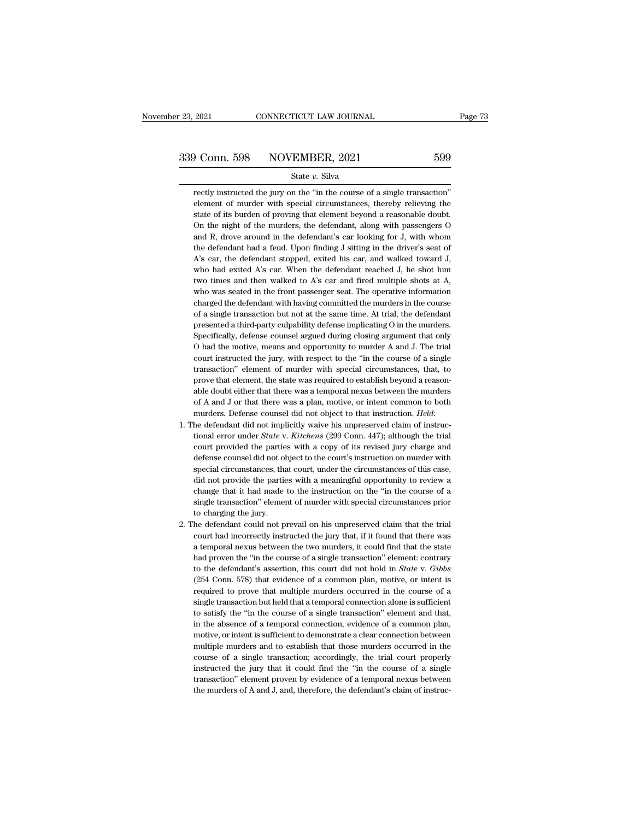State *v.* Silva

Frequence 1 Since 2021<br>
Figure 2021<br>
State v. Silva<br>
Figure 3. Silva<br>
Figure 1 Silva<br>
Federal circumstances, thereby relieving the<br>
Silva Circumstances, thereby relieving the Element of murder with special circumstances, thereby relieving the state of its burden of proving that element beyond a reasonable doubt. **Solution** S98 NOVEMBER, 2021 599<br>
State  $v$ . Silva<br>
rectly instructed the jury on the "in the course of a single transaction"<br>
element of murder with special circumstances, thereby relieving the<br>
state of its burden of p State  $v$ . Silva<br>
State  $v$ . Silva<br>
element of murder with special circumstances, thereby relieving the<br>
state of its burden of proving that element beyond a reasonable doubt.<br>
On the night of the murders, the defendant, State v. Silva<br>
rectly instructed the jury on the "in the course of a single transaction"<br>
element of murder with special circumstances, thereby relieving the<br>
state of its burden of proving that element beyond a reasonabl rectly instructed the jury on the "in the course of a single transaction"<br>element of murder with special circumstances, thereby relieving the<br>state of its burden of proving that element beyond a reasonable doubt.<br>On the ni element of murder with special circumstances, thereby relieving the state of its burden of proving that element beyond a reasonable doubt. On the night of the murders, the defendant, along with passengers O and R, drove ar state of its burden of proving that element beyond a reasonable doubt.<br>On the night of the murders, the defendant, along with passengers O<br>and R, drove around in the defendant's car looking for J, with whom<br>the defendant h On the night of the murders, the defendant, along with passengers O and R, drove around in the defendant's car looking for J, with whom the defendant had a feud. Upon finding J sitting in the driver's seat of  $A$ 's car, t and R, drove around in the defendant's car looking for J, with whom<br>the defendant had a feud. Upon finding J sitting in the driver's seat of<br>A's car, the defendant stopped, exited his car, and walked toward J,<br>who had exi the defendant had a feud. Upon finding J sitting in the driver's seat of A's car, the defendant stopped, exited his car, and walked toward J, who had exited A's car. When the defendant reached J, he shot him two times and A's car, the defendant stopped, exited his car, and walked toward J, who had exited A's car. When the defendant reached J, he shot him two times and then walked to A's car and fired multiple shots at A, who was seated in who had exited A's car. When the defendant reached J, he shot him<br>two times and then walked to A's car and fired multiple shots at A,<br>who was seated in the front passenger seat. The operative information<br>charged the defend two times and then walked to A's car and fired multiple shots at A, who was seated in the front passenger seat. The operative information charged the defendant with having committed the murders in the course of a single tr who was seated in the front passenger seat. The operative information charged the defendant with having committed the murders in the course of a single transaction but not at the same time. At trial, the defendant presente charged the defendant with having committed the murders in the course<br>of a single transaction but not at the same time. At trial, the defendant<br>presented a third-party culpability defense implicating O in the murders.<br>Spec of a single transaction but not at the same time. At trial, the defendant<br>presented a third-party culpability defense implicating O in the murders.<br>Specifically, defense counsel argued during closing argument that only<br>O h of a single transaction but not at the same time. At trial, the defendant presented a third-party culpability defense implicating  $O$  in the murders. Specifically, defense counsel argued during closing argument that only Specifically, defense counsel argued during closing argument that only O had the motive, means and opportunity to murder A and J. The trial court instructed the jury, with respect to the "in the course of a single transact O had the motive, means and opportunity to murder A and J. The trial court instructed the jury, with respect to the "in the course of a single transaction" element of murder with special circumstances, that, to prove that court instructed the jury, with respect to the "in the course of a single transaction" element of murder with special circumstances, that, to prove that element, the state was a remporal nexus between the murders of A and prove that element, the state was required to establish beyond a reasonable doubt either that there was a temporal nexus between the murders of A and J or that there was a plan, motive, or intent common to both murders. De

- able doubt either that there was a temporal nexus between the murders<br>of A and J or that there was a plan, motive, or intent common to both<br>murders. Defense counsel did not object to that instruction. *Held*:<br>he defendant of A and J or that there was a plan, motive, or intent common to both murders. Defense counsel did not object to that instruction. *Held*: the defendant did not implicitly waive his unpreserved claim of instructional error murders. Defense counsel did not object to that instruction. *Held*:<br>he defendant did not implicitly waive his unpreserved claim of instruc-<br>tional error under *State* v. *Kitchens* (299 Conn. 447); although the trial<br>cour he defendant did not implicitly waive his unpreserved claim of instructional error under *State* v. *Kitchens* (299 Conn. 447); although the trial court provided the parties with a copy of its revised jury charge and defe tional error under *State* v. *Kitchens* (299 Conn. 447); although the trial court provided the parties with a copy of its revised jury charge and defense counsel did not object to the court's instruction on murder with s court provided the parties with a copy of its revised jury charge and defense counsel did not object to the court's instruction on murder with special circumstances, that court, under the circumstances of this case, did no defense counsel did not ol<br>special circumstances, that<br>did not provide the partic<br>change that it had made<br>single transaction" element<br>to charging the jury.<br>he defendant could not p special circumstances, that court, under the circumstances of this case, did not provide the parties with a meaningful opportunity to review a change that it had made to the instruction on the "in the course of a single tr did not provide the parties with a meaningful opportunity to review a<br>change that it had made to the instruction on the "in the course of a<br>single transaction" element of murder with special circumstances prior<br>to charging
- change that it had made to the instruction on the "in the course of a single transaction" element of murder with special circumstances prior to charging the jury.<br>the defendant could not prevail on his unpreserved claim th single transaction" element of murder with special circumstances prior<br>to charging the jury.<br>he defendant could not prevail on his unpreserved claim that the trial<br>court had incorrectly instructed the jury that, if it foun to charging the jury.<br>
the defendant could not prevail on his unpreserved claim that the trial<br>
court had incorrectly instructed the jury that, if it found that there was<br>
a temporal nexus between the two murders, it could he defendant could not prevail on his unpreserved claim that the trial<br>court had incorrectly instructed the jury that, if it found that there was<br>a temporal nexus between the two murders, it could find that the state<br>had p court had incorrectly instructed the jury that, if it found that there was<br>a temporal nexus between the two murders, it could find that the state<br>had proven the "in the course of a single transaction" element: contrary<br>to a temporal nexus between the two murders, it could find that the state had proven the "in the course of a single transaction" element: contrary to the defendant's assertion, this court did not hold in *State* v. *Gibbs* ( had proven the "in the course of a single transaction" element: contrary<br>to the defendant's assertion, this court did not hold in *State* v. *Gibbs*<br>(254 Conn. 578) that evidence of a common plan, motive, or intent is<br>req to the defendant's assertion, this court did not hold in *State* v. *Gibbs* (254 Conn. 578) that evidence of a common plan, motive, or intent is required to prove that multiple murders occurred in the course of a single t (254 Conn. 578) that evidence of a common plan, motive, or intent is required to prove that multiple murders occurred in the course of a single transaction but held that a temporal connection alone is sufficient to satisfy required to prove that multiple murders occurred in the course of a single transaction but held that a temporal connection alone is sufficient to satisfy the "in the course of a single transaction" element and that, in the single transaction but held that a temporal connection alone is sufficient<br>to satisfy the "in the course of a single transaction" element and that,<br>in the absence of a temporal connection, evidence of a common plan,<br>motive to satisfy the "in the course of a single transaction" element and that,<br>in the absence of a temporal connection, evidence of a common plan,<br>motive, or intent is sufficient to demonstrate a clear connection between<br>multipl in the absence of a temporal connection, evidence of a common plan, motive, or intent is sufficient to demonstrate a clear connection between multiple murders and to establish that those murders occurred in the course of a motive, or intent is sufficient to demonstrate a clear connection between multiple murders and to establish that those murders occurred in the course of a single transaction; accordingly, the trial court properly instruct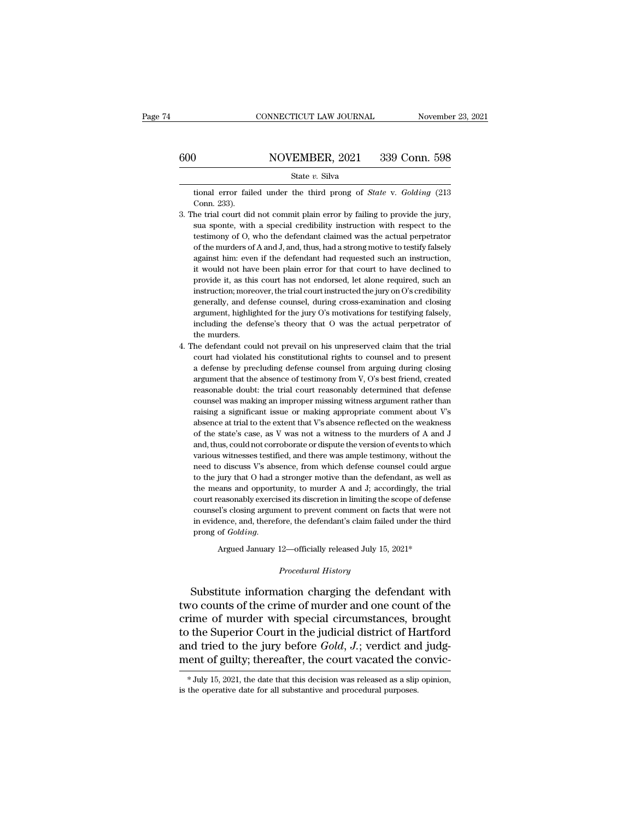tional error failed under the third prong of *State* v. *Golding* (213 Conn. 233). )<br>tional error fail<br>Conn. 233).<br>he trial court did

- 339 Conn. 598<br>
339 Conn. 598<br>
3. The trial court did not commit plain error by failing to provide the jury,<br>
3. The trial court did not commit plain error by failing to provide the jury,<br>
sua sponte, with a special credib State v. Silva<br>stional error failed under the third prong of *State* v. *Golding* (213<br>Conn. 233).<br>the trial court did not commit plain error by failing to provide the jury,<br>sua sponte, with a special credibility instructi State  $v$ . Silva<br>tional error failed under the third prong of *State* v. *Golding* (213<br>Conn. 233).<br>he trial court did not commit plain error by failing to provide the jury,<br>sua sponte, with a special credibility instruct tional error failed under the third prong of *State* v. *Golding* (213 Conn. 233).<br>
he trial court did not commit plain error by failing to provide the jury,<br>
sua sponte, with a special credibility instruction with respect Conn. 233).<br>
he trial court did not commit plain error by failing to provide the jury,<br>
sua sponte, with a special credibility instruction with respect to the<br>
testimony of O, who the defendant claimed was the actual perpe he trial court did not commit plain error by failing to provide the jury, sua sponte, with a special credibility instruction with respect to the testimony of O, who the defendant claimed was the actual perpetrator of the m sua sponte, with a special credibility instruction with respect to the testimony of O, who the defendant claimed was the actual perpetrator of the murders of A and J, and, thus, had a strong motive to testify falsely again testimony of O, who the defendant claimed was the actual perpetrator of the murders of A and J, and, thus, had a strong motive to testify falsely against him: even if the defendant had requested such an instruction, it wou of the murders of A and J, and, thus, had a strong motive to testify falsely against him: even if the defendant had requested such an instruction, it would not have been plain error for that court to have declined to provi against him: even if the defendant had requested such an instruction, it would not have been plain error for that court to have declined to provide it, as this court has not endorsed, let alone required, such an instructio it would not have been plain error for that court to have declined to<br>provide it, as this court has not endorsed, let alone required, such an<br>instruction; moreover, the trial court instructed the jury on O's credibility<br>ge provide it, as this<br>instruction; more<br>generally, and def<br>argument, highligh<br>including the def<br>the murders.<br>he defendant coul in the defendant could not prevail on his unpreserved claim that the binary on the defendant could also defense's minimization and closing argument, highlighted for the jury O's motivations for testifying falsely, includin generally, and defense counsel, during cross-examination and closing<br>argument, highlighted for the jury O's motivations for testifying falsely,<br>including the defense's theory that O was the actual perpetrator of<br>the murder
- argument, highlighted for the jury O's motivations for testifying falsely, including the defense's theory that O was the actual perpetrator of the murders.<br>he defendant could not prevail on his unpreserved claim that the t including the defense's theory that O was the actual perpetrator of<br>the murders.<br>he defendant could not prevail on his unpreserved claim that the trial<br>court had violated his constitutional rights to counsel and to present the murders.<br>
he defendant could not prevail on his unpreserved claim that the trial<br>
court had violated his constitutional rights to counsel and to present<br>
a defense by precluding defense counsel from arguing during clos he defendant could not prevail on his unpreserved claim that the trial<br>court had violated his constitutional rights to counsel and to present<br>a defense by precluding defense counsel from arguing during closing<br>argument tha court had violated his constitutional rights to counsel and to present a defense by precluding defense counsel from arguing during closing argument that the absence of testimony from  $V$ ,  $O$ 's best friend, created reason a defense by precluding defense counsel from arguing during closing argument that the absence of testimony from  $V$ ,  $O$ 's best friend, created reasonable doubt: the trial court reasonably determined that defense counsel argument that the absence of testimony from V, O's best friend, created reasonable doubt: the trial court reasonably determined that defense counsel was making an improper missing witness argument rather than raising a sig reasonable doubt: the trial court reasonably determined that defense<br>counsel was making an improper missing witness argument rather than<br>raising a significant issue or making appropriate comment about V's<br>absence at trial counsel was making an improper missing witness argument rather than<br>raising a significant issue or making appropriate comment about V's<br>absence at trial to the extent that V's absence reflected on the weakness<br>of the state raising a significant issue or making appropriate comment about V's<br>absence at trial to the extent that V's absence reflected on the weakness<br>of the state's case, as V was not a witness to the murders of A and J<br>and, thus, absence at trial to the extent that V's absence reflected on the weakness<br>of the state's case, as V was not a witness to the murders of A and J<br>and, thus, could not corroborate or dispute the version of events to which<br>var of the state's case, as V was not a witness to the murders of A and J and, thus, could not corroborate or dispute the version of events to which various witnesses testified, and there was ample testimony, without the need and, thus, could not corroborate or dispute the version of events to which various witnesses testified, and there was ample testimony, without the need to discuss V's absence, from which defense counsel could argue to the various witnesses testified, and there was ample testimony, without the need to discuss V's absence, from which defense counsel could argue to the jury that O had a stronger motive than the defendant, as well as the means need to discuss V's absence, from which defense counsel could argue<br>to the jury that O had a stronger motive than the defendant, as well as<br>the means and opportunity, to murder A and J; accordingly, the trial<br>court reasona to the jury that O had a stronger motive than the defendant, as well the means and opportunity, to murder A and J; accordingly, the trine court reasonably exercised its discretion in limiting the scope of defens counsel's % counsel's closing argument to prevent comment on facts that were not<br>in evidence, and, therefore, the defendant's claim failed under the third<br>prong of  $Golding$ .<br>Argued January 12—officially released July 15, 2021\*<br>*Procedu*

counsel's closing argument to prevent comment on facts that were not<br>in evidence, and, therefore, the defendant's claim failed under the third<br>prong of *Golding*.<br>Argued January 12—officially released July 15, 2021\*<br>*Proce* in evidence, and, therefore, the defendant's claim failed under the third<br>prong of *Golding.*<br>Argued January 12—officially released July 15, 2021\*<br>*Procedural History*<br>Substitute information charging the defendant with<br>two Argued January 12—officially released July 15, 2021\*<br>
Procedural History<br>
Substitute information charging the defendant with<br>
two counts of the crime of murder and one count of the<br>
crime of murder with special circumstanc Argued January 12—officially released July 15, 2021\*<br>
Procedural History<br>
Substitute information charging the defendant with<br>
two counts of the crime of murder and one count of the<br>
crime of murder with special circumstanc Frocedural History<br>Substitute information charging the defendant with<br>two counts of the crime of murder and one count of the<br>crime of murder with special circumstances, brought<br>to the Superior Court in the judicial distric Substitute information charging the defendant with<br>two counts of the crime of murder and one count of the<br>crime of murder with special circumstances, brought<br>to the Superior Court in the judicial district of Hartford<br>and to the Superior Court in the judicial district of Hartford<br>and tried to the jury before *Gold*,  $J$ .; verdict and judg-<br>ment of guilty; thereafter, the court vacated the convic-<br> $*$  July 15, 2021, the date that this decis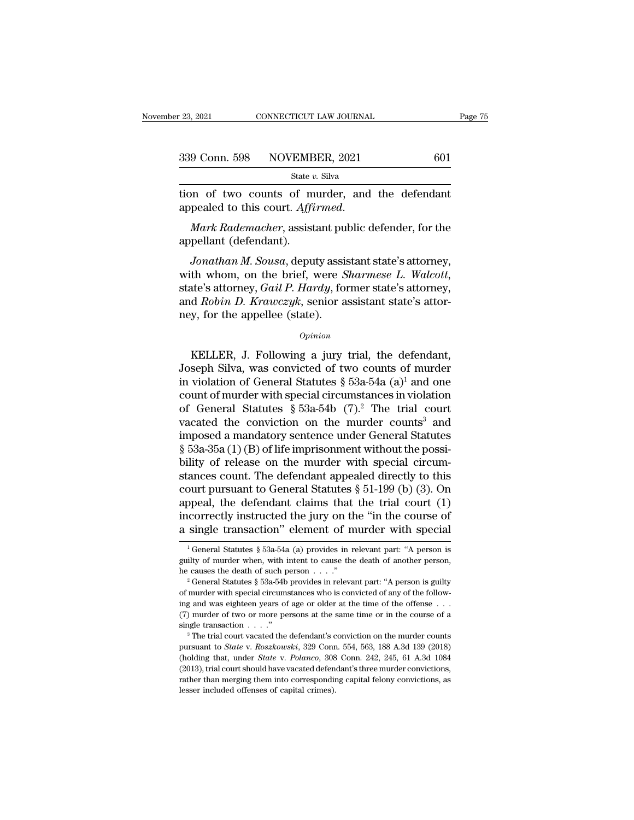the state of two counts of murder, and the defendant appealed to this court. Affirmed.

appealed to this court. *Affirmed. Mark Rademacher*, assistant public defender, for the appellant (defendant). 339 Conn. 598 NOVEMBER, 2021 601<br>
State v. Silva<br>
tion of two counts of murder, and the defendant<br>
appealed to this court. Affirmed.<br>
Mark Rademacher, assistant public defender, for the<br>
appellant (defendant).<br>
Jonathan M

*State v. Silva*<br> *Jonathan M. Sousa, deputy assistant public defender, for the*<br> *Mark Rademacher, assistant public defender, for the*<br> *Jonathan M. Sousa, deputy assistant state's attorney,*<br> *th whom, on the brief, were* tion of two counts of murder, and the defendant<br>appealed to this court. *Affirmed*.<br>*Mark Rademacher*, assistant public defender, for the<br>appellant (defendant).<br>Jonathan M. Sousa, deputy assistant state's attorney,<br>with wh Mark Rademacher, assistant public defender, for the appellant (defendant).<br>Jonathan M. Sousa, deputy assistant state's attorney, with whom, on the brief, were *Sharmese L. Walcott*, state's attorney, *Gail P. Hardy*, forme mark hademacher, assistant purint appellant (defendant).<br>Jonathan M. Sousa, deputy assist<br>with whom, on the brief, were S<br>state's attorney, Gail P. Hardy, for<br>and Robin D. Krawczyk, senior a<br>ney, for the appellee (state).<br> th whom, on the brief, were *Sharmese L. Walcott*,<br>the's attorney, *Gail P. Hardy*, former state's attorney,<br>d *Robin D. Krawczyk*, senior assistant state's attor-<br>y, for the appellee (state).<br> $o_{pinion}$ <br>KELLER, J. Following

### *Opinion*

state's attorney, *Gail P. Hardy*, former state's attorney,<br>and *Robin D. Krawczyk*, senior assistant state's attor-<br>ney, for the appellee (state).<br> $opinion$ <br>KELLER, J. Following a jury trial, the defendant,<br>Joseph Silva, was and *Robin D. Krawczyk*, senior assistant state's attor-<br>ney, for the appellee (state).<br> $\frac{opinion}{opinion}$ <br>KELLER, J. Following a jury trial, the defendant,<br>Joseph Silva, was convicted of two counts of murder<br>in violation of Gen counter means of the appellee (state).<br>
opinion<br>
KELLER, J. Following a jury trial, the defendant,<br>
Joseph Silva, was convicted of two counts of murder<br>
in violation of General Statutes § 53a-54a (a)<sup>1</sup> and one<br>
count of *Opinion*<br>
KELLER, J. Following a jury trial, the defendant,<br>
Joseph Silva, was convicted of two counts of murder<br>
in violation of General Statutes § 53a-54a (a)<sup>1</sup> and one<br>
count of murder with special circumstances in v EVALUER, J. Following a jury trial, the defendant,<br>Joseph Silva, was convicted of two counts of murder<br>in violation of General Statutes § 53a-54a (a)<sup>1</sup> and one<br>count of murder with special circumstances in violation<br>of G KELLER, J. Following a jury trial, the defendant,<br>Joseph Silva, was convicted of two counts of murder<br>in violation of General Statutes § 53a-54a (a)<sup>1</sup> and one<br>count of murder with special circumstances in violation<br>of Ge Joseph Silva, was convicted of two counts of murder<br>in violation of General Statutes § 53a-54a (a)<sup>1</sup> and one<br>count of murder with special circumstances in violation<br>of General Statutes § 53a-54b (7).<sup>2</sup> The trial court<br>v in violation of General Statutes § 53a-54a (a)<sup>1</sup> and one<br>count of murder with special circumstances in violation<br>of General Statutes § 53a-54b (7).<sup>2</sup> The trial court<br>vacated the conviction on the murder counts<sup>3</sup> and<br>im count of murder with special circumstances in violation<br>of General Statutes § 53a-54b (7).<sup>2</sup> The trial court<br>vacated the conviction on the murder counts<sup>3</sup> and<br>imposed a mandatory sentence under General Statutes<br>§ 53a-35 of General Statutes § 53a-54b (7).<sup>2</sup> The trial court<br>vacated the conviction on the murder counts<sup>3</sup> and<br>imposed a mandatory sentence under General Statutes<br>§ 53a-35a (1) (B) of life imprisonment without the possi-<br>bility vacated the conviction on the murder counts<sup>3</sup> and<br>imposed a mandatory sentence under General Statutes<br> $\S$  53a-35a (1) (B) of life imprisonment without the possi-<br>bility of release on the murder with special circum-<br>stanc imposed a mandatory sentence under General Statutes<br>
§ 53a-35a (1) (B) of life imprisonment without the possi-<br>
bility of release on the murder with special circum-<br>
stances count. The defendant appealed directly to this<br> § 53a-35a (1) (B) of life imprisonment without the possibility of release on the murder with special circumstances count. The defendant appealed directly to this court pursuant to General Statutes § 51-199 (b) (3). On app bourt pursuant to General Statutes § 51-199 (b) (3). On opeal, the defendant claims that the trial court (1) coorrectly instructed the jury on the "in the course of single transaction" element of murder with special  $\frac{1$ appeal, the defendant claims that the trial court (1) incorrectly instructed the jury on the "in the course of a single transaction" element of murder with special  $\frac{1}{1}$  General Statutes § 53a-54a (a) provides in rele

incorrectly instructed the jury on the "in the course of<br>a single transaction" element of murder with special<br> $\frac{1}{1}$  General Statutes § 53a-54a (a) provides in relevant part: "A person is<br>guilty of murder when, with in

**EXECUTE CONFIDENT COLUMATE CONSUMED A**<br><sup>1</sup> General Statutes § 53a-54a (a) provides in relevant part: "A person is guilty of murder when, with intent to cause the death of another person, he causes the death of such perso <sup>1</sup> General Statutes § 53a-54a (a) provides in relevant part: "A person is guilty of murder when, with intent to cause the death of another person, he causes the death of such person . . . ."<br><sup>2</sup> General Statutes § 53a-54 guilty of murder when, with intent to cause the death of another person,<br>he causes the death of such person . . . ."<br> $\cdot$  " General Statutes § 53a-54b provides in relevant part: "A person is guilty<br>of murder with special she causes the death of such person . . . ."<br>
<sup>2</sup> General Statutes § 53a-54b provides in relevant part: "A person is guilty of murder with special circumstances who is convicted of any of the following and was eighteen ye pursuant via State of any of murder with special circumstances who is convicted of any of the following and was eighteen years of age or older at the time of the offense . . . (7) murder of two or more persons at the same

ing and was eighteen years of age or older at the time of the offense . . . (7) murder of two or more persons at the same time or in the course of a single transaction . . . ."<br><sup>3</sup> The trial court vacated the defendant's c ing and was eighteen years of age or older at the time of the offense . . . (7) murder of two or more persons at the same time or in the course of a single transaction . . . ."<br>
<sup>3</sup> The trial court vacated the defendant's rather than merging them into corresponding capital felony convictions, as lesser included the defendant's conviction on the murder counts pursuant to *State* v. *Roszkowski*, 329 Conn. 554, 563, 188 A.3d 139 (2018) (hold pursuant to State v. Roszkowski, 329 Conn. 554, 563, 188 A.3d 139 (2018).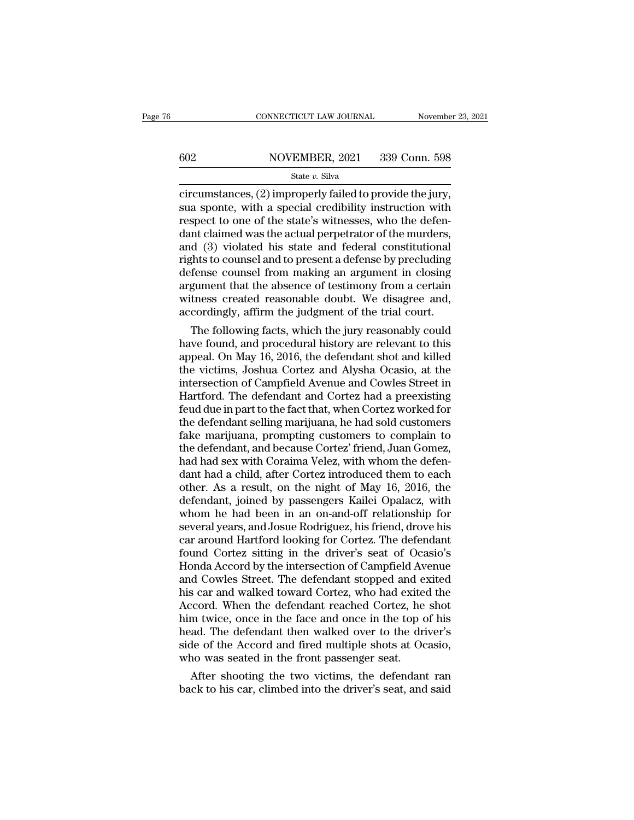# $\begin{tabular}{ll} \multicolumn{2}{l} \multicolumn{2}{l}{{\small\bf CONNECTICUT LAW JOURNAL}} & \multicolumn{2}{l}{{\small\bf November 23, 2021}}\\ \hline \hline \multicolumn{2}{l}{{\small 602}} & \multicolumn{2}{l}{{\small \bf NOVEMBER, 2021}} & \multicolumn{2}{l}{{\small 339~Conn.~598}}\\ & \multicolumn{2}{l}{{\small \bf State $v$.~Silva}} & \multicolumn{2}{l}{{\small \bf 1339~Conn.~598}}\\ \hline \end{tabular}$

### State *v.* Silva

connecticums Law Journal Movember 23, 2<br>
State v. Silva<br>
State v. Silva<br>
Circumstances, (2) improperly failed to provide the jury,<br>
sua sponte, with a special credibility instruction with<br>
respect to one of the state's wit  $\begin{tabular}{ll} \hline & NOVEMBER, 2021 & 339 Conn. 598 \\ \hline & \text{State } v. \text{ Silva} \\ \hline \text{circumstances, (2) improperly failed to provide the jury,} \\ \text{sua sport, with a special credibility instruction with} \\ \text{respect to one of the state's witnesses, who the defend-  
dent claimed was the actual operator of the murders \\ \hline \end{tabular}$ For the state with the state with the state with the state with a special credibility instruction with a special credibility instruction with a special credibility instruction with respect to one of the state's witnesses,  $\frac{\text{S02}}{\text{State } v. \text{ Silva}}$ <br>  $\frac{\text{State } v. \text{ Silva}}{\text{circumstances, (2) improperly failed to provide the jury,}$ <br>
sua sponte, with a special credibility instruction with<br>
respect to one of the state's witnesses, who the defen-<br>
dant claimed was the actual perpetrator of State v. Silva<br>
State v. Silva<br>
circumstances, (2) improperly failed to provide the jury,<br>
sua sponte, with a special credibility instruction with<br>
respect to one of the state's witnesses, who the defen-<br>
dant claimed was State v. Silva<br>
circumstances, (2) improperly failed to provide the jury,<br>
sua sponte, with a special credibility instruction with<br>
respect to one of the state's witnesses, who the defen-<br>
dant claimed was the actual perp circumstances, (2) improperly failed to provide the jury,<br>sua sponte, with a special credibility instruction with<br>respect to one of the state's witnesses, who the defen-<br>dant claimed was the actual perpetrator of the murde sua sponte, with a special credibility instruction with<br>respect to one of the state's witnesses, who the defen-<br>dant claimed was the actual perpetrator of the murders,<br>and (3) violated his state and federal constitutional<br> respect to one of the state's witnesses, who the defen-<br>dant claimed was the actual perpetrator of the murders,<br>and (3) violated his state and federal constitutional<br>rights to counsel and to present a defense by precluding dant claimed was the actual perpetrator of the murders,<br>and (3) violated his state and federal constitutional<br>rights to counsel and to present a defense by precluding<br>defense counsel from making an argument in closing<br>argu d (3) violated his state and federal constitutional<br>ghts to counsel and to present a defense by precluding<br>fense counsel from making an argument in closing<br>gument that the absence of testimony from a certain<br>tness created rights to counsel and to present a defense by precluding<br>defense counsel from making an argument in closing<br>argument that the absence of testimony from a certain<br>witness created reasonable doubt. We disagree and,<br>according

defense counsel from making an argument in closing<br>argument that the absence of testimony from a certain<br>witness created reasonable doubt. We disagree and,<br>accordingly, affirm the judgment of the trial court.<br>The following argument that the absence of testimony from a certain<br>witness created reasonable doubt. We disagree and,<br>accordingly, affirm the judgment of the trial court.<br>The following facts, which the jury reasonably could<br>have found, witness created reasonable doubt. We disagree and,<br>accordingly, affirm the judgment of the trial court.<br>The following facts, which the jury reasonably could<br>have found, and procedural history are relevant to this<br>appeal. O accordingly, affirm the judgment of the trial court.<br>The following facts, which the jury reasonably could<br>have found, and procedural history are relevant to this<br>appeal. On May 16, 2016, the defendant shot and killed<br>the v The following facts, which the jury reasonably could<br>have found, and procedural history are relevant to this<br>appeal. On May 16, 2016, the defendant shot and killed<br>the victims, Joshua Cortez and Alysha Ocasio, at the<br>inter have found, and procedural history are relevant to this<br>appeal. On May 16, 2016, the defendant shot and killed<br>the victims, Joshua Cortez and Alysha Ocasio, at the<br>intersection of Campfield Avenue and Cowles Street in<br>Hart appeal. On May 16, 2016, the defendant shot and killed<br>the victims, Joshua Cortez and Alysha Ocasio, at the<br>intersection of Campfield Avenue and Cowles Street in<br>Hartford. The defendant and Cortez had a preexisting<br>feud du the victims, Joshua Cortez and Alysha Ocasio, at the<br>intersection of Campfield Avenue and Cowles Street in<br>Hartford. The defendant and Cortez had a preexisting<br>feud due in part to the fact that, when Cortez worked for<br>the intersection of Campfield Avenue and Cowles Street in<br>Hartford. The defendant and Cortez had a preexisting<br>feud due in part to the fact that, when Cortez worked for<br>the defendant selling marijuana, he had sold customers<br>fa Hartford. The defendant and Cortez had a preexisting<br>feud due in part to the fact that, when Cortez worked for<br>the defendant selling marijuana, he had sold customers<br>fake marijuana, prompting customers to complain to<br>the d feud due in part to the fact that, when Cortez worked for<br>the defendant selling marijuana, he had sold customers<br>fake marijuana, prompting customers to complain to<br>the defendant, and because Cortez' friend, Juan Gomez,<br>had the defendant selling marijuana, he had sold customers<br>fake marijuana, prompting customers to complain to<br>the defendant, and because Cortez' friend, Juan Gomez,<br>had had sex with Coraima Velez, with whom the defen-<br>dant had fake marijuana, prompting customers to complain to<br>the defendant, and because Cortez' friend, Juan Gomez,<br>had had sex with Coraima Velez, with whom the defen-<br>dant had a child, after Cortez introduced them to each<br>other. A the defendant, and because Cortez' friend, Juan Gomez,<br>had had sex with Coraima Velez, with whom the defendant had a child, after Cortez introduced them to each<br>other. As a result, on the night of May 16, 2016, the<br>defenda had had sex with Coraima Velez, with whom the defendant had a child, after Cortez introduced them to each other. As a result, on the night of May 16, 2016, the defendant, joined by passengers Kailei Opalacz, with whom he h dant had a child, after Cortez introduced them to each<br>other. As a result, on the night of May 16, 2016, the<br>defendant, joined by passengers Kailei Opalacz, with<br>whom he had been in an on-and-off relationship for<br>several y other. As a result, on the night of May 16, 2016, the<br>defendant, joined by passengers Kailei Opalacz, with<br>whom he had been in an on-and-off relationship for<br>several years, and Josue Rodriguez, his friend, drove his<br>car ar defendant, joined by passengers Kailei Opalacz, with<br>whom he had been in an on-and-off relationship for<br>several years, and Josue Rodriguez, his friend, drove his<br>car around Hartford looking for Cortez. The defendant<br>found whom he had been in an on-and-off relationship for<br>several years, and Josue Rodriguez, his friend, drove his<br>car around Hartford looking for Cortez. The defendant<br>found Cortez sitting in the driver's seat of Ocasio's<br>Honda several years, and Josue Rodriguez, his friend, drove his<br>car around Hartford looking for Cortez. The defendant<br>found Cortez sitting in the driver's seat of Ocasio's<br>Honda Accord by the intersection of Campfield Avenue<br>and car around Hartford looking for Cortez. The defendant<br>found Cortez sitting in the driver's seat of Ocasio's<br>Honda Accord by the intersection of Campfield Avenue<br>and Cowles Street. The defendant stopped and exited<br>this car found Cortez sitting in the driver's seat of Ocasio's<br>Honda Accord by the intersection of Campfield Avenue<br>and Cowles Street. The defendant stopped and exited<br>this car and walked toward Cortez, who had exited the<br>Accord. W Honda Accord by the intersection of Campfield Avenue<br>and Cowles Street. The defendant stopped and exited<br>his car and walked toward Cortez, who had exited the<br>Accord. When the defendant reached Cortez, he shot<br>him twice, on and Cowles Street. The defendant stopped and estiss car and walked toward Cortez, who had exited Accord. When the defendant reached Cortez, he him twice, once in the face and once in the top chead. The defendant then walke is car and walked toward Cortez, who had exited the coord. When the defendant reached Cortez, he shot m twice, once in the face and once in the top of his ad. The defendant then walked over to the driver's de of the Accord Accord. When the defendant reached Cortez, he shot<br>him twice, once in the face and once in the top of his<br>head. The defendant then walked over to the driver's<br>side of the Accord and fired multiple shots at Ocasio,<br>who was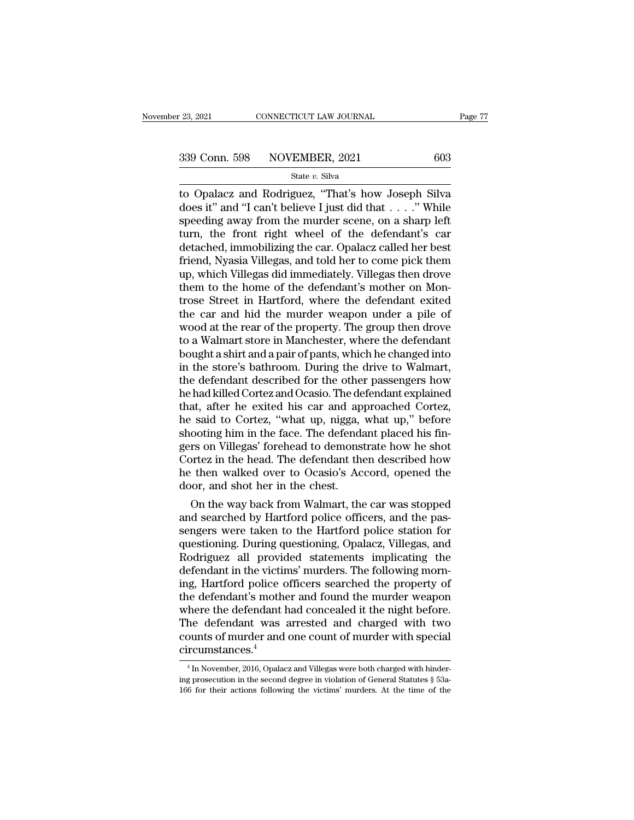to Opalacz and Rodriguez, ''That's how Joseph Silva<br>
state v. Silva<br>
does it'' and ''I can't believe I just did that . . . .'' While<br>
spooding away from the murder scape on a sharp left 339 Conn. 598 NOVEMBER, 2021 603<br>
State v. Silva<br>
to Opalacz and Rodriguez, "That's how Joseph Silva<br>
does it" and "I can't believe I just did that . . . ." While<br>
speeding away from the murder scene, on a sharp left<br>
tur 339 Conn. 598 NOVEMBER, 2021 603<br>
State v. Silva<br>
to Opalacz and Rodriguez, "That's how Joseph Silva<br>
does it" and "I can't believe I just did that . . . ." While<br>
speeding away from the murder scene, on a sharp left<br>
tur 339 Conn. 598 NOVEMBER, 2021 603<br>
State v. Silva<br>
to Opalacz and Rodriguez, "That's how Joseph Silva<br>
does it" and "I can't believe I just did that . . . ." While<br>
speeding away from the murder scene, on a sharp left<br>
tur State v. Silva<br>
to Opalacz and Rodriguez, "That's how Joseph Silva<br>
does it" and "I can't believe I just did that . . . ." While<br>
speeding away from the murder scene, on a sharp left<br>
turn, the front right wheel of the de State v. Silva<br>to Opalacz and Rodriguez, "That's how Joseph Silva<br>does it" and "I can't believe I just did that . . . ." While<br>speeding away from the murder scene, on a sharp left<br>turn, the front right wheel of the defend to Opalacz and Rodriguez, "That's how Joseph Silva<br>does it" and "I can't believe I just did that . . . ." While<br>speeding away from the murder scene, on a sharp left<br>turn, the front right wheel of the defendant's car<br>detach does it" and "I can't believe I just did that . . . ." While<br>speeding away from the murder scene, on a sharp left<br>turn, the front right wheel of the defendant's car<br>detached, immobilizing the car. Opalacz called her best<br>f speeding away from the murder scene, on a sharp left<br>turn, the front right wheel of the defendant's car<br>detached, immobilizing the car. Opalacz called her best<br>friend, Nyasia Villegas, and told her to come pick them<br>up, wh turn, the front right wheel of the defendant's car<br>detached, immobilizing the car. Opalacz called her best<br>friend, Nyasia Villegas, and told her to come pick them<br>up, which Villegas did immediately. Villegas then drove<br>the detached, immobilizing the car. Opalacz called her best<br>friend, Nyasia Villegas, and told her to come pick them<br>up, which Villegas did immediately. Villegas then drove<br>them to the home of the defendant's mother on Mon-<br>tro friend, Nyasia Villegas, and told her to come pick them<br>up, which Villegas did immediately. Villegas then drove<br>them to the home of the defendant's mother on Mon-<br>trose Street in Hartford, where the defendant exited<br>the ca up, which Villegas did immediately. Villegas then drove<br>them to the home of the defendant's mother on Mon-<br>trose Street in Hartford, where the defendant exited<br>the car and hid the murder weapon under a pile of<br>wood at the them to the home of the defendant's mother on Montrose Street in Hartford, where the defendant exited<br>the car and hid the murder weapon under a pile of<br>wood at the rear of the property. The group then drove<br>to a Walmart st trose Street in Hartford, where the defendant exited<br>the car and hid the murder weapon under a pile of<br>wood at the rear of the property. The group then drove<br>to a Walmart store in Manchester, where the defendant<br>bought a s the car and hid the murder weapon under a pile of<br>wood at the rear of the property. The group then drove<br>to a Walmart store in Manchester, where the defendant<br>bought a shirt and a pair of pants, which he changed into<br>in th wood at the rear of the property. The group then drove<br>to a Walmart store in Manchester, where the defendant<br>bought a shirt and a pair of pants, which he changed into<br>in the store's bathroom. During the drive to Walmart,<br>t to a Walmart store in Manchester, where the defendant<br>bought a shirt and a pair of pants, which he changed into<br>in the store's bathroom. During the drive to Walmart,<br>the defendant described for the other passengers how<br>he bought a shirt and a pair of pants, which he changed into<br>in the store's bathroom. During the drive to Walmart,<br>the defendant described for the other passengers how<br>he had killed Cortez and Ocasio. The defendant explained<br> in the store's bathroom. During the drive to Walmart,<br>the defendant described for the other passengers how<br>he had killed Cortez and Ocasio. The defendant explained<br>that, after he exited his car and approached Cortez,<br>he sa the defendant described for the other passengers how<br>he had killed Cortez and Ocasio. The defendant explained<br>that, after he exited his car and approached Cortez,<br>he said to Cortez, "what up, nigga, what up," before<br>shooti he had killed Cortez and Ocasio. The defendant explained<br>that, after he exited his car and approached Cortez,<br>he said to Cortez, "what up, nigga, what up," before<br>shooting him in the face. The defendant placed his fin-<br>ger that, after he exited his car and ap<br>he said to Cortez, "what up, nigga,<br>shooting him in the face. The defenda<br>gers on Villegas' forehead to demons<br>Cortez in the head. The defendant the<br>he then walked over to Ocasio's Ac<br>d Said to Cortez, "what up, nigga, what up," before<br>ooting him in the face. The defendant placed his fin-<br>rs on Villegas' forehead to demonstrate how he shot<br>ortez in the head. The defendant then described how<br>then walked ov shooting him in the face. The defendant placed his fingers on Villegas' forehead to demonstrate how he shot<br>Cortez in the head. The defendant then described how<br>he then walked over to Ocasio's Accord, opened the<br>door, and

gers on Villegas' forenead to demonstrate how he shot<br>Cortez in the head. The defendant then described how<br>he then walked over to Ocasio's Accord, opened the<br>door, and shot her in the chest.<br>On the way back from Walmart, t Cortez in the head. The detendant then described how<br>he then walked over to Ocasio's Accord, opened the<br>door, and shot her in the chest.<br>On the way back from Walmart, the car was stopped<br>and searched by Hartford police off he then walked over to Ocasio's Accord, opened the<br>door, and shot her in the chest.<br>On the way back from Walmart, the car was stopped<br>and searched by Hartford police officers, and the pas-<br>sengers were taken to the Hartfor door, and shot her in the chest.<br>On the way back from Walmart, the car was stopped<br>and searched by Hartford police officers, and the pas-<br>sengers were taken to the Hartford police station for<br>questioning. During questionin On the way back from Walmart, the car was stopped<br>and searched by Hartford police officers, and the pas-<br>sengers were taken to the Hartford police station for<br>questioning. During questioning, Opalacz, Villegas, and<br>Rodrigu and searched by Hartford police officers, and the passengers were taken to the Hartford police station for<br>questioning. During questioning, Opalacz, Villegas, and<br>Rodriguez all provided statements implicating the<br>defendant sengers were taken to the Hartford police station for<br>questioning. During questioning, Opalacz, Villegas, and<br>Rodriguez all provided statements implicating the<br>defendant in the victims' murders. The following morn-<br>ing, Ha questioning. During questioning, Opalacz, Villegas, and<br>Rodriguez all provided statements implicating the<br>defendant in the victims' murders. The following morn-<br>ing, Hartford police officers searched the property of<br>the de Rodriguez all provided statements implicating the<br>defendant in the victims' murders. The following morn-<br>ing, Hartford police officers searched the property of<br>the defendant's mother and found the murder weapon<br>where the circumstances.<sup>4</sup> here the defendant had concealed it the night before.<br>he defendant was arrested and charged with two<br>ounts of murder and one count of murder with special<br>rcumstances.<sup>4</sup><br><sup>4</sup>In November, 2016, Opalacz and Villegas were both The defendant was arrested and charged with two<br>counts of murder and one count of murder with special<br>circumstances.<sup>4</sup><br> $\frac{4}{\text{ln} \text{November, 2016, Opalacz and Villegas were both charged with hinder-  
ing prosecution in the second degree in violation of General Statistics § 53a-  
166 for their actions following the victimes<sup>2</sup> murders. At the time of the$ 

<sup>%</sup> counts of murder and one count of murder with special<br>circumstances.<sup>4</sup><br> $\frac{4}{1}$  In November, 2016, Opalacz and Villegas were both charged with hinder-<br>ing prosecution in the second degree in violation of General Statu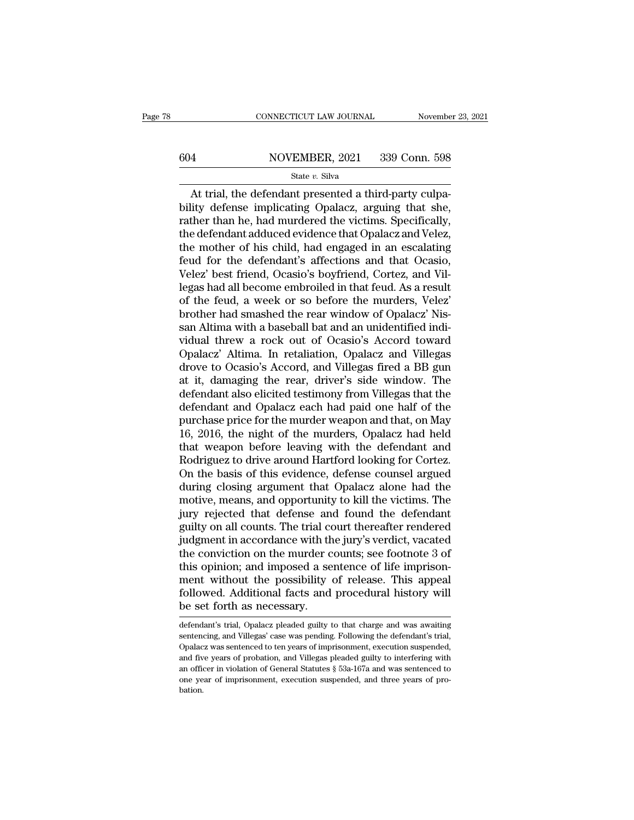# $\begin{tabular}{ll} \multicolumn{2}{l} \multicolumn{2}{l}{{\small\bf CONNECTICUT LAW JOURNAL}} & \multicolumn{2}{l}{\small\bf November~23, 2021} \\ \hline \hline \end{tabular}$

### State *v.* Silva

CONNECTICUT LAW JOURNAL November<br>
At MOVEMBER, 2021 339 Conn. 598<br>
State v. Silva<br>
At trial, the defendant presented a third-party culpa-<br>
lity defense implicating Opalacz, arguing that she,<br>
ther than be had murdered the  $\begin{array}{r} \text{604} & \text{NOVEMBER, 2021} & \text{339 Conn. 598} \\ \text{State } v. \text{ Silva} \end{array}$ <br>At trial, the defendant presented a third-party culpability defense implicating Opalacz, arguing that she, rather than he, had murdered the victims. Specific  $\begin{tabular}{r|c|c} \hline & NOVEMBER, 2021 & 339 Conn. 598 \\ \hline & \text{State $v$. Silva} \\ \hline \hline At trial, the defendant presented a third-party culpability defense implicating Opalacz, arguing that she, rather than he, had murdered the victimes. Specifically, the defendant adduced evidence that Opalacz and Velez, the mother of his child, had onaged in an oscillating. \hline \end{tabular}$  $\frac{\text{S04}}{\text{State }v. \text{ Silva}}$  and  $\frac{\text{State }v. \text{ Silva}}{\text{At trial, the defendant presented a third-party culpability defense implicating Opalacz, arguing that she, rather than he, had murdered the victimes. Specifically, the defendant adduced evidence that Opalacz and Velez, the mother of his child, had engaged in an escalating found for the deformant's affactions and that Ocsio.$ State v. Silva<br>
State v. Silva<br>
At trial, the defendant presented a third-party culpa-<br>
bility defense implicating Opalacz, arguing that she,<br>
rather than he, had murdered the victims. Specifically,<br>
the defendant adduced State v. Silva<br>At trial, the defendant presented a third-party culpa-<br>bility defense implicating Opalacz, arguing that she,<br>rather than he, had murdered the victims. Specifically,<br>the defendant adduced evidence that Opala At trial, the defendant presented a third-party culpability defense implicating Opalacz, arguing that she, rather than he, had murdered the victims. Specifically, the defendant adduced evidence that Opalacz and Velez, the bility defense implicating Opalacz, arguing that she,<br>rather than he, had murdered the victims. Specifically,<br>the defendant adduced evidence that Opalacz and Velez,<br>the mother of his child, had engaged in an escalating<br>feu rather than he, had murdered the victims. Specifically,<br>the defendant adduced evidence that Opalacz and Velez,<br>the mother of his child, had engaged in an escalating<br>feud for the defendant's affections and that Ocasio,<br>Vele the defendant adduced evidence that Opalacz and Velez,<br>the mother of his child, had engaged in an escalating<br>feud for the defendant's affections and that Ocasio,<br>Velez' best friend, Ocasio's boyfriend, Cortez, and Vil-<br>leg the mother of his child, had engaged in an escalating<br>feud for the defendant's affections and that Ocasio,<br>Velez' best friend, Ocasio's boyfriend, Cortez, and Vil-<br>legas had all become embroiled in that feud. As a result<br>o feud for the defendant's affections and that Ocasio,<br>Velez' best friend, Ocasio's boyfriend, Cortez, and Villegas had all become embroiled in that feud. As a result<br>of the feud, a week or so before the murders, Velez'<br>brot Velez' best friend, Ocasio's boyfriend, Cortez, and Villegas had all become embroiled in that feud. As a result<br>of the feud, a week or so before the murders, Velez'<br>brother had smashed the rear window of Opalacz' Nis-<br>san legas had all become embroiled in that feud. As a result<br>of the feud, a week or so before the murders, Velez'<br>brother had smashed the rear window of Opalacz' Nis-<br>san Altima with a baseball bat and an unidentified indi-<br>vi of the feud, a week or so before the murders, Velez'<br>brother had smashed the rear window of Opalacz' Nis-<br>san Altima with a baseball bat and an unidentified indi-<br>vidual threw a rock out of Ocasio's Accord toward<br>Opalacz' brother had smashed the rear window of Opalacz' Nissan Altima with a baseball bat and an unidentified individual threw a rock out of Ocasio's Accord toward Opalacz' Altima. In retaliation, Opalacz and Villegas drove to Oca san Altima with a baseball bat and an unidentified individual threw a rock out of Ocasio's Accord toward<br>Opalacz' Altima. In retaliation, Opalacz and Villegas<br>drove to Ocasio's Accord, and Villegas fired a BB gun<br>at it, da vidual threw a rock out of Ocasio's Accord toward<br>Opalacz' Altima. In retaliation, Opalacz and Villegas<br>drove to Ocasio's Accord, and Villegas fired a BB gun<br>at it, damaging the rear, driver's side window. The<br>defendant al Opalacz' Altima. In retaliation, Opalacz and Villegas<br>drove to Ocasio's Accord, and Villegas fired a BB gun<br>at it, damaging the rear, driver's side window. The<br>defendant also elicited testimony from Villegas that the<br>defen drove to Ocasio's Accord, and Villegas fired a BB gun<br>at it, damaging the rear, driver's side window. The<br>defendant also elicited testimony from Villegas that the<br>defendant and Opalacz each had paid one half of the<br>purchas at it, damaging the rear, driver's side window. The<br>defendant also elicited testimony from Villegas that the<br>defendant and Opalacz each had paid one half of the<br>purchase price for the murder weapon and that, on May<br>16, 201 defendant also elicited testimony from Villegas that the<br>defendant and Opalacz each had paid one half of the<br>purchase price for the murder weapon and that, on May<br>16, 2016, the night of the murders, Opalacz had held<br>that w defendant and Opalacz each had paid one half of the<br>purchase price for the murder weapon and that, on May<br>16, 2016, the night of the murders, Opalacz had held<br>that weapon before leaving with the defendant and<br>Rodriguez to purchase price for the murder weapon and that, on May<br>16, 2016, the night of the murders, Opalacz had held<br>that weapon before leaving with the defendant and<br>Rodriguez to drive around Hartford looking for Cortez.<br>On the bas 16, 2016, the night of the murders, Opalacz had held<br>that weapon before leaving with the defendant and<br>Rodriguez to drive around Hartford looking for Cortez.<br>On the basis of this evidence, defense counsel argued<br>during clo that weapon before leaving with the defendant and<br>Rodriguez to drive around Hartford looking for Cortez.<br>On the basis of this evidence, defense counsel argued<br>during closing argument that Opalacz alone had the<br>motive, mean Rodriguez to drive around Hartford looking for Cortez.<br>On the basis of this evidence, defense counsel argued<br>during closing argument that Opalacz alone had the<br>motive, means, and opportunity to kill the victims. The<br>jury r On the basis of this evidence, defense counsel argued<br>during closing argument that Opalacz alone had the<br>motive, means, and opportunity to kill the victims. The<br>jury rejected that defense and found the defendant<br>guilty on during closing argument that Opalacz alone had the<br>motive, means, and opportunity to kill the victims. The<br>jury rejected that defense and found the defendant<br>guilty on all counts. The trial court thereafter rendered<br>judgme motive, means, and opportunity to kill the victims. The<br>jury rejected that defense and found the defendant<br>guilty on all counts. The trial court thereafter rendered<br>judgment in accordance with the jury's verdict, vacated<br>t jury rejected that defense and found the defendant<br>guilty on all counts. The trial court thereafter rendered<br>judgment in accordance with the jury's verdict, vacated<br>the conviction on the murder counts; see footnote 3 of<br>th guilty on all counts. The trial constitution and in accordance with the conviction on the murder constitution the possibility of followed. Additional facts and be set forth as necessary. this opinion; and imposed a sentence of life imprisonment without the possibility of release. This appeal<br>followed. Additional facts and procedural history will<br>be set forth as necessary.<br>defendant's trial, Opalacz pleaded ment without the possibility of release. This appeal<br>followed. Additional facts and procedural history will<br>be set forth as necessary.<br>defendant's trial, Opalacz pleaded guilty to that charge and was awaiting<br>sentencing, a

followed. Additional facts and procedural history will<br>be set forth as necessary.<br>defendant's trial, Opalacz pleaded guilty to that charge and was awaiting<br>sentencing, and Villegas' case was pending. Following the defendan be set forth as necessary.<br>defendant's trial, Opalacz pleaded guilty to that charge and was awaiting<br>sentencing, and Villegas' case was pending. Following the defendant's trial,<br>Opalacz was sentenced to ten years of impris be Set TOTUT as Itecessary.<br>
defendant's trial, Opalacz pleaded guilty to that charge and was awaiting<br>
sentencing, and Villegas' case was pending. Following the defendant's trial,<br>
Opalacz was sentenced to ten years of im defendant's trial, Opalacz pleaded guilty to that charge and was awaiting sentencing, and Villegas' case was pending. Following the defendant's trial, Opalacz was sentenced to ten years of imprisonment, execution suspende bation.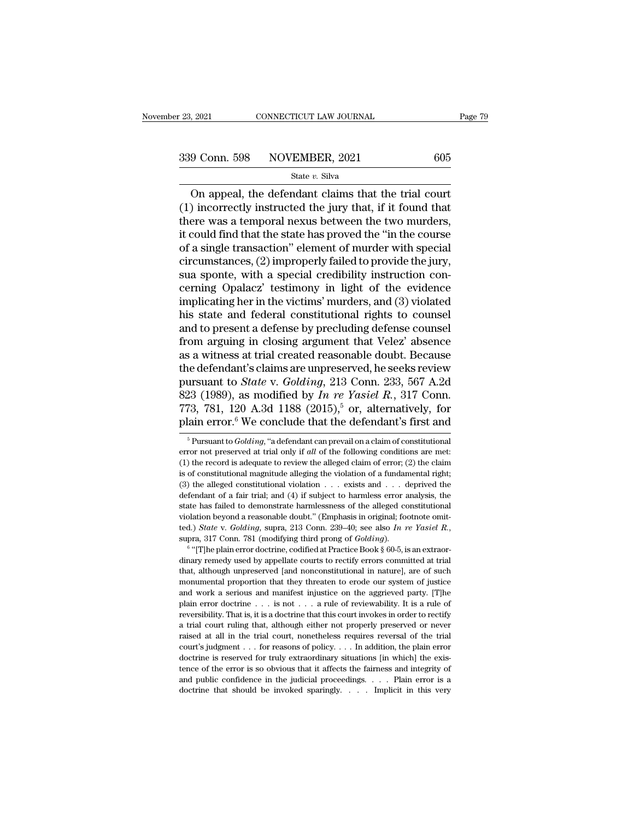$\begin{array}{r|l} \text{2021} & \text{CONRECTICUT LAW JOURNAL} & \text{Page 7:} \ \end{array}$ <br>
9 Conn. 598 NOVEMBER, 2021 605<br>
State v. Silva<br>
On appeal, the defendant claims that the trial court<br>
0 incorrectly instructed the jury that, if it found that (1) incorrectly instructed the jury that, if it found that<br>there was a temporal nexus between the two murders,<br>it could find that the state has proved the "in the course" 339 Conn. 598 NOVEMBER, 2021 605<br>
State v. Silva<br>
On appeal, the defendant claims that the trial court<br>
(1) incorrectly instructed the jury that, if it found that<br>
there was a temporal nexus between the two murders,<br>
it c 339 Conn. 598 NOVEMBER, 2021 605<br>
State v. Silva<br>
On appeal, the defendant claims that the trial court<br>
(1) incorrectly instructed the jury that, if it found that<br>
there was a temporal nexus between the two murders,<br>
it c of a single transaction of the contraction of the single value of the single transmit (1) incorrectly instructed the jury that, if it found that there was a temporal nexus between the two murders, it could find that the s State v. Silva<br>
Con appeal, the defendant claims that the trial court<br>
(1) incorrectly instructed the jury that, if it found that<br>
there was a temporal nexus between the two murders,<br>
it could find that the state has prov On appeal, the defendant claims that the trial court (1) incorrectly instructed the jury that, if it found that there was a temporal nexus between the two murders, it could find that the state has proved the "in the cours (1) incorrectly instructed the jury that, if it found that<br>there was a temporal nexus between the two murders,<br>it could find that the state has proved the "in the course<br>of a single transaction" element of murder with spe there was a temporal nexus between the two murders,<br>it could find that the state has proved the "in the course<br>of a single transaction" element of murder with special<br>circumstances, (2) improperly failed to provide the jur it could find that the state has proved the "in the course<br>of a single transaction" element of murder with special<br>circumstances, (2) improperly failed to provide the jury,<br>sua sponte, with a special credibility instructio of a single transaction" element of murder with special<br>circumstances, (2) improperly failed to provide the jury,<br>sua sponte, with a special credibility instruction con-<br>cerning Opalacz' testimony in light of the evidence<br> circumstances, (2) improperly failed to provide the jury,<br>sua sponte, with a special credibility instruction con-<br>cerning Opalacz' testimony in light of the evidence<br>implicating her in the victims' murders, and (3) violate sua sponte, with a special credibility instruction concerning Opalacz' testimony in light of the evidence<br>implicating her in the victims' murders, and (3) violated<br>his state and federal constitutional rights to counsel<br>and cerning Opalacz' testimony in light of the evidence<br>implicating her in the victims' murders, and (3) violated<br>his state and federal constitutional rights to counsel<br>and to present a defense by precluding defense counsel<br>f implicating her in the victims' murders, and (3) violated<br>his state and federal constitutional rights to counsel<br>and to present a defense by precluding defense counsel<br>from arguing in closing argument that Velez' absence<br>a his state and federal constitutional rights to counsel<br>and to present a defense by precluding defense counsel<br>from arguing in closing argument that Velez' absence<br>as a witness at trial created reasonable doubt. Because<br>the and to present a defense by precluding defense counsel<br>from arguing in closing argument that Velez' absence<br>as a witness at trial created reasonable doubt. Because<br>the defendant's claims are unpreserved, he seeks review<br>p from arguing in closing argument that Velez' absence<br>as a witness at trial created reasonable doubt. Because<br>the defendant's claims are unpreserved, he seeks review<br>pursuant to *State* v. *Golding*, 213 Conn. 233, 567 A.2 ursuant to *State* v. *Golding*, 213 Conn. 233, 567 A.2d<br>23 (1989), as modified by *In re Yasiel R.*, 317 Conn.<br>73, 781, 120 A.3d 1188 (2015),<sup>5</sup> or, alternatively, for<br>lain error.<sup>6</sup> We conclude that the defendant's first 823 (1989), as modified by *In re Yasiel R.*, 317 Conn.<br>773, 781, 120 A.3d 1188 (2015),<sup>5</sup> or, alternatively, for<br>plain error.<sup>6</sup> We conclude that the defendant's first and<br><sup>5</sup> Pursuant to *Golding*, "a defendant can prev

<sup>773, 781, 120</sup> A.3d 1188 (2015),<sup>5</sup> or, alternatively, for plain error.<sup>6</sup> We conclude that the defendant's first and  $\frac{1}{\pi}$ Pursuant to *Golding*, "a defendant can prevail on a claim of constitutional error not preserv **plain error.**<sup>6</sup> We conclude that the defendant's first and  $\frac{1}{100}$   $\frac{1}{100}$   $\frac{1}{100}$   $\frac{1}{100}$   $\frac{1}{100}$   $\frac{1}{100}$   $\frac{1}{100}$  or a claim of constitutional error not preserved at trial only if *all* of t Frame error. We concrude that the defendant S inst and<br>
<sup>5</sup> Pursuant to *Golding*, "a defendant can prevail on a claim of constitutional<br>
error not preserved at trial only if *all* of the following conditions are met:<br>
(1 <sup>5</sup> Pursuant to *Golding*, "a defendant can prevail on a claim of constitutional<br>error not preserved at trial only if *all* of the following conditions are met:<br>(1) the record is adequate to review the alleged claim of er error not preserved at trial only if *all* of the following conditions are met:<br>(1) the record is adequate to review the alleged claim of error; (2) the claim<br>is of constitutional magnitude alleging the violation of a fun (1) the record is adequate to review the alleged claim of error; (2) the claim is of constitutional magnitude alleging the violation of a fundamental right; (3) the alleged constitutional violation . . . exists and . . . is of constitutional magnitude alleging the violation of a fundamental right;<br>(3) the alleged constitutional violation . . . exists and . . . deprived the<br>defendant of a fair trial; and (4) if subject to harmless error ana endant of a fair trial; and (4) if subject to harmless error analysis, the endant of a fair trial; and (4) if subject to harmless error analysis, the endant beyond a reasonable doubt." (Emphasis in original; footnote omit state has failed to demonstrate harmlessness of the alleged constitutional violation beyond a reasonable doubt." (Emphasis in original; footnote omitted.) *State v. Golding*, supra, 213 Conn. 239–40; see also *In re Yasie* 

violation beyond a reasonable doubt." (Emphasis in original; footnote omitted.) *State* v. *Golding*, supra, 213 Conn. 239–40; see also *In re Yasiel R.*, supra, 317 Conn. 781 (modifying third prong of *Golding*).<br>
<sup>6</sup> "[ ted.) *State* v. *Golding*, supra, 213 Conn. 239–40; see also *In re Yasiel R.*, supra, 317 Conn. 781 (modifying third prong of *Golding*).<br><sup>6</sup> "[T]he plain error doctrine, codified at Practice Book § 60-5, is an extraord supra, 317 Conn. 781 (modifying third prong of *Golding*).<br>
<sup>6</sup> "[T]he plain error doctrine, codified at Practice Book § 60-5, is an extraordinary remedy used by appellate courts to rectify errors committed at trial that, by a set of "[T] he plain error doctrine, codified at Practice Book § 60-5, is an extraordinary remedy used by appellate courts to rectify errors committed at trial that, although unpreserved [and nonconstitutional in nat dinary remedy used by appellate courts to rectify errors committed at trial that, although unpreserved [and nonconstitutional in nature], are of such monumental proportion that they threaten to erode our system of justice that, although unpreserved [and nonconstitutional in nature], are of such monumental proportion that they threaten to erode our system of justice and work a serious and manifest injustice on the aggrieved party. [T]he pla raised at all in the trial court, nonetheless requires reversal of the trial court system of justice and work a serious and manifest injustice on the aggrieved party. [T]he plain error doctrine  $\ldots$  is not  $\ldots$  a rule o and work a serious and manifest injustice on the aggrieved party. [T]<br>he plain error doctrine . . . is not . . . a rule of reviewability. It is a rule of<br>reversibility. That is, it is a doctrine that this court invokes in plain error doctrine is in small of reviewability. It is a rule of reviewability. It is a rule of reversibility. That is, it is a doctrine that this court invokes in order to rectify a trial court ruling that, although ei Free presets in the error is so dotter that this court invokes in order to rectify a trial court ruling that, although either not properly preserved or never raised at all in the trial court, nonetheless requires reversal and point multing that, although either not properly preserved or never raised at all in the trial court, nonetheless requires reversal of the trial court's judgment . . . for reasons of policy. . . . In addition, the pla court's judgment . . . for reasons of policy. . . . In addition, the plain error doctrine is reserved for truly extraordinary situations [in which] the existence of the error is so obvious that it affects the fairness and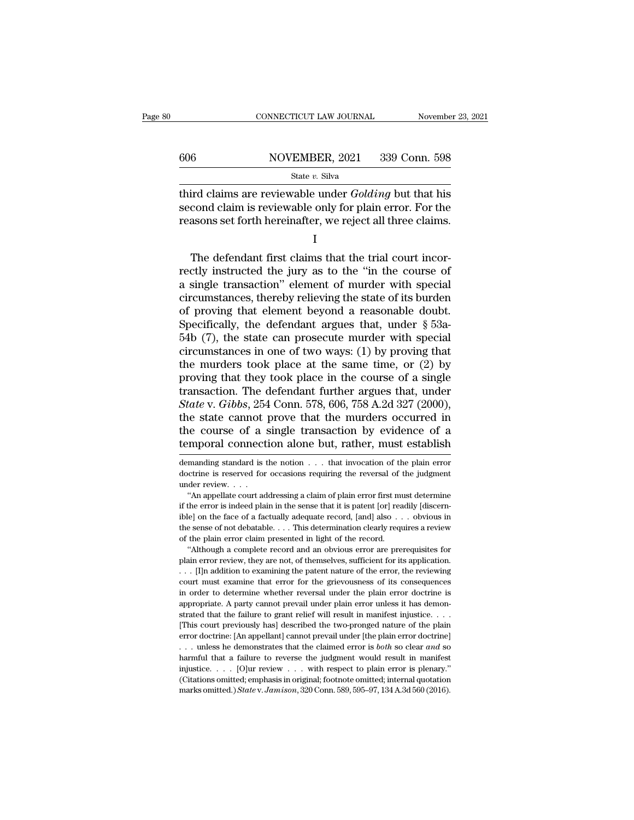### $\begin{tabular}{ll} \multicolumn{2}{l} \multicolumn{2}{l}{{\small\bf CONNECTICUT LAW JOURNAL}} & \multicolumn{2}{l}{{\small\bf November 23, 2021}}\\ \hline \hline \multicolumn{2}{l}{{\small 606}} & \multicolumn{2}{l}{{\small \bf NOVEMBER, 2021}} & \multicolumn{2}{l}{{\small 339~Conn.~598}}\\ & \multicolumn{2}{l}{{\small \bf State $v$.~Silva}} & \multicolumn{2}{l}{{\small \bf Structure:~C.~Silva}} & \multicolumn{2}{l}{{\small \bf 1339~Conn.~598$ State *v.* Silva

THE CONNECTICUT LAW JOURNAL November 23, 2021<br>
State v. Silva<br>
State v. Silva<br>
Third claims are reviewable under *Golding* but that his<br>
second claim is reviewable only for plain error. For the<br>
reasons set forth beging fo  $\begin{tabular}{ll} \hline & \multicolumn{1}{l}{\text{NOVEMBER, 2021 }} & 339 \text{ Conn. } 598 \\ & \multicolumn{1}{l}{\text{State $v$}.~} \text{Silva} \\ \hline \end{tabular} \text{third claims are reviewedable under } \text{Golding but that his}\\ \text{second claim is reviewed by for plain error. For the reasons set forth hereinafter, we reject all three claims.} \end{tabular}$ For all three claims set forth hereinafter, we reject all three claims.<br>  $\frac{\text{State } v. \text{ Silva}}{\text{Second claim is reviewed}}$ <br>  $\frac{\text{Second claim is reviewed by for plain error. For the reasons set forth hereinafter, we reject all three claims.}$ State v. Silva<br>
First claims are reviewable under *Golding* but that his<br>
cond claim is reviewable only for plain error. For the<br>
assons set forth hereinafter, we reject all three claims.<br>
I<br>
The defendant first claims th

I

third claims are reviewable under *Golding* but that his<br>second claim is reviewable only for plain error. For the<br>reasons set forth hereinafter, we reject all three claims.<br>I<br>The defendant first claims that the trial court second claim is reviewable only for plain error. For the reasons set forth hereinafter, we reject all three claims.<br>
I<br>
The defendant first claims that the trial court incorrectly instructed the jury as to the "in the cour reasons set forth hereinafter, we reject all three claims.<br>  $I$ <br>
The defendant first claims that the trial court incor-<br>
rectly instructed the jury as to the "in the course of<br>
a single transaction" element of murder with I<br>
The defendant first claims that the trial court incor-<br>
rectly instructed the jury as to the "in the course of<br>
a single transaction" element of murder with special<br>
circumstances, thereby relieving the state of its bur The defendant first claims that the trial court incorrectly instructed the jury as to the "in the course of a single transaction" element of murder with special circumstances, thereby relieving the state of its burden of The defendant first claims that the trial court incorrectly instructed the jury as to the "in the course of a single transaction" element of murder with special circumstances, thereby relieving the state of its burden of rectly instructed the jury as to the "in the course of<br>a single transaction" element of murder with special<br>circumstances, thereby relieving the state of its burden<br>of proving that element beyond a reasonable doubt.<br>Speci a single transaction" element of murder with special<br>circumstances, thereby relieving the state of its burden<br>of proving that element beyond a reasonable doubt.<br>Specifically, the defendant argues that, under  $\S$  53a-<br>54b circumstances, thereby relieving the state of its burden<br>of proving that element beyond a reasonable doubt.<br>Specifically, the defendant argues that, under  $\S$  53a-<br>54b (7), the state can prosecute murder with special<br>circ of proving that element beyond a reasonable doubt.<br>Specifically, the defendant argues that, under  $\S$  53a-<br>54b (7), the state can prosecute murder with special<br>circumstances in one of two ways: (1) by proving that<br>the mur Specifically, the defendant argues that, under § 53a-<br>54b (7), the state can prosecute murder with special<br>circumstances in one of two ways: (1) by proving that<br>the murders took place at the same time, or (2) by<br>proving th 54b (7), the state can prosecute murder with special circumstances in one of two ways: (1) by proving that the murders took place at the same time, or (2) by proving that they took place in the course of a single transact circumstances in one of two ways: (1) by proving that<br>the murders took place at the same time, or (2) by<br>proving that they took place in the course of a single<br>transaction. The defendant further argues that, under<br>*State* the murders took place at the same time, or (2) by<br>proving that they took place in the course of a single<br>transaction. The defendant further argues that, under<br>*State* v. *Gibbs*, 254 Conn. 578, 606, 758 A.2d 327 (2000),<br> State v. Gibbs, 254 Conn. 578, 606, 758 A.2d 327 (2000),<br>the state cannot prove that the murders occurred in<br>the course of a single transaction by evidence of a<br>temporal connection alone but, rather, must establish<br>demand the state cannot prove that the murders occurred in<br>the course of a single transaction by evidence of a<br>temporal connection alone but, rather, must establish<br>demanding standard is the notion . . . that invocation of the pl

the course of a<br>temporal connect<br>demanding standard is<br>doctrine is reserved for<br>under review. . . . .<br>"An appellate court ac manding standard is the notion  $\lambda$ ... that invocation of the plain error extrine is reserved for occasions requiring the reversal of the judgment der review....<br>"An appellate court addressing a claim of plain error first

demanding standard is the notion . . . that invocation of the plain error<br>doctrine is reserved for occasions requiring the reversal of the judgment<br>under review. . . .<br>"An appellate court addressing a claim of plain error demanding standard is the notion  $\ldots$  that invocation of the plain error doctrine is reserved for occasions requiring the reversal of the judgment under review.  $\ldots$  "An appellate court addressing a claim of plain error doctrine is reserved for occasions requiring the reversal of the judgment<br>under review. . . . "An appellate court addressing a claim of plain error first must determine<br>if the error is indeed plain in the sense that it is of the plain error claim in the sense that it is patent of the error is indeed plain in the sense that it is patent [or] realible] on the face of a factually adequate record, [and] also ... the sense of not debatable. . . "An appellate court addressing a claim of plain error first must determine the error is indeed plain in the sense that it is patent [or] readily [discern-<br>le] on the face of a factually adequate record, [and] also  $\dots$  ob First error is indeed plain in the sense that it is patent [or] readily [discernible] on the face of a factually adequate record, [and] also  $\dots$  obvious in the sense of not debatable.  $\dots$  This determination clearly requ

ible] on the face of a factually adequate record, [and] also  $\ldots$  obvious in the sense of not debatable.  $\ldots$  This determination clearly requires a review of the plain error claim presented in light of the record. "Alth court must examine that error for the grievousness of its consequences<br>in the sense of not debatable. . . . This determination clearly requires a review<br>of the plain error claim presented in light of the record.<br>"Although for the plain error claim presented in light of the record.<br>
"Although a complete record and an obvious error are prerequisites for<br>
plain error review, they are not, of themselves, sufficient for its application.<br>
... [I] "Although a complete record and an obvious error are prerequisites for the mean of the error, they are not, of themselves, sufficient for its application.  $\ldots$  [I]n addition to examining the patent nature of the error, t plain error review, they are not, of themselves, sufficient for its application.<br>
. . . [I]n addition to examining the patent nature of the error, the reviewing<br>
court must examine that error for the grievousness of its c  $\ldots$  [I]n addition to examining the patent nature of the error, the reviewing<br>court must examine that error for the grievousness of its consequences<br>in order to determine whether reversal under the plain error doctrine i For a<br>state symmetry and the strength of the grievousness of its consequences<br>in order to determine whether reversal under the plain error doctrine is<br>appropriate. A party cannot prevail under plain error unless it has de in order to determine whether reversal under the plain error doctrine is appropriate. A party cannot prevail under plain error unless it has demonstrated that the failure to grant relief will result in manifest injustice. harmful that a failure to reverse the judgment would result in manifest Expression to the failure to grant relief will result in manifest injustice. . . . . . . . [This court previously has] described the two-pronged nature of the plain error doctrine: [An appellant] cannot prevail under [the This court previously has] described the two-pronged nature of the plain<br>error doctrine: [An appellant] cannot prevail under [the plain error doctrine]<br>... unless he demonstrates that the claimed error is *both* so clear [This court previously has] described the two-pronged nature of the plain error doctrine: [An appellant] cannot prevail under [the plain error doctrine] . . . unless he demonstrates that the claimed error is *both* so clea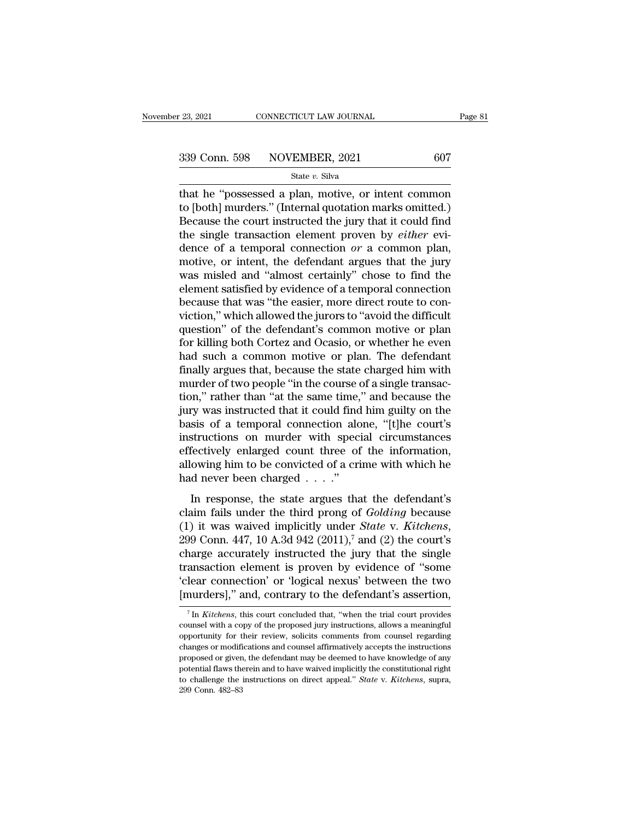that he "possessed a plan, motive, or intent common computed be even the control of the count instructed the inner that it could find the count instructed the inner that it could find 339 Conn. 598 NOVEMBER, 2021 607<br>
State v. Silva<br>
that he "possessed a plan, motive, or intent common<br>
to [both] murders." (Internal quotation marks omitted.)<br>
Because the court instructed the jury that it could find<br>
the  $\begin{array}{r} \text{339 Conn. } 598 \qquad \text{NOVEMBER, } 2021 \qquad \qquad 607 \text{ \texttt{State } } v. \text{ Silva} \\ \text{that he "possessed a plan, motive, or intent common to [both] murders." (Internal quotation marks omitted.) \text{Because the court instructed the jury that it could find the single transaction element proven by either evidence of a temporal connection or a common plan.} \end{array}$ 339 Conn. 598 NOVEMBER, 2021 607<br>
state v. Silva<br>
that he "possessed a plan, motive, or intent common<br>
to [both] murders." (Internal quotation marks omitted.)<br>
Because the court instructed the jury that it could find<br>
the State *v*. Silva<br>
State *v*. Silva<br>
that he "possessed a plan, motive, or intent common<br>
to [both] murders." (Internal quotation marks omitted.)<br>
Because the court instructed the jury that it could find<br>
the single transac state v. silva<br>that he "possessed a plan, motive, or intent common<br>to [both] murders." (Internal quotation marks omitted.)<br>Because the court instructed the jury that it could find<br>the single transaction element proven by that he "possessed a plan, motive, or intent common<br>to [both] murders." (Internal quotation marks omitted.)<br>Because the court instructed the jury that it could find<br>the single transaction element proven by *either* evi-<br>d to [both] murders." (Internal quotation marks omitted.)<br>Because the court instructed the jury that it could find<br>the single transaction element proven by *either* evi-<br>dence of a temporal connection  $or$  a common plan,<br>mot Because the court instructed the jury that it could find<br>the single transaction element proven by *either* evi-<br>dence of a temporal connection *or* a common plan,<br>motive, or intent, the defendant argues that the jury<br>was m the single transaction element proven by *either* evidence of a temporal connection  $or$  a common plan, motive, or intent, the defendant argues that the jury was misled and "almost certainly" chose to find the element sati dence of a temporal connection *or* a common plan,<br>motive, or intent, the defendant argues that the jury<br>was misled and "almost certainly" chose to find the<br>element satisfied by evidence of a temporal connection<br>because th motive, or intent, the defendant argues that the jury<br>was misled and "almost certainly" chose to find the<br>element satisfied by evidence of a temporal connection<br>because that was "the easier, more direct route to con-<br>victi was misled and "almost certainly" chose to find the<br>element satisfied by evidence of a temporal connection<br>because that was "the easier, more direct route to con-<br>viction," which allowed the jurors to "avoid the difficult<br> element satisfied by evidence of a temporal connection<br>because that was "the easier, more direct route to con-<br>viction," which allowed the jurors to "avoid the difficult<br>question" of the defendant's common motive or plan<br>f because that was "the easier, more direct route to conviction," which allowed the jurors to "avoid the difficult question" of the defendant's common motive or plan for killing both Cortez and Ocasio, or whether he even had viction," which allowed the jurors to "avoid the difficult<br>question" of the defendant's common motive or plan<br>for killing both Cortez and Ocasio, or whether he even<br>had such a common motive or plan. The defendant<br>finally a question" of the defendant's common motive or plan<br>for killing both Cortez and Ocasio, or whether he even<br>had such a common motive or plan. The defendant<br>finally argues that, because the state charged him with<br>murder of tw for killing both Cortez and Ocasio, or whether he even<br>had such a common motive or plan. The defendant<br>finally argues that, because the state charged him with<br>murder of two people "in the course of a single transac-<br>tion," had such a common motive or plan. The defendant<br>finally argues that, because the state charged him with<br>murder of two people "in the course of a single transac-<br>tion," rather than "at the same time," and because the<br>jury w finally argues that, because the state charged him with<br>murder of two people "in the course of a single transac-<br>tion," rather than "at the same time," and because the<br>jury was instructed that it could find him guilty on t murder of two people "in the course of a single transaction," rather than "at the same time," and because the<br>jury was instructed that it could find him guilty on the<br>basis of a temporal connection alone, "[t]he court's<br>i tion," rather than "at the same time,<br>jury was instructed that it could find<br>basis of a temporal connection alo<br>instructions on murder with speci<br>effectively enlarged count three of<br>allowing him to be convicted of a cri<br>h In the state argues that the defendant is sis of a temporal connection alone, "[t]he court's structions on murder with special circumstances fectively enlarged count three of the information, owing him to be convicted of instructions on murder with special circumstances<br>effectively enlarged count three of the information,<br>allowing him to be convicted of a crime with which he<br>had never been charged . . . ."<br>In response, the state argues th

mortactors on manacr what special chromational<br>effectively enlarged count three of the information,<br>allowing him to be convicted of a crime with which he<br>had never been charged . . . ."<br>In response, the state argues that t allowing rim to be convicted of a critic with what when its<br>had never been charged  $\ldots$ ."<br>In response, the state argues that the defendant's<br>claim fails under the third prong of *Golding* because<br>(1) it was waived implic In response, the state argues that the defendant's<br>claim fails under the third prong of *Golding* because<br>(1) it was waived implicitly under *State* v. *Kitchens*,<br>299 Conn. 447, 10 A.3d 942 (2011),<sup>7</sup> and (2) the court's In response, the state argues that the defendant's<br>claim fails under the third prong of *Golding* because<br>(1) it was waived implicitly under *State* v. *Kitchens*,<br>299 Conn. 447, 10 A.3d 942 (2011),<sup>7</sup> and (2) the court's claim fails under the third prong of *Golding* because (1) it was waived implicitly under *State* v. *Kitchens*, 299 Conn. 447, 10 A.3d 942 (2011),<sup>7</sup> and (2) the court's charge accurately instructed the jury that the sin narge accurately instructed the jury that the single<br>ansaction element is proven by evidence of "some<br>lear connection' or 'logical nexus' between the two<br>nurders]," and, contrary to the defendant's assertion,<br><sup>7</sup> In *Kitch* transaction element is proven by evidence of "some<br>
'clear connection' or 'logical nexus' between the two<br>
[murders]," and, contrary to the defendant's assertion,<br>  $\frac{1}{10}$  Th *Kitchens*, this court concluded that, "whe

<sup>&</sup>quot;clear connection" or "logical nexus" between the two [murders]," and, contrary to the defendant's assertion,<br> $\frac{7 \text{ In }Kitchens, \text{ this court concluded that, "when the trial court provides  
coursel with a copy of the proposed jury instructions, allows a meaningful  
opportunity for their review, solicits comments from coursel regarding  
changes or modifications and coursel affirmatively accepts the instructions$ [murders]," and, contrary to the defendant's assertion,<br>  $\frac{1}{\pi}$  In *Kitchens*, this court concluded that, "when the trial court provides<br>
counsel with a copy of the proposed jury instructions, allows a meaningful<br>
opp The defendant may be differentiated a assertion,<br>  $\frac{1}{100}$  The Kitchens, this court concluded that, "when the trial court provides<br>
counsel with a copy of the proposed jury instructions, allows a meaningful<br>
opportunit <sup>7</sup> In *Kitchens*, this court concluded that, "when the trial court provides counsel with a copy of the proposed jury instructions, allows a meaningful opportunity for their review, solicits comments from counsel regardin counsel with a copy of the proposed jury instructions, allows a meaningful opportunity for their review, solicits comments from counsel regarding changes or modifications and counsel affirmatively accepts the instructions opportunity for their review, solicits comments from counsel regarding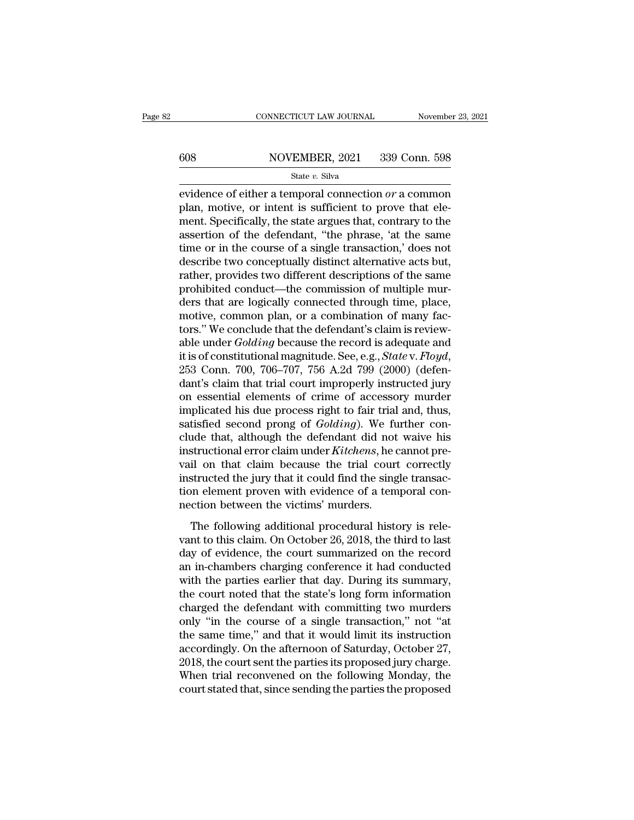# $\begin{tabular}{ll} \multicolumn{2}{l} \multicolumn{2}{l}{{\small\bf CONNECTICUT LAW JOURNAL}} & \multicolumn{2}{l}{\small\bf November~23, 2021} \\\\ 608 & \multicolumn{2}{l}{\small\bf NOVEMBER, 2021} & 339 {\small\bf Conn.~598} \end{tabular}$

### State *v.* Silva

EXECTICUT LAW JOURNAL November 23, 2021<br>
State v. Silva<br>
State v. Silva<br>
evidence of either a temporal connection *or* a common<br>
plan, motive, or intent is sufficient to prove that element Spocifically, the state argues th For the MOVEMBER, 2021 339 Conn. 598<br>
State v. Silva<br>
evidence of either a temporal connection or a common<br>
plan, motive, or intent is sufficient to prove that ele-<br>
ment. Specifically, the state argues that, contrary to 608 NOVEMBER, 2021 339 Conn. 598<br>
State v. Silva<br>
evidence of either a temporal connection or a common<br>
plan, motive, or intent is sufficient to prove that ele-<br>
ment. Specifically, the state argues that, contrary to the<br> 608 NOVEMBER, 2021 339 Conn. 598<br>  $\frac{\text{State } v. \text{ Silva}}{\text{evidence of either a temporal connection } or \text{ a common plan, motive, or intent is sufficient to prove that element. Specifically, the state argues that, contrary to the assertion of the defendant, "the phrase, 'at the same time or in the course of a single transaction,' does not describe two concontually distinct alternative acts but$ State v. Silva<br>
evidence of either a temporal connection or a common<br>
plan, motive, or intent is sufficient to prove that ele-<br>
ment. Specifically, the state argues that, contrary to the<br>
assertion of the defendant, "the state v. Silva<br>
evidence of either a temporal connection or a common<br>
plan, motive, or intent is sufficient to prove that ele-<br>
ment. Specifically, the state argues that, contrary to the<br>
assertion of the defendant, "the evidence of either a temporal connection  $or$  a common plan, motive, or intent is sufficient to prove that element. Specifically, the state argues that, contrary to the assertion of the defendant, "the phrase, 'at the same plan, motive, or intent is sufficient to prove that element. Specifically, the state argues that, contrary to the assertion of the defendant, "the phrase, 'at the same time or in the course of a single transaction,' does n ment. Specifically, the state argues that, contrary to the assertion of the defendant, "the phrase, 'at the same time or in the course of a single transaction,' does not describe two conceptually distinct alternative acts assertion of the defendant, "the phrase, 'at the same<br>time or in the course of a single transaction,' does not<br>describe two conceptually distinct alternative acts but,<br>rather, provides two different descriptions of the sam time or in the course of a single transaction,' does not<br>describe two conceptually distinct alternative acts but,<br>rather, provides two different descriptions of the same<br>prohibited conduct—the commission of multiple mur-<br>d describe two conceptually distinct alternative acts but,<br>rather, provides two different descriptions of the same<br>prohibited conduct—the commission of multiple mur-<br>ders that are logically connected through time, place,<br>mot rather, provides two different descriptions of the same<br>prohibited conduct—the commission of multiple mur-<br>ders that are logically connected through time, place,<br>motive, common plan, or a combination of many fac-<br>tors." We ders that are logically connected through time, place,<br>motive, common plan, or a combination of many fac-<br>tors." We conclude that the defendant's claim is review-<br>able under *Golding* because the record is adequate and<br>it motive, common plan, or a combination of many factors." We conclude that the defendant's claim is reviewable under *Golding* because the record is adequate and it is of constitutional magnitude. See, e.g., *State v. Floyd* tors." We conclude that the defendant's claim is reviewable under *Golding* because the record is adequate and it is of constitutional magnitude. See, e.g., *State* v. *Floyd*, 253 Conn. 700, 706–707, 756 A.2d 799 (2000) ( able under *Golding* because the record is adequate and<br>it is of constitutional magnitude. See, e.g., *State* v. *Floyd*,<br>253 Conn. 700, 706–707, 756 A.2d 799 (2000) (defen-<br>dant's claim that trial court improperly instruc it is of constitutional magnitude. See, e.g., *State* v. *Floyd*,<br>253 Conn. 700, 706–707, 756 A.2d 799 (2000) (defen-<br>dant's claim that trial court improperly instructed jury<br>on essential elements of crime of accessory mur 253 Conn. 700, 706–707, 756 A.2d 799 (2000) (defendant's claim that trial court improperly instructed jury<br>on essential elements of crime of accessory murder<br>implicated his due process right to fair trial and, thus,<br>satisf dant's claim that trial court improperly instructed jury<br>on essential elements of crime of accessory murder<br>implicated his due process right to fair trial and, thus,<br>satisfied second prong of *Golding*). We further con-<br>cl on essential elements of crime of accessory murder<br>implicated his due process right to fair trial and, thus,<br>satisfied second prong of *Golding*). We further con-<br>clude that, although the defendant did not waive his<br>instru implicated his due process right to fair trial and, thus, satisfied second prong of *Golding*). We further conclude that, although the defendant did not waive his instructional error claim under *Kitchens*, he cannot preva satisfied second prong of *Golding*). We fucture that, although the defendant did not instructional error claim under *Kitchens*, he vail on that claim because the trial courn instructed the jury that it could find the sin Exercise and, antiough the deterministical hold history instructional error claim under *Kitchens*, he cannot pre-<br>il on that claim because the trial court correctly<br>structed the jury that it could find the single transacmaximum crist claim. There is the trial court correctly<br>instructed the jury that it could find the single transac-<br>tion element proven with evidence of a temporal con-<br>nection between the victims' murders.<br>The following ad

van on that claim seculate the that court correctly<br>instructed the jury that it could find the single transac-<br>tion element proven with evidence of a temporal con-<br>nection between the victims' murders.<br>The following additi mean deced and jury and it could find are single atasaet<br>tion element proven with evidence of a temporal con-<br>nection between the victims' murders.<br>The following additional procedural history is rele-<br>vant to this claim. O mection between the victims' murders.<br>
The following additional procedural history is relevant to this claim. On October 26, 2018, the third to last<br>
day of evidence, the court summarized on the record<br>
an in-chambers char The following additional procedural history is relevant to this claim. On October 26, 2018, the third to last<br>day of evidence, the court summarized on the record<br>an in-chambers charging conference it had conducted<br>with the The following additional procedural history is relevant to this claim. On October 26, 2018, the third to last<br>day of evidence, the court summarized on the record<br>an in-chambers charging conference it had conducted<br>with the vant to this claim. On October 26, 2018, the third to last<br>day of evidence, the court summarized on the record<br>an in-chambers charging conference it had conducted<br>with the parties earlier that day. During its summary,<br>the day of evidence, the court summarized on the record<br>an in-chambers charging conference it had conducted<br>with the parties earlier that day. During its summary,<br>the court noted that the state's long form information<br>charged an in-chambers charging conference it had conducted<br>with the parties earlier that day. During its summary,<br>the court noted that the state's long form information<br>charged the defendant with committing two murders<br>only "in t with the parties earlier that day. During its summary,<br>the court noted that the state's long form information<br>charged the defendant with committing two murders<br>only "in the course of a single transaction," not "at<br>the same the court noted that the state's long form information<br>charged the defendant with committing two murders<br>only "in the course of a single transaction," not "at<br>the same time," and that it would limit its instruction<br>accordi charged the defendant with committing two murders<br>only "in the course of a single transaction," not "at<br>the same time," and that it would limit its instruction<br>accordingly. On the afternoon of Saturday, October 27,<br>2018, t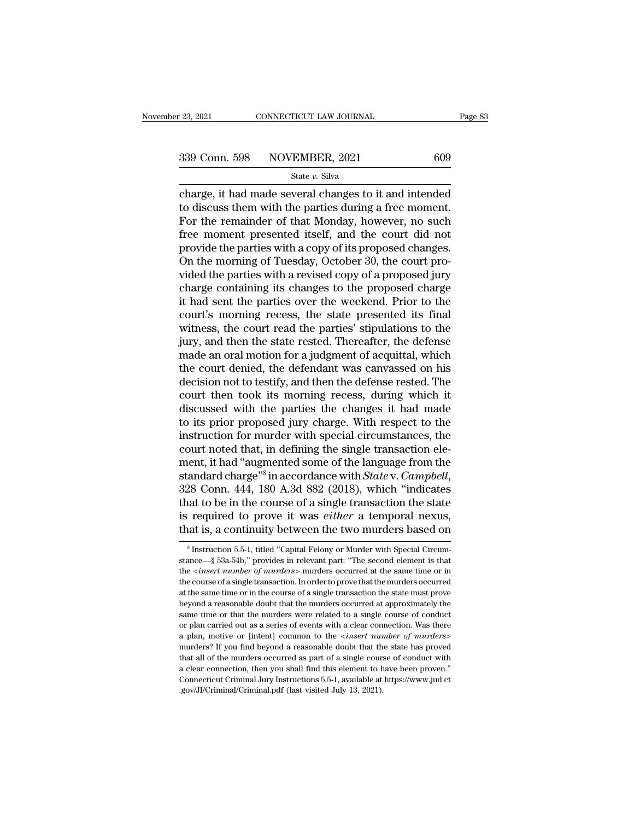connecticut LAW JOURNAL Page 83<br>
23, 2021 Conn. 598 NOVEMBER, 2021 609<br>
34 State v. Silva<br>
26 Charge, it had made several changes to it and intended<br>
26 to discuss them with the parties during a free moment. 339 Conn. 598 NOVEMBER, 2021 609<br>
State v. Silva<br>
Charge, it had made several changes to it and intended<br>
to discuss them with the parties during a free moment.<br>
For the remainder of that Monday, however, no such<br>
free mo  $\begin{array}{r|l} \text{339 Conn. } 598 & \text{NOVEMBER, } 2021 & 609 \\ & \text{State } v. \text{ Silva} \\ \text{charge, it had made several changes to it and intended to discuss them with the parties during a free moment. For the remainder of that Monday, however, no such free moment presented itself, and the court did not provide the parties with a conv of its proposed changes.} \end{array}$  $\frac{339 \text{ Conn. } 598 \qquad \text{NOVEMBER, } 2021 \qquad \qquad 609}{\text{State } v. Siiva}$ <br>
charge, it had made several changes to it and intended<br>
to discuss them with the parties during a free moment.<br>
For the remainder of that Monday, however, no such<br> State v. Silva<br>
State v. Silva<br>
Charge, it had made several changes to it and intended<br>
to discuss them with the parties during a free moment.<br>
For the remainder of that Monday, however, no such<br>
free moment presented its State  $v$ . Silva<br>
charge, it had made several changes to it and intended<br>
to discuss them with the parties during a free moment.<br>
For the remainder of that Monday, however, no such<br>
free moment presented itself, and the c charge, it had made several changes to it and intended<br>to discuss them with the parties during a free moment.<br>For the remainder of that Monday, however, no such<br>free moment presented itself, and the court did not<br>provide t to discuss them with the parties during a free moment.<br>For the remainder of that Monday, however, no such<br>free moment presented itself, and the court did not<br>provide the parties with a copy of its proposed changes.<br>On the For the remainder of that Monday, however, no such<br>free moment presented itself, and the court did not<br>provide the parties with a copy of its proposed changes.<br>On the morning of Tuesday, October 30, the court pro-<br>vided th free moment presented itself, and the court did not<br>provide the parties with a copy of its proposed changes.<br>On the morning of Tuesday, October 30, the court pro-<br>vided the parties with a revised copy of a proposed jury<br>ch provide the parties with a copy of its proposed changes.<br>On the morning of Tuesday, October 30, the court provided the parties with a revised copy of a proposed jury<br>charge containing its changes to the proposed charge<br>it On the morning of Tuesday, October 30, the court provided the parties with a revised copy of a proposed jury<br>charge containing its changes to the proposed charge<br>it had sent the parties over the weekend. Prior to the<br>court vided the parties with a revised copy of a proposed jury<br>charge containing its changes to the proposed charge<br>it had sent the parties over the weekend. Prior to the<br>court's morning recess, the state presented its final<br>wit charge containing its changes to the proposed charge<br>it had sent the parties over the weekend. Prior to the<br>court's morning recess, the state presented its final<br>witness, the court read the parties' stipulations to the<br>jur it had sent the parties over the weekend. Prior to the court's morning recess, the state presented its final witness, the court read the parties' stipulations to the jury, and then the state rested. Thereafter, the defense court's morning recess, the state presented its final<br>witness, the court read the parties' stipulations to the<br>jury, and then the state rested. Thereafter, the defense<br>made an oral motion for a judgment of acquittal, which witness, the court read the parties' stipulations to the<br>jury, and then the state rested. Thereafter, the defense<br>made an oral motion for a judgment of acquittal, which<br>the court denied, the defendant was canvassed on his<br> jury, and then the state rested. Thereafter, the defense<br>made an oral motion for a judgment of acquittal, which<br>the court denied, the defendant was canvassed on his<br>decision not to testify, and then the defense rested. The made an oral motion for a judgment of acquittal, which<br>the court denied, the defendant was canvassed on his<br>decision not to testify, and then the defense rested. The<br>court then took its morning recess, during which it<br>disc the court denied, the defendant was canvassed on his<br>decision not to testify, and then the defense rested. The<br>court then took its morning recess, during which it<br>discussed with the parties the changes it had made<br>to its p decision not to testify, and then the defense rested. The<br>court then took its morning recess, during which it<br>discussed with the parties the changes it had made<br>to its prior proposed jury charge. With respect to the<br>instr court then took its mead<br>iscussed with the part<br>to its prior proposed ju<br>instruction for murder v<br>court noted that, in defi<br>ment, it had "augmented<br>standard charge"<sup>8</sup> in acc<br>328 Conn. 444, 180 A.3<br>that to be in the course court then took its morning recess, during which it<br>discussed with the parties the changes it had made<br>to its prior proposed jury charge. With respect to the<br>instruction for murder with special circumstances, the<br>court not to its prior proposed jury charge. With respect to the instruction for murder with special circumstances, the court noted that, in defining the single transaction element, it had "augmented some of the language from the s instruction for murder with special circumstances, the court noted that, in defining the single transaction element, it had "augmented some of the language from the standard charge"<sup>8</sup> in accordance with *State* v. *Campbe* court noted that, in defining the single transaction element, it had "augmented some of the language from the standard charge"<sup>8</sup> in accordance with *State* v. *Campbell*, 328 Conn. 444, 180 A.3d 882 (2018), which "indica 28 Conn. 444, 180 A.3d 882 (2018), which "indicates<br>aat to be in the course of a single transaction the state<br>required to prove it was *either* a temporal nexus,<br>aat is, a continuity between the two murders based on<br> $\frac{1$ that to be in the course of a single transaction the state<br>is required to prove it was *either* a temporal nexus,<br>that is, a continuity between the two murders based on<br><sup>8</sup>Instruction 5.5-1, titled "Capital Felony or Murd

is required to prove it was *either* a temporal nexus,<br>that is, a continuity between the two murders based on<br><sup>8</sup>Instruction 5.5-1, titled "Capital Felony or Murder with Special Circum-<br>stance—§ 53a-54b," provides in relev that is, a continuity between the two murders based on<br>  $\frac{1}{8}$  Instruction 5.5-1, titled "Capital Felony or Murder with Special Circum-<br>
stance— $\frac{8}{8}$  53a-54b," provides in relevant part: "The second element is that at the same time of murders of a single transaction.<br>
Substitution 5.5-1, titled "Capital Felony or Murder with Special Circumstance—§ 53a-54b," provides in relevant part: "The second element is that the *<insert number o* <sup>8</sup> Instruction 5.5-1, titled "Capital Felony or Murder with Special Circumstance— $\S$  53a-54b," provides in relevant part: "The second element is that the *<insert number of murders>* murders occurred at the same time or <sup>8</sup> Instruction 5.5-1, titled "Capital Felony or Murder with Special Circumstance— $\S$  53a-54b," provides in relevant part: "The second element is that the *<insert number of murders>* murders occurred at the same time or the *cinsert number of murders>* murders occurred at the same time or in the *cinsert number of murders>* murders occurred at the same time or in the course of a single transaction. In order to prove that the murders occu the course of a single transaction. In order to prove that the murders occurred at the same time or in the course of a single transaction the state must prove beyond a reasonable doubt that the murders occurred at approxim beyond a reasonable doubt that the murders occurred at approximately the same time or that the murders were related to a single course of conduct or plan carried out as a series of events with a clear connection. Was ther same time or that the murders were related to a single course of conduct or plan carried out as a series of events with a clear connection. Was there a plan, motive or [intent] common to the *<insert number of murders*>mu or plan carried out as a series of events with a clear connection. Was there a plan, motive or [intent] common to the <insert number of murders>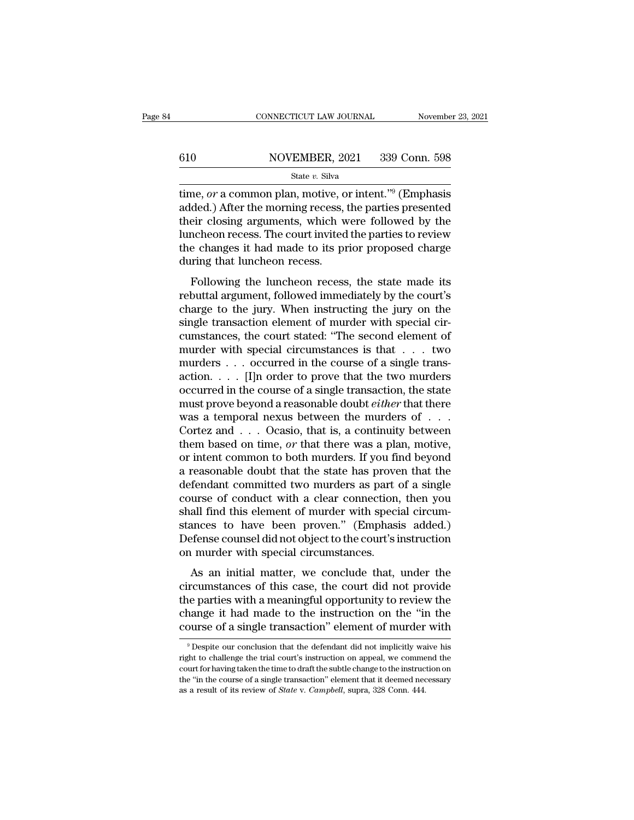### $\begin{tabular}{ll} \multicolumn{2}{l} \multicolumn{2}{l}{{\small\bf CONNECTICUT LAW JOURNAL}} & \multicolumn{2}{l}{\small\bf November~23, 2021} \\ \hline \hline \end{tabular}$   $\begin{tabular}{ll} \multicolumn{2}{l}{{\small\bf CONNECTICUT LAW JOURNAL}} & \multicolumn{2}{l}{\small\bf November~23, 2021} \\ \multicolumn{2}{l}{\small\bf 839 Conn.~598} \\ \multicolumn{2}{l}{\small\bf State~}v.~\text{ Silva} \\ \end{tabular}$ State *v.* Silva

CONNECTICUT LAW JOURNAL November 23, 2021<br>
610 NOVEMBER, 2021 339 Conn. 598<br>
5tate v. Silva<br>
time, *or* a common plan, motive, or intent.<sup>''9</sup> (Emphasis added.) After the morning recess, the parties presented<br>
their closin added.) After the morning recess, the parties presented 610 NOVEMBER, 2021 339 Conn. 598<br>
State v. Silva<br>
time, or a common plan, motive, or intent."<sup>9</sup> (Emphasis<br>
added.) After the morning recess, the parties presented<br>
their closing arguments, which were followed by the<br>
lun MOVEMBER, 2021 339 Conn. 598<br>
State v. Silva<br>
time, or a common plan, motive, or intent."<sup>9</sup> (Emphasis<br>
added.) After the morning recess, the parties presented<br>
their closing arguments, which were followed by the<br>
luncheo State v. Silva<br>
State v. Silva<br>
time, or a common plan, motive, or intent."<sup>9</sup> (Emphasis<br>
added.) After the morning recess, the parties presented<br>
their closing arguments, which were followed by the<br>
luncheon recess. The  $\begin{array}{l} \text{state } v \text{. } \text{siva} \\ \text{time, } or \text{ a common plan, } \text{motive, } \text{o} \\ \text{added.) After the morning recess, } \text{their closing arguments, which we be done that the changes it had made to its pr during that luncheon recess. } \text{Following the luncheon recess} \end{array}$ Following the luncheon recess, the parties presented<br>For closing arguments, which were followed by the<br>ncheon recess. The court invited the parties to review<br>e changes it had made to its prior proposed charge<br>ring that lun referred their closing arguments, which were followed by the luncheon recess. The court invited the parties to review the changes it had made to its prior proposed charge during that luncheon recess.<br>Following the luncheon

charge to the countrivited the parties to review<br>the changes it had made to its prior proposed charge<br>during that luncheon recess.<br>Following the luncheon recess, the state made its<br>rebuttal argument, followed immediately b since the changes it had made to its prior proposed charge<br>during that luncheon recess.<br>Following the luncheon recess, the state made its<br>rebuttal argument, followed immediately by the court's<br>charge to the jury. When inst during that luncheon recess.<br>Following the luncheon recess, the state made its<br>rebuttal argument, followed immediately by the court's<br>charge to the jury. When instructing the jury on the<br>single transaction element of murde Following the luncheon recess.<br>
Following the luncheon recess, the state made its<br>
rebuttal argument, followed immediately by the court's<br>
charge to the jury. When instructing the jury on the<br>
single transaction element o Following the luncheon recess, the state made its<br>rebuttal argument, followed immediately by the court's<br>charge to the jury. When instructing the jury on the<br>single transaction element of murder with special cir-<br>cumstanc rebuttal argument, followed immediately by the court's<br>charge to the jury. When instructing the jury on the<br>single transaction element of murder with special cir-<br>cumstances, the court stated: "The second element of<br>murde charge to the jury. When instructing the jury on the<br>single transaction element of murder with special cir-<br>cumstances, the court stated: "The second element of<br>murder with special circumstances is that  $\dots$  two<br>murders single transaction element of murder with special circumstances, the court stated: "The second element of murder with special circumstances is that  $\dots$  two murders  $\dots$  cocurred in the course of a single transaction.  $\dots$ cumstances, the court stated: "The second element of<br>murder with special circumstances is that . . . two<br>murders . . . occurred in the course of a single trans-<br>action. . . . [I]n order to prove that the two murders<br>occur murder with special circumstances is that . . . two<br>murders . . . occurred in the course of a single trans-<br>action. . . . . [I]n order to prove that the two murders<br>occurred in the course of a single transaction, the stat murders . . . occurred in the course of a single trans-<br>action. . . . [I]n order to prove that the two murders<br>occurred in the course of a single transaction, the state<br>must prove beyond a reasonable doubt *either* that t action. . . . . [I]n order to prove that the two murders<br>occurred in the course of a single transaction, the state<br>must prove beyond a reasonable doubt *either* that there<br>was a temporal nexus between the murders of . . . occurred in the course of a single transaction, the state<br>must prove beyond a reasonable doubt *either* that there<br>was a temporal nexus between the murders of  $\ldots$ .<br>Cortez and  $\ldots$  Ocasio, that is, a continuity between<br> must prove beyond a reasonable doubt *either* that there<br>was a temporal nexus between the murders of  $\dots$ <br>Cortez and  $\dots$  Ocasio, that is, a continuity between<br>them based on time, *or* that there was a plan, motive,<br>or in was a temporal nexus between the murders of  $\ldots$  Cortez and  $\ldots$  Ocasio, that is, a continuity between<br>them based on time, *or* that there was a plan, motive,<br>or intent common to both murders. If you find beyond<br>a reaso Cortez and  $\ldots$  Ocasio, that is, a continuity between<br>them based on time, *or* that there was a plan, motive,<br>or intent common to both murders. If you find beyond<br>a reasonable doubt that the state has proven that the<br>def them based on time, *or* that there was a plan, motive,<br>or intent common to both murders. If you find beyond<br>a reasonable doubt that the state has proven that the<br>defendant committed two murders as part of a single<br>course or intent common to both murders. If you find beyond<br>a reasonable doubt that the state has proven that the<br>defendant committed two murders as part of a single<br>course of conduct with a clear connection, then you<br>shall find a reasonable doubt that the state has prove<br>defendant committed two murders as part of<br>course of conduct with a clear connection,<br>shall find this element of murder with speci<br>stances to have been proven." (Emphasi<br>Defense Entrant contributed two indicers as part of a single<br>urse of conduct with a clear connection, then you<br>all find this element of murder with special circum-<br>ances to have been proven." (Emphasis added.)<br>fense counsel did no course of conduct with a cical connection, then you<br>shall find this element of murder with special circum-<br>stances to have been proven." (Emphasis added.)<br>Defense counsel did not object to the court's instruction<br>on murder

stand find this clenter of martier what special cheater-<br>stances to have been proven." (Emphasis added.)<br>Defense counsel did not object to the court's instruction<br>on murder with special circumstances.<br>As an initial matter, befense counsel did not object to the court's instruction<br>on murder with special circumstances.<br>As an initial matter, we conclude that, under the<br>circumstances of this case, the court did not provide<br>the parties with a mea Exercise counservantion orgice to the court's instruction<br>on murder with special circumstances.<br>As an initial matter, we conclude that, under the<br>circumstances of this case, the court did not provide<br>the parties with a mea rcumstances of this case, the court did not provide<br>he parties with a meaningful opportunity to review the<br>hange it had made to the instruction on the "in the<br>purse of a single transaction" element of murder with<br> $\frac{9}{9}$ the parties with a meaningful opportunity to review the change it had made to the instruction on the "in the course of a single transaction" element of murder with  $9$  Despite our conclusion that the defendant did not imp

change it had made to the instruction on the "in the<br>course of a single transaction" element of murder with<br><sup>9</sup> Despite our conclusion that the defendant did not implicitly waive his<br>right to challenge the trial court's in course of a single transaction'' element of murder with<br>  $\degree$  Despite our conclusion that the defendant did not implicitly waive his<br>
right to challenge the trial court's instruction on appeal, we commend the<br>
court for h <sup>9</sup> Despite our conclusion that the defendant did not implicitly waive his right to challenge the trial court's instruction on appeal, we commend the court for having taken the time to draft the subtle change to the instr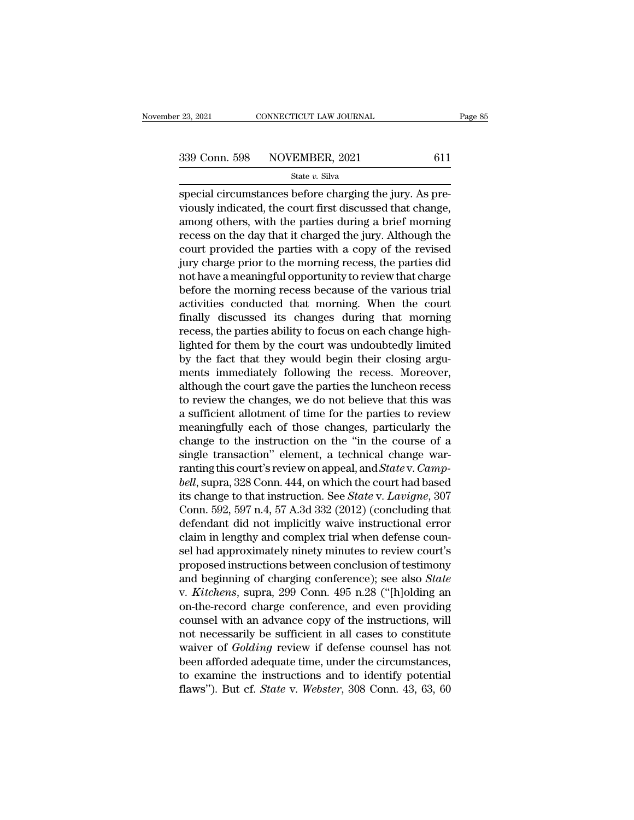special circumstances before charging the jury. As previously indicated, the court first discussed that change appears of them with the perties during a brief morning 339 Conn. 598 NOVEMBER, 2021 611<br>State v. Silva<br>special circumstances before charging the jury. As previously indicated, the court first discussed that change,<br>among others, with the parties during a brief morning<br>recors 339 Conn. 598 NOVEMBER, 2021 611<br>
State v. Silva<br>
Special circumstances before charging the jury. As previously indicated, the court first discussed that change,<br>
among others, with the parties during a brief morning<br>
rec 339 Conn. 598 NOVEMBER, 2021 611<br>
State v. Silva<br>
Special circumstances before charging the jury. As previously indicated, the court first discussed that change,<br>
among others, with the parties during a brief morning<br>
rec State  $v$ . Silva<br>
special circumstances before charging the jury. As pre-<br>
viously indicated, the court first discussed that change,<br>
among others, with the parties during a brief morning<br>
recess on the day that it charge state v. state v. state<br>special circumstances before charging the jury. As pre-<br>viously indicated, the court first discussed that change,<br>among others, with the parties during a brief morning<br>recess on the day that it cha special circumstances before charging the jury. As previously indicated, the court first discussed that change, among others, with the parties during a brief morning recess on the day that it charged the jury. Although the viously indicated, the court first discussed that change,<br>among others, with the parties during a brief morning<br>recess on the day that it charged the jury. Although the<br>court provided the parties with a copy of the revised among others, with the parties during a brief morning<br>recess on the day that it charged the jury. Although the<br>court provided the parties with a copy of the revised<br>jury charge prior to the morning recess, the parties did<br> recess on the day that it charged the jury. Although the<br>court provided the parties with a copy of the revised<br>jury charge prior to the morning recess, the parties did<br>not have a meaningful opportunity to review that charg court provided the parties with a copy of the revised<br>jury charge prior to the morning recess, the parties did<br>not have a meaningful opportunity to review that charge<br>before the morning recess because of the various trial<br> jury charge prior to the morning recess, the parties did<br>not have a meaningful opportunity to review that charge<br>before the morning recess because of the various trial<br>activities conducted that morning. When the court<br>fina not have a meaningful opportunity to review that charge<br>before the morning recess because of the various trial<br>activities conducted that morning. When the court<br>finally discussed its changes during that morning<br>recess, the before the morning recess because of the various trial<br>activities conducted that morning. When the court<br>finally discussed its changes during that morning<br>recess, the parties ability to focus on each change high-<br>lighted f activities conducted that morning. When the court<br>finally discussed its changes during that morning<br>recess, the parties ability to focus on each change high-<br>lighted for them by the court was undoubtedly limited<br>by the fac finally discussed its changes during that morning<br>recess, the parties ability to focus on each change high-<br>lighted for them by the court was undoubtedly limited<br>by the fact that they would begin their closing argu-<br>ments recess, the parties ability to focus on each change high-<br>lighted for them by the court was undoubtedly limited<br>by the fact that they would begin their closing argu-<br>ments immediately following the recess. Moreover,<br>althou lighted for them by the court was undoubtedly limited<br>by the fact that they would begin their closing argu-<br>ments immediately following the recess. Moreover,<br>although the court gave the parties the luncheon recess<br>to revie by the fact that they would begin their closing arguments immediately following the recess. Moreover,<br>although the court gave the parties the luncheon recess<br>to review the changes, we do not believe that this was<br>a suffici ments immediately following the recess. Moreover,<br>although the court gave the parties the luncheon recess<br>to review the changes, we do not believe that this was<br>a sufficient allotment of time for the parties to review<br>mea although the court gave the parties the luncheon recess<br>to review the changes, we do not believe that this was<br>a sufficient allotment of time for the parties to review<br>meaningfully each of those changes, particularly the<br>c to review the changes, we do not believe that this was<br>a sufficient allotment of time for the parties to review<br>meaningfully each of those changes, particularly the<br>change to the instruction on the "in the course of a<br>sing a sufficient allotment of time for the parties to review<br>meaningfully each of those changes, particularly the<br>change to the instruction on the "in the course of a<br>single transaction" element, a technical change war-<br>rantin meaningfully each of those changes, particularly the<br>change to the instruction on the "in the course of a<br>single transaction" element, a technical change war-<br>ranting this court's review on appeal, and *State* v. *Camp-<br>be* change to the instruction on the "in the course of a<br>single transaction" element, a technical change war-<br>ranting this court's review on appeal, and *State* v. *Camp-<br>bell*, supra, 328 Conn. 444, on which the court had ba single transaction" element, a technical change warranting this court's review on appeal, and *State* v. *Camp-*<br>bell, supra, 328 Conn. 444, on which the court had based<br>its change to that instruction. See *State* v. *Lavi* ranting this court's review on appeal, and *State* v. *Camp-*<br>bell, supra, 328 Conn. 444, on which the court had based<br>its change to that instruction. See *State* v. *Lavigne*, 307<br>Conn. 592, 597 n.4, 57 A.3d 332 (2012) (c bell, supra, 328 Conn. 444, on which the court had based<br>its change to that instruction. See *State* v. Lavigne, 307<br>Conn. 592, 597 n.4, 57 A.3d 332 (2012) (concluding that<br>defendant did not implicitly waive instructional its change to that instruction. See *State* v. *Lavigne*, 307<br>Conn. 592, 597 n.4, 57 A.3d 332 (2012) (concluding that<br>defendant did not implicitly waive instructional error<br>claim in lengthy and complex trial when defense c Conn. 592, 597 n.4, 57 A.3d 332 (2012) (concluding that<br>defendant did not implicitly waive instructional error<br>claim in lengthy and complex trial when defense coun-<br>sel had approximately ninety minutes to review court's<br>pr defendant did not implicitly waive instructional error<br>claim in lengthy and complex trial when defense coun-<br>sel had approximately ninety minutes to review court's<br>proposed instructions between conclusion of testimony<br>and claim in lengthy and complex trial when defense counsel had approximately ninety minutes to review court's<br>proposed instructions between conclusion of testimony<br>and beginning of charging conference); see also *State*<br>v. *K* sel had approximately ninety minutes to review court's<br>proposed instructions between conclusion of testimony<br>and beginning of charging conference); see also *State*<br>v. *Kitchens*, supra, 299 Conn. 495 n.28 ("[h]olding an<br>o proposed instructions between conclusion of testimony<br>and beginning of charging conference); see also *State*<br>v. *Kitchens*, supra, 299 Conn. 495 n.28 ("[h]olding an<br>on-the-record charge conference, and even providing<br>coun and beginning of charging conference); see also *State*<br>v. *Kitchens*, supra, 299 Conn. 495 n.28 ("[h]olding an<br>on-the-record charge conference, and even providing<br>counsel with an advance copy of the instructions, will<br>no v. *Kitchens*, supra, 299 Conn. 495 n.28 ("[h]olding an on-the-record charge conference, and even providing counsel with an advance copy of the instructions, will not necessarily be sufficient in all cases to constitute w on-the-record charge conference, and even providing<br>counsel with an advance copy of the instructions, will<br>not necessarily be sufficient in all cases to constitute<br>waiver of *Golding* review if defense counsel has not<br>been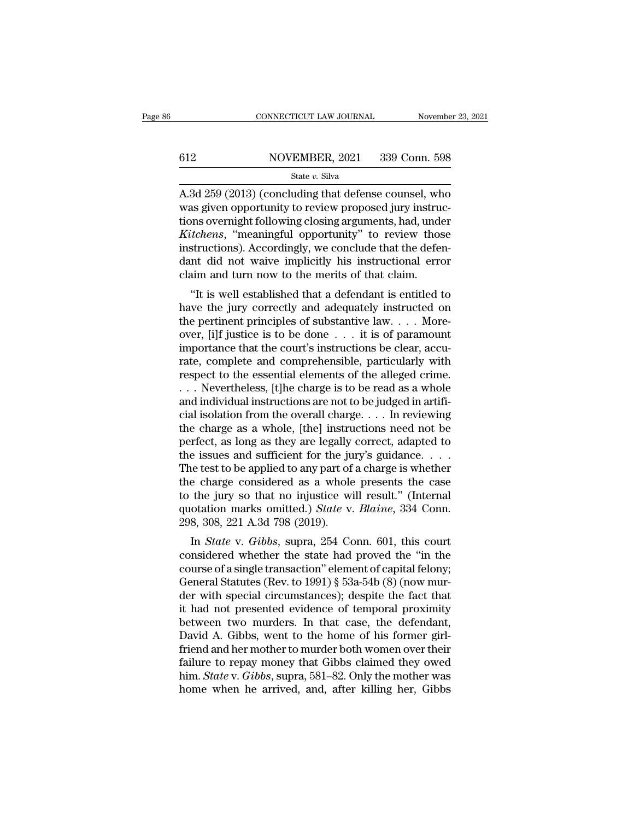# $\begin{tabular}{ll} \multicolumn{2}{l} \multicolumn{2}{l}{{\small\bf CONNECTICUT LAW JOURNAL}} & \multicolumn{2}{l}{\small\bf November~23, 2021} \\ \hline \hline \end{tabular}$   $\begin{tabular}{ll} \multicolumn{2}{l}{{\small\bf CONNECTICUT LAW JOURNAL}} & \multicolumn{2}{l}{\small\bf November~23, 2021} \\ \multicolumn{2}{l}{\small\bf 839 Conn.~598} \\ \multicolumn{2}{l}{\small\bf State~}v.~\text{Silva} \\ \end{tabular}$

### State *v.* Silva

CONNECTICUT LAW JOURNAL November 23, 2021<br>
A.3d 259 (2013) (concluding that defense counsel, who<br>
was given opportunity to review proposed jury instruc- $\begin{array}{ll} \text{612} & \text{NOVEMBER, 2021} & \text{339 Conn. 598} \ \text{State } v. \text{ Silva} \ \text{A.3d 259 (2013) (concluding that defense counts, who was given opportunity to review proposed jury instructions overnight following closing arguments, had, under *Kitchene*. "meaningful, opportunity" to review those.$ tions of the sections of the sections overlays of the state  $v$ . Silva<br>A.3d 259 (2013) (concluding that defense counsel, who was given opportunity to review proposed jury instructions overnight following closing arguments *Kitchens*, 2021 339 Conn. 598<br> *Kitte v. Silva*<br> *K.3d 259 (2013) (concluding that defense counsel, who*<br>
was given opportunity to review proposed jury instruc-<br> *Kitchens*, "meaningful opportunity" to review those<br> *Kitc* State v. Silva<br>
State v. Silva<br>
A.3d 259 (2013) (concluding that defense counsel, who<br>
was given opportunity to review proposed jury instruc-<br>
tions overnight following closing arguments, had, under<br> *Kitchens*, "meaningf state v. Silva<br>A.3d 259 (2013) (concluding that defense counsel, who<br>was given opportunity to review proposed jury instruc-<br>tions overnight following closing arguments, had, under<br>*Kitchens*, "meaningful opportunity" to r A.3d 259 (2013) (concluding that defense counsel, wh<br>was given opportunity to review proposed jury instrutions overnight following closing arguments, had, und<br>*Kitchens*, "meaningful opportunity" to review thos<br>instruction as given opportunity to review proposed jury instructions<br>
overnight following closing arguments, had, under<br> *tchens*, "meaningful opportunity" to review those<br>
structions). Accordingly, we conclude that the defen-<br>
and t *Kitchens*, "meaningful opportunity" to review those<br>instructions). Accordingly, we conclude that the defen-<br>dant did not waive implicitly his instructional error<br>claim and turn now to the merits of that claim.<br>"It is wel

Example 1.1 The perturnal opportunity to review those<br>instructions). Accordingly, we conclude that the defen-<br>daint did not waive implicitly his instructional error<br>claim and turn now to the merits of that claim.<br>"It is w mstructions). Accordingly, we conclude that the defendant did not waive implicitly his instructional error claim and turn now to the merits of that claim.<br>
"It is well established that a defendant is entitled to have the claim and turn now to the merits of that claim.<br>
"It is well established that a defendant is entitled to have the jury correctly and adequately instructed on<br>
the pertinent principles of substantive law.... More-<br>
over, [ The view of the meths of that claim.<br>
"It is well established that a defendant is entitled to<br>
have the jury correctly and adequately instructed on<br>
the pertinent principles of substantive law....More-<br>
over, [i]f justice "It is well established that a defendant is entitled to<br>have the jury correctly and adequately instructed on<br>the pertinent principles of substantive law....More-<br>over, [i]f justice is to be done ... it is of paramount<br>imp have the jury correctly and adequately instructed on<br>the pertinent principles of substantive law.... More-<br>over, [i]f justice is to be done ... it is of paramount<br>importance that the court's instructions be clear, accu-<br>r the pertinent principles of substantive law. . . . More-<br>over, [i]f justice is to be done . . . it is of paramount<br>importance that the court's instructions be clear, accu-<br>rate, complete and comprehensible, particularly w over, [i]f justice is to be done . . . it is of paramount<br>importance that the court's instructions be clear, accu-<br>rate, complete and comprehensible, particularly with<br>respect to the essential elements of the alleged crime importance that the court's instructions be clear, accurate, complete and comprehensible, particularly with<br>respect to the essential elements of the alleged crime.<br> $\ldots$  Nevertheless, [t]he charge is to be read as a whole rate, complete and comprehensible, particularly with<br>respect to the essential elements of the alleged crime.<br> $\ldots$  Nevertheless, [t]he charge is to be read as a whole<br>and individual instructions are not to be judged in ar respect to the essential elements of the alleged crime.<br>
... Nevertheless, [t]he charge is to be read as a whole<br>
and individual instructions are not to be judged in artifi-<br>
cial isolation from the overall charge. . . . ... Nevertheless, [t]he charge is to be read as a whole<br>and individual instructions are not to be judged in artifi-<br>cial isolation from the overall charge.... In reviewing<br>the charge as a whole, [the] instructions need no and individual instructions are not to be judged in artificial isolation from the overall charge.... In reviewing<br>the charge as a whole, [the] instructions need not be<br>perfect, as long as they are legally correct, adapted cial isolation from the overall charge.... In reviewing<br>the charge as a whole, [the] instructions need not be<br>perfect, as long as they are legally correct, adapted to<br>the issues and sufficient for the jury's guidance....<br> the charge as a whole, [the] instructions need not be perfect, as long as they are legally correct, adapted to the issues and sufficient for the jury's guidance. . . . The test to be applied to any part of a charge is whet perfect, as long as they are legally<br>the issues and sufficient for the ju<br>The test to be applied to any part of<br>the charge considered as a whole<br>to the jury so that no injustice wi<br>quotation marks omitted.) *State* v.<br>298, In *State* issues and sufficient for the jury's guidance. . . . .<br>In the test to be applied to any part of a charge is whether<br>e charge considered as a whole presents the case<br>the jury so that no injustice will result." (I The test to be applied to any part of a charge is whether<br>the charge considered as a whole presents the case<br>to the jury so that no injustice will result." (Internal<br>quotation marks omitted.) *State* v. *Blaine*, 334 Conn

the charge considered as a whole presents the case<br>to the jury so that no injustice will result." (Internal<br>quotation marks omitted.) *State* v. *Blaine*, 334 Conn.<br>298, 308, 221 A.3d 798 (2019).<br>In *State* v. *Gibbs*, sup to the jury so that no injustice win result. (internation marks omitted.) *State v. Blaine*, 334 Conn.<br>298, 308, 221 A.3d 798 (2019).<br>In *State v. Gibbs*, supra, 254 Conn. 601, this court<br>considered whether the state had quotation marks omitted.) state v. Battne, 354 Conn.<br>298, 308, 221 A.3d 798 (2019).<br>In *State* v. *Gibbs*, supra, 254 Conn. 601, this court<br>considered whether the state had proved the "in the<br>course of a single transactio 250, 300, 221 A.3d 796 (2019).<br>
In *State* v. *Gibbs*, supra, 254 Conn. 601, this court<br>
considered whether the state had proved the "in the<br>
course of a single transaction" element of capital felony;<br>
General Statutes (R In *State* v. *Gibbs*, supra, 254 Conn. 601, this court considered whether the state had proved the "in the course of a single transaction" element of capital felony; General Statutes (Rev. to 1991) § 53a-54b (8) (now mur considered whether the state had proved the "in the course of a single transaction" element of capital felony;<br>General Statutes (Rev. to 1991) § 53a-54b (8) (now murder with special circumstances); despite the fact that<br>it course of a single transaction" element of capital felony;<br>General Statutes (Rev. to 1991) § 53a-54b (8) (now murder with special circumstances); despite the fact that<br>it had not presented evidence of temporal proximity<br>be General Statutes (Rev. to 1991) § 53a-54b (8) (now murder with special circumstances); despite the fact that<br>it had not presented evidence of temporal proximity<br>between two murders. In that case, the defendant,<br>David A. G der with special circumstances); despite the fact that<br>it had not presented evidence of temporal proximity<br>between two murders. In that case, the defendant,<br>David A. Gibbs, went to the home of his former girl-<br>friend and h it had not presented evidence of temporal proximity<br>between two murders. In that case, the defendant,<br>David A. Gibbs, went to the home of his former girl-<br>friend and her mother to murder both women over their<br>failure to re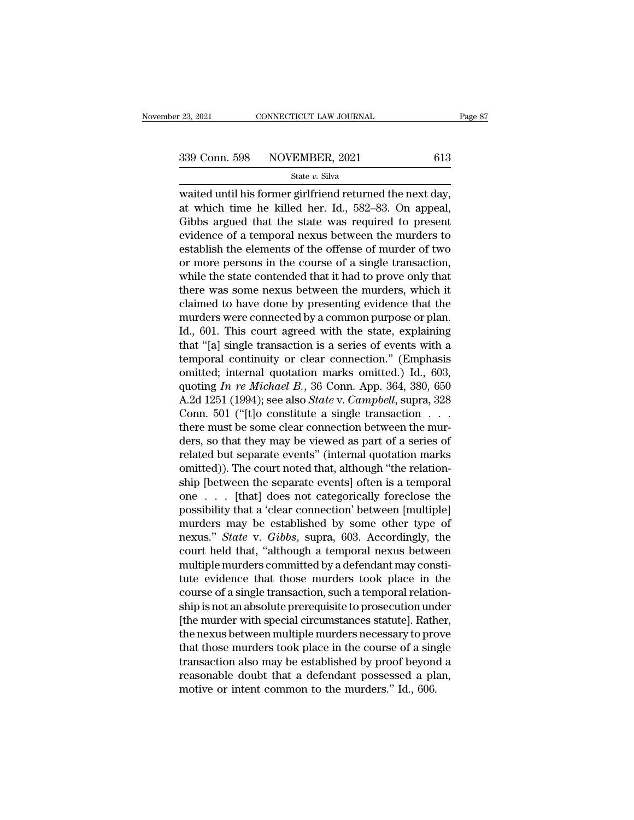$\frac{123,2021}{200}$  CONNECTICUT LAW JOURNAL Page<br>339 Conn. 598 NOVEMBER, 2021 613<br>5tate v. Silva<br>waited until his former girlfriend returned the next day,<br>at which time he killed her. Id., 582–83. On appeal, 339 Conn. 598 NOVEMBER, 2021 613<br>
State v. Silva<br>
waited until his former girlfriend returned the next day,<br>
at which time he killed her. Id., 582–83. On appeal,<br>
Gibbs argued that the state was required to present<br>
svide  $\begin{array}{r|l}\n 339 \text{ Conn. } 598 & \text{NOVEMBER, } 2021 & 613 \\
 \hline\n \text{State } v. \text{ Silva} \\
 \hline\n \text{waided until his former girlfriend returned the next day,} \\
 \text{at which time he killed her. Id., } 582–83. On appeal, Gibbs argued that the state was required to present evidence of a temporal news between the murders to establish the elements of the offence of number of two.} \n\end{array}$ 339 Conn. 598 NOVEMBER, 2021 613<br>
State v. Silva<br>
waited until his former girlfriend returned the next day,<br>
at which time he killed her. Id., 582–83. On appeal,<br>
Gibbs argued that the state was required to present<br>
evide State v. Silva<br>
waited until his former girlfriend returned the next day,<br>
at which time he killed her. Id., 582–83. On appeal,<br>
Gibbs argued that the state was required to present<br>
evidence of a temporal nexus between th state v. state v. state v. state v. state v. state v. state of a single persons at which time he killed her. Id., 582–83. On appeal, Gibbs argued that the state was required to present evidence of a temporal nexus between waited until his former girlfriend returned the next day,<br>at which time he killed her. Id., 582–83. On appeal,<br>Gibbs argued that the state was required to present<br>evidence of a temporal nexus between the murders to<br>establi at which time he killed her. Id., 582–83. On appeal,<br>Gibbs argued that the state was required to present<br>evidence of a temporal nexus between the murders to<br>establish the elements of the offense of murder of two<br>or more pe Gibbs argued that the state was required to present<br>evidence of a temporal nexus between the murders to<br>establish the elements of the offense of murder of two<br>or more persons in the course of a single transaction,<br>while th evidence of a temporal nexus between the murders to<br>establish the elements of the offense of murder of two<br>or more persons in the course of a single transaction,<br>while the state contended that it had to prove only that<br>the establish the elements of the offense of murder of two<br>or more persons in the course of a single transaction,<br>while the state contended that it had to prove only that<br>there was some nexus between the murders, which it<br>clai or more persons in the course of a single transaction,<br>
while the state contended that it had to prove only that<br>
there was some nexus between the murders, which it<br>
claimed to have done by presenting evidence that the<br>
mu while the state contended that it had to prove only that<br>there was some nexus between the murders, which it<br>claimed to have done by presenting evidence that the<br>murders were connected by a common purpose or plan.<br>Id., 601 there was some nexus between the murders, which it<br>claimed to have done by presenting evidence that the<br>murders were connected by a common purpose or plan.<br>Id., 601. This court agreed with the state, explaining<br>that "[a] claimed to have done by presenting evidence that the<br>murders were connected by a common purpose or plan.<br>Id., 601. This court agreed with the state, explaining<br>that "[a] single transaction is a series of events with a<br>temp murders were connected by a common purpose or plan.<br>Id., 601. This court agreed with the state, explaining<br>that "[a] single transaction is a series of events with a<br>temporal continuity or clear connection." (Emphasis<br>omitt Id., 601. This court agreed with the state, explaining<br>that "[a] single transaction is a series of events with a<br>temporal continuity or clear connection." (Emphasis<br>omitted; internal quotation marks omitted.) Id., 603,<br>qu that "[a] single transaction is a series of events with a<br>temporal continuity or clear connection." (Emphasis<br>omitted; internal quotation marks omitted.) Id., 603,<br>quoting In re Michael B., 36 Conn. App. 364, 380, 650<br>A.2 temporal continuity or clear connection." (Emphasis<br>
omitted; internal quotation marks omitted.) Id., 603,<br>
quoting *In re Michael B.*, 36 Conn. App. 364, 380, 650<br>
A.2d 1251 (1994); see also *State* v. *Campbell*, supra, omitted; internal quotation marks omitted.) Id., 603,<br>quoting *In re Michael B*., 36 Conn. App. 364, 380, 650<br>A.2d 1251 (1994); see also *State* v. *Campbell*, supra, 328<br>Conn. 501 ("[t]o constitute a single transaction . quoting In re Michael B., 36 Conn. App. 364, 380, 650<br>A.2d 1251 (1994); see also *State* v. *Campbell*, supra, 328<br>Conn. 501 ("[t]o constitute a single transaction . . .<br>there must be some clear connection between the mur A.2d 1251 (1994); see also *State* v. *Campbell*, supra, 328<br>Conn. 501 ("[t]o constitute a single transaction . . . .<br>there must be some clear connection between the mur-<br>ders, so that they may be viewed as part of a seri Conn. 501 ("[t]o constitute a single transaction . . . .<br>there must be some clear connection between the mur-<br>ders, so that they may be viewed as part of a series of<br>related but separate events" (internal quotation marks<br> there must be some clear connection between the murders, so that they may be viewed as part of a series of related but separate events" (internal quotation marks omitted)). The court noted that, although "the relation-<br>sh ders, so that they may be viewed as part of a series of<br>related but separate events" (internal quotation marks<br>omitted)). The court noted that, although "the relation-<br>ship [between the separate events] often is a temporal related but separate events" (internal quotation marks<br>
omitted)). The court noted that, although "the relation-<br>
ship [between the separate events] often is a temporal<br>
one . . . [that] does not categorically foreclose th omitted)). The court noted that, although "the relation-<br>ship [between the separate events] often is a temporal<br>one  $\ldots$  [that] does not categorically foreclose the<br>possibility that a 'clear connection' between [multiple ship [between the separate events] often is a temporal<br>one  $\ldots$  [that] does not categorically foreclose the<br>possibility that a 'clear connection' between [multiple]<br>murders may be established by some other type of<br>nexus. one . . . [that] does not categorically foreclose the<br>possibility that a 'clear connection' between [multiple]<br>murders may be established by some other type of<br>nexus." *State* v. *Gibbs*, supra, 603. Accordingly, the<br>cour possibility that a 'clear connection' between [multiple]<br>murders may be established by some other type of<br>nexus." *State* v. *Gibbs*, supra, 603. Accordingly, the<br>court held that, "although a temporal nexus between<br>multipl murders may be established by some other type of<br>nexus." *State* v. *Gibbs*, supra, 603. Accordingly, the<br>court held that, "although a temporal nexus between<br>multiple murders committed by a defendant may consti-<br>tute evide nexus." *State* v. *Gibbs*, supra, 603. Accordingly, the<br>court held that, "although a temporal nexus between<br>multiple murders committed by a defendant may consti-<br>tute evidence that those murders took place in the<br>course o court held that, "although a temporal nexus between<br>multiple murders committed by a defendant may consti-<br>tute evidence that those murders took place in the<br>course of a single transaction, such a temporal relation-<br>ship is multiple murders committed by a defendant may constitute<br>tute evidence that those murders took place in the<br>course of a single transaction, such a temporal relation-<br>ship is not an absolute prerequisite to prosecution unde tute evidence that those murders took place in the<br>course of a single transaction, such a temporal relation-<br>ship is not an absolute prerequisite to prosecution under<br>[the murder with special circumstances statute]. Rather course of a single transaction, such a temporal relationship is not an absolute prerequisite to prosecution under [the murder with special circumstances statute]. Rather, the nexus between multiple murders necessary to pro ship is not an absolute prerequisite to prosecution und<br>[the murder with special circumstances statute]. Rath<br>the nexus between multiple murders necessary to pro<br>that those murders took place in the course of a sin<br>transac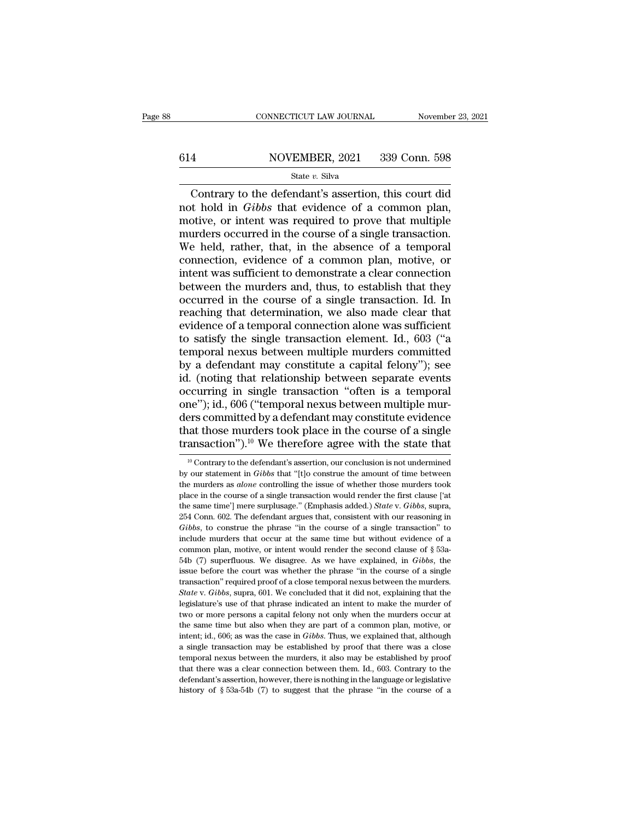# $\begin{tabular}{ll} \multicolumn{2}{l} \multicolumn{2}{l}{{\small\bf CONNECTICUT LAW JOURNAL}} & \multicolumn{2}{l}{{\small\bf November 23, 2021}}\\ \hline \hline \multicolumn{2}{l}{{\small 614}} & \multicolumn{2}{l}{{\small \bf NOVEMBER, 2021}} & \multicolumn{2}{l}{{\small 339~Conn.~598}}\\ & \multicolumn{2}{l}{{\small \bf State $v$.~Silva}} & \multicolumn{2}{l}{{\small \bf Structure:} {\small 339~Conn.~598}}\\ \hline \end{tabular}$

### State *v.* Silva

CONNECTICUT LAW JOURNAL November 23, 2021<br>
A NOVEMBER, 2021 339 Conn. 598<br>
State v. Silva<br>
Contrary to the defendant's assertion, this court did<br>
t hold in *Gibbs* that evidence of a common plan,<br>
otive or intent was requi not a state v. Silva<br>
State v. Silva<br>
State v. Silva<br>
Contrary to the defendant's assertion, this court did<br>
not hold in *Gibbs* that evidence of a common plan,<br>
motive, or intent was required to prove that multiple<br>
murde 614 NOVEMBER, 2021 339 Conn. 598<br>
State v. Silva<br>
Contrary to the defendant's assertion, this court did<br>
not hold in *Gibbs* that evidence of a common plan,<br>
motive, or intent was required to prove that multiple<br>
murders MOVEMBER, 2021 339 Conn. 598<br>
State v. Silva<br>
Contrary to the defendant's assertion, this court did<br>
not hold in *Gibbs* that evidence of a common plan,<br>
motive, or intent was required to prove that multiple<br>
murders occu State v. Silva<br>
State v. Silva<br>
Contrary to the defendant's assertion, this court did<br>
not hold in *Gibbs* that evidence of a common plan,<br>
motive, or intent was required to prove that multiple<br>
murders occurred in the co State v. Silva<br>
Contrary to the defendant's assertion, this court did<br>
not hold in *Gibbs* that evidence of a common plan,<br>
motive, or intent was required to prove that multiple<br>
murders occurred in the course of a single Contrary to the defendant's assertion, this court did<br>not hold in *Gibbs* that evidence of a common plan,<br>motive, or intent was required to prove that multiple<br>murders occurred in the course of a single transaction.<br>We hel not hold in *Gibbs* that evidence of a common plan,<br>motive, or intent was required to prove that multiple<br>murders occurred in the course of a single transaction.<br>We held, rather, that, in the absence of a temporal<br>connecti motive, or intent was required to prove that multiple<br>murders occurred in the course of a single transaction.<br>We held, rather, that, in the absence of a temporal<br>connection, evidence of a common plan, motive, or<br>intent was murders occurred in the course of a single transaction.<br>We held, rather, that, in the absence of a temporal<br>connection, evidence of a common plan, motive, or<br>intent was sufficient to demonstrate a clear connection<br>between We held, rather, that, in the absence of a temporal connection, evidence of a common plan, motive, or intent was sufficient to demonstrate a clear connection between the murders and, thus, to establish that they occurred i connection, evidence of a common plan, motive, or<br>intent was sufficient to demonstrate a clear connection<br>between the murders and, thus, to establish that they<br>occurred in the course of a single transaction. Id. In<br>reachin intent was sufficient to demonstrate a clear connection<br>between the murders and, thus, to establish that they<br>occurred in the course of a single transaction. Id. In<br>reaching that determination, we also made clear that<br>evid between the murders and, thus, to establish that they<br>occurred in the course of a single transaction. Id. In<br>reaching that determination, we also made clear that<br>evidence of a temporal connection alone was sufficient<br>to sa occurred in the course of a single transaction. Id. In<br>reaching that determination, we also made clear that<br>evidence of a temporal connection alone was sufficient<br>to satisfy the single transaction element. Id., 603 ("a<br>tem reaching that determination, we also made clear that<br>evidence of a temporal connection alone was sufficient<br>to satisfy the single transaction element. Id., 603 ("a<br>temporal nexus between multiple murders committed<br>by a def evidence of a temporal connection alone was sufficient<br>to satisfy the single transaction element. Id., 603 ("a<br>temporal nexus between multiple murders committed<br>by a defendant may constitute a capital felony"); see<br>id. (no to satisfy the single transaction element. Id., 603 ("a<br>temporal nexus between multiple murders committed<br>by a defendant may constitute a capital felony"); see<br>id. (noting that relationship between separate events<br>occurri temporal nexus between multiple murders committed<br>by a defendant may constitute a capital felony"); see<br>id. (noting that relationship between separate events<br>occurring in single transaction "often is a temporal<br>one"); id., by a defendant may constitute a capital felony"); see<br>id. (noting that relationship between separate events<br>occurring in single transaction "often is a temporal<br>one"); id., 606 ("temporal nexus between multiple mur-<br>ders ne"); id., 606 ("temporal nexus between multiple mur-<br>ers committed by a defendant may constitute evidence<br>aat those murders took place in the course of a single<br>ansaction").<sup>10</sup> We therefore agree with the state that<br><sup>10</sup> ders committed by a defendant may constitute evidence<br>that those murders took place in the course of a single<br>transaction").<sup>10</sup> We therefore agree with the state that<br><sup>10</sup> Contrary to the defendant's assertion, our conclu

that those murders took place in the course of a single transaction").<sup>10</sup> We therefore agree with the state that  $\frac{10 \text{ Contrary to the defendant's assertion, our conclusion is not underneathed by our statement in *Gibbs* that "[t]o construe the amount of time between the murders as *alone* controlling the issue of whether those murders took place in the course of a single transaction would render the first clause ['at$ transaction").<sup>10</sup> We therefore agree with the state that  $\frac{10}{10}$  Contrary to the defendant's assertion, our conclusion is not undermined by our statement in *Gibbs* that "[t]o construe the amount of time between the Transaction by the therefore agree with the state that<br>
<sup>10</sup> Contrary to the defendant's assertion, our conclusion is not undermined<br>
by our statement in *Gibbs* that "[t]o construe the amount of time between<br>
the murders <sup>10</sup> Contrary to the defendant's assertion, our conclusion is not undermined by our statement in *Gibbs* that "[t]o construe the amount of time between the murders as *alone* controlling the issue of whether those murders by our statement in *Gibbs* that "[t]o construe the amount of time between<br>the murders as *alone* controlling the issue of whether those murders took<br>place in the course of a single transaction would render the first claus by encourage murders as *alone* controlling the issue of whether those murders took place in the course of a single transaction would render the first clause ['at the same time'] mere surplusage." (Emphasis added.) *State* the murders as *alone* controlling the issue of whether those murders took place in the course of a single transaction would render the first clause ['at the same time'] mere surplusage." (Emphasis added.) *State* v. *Gib* the same time') mere surplusage." (Emphasis added.) *State* v. *Gibbs*, supra, the same time') mere surplusage." (Emphasis added.) *State* v. *Gibbs*, supra, 254 Conn. 602. The defendant argues that, consistent with our re 254 Conn. 602. The defendant argues that, consistent with our reasoning in Gibbs, to construe the phrase "in the course of a single transaction" to include murders that occur at the same time but without evidence of a com Gibbs, to construe the phrase "in the course of a single transaction" to include murders that occur at the same time but without evidence of a common plan, motive, or intent would render the second clause of  $\S$  53a-54b ( include murders that occur at the same time but without evidence of a common plan, motive, or intent would render the second clause of § 53a-<br>54b (7) superfluous. We disagree. As we have explained, in *Gibbs*, the<br>issue be common plan, motive, or intent would render the second clause of § 53a-<br>54b (7) superfluous. We disagree. As we have explained, in *Gibbs*, the<br>issue before the court was whether the phrase "in the course of a single<br>tran 54b (7) superfluous. We disagree. As we have explained, in *Gibbs*, the issue before the court was whether the phrase "in the course of a single transaction" required proof of a close temporal nexus between the murders. issue before the court was whether the phrase "in the course of a single transaction" required proof of a close temporal nexus between the murders. *State* v. *Gibbs*, supra, 601. We concluded that it did not, explaining transaction" required proof of a close temporal nexus between the murders.<br> *State* v. Gibbs, supra, 601. We concluded that it did not, explaining that the legislature's use of that phrase indicated an intent to make the *State* v. *Gibbs*, supra, 601. We concluded that it did not, explaining that the legislature's use of that phrase indicated an intent to make the murders of two or more persons a capital felony not only when the murders legislature's use of that phrase indicated an intent to make the murder of two or more persons a capital felony not only when the murders occur at the same time but also when they are part of a common plan, motive, or int that there between the murders occur at the same time but also when they are part of a common plan, motive, or intent; id., 606; as was the case in *Gibbs*. Thus, we explained that, although a single transaction may be es the same time but also when they are part of a common plan, motive, or intent; id., 606; as was the case in *Gibbs*. Thus, we explained that, although a single transaction may be established by proof that there was a clos intent; id., 606; as was the case in *Gibbs*. Thus, we explained that, although a single transaction may be established by proof that there was a close temporal nexus between the murders, it also may be established by pro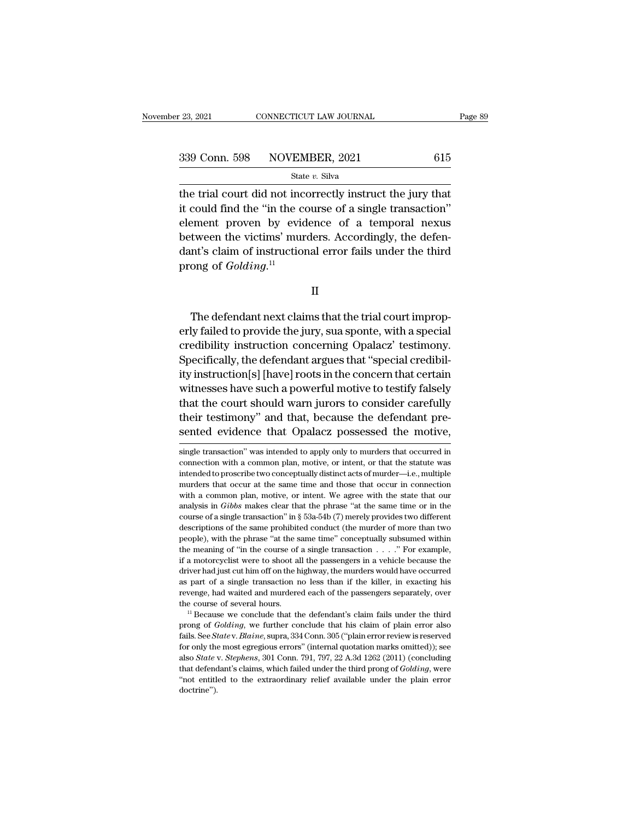the trial court did not incorrectly instruct the jury that<br>it could find the "in the course of a single transaction" 339 Conn. 598 NOVEMBER, 2021 615<br>
State v. Silva<br>
the trial court did not incorrectly instruct the jury that<br>
it could find the "in the course of a single transaction"<br>
element proven by evidence of a temporal nexus 339 Conn. 598 NOVEMBER, 2021 615<br>
State v. Silva<br>
the trial court did not incorrectly instruct the jury that<br>
it could find the "in the course of a single transaction"<br>
element proven by evidence of a temporal nexus<br>
betw 339 Conn. 598 NOVEMBER, 2021 615<br>
State v. Silva<br>
the trial court did not incorrectly instruct the jury that<br>
it could find the "in the course of a single transaction"<br>
element proven by evidence of a temporal nexus<br>
betw State v. Silva<br>
the trial court did not incorrectly instruct the jury that<br>
it could find the "in the course of a single transaction"<br>
element proven by evidence of a temporal nexus<br>
between the victims' murders. Accordin the trial court did not ince<br>it could find the "in the ce<br>element proven by evid<br>between the victims' mur<br>dant's claim of instruction<br>prong of *Golding*.<sup>11</sup> tween the victims' murders. Accordingly, the defen-<br>nt's claim of instructional error fails under the third<br>ong of *Golding*.<sup>11</sup><br>II<br>The defendant next claims that the trial court improp-<br>ly failed to provide the jury, sua

II

dant's claim of instructional error fails under the third<br>prong of *Golding*.<sup>11</sup><br>II<br>The defendant next claims that the trial court improp-<br>erly failed to provide the jury, sua sponte, with a special<br>credibility instructio prong of *Golding*.<sup>11</sup><br>
II<br>
The defendant next claims that the trial court improp-<br>
erly failed to provide the jury, sua sponte, with a special<br>
credibility instruction concerning Opalacz' testimony.<br>
Specifically, the de II<br>
The defendant next claims that the trial court improp-<br>
erly failed to provide the jury, sua sponte, with a special<br>
credibility instruction concerning Opalacz' testimony.<br>
Specifically, the defendant argues that "spec II<br>The defendant next claims that the trial court improp-<br>erly failed to provide the jury, sua sponte, with a special<br>credibility instruction concerning Opalacz' testimony.<br>Specifically, the defendant argues that "special The defendant next claims that the trial court improperly failed to provide the jury, sua sponte, with a special credibility instruction concerning Opalacz' testimony.<br>Specifically, the defendant argues that "special credi The defendant next claims that the that court improperly failed to provide the jury, sua sponte, with a special<br>credibility instruction concerning Opalacz' testimony.<br>Specifically, the defendant argues that "special credib erly failed to provide the jury, sua sponte, with a special credibility instruction concerning Opalacz' testimony.<br>Specifically, the defendant argues that "special credibility instruction[s] [have] roots in the concern tha Evention, instruction concerning Oparacz resuminty.<br>Specifically, the defendant argues that "special credibil-<br>ity instruction[s] [have] roots in the concern that certain<br>witnesses have such a powerful motive to testify fa that the court should warn jurors to consider carefully<br>their testimony" and that, because the defendant pre-<br>sented evidence that Opalacz possessed the motive,<br>single transaction" was intended to apply only to murders tha that the court should warn jurors to consider carefully<br>their testimony" and that, because the defendant pre-<br>sented evidence that Opalacz possessed the motive,<br>single transaction" was intended to apply only to murders tha

their testimony" and that, because the defendant pre-<br>sented evidence that Opalacz possessed the motive,<br>single transaction" was intended to apply only to murders that occurred in<br>connection with a common plan, motive, or sented evidence that Opalacz possessed the motive,<br>single transaction" was intended to apply only to murders that occurred in<br>connection with a common plan, motive, or intent, or that the statute was<br>intended to proscribe simple transaction" was intended to apply only to murders that occurred in<br>single transaction" was intended to apply only to murders that occurred in<br>connection with a common plan, motive, or intent, or that the statute wa single transaction" was intended to apply only to murders that occurred in connection with a common plan, motive, or intent, or that the statute was intended to proscribe two conceptually distinct acts of murder—i.e., mult connection with a common plan, motive, or intent, or that the statute was intended to proscribe two conceptually distinct acts of murder—i.e., multiple murders that occur at the same time and those that occur in connectio intended to proscribe two conceptually distinct acts of murder—i.e., multiple murders that occur at the same time and those that occur in connection with a common plan, motive, or intent. We agree with the state that our murders that occur at the same time and those that occur in connection with a common plan, motive, or intent. We agree with the state that our analysis in *Gibbs* makes clear that the phrase "at the same time or in the co with a common plan, motive, or intent. We agree with the state that our analysis in *Gibbs* makes clear that the phrase "at the same time or in the course of a single transaction" in  $\S$  53a-54b (7) merely provides two di if a motorcyclist were to shoot all the passengers in a vehicle because the same time or in the course of a single transaction" in § 53a-54b (7) merely provides two different descriptions of the same prohibited conduct (t driver of a single transaction" in § 53a-54b (7) merely provides two different descriptions of the same prohibited conduct (the murder of more than two people), with the phrase "at the same time" conceptually subsumed wit descriptions of the same prohibited conduct (the murder of more than two people), with the phrase "at the same time" conceptually subsumed within the meaning of "in the course of a single transaction  $\ldots$ ." For example, revenge), with the phrase "at the same time" conceptually subsumed within the meaning of "in the course of a single transaction . . . . ." For example, if a motorcyclist were to shoot all the passengers in a vehicle becaus the meaning of "in the course of a single transaction  $\ldots$ ". For example, if a motorcyclist were to shoot all the passengers in a vehicle because the driver had just cut him off on the highway, the murders would have occ driver had just cut him off on the highway, the murders would have occurred as part of a single transaction no less than if the killer, in exacting his revenge, had waited and murdered each of the passengers separately, ov

as part of a single transaction no less than if the killer, in exacting his revenge, had waited and murdered each of the passengers separately, over the course of several hours.<br><sup>11</sup> Because we conclude that the defendant' for only the most egregious errors'' (internal quotation marks omitted)); see also *State v. Blaine*, suppra 334 Conn. 305 ("plain error review is reserved for only the most egregious errors'' (internal quotation marks omi <sup>2</sup> Because of several hours.<br>
<sup>11</sup> Because we conclude that the defendant's claim fails under the third<br>
prong of *Golding*, we further conclude that his claim of plain error also<br>
fails. See *State* v. *Blaine*, supra, 3 <sup>11</sup> Because we conclude that the defendant's claim fails under the third<br>prong of *Golding*, we further conclude that his claim of plain error also<br>fails. See *State* v. *Blaine*, supra, 334 Conn. 305 ("plain error review <sup>11</sup> Because we conclude that the defendant's claim fails under the third prong of *Golding*, we further conclude that his claim of plain error also fails. See *Statev*. *Blaine*, supra, 334 Conn. 305 ("plain error review doctrine'').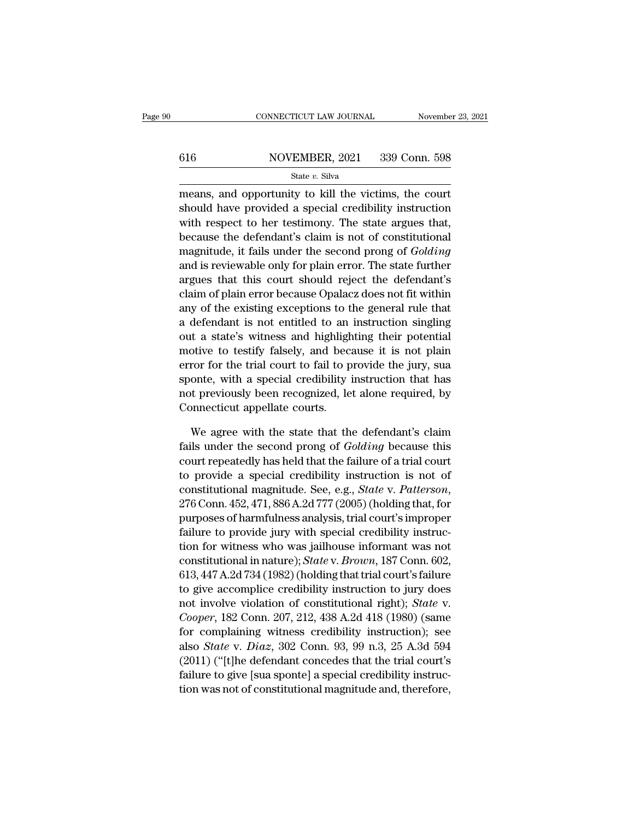# $\begin{tabular}{ll} \multicolumn{2}{l} \multicolumn{2}{l}{{\small\bf CONNECTICUT LAW JOURNAL}} & \multicolumn{2}{l}{{\small\bf November 23, 2021}}\\ \hline \hline \multicolumn{2}{l}{{\small 616}} & \multicolumn{2}{l}{{\small \bf NOVEMBER, 2021}} & \multicolumn{2}{l}{{\small 339~Conn.~598}}\\ & \multicolumn{2}{l}{{\small \bf State $v$.~Silva}} & \multicolumn{2}{l}{{\small \bf Structure:} {\small 339~Conn.~598}}\\ \hline \end{tabular}$

### State *v.* Silva

 $\frac{\text{COMRECTICUT LAW JOURNAL}}{\text{S16}}$   $\frac{\text{NOVEMBER, 2021}}{\text{State } v. \text{ Silva}}$ <br>  $\frac{\text{State } v. \text{ Silva}}{\text{means, and opportunity to kill the victimes, the court}$ <br>
should have provided a special credibility instruction  $\frac{\text{S16}}{\text{State } v. \text{ Silva}}$ <br>
State *v*. Silva<br>
means, and opportunity to kill the victims, the court<br>
should have provided a special credibility instruction<br>
with respect to her testimony. The state argues that, 616 NOVEMBER, 2021 339 Conn. 598<br>
State v. Silva<br>
means, and opportunity to kill the victims, the court<br>
should have provided a special credibility instruction<br>
with respect to her testimony. The state argues that,<br>
becau 616 NOVEMBER, 2021 339 Conn. 598<br>
State v. Silva<br>
means, and opportunity to kill the victims, the court<br>
should have provided a special credibility instruction<br>
with respect to her testimony. The state argues that,<br>
becau State v. Silva<br>means, and opportunity to kill the victims, the court<br>should have provided a special credibility instruction<br>with respect to her testimony. The state argues that,<br>because the defendant's claim is not of cons means, and opportunity to kill the victims, the court<br>should have provided a special credibility instruction<br>with respect to her testimony. The state argues that,<br>because the defendant's claim is not of constitutional<br>magn means, and opportunity to kill the victims, the court<br>should have provided a special credibility instruction<br>with respect to her testimony. The state argues that,<br>because the defendant's claim is not of constitutional<br>magn should have provided a special credibility instruction<br>with respect to her testimony. The state argues that,<br>because the defendant's claim is not of constitutional<br>magnitude, it fails under the second prong of *Golding*<br>an with respect to her testimony. The state argues that,<br>because the defendant's claim is not of constitutional<br>magnitude, it fails under the second prong of *Golding*<br>and is reviewable only for plain error. The state further because the defendant s claim is not of constitutional<br>magnitude, it fails under the second prong of *Golding*<br>and is reviewable only for plain error. The state further<br>argues that this court should reject the defendant's<br> magnitude, it rails under the second prong of *Golding*<br>and is reviewable only for plain error. The state further<br>argues that this court should reject the defendant's<br>claim of plain error because Opalacz does not fit withi and is reviewable only for plain error. The state further<br>argues that this court should reject the defendant's<br>claim of plain error because Opalacz does not fit within<br>any of the existing exceptions to the general rule tha argues that this court should reject the defendant is<br>claim of plain error because Opalacz does not fit within<br>any of the existing exceptions to the general rule that<br>a defendant is not entitled to an instruction singling<br> cially of the existing exceptions to the general rule that<br>a defendant is not entitled to an instruction singling<br>out a state's witness and highlighting their potential<br>motive to testify falsely, and because it is not plai any of the existing exceptions to the general rule that<br>a defendant is not entitled to an instruction singling<br>out a state's witness and highlighting their potential<br>motive to testify falsely, and because it is not plain<br>e a derendant is not entitied to an<br>out a state's witness and highligh<br>motive to testify falsely, and bec:<br>error for the trial court to fail to p<br>sponte, with a special credibility i<br>not previously been recognized, le<br>Connec otive to testify falsely, and because it is not plain<br>ror for the trial court to fail to provide the jury, sua<br>onte, with a special credibility instruction that has<br>t previously been recognized, let alone required, by<br>nnne Fails under the trial court to fail to provide the jury, sua<br>sponte, with a special credibility instruction that has<br>not previously been recognized, let alone required, by<br>Connecticut appellate courts.<br>We agree with the st

sponte, with a special credibility instruction that has<br>not previously been recognized, let alone required, by<br>Connecticut appellate courts.<br>We agree with the state that the defendant's claim<br>fails under the second prong o not previously been recognized, let alone required, by<br>Connecticut appellate courts.<br>We agree with the state that the defendant's claim<br>fails under the second prong of *Golding* because this<br>court repeatedly has held that Connecticut appellate courts.<br>We agree with the state that the defendant's claim<br>fails under the second prong of *Golding* because this<br>court repeatedly has held that the failure of a trial court<br>to provide a special credi we agree with the state that the defendant s claim<br>fails under the second prong of *Golding* because this<br>court repeatedly has held that the failure of a trial court<br>to provide a special credibility instruction is not of<br>c rails under the second prong of *Golding* because this<br>court repeatedly has held that the failure of a trial court<br>to provide a special credibility instruction is not of<br>constitutional magnitude. See, e.g., *State v. Patte* court repeatedly has held that the failure of a trial court<br>to provide a special credibility instruction is not of<br>constitutional magnitude. See, e.g., *State v. Patterson*,<br>276 Conn. 452, 471, 886 A.2d 777 (2005) (holdin to provide a special credibility instruction is not or<br>constitutional magnitude. See, e.g., *State* v. *Patterson*,<br>276 Conn. 452, 471, 886 A.2d 777 (2005) (holding that, for<br>purposes of harmfulness analysis, trial court's constitutional magnitude. See, e.g., *State v. Patterson*,<br>276 Conn. 452, 471, 886 A.2d 777 (2005) (holding that, for<br>purposes of harmfulness analysis, trial court's improper<br>failure to provide jury with special credibilit 276 Conn. 452, 471, 886 A.2d 777 (2005) (notding that, for<br>purposes of harmfulness analysis, trial court's improper<br>failure to provide jury with special credibility instruc-<br>tion for witness who was jailhouse informant wa purposes of narmuuness analysis, trial court s improper<br>failure to provide jury with special credibility instruc-<br>tion for witness who was jailhouse informant was not<br>constitutional in nature); *State* v. *Brown*, 187 Conn ranure to provide jury with special credibility instruction for witness who was jailhouse informant was not constitutional in nature); *State* v. *Brown*, 187 Conn. 602, 613, 447 A.2d 734 (1982) (holding that trial court's for one interior constitutional in nature); *State v. Brown*, 187 Conn. 602, 613, 447 A.2d 734 (1982) (holding that trial court's failure to give accomplice credibility instruction to jury does not involve violation of co constitutional in nature); *State* v. *Brown*, 187 Conn. 002,<br>613, 447 A.2d 734 (1982) (holding that trial court's failure<br>to give accomplice credibility instruction to jury does<br>not involve violation of constitutional rig 013, 447 A.2d 754 (1982) (noting that that court standing<br>to give accomplice credibility instruction to jury does<br>not involve violation of constitutional right); *State* v.<br>*Cooper*, 182 Conn. 207, 212, 438 A.2d 418 (1980 to give accompice creationly instruction to jury does<br>not involve violation of constitutional right); *State* v.<br>*Cooper*, 182 Conn. 207, 212, 438 A.2d 418 (1980) (same<br>for complaining witness credibility instruction); see flot invoive violation of constitutional right); *State v. Cooper*, 182 Conn. 207, 212, 438 A.2d 418 (1980) (same<br>for complaining witness credibility instruction); see<br>also *State* v. *Diaz*, 302 Conn. 93, 99 n.3, 25 A.3d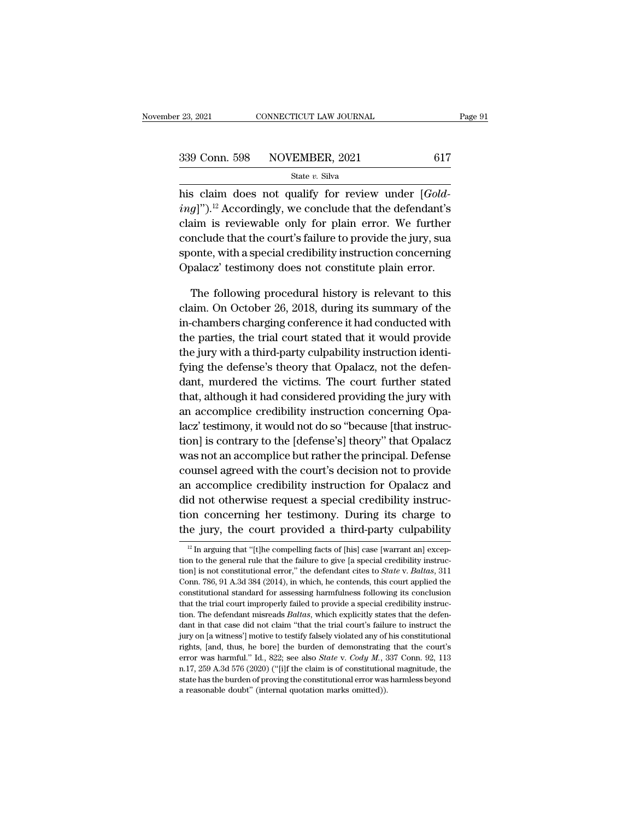| r 23, 2021    | CONNECTICUT LAW JOURNAL |     | Page 91 |
|---------------|-------------------------|-----|---------|
| 339 Conn. 598 | NOVEMBER, 2021          | 617 |         |
|               | State v. Silva          |     |         |

Fig. 23, 2021 CONNECTICUT LAW JOURNAL<br> **his claim does not qualify for review under [***Gold-***<br>** *ing***]").<sup>12</sup> Accordingly, we conclude that the defendant's** <sup>339</sup> Conn. 598 **NOVEMBER**, 2021 617<br>
<sup>State v. Silva<br>
his claim does not qualify for review under [*Golding*]").<sup>12</sup> Accordingly, we conclude that the defendant's<br>
claim is reviewable only for plain error. We further</sup> 339 Conn. 598 NOVEMBER, 2021 617<br>
State v. Silva<br>
his claim does not qualify for review under [*Gold-*<br> *ing*]").<sup>12</sup> Accordingly, we conclude that the defendant's<br>
claim is reviewable only for plain error. We further<br>
co 339 Conn. 598 NOVEMBER, 2021 617<br>
State v. Silva<br>
his claim does not qualify for review under [*Gold-*<br> *ing*]").<sup>12</sup> Accordingly, we conclude that the defendant's<br>
claim is reviewable only for plain error. We further<br>
co State v. Silva<br>his claim does not qualify for review under [*Gold-*<br>ing]").<sup>12</sup> Accordingly, we conclude that the defendant's<br>claim is reviewable only for plain error. We further<br>conclude that the court's failure to provi his claim does not qualify for review under [*Golding*]").<sup>12</sup> Accordingly, we conclude that the defendant's claim is reviewable only for plain error. We further conclude that the court's failure to provide the jury, sua  $g$ ]")." Accordingly, we conclude that the detendant s<br>aim is reviewable only for plain error. We further<br>nclude that the court's failure to provide the jury, sua<br>onte, with a special credibility instruction concerning<br>pa claim. Is reviewable only for plain error. We further<br>conclude that the court's failure to provide the jury, sua<br>sponte, with a special credibility instruction concerning<br>Opalacz' testimony does not constitute plain error.

conclude that the court's railure to provide the jury, sua<br>sponte, with a special credibility instruction concerning<br>Opalacz' testimony does not constitute plain error.<br>The following procedural history is relevant to this<br> sponte, with a special creationly instruction concerning<br>Opalacz' testimony does not constitute plain error.<br>The following procedural history is relevant to this<br>claim. On October 26, 2018, during its summary of the<br>in-cha Upalacz testimony does not constitute plain error.<br>The following procedural history is relevant to this<br>claim. On October 26, 2018, during its summary of the<br>in-chambers charging conference it had conducted with<br>the partie The following procedural history is relevant to this<br>claim. On October 26, 2018, during its summary of the<br>in-chambers charging conference it had conducted with<br>the parties, the trial court stated that it would provide<br>the The following procedural fills of y is fellevalue to this<br>claim. On October 26, 2018, during its summary of the<br>in-chambers charging conference it had conducted with<br>the parties, the trial court stated that it would provid that, although it had considered providing the jury with a third-party culpability instruction identifying the defense's theory that Opalacz, not the defendant, murdered the victims. The court further stated that, although In changes enarging concreted to had conducted what<br>the parties, the trial court stated that it would provide<br>the jury with a third-party culpability instruction identi-<br>fying the defense's theory that Opalacz, not the def the jury with a third-party culpability instruction identifying the defense's theory that Opalacz, not the defendant, murdered the victims. The court further stated that, although it had considered providing the jury with the jury with a time party capability instruction racharity fying the defense's theory that Opalacz, not the defendant, murdered the victims. The court further stated that, although it had considered providing the jury wit restrikt that, although it had considered providing the jury with<br>dant, murdered the victims. The court further stated<br>that, although it had considered providing the jury with<br>an accomplice credibility instruction concerni data, mattered the vielants. The court rattact stated<br>that, although it had considered providing the jury with<br>an accomplice credibility instruction concerning Opa-<br>lacz' testimony, it would not do so "because [that instru anal, datedgar a had considered providing the Jary with<br>an accomplice credibility instruction concerning Opalacz'<br>testimony, it would not do so "because [that instruc-<br>tion] is contrary to the [defense's] theory" that Opal did a seconforce creation, moduction concerning opticary lack is also<br>diated in the second in the second in the principal. Defense<br>counsel agreed with the court's decision not to provide<br>an accomplice credibility instructi tion] is contrary to the [defense's] theory" that Opalacz<br>was not an accomplice but rather the principal. Defense<br>counsel agreed with the court's decision not to provide<br>an accomplice credibility instruction for Opalacz an was not an accomplice but rather the principal. Defense<br>counsel agreed with the court's decision not to provide<br>an accomplice credibility instruction for Opalacz and<br>did not otherwise request a special credibility instruc an accomplice credibility instruction for Opalacz and<br>did not otherwise request a special credibility instruc-<br>tion concerning her testimony. During its charge to<br>the jury, the court provided a third-party culpability<br> $\frac$ did not otherwise request a special credibility instruction concerning her testimony. During its charge to the jury, the court provided a third-party culpability  $\frac{12 \text{ In arguing that "[t]he compelling facts of [his] case [warmant an] exception to the general rule that the failure to give [a special credibility instruction] is not constitutional error," the defendant cities to State v. Baltas$ 

tion concerning her testimony. During its charge to<br>the jury, the court provided a third-party culpability<br><sup>12</sup> In arguing that "[t]he compelling facts of [his] case [warrant an] excep-<br>tion to the general rule that the fa the jury, the court provided a third-party culpability  $\frac{12 \text{ In arguing that "[t]he compelling facts of [his] case [warmant an] exception to the general rule that the failure to give [a special credibility instruction] is not constitutional error," the defendant cities to *State* v. *Baltas*, 311 Conn. 786, 91 A.3d 384 (2014), in which, he contends, this court applied the constitutional standard for assessing harmfulness following its conclusion.$ <sup>12</sup> In arguing that "[t]he compelling facts of [his] case [warrant an] exception to the general rule that the failure to give [a special credibility instruction] is not constitutional error, " the defendant cites to *Sta* <sup>12</sup> In arguing that "[t]he compelling facts of [his] case [warrant an] exception to the general rule that the failure to give [a special credibility instruction] is not constitutional error," the defendant cites to *Stat* tion to the general rule that the failure to give [a special credibility instruction] is not constitutional error," the defendant cites to *State* v. *Baltas*, 311 Conn. 786, 91 A.3d 384 (2014), in which, he contends, this tion] is not constitutional error," the defendant cites to *State* v. *Baltas*, 311 Conn. 786, 91 A.3d 384 (2014), in which, he contends, this court applied the constitutional standard for assessing harmfulness following Conn. 786, 91 A.3d 384 (2014), in which, he contends, this court applied the constitutional standard for assessing harmfulness following its conclusion that the trial court improperly failed to provide a special credibili that the trial court improperly failed to provide a special credibility instruction. The defendant misreads *Baltas*, which explicitly states that the defendant in that case did not claim "that the trial court's failure t error was harmful." Id., 822; see also *State* v. *Cody M.*, 337 Conn. 92, 113<br>n.17, 259 A.3d 576 (2020) ("ii) If the claim "that the trial court's failure to instruct the<br>jury on [a witness] motive to testify falsely viol n. The defendant misreads *Baltas*, which explicitly states that the defendant in that case did not claim "that the trial court's failure to instruct the jury on [a witness'] motive to testify falsely violated any of his dant in that case did not claim "that the trial court's failure to instruct the jury on [a witness'] motive to testify falsely violated any of his constitutional rights, [and, thus, he bore] the burden of demonstrating th jury on [a witness'] motive to testify falsely violated any of his constitutional rights, [and, thus, he bore] the burden of demonstrating that the court's error was harmful." Id., 822; see also *State* v. *Cody M.*, 337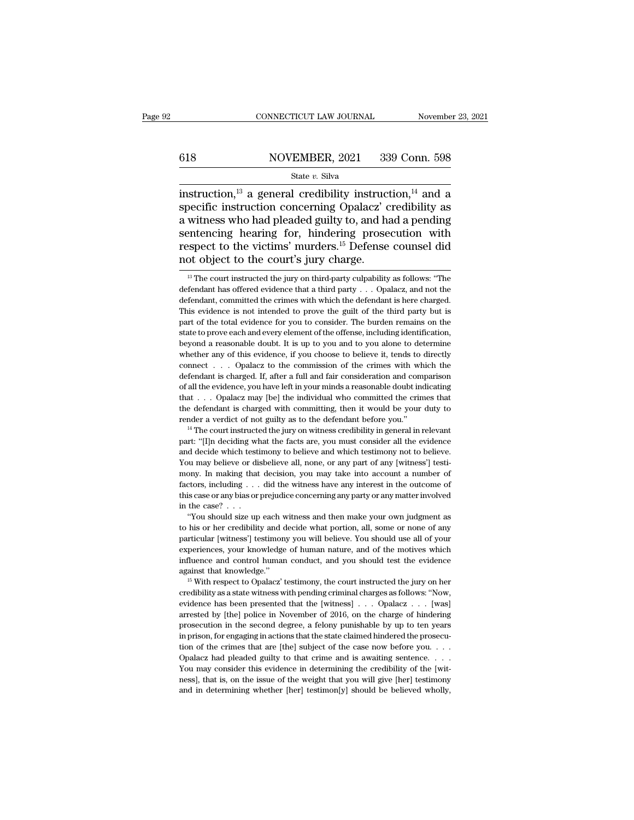# $\begin{tabular}{ll} \multicolumn{2}{l} \multicolumn{2}{l}{{\small\bf CONNECTICUT LAW JOURNAL}} & \multicolumn{2}{l}{\small\bf November~23, 2021} \\\\ 618 & \multicolumn{2}{l}{{\small\bf NOVEMBER, 2021}} & \multicolumn{2}{l}{{\small\bf 339 Conn.~598}} \end{tabular}$

### State *v.* Silva

CONNECTICUT LAW JOURNAL November 23, 2021<br>
State v. Silva<br>
State v. Silva<br>
instruction,<sup>13</sup> a general credibility instruction,<sup>14</sup> and a<br>
specific instruction concerning Opalacz' credibility as<br>
a witness who had pleaded specific instruction of the principle instruction of the principle instruction  $e^{13}$  as general credibility instruction,  $e^{14}$  and a specific instruction concerning Opalacz' credibility as a witness who had pleaded gu 618 NOVEMBER, 2021 339 Conn. 598<br>
State v. Silva<br>
instruction,<sup>13</sup> a general credibility instruction,<sup>14</sup> and a<br>
specific instruction concerning Opalacz' credibility as<br>
a witness who had pleaded guilty to, and had a pend Solary Movember, 2021 339 Conn. 598<br>
State v. Silva<br>
instruction,<sup>13</sup> a general credibility instruction,<sup>14</sup> and a<br>
specific instruction concerning Opalacz' credibility as<br>
a witness who had pleaded guilty to, and had a p State v. Silva<br>
State v. Silva<br>
instruction,<sup>13</sup> a general credibility instruction,<sup>14</sup> and a<br>
specific instruction concerning Opalacz' credibility as<br>
a witness who had pleaded guilty to, and had a pending<br>
sentencing he State v. Silva<br>
instruction,<sup>13</sup> a general credibility instruct<br>
specific instruction concerning Opalacz' c<br>
a witness who had pleaded guilty to, and has<br>
sentencing hearing for, hindering prose<br>
respect to the victims' m witness who had pleaded guilty to, and had a pending<br>entencing hearing for, hindering prosecution with<br>spect to the victims' murders.<sup>15</sup> Defense counsel did<br>ot object to the court's jury charge.<br><sup>13</sup> The court instructed sentencing hearing for, hindering prosecution with<br>respect to the victims' murders.<sup>15</sup> Defense counsel did<br>not object to the court's jury charge.<br> $\frac{13}{12}$  The court instructed the jury on third-party culpability as fo

respect to the victims' murders.<sup>15</sup> Defense counsel did<br>not object to the court's jury charge.<br> $\frac{13}{10}$  The court instructed the jury on third-party culpability as follows: "The<br>defendant has offered evidence that a t The court instructed the jury on third-party culpability as follows: "The defendant has offered evidence that a third party  $\ldots$  Opalacz, and not the defendant, committed the crimes with which the defendant is here charg From the total evidence for you to consider. The burdent is follows: "The defendant has offered evidence that a third party . . . Opalacz, and not the defendant, committed the crimes with which the defendant is here charg <sup>13</sup> The court instructed the jury on third-party culpability as follows: "The defendant has offered evidence that a third party  $\ldots$  Opalacz, and not the defendant, committed the crimes with which the defendant is here defendant has offered evidence that a third party  $\ldots$  Opalacz, and not the defendant, committed the crimes with which the defendant is here charged. This evidence is not intended to prove the guilt of the third party bu defendant, committed the crimes with which the defendant is here charged.<br>This evidence is not intended to prove the guilt of the third party but is<br>part of the total evidence for you to consider. The burden remains on the This evidence is not intended to prove the guilt of the third party but is<br>part of the total evidence for you to consider. The burden remains on the<br>state to prove each and every element of the offense, including identific part of the total evidence for you to consider. The burden remains on the state to prove each and every element of the offense, including identification, beyond a reasonable doubt. It is up to you and to you alone to deter state to prove each and every element of the offense, including identification, beyond a reasonable doubt. It is up to you and to you alone to determine whether any of this evidence, if you choose to believe it, tends to beyond a reasonable doubt. It is up to you and to you alone to determine whether any of this evidence, if you choose to believe it, tends to directly connect . . . Opalacz to the commission of the crimes with which the de by whether any of this evidence, if you choose to believe it, tends to directly connect . . . Opalacz to the commission of the crimes with which the defendant is charged. If, after a full and fair consideration and compar render a verdict of not guilty as to the commission of the crimes with which the defendant is charged. If, after a full and fair consideration and comparison of all the evidence, you have left in your minds a reasonable d defendant is charged. If, after a full and fair consideration and comparison of all the evidence, you have left in your minds a reasonable doubt indicating that  $\ldots$  Opalacz may [be] the individual who committed the crim

that . . . Opalacz may [be] the individual who committed the crimes that the defendant is charged with committing, then it would be your duty to render a verdict of not guilty as to the defendant before you."<br><sup>14</sup> The cou The defendant is charged with committing, then it would be your duty to render a verdict of not guilty as to the defendant before you."<br><sup>14</sup> The court instructed the jury on witness credibility in general in relevant part: monter a verdict of not guilty as to the defendant before you."<br>
<sup>14</sup> The court instructed the jury on witness credibility in general in relevant<br>
part: "[I]n deciding what the facts are, you must consider all the evidenc <sup>14</sup> The court instructed the jury on witness credibility in general in relevant part: "[I]n deciding what the facts are, you must consider all the evidence and decide which testimony to believe and which testimony not to part: "[I]n deciding what the facts are, you must consider all the evidence and decide which testimony to believe and which testimony not to believe. You may believe or disbelieve all, none, or any part of any [witness'] t rand decide which test<br>and decide which test<br>You may believe or di<br>mony. In making that<br>factors, including . . .<br>this case or any bias or<br>in the case? . . . .<br>"You should size up of you show the ordinate size up each witness and then make your own judgment as the case? ... did the witness have any interest in the outcome of is case or any bias or prejudice concerning any party or any matter involv to a may be an impulsion, you may take into account a number of factors, including . . . did the witness have any interest in the outcome of this case or any bias or prejudice concerning any party or any matter involved i

particular  $\alpha$  is increased as the method of this case or any bias or prejudice concerning any party or any matter involved<br>in the case? . . . "You should size up each witness and then make your own judgment as<br>to his or experiences, your knowledge of human nature, and of the motives whist case or any bas or prejudice concerning any party or any matter involved<br>in the case? . . . "You should size up each witness and then make your own judg influence and control human conduct, and you should test the evidence "You should size up each witness and then make your own judgment as<br>to his or her credibility and decide what portion, all, some or none of any<br>particular [witness'] testimony you will believe. You should use all of your<br> particular [witness'] testimony you will believe. You should use all of your experiences, your knowledge of human nature, and of the motives which influence and control human conduct, and you should test the evidence agai

experiences, your knowledge of human nature, and of the motives which<br>influence and control human conduct, and you should test the evidence<br>against that knowledge."<br><sup>15</sup> With respect to Opalacz' testimony, the court instru influence and control human conduct, and you should test the evidence against that knowledge."<br>
<sup>15</sup> With respect to Opalacz' testimony, the court instructed the jury on her credibility as a state witness with pending cri against that knowledge."<br>
<sup>15</sup> With respect to Opalacz' testimony, the court instructed the jury on her credibility as a state witness with pending criminal charges as follows: "Now, evidence has been presented that the [ <sup>15</sup> With respect to Opalacz' testimony, the court instructed the jury on her credibility as a state witness with pending criminal charges as follows: "Now, evidence has been presented that the [witness] . . . Opalacz . . credibility as a state witness with pending criminal charges as follows: "Now, evidence has been presented that the [witness] . . . Opalacz . . . [was] arrested by [the] police in November of 2016, on the charge of hinder evidence has been presented that the [witness]  $\ldots$  Opalacz  $\ldots$  [was] arrested by [the] police in November of 2016, on the charge of hindering prosecution in the second degree, a felony punishable by up to ten years in arrested by [the] police in November of 2016, on the charge of hindering<br>prosecution in the second degree, a felony punishable by up to ten years<br>in prison, for engaging in actions that the state claimed hindered the pros prosecution in the second degree, a felony punishable by up to ten years<br>in prison, for engaging in actions that the state claimed hindered the prosecution of the crimes that are [the] subject of the case now before you.. in prison, for engaging in actions that the state claimed hindered the prosecu-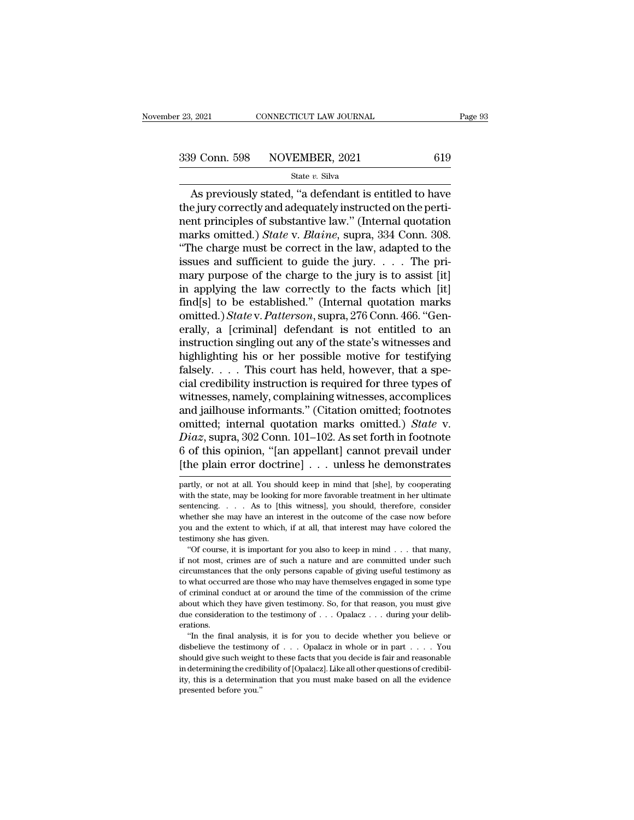As previously stated, ''a defendant is entitled to have 339 Conn. 598 NOVEMBER, 2021 619<br>
State v. Silva<br>
As previously stated, "a defendant is entitled to have<br>
the jury correctly and adequately instructed on the perti-<br>
nent principles of substantive law." (Internal quotatio 339 Conn. 598 NOVEMBER, 2021 619<br>
State v. Silva<br>
As previously stated, "a defendant is entitled to have<br>
the jury correctly and adequately instructed on the perti-<br>
nent principles of substantive law." (Internal quotatio Sall Conn. 598 NOVEMBER, 2021 619<br>
State *v*. Silva<br>
As previously stated, "a defendant is entitled to have<br>
the jury correctly and adequately instructed on the perti-<br>
nent principles of substantive law." (Internal quotat State v. Silva<br>
State v. Silva<br>
As previously stated, "a defendant is entitled to have<br>
the jury correctly and adequately instructed on the perti-<br>
nent principles of substantive law." (Internal quotation<br>
marks omitted.) state v. silva<br>
As previously stated, "a defendant is entitled to have<br>
the jury correctly and adequately instructed on the perti-<br>
nent principles of substantive law." (Internal quotation<br>
marks omitted.) *State* v. *Bla* As previously stated, "a defendant is entitled to have<br>the jury correctly and adequately instructed on the perti-<br>nent principles of substantive law." (Internal quotation<br>marks omitted.) *State* v. *Blaine*, supra, 334 Co the jury correctly and adequately instructed on the perti-<br>nent principles of substantive law." (Internal quotation<br>marks omitted.) *State* v. *Blaine*, supra, 334 Conn. 308.<br>"The charge must be correct in the law, adapte ment principles of substantive law." (Internal quotation<br>marks omitted.) *State* v. *Blaine*, supra, 334 Conn. 308.<br>"The charge must be correct in the law, adapted to the<br>issues and sufficient to guide the jury.... The pr marks omitted.) *State* v. *Blaine*, supra, 334 Conn. 308.<br>
"The charge must be correct in the law, adapted to the<br>
issues and sufficient to guide the jury.... The pri-<br>
mary purpose of the charge to the jury is to assist "The charge must be correct in the law, adapted to the<br>issues and sufficient to guide the jury. . . . The pri-<br>mary purpose of the charge to the jury is to assist [it]<br>in applying the law correctly to the facts which [it] issues and sufficient to guide the jury. . . . The pri-<br>mary purpose of the charge to the jury is to assist [it]<br>in applying the law correctly to the facts which [it]<br>find[s] to be established." (Internal quotation marks<br> mary purpose of the charge to the jury is to assist [it]<br>in applying the law correctly to the facts which [it]<br>find[s] to be established." (Internal quotation marks<br>omitted.) State v. Patterson, supra, 276 Conn. 466. "Gen in applying the law correctly to the facts which [it] find[s] to be established." (Internal quotation marks omitted.) *State* v. *Patterson*, supra, 276 Conn. 466. "Generally, a [criminal] defendant is not entitled to an find[s] to be established." (Internal quotation marks<br>omitted.) *State* v. *Patterson*, supra, 276 Conn. 466. "Gen-<br>erally, a [criminal] defendant is not entitled to an<br>instruction singling out any of the state's witnesse omitted.) *State* v. *Patterson*, supra, 276 Conn. 466. "Generally, a [criminal] defendant is not entitled to an instruction singling out any of the state's witnesses and highlighting his or her possible motive for testify erally, a [criminal] defendant is not entitled to an<br>instruction singling out any of the state's witnesses and<br>highlighting his or her possible motive for testifying<br>falsely.... This court has held, however, that a spe-<br>c instruction singling out any of the state's witnesses and<br>highlighting his or her possible motive for testifying<br>falsely. . . . This court has held, however, that a spe-<br>cial credibility instruction is required for three t highlighting his or her possible motive for testifying<br>falsely. . . . This court has held, however, that a spe-<br>cial credibility instruction is required for three types of<br>witnesses, namely, complaining witnesses, accompli falsely. . . . . This court has held, however, that a special credibility instruction is required for three types of witnesses, namely, complaining witnesses, accomplices and jailhouse informants." (Citation omitted; foot cial credibility instruction is required for three types of<br>witnesses, namely, complaining witnesses, accomplices<br>and jailhouse informants." (Citation omitted; footnotes<br>omitted; internal quotation marks omitted.) *State* omitted; internal quotation marks omitted.) *State* v.<br> *Diaz*, supra, 302 Conn. 101–102. As set forth in footnote<br>
6 of this opinion, "[an appellant] cannot prevail under<br>
[the plain error doctrine] . . . unless he demon Diaz, supra, 302 Conn. 101–102. As set forth in footnote<br>6 of this opinion, "[an appellant] cannot prevail under<br>[the plain error doctrine] . . . unless he demonstrates<br>partly, or not at all. You should keep in mind that

6 of this opinion, "[an appellant] cannot prevail under<br>[the plain error doctrine]  $\ldots$  unless he demonstrates<br>partly, or not at all. You should keep in mind that [she], by cooperating<br>with the state, may be looking for  $[the plain error doctrine] . . . unless he demonstrates partly, or not at all. You should keep in mind that [she], by cooperating with the state, may be looking for more favorable treatment in her ultimate sentence. . . As to [this witness], you should, therefore, consider whether she may have an interest in the outcome of the case now before you and the extent to which, if at all, that interest may have colored the testimony she has given.$ partly, or not at all. You should keep in mind that [she], by cooperating<br>partly, or not at all. You should keep in mind that [she], by cooperating<br>with the state, may be looking for more favorable treatment in her ultimat partly, or not at all. You should keep in mind that [she], by cooperating with the state, may be looking for more favorable treatment in her ultimate sentencing. . . . As to [this witness], you should, therefore, consider  $\mathbf{r}$ ,  $\mathbf{r}$  is the state, may be looking for more favorable treatment in her ultimate intencing. . . . As to [this witness], you should, therefore, consider nether she may have an interest in the outcome of the cas if not most, crimes are of such a nature and are committed under such a nature and the extent to which, if at all, that interest may have colored the testimony she has given.<br>
"Of course, it is important for you also to k

Exercise, the only the only persons capable of giving useful testimony she has given.<br>
"Of course, it is important for you also to keep in mind  $\ldots$  that many,<br>
"Of course, it is important for you also to keep in mind  $\$ For what of the extent to which, if at all, that interest may have colored the testimony she has given.<br>
"Of course, it is important for you also to keep in mind  $\ldots$  that many, if not most, crimes are of such a nature a be timeny the has given.<br>
"Of course, it is important for you also to keep in mind . . . that many,<br>
if not most, crimes are of such a nature and are committed under such<br>
circumstances that the only persons capable of gi "Of course, it is important for you also to keep in mind . . . that many, if not most, crimes are of such a nature and are committed under such circumstances that the only persons capable of giving useful testimony as to if not most, crimes are of such a nature and are committed under such circumstances that the only persons capable of giving useful testimony as to what occurred are those who may have themselves engaged in some type of cr erations. what occurred are those who may have themselves engaged in some type<br>
criminal conduct at or around the time of the commission of the crime<br>
out which they have given testimony. So, for that reason, you must give<br>
conside of criminal conduct at or around the time of the commission of the crime about which they have given testimony. So, for that reason, you must give due consideration to the testimony of . . . Opalacz . . . during your deli

should which they have given testimony. So, for that reason, you must give due consideration to the testimony of . . . Opalacz . . . during your deliberations.<br>"In the final analysis, it is for you to decide whether you b about which they have given testimony. So, for that reason, you must give due consideration to the testimony of . . . Opalacz . . . during your deliberations.<br>"In the final analysis, it is for you to decide whether you be Fractions.<br>
The final analysis, it is for you to decide whether you believe or disbelieve the testimony of . . . Opalacz in whole or in part . . . . You should give such weight to these facts that you decide is fair and r disbelieve the testimony of . . . Opalacz in whole or in part . . . . You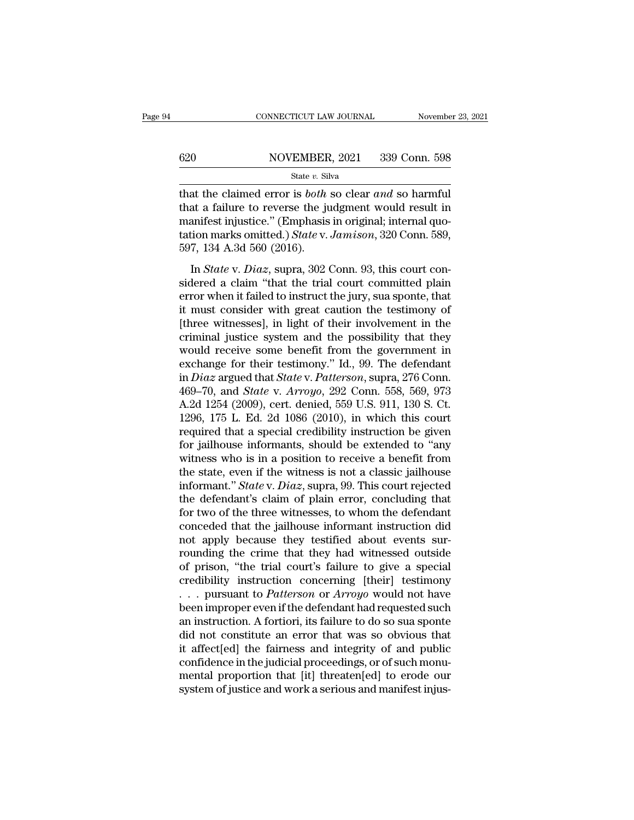# $\begin{tabular}{ll} \multicolumn{2}{l} \multicolumn{2}{l}{{\small\bf CONNECTICUT LAW JOURNAL}} & \multicolumn{2}{l}{\small\bf November~23, 2021} \\\\ 620 & \multicolumn{2}{l}{\small\bf NOVEMBER, 2021} & 339 {\small\bf Conn.~598} \end{tabular}$

State *v.* Silva

THE CONNECTICUT LAW JOURNAL November 23, 20<br>
State v. Silva<br>
State v. Silva<br>
State v. Silva<br>
Conn. 598<br>
That the claimed error is *both* so clear *and* so harmful<br>
that a failure to reverse the judgment would result in<br>
ma 620 NOVEMBER, 2021 339 Conn. 598<br>
State v. Silva<br>
that the claimed error is *both* so clear *and* so harmful<br>
that a failure to reverse the judgment would result in<br>
manifest injustice." (Emphasis in original; internal qu 620 NOVEMBER, 2021 339 Conn. 598<br>
State v. Silva<br>
that the claimed error is *both* so clear *and* so harmful<br>
that a failure to reverse the judgment would result in<br>
manifest injustice." (Emphasis in original; internal qu **Example 18 All Solution MOVEMBER, 2021** 339 Conn. 598<br> **State** *v*. Silva<br> **Connection marks omitted.**) *State* v. *Jamison*, 320 Conn. 589,<br>
597, 134 A.3d 560 (2016). 597, 134 A.3d 560 (2016). at the claimed error is *both* so clear *and* so harmful<br>at a failure to reverse the judgment would result in<br>anifest injustice." (Emphasis in original; internal quo-<br>ion marks omitted.) *State* v. *Jamison*, 320 Conn. 589 that a failure to reverse the judgment would result in<br>manifest injustice." (Emphasis in original; internal quo-<br>tation marks omitted.) *State v. Jamison*, 320 Conn. 589,<br>597, 134 A.3d 560 (2016).<br>In *State v. Diaz*, supr

manifest injustice." (Emphasis in original; internal quotation marks omitted.) *State v. Jamison*, 320 Conn. 589, 597, 134 A.3d 560 (2016).<br>In *State v. Diaz*, supra, 302 Conn. 93, this court considered a claim "that the fraction marks omitted.) *State v. Jamison*, 320 Conn. 589, 597, 134 A.3d 560 (2016).<br>In *State v. Diaz*, supra, 302 Conn. 93, this court considered a claim "that the trial court committed plain error when it failed to in  $t$  597, 134 A.3d 560 (2016).<br>In *State* v. *Diaz*, supra, 302 Conn. 93, this court considered a claim "that the trial court committed plain<br>error when it failed to instruct the jury, sua sponte, that<br>it must consider wit In *State* v. *Diaz*, supra, 302 Conn. 93, this court considered a claim "that the trial court committed plain error when it failed to instruct the jury, sua sponte, that it must consider with great caution the testimony In *State* v. *Diaz*, supra, 302 Conn. 93, this court considered a claim "that the trial court committed plain error when it failed to instruct the jury, sua sponte, that it must consider with great caution the testimony sidered a claim "that the trial court committed plain<br>error when it failed to instruct the jury, sua sponte, that<br>it must consider with great caution the testimony of<br>[three witnesses], in light of their involvement in th error when it failed to instruct the jury, sua sponte, that<br>it must consider with great caution the testimony of<br>[three witnesses], in light of their involvement in the<br>criminal justice system and the possibility that they it must consider with great caution the testimony of<br>[three witnesses], in light of their involvement in the<br>criminal justice system and the possibility that they<br>would receive some benefit from the government in<br>exchange [three witnesses], in light of their involvement in the criminal justice system and the possibility that they would receive some benefit from the government in exchange for their testimony." Id., 99. The defendant in *Dia* criminal justice system and the possibility that they<br>would receive some benefit from the government in<br>exchange for their testimony." Id., 99. The defendant<br>in *Diaz* argued that *State v. Patterson*, supra, 276 Conn.<br>46 would receive some benefit from the government in<br>exchange for their testimony." Id., 99. The defendant<br>in *Diaz* argued that *State* v. *Patterson*, supra, 276 Conn.<br>469–70, and *State* v. *Arroyo*, 292 Conn. 558, 569, 9 exchange for their testimony." Id., 99. The defendant<br>in *Diaz* argued that *State* v. *Patterson*, supra, 276 Conn.<br>469–70, and *State* v. *Arroyo*, 292 Conn. 558, 569, 973<br>A.2d 1254 (2009), cert. denied, 559 U.S. 911, 1 in *Diaz* argued that *State* v. *Patterson*, supra, 276 Conn.<br>469–70, and *State* v. *Arroyo*, 292 Conn. 558, 569, 973<br>A.2d 1254 (2009), cert. denied, 559 U.S. 911, 130 S. Ct.<br>1296, 175 L. Ed. 2d 1086 (2010), in which th 469–70, and *State* v. *Arroyo*, 292 Conn. 558, 569, 973<br>A.2d 1254 (2009), cert. denied, 559 U.S. 911, 130 S. Ct.<br>1296, 175 L. Ed. 2d 1086 (2010), in which this court<br>required that a special credibility instruction be giv A.2d 1254 (2009), cert. denied, 559 U.S. 911, 130 S. Ct.<br>1296, 175 L. Ed. 2d 1086 (2010), in which this court<br>required that a special credibility instruction be given<br>for jailhouse informants, should be extended to "any<br>wi 1296, 175 L. Ed. 2d 1086 (2010), in which this court<br>required that a special credibility instruction be given<br>for jailhouse informants, should be extended to "any<br>witness who is in a position to receive a benefit from<br>the required that a special credibility instruction be given<br>for jailhouse informants, should be extended to "any<br>witness who is in a position to receive a benefit from<br>the state, even if the witness is not a classic jailhouse for jailhouse informants, should be extended to "any<br>witness who is in a position to receive a benefit from<br>the state, even if the witness is not a classic jailhouse<br>informant." *State* v. *Diaz*, supra, 99. This court re witness who is in a position to receive a benefit from<br>the state, even if the witness is not a classic jailhouse<br>informant." State v. Diaz, supra, 99. This court rejected<br>the defendant's claim of plain error, concluding t the state, even if the witness is not a classic jailhouse<br>informant." *State* v. *Diaz*, supra, 99. This court rejected<br>the defendant's claim of plain error, concluding that<br>for two of the three witnesses, to whom the def informant." *State* v. *Diaz*, supra, 99. This court rejected<br>the defendant's claim of plain error, concluding that<br>for two of the three witnesses, to whom the defendant<br>conceded that the jailhouse informant instruction d the defendant's claim of plain error, concluding that<br>for two of the three witnesses, to whom the defendant<br>conceded that the jailhouse informant instruction did<br>not apply because they testified about events sur-<br>rounding for two of the three witnesses, to whom the defendant<br>conceded that the jailhouse informant instruction did<br>not apply because they testified about events sur-<br>rounding the crime that they had witnessed outside<br>of prison, " conceded that the jailhouse informant instruction did<br>not apply because they testified about events sur-<br>rounding the crime that they had witnessed outside<br>of prison, "the trial court's failure to give a special<br>credibili not apply because they testified about events sur-<br>rounding the crime that they had witnessed outside<br>of prison, "the trial court's failure to give a special<br>credibility instruction concerning [their] testimony<br> $\dots$  pursu rounding the crime that they had witnessed outside<br>of prison, "the trial court's failure to give a special<br>credibility instruction concerning [their] testimony<br> $\dots$  pursuant to *Patterson* or *Arroyo* would not have<br>been of prison, "the trial court's failure to give a special<br>credibility instruction concerning [their] testimony<br>... pursuant to *Patterson* or *Arroyo* would not have<br>been improper even if the defendant had requested such<br>an credibility instruction concerning [their] testimony<br>
... pursuant to *Patterson* or *Arroyo* would not have<br>
been improper even if the defendant had requested such<br>
an instruction. A fortiori, its failure to do so sua spo ... pursuant to *Patterson* or *Arroyo* would not have been improper even if the defendant had requested such an instruction. A fortiori, its failure to do so sua sponte did not constitute an error that was so obvious tha been improper even if the defendant had requested such<br>an instruction. A fortiori, its failure to do so sua sponte<br>did not constitute an error that was so obvious that<br>it affect[ed] the fairness and integrity of and public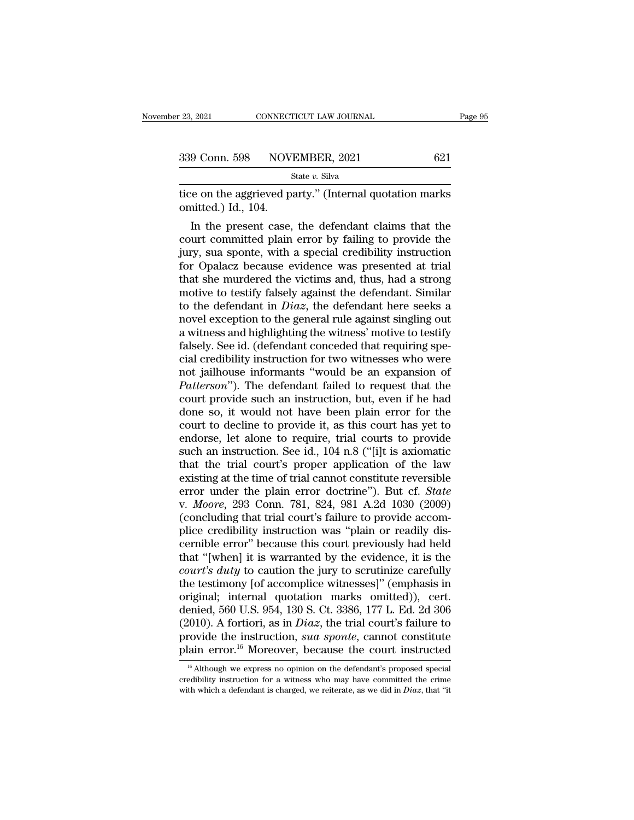tice on the aggrieved party.'' (Internal quotation marks)<br>
The contraction of the aggrieved party.'' (Internal quotation marks)<br>
tice on the aggrieved party.'' (Internal quotation marks)<br>
omitted.) Id., 104. 339 Conn. 598 NOV.<br>
itice on the aggrieved point<br>
ited.) Id., 104.<br>
In the present case,

9 Conn. 598 NOVEMBER, 2021 621<br>
State v. Silva<br>
ee on the aggrieved party." (Internal quotation marks<br>
inited.) Id., 104.<br>
In the present case, the defendant claims that the<br>
urt committed plain error by failing to provid 339 Conn. 598 NOVEMBER, 2021 621<br>
State v. Silva<br>
tice on the aggrieved party." (Internal quotation marks<br>
omitted.) Id., 104.<br>
In the present case, the defendant claims that the<br>
court committed plain error by failing to State v. Silva<br>
itice on the aggrieved party." (Internal quotation marks<br>
omitted.) Id., 104.<br>
In the present case, the defendant claims that the<br>
court committed plain error by failing to provide the<br>
jury, sua sponte, w tice on the aggrieved party." (Internal quotation marks<br>
omitted.) Id., 104.<br>
In the present case, the defendant claims that the<br>
court committed plain error by failing to provide the<br>
jury, sua sponte, with a special cred tice on the aggrieved party." (internal quotation marks<br>
omitted.) Id., 104.<br>
In the present case, the defendant claims that the<br>
court committed plain error by failing to provide the<br>
jury, sua sponte, with a special cred omitted.) Id., 104.<br>
In the present case, the defendant claims that the<br>
court committed plain error by failing to provide the<br>
jury, sua sponte, with a special credibility instruction<br>
for Opalacz because evidence was pr In the present case, the defendant claims that the<br>court committed plain error by failing to provide the<br>jury, sua sponte, with a special credibility instruction<br>for Opalacz because evidence was presented at trial<br>that sh court committed plain error by failing to provide the<br>jury, sua sponte, with a special credibility instruction<br>for Opalacz because evidence was presented at trial<br>that she murdered the victims and, thus, had a strong<br>moti jury, sua sponte, with a special credibility instruction<br>for Opalacz because evidence was presented at trial<br>that she murdered the victims and, thus, had a strong<br>motive to testify falsely against the defendant. Similar<br>to for Opalacz because evidence was presented at trial that she murdered the victims and, thus, had a strong motive to testify falsely against the defendant. Similar to the defendant in  $Diaz$ , the defendant here seeks a novel that she murdered the victims and, thus, had a strong<br>motive to testify falsely against the defendant. Similar<br>to the defendant in  $Diaz$ , the defendant here seeks a<br>novel exception to the general rule against singling out<br> motive to testify falsely against the defendant. Similar<br>to the defendant in  $Diaz$ , the defendant here seeks a<br>novel exception to the general rule against singling out<br>a witness and highlighting the witness' motive to test to the defendant in *Diaz*, the defendant here seeks a<br>
novel exception to the general rule against singling out<br>
a witness and highlighting the witness' motive to testify<br>
falsely. See id. (defendant conceded that requiri novel exception to the general rule against singling out<br>a witness and highlighting the witness' motive to testify<br>falsely. See id. (defendant conceded that requiring spe-<br>cial credibility instruction for two witnesses who a witness and highlighting the witness' motive to testify<br>falsely. See id. (defendant conceded that requiring spe-<br>cial credibility instruction for two witnesses who were<br>not jailhouse informants "would be an expansion of<br> falsely. See id. (defendant conceded that requiring special credibility instruction for two witnesses who were<br>not jailhouse informants "would be an expansion of<br>*Patterson*"). The defendant failed to request that the<br>cou cial credibility instruction for two witnesses who were<br>not jailhouse informants "would be an expansion of<br>*Patterson*"). The defendant failed to request that the<br>court provide such an instruction, but, even if he had<br>done not jailhouse informants "would be an expansion of *Patterson*"). The defendant failed to request that the court provide such an instruction, but, even if he had done so, it would not have been plain error for the court to Patterson"). The defendant failed to request that the<br>court provide such an instruction, but, even if he had<br>done so, it would not have been plain error for the<br>court to decline to provide it, as this court has yet to<br>endo court provide such an instruction, but, even if he had<br>done so, it would not have been plain error for the<br>court to decline to provide it, as this court has yet to<br>endorse, let alone to require, trial courts to provide<br>su done so, it would not have been plain error for the<br>court to decline to provide it, as this court has yet to<br>endorse, let alone to require, trial courts to provide<br>such an instruction. See id., 104 n.8 ("[i]t is axiomatic<br> court to decline to provide it, as this court has yet to endorse, let alone to require, trial courts to provide such an instruction. See id., 104 n.8 ("[i]t is axiomatic that the trial court's proper application of the law endorse, let alone to require, trial courts to provide<br>such an instruction. See id., 104 n.8 ("[i]t is axiomatic<br>that the trial court's proper application of the law<br>existing at the time of trial cannot constitute reversib such an instruction. See id., 104 n.8 ("[i]t is axiomatic<br>that the trial court's proper application of the law<br>existing at the time of trial cannot constitute reversible<br>error under the plain error doctrine"). But cf. *Sta* that the trial court's proper application of the law<br>existing at the time of trial cannot constitute reversible<br>error under the plain error doctrine"). But cf. *State*<br>v. *Moore*, 293 Conn. 781, 824, 981 A.2d 1030 (2009)<br>( existing at the time of trial cannot constitute reversible<br>error under the plain error doctrine"). But cf. *State*<br>v. *Moore*, 293 Conn. 781, 824, 981 A.2d 1030 (2009)<br>(concluding that trial court's failure to provide acco error under the plain error doctrine"). But cf. *State*<br>v. *Moore*, 293 Conn. 781, 824, 981 A.2d 1030 (2009)<br>(concluding that trial court's failure to provide accom-<br>plice credibility instruction was "plain or readily disv. *Moore*, 293 Conn. 781, 824, 981 A.2d 1030 (2009)<br>(concluding that trial court's failure to provide accom-<br>plice credibility instruction was "plain or readily dis-<br>cernible error" because this court previously had held<br> (concluding that trial court's failure to provide accomplice credibility instruction was "plain or readily discernible error" because this court previously had held that "[when] it is warranted by the evidence, it is the plice credibility instruction was "plain or readily discernible error" because this court previously had held<br>that "[when] it is warranted by the evidence, it is the<br>*court's duty* to caution the jury to scrutinize careful cernible error" because this court previously had held<br>that "[when] it is warranted by the evidence, it is the<br>*court's duty* to caution the jury to scrutinize carefully<br>the testimony [of accomplice witnesses]" (emphasis i that "[when] it is warranted by the evidence, it is the *court's duty* to caution the jury to scrutinize carefully the testimony [of accomplice witnesses]" (emphasis in original; internal quotation marks omitted)), cert. d *court's duty* to caution the jury to scrutinize carefully<br>the testimony [of accomplice witnesses]" (emphasis in<br>original; internal quotation marks omitted)), cert.<br>denied, 560 U.S. 954, 130 S. Ct. 3386, 177 L. Ed. 2d 306 enied, 560 U.S. 954, 130 S. Ct. 3386, 177 L. Ed. 2d 306<br>2010). A fortiori, as in *Diaz*, the trial court's failure to<br>covide the instruction, *sua sponte*, cannot constitute<br>lain error.<sup>16</sup> Moreover, because the court ins (2010). A fortiori, as in *Diaz*, the trial court's failure to provide the instruction, *sua sponte*, cannot constitute plain error.<sup>16</sup> Moreover, because the court instructed  $\frac{16}{16}$  Although we express no opinion on

provide the instruction, *sua sponte*, cannot constitute plain error.<sup>16</sup> Moreover, because the court instructed  $\frac{16}{16}$  Although we express no opinion on the defendant's proposed special credibility instruction for a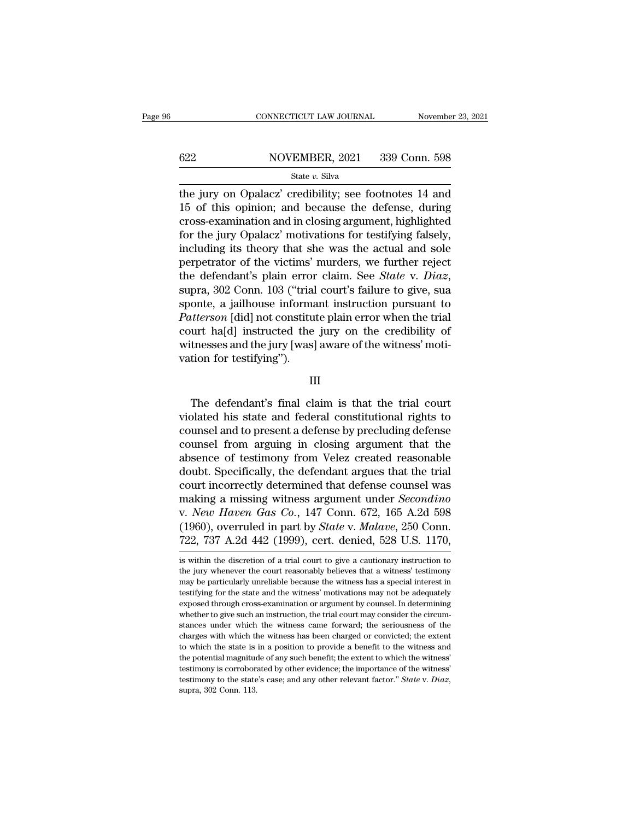# $\begin{tabular}{ll} \multicolumn{2}{l} \multicolumn{2}{l}{{\small\bf CONNECTICUT LAW JOURNAL}} & \multicolumn{2}{l}{\small\bf November~23, 2021} \\ \hline \hline \end{tabular}$

### State *v.* Silva

THE SERVICE CONNECTICUT LAW JOURNAL Movember 23, 2021<br>
State v. Silva<br>
State v. Silva<br>
The jury on Opalacz' credibility; see footnotes 14 and<br>
15 of this opinion; and because the defense, during<br>
argas avamination and in c  $\begin{array}{r} \n 622 \quad \text{NOVEMBER, 2021} \quad 339 \text{ Conn. } 598 \\
 \hline \n 844 \text{ (}v, \text{ Silva)} \n \end{array}$ <br>
the jury on Opalacz' credibility; see footnotes 14 and 15 of this opinion; and because the defense, during cross-examination and in closing arg 622 NOVEMBER, 2021 339 Conn. 598<br>
State v. Silva<br>
the jury on Opalacz' credibility; see footnotes 14 and<br>
15 of this opinion; and because the defense, during<br>
cross-examination and in closing argument, highlighted<br>
for th  $f(x) = \frac{622}{x}$  MOVEMBER, 2021 339 Conn. 598<br>  $f(x) = \frac{622}{x}$  MOVEMBER, 2021 339 Conn. 598<br>
the jury on Opalacz' credibility; see footnotes 14 and<br>
15 of this opinion; and because the defense, during<br>
cross-examination an State v. Silva<br>the jury on Opalacz' credibility; see footnotes 14 and<br>15 of this opinion; and because the defense, during<br>cross-examination and in closing argument, highlighted<br>for the jury Opalacz' motivations for testif state v. state<br>the jury on Opalacz' credibility; see footnotes 14 and<br>15 of this opinion; and because the defense, during<br>cross-examination and in closing argument, highlighted<br>for the jury Opalacz' motivations for testif the jury on Opalacz' credibility; see footnotes 14 and<br>15 of this opinion; and because the defense, during<br>cross-examination and in closing argument, highlighted<br>for the jury Opalacz' motivations for testifying falsely,<br>in cross-examination and in closing argument, highlighted<br>for the jury Opalacz' motivations for testifying falsely,<br>including its theory that she was the actual and sole<br>perpetrator of the victims' murders, we further reject for the jury Opalacz' motivations for testifying falsely,<br>including its theory that she was the actual and sole<br>perpetrator of the victims' murders, we further reject<br>the defendant's plain error claim. See *State* v. *Diaz* including its theory that she was the actual and sole<br>perpetrator of the victims' murders, we further reject<br>the defendant's plain error claim. See *State* v. *Diaz*,<br>supra, 302 Conn. 103 ("trial court's failure to give, perpetrator of the victims' murders, we further reject<br>the defendant's plain error claim. See *State* v. *Diaz*,<br>supra, 302 Conn. 103 ("trial court's failure to give, sua<br>sponte, a jailhouse informant instruction pursuant the defendant's plain error<br>supra, 302 Conn. 103 ("trial<br>sponte, a jailhouse informa<br>*Patterson* [did] not constitu<br>court ha[d] instructed the<br>witnesses and the jury [was]<br>vation for testifying"). the defendant's final claim is that the trial court<br>nesses and the jury [was] aware of the witness' motition for testifying").<br>III<br>The defendant's final claim is that the trial court<br>plated his state and federal constituti

III

court na<sub>l</sub>u] instructed the jury on the credibility of<br>witnesses and the jury [was] aware of the witness' moti-<br>vation for testifying").<br>III<br>The defendant's final claim is that the trial court<br>violated his state and feder witnesses and the jury [was] aware of the witness modivation for testifying").<br>III<br>III<br>The defendant's final claim is that the trial court<br>violated his state and federal constitutional rights to<br>counsel and to present a de Fig. 2.1 and the trial court width of the defendant's final claim is that the trial court violated his state and federal constitutional rights to counsel and to present a defense by precluding defense counsel from arguing III<br>The defendant's final claim is that the trial court<br>violated his state and federal constitutional rights to<br>counsel and to present a defense by precluding defense<br>counsel from arguing in closing argument that the<br>absen The defendant's final claim is that the trial court<br>violated his state and federal constitutional rights to<br>counsel and to present a defense by precluding defense<br>counsel from arguing in closing argument that the<br>absence o The defendant's final claim is that the trial court<br>violated his state and federal constitutional rights to<br>counsel and to present a defense by precluding defense<br>counsel from arguing in closing argument that the<br>absence violated his state and federal constitutional rights to<br>counsel and to present a defense by precluding defense<br>counsel from arguing in closing argument that the<br>absence of testimony from Velez created reasonable<br>doubt. Spe counsel and to present a defense by precluding defense<br>counsel from arguing in closing argument that the<br>absence of testimony from Velez created reasonable<br>doubt. Specifically, the defendant argues that the trial<br>court inc counsel from arguing in closing argument that the<br>absence of testimony from Velez created reasonable<br>doubt. Specifically, the defendant argues that the trial<br>court incorrectly determined that defense counsel was<br>making a m absence of testimony from Velez created reasonable<br>doubt. Specifically, the defendant argues that the trial<br>court incorrectly determined that defense counsel was<br>making a missing witness argument under *Secondino*<br>v. *New* making a missing witness argument under *Secondino*<br>v. *New Haven Gas Co.*, 147 Conn. 672, 165 A.2d 598<br>(1960), overruled in part by *State* v. *Malave*, 250 Conn.<br>722, 737 A.2d 442 (1999), cert. denied, 528 U.S. 1170,<br>is v. New Haven Gas Co., 147 Conn. 672, 165 A.2d 598 (1960), overruled in part by *State* v. *Malave*, 250 Conn. 722, 737 A.2d 442 (1999), cert. denied, 528 U.S. 1170,  $\overline{\phantom{a}}$  is within the discretion of a trial court to

<sup>(1960),</sup> overruled in part by *State* v. *Malave*, 250 Conn.<br>722, 737 A.2d 442 (1999), cert. denied, 528 U.S. 1170,<br>is within the discretion of a trial court to give a cautionary instruction to<br>the jury whenever the court 722, 737 A.2d 442 (1999), cert. denied, 528 U.S. 1170,<br>is within the discretion of a trial court to give a cautionary instruction to<br>the jury whenever the court reasonably believes that a witness' testimony<br>may be particu FEC (1999), CEL. defiled, 020 0.3. 1170,<br>is within the discretion of a trial court to give a cautionary instruction to<br>the jury whenever the court reasonably believes that a witness' testimony<br>may be particularly unreliab is within the discretion of a trial court to give a cautionary instruction to the jury whenever the court reasonably believes that a witness' testimony may be particularly unreliable because the witness has a special inter the jury whenever the court reasonably believes that a witness' testimony may be particularly unreliable because the witness has a special interest in testifying for the state and the witness' motivations may not be adequa may be particularly unreliable because the witness has a special interest in testifying for the state and the witness' motivations may not be adequately exposed through cross-examination or argument by counsel. In determin the state is in a benefit which the witness are virtually exposed through cross-examination or argument by counsel. In determining whether to give such an instruction, the trial court may consider the circumstances under w exposed through cross-examination or argument by counsel. In determining whether to give such an instruction, the trial court may consider the circumstances under which the witness came forward; the seriousness of the char whether to give such an instruction, the trial court may consider the circum-<br>stances under which the witness came forward; the seriousness of the<br>charges with which the witness has been charged or convicted; the extent<br>t Interest with the witness came forward; the seriousness of the charges with which the witness has been charged or convicted; the extent to which the state is in a position to provide a benefit to the witness and the potent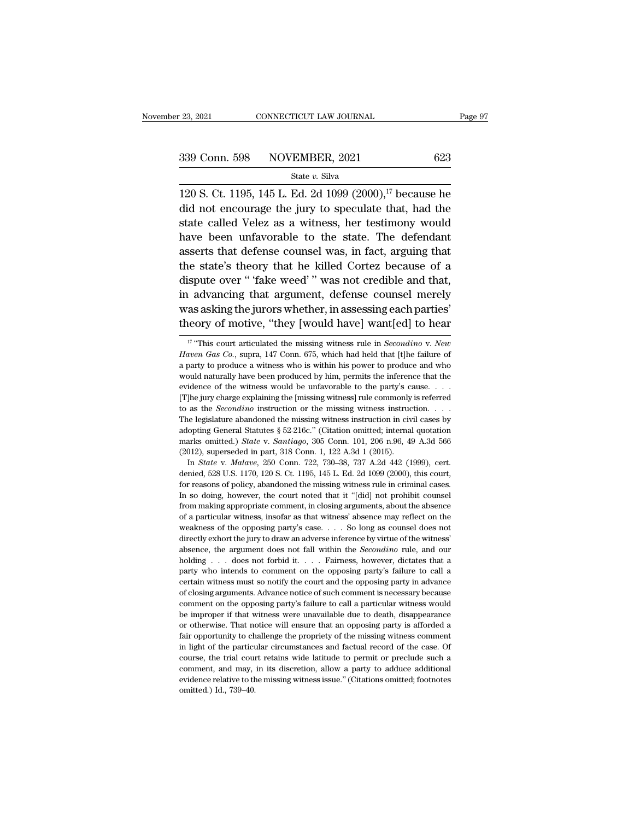120 S. Ct. 1195, 145 L. Ed. 2d 1099 (2000),<sup>17</sup> because he<br>did not encourage the jury to speculate that, had the 339 Conn. 598 NOVEMBER, 2021 623<br>
State v. Silva<br>
120 S. Ct. 1195, 145 L. Ed. 2d 1099 (2000),<sup>17</sup> because he<br>
did not encourage the jury to speculate that, had the<br>
state called Velez as a witness, her testimony would 339 Conn. 598 NOVEMBER, 2021 623<br>
State v. Silva<br>
120 S. Ct. 1195, 145 L. Ed. 2d 1099 (2000),<sup>17</sup> because he<br>
did not encourage the jury to speculate that, had the<br>
state called Velez as a witness, her testimony would<br>
ha 339 Conn. 598 NOVEMBER, 2021 623<br>
State v. Silva<br>
120 S. Ct. 1195, 145 L. Ed. 2d 1099 (2000),<sup>17</sup> because he<br>
did not encourage the jury to speculate that, had the<br>
state called Velez as a witness, her testimony would<br>
ha State v. Silva<br>120 S. Ct. 1195, 145 L. Ed. 2d 1099 (2000),<sup>17</sup> because he<br>did not encourage the jury to speculate that, had the<br>state called Velez as a witness, her testimony would<br>have been unfavorable to the state. The 120 S. Ct. 1195, 145 L. Ed. 2d 1099  $(2000)$ ,<sup>17</sup> because he did not encourage the jury to speculate that, had the state called Velez as a witness, her testimony would have been unfavorable to the state. The defendant ass 120 S. Ct. 1195, 145 L. Ed. 2d 1099 (2000), Decause he<br>did not encourage the jury to speculate that, had the<br>state called Velez as a witness, her testimony would<br>have been unfavorable to the state. The defendant<br>asserts th and not encourage the jury to speculate that, had the<br>state called Velez as a witness, her testimony would<br>have been unfavorable to the state. The defendant<br>asserts that defense counsel was, in fact, arguing that<br>the state state called velez as a whiless, her testimoly would<br>have been unfavorable to the state. The defendant<br>asserts that defense counsel was, in fact, arguing that<br>the state's theory that he killed Cortez because of a<br>dispute o theory of motive, "they [would have] was related to hear was asserts that defense counsel was, in fact, arguing that<br>the state's theory that he killed Cortez because of a<br>dispute over "fake weed" was not credible and that, 11 advancing that argument, defense counsel merely<br>as asking the jurors whether, in assessing each parties<sup>?</sup><br>neory of motive, "they [would have] want[ed] to hear<br><sup>17</sup> "This court articulated the missing witness rule in *S* in advancing that argument, defense counsel merely<br>was asking the jurors whether, in assessing each parties'<br>theory of motive, "they [would have] want[ed] to hear<br><sup>17</sup> "This court articulated the missing witness rule in *S* 

adopting General Statutes § 52-216c." (Citation omitted; internal quotation marks omitted.) *State* v. *Santiago*, 305 Conn. 101, 206 n.96, 49 A.3d 566 (2012), superseded in part, 318 Conn. 1, 122 A.3d 1 (2015). In *State* marks omitted.) *State* v. *Santiago*, 305 Conn. 101, 206 n.96, 49 A.3d 566 (2012), superseded in part, 318 Conn. 1, 122 A.3d 1 (2015). In *State* v. *Malave*, 250 Conn. 722, 730–38, 737 A.2d 442 (1999), cert. denied, 528 (2012), superseded in part, 318 Conn. 1, 122 A.3d 1 (2015).<br>In *State* v. *Malave*, 250 Conn. 722, 730–38, 737 A.2d 442 (1999), cert.<br>denied, 528 U.S. 1170, 120 S. Ct. 1195, 145 L. Ed. 2d 1099 (2000), this court,<br>for reas In *State* v. *Malave*, 250 Conn. 722, 730–38, 737 A.2d 442 (1999), cert.<br>denied, 528 U.S. 1170, 120 S. Ct. 1195, 145 L. Ed. 2d 1099 (2000), this court,<br>for reasons of policy, abandoned the missing witness rule in criminal denied, 528 U.S. 1170, 120 S. Ct. 1195, 145 L. Ed. 2d 1099 (2000), this court, for reasons of policy, abandoned the missing witness rule in criminal cases. In so doing, however, the court noted that it "[did] not prohibit for reasons of policy, abandoned the missing witness rule in criminal cases.<br>In so doing, however, the court noted that it "[did] not prohibit counsel<br>from making appropriate comment, in closing arguments, about the absenc In so doing, however, the court noted that it "[did] not prohibit counsel<br>from making appropriate comment, in closing arguments, about the absence<br>of a particular witness, insofar as that witness' absence may reflect on th holding appropriate comment, in closing arguments, about the absence of a particular witness, insofar as that witness' absence may reflect on the weakness of the opposing party's case. . . . So long as counsel does not dir not a marticular witness, insofar as that witness' absence may reflect on the weakness of the opposing party's case. . . . So long as counsel does not directly exhort the jury to draw an adverse inference by virtue of the Example weakness of the opposing party's case.  $\ldots$  So long as counsel does not directly exhort the jury to draw an adverse inference by virtue of the witness' absence, the argument does not fall within the *Secondino* r of closing arguments. Advance notice of such comment is necessary directly exhort the jury to draw an adverse inference by virtue of the witness' absence, the argument does not fall within the *Secondino* rule, and our hol absence, the argument does not fall within the *Secondino* rule, and our holding . . . does not forbid it. . . . Fairness, however, dictates that a party who intends to comment on the opposing party's failure to call a cer holding . . . does not forbid it. . . . Fairness, however, dictates that a party who intends to comment on the opposing party's failure to call a certain witness must so notify the court and the opposing party in advance o party who intends to comment on the opposing party's failure to call a certain witness must so notify the court and the opposing party in advance of closing arguments. Advance notice of such comment is necessary because co fact in witness must so notify the court and the opposing party in advance of closing arguments. Advance notice of such comment is necessary because comment on the opposing party's failure to call a particular witness woul of closing arguments. Advance notice of such comment is necessary because comment on the opposing party's failure to call a particular witness would be improper if that witness were unavailable due to death, disappearance comment on the opposing party's failure to call a particular witness would<br>be improper if that witness were unavailable due to death, disappearance<br>or otherwise. That notice will ensure that an opposing party is afforded a be improper if that witness were unavailable due to death, disappearance<br>or otherwise. That notice will ensure that an opposing party is afforded a<br>fair opportunity to challenge the propriety of the missing witness comment For or otherwise. That motice will ensure that an opposing party is afforded a fair opportunity to challenge the propriety of the missing witness comment in light of the particular circumstances and factual record of the c fair opportunity to challenge the propriety of the missing witness comment<br>in light of the particular circumstances and factual record of the case. Of<br>course, the trial court retains wide latitude to permit or preclude su

was asking the jurors whether, in assessing each parties'<br>theory of motive, "they [would have] want[ed] to hear<br> $\frac{1}{17}$ "This court articulated the missing witness rule in *Secondino* v. *New*<br>*Haven Gas Co.*, supra, 14 theory of motive, "they [would have] want[ed] to hear<br>
<sup>17</sup> "This court articulated the missing witness rule in *Secondino* v. *New*<br> *Haven Gas Co.*, supra, 147 Conn. 675, which had held that [t]he failure of<br>
a party to For The Water of the Microsofteria in the UNIC Transmitted to the university This court articulated the missing witness rule in *Secondino* v. *New Haven Gas Co.*, supra, 147 Conn. 675, which had held that [t]he failure <sup>17</sup> "This court articulated the missing witness rule in *Secondino* v. *New Haven Gas Co.*, supra, 147 Conn. 675, which had held that [t]he failure of a party to produce a witness who is within his power to produce and Haven Gas Co., supra, 147 Conn. 675, which had held that [t]he failure of a party to produce a witness who is within his power to produce and who would naturally have been produced by him, permits the inference that the ev The legislature abandoned the missing witness instruction. The legislature of the witness would be unfavorable to the party's cause.  $\ldots$  The levidence of the witness would be unfavorable to the party's cause.  $\ldots$  The a party of provides a model of the party's the inference that the would naturally have been produced by him, permits the inference that the evidence of the witness would be unfavorable to the party's cause. . . . . . . . marks omitted.) *State* v. *Santiago*, 305 Conn. 101, 206 n.96, 49 A.3d 566 [T] he jury charge explaining the [missing witness] rule commonly to as the *Secondino* instruction or the missing witness instruct The legislature abandoned the missing witness instruction in cive adopting General Statut In *State* v. *Malave*, 250 Conn. 722, 730–38, 737 A.2d 442 (1999), cert. The legislature abandoned the missing witness instruction in civil cases by adopting General Statutes  $\S 52-216c$ ." (Citation omitted; internal quotation marks omitted.) *State v. Santiago*, 305 Conn. 101, 206 n.96, 49 A.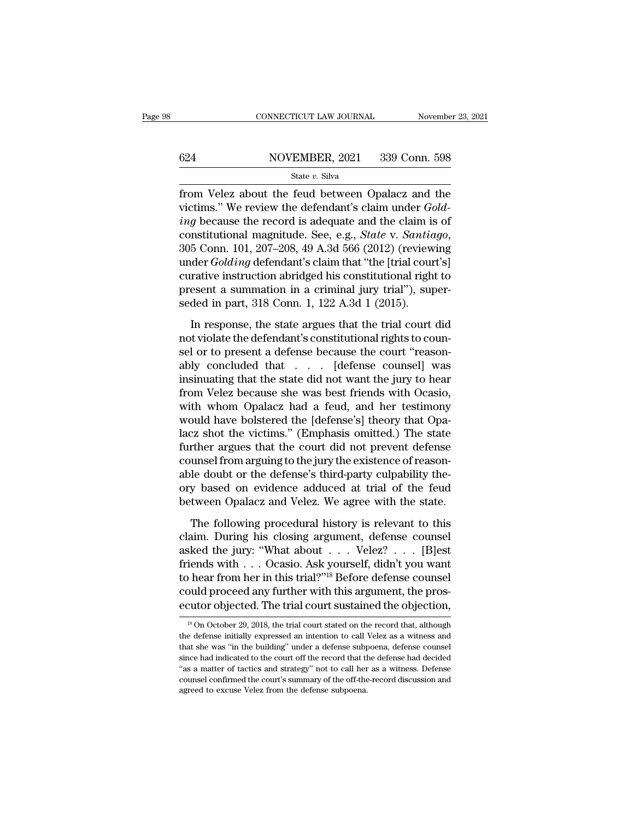# $\begin{tabular}{ll} \multicolumn{2}{l} \multicolumn{2}{l}{{\small\bf CONNECTICUT LAW JOURNAL}} & \multicolumn{2}{l}{\small\bf November~23, 2021} \\\\ 624 & \multicolumn{2}{l}{{\small\bf NOVEMBER, 2021}} & \multicolumn{2}{l}{{\small\bf 339 Conn.~598}} \\ & \multicolumn{2}{l}{\small\bf State~}v.~{\small\bf Silva} \end{tabular}$

### State *v.* Silva

FROM CONNECTICUT LAW JOURNAL Movember 23, 2021<br>
State v. Silva<br>
State v. Silva<br>
From Velez about the feud between Opalacz and the<br>
victims." We review the defendant's claim under *Gold*-<br>
sing because the record is adocua Victims.<sup>598</sup><br>
victims.<sup>''</sup> We review the defendant's claim under *Gold-*<br> *ing* because the record is adequate and the claim is of<br>
constitutional magnitude. See e.g. State v. Sentiage **ing because the record is adequate and the record is adequate and the claim is of constitutional magnitude. See, e.g.,** *State v. Santiago***,**  $205$  **Com,**  $101$ **,**  $207$ **,**  $208$ **,**  $40$ **,**  $A$ **,**  $34$ **,**  $566$ **,**  $(2012)$ **, (reviewing \sigma** 624 NOVEMBER, 2021 339 Conn. 598<br>  $\frac{\text{State } v. \text{ Silva}}{\text{from Velez about the feed between Opalacz and the  
\nvictims." We review the defendant's claim under *Gold-  
\ning* because the record is adequate and the claim is of  
\nconstitutional magnitude. See, e.g., *State v. Santiago*,  
\n305 Conn. 101, 207–208, 49 A.3d 566 (2012) (reviewing  
\nunder *Golding* defendant's claim that "the [trial court's]  
\ncurutive instruction phridged his contributional right to$ state *v*. stava<br>
from Velez about the feud between Opalacz and the<br>
victims." We review the defendant's claim under *Gold-*<br> *ing* because the record is adequate and the claim is of<br>
constitutional magnitude. See, e.g., from Velez about the feud between Opalacz and the<br>victims." We review the defendant's claim under  $Gold-$ <br>*ing* because the record is adequate and the claim is of<br>constitutional magnitude. See, e.g., *State* v. *Santiago*,<br>3 victims." We review the defendant's claim under  $Golding$  because the record is adequate and the claim is of constitutional magnitude. See, e.g., *State v. Santiago*, 305 Conn. 101, 207–208, 49 A.3d 566 (2012) (reviewing under ing because the record is adequate and the claim is<br>constitutional magnitude. See, e.g., *State v. Santio*<br>305 Conn. 101, 207–208, 49 A.3d 566 (2012) (review<br>under *Golding* defendant's claim that "the [trial cour<br>curative In response, the state argues that the trial court's consider Golding defendant's claim that "the [trial court's] rative instruction abridged his constitutional right to esent a summation in a criminal jury trial"), super ander *Golding* defendant's claim that "the [trial court's]<br>curative instruction abridged his constitutional right to<br>present a summation in a criminal jury trial"), super-<br>seded in part, 318 Conn. 1, 122 A.3d 1 (2015).<br>In

select a defendant of the constitutional right to<br>present a summation in a criminal jury trial"), super-<br>seded in part, 318 Conn. 1, 122 A.3d 1 (2015).<br>In response, the state argues that the trial court did<br>not violate the present a summation in a criminal jury trial"), super-<br>seded in part, 318 Conn. 1, 122 A.3d 1 (2015).<br>In response, the state argues that the trial court did<br>not violate the defendant's constitutional rights to coun-<br>sel o seded in part, 318 Conn. 1, 122 A.3d 1 (2015).<br>In response, the state argues that the trial court did<br>not violate the defendant's constitutional rights to coun-<br>sel or to present a defense because the court "reason-<br>ably In response, the state argues that the trial court did<br>not violate the defendant's constitutional rights to coun-<br>sel or to present a defense because the court "reason-<br>ably concluded that  $\ldots$ . [defense counsel] was<br>ins In response, the state argues that the trial court did<br>not violate the defendant's constitutional rights to coun-<br>sel or to present a defense because the court "reason-<br>ably concluded that  $\ldots$ . [defense counsel] was<br>ins not violate the defendant's constitutional rights to counsel or to present a defense because the court "reasonably concluded that . . . [defense counsel] was insinuating that the state did not want the jury to hear from Ve sel or to present a defense because the court "reason-<br>ably concluded that . . . . [defense counsel] was<br>insinuating that the state did not want the jury to hear<br>from Velez because she was best friends with Ocasio,<br>with wh ably concluded that . . . . [defense counsel] was<br>insinuating that the state did not want the jury to hear<br>from Velez because she was best friends with Ocasio,<br>with whom Opalacz had a feud, and her testimony<br>would have bol insinuating that the state did not want the jury to hear<br>from Velez because she was best friends with Ocasio,<br>with whom Opalacz had a feud, and her testimony<br>would have bolstered the [defense's] theory that Opa-<br>lacz shot from Velez because she was best friends with Ocasio,<br>with whom Opalacz had a feud, and her testimony<br>would have bolstered the [defense's] theory that Opa-<br>lacz shot the victims." (Emphasis omitted.) The state<br>further argue with whom Opalacz had a feud, and her testimony<br>would have bolstered the [defense's] theory that Opa-<br>lacz shot the victims." (Emphasis omitted.) The state<br>further argues that the court did not prevent defense<br>counsel from would have bolstered the [defense's] theory that Opalacz shot the victims." (Emphasis omitted.) The state further argues that the court did not prevent defense counsel from arguing to the jury the existence of reasonable d The following to the jury the existence of reason-<br>the following procedure is third-party culpability the-<br>y based on evidence adduced at trial of the feud<br>tween Opalacz and Velez. We agree with the state.<br>The following pr counsel from arguing to the jury the existence of reasonable doubt or the defense's third-party culpability theory based on evidence adduced at trial of the feud between Opalacz and Velez. We agree with the state.<br>The fol

able doubt or the defense's third-party culpability the-<br>ory based on evidence adduced at trial of the feud<br>between Opalacz and Velez. We agree with the state.<br>The following procedural history is relevant to this<br>claim. Du fractional of the definite start a party employed on evidence adduced at trial of the feud<br>between Opalacz and Velez. We agree with the state.<br>The following procedural history is relevant to this<br>claim. During his closing between Opalacz and Velez. We agree with the state.<br>The following procedural history is relevant to this claim. During his closing argument, defense counsel asked the jury: "What about  $\ldots$  Velez?  $\ldots$  [B]est friends wi The following procedural history is relevant to this<br>claim. During his closing argument, defense counsel<br>asked the jury: "What about . . . Velez? . . . [B]est<br>friends with . . . Ocasio. Ask yourself, didn't you want<br>to hea The following procedural history is relevant to this claim. During his closing argument, defense counsel asked the jury: "What about . . . Velez? . . . [B]est friends with . . . Ocasio. Ask yourself, didn't you want to he friends with . . . Ocasio. Ask yourself, didn't you want<br>to hear from her in this trial?"<sup>18</sup> Before defense counsel<br>could proceed any further with this argument, the pros-<br>ecutor objected. The trial court sustained the o to hear from her in this trial?"<sup>18</sup> Before defense counsel<br>could proceed any further with this argument, the pros-<br>ecutor objected. The trial court sustained the objection,<br> $\frac{18}{100}$  October 29, 2018, the trial court

could proceed any further with this argument, the prosecutor objected. The trial court sustained the objection,<br> $\frac{18}{100}$  October 29, 2018, the trial court stated on the record that, although<br>the defense initially expr show the court of the trial court sustained the objection,<br>
<sup>18</sup> On October 29, 2018, the trial court stated on the record that, although<br>
the defense initially expressed an intention to call Velez as a witness and<br>
that s <sup>18</sup> On October 29, 2018, the trial court sustainted the Objection,<br><sup>18</sup> On October 29, 2018, the trial court stated on the record that, although<br>the defense initially expressed an intention to call Velez as a witness and<br> <sup>18</sup> On October 29, 2018, the trial court stated on the record that, although the defense initially expressed an intention to call Velez as a witness and that she was "in the building" under a defense subpoena, defense co the defense initially expressed an intention to call Velez as a witness and that she was "in the building" under a defense subpoena, defense counsel since had indicated to the court off the record that the defense had deci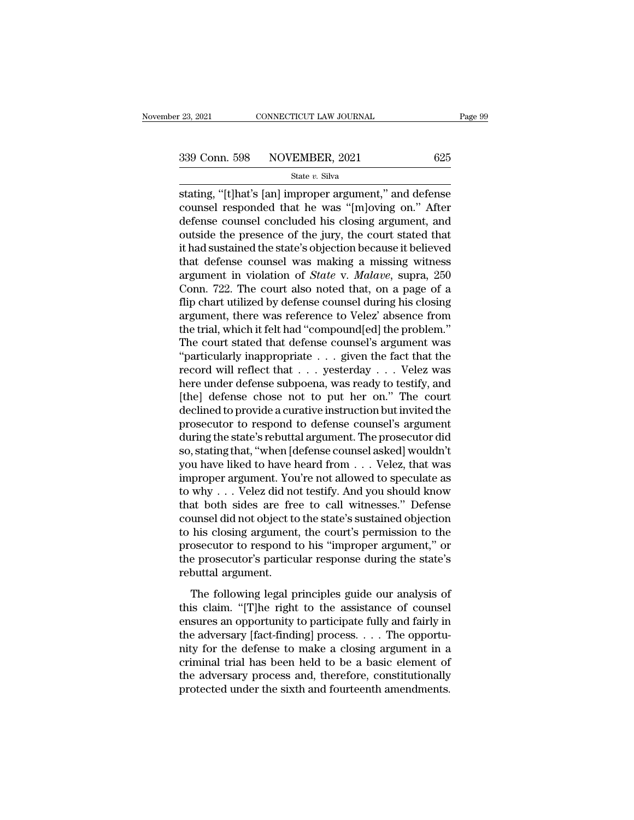stating, "[t]hat's [an] improper argument," and defense<br>
defense argument," and defense<br>
defense argument argument," and defense<br>
defense argument argument argument and<br>
defense argument and defense argument and 339 Conn. 598 NOVEMBER, 2021 625<br>
state v. Silva<br>
stating, "[t]hat's [an] improper argument," and defense<br>
counsel responded that he was "[m]oving on." After<br>
defense counsel concluded his closing argument, and<br>
outside t 339 Conn. 598 NOVEMBER, 2021 625<br>
State v. Silva<br>
Stating, "[t]hat's [an] improper argument," and defense<br>
counsel responded that he was "[m]oving on." After<br>
defense counsel concluded his closing argument, and<br>
outside t 339 Conn. 598 NOVEMBER, 2021 625<br>
state v. Silva<br>
stating, "[t]hat's [an] improper argument," and defense<br>
counsel responded that he was "[m]oving on." After<br>
defense counsel concluded his closing argument, and<br>
outside t State v. Silva<br>
stating, "[t]hat's [an] improper argument," and defense<br>
counsel responded that he was "[m]oving on." After<br>
defense counsel concluded his closing argument, and<br>
outside the presence of the jury, the court stating, "[t]hat's [an] improper argument," and defense<br>counsel responded that he was "[m]oving on." After<br>defense counsel concluded his closing argument, and<br>outside the presence of the jury, the court stated that<br>it had stating, "[t]hat's [an] improper argument," and defense<br>counsel responded that he was "[m]oving on." After<br>defense counsel concluded his closing argument, and<br>outside the presence of the jury, the court stated that<br>it had counsel responded that he was "[m]oving on." After<br>defense counsel concluded his closing argument, and<br>outside the presence of the jury, the court stated that<br>it had sustained the state's objection because it believed<br>that defense counsel concluded his closing argument, and<br>outside the presence of the jury, the court stated that<br>it had sustained the state's objection because it believed<br>that defense counsel was making a missing witness<br>argum outside the presence of the jury, the court stated that<br>it had sustained the state's objection because it believed<br>that defense counsel was making a missing witness<br>argument in violation of *State* v. *Malave*, supra, 250<br> it had sustained the state's objection because it believed<br>that defense counsel was making a missing witness<br>argument in violation of *State* v. *Malave*, supra, 250<br>Conn. 722. The court also noted that, on a page of a<br>fli that defense counsel was making a missing witness<br>argument in violation of *State* v. *Malave*, supra, 250<br>Conn. 722. The court also noted that, on a page of a<br>flip chart utilized by defense counsel during his closing<br>arg argument in violation of *State* v. *Malave*, supra, 250<br>Conn. 722. The court also noted that, on a page of a<br>flip chart utilized by defense counsel during his closing<br>argument, there was reference to Velez' absence from<br>t Conn. 722. The court also noted that, on a page of a<br>flip chart utilized by defense counsel during his closing<br>argument, there was reference to Velez' absence from<br>the trial, which it felt had "compound[ed] the problem."<br> flip chart utilized by defense counsel during his closing<br>argument, there was reference to Velez' absence from<br>the trial, which it felt had "compound[ed] the problem."<br>The court stated that defense counsel's argument was<br>" argument, there was reference to Velez' absence from<br>the trial, which it felt had "compound[ed] the problem."<br>The court stated that defense counsel's argument was<br>"particularly inappropriate . . . given the fact that the<br>r the trial, which it felt had "compound[ed] the problem."<br>The court stated that defense counsel's argument was<br>"particularly inappropriate . . . given the fact that the<br>record will reflect that . . . yesterday . . . Velez w The court stated that defense counsel's argument was<br>
"particularly inappropriate  $\ldots$  given the fact that the<br>
record will reflect that  $\ldots$  yesterday  $\ldots$ . Velez was<br>
here under defense subpoena, was ready to testify "particularly inappropriate  $\ldots$  given the fact that the record will reflect that  $\ldots$  yesterday  $\ldots$ . Velez was here under defense subpoena, was ready to testify, and [the] defense chose not to put her on." The court record will reflect that . . . yesterday . . . Velez was<br>here under defense subpoena, was ready to testify, and<br>[the] defense chose not to put her on." The court<br>declined to provide a curative instruction but invited the<br>p here under defense subpoena, was ready to testify, and<br>[the] defense chose not to put her on." The court<br>declined to provide a curative instruction but invited the<br>prosecutor to respond to defense counsel's argument<br>during [the] defense chose not to put her on." The court<br>declined to provide a curative instruction but invited the<br>prosecutor to respond to defense counsel's argument<br>during the state's rebuttal argument. The prosecutor did<br>so, declined to provide a curative instruction but invited the<br>prosecutor to respond to defense counsel's argument<br>during the state's rebuttal argument. The prosecutor did<br>so, stating that, "when [defense counsel asked] wouldn prosecutor to respond to defense counsel's argument<br>during the state's rebuttal argument. The prosecutor did<br>so, stating that, "when [defense counsel asked] wouldn't<br>you have liked to have heard from . . . Velez, that was<br> during the state's rebuttal argument. The prosecutor did<br>so, stating that, "when [defense counsel asked] wouldn't<br>you have liked to have heard from . . . Velez, that was<br>improper argument. You're not allowed to speculate a so, stating that, "when [defense counsel asked] wouldn't<br>you have liked to have heard from . . . Velez, that was<br>improper argument. You're not allowed to speculate as<br>to why . . . Velez did not testify. And you should know you have liked to have heard from . . . Velez, that was<br>improper argument. You're not allowed to speculate as<br>to why . . . Velez did not testify. And you should know<br>that both sides are free to call witnesses." Defense<br>cou improper argument. You're not allowed to speculate as<br>to why . . . Velez did not testify. And you should know<br>that both sides are free to call witnesses." Defense<br>counsel did not object to the state's sustained objection<br>t to why . . . Velez did not<br>that both sides are fre<br>counsel did not object to<br>to his closing argument<br>prosecutor to respond t<br>the prosecutor's particu<br>rebuttal argument.<br>The following legal p The following legal principles guide our analysis of<br>is closing argument, the court's permission to the<br>osecutor to respond to his "improper argument," or<br>e prosecutor's particular response during the state's<br>buttal argume to his closing argument, the court's permission to the<br>prosecutor to respond to his "improper argument," or<br>the prosecutor's particular response during the state's<br>rebuttal argument.<br>The following legal principles guide ou

ersures and the prosecutor to respond to his "improper argument," or<br>the prosecutor's particular response during the state's<br>rebuttal argument.<br>The following legal principles guide our analysis of<br>this claim. "[T]he right the prosecutor's particular response during the state's<br>rebuttal argument.<br>The following legal principles guide our analysis of<br>this claim. "[T]he right to the assistance of counsel<br>ensures an opportunity to participate fu note prosecutor *s* paracadar response during are state s<br>rebuttal argument.<br>The following legal principles guide our analysis of<br>this claim. "[T]he right to the assistance of counsel<br>ensures an opportunity to participate The following legal principles guide our analysis of<br>this claim. "[T]he right to the assistance of counsel<br>ensures an opportunity to participate fully and fairly in<br>the adversary [fact-finding] process. . . . The opportu-<br> The following legal principles guide our analysis of<br>this claim. "[T]he right to the assistance of counsel<br>ensures an opportunity to participate fully and fairly in<br>the adversary [fact-finding] process.... The opportu-<br>ni this claim. "[T]he right to the assistance of counsel ensures an opportunity to participate fully and fairly in the adversary [fact-finding] process.  $\dots$  The opportunity for the defense to make a closing argument in a cr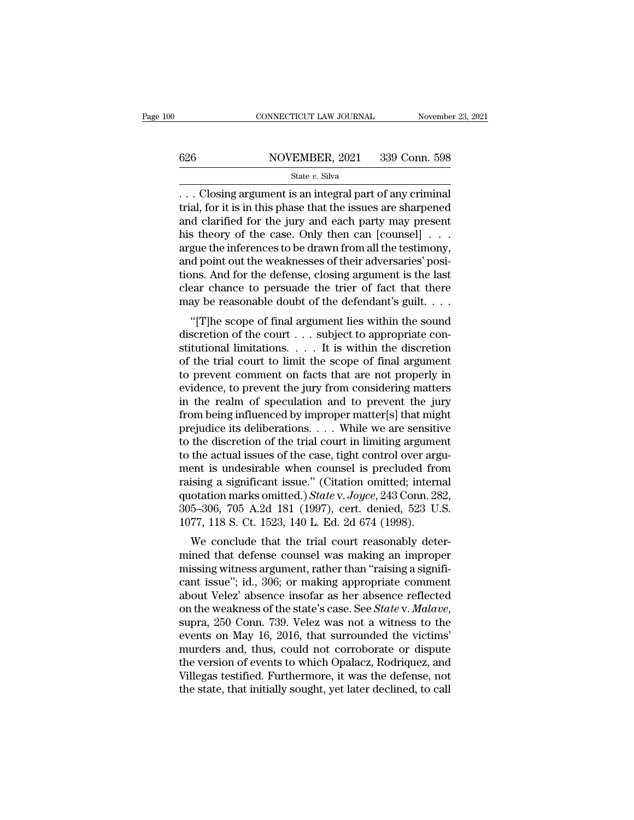# $\begin{tabular}{ll} \multicolumn{2}{l} \multicolumn{2}{l}{{\small\bf CONNECTICUT LAW JOURNAL}} & \multicolumn{2}{l}{\small\bf November 23, 2021} \\ \hline \hline \end{tabular}$

### State *v.* Silva

 $\begin{tabular}{ll} \multicolumn{2}{l}{{\small \textbf{CONRECTICUT LAW JOURNAL}}} & \multicolumn{2}{l}{\small \textbf{November 23, 20}}\\ \hline \multicolumn{2}{l}{\small \textbf{626}} & \multicolumn{2}{l}{\small \textbf{NOVEMBER, 2021}} & \multicolumn{2}{l}{\small \textbf{339 Conn. 598}}\\ & \multicolumn{2}{l}{\small \textbf{State $v$. Silva}}\\ \multicolumn{2}{l}{\small \textbf{State $v$. Silva}} & \multicolumn{2}{l}{\small \textbf{State $v$. Silva}}\\ & \multicolumn{2}{l}{\small \$ 626 NOVEMBER, 2021 339 Conn. 598<br>
State v. Silva<br>
... Closing argument is an integral part of any criminal<br>
trial, for it is in this phase that the issues are sharpened<br>
and clarified for the jury and each party may prese 626 NOVEMBER, 2021 339 Conn. 598<br>
State v. Silva<br>
... Closing argument is an integral part of any criminal<br>
trial, for it is in this phase that the issues are sharpened<br>
and clarified for the jury and each party may prese 626 NOVEMBER, 2021 339 Conn. 598<br>
State v. Silva<br>
... Closing argument is an integral part of any criminal<br>
trial, for it is in this phase that the issues are sharpened<br>
and clarified for the jury and each party may prese State v. Silva<br>
State v. Silva<br>
... Closing argument is an integral part of any criminal<br>
trial, for it is in this phase that the issues are sharpened<br>
and clarified for the jury and each party may present<br>
his theory of state v. Silva<br>
... Closing argument is an integral part of any criminal<br>
trial, for it is in this phase that the issues are sharpened<br>
and clarified for the jury and each party may present<br>
his theory of the case. Only t ... Closing argument is an integral part of any criminal<br>trial, for it is in this phase that the issues are sharpened<br>and clarified for the jury and each party may present<br>his theory of the case. Only then can [counsel] . trial, for it is in this phase that the issues are sharpened<br>and clarified for the jury and each party may present<br>his theory of the case. Only then can [counsel]  $\dots$ <br>argue the inferences to be drawn from all the testimo and clarified for the jury and each party may present<br>his theory of the case. Only then can [counsel]  $\ldots$ <br>argue the inferences to be drawn from all the testimony,<br>and point out the weaknesses of their adversaries' posis theory of the case. Only then call [Couliser] . . .<br>gue the inferences to be drawn from all the testimony,<br>d point out the weaknesses of their adversaries' posi-<br>poss. And for the defense, closing argument is the last<br>ea argue the interences to be trawn from an the test<br>intony, and point out the weaknesses of their adversaries' posi-<br>tions. And for the defense, closing argument is the last<br>clear chance to persuade the trier of fact that t

and point out the weaknesses of their adversaries posi-<br>tions. And for the defense, closing argument is the last<br>clear chance to persuade the trier of fact that there<br>may be reasonable doubt of the defendant's guilt....<br>" clear chance to persuade the trier of fact that there<br>may be reasonable doubt of the defendant's guilt....<br>"[T]he scope of final argument lies within the sound<br>discretion of the court ... subject to appropriate con-<br>stitu the proper comment of the defendant's guilt....<br>
"[T]he scope of final argument lies within the sound<br>
discretion of the court ... subject to appropriate con-<br>
stitutional limitations.... It is within the discretion<br>
of t flag be reasonable doubt of the detendant s guint....<br>"[T]he scope of final argument lies within the sound<br>discretion of the court ... subject to appropriate con-<br>stitutional limitations.... It is within the discretion<br>of "[T]he scope of final argument lies within the sound<br>discretion of the court . . . subject to appropriate con-<br>stitutional limitations. . . . It is within the discretion<br>of the trial court to limit the scope of final argu discretion of the court  $\dots$  subject to appropriate constitutional limitations.  $\dots$  It is within the discretion of the trial court to limit the scope of final argument to prevent comment on facts that are not properly in stitutional limitations. . . . It is within the discretion<br>of the trial court to limit the scope of final argument<br>to prevent comment on facts that are not properly in<br>evidence, to prevent the jury from considering matters of the trial court to limit the scope of final argument<br>to prevent comment on facts that are not properly in<br>evidence, to prevent the jury from considering matters<br>in the realm of speculation and to prevent the jury<br>from b to prevent comment on facts that are not properly in<br>evidence, to prevent the jury from considering matters<br>in the realm of speculation and to prevent the jury<br>from being influenced by improper matter[s] that might<br>prejudi evidence, to prevent the jury from considering matters<br>in the realm of speculation and to prevent the jury<br>from being influenced by improper matter[s] that might<br>prejudice its deliberations. . . . While we are sensitive<br>t in the realm of speculation and to prevent the jury<br>from being influenced by improper matter[s] that might<br>prejudice its deliberations.... While we are sensitive<br>to the discretion of the trial court in limiting argument<br>t from being influenced by improper matter[s] that might<br>prejudice its deliberations. . . . While we are sensitive<br>to the discretion of the trial court in limiting argument<br>to the actual issues of the case, tight control ov prejudice its deliberations. . . . While we are sensitive<br>to the discretion of the trial court in limiting argument<br>to the actual issues of the case, tight control over argu-<br>ment is undesirable when counsel is precluded f to the discretion of the trial court in limiting argume<br>to the actual issues of the case, tight control over arg<br>ment is undesirable when counsel is precluded fro<br>raising a significant issue." (Citation omitted; interr<br>qu the actual issues of the case, tight control over arguent<br>is undesirable when counsel is precluded from<br>ising a significant issue." (Citation omitted; internal<br>otation marks omitted.) *State* v. *Joyce*, 243 Conn. 282,<br>5–3 ment is undestable when counser is precluded from<br>raising a significant issue." (Citation omitted; internal<br>quotation marks omitted.) State v. Joyce, 243 Conn. 282,<br> $305-306$ , 705 A.2d 181 (1997), cert. denied, 523 U.S.<br>1

raising a significant issue. (Chaton onlitted, internation<br>quotation marks omitted.) State v. Joyce, 243 Conn. 282,<br>305–306, 705 A.2d 181 (1997), cert. denied, 523 U.S.<br>1077, 118 S. Ct. 1523, 140 L. Ed. 2d 674 (1998).<br>We c quotation makes omitted.) State v. Joyce, 245 Comit. 282,<br>305–306, 705 A.2d 181 (1997), cert. denied, 523 U.S.<br>1077, 118 S. Ct. 1523, 140 L. Ed. 2d 674 (1998).<br>We conclude that the trial court reasonably deter-<br>mined that 305–300, 705 A.2d 161 (1997), cert. defied, 325 0.5.<br>1077, 118 S. Ct. 1523, 140 L. Ed. 2d 674 (1998).<br>We conclude that the trial court reasonably deter-<br>mined that defense counsel was making an improper<br>missing witness ar Torr, 118 S. Ct. 1523, 140 L. Ed. 2d 074 (1898).<br>We conclude that the trial court reasonably deter-<br>mined that defense counsel was making an improper<br>missing witness argument, rather than "raising a signifi-<br>cant issue"; i mined that defense counsel was making an improper<br>missing witness argument, rather than "raising a signifi-<br>cant issue"; id., 306; or making appropriate comment<br>about Velez' absence insofar as her absence reflected<br>on the missing witness argument, rather than "raising a significant issue"; id., 306; or making appropriate comment<br>about Velez' absence insofar as her absence reflected<br>on the weakness of the state's case. See *State* v. *Malave* cant issue"; id., 306; or making appropriate comment<br>about Velez' absence insofar as her absence reflected<br>on the weakness of the state's case. See *State* v. *Malave*,<br>supra, 250 Conn. 739. Velez was not a witness to the<br> about Velez' absence insofar as her absence reflected<br>on the weakness of the state's case. See *State* v. *Malave*,<br>supra, 250 Conn. 739. Velez was not a witness to the<br>events on May 16, 2016, that surrounded the victims'<br> on the weakness of the state's case. See *State* v. *Malave*, supra, 250 Conn. 739. Velez was not a witness to the events on May 16, 2016, that surrounded the victims' murders and, thus, could not corroborate or dispute th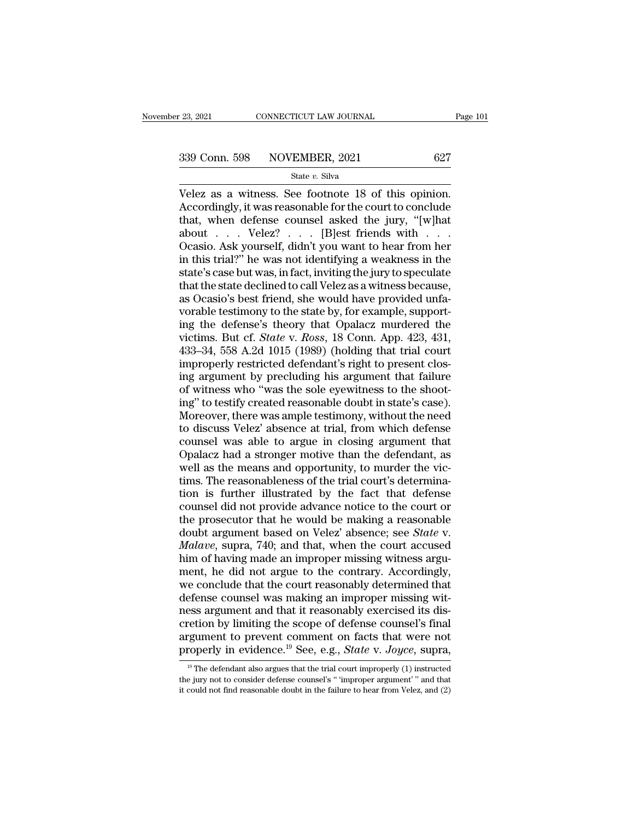$\begin{array}{r|l} \text{23, 2021} & \text{CONRECTICUT LAW JOURNAL} & \text{Page} \ \hline \text{339 Conn. } 598 & \text{NOVEMBER, 2021} & 627 \ \text{State } v. \text{ Silva} \ \hline \text{Velez as a witness. See footnote 18 of this opinion. Accordingly, it was reasonable for the court to conclude that when defines counds asked the jury. "[whart" \end{array}$ 339 Conn. 598 NOVEMBER, 2021 627<br>
State v. Silva<br>
Velez as a witness. See footnote 18 of this opinion.<br>
Accordingly, it was reasonable for the court to conclude<br>
that, when defense counsel asked the jury, "[w]hat<br>
about V 339 Conn. 598 NOVEMBER, 2021 627<br>
State v. Silva<br>
Velez as a witness. See footnote 18 of this opinion.<br>
Accordingly, it was reasonable for the court to conclude<br>
that, when defense counsel asked the jury, "[w]hat<br>
about . 339 Conn. 598 NOVEMBER, 2021 627<br>
State v. Silva<br>
Velez as a witness. See footnote 18 of this opinion.<br>
Accordingly, it was reasonable for the court to conclude<br>
that, when defense counsel asked the jury, "[w]hat<br>
about . Solution Solution State v. Silva<br>
State v. Silva<br>
Velez as a witness. See footnote 18 of this opinion.<br>
Accordingly, it was reasonable for the court to conclude<br>
that, when defense counsel asked the jury, "[w]hat<br>
about . State v. Silva<br>
Velez as a witness. See footnote 18 of this opinion.<br>
Accordingly, it was reasonable for the court to conclude<br>
that, when defense counsel asked the jury, "[w]hat<br>
about . . . Velez? . . . [B]est friends w Velez as a witness. See footnote 18 of this opinion.<br>Accordingly, it was reasonable for the court to conclude<br>that, when defense counsel asked the jury, "[w]hat<br>about . . . Velez? . . . [B]est friends with . . .<br>Ocasio. As Accordingly, it was reasonable for the court to conclude<br>that, when defense counsel asked the jury, "[w]hat<br>about . . . . Velez? . . . . [B]est friends with . . . .<br>Ocasio. Ask yourself, didn't you want to hear from her<br>i that, when defense counsel asked the jury, "[w]hat about . . . Velez? . . . [B]est friends with . . . Ocasio. Ask yourself, didn't you want to hear from her in this trial?" he was not identifying a weakness in the state's about . . . . Velez? . . . [B]est friends with . . . . Ocasio. Ask yourself, didn't you want to hear from her in this trial?" he was not identifying a weakness in the state's case but was, in fact, inviting the jury to sp Ocasio. Ask yourself, didn't you want to hear from her<br>in this trial?" he was not identifying a weakness in the<br>state's case but was, in fact, inviting the jury to speculate<br>that the state declined to call Velez as a witne in this trial?" he was not identifying a weakness in the state's case but was, in fact, inviting the jury to speculate that the state declined to call Velez as a witness because, as Ocasio's best friend, she would have pro state's case but was, in fact, inviting the jury to speculate<br>that the state declined to call Velez as a witness because,<br>as Ocasio's best friend, she would have provided unfa-<br>vorable testimony to the state by, for exampl that the state declined to call Velez as a witness because,<br>as Ocasio's best friend, she would have provided unfa-<br>vorable testimony to the state by, for example, support-<br>ing the defense's theory that Opalacz murdered the as Ocasio's best friend, she would have provided unfa-<br>vorable testimony to the state by, for example, support-<br>ing the defense's theory that Opalacz murdered the<br>victims. But cf. *State* v. *Ross*, 18 Conn. App. 423, 431, vorable testimony to the state by, for example, supporting the defense's theory that Opalacz murdered the victims. But cf. *State* v. *Ross*, 18 Conn. App. 423, 431, 433–34, 558 A.2d 1015 (1989) (holding that trial court i ing the defense's theory that Opalacz murdered the<br>victims. But cf. *State* v. *Ross*, 18 Conn. App. 423, 431,<br>433–34, 558 A.2d 1015 (1989) (holding that trial court<br>improperly restricted defendant's right to present closvictims. But cf. *State* v. *Ross*, 18 Conn. App. 423, 431, 433–34, 558 A.2d 1015 (1989) (holding that trial court<br>improperly restricted defendant's right to present closing argument by precluding his argument that failure 433–34, 558 A.2d 1015 (1989) (holding that trial court<br>improperly restricted defendant's right to present clos-<br>ing argument by precluding his argument that failure<br>of witness who "was the sole eyewitness to the shoot-<br>ing improperly restricted defendant's right to present closing argument by precluding his argument that failure<br>of witness who "was the sole eyewitness to the shoot-<br>ing" to testify created reasonable doubt in state's case).<br>M ing argument by precluding his argument that failure<br>of witness who "was the sole eyewitness to the shoot-<br>ing" to testify created reasonable doubt in state's case).<br>Moreover, there was ample testimony, without the need<br>to of witness who "was the sole eyewitness to the shooting" to testify created reasonable doubt in state's case).<br>Moreover, there was ample testimony, without the need to discuss Velez' absence at trial, from which defense co ing" to testify created reasonable doubt in state's case).<br>Moreover, there was ample testimony, without the need<br>to discuss Velez' absence at trial, from which defense<br>counsel was able to argue in closing argument that<br>Opa Moreover, there was ample testimony, without the need<br>to discuss Velez' absence at trial, from which defense<br>counsel was able to argue in closing argument that<br>Opalacz had a stronger motive than the defendant, as<br>well as t to discuss Velez' absence at trial, from which defense<br>counsel was able to argue in closing argument that<br>Opalacz had a stronger motive than the defendant, as<br>well as the means and opportunity, to murder the vic-<br>tims. The counsel was able to argue in closing argument that<br>Opalacz had a stronger motive than the defendant, as<br>well as the means and opportunity, to murder the vic-<br>tims. The reasonableness of the trial court's determina-<br>tion is Opalacz had a stronger motive than the defendant, as<br>well as the means and opportunity, to murder the vic-<br>tims. The reasonableness of the trial court's determina-<br>tion is further illustrated by the fact that defense<br>couns well as the means and opportunity, to murder the victims. The reasonableness of the trial court's determination is further illustrated by the fact that defense counsel did not provide advance notice to the court or the pro tims. The reasonableness of the trial court's determination is further illustrated by the fact that defense counsel did not provide advance notice to the court or the prosecutor that he would be making a reasonable doubt a tion is further illustrated by the fact that defense<br>counsel did not provide advance notice to the court or<br>the prosecutor that he would be making a reasonable<br>doubt argument based on Velez' absence; see *State* v.<br>*Malave* counsel did not provide advance notice to the court or<br>the prosecutor that he would be making a reasonable<br>doubt argument based on Velez' absence; see *State* v.<br>*Malave*, supra, 740; and that, when the court accused<br>him o the prosecutor that he would be making a reasonable<br>doubt argument based on Velez' absence; see *State* v.<br>*Malave*, supra, 740; and that, when the court accused<br>him of having made an improper missing witness argu-<br>ment, h doubt argument based on Velez' absence; see *State* v.<br> *Malave*, supra, 740; and that, when the court accused<br>
him of having made an improper missing witness argument, he did not argue to the contrary. Accordingly,<br>
we co *Malave*, supra, 740; and that, when the court accused<br>him of having made an improper missing witness argu-<br>ment, he did not argue to the contrary. Accordingly,<br>we conclude that the court reasonably determined that<br>defens him of having made an improper missing witness argument, he did not argue to the contrary. Accordingly, we conclude that the court reasonably determined that defense counsel was making an improper missing witness argument ment, he did not argue to the contrary. Accordingly,<br>we conclude that the court reasonably determined that<br>defense counsel was making an improper missing wit-<br>ness argument and that it reasonably exercised its dis-<br>cretion ess argument and that it reasonably exercised its dis-<br>retion by limiting the scope of defense counsel's final<br>regument to prevent comment on facts that were not<br>roperly in evidence.<sup>19</sup> See, e.g., *State v. Joyce*, supra, cretion by limiting the scope of defense counsel's final<br>argument to prevent comment on facts that were not<br>properly in evidence.<sup>19</sup> See, e.g., *State* v. *Joyce*, supra,<br><sup>19</sup> The defendant also argues that the trial cou argument to prevent comment on facts that were not<br>properly in evidence.<sup>19</sup> See, e.g., *State* v. *Joyce*, supra,<br><sup>19</sup> The defendant also argues that the trial court improperly (1) instructed<br>the jury not to consider def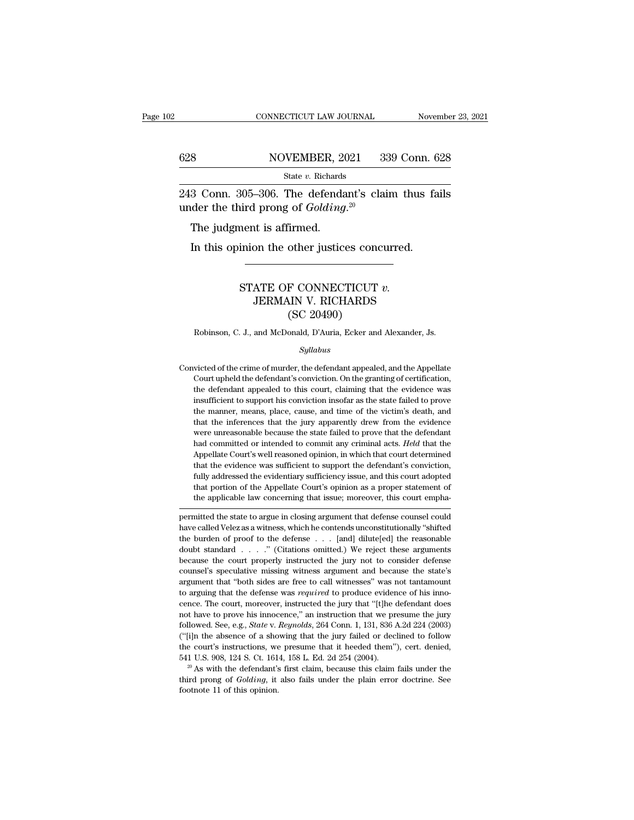### CONNECTICUT LAW JOURNAL November 23, 2021<br>628 NOVEMBER, 2021 339 Conn. 628<br>State v. Richards State *v.* Richards

CONNECTICUT LAW JOURNAL November 23, 2021<br>
243 Conn. 305–306. The defendant's claim thus fails<br>
243 Conn. 305–306. The defendant's claim thus fails<br>
244 Conn. 305–306. The defendant's claim thus fails 628 NOVEMBER, 2021 3<br>
State *v*. Richards<br>
243 Conn. 305–306. The defendant's clare<br>
under the third prong of *Golding*.<sup>20</sup><br>
The judgment is affirmed.  $\begin{array}{ll} \hline & \text{NOVEMBER, 20} \\ & \\ \hline \text{State } v. \text{ Richards} \\ \hline 3 \text{ Conn. } 305\text{--}306. \text{ The defined} \\ \hline \text{dder the third prong of } Golding \\ \hline \text{The judgment is affirmed.} \\ \hline \text{In this opinion the other justice} \end{array}$ State v. Richards<br>
State v. Richards<br>
3 Conn. 305–306. The defendant's claim thus faider the third prong of *Golding*.<sup>20</sup><br>
The judgment is affirmed.<br>
In this opinion the other justices concurred.

### Firmed.<br>
STATE OF CONNECTICUT *v.*<br>
STATE OF CONNECTICUT *v.*<br>
STATE OF CONNECTICUT *v.*<br>
SERMAIN V. RICHARDS % at is affirmed.<br>
Duality of the pustices concurred.<br>
ATE OF CONNECTICUT v.<br>
JERMAIN V. RICHARDS<br>
(SC 20490) other justices concernation<br>F CONNECTICUT<br>MIN V. RICHARDS<br>(SC 20490)<br>onald, D'Auria, Ecker and STATE OF CONNECTICUT  $v$ .<br>JERMAIN V. RICHARDS<br>(SC 20490)<br>Robinson, C. J., and McDonald, D'Auria, Ecker and Alexander, Js.<br>Sullabus

### *Syllabus*

 $\left( \text{SC } 20490 \right)$ <br>Robinson, C. J., and McDonald, D'Auria, Ecker and Alexander, Js.<br> $\frac{Syllabus}{Syllabus}$ <br>Convicted of the crime of murder, the defendant appealed, and the Appellate<br>Court upheld the defendant's conviction. On th Robinson, C. J., and McDonald, D'Auria, Ecker and Alexander, Js.<br>  $Syllabus$ <br>
victed of the crime of murder, the defendant appealed, and the Appellate<br>
Court upheld the defendant's conviction. On the granting of certification, Robinson, C. J., and McDonald, D'Auria, Ecker and Alexander, Js.<br>
Syllabus<br>
victed of the crime of murder, the defendant appealed, and the Appellate<br>
Court upheld the defendant's conviction. On the granting of certificatio *Syllabus*<br>*Syllabus*<br>victed of the crime of murder, the defendant appealed, and the Appellate<br>Court upheld the defendant's conviction. On the granting of certification,<br>the defendant appealed to this court, claiming that *Syllabus*<br>victed of the crime of murder, the defendant appealed, and the Appellate<br>Court upheld the defendant's conviction. On the granting of certification,<br>the defendant appealed to this court, claiming that the evidenc victed of the crime of murder, the defendant appealed, and the Appellate<br>Court upheld the defendant's conviction. On the granting of certification,<br>the defendant appealed to this court, claiming that the evidence was<br>insuf Court upheld the defendant's conviction. On the granting of certification, the defendant appealed to this court, claiming that the evidence was insufficient to support his conviction insofar as the state failed to prove t the defendant appealed to this court, claiming that the evidence was insufficient to support his conviction insofar as the state failed to prove the manner, means, place, cause, and time of the victim's death, and that the insufficient to support his conviction insofar as the state failed to prove<br>the manner, means, place, cause, and time of the victim's death, and<br>that the inferences that the jury apparently drew from the evidence<br>were unre the manner, means, place, cause, and time of the victim's death, and that the inferences that the jury apparently drew from the evidence were unreasonable because the state failed to prove that the defendant had committed that the inferences that the jury apparently drew from the evidence were unreasonable because the state failed to prove that the defendant had committed or intended to commit any criminal acts. *Held* that the Appellate Co were unreasonable because the state failed to prove that the defendant<br>had committed or intended to commit any criminal acts. *Held* that the<br>Appellate Court's well reasoned opinion, in which that court determined<br>that the the applicable do resolution in the applicable law committed or intended to commit any criminal acts. Held that the Appellate Court's well reasoned opinion, in which that court determined that the evidence was sufficient t Appenate Court's wen reasoned opmon, in which that court determined<br>that the evidence was sufficient to support the defendant's conviction,<br>fully addressed the evidentiary sufficiency issue, and this court adopted<br>that por have called Velez as a witness, which he contends unconstitutionally addressed the evidentiary sufficiency issue, and this court adopted that portion of the Appellate Court's opinion as a proper statement of the applicable

that portion of the Appellate Court's opinion as a proper statement of<br>the applicable law concerning that issue; moreover, this court empha-<br>permitted the state to argue in closing argument that defense counsel could<br>have doubt standard . . . .'' (Citations omitted.) We reject these arguments because the court properly instructed the jury not to consider the state's specified the burden of proof to the defense . . . [and] dilute[ed] the reasonable doubt standard . . . . " (Citations omitted.) We reject these ar permitted the state to argue in closing argument that defense counsel could<br>have called Velez as a witness, which he contends unconstitutionally "shifted<br>the burden of proof to the defense . . . [and] dilute[ed] the reason have called Velez as a witness, which he contends unconstitutionally "shifted the burden of proof to the defense  $\ldots$  [and] dilute[ed] the reasonable doubt standard  $\ldots$  ... " (Citations omitted.) We reject these argume the burden of proof to the defense was *required* of the reasonable doubt standard was *required* to an *i* (Citations omitted.) We reject these arguments because the court properly instructed the jury not to consider defe doubt standard . . . . . " (Citations omitted.) We reject these arguments because the court properly instructed the jury not to consider defense counsel's speculative missing witness argument and because the state's argume because the court properly instructed the jury not to consider defense counsel's speculative missing witness argument and because the state's argument that "both sides are free to call witnesses" was not tantamount to argu counsel's speculative missing witness argument and because the state's argument that "both sides are free to call witnesses" was not tantamount to arguing that the defense was *required* to produce evidence of his innocenc exame where the absence of a showing with the set are two control of a showing that the defense was *required* to produce evidence of his innocence. The court, moreover, instructed the jury that "[t]he defendant does not h to arguing that the defense was *required* to produce evidence of his innocence. The court, moreover, instructed the jury that "[t]he defendant does not have to prove his innocence," an instruction that we presume the jur From the court, moreover, instructed the jury that "[t]he defendant does not have to prove his innocence," an instruction that we presume the jury followed. See, e.g., *State v. Reynolds*, 264 Conn. 1, 131, 836 A.2d 224 ( followed. See, e.g., *State* v. *Reynolds*, 264 Conn. 1, 131, 836 A.2d 224 (2003) ("[i]n the absence of a showing that the jury failed or declined to follow the court's instructions, we presume that it heeded them"), cert. ("[i]n the absence of a showing that the jury failed or declined to follow the court's instructions, we presume that it heeded them"), cert. denied, 541 U.S. 908, 124 S. Ct. 1614, 158 L. Ed. 2d 254 (2004).<br><sup>20</sup> As with th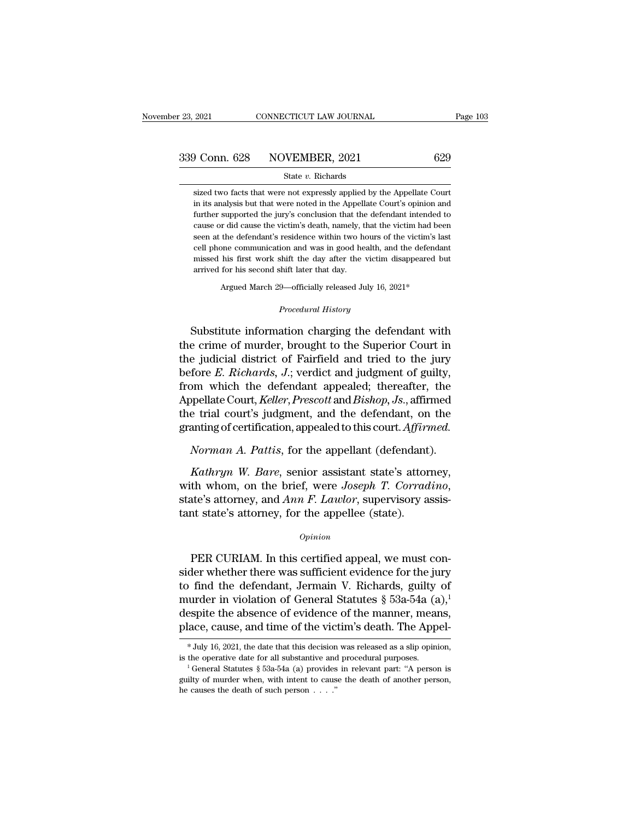### State *v.* Richards

of Conn. 628 NOVEMBER, 2021 629<br>State v. Richards<br>Sized two facts that were not expressly applied by the Appellate Court<br>in its analysis but that were noted in the Appellate Court's opinion and **in its analysis but that were not expressly applied by the Appellate Court**<br>sized two facts that were not expressly applied by the Appellate Court<br>in its analysis but that were noted in the Appellate Court's opinion and<br> Further supported the jury's conclusion that the defendant intended to cause or did cause the victim's death, namely, that the victim had been  $\frac{1}{2}$  conclusion that the defendant intended to cause or did cause the vic State  $v$ . Richards<br>sized two facts that were not expressly applied by the Appellate Court<br>in its analysis but that were noted in the Appellate Court's opinion and<br>further supported the jury's conclusion that the defendan State  $v$ . Richards<br>sized two facts that were not expressly applied by the Appellate Court<br>in its analysis but that were noted in the Appellate Court's opinion and<br>further supported the jury's conclusion that the defendan sized two facts that were not expressly applied by the Appellate Court<br>in its analysis but that were noted in the Appellate Court's opinion and<br>further supported the jury's conclusion that the defendant intended to<br>cause o in its analysis but that were noted in the Appellate Court's opinion and further supported the jury's conclusion that the defendant intended to cause or did cause the victim's death, namely, that the victim had been seen a in its analysis but that were noted in the Appellate Court's opinion and further supported the jury's conclusion that the defendant intended to cause or did cause the victim's death, namely, that the victim had been seen a % seen at the defendant's residence within two hours of the victim's last cell phone communication and was in good health, and the defendant missed his first work shift the day after the victim disappeared but arrived for

Argued March 29—officially released July 16, 2021\*<br>*Procedural History*<br>Substitute information charging the defendant with cell phone communication and was in good health, and the defendant<br>missed his first work shift the day after the victim disappeared but<br>arrived for his second shift later that day.<br>Argued March 29—officially released July the crime of murder, brought to the Superior Court in the judicial district of Fairfield and tried to the jury<br>before *F Pickarda Liverior* Court in the crime of murder, brought to the Superior Court in the judicial dist Argued March 29—officially released July 16, 2021\*<br>
Procedural History<br>
Substitute information charging the defendant with<br>
the crime of murder, brought to the Superior Court in<br>
the judicial district of Fairfield and trie *Frocedural History*<br>*Procedural History*<br>*Procedural History*<br>**E. Richards, J.; verdict and independent of guilty,<br>from which the defendant appealed; thereafter, the<br>Appellate Court Kelley Presentt and Pickers Leafter and** Frocedural History<br>Substitute information charging the defendant with<br>the crime of murder, brought to the Superior Court in<br>the judicial district of Fairfield and tried to the jury<br>before E. Richards, J.; verdict and judgm Substitute information charging the defendant with<br>the crime of murder, brought to the Superior Court in<br>the judicial district of Fairfield and tried to the jury<br>before *E. Richards*, *J*.; verdict and judgment of guilty,<br> Substitute information charging the defendant with<br>the crime of murder, brought to the Superior Court in<br>the judicial district of Fairfield and tried to the jury<br>before E. Richards, J.; verdict and judgment of guilty,<br>from the crime of murder, brought to the Superior Court in<br>the judicial district of Fairfield and tried to the jury<br>before *E. Richards*, *J*.; verdict and judgment of guilty,<br>from which the defendant appealed; thereafter, the<br> *The judicial district of Fairfield and tried to the jury before <i>E. Richards*, *J.*; verdict and judgment of guilty, from which the defendant appealed; thereafter, the Appellate Court, *Keller*, *Prescott* and *Bishop*, *Kathryn W. Bare, Frescott and Bishop, Js., affirmed*<br>*Katharyn M. Keller, Prescott and Bishop, Js., affirmed*<br>*Korman A. Pattis, for the appellant (defendant).*<br>*Kathryn W. Bare, senior assistant state's attorney, th whom* 

Appenate Court, *Reuer*, *Prescott* and *Bishop*, Js., anirmed<br>the trial court's judgment, and the defendant, on the<br>granting of certification, appealed to this court. Affirmed.<br>Norman A. Pattis, for the appellant (defenda granting or certification, appeared to this court. Affirm<br>Norman A. Pattis, for the appellant (defendant<br>Kathryn W. Bare, senior assistant state's attor<br>with whom, on the brief, were Joseph T. Corrad<br>state's attorney, and Nutter  $y_h$  w. Bure, senior assistant state's attorney,<br>th whom, on the brief, were *Joseph T. Corradino*,<br>ate's attorney, and  $Ann F. Lawlor$ , supervisory assis-<br>to state's attorney, for the appellee (state).<br> $opinion$ <br>PER CURIAM. In

### *Opinion*

whit whom, on the brief, were *boseph* 1. Corriatino,<br>state's attorney, and *Ann F. Lawlor*, supervisory assis-<br>tant state's attorney, for the appellee (state).<br> $opinion$ <br>PER CURIAM. In this certified appeal, we must con-<br>side state's attorney, and *ARR P*. *Lattory*, supervisory assistant state's attorney, for the appellee (state).<br>  $\frac{opinion}{}$ <br>
PER CURIAM. In this certified appeal, we must consider whether there was sufficient evidence for the opinion<br>
opinion<br>
Dependence (state).<br>
Opinion<br>
PER CURIAM. In this certified appeal, we must consider whether there was sufficient evidence for the jury<br>
to find the defendant, Jermain V. Richards, guilty of<br>
murder in v  $o$ <sup>*opinion*<br>
PER CURIAM. In this certified appeal, we must consider whether there was sufficient evidence for the jury<br>
to find the defendant, Jermain V. Richards, guilty of<br>
murder in violation of General Statutes § 53</sup> PER CURIAM. In this certified appeal, we must consider whether there was sufficient evidence for the jury to find the defendant, Jermain V. Richards, guilty of murder in violation of General Statutes  $\S$  53a-54a  $(a)$ ,<sup>1</sup> murder in violation of General Statutes § 53a-54a (a),<sup>1</sup><br>despite the absence of evidence of the manner, means,<br>place, cause, and time of the victim's death. The Appel-<br>\*July 16, 2021, the date that this decision was rele

is the operative date for all substantive and procedural purposes.

despite the absence of evidence of the manner, means, place, cause, and time of the victim's death. The Appel-<br>\*July 16, 2021, the date that this decision was released as a slip opinion, is the operative date for all subs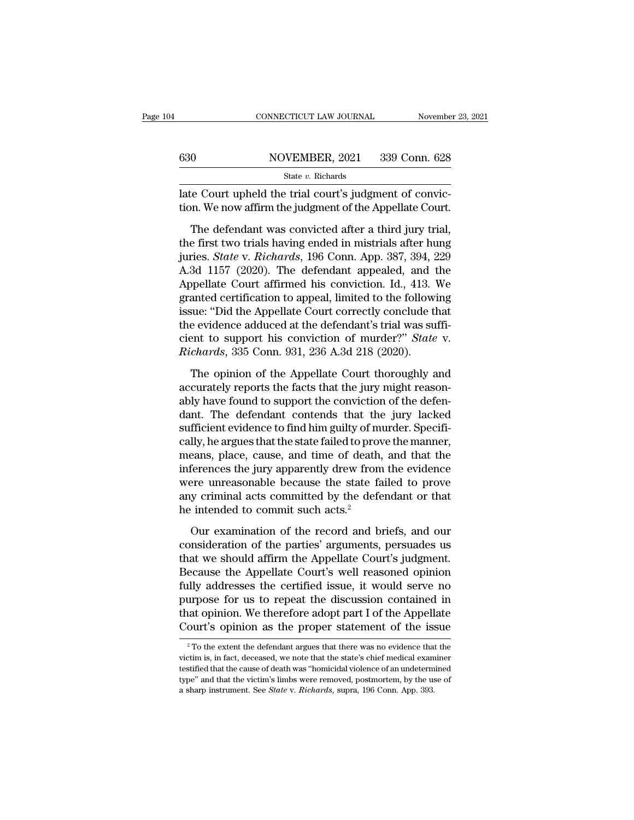|     | CONNECTICUT LAW JOURNAL                                                                                                                                                                                                                                                                                                                                                                                                                   | November 23, 2021 |
|-----|-------------------------------------------------------------------------------------------------------------------------------------------------------------------------------------------------------------------------------------------------------------------------------------------------------------------------------------------------------------------------------------------------------------------------------------------|-------------------|
|     |                                                                                                                                                                                                                                                                                                                                                                                                                                           |                   |
| 630 | NOVEMBER, 2021                                                                                                                                                                                                                                                                                                                                                                                                                            | 339 Conn. 628     |
|     | State $v$ . Richards                                                                                                                                                                                                                                                                                                                                                                                                                      |                   |
|     | late Court upheld the trial court's judgment of convic-<br>tion. We now affirm the judgment of the Appellate Court.                                                                                                                                                                                                                                                                                                                       |                   |
|     | The defendant was convicted after a third jury trial,<br>the first two trials having ended in mistrials after hung<br>$\frac{1}{2}$ $\frac{1}{2}$ $\frac{1}{2}$ $\frac{1}{2}$ $\frac{1}{2}$ $\frac{1}{2}$ $\frac{1}{2}$ $\frac{1}{2}$ $\frac{1}{2}$ $\frac{1}{2}$ $\frac{1}{2}$ $\frac{1}{2}$ $\frac{1}{2}$ $\frac{1}{2}$ $\frac{1}{2}$ $\frac{1}{2}$ $\frac{1}{2}$ $\frac{1}{2}$ $\frac{1}{2}$ $\frac{1}{2}$ $\frac{1}{2}$ $\frac{1}{2}$ |                   |

530 NOVEMBER, 2021 339 Conn. 628<br>
State v. Richards<br>
late Court upheld the trial court's judgment of conviction.<br>
We now affirm the judgment of the Appellate Court.<br>
The defendant was convicted after a third jury trial,<br> State v. Richards<br>
late Court upheld the trial court's judgment of conviction. We now affirm the judgment of the Appellate Court.<br>
The defendant was convicted after a third jury trial,<br>
the first two trials having ended in late Court upheld the trial court's judgment of conviction. We now affirm the judgment of the Appellate Court.<br>The defendant was convicted after a third jury trial,<br>the first two trials having ended in mistrials after hung The defendant was convicted after a third jury trial,<br>The defendant was convicted after a third jury trial,<br>the first two trials having ended in mistrials after hung<br>juries. *State* v. *Richards*, 196 Conn. App. 387, 394, The defendant was convicted after a third jury trial,<br>the first two trials having ended in mistrials after hung<br>juries. *State* v. *Richards*, 196 Conn. App. 387, 394, 229<br>A.3d 1157 (2020). The defendant appealed, and the<br> The defendant was convicted after a third jury trial,<br>the first two trials having ended in mistrials after hung<br>juries. *State* v. *Richards*, 196 Conn. App. 387, 394, 229<br>A.3d 1157 (2020). The defendant appealed, and the<br> the first two trials having ended in mistrials after hung<br>juries. *State* v. *Richards*, 196 Conn. App. 387, 394, 229<br>A.3d 1157 (2020). The defendant appealed, and the<br>Appellate Court affirmed his conviction. Id., 413. We juries. *State* v. *Richards*, 196 Conn. App. 387, 394, 229<br>A.3d 1157 (2020). The defendant appealed, and the<br>Appellate Court affirmed his conviction. Id., 413. We<br>granted certification to appeal, limited to the following<br> A.3d 1157 (2020). The defendant appealed, and 1<br>Appellate Court affirmed his conviction. Id., 413. *S*<br>granted certification to appeal, limited to the followissue: "Did the Appellate Court correctly conclude the<br>the eviden anted certification to appeal, limited to the following<br>sue: "Did the Appellate Court correctly conclude that<br>e evidence adduced at the defendant's trial was suffi-<br>ent to support his conviction of murder?" *State* v.<br>*cha* grame: "Did the Appellate Court correctly conclude that<br>the evidence adduced at the defendant's trial was suffi-<br>cient to support his conviction of murder?" State v.<br>Richards, 335 Conn. 931, 236 A.3d 218 (2020).<br>The opinio

able evidence adduced at the defendant's trial was suffi-<br>cient to support his conviction of murder?" *State* v.<br>*Richards*, 335 Conn. 931, 236 A.3d 218 (2020).<br>The opinion of the Appellate Court thoroughly and<br>accurately dant to support his conviction of murder?" *State* v.<br> *Richards*, 335 Conn. 931, 236 A.3d 218 (2020).<br>
The opinion of the Appellate Court thoroughly and<br>
accurately reports the facts that the jury might reason-<br>
ably have Fichards, 335 Conn. 931, 236 A.3d 218 (2020).<br>The opinion of the Appellate Court thoroughly and<br>accurately reports the facts that the jury might reason-<br>ably have found to support the conviction of the defen-<br>dant. The def The opinion of the Appellate Court thoroughly and<br>accurately reports the facts that the jury might reason-<br>ably have found to support the conviction of the defen-<br>dant. The defendant contends that the jury lacked<br>sufficien The opinion of the Appellate Court thoroughly and<br>accurately reports the facts that the jury might reason-<br>ably have found to support the conviction of the defen-<br>dant. The defendant contends that the jury lacked<br>sufficien accurately reports the facts that the jury might reasonably have found to support the conviction of the defendant. The defendant contends that the jury lacked sufficient evidence to find him guilty of murder. Specifically, ably have found to support the conviction of the defen-<br>dant. The defendant contends that the jury lacked<br>sufficient evidence to find him guilty of murder. Specifi-<br>cally, he argues that the state failed to prove the manne dant. The defendant contends that the jury lacked<br>sufficient evidence to find him guilty of murder. Specifi-<br>cally, he argues that the state failed to prove the manner,<br>means, place, cause, and time of death, and that the<br> sufficient evidence to find him guilty of m<br>cally, he argues that the state failed to prov<br>means, place, cause, and time of death<br>inferences the jury apparently drew from<br>were unreasonable because the state fa<br>any criminal Examples and time of death, and that the<br>eans, place, cause, and time of death, and that the<br>ferences the jury apparently drew from the evidence<br>ere unreasonable because the state failed to prove<br>y criminal acts committed consideration of the parties' arguments, and wide the state failed to prove<br>any criminal acts committed by the defendant or that<br>the intended to commit such acts.<sup>2</sup><br>Our examination of the record and briefs, and our<br>consid

meromost and yary appearancy are when and existence<br>were unreasonable because the state failed to prove<br>any criminal acts committed by the defendant or that<br>he intended to commit such acts.<sup>2</sup><br>Our examination of the pecord From any criminal acts committed by the defendant or that<br>he intended to commit such acts.<sup>2</sup><br>Our examination of the record and briefs, and our<br>consideration of the parties' arguments, persuades us<br>that we should affirm th fully addresses the commit such acts.<sup>2</sup><br>Our examination of the record and briefs, and our<br>consideration of the parties' arguments, persuades us<br>that we should affirm the Appellate Court's judgment.<br>Because the Appellate C For examination of the record and briefs, and our<br>consideration of the parties' arguments, persuades us<br>that we should affirm the Appellate Court's judgment.<br>Because the Appellate Court's well reasoned opinion<br>fully addres Our examination of the record and briefs, and our<br>consideration of the parties' arguments, persuades us<br>that we should affirm the Appellate Court's judgment.<br>Because the Appellate Court's well reasoned opinion<br>fully addres consideration of the parties' arguments, persuades us<br>that we should affirm the Appellate Court's judgment.<br>Because the Appellate Court's well reasoned opinion<br>fully addresses the certified issue, it would serve no<br>purpos fully addresses the certified issue, it would serve no purpose for us to repeat the discussion contained in that opinion. We therefore adopt part I of the Appellate Court's opinion as the proper statement of the issue  $\frac$ purpose for us to repeat the discussion contained in<br>that opinion. We therefore adopt part I of the Appellate<br>Court's opinion as the proper statement of the issue<br> $\frac{1}{2}$ To the extent the defendant argues that there was

that opinion. We therefore adopt part I of the Appellate Court's opinion as the proper statement of the issue  $\frac{1}{10}$   $\frac{1}{10}$  the extent the defendant argues that there was no evidence that the victim is, in fact, d Court's opinion as the proper statement of the issue<br>
<sup>2</sup> To the extent the defendant argues that there was no evidence that the victim is, in fact, deceased, we note that the state's chief medical examiner testified that <sup>2</sup> To the extent the defendant argues that there was no evidence that the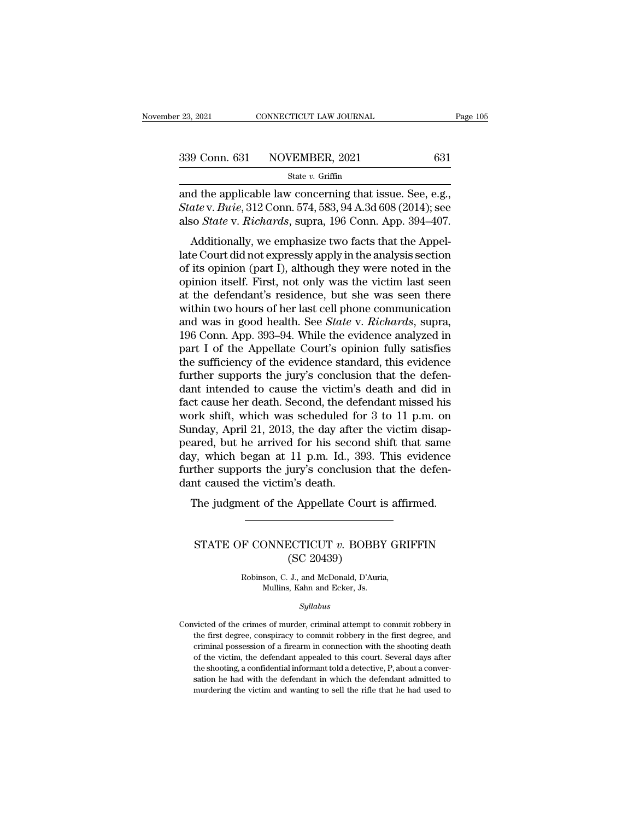| r 23, 2021 | CONNECTICUT LAW JOURNAL      | Page 105 |
|------------|------------------------------|----------|
|            | 339 Conn. 631 NOVEMBER, 2021 | 631      |
|            | State $v$ . Griffin          |          |

<sup>23, 2021</sup> CONNECTICUT LAW JOURNAL Page<br>  $\frac{339 \text{ Conn. } 631 \text{ NOVEMBER, } 2021}{\text{State } v. \text{ Griffith}}$ <br>
and the applicable law concerning that issue. See, e.g.,<br> *State* v. *Buie*, 312 Conn. 574, 583, 94 A.3d 608 (2014); see **State v. 631 NOVEMBER**, 2021 **631**<br> **State v. Griffin**<br> **State v. Buie**, 312 Conn. 574, 583, 94 A.3d 608 (2014); see<br> **also** *State* **v.** *Richards***, supra, 196 Conn. App. 394–407.** 339 Conn. 631 NOVEMBER, 2021 631<br>
State v. Griffin<br>
and the applicable law concerning that issue. See, e.g.,<br> *State* v. *Buie*, 312 Conn. 574, 583, 94 A.3d 608 (2014); see<br>
also *State* v. *Richards*, supra, 196 Conn. App 9 Conn. 631 NOVEMBER, 2021 631<br>
State v. Griffin<br>
d the applicable law concerning that issue. See, e.g.,<br> *ate* v. *Buie*, 312 Conn. 574, 583, 94 A.3d 608 (2014); see<br>
so *State* v. *Richards*, supra, 196 Conn. App. 394–4

State v. Griffin<br>
and the applicable law concerning that issue. See, e.g.,<br> *State* v. *Buie*, 312 Conn. 574, 583, 94 A.3d 608 (2014); see<br>
also *State* v. *Richards*, supra, 196 Conn. App. 394–407.<br>
Additionally, we emph and the applicable law concerning that issue. See, e.g.,<br> *State* v. *Buie*, 312 Conn. 574, 583, 94 A.3d 608 (2014); see<br>
also *State* v. *Richards*, supra, 196 Conn. App. 394–407.<br>
Additionally, we emphasize two facts th and the applicable law concerning that issue. See, e.g.,<br>State v. Buie, 312 Conn. 574, 583, 94 A.3d 608 (2014); see<br>also *State* v. Richards, supra, 196 Conn. App. 394–407.<br>Additionally, we emphasize two facts that the App at the defendant's residence, but she was seen there within two hours in good boath. See also *State* v. *Richards*, supra, 196 Conn. App. 394–407.<br>Additionally, we emphasize two facts that the Appellate Court did not exp Additionally, we emphasize two facts that the Appellate Court did not expressly apply in the analysis section<br>of its opinion (part I), although they were noted in the<br>opinion itself. First, not only was the victim last se Additionally, we emphasize two facts that the Appellate Court did not expressly apply in the analysis section<br>of its opinion (part I), although they were noted in the<br>opinion itself. First, not only was the victim last see late Court did not expressly apply in the analysis section<br>of its opinion (part I), although they were noted in the<br>opinion itself. First, not only was the victim last seen<br>at the defendant's residence, but she was seen th of its opinion (part I), although they were noted in the opinion itself. First, not only was the victim last seen at the defendant's residence, but she was seen there within two hours of her last cell phone communication a opinion itself. First, not only was the victim last seen<br>at the defendant's residence, but she was seen there<br>within two hours of her last cell phone communication<br>and was in good health. See *State* v. *Richards*, supra,<br> at the defendant's residence, but she was seen there within two hours of her last cell phone communication and was in good health. See *State* v. *Richards*, supra, 196 Conn. App. 393–94. While the evidence analyzed in par within two hours of her last cell phone communication<br>and was in good health. See *State* v. *Richards*, supra,<br>196 Conn. App. 393–94. While the evidence analyzed in<br>part I of the Appellate Court's opinion fully satisfies<br> and was in good health. See *State* v. *Richards*, supra, 196 Conn. App. 393–94. While the evidence analyzed in part I of the Appellate Court's opinion fully satisfies the sufficiency of the evidence standard, this eviden 196 Conn. App. 393–94. While the evidence analyzed in part I of the Appellate Court's opinion fully satisfies the sufficiency of the evidence standard, this evidence further supports the jury's conclusion that the defenda part I of the Appellate Court's opinion fully satisfies<br>the sufficiency of the evidence standard, this evidence<br>further supports the jury's conclusion that the defen-<br>dant intended to cause the victim's death and did in<br>f the sufficiency of the evidence standard, this evidence<br>further supports the jury's conclusion that the defen-<br>dant intended to cause the victim's death and did in<br>fact cause her death. Second, the defendant missed his<br>wor further supports the jury's conclusion that the defen-<br>dant intended to cause the victim's death and did in<br>fact cause her death. Second, the defendant missed his<br>work shift, which was scheduled for 3 to 11 p.m. on<br>Sunday, dant intended to cause the victim's death and did in fact cause her death. Second, the defendant missed his work shift, which was scheduled for 3 to 11 p.m. on Sunday, April 21, 2013, the day after the victim disappeared, fact cause her death. Second, the def<br>work shift, which was scheduled fo<br>Sunday, April 21, 2013, the day after<br>peared, but he arrived for his secor<br>day, which began at 11 p.m. Id., 3<br>further supports the jury's conclusie<br>d The suit, which was scheduled for 5 to 11 p.m. on<br>mday, April 21, 2013, the day after the victim disap-<br>ared, but he arrived for his second shift that same<br>y, which began at 11 p.m. Id., 393. This evidence<br>rther supports t (a) Which began as 11 p.m. 1a., 686. This evidence<br>ther supports the jury's conclusion that the defen-<br>t caused the victim's death.<br>The judgment of the Appellate Court is affirmed.<br>STATE OF CONNECTICUT v. BOBBY GRIFFIN<br>(SC

### m's death.<br>
e Appellate Court i<br>
CCTICUT v. BOBB<br>
(SC 20439)<br>
J., and McDonald, D'Auri F CONNECTICUT v. BOBBY GR<br>
(SC 20439)<br>
Robinson, C. J., and McDonald, D'Auria,<br>
Mullins, Kahn and Ecker, Js.  $\begin{array}{l} \text{DNNECTICUT} \; v. \; \text{BOBBY} \ \text{(SC 20439)} \\\\ \text{son, C. J., and McDonald, D'Auria} \\\ \text{Mullins, Kahn and Ecker,Js.} \\\\ \text{Sultahus} \end{array}$

### *Syllabus*

Robinson, C. J., and McDonald, D'Auria,<br>Mullins, Kahn and Ecker, Js.<br>Syllabus<br>Convicted of the crimes of murder, criminal attempt to commit robbery in<br>the first degree, conspiracy to commit robbery in the first degree, and Robinson, C. J., and McDonald, D'Auria,<br>Mullins, Kahn and Ecker, Js.<br>Syllabus<br>victed of the crimes of murder, criminal attempt to commit robbery in<br>the first degree, conspiracy to commit robbery in the first degree, and<br>cr Mullins, Kahn and Ecker, Js.<br>
Syllabus<br>
victed of the crimes of murder, criminal attempt to commit robbery in<br>
the first degree, conspiracy to commit robbery in the first degree, and<br>
criminal possession of a firearm in co Syllabus<br>
sixted of the crimes of murder, criminal attempt to commit robbery in<br>
the first degree, conspiracy to commit robbery in the first degree, and<br>
criminal possession of a firearm in connection with the shooting dea symmus<br>ticked of the crimes of murder, criminal attempt to commit robbery in<br>the first degree, conspiracy to commit robbery in the first degree, and<br>criminal possession of a firearm in connection with the shooting death<br>of victed of the crimes of murder, criminal attempt to commit robbery in<br>the first degree, conspiracy to commit robbery in the first degree, and<br>criminal possession of a firearm in connection with the shooting death<br>of the vi the first degree, conspiracy to commit robbery in the first degree, and criminal possession of a firearm in connection with the shooting death of the victim, the defendant appealed to this court. Several days after the sho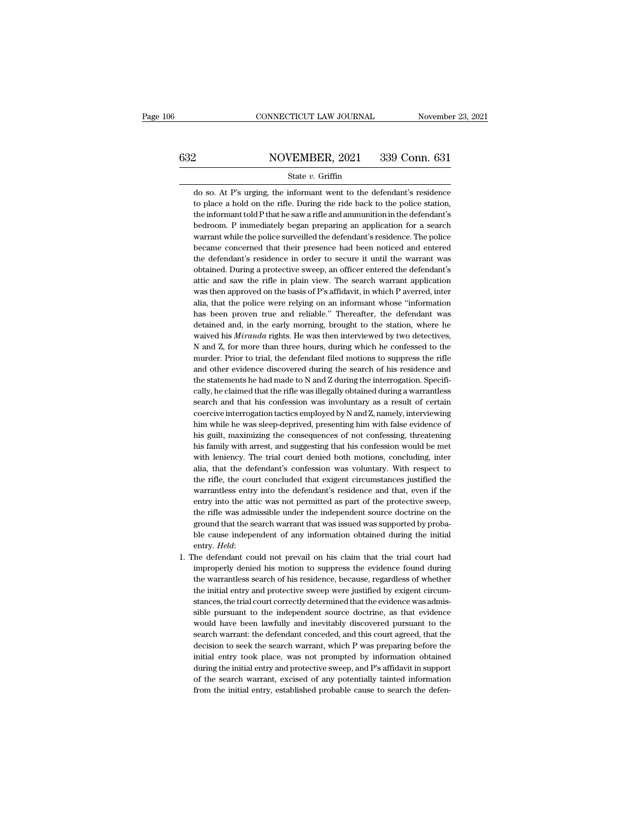# CONNECTICUT LAW JOURNAL November 23, 2021<br>632 NOVEMBER, 2021 339 Conn. 631<br>State v. Griffin

### State *v.* Griffin

MOVEMBER, 2021 339 Conn. 631<br>
State v. Griffin<br>
do so. At P's urging, the informant went to the defendant's residence<br>
to place a hold on the rifle. During the ride back to the police station, NOVEMBER, 2021 339 Conn. 631<br>
State v. Griffin<br>
do so. At P's urging, the informant went to the defendant's residence<br>
to place a hold on the rifle. During the ride back to the police station,<br>
the informant told P that h NOVEMBER, 2021 339 Conn. 631<br>State v. Griffin<br>do so. At P's urging, the informant went to the defendant's residence<br>to place a hold on the rifle. During the ride back to the police station,<br>the informant told P that he saw State  $v$ . Griffin<br>do so. At P's urging, the informant went to the defendant's residence<br>to place a hold on the rifle. During the ride back to the police station,<br>the informant told P that he saw a rifle and ammunition in State v. Griffin<br>do so. At P's urging, the informant went to the defendant's residence<br>to place a hold on the rifle. During the ride back to the police station,<br>the informant told P that he saw a rifle and ammunition in th do so. At P's urging, the informant went to the defendant's residence<br>to place a hold on the rifle. During the ride back to the police station,<br>the informant told P that he saw a rifle and ammunition in the defendant's<br>bed to place a hold on the rifle. During the ride back to the police station, the informant told P that he saw a rifle and ammunition in the defendant's bedroom. P immediately began preparing an application for a search warran the informant told P that he saw a rifle and ammunition in the defendant's bedroom. P immediately began preparing an application for a search warrant while the police surveilled the defendant's residence. The police became bedroom. P immediately began preparing an application for a search<br>warrant while the police surveilled the defendant's residence. The police<br>became concerned that their presence had been noticed and entered<br>the defendant's warrant while the police surveilled the defendant's residence. The police became concerned that their presence had been noticed and entered the defendant's residence in order to secure it until the warrant was obtained. Du became concerned that their presence had been noticed and entered<br>the defendant's residence in order to secure it until the warrant was<br>obtained. During a protective sweep, an officer entered the defendant's<br>attic and saw the defendant's residence in order to secure it until the warrant was obtained. During a protective sweep, an officer entered the defendant's attic and saw the rifle in plain view. The search warrant application was then a obtained. During a protective sweep, an officer entered the defendant's attic and saw the rifle in plain view. The search warrant application was then approved on the basis of P's affidavit, in which P averred, inter alia, attic and saw the rifle in plain view. The search warrant application<br>was then approved on the basis of P's affidavit, in which P averred, inter<br>alia, that the police were relying on an informant whose "information<br>has bee was then approved on the basis of P's affidavit, in which P averred, inter<br>alia, that the police were relying on an informant whose "information<br>has been proven true and reliable." Thereafter, the defendant was<br>detained an alia, that the police were relying on an informant whose "information has been proven true and reliable." Thereafter, the defendant was detained and, in the early morning, brought to the station, where he waived his *Miran* has been proven true and reliable." Thereafter, the defendant was detained and, in the early morning, brought to the station, where he waived his *Miranda* rights. He was then interviewed by two detectives, N and Z, for mo has been proven true and reliable." Thereafter, the defendant was detained and, in the early morning, brought to the station, where he waived his *Miranda* rights. He was then interviewed by two detectives, N and Z, for m waived his *Miranda* rights. He was then interviewed by two detectives,<br>N and Z, for more than three hours, during which he confessed to the<br>murder. Prior to trial, the defendant filed motions to suppress the rifle<br>and oth N and Z, for more than three hours, during which he confessed to the murder. Prior to trial, the defendant filed motions to suppress the rifle and other evidence discovered during the search of his residence and the statem murder. Prior to trial, the defendant filed motions to suppress the rifle<br>and other evidence discovered during the search of his residence and<br>the statements he had made to N and Z during the interrogation. Specifi-<br>cally, and other evidence discovered during the search of his residence and<br>the statements he had made to N and Z during the interrogation. Specifi-<br>cally, he claimed that the rifle was illegally obtained during a warrantless<br>sea the statements he had made to N and Z during the interrogation. Specifically, he claimed that the rifle was illegally obtained during a warrantless search and that his confession was involuntary as a result of certain coer cally, he claimed that the rifle was illegally obtained during a warrantless<br>search and that his confession was involuntary as a result of certain<br>coercive interrogation tactics employed by N and Z, namely, interviewing<br>hi search and that his confession was involuntary as a result of certain coercive interrogation tactics employed by N and Z, namely, interviewing him while he was sleep-deprived, presenting him with false evidence of his guil coercive interrogation tactics employed by N and Z, namely, interviewing<br>him while he was sleep-deprived, presenting him with false evidence of<br>his guilt, maximizing the consequences of not confessing, threatening<br>his fami him while he was sleep-deprived, presenting him with false evidence of his guilt, maximizing the consequences of not confessing, threatening his family with arrest, and suggesting that his confession would be met with leni his guilt, maximizing the consequences of not confessing, threatening<br>his family with arrest, and suggesting that his confession would be met<br>with leniency. The trial court denied both motions, concluding, inter<br>alia, that his family with arrest, and suggesting that his confession would be met with leniency. The trial court denied both motions, concluding, inter alia, that the defendant's confession was voluntary. With respect to the rifle, with leniency. The trial court denied both motions, concluding, inter<br>alia, that the defendant's confession was voluntary. With respect to<br>the rifle, the court concluded that exigent circumstances justified the<br>warrantless with leniency. The trial court denied both motions, concluding, inter alia, that the defendant's confession was voluntary. With respect to the rifle, the court concluded that exigent circumstances justified the warrantles the rifle, the court concluded that exigent circumstances justified the warrantless entry into the defendant's residence and that, even if the entry into the attic was not permitted as part of the protective sweep, the rif entry into the attic was not permitted as part of the protective sweep,<br>the rifle was admissible under the independent source doctrine on the<br>ground that the search warrant that was issued was supported by proba-<br>ble cause the rifle was admissible under the independent source doctrine on the ground that the search warrant that was issued was supported by probable cause independent of any information obtained during the initial entry. *Held*:

ground that the search warrant that was issued was supported by probable cause independent of any information obtained during the initial entry. *Held*:<br>the defendant could not prevail on his claim that the trial court had ble cause independent of any information obtained during the initial entry. *Held*:<br>the defendant could not prevail on his claim that the trial court had<br>improperly denied his motion to suppress the evidence found during<br>t entry. *Held*:<br>the defendant could not prevail on his claim that the trial court had<br>improperly denied his motion to suppress the evidence found during<br>the warrantless search of his residence, because, regardless of whethe he defendant could not prevail on his claim that the trial court had improperly denied his motion to suppress the evidence found during the warrantless search of his residence, because, regardless of whether the initial en improperly denied his motion to suppress the evidence found during<br>the warrantless search of his residence, because, regardless of whether<br>the initial entry and protective sweep were justified by exigent circum-<br>stances, t the warrantless search of his residence, because, regardless of whether<br>the initial entry and protective sweep were justified by exigent circum-<br>stances, the trial court correctly determined that the evidence was admis-<br>si the initial entry and protective sweep were justified by exigent circum-<br>stances, the trial court correctly determined that the evidence was admis-<br>sible pursuant to the independent source doctrine, as that evidence<br>would stances, the trial court correctly determined that the evidence was admissible pursuant to the independent source doctrine, as that evidence would have been lawfully and inevitably discovered pursuant to the search warrant sible pursuant to the independent source doctrine, as that evidence would have been lawfully and inevitably discovered pursuant to the search warrant: the defendant conceded, and this court agreed, that the decision to see would have been lawfully and inevitably discovered pursuant to the search warrant: the defendant conceded, and this court agreed, that the decision to seek the search warrant, which P was preparing before the initial entry search warrant: the defendant conceded, and this court agreed, that the decision to seek the search warrant, which P was preparing before the initial entry took place, was not prompted by information obtained during the in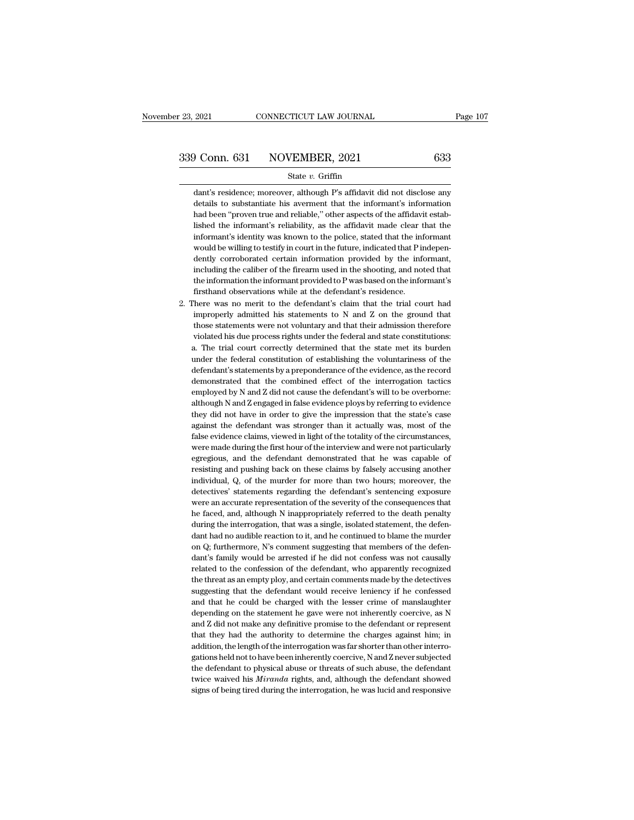### State *v.* Griffin

dant's residence; moreover, although P's affidavit did not disclose any<br>dant's residence; moreover, although P's affidavit did not disclose any<br>details to substantiate his averment that the informant's information  $\begin{array}{r} \textbf{1} \textbf{1} \textbf{2} \textbf{1} \textbf{3} \textbf{4} \textbf{4} \textbf{5} \textbf{5} \textbf{6} \textbf{6} \textbf{7} \textbf{7} \textbf{8} \textbf{8} \textbf{8} \textbf{9} \textbf{1} \textbf{1} \textbf{1} \textbf{1} \textbf{1} \textbf{1} \textbf{1} \textbf{1} \textbf{1} \textbf{1} \textbf{1} \textbf{1} \textbf{1} \textbf{1} \textbf{1} \textbf{1} \textbf{1} \textbf{1} \textbf$ had been ''proven true and reliable,'' other aspects of the affidavit estab-<br>dant's residence; moreover, although P's affidavit did not disclose any<br>details to substantiate his averment that the informant's information<br>had State  $v$ . Griffin<br>dant's residence; moreover, although P's affidavit did not disclose any<br>details to substantiate his averment that the informant's information<br>had been "proven true and reliable," other aspects of the af State  $v$ . Griffin<br>dant's residence; moreover, although P's affidavit did not disclose any<br>details to substantiate his averment that the informant's information<br>had been "proven true and reliable," other aspects of the af dant's residence; moreover, although P's affidavit did not disclose any<br>details to substantiate his averment that the informant's information<br>had been "proven true and reliable," other aspects of the affidavit estab-<br>lishe details to substantiate his averment that the informant's information<br>had been "proven true and reliable," other aspects of the affidavit estab-<br>lished the informant's reliability, as the affidavit made clear that the<br>info had been "proven true and reliable," other aspects of the affidavit established the informant's reliability, as the affidavit made clear that the informant is identity was known to the police, stated that the informant wou lished the informant's reliability, as the affidavit made clear that the informant's identity was known to the police, stated that the informant would be willing to testify in court in the future, indicated that P independ lished the informant's reliability, as the affidavit made clear that the informant's identity was known to the police, stated that the informant would be willing to testify in court in the future, indicated that P indepen would be willing to testify in court in the future, indicated that P independently corroborated certain information provided by the informant, including the caliber of the firearm used in the shooting, and noted that the dently corroborated certain information provided by the informant,<br>including the caliber of the firearm used in the shooting, and noted that<br>the information the informant provided to P was based on the informant's<br>firsthan

including the caliber of the firearm used in the shooting, and noted that<br>the information the informant provided to P was based on the informant's<br>firsthand observations while at the defendant's residence.<br>here was no meri the information the informant provided to P was based on the informant's firsthand observations while at the defendant's residence.<br>There was no merit to the defendant's claim that the trial court had improperly admitted h first<br>hand observations while at the defendant's residence. There was no merit to the defendant's claim that the trial court had<br>improperly admitted his statements to N and Z on the ground that<br>those statements were not v There was no merit to the defendant's claim that the trial court had improperly admitted his statements to  $N$  and  $Z$  on the ground that those statements were not voluntary and that their admission therefore violated his improperly admitted his statements to N and Z on the ground that those statements were not voluntary and that their admission therefore violated his due process rights under the federal and state constitutions: a. The tri those statements were not voluntary and that their admission therefore violated his due process rights under the federal and state constitutions:<br>a. The trial court correctly determined that the state met its burden<br>under violated his due process rights under the federal and state constitutions:<br>a. The trial court correctly determined that the state met its burden<br>under the federal constitution of establishing the voluntariness of the<br>defen a. The trial court correctly determined that the state met its burden under the federal constitution of establishing the voluntariness of the defendant's statements by a preponderance of the evidence, as the record demonst under the federal constitution of establishing the voluntariness of the defendant's statements by a preponderance of the evidence, as the record demonstrated that the combined effect of the interrogation tactics employed b defendant's statements by a preponderance of the evidence, as the record demonstrated that the combined effect of the interrogation tactics employed by N and Z did not cause the defendant's will to be overborne: although N demonstrated that the combined effect of the interrogation tactics<br>employed by N and Z did not cause the defendant's will to be overborne:<br>although N and Z engaged in false evidence ploys by referring to evidence<br>they did employed by N and Z did not cause the defendant's will to be overborne:<br>although N and Z engaged in false evidence ploys by referring to evidence<br>they did not have in order to give the impression that the state's case<br>agai although N and Z engaged in false evidence ploys by referring to evidence they did not have in order to give the impression that the state's case against the defendant was stronger than it actually was, most of the false e they did not have in order to give the impression that the state's case<br>against the defendant was stronger than it actually was, most of the<br>false evidence claims, viewed in light of the totality of the circumstances,<br>were against the defendant was stronger than it actually was, most of the false evidence claims, viewed in light of the totality of the circumstances, were made during the first hour of the interview and were not particularly e false evidence claims, viewed in light of the totality of the circumstances, were made during the first hour of the interview and were not particularly egregious, and the defendant demonstrated that he was capable of resis were made during the first hour of the interview and were not particularly egregious, and the defendant demonstrated that he was capable of resisting and pushing back on these claims by falsely accusing another individual, egregious, and the defendant demonstrated that he was capable of<br>resisting and pushing back on these claims by falsely accusing another<br>individual, Q, of the murder for more than two hours; moreover, the<br>detectives' statem resisting and pushing back on these claims by falsely accusing another individual, Q, of the murder for more than two hours; moreover, the detectives' statements regarding the defendant's sentencing exposure were an accura individual, Q, of the murder for more than two hours; moreover, the detectives' statements regarding the defendant's sentencing exposure were an accurate representation of the severity of the consequences that he faced, an detectives' statements regarding the defendant's sentencing exposure<br>were an accurate representation of the severity of the consequences that<br>he faced, and, although N inappropriately referred to the death penalty<br>during t were an accurate representation of the severity of the consequences that<br>he faced, and, although N inappropriately referred to the death penalty<br>during the interrogation, that was a single, isolated statement, the defen-<br>d he faced, and, although N inappropriately referred to the death penalty during the interrogation, that was a single, isolated statement, the defendant had no audible reaction to it, and he continued to blame the murder on during the interrogation, that was a single, isolated statement, the defendant had no audible reaction to it, and he continued to blame the murder on Q; furthermore, N's comment suggesting that members of the defendant's f dant had no audible reaction to it, and he continued to blame the murder<br>on Q; furthermore, N's comment suggesting that members of the defen-<br>dant's family would be arrested if he did not confess was not causally<br>related t on Q; furthermore, N's comment suggesting that members of the defendant's family would be arrested if he did not confess was not causally related to the confession of the defendant, who apparently recognized the threat as dant's family would be arrested if he did not confess was not causally related to the confession of the defendant, who apparently recognized the threat as an empty ploy, and certain comments made by the detectives suggesti related to the confession of the defendant, who apparently recognized<br>the threat as an empty ploy, and certain comments made by the detectives<br>suggesting that the defendant would receive leniency if he confessed<br>and that h the threat as an empty ploy, and certain comments made by the detectives suggesting that the defendant would receive leniency if he confessed and that he could be charged with the lesser crime of manslaughter depending on suggesting that the defendant would receive leniency if he confessed<br>and that he could be charged with the lesser crime of manslaughter<br>depending on the statement he gave were not inherently coercive, as N<br>and Z did not ma and that he could be charged with the lesser crime of manslaughter<br>depending on the statement he gave were not inherently coercive, as N<br>and Z did not make any definitive promise to the defendant or represent<br>that they had depending on the statement he gave were not inherently coercive, as N<br>and Z did not make any definitive promise to the defendant or represent<br>that they had the authority to determine the charges against him; in<br>addition, t and Z did not make any definitive promise to the defendant or represent that they had the authority to determine the charges against him; in addition, the length of the interrogation was far shorter than other interrogatio that they had the authority to determine the charges against him; in addition, the length of the interrogation was far shorter than other interrogations held not to have been inherently coercive, N and Z never subjected th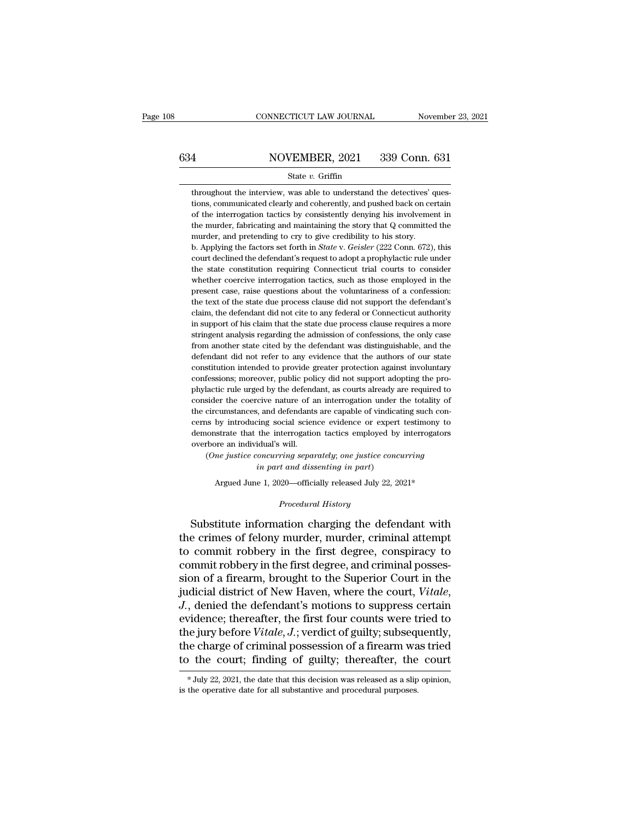# CONNECTICUT LAW JOURNAL November 23, 2021<br>634 NOVEMBER, 2021 339 Conn. 631<br>State v. Griffin

### State *v.* Griffin

634 NOVEMBER, 2021 339 Conn. 631<br>
State v. Griffin<br>
throughout the interview, was able to understand the detectives' ques-<br>
tions, communicated clearly and coherently, and pushed back on certain<br>
of the interrogation tact 1 MOVEMBER, 2021 339 Conn. 631<br>
State v. Griffin<br>
throughout the interview, was able to understand the detectives' ques-<br>
tions, communicated clearly and coherently, and pushed back on certain<br>
of the interrogation tactics MOVEMBER, 2021 339 Conn. 631<br>
State v. Griffin<br>
throughout the interview, was able to understand the detectives' ques-<br>
tions, communicated clearly and coherently, and pushed back on certain<br>
of the interrogation tactics b State  $v$ . Griffin<br>throughout the interview, was able to understand the detectives' ques-<br>tions, communicated clearly and coherently, and pushed back on certain<br>of the interrogation tactics by consistently denying his inv State  $v$ . Griffin<br>throughout the interview, was able to understand the detectives' consistently, and pushed back on ce<br>of the interrogation tactics by consistently denying his involveme<br>the murder, fabricating and mainta throughout the interview, was able to understand the detectives' questions, communicated clearly and coherently, and pushed back on certain of the interrogation tactics by consistently denying his involvement in the murder tions, communicated clearly and coherently, and pushed back on certain<br>of the interrogation tactics by consistently denying his involvement in<br>the murder, fabricating and maintaining the story that Q committed the<br>murder,

of the interrogation tactics by consistently denying his involvement in the murder, fabricating and maintaining the story that  $Q$  committed the murder, and pretending to cry to give credibility to his story.<br>b. Applying the murder, fabricating and maintaining the story that Q committed the murder, and pretending to cry to give credibility to his story.<br>b. Applying the factors set forth in *State* v. *Geisler* (222 Conn. 672), this court d murder, and pretending to cry to give credibility to his story.<br>
b. Applying the factors set forth in *State* v. *Geisler* (222 Conn. 672), this<br>
court declined the defendant's request to adopt a prophylactic rule under<br>
t b. Applying the factors set forth in *State* v. *Geisler* (222 Conn. 672), this court declined the defendant's request to adopt a prophylactic rule under the state constitution requiring Connecticut trial courts to conside court declined the defendant's request to adopt a prophylactic rule under<br>the state constitution requiring Connecticut trial courts to consider<br>whether coercive interrogation tactics, such as those employed in the<br>present the state constitution requiring Connecticut trial courts to consider whether coercive interrogation tactics, such as those employed in the present case, raise questions about the voluntariness of a confession: the text of whether coercive interrogation tactics, such as those employed in the present case, raise questions about the voluntariness of a confession: the text of the state due process clause did not support the defendant's claim, t present case, raise questions about the voluntariness of a confession:<br>the text of the state due process clause did not support the defendant's<br>claim, the defendant did not cite to any federal or Connecticut authority<br>in s the text of the state due process clause did not support the defendant's claim, the defendant did not cite to any federal or Connecticut authority in support of his claim that the state due process clause requires a more s claim, the defendant did not cite to any federal or Connecticut authority<br>in support of his claim that the state due process clause requires a more<br>stringent analysis regarding the admission of confessions, the only case<br>f claim, the defendant did not cite to any federal or Connecticut authority<br>in support of his claim that the state due process clause requires a more<br>stringent analysis regarding the admission of confessions, the only case<br>f stringent analysis regarding the admission of confessions, the only case<br>from another state cited by the defendant was distinguishable, and the<br>defendant did not refer to any evidence that the authors of our state<br>constitu from another state cited by the defendant was distinguishable, and the defendant did not refer to any evidence that the authors of our state constitution intended to provide greater protection against involuntary confessio defendant did not refer to any evidence that the authors of our state constitution intended to provide greater protection against involuntary confessions; moreover, public policy did not support adopting the prophylactic r constitution intended to provide greater protection against involuntary confessions; moreover, public policy did not support adopting the pro-<br>phylactic rule urged by the defendant, as courts already are required to<br>consid confessions; moreover, public policy did not support adopting the pro-<br>phylactic rule urged by the defendant, as courts already are required to<br>consider the coercive nature of an interrogation under the totality of<br>the cir phylactic rule urged by the defend<br>consider the coercive nature of a<br>the circumstances, and defendants<br>cerns by introducing social scien<br>demonstrate that the interrogatio<br>overbore an individual's will.<br>(One justice concurr sider the coercive nature of an interrogation under the totality of<br>circumstances, and defendants are capable of vindicating such con-<br>ns by introducing social science evidence or expert testimony to<br>onstrate that the inte *i*, and defendants are capable of vindicating social science evidence or expert the interrogation tactics employed by idual's will.<br> *in part and dissenting in part*)<br> *in part and dissenting in part*)<br> *e* 1, 2020—offici demonstrate that the interrogation tactics employed by interrogators<br>overbore an individual's will.<br> $(One\; justice\; concerning\; separately;\; one\; justice\; concerning\; in\; part)$ <br> $A\;rad\; dissenting\; in\; part)$ <br>Argued June 1, 2020—officially released July 22, 2021\*<br> $Proceedural\; History$ 

Argued June 1, 2020—officially released July 22, 2021\*<br>*Procedural History*<br>Substitute information charging the defendant with overbore an individual's will.<br>
(One justice concurring separately; one justice concurring<br>
in part and dissenting in part)<br>
Argued June 1, 2020—officially released July 22, 2021\*<br>
Procedural History<br>
Substitute informatio (One justice concurring separately; one justice concurring<br>in part and dissenting in part)<br>Argued June 1, 2020—officially released July 22, 2021\*<br> $\footnotesize$ <br>Procedural History<br>Substitute information charging the defendant wit in part and dissenting in part)<br>
Argued June 1, 2020—officially released July 22, 2021\*<br>
Procedural History<br>
Substitute information charging the defendant with<br>
the crimes of felony murder, murder, criminal attempt<br>
to com Argued June 1, 2020—officially released July 22, 2021\*<br> *Procedural History*<br>
Substitute information charging the defendant with<br>
the crimes of felony murder, murder, criminal attempt<br>
to commit robbery in the first degree *Procedural History*<br>
Substitute information charging the defendant with<br>
the crimes of felony murder, murder, criminal attempt<br>
to commit robbery in the first degree, conspiracy to<br>
commit robbery in the first degree, and Substitute information charging the defendant with<br>the crimes of felony murder, murder, criminal attempt<br>to commit robbery in the first degree, conspiracy to<br>commit robbery in the first degree, and criminal posses-<br>sion of the crimes of felony murder, murder, criminal attempt<br>to commit robbery in the first degree, conspiracy to<br>commit robbery in the first degree, and criminal posses-<br>sion of a firearm, brought to the Superior Court in the<br>ju to commit robbery in the first degree, conspiracy to commit robbery in the first degree, and criminal possession of a firearm, brought to the Superior Court in the judicial district of New Haven, where the court, *Vitale*, commit robbery in the first degree, and criminal posses-<br>sion of a firearm, brought to the Superior Court in the<br>judicial district of New Haven, where the court, *Vitale,*<br>J., denied the defendant's motions to suppress cer sion of a firearm, brought to the Superior Court in the<br>judicial district of New Haven, where the court, *Vitale*,<br>*J.*, denied the defendant's motions to suppress certain<br>evidence; thereafter, the first four counts were evidence; thereafter, the first four counts were tried to<br>the jury before *Vitale*, *J*.; verdict of guilty; subsequently,<br>the charge of criminal possession of a firearm was tried<br>to the court; finding of guilty; thereaft to the court; finding of guilty; thereafter, the court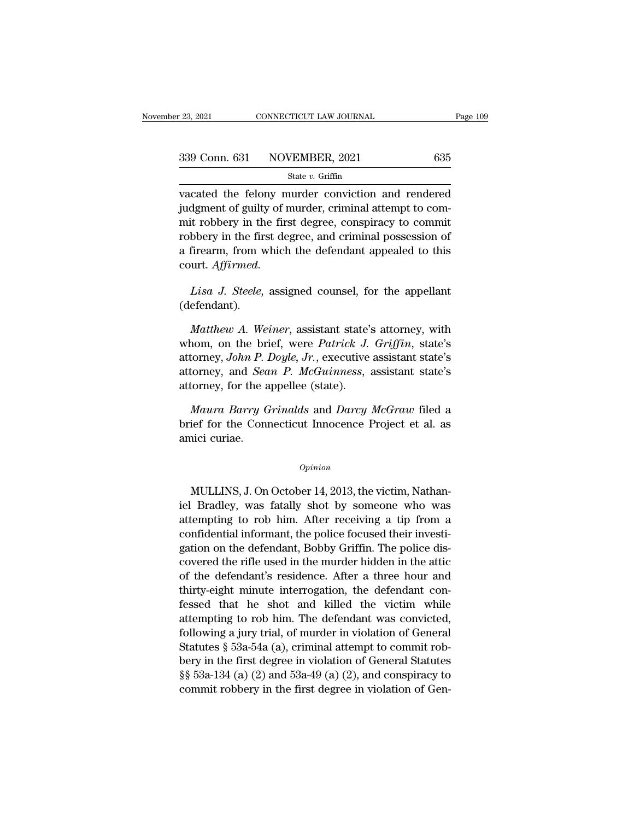State *v.* Griffin

vacated the felony murder conviction and rendered<br>
wacated the felony murder conviction and rendered<br>
judgment of guilty of murder, criminal attempt to commit noblem in the first degree congrating to commit  $\frac{339 \text{ Conn. } 631 \quad \text{NOVEMBER, } 2021 \quad \text{635}}{\text{vacated the fellow murder conviction and rendered judgment of guilty of murder, criminal attempt to commit robberg in the first degree, conspiracy to commit robberg in the first degree, and criminal possession of the other.}$ 339 Conn. 631 NOVEMBER, 2021 635<br>
State v. Griffin<br>
vacated the felony murder conviction and rendered<br>
judgment of guilty of murder, criminal attempt to commit<br>
robbery in the first degree, conspiracy to commit<br>
robbery i 339 Conn. 631 NOVEMBER, 2021 635<br>
State v. Griffin<br>
vacated the felony murder conviction and rendered<br>
judgment of guilty of murder, criminal attempt to com-<br>
mit robbery in the first degree, conspiracy to commit<br>
robbery State v. Griffin<br>vacated the felony murder conviction and rendered<br>judgment of guilty of murder, criminal attempt to com-<br>mit robbery in the first degree, conspiracy to commit<br>robbery in the first degree, and criminal pos court. *Affirmed.* dgment of guilty of murder, criminal attempt to com-<br>*List* robbery in the first degree, conspiracy to commit<br>bbery in the first degree, and criminal possession of<br>firearm, from which the defendant appealed to this<br>urt. *A* 

(defendant).

Firearm, from which the defendant appealed to this<br>
urt. *Affirmed.*<br> *Lisa J. Steele*, assigned counsel, for the appellant<br>
efendant).<br> *Matthew A. Weiner*, assistant state's attorney, with<br>
nom, on the brief, were *Patri* court. *Affirmed.*<br>
Lisa J. Steele, assigned counsel, for the appellant<br>
(defendant).<br> *Matthew A. Weiner*, assistant state's attorney, with<br>
whom, on the brief, were *Patrick J. Griffin*, state's<br>
attorney, John P. Doyle, Lisa J. Steele, assigned counsel, for the appellant<br>(defendant).<br>*Matthew A. Weiner*, assistant state's attorney, with<br>whom, on the brief, were *Patrick J. Griffin*, state's<br>attorney, John P. Doyle, Jr., executive assistan Lisa J. Steele, assigned counsel, for the appellant (defendant).<br> *Matthew A. Weiner*, assistant state's attorney, with whom, on the brief, were *Patrick J. Griffin*, state's attorney, John P. Doyle, Jr., executive assista (defendant).<br> *Matthew A. Weiner*, assistant state's<br>
whom, on the brief, were *Patrick J.*<br>
attorney, *John P. Doyle*, *Jr.*, executive<br>
attorney, and *Sean P. McGuinness*,<br>
attorney, for the appellee (state).<br> *Maura Bar Matthew A. Weiner*, assistant state's attorney, with<br>nom, on the brief, were *Patrick J. Griffin*, state's<br>torney, *John P. Doyle, Jr.*, executive assistant state's<br>torney, and *Sean P. McGuinness*, assistant state's<br>orne whom, on the brief, were *Patrick J. Griffin*, state's<br>attorney, John P. Doyle, Jr., executive assistant state's<br>attorney, and *Sean P. McGuinness*, assistant state's<br>attorney, for the appellee (state).<br>*Maura Barry Grinal* attorney, *John P.*<br>attorney, and *Sea*<br>attorney, for the a<br>*Maura Barry G*<br>brief for the Connamici curiae.

Maura Barry Grinalds and Darcy McGraw filed a<br>
ief for the Connecticut Innocence Project et al. as<br>
ici curiae.<br>
Opinion<br>
MULLINS, J. On October 14, 2013, the victim, Nathan-<br>
Bradley, was fatally shot by someone who was

### *Opinion*

brief for the Connecticut Innocence Project et al. as<br>
amici curiae.<br>  $\frac{Opinion}{P}$ <br>
MULLINS, J. On October 14, 2013, the victim, Nathan-<br>
iel Bradley, was fatally shot by someone who was<br>
attempting to rob him. After receiv opinion<br>
MULLINS, J. On October 14, 2013, the victim, Nathan-<br>
iel Bradley, was fatally shot by someone who was<br>
attempting to rob him. After receiving a tip from a<br>
confidential informant, the police focused their investi **Componential informant** opinion<br>MULLINS, J. On October 14, 2013, the victim, Nathan-<br>iel Bradley, was fatally shot by someone who was<br>attempting to rob him. After receiving a tip from a<br>confidential informant, the police  $o$ *pinion*<br>MULLINS, J. On October 14, 2013, the victim, Nathan-<br>iel Bradley, was fatally shot by someone who was<br>attempting to rob him. After receiving a tip from a<br>confidential informant, the police focused their invest MULLINS, J. On October 14, 2013, the victim, Nathan-<br>iel Bradley, was fatally shot by someone who was<br>attempting to rob him. After receiving a tip from a<br>confidential informant, the police focused their investi-<br>gation on MULLINS, J. On October 14, 2013, the victim, Nathan-<br>iel Bradley, was fatally shot by someone who was<br>attempting to rob him. After receiving a tip from a<br>confidential informant, the police focused their investi-<br>gation on the Bradley, was fatally shot by someone who was<br>attempting to rob him. After receiving a tip from a<br>confidential informant, the police focused their investi-<br>gation on the defendant, Bobby Griffin. The police dis-<br>covered attempting to rob nim. After receiving a tip from a<br>confidential informant, the police focused their investi-<br>gation on the defendant, Bobby Griffin. The police dis-<br>covered the rifle used in the murder hidden in the attic confidential informant, the police focused their investigation on the defendant, Bobby Griffin. The police discovered the rifle used in the murder hidden in the attic of the defendant's residence. After a three hour and th gation on the derendant, Bobby Griffin. The police discovered the rifle used in the murder hidden in the attic<br>of the defendant's residence. After a three hour and<br>thirty-eight minute interrogation, the defendant con-<br>fess covered the rifle used in the murder nidden in the attice<br>of the defendant's residence. After a three hour and<br>thirty-eight minute interrogation, the defendant con-<br>fessed that he shot and killed the victim while<br>attempti or the derendant's residence. After a three nour and<br>thirty-eight minute interrogation, the defendant con-<br>fessed that he shot and killed the victim while<br>attempting to rob him. The defendant was convicted,<br>following a jur thirty-eight minute interrogation, the detendant con-<br>fessed that he shot and killed the victim while<br>attempting to rob him. The defendant was convicted,<br>following a jury trial, of murder in violation of General<br>Statutes ressed that he shot and killed the victim while<br>attempting to rob him. The defendant was convicted,<br>following a jury trial, of murder in violation of General<br>Statutes § 53a-54a (a), criminal attempt to commit rob-<br>bery in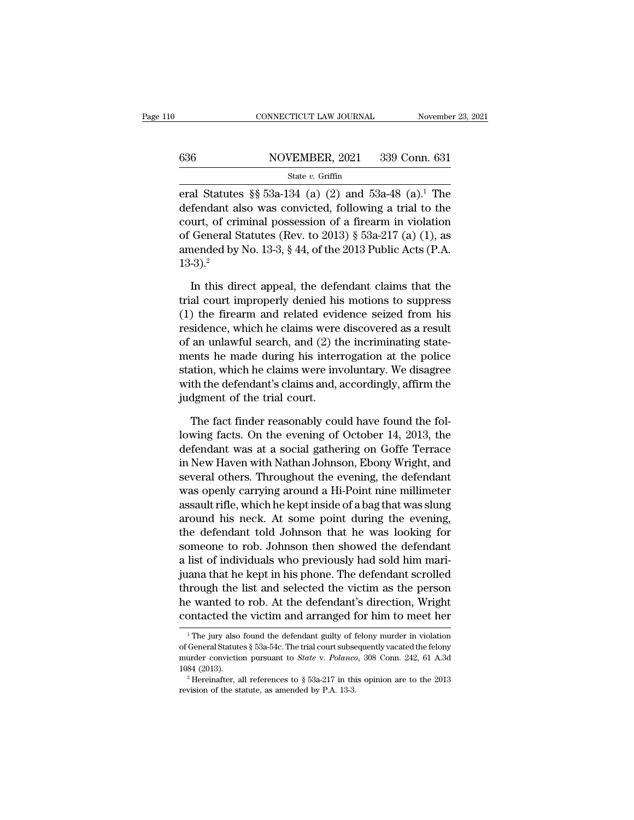## CONNECTICUT LAW JOURNAL November 23, 2021<br>636 NOVEMBER, 2021 339 Conn. 631<br>State v. Griffin State *v.* Griffin

EXECUTE CONNECTICUT LAW JOURNAL November 23, 2021<br>
State v. Griffin<br>
Statutes §§ 53a-134 (a) (2) and 53a-48 (a).<sup>1</sup> The<br>
defendant also was convicted, following a trial to the 636 NOVEMBER, 2021 339 Conn. 631<br>
State v. Griffin<br>
eral Statutes §§ 53a-134 (a) (2) and 53a-48 (a).<sup>1</sup> The<br>
defendant also was convicted, following a trial to the<br>
court, of criminal possession of a firearm in violation<br> 636 NOVEMBER, 2021 339 Conn. 631<br>
State v. Griffin<br>
eral Statutes §§ 53a-134 (a) (2) and 53a-48 (a).<sup>1</sup> The<br>
defendant also was convicted, following a trial to the<br>
court, of criminal possession of a firearm in violation<br> 636 NOVEMBER, 2021 339 Conn. 631<br>
State v. Griffin<br>
eral Statutes § 53a-134 (a) (2) and 53a-48 (a).<sup>1</sup> The<br>
defendant also was convicted, following a trial to the<br>
court, of criminal possession of a firearm in violation<br> State v. Griffin<br>eral Statutes §§ 53a-134 (a) (2) and 53a-48 (a).<sup>1</sup> The<br>defendant also was convicted, following a trial to the<br>court, of criminal possession of a firearm in violation<br>of General Statutes (Rev. to 2013) §  $13-3$ ).<sup>2</sup> fendant also was convicted, following a trial to the<br>urt, of criminal possession of a firearm in violation<br>General Statutes (Rev. to 2013) § 53a-217 (a) (1), as<br>nended by No. 13-3, § 44, of the 2013 Public Acts (P.A.<br>-3). court, of criminal possession of a firearm in violation<br>of General Statutes (Rev. to 2013) § 53a-217 (a) (1), as<br>amended by No. 13-3, § 44, of the 2013 Public Acts (P.A.<br>13-3).<sup>2</sup><br>In this direct appeal, the defendant clai

% of General Statutes (Rev. to 2013) § 53a-217 (a) (1), as<br>amended by No. 13-3, § 44, of the 2013 Public Acts (P.A.<br>13-3).<sup>2</sup><br>In this direct appeal, the defendant claims that the<br>trial court improperly denied his motions amended by No. 13-3, § 44, of the 2013 Public Acts (P.A. 13-3).<sup>2</sup><br>In this direct appeal, the defendant claims that the trial court improperly denied his motions to suppress (1) the firearm and related evidence seized fro 13-3).<sup>2</sup><br>In this direct appeal, the defendant claims that the<br>trial court improperly denied his motions to suppress<br>(1) the firearm and related evidence seized from his<br>residence, which he claims were discovered as a res In this direct appeal, the defendant claims that the<br>trial court improperly denied his motions to suppress<br>(1) the firearm and related evidence seized from his<br>residence, which he claims were discovered as a result<br>of an u In this direct appeal, the defendant claims that the<br>trial court improperly denied his motions to suppress<br>(1) the firearm and related evidence seized from his<br>residence, which he claims were discovered as a result<br>of an u trial court improperly denied his motions to suppress<br>(1) the firearm and related evidence seized from his<br>residence, which he claims were discovered as a result<br>of an unlawful search, and (2) the incriminating state-<br>ment (1) the firearm and related evic<br>residence, which he claims were<br>of an unlawful search, and (2) th<br>ments he made during his inter<br>station, which he claims were inv<br>with the defendant's claims and, a<br>judgment of the trial c an unlawful search, and  $(2)$  the incriminating state-<br>ents he made during his interrogation at the police<br>ation, which he claims were involuntary. We disagree<br>th the defendant's claims and, accordingly, affirm the<br>dgment ments he made during his interrogation at the police<br>station, which he claims were involuntary. We disagree<br>with the defendant's claims and, accordingly, affirm the<br>judgment of the trial court.<br>The fact finder reasonably c

station, which he claims were involuntary. We disagree<br>with the defendant's claims and, accordingly, affirm the<br>judgment of the trial court.<br>The fact finder reasonably could have found the fol-<br>lowing facts. On the evening with the defendant's claims and, accordingly, affirm the<br>judgment of the trial court.<br>The fact finder reasonably could have found the fol-<br>lowing facts. On the evening of October 14, 2013, the<br>defendant was at a social gat judgment of the trial court.<br>The fact finder reasonably could have found the fol-<br>lowing facts. On the evening of October 14, 2013, the<br>defendant was at a social gathering on Goffe Terrace<br>in New Haven with Nathan Johnson, The fact finder reasonably could have found the following facts. On the evening of October 14, 2013, the defendant was at a social gathering on Goffe Terrace in New Haven with Nathan Johnson, Ebony Wright, and several othe The fact finder reasonably could have found the fol-<br>lowing facts. On the evening of October 14, 2013, the<br>defendant was at a social gathering on Goffe Terrace<br>in New Haven with Nathan Johnson, Ebony Wright, and<br>several ot lowing facts. On the evening of October 14, 2013, the<br>defendant was at a social gathering on Goffe Terrace<br>in New Haven with Nathan Johnson, Ebony Wright, and<br>several others. Throughout the evening, the defendant<br>was openl defendant was at a social gathering on Goffe Terrace<br>in New Haven with Nathan Johnson, Ebony Wright, and<br>several others. Throughout the evening, the defendant<br>was openly carrying around a Hi-Point nine millimeter<br>assault r in New Haven with Nathan Johnson, Ebony Wright, and<br>several others. Throughout the evening, the defendant<br>was openly carrying around a Hi-Point nine millimeter<br>assault rifle, which he kept inside of a bag that was slung<br>ar several others. Throughout the evening, the defendant<br>was openly carrying around a Hi-Point nine millimeter<br>assault rifle, which he kept inside of a bag that was slung<br>around his neck. At some point during the evening,<br>the was openly carrying around a Hi-Point nine millimeter<br>assault rifle, which he kept inside of a bag that was slung<br>around his neck. At some point during the evening,<br>the defendant told Johnson that he was looking for<br>someon assault rifle, which he kept inside of a bag that was slung<br>around his neck. At some point during the evening,<br>the defendant told Johnson that he was looking for<br>someone to rob. Johnson then showed the defendant<br>a list of around his neck. At some point during the evening,<br>the defendant told Johnson that he was looking for<br>someone to rob. Johnson then showed the defendant<br>a list of individuals who previously had sold him mari-<br>juana that he the defendant told Johnson that he was looking for<br>someone to rob. Johnson then showed the defendant<br>a list of individuals who previously had sold him mari-<br>juana that he kept in his phone. The defendant scrolled<br>through t juana that he kept in his phone. The defendant scrolled<br>through the list and selected the victim as the person<br>he wanted to rob. At the defendant's direction, Wright<br>contacted the victim and arranged for him to meet her<br>through the list and selected the victim as the person<br>he wanted to rob. At the defendant's direction, Wright<br>contacted the victim and arranged for him to meet her<br> $\frac{1}{1}$ The jury also found the defendant guilty of felo

he wanted to rob. At the defendant's direction, Wright<br>contacted the victim and arranged for him to meet her<br><sup>1</sup>The jury also found the defendant guilty of felony murder in violation<br>of General Statutes § 53a-54c. The tria 1184 Contacted the victim and arranged for him to meet her  $\frac{1}{1}$  The jury also found the defendant guilty of felony murder in violation of General Statutes § 53a-54c. The trial court subsequently vacated the felony mu <sup>1</sup> The jury also found the defendant guilty of felony murder in violation of General Statutes § 53a-54c. The trial court subsequently vacated the felony murder conviction pursuant to *State* v. *Polanco*, 308 Conn. 242,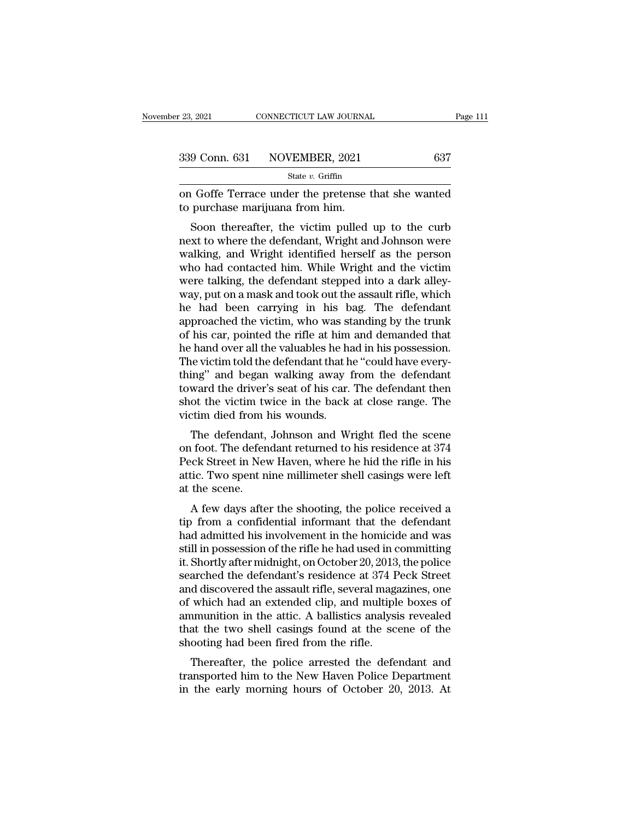| r 23, 2021 | CONNECTICUT LAW JOURNAL      | Page 111 |
|------------|------------------------------|----------|
|            | 339 Conn. 631 NOVEMBER, 2021 | 637      |
|            | State $v$ . Griffin          |          |

on Goffe Terrace under the pretense that she wanted to purchase marijuana from him. 339 Conn. 631 NOVEMBER, 2021<br>
<sup>State v. Griffin</sup><br>
on Goffe Terrace under the pretense to purchase marijuana from him.<br>
Soon thereafter, the victim pulled

 $\frac{9 \text{ Conn. } 631 \quad \text{NOVEMBER, } 2021 \quad \text{637}}{8 \text{ state } v. \text{ Griffith} }$ <br>
I Goffe Terrace under the pretense that she wanted<br>
purchase marijuana from him.<br>
Soon thereafter, the victim pulled up to the curb<br>
xt to where the defendant, Wri 339 Conn. 631 NOVEMBER, 2021 637<br>
State v. Griffin<br>
on Goffe Terrace under the pretense that she wanted<br>
to purchase marijuana from him.<br>
Soon thereafter, the victim pulled up to the curb<br>
next to where the defendant, Wri State v. Griffin<br>
on Goffe Terrace under the pretense that she wanted<br>
to purchase marijuana from him.<br>
Soon thereafter, the victim pulled up to the curb<br>
next to where the defendant, Wright and Johnson were<br>
walking, and on Goffe Terrace under the pretense that she wanted<br>to purchase marijuana from him.<br>Soon thereafter, the victim pulled up to the curb<br>next to where the defendant, Wright and Johnson were<br>walking, and Wright identified hers on Goffe Terrace under the pretense that she wanted<br>to purchase marijuana from him.<br>Soon thereafter, the victim pulled up to the curb<br>next to where the defendant, Wright and Johnson were<br>walking, and Wright identified hers We put chase maryuana front film.<br>
Soon thereafter, the victim pulled up to the curb<br>
next to where the defendant, Wright and Johnson were<br>
walking, and Wright identified herself as the person<br>
who had contacted him. While Soon thereafter, the victim pulled up to the curb<br>next to where the defendant, Wright and Johnson were<br>walking, and Wright identified herself as the person<br>who had contacted him. While Wright and the victim<br>were talking, t next to where the defendant, Wright and Johnson were<br>walking, and Wright identified herself as the person<br>who had contacted him. While Wright and the victim<br>were talking, the defendant stepped into a dark alley-<br>way, put o walking, and Wright identified herself as the person<br>who had contacted him. While Wright and the victim<br>were talking, the defendant stepped into a dark alley-<br>way, put on a mask and took out the assault rifle, which<br>he had who had contacted him. While Wright and the victim<br>were talking, the defendant stepped into a dark alley-<br>way, put on a mask and took out the assault rifle, which<br>he had been carrying in his bag. The defendant<br>approached t were talking, the defendant stepped into a dark alley-<br>way, put on a mask and took out the assault rifle, which<br>he had been carrying in his bag. The defendant<br>approached the victim, who was standing by the trunk<br>of his car way, put on a mask and took out the assault rifle, which<br>he had been carrying in his bag. The defendant<br>approached the victim, who was standing by the trunk<br>of his car, pointed the rifle at him and demanded that<br>he hand ov he had been carrying in his bag. The defendant<br>approached the victim, who was standing by the trunk<br>of his car, pointed the rifle at him and demanded that<br>he hand over all the valuables he had in his possession.<br>The victim approached the victim, who was standing by the trunk<br>of his car, pointed the rifle at him and demanded that<br>he hand over all the valuables he had in his possession.<br>The victim told the defendant that he "could have every-<br> of his car, pointed the rifle at him<br>he hand over all the valuables he ha<br>The victim told the defendant that h<br>thing" and began walking away 1<br>toward the driver's seat of his car.<br>shot the victim twice in the back<br>victim d The victim told the defendant that he "could have every-<br>ing" and began walking away from the defendant<br>ward the driver's seat of his car. The defendant then<br>ot the victim twice in the back at close range. The<br>ctim died fr The victim told the defendant that he could have every-<br>thing" and began walking away from the defendant<br>toward the driver's seat of his car. The defendant then<br>shot the victim twice in the back at close range. The<br>victim

rand began warking away from the defendant<br>toward the driver's seat of his car. The defendant then<br>shot the victim twice in the back at close range. The<br>victim died from his wounds.<br>The defendant, Johnson and Wright fled t at the victim twice in the back at close range. The victim died from his wounds.<br>The defendant, Johnson and Wright fled the scene on foot. The defendant returned to his residence at 374<br>Peck Street in New Haven, where he h shot the victin twictim died from I<br>The defendant,<br>on foot. The defen<br>Peck Street in Nev<br>attic. Two spent n<br>at the scene.<br>A few days afte The defendant, Johnson and Wright fled the scene<br>1 foot. The defendant returned to his residence at 374<br>cck Street in New Haven, where he hid the rifle in his<br>ic. Two spent nine millimeter shell casings were left<br>the scene The defendant, Johnson and Wright hed the scene<br>on foot. The defendant returned to his residence at 374<br>Peck Street in New Haven, where he hid the rifle in his<br>attic. Two spent nine millimeter shell casings were left<br>at th

Feck Street in New Haven, where he hid the rifle in his<br>attic. Two spent nine millimeter shell casings were left<br>at the scene.<br>A few days after the shooting, the police received a<br>tip from a confidential informant that th Feck street in New Haven, where he had the file in his<br>attic. Two spent nine millimeter shell casings were left<br>at the scene.<br>A few days after the shooting, the police received a<br>tip from a confidential informant that the attic. I wo spent nine numieter shen casings were left<br>at the scene.<br>A few days after the shooting, the police received a<br>tip from a confidential informant that the defendant<br>had admitted his involvement in the homicide an at the scene.<br>
A few days after the shooting, the police received a<br>
tip from a confidential informant that the defendant<br>
had admitted his involvement in the homicide and was<br>
still in possession of the rifle he had used A few days after the shooting, the police received a<br>tip from a confidential informant that the defendant<br>had admitted his involvement in the homicide and was<br>still in possession of the rifle he had used in committing<br>it. tip from a confidential informant that the defendant<br>had admitted his involvement in the homicide and was<br>still in possession of the rifle he had used in committing<br>it. Shortly after midnight, on October 20, 2013, the poli had admitted his involvement in the homicide and was<br>still in possession of the rifle he had used in committing<br>it. Shortly after midnight, on October 20, 2013, the police<br>searched the defendant's residence at 374 Peck Str still in possession of the rifle he had used in committing<br>it. Shortly after midnight, on October 20, 2013, the police<br>searched the defendant's residence at 374 Peck Street<br>and discovered the assault rifle, several magazin it. Shortly after midnight, on October 20, 2013<br>searched the defendant's residence at 374 F<br>and discovered the assault rifle, several mag:<br>of which had an extended clip, and multipl<br>ammunition in the attic. A ballistics an d discovered the assault rifle, several magazines, one<br>which had an extended clip, and multiple boxes of<br>munition in the attic. A ballistics analysis revealed<br>at the two shell casings found at the scene of the<br>ooting had and discovered the assault line, several magazines, one<br>of which had an extended clip, and multiple boxes of<br>ammunition in the attic. A ballistics analysis revealed<br>that the two shell casings found at the scene of the<br>shoo of which had an extended chp, and multiple boxes of<br>ammunition in the attic. A ballistics analysis revealed<br>that the two shell casings found at the scene of the<br>shooting had been fired from the rifle.<br>Thereafter, the polic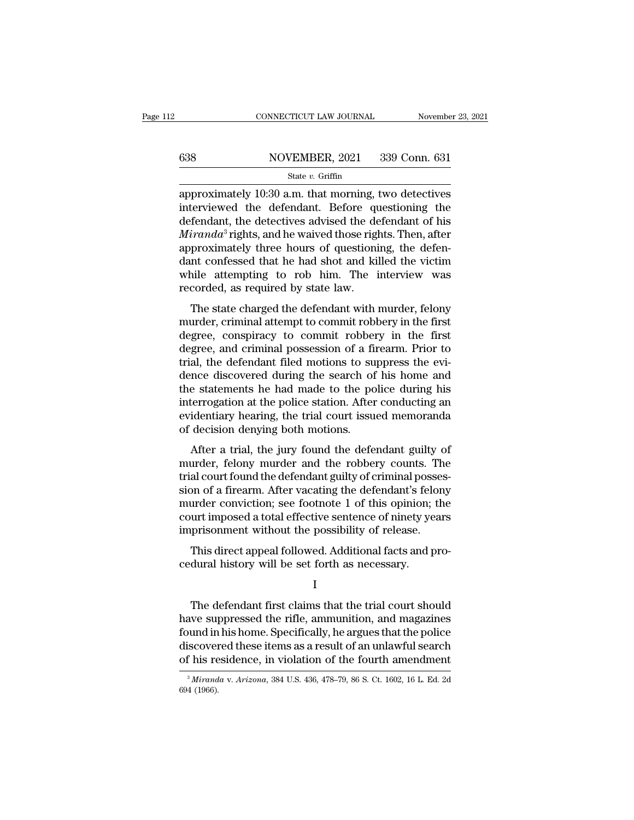# CONNECTICUT LAW JOURNAL November 23, 2021<br>638 NOVEMBER, 2021 339 Conn. 631<br>State v. Griffin

## State *v.* Griffin

 $\begin{array}{r|l} \text{CONRECTICUT LAW JOURNAL} & \text{November 23, 2021} \ \hline & \text{S38} & \text{NOVEMBER, 2021} & \text{339 Conn. 631} \ \hline & \text{State } v. \text{ Griffith} \ \hline & \text{approximately 10:30 a.m. that morning, two defectives} \ \hline & \text{intervised the defendant. Before questioning the department, the detectives adjusted the defendant of his.} \end{array}$ 638 NOVEMBER, 2021 339 Conn. 631<br>
state v. Griffin<br>
approximately 10:30 a.m. that morning, two detectives<br>
interviewed the defendant. Before questioning the<br>
defendant, the detectives advised the defendant of his<br> *Mixand* 638 NOVEMBER, 2021 339 Conn. 631<br>
State v. Griffin<br>
approximately 10:30 a.m. that morning, two detectives<br>
interviewed the defendant. Before questioning the<br>
defendant, the detectives advised the defendant of his<br> *Mirand* **MOVEMBER, 2021** 339 Conn. 631<br> **Miranda** state *v*. Griffin<br>
approximately 10:30 a.m. that morning, two detectives<br>
interviewed the defendant. Before questioning the<br>
defendant, the detectives advised the defendant of hi State v. Griffin<br>
approximately 10:30 a.m. that morning, two detectives<br>
interviewed the defendant. Before questioning the<br>
defendant, the detectives advised the defendant of his<br> *Miranda*<sup>3</sup> rights, and he waived those state v. Griftin<br>approximately 10:30 a.m. that morning, two detectives<br>interviewed the defendant. Before questioning the<br>defendant, the detectives advised the defendant of his<br>*Miranda*<sup>3</sup> rights, and he waived those righ approximately 10:30 a.m. that morning, two detectives<br>interviewed the defendant. Before questioning the<br>defendant, the detectives advised the defendant of his<br> $Miranda^3$  rights, and he waived those rights. Then, after<br>approxi interviewed the defendant. Before questionant, the detectives advised the de<br>*Miranda*<sup>3</sup> rights, and he waived those rightlapproximately three hours of questionidant confessed that he had shot and kil while attempting to  $\vec{r}$  and  $\vec{a}^3$  rights, and he waived those rights. Then, after<br>proximately three hours of questioning, the defen-<br>nt confessed that he had shot and killed the victim<br>nile attempting to rob him. The interview was<br>co mortulate rights, and he warved those rights. Then, and<br>approximately three hours of questioning, the defen-<br>dant confessed that he had shot and killed the victim<br>while attempting to rob him. The interview was<br>recorded, as

dant confessed that he had shot and killed the victim<br>while attempting to rob him. The interview was<br>recorded, as required by state law.<br>The state charged the defendant with murder, felony<br>murder, criminal attempt to commi dant concessed that he had shot and kined the vielin<br>while attempting to rob him. The interview was<br>recorded, as required by state law.<br>The state charged the defendant with murder, felony<br>murder, criminal attempt to commit whice attempting to 100 him. The interview was<br>recorded, as required by state law.<br>The state charged the defendant with murder, felony<br>murder, criminal attempt to commit robbery in the first<br>degree, conspiracy to commit ro The state charged the defendant with murder, felony<br>murder, criminal attempt to commit robbery in the first<br>degree, conspiracy to commit robbery in the first<br>degree, and criminal possession of a firearm. Prior to<br>trial, th The state charged the defendant with murder, felony<br>murder, criminal attempt to commit robbery in the first<br>degree, conspiracy to commit robbery in the first<br>degree, and criminal possession of a firearm. Prior to<br>trial, th murder, criminal attempt to commit robbery in the first<br>degree, conspiracy to commit robbery in the first<br>degree, and criminal possession of a firearm. Prior to<br>trial, the defendant filed motions to suppress the evi-<br>dence degree, conspiracy to commit robbery in the first<br>degree, and criminal possession of a firearm. Prior to<br>trial, the defendant filed motions to suppress the evi-<br>dence discovered during the search of his home and<br>the statem degree, and criminal possession of a fit<br>trial, the defendant filed motions to su<br>dence discovered during the search of<br>the statements he had made to the po<br>interrogation at the police station. After<br>evidentiary hearing, t after a trial, the defendant field motions to suppress the even-<br>nee discovered during the search of his home and<br>e statements he had made to the police during his<br>terrogation at the police station. After conducting an<br>ide define the statements he had made to the police during his<br>interrogation at the police station. After conducting an<br>evidentiary hearing, the trial court issued memoranda<br>of decision denying both motions.<br>After a trial, the

the statements he had made to the police during his<br>interrogation at the police station. After conducting an<br>evidentiary hearing, the trial court issued memoranda<br>of decision denying both motions.<br>After a trial, the jury f metrogation at the police station. After conducting an<br>evidentiary hearing, the trial court issued memoranda<br>of decision denying both motions.<br>After a trial, the jury found the defendant guilty of<br>murder, felony murder and evidentizity hearing, the trial court issued included<br>of decision denying both motions.<br>After a trial, the jury found the defendant guilty of<br>murder, felony murder and the robbery counts. The<br>trial court found the defendan or decision deriying both modolis.<br>After a trial, the jury found the defendant guilty of<br>murder, felony murder and the robbery counts. The<br>trial court found the defendant guilty of criminal posses-<br>sion of a firearm. After After a trial, the jury found the defendant guilty o<br>murder, felony murder and the robbery counts. The<br>trial court found the defendant guilty of criminal posses<br>sion of a firearm. After vacating the defendant's felon<br>murde all court found the defendant guilty of criminal posses-<br>all court found the defendant guilty of criminal posses-<br>an of a firearm. After vacating the defendant's felony<br>urder conviction; see footnote 1 of this opinion; the Final court found the detendant guity of effinitial possible side in the detendant guity of effinition; court imposed a total effective sentence of ninety ye imprisonment without the possibility of release.<br>This direct app

I and the set of  $\mathbf I$ 

The defendant first claims that the trial court should<br>This direct appeal followed. Additional facts and pro-<br>dural history will be set forth as necessary.<br>I<br>The defendant first claims that the trial court should<br>we suppre map assumed the possibility of reference.<br>This direct appeal followed. Additional facts and pro-<br>cedural history will be set forth as necessary.<br>I<br>The defendant first claims that the trial court should<br>have suppressed the This direct appeal followed. Additional facts and pro-<br>cedural history will be set forth as necessary.<br>I<br>The defendant first claims that the trial court should<br>have suppressed the rifle, ammunition, and magazines<br>found in cedural history will be set forth as necessary.<br>
I<br>
The defendant first claims that the trial court should<br>
have suppressed the rifle, ammunition, and magazines<br>
found in his home. Specifically, he argues that the police<br> I<br>The defendant first claims that the trial court should<br>have suppressed the rifle, ammunition, and magazines<br>found in his home. Specifically, he argues that the police<br>discovered these items as a result of an unlawful se have suppressed the rifle, ammunition, and magazines found in his home. Specifically, he argues that the police discovered these items as a result of an unlawful search of his residence, in violation of the fourth amendmen of his residence, in violation of the fourth amendment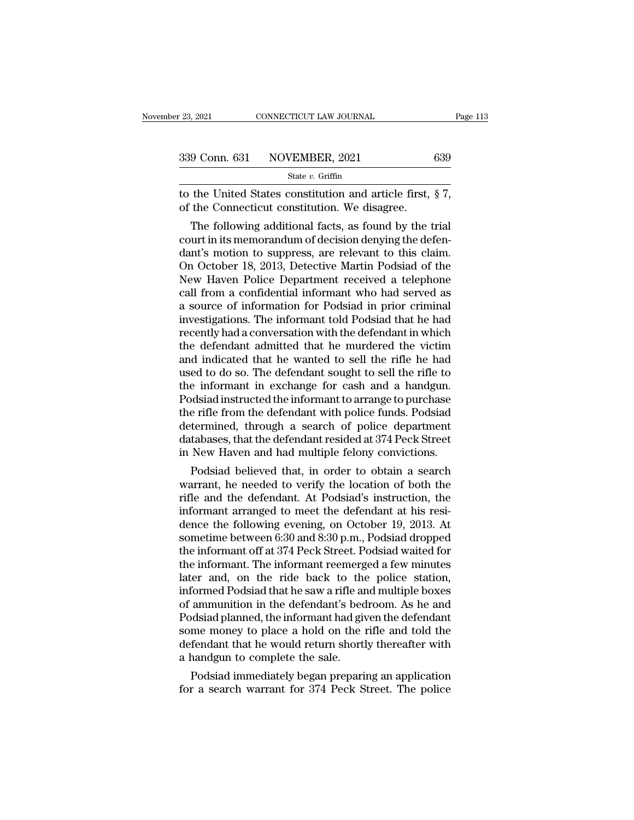| r 23, 2021 | CONNECTICUT LAW JOURNAL      | Page 113 |
|------------|------------------------------|----------|
|            | 339 Conn. 631 NOVEMBER, 2021 | 639      |
|            | State $v$ . Griffin          |          |

to the United States constitution. We disagree.<br>
The United States constitution and article first,  $\S 7$ ,<br>
The United States constitution and article first,  $\S 7$ ,<br>
The Connecticut constitution. We disagree. 339 Conn. 631 NOVEMBER, 2021<br>
State v. Griffin<br>
to the United States constitution and article first,<br>
of the Connecticut constitution. We disagree.<br>
The following additional facts, as found by the t

9 Conn. 631 NOVEMBER, 2021 639<br>
State v. Griffin<br>
the United States constitution and article first, § 7,<br>
the Connecticut constitution. We disagree.<br>
The following additional facts, as found by the trial<br>
urt in its memor 339 Conn. 631 NOVEMBER, 2021 639<br>
State v. Griffin<br>
to the United States constitution and article first, § 7,<br>
of the Connecticut constitution. We disagree.<br>
The following additional facts, as found by the trial<br>
court in State v. Griffin<br>to the United States constitution and article first, § 7,<br>of the Connecticut constitution. We disagree.<br>The following additional facts, as found by the trial<br>court in its memorandum of decision denying th to the United States constitution and article first,  $\S 7$ ,<br>of the Connecticut constitution. We disagree.<br>The following additional facts, as found by the trial<br>court in its memorandum of decision denying the defen-<br>dant's to the United States constitution and article first, § 7,<br>of the Connecticut constitution. We disagree.<br>The following additional facts, as found by the trial<br>court in its memorandum of decision denying the defen-<br>dant's mo or the Connecticut constitution. We disagree.<br>
The following additional facts, as found by the trial<br>
court in its memorandum of decision denying the defen-<br>
dant's motion to suppress, are relevant to this claim.<br>
On Octob The following additional facts, as found by the trial<br>court in its memorandum of decision denying the defen-<br>dant's motion to suppress, are relevant to this claim.<br>On October 18, 2013, Detective Martin Podsiad of the<br>New H court in its memorandum of decision denying the defen-<br>dant's motion to suppress, are relevant to this claim.<br>On October 18, 2013, Detective Martin Podsiad of the<br>New Haven Police Department received a telephone<br>call from dant's motion to suppress, are relevant to this claim.<br>On October 18, 2013, Detective Martin Podsiad of the<br>New Haven Police Department received a telephone<br>call from a confidential informant who had served as<br>a source of On October 18, 2013, Detective Martin Podsiad of the<br>New Haven Police Department received a telephone<br>call from a confidential informant who had served as<br>a source of information for Podsiad in prior criminal<br>investigation New Haven Police Department received a telephone<br>call from a confidential informant who had served as<br>a source of information for Podsiad in prior criminal<br>investigations. The informant told Podsiad that he had<br>recently ha call from a confidential informant who had served as<br>a source of information for Podsiad in prior criminal<br>investigations. The informant told Podsiad that he had<br>recently had a conversation with the defendant in which<br>the a source of information for Podsiad in prior criminal<br>investigations. The informant told Podsiad that he had<br>recently had a conversation with the defendant in which<br>the defendant admitted that he murdered the victim<br>and in investigations. The informant told Podsiad that he had<br>recently had a conversation with the defendant in which<br>the defendant admitted that he murdered the victim<br>and indicated that he wanted to sell the rifle he had<br>used t recently had a conversation with the defendant in which<br>the defendant admitted that he murdered the victim<br>and indicated that he wanted to sell the rifle he had<br>used to do so. The defendant sought to sell the rifle to<br>the the defendant admitted that he murdered the victim<br>and indicated that he wanted to sell the rifle he had<br>used to do so. The defendant sought to sell the rifle to<br>the informant in exchange for cash and a handgun.<br>Podsiad in and indicated that he wanted to sell the rifle he had<br>used to do so. The defendant sought to sell the rifle to<br>the informant in exchange for cash and a handgun.<br>Podsiad instructed the informant to arrange to purchase<br>the r used to do so. The defendant sought to sell the rifle to<br>the informant in exchange for cash and a handgun.<br>Podsiad instructed the informant to arrange to purchase<br>the rifle from the defendant with police funds. Podsiad<br>det e miormant in exchange for cash and a nandgun.<br>
dsiad instructed the informant to arrange to purchase<br>
e rifle from the defendant with police funds. Podsiad<br>
termined, through a search of police department<br>
tabases, that t Poasiaa instructed the informant to arrange to purchase<br>the rifle from the defendant with police funds. Podsiad<br>determined, through a search of police department<br>databases, that the defendant resided at 374 Peck Street<br>in

the rifle from the defendant with police runds. Podsiad<br>determined, through a search of police department<br>databases, that the defendant resided at 374 Peck Street<br>in New Haven and had multiple felony convictions.<br>Podsiad b databases, that the defendant resided at 374 Peck Street<br>in New Haven and had multiple felony convictions.<br>Podsiad believed that, in order to obtain a search<br>warrant, he needed to verify the location of both the<br>rifle and databases, that the defendant resided at  $374$  Peck Street<br>in New Haven and had multiple felony convictions.<br>Podsiad believed that, in order to obtain a search<br>warrant, he needed to verify the location of both the<br>rifle a In New Haven and nad multiple relony convictions.<br>Podsiad believed that, in order to obtain a search<br>warrant, he needed to verify the location of both the<br>rifle and the defendant. At Podsiad's instruction, the<br>informant ar Podsiad believed that, in order to obtain a search<br>warrant, he needed to verify the location of both the<br>rifle and the defendant. At Podsiad's instruction, the<br>informant arranged to meet the defendant at his resi-<br>dence th warrant, he needed to verify the location of both the<br>rifle and the defendant. At Podsiad's instruction, the<br>informant arranged to meet the defendant at his resi-<br>dence the following evening, on October 19, 2013. At<br>someti rifle and the defendant. At Podsiad's instruction, the<br>informant arranged to meet the defendant at his resi-<br>dence the following evening, on October 19, 2013. At<br>sometime between 6:30 and 8:30 p.m., Podsiad dropped<br>the inf informant arranged to meet the defendant at his residence the following evening, on October 19, 2013. At sometime between 6:30 and 8:30 p.m., Podsiad dropped the informant off at 374 Peck Street. Podsiad waited for the inf dence the following evening, on October 19, 2013. At<br>sometime between 6:30 and 8:30 p.m., Podsiad dropped<br>the informant off at 374 Peck Street. Podsiad waited for<br>the informant. The informant reemerged a few minutes<br>later sometime between 6:30 and 8:30 p.m., Podsiad dropped<br>the informant off at 374 Peck Street. Podsiad waited for<br>the informant. The informant reemerged a few minutes<br>later and, on the ride back to the police station,<br>informed the informant off at 374 Peck Street. Podsiad waited for<br>the informant. The informant reemerged a few minutes<br>later and, on the ride back to the police station,<br>informed Podsiad that he saw a rifle and multiple boxes<br>of am the informant. The informant reemerged a few minutes<br>later and, on the ride back to the police station,<br>informed Podsiad that he saw a rifle and multiple boxes<br>of ammunition in the defendant's bedroom. As he and<br>Podsiad pl later and, on the ride back to the<br>informed Podsiad that he saw a rifle are<br>of ammunition in the defendant's bed<br>Podsiad planned, the informant had give<br>some money to place a hold on the i<br>defendant that he would return sh formed Podsiad that he saw a rifle and multiple boxes<br>ammunition in the defendant's bedroom. As he and<br>ddsiad planned, the informant had given the defendant<br>me money to place a hold on the rifle and told the<br>fendant that h or ammunition in the defendant s bedroom. As he and<br>Podsiad planned, the informant had given the defendant<br>some money to place a hold on the rifle and told the<br>defendant that he would return shortly thereafter with<br>a handg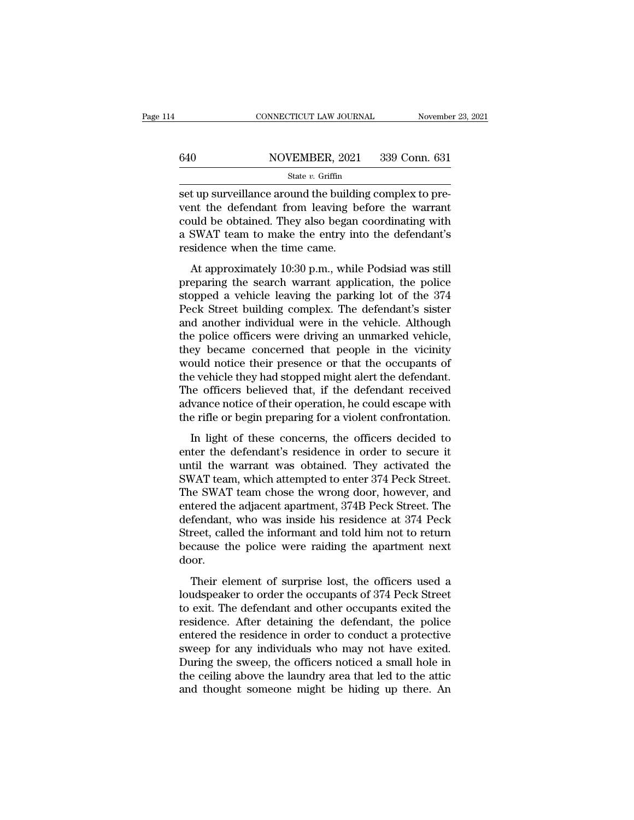# CONNECTICUT LAW JOURNAL November 23, 2021<br>640 NOVEMBER, 2021 339 Conn. 631<br>State v. Griffin

State *v.* Griffin

CONNECTICUT LAW JOURNAL November<br>
Set up surveillance around the building complex to pre-<br>
Set up surveillance around the building complex to pre-<br>
Nevent the defendant from leaving before the warrant<br>
set up shown are als 640 NOVEMBER, 2021 339 Conn. 631<br>
State v. Griffin<br>
set up surveillance around the building complex to pre-<br>
vent the defendant from leaving before the warrant<br>
could be obtained. They also began coordinating with<br>
a SWAT 640 NOVEMBER, 2021 339 Conn. 631<br>
State v. Griffin<br>
Set up surveillance around the building complex to pre-<br>
vent the defendant from leaving before the warrant<br>
could be obtained. They also began coordinating with<br>
a SWAT  $\frac{\text{S40}}{\text{State } v. \text{ GriffithBER, 2021}}$  339 Conn. 631<br>
set up surveillance around the building complex to pre-<br>
vent the defendant from leaving before the warrant<br>
could be obtained. They also began coordinating with<br>
a SWAT team  $\begin{array}{r}\n\hline\n\text{state } v.\text{ Griffiths, 202} \\
\hline\n\text{state } v.\text{ Griffiths}\n\end{array}$ t up surveillance around the building complex to pre-<br>nt the defendant from leaving before the warrant<br>uld be obtained. They also began coordinating with<br>SWAT team to make the entry into the defendant's<br>sidence when the ti bet up surventance around the bunding complex to prevent the defendant from leaving before the warrant could be obtained. They also began coordinating with a SWAT team to make the entry into the defendant's residence when

From the determinant from feaving before the warrant<br>could be obtained. They also began coordinating with<br>a SWAT team to make the entry into the defendant's<br>residence when the time came.<br>At approximately 10:30 p.m., while a SWAT team to make the entry into the defendant's<br>residence when the time came.<br>At approximately 10:30 p.m., while Podsiad was still<br>preparing the search warrant application, the police<br>stopped a vehicle leaving the parki a swift team to make the entry mio the determinant s<br>residence when the time came.<br>At approximately 10:30 p.m., while Podsiad was still<br>preparing the search warrant application, the police<br>stopped a vehicle leaving the par At approximately 10:30 p.m., while Podsiad was still<br>preparing the search warrant application, the police<br>stopped a vehicle leaving the parking lot of the 374<br>Peck Street building complex. The defendant's sister<br>and anothe At approximately 10:30 p.m., while Podsiad was still<br>preparing the search warrant application, the police<br>stopped a vehicle leaving the parking lot of the 374<br>Peck Street building complex. The defendant's sister<br>and anothe preparing the search warrant application, the police<br>stopped a vehicle leaving the parking lot of the 374<br>Peck Street building complex. The defendant's sister<br>and another individual were in the vehicle. Although<br>the police stopped a vehicle leaving the parking lot of the 374<br>Peck Street building complex. The defendant's sister<br>and another individual were in the vehicle. Although<br>the police officers were driving an unmarked vehicle,<br>they beca Peck Street building complex. The defendant's sister<br>and another individual were in the vehicle. Although<br>the police officers were driving an unmarked vehicle,<br>they became concerned that people in the vicinity<br>would notice and another individual were in the vehicle. Although<br>the police officers were driving an unmarked vehicle,<br>they became concerned that people in the vicinity<br>would notice their presence or that the occupants of<br>the vehicle the police officers were driving an unmarked vehicle,<br>they became concerned that people in the vicinity<br>would notice their presence or that the occupants of<br>the vehicle they had stopped might alert the defendant.<br>The offic by security enterined and people in the vientity<br>and notice their presence or that the occupants of<br>e vehicle they had stopped might alert the defendant.<br>the officers believed that, if the defendant received<br>vance notice o the vehicle they had stopped might alert the defendant.<br>The officers believed that, if the defendant received<br>advance notice of their operation, he could escape with<br>the rifle or begin preparing for a violent confrontatio

The officers believed that, if the defendant received<br>advance notice of their operation, he could escape with<br>the rifle or begin preparing for a violent confrontation.<br>In light of these concerns, the officers decided to<br>en The officers seneved and, if are determined received<br>advance notice of their operation, he could escape with<br>the rifle or begin preparing for a violent confrontation.<br>In light of these concerns, the officers decided to<br>ent the rifle or begin preparing for a violent confrontation.<br>
In light of these concerns, the officers decided to<br>
enter the defendant's residence in order to secure it<br>
until the warrant was obtained. They activated the<br>
SWA In light of these concerns, the officers decided to<br>enter the defendant's residence in order to secure it<br>until the warrant was obtained. They activated the<br>SWAT team, which attempted to enter 374 Peck Street.<br>The SWAT tea In light of these concerns, the officers decided to<br>enter the defendant's residence in order to secure it<br>until the warrant was obtained. They activated the<br>SWAT team, which attempted to enter 374 Peck Street.<br>The SWAT tea enter the defendant's residence in order to secure it<br>until the warrant was obtained. They activated the<br>SWAT team, which attempted to enter 374 Peck Street.<br>The SWAT team chose the wrong door, however, and<br>entered the adj until the warrant was obtained. They activated the SWAT team, which attempted to enter 374 Peck Street. The SWAT team chose the wrong door, however, and entered the adjacent apartment, 374B Peck Street. The defendant, who door. tered the adjacent apartment, 374B Peck Street. The fendant, who was inside his residence at 374 Peck<br>reet, called the informant and told him not to return<br>cause the police were raiding the apartment next<br>oor.<br>Their elemen defendant, who was inside his residence at 374 Peck<br>defendant, who was inside his residence at 374 Peck<br>Street, called the informant and told him not to return<br>because the police were raiding the apartment next<br>door.<br>Their

Street, called the informant and told him not to return<br>because the police were raiding the apartment next<br>door.<br>Their element of surprise lost, the officers used a<br>loudspeaker to order the occupants of 374 Peck Street<br>to because the police were raiding the apartment next<br>door.<br>Their element of surprise lost, the officers used a<br>loudspeaker to order the occupants of 374 Peck Street<br>to exit. The defendant and other occupants exited the<br>resid door.<br>
Their element of surprise lost, the officers used a<br>
loudspeaker to order the occupants of 374 Peck Street<br>
to exit. The defendant and other occupants exited the<br>
residence. After detaining the defendant, the police Their element of surprise lost, the officers used a loudspeaker to order the occupants of 374 Peck Street to exit. The defendant and other occupants exited the residence. After detaining the defendant, the police entered t Their element of surprise lost, the officers used a<br>loudspeaker to order the occupants of 374 Peck Street<br>to exit. The defendant and other occupants exited the<br>residence. After detaining the defendant, the police<br>entered t loudspeaker to order the occupants of 374 Peck Street<br>to exit. The defendant and other occupants exited the<br>residence. After detaining the defendant, the police<br>entered the residence in order to conduct a protective<br>sweep to exit. The defendant and other occupants exited the residence. After detaining the defendant, the police entered the residence in order to conduct a protective sweep for any individuals who may not have exited. During th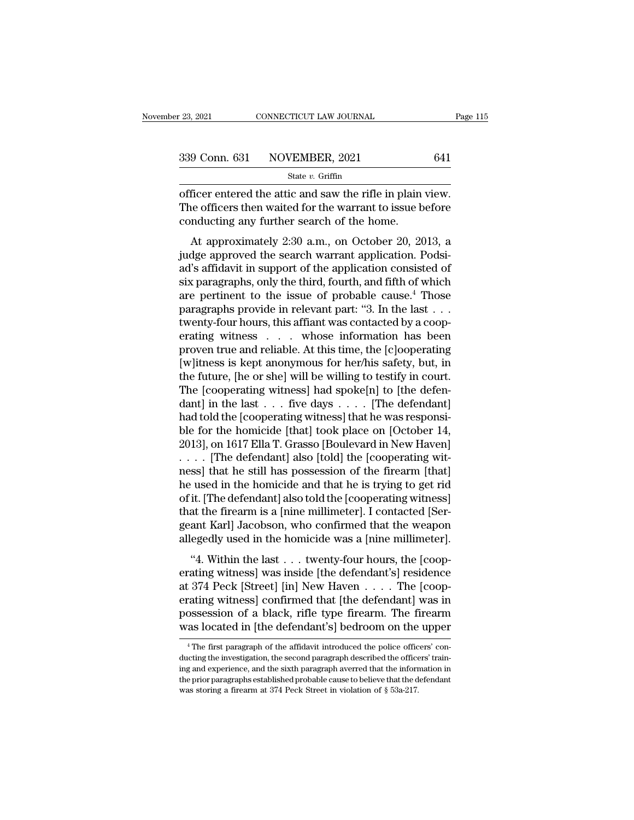<sup>23, 2021</sup> CONNECTICUT LAW JOURNAL Page<br>  $\frac{339 \text{ Conn. } 631 \text{ NOVEMBER, } 2021}{}$  641<br>
State v. Griffin<br>
officer entered the attic and saw the rifle in plain view.<br>
The officers then waited for the warrant to issue before<br>
cond 339 Conn. 631 NOVEMBER, 2021 641<br>
State v. Griffin<br>
officer entered the attic and saw the rifle in plain view.<br>
The officers then waited for the warrant to issue before<br>
conducting any further search of the home. 339 Conn. 631 NOVEMBER, 2021<br>
State v. Griffin<br>
officer entered the attic and saw the rifle in plain<br>
The officers then waited for the warrant to issue b<br>
conducting any further search of the home.<br>
At approximately 2:30 9 Conn. 631 NOVEMBER, 2021 641<br>
State v. Griffin<br>
ficer entered the attic and saw the rifle in plain view.<br>
ne officers then waited for the warrant to issue before<br>
nducting any further search of the home.<br>
At approximate

State v. Griffin<br>
State v. Griffin<br>
State v. Griffin<br>
The officers then waited for the warrant to issue before<br>
conducting any further search of the home.<br>
At approximately 2:30 a.m., on October 20, 2013, a<br>
judge approve officer entered the attic and saw the rifle in plain view.<br>The officers then waited for the warrant to issue before<br>conducting any further search of the home.<br>At approximately 2:30 a.m., on October 20, 2013, a<br>judge appro Since the active and saw the fifteen plaint view.<br>The officers then waited for the warrant to issue before<br>conducting any further search of the home.<br>At approximately 2:30 a.m., on October 20, 2013, a<br>judge approved the se rhe officers their wanted for the warrant to issue octore<br>conducting any further search of the home.<br>At approximately 2:30 a.m., on October 20, 2013, a<br>judge approved the search warrant application. Podsi-<br>ad's affidavit i At approximately 2:30 a.m., on October 20, 2013, a<br>judge approved the search warrant application. Podsi-<br>ad's affidavit in support of the application consisted of<br>six paragraphs, only the third, fourth, and fifth of which At approximately 2:30 a.m., on October 20, 2013, a<br>judge approved the search warrant application. Podsi-<br>ad's affidavit in support of the application consisted of<br>six paragraphs, only the third, fourth, and fifth of which judge approved the search warrant application. Podsi-<br>ad's affidavit in support of the application consisted of<br>six paragraphs, only the third, fourth, and fifth of which<br>are pertinent to the issue of probable cause.<sup>4</sup> Th ad's affidavit in support of the application consisted of<br>six paragraphs, only the third, fourth, and fifth of which<br>are pertinent to the issue of probable cause.<sup>4</sup> Those<br>paragraphs provide in relevant part: "3. In the la six paragraphs, only the third, fourth, and fifth of which<br>are pertinent to the issue of probable cause.<sup>4</sup> Those<br>paragraphs provide in relevant part: "3. In the last  $\dots$ <br>twenty-four hours, this affiant was contacted by are pertinent to the issue of probable cause.<sup>4</sup> Those<br>paragraphs provide in relevant part: "3. In the last . . .<br>twenty-four hours, this affiant was contacted by a coop-<br>erating witness . . . whose information has been<br>p paragraphs provide in relevant part: "3. In the last . . . twenty-four hours, this affiant was contacted by a cooperating witness . . . . whose information has been proven true and reliable. At this time, the [c]ooperatin twenty-four hours, this affiant was contacted by a coop-<br>erating witness . . . . whose information has been<br>proven true and reliable. At this time, the [c]ooperating<br>[w]itness is kept anonymous for her/his safety, but, in<br> erating witness  $\ldots$  whose information has been<br>proven true and reliable. At this time, the [c]ooperating<br>[w]itness is kept anonymous for her/his safety, but, in<br>the future, [he or she] will be willing to testify in cour proven true and reliable. At this time, the [c]ooperating<br>[w]itness is kept anonymous for her/his safety, but, in<br>the future, [he or she] will be willing to testify in court.<br>The [cooperating witness] had spoke[n] to [the [w]itness is kept anonymous for her/his safety, but, in<br>the future, [he or she] will be willing to testify in court.<br>The [cooperating witness] had spoke[n] to [the defen-<br>dant] in the last . . . five days . . . . [The defe the future, [he or she] will be willing to testify in court.<br>The [cooperating witness] had spoke[n] to [the defendant] in the last  $\ldots$  five days  $\ldots$  . [The defendant]<br>had told the [cooperating witness] that he was res The [cooperating witness] had spoke[n] to [the defendant] in the last  $\dots$  five days  $\dots$  [The defendant] had told the [cooperating witness] that he was responsible for the homicide [that] took place on [October 14, 2013] dant] in the last  $\dots$  five days  $\dots$  . [The defendant]<br>had told the [cooperating witness] that he was responsi-<br>ble for the homicide [that] took place on [October 14,<br>2013], on 1617 Ella T. Grasso [Boulevard in New Haven had told the [cooperating witness] that he was responsi-<br>ble for the homicide [that] took place on [October 14,<br>2013], on 1617 Ella T. Grasso [Boulevard in New Haven]<br>. . . . . [The defendant] also [told] the [cooperating ble for the homicide [that] took place on [October 14, 2013], on 1617 Ella T. Grasso [Boulevard in New Haven]<br>.... [The defendant] also [told] the [cooperating witness] that he still has possession of the firearm [that]<br>he 2013], on 1617 Ella T. Grasso [Boulevard in New Haven]<br>.... [The defendant] also [told] the [cooperating wit-<br>ness] that he still has possession of the firearm [that]<br>he used in the homicide and that he is trying to get ri .... [The defendant] also [told] the [cooperating witness] that he still has possession of the firearm [that] he used in the homicide and that he is trying to get rid of it. [The defendant] also told the [cooperating witne Example 18 and that he is trying to get rid<br>
it. [The defendant] also told the [cooperating witness]<br>
at the firearm is a [nine millimeter]. I contacted [Ser-<br>
ant Karl] Jacobson, who confirmed that the weapon<br>
egedly use erative in the homicide and that it is a gring to get ride<br>of it. [The defendant] also told the [cooperating witness]<br>that the firearm is a [nine millimeter]. I contacted [Ser-<br>geant Karl] Jacobson, who confirmed that the

of it. The detendant also total the prooperating whitess<br>that the firearm is a [nine millimeter]. I contacted [Sergeant Karl] Jacobson, who confirmed that the weapon<br>allegedly used in the homicide was a [nine millimeter]. erative incarn is a plane numinoter problem of the defendant and degree at Karl Jacobson, who confirmed that the weapon allegedly used in the homicide was a [nine millimeter].<br>
"4. Within the last . . . twenty-four hours, geand Karl backbook, who committed and the weapont<br>allegedly used in the homicide was a [nine millimeter].<br>"4. Within the last . . . twenty-four hours, the [coop-<br>erating witness] was inside [the defendant's] residence<br>at "4. Within the last  $\ldots$  twenty-four hours, the [cooperating witness] was inside [the defendant's] residence at 374 Peck [Street] [in] New Haven  $\ldots$ . The [cooperating witness] confirmed that [the defendant] was in poss  $1374$  Peck [Street] [In] New Haven  $\ldots$  The [coop-<br>rating witness] confirmed that [the defendant] was in<br>ossession of a black, rifle type firearm. The firearm<br>as located in [the defendant's] bedroom on the upper<br> $\frac{4}{\$ erating witness] confirmed that [the defendant] was in<br>possession of a black, rifle type firearm. The firearm<br>was located in [the defendant's] bedroom on the upper<br><sup>4</sup>The first paragraph of the affidavit introduced the pol

possession of a black, rifle type firearm. The firearm<br>was located in [the defendant's] bedroom on the upper<br><sup>4</sup>The first paragraph of the affidavit introduced the police officers' con-<br>ducting the investigation, the secon was located in [the defendant's] bedroom on the upper<br>  $^{4}$ The first paragraph of the affidavit introduced the police officers' con-<br>
ducting the investigation, the second paragraph described the officers' train-<br>
ing an <sup>4</sup> The first paragraph of the affidavit introduced the police officers' conducting the investigation, the second paragraph described the officers' training and experience, and the sixth paragraph averred that the informa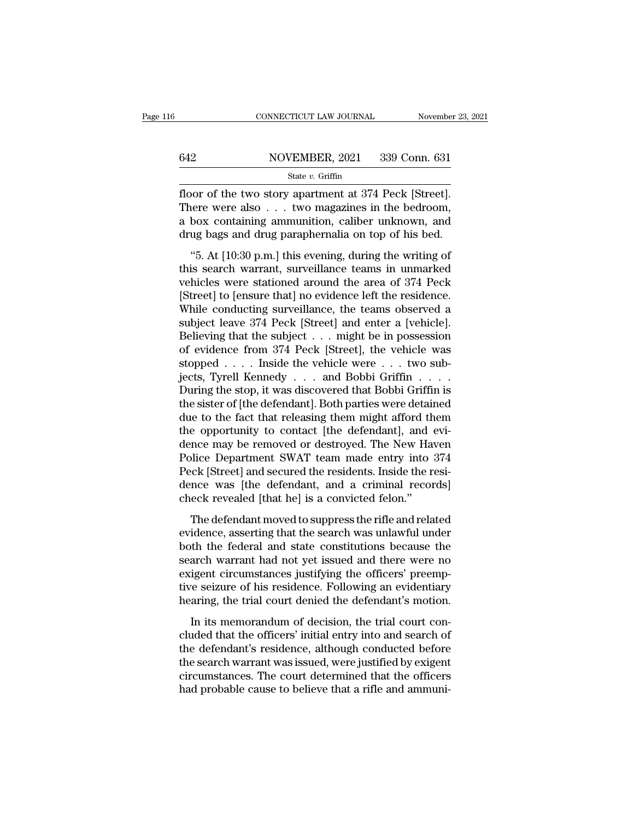# CONNECTICUT LAW JOURNAL November 23, 2021<br>642 NOVEMBER, 2021 339 Conn. 631<br>State v. Griffin

## State *v.* Griffin

FROMMETICUT LAW JOURNAL Movember 23, 2<br>  $\begin{array}{r}\n 642 \hspace{1cm} \text{NOVEMBER, 2021} \hspace{1cm} 339 \text{ Conn. } 631 \\
 \hline\n \text{State } v. \text{ Griffith} \n\end{array}$ <br>
floor of the two story apartment at 374 Peck [Street].<br>
There were also . . . two magazines in the  $\begin{array}{r} \n 642 \quad \text{NOVEMBER, 2021} \quad 339 \text{ Conn. } 631 \n \hline \n 544 \quad \text{State } v. \text{ Griffiths} \n \end{array}$ <br>
There were also . . . two magazines in the bedroom,<br>
a box containing ammunition, caliber unknown, and<br>
drug bags and drug parapheralia on 642 NOVEMBER, 2021 339 Conn. 631<br>
State v. Griffin<br>
floor of the two story apartment at 374 Peck [Street].<br>
There were also . . . two magazines in the bedroom,<br>
a box containing ammunition, caliber unknown, and<br>
drug bags 642 NOVEMBER, 2021 339 Conn. 631<br>
5tate *v*. Griffin<br>
floor of the two story apartment at 374 Peck [Street].<br>
There were also . . . two magazines in the bedroom,<br>
a box containing ammunition, caliber unknown, and<br>
drug ba State *v*. Griffin<br>
state *v*. Griffin<br>
state *v*. Griffin<br>
state in the bedroom,<br>
box containing ammunition, caliber unknown, and<br>
ug bags and drug paraphernalia on top of his bed.<br>
"5. At [10:30 p.m.] this evening, duri floor of the two story apartment at 374 Peck [Street].<br>There were also  $\dots$  two magazines in the bedroom,<br>a box containing ammunition, caliber unknown, and<br>drug bags and drug paraphernalia on top of his bed.<br>"5. At [10:30

There were also  $\dots$  two magazines in the bedroom,<br>a box containing ammunition, caliber unknown, and<br>drug bags and drug paraphernalia on top of his bed.<br>"5. At [10:30 p.m.] this evening, during the writing of<br>this search Fricte were also  $\cdot \cdot \cdot$  wo magazines in the bethoom,<br>a box containing ammunition, caliber unknown, and<br>drug bags and drug paraphernalia on top of his bed.<br>"5. At [10:30 p.m.] this evening, during the writing of<br>this sea drug bags and drug paraphernalia on top of his bed.<br>
"5. At [10:30 p.m.] this evening, during the writing of<br>
this search warrant, surveillance teams in unmarked<br>
vehicles were stationed around the area of 374 Peck<br>
[Stree "5. At [10:30 p.m.] this evening, during the writing of<br>this search warrant, surveillance teams in unmarked<br>vehicles were stationed around the area of 374 Peck<br>[Street] to [ensure that] no evidence left the residence.<br>Whi "5. At [10:30 p.m.] this evening, during the writing of<br>this search warrant, surveillance teams in unmarked<br>vehicles were stationed around the area of 374 Peck<br>[Street] to [ensure that] no evidence left the residence.<br>Whi this search warrant, surveillance teams in unmarked<br>vehicles were stationed around the area of 374 Peck<br>[Street] to [ensure that] no evidence left the residence.<br>While conducting surveillance, the teams observed a<br>subject vehicles were stationed around the area of 374 Peck<br>[Street] to [ensure that] no evidence left the residence.<br>While conducting surveillance, the teams observed a<br>subject leave 374 Peck [Street] and enter a [vehicle].<br>Belie [Street] to [ensure that] no evidence left the residence.<br>While conducting surveillance, the teams observed a<br>subject leave 374 Peck [Street] and enter a [vehicle].<br>Believing that the subject . . . might be in possession<br>o While conducting surveillance, the teams observed a<br>subject leave 374 Peck [Street] and enter a [vehicle].<br>Believing that the subject . . . might be in possession<br>of evidence from 374 Peck [Street], the vehicle was<br>stoppe subject leave 374 Peck [Street] and enter a [vehicle].<br>Believing that the subject . . . might be in possession<br>of evidence from 374 Peck [Street], the vehicle was<br>stopped . . . . Inside the vehicle were . . . two sub-<br>ject Believing that the subject . . . might be in possession<br>of evidence from 374 Peck [Street], the vehicle was<br>stopped . . . . Inside the vehicle were . . . two sub-<br>jects, Tyrell Kennedy . . . and Bobbi Griffin . . . .<br>Durin of evidence from 374 Peck [Street], the vehicle was<br>stopped . . . . Inside the vehicle were . . . two sub-<br>jects, Tyrell Kennedy . . . and Bobbi Griffin . . . .<br>During the stop, it was discovered that Bobbi Griffin is<br>the stopped . . . . Inside the vehicle were . . . two subjects, Tyrell Kennedy . . . and Bobbi Griffin . . . . During the stop, it was discovered that Bobbi Griffin is the sister of [the defendant]. Both parties were detained jects, Tyrell Kennedy . . . and Bobbi Griffin . . . .<br>During the stop, it was discovered that Bobbi Griffin is<br>the sister of [the defendant]. Both parties were detained<br>due to the fact that releasing them might afford them During the stop, it was discovered that Bobbi Griffin is<br>the sister of [the defendant]. Both parties were detained<br>due to the fact that releasing them might afford them<br>the opportunity to contact [the defendant], and evi-<br> the sister of [the defendant]. Both parties were detained<br>due to the fact that releasing them might afford them<br>the opportunity to contact [the defendant], and evi-<br>dence may be removed or destroyed. The New Haven<br>Police D due to the fact that releasing them might afford th<br>the opportunity to contact [the defendant], and  $\alpha$ <br>dence may be removed or destroyed. The New Har<br>Police Department SWAT team made entry into<br>Peck [Street] and secured The defendant moved or destroyed. The New Haven<br>note may be removed or destroyed. The New Haven<br>lice Department SWAT team made entry into 374<br>cck [Street] and secured the residents. Inside the resi-<br>note was [the defendant Folice Department SWAT team made entry into 374<br>Peck [Street] and secured the residents. Inside the resi-<br>dence was [the defendant, and a criminal records]<br>check revealed [that he] is a convicted felon."<br>The defendant move

Feck [Street] and secured the residents. Inside the residence was [the defendant, and a criminal records]<br>check revealed [that he] is a convicted felon."<br>The defendant moved to suppress the rifle and related<br>evidence, asse Following the defendant, and a criminal records<br>dence was [the defendant, and a criminal records]<br>check revealed [that he] is a convicted felon."<br>The defendant moved to suppress the rifle and related<br>evidence, asserting th existed that help is a convicted felon."<br>
The defendant moved to suppress the rifle and related<br>
evidence, asserting that the search was unlawful under<br>
both the federal and state constitutions because the<br>
search warrant The defendant moved to suppress the rifle and related<br>evidence, asserting that the search was unlawful under<br>both the federal and state constitutions because the<br>search warrant had not yet issued and there were no<br>exigent The defendant moved to suppress the rifle and related<br>evidence, asserting that the search was unlawful under<br>both the federal and state constitutions because the<br>search warrant had not yet issued and there were no<br>exigent In the federal and state constitutions because the<br>arch warrant had not yet issued and there were no<br>igent circumstances justifying the officers' preemp-<br>re seizure of his residence. Following an evidentiary<br>aring, the tri search warrant had not yet issued and there were no<br>exigent circumstances justifying the officers' preemp-<br>tive seizure of his residence. Following an evidentiary<br>hearing, the trial court denied the defendant's motion.<br>In

Example of the defendant of yet issued and dicte were no<br>exigent circumstances justifying the officers' preemp-<br>tive seizure of his residence. Following an evidentiary<br>hearing, the trial court denied the defendant's motion tive seizure of his residence. Following an evidentiary<br>tive seizure of his residence. Following an evidentiary<br>hearing, the trial court denied the defendant's motion.<br>In its memorandum of decision, the trial court con-<br>cl cive scheme of this restance. To showing an evaluation,<br>hearing, the trial court denied the defendant's motion.<br>In its memorandum of decision, the trial court con-<br>cluded that the officers' initial entry into and search of had probable cause is decreased to determined the controlled.<br>In its memorandum of decision, the trial court concluded that the officers' initial entry into and search of<br>the defendant's residence, although conducted befor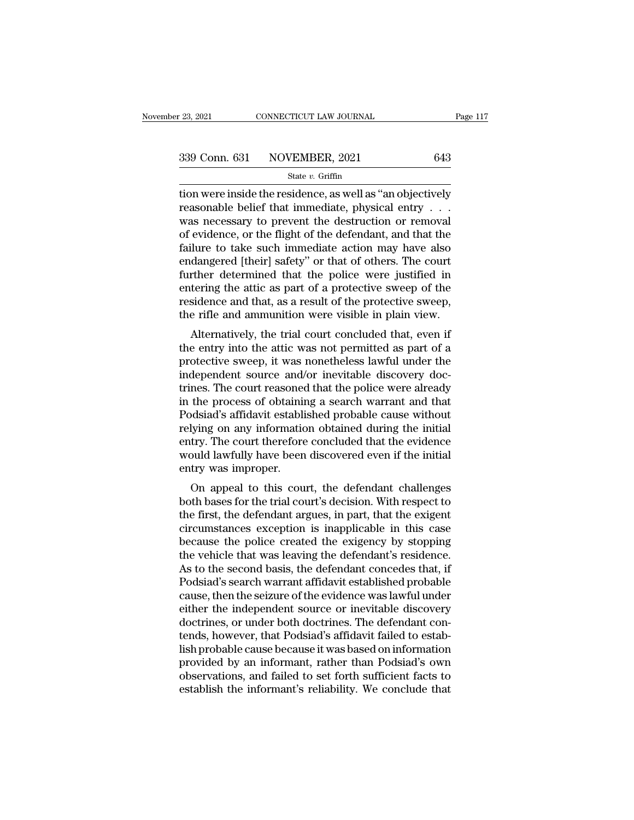the residence in the residence, as well as  $\frac{17}{23,2021}$  and  $\frac{339}{23}$  Conn. 631 NOVEMBER, 2021 643<br>State v. Griffin<br>The residence as well as "an objectively<br>reasonable belief that immediate, physical entry . . . 339 Conn. 631 NOVEMBER, 2021 643<br>
State v. Griffin<br>
tion were inside the residence, as well as "an objectively<br>
reasonable belief that immediate, physical entry . . .<br>
was necessary to prevent the destruction or removal<br> 339 Conn. 631 NOVEMBER, 2021 643<br>
State v. Griffin<br>
tion were inside the residence, as well as "an objectively<br>
reasonable belief that immediate, physical entry . . .<br>
was necessary to prevent the destruction or removal<br> 339 Conn. 631 NOVEMBER, 2021 643<br>
state v. Griffin<br>
tion were inside the residence, as well as "an objectively<br>
reasonable belief that immediate, physical entry . . .<br>
was necessary to prevent the destruction or removal<br> State v. Griffin<br>State v. Griffin<br>Hion were inside the residence, as well as "an objectively<br>reasonable belief that immediate, physical entry . . .<br>was necessary to prevent the destruction or removal<br>of evidence, or the f state v. Griftin<br>tion were inside the residence, as well as "an objectively<br>reasonable belief that immediate, physical entry . . .<br>was necessary to prevent the destruction or removal<br>of evidence, or the flight of the defe tion were inside the residence, as well as "an objectively<br>reasonable belief that immediate, physical entry  $\ldots$ <br>was necessary to prevent the destruction or removal<br>of evidence, or the flight of the defendant, and that t reasonable belief that immediate, physical entry  $\ldots$ <br>was necessary to prevent the destruction or removal<br>of evidence, or the flight of the defendant, and that the<br>failure to take such immediate action may have also<br>enda was necessary to prevent the destruction or removal<br>of evidence, or the flight of the defendant, and that the<br>failure to take such immediate action may have also<br>endangered [their] safety" or that of others. The court<br>furt of evidence, or the flight of the defendant, and that the failure to take such immediate action may have also endangered [their] safety" or that of others. The court further determined that the police were justified in ent dangered [their] safety" or that of others. The court<br>ther determined that the police were justified in<br>tering the attic as part of a protective sweep of the<br>sidence and that, as a result of the protective sweep,<br>e rifle a endangered [then] safety of that of others. The court<br>further determined that the police were justified in<br>entering the attic as part of a protective sweep of the<br>residence and that, as a result of the protective sweep,<br>th

protective sweep states in entering the attic as part of a protective sweep of the residence and that, as a result of the protective sweep, the rifle and ammunition were visible in plain view.<br>Alternatively, the trial cour entering the attic as part of a protective sweep of the residence and that, as a result of the protective sweep, the rifle and ammunition were visible in plain view.<br>Alternatively, the trial court concluded that, even if t residence and that, as a result of the protective sweep,<br>the rifle and ammunition were visible in plain view.<br>Alternatively, the trial court concluded that, even if<br>the entry into the attic was not permitted as part of a<br>p the rine and annihilation were visible in plain view.<br>Alternatively, the trial court concluded that, even if<br>the entry into the attic was not permitted as part of a<br>protective sweep, it was nonetheless lawful under the<br>ind Alternatively, the trial court concluded that, even if<br>the entry into the attic was not permitted as part of a<br>protective sweep, it was nonetheless lawful under the<br>independent source and/or inevitable discovery doc-<br>trine the entry into the attic was not permitted as part of a<br>protective sweep, it was nonetheless lawful under the<br>independent source and/or inevitable discovery doc-<br>trines. The court reasoned that the police were already<br>in t protective sweep, it was nonetheless lawful under the<br>independent source and/or inevitable discovery doc-<br>trines. The court reasoned that the police were already<br>in the process of obtaining a search warrant and that<br>Podsia independent source and/or inevitable discovery doctrines. The court reasoned that the police were already in the process of obtaining a search warrant and that Podsiad's affidavit established probable cause without relying trines. The court reasoned<br>in the process of obtainin<br>Podsiad's affidavit establi<br>relying on any informatic<br>entry. The court therefore<br>would lawfully have been<br>entry was improper.<br>On appeal to this cou the process of obtaining a search warrant and that<br>dsiad's affidavit established probable cause without<br>lying on any information obtained during the initial<br>try. The court therefore concluded that the evidence<br>puld lawfull Felying on any information obtained during the initial<br>entry. The court therefore concluded that the evidence<br>would lawfully have been discovered even if the initial<br>entry was improper.<br>On appeal to this court, the defenda

The first, the court therefore concluded that the evidence<br>would lawfully have been discovered even if the initial<br>entry was improper.<br>On appeal to this court, the defendant challenges<br>both bases for the trial court's deci entry. The court therefore concluded that the evidence<br>would lawfully have been discovered even if the initial<br>entry was improper.<br>On appeal to this court, the defendant challenges<br>both bases for the trial court's decision would lawfully have been uscovered even if the findation<br>entry was improper.<br>On appeal to this court, the defendant challenges<br>both bases for the trial court's decision. With respect to<br>the first, the defendant argues, in on appeal to this court, the defendant challenges<br>both bases for the trial court's decision. With respect to<br>the first, the defendant argues, in part, that the exigent<br>circumstances exception is inapplicable in this case<br>b On appeal to this court, the defendant challenges<br>both bases for the trial court's decision. With respect to<br>the first, the defendant argues, in part, that the exigent<br>circumstances exception is inapplicable in this case<br>b both bases for the trial court's decision. With respect to<br>the first, the defendant argues, in part, that the exigent<br>circumstances exception is inapplicable in this case<br>because the police created the exigency by stopping the first, the defendant argues, in part, that the exigent<br>circumstances exception is inapplicable in this case<br>because the police created the exigency by stopping<br>the vehicle that was leaving the defendant's residence.<br>As circumstances exception is inapplicable in this case<br>because the police created the exigency by stopping<br>the vehicle that was leaving the defendant's residence.<br>As to the second basis, the defendant concedes that, if<br>Podsi because the police created the exigency by stopping<br>the vehicle that was leaving the defendant's residence.<br>As to the second basis, the defendant concedes that, if<br>Podsiad's search warrant affidavit established probable<br>ca the vehicle that was leaving the defendant's residence.<br>As to the second basis, the defendant concedes that, if<br>Podsiad's search warrant affidavit established probable<br>cause, then the seizure of the evidence was lawful und As to the second basis, the defendant concedes that, if<br>Podsiad's search warrant affidavit established probable<br>cause, then the seizure of the evidence was lawful under<br>either the independent source or inevitable discovery Podsiad's search warrant affidavit established probable<br>cause, then the seizure of the evidence was lawful under<br>either the independent source or inevitable discovery<br>doctrines, or under both doctrines. The defendant con-<br> cause, then the seizure of the evidence was lawful under<br>either the independent source or inevitable discovery<br>doctrines, or under both doctrines. The defendant con-<br>tends, however, that Podsiad's affidavit failed to estab either the independent source or inevitable discovery<br>doctrines, or under both doctrines. The defendant con-<br>tends, however, that Podsiad's affidavit failed to estab-<br>lish probable cause because it was based on information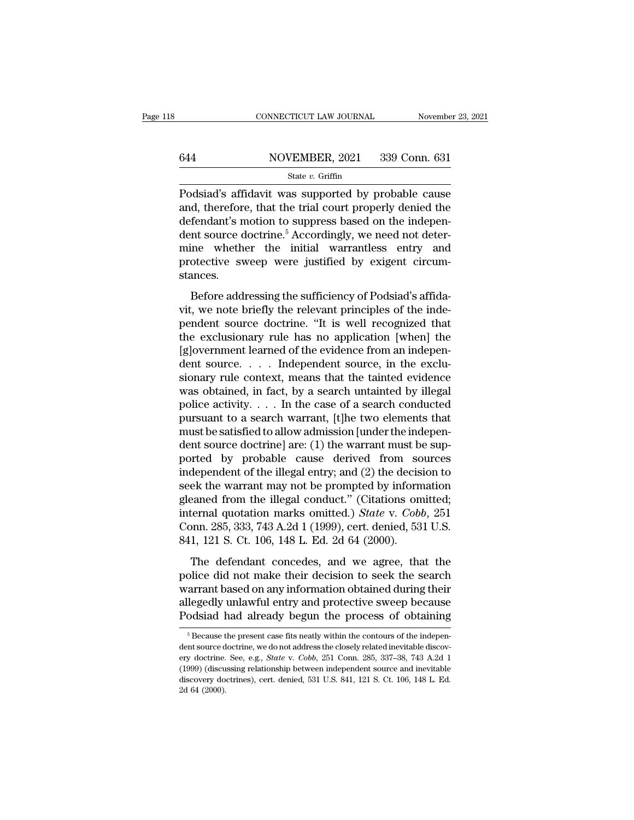# EXECUTE CONNECTICUT LAW JOURNAL Movember 23, 2021<br>
State v. Griffin<br>
State v. Griffin

## State *v.* Griffin

 $\begin{tabular}{ll} \multicolumn{2}{l}{{\small \textbf{COMNETICUT LAW JOURNAL}}} & \multicolumn{2}{l}{\small \textbf{November 23, 2021}}\\ \hline & \multicolumn{2}{l}{\small \textbf{644}} & \multicolumn{2}{l}{\small \textbf{NOVEMBER, 2021}} & \multicolumn{2}{l}{\small \textbf{339 Conn. 631}}\\ & \multicolumn{2}{l}{\small \textbf{544e }v}. \textbf{ Griffith} & \multicolumn{2}{l}{\small \textbf{631d3's affidavit was supported by probable cause}}\\ & \multicolumn{2}{l}{\small \textbf{Podsi$ 644 NOVEMBER, 2021 339 Conn. 631<br>
state v. Griffin<br>
Podsiad's affidavit was supported by probable cause<br>
and, therefore, that the trial court properly denied the<br>
defendant's motion to suppress based on the independent so  $\frac{\text{644}}{\text{844}}$  MOVEMBER, 2021 339 Conn. 631<br>  $\frac{\text{State } v. \text{ Griffith}}{\text{Podsiad's affidavit was supported by probable cause}}$ <br>
Podsiad's affidavit was supported by probable cause<br>
and, therefore, that the trial court properly denied the<br>
defendant's motion to sup 644 NOVEMBER, 2021 339 Conn. 631<br>
State v. Griffin<br>
Podsiad's affidavit was supported by probable cause<br>
and, therefore, that the trial court properly denied the<br>
defendant's motion to suppress based on the indepen-<br>
dent State v. Griffin<br>
Podsiad's affidavit was supported by probable cause<br>
and, therefore, that the trial court properly denied the<br>
defendant's motion to suppress based on the indepen-<br>
dent source doctrine.<sup>5</sup> Accordingly,  $\frac{\text{state } v. \text{ Grlm}}{\text{Podsiad's affidavit was supported by probable cause}}$ <br>and, therefore, that the trial court properly denied the defendant's motion to suppress based on the independent source doctrine.<sup>5</sup> Accordingly, we need not determine whether the init stances. fendant's motion to suppress based on the indepent-<br>fendant's motion to suppress based on the indepen-<br>nt source doctrine.<sup>5</sup> Accordingly, we need not deter-<br>ine whether the initial warrantless entry and<br>otective sweep wer viertimality modern to suppress stated on the independent source doctrine.<sup>5</sup> Accordingly, we need not determine whether the initial warrantless entry and protective sweep were justified by exigent circumstances.<br>Before ad

mine whether the initial warrantless entry and<br>protective sweep were justified by exigent circum-<br>stances.<br>Before addressing the sufficiency of Podsiad's affida-<br>vit, we note briefly the relevant principles of the inde-<br>pe make wheater are maked were<br>protective sweep were justified by exigent circum-<br>stances.<br>Before addressing the sufficiency of Podsiad's affida-<br>vit, we note briefly the relevant principles of the inde-<br>pendent source doctri stances.<br>
Before addressing the sufficiency of Podsiad's affida-<br>
vit, we note briefly the relevant principles of the inde-<br>
pendent source doctrine. "It is well recognized that<br>
the exclusionary rule has no application [w Before addressing the sufficiency of Podsiad's affida-<br>vit, we note briefly the relevant principles of the inde-<br>pendent source doctrine. "It is well recognized that<br>the exclusionary rule has no application [when] the<br>[g] Before addressing the sufficiency of Podsiad's affida-<br>vit, we note briefly the relevant principles of the inde-<br>pendent source doctrine. "It is well recognized that<br>the exclusionary rule has no application [when] the<br>[g] wit, we note briefly the relevant principles of the inde-<br>pendent source doctrine. "It is well recognized that<br>the exclusionary rule has no application [when] the<br>[g]overnment learned of the evidence from an indepen-<br>dent pendent source doctrine. "It is well recognized that<br>the exclusionary rule has no application [when] the<br>[g]overnment learned of the evidence from an indepen-<br>dent source. . . . . Independent source, in the exclu-<br>sionary the exclusionary rule has no application [when] the [g]overnment learned of the evidence from an independent source. . . . Independent source, in the exclusionary rule context, means that the tainted evidence was obtained [g]overnment learned of the evidence from an independent source. . . . Independent source, in the exclusionary rule context, means that the tainted evidence was obtained, in fact, by a search untainted by illegal police a dent source. . . . . Independent source, in the exclusionary rule context, means that the tainted evidence was obtained, in fact, by a search untainted by illegal police activity. . . . In the case of a search conducted p sionary rule context, means that the tainted evidence<br>was obtained, in fact, by a search untainted by illegal<br>police activity. . . . In the case of a search conducted<br>pursuant to a search warrant, [t]he two elements that<br> was obtained, in fact, by a search untainted by illegal<br>police activity. . . . In the case of a search conducted<br>pursuant to a search warrant, [t]he two elements that<br>must be satisfied to allow admission [under the indepe police activity. . . . In the case of a search conducted<br>pursuant to a search warrant, [t]he two elements that<br>must be satisfied to allow admission [under the indepen-<br>dent source doctrine] are: (1) the warrant must be su pursuant to a search warrant, [t]he two elements that<br>must be satisfied to allow admission [under the independent source doctrine] are: (1) the warrant must be sup-<br>ported by probable cause derived from sources<br>independen must be satisfied to allow admission [under the independent source doctrine] are: (1) the warrant must be supported by probable cause derived from sources independent of the illegal entry; and (2) the decision to seek the dent source doctrine] are: (1) the warrant must be supported by probable cause derived from sources independent of the illegal entry; and (2) the decision to seek the warrant may not be prompted by information gleaned fro ported by probable cause derived from so<br>independent of the illegal entry; and (2) the deciss<br>seek the warrant may not be prompted by inform<br>gleaned from the illegal conduct." (Citations on<br>internal quotation marks omitted Experiment of the megan entry, and (L) the decenter of<br>ek the warrant may not be prompted by information<br>cannot from the illegal conduct." (Citations omitted;<br>ternal quotation marks omitted.) *State* v. *Cobb*, 251<br>pnn. 2 gleaned from the illegal conduct." (Citations omitted;<br>gleaned from the illegal conduct." (Citations omitted;<br>internal quotation marks omitted.) *State* v. *Cobb*, 251<br>Conn. 285, 333, 743 A.2d 1 (1999), cert. denied, 531 U

internal quotation marks omitted.) *State v. Cobb*, 251<br>Conn. 285, 333, 743 A.2d 1 (1999), cert. denied, 531 U.S.<br>841, 121 S. Ct. 106, 148 L. Ed. 2d 64 (2000).<br>The defendant concedes, and we agree, that the<br>police did not From 285, 333, 743 A.2d 1 (1999), cert. denied, 531 U.S.<br>841, 121 S. Ct. 106, 148 L. Ed. 2d 64 (2000).<br>The defendant concedes, and we agree, that the<br>police did not make their decision to seek the search<br>warrant based on a 841, 121 S. Ct. 106, 148 L. Ed. 2d 64 (2000).<br>The defendant concedes, and we agree, that the police did not make their decision to seek the search<br>warrant based on any information obtained during their<br>allegedly unlawful bilice did not make their decision to seek the search<br>arrant based on any information obtained during their<br>legedly unlawful entry and protective sweep because<br>odsiad had already begun the process of obtaining<br><sup>5</sup> Because warrant based on any information obtained during their<br>allegedly unlawful entry and protective sweep because<br>Podsiad had already begun the process of obtaining<br> $\frac{1}{100}$ <br> $\frac{1}{100}$ <br> $\frac{1}{100}$  already related inevitabl

allegedly unlawful entry and protective sweep because<br>Podsiad had already begun the process of obtaining<br><sup>5</sup>Because the present case fits neatly within the contours of the independent source doctrine, we do not address the Podsiad had already begun the process of obtaining<br>  $\frac{1}{100}$ <br>  $\frac{1}{100}$ <br>  $\frac{1}{100}$ <br>  $\frac{1}{100}$ <br>  $\frac{1}{100}$ <br>  $\frac{1}{100}$ <br>  $\frac{1}{100}$ <br>
(discussing relationship between independent source and inevitable<br>
discovery  $\frac{1}{100}$  dustate flate already begun the process of obtaining<br> $\frac{1}{100}$ <br> $\frac{1}{100}$  decrease the present case fits neatly within the contours of the independent source doctrine. See, e.g., *State v. Cobb*, 251 Conn.  $\frac{1}{2}$  Because then source dery doctrine.<br>
(1999) (discudiscovery do<br>
2d 64 (2000).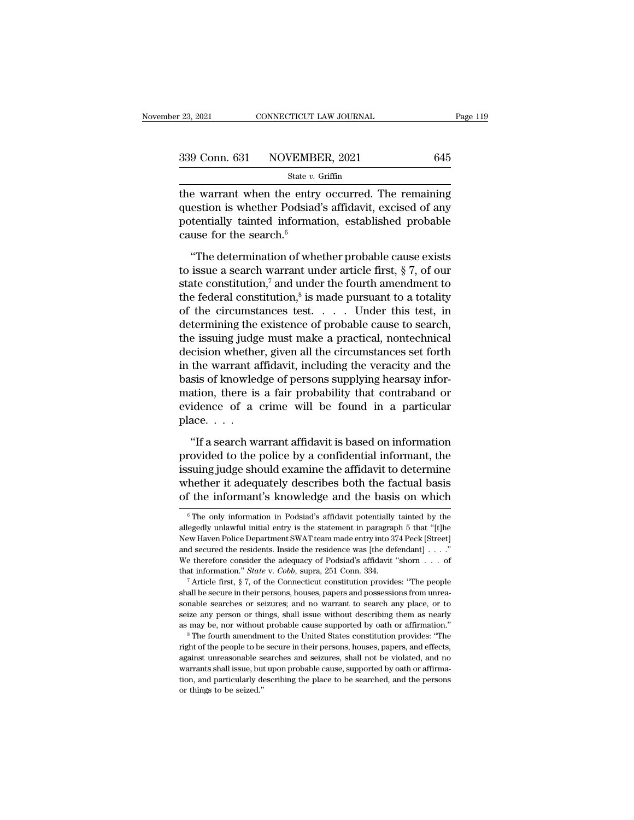| r 23, 2021 | CONNECTICUT LAW JOURNAL      | Page 119 |
|------------|------------------------------|----------|
|            | 339 Conn. 631 NOVEMBER, 2021 | 645      |
|            | State $v$ . Griffin          |          |

 $t_{23, 2021}$  connectricut LAW JOURNAL Page 119<br>  $t_{23, 2021}$   $t_{33}$  Conn. 631 NOVEMBER, 2021 645<br>  $t_{23, 2021}$  645<br>  $t_{34}$  State v. Griffin<br>
the warrant when the entry occurred. The remaining<br>
question is whether Pod 339 Conn. 631 NOVEMBER, 2021 645<br>
state v. Griffin<br>
the warrant when the entry occurred. The remaining<br>
question is whether Podsiad's affidavit, excised of any<br>
potentially tainted information, established probable<br>
gauge 339 Conn. 631 NOVEMBER, 2021 645<br>
State v. Griffin<br>
the warrant when the entry occurred. The remaining<br>
question is whether Podsiad's affidavit, excised of any<br>
potentially tainted information, established probable<br>
cause 339 Conn. 631 NOVEMBI<br>
state *v*.<br>
the warrant when the entry<br>
question is whether Podsiad<br>
potentially tainted informat<br>
cause for the search.<sup>6</sup><br>
"The determination of whe State *v*. Griffin<br>
e warrant when the entry occurred. The remaining<br>
estion is whether Podsiad's affidavit, excised of any<br>
tentially tainted information, established probable<br>
use for the search.<sup>6</sup><br>
"The determination the warrant when the entry occurred. The remaining<br>question is whether Podsiad's affidavit, excised of any<br>potentially tainted information, established probable<br>cause for the search.<sup>6</sup><br>"The determination of whether proba

question is whether Podsiad's affidavit, excised of any<br>potentially tainted information, established probable<br>cause for the search.<sup>6</sup><br>"The determination of whether probable cause exists<br>to issue a search warrant under ar question is whether Podsiad's affidavit, excised of any<br>potentially tainted information, established probable<br>cause for the search.<sup>6</sup><br>"The determination of whether probable cause exists<br>to issue a search warrant under ar mation, established probable<br>whether probable cause exists<br>under article first, § 7, of our<br>nder the fourth amendment to<br>is made pursuant to a totality<br>st.....Under this test, in procedure,  $\theta$  constants and  $\theta$  constants and  $\theta$  constants are consisted.<br>
"The determination of whether probable cause exists<br>
to issue a search warrant under article first, § 7, of our<br>
state constitution,<sup>7</sup> and u "The determination of whether probable cause exists<br>to issue a search warrant under article first, § 7, of our<br>state constitution,<sup>7</sup> and under the fourth amendment to<br>the federal constitution,<sup>8</sup> is made pursuant to a to "The determination of whether probable cause exists<br>to issue a search warrant under article first,  $\S 7$ , of our<br>state constitution,<sup>7</sup> and under the fourth amendment to<br>the federal constitution,<sup>8</sup> is made pursuant to a to issue a search warrant under article first,  $\S$  7, of our<br>state constitution,<sup>7</sup> and under the fourth amendment to<br>the federal constitution,<sup>8</sup> is made pursuant to a totality<br>of the circumstances test.... Under this te state constitution,<sup>7</sup> and under the fourth amendment to<br>the federal constitution,<sup>8</sup> is made pursuant to a totality<br>of the circumstances test. . . . Under this test, in<br>determining the existence of probable cause to sear the federal constitution,<sup>8</sup> is made pursuant to a totality<br>of the circumstances test. . . . . Under this test, in<br>determining the existence of probable cause to search,<br>the issuing judge must make a practical, nontechnic of the circumstances test. . . . . Under this test, in<br>determining the existence of probable cause to search,<br>the issuing judge must make a practical, nontechnical<br>decision whether, given all the circumstances set forth<br>in determining the existence of probable cause to search,<br>the issuing judge must make a practical, nontechnical<br>decision whether, given all the circumstances set forth<br>in the warrant affidavit, including the veracity and the<br> the issuing judge<br>decision whethe<br>in the warrant a<br>basis of knowled<br>mation, there is<br>evidence of a<br>place....<br>"If a search w: the warrant affidavit, including the veracity and the<br>
sis of knowledge of persons supplying hearsay infor-<br>
ation, there is a fair probability that contraband or<br>
idence of a crime will be found in a particular<br>
ace....<br> basis of knowledge of persons supplying hearsay information, there is a fair probability that contraband or evidence of a crime will be found in a particular place....<br>with a search warrant affidavit is based on informati

mation, there is a fair probability that contraband or evidence of a crime will be found in a particular place....<br>wiff a search warrant affidavit is based on information provided to the police by a confidential informant evidence of a crime will be found in a particular<br>place....<br>"If a search warrant affidavit is based on information<br>provided to the police by a confidential informant, the<br>issuing judge should examine the affidavit to dete place.  $\dots$ <br>
"If a search warrant affidavit is based on information<br>
provided to the police by a confidential informant, the<br>
issuing judge should examine the affidavit to determine<br>
whether it adequately describes both t rovided to the police by a confidential informant, the<br>suing judge should examine the affidavit to determine<br>hether it adequately describes both the factual basis<br>f the information is knowledge and the basis on which<br> $\frac{1$ issuing judge should examine the affidavit to determine<br>whether it adequately describes both the factual basis<br>of the informant's knowledge and the basis on which<br><sup>6</sup>The only information in Podsiad's affidavit potentially

whether it adequately describes both the factual basis<br>of the informant's knowledge and the basis on which<br> $\frac{1}{\pi}$  The only information in Podsiad's affidavit potentially tainted by the<br>allegedly unlawful initial entry of the informant's knowledge and the basis on which<br>  $\overline{\phantom{a}}$   $\overline{\phantom{a}}$  The only information in Podsiad's affidavit potentially tainted by the allegedly unlawful initial entry is the statement in paragraph 5 that "[t The muontriant S KHOWIEU and the DaSIS Off WHICH<br>
<sup>6</sup> The only information in Podsiad's affidavit potentially tainted by the<br>
allegedly unlawful initial entry is the statement in paragraph 5 that "[t]he<br>
New Haven Police <sup>6</sup> The only information in Podsiad's affidavit potentially tainted by the allegedly unlawful initial entry is the statement in paragraph 5 that "[t]he New Haven Police Department SWAT team made entry into 374 Peck [Stree Shall be secure in their persons, houses, papers and possessions from unrea-<br>shall be secured the residents. Inside the residence was [the defendant]  $\ldots$  "<br>We therefore consider the adequacy of Podsiad's affidavit "shor

solar and secured the residents. Inside the residence was [the defendant]  $\ldots$ ."<br>We therefore consider the adequacy of Podsiad's affidavit "shorn  $\ldots$  of that information." *State* v. *Cobb*, supra, 251 Conn. 334. " Art We therefore consider the adequacy of Podsiad's affidavit "shorn  $\ldots$  of that information." *State* v. *Cobb*, supra, 251 Conn. 334.<br>
<sup>7</sup> Article first, § 7, of the Connecticut constitution provides: "The people shall be that information." *State* v. *Cobb*, supra, 251 Conn. 334.<br>
<sup>7</sup> Article first, § 7, of the Connecticut constitution provides: "The people<br>
shall be secure in their persons, houses, papers and possessions from unrea-<br>
sona Figure their persons, houses, papers and possessions from unreasonable searches or seizures; and no warrant to search any place, or to seize any person or things, shall issue without describing them as nearly as may be, no as may be, nor without probable cause supported by oath or affirmation."

sonable searches or seizures; and no warrant to search any place, or to seize any person or things, shall issue without describing them as nearly as may be, nor without probable cause supported by oath or affirmation."<br><sup>8</sup> seize any person or things, shall issue without describing them as nearly as may be, nor without probable cause supported by oath or affirmation."  $^8$  The fourth amendment to the United States constitution provides: "The right of the people to be secure in their persons, houses, papers, and effects,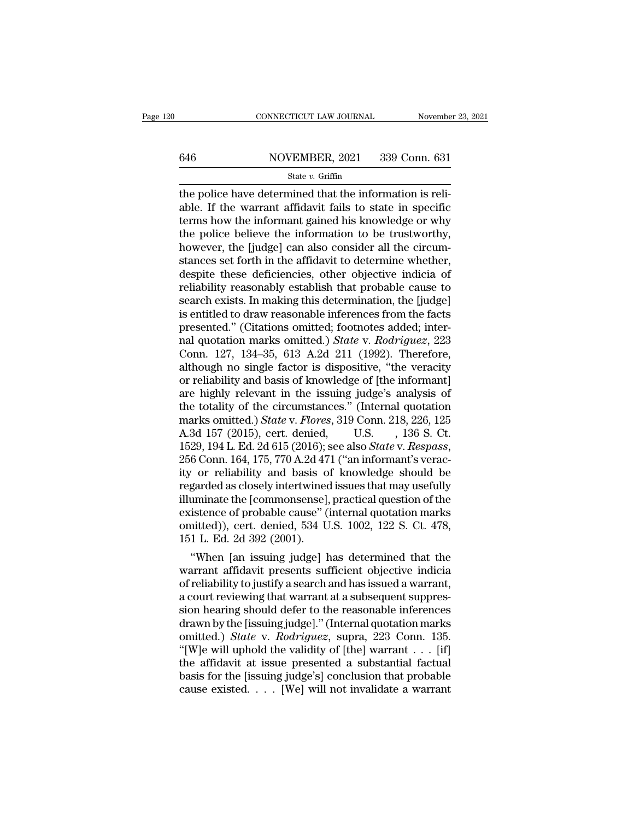# CONNECTICUT LAW JOURNAL November 23, 2021<br>646 NOVEMBER, 2021 339 Conn. 631<br>State v. Griffin

### State *v.* Griffin

CONNECTICUT LAW JOURNAL November<br>  $\frac{646}{\text{State } v. \text{ Griffith}}$  and  $\frac{631}{\text{State } v. \text{ Griffith}}$ <br>  $\frac{631}{\text{the police have determined that the information is reliable. If the warrant affidavit fails to state in specific terms how the important gained his knowledge or why.}$ 646 NOVEMBER, 2021 339 Conn. 631<br>
state v. Griffin<br>
the police have determined that the information is reli-<br>
able. If the warrant affidavit fails to state in specific<br>
terms how the informant gained his knowledge or why<br> 646 NOVEMBER, 2021 339 Conn. 631<br>
State v. Griffin<br>
the police have determined that the information is reli-<br>
able. If the warrant affidavit fails to state in specific<br>
terms how the informant gained his knowledge or why<br> 646 NOVEMBER, 2021 339 Conn. 631<br>
State v. Griffin<br>
the police have determined that the information is reli-<br>
able. If the warrant affidavit fails to state in specific<br>
terms how the information to be trustworthy,<br>
the po  $\frac{100 \times 13.02 \times 10^{-10} \times 10^{-10}}{3.02 \times 10^{-10}}$ <br>
state *v*. Griffin<br>
the police have determined that the information is reli-<br>
able. If the warrant affidavit fails to state in specific<br>
terms how the informant gained his state  $v$ . Griffin<br>the police have determined that the information is reli-<br>able. If the warrant affidavit fails to state in specific<br>terms how the informant gained his knowledge or why<br>the police believe the information the police have determined that the information is reliable. If the warrant affidavit fails to state in specific<br>terms how the informant gained his knowledge or why<br>the police believe the information to be trustworthy,<br>how able. If the warrant affidavit fails to state in specific<br>terms how the informant gained his knowledge or why<br>the police believe the information to be trustworthy,<br>however, the [judge] can also consider all the circum-<br>sta terms how the informant gained his knowledge or why<br>the police believe the information to be trustworthy,<br>however, the [judge] can also consider all the circum-<br>stances set forth in the affidavit to determine whether,<br>desp the police believe the information to be trustworthy,<br>however, the [judge] can also consider all the circum-<br>stances set forth in the affidavit to determine whether,<br>despite these deficiencies, other objective indicia of<br>r however, the [judge] can also consider all the circum-<br>stances set forth in the affidavit to determine whether,<br>despite these deficiencies, other objective indicia of<br>reliability reasonably establish that probable cause to stances set forth in the affidavit to determine whether,<br>despite these deficiencies, other objective indicia of<br>reliability reasonably establish that probable cause to<br>search exists. In making this determination, the [judg despite these deficiencies, other objective indicia of<br>reliability reasonably establish that probable cause to<br>search exists. In making this determination, the [judge]<br>is entitled to draw reasonable inferences from the fac reliability reasonably establish that probable cause to<br>search exists. In making this determination, the [judge]<br>is entitled to draw reasonable inferences from the facts<br>presented." (Citations omitted; footnotes added; int search exists. In making this determination, the [judge]<br>is entitled to draw reasonable inferences from the facts<br>presented." (Citations omitted; footnotes added; inter-<br>nal quotation marks omitted.) *State* v. *Rodriguez* is entitled to draw reasonable inferences from the facts<br>presented." (Citations omitted; footnotes added; inter-<br>nal quotation marks omitted.) *State* v. *Rodriguez*, 223<br>Conn. 127, 134–35, 613 A.2d 211 (1992). Therefore, presented." (Citations omitted; footnotes added; inter-<br>nal quotation marks omitted.) *State* v. *Rodriguez*, 223<br>Conn. 127, 134–35, 613 A.2d 211 (1992). Therefore,<br>although no single factor is dispositive, "the veracity<br>o nal quotation marks omitted.) *State* v. *Rodriguez*, 223<br>Conn. 127, 134–35, 613 A.2d 211 (1992). Therefore,<br>although no single factor is dispositive, "the veracity<br>or reliability and basis of knowledge of [the informant]<br> Conn. 127, 134–35, 613 A.2d 211 (1992). Therefore,<br>although no single factor is dispositive, "the veracity<br>or reliability and basis of knowledge of [the informant]<br>are highly relevant in the issuing judge's analysis of<br>th although no single factor is dispositive, "the veracity<br>or reliability and basis of knowledge of [the informant]<br>are highly relevant in the issuing judge's analysis of<br>the totality of the circumstances." (Internal quotatio are highly relevant in the issuing judge's analysis of<br>the totality of the circumstances." (Internal quotation<br>marks omitted.) *State* v. *Flores*, 319 Conn. 218, 226, 125<br>A.3d 157 (2015), cert. denied, U.S. , 136 S. Ct.<br>1 the totality of the circumstances." (Internal quotation<br>marks omitted.) *State* v. *Flores*, 319 Conn. 218, 226, 125<br>A.3d 157 (2015), cert. denied, U.S. , 136 S. Ct.<br>1529, 194 L. Ed. 2d 615 (2016); see also *State* v. *Res* marks omitted.) *State* v. *Flores*, 319 Conn. 218, 226, 125<br>A.3d 157 (2015), cert. denied, U.S. , 136 S. Ct.<br>1529, 194 L. Ed. 2d 615 (2016); see also *State* v. *Respass*,<br>256 Conn. 164, 175, 770 A.2d 471 ("an informant's A.3d 157 (2015), cert. denied, U.S. , 136 S. Ct.<br>1529, 194 L. Ed. 2d 615 (2016); see also *State* v. *Respass*,<br>256 Conn. 164, 175, 770 A.2d 471 ("an informant's verac-<br>ity or reliability and basis of knowledge should be<br>r 1529, 194 L. Ed. 2d 615 (2016); see also *State* v. *Respass*, 256 Conn. 164, 175, 770 A.2d 471 ("an informant's veracity or reliability and basis of knowledge should be regarded as closely intertwined issues that may usef 256 Conn. 164, 175, 770 A.2d 471 ("an informant's veracity or reliability and basis of knowledge should be regarded as closely intertwined issues that may usefully illuminate the [commonsense], practical question of the e The reliability and basis of knowledge should be<br>garded as closely intertwined issues that may usefully<br>uminate the [commonsense], practical question of the<br>istence of probable cause" (internal quotation marks<br>aitted)), c regarded as closely intertwined issues that may usefully<br>illuminate the [commonsense], practical question of the<br>existence of probable cause" (internal quotation marks<br>omitted)), cert. denied, 534 U.S. 1002, 122 S. Ct. 478

nummate the [commonsense], practical question of the<br>existence of probable cause" (internal quotation marks<br>omitted)), cert. denied, 534 U.S. 1002, 122 S. Ct. 478,<br>151 L. Ed. 2d 392 (2001).<br>"When [an issuing judge] has det existence of probable cause" (internal quotation marks<br>omitted)), cert. denied, 534 U.S. 1002, 122 S. Ct. 478,<br>151 L. Ed. 2d 392 (2001).<br>"When [an issuing judge] has determined that the<br>warrant affidavit presents sufficien omitted)), cert. denied, 534 U.S. 1002, 122 S. Ct. 478,<br>151 L. Ed. 2d 392 (2001).<br>
"When [an issuing judge] has determined that the<br>
warrant affidavit presents sufficient objective indicia<br>
of reliability to justify a sea 151 L. Ed. 2d 392 (2001).<br>
"When [an issuing judge] has determined that the<br>
warrant affidavit presents sufficient objective indicia<br>
of reliability to justify a search and has issued a warrant,<br>
a court reviewing that wa "When [an issuing judge] has determined that the<br>warrant affidavit presents sufficient objective indicia<br>of reliability to justify a search and has issued a warrant,<br>a court reviewing that warrant at a subsequent suppres-<br> warrant affidavit presents sufficient objective indicia<br>
of reliability to justify a search and has issued a warrant,<br>
a court reviewing that warrant at a subsequent suppres-<br>
sion hearing should defer to the reasonable i of reliability to justify a search and has issued a warrant,<br>a court reviewing that warrant at a subsequent suppres-<br>sion hearing should defer to the reasonable inferences<br>drawn by the [issuing judge]." (Internal quotatio a court reviewing that warrant at a subsequent suppression hearing should defer to the reasonable inferences<br>drawn by the [issuing judge]." (Internal quotation marks<br>omitted.) *State* v. *Rodriguez*, supra, 223 Conn. 135. sion hearing should defer to the reasonable inferences<br>drawn by the [issuing judge]." (Internal quotation marks<br>omitted.) State v. Rodriguez, supra, 223 Conn. 135.<br>"[W]e will uphold the validity of [the] warrant . . . [if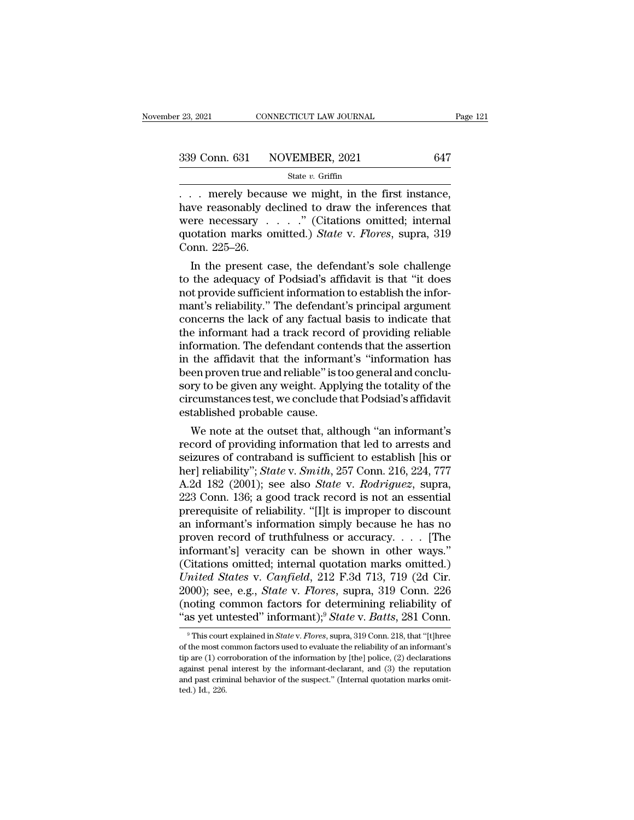| r 23, 2021 | CONNECTICUT LAW JOURNAL      | Page 121 |
|------------|------------------------------|----------|
|            | 339 Conn. 631 NOVEMBER, 2021 | 647      |
|            | State $v$ . Griffin          |          |

<sup>23, 2021</sup> CONNECTICUT LAW JOURNAL Page<br>  $\frac{339 \text{ Conn. } 631 \text{ NOVEMBER, } 2021}$  647<br>  $\frac{647}{1000 \text{ Star}}$ <br>  $\therefore$  merely because we might, in the first instance,<br>
have reasonably declined to draw the inferences that<br>
were nocessa 339 Conn. 631 NOVEMBER, 2021 647<br>
State v. Griffin<br>
... merely because we might, in the first instance,<br>
have reasonably declined to draw the inferences that<br>
were necessary ....." (Citations omitted; internal<br>
quotation 339 Conn. 631 NOVEMBER, 2021 647<br>
State v. Griffin<br>
... merely because we might, in the first instance,<br>
have reasonably declined to draw the inferences that<br>
were necessary ....." (Citations omitted; internal<br>
quotation 339 Conn. 631 NOVEMBER, 2021 647<br>
State *v*. Griffin<br>  $\therefore$  merely because we might, in the first instance,<br>
have reasonably declined to draw the inferences that<br>
were necessary  $\therefore$  " (Citations omitted; internal<br>
quota Contract 1<br>
The Connect Connect Present Connect Present<br>
Connect 225–26.<br>
In the present can In the first instance,<br>
In the first instance,<br>
In the reasonably declined to draw the inferences that<br>
In the cressary  $\ldots$  ." (Citations omitted; internal<br>
otation marks omitted.) *State* v. *Flores*, supra, 319<br>
In th to the adequacy of Podsiad's affidavit is that inferences that<br>
were necessary  $\ldots$  ." (Citations omitted; internal<br>
quotation marks omitted.) *State v. Flores*, supra, 319<br>
Conn. 225–26.<br>
In the present case, the defend

nave reasonably declined to draw the interences that<br>were necessary  $\ldots$ ." (Citations omitted; internal<br>quotation marks omitted.) *State* v. *Flores*, supra, 319<br>Conn. 225–26.<br>In the present case, the defendant's sole ch were necessary  $\ldots$  (Citations omitted; internal quotation marks omitted.) *State* v. *Flores*, supra, 319 Conn. 225–26.<br>
In the present case, the defendant's sole challenge to the adequacy of Podsiad's affidavit is that quotation marks omitted.) *State V. Flores*, supra, 319<br>Conn. 225–26.<br>In the present case, the defendant's sole challenge<br>to the adequacy of Podsiad's affidavit is that "it does<br>not provide sufficient information to establ Conn. 225–20.<br>
In the present case, the defendant's sole challenge<br>
to the adequacy of Podsiad's affidavit is that "it does<br>
not provide sufficient information to establish the infor-<br>
mant's reliability." The defendant's In the present case, the defendant's sole challenge<br>to the adequacy of Podsiad's affidavit is that "it does<br>not provide sufficient information to establish the infor-<br>mant's reliability." The defendant's principal argument to the adequacy of Podsiad's affidavit is that "it does<br>not provide sufficient information to establish the infor-<br>mant's reliability." The defendant's principal argument<br>concerns the lack of any factual basis to indicate not provide sufficient information to establish the informant's reliability." The defendant's principal argument concerns the lack of any factual basis to indicate that the information. The defendant contends that the asse mant's reliability." The defendant's principal argument<br>concerns the lack of any factual basis to indicate that<br>the informant had a track record of providing reliable<br>information. The defendant contends that the assertion<br> concerns the lack of any factual basis to indicate that<br>the informant had a track record of providing reliable<br>information. The defendant contends that the assertion<br>in the affidavit that the informant's "information has<br>b the informant had a track record<br>information. The defendant conte<br>in the affidavit that the informa<br>been proven true and reliable" is to<br>sory to be given any weight. Apply<br>circumstances test, we conclude t<br>established prob formation. The defendant contends that the assertion<br>the affidavit that the informant's "information has<br>en proven true and reliable" is too general and conclu-<br>ry to be given any weight. Applying the totality of the<br>reums in the amdavit that the informant s "information has<br>been proven true and reliable" is too general and conclu-<br>sory to be given any weight. Applying the totality of the<br>circumstances test, we conclude that Podsiad's affid

been proven true and renable is too general and conclusory to be given any weight. Applying the totality of the circumstances test, we conclude that Podsiad's affidavit established probable cause.<br>We note at the outset th sory to be given any weight. Applying the totality of the<br>circumstances test, we conclude that Podsiad's affidavit<br>established probable cause.<br>We note at the outset that, although "an informant's<br>record of providing inform erreumstances test, we conclude that Podslad's atmoavit<br>established probable cause.<br>We note at the outset that, although "an informant's<br>record of providing information that led to arrests and<br>seizures of contraband is suf established probable cause.<br>
We note at the outset that, although "an informant's<br>
record of providing information that led to arrests and<br>
seizures of contraband is sufficient to establish [his or<br>
her] reliability"; *Sta* We note at the outset that, although "an informant's<br>record of providing information that led to arrests and<br>seizures of contraband is sufficient to establish [his or<br>her] reliability"; *State* v. *Smith*, 257 Conn. 216, 2 record of providing information that led to arrests and<br>seizures of contraband is sufficient to establish [his or<br>her] reliability"; *State* v. *Smith*, 257 Conn. 216, 224, 777<br>A.2d 182 (2001); see also *State* v. *Rodrig* seizures of contraband is sufficient to establish [his or<br>her] reliability"; *State* v. *Smith*, 257 Conn. 216, 224, 777<br>A.2d 182 (2001); see also *State* v. *Rodriguez*, supra,<br>223 Conn. 136; a good track record is not an her] reliability"; *State* v. *Smith*, 257 Conn. 216, 224, 777<br>A.2d 182 (2001); see also *State* v. *Rodriguez*, supra,<br>223 Conn. 136; a good track record is not an essential<br>prerequisite of reliability. "[I]t is improper A.2d 182 (2001); see also *State* v. *Rodriguez*, supra,<br>223 Conn. 136; a good track record is not an essential<br>prerequisite of reliability. "[I]t is improper to discount<br>an informant's information simply because he has n 223 Conn. 136; a good track record is not an essential<br>prerequisite of reliability. "[I]t is improper to discount<br>an informant's information simply because he has no<br>proven record of truthfulness or accuracy. . . . [The<br>in prerequisite of reliability. "[I]t is improper to discount<br>an informant's information simply because he has no<br>proven record of truthfulness or accuracy. . . . [The<br>informant's] veracity can be shown in other ways."<br>(Citat an informant's information simply because he has no<br>proven record of truthfulness or accuracy. . . . [The<br>informant's] veracity can be shown in other ways."<br>(Citations omitted; internal quotation marks omitted.)<br>*United S* proven record of truthfulness or accuracy. . . . . [The<br>informant's] veracity can be shown in other ways."<br>(Citations omitted; internal quotation marks omitted.)<br>*United States* v. *Canfield*, 212 F.3d 713, 719 (2d Cir.<br>20 mited States v. Canfield, 212 F.3d 713, 719 (2d Cir.<br>900); see, e.g., *State* v. *Flores*, supra, 319 Conn. 226<br>noting common factors for determining reliability of<br>as yet untested" informant);<sup>9</sup> *State* v. *Batts*, 281 C 2000); see, e.g., *State* v. *Flores*, supra, 319 Conn. 226 (noting common factors for determining reliability of "as yet untested" informant);<sup>9</sup> *State* v. *Batts*, 281 Conn. <sup>9</sup> This court explained in *State* v. *Flor* 

<sup>(</sup>noting common factors for determining reliability of "as yet untested" informant);<sup>9</sup> *State* v. *Batts*, 281 Conn.<br><sup>9</sup> This court explained in *State* v. *Flores*, supra, 319 Conn. 218, that "[t]hree of the most common <sup>4</sup> as yet untested" informant);<sup>9</sup> *State v. Batts*, 281 Conn.<br><sup>9</sup> This court explained in *State v. Flores*, supra, 319 Conn. 218, that "[t]hree of the most common factors used to evaluate the reliability of an informan as yet untested informally; *State v. Batts*, 201 COIII.<br><sup>9</sup> This court explained in *State v. Flores*, supra, 319 Conn. 218, that "[t]hree of the most common factors used to evaluate the reliability of an informant's tip This court<br>of the most continent continue are  $(1)$  continued and past criminal<br>and past criminal continued.) Id., 226.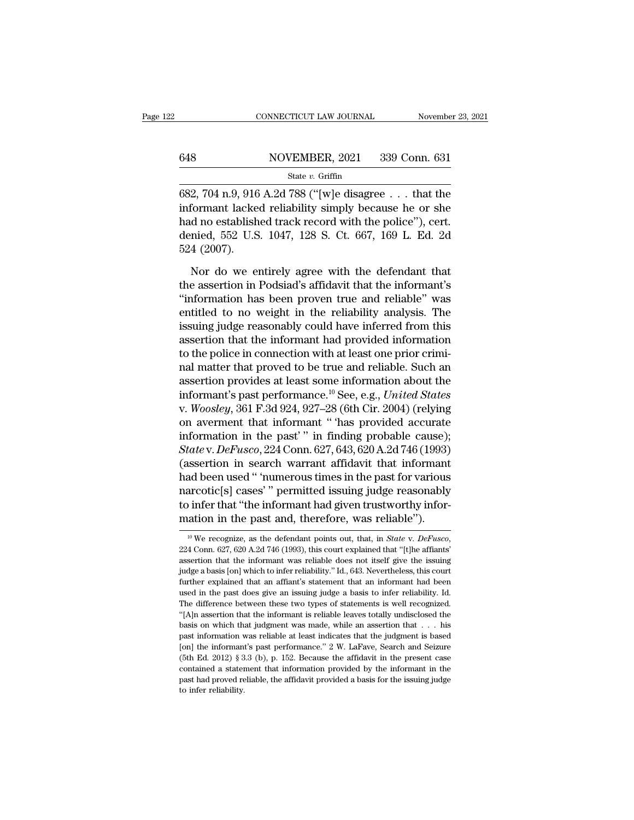## CONNECTICUT LAW JOURNAL November 23, 2021<br>648 NOVEMBER, 2021 339 Conn. 631<br>State v. Griffin State *v.* Griffin

CONNECTICUT LAW JOURNAL November 23, 2021<br>
648 NOVEMBER, 2021 339 Conn. 631<br>
582, 704 n.9, 916 A.2d 788 ("[w]e disagree . . . that the<br>
informant lacked reliability simply because he or she<br>
bed no octoblished treek recor 648 NOVEMBER, 2021 339 Conn. 631<br>
State v. Griffin<br>
682, 704 n.9, 916 A.2d 788 ("[w]e disagree . . . that the<br>
informant lacked reliability simply because he or she<br>
had no established track record with the police"), cert 648 NOVEMBER, 2021 339 Conn. 631<br>
State v. Griffin<br>
682, 704 n.9, 916 A.2d 788 ("[w]e disagree . . . that the<br>
informant lacked reliability simply because he or she<br>
had no established track record with the police''), cer 648 NOVEMBER, 2021 339 Conn. 631<br>
State v. Griffin<br>
682, 704 n.9, 916 A.2d 788 ("[w]e disagree . . . that the<br>
informant lacked reliability simply because he or she<br>
had no established track record with the police"), cert 682, 704 n.9, 916<br>informant lacke<br>had no establish<br>denied, 552 U.S<br>524 (2007).<br>Nor do we er 2, 704 n.9, 916 A.2d 788 ("[w]e disagree  $\ldots$  that the formant lacked reliability simply because he or she<br>d no established track record with the police"), cert.<br>nied, 552 U.S. 1047, 128 S. Ct. 667, 169 L. Ed. 2d<br>4 (2007

informant lacked reliability simply because he or she<br>had no established track record with the police"), cert.<br>denied, 552 U.S. 1047, 128 S. Ct. 667, 169 L. Ed. 2d<br>524 (2007).<br>Nor do we entirely agree with the defendant th had no established track record with the police"), cert.<br>
denied, 552 U.S. 1047, 128 S. Ct. 667, 169 L. Ed. 2d<br>
524 (2007).<br>
Nor do we entirely agree with the defendant that<br>
the assertion in Podsiad's affidavit that the i denied, 552 U.S. 1047, 128 S. Ct. 667, 169 L. Ed. 2d<br>524 (2007).<br>Nor do we entirely agree with the defendant that<br>the assertion in Podsiad's affidavit that the informant's<br>"information has been proven true and reliable" wa 524 (2007).<br>
Nor do we entirely agree with the defendant that<br>
the assertion in Podsiad's affidavit that the informant's<br>
"information has been proven true and reliable" was<br>
entitled to no weight in the reliability analy Nor do we entirely agree with the defendant that<br>the assertion in Podsiad's affidavit that the informant's<br>"information has been proven true and reliable" was<br>entitled to no weight in the reliability analysis. The<br>issuing Nor do we entirely agree with the defendant that<br>the assertion in Podsiad's affidavit that the informant's<br>"information has been proven true and reliable" was<br>entitled to no weight in the reliability analysis. The<br>issuing the assertion in Podsiad's affidavit that the informant's<br>
"information has been proven true and reliable" was<br>
entitled to no weight in the reliability analysis. The<br>
issuing judge reasonably could have inferred from thi "information has been proven true and reliable" was<br>entitled to no weight in the reliability analysis. The<br>issuing judge reasonably could have inferred from this<br>assertion that the informat had provided information<br>to the entitled to no weight in the reliability analysis. The<br>issuing judge reasonably could have inferred from this<br>assertion that the informant had provided information<br>to the police in connection with at least one prior crimiissuing judge reasonably could have inferred from this<br>assertion that the informant had provided information<br>to the police in connection with at least one prior crimi-<br>nal matter that proved to be true and reliable. Such a assertion that the informant had provided information<br>to the police in connection with at least one prior crimi-<br>nal matter that proved to be true and reliable. Such an<br>assertion provides at least some information about t to the police in connection with at least one prior crimi-<br>nal matter that proved to be true and reliable. Such an<br>assertion provides at least some information about the<br>informant's past performance.<sup>10</sup> See, e.g., *Unite* ral matter that proved to be true and reliable. Such an assertion provides at least some information about the informant's past performance.<sup>10</sup> See, e.g., *United States* v. *Woosley*, 361 F.3d 924, 927–28 (6th Cir. 2004) assertion provides at least some information about the<br>informant's past performance.<sup>10</sup> See, e.g., *United States*<br>v. *Woosley*, 361 F.3d 924, 927–28 (6th Cir. 2004) (relying<br>on averment that informant " has provided accu informant's past performance.<sup>10</sup> See, e.g., *United States*<br>v. *Woosley*, 361 F.3d 924, 927–28 (6th Cir. 2004) (relying<br>on averment that informant " has provided accurate<br>information in the past' " in finding probable ca v. *Woosley*, 361 F.3d 924, 927–28 (6th Cir. 2004) (relying<br>on averment that informant " has provided accurate<br>information in the past' " in finding probable cause);<br>*State* v. *DeFusco*, 224 Conn. 627, 643, 620 A.2d 746 ( on averment that informant " 'has provided accurate<br>information in the past' " in finding probable cause);<br>Statev. DeFusco, 224 Conn. 627, 643, 620 A.2d 746 (1993)<br>(assertion in search warrant affidavit that informant<br>had information in the past'" in finding probable cause);<br> *State* v. *DeFusco*, 224 Conn. 627, 643, 620 A.2d 746 (1993)<br>
(assertion in search warrant affidavit that informant<br>
had been used " 'numerous times in the past for In the past for various narcotic[s] cases' " permitted issuing judge reasonably to infer that "the informant had given trustworthy information in the past and, therefore, was reliable").<br>
<sup>10</sup> We recognize, as the defendan

to infer that "the informant had given trustworthy information in the past and, therefore, was reliable").<br>
<sup>10</sup> We recognize, as the defendant points out, that, in *State v. DeFusco*, 224 Conn. 627, 620 A.2d 746 (1993), mation in the past and, therefore, was reliable").<br>
<sup>10</sup> We recognize, as the defendant points out, that, in *State v. DeFusco*,<br>
224 Conn. 627, 620 A.2d 746 (1993), this court explained that "[t]he affiants'<br>
assertion t Further explained that an affiant's statement that an informant had been<br>used in the past and that an information. B27, 620 A.2d 746 (1993), this court explained that "[t]he affiants'<br>assertion that the informant was reli <sup>10</sup> We recognize, as the defendant points out, that, in *State* v. *DeFusco*, 224 Conn. 627, 620 A.2d 746 (1993), this court explained that "[t]he affiants' assertion that the informant was reliable does not itself give 224 Conn. 627, 620 A.2d 746 (1993), this court explained that "[t]he affiants" assertion that the informant was reliable does not itself give the issuing judge a basis [on] which to infer reliability." Id., 643. Neverthel assertion that the informant was reliable does not itself give the issuing<br>judge a basis [on] which to infer reliability." Id., 643. Nevertheless, this court<br>further explained that an affiant's statement that an informant judge a basis [on] which to infer reliability." Id., 643. Nevertheless, this court further explained that an affiant's statement that an informant had been used in the past does give an issuing judge a basis to infer reli past information was reliable at least informant had been further explained that an affiant's statement that an informant had been used in the past does give an issuing judge a basis to infer reliability. Id. The differenc used in the past does give an issuing judge a basis to infer reliability. Id.<br>The difference between these two types of statements is well recognized.<br>"[A]n assertion that the informant is reliable leaves totally undisclo The difference between these two types of statements is well recognized. "[A]n assertion that the informant is reliable leaves totally undisclosed the basis on which that judgment was made, while an assertion that  $\ldots$  h "(A]n assertion that the informant is reliable leaves totally undisclosed the basis on which that judgment was made, while an assertion that  $\ldots$  his past information was reliable at least indicates that the judgment is pasis on which that judgment was made, while an assertion that  $\ldots$  his past information was reliable at least indicates that the judgment is based [on] the informant's past performance." 2 W. LaFave, Search and Seizure basis on which that judgment was made, while an assertion that  $\ldots$  his past information was reliable at least indicates that the judgment is based [on] the informant's past performance." 2 W. LaFave, Search and Seizure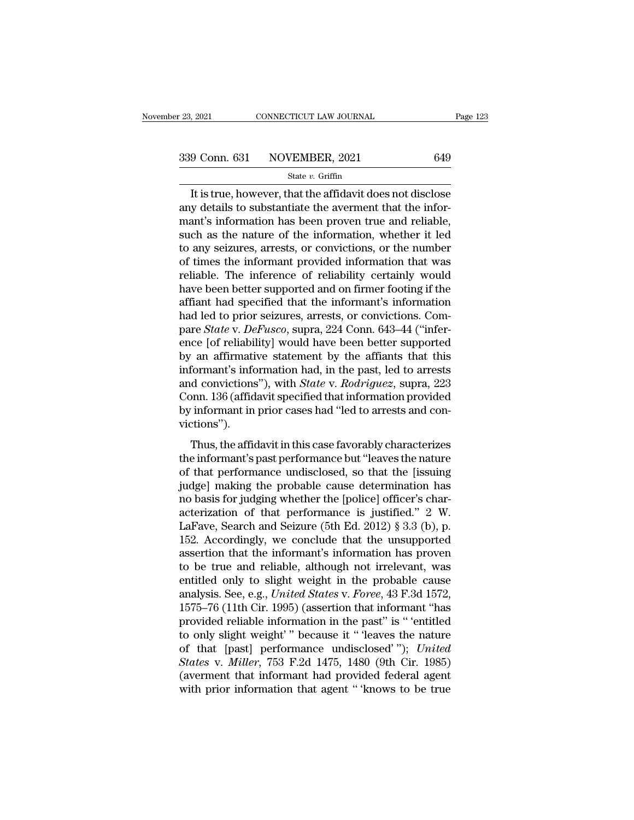$\frac{1}{2021}$  CONNECTICUT LAW JOURNAL Page 123<br>  $\frac{9 \text{ Conn. } 631}$  NOVEMBER, 2021 649<br>
State v. Griffin<br>
It is true, however, that the affidavit does not disclose<br>
y details to substantiate the averment that the infor-339 Conn. 631 NOVEMBER, 2021 649<br>  $\frac{\text{State } v. \text{ Griffith}}{\text{It is true, however, that the affidavit does not disclose}}$ <br>
It is true, however, that the affidavit does not disclose<br>
any details to substantiate the averment that the infor-<br>
mant's information has been proven 339 Conn. 631 NOVEMBER, 2021 649<br>
State v. Griffin<br>
It is true, however, that the affidavit does not disclose<br>
any details to substantiate the averment that the infor-<br>
mant's information has been proven true and reliable 339 Conn. 631 NOVEMBER, 2021 649<br>
State v. Griffin<br>
It is true, however, that the affidavit does not disclose<br>
any details to substantiate the averment that the infor-<br>
mant's information has been proven true and reliable State v. Griffin<br>
It is true, however, that the affidavit does not disclose<br>
any details to substantiate the averment that the infor-<br>
mant's information has been proven true and reliable,<br>
such as the nature of the infor state  $v$ . Griftin<br>It is true, however, that the affidavit does not disclose<br>any details to substantiate the averment that the infor-<br>mant's information has been proven true and reliable,<br>such as the nature of the informa It is true, however, that the affidavit does not disclose<br>any details to substantiate the averment that the infor-<br>mant's information has been proven true and reliable,<br>such as the nature of the information, whether it led any details to substantiate the averment that the informant's information has been proven true and reliable, such as the nature of the information, whether it led to any seizures, arrests, or convictions, or the number of mant's information has been proven true and reliable,<br>such as the nature of the information, whether it led<br>to any seizures, arrests, or convictions, or the number<br>of times the informant provided information that was<br>relia such as the nature of the information, whether it led<br>to any seizures, arrests, or convictions, or the number<br>of times the informant provided information that was<br>reliable. The inference of reliability certainly would<br>have to any seizures, arrests, or convictions, or the number<br>of times the informant provided information that was<br>reliable. The inference of reliability certainly would<br>have been better supported and on firmer footing if the<br>af of times the informant provided information that was<br>reliable. The inference of reliability certainly would<br>have been better supported and on firmer footing if the<br>affiant had specified that the informant's information<br>had reliable. The inference of reliability certainly would<br>have been better supported and on firmer footing if the<br>affiant had specified that the informant's information<br>had led to prior seizures, arrests, or convictions. Com have been better supported and on firmer footing if the<br>affiant had specified that the informant's information<br>had led to prior seizures, arrests, or convictions. Com-<br>pare *State* v. *DeFusco*, supra, 224 Conn. 643–44 ("i affiant had specified that the informant's information<br>had led to prior seizures, arrests, or convictions. Com-<br>pare *State* v. *DeFusco*, supra, 224 Conn. 643–44 ("infer-<br>ence [of reliability] would have been better suppo had led to prior seizures, arrests, or convictions. Compare *State* v. *DeFusco*, supra, 224 Conn. 643–44 ("inference [of reliability] would have been better supported by an affirmative statement by the affiants that this pare *State* v. *DeFusco*, supra, 224 Conn. 643–44 ("inference [of reliability] would have been better supported<br>by an affirmative statement by the affiants that this<br>informant's information had, in the past, led to arrest victions''). are aminatate statement by the amatas that ans<br>formant's information had, in the past, led to arrests<br>d convictions"), with *State* v. *Rodriguez*, supra, 223<br>pnn. 136 (affidavit specified that information provided<br>informa mormant's mormanton rada, in the past, ica to arrests<br>and convictions"), with *State* v. *Rodriguez*, supra, 223<br>Conn. 136 (affidavit specified that information provided<br>by informant in prior cases had "led to arrests and

connections  $f$ , which state  $v$ . Real egals, sapira, 225<br>Conn. 136 (affidavit specified that information provided<br>by informant in prior cases had "led to arrests and con-<br>victions").<br>Thus, the affidavit in this case favo by informant in prior cases had "led to arrests and convictions").<br>Thus, the affidavit in this case favorably characterizes<br>the informant's past performance but "leaves the nature<br>of that performance undisclosed, so that by informant in prior cases had fed to directs and convictions").<br>Thus, the affidavit in this case favorably characterizes<br>the informant's past performance but "leaves the nature<br>of that performance undisclosed, so that t Thus, the affidavit in this case favorably characterizes<br>the informant's past performance but "leaves the nature<br>of that performance undisclosed, so that the [issuing<br>judge] making the probable cause determination has<br>no Thus, the affidavit in this case favorably characterizes<br>the informant's past performance but "leaves the nature<br>of that performance undisclosed, so that the [issuing<br>judge] making the probable cause determination has<br>no b the informant's past performance but "leaves the nature<br>of that performance undisclosed, so that the [issuing<br>judge] making the probable cause determination has<br>no basis for judging whether the [police] officer's char-<br>act of that performance undisclosed, so that the [issuing<br>judge] making the probable cause determination has<br>no basis for judging whether the [police] officer's char-<br>acterization of that performance is justified." 2 W.<br>LaFave judge] making the probable cause determination has<br>no basis for judging whether the [police] officer's char-<br>acterization of that performance is justified." 2 W.<br>LaFave, Search and Seizure (5th Ed. 2012) § 3.3 (b), p.<br>152 no basis for judging whether the [police] officer's characterization of that performance is justified." 2 W.<br>LaFave, Search and Seizure (5th Ed. 2012) § 3.3 (b), p.<br>152. Accordingly, we conclude that the unsupported<br>asser acterization of that performance is justified." 2 W.<br>LaFave, Search and Seizure (5th Ed. 2012) § 3.3 (b), p.<br>152. Accordingly, we conclude that the unsupported<br>assertion that the informant's information has proven<br>to be tr LaFave, Search and Seizure (5th Ed. 2012) § 3.3 (b), p.<br>152. Accordingly, we conclude that the unsupported<br>assertion that the informant's information has proven<br>to be true and reliable, although not irrelevant, was<br>entitl 152. Accordingly, we conclude that the unsupported<br>assertion that the informant's information has proven<br>to be true and reliable, although not irrelevant, was<br>entitled only to slight weight in the probable cause<br>analysis. assertion that the informant's information has proven<br>to be true and reliable, although not irrelevant, was<br>entitled only to slight weight in the probable cause<br>analysis. See, e.g., *United States v. Foree*, 43 F.3d 1572, to be true and reliable, although not irrelevant, was<br>entitled only to slight weight in the probable cause<br>analysis. See, e.g., *United States v. Foree*, 43 F.3d 1572,<br>1575–76 (11th Cir. 1995) (assertion that informant "ha entitled only to slight weight in the probable cause<br>analysis. See, e.g., *United States* v. *Foree*, 43 F.3d 1572,<br>1575–76 (11th Cir. 1995) (assertion that informant "has<br>provided reliable information in the past" is " 'e analysis. See, e.g., *United States v. Foree*, 43 F.3d 1572, 1575–76 (11th Cir. 1995) (assertion that informant "has provided reliable information in the past" is "'entitled to only slight weight'" because it " 'leaves the 1575–76 (11th Cir. 1995) (assertion that informant "has<br>provided reliable information in the past" is "'entitled<br>to only slight weight'" because it "'leaves the nature<br>of that [past] performance undisclosed'"); *United*<br>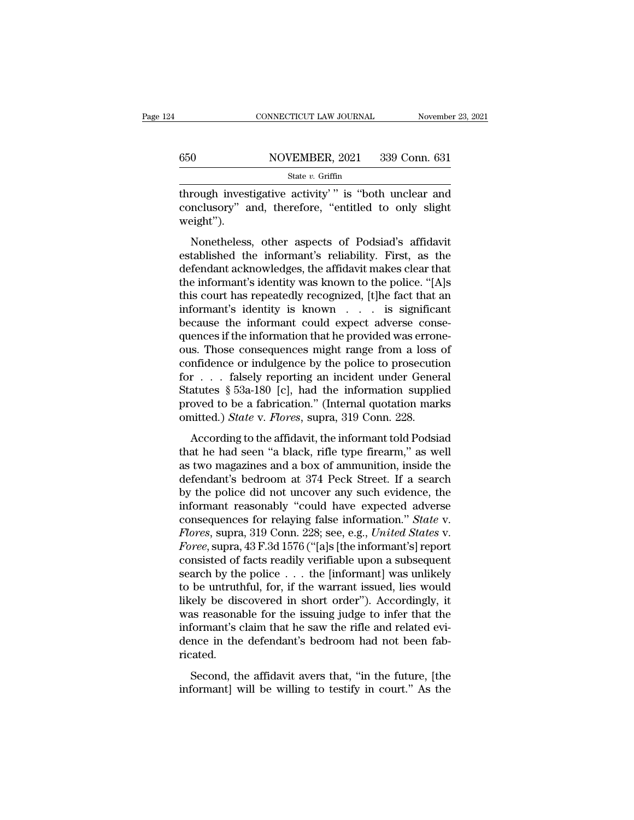## CONNECTICUT LAW JOURNAL November 23, 2021<br>650 NOVEMBER, 2021 339 Conn. 631<br>State v. Griffin State *v.* Griffin

CONNECTICUT LAW JOURNAL November 23, 2021<br>
State v. Griffin<br>
State v. Griffin<br>
Through investigative activity' " is "both unclear and<br>
conclusory" and, therefore, "entitled to only slight<br>
weight") 650 NOVEMBER, 2021 339 Conn. 631<br>
State v. Griffin<br>
through investigative activity''' is "both unclear and<br>
conclusory" and, therefore, "entitled to only slight<br>
weight"). weight'').  $\frac{\text{NOVEMBER}, 2021}{\text{State } v. \text{ Griffith}}$ <br>  $\frac{\text{State } v. \text{ Griffith}}{\text{With}}$ <br>
rough investigative activity'" is "both unclear and<br>
nclusory" and, therefore, "entitled to only slight<br>
eight").<br>
Nonetheless, other aspects of Podsiad's affidavit<br>

State v. Griffin<br>
through investigative activity'" is "both unclear and<br>
conclusory" and, therefore, "entitled to only slight<br>
weight").<br>
Nonetheless, other aspects of Podsiad's affidavit<br>
established the informant's reli through investigative activity'" is "both unclear and<br>conclusory" and, therefore, "entitled to only slight<br>weight").<br>Nonetheless, other aspects of Podsiad's affidavit<br>established the informant's reliability. First, as the<br> the informant's identity is both the informant's elasting weight").<br>
Nonetheless, other aspects of Podsiad's affidavit<br>
established the informant's reliability. First, as the<br>
defendant acknowledges, the affidavit makes cl the endeaded of the superiories of the set of positional weight").<br>
Nonetheless, other aspects of Podsiad's affidavit<br>
established the informant's reliability. First, as the<br>
defendant acknowledges, the affidavit makes cle Nonetheless, other aspects of Podsiad's affidavit established the informant's reliability. First, as the defendant acknowledges, the affidavit makes clear that the informant's identity was known to the police. "[A]s this Nonetheless, other aspects of Podsiad's affidavit established the informant's reliability. First, as the defendant acknowledges, the affidavit makes clear that the informant's identity was known to the police. "[A]s this established the informant's reliability. First, as the defendant acknowledges, the affidavit makes clear that the informant's identity was known to the police. "[A]s this court has repeatedly recognized, [t]he fact that an defendant acknowledges, the affidavit makes clear that<br>the informant's identity was known to the police. "[A]s<br>this court has repeatedly recognized, [t]he fact that an<br>informant's identity is known . . . is significant<br>bec the informant's identity was known to the police. "[A]s<br>this court has repeatedly recognized, [t]he fact that an<br>informant's identity is known  $\ldots$  is significant<br>because the informant could expect adverse conse-<br>quences this court has repeatedly recognized, [t]he fact that an informant's identity is known . . . is significant because the informant could expect adverse consequences if the information that he provided was errone-<br>ous. Thos informant's identity is known . . . is significant<br>because the informant could expect adverse consequences if the information that he provided was errone-<br>ous. Those consequences might range from a loss of<br>confidence or i because the informant could expect adverse consequences if the information that he provided was errone-<br>ous. Those consequences might range from a loss of<br>confidence or indulgence by the police to prosecution<br>for . . . fa quences if the information that he provided was errone-<br>ous. Those consequences might range from a loss of<br>confidence or indulgence by the police to prosecution<br>for . . . falsely reporting an incident under General<br>Statut In the consequences may take the police to prosecution<br>  $\mathbf{r}$  . . . falsely reporting an incident under General<br>
atutes § 53a-180 [c], had the information supplied<br>
oved to be a fabrication." (Internal quotation marks<br> for . . . falsely reporting an incident under General<br>Statutes § 53a-180 [c], had the information supplied<br>proved to be a fabrication." (Internal quotation marks<br>omitted.) *State* v. *Flores*, supra, 319 Conn. 228.<br>Accord

Statutes § 53a-180 [c], had the information supplied<br>proved to be a fabrication." (Internal quotation marks<br>omitted.) *State* v. *Flores*, supra, 319 Conn. 228.<br>According to the affidavit, the informant told Podsiad<br>that proved to be a fabrication." (Internal quotation marks<br>omitted.) *State* v. *Flores*, supra, 319 Conn. 228.<br>According to the affidavit, the informant told Podsiad<br>that he had seen "a black, rifle type firearm," as well<br>as by the police did not uncover any such electromal police did not the affidavit, the informant told Podsiad that he had seen "a black, rifle type firearm," as well as two magazines and a box of ammunition, inside the defend According to the affidavit, the informant told Podsiad<br>that he had seen "a black, rifle type firearm," as well<br>as two magazines and a box of ammunition, inside the<br>defendant's bedroom at 374 Peck Street. If a search<br>by th According to the affidavit, the informant told Podsiad<br>that he had seen "a black, rifle type firearm," as well<br>as two magazines and a box of ammunition, inside the<br>defendant's bedroom at 374 Peck Street. If a search<br>by the that he had seen "a black, rifle type firearm," as well<br>as two magazines and a box of ammunition, inside the<br>defendant's bedroom at 374 Peck Street. If a search<br>by the police did not uncover any such evidence, the<br>informan as two magazines and a box of ammunition, inside the<br>defendant's bedroom at 374 Peck Street. If a search<br>by the police did not uncover any such evidence, the<br>informant reasonably "could have expected adverse<br>consequences f defendant's bedroom at 374 Peck Street. If a search<br>by the police did not uncover any such evidence, the<br>informant reasonably "could have expected adverse<br>consequences for relaying false information." *State* v.<br>*Flores*, by the police did not uncover any such evidence, the<br>informant reasonably "could have expected adverse<br>consequences for relaying false information." *State* v.<br>*Flores*, supra, 319 Conn. 228; see, e.g., *United States* v.<br> informant reasonably "could have expected adverse<br>consequences for relaying false information." *State* v.<br>*Flores*, supra, 319 Conn. 228; see, e.g., *United States* v.<br>*Foree*, supra, 43 F.3d 1576 ("[a]s [the informant's] consequences for relaying false information." *State* v.<br>Flores, supra, 319 Conn. 228; see, e.g., *United States* v.<br>Foree, supra, 43 F.3d 1576 ("[a]s [the informant's] report<br>consisted of facts readily verifiable upon a s Flores, supra, 319 Conn. 228; see, e.g., United States v.<br>Foree, supra, 43 F.3d 1576 ("[a]s [the informant's] report<br>consisted of facts readily verifiable upon a subsequent<br>search by the police . . . the [informant] was un Foree, supra, 43 F.3d 1576 ("[a]s [the informant's] report consisted of facts readily verifiable upon a subsequent search by the police  $\ldots$  the [informant] was unlikely to be untruthful, for, if the warrant issued, lies consisted of facts readily verifiable upon a subsequent<br>search by the police  $\ldots$  the [informant] was unlikely<br>to be untruthful, for, if the warrant issued, lies would<br>likely be discovered in short order"). Accordingly, ricated. Second, the affidavit avers that, "in the future, [the formant's claim that he saw the rifle and related evi-<br>none in the defendant's bedroom had not been fab-<br>ated.<br>Second, the affidavit avers that, "in the future, [the f med, the associated in short order *f*. The cording, the was reasonable for the issuing judge to infer that the informant's claim that he saw the rifle and related evidence in the defendant's bedroom had not been fabricate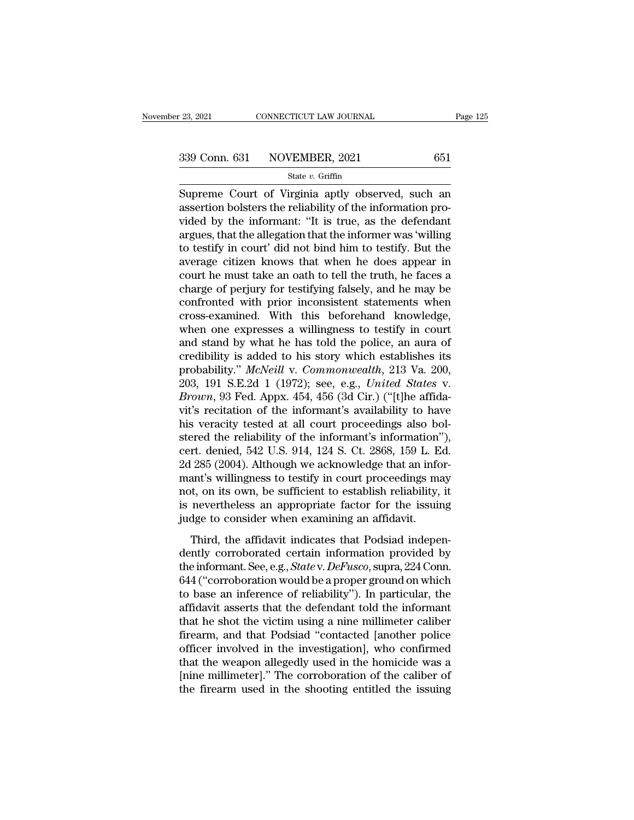Eq. 23, 2021 CONNECTICUT LAW JOURNAL Page 125<br>
Supreme Court of Virginia aptly observed, such an<br>
assertion bolsters the reliability of the information pro-339 Conn. 631 NOVEMBER, 2021 651<br>  $\frac{\text{State } v. \text{ Griffith}}{\text{State } v. \text{ Griffith}}$ <br>
Supreme Court of Virginia aptly observed, such an assertion bolsters the reliability of the information pro-<br>
vided by the informant: "It is true, as the def 339 Conn. 631 NOVEMBER, 2021 651<br>
State v. Griffin<br>
Supreme Court of Virginia aptly observed, such an<br>
assertion bolsters the reliability of the information pro-<br>
vided by the informant: "It is true, as the defendant<br>
arg 339 Conn. 631 NOVEMBER, 2021 651<br>
Supreme Court of Virginia aptly observed, such an<br>
assertion bolsters the reliability of the information pro-<br>
vided by the informant: "It is true, as the defendant<br>
argues, that the alle Supreme Court of Virginia aptly observed, such an assertion bolsters the reliability of the information provided by the informant: "It is true, as the defendant argues, that the allegation that the informer was 'willing t state v. Grifin<br>Supreme Court of Virginia aptly observed, such an<br>assertion bolsters the reliability of the information pro-<br>vided by the informant: "It is true, as the defendant<br>argues, that the allegation that the infor Supreme Court of Virginia aptly observed, such an assertion bolsters the reliability of the information provided by the informant: "It is true, as the defendant argues, that the allegation that the informer was 'willing to assertion bolsters the reliability of the information pro-<br>vided by the informant: "It is true, as the defendant<br>argues, that the allegation that the informer was 'willing<br>to testify in court' did not bind him to testify. vided by the informant: "It is true, as the defendant<br>argues, that the allegation that the informer was 'willing<br>to testify in court' did not bind him to testify. But the<br>average citizen knows that when he does appear in<br>c argues, that the allegation that the informer was 'willing<br>to testify in court' did not bind him to testify. But the<br>average citizen knows that when he does appear in<br>court he must take an oath to tell the truth, he faces to testify in court' did not bind him to testify. But the average citizen knows that when he does appear in court he must take an oath to tell the truth, he faces a charge of perjury for testifying falsely, and he may be c average citizen knows that when he does appear in<br>court he must take an oath to tell the truth, he faces a<br>charge of perjury for testifying falsely, and he may be<br>confronted with prior inconsistent statements when<br>cross-ex court he must take an oath to tell the truth, he faces a<br>charge of perjury for testifying falsely, and he may be<br>confronted with prior inconsistent statements when<br>cross-examined. With this beforehand knowledge,<br>when one charge of perjury for testifying falsely, and he may be confronted with prior inconsistent statements when cross-examined. With this beforehand knowledge, when one expresses a willingness to testify in court and stand by w confronted with prior inconsistent statements when<br>cross-examined. With this beforehand knowledge,<br>when one expresses a willingness to testify in court<br>and stand by what he has told the police, an aura of<br>credibility is ad cross-examined. With this beforehand knowledge, when one expresses a willingness to testify in court and stand by what he has told the police, an aura of credibility is added to his story which establishes its probability. when one expresses a willingness to testify in court<br>and stand by what he has told the police, an aura of<br>credibility is added to his story which establishes its<br>probability." McNeill v. Commonwealth, 213 Va. 200,<br>203, 191 and stand by what he has told the police, an aura of credibility is added to his story which establishes its probability." McNeill v. Commonwealth, 213 Va. 200, 203, 191 S.E.2d 1 (1972); see, e.g., *United States v. Brown* credibility is added to his story which establishes its<br>probability." McNeill v. Commonwealth, 213 Va. 200,<br>203, 191 S.E.2d 1 (1972); see, e.g., United States v.<br>Brown, 93 Fed. Appx. 454, 456 (3d Cir.) ("[t]he affida-<br>vit probability." McNeill v. Commonwealth, 213 Va. 200, 203, 191 S.E.2d 1 (1972); see, e.g., United States v.<br>Brown, 93 Fed. Appx. 454, 456 (3d Cir.) ("[t]he affida-<br>vit's recitation of the informant's availability to have<br>his 203, 191 S.E.2d 1 (1972); see, e.g., *United States v. Brown*, 93 Fed. Appx. 454, 456 (3d Cir.) ("[t]he affidavit's recitation of the informant's availability to have his veracity tested at all court proceedings also bo Brown, 93 Fed. Appx. 454, 456 (3d Cir.) ("[t]he affidavit's recitation of the informant's availability to have his veracity tested at all court proceedings also bol-<br>stered the reliability of the informant's information"), vit's recitation of the informant's availability to have<br>his veracity tested at all court proceedings also bol-<br>stered the reliability of the informant's information"),<br>cert. denied, 542 U.S. 914, 124 S. Ct. 2868, 159 L. E his veracity tested at all court proceedings also bol-<br>stered the reliability of the informant's information''),<br>cert. denied, 542 U.S. 914, 124 S. Ct. 2868, 159 L. Ed.<br>2d 285 (2004). Although we acknowledge that an inforstered the reliability of the informant's information'<br>cert. denied, 542 U.S. 914, 124 S. Ct. 2868, 159 L. E<br>2d 285 (2004). Although we acknowledge that an info<br>mant's willingness to testify in court proceedings ma<br>not, on The action,  $\sigma$  2 c.s.  $\sigma$  1, 11 s. e.g. 2000, 100 E. Ed.<br>
285 (2004). Although we acknowledge that an infor-<br>
ant's willingness to testify in court proceedings may<br>
t, on its own, be sufficient to establish reliability and the simulation of the sum of the small simulation of the simulation of the set of the issuing independently corroborated certain information provided by the informant. See, e.g., *Statev. DeFusco*, supra, 224 Conn.  $6$ 

Indians whinghess to testay in coart proceedings hay<br>not, on its own, be sufficient to establish reliability, it<br>is nevertheless an appropriate factor for the issuing<br>judge to consider when examining an affidavit.<br>Third, t Figure 1.15 Solution is estimated to constant relations), is<br>is nevertheless an appropriate factor for the issuing<br>judge to consider when examining an affidavit.<br>Third, the affidavit indicates that Podsiad indepen-<br>dently fully discussed an implementation and antifidavit.<br>Third, the affidavit indicates that Podsiad independently corroborated certain information provided by<br>the informant. See, e.g., *Statev. DeFusco*, supra, 224 Conn.<br>644 ( Third, the affidavit indicates that Podsiad independently corroborated certain information provided by the informant. See, e.g., *Statev. DeFusco*, supra, 224 Conn. 644 ("corroboration would be a proper ground on which to Third, the affidavit indicates that Podsiad independently corroborated certain information provided by<br>the informant. See, e.g., *State* v. *DeFusco*, supra, 224 Conn.<br>644 ("corroboration would be a proper ground on which<br> dently corroborated certain information provided by<br>the informant. See, e.g., *State* v. *DeFusco*, supra, 224 Conn.<br>644 ("corroboration would be a proper ground on which<br>to base an inference of reliability"). In particula the informant. See, e.g., *State* v. *DeFusco*, supra, 224 Conn.<br>644 ("corroboration would be a proper ground on which<br>to base an inference of reliability"). In particular, the<br>affidavit asserts that the defendant told the 644 ("corroboration would be a proper ground on which<br>to base an inference of reliability"). In particular, the<br>affidavit asserts that the defendant told the informant<br>that he shot the victim using a nine millimeter calibe to base an inference of reliability"). In particular, the affidavit asserts that the defendant told the informant that he shot the victim using a nine millimeter caliber firearm, and that Podsiad "contacted [another police affidavit asserts that the defendant told the informant<br>that he shot the victim using a nine millimeter caliber<br>firearm, and that Podsiad "contacted [another police<br>officer involved in the investigation], who confirmed<br>tha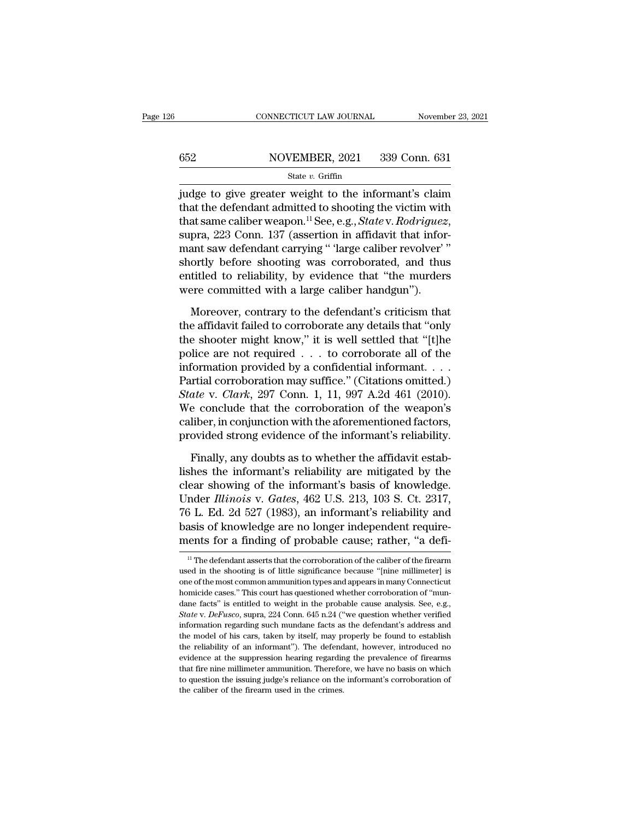# CONNECTICUT LAW JOURNAL November 23, 2021<br>652 NOVEMBER, 2021 339 Conn. 631<br>State v. Griffin

## State *v.* Griffin

FREE CONNECTICUT LAW JOURNAL Movember 23, 2021<br>
State v. Griffin<br>
State v. Griffin<br>
State v. Griffin<br>
State v. Griffin<br>
State v. Griffin<br>
State informant's claim<br>
that the defendant admitted to shooting the victim with<br>
t that the defendant admitted to shooting the victim space.<br>
State v. Griffin<br>
didge to give greater weight to the informant's claim<br>
that the defendant admitted to shooting the victim with<br>
that same caliber weapon.<sup>11</sup> Se that same caliber weight to the informant's claim<br>
judge to give greater weight to the informant's claim<br>
that the defendant admitted to shooting the victim with<br>
that same caliber weapon.<sup>11</sup> See, e.g., *State* v. *Rodri* State v. Griffin<br>
judge to give greater weight to the informant's claim<br>
that the defendant admitted to shooting the victim with<br>
that same caliber weapon.<sup>11</sup> See, e.g., *State* v. *Rodriguez*,<br>
supra, 223 Conn. 137 (ass state v. Grillin<br>judge to give greater weight to the informant's claim<br>that the defendant admitted to shooting the victim with<br>that same caliber weapon.<sup>11</sup> See, e.g., *State* v. *Rodriguez*,<br>supra, 223 Conn. 137 (asserti judge to give greater weight to the informant's claim<br>that the defendant admitted to shooting the victim with<br>that same caliber weapon.<sup>11</sup> See, e.g., *State* v. *Rodriguez*,<br>supra, 223 Conn. 137 (assertion in affidavit th that the defendant admitted to shooting the victim with that same caliber weapon.<sup>11</sup> See, e.g., *State* v. *Rodriguez*, supra, 223 Conn. 137 (assertion in affidavit that informant saw defendant carrying " large caliber r pra, 223 Conn. 137 (assertion in affidavit that informant saw defendant carrying " large caliber revolver" "<br>ortly before shooting was corroborated, and thus<br>titled to reliability, by evidence that "the murders<br>ere committ mant saw defendant carrying " 'large caliber revolver' "<br>shortly before shooting was corroborated, and thus<br>entitled to reliability, by evidence that "the murders<br>were committed with a large caliber handgun").<br>Moreover, co

shortly before shooting was corroborated, and thus<br>entitled to reliability, by evidence that "the murders<br>were committed with a large caliber handgun").<br>Moreover, contrary to the defendant's criticism that<br>the affidavit fa entitled to reliability, by evidence that "the murders<br>were committed with a large caliber handgun").<br>Moreover, contrary to the defendant's criticism that<br>the affidavit failed to corroborate any details that "only<br>the shoo were committed with a large caliber handgun").<br>
Moreover, contrary to the defendant's criticism that<br>
the affidavit failed to corroborate any details that "only<br>
the shooter might know," it is well settled that "[t]he<br>
po Moreover, contrary to the defendant's criticism that<br>the affidavit failed to corroborate any details that "only<br>the shooter might know," it is well settled that "[t]he<br>police are not required  $\dots$  to corroborate all of th Moreover, contrary to the defendant's criticism that<br>the affidavit failed to corroborate any details that "only<br>the shooter might know," it is well settled that "[t]he<br>police are not required . . . to corroborate all of th the affidavit failed to corroborate any details that "only<br>the shooter might know," it is well settled that "[t]he<br>police are not required  $\ldots$  to corroborate all of the<br>information provided by a confidential informant. the shooter might know," it is well settled that "[t]he<br>police are not required  $\ldots$  to corroborate all of the<br>information provided by a confidential informant.  $\ldots$ <br>Partial corroboration may suffice." (Citations omitte police are not required  $\ldots$  to corroborate all of the information provided by a confidential informant.  $\ldots$ <br>Partial corroboration may suffice." (Citations omitted.)<br>State v. Clark, 297 Conn. 1, 11, 997 A.2d 461 (2010) Intrial corroboration may suffice." (Citations omitted.)<br>
ate v. *Clark*, 297 Conn. 1, 11, 997 A.2d 461 (2010).<br>
E conclude that the corroboration of the weapon's<br>
liber, in conjunction with the aforementioned factors,<br>
ov State v. Clark, 297 Conn. 1, 11, 997 A.2d 461 (2010).<br>We conclude that the corroboration of the weapon's<br>caliber, in conjunction with the aforementioned factors,<br>provided strong evidence of the informant's reliability.<br>Fi

We conclude that the corroboration of the weapon's<br>caliber, in conjunction with the aforementioned factors,<br>provided strong evidence of the informant's reliability.<br>Finally, any doubts as to whether the affidavit estab-<br>li caliber, in conjunction with the aforementioned factors,<br>provided strong evidence of the informant's reliability.<br>Finally, any doubts as to whether the affidavit estab-<br>lishes the informant's reliability are mitigated by t provided strong evidence of the informant's reliability.<br>Finally, any doubts as to whether the affidavit estab-<br>lishes the informant's reliability are mitigated by the<br>clear showing of the informant's basis of knowledge.<br>U Finally, any doubts as to whether the affidavit establishes the informant's reliability are mitigated by the clear showing of the informant's basis of knowledge. Under *Illinois* v. *Gates*, 462 U.S. 213, 103 S. Ct. 2317, Finally, any doubts as to whether the affidavit establishes the informant's reliability are mitigated by the clear showing of the informant's basis of knowledge. Under *Illinois* v. *Gates*, 462 U.S. 213, 103 S. Ct. 2317, Under *Illinois* v. *Gates*, 462 U.S. 213, 103 S. Ct. 2317, 76 L. Ed. 2d 527 (1983), an informant's reliability and basis of knowledge are no longer independent requirements for a finding of probable cause; rather, "a def 76 L. Ed. 2d 527 (1983), an informant's reliability and<br>basis of knowledge are no longer independent require-<br>ments for a finding of probable cause; rather, "a defi-<br> $\frac{1}{1}$ "The defendant asserts that the corroboration

basis of knowledge are no longer independent requirements for a finding of probable cause; rather, "a defi-<br> $\frac{11}{10}$  The defendant asserts that the corroboration of the caliber of the firearm<br>used in the shooting is of ments for a finding of probable cause; rather, "a defi-<br>
<sup>11</sup> The defendant asserts that the corroboration of the caliber of the firearm<br>
used in the shooting is of little significance because "[nine millimeter] is<br>
one of The defendant asserts that the corroboration of the caliber of the firearm<br>
and in the shooting is of little significance because "[nine millimeter] is<br>
one of the most common ammunition types and appears in many Connecti <sup>11</sup> The defendant asserts that the corroboration of the caliber of the firearm used in the shooting is of little significance because "[nine millimeter] is one of the most common ammunition types and appears in many Conn used in the shooting is of little significance because "[nine millimeter] is one of the most common ammunition types and appears in many Connecticut homicide cases." This court has questioned whether corroboration of "mund above of the most common ammunition types and appears in many Connecticut<br>homicide cases." This court has questioned whether corroboration of "mun-<br>dane facts" is entitled to weight in the probable cause analysis. See, e.g the reliability of an informant<sup>y</sup>) and the probable cause analysis. See, e.g., State v. DeFusco, supra, 224 Conn. 645 n.24 ("we question whether verified information regarding such mundane facts as the defendant's address dane facts" is entitled to weight in the probable cause analysis. See, e.g., *State v. DeFusco*, supra, 224 Conn. 645 n.24 ("we question whether verified information regarding such mundane facts as the defendant's address State v. DeFusco, supra, 224 Conn. 645 n.24 ("we question whether verified information regarding such mundane facts as the defendant's address and the model of his cars, taken by itself, may properly be found to establish State v. DeFusco, supra, 224 Conn. 645 n.24 ("we question whether verified information regarding such mundane facts as the defendant's address and the model of his cars, taken by itself, may properly be found to establish the model of his cars, taken by itself, may properly be found to establish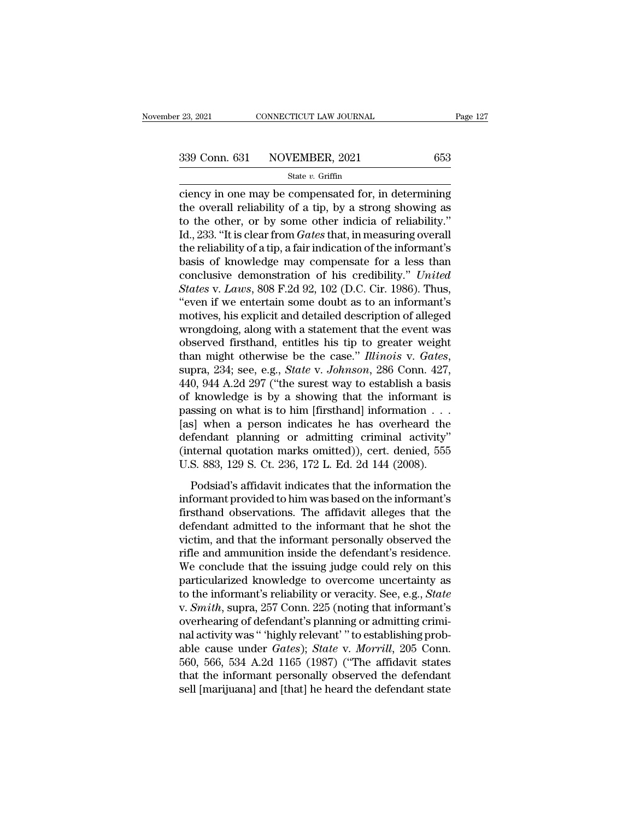connecticut LAW JOURNAL Page 127<br>
23, 2021 Page 127<br>
339 Conn. 631 NOVEMBER, 2021 653<br>
State v. Griffin<br>
Ciency in one may be compensated for, in determining<br>
the overall reliability of a tip, by a strong showing as<br>
to t 339 Conn. 631 NOVEMBER, 2021 653<br>
State v. Griffin<br>
ciency in one may be compensated for, in determining<br>
the overall reliability of a tip, by a strong showing as<br>
to the other, or by some other indicia of reliability."<br> 339 Conn. 631 NOVEMBER, 2021 653<br>
State v. Griffin<br>
ciency in one may be compensated for, in determining<br>
the overall reliability of a tip, by a strong showing as<br>
to the other, or by some other indicia of reliability."<br> 339 Conn. 631 NOVEMBER, 2021 653<br>
state  $v$ . Griffin<br>
ciency in one may be compensated for, in determining<br>
the overall reliability of a tip, by a strong showing as<br>
to the other, or by some other indicia of reliability." State v. Griffin<br>
ciency in one may be compensated for, in determining<br>
the overall reliability of a tip, by a strong showing as<br>
to the other, or by some other indicia of reliability."<br>
Id., 233. "It is clear from *Gates* state v. Griffin<br>ciency in one may be compensated for, in determining<br>the overall reliability of a tip, by a strong showing as<br>to the other, or by some other indicia of reliability."<br>Id., 233. "It is clear from *Gates* th ciency in one may be compensated for, in determining<br>the overall reliability of a tip, by a strong showing as<br>to the other, or by some other indicia of reliability."<br>Id., 233. "It is clear from *Gates* that, in measuring o the overall reliability of a tip, by a strong showing as<br>to the other, or by some other indicia of reliability."<br>Id., 233. "It is clear from *Gates* that, in measuring overall<br>the reliability of a tip, a fair indication of to the other, or by some other indicia of reliability."<br>
Id., 233. "It is clear from *Gates* that, in measuring overall<br>
the reliability of a tip, a fair indication of the informant's<br>
basis of knowledge may compensate fo Id., 233. "It is clear from *Gates* that, in measuring overall<br>the reliability of a tip, a fair indication of the informant's<br>basis of knowledge may compensate for a less than<br>conclusive demonstration of his credibility." the reliability of a tip, a fair indication of the informant's<br>basis of knowledge may compensate for a less than<br>conclusive demonstration of his credibility." *United*<br>States v. Laws, 808 F.2d 92, 102 (D.C. Cir. 1986). Th basis of knowledge may compensate for a less than<br>conclusive demonstration of his credibility." *United*<br>*States* v. *Laws*, 808 F.2d 92, 102 (D.C. Cir. 1986). Thus,<br>"even if we entertain some doubt as to an informant's<br>m conclusive demonstration of his credibility." *United*<br>*States* v. *Laws*, 808 F.2d 92, 102 (D.C. Cir. 1986). Thus,<br>"even if we entertain some doubt as to an informant's<br>motives, his explicit and detailed description of al "even if we entertain some doubt as to an informant's<br>motives, his explicit and detailed description of alleged<br>wrongdoing, along with a statement that the event was<br>observed firsthand, entitles his tip to greater weight<br>t motives, his explicit and detailed description of alleged<br>wrongdoing, along with a statement that the event was<br>observed firsthand, entitles his tip to greater weight<br>than might otherwise be the case." *Illinois* v. *Gate* wrongdoing, along with a statement that the event was<br>observed firsthand, entitles his tip to greater weight<br>than might otherwise be the case." Illinois v. Gates,<br>supra, 234; see, e.g., *State* v. Johnson, 286 Conn. 427,<br> observed firsthand, entitles his tip to greater weight<br>than might otherwise be the case." *Illinois* v. *Gates*,<br>supra, 234; see, e.g., *State* v. *Johnson*, 286 Conn. 427,<br>440, 944 A.2d 297 ("the surest way to establish than might otherwise be the case." *Illinois* v. *Gates*,<br>supra, 234; see, e.g., *State* v. *Johnson*, 286 Conn. 427,<br>440, 944 A.2d 297 ("the surest way to establish a basis<br>of knowledge is by a showing that the informant supra, 234; see, e.g., *State v. Johnson*, 286 Conn. 427, 440, 944 A.2d 297 ("the surest way to establish a basis of knowledge is by a showing that the informant is passing on what is to him [firsthand] information  $\dots$  [ 440, 944 A.2d 297 ("the surest way to establish a basis of knowledge is by a showing that the informant is passing on what is to him [firsthand] information  $\dots$  [as] when a person indicates he has overheard the defendant Following that are informations and the information in space sing on what is to him [firsthand] information  $\ldots$ <br>s] when a person indicates he has overheard the fendant planning or admitting criminal activity"<br>termal quo Fassing on what is to find [mistimal] information  $\cdots$  [as] when a person indicates he has overheard the defendant planning or admitting criminal activity" (internal quotation marks omitted)), cert. denied, 555 U.S. 883,

fixed planning or admitting criminal activity"<br>(internal quotation marks omitted)), cert. denied, 555<br>U.S. 883, 129 S. Ct. 236, 172 L. Ed. 2d 144 (2008).<br>Podsiad's affidavit indicates that the information the<br>informant pr defendant planting of damitality critical defendant (internal quotation marks omitted)), cert. denied, 555<br>U.S. 883, 129 S. Ct. 236, 172 L. Ed. 2d 144 (2008).<br>Podsiad's affidavit indicates that the information the<br>informan U.S. 883, 129 S. Ct. 236, 172 L. Ed. 2d 144 (2008).<br>
Podsiad's affidavit indicates that the information the<br>
informant provided to him was based on the informant's<br>
firsthand observations. The affidavit alleges that the<br>
d Podsiad's affidavit indicates that the information the informant provided to him was based on the informant's firsthand observations. The affidavit alleges that the defendant admitted to the informant that he shot the vict Podsiad's affidavit indicates that the information the<br>informant provided to him was based on the informant's<br>firsthand observations. The affidavit alleges that the<br>defendant admitted to the informant that he shot the<br>vict informant provided to him was based on the informant's<br>firsthand observations. The affidavit alleges that the<br>defendant admitted to the informant that he shot the<br>victim, and that the informant personally observed the<br>rifl firsthand observations. The affidavit alleges that the<br>defendant admitted to the informant that he shot the<br>victim, and that the informant personally observed the<br>rifle and ammunition inside the defendant's residence.<br>We c defendant admitted to the informant that he shot the victim, and that the informant personally observed the rifle and ammunition inside the defendant's residence. We conclude that the issuing judge could rely on this parti victim, and that the informant personally observed the<br>rifle and ammunition inside the defendant's residence.<br>We conclude that the issuing judge could rely on this<br>particularized knowledge to overcome uncertainty as<br>to the rifle and ammunition inside the defendant's residence.<br>We conclude that the issuing judge could rely on this<br>particularized knowledge to overcome uncertainty as<br>to the informant's reliability or veracity. See, e.g., *Stat* We conclude that the issuing judge could rely on this<br>particularized knowledge to overcome uncertainty as<br>to the informant's reliability or veracity. See, e.g., *State*<br>v. *Smith*, supra, 257 Conn. 225 (noting that informa particularized knowledge to overcome uncertainty as<br>to the informant's reliability or veracity. See, e.g., *State*<br>v. *Smith*, supra, 257 Conn. 225 (noting that informant's<br>overhearing of defendant's planning or admitting to the informant's reliability or veracity. See, e.g., *State* v. *Smith*, supra, 257 Conn. 225 (noting that informant's overhearing of defendant's planning or admitting criminal activity was " 'highly relevant' " to estab v. *Smith*, supra, 257 Conn. 225 (noting that informant's overhearing of defendant's planning or admitting criminal activity was " 'highly relevant' " to establishing probable cause under *Gates*); *State* v. *Morrill*, 20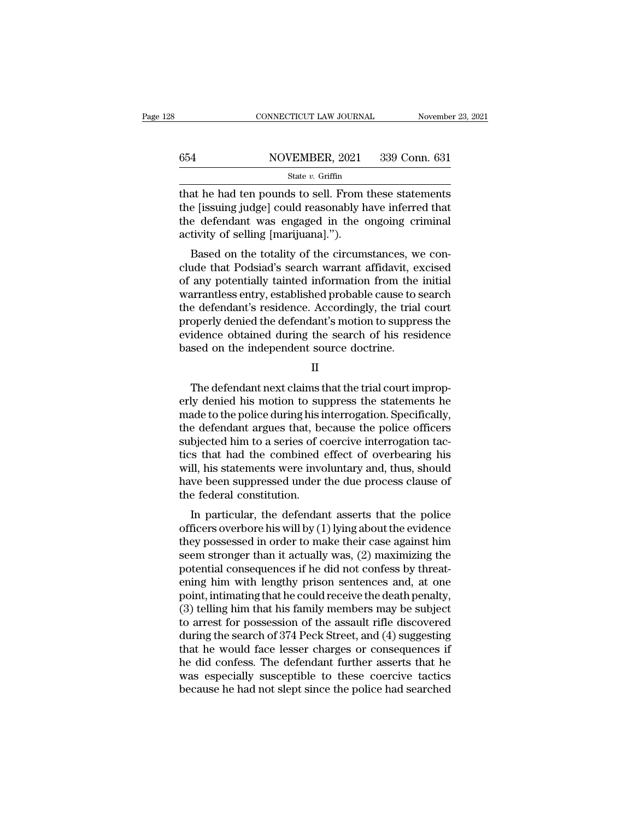# CONNECTICUT LAW JOURNAL November 23, 2021<br>654 NOVEMBER, 2021 339 Conn. 631<br>State v. Griffin

## State *v.* Griffin

CONNECTICUT LAW JOURNAL November 23, 2021<br>
State v. Griffin<br>
State v. Griffin<br>
State v. Griffin<br>
That he had ten pounds to sell. From these statements<br>
the [issuing judge] could reasonably have inferred that<br>
the defendan the field of scheme in the location of scheme in the fiestuing judge] could reasonably have inferred that<br>the defendant was engaged in the ongoing criminal activity of solling [mariiuma]"). the defendant was engaged in the ongoing criminal activity of selling [marijuana].").  $\begin{array}{r} \text{654} & \text{NOVEMBER, 2021} \\ \text{State } v. \text{ Griffith} \\ \text{that he had ten pounds to sell. From} \\ \text{the [issuing judge] could reasonably h} \\ \text{the defendant was engaged in the activity of selling [marijuanal.")} \\ \text{Based on the totality of the circum} \end{array}$ State v. Griffin<br>at he had ten pounds to sell. From these statements<br>e [issuing judge] could reasonably have inferred that<br>e defendant was engaged in the ongoing criminal<br>tivity of selling [marijuana].").<br>Based on the tot That he had ten pounds to sell. From these statements<br>the [issuing judge] could reasonably have inferred that<br>the defendant was engaged in the ongoing criminal<br>activity of selling [marijuana].").<br>Based on the totality of t

that he had ten pounds to sen. From these statements<br>the [issuing judge] could reasonably have inferred that<br>the defendant was engaged in the ongoing criminal<br>activity of selling [marijuana].").<br>Based on the totality of th the [issung judge] collid reasonably have interfed that<br>the defendant was engaged in the ongoing criminal<br>activity of selling [marijuana].").<br>Based on the totality of the circumstances, we con-<br>clude that Podsiad's search the defendant was engaged in the ongoing criminal<br>activity of selling [marijuana].").<br>Based on the totality of the circumstances, we con-<br>clude that Podsiad's search warrant affidavit, excised<br>of any potentially tainted in activity of semig [marijuana]. ).<br>Based on the totality of the circumstances, we conclude that Podsiad's search warrant affidavit, excised<br>of any potentially tainted information from the initial<br>warrantless entry, establis Based on the totality of the circumstances, we conclude that Podsiad's search warrant affidavit, excised of any potentially tainted information from the initial warrantless entry, established probable cause to search the d clude that Podsiad's search warrant affidavit, export any potentially tainted information from the warrantless entry, established probable cause to sthe defendant's residence. Accordingly, the trial properly denied the def e defendant's residence. Accordingly, the trial court<br>operly denied the defendant's motion to suppress the<br>idence obtained during the search of his residence<br>sed on the independent source doctrine.<br>II<br>The defendant next cl

II

properly denied the defendant's motion to suppress the<br>evidence obtained during the search of his residence<br>based on the independent source doctrine.<br>II<br>The defendant next claims that the trial court improp-<br>erly denied hi evidence obtained during the search of his residence<br>based on the independent source doctrine.<br>II<br>The defendant next claims that the trial court improp-<br>erly denied his motion to suppress the statements he<br>made to the poli based on the independent source doctrine.<br>
II<br>
The defendant next claims that the trial court improperly<br>
denied his motion to suppress the statements he<br>
made to the police during his interrogation. Specifically,<br>
the def II<br>The defendant next claims that the trial court improperly denied his motion to suppress the statements he<br>made to the police during his interrogation. Specifically,<br>the defendant argues that, because the police officers The defendant next claims that the trial court improperly denied his motion to suppress the statements he made to the police during his interrogation. Specifically, the defendant argues that, because the police officers su The defendant next claims that the trial court improp-<br>erly denied his motion to suppress the statements he<br>made to the police during his interrogation. Specifically,<br>the defendant argues that, because the police officers<br> erly denied his motion to suppress the statements he<br>made to the police during his interrogation. Specifically,<br>the defendant argues that, because the police officers<br>subjected him to a series of coercive interrogation tac made to the police during his is<br>the defendant argues that, be<br>subjected him to a series of c<br>tics that had the combined<br>will, his statements were invo<br>have been suppressed under<br>the federal constitution.<br>In particular, th bjected him to a series of coercive interrogation tac-<br>
is that had the combined effect of overbearing his<br>
II, his statements were involuntary and, thus, should<br>
we been suppressed under the due process clause of<br>
e feder subjected film to a series of coefficer interrogation tactics that had the combined effect of overbearing his will, his statements were involuntary and, thus, should have been suppressed under the due process clause of the

they have been suppressed under the due process clause of<br>the federal constitution.<br>In particular, the defendant asserts that the police<br>officers overbore his will by (1) lying about the evidence<br>they possessed in order to win, ins statements were involuntary and, thus, should<br>have been suppressed under the due process clause of<br>the federal constitution.<br>In particular, the defendant asserts that the police<br>officers overbore his will by (1) l raive been suppressed under the due process clause of<br>the federal constitution.<br>In particular, the defendant asserts that the police<br>officers overbore his will by (1) lying about the evidence<br>they possessed in order to mak In particular, the defendant asserts that the police<br>officers overbore his will by (1) lying about the evidence<br>they possessed in order to make their case against him<br>seem stronger than it actually was, (2) maximizing the In particular, the defendant asserts that the police<br>officers overbore his will by (1) lying about the evidence<br>they possessed in order to make their case against him<br>seem stronger than it actually was, (2) maximizing the<br> officers overbore his will by  $(1)$  lying about the evidence<br>they possessed in order to make their case against him<br>seem stronger than it actually was,  $(2)$  maximizing the<br>potential consequences if he did not confess by they possessed in order to make their case against him<br>seem stronger than it actually was, (2) maximizing the<br>potential consequences if he did not confess by threat-<br>ening him with lengthy prison sentences and, at one<br>poin seem stronger than it actually was, (2) maximizing the<br>potential consequences if he did not confess by threat-<br>ening him with lengthy prison sentences and, at one<br>point, intimating that he could receive the death penalty,<br> potential consequences if he did not confess by threatening him with lengthy prison sentences and, at one point, intimating that he could receive the death penalty, (3) telling him that his family members may be subject to ening him with lengthy prison sentences and, at one<br>point, intimating that he could receive the death penalty,<br>(3) telling him that his family members may be subject<br>to arrest for possession of the assault rifle discovered point, intimating that he could receive the death penalty,<br>(3) telling him that his family members may be subject<br>to arrest for possession of the assault rifle discovered<br>during the search of 374 Peck Street, and (4) sugge (3) telling him that his family members may be subject<br>to arrest for possession of the assault rifle discovered<br>during the search of 374 Peck Street, and (4) suggesting<br>that he would face lesser charges or consequences if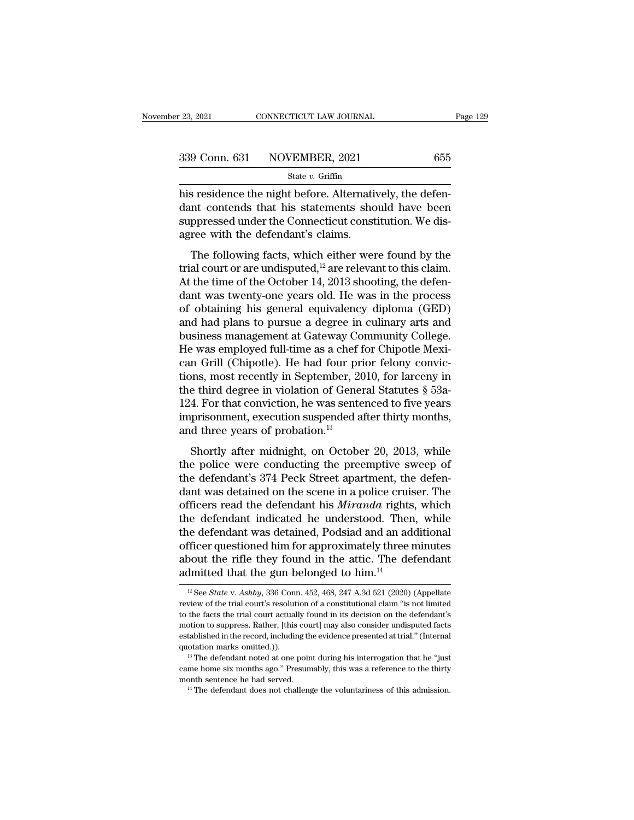<sup>23, 2021</sup> CONNECTICUT LAW JOURNAL<br>  $\frac{339 \text{ Conn. } 631 \qquad \text{NOVEMBER, } 2021}$  655<br>  $\frac{655}{\text{State } v. \text{ Griffith}}$ <br>
his residence the night before. Alternatively, the defen-<br>
dant contends that his statements should have been<br>
suppresse  $\begin{array}{r} \text{339 Conn. 631} \text{NOVEMBER, } 2021 \text{655} \\ \text{State } v. \text{ Griffith} \\ \text{his residence the night before. Alternatively, the defendant contends that his statements should have been suppressed under the Connecticut constitution. We dis-  
agroo with the deformlant's claims.} \end{array}$ 339 Conn. 631 NOVEMBER, 2021 655<br>
State v. Griffin<br>
his residence the night before. Alternatively, the defendant contends that his statements should have been<br>
suppressed under the Connecticut constitution. We disagree wi 339 Conn. 631 NOVEMBER, 2021<br>  $\frac{\text{State } v. \text{ Griffith}}{\text{this residence the night before. Alternativiation} }$ <br>
this residence the night before. Alternative dant contends that his statements show<br>
suppressed under the Connecticut constagree with the defendant's claims.<br> Solution State v. Griffin<br>
Since the night before. Alternatively, the defen-<br>
Intercontends that his statements should have been<br>
ppressed under the Connecticut constitution. We dis-<br>
ree with the defendant's claims.<br>
The his residence the night before. Alternatively, the defendant contends that his statements should have been<br>suppressed under the Connecticut constitution. We dis-<br>agree with the defendant's claims.<br>The following facts, whi

his residence the night before. Alternatively, the defendant contends that his statements should have been suppressed under the Connecticut constitution. We disagree with the defendant's claims.<br>The following facts, which dant contends that his statements shown have been<br>suppressed under the Connecticut constitution. We dis-<br>agree with the defendant's claims.<br>The following facts, which either were found by the<br>trial court or are undisputed suppressed ander the connectical constitution. We dis-<br>agree with the defendant's claims.<br>The following facts, which either were found by the<br>trial court or are undisputed,<sup>12</sup> are relevant to this claim.<br>At the time of t The following facts, which either were found by the<br>trial court or are undisputed,<sup>12</sup> are relevant to this claim.<br>At the time of the October 14, 2013 shooting, the defen-<br>dant was twenty-one years old. He was in the proc The following facts, which either were found by the<br>trial court or are undisputed,<sup>12</sup> are relevant to this claim.<br>At the time of the October 14, 2013 shooting, the defen-<br>dant was twenty-one years old. He was in the proc trial court or are undisputed,<sup>12</sup> are relevant to this claim.<br>At the time of the October 14, 2013 shooting, the defendant was twenty-one years old. He was in the process<br>of obtaining his general equivalency diploma (GED) At the time of the October 14, 2013 shooting, the defendant was twenty-one years old. He was in the process of obtaining his general equivalency diploma (GED) and had plans to pursue a degree in culinary arts and business dant was twenty-one years old. He was in the process<br>of obtaining his general equivalency diploma (GED)<br>and had plans to pursue a degree in culinary arts and<br>business management at Gateway Community College.<br>He was employe of obtaining his general equivalency diploma (GED)<br>and had plans to pursue a degree in culinary arts and<br>business management at Gateway Community College.<br>He was employed full-time as a chef for Chipotle Mexi-<br>can Grill (C and had plans to pursue a degree in culinary arts and<br>business management at Gateway Community College.<br>He was employed full-time as a chef for Chipotle Mexi-<br>can Grill (Chipotle). He had four prior felony convic-<br>tions, m business management at Gateway Community College.<br>He was employed full-time as a chef for Chipotle Mexican Grill (Chipotle). He had four prior felony convictions, most recently in September, 2010, for larceny in<br>the third He was employed full-time as a chef f<br>can Grill (Chipotle). He had four pri<br>tions, most recently in September, 20<br>the third degree in violation of Gener<br>124. For that conviction, he was sente<br>imprisonment, execution suspen From Shortly in September, 2010, for larceny in<br>the third degree in violation of General Statutes § 53a-<br>4. For that conviction, he was sentenced to five years<br>prisonment, execution suspended after thirty months,<br>d three the third degree in violation of General Statutes  $\S$  53a-<br>124. For that conviction, he was sentenced to five years<br>imprisonment, execution suspended after thirty months,<br>and three years of probation.<sup>13</sup><br>Shortly after mi

The diffuser and discussed and diffuse and diffuse and the vectors in<br>124. For that conviction, he was sentenced to five years<br>imprisonment, execution suspended after thirty months,<br>and three years of probation.<sup>13</sup><br>Shortl dant was detained on the scene in a police cruiser.<br>
Shortly after midnight, on October 20, 2013, while<br>
the police were conducting the preemptive sweep of<br>
the defendant's 374 Peck Street apartment, the defendant was det mprisonment, execution suspended and thing months,<br>and three years of probation.<sup>13</sup><br>Shortly after midnight, on October 20, 2013, while<br>the police were conducting the preemptive sweep of<br>the defendant's 374 Peck Street apa Shortly after midnight, on October 20, 2013, while<br>the police were conducting the preemptive sweep of<br>the defendant's 374 Peck Street apartment, the defen-<br>dant was detained on the scene in a police cruiser. The<br>officers r Shortly after midnight, on October 20, 2013, while<br>the police were conducting the preemptive sweep of<br>the defendant's 374 Peck Street apartment, the defen-<br>dant was detained on the scene in a police cruiser. The<br>officers r the police were conducting the preemptive sweep of<br>the defendant's 374 Peck Street apartment, the defen-<br>dant was detained on the scene in a police cruiser. The<br>officers read the defendant his *Miranda* rights, which<br>the the defendant's 374 Peck Street apartment, the defendant was detained on the scene in a police cruiser. The officers read the defendant his *Miranda* rights, which the defendant indicated he understood. Then, while the de dant was detained on the scene in a police cruis<br>officers read the defendant his *Miranda* rights<br>the defendant indicated he understood. Then<br>the defendant was detained, Podsiad and an ad<br>officer questioned him for approx the defendant was detained, Podsiad and an additional officer questioned him for approximately three minutes about the rifle they found in the attic. The defendant admitted that the gun belonged to him.<sup>14</sup><br><sup>12</sup> See *Stat* officer questioned him for approximately three minutes<br>about the rifle they found in the attic. The defendant<br>admitted that the gun belonged to him.<sup>14</sup><br> $E_{\text{2}}$  See *State* v. Ashby, 336 Conn. 452, 468, 247 A.3d 521 (20

about the rifle they found in the attic. The defendant admitted that the gun belonged to him.<sup>14</sup><br> $\frac{12}{5}$ See *State* v. Ashby, 336 Conn. 452, 468, 247 A.3d 521 (2020) (Appellate review of the trial court's resolution o admitted that the gun belonged to him.<sup>14</sup><br>
<sup>12</sup> See *State* v. Ashby, 336 Conn. 452, 468, 247 A.3d 521 (2020) (Appellate<br>
review of the trial court's resolution of a constitutional claim "is not limited<br>
to the facts the <sup>12</sup> See *State* v. *Ashby*, 336 Conn. 452, 468, 247 A.3d 521 (2020) (Appellate review of the trial court's resolution of a constitutional claim "is not limited to the facts the trial court actually found in its decision <sup>12</sup> See *State* v. *Ashby*, 336 Conn. 452, 468, 247 A.3d 521 (2020) (Appellate review of the trial court's resolution of a constitutional claim "is not limited to the facts the trial court actually found in its decision to the facts the trial court actually found in its decision on the defendant's motion to suppress. Rather, [this court] may also consider undisputed facts established in the record, including the evidence presented at tria motion to suppress. Rather, [this court] may also consider undisputed facts established in the record, including the evidence presented at trial." (Internal quotation marks omitted.)).<br><sup>13</sup> The defendant noted at one point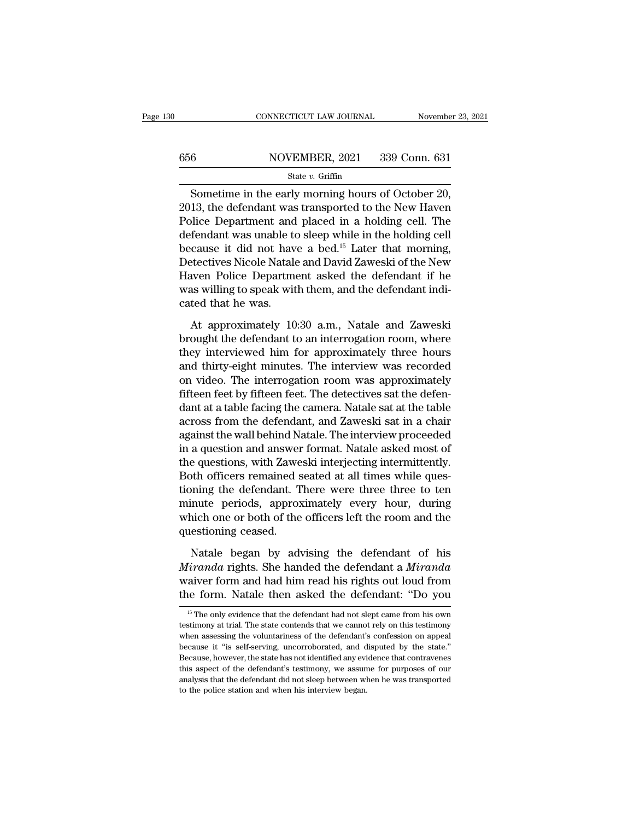## CONNECTICUT LAW JOURNAL November 23, 2021<br>656 NOVEMBER, 2021 339 Conn. 631<br>State v. Griffin State *v.* Griffin

 $\begin{tabular}{l c c c} \multicolumn{1}{c}{\text{CONRECTICUT LAW JOURNAL}} & \multicolumn{1}{c}{\text{November 23, 2}}\\ \hline \multicolumn{1}{c}{\text{6}} & \multicolumn{1}{c}{\text{NOVEMBER, 2021}} & \multicolumn{1}{c}{339}\text{ Conn. } 631\\ & \multicolumn{1}{c}{\text{State $v$}. Griffin} \\ \hline \text{Sometimes in the early morning hours of October 20,} \\ \text{13, the defendant was transported to the New Haven} \\ \text{Since Department and placed in a holding cell. The} \\ \end{tabular}$  $\begin{array}{r} \text{339 Conn.} \text{656} \end{array}$  NOVEMBER, 2021 339 Conn. 631 Folio Bolivian State v. Griffin<br>
Sometime in the early morning hours of October 20,<br>
2013, the defendant was transported to the New Haven<br>
Police Department and placed in a holding cell. The<br>
defendant was unable to sleep 656 NOVEMBER, 2021 339 Conn. 631<br>
State v. Griffin<br>
Sometime in the early morning hours of October 20,<br>
2013, the defendant was transported to the New Haven<br>
Police Department and placed in a holding cell. The<br>
defendant Sometime in the early morning hours of October 20,<br>2013, the defendant was transported to the New Haven<br>Police Department and placed in a holding cell. The<br>defendant was unable to sleep while in the holding cell<br>because i Sometime in the early morning hours of October 20,<br>2013, the defendant was transported to the New Haven<br>Police Department and placed in a holding cell. The<br>defendant was unable to sleep while in the holding cell<br>because i Sometime in the early morning hours of October 20,<br>2013, the defendant was transported to the New Haven<br>Police Department and placed in a holding cell. The<br>defendant was unable to sleep while in the holding cell<br>because it 2013, the defendant was transported to the New Haven<br>Police Department and placed in a holding cell. The<br>defendant was unable to sleep while in the holding cell<br>because it did not have a bed.<sup>15</sup> Later that morning,<br>Detect Police Department and<br>defendant was unable to<br>because it did not hav<br>Detectives Nicole Natale<br>Haven Police Departme<br>was willing to speak wit<br>cated that he was.<br>At approximately 10 cause it did not have a bed.<sup>15</sup> Later that morning,<br>stectives Nicole Natale and David Zaweski of the New<br>aven Police Department asked the defendant if he<br>as willing to speak with them, and the defendant indi-<br>ted that he Detectives Nicole Natale and David Zaweski of the New<br>Haven Police Department asked the defendant if he<br>was willing to speak with them, and the defendant indi-<br>cated that he was.<br>At approximately 10:30 a.m., Natale and Zaw

Haven Police Department asked the defendant if he<br>was willing to speak with them, and the defendant indi-<br>cated that he was.<br>At approximately 10:30 a.m., Natale and Zaweski<br>brought the defendant to an interrogation room, w was willing to speak with them, and the defendant indi-<br>cated that he was.<br>At approximately 10:30 a.m., Natale and Zaweski<br>brought the defendant to an interrogation room, where<br>they interviewed him for approximately three cated that he was.<br>
At approximately 10:30 a.m., Natale and Zaweski<br>
brought the defendant to an interrogation room, where<br>
they interviewed him for approximately three hours<br>
and thirty-eight minutes. The interview was re At approximately 10:30 a.m., Natale and Zaweski<br>brought the defendant to an interrogation room, where<br>they interviewed him for approximately three hours<br>and thirty-eight minutes. The interview was recorded<br>on video. The in At approximately 10:30 a.m., Natale and Zaweski<br>brought the defendant to an interrogation room, where<br>they interviewed him for approximately three hours<br>and thirty-eight minutes. The interview was recorded<br>on video. The in brought the defendant to an interrogation room, where<br>they interviewed him for approximately three hours<br>and thirty-eight minutes. The interview was recorded<br>on video. The interrogation room was approximately<br>fifteen feet they interviewed him for approximately three hours<br>and thirty-eight minutes. The interview was recorded<br>on video. The interrogation room was approximately<br>fifteen feet by fifteen feet. The detectives sat the defen-<br>dant at and thirty-eight minutes. The interview was recorded<br>on video. The interrogation room was approximately<br>fifteen feet by fifteen feet. The detectives sat the defen-<br>dant at a table facing the camera. Natale sat at the table on video. The interrogation room was approximately<br>fifteen feet by fifteen feet. The detectives sat the defen-<br>dant at a table facing the camera. Natale sat at the table<br>across from the defendant, and Zaweski sat in a chai fifteen feet by fifteen feet. The detectives sat the defendant at a table facing the camera. Natale sat at the table across from the defendant, and Zaweski sat in a chair against the wall behind Natale. The interview proce dant at a table facing the camera. Natale sat at the table<br>across from the defendant, and Zaweski sat in a chair<br>against the wall behind Natale. The interview proceeded<br>in a question and answer format. Natale asked most of across from the defendant, and Zaweski sat in a chair<br>against the wall behind Natale. The interview proceeded<br>in a question and answer format. Natale asked most of<br>the questions, with Zaweski interjecting intermittently.<br>B against the wall behind Natale. The interview proceeded<br>in a question and answer format. Natale asked most of<br>the questions, with Zaweski interjecting intermittently.<br>Both officers remained seated at all times while ques-<br> in a question and answer<br>the questions, with Zawe<br>Both officers remained s<br>tioning the defendant. T<br>minute periods, approx<br>which one or both of the<br>questioning ceased.<br>Natale began by adv of the officers remained seated at all times while ques-<br>pointing the defendant. There were three three to ten<br>inute periods, approximately every hour, during<br>nich one or both of the officers left the room and the<br>estionin Framinandal rights. There were three three to ten<br>
minute periods, approximately every hour, during<br>
which one or both of the officers left the room and the<br>
questioning ceased.<br>
Natale began by advising the defendant of h

minute periods, approximately every hour, during<br>which one or both of the officers left the room and the<br>questioning ceased.<br>Natale began by advising the defendant of his<br>minimalar rights. She handed the defendant a Mirand which one or both of the officers left the room and the<br>questioning ceased.<br>Natale began by advising the defendant of his<br> $Miranda$  rights. She handed the defendant a  $Miranda$ <br>waiver form and had him read his rights out loud from<br> Natale began by advising the defendant of his *irranda* aiver form and had him read his rights out loud from the form. Natale then asked the defendant: "Do you  $\frac{15}{15}$  The only evidence that the defendant had not slep *Miranda* rights. She handed the defendant a *Miranda* waiver form and had him read his rights out loud from the form. Natale then asked the defendant: "Do you is the only evidence that the defendant had not slept came fro

waiver form and had him read his rights out loud from<br>the form. Natale then asked the defendant: "Do you<br><sup>15</sup> The only evidence that the defendant had not slept came from his own<br>testimony at trial. The state contends that the form. Natale then asked the defendant: "Do you"<br>
<sup>15</sup> The only evidence that the defendant had not slept came from his own<br>
testimony at trial. The state contends that we cannot rely on this testimony<br>
when assessing t <sup>15</sup> The only evidence that the defendant had not slept came from his own testimony at trial. The state contends that we cannot rely on this testimony when assessing the voluntariness of the defendant's confession on appea <sup>15</sup> The only evidence that the defendant had not slept came from his own testimony at trial. The state contends that we cannot rely on this testimony when assessing the voluntariness of the defendant's confession on appe Friedly, the defendant did not sleep between when assessing the voluntariness of the defendant's confession on appeal because it "is self-serving, uncorroborated, and disputed by the state." Because, however, the state has testimony at trial. The state contends that we cannot rely on this testimony when assessing the voluntariness of the defendant's confession on appeal because it "is self-serving, uncorroborated, and disputed by the state."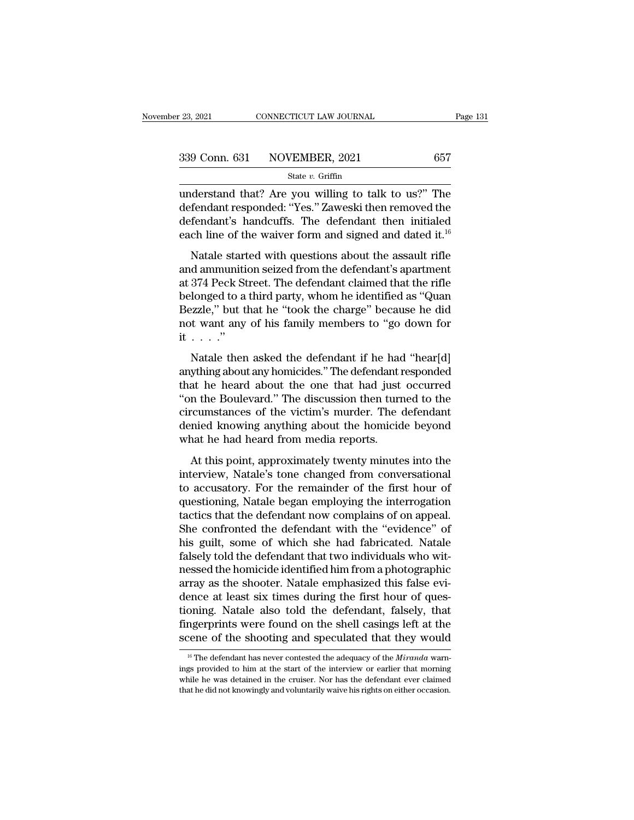$\begin{array}{lll} \text{23, 2021} & \text{CONPECTICUT LAW JOURNAL} & \text{Page 131} \ \text{339 Conn. } 631 & \text{NOVEMBER, 2021} & 657 \ \text{State } v. \text{ Griffith} \ \text{understand that? Are you willing to talk to us?" The defendant responded: "Yes." Zaweski then removed the deformation's handauffs. The defendant then initialized.$ 339 Conn. 631 NOVEMBER, 2021 657<br>
state v. Griffin<br>
understand that? Are you willing to talk to us?" The<br>
defendant responded: "Yes." Zaweski then removed the<br>
defendant's handcuffs. The defendant then initialed<br>
oach lin 339 Conn. 631 NOVEMBER, 2021 657<br>
State v. Griffin<br>
understand that? Are you willing to talk to us?" The<br>
defendant responded: "Yes." Zaweski then removed the<br>
defendant's handcuffs. The defendant then initialed<br>
each lin 339 Conn. 631 NOVEMBER, 2021 657<br>
state v. Griffin<br>
understand that? Are you willing to talk to us?" The<br>
defendant responded: "Yes." Zaweski then removed the<br>
defendant's handcuffs. The defendant then initialed<br>
each lin State v. Griffin<br>
International density of the started willing to talk to us?" The<br>
fendant responded: "Yes." Zaweski then removed the<br>
fendant's handcuffs. The defendant then initialed<br>
ch line of the waiver form and sig understand that? Are you willing to talk to us?" The<br>defendant responded: "Yes." Zaweski then removed the<br>defendant's handcuffs. The defendant then initialed<br>each line of the waiver form and signed and dated it.<sup>16</sup><br>Natal

defendant responded: "Yes." Zaweski then removed the<br>defendant's handcuffs. The defendant then initialed<br>each line of the waiver form and signed and dated it.<sup>16</sup><br>Natale started with questions about the assault rifle<br>and a defendant's handcuffs. The defendant then initialed<br>each line of the waiver form and signed and dated it.<sup>16</sup><br>Natale started with questions about the assault rifle<br>and ammunition seized from the defendant's apartment<br>at 37 each line of the waiver form and signed and dated it.<sup>16</sup><br>Natale started with questions about the assault rifle<br>and ammunition seized from the defendant's apartment<br>at 374 Peck Street. The defendant claimed that the rifle<br> Natale started with questions about the assault rifle<br>and ammunition seized from the defendant's apartment<br>at 374 Peck Street. The defendant claimed that the rifle<br>belonged to a third party, whom he identified as "Quan<br>Be Natale start<br>and ammuniti<br>at 374 Peck St<br>belonged to a<br>Bezzle," but t<br>not want any<br>it . . . . ."<br>Natale then 374 Peck Street. The defendant claimed that the rifle<br>longed to a third party, whom he identified as "Quan<br>ezzle," but that he "took the charge" because he did<br>t want any of his family members to "go down for<br> $\cdots$ ."<br>Nata anything about any homicides." The defendant change" because he did<br>not want any of his family members to "go down for<br>it . . . ."<br>Natale then asked the defendant if he had "hear[d]<br>anything about any homicides." The defen

Bezzle," but that he "took the charge" because he did<br>not want any of his family members to "go down for<br>it . . . ."<br>Natale then asked the defendant if he had "hear[d]<br>anything about any homicides." The defendant responde  $\text{Lefinite}$ , but that he book the entarge because he did not want any of his family members to "go down for it . . . ."<br>
Natale then asked the defendant if he had "hear[d] anything about any homicides." The defendant respon it  $\dots$ ."<br>
Natale then asked the defendant if he had "hear[d]<br>
anything about any homicides." The defendant responded<br>
that he heard about the one that had just occurred<br>
"on the Boulevard." The discussion then turned to Natale then asked the defendant if he had "hear[d]<br>anything about any homicides." The defendant responded<br>that he heard about the one that had just occurred<br>"on the Boulevard." The discussion then turned to the<br>circumstan Natale then asked the defendant if he had anything about any homicides." The defendant r that he heard about the one that had just "on the Boulevard." The discussion then turr circumstances of the victim's murder. The deni at he heard about the one that had just occurred<br>at he heard about the one that had just occurred<br>n the Boulevard." The discussion then turned to the<br>reumstances of the victim's murder. The defendant<br>mied knowing anything Interview, The discussion then turned to the<br>circumstances of the victim's murder. The defendant<br>denied knowing anything about the homicide beyond<br>what he had heard from media reports.<br>At this point, approximately twenty m

of the remainder the discussion and tanted to the<br>circumstances of the victim's murder. The defendant<br>denied knowing anything about the homicide beyond<br>what he had heard from media reports.<br>At this point, approximately twe denied knowing anything about the homicide beyond<br>what he had heard from media reports.<br>At this point, approximately twenty minutes into the<br>interview, Natale's tone changed from conversational<br>to accusatory. For the remai at the defendant of the defendant with the "evidence" of this minimism.<br>At this point, approximately twenty minutes into the interview, Natale's tone changed from conversational<br>to accusatory. For the remainder of the firs At this point, approximately twenty minutes into the<br>interview, Natale's tone changed from conversational<br>to accusatory. For the remainder of the first hour of<br>questioning, Natale began employing the interrogation<br>tactics At this point, approximately twenty minutes into the<br>interview, Natale's tone changed from conversational<br>to accusatory. For the remainder of the first hour of<br>questioning, Natale began employing the interrogation<br>tactics interview, Natale's tone changed from conversational<br>to accusatory. For the remainder of the first hour of<br>questioning, Natale began employing the interrogation<br>tactics that the defendant now complains of on appeal.<br>She co to accusatory. For the remainder of the first hour of<br>questioning, Natale began employing the interrogation<br>tactics that the defendant now complains of on appeal.<br>She confronted the defendant with the "evidence" of<br>his gui questioning, Natale began employing the interrogation tactics that the defendant now complains of on appeal.<br>She confronted the defendant with the "evidence" of his guilt, some of which she had fabricated. Natale falsely t tactics that the defendant now complains of on appeal.<br>She confronted the defendant with the "evidence" of<br>his guilt, some of which she had fabricated. Natale<br>falsely told the defendant that two individuals who wit-<br>nessed She confronted the defendant with the "evidence" of<br>his guilt, some of which she had fabricated. Natale<br>falsely told the defendant that two individuals who wit-<br>nessed the homicide identified him from a photographic<br>array his guilt, some of which she had fabricated. Natale falsely told the defendant that two individuals who witnessed the homicide identified him from a photographic array as the shooter. Natale emphasized this false evidence falsely told the defendant that two individuals who wit-<br>nessed the homicide identified him from a photographic<br>array as the shooter. Natale emphasized this false evi-<br>dence at least six times during the first hour of que ence at least six times during the first hour of ques-<br>oning. Natale also told the defendant, falsely, that<br>ngerprints were found on the shell casings left at the<br>cene of the shooting and speculated that they would<br><sup>16</sup> Th tioning. Natale also told the defendant, falsely, that fingerprints were found on the shell casings left at the scene of the shooting and speculated that they would  $\frac{16}{16}$  The defendant has never contested the adequa

fingerprints were found on the shell casings left at the scene of the shooting and speculated that they would  $\frac{16}{16}$  The defendant has never contested the adequacy of the *Miranda* warnings provided to him at the sta Scene of the shooting and speculated that they would<br>
<sup>16</sup> The defendant has never contested the adequacy of the *Miranda* warnings provided to him at the start of the interview or earlier that morning while he was detain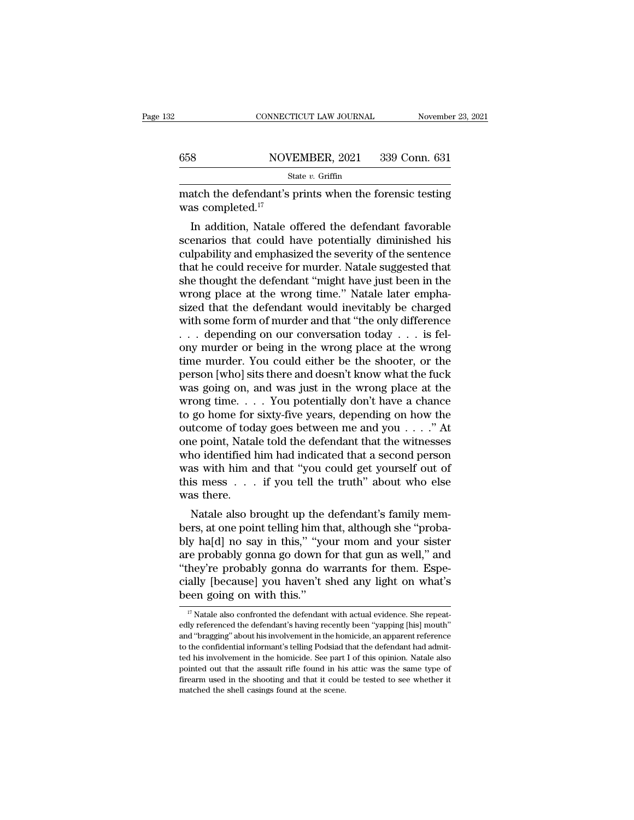|     | CONNECTICUT LAW JOURNAL      | November 23, 2021 |
|-----|------------------------------|-------------------|
|     |                              |                   |
| 658 | NOVEMBER, 2021 339 Conn. 631 |                   |
|     | State $v$ . Griffin          |                   |

MOVEMBER, 2021 MOVEMBER, 2021 S39 Conn. 631<br>
State v. Griffin<br>
match the defendant's prints when the forensic testing<br>
was completed.<sup>17</sup> MOVI<br>
St<br>
match the defendant's<br>
was completed.<sup>17</sup><br>
In addition, Natale o

 $\frac{\text{S}}{\text{State } v. \text{ Griffith}}$  and  $\frac{\text{State } v. \text{ Griffith}}{\text{State } v. \text{$ **In a state v.** $Griffin atch the defendant's prints when the forensic testing as completed.<sup>17</sup>  
In addition, Natale offered the defendant favorable enarios that could hav$  $\frac{\text{SUS}}{\text{State } v. \text{ Griffith}}$   $\frac{\text{State } v. \text{ Griffith}}{\text{State } v. \text{ Griffith}}$ <br>
match the defendant's prints when the forensic testing<br>
was completed.<sup>17</sup><br>
In addition, Natale offered the defendant favorable<br>
scenarios that could have potentially d State  $v$ . Griffin<br>
match the defendant's prints when the forensic testing<br>
was completed.<sup>17</sup><br>
In addition, Natale offered the defendant favorable<br>
scenarios that could have potentially diminished his<br>
culpability and em match the defendant's prints when the forensic testing<br>was completed.<sup>17</sup><br>In addition, Natale offered the defendant favorable<br>scenarios that could have potentially diminished his<br>culpability and emphasized the severity of match the defendant s prints when the foreignclusted was completed.<sup>17</sup><br>In addition, Natale offered the defendant favorable<br>scenarios that could have potentially diminished his<br>culpability and emphasized the severity of th was completed.<br>In addition, Natale offered the defendant favorable<br>scenarios that could have potentially diminished his<br>culpability and emphasized the severity of the sentence<br>that he could receive for murder. Natale sugge In addition, Natale offered the defendant favorable<br>scenarios that could have potentially diminished his<br>culpability and emphasized the severity of the sentence<br>that he could receive for murder. Natale suggested that<br>she t scenarios that could have potentially diminished his<br>culpability and emphasized the severity of the sentence<br>that he could receive for murder. Natale suggested that<br>she thought the defendant "might have just been in the<br>wr culpability and emphasized the severity of the sentence<br>that he could receive for murder. Natale suggested that<br>she thought the defendant "might have just been in the<br>wrong place at the wrong time." Natale later empha-<br>si that he could receive for murder. Natale suggested that<br>she thought the defendant "might have just been in the<br>wrong place at the wrong time." Natale later empha-<br>sized that the defendant would inevitably be charged<br>with she thought the defendant "might have just been in the wrong place at the wrong time." Natale later emphasized that the defendant would inevitably be charged with some form of murder and that "the only difference  $\ldots$  de wrong place at the wrong time." Natale later emphasized that the defendant would inevitably be charged<br>with some form of murder and that "the only difference<br> $\ldots$  depending on our conversation today  $\ldots$  is fel-<br>ony mur sized that the defendant would inevitably be charged<br>with some form of murder and that "the only difference<br> $\ldots$  depending on our conversation today  $\ldots$  is fel-<br>ony murder or being in the wrong place at the wrong<br>time with some form of murder and that "the only difference<br>
. . . depending on our conversation today . . . is fel-<br>
ony murder or being in the wrong place at the wrong<br>
time murder. You could either be the shooter, or the<br>
p ... depending on our conversation today ... is fel-<br>ony murder or being in the wrong place at the wrong<br>time murder. You could either be the shooter, or the<br>person [who] sits there and doesn't know what the fuck<br>was going ony murder or being in the wrong place at the wrong<br>time murder. You could either be the shooter, or the<br>person [who] sits there and doesn't know what the fuck<br>was going on, and was just in the wrong place at the<br>wrong ti time murder. You could either be the shooter, or the person [who] sits there and doesn't know what the fuck was going on, and was just in the wrong place at the wrong time. . . . You potentially don't have a chance to go person [who] sits there and doesn't know what the fuck<br>was going on, and was just in the wrong place at the<br>wrong time. . . . You potentially don't have a chance<br>to go home for sixty-five years, depending on how the<br>outco was going on, and was just in the wrong place at the<br>wrong time. . . . You potentially don't have a chance<br>to go home for sixty-five years, depending on how the<br>outcome of today goes between me and you . . . ." At<br>one poi wrong time. . . . You potentially don't have a chance<br>to go home for sixty-five years, depending on how the<br>outcome of today goes between me and you . . . ." At<br>one point, Natale told the defendant that the witnesses<br>who to go home for<br>outcome of tod:<br>one point, Natal<br>who identified l<br>was with him a<br>this mess<br>was there.<br>Natale also b Natale also brought up the defendant is family well also brought up the defendant that the witnesses are vith him and that "you could get yourself out of is mess  $\dots$  if you tell the truth" about who else as there.<br>Natale bers, at one point, in a main telling him that the witnesses<br>who identified him had indicated that a second person<br>was with him and that "you could get yourself out of<br>this mess . . . if you tell the truth" about who else<br>

who dentified fill had indicated that a second person<br>was with him and that "you could get yourself out of<br>this mess . . . if you tell the truth" about who else<br>was there.<br>Natale also brought up the defendant's family memwas with film and that you could get yoursen out of<br>this mess . . . if you tell the truth" about who else<br>was there.<br>Natale also brought up the defendant's family mem-<br>bers, at one point telling him that, although she "pro They're probably haven't shear and who enserges was there.<br>
Natale also brought up the defendant's family members, at one point telling him that, although she "probably ha[d] no say in this," "your mom and your sister are was there.<br>
Natale also brought up the defendant's family members, at one point telling him that, although she "probably ha[d] no say in this," "your mom and your sister are probably gonna go down for that gun as well," an Natale also brought up the ders, at one point telling him this," "your probably gonna go down f<br>"they're probably gonna do with this." "They're probably gonna do with this."<br>Been going on with this." re probably gonna go down for that gun as well," and<br>hey're probably gonna do warrants for them. Espe-<br>ally [because] you haven't shed any light on what's<br>een going on with this."<br><sup>17</sup> Natale also confronted the defendant "they're probably gonna do warrants for them. Especially [because] you haven't shed any light on what's been going on with this."<br>  $\frac{17}{17}$  Natale also confronted the defendant with actual evidence. She repeatedly refe

cially [because] you haven't shed any light on what's<br>been going on with this."<br> $\frac{17}{17}$  Natale also confronted the defendant with actual evidence. She repeat-<br>edly referenced the defendant's having recently been "yapp been going on with this."<br>  $\frac{17}{17}$  Natale also confronted the defendant with actual evidence. She repeatedly referenced the defendant's having recently been "yapping [his] mouth"<br>
and "bragging" about his involvement The Historical confidential the defendant with actual evidence. She repeatedly referenced the defendant's having recently been "yapping [his] mouth" and "bragging" about his involvement in the homicide, an apparent refere  $\,^{\rm I7}$  Natale also confronted the defendant with actual evidence. She repeatedly referenced the defendant's having recently been "yapping [his] mouth" and "bragging" about his involvement in the homicide, an apparent edly referenced the defendant's having recently been "yapping [his] mouth" and "bragging" about his involvement in the homicide, an apparent reference to the confidential informant's telling Podsiad that the defendant had to the confidential informant's telling Podsiad that the defendant had admit-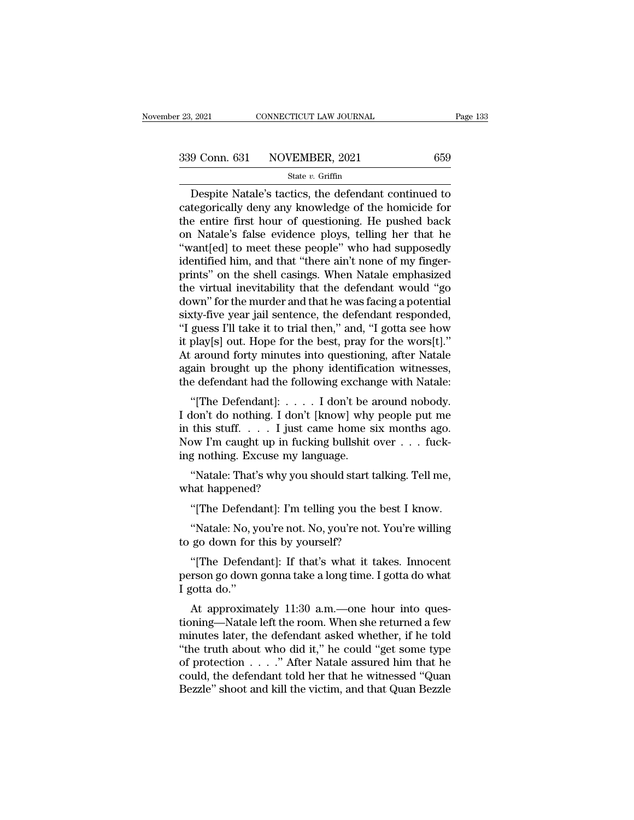$\begin{array}{r|l} \text{2021} & \text{CONRECTICUT LAW JOURNAL} & \text{Page 133} \ \hline \text{9 Conn. 631} & \text{NOVEMBER, 2021} & \text{659} \ \hline \text{State } v. \text{ Griffith} \ \hline \text{Despite Natale's tactics, the defendant continued to \text{tegorically deny any knowledge of the homicide for} \text{a entire first hour of questioning. He pushed back.} \end{array}$ 339 Conn. 631 NOVEMBER, 2021 659<br>
state v. Griffin<br>
Despite Natale's tactics, the defendant continued to<br>
categorically deny any knowledge of the homicide for<br>
the entire first hour of questioning. He pushed back<br>
on Nata 339 Conn. 631 NOVEMBER, 2021 659<br>
State v. Griffin<br>
Despite Natale's tactics, the defendant continued to<br>
categorically deny any knowledge of the homicide for<br>
the entire first hour of questioning. He pushed back<br>
on Nata 339 Conn. 631 NOVEMBER, 2021 659<br>
state v. Griffin<br>
Despite Natale's tactics, the defendant continued to<br>
categorically deny any knowledge of the homicide for<br>
the entire first hour of questioning. He pushed back<br>
on Nata Solution of the charactery seen the charactery of the distribution of the categorically deny any knowledge of the homicide for the entire first hour of questioning. He pushed back on Natale's false evidence ploys, telling state v. Griftin<br>Despite Natale's tactics, the defendant continued to<br>categorically deny any knowledge of the homicide for<br>the entire first hour of questioning. He pushed back<br>on Natale's false evidence ploys, telling her Despite Natale's tactics, the defendant continued to<br>categorically deny any knowledge of the homicide for<br>the entire first hour of questioning. He pushed back<br>on Natale's false evidence ploys, telling her that he<br>"want[ed] categorically deny any knowledge of the homicide for<br>the entire first hour of questioning. He pushed back<br>on Natale's false evidence ploys, telling her that he<br>"want[ed] to meet these people" who had supposedly<br>identified the entire first hour of questioning. He pushed back<br>on Natale's false evidence ploys, telling her that he<br>"want[ed] to meet these people" who had supposedly<br>identified him, and that "there ain't none of my finger-<br>prints" on Natale's false evidence ploys, telling her that he<br>
"want[ed] to meet these people" who had supposedly<br>
identified him, and that "there ain't none of my finger-<br>
prints" on the shell casings. When Natale emphasized<br>
the "want[ed] to meet these people" who had supposedly<br>identified him, and that "there ain't none of my finger-<br>prints" on the shell casings. When Natale emphasized<br>the virtual inevitability that the defendant would "go<br>down" identified him, and that "there ain't none of my finger-<br>prints" on the shell casings. When Natale emphasized<br>the virtual inevitability that the defendant would "go<br>down" for the murder and that he was facing a potential<br>s prints" on the shell casings. When Natale emphasized<br>the virtual inevitability that the defendant would "go<br>down" for the murder and that he was facing a potential<br>sixty-five year jail sentence, the defendant responded,<br>"I the virtual inevitability that the defendant would "go<br>down" for the murder and that he was facing a potential<br>sixty-five year jail sentence, the defendant responded,<br>"I guess I'll take it to trial then," and, "I gotta see down" for the murder and that he was facing a potential<br>sixty-five year jail sentence, the defendant responded,<br>"I guess I'll take it to trial then," and, "I gotta see how<br>it play[s] out. Hope for the best, pray for the wo Exty-five year Jan sentence, the defendant responded,<br>guess I'll take it to trial then," and, "I gotta see how<br>play[s] out. Hope for the best, pray for the wors[t]."<br>around forty minutes into questioning, after Natale<br>ain I guess III date it to that then, and, I gotta see now<br>it play[s] out. Hope for the best, pray for the wors[t]."<br>At around forty minutes into questioning, after Natale<br>again brought up the phony identification witnesses,<br>

It play [s] out. Hope for the best, pray for the wors<sub>[t]</sub>.<br>At around forty minutes into questioning, after Natale<br>again brought up the phony identification witnesses,<br>the defendant had the following exchange with Natale:<br> At abound lorly inhutes into questioning, after Natale<br>again brought up the phony identification witnesses,<br>the defendant had the following exchange with Natale:<br>"[The Defendant]: . . . . I don't be around nobody.<br>I don't again brought up the phony heminicate the defendant had the following exchan<br>
"[The Defendant]: . . . . I don't be a<br>
I don't do nothing. I don't [know] why<br>
in this stuff. . . . I just came home s<br>
Now I'm caught up in fu "[The Defendant]: . . . . . I don't be around nobody.<br>lon't do nothing. I don't [know] why people put me<br>this stuff. . . . . I just came home six months ago.<br>bw I'm caught up in fucking bullshit over . . . fuck-<br>g nothing. I don't do nothing. I don't<br>in this stuff.... I just<br>Now I'm caught up in fuc<br>ing nothing. Excuse my la<br>"Natale: That's why you<br>what happened?"<br>"[The Defendant]: I'm t this stuff. . . . . I just came home six months ago.<br>
bw I'm caught up in fucking bullshit over . . . fuck-<br>
g nothing. Excuse my language.<br>
"Natale: That's why you should start talking. Tell me,<br>
ant happened?<br>
"[The Defe

Ing noting. Excuse hiy language.<br>
"Natale: That's why you should start tall<br>
what happened?<br>
"[The Defendant]: I'm telling you the beath<br>
"Natale: No, you're not. No, you're not. Yo<br>
to go down for this by yourself?<br>
"[The

ow The caught up in Tucking builsint over  $\ldots$  Tucking nothing. Excuse my language.<br>
"Natale: That's why you should start talking. Tell me,<br>
"The Defendant]: I'm telling you the best I know.<br>"Natale: No, you're not. No, y

Tradate. That s why you should start tarking. Ten hie,<br>
"[The Defendant]: I'm telling you the best I know.<br>
"Natale: No, you're not. No, you're not. You're willing<br>
go down for this by yourself?<br>"[The Defendant]: If that's "[The Defendant]: I'm telling you the best I know.<br>"Natale: No, you're not. No, you're not. You're willing<br>to go down for this by yourself?<br>"[The Defendant]: If that's what it takes. Innocent<br>person go down gonna take a lo "[The Defend:<br>"Natale: No, y<br>to go down for<br>"[The Defend<br>person go down<br>I gotta do."<br>At approxima "Natale: No, you're not. No, you're not. You're willing<br>go down for this by yourself?<br>"[The Defendant]: If that's what it takes. Innocent<br>rson go down gonna take a long time. I gotta do what<br>gotta do."<br>At approximately 11:

to go down for this by yourself?<br>
"[The Defendant]: If that's what it takes. Innocent<br>
person go down gonna take a long time. I gotta do what<br>
I gotta do."<br>
At approximately 11:30 a.m.—one hour into ques-<br>
tioning—Natale l "[The Defendant]: If that's what it takes. Innocent<br>person go down gonna take a long time. I gotta do what<br>I gotta do."<br>At approximately 11:30 a.m.—one hour into ques-<br>tioning—Natale left the room. When she returned a few<br> The Detendant]. It that s what it takes. Inhotent<br>person go down gonna take a long time. I gotta do what<br>I gotta do."<br>At approximately 11:30 a.m.—one hour into ques-<br>tioning—Natale left the room. When she returned a few<br>m I gotta do."<br>
At approximately 11:30 a.m.—one hour into questioning—Natale left the room. When she returned a few<br>
minutes later, the defendant asked whether, if he told<br>
"the truth about who did it," he could "get some t At approximately 11:30 a.m.—one hour into questioning—Natale left the room. When she returned a few minutes later, the defendant asked whether, if he told "the truth about who did it," he could "get some type of protectio At approximately 11:30 a.m.—one hour into questioning—Natale left the room. When she returned a few minutes later, the defendant asked whether, if he told "the truth about who did it," he could "get some type of protectio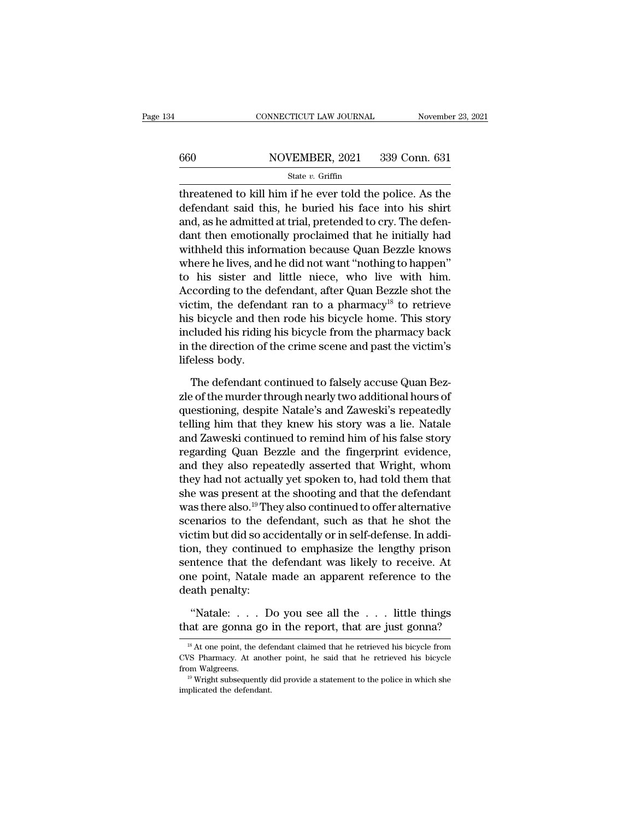## CONNECTICUT LAW JOURNAL November 23, 2021<br>660 NOVEMBER, 2021 339 Conn. 631<br>State v. Griffin State *v.* Griffin

CONNECTICUT LAW JOURNAL November 23, 2021<br>
State v. Griffin<br>
State v. Griffin<br>
Threatened to kill him if he ever told the police. As the<br>
defendant said this, he buried his face into his shirt<br>
and sake edmitted at trial  $\begin{array}{r}\n 660 \text{ NOVEMBER, } 2021 \text{ } 339 \text{ Conn. } 631 \\
 \hline\n \text{State } v. \text{ Griffiths}\n\end{array}$ <br>
threatened to kill him if he ever told the police. As the defendant said this, he buried his face into his shirt and, as he admitted at trial, preten 660 NOVEMBER, 2021 339 Conn. 631<br>  $\frac{\text{State } v. \text{ Griffith}}{\text{threaded to kill him if he ever told the police. As the defendant said this, he buried his face into his shirt and, as he admitted at trial, pretended to cry. The defendant then conditionally proclaimed that he initially had withheld this information because Quan Bezzle knows.}$ 660 NOVEMBER, 2021 339 Conn. 631<br>  $\frac{\text{State } v. \text{ Griffith}}{\text{three the value of } v}$ <br>  $\frac{\text{State } v. \text{ Griffith}}{\text{time}}$ <br>  $\frac{\text{State } v. \text{ Griffith}}{\text{time}}$ <br>  $\frac{\text{State } v. \text{ Griffith}}{\text{time}}$ <br>  $\frac{\text{State } v. \text{ Griffith}}{\text{time}}$ <br>  $\frac{\text{Right } v}{\text{time}}$ <br>  $\frac{\text{Right } v}{\text{time}}$ <br>  $\frac{\text{Right } v}{\text{time}}$ <br>  $\frac{\text{Right } v}{\text{$ State v. Griffin<br>threatened to kill him if he ever told the police. As the<br>defendant said this, he buried his face into his shirt<br>and, as he admitted at trial, pretended to cry. The defen-<br>dant then emotionally proclaimed state  $v$ . State  $v$  stand the police. As the defendant said this, he buried his face into his shirt and, as he admitted at trial, pretended to cry. The defendant then emotionally proclaimed that he initially had withheld threatened to kill him if he ever told the police. As the<br>defendant said this, he buried his face into his shirt<br>and, as he admitted at trial, pretended to cry. The defen-<br>dant then emotionally proclaimed that he initially defendant said this, he buried his face into his shirt<br>and, as he admitted at trial, pretended to cry. The defen-<br>dant then emotionally proclaimed that he initially had<br>withheld this information because Quan Bezzle knows<br>w and, as he admitted at trial, pretended to cry. The defen-<br>dant then emotionally proclaimed that he initially had<br>withheld this information because Quan Bezzle knows<br>where he lives, and he did not want "nothing to happen"<br> dant then emotionally proclaimed that he initially had<br>withheld this information because Quan Bezzle knows<br>where he lives, and he did not want "nothing to happen"<br>to his sister and little niece, who live with him.<br>Accordin withheld this information because Quan Bezzle knows<br>where he lives, and he did not want "nothing to happen"<br>to his sister and little niece, who live with him.<br>According to the defendant, after Quan Bezzle shot the<br>victim, where he lives, and he did not want "nothing to happen"<br>to his sister and little niece, who live with him.<br>According to the defendant, after Quan Bezzle shot the<br>victim, the defendant ran to a pharmacy<sup>18</sup> to retrieve<br>his to his sister and<br>According to the d<br>victim, the defend<br>his bicycle and the<br>included his riding<br>in the direction of<br>lifeless body.<br>The defendant c refined the defendant ran to a pharmacy<sup>18</sup> to retrieve<br>s bicycle and then rode his bicycle home. This story<br>cluded his riding his bicycle from the pharmacy back<br>the direction of the crime scene and past the victim's<br>eless his bicycle and then rode his bicycle home. This story<br>included his riding his bicycle from the pharmacy back<br>in the direction of the crime scene and past the victim's<br>lifeless body.<br>The defendant continued to falsely accu

included his riding his bicycle from the pharmacy back<br>in the direction of the crime scene and past the victim's<br>lifeless body.<br>The defendant continued to falsely accuse Quan Bez-<br>zle of the murder through nearly two addit in the direction of the crime scene and past the victim's<br>lifeless body.<br>The defendant continued to falsely accuse Quan Bez-<br>zle of the murder through nearly two additional hours of<br>questioning, despite Natale's and Zawesk lifeless body.<br>The defendant continued to falsely accuse Quan Bez-<br>zle of the murder through nearly two additional hours of<br>questioning, despite Natale's and Zaweski's repeatedly<br>telling him that they knew his story was a The defendant continued to falsely accuse Quan Bezzle of the murder through nearly two additional hours of questioning, despite Natale's and Zaweski's repeatedly telling him that they knew his story was a lie. Natale and Z The defendant continued to falsely accuse Quan Bezzle of the murder through nearly two additional hours of<br>questioning, despite Natale's and Zaweski's repeatedly<br>telling him that they knew his story was a lie. Natale<br>and Z zle of the murder through nearly two additional hours of<br>questioning, despite Natale's and Zaweski's repeatedly<br>telling him that they knew his story was a lie. Natale<br>and Zaweski continued to remind him of his false story<br> questioning, despite Natale's and Zaweski's repeatedly<br>telling him that they knew his story was a lie. Natale<br>and Zaweski continued to remind him of his false story<br>regarding Quan Bezzle and the fingerprint evidence,<br>and t telling him that they knew his story was a lie. Natale<br>and Zaweski continued to remind him of his false story<br>regarding Quan Bezzle and the fingerprint evidence,<br>and they also repeatedly asserted that Wright, whom<br>they had and Zaweski continued to remind him of his false story<br>regarding Quan Bezzle and the fingerprint evidence,<br>and they also repeatedly asserted that Wright, whom<br>they had not actually yet spoken to, had told them that<br>she was regarding Quan Bezzle and the fingerprint evidence,<br>and they also repeatedly asserted that Wright, whom<br>they had not actually yet spoken to, had told them that<br>she was present at the shooting and that the defendant<br>was the and they also repeatedly asserted that Wright, whom<br>they had not actually yet spoken to, had told them that<br>she was present at the shooting and that the defendant<br>was there also.<sup>19</sup> They also continued to offer alternativ they had not actually yet spoken to, had told them that<br>she was present at the shooting and that the defendant<br>was there also.<sup>19</sup> They also continued to offer alternative<br>scenarios to the defendant, such as that he shot t she was present at the shooting and that the defendant<br>was there also.<sup>19</sup> They also continued to offer alternative<br>scenarios to the defendant, such as that he shot the<br>victim but did so accidentally or in self-defense. In was there also.<sup>19</sup>The<br>scenarios to the de<br>victim but did so ace<br>tion, they continue<br>sentence that the d<br>one point, Natale r<br>death penalty:<br>"Natale: . . . . Do of the set of the set of the report, that are just gonna.<br>
Mergendian they continued to emphasize the lengthy prison intence that the defendant was likely to receive. At<br>
de point, Natale made an apparent reference to the tion, they continued to emphasize the lengthy prison<br>sentence that the defendant was likely to receive. At<br>one point, Natale made an apparent reference to the<br>death penalty:<br>"Natale: . . . Do you see all the . . . little

18 At one point, the defendant claimed that he retrieved his bicycle from<br>18 At one point, the defendant claimed that he retrieved his bicycle from<br>18 At one point, the defendant claimed that he retrieved his bicycle from

<sup>&</sup>quot;Natale: . . . Do you see all the . . . little things<br>that are gonna go in the report, that are just gonna?<br> $\frac{18}{18}$  At one point, the defendant claimed that he retrieved his bicycle from<br>CVS Pharmacy. At another point "Natale: . . . Do you see all the . . . little things<br>that are gonna go in the report, that are just gonna?<br> $\frac{18}{18}$  At one point, the defendant claimed that he retrieved his bicycle from<br>CVS Pharmacy. At another point  $\frac{18}{18}$  At one point, the defector of the defector of the defendant.<br>  $\frac{19}{18}$  Wright subsequently complicated the defendant.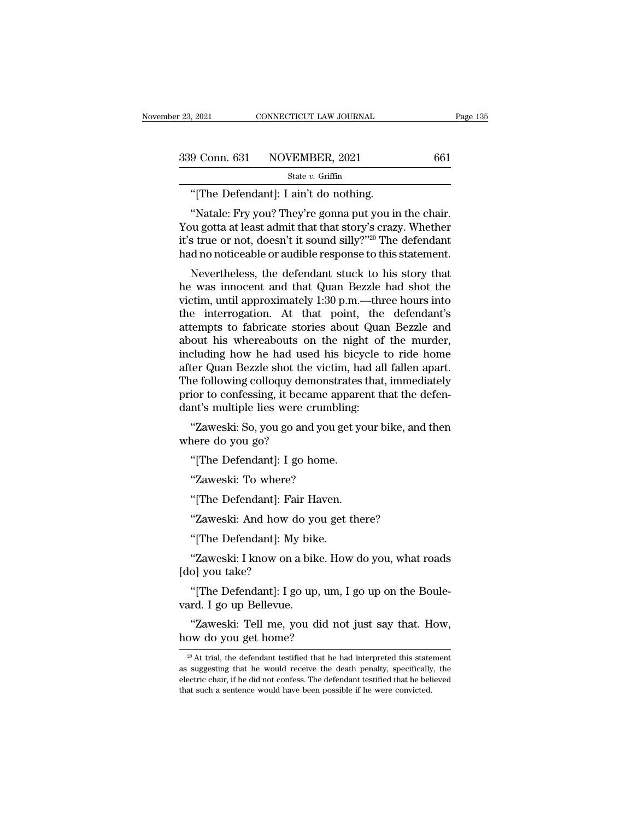| r 23, 2021 | CONNECTICUT LAW JOURNAL      | Page 135 |
|------------|------------------------------|----------|
|            | 339 Conn. 631 NOVEMBER, 2021 | 661      |
|            | State $v$ . Griffin          |          |

''[The Defendant]: I ain't do nothing. 9 Conn. 631 NOVEMBER, 2021 661<br>
State v. Griffin<br>
"[The Defendant]: I ain't do nothing.<br>
"Natale: Fry you? They're gonna put you in the chair.<br>
bu gotta at least admit that that story's crazy. Whether 339 Conn. 631 NOVEMBER, 2021 661<br>
State v. Griffin<br>
"[The Defendant]: I ain't do nothing.<br>
"Natale: Fry you? They're gonna put you in the chair.<br>
You gotta at least admit that that story's crazy. Whether<br>
it's true or not 339 Conn. 631 NOVEMBER, 2021 661<br>
State v. Griffin<br>
"[The Defendant]: I ain't do nothing.<br>
"Natale: Fry you? They're gonna put you in the chair.<br>
You gotta at least admit that that story's crazy. Whether<br>
it's true or not "[The Defendant]: I ain't do nothing.<br>"Natale: Fry you? They're gonna put you in the chair.<br>You gotta at least admit that that story's crazy. Whether<br>it's true or not, doesn't it sound silly?"<sup>20</sup> The defendant<br>had no not "[The Defendant]: I ain't do nothing.<br>"Natale: Fry you? They're gonna put you in the chair.<br>"We gotta at least admit that that story's crazy. Whether<br>s true or not, doesn't it sound silly?"<sup>20</sup> The defendant<br>d no noticeab "Natale: Fry you? They're gonna put you in the chair.<br>You gotta at least admit that that story's crazy. Whether<br>it's true or not, doesn't it sound silly?"<sup>20</sup> The defendant<br>had no noticeable or audible response to this st

value. Fry you: They re gonia put you in the chair.<br>You gotta at least admit that that story's crazy. Whether<br>it's true or not, doesn't it sound silly?"<sup>20</sup> The defendant<br>had no noticeable or audible response to this stat Fou gotta at least admit that that story's crazy. Whether<br>it's true or not, doesn't it sound silly?"<sup>20</sup> The defendant<br>had no noticeable or audible response to this statement.<br>Nevertheless, the defendant stuck to his stor at stude of not, doesn't it sound siny? The defendant<br>had no noticeable or audible response to this statement.<br>Nevertheless, the defendant stuck to his story that<br>he was innocent and that Quan Bezzle had shot the<br>victim, u had no noticeable of addibe response to this statement.<br>
Nevertheless, the defendant stuck to his story that<br>
he was innocent and that Quan Bezzle had shot the<br>
victim, until approximately 1:30 p.m.—three hours into<br>
the i Nevertheless, the defendant stuck to his story that<br>he was innocent and that Quan Bezzle had shot the<br>victim, until approximately 1:30 p.m.—three hours into<br>the interrogation. At that point, the defendant's<br>attempts to fab he was innocent and that Quan Bezzle had shot the<br>victim, until approximately 1:30 p.m.—three hours into<br>the interrogation. At that point, the defendant's<br>attempts to fabricate stories about Quan Bezzle and<br>about his where victim, until approximately 1:30 p.m.—three hours into<br>the interrogation. At that point, the defendant's<br>attempts to fabricate stories about Quan Bezzle and<br>about his whereabouts on the night of the murder,<br>including how h the interrogation. At that point, the defendant's<br>attempts to fabricate stories about Quan Bezzle and<br>about his whereabouts on the night of the murder,<br>including how he had used his bicycle to ride home<br>after Quan Bezzle s attempts to fabricate stories about Qua<br>about his whereabouts on the night of<br>including how he had used his bicycle i<br>after Quan Bezzle shot the victim, had al<br>The following colloquy demonstrates that<br>prior to confessing, bout his whereabouts on the hight of the hitrater,<br>cluding how he had used his bicycle to ride home<br>ter Quan Bezzle shot the victim, had all fallen apart.<br>ne following colloquy demonstrates that, immediately<br>ior to confess Including now he had used<br>after Quan Bezzle shot the<br>The following colloquy dem<br>prior to confessing, it becau<br>dant's multiple lies were cr<br>"Zaweski: So, you go and<br>where do you go?<br>"[The Defendant]: I go he ie following colloquy demonstrates<br>
ior to confessing, it became appare<br>
int's multiple lies were crumbling:<br>
"Zaweski: So, you go and you get you<br>
"The Defendant]: I go home.<br>"Zaweski: To where?

for to coffessing, it became approximation<br>times were crumble "Zaweski: So, you go and you g<br>nere do you go?<br>"[The Defendant]: I go home.<br>"Zaweski: To where?<br>"[The Defendant]: Fair Haven. "Zaweski: So, you go and you get yo<br>nere do you go?<br>"[The Defendant]: I go home.<br>"Zaweski: To where?<br>"[The Defendant]: Fair Haven.<br>"Zaweski: And how do you get then nere do you go?<br>"[The Defendant]: I go home.<br>"Zaweski: To where?<br>"[The Defendant]: Fair Haven.<br>"Zaweski: And how do you get there?<br>"[The Defendant]: My bike.

"[The Defendant]: I go home.<br>"Zaweski: To where?<br>"[The Defendant]: Fair Haven.<br>"Zaweski: And how do you get t<br>"[The Defendant]: My bike.<br>"Zaweski: I know on a bike. How "Zaweski: To where?<br>"[The Defendant]: Fair Haven.<br>"Zaweski: And how do you get there?<br>"[The Defendant]: My bike.<br>"Zaweski: I know on a bike. How do you, what roads<br>o] you take? "[The Defendant]: Fa<br>"Zaweski: And how d<br>"[The Defendant]: My<br>"Zaweski: I know on a<br>[do] you take?<br>"[The Defendant]: I go "Zaweski: And how do you get there?<br>"[The Defendant]: My bike.<br>"Zaweski: I know on a bike. How do you, what roads<br>o] you take?<br>"[The Defendant]: I go up, um, I go up on the Boule-<br>rd. I go up Bellevue. Zaweski: And now do yo<br>
"[The Defendant]: My bik<br>
"Zaweski: I know on a bik<br>
[do] you take?<br>
"[The Defendant]: I go up<br>
vard. I go up Bellevue.<br>"Zaweski: Tell me, you d "Zaweski: I know on a bike. How do you, what roads<br>o] you take?<br>"[The Defendant]: I go up, um, I go up on the Boule-<br>rd. I go up Bellevue.<br>"Zaweski: Tell me, you did not just say that. How,<br>w do you get home? "Zaweski: I know on a bike. Home<br>
[do] you take?<br>
"[The Defendant]: I go up, um<br>
vard. I go up Bellevue.<br>
"Zaweski: Tell me, you did n<br>
how do you get home?<br>
"At trial, the defendant testified that he

20 At trial, the defendant testified that he had interpreted this statement suggesting that he would receive the death penalty, specifically, the

<sup>&</sup>quot;Zaweski: Tell me, you did not just say that. How,<br>how do you get home?<br> $\frac{1}{20}$  At trial, the defendant testified that he had interpreted this statement<br>as suggesting that he would receive the death penalty, specifical "Zaweski: Tell me, you did not just say that. How,<br>how do you get home?<br> $\frac{1}{20}$  At trial, the defendant testified that he had interpreted this statement<br>as suggesting that he would receive the death penalty, specifical how do you get home?<br>  $\frac{1}{20}$  At trial, the defendant testified that he had interpreted this statement<br>
as suggesting that he would receive the death penalty, specifically, the<br>
electric chair, if he did not confess. T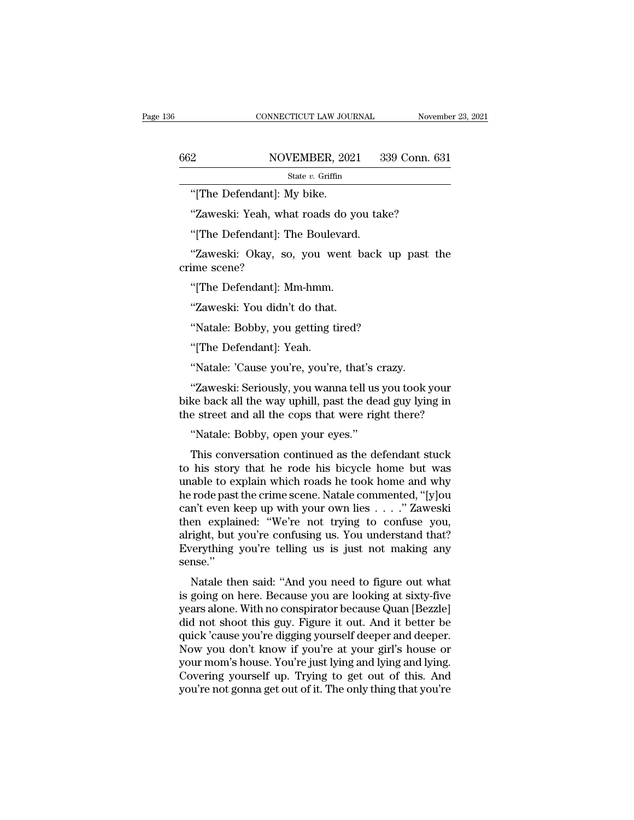|     | CONNECTICUT LAW JOURNAL                       | November 23, 2021 |
|-----|-----------------------------------------------|-------------------|
|     |                                               |                   |
| 662 | NOVEMBER, 2021                                | 339 Conn. 631     |
|     | State $v$ . Griffin                           |                   |
|     | "[The Defendant]: My bike.                    |                   |
|     | "Zaweski: Yeah, what roads do you take?       |                   |
|     | "[The Defendant]: The Boulevard.              |                   |
|     | "Zaweski: Okay, so, you went back up past the |                   |

State v. Griffin<br>
"[The Defendant]: My bike.<br>
"Zaweski: Yeah, what roads do you take?<br>"[The Defendant]: The Boulevard.<br>"Zaweski: Okay, so, you went back up past the ime scene? "[The Defendant]: M<br>"Zaweski: Yeah, wh<br>"[The Defendant]: T<br>"Zaweski: Okay, sc<br>crime scene?<br>"[The Defendant]: M "Zaweski: Yeah, what roads do yo"<br>[The Defendant]: The Boulevard.<br>"Zaweski: Okay, so, you went lime scene?<br>"[The Defendant]: Mm-hmm.<br>"Zaweski: You didn't do that. "[The Defendant]: The Boulevard.<br>"Zaweski: Okay, so, you went b<br>ime scene?<br>"[The Defendant]: Mm-hmm.<br>"Zaweski: You didn't do that.<br>"Natale: Bobby, you getting tired? "Zaweski: Okay, so, you went back up<br>ime scene?<br>"[The Defendant]: Mm-hmm.<br>"Zaweski: You didn't do that.<br>"Natale: Bobby, you getting tired?<br>"[The Defendant]: Yeah. ime scene?<br>"[The Defendant]: Mm-hmm.<br>"Zaweski: You didn't do that.<br>"Natale: Bobby, you getting t<br>"[The Defendant]: Yeah.<br>"Natale: 'Cause you're, you're

"[The Defendant]: Mm-hmm.<br>"Zaweski: You didn't do that.<br>"Natale: Bobby, you getting tired?<br>"[The Defendant]: Yeah.<br>"Natale: 'Cause you're, you're, that's crazy.<br>"Zaweski: Seriously, you wanna tell us you took y "Zaweski: You didn't do that.<br>"Natale: Bobby, you getting tired?<br>"[The Defendant]: Yeah.<br>"Natale: 'Cause you're, you're, that's crazy.<br>"Zaweski: Seriously, you wanna tell us you took your<br>ke back all the way uphill, past t "Natale: Bobby, you getting tired?<br>"[The Defendant]: Yeah.<br>"Natale: 'Cause you're, you're, that's crazy.<br>"Zaweski: Seriously, you wanna tell us you took your<br>bike back all the way uphill, past the dead guy lying in<br>the str "The Defendant]: Yeah.<br>
"Natale: 'Cause you're, you're, that's crazy.<br>
"Zaweski: Seriously, you wanna tell us you took your<br>
bike back all the way uphill, past the dead guy lying in<br>
the street and all the cops that were r "Natale: 'Cause you're, you're, that's c<br>"Zaweski: Seriously, you wanna tell us<br>ke back all the way uphill, past the dea<br>e street and all the cops that were rig<br>"Natale: Bobby, open your eyes."<br>This conversation continued Tratate. Cause you're, you're, that's crazy.<br>
"Zaweski: Seriously, you wanna tell us you took your<br>
ke back all the way uphill, past the dead guy lying in<br>
e street and all the cops that were right there?<br>
"Natale: Bobby,

"Zaweski: Seriously, you wanna tell us you took your<br>bike back all the way uphill, past the dead guy lying in<br>the street and all the cops that were right there?<br>"Natale: Bobby, open your eyes."<br>This conversation continued bike back all the way uphill, past the dead guy lying in<br>the street and all the cops that were right there?<br>"Natale: Bobby, open your eyes."<br>This conversation continued as the defendant stuck<br>to his story that he rode his the street and all the cops that were right there?<br>
"Natale: Bobby, open your eyes."<br>
This conversation continued as the defendant stuck<br>
to his story that he rode his bicycle home but was<br>
unable to explain which roads he "Natale: Bobby, open your eyes."<br>This conversation continued as the defendant stuck<br>to his story that he rode his bicycle home but was<br>unable to explain which roads he took home and why<br>he rode past the crime scene. Natale This conversation continued as the defendant stuck<br>to his story that he rode his bicycle home but was<br>unable to explain which roads he took home and why<br>he rode past the crime scene. Natale commented, "[y]ou<br>can't even ke This conversation continued as the defendant stuck<br>to his story that he rode his bicycle home but was<br>unable to explain which roads he took home and why<br>he rode past the crime scene. Natale commented, "[y]ou<br>can't even kee to his story that he rode his bicycle home but was<br>unable to explain which roads he took home and why<br>he rode past the crime scene. Natale commented, "[y]ou<br>can't even keep up with your own lies . . . . " Zaweski<br>then expl sense.'' Tode past the crime scene. Natale commented, [y]ou<br>n't even keep up with your own lies . . . ." Zaweski<br>en explained: "We're not trying to confuse you,<br>right, but you're confusing us. You understand that?<br>rerything you're is going on here. Because you are looking at sixty-five

The explaint of the Hot Tying to Contuse you,<br>alright, but you're confusing us. You understand that?<br>Everything you're telling us is just not making any<br>sense."<br>Natale then said: "And you need to figure out what<br>is going o anight, but you're tollusing us. Fou understand that:<br>Everything you're telling us is just not making any<br>sense."<br>Natale then said: "And you need to figure out what<br>is going on here. Because you are looking at sixty-five<br>y Everything you're tening us is just not making any<br>sense."<br>Natale then said: "And you need to figure out what<br>is going on here. Because you are looking at sixty-five<br>years alone. With no conspirator because Quan [Bezzle]<br>d Sense.<br>
Natale then said: "And you need to figure out what<br>
is going on here. Because you are looking at sixty-five<br>
years alone. With no conspirator because Quan [Bezzle]<br>
did not shoot this guy. Figure it out. And it bet Natale then said: "And you need to figure out what<br>is going on here. Because you are looking at sixty-five<br>years alone. With no conspirator because Quan [Bezzle]<br>did not shoot this guy. Figure it out. And it better be<br>quic is going on here. Because you are looking at sixty-five<br>years alone. With no conspirator because Quan [Bezzle]<br>did not shoot this guy. Figure it out. And it better be<br>quick 'cause you're digging yourself deeper and deeper. years alone. With no conspirator because Quan [Bezzle] did not shoot this guy. Figure it out. And it better be quick 'cause you're digging yourself deeper and deeper. Now you don't know if you're at your girl's house or yo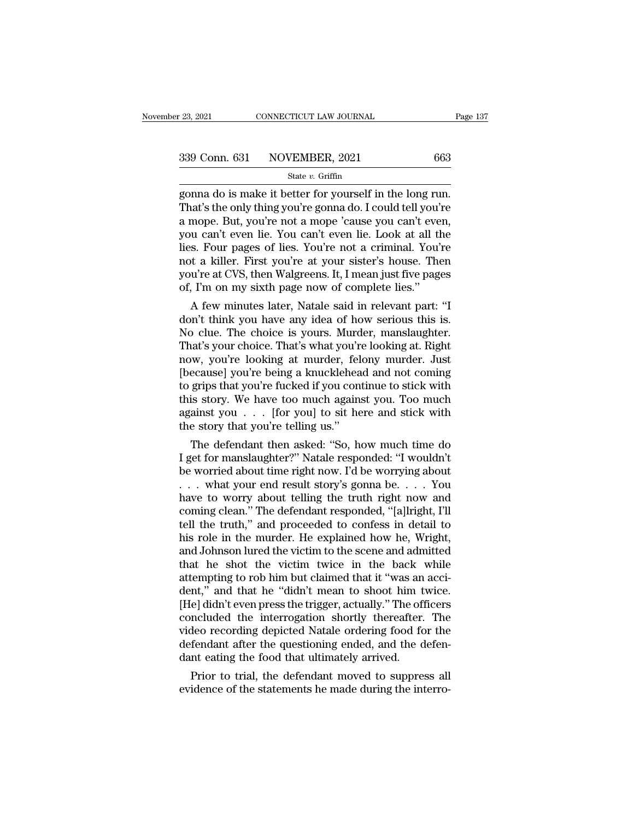er and the connection of the connection of the same of the same is make it better for yourself in the long run.<br>
That's the only thing you're gonna do. I could tell you're<br>
a mone. But, you're not a mone 'gouse you can't 339 Conn. 631 NOVEMBER, 2021 663<br>
state v. Griffin<br>
gonna do is make it better for yourself in the long run.<br>
That's the only thing you're gonna do. I could tell you're<br>
a mope. But, you're not a mope 'cause you can't eve 339 Conn. 631 NOVEMBER, 2021 663<br>
State v. Griffin<br>
gonna do is make it better for yourself in the long run.<br>
That's the only thing you're gonna do. I could tell you're<br>
a mope. But, you're not a mope 'cause you can't eve 339 Conn. 631 NOVEMBER, 2021 663<br>
state v. Griffin<br>
gonna do is make it better for yourself in the long run.<br>
That's the only thing you're gonna do. I could tell you're<br>
a mope. But, you're not a mope 'cause you can't eve Solution of the contributed particle of the contributed state v. Griffin<br>gonna do is make it better for yourself in the long run.<br>That's the only thing you're gonna do. I could tell you're<br>a mope. But, you're not a mope ' state v. Griffin<br>gonna do is make it better for yourself in the long run.<br>That's the only thing you're gonna do. I could tell you're<br>a mope. But, you're not a mope 'cause you can't even,<br>you can't even lie. You can't even gonna do is make it better for yourself in the long run.<br>That's the only thing you're gonna do. I could tell you're<br>a mope. But, you're not a mope 'cause you can't even,<br>you can't even lie. You can't even lie. Look at all That's the only thing you're gonna do. I could tell you're a mope. But, you're not a mope 'cause you can't ever<br>you can't even lie. You can't even lie. Look at all th<br>lies. Four pages of lies. You're not a criminal. You'n<br> mope. But, you re not a mope cause you can't even,<br>u can't even lie. You can't even lie. Look at all the<br>s. Four pages of lies. You're not a criminal. You're<br>t a killer. First you're at your sister's house. Then<br>u're at CV you can't even he. You can't even he. Look at all the<br>lies. Four pages of lies. You're not a criminal. You're<br>not a killer. First you're at your sister's house. Then<br>you're at CVS, then Walgreens. It, I mean just five page

no contribute is a criminal. You re<br>not a killer. First you're at your sister's house. Then<br>you're at CVS, then Walgreens. It, I mean just five pages<br>of, I'm on my sixth page now of complete lies."<br>A few minutes later, Nat not a killer. First you re at your sister's nouse. Then<br>you're at CVS, then Walgreens. It, I mean just five pages<br>of, I'm on my sixth page now of complete lies."<br>A few minutes later, Natale said in relevant part: "I<br>don't you re at Cvs, then waigreens. it, I mean just live pages<br>of, I'm on my sixth page now of complete lies."<br>A few minutes later, Natale said in relevant part: "I<br>don't think you have any idea of how serious this is.<br>No clue. or, I m on my sixth page now or complete les.<br>
A few minutes later, Natale said in relevant part: "I<br>
don't think you have any idea of how serious this is.<br>
No clue. The choice is yours. Murder, manslaughter.<br>
That's your A few minutes later, Natale said in relevant part: "I<br>don't think you have any idea of how serious this is.<br>No clue. The choice is yours. Murder, manslaughter.<br>That's your choice. That's what you're looking at. Right<br>now, don't think you have any idea of how serious this is.<br>No clue. The choice is yours. Murder, manslaughter.<br>That's your choice. That's what you're looking at. Right<br>now, you're looking at murder, felony murder. Just<br>[because No clue. The choice is yours. Murder, manslaughter.<br>That's your choice. That's what you're looking at. Right<br>now, you're looking at murder, felony murder. Just<br>[because] you're being a knucklehead and not coming<br>to grips t That's your choice. That's what you'r<br>now, you're looking at murder, fel<br>[because] you're being a knucklehea<br>to grips that you're fucked if you con<br>this story. We have too much agains<br>against you . . . [for you] to sit he<br> w, you're looking at murder, lelony murder. Just<br>ecause] you're being a knucklehead and not coming<br>grips that you're fucked if you continue to stick with<br>is story. We have too much against you. Too much<br>ainst you . . . [fo [because] you re being a knucklenead and not coming<br>to grips that you're fucked if you continue to stick with<br>this story. We have too much against you. Too much<br>against you . . . [for you] to sit here and stick with<br>the st

to grips that you re fucked if you continue to stick with<br>this story. We have too much against you. Too much<br>against you . . . [for you] to sit here and stick with<br>the story that you're telling us."<br>The defendant then aske this story. we nave too much against you. 100 much<br>against you . . . [for you] to sit here and stick with<br>the story that you're telling us."<br>The defendant then asked: "So, how much time do<br>I get for manslaughter?" Natale have to worry about telling the truth right now and the story that you're telling us.<br>
The defendant then asked: "So, how much time do<br>
I get for manslaughter?" Natale responded: "I wouldn't<br>
be worried about time right now. I'd be worrying about<br>
. . . what your end result The defendant then asked: "So, how much time do<br>I get for manslaughter?" Natale responded: "I wouldn't<br>be worried about time right now. I'd be worrying about<br> $\ldots$  what your end result story's gonna be.  $\ldots$  You<br>have to I get for manslaughter?" Natale responded: "I wouldn't<br>be worried about time right now. I'd be worrying about<br>... what your end result story's gonna be.... You<br>have to worry about telling the truth right now and<br>coming cle be worried about time right now. I'd be worrying about . . . . What your end result story's gonna be. . . . You have to worry about telling the truth right now and coming clean." The defendant responded, "[a]lright, I'll ... what your end result story's gonna be.... You<br>have to worry about telling the truth right now and<br>coming clean." The defendant responded, "[a]lright, I'll<br>tell the truth," and proceeded to confess in detail to<br>his rol have to worry about telling the truth right now and<br>coming clean." The defendant responded, "[a]lright, I'll<br>tell the truth," and proceeded to confess in detail to<br>his role in the murder. He explained how he, Wright,<br>and J coming clean." The defendant responded, "[a]lright, I'll<br>tell the truth," and proceeded to confess in detail to<br>his role in the murder. He explained how he, Wright,<br>and Johnson lured the victim to the scene and admitted<br>th tell the truth," and proceeded to confess in detail to<br>his role in the murder. He explained how he, Wright,<br>and Johnson lured the victim to the scene and admitted<br>that he shot the victim twice in the back while<br>attempting his role in the murder. He explained how he, Wright,<br>and Johnson lured the victim to the scene and admitted<br>that he shot the victim twice in the back while<br>attempting to rob him but claimed that it "was an acci-<br>dent," and and Johnson lured the victim to the scene and admitted<br>that he shot the victim twice in the back while<br>attempting to rob him but claimed that it "was an acci-<br>dent," and that he "didn't mean to shoot him twice.<br>[He] didn't that he shot the victim twice in the back while<br>attempting to rob him but claimed that it "was an acci-<br>dent," and that he "didn't mean to shoot him twice.<br>[He] didn't even press the trigger, actually." The officers<br>conclu attempting to rob him but claimed that it "was an<br>dent," and that he "didn't mean to shoot him t<br>[He] didn't even press the trigger, actually." The off<br>concluded the interrogation shortly thereafter.<br>video recording depict nt," and that he "didn't mean to shoot him twice.<br>
e] didn't even press the trigger, actually." The officers<br>
ncluded the interrogation shortly thereafter. The<br>
deo recording depicted Natale ordering food for the<br>
fendant [He] didn't even press the trigger, actually. The officers concluded the interrogation shortly thereafter. The video recording depicted Natale ordering food for the defendant after the questioning ended, and the defendant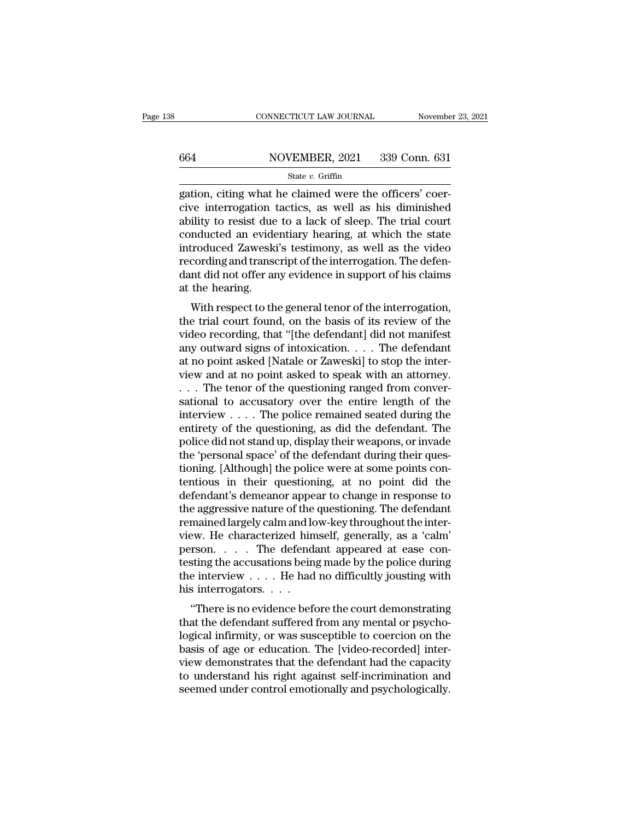# CONNECTICUT LAW JOURNAL November 23, 2021<br>664 NOVEMBER, 2021 339 Conn. 631<br>State v. Griffin

## State *v.* Griffin

CONNECTICUT LAW JOURNAL November<br>  $664$  NOVEMBER, 2021 339 Conn. 631<br>  $\frac{\text{State } v. \text{ Griffith}}{\text{State } v. \text{ Griffith}}$ <br>  $gation, \text{city} \text{ what he claimed were the officers' coercive interrogation tactics, as well as his diminished ability to resist due to a leak of sloon. The trial court$ 664 NOVEMBER, 2021 339 Conn. 631<br>
State v. Griffin<br>
gation, citing what he claimed were the officers' coer-<br>
cive interrogation tactics, as well as his diminished<br>
ability to resist due to a lack of sleep. The trial court 664 NOVEMBER, 2021 339 Conn. 631<br>
State v. Griffin<br>
gation, citing what he claimed were the officers' coer-<br>
cive interrogation tactics, as well as his diminished<br>
ability to resist due to a lack of sleep. The trial court 664 NOVEMBER, 2021 339 Conn. 631<br>
state v. Griffin<br>
gation, citing what he claimed were the officers' coer-<br>
cive interrogation tactics, as well as his diminished<br>
ability to resist due to a lack of sleep. The trial court State v. Griffin<br>
State v. Griffin<br>
gation, citing what he claimed were the officers' coercive<br>
interrogation tactics, as well as his diminished<br>
ability to resist due to a lack of sleep. The trial court<br>
conducted an evi state *v*. Griffin<br>gation, citing what he claimed were the officers' coer-<br>cive interrogation tactics, as well as his diminished<br>ability to resist due to a lack of sleep. The trial court<br>conducted an evidentiary hearing, a gation, citing what he claimed were the officers' coercive interrogation tactics, as well as his diminished ability to resist due to a lack of sleep. The trial court conducted an evidentiary hearing, at which the state int cive interrogation to<br>ability to resist due<br>conducted an evide<br>introduced Zaweski<br>recording and transe<br>dant did not offer ar<br>at the hearing.<br>With respect to th mity to resist the to a fack of sleep. The that could<br>mducted an evidentiary hearing, at which the state<br>troduced Zaweski's testimony, as well as the video<br>cording and transcript of the interrogation. The defen-<br>nt did not conducted an evidentiary nearing, at which the state<br>introduced Zaweski's testimony, as well as the video<br>recording and transcript of the interrogation. The defen-<br>dant did not offer any evidence in support of his claims<br>a

miroduced zaweski's testificity, as well as the video<br>recording and transcript of the interrogation. The defen-<br>dant did not offer any evidence in support of his claims<br>at the hearing.<br>With respect to the general tenor of recording and datiscript of the interrogation. The defendant did not offer any evidence in support of his claims<br>at the hearing.<br>With respect to the general tenor of the interrogation,<br>the trial court found, on the basis o at the hearing.<br>
at the hearing.<br>
With respect to the general tenor of the interrogation,<br>
the trial court found, on the basis of its review of the<br>
video recording, that "[the defendant] did not manifest<br>
any outward sign with respect to the general tenor of the interrogation,<br>the trial court found, on the basis of its review of the<br>video recording, that "[the defendant] did not manifest<br>any outward signs of intoxication. . . . The defendan With respect to the general tenor of the interrogation,<br>the trial court found, on the basis of its review of the<br>video recording, that "[the defendant] did not manifest<br>any outward signs of intoxication.... The defendant<br> the trial court found, on the basis of its review of the video recording, that "[the defendant] did not manifest any outward signs of intoxication. . . . The defendant at no point asked [Natale or Zaweski] to stop the int video recording, that "[the defendant] did not manifest<br>any outward signs of intoxication. . . . The defendant<br>at no point asked [Natale or Zaweski] to stop the inter-<br>view and at no point asked to speak with an attorney. any outward signs of intoxication. . . . The defendant<br>at no point asked [Natale or Zaweski] to stop the inter-<br>view and at no point asked to speak with an attorney.<br>. . . The tenor of the questioning ranged from conver-<br> at no point asked [Natale or Zaweski] to stop the inter-<br>view and at no point asked to speak with an attorney.<br>... The tenor of the questioning ranged from conver-<br>sational to accusatory over the entire length of the<br>inter view and at no point asked to speak with an attorney.<br>  $\ldots$  The tenor of the questioning ranged from conversational to accusatory over the entire length of the interview  $\ldots$ . The police remained seated during the entir ... The tenor of the questioning ranged from conversational to accusatory over the entire length of the interview .... The police remained seated during the entirety of the questioning, as did the defendant. The police di sational to accusatory over the entire length of the<br>interview  $\dots$ . The police remained seated during the<br>entirety of the questioning, as did the defendant. The<br>police did not stand up, display their weapons, or invade<br>t interview . . . . The police remained seated during the<br>entirety of the questioning, as did the defendant. The<br>police did not stand up, display their weapons, or invade<br>the 'personal space' of the defendant during their q entirety of the questioning, as did the defendant. The<br>police did not stand up, display their weapons, or invade<br>the 'personal space' of the defendant during their ques-<br>tioning. [Although] the police were at some points c police did not stand up, display their weapons, or invade<br>the 'personal space' of the defendant during their ques-<br>tioning. [Although] the police were at some points con-<br>tentious in their questioning, at no point did the<br> the 'personal space' of the defendant during their questioning. [Although] the police were at some points contentious in their questioning, at no point did the defendant's demeanor appear to change in response to the aggre tioning. [Although] the police were at some points contentious in their questioning, at no point did the defendant's demeanor appear to change in response to the aggressive nature of the questioning. The defendant remained tentious in their questioning, at no point did the<br>defendant's demeanor appear to change in response to<br>the aggressive nature of the questioning. The defendant<br>remained largely calm and low-key throughout the inter-<br>view. defendant's demeanor appear to change in response to<br>the aggressive nature of the questioning. The defendant<br>remained largely calm and low-key throughout the inter-<br>view. He characterized himself, generally, as a 'calm'<br>pe the aggressive nature of the<br>remained largely calm and lo<br>view. He characterized him<br>person....The defend:<br>testing the accusations bein<br>the interview....He had<br>his interrogators....<br>"There is no evidence befo  $\mu$  There is no evidence before the court demonstrating<br>  $\mu$  the characterized himself, generally, as a 'calm'<br>  $\tau$ son.  $\dots$  The defendant appeared at ease consting the accusations being made by the police during<br>  $\mu$  $t$  is a call that the characterized filmsen, generally, as a call<br>person.... The defendant appeared at ease contesting the accusations being made by the police during<br>the interview .... He had no difficultly jousting wit

person.  $\ldots$  in the defendant appeared at ease contesting the accusations being made by the police during<br>the interview  $\ldots$ . He had no difficultly jousting with<br>his interrogators.  $\ldots$ <br>"There is no evidence before the besting the accusations being made by the police during<br>the interview  $\dots$ . He had no difficultly jousting with<br>his interrogators.  $\dots$ <br>"There is no evidence before the court demonstrating<br>that the defendant suffered from view demonstrates that the defendant had the capacity "There is no evidence before the court demonstrating<br>that the defendant suffered from any mental or psycho-<br>logical infirmity, or was susceptible to coercion on the<br>basis of age or education. The [video-recorded] inter-<br>v "There is no evidence before the court demonstrating<br>that the defendant suffered from any mental or psycho-<br>logical infirmity, or was susceptible to coercion on the<br>basis of age or education. The [video-recorded] inter-<br>vi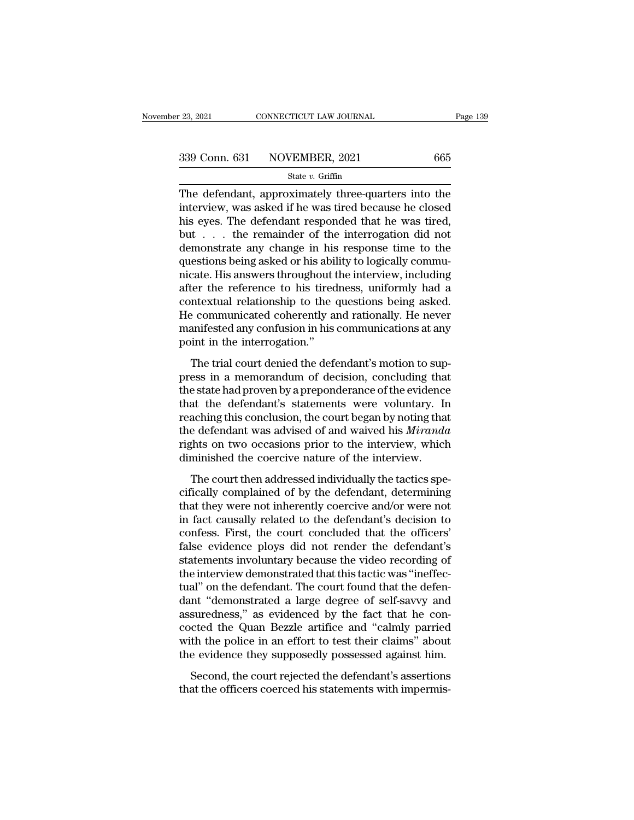$\begin{array}{r|l} \text{23, 2021} & \text{CONPECTICUT LAW JOURNAL} & \text{Page 139} \ \hline \text{339 Conn. 631} & \text{NOVEMBER, 2021} & \text{665} \ \hline \text{State } v. \text{ Griffith} \ \hline \text{The defendant, approximately three-quarters into the interview, was asked if he was tired because he closed his eyes. The defendant, responded that he was timed.} \end{array}$ 339 Conn. 631 NOVEMBER, 2021 665<br>
state v. Griffin<br>
The defendant, approximately three-quarters into the<br>
interview, was asked if he was tired because he closed<br>
his eyes. The defendant responded that he was tired,<br>
but t 339 Conn. 631 NOVEMBER, 2021 665<br>
State v. Griffin<br>
The defendant, approximately three-quarters into the<br>
interview, was asked if he was tired because he closed<br>
his eyes. The defendant responded that he was tired,<br>
but . 339 Conn. 631 NOVEMBER, 2021 665<br>
State v. Griffin<br>
The defendant, approximately three-quarters into the<br>
interview, was asked if he was tired because he closed<br>
his eyes. The defendant responded that he was tired,<br>
but . Solution of the change in the change is state v. Griffin<br>The defendant, approximately three-quarters into the<br>interview, was asked if he was tired because he closed<br>his eyes. The defendant responded that he was tired,<br>but State v. Griftin<br>The defendant, approximately three-quarters into the<br>interview, was asked if he was tired because he closed<br>his eyes. The defendant responded that he was tired,<br>but . . . the remainder of the interrogatio The defendant, approximately three-quarters into the<br>interview, was asked if he was tired because he closed<br>his eyes. The defendant responded that he was tired,<br>but  $\dots$  the remainder of the interrogation did not<br>demonstr interview, was asked if he was tired because he closed<br>his eyes. The defendant responded that he was tired,<br>but  $\dots$  the remainder of the interrogation did not<br>demonstrate any change in his response time to the<br>questions his eyes. The defendant responded that he was tired,<br>but  $\ldots$  the remainder of the interrogation did not<br>demonstrate any change in his response time to the<br>questions being asked or his ability to logically commu-<br>nicate. but . . . the remainder of the interrogation did not<br>demonstrate any change in his response time to the<br>questions being asked or his ability to logically commu-<br>nicate. His answers throughout the interview, including<br>after demonstrate any change in his response time to the<br>questions being asked or his ability to logically commu-<br>nicate. His answers throughout the interview, including<br>after the reference to his tiredness, uniformly had a<br>cont questions being asked or his abily<br>nicate. His answers throughout t<br>after the reference to his tired<br>contextual relationship to the<br>He communicated coherently a<br>manifested any confusion in his<br>point in the interrogation."<br> Exercise and allowers anoughout the metric with metalling the trial relationship to the questions being asked.<br>The trial relationship to the questions being asked.<br>The never anifested any confusion in his communications at expective to the interfaces, anisomly had a<br>contextual relationship to the questions being asked.<br>He communicated coherently and rationally. He never<br>manifested any confusion in his communications at any<br>point in the inter

the communicated coherently and rationally. He never<br>manifested any confusion in his communications at any<br>point in the interrogation."<br>The trial court denied the defendant's motion to sup-<br>press in a memorandum of decisio The communicated concreting and reasonary. It is never<br>manifested any confusion in his communications at any<br>point in the interrogation."<br>The trial court denied the defendant's motion to sup-<br>press in a memorandum of decis reaches any condision in the condition<br>technical court denied the defendant's motion to sup-<br>press in a memorandum of decision, concluding that<br>the state had proven by a preponderance of the evidence<br>that the defendant's s The trial court denied the defendant's motion to sup-<br>press in a memorandum of decision, concluding that<br>the state had proven by a preponderance of the evidence<br>that the defendant's statements were voluntary. In<br>reaching t The trial court denied the defendant's motion to suppress in a memorandum of decision, concluding that<br>the state had proven by a preponderance of the evidence<br>that the defendant's statements were voluntary. In<br>reaching thi press in a memorandum of decision, concluding that<br>the state had proven by a preponderance of the evidence<br>that the defendant's statements were voluntary. In<br>reaching this conclusion, the court began by noting tha<br>the defe at the defendant's statements were voluntary. In<br>aching this conclusion, the court began by noting that<br>e defendant was advised of and waived his *Miranda*<br>shts on two occasions prior to the interview, which<br>minished the c reaching this conclusion, the court began by noting that<br>the defendant was advised of and waived his *Miranda*<br>rights on two occasions prior to the interview, which<br>diminished the coercive nature of the interview.<br>The cour

teaching ans concluded; the court segarly, houng and<br>the defendant was advised of and waived his *Miranda*<br>rights on two occasions prior to the interview, which<br>diminished the coercive nature of the interview.<br>The court th rights on two occasions prior to the interview, which<br>diminished the coercive nature of the interview.<br>The court then addressed individually the tactics spe-<br>cifically complained of by the defendant, determining<br>that they rights on two occusions prior to the interview, which<br>diminished the coercive nature of the interview.<br>The court then addressed individually the tactics spe-<br>cifically complained of by the defendant, determining<br>that they The court then addressed individually the tactics specifically complained of by the defendant, determining<br>that they were not inherently coercive and/or were not<br>in fact causally related to the defendant's decision to<br>conf The court then addressed individually the tactics specifically complained of by the defendant, determining<br>that they were not inherently coercive and/or were not<br>in fact causally related to the defendant's decision to<br>conf cifically complained of by the defendant, determining<br>that they were not inherently coercive and/or were not<br>in fact causally related to the defendant's decision to<br>confess. First, the court concluded that the officers'<br>fa that they were not inherently coercive and/or were not<br>in fact causally related to the defendant's decision to<br>confess. First, the court concluded that the officers'<br>false evidence ploys did not render the defendant's<br>stat in fact causally related to the defendant's decision to<br>confess. First, the court concluded that the officers'<br>false evidence ploys did not render the defendant's<br>statements involuntary because the video recording of<br>the i confess. First, the court concluded that the officers'<br>false evidence ploys did not render the defendant's<br>statements involuntary because the video recording of<br>the interview demonstrated that this tactic was "ineffec-<br>tua false evidence ploys did not render the defendant's<br>statements involuntary because the video recording of<br>the interview demonstrated that this tactic was "ineffec-<br>tual" on the defendant. The court found that the defen-<br>da statements involuntary because the video recording of<br>the interview demonstrated that this tactic was "ineffec-<br>tual" on the defendant. The court found that the defen-<br>dant "demonstrated a large degree of self-savvy and<br>as the interview demonstrated that this tactic was "ineffectual" on the defendant. The court found that the defendant "demonstrated a large degree of self-savvy and assuredness," as evidenced by the fact that he concocted the at on the defendant. The court found that the deferment "demonstrated a large degree of self-savvy and suredness," as evidenced by the fact that he conceted the Quan Bezzle artifice and "calmly parried th the police in an assuredness," as evidenced by the fact that he concocted the Quan Bezzle artifice and "calmly parried with the police in an effort to test their claims" about the evidence they supposedly possessed against him. Second, the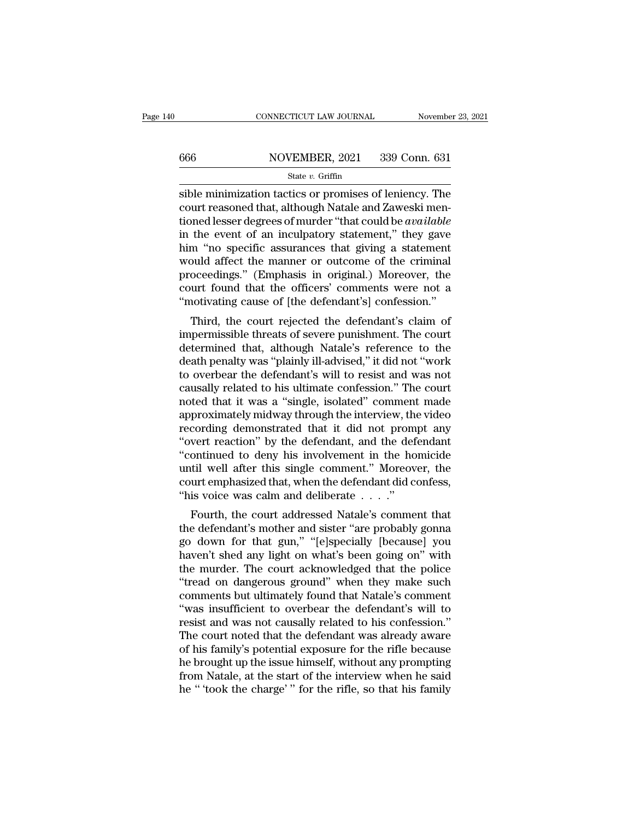# CONNECTICUT LAW JOURNAL November 23, 2021<br>666 NOVEMBER, 2021 339 Conn. 631<br>State v. Griffin

### State *v.* Griffin

CONNECTICUT LAW JOURNAL November 23, 2021<br>
Sible minimization tactics or promises of leniency. The<br>
sible minimization tactics or promises of leniency. The<br>
court reasoned that, although Natale and Zaweski men-<br>
tioned los 666 NOVEMBER, 2021 339 Conn. 631<br>
State v. Griffin<br>
Sible minimization tactics or promises of leniency. The<br>
court reasoned that, although Natale and Zaweski men-<br>
tioned lesser degrees of murder "that could be *available* tioned 1990 MOVEMBER, 2021 339 Conn. 631<br>
State *v*. Griffin<br>
Sible minimization tactics or promises of leniency. The<br>
court reasoned that, although Natale and Zaweski men-<br>
tioned lesser degrees of murder "that could be  $\frac{\text{S66}}{\text{State } v. \text{ Griffith}}$  and  $\frac{\text{State } v. \text{ Griffith}}{\text{State } v. \text{ Griffith}}$ <br>
sible minimization tactics or promises of leniency. The<br>
court reasoned that, although Natale and Zaweski mentioned lesser degrees of murder "that could be *avail* State v. Griffin<br>
State v. Griffin<br>
Sible minimization tactics or promises of leniency. The<br>
court reasoned that, although Natale and Zaweski men-<br>
tioned lesser degrees of murder "that could be *available*<br>
in the event state v. Griffin<br>sible minimization tactics or promises of leniency. The<br>court reasoned that, although Natale and Zaweski men-<br>tioned lesser degrees of murder "that could be *available*<br>in the event of an inculpatory stat sible minimization tactics or promises of leniency. The<br>court reasoned that, although Natale and Zaweski men-<br>tioned lesser degrees of murder "that could be *available*<br>in the event of an inculpatory statement," they gave<br> court reasoned that, although Natale and Zaweski mentioned lesser degrees of murder "that could be *available* in the event of an inculpatory statement," they gave him "no specific assurances that giving a statement would tioned lesser degrees of murder "that could be *available*<br>in the event of an inculpatory statement," they gave<br>him "no specific assurances that giving a statement<br>would affect the manner or outcome of the criminal<br>proceed the event of an inclupatory statement, they gave<br>m "no specific assurances that giving a statement<br>buld affect the manner or outcome of the criminal<br>oceedings." (Emphasis in original.) Moreover, the<br>urt found that the offi fully in the specific assurances that giving a statement<br>would affect the manner or outcome of the criminal<br>proceedings." (Emphasis in original.) Moreover, the<br>court found that the officers' comments were not a<br>"motivating

would arect the mailler of outcome of the criminal<br>proceedings." (Emphasis in original.) Moreover, the<br>court found that the officers' comments were not a<br>"motivating cause of [the defendant's] confession."<br>Third, the court proceedings. (Entiphasis in original.) Moreover, the<br>court found that the officers' comments were not a<br>"motivating cause of [the defendant's] confession."<br>Third, the court rejected the defendant's claim of<br>impermissible t to overbear the defendant's will to resist and was not Third, the court rejected the defendant's claim of<br>impermissible threats of severe punishment. The court<br>determined that, although Natale's reference to the<br>death penalty was "plainly ill-advised," it did not "work<br>to over Third, the court rejected the defendant's claim of<br>impermissible threats of severe punishment. The court<br>determined that, although Natale's reference to the<br>death penalty was "plainly ill-advised," it did not "work<br>to over impermissible threats of severe punishment. The court<br>determined that, although Natale's reference to the<br>death penalty was "plainly ill-advised," it did not "work<br>to overbear the defendant's will to resist and was not<br>cau determined that, although Natale's reference to the<br>death penalty was "plainly ill-advised," it did not "work<br>to overbear the defendant's will to resist and was not<br>causally related to his ultimate confession." The court<br>n death penalty was "plainly ill-advised," it did not "work<br>to overbear the defendant's will to resist and was not<br>causally related to his ultimate confession." The court<br>noted that it was a "single, isolated" comment made<br>a to overbear the defendant's will to resist and was not causally related to his ultimate confession." The court<br>noted that it was a "single, isolated" comment made<br>approximately midway through the interview, the video<br>recor causally related to his ultimate confession." The court<br>noted that it was a "single, isolated" comment made<br>approximately midway through the interview, the video<br>recording demonstrated that it did not prompt any<br>"overt rea noted that it was a "single, isolated" comment made<br>approximately midway through the interview, the video<br>recording demonstrated that it did not prompt any<br>"overt reaction" by the defendant, and the defendant<br>"continued t approximately midway through the interview, the<br>recording demonstrated that it did not prom<br>"overt reaction" by the defendant, and the def<br>"continued to deny his involvement in the ho<br>until well after this single comment." Fourth reaction" by the defendant, and the defendant<br>ontinued to deny his involvement in the homicide<br>til well after this single comment." Moreover, the<br>urt emphasized that, when the defendant did confess,<br>is voice was ca overt reaction by the defendant, and the defendant<br>
"continued to deny his involvement." Moreover, the<br>
court emphasized that, when the defendant did confess,<br>
"his voice was calm and deliberate . . . ."<br>
Fourth, the court

contrided to derly fils involvement in the homicide<br>until well after this single comment." Moreover, the<br>court emphasized that, when the defendant did confess,<br>"his voice was calm and deliberate . . . ."<br>Fourth, the court man wen arter this single comment. Moreover, the<br>court emphasized that, when the defendant did confess,<br>"his voice was calm and deliberate . . . ."<br>Fourth, the court addressed Natale's comment that<br>the defendant's mother a Fourth, the court addressed Natale's comment that<br>
the defendant's mother and sister "are probably gonna<br>
go down for that gun," "[e]specially [because] you<br>
haven't shed any light on what's been going on" with<br>
the murde This voice was cann and denoerate  $\ldots$ .<br>
Fourth, the court addressed Natale's comment that<br>
the defendant's mother and sister "are probably gonna<br>
go down for that gun," "[e]specially [because] you<br>
haven't shed any ligh Fourth, the court addressed Natale's comment that<br>the defendant's mother and sister "are probably gonna<br>go down for that gun," "[e]specially [because] you<br>haven't shed any light on what's been going on" with<br>the murder. Th the defendant's mother and sister "are probably gonna<br>go down for that gun," "[e]specially [because] you<br>haven't shed any light on what's been going on" with<br>the murder. The court acknowledged that the police<br>"tread on dan go down for that gun," "[e]specially [because] you<br>haven't shed any light on what's been going on" with<br>the murder. The court acknowledged that the police<br>"tread on dangerous ground" when they make such<br>comments but ultima haven't shed any light on what's been going on" with<br>the murder. The court acknowledged that the police<br>"tread on dangerous ground" when they make such<br>comments but ultimately found that Natale's comment<br>"was insufficient the murder. The court acknowledged that the police<br>
"tread on dangerous ground" when they make such<br>
comments but ultimately found that Natale's comment<br>
"was insufficient to overbear the defendant's will to<br>
resist and wa "tread on dangerous ground" when they make such<br>comments but ultimately found that Natale's comment<br>"was insufficient to overbear the defendant's will to<br>resist and was not causally related to his confession."<br>The court no comments but ultimately found that Natale's comment<br>"was insufficient to overbear the defendant's will to<br>resist and was not causally related to his confession."<br>The court noted that the defendant was already aware<br>of his "was insufficient to overbear the defendant's will to<br>resist and was not causally related to his confession."<br>The court noted that the defendant was already aware<br>of his family's potential exposure for the rifle because<br>he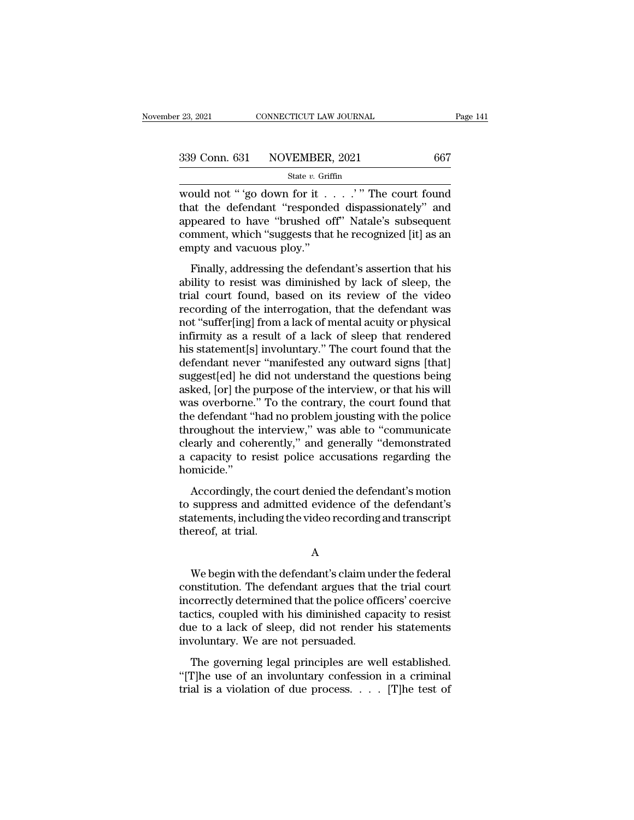$\begin{array}{lll}\n \text{23, 2021} & \text{CONRECTICUT LAW JOURNAL} & \text{Page 141} \\
 \hline\n & \text{339 Conn. 631} & \text{NOVEMBER, 2021} & \text{667} \\
 \text{State } v. \text{ Griffith} & \text{State } v. \text{ Griffith} & \text{New 1001} \\
 \text{would not " 'go down for it . . . . ' " The court found that the defendant "responded displays and appeared to have "brushled off". \n *Method's* subsequent\n} & \text{New 201} & \text{New 301} & \text{New 402} \\
 \text{New 301} & \$ 339 Conn. 631 NOVEMBER, 2021 667<br>
State v. Griffin<br>
would not "'go down for it . . . . . "" The court found<br>
that the defendant "responded dispassionately" and<br>
appeared to have "brushed off" Natale's subsequent<br>
commont 339 Conn. 631 NOVEMBER, 2021 667<br>
State v. Griffin<br>
would not "'go down for it . . . . . " The court found<br>
that the defendant "responded dispassionately" and<br>
appeared to have "brushed off" Natale's subsequent<br>
comment, 339 Conn. 631 NOVEMBER, 2021 667<br>
State v. Griffin<br>
would not "'go down for it . . . . . " The court found<br>
that the defendant "responded dispassionately" and<br>
appeared to have "brushed off" Natale's subsequent<br>
comment, 339 Conn. 631 NOVEMBER, 2021 667<br>
state v. Griffin<br>
would not "'go down for it . . . . . " The court found<br>
that the defendant "responded dispassionately" and<br>
appeared to have "brushed off" Natale's subsequent<br>
comment, Finally, addressing the defendant's assertion that his allows the defendant "responded dispassionately" and peared to have "brushed off" Natale's subsequent mment, which "suggests that he recognized [it] as an upty and va would not  $\epsilon$  go down for  $\pi$ .... The codit found<br>that the defendant "responded dispassionately" and<br>appeared to have "brushed off" Natale's subsequent<br>comment, which "suggests that he recognized [it] as an<br>empty and va

and the detendant "responded dispassionately" and<br>appeared to have "brushed off" Natale's subsequent<br>comment, which "suggests that he recognized [it] as an<br>empty and vacuous ploy."<br>Finally, addressing the defendant's asser repleased to have brushed on Natate's subsequent<br>comment, which "suggests that he recognized [it] as an<br>empty and vacuous ploy."<br>Finally, addressing the defendant's assertion that his<br>ability to resist was diminished by la eonation, when ''saggests' and it recognized [t] as an<br>empty and vacuous ploy."<br>Finally, addressing the defendant's assertion that his<br>ability to resist was diminished by lack of sleep, the<br>trial court found, based on its Finally, addressing the defendant's assertion that his<br>ability to resist was diminished by lack of sleep, the<br>trial court found, based on its review of the video<br>recording of the interrogation, that the defendant was<br>not " Finally, addressing the defendant's assertion that his<br>ability to resist was diminished by lack of sleep, the<br>trial court found, based on its review of the video<br>recording of the interrogation, that the defendant was<br>not " ability to resist was diminished by lack of sleep, the<br>trial court found, based on its review of the video<br>recording of the interrogation, that the defendant was<br>not "suffer[ing] from a lack of mental acuity or physical<br>in trial court found, based on its review of the video<br>recording of the interrogation, that the defendant was<br>not "suffer[ing] from a lack of mental acuity or physical<br>infirmity as a result of a lack of sleep that rendered<br>hi recording of the interrogation, that the defendant was<br>not "suffer[ing] from a lack of mental acuity or physical<br>infirmity as a result of a lack of sleep that rendered<br>his statement[s] involuntary." The court found that th not "suffer[ing] from a lack of mental acuity or physical<br>infirmity as a result of a lack of sleep that rendered<br>his statement[s] involuntary." The court found that the<br>defendant never "manifested any outward signs [that]<br> infirmity as a result of a lack of sleep that rendered<br>his statement[s] involuntary." The court found that the<br>defendant never "manifested any outward signs [that]<br>suggest[ed] he did not understand the questions being<br>aske his statement[s] involuntary." The court found that the<br>defendant never "manifested any outward signs [that]<br>suggest[ed] he did not understand the questions being<br>asked, [or] the purpose of the interview, or that his will<br> defendant never "manifested any outward signs [that]<br>suggest[ed] he did not understand the questions being<br>asked, [or] the purpose of the interview, or that his will<br>was overborne." To the contrary, the court found that<br>th suggest[ed] he did not understand the questions being<br>asked, [or] the purpose of the interview, or that his will<br>was overborne." To the contrary, the court found that<br>the defendant "had no problem jousting with the police<br> homicide.'' as overborne. To alcomatary, are court found that<br>e defendant "had no problem jousting with the police<br>roughout the interview," was able to "communicate<br>early and coherently," and generally "demonstrated<br>capacity to resist throughout the interview," was able to "communicate<br>clearly and coherently," and generally "demonstrated<br>a capacity to resist police accusations regarding the<br>homicide."<br>Accordingly, the court denied the defendant's motion

statements, including the methods," and generally "demonstrated<br>a capacity to resist police accusations regarding the<br>homicide."<br>Accordingly, the court denied the defendant's motion<br>to suppress and admitted evidence of the a capacity to resist<br>a capacity to resist<br>homicide."<br>Accordingly, the cc<br>to suppress and adm<br>statements, including<br>thereof, at trial. Accordingly, the court denied the defendant's motion<br>suppress and admitted evidence of the defendant's<br>atements, including the video recording and transcript<br>rereof, at trial.<br>A<br>We begin with the defendant's claim under th

## A

to suppress and admitted evidence of the defendant's<br>statements, including the video recording and transcript<br>thereof, at trial.<br>A<br>We begin with the defendant's claim under the federal<br>constitution. The defendant argues th statements, including the video recording and transcript<br>thereof, at trial.<br>A<br>We begin with the defendant's claim under the federal<br>constitution. The defendant argues that the trial court<br>incorrectly determined that the po A<br>
Me begin with the defendant's claim under the federal<br>
constitution. The defendant argues that the trial court<br>
incorrectly determined that the police officers' coercive<br>
tactics, coupled with his diminished capacity to A<br>We begin with the defendant's claim under the federal<br>constitution. The defendant argues that the trial court<br>incorrectly determined that the police officers' coercive<br>tactics, coupled with his diminished capacity to res We begin with the defendant's claim unconstitution. The defendant argues that incorrectly determined that the police offications, coupled with his diminished cap due to a lack of sleep, did not render hinvoluntary. We are metallitudion. The defendant scale in the risk court<br>metallitudion. The defendant argues that the trial court<br>correctly determined that the police officers' coercive<br>ctics, coupled with his diminished capacity to resist<br>le The differential diagree and the that conference incorrectly determined that the police officers' coercive tactics, coupled with his diminished capacity to resist due to a lack of sleep, did not render his statements invo tractics, coupled with his diminished capacity to resist<br>tactics, coupled with his diminished capacity to resist<br>due to a lack of sleep, did not render his statements<br>involuntary. We are not persuaded.<br>The governing legal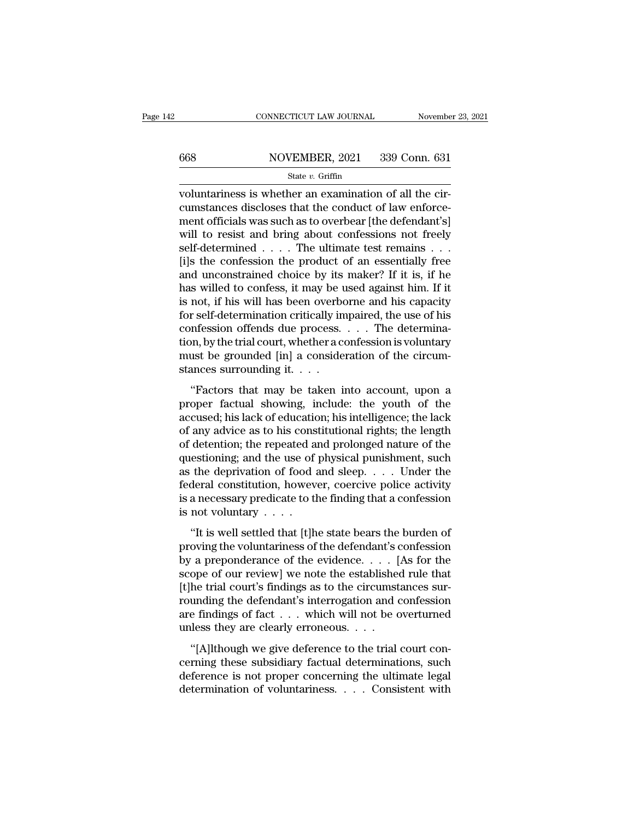# CONNECTICUT LAW JOURNAL November 23, 2021<br>668 NOVEMBER, 2021 339 Conn. 631<br>State v. Griffin

### State *v.* Griffin

CONNECTICUT LAW JOURNAL November<br>  $\frac{668}{\text{Note: } v \cdot \text{Griffin}}$ <br>
voluntariness is whether an examination of all the cir-<br>
cumstances discloses that the conduct of law enforce- $\frac{668}{\text{state } v. \text{ Griffith}}$  ( $\frac{339}{\text{State } v. \text{ Griffith}}$ ) and  $\frac{631}{\text{state } v. \text{ Griffith}}$  or  $\frac{1}{100}$  and  $\frac{1}{100}$  and  $\frac{1}{100}$  and  $\frac{1}{100}$  and  $\frac{1}{100}$  and  $\frac{1}{100}$  and  $\frac{1}{100}$  and  $\frac{1}{100}$  and  $\frac{1}{100}$  and  $\$ MOVEMBER, 2021 339 Conn. 631<br>
State v. Griffin<br>
voluntariness is whether an examination of all the cir-<br>
cumstances discloses that the conduct of law enforce-<br>
ment officials was such as to overbear [the defendant's]<br>
wil MOVEMBER, 2021 339 Conn. 631<br>
State v. Griffin<br>
voluntariness is whether an examination of all the circumstances discloses that the conduct of law enforce-<br>
ment officials was such as to overbear [the defendant's]<br>
will t State v. Griffin<br>State v. Griffin<br>voluntariness is whether an examination of all the cir-<br>cumstances discloses that the conduct of law enforce-<br>ment officials was such as to overbear [the defendant's]<br>will to resist and b state *v*. Griffin<br>
state *v*. Griffin<br>
cumstances discloses that the conduct of law enforce-<br>
ment officials was such as to overbear [the defendant's]<br>
will to resist and bring about confessions not freely<br>
self-determin voluntariness is whether an examination of all the circumstances discloses that the conduct of law enforce-<br>ment officials was such as to overbear [the defendant's]<br>will to resist and bring about confessions not freely<br>sel cumstances discloses that the conduct of law enforcement officials was such as to overbear [the defendant's]<br>will to resist and bring about confessions not freely<br>self-determined  $\ldots$ . The ultimate test remains  $\ldots$ <br>[i] ment officials was such as to overbear [the defendant's]<br>will to resist and bring about confessions not freely<br>self-determined . . . . The ultimate test remains . . .<br>[i]s the confession the product of an essentially free will to resist and bring about confessions not freely<br>self-determined . . . . The ultimate test remains . . .<br>[i]s the confession the product of an essentially free<br>and unconstrained choice by its maker? If it is, if he<br>h self-determined . . . . The ultimate test remains . . . [i]s the confession the product of an essentially free and unconstrained choice by its maker? If it is, if he has willed to confess, it may be used against him. If i [i]s the confession the product of an essentially free<br>and unconstrained choice by its maker? If it is, if he<br>has willed to confess, it may be used against him. If it<br>is not, if his will has been overborne and his capacit and unconstrained choice by its maker? If it is, if he<br>has willed to confess, it may be used against him. If it<br>is not, if his will has been overborne and his capacity<br>for self-determination critically impaired, the use o has willed to confess, it may be us is not, if his will has been overbotor self-determination critically in confession offends due process.<br>tion, by the trial court, whether a comust be grounded [in] a conside stances sur Following that the section of the set of the set of this method, it sets that may be taken into account, when  $\alpha$  is also also account of the circum-<br>ances surrounding it.  $\alpha$ . The determinances surrounding it.  $\alpha$ .<br>"F proper facture included in the process.  $\ldots$  The determination, by the trial court, whether a confession is voluntary<br>must be grounded [in] a consideration of the circum-<br>stances surrounding it.  $\ldots$ <br>"Factors that may b

Forestion of education;  $\alpha$  is a confession is voluntary<br>must be grounded [in] a consideration of the circum-<br>stances surrounding it....<br>"Factors that may be taken into account, upon a<br>proper factual showing, include: th must be grounded [in] a consideration of the circum-<br>stances surrounding it.  $\dots$ <br>"Factors that may be taken into account, upon a<br>proper factual showing, include: the youth of the<br>accused; his lack of education; his intel stances surrounding it.  $\dots$ <br>
"Factors that may be taken into account, upon a<br>
proper factual showing, include: the youth of the<br>
accused; his lack of education; his intelligence; the lack<br>
of any advice as to his constit "Factors that may be taken into account, upon a<br>proper factual showing, include: the youth of the<br>accused; his lack of education; his intelligence; the lack<br>of any advice as to his constitutional rights; the length<br>of det "Factors that may be taken into account, upon a<br>proper factual showing, include: the youth of the<br>accused; his lack of education; his intelligence; the lack<br>of any advice as to his constitutional rights; the length<br>of det proper factual showing, include: the youth of the<br>accused; his lack of education; his intelligence; the lack<br>of any advice as to his constitutional rights; the length<br>of detention; the repeated and prolonged nature of the<br> accused; his lack of education; his intelligence; the lack<br>of any advice as to his constitutional rights; the length<br>of detention; the repeated and prolonged nature of the<br>questioning; and the use of physical punishment, of any advice as to his cons<br>of detention; the repeated a<br>questioning; and the use of<br>as the deprivation of food a<br>federal constitution, howev<br>is a necessary predicate to th<br>is not voluntary . . . .<br>"It is well settled tha decidently, the repeated and probagged matter of the<br>
estioning; and the use of physical punishment, such<br>
the deprivation of food and sleep. . . . Under the<br>
deral constitution, however, coercive police activity<br>
a neces parameters, such as the deprivation of food and sleep.  $\dots$  Under the federal constitution, however, coercive police activity is a necessary predicate to the finding that a confession is not voluntary  $\dots$ .<br>"It is well se

federal constitution, however, coercive police activity<br>federal constitution, however, coercive police activity<br>is a necessary predicate to the finding that a confession<br>is not voluntary  $\dots$ .<br>"It is well settled that [t] Substitution, it with the finding that a confession<br>is a necessary predicate to the finding that a confession<br>is not voluntary  $\cdots$ .<br>"It is well settled that [t]he state bears the burden of<br>proving the voluntariness of t It is well settled that [t]he state bears the burden of<br>"It is well settled that [t]he state bears the burden of<br>proving the voluntariness of the defendant's confession<br>by a preponderance of the evidence.... [As for the<br>s "It is well settled that [t]he state bears the burden of<br>proving the voluntariness of the defendant's confession<br>by a preponderance of the evidence.... [As for the<br>scope of our review] we note the established rule that<br>[t "It is well settled that [t]he state bears the burden of<br>proving the voluntariness of the defendant's confession<br>by a preponderance of the evidence. . . . [As for the<br>scope of our review] we note the established rule that proving the voluntariness of the defendant's dot by a preponderance of the evidence. . . . . [<br>scope of our review] we note the established<br>[t]he trial court's findings as to the circumst<br>rounding the defendant's interrog  $\alpha$  preponderated of the errached:  $\ldots$  [12] for the ope of our review] we note the established rule that he trial court's findings as to the circumstances sur-<br>unding the defendant's interrogation and confession<br>e find [t]he trial court's findings as to the circumstances sur-<br>rounding the defendant's interrogation and confession<br>are findings of fact  $\dots$  which will not be overturned<br>unless they are clearly erroneous.  $\dots$ <br>"[A]lthough we

rounding the defendant's interrogation and confession<br>are findings of fact  $\dots$  which will not be overturned<br>unless they are clearly erroneous.  $\dots$ <br>"[A]lthough we give deference to the trial court con-<br>cerning these subs determination of voluntaries interrogation and contession<br>are findings of fact . . . which will not be overturned<br>unless they are clearly erroneous. . . .<br>"[A]lthough we give deference to the trial court con-<br>cerning these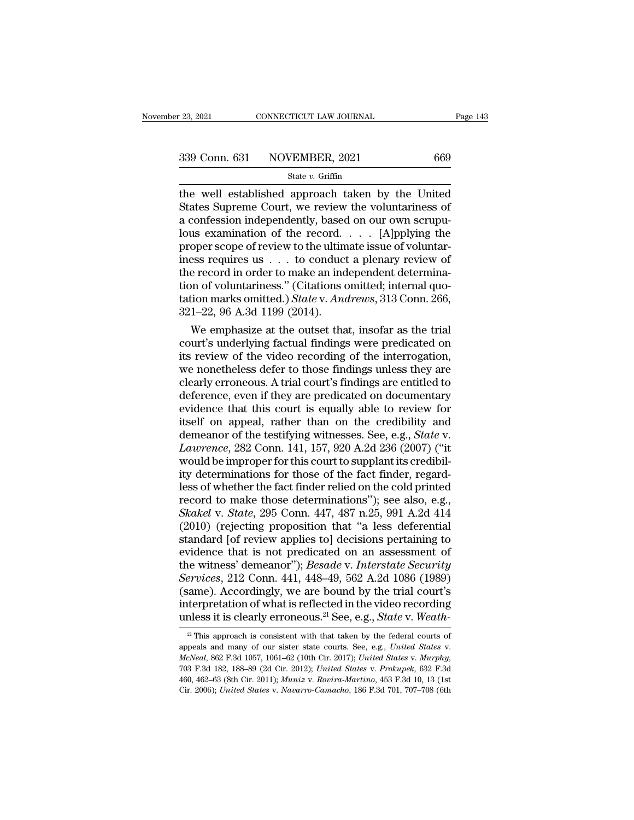the well established approach taken by the United<br>  $\frac{339 \text{ Conn. } 631 \text{ NOVEMBER, } 2021}{\text{State } v. \text{ Griffith}}$ <br>
the well established approach taken by the United<br>
States Supreme Court, we review the voluntariness of<br>
a confession indep  $\begin{array}{r} \text{339 Conn. 631} \text{ NOVEMBER, 2021} \text{669} \\ \text{State } v. \text{ Griffith} \\ \text{the well established approach taken by the United States Supreme Court, we review the volumtariness of a configuration of the record. [A] \\ \text{Thus, examination of the record, [A] \\ \text{inning the model} \text{CSPI} \text{ (incomplete)} \\ \text{inning the model} \end{array}$ 339 Conn. 631 NOVEMBER, 2021 669<br>
State v. Griffin<br>
the well established approach taken by the United<br>
States Supreme Court, we review the voluntariness of<br>
a confession independently, based on our own scrupu-<br>
lous exami 339 Conn. 631 NOVEMBER, 2021 669<br>
State *v*. Griffin<br>
the well established approach taken by the United<br>
States Supreme Court, we review the voluntariness of<br>
a confession independently, based on our own scrupu-<br>
lous exa **EXECUTE SET TROVERTORS, 2021**<br>
State *v*. Griffin<br>
the well established approach taken by the United<br>
States Supreme Court, we review the voluntariness of<br>
a confession independently, based on our own scrupu-<br>
lous exami State *v*. Griffin<br>the well established approach taken by the United<br>States Supreme Court, we review the voluntariness of<br>a confession independently, based on our own scrupu-<br>lous examination of the record. . . . [A]pplyi the well established approach taken by the United<br>States Supreme Court, we review the voluntariness of<br>a confession independently, based on our own scrupu-<br>lous examination of the record. . . . [A]pplying the<br>proper scope States Supreme Court, we review the voluntariness of<br>a confession independently, based on our own scrupu-<br>lous examination of the record. . . . [A]pplying the<br>proper scope of review to the ultimate issue of voluntar-<br>ines a confession independently, based on our own scrupulous examination of the record. . . . [A]pplying the proper scope of review to the ultimate issue of voluntariness requires us . . . to conduct a plenary review of the rec lous examination of the record.<br>proper scope of review to the ultim<br>iness requires us  $\ldots$  to conduct<br>the record in order to make an ind<br>tion of voluntariness." (Citations c<br>tation marks omitted.) *State* v. Ana<br>321–22, oper scope of review to the ultimate issue of voluntaress requires us  $\ldots$  to conduct a plenary review of e record in order to make an independent determination of voluntariness." (Citations omitted, internal quotion mar iness requires us . . . to conduct a plenary review of<br>the record in order to make an independent determina-<br>tion of voluntariness." (Citations omitted; internal quo-<br>tation marks omitted.) *State* v. Andrews, 313 Conn. 2

the record in order to make an independent determination of voluntariness." (Citations omitted; internal quotation marks omitted.) *State* v. *Andrews*, 313 Conn. 266, 321–22, 96 A.3d 1199 (2014).<br>We emphasize at the outs tion of voluntariness." (Citations omitted; internal quotation marks omitted.) *State* v. *Andrews*, 313 Conn. 266, 321–22, 96 A.3d 1199 (2014).<br>We emphasize at the outset that, insofar as the trial court's underlying fact tation marks omitted.) *State* v. *Andrews*, 313 Conn. 266,<br>321–22, 96 A.3d 1199 (2014).<br>We emphasize at the outset that, insofar as the trial<br>court's underlying factual findings were predicated on<br>its review of the video  $321-22$ ,  $96$  A.3d  $1199$  ( $2014$ ).<br>We emphasize at the outset that, insofar as the trial<br>court's underlying factual findings were predicated on<br>its review of the video recording of the interrogation,<br>we nonetheless defe We emphasize at the outset that, insofar as the trial<br>court's underlying factual findings were predicated on<br>its review of the video recording of the interrogation,<br>we nonetheless defer to those findings unless they are<br>c court's underlying factual findings were predicated on<br>its review of the video recording of the interrogation,<br>we nonetheless defer to those findings unless they are<br>clearly erroneous. A trial court's findings are entitle its review of the video recording of the interrogation,<br>we nonetheless defer to those findings unless they are<br>clearly erroneous. A trial court's findings are entitled to<br>deference, even if they are predicated on documenta *Lawrence indings* unless they are clearly erroneous. A trial court's findings are entitled to deference, even if they are predicated on documentary evidence that this court is equally able to review for itself on appeal, clearly erroneous. A trial court's findings are entitled to<br>deference, even if they are predicated on documentary<br>evidence that this court is equally able to review for<br>itself on appeal, rather than on the credibility and<br> deference, even if they are predicated on documentary<br>evidence that this court is equally able to review for<br>itself on appeal, rather than on the credibility and<br>demeanor of the testifying witnesses. See, e.g., *State* v.<br> evidence that this court is equally able to review for<br>itself on appeal, rather than on the credibility and<br>demeanor of the testifying witnesses. See, e.g., *State* v.<br>*Lawrence*, 282 Conn. 141, 157, 920 A.2d 236 (2007) ( itself on appeal, rather than on the credibility and<br>demeanor of the testifying witnesses. See, e.g., *State* v.<br>*Lawrence*, 282 Conn. 141, 157, 920 A.2d 236 (2007) ("it<br>would be improper for this court to supplant its cre demeanor of the testifying witnesses. See, e.g., *State* v.<br> *Lawrence*, 282 Conn. 141, 157, 920 A.2d 236 (2007) ("it<br>
would be improper for this court to supplant its credibil-<br>
ity determinations for those of the fact fi Lawrence, 282 Conn. 141, 157, 920 A.2d 236 (2007) ("it<br>would be improper for this court to supplant its credibil-<br>ity determinations for those of the fact finder, regard-<br>less of whether the fact finder relied on the cold would be improper for this court to supplant its credibility determinations for those of the fact finder, regardless of whether the fact finder relied on the cold printed record to make those determinations"); see also, e ity determinations for those of the fact finder, regard-<br>less of whether the fact finder relied on the cold printed<br>record to make those determinations"); see also, e.g.,<br>Skakel v. State, 295 Conn. 447, 487 n.25, 991 A.2d less of whether the fact finder relied on the cold printed<br>record to make those determinations"); see also, e.g.,<br>*Skakel* v. *State*, 295 Conn. 447, 487 n.25, 991 A.2d 414<br>(2010) (rejecting proposition that "a less defere record to make those determinations"); see also, e.g., *Skakel* v. *State*, 295 Conn. 447, 487 n.25, 991 A.2d 414 (2010) (rejecting proposition that "a less deferential standard [of review applies to] decisions pertaining Skakel v. State, 295 Conn. 447, 487 n.25, 991 A.2d 414 (2010) (rejecting proposition that "a less deferential standard [of review applies to] decisions pertaining to evidence that is not predicated on an assessment of the (2010) (rejecting proposition that "a less deferential standard [of review applies to] decisions pertaining to evidence that is not predicated on an assessment of the witness' demeanor"); *Besade v. Interstate Security Se* (2010) (rejecting proposition that "a less deferential standard [of review applies to] decisions pertaining to evidence that is not predicated on an assessment of the witness' demeanor"); *Besade* v. *Interstate Security* 

unless it is clearly erroneous.<sup>21</sup> See, e.g., *State v. Weath*-<br><sup>21</sup> This approach is consistent with that taken by the federal courts of<br>appeals and many of our sister state courts. See, e.g., *United States v.*<br>*McNeal* (same). Accordingly, we are bound by the trial court's<br>interpretation of what is reflected in the video recording<br>unless it is clearly erroneous.<sup>21</sup> See, e.g., *State* v. Weath-<br><sup>21</sup> This approach is consistent with that utiless it is clearly erroneous.<sup>24</sup> See, e.g., *State v. Weath*<br><sup>21</sup> This approach is consistent with that taken by the federal courts of<br>appeals and many of our sister state courts. See, e.g., *United States v.*<br>*McNeal* <sup>21</sup> This approach is consistent with that taken by the federal courts of appeals and many of our sister state courts. See, e.g., *United States* v. *MucNeal*, 862 F.3d 1057, 1061–62 (10th Cir. 2017); *United States* v. *M*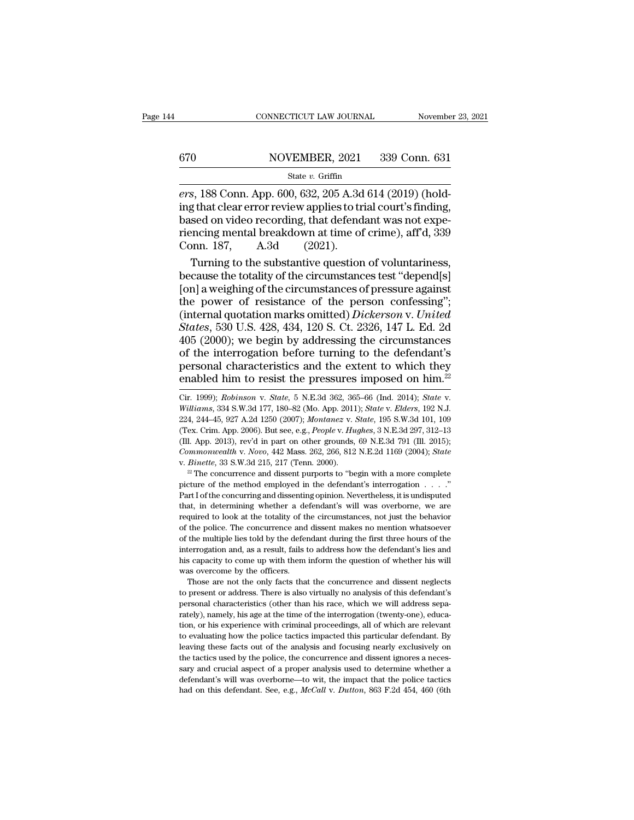# CONNECTICUT LAW JOURNAL November 23, 2021<br>670 NOVEMBER, 2021 339 Conn. 631<br>State v. Griffin

#### State *v.* Griffin

CONNECTICUT LAW JOURNAL<br>
FOR SOMETHER, 2021 339 Conn. 631<br>
For State v. Griffin<br>
For State v. Griffin<br>
For State v. Griffin<br>
For State v. Griffin<br>
For State Conn. App. 600, 632, 205 A.3d 614 (2019) (hold-<br>
ing that clear e ing that clear error review applies to trial court's finding, 670 NOVEMBER, 2021 339 Conn. 631<br>
State v. Griffin<br>
ers, 188 Conn. App. 600, 632, 205 A.3d 614 (2019) (hold-<br>
ing that clear error review applies to trial court's finding,<br>
based on video recording, that defendant was not Friencing mental breakdown at time of crime), aff'd, 339<br>
Friencing that clear error review applies to trial court's finding,<br>
based on video recording, that defendant was not experiencing mental breakdown at time of crim  $\frac{\text{State } v. \text{ Griffith, } 2021}{\text{State } v. \text{ Griffith, } 2021}$ <br>  $\frac{\text{State } v. \text{ Griffith, } 2021}{\text{Sing that clear error review applies to the model.}$ that clear error review applies to translated on video recording, that defend<br>
riencing mental breakdown at time of Conn. 187, A.3d (2021). state v. Grillin state 1. Grillin state v. Grillin state v. Grillin state clear error review applies to trial court's finding, sed on video recording, that defendant was not expension of voluntariness, and the substantive ers, 188 Conn. App. 600, 632, 205 A.3d 614 (2019) (hold-<br>ing that clear error review applies to trial court's finding,<br>based on video recording, that defendant was not experiencing mental breakdown at time of crime), aff'd

ing that clear error review applies to trial court's finding,<br>based on video recording, that defendant was not experiencing mental breakdown at time of crime), aff'd, 339<br>Conn. 187, A.3d (2021).<br>Turning to the substantive based on video recording, that defendant was not experiencing mental breakdown at time of crime), aff'd, 339<br>Conn. 187, A.3d (2021).<br>Turning to the substantive question of voluntariness,<br>because the totality of the circum riencing mental breakdown at time of crime), aff'd, 339<br>Conn. 187, A.3d (2021).<br>Turning to the substantive question of voluntariness,<br>because the totality of the circumstances test "depend[s]<br>[on] a weighing of the circums Conn. 187, A.3d (2021).<br>
Turning to the substantive question of voluntariness,<br>
because the totality of the circumstances test "depend[s]<br>
[on] a weighing of the circumstances of pressure against<br>
the power of resistance o Turning to the substantive question of voluntariness,<br>because the totality of the circumstances test "depend[s]<br>[on] a weighing of the circumstances of pressure against<br>the power of resistance of the person confessing";<br>(i because the totality of the circumstances test "depend[s]<br>[on] a weighing of the circumstances of pressure against<br>the power of resistance of the person confessing";<br>(internal quotation marks omitted) *Dickerson* v. *Unit* [on] a weighing of the circumstances of pressure against<br>the power of resistance of the person confessing";<br>(internal quotation marks omitted) *Dickerson* v. United<br>States, 530 U.S. 428, 434, 120 S. Ct. 2326, 147 L. Ed. 2 the power of resistance of the person confessing";<br>(internal quotation marks omitted) *Dickerson* v. *United*<br>*States*, 530 U.S. 428, 434, 120 S. Ct. 2326, 147 L. Ed. 2d<br>405 (2000); we begin by addressing the circumstance 405 (2000); we begin by addressing the circumstances<br>of the interrogation before turning to the defendant's<br>personal characteristics and the extent to which they<br>enabled him to resist the pressures imposed on him.<sup>22</sup><br>Cir.

(Ill. App. 2013), rev'd in part on other grounds, 69 N.E.3d 791 (Ill. 2015);<br> *Commonwealth* v. *Novo*, 442 Mass. 262, 266, 812 N.E.2d 1169 (2004); *State*<br>
v. *Binette*, 33 S.W.3d 215, 217 (Tenn. 2000).<br>
<sup>22</sup> The concurr Commonwealth v. Novo, 442 Mass. 262, 266, 812 N.E.2d 1169 (2004); *State* v. *Binette*, 33 S.W.3d 215, 217 (Tenn. 2000).<br><sup>22</sup> The concurrence and dissent purports to "begin with a more complete picture of the method employ v. *Binette*, 33 S.W.3d 215, 217 (Tenn. 2000).<br><sup>22</sup> The concurrence and dissent purports to "begin with a more complete picture of the method employed in the defendant's interrogation . . . ."<br>Part I of the concurring and <sup>22</sup> The concurrence and dissent purports to "begin with a more complete picture of the method employed in the defendant's interrogation  $\ldots$ ."<br>Part I of the concurring and dissenting opinion. Nevertheless, it is undispu picture of the method employed in the defendant's interrogation  $\ldots$ ."<br>Part I of the concurring and dissenting opinion. Nevertheless, it is undisputed<br>that, in determining whether a defendant's will was overborne, we are Part I of the concurring and dissenting opinion. Nevertheless, it is undisputed that, in determining whether a defendant's will was overborne, we are required to look at the totality of the circumstances, not just the beha Find that, in determining whether a defendant's will was overborne, we are required to look at the totality of the circumstances, not just the behavior of the police. The concurrence and dissent makes no mention whatsoever required to look at the totality of the police. The concurrence and of the police. The concurrence and of the multiple lies told by the deferent interrogation and, as a result, fails this capacity to come up with them was the police. The concurrence and dissent makes no mention whatsoever<br>the police. The concurrence and dissent makes no mention whatsoever<br>the multiple lies told by the defendant during the first three hours of the<br>terrogatio of the multiple lies told by the defendant during the first three hours of the interrogation and, as a result, fails to address how the defendant's lies and his capacity to come up with them inform the question of whether

Interrogation and, as a result, fails to address how the defendant's lies and<br>his capacity to come up with them inform the question of whether his will<br>was overcome by the officers.<br>Those are not the only facts that the co his capacity to come up with them inform the question of whether his will was overcome by the officers.<br>Those are not the only facts that the concurrence and dissent neglects to present or address. There is also virtually Those are not the only facts that the concurrence and dissent neglects<br>to present or address. There is also virtually no analysis of this defendant's<br>personal characteristics (other than his race, which we will address sep Those are not the only facts that the concurrence and dissent neglects<br>to present or address. There is also virtually no analysis of this defendant's<br>personal characteristics (other than his race, which we will address sep to present or address. There is also virtually no analysis of this defendant's personal characteristics (other than his race, which we will address separately), namely, his age at the time of the interrogation (twenty-one) personal characteristics (other than his race, which we will address separately), namely, his age at the time of the interrogation (twenty-one), education, or his experience with criminal proceedings, all of which are rele rately), namely, his age at the time of the interrogation (twenty-one), education, or his experience with criminal proceedings, all of which are relevant to evaluating how the police tactics impacted this particular defend tion, or his experience with criminal proceedings, all of which are relevant to evaluating how the police tactics impacted this particular defendant. By leaving these facts out of the analysis and focusing nearly exclusiv to evaluating how the police tactics impacted this particular defendant. By

personal characteristics and the extent to which they<br>enabled him to resist the pressures imposed on him.<sup>22</sup><br>Cir. 1999); *Robinson* v. *State*, 5 N.E.3d 362, 365–66 (Ind. 2014); *State* v.<br>*Williams*, 334 S.W.3d 177, 180– enabled him to resist the pressures imposed on him.<sup>22</sup><br>Cir. 1999); *Robinson v. State*, 5 N.E.3d 362, 365-66 (Ind. 2014); *State v.*<br>*Williams*, 334 S.W.3d 177, 180-82 (Mo. App. 2011); *State v. Elders*, 192 N.J.<br>224, 244 Cir. 1999); Robinson v. State, 5 N.E.3d 362, 365–66 (Ind. 2014); State v. Williams, 334 S.W.3d 177, 180–82 (Mo. App. 2011); State v. Elders, 192 N.J. 224, 244–45, 927 A.2d 1250 (2007); Montanez v. State, 195 S.W.3d 101, 10 *Cir. 1999); Robinson v. State,* 5 N.E.3d 362, 365–66 (Ind. 2014); *State* v. *Williams*, 334 S.W.3d 177, 180–82 (Mo. App. 2011); *State* v. *Elders*, 192 N.J. 224, 244–45, 927 A.2d 1250 (2007); *Montanez v. State*, 195 S. Fig. Crim. App. 2006). But see, e.g., *People v. Hughes*, 3 N.E.3d 297, 312–13 (Tex. Crim. App. 2006). But see, e.g., *People v. Hughes*, 3 N.E.3d 297, 312–13 (Ill. App. 2013), rev'd in part on other grounds, 69 N.E.3d 79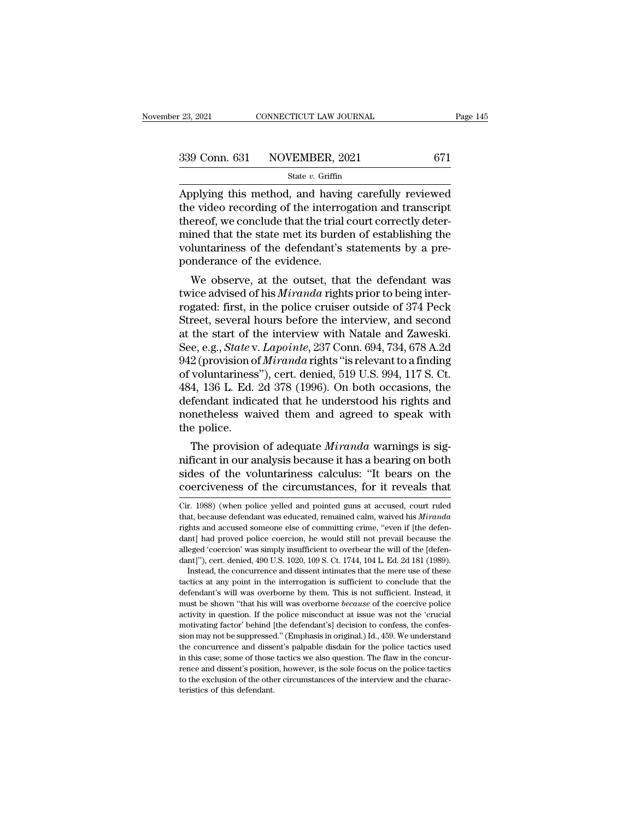| r 23, 2021 | CONNECTICUT LAW JOURNAL      | Page 145 |
|------------|------------------------------|----------|
|            | 339 Conn. 631 NOVEMBER, 2021 | 671      |
|            | State $v$ . Griffin          |          |

 $\begin{array}{|l|} \hline \text{23, 2021} & \text{COMRECTICUT LAW JOURNAL} & \text{Page 145} \ \hline \text{339 Conn. 631} & \text{NOVEMBER, 2021} & \text{671} \ \hline \text{State } v. \text{ Griffith} & \text{State } v. \text{ Griffith} \ \hline \text{Applying this method, and having carefully reviewed} & \text{the video recording of the interrogation and transcript} \ \hline \text{those according to the interrogation and transcript} \ \hline \end{array}$ 339 Conn. 631 NOVEMBER, 2021 671<br>
State v. Griffin<br>
Applying this method, and having carefully reviewed<br>
the video recording of the interrogation and transcript<br>
thereof, we conclude that the trial court correctly deter-<br> 339 Conn. 631 NOVEMBER, 2021 671<br>
State v. Griffin<br>
Applying this method, and having carefully reviewed<br>
the video recording of the interrogation and transcript<br>
thereof, we conclude that the trial court correctly deter-<br> 339 Conn. 631 NOVEMBER, 2021 671<br>
state v. Griffin<br>
Applying this method, and having carefully reviewed<br>
the video recording of the interrogation and transcript<br>
thereof, we conclude that the trial court correctly deter-<br> State v. Griffin<br>State v. Griffin<br>Applying this method, and having carefully reviewed<br>the video recording of the interrogation and transcript<br>thereof, we conclude that the trial court correctly deter-<br>mined that the state ponderance of the evidence. plying this inethod, and having carefully reviewed<br>e video recording of the interrogation and transcript<br>ereof, we conclude that the trial court correctly deter-<br>ined that the state met its burden of establishing the<br>lunta thereof, we conclude that the trial court correctly deter-<br>mined that the state met its burden of establishing the<br>voluntariness of the defendant's statements by a pre-<br>ponderance of the evidence.<br>We observe, at the outset

thereor, we concrude that the that court correctly deter-<br>mined that the state met its burden of establishing the<br>voluntariness of the defendant's statements by a pre-<br>ponderance of the evidence.<br>We observe, at the outset, mined that the state met its burden of establishing the<br>voluntariness of the defendant's statements by a pre-<br>ponderance of the evidence.<br>We observe, at the outset, that the defendant was<br>twice advised of his *Miranda* ri voluntariness of the defendant s statements by a pre-<br>ponderance of the evidence.<br>We observe, at the outset, that the defendant was<br>twice advised of his *Miranda* rights prior to being inter-<br>rogated: first, in the police We observe, at the outset, that the defendant was<br>twice advised of his *Miranda* rights prior to being inter-<br>rogated: first, in the police cruiser outside of 374 Peck<br>Street, several hours before the interview, and second We observe, at the outset, that the defendant was<br>twice advised of his *Miranda* rights prior to being inter-<br>rogated: first, in the police cruiser outside of 374 Peck<br>Street, several hours before the interview, and second twice advised of his *Miranda* rights prior to being inter-<br>rogated: first, in the police cruiser outside of 374 Peck<br>Street, several hours before the interview, and second<br>at the start of the interview with Natale and Zaw rogated: first, in the police cruiser outside of 374 Peck<br>Street, several hours before the interview, and second<br>at the start of the interview with Natale and Zaweski.<br>See, e.g., *State* v. *Lapointe*, 237 Conn. 694, 734, Street, several hours before the interview, and second<br>at the start of the interview with Natale and Zaweski.<br>See, e.g., *State* v. *Lapointe*, 237 Conn. 694, 734, 678 A.2d<br>942 (provision of *Miranda* rights "is relevant t at the start of the interview with Natale and Zaweski.<br>See, e.g., *State* v. *Lapointe*, 237 Conn. 694, 734, 678 A.2d<br>942 (provision of *Miranda* rights "is relevant to a finding<br>of voluntariness"), cert. denied, 519 U.S. See, e.g., *State* v<br>942 (provision of<br>of voluntariness<br>484, 136 L. Ed.<br>defendant indic<br>nonetheless wa<br>the police.<br>The provision 2 (provision of *Mirranda* rights is relevant to a finding<br>voluntariness"), cert. denied, 519 U.S. 994, 117 S. Ct.<br>4, 136 L. Ed. 2d 378 (1996). On both occasions, the<br>fendant indicated that he understood his rights and<br>met or voluntariness *f*, cert. defined, 319 U.S. 994, 117 S. Ct.<br>484, 136 L. Ed. 2d 378 (1996). On both occasions, the<br>defendant indicated that he understood his rights and<br>nonetheless waived them and agreed to speak with<br>the

For the volution of the view of the view of the view defendant indicated that he understood his rights and nonetheless waived them and agreed to speak with the police.<br>The provision of adequate *Miranda* warnings is signif defendant mulcated that he understood his rights and<br>nonetheless waived them and agreed to speak with<br>the police.<br>The provision of adequate *Miranda* warnings is sig-<br>nificant in our analysis because it has a bearing on bo The provision of adequate *Miranda* warnings is significant in our analysis because it has a bearing on both sides of the voluntariness calculus: "It bears on the coerciveness of the circumstances, for it reveals that  $_{\text$ mificant in our analysis because it has a bearing on both<br>sides of the voluntariness calculus: "It bears on the<br>coerciveness of the circumstances, for it reveals that<br> $_{\rm Cir.}$  1988) (when police yelled and pointed guns at

dant] had proved police coercion, he would still not prevail because the alleged 'coercion' was simply insufficient to overbear the will of the [defendant]'), cert. denied, 490 U.S. 1020, 109 S. Ct. 1744, 104 L. Ed. 2d 181 alleged 'coercion' was simply insufficient to overbear the will of the [defen-<br>dant]"), cert. denied, 490 U.S. 1020, 109 S. Ct. 1744, 104 L. Ed. 2d 181 (1989).<br>Instead, the concurrence and dissent intimates that the mere u dant]"), cert. denied, 490 U.S. 1020, 109 S. Ct. 1744, 104 L. Ed. 2d 181 (1989).<br>Instead, the concurrence and dissent intimates that the mere use of these<br>tactics at any point in the interrogation is sufficient to conclude Instead, the concurrence and dissent intimates that the mere use of these tactics at any point in the interrogation is sufficient to conclude that the defendant's will was overborne by them. This is not sufficient. Instead factics at any point in the interrogation is sufficient to conclude that the defendant's will was overborne by them. This is not sufficient. Instead, it must be shown "that his will was overborne *because* of the coercive defendant's will was overborne by them. This is not sufficient. Instead, it defendant's will was overborne by them. This is not sufficient. Instead, it must be shown "that his will was overborne *because* of the coercive p defendant's will was overborne by them. This is not sufficient. Instead, it must be shown "that his will was overborne *because* of the coercive police activity in question. If the police misconduct at issue was not the ' activity in question. If the police misconduct at issue was not the 'crucial motivating factor' behind [the defendant's] decision to confess, the confession may not be suppressed." (Emphasis in original.) Id., 459. We unde motivating factor' behind [the defendant's] decision to confess, the confession may not be suppressed." (Emphasis in original.) Id., 459. We understand

sides of the voluntariness calculus: "It bears on the coerciveness of the circumstances, for it reveals that  $\overline{C}$  cir. 1988) (when police yelled and pointed guns at accused, court ruled that, because defendant was educ coerciveness of the circumstances, for it reveals that<br>
Cir. 1988) (when police yelled and pointed guns at accused, court ruled<br>
that, because defendant was educated, remained calm, waived his *Miranda*<br>
rights and accused Cir. 1988) (when police yelled and pointed guns at accused, court ruled that, because defendant was educated, remained calm, waived his *Miranda* rights and accused someone else of committing crime, "even if [the defen-<br>d Cir. 1988) (when police yelled and pointed guns at accused, court ruled<br>that, because defendant was educated, remained calm, waived his *Miranda*<br>rights and accused someone else of committing crime, "even if [the defen-<br>da Instead, the concurrence and primate intimates that the mere use of committing crime, "even if [the defendit] had proved police coercion, he would still not prevail because the eged 'coercion' was simply insufficient to ov rights and accused someone else of committing crime, "even if [the defendant] had proved police coercion, he would still not prevail because the alleged 'coercion' was simply insufficient to overbear the will of the [defen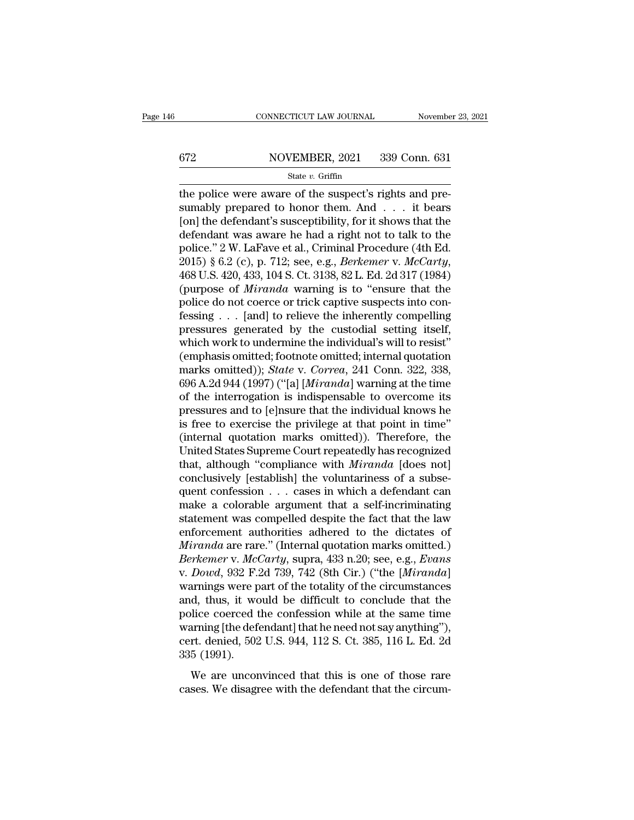# CONNECTICUT LAW JOURNAL November 23, 2021<br>672 NOVEMBER, 2021 339 Conn. 631<br>State v. Griffin

### State *v.* Griffin

CONNECTICUT LAW JOURNAL November<br>
672 NOVEMBER, 2021 339 Conn. 631<br>  $\frac{\text{State } v. \text{ Griffith}}{\text{State } v. \text{ Griffith}}$ <br>
the police were aware of the suspect's rights and pre-<br>
sumably prepared to honor them. And . . . it bears<br>
[on] the defend SET MOVEMBER, 2021 339 Conn. 631<br>
State v. Griffin<br>
the police were aware of the suspect's rights and pre-<br>
sumably prepared to honor them. And . . . it bears<br>
[on] the defendant's susceptibility, for it shows that the<br>
d  $\begin{array}{c|c} \text{672} & \text{NOVEMBER, 2021} & \text{339 Conn. 631} \\ \hline \text{State } v. \text{ Griffith} \end{array}$ <br>the police were aware of the suspect's rights and presumably prepared to honor them. And . . . it bears<br>[on] the defendant's susceptibility, for it show 672 NOVEMBER, 2021 339 Conn. 631<br>
state v. Griffin<br>
the police were aware of the suspect's rights and pre-<br>
sumably prepared to honor them. And . . . it bears<br>
[on] the defendant's susceptibility, for it shows that the<br>
d State v. Griffin<br>
State v. Griffin<br>
the police were aware of the suspect's rights and pre-<br>
sumably prepared to honor them. And . . . it bears<br>
[on] the defendant's susceptibility, for it shows that the<br>
defendant was awa state *v*. Griffin<br>the police were aware of the suspect's rights and pre-<br>sumably prepared to honor them. And . . . it bears<br>[on] the defendant's susceptibility, for it shows that the<br>defendant was aware he had a right not sumably prepared to honor them. And . . . it bears<br>[on] the defendant's susceptibility, for it shows that the<br>defendant was aware he had a right not to talk to the<br>police." 2 W. LaFave et al., Criminal Procedure (4th Ed.<br>2 [on] the defendant's susceptibility, for it shows that the defendant was aware he had a right not to talk to the police." 2 W. LaFave et al., Criminal Procedure (4th Ed. 2015) § 6.2 (c), p. 712; see, e.g., *Berkemer v. Mc* defendant was aware he had a right not to talk to the<br>police." 2 W. LaFave et al., Criminal Procedure (4th Ed.<br>2015) § 6.2 (c), p. 712; see, e.g., *Berkemer v. McCarty*,<br>468 U.S. 420, 433, 104 S. Ct. 3138, 82 L. Ed. 2d 317 police." 2 W. LaFave et al., Criminal Procedure (4th Ed.<br>2015) § 6.2 (c), p. 712; see, e.g., *Berkemer v. McCarty,*<br>468 U.S. 420, 433, 104 S. Ct. 3138, 82 L. Ed. 2d 317 (1984)<br>(purpose of *Miranda* warning is to "ensure th 2015) § 6.2 (c), p. 712; see, e.g., *Berkemer v. McCarty*, 468 U.S. 420, 433, 104 S. Ct. 3138, 82 L. Ed. 2d 317 (1984) (purpose of *Miranda* warning is to "ensure that the police do not coerce or trick captive suspects in 468 U.S. 420, 433, 104 S. Ct. 3138, 82 L. Ed. 2d 317 (1984)<br>(purpose of *Miranda* warning is to "ensure that the<br>police do not coerce or trick captive suspects into con-<br>fessing . . . [and] to relieve the inherently compe (purpose of *Miranda* warning is to "ensure that the police do not coerce or trick captive suspects into confessing . . . [and] to relieve the inherently compelling pressures generated by the custodial setting itself, whic police do not coerce or trick captive suspects into confessing . . . [and] to relieve the inherently compelling<br>pressures generated by the custodial setting itself,<br>which work to undermine the individual's will to resist"<br> fessing . . . [and] to relieve the inherently compelling<br>pressures generated by the custodial setting itself,<br>which work to undermine the individual's will to resist"<br>(emphasis omitted; footnote omitted; internal quotatio pressures generated by the custodial setting itself,<br>which work to undermine the individual's will to resist"<br>(emphasis omitted; footnote omitted; internal quotation<br>marks omitted)); *State* v. *Correa*, 241 Conn. 322, 338 which work to undermine the individual's will to resist"<br>(emphasis omitted; footnote omitted; internal quotation<br>marks omitted)); *State* v. *Correa*, 241 Conn. 322, 338,<br>696 A.2d 944 (1997) ("[a] [*Miranda*] warning at th (emphasis omitted)); *State* v. *Correa*, 241 Conn. 322, 338, 696 A.2d 944 (1997) ("[a] [*Miranda*] warning at the time<br>of the interrogation is indispensable to overcome its<br>pressures and to [e]nsure that the individual kn marks omitted)); *State* v. *Correa*, 241 Conn. 322, 338, 696 A.2d 944 (1997) ("[a] [*Miranda*] warning at the time<br>of the interrogation is indispensable to overcome its<br>pressures and to [e]nsure that the individual knows 696 A.2d 944 (1997) ("[a] [*Miranda*] warning at the time<br>of the interrogation is indispensable to overcome its<br>pressures and to [e]nsure that the individual knows he<br>is free to exercise the privilege at that point in tim of the interrogation is indispensable to overcome its<br>pressures and to [e]nsure that the individual knows he<br>is free to exercise the privilege at that point in time"<br>(internal quotation marks omitted)). Therefore, the<br>Uni pressures and to [e]nsure that the individual knows he<br>is free to exercise the privilege at that point in time"<br>(internal quotation marks omitted)). Therefore, the<br>United States Supreme Court repeatedly has recognized<br>that is free to exercise the privilege at that point in time"<br>(internal quotation marks omitted)). Therefore, the<br>United States Supreme Court repeatedly has recognized<br>that, although "compliance with *Miranda* [does not]<br>concl (internal quotation marks omitted)). Therefore, the<br>United States Supreme Court repeatedly has recognized<br>that, although "compliance with *Miranda* [does not]<br>conclusively [establish] the voluntariness of a subse-<br>quent c United States Supreme Court repeatedly has recognized<br>that, although "compliance with *Miranda* [does not]<br>conclusively [establish] the voluntariness of a subse-<br>quent confession . . . cases in which a defendant can<br>make that, although "compliance with *Miranda* [does not]<br>conclusively [establish] the voluntariness of a subse-<br>quent confession . . . cases in which a defendant can<br>make a colorable argument that a self-incriminating<br>stateme *Berkemer* v. *Accords isomething the voluntariness of a subsequent confession* . . . cases in which a defendant can make a colorable argument that a self-incriminating statement was compelled despite the fact that the law quent confession . . . cases in which a defendant can<br>make a colorable argument that a self-incriminating<br>statement was compelled despite the fact that the law<br>enforcement authorities adhered to the dictates of<br>*Miranda* a make a colorable argument that a self-incriminating<br>statement was compelled despite the fact that the law<br>enforcement authorities adhered to the dictates of<br>*Miranda* are rare." (Internal quotation marks omitted.)<br>*Berkeme* statement was compelled despite the fact that the law<br>enforcement authorities adhered to the dictates of<br>*Miranda* are rare." (Internal quotation marks omitted.)<br>*Berkemer* v. *McCarty*, supra, 433 n.20; see, e.g., *Evans* enforcement authorities adhered to the dictates of *Miranda* are rare." (Internal quotation marks omitted.)<br>*Berkemer v. McCarty*, supra, 433 n.20; see, e.g., *Evans* v. *Dowd*, 932 F.2d 739, 742 (8th Cir.) ("the *[Mirand Miranda* are rare." (Internal quotation marks omitted.)<br> *Berkemer* v. *McCarty*, supra, 433 n.20; see, e.g., *Evans*<br>
v. *Dowd*, 932 F.2d 739, 742 (8th Cir.) ("the [*Miranda*]<br>
warnings were part of the totality of the Berkemer v. McCarty, supra, 433 n.20; see, e.g., Evans<br>v. Dowd, 932 F.2d 739, 742 (8th Cir.) ("the [Miranda]<br>warnings were part of the totality of the circumstances<br>and, thus, it would be difficult to conclude that the<br>pol v. *Dowd*, 932 F.:<br>warnings were p<br>and, thus, it we<br>police coerced t<br>warning [the defecert. denied, 502<br>335 (1991).<br>We are uncor d, thus, it would be difficult to conclude that the blice coerced the confession while at the same time arring [the defendant] that he need not say anything"), rt. denied, 502 U.S. 944, 112 S. Ct. 385, 116 L. Ed. 2d 5 (19 cases. We disagree with the defendant that the circum-<br>cases. We disagree with the defendant of the L. Ed. 2d<br>335 (1991).<br>We are unconvinced that this is one of those rare<br>cases. We disagree with the defendant that the cir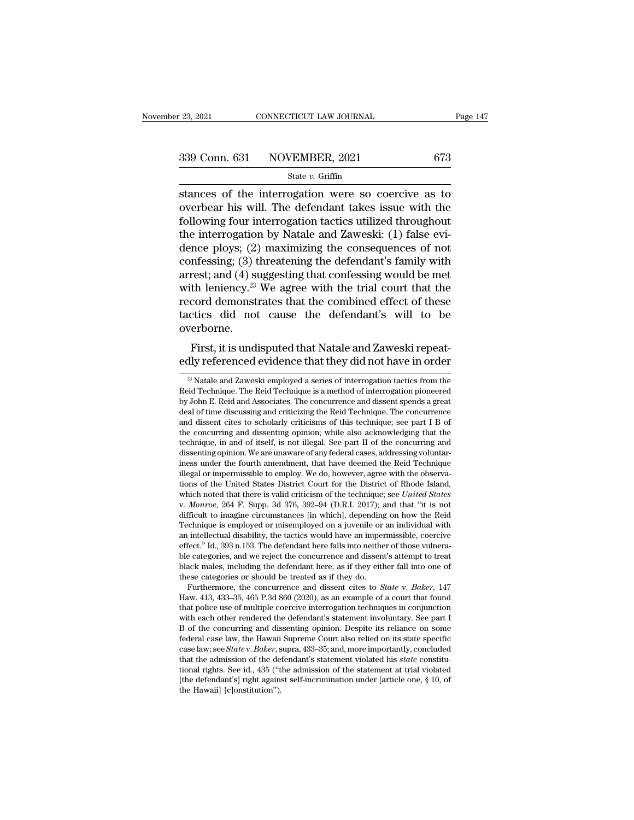# $\begin{array}{r|l} \text{23, 2021} & \text{CONNECTICUT LAW JOURNAL} & \text{Page 147} \\\\ \text{339 Conn. 631} & \text{NOVEMBER, 2021} & \text{673} \\\\ \hline & \text{State } v. \text{ Griffith} & \text{506} \end{array}$

### State *v.* Griffin

stances of the interrogation testics utilized throughout<br>
stances of the interrogation were so coercive as to<br>
stances of the interrogation were so coercive as to<br>
stances of the interrogation were so coercive as to<br>
foll 339 Conn. 631 NOVEMBER, 2021 673<br>
state v. Griffin<br>
stances of the interrogation were so coercive as to<br>
overbear his will. The defendant takes issue with the<br>
following four interrogation tactics utilized throughout<br>
the 339 Conn. 631 NOVEMBER, 2021 673<br>
State v. Griffin<br>
stances of the interrogation were so coercive as to<br>
overbear his will. The defendant takes issue with the<br>
following four interrogation tactics utilized throughout<br>
the 339 Conn. 631 NOVEMBER, 2021 673<br>
State v. Griffin<br>
stances of the interrogation were so coercive as to<br>
overbear his will. The defendant takes issue with the<br>
following four interrogation tactics utilized throughout<br>
the State v. Griffin<br>State v. Griffin<br>Stances of the interrogation were so coercive as to<br>overbear his will. The defendant takes issue with the<br>following four interrogation tactics utilized throughout<br>the interrogation by Nat stances of the interrogation were so coercive as to<br>overbear his will. The defendant takes issue with the<br>following four interrogation tactics utilized throughout<br>the interrogation by Natale and Zaweski: (1) false evi-<br>de stances of the interrogation were so coercive as to<br>overbear his will. The defendant takes issue with the<br>following four interrogation tactics utilized throughout<br>the interrogation by Natale and Zaweski: (1) false evi-<br>den overbear his will. The defendant takes issue with the<br>following four interrogation tactics utilized throughout<br>the interrogation by Natale and Zaweski: (1) false evi-<br>dence ploys; (2) maximizing the consequences of not<br>con following four interrogation tactics utilized throughout<br>the interrogation by Natale and Zaweski: (1) false evi-<br>dence ploys; (2) maximizing the consequences of not<br>confessing; (3) threatening the defendant's family with<br> the interrogation by Natale and Zaweski: (1) false evi-<br>dence ploys; (2) maximizing the consequences of not<br>confessing; (3) threatening the defendant's family with<br>arrest; and (4) suggesting that confessing would be met<br>w overborne. First, it is undisputed that Natale and Zaweski repeat-<br>First, and (4) suggesting that confessing would be met<br>th leniency.<sup>23</sup> We agree with the trial court that the<br>cord demonstrates that the combined effect of these<br>cti arrest, and (4) suggesting that confessing would be filet<br>with leniency.<sup>23</sup> We agree with the trial court that the<br>record demonstrates that the combined effect of these<br>tactics did not cause the defendant's will to be<br>ov

Experience.<br>23 Natale and Zaweski repeat-<br>23 Natale and Zaweski employed a series of interrogation tactics from the<br>23 Natale and Zaweski employed a series of interrogation tactics from the<br>id Technique. The Reid Technique

First, it is undisputed that Natale and Zaweski repeatedly referenced evidence that they did not have in order<br><sup>23</sup> Natale and Zaweski employed a series of interrogation tactics from the Reid Technique. The Reid Technique First, it is undisputed that Natale and Zaweski repeatedly referenced evidence that they did not have in order  $\frac{1}{2}$  Natale and Zaweski employed a series of interrogation tactics from the Reid Technique. The Reid Tech THSt, it is untuisputed that Ivatale and Zaweski repeatedly referenced evidence that they did not have in order  $\frac{1}{2}$  Natale and Zaweski employed a series of interrogation tactics from the Reid Technique. The Reid Tech <sup>23</sup> Natale and Zaweski employed a series of interrogation tactics from the Reid Technique. The Reid Technique is a method of interrogation pioneered by John E. Reid and Associates. The concurrence and dissent spends a gr <sup>23</sup> Natale and Zaweski employed a series of interrogation tactics from the Reid Technique. The Reid Technique is a method of interrogation pioneered by John E. Reid and Associates. The concurrence and dissent spends a gr <sup>26</sup> Natale and Zaweski employed a series of interrogation factics from the Reid Technique. The Reid Technique is a method of interrogation pioneered by John E. Reid and Associates. The concurrence and dissent spends a gre by John E. Reid and Associates. The concurrence and dissent spends a great deal of time discussing and criticizing the Reid Technique; The concurrence and dissent cites to scholarly criticisms of this technique; see part I by John E. Keld and Associates. The concurrence and dissent spends a great<br>deal of time discussing and criticizing the Reid Technique. The concurrence<br>and dissent cites to scholarly criticisms of this technique; see part I deal or time discussing and criticizing the keld Technique. The concurrence<br>and dissent cites to scholarly criticisms of this technique; see part I B of<br>the concurring and dissenting opinion; while also acknowledging that and dissent cites to scholarly criticisms of this technique; see part 1 B of<br>the concurring and dissenting opinion; while also acknowledging that the<br>technique, in and of itself, is not illegal. See part II of the concurr the concurring and dissenting opinion; while also acknowledging that the technique, in and of itself, is not illegal. See part II of the concurring and dissenting opinion. We are unaware of any federal cases, addressing vo different means and the fourth and the two inductions of the Reid Technique illegal or impermissible to employ. We do, however, agree with the observations of the United States District Court for the District of Rhode Isla mess under the fourth amendment, that have deemed the Reid Technique illegal or impermissible to employ. We do, however, agree with the observations of the United States District Court for the District of Rhode Island, whi illegal or impermissible to employ. we do, nowever, agree with the observa-<br>tions of the United States District Court for the District of Rhode Island,<br>which noted that there is valid criticism of the technique; see *Unite* tions of the United States District Court for the District of Rhode Island, which noted that there is valid criticism of the technique; see *United States* v. *Monroe*, 264 F. Supp. 3d 376, 392–94 (D.R.I. 2017); and that which noted that there is valid criticism of the technique; see *United States* v. *Monroe*, 264 F. Supp. 3d 376, 392–94 (D.R.I. 2017); and that "it is not difficult to imagine circumstances [in which], depending on how t black males, including the defendant here, in the defendant metallicity in the defficult to imagine circumstances [in which], depending on how the Reid Technique is employed or misemployed on a juvenile or an individual w micult to magine circumstances [in which], depending<br>Technique is employed or misemployed on a juvenile or<br>an intellectual disability, the tactics would have an imper<br>effect." Id., 393 n.153. The defendant here falls into incritional is employed or misemployed on a juvenue or an individual with<br>intellectual disability, the tactics would have an impermissible, coercive<br>fect." Id., 393 n.153. The defendant here falls into neither of those vul an intellectual disability, the tactics would have an impermissible, coercive effect." Id., 393 n.153. The defendant here falls into neither of those vulnerable categories, and we reject the concurrence and dissent's atte

errect. 1d., 393 n.153. The detendant nere rails into neither of those vulnerable categories, and we reject the concurrence and dissent's attempt to treat black males, including the defendant here, as if they either fall black males, and we reject the concurrence and dissent s attempt to treat<br>black males, including the defendant here, as if they either fall into one of<br>these categories or should be treated as if they do.<br>Furthermore, the black males, including the defendant here, as it they ether fail into one of these categories or should be treated as if they do.<br>Furthermore, the concurrence and dissent cites to *State* v. *Baker*, 147 Haw. 413, 433–35, these categories or should be treated as if they do.<br>Furthermore, the concurrence and dissent cites to *State* v. *Baker*, 147<br>Haw. 413, 433–35, 465 P.3d 860 (2020), as an example of a court that found<br>that police use of Furthermore, the concurrence and dissent clies to *State* v. *Baker*, 147 Haw. 413, 433–35, 465 P.3d 860 (2020), as an example of a court that found that police use of multiple coercive interrogation techniques in conjunct Haw. 413, 433–35, 465 P.3d 860 (2020), as an example of a court that found<br>that police use of multiple coercive interrogation techniques in conjunction<br>with each other rendered the defendant's statement involuntary. See pa that poince use of multiple coercive interrogation techniques in conjunction<br>with each other rendered the defendant's statement involuntary. See part I<br>B of the concurring and dissenting opinion. Despite its reliance on s with each other rendered the defendant's statement involuntary. See part 1 B of the concurring and dissenting opinion. Despite its reliance on some federal case law, the Hawaii Supreme Court also relied on its state speci B of the concurring and disfederal case law, the Hawaii case law, see *State v. Baker*, s<br>that the admission of the de<br>tional rights. See id., 435 ("t<br>[the defendant's] right agains<br>the Hawaii] [c]onstitution").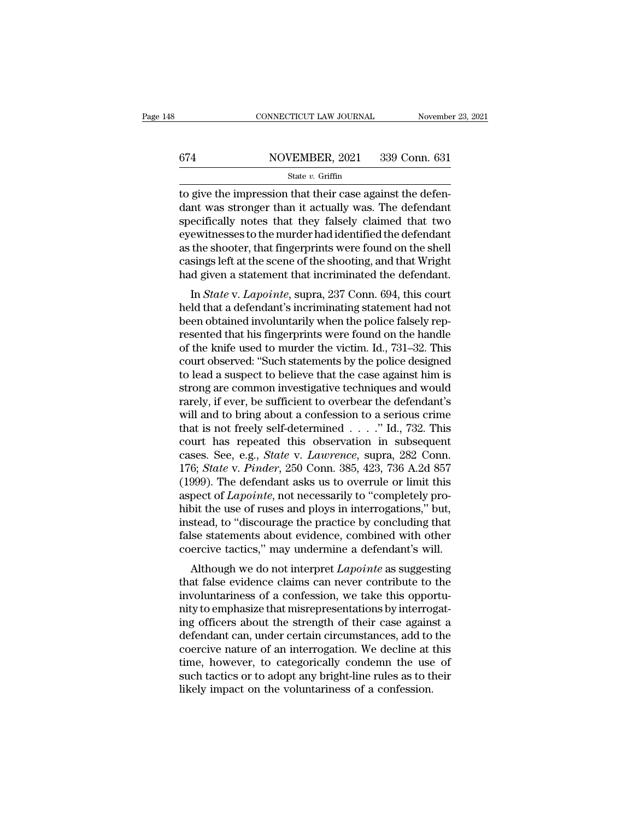# CONNECTICUT LAW JOURNAL November 23, 2021<br>674 NOVEMBER, 2021 339 Conn. 631<br>State v. Griffin

### State *v.* Griffin

CONNECTICUT LAW JOURNAL November<br>  $\frac{674}{\text{State } v. \text{ Griffith}}$  Conn. 631<br>  $\frac{631}{\text{State } v. \text{ Griffith}}$ <br>
to give the impression that their case against the defen-<br>
dant was stronger than it actually was. The defendant<br>
specifically note  $\begin{array}{r} \text{674} \\ \text{674} \\ \text{674} \\ \text{674} \\ \text{674} \\ \text{674} \\ \text{674} \\ \text{674} \\ \text{674} \\ \text{674} \\ \text{674} \\ \text{674} \\ \text{674} \\ \text{674} \\ \text{674} \\ \text{674} \\ \text{674} \\ \text{674} \\ \text{674} \\ \text{674} \\ \text{674} \\ \text{674} \\ \text{674} \\ \text{674} \\ \text{674} \\ \text{674} \\ \text{67$ specifically notes that their case against the defendant was stronger than it actually was. The defendant specifically notes that they falsely claimed that two eyewitnesses to the murder had identified the defendant as th 674 NOVEMBER, 2021 339 Conn. 631<br>
State v. Griffin<br>
to give the impression that their case against the defendant<br>
dant was stronger than it actually was. The defendant<br>
specifically notes that they falsely claimed that tw State v. Griffin<br>
as the shooter, Griffin<br>
to give the impression that their case against the defen-<br>
dant was stronger than it actually was. The defendant<br>
specifically notes that they falsely claimed that two<br>
eyewitnes state  $v$ . Griftin<br>to give the impression that their case against the defen-<br>dant was stronger than it actually was. The defendant<br>specifically notes that they falsely claimed that two<br>eyewitnesses to the murder had ident to give the impression that their case against the defendant was stronger than it actually was. The defendant specifically notes that they falsely claimed that two eyewitnesses to the murder had identified the defendant as In was stronger than it actually was. The defendant<br>ecifically notes that they falsely claimed that two<br>ewitnesses to the murder had identified the defendant<br>the shooter, that fingerprints were found on the shell<br>sings lef specifically notes that they faisely claimed that two<br>eyewitnesses to the murder had identified the defendant<br>as the shooter, that fingerprints were found on the shell<br>casings left at the scene of the shooting, and that Wr

beyewheresses to the intrider had definited the defendant<br>as the shooter, that fingerprints were found on the shell<br>casings left at the scene of the shooting, and that Wright<br>had given a statement that incriminated the def as the shooter, that imgerprints were found on the shear<br>casings left at the scene of the shooting, and that Wright<br>had given a statement that incriminated the defendant.<br>In *State* v. *Lapointe*, supra, 237 Conn. 694, thi casings iert at the scene of the shooting, and that wright<br>had given a statement that incriminated the defendant.<br>In *State* v. *Lapointe*, supra, 237 Conn. 694, this court<br>held that a defendant's incriminating statement In State v. Lapointe, supra, 237 Conn. 694, this court<br>held that a defendant's incriminating statement had not<br>been obtained involuntarily when the police falsely rep-<br>resented that his fingerprints were found on the handl In *State* v. *Lapointe*, supra, 237 Conn. 694, this court<br>held that a defendant's incriminating statement had not<br>been obtained involuntarily when the police falsely rep-<br>resented that his fingerprints were found on the h held that a defendant's incriminating statement had not<br>been obtained involuntarily when the police falsely rep-<br>resented that his fingerprints were found on the handle<br>of the knife used to murder the victim. Id., 731–32. been obtained involuntarily when the police falsely rep-<br>resented that his fingerprints were found on the handle<br>of the knife used to murder the victim. Id., 731–32. This<br>court observed: "Such statements by the police desi resented that his fingerprints were found on the handle<br>of the knife used to murder the victim. Id., 731–32. This<br>court observed: "Such statements by the police designed<br>to lead a suspect to believe that the case against h of the knife used to murder the victim. Id., 731–32. This<br>court observed: "Such statements by the police designed<br>to lead a suspect to believe that the case against him is<br>strong are common investigative techniques and wo court observed: "Such statements by the police designed<br>to lead a suspect to believe that the case against him is<br>strong are common investigative techniques and would<br>rarely, if ever, be sufficient to overbear the defenda to lead a suspect to believe that the case against him is<br>strong are common investigative techniques and would<br>rarely, if ever, be sufficient to overbear the defendant's<br>will and to bring about a confession to a serious cr strong are common investigative techniques and would<br>rarely, if ever, be sufficient to overbear the defendant's<br>will and to bring about a confession to a serious crime<br>that is not freely self-determined . . . . ." Id., 732 rarely, if ever, be sufficient to overbear the defendant's<br>will and to bring about a confession to a serious crime<br>that is not freely self-determined  $\ldots$ ." Id., 732. This<br>court has repeated this observation in subsequen will and to bring about a confession to a serious crime<br>that is not freely self-determined  $\ldots$ ." Id., 732. This<br>court has repeated this observation in subsequent<br>cases. See, e.g., *State* v. *Lawrence*, supra, 282 Conn. that is not freely self-determined  $\ldots$ ." Id., 732. This court has repeated this observation in subsequent cases. See, e.g., *State v. Lawrence*, supra, 282 Conn. 176; *State v. Pinder*, 250 Conn. 385, 423, 736 A.2d 857 court has repeated this observation in subsequent<br>cases. See, e.g., *State* v. *Lawrence*, supra, 282 Conn.<br>176; *State* v. *Pinder*, 250 Conn. 385, 423, 736 A.2d 857<br>(1999). The defendant asks us to overrule or limit this cases. See, e.g., *State* v. *Lawrence*, supra, 282 Conn.<br>176; *State* v. *Pinder*, 250 Conn. 385, 423, 736 A.2d 857<br>(1999). The defendant asks us to overrule or limit this<br>aspect of *Lapointe*, not necessarily to "complet 176; *State* v. *Pinder*, 250 Conn. 385, 423, 736 A.2d 857 (1999). The defendant asks us to overrule or limit this aspect of *Lapointe*, not necessarily to "completely prohibit the use of ruses and ploys in interrogations best of *Lapointe*, not necessarily to "completely pro-<br>bit the use of ruses and ploys in interrogations," but,<br>stead, to "discourage the practice by concluding that<br>lse statements about evidence, combined with other<br>erciv aspect of *Lapornie*, not necessarily to completely pro-<br>hibit the use of ruses and ploys in interrogations," but,<br>instead, to "discourage the practice by concluding that<br>false statements about evidence, combined with oth

include the value of ruses and ploys in interrogations, but,<br>instead, to "discourage the practice by concluding that<br>false statements about evidence, combined with other<br>coercive tactics," may undermine a defendant's will. Instead, to discourage the practice by concluding that<br>false statements about evidence, combined with other<br>coercive tactics," may undermine a defendant's will.<br>Although we do not interpret *Lapointe* as suggesting<br>that fa raise statements about evidence, combined with other<br>coercive tactics," may undermine a defendant's will.<br>Although we do not interpret *Lapointe* as suggesting<br>that false evidence claims can never contribute to the<br>involun coercive tactics, may underhane a defendant s win.<br>Although we do not interpret *Lapointe* as suggesting<br>that false evidence claims can never contribute to the<br>involuntariness of a confession, we take this opportu-<br>nity to Although we do not interpret *Lapointe* as suggesting<br>that false evidence claims can never contribute to the<br>involuntariness of a confession, we take this opportu-<br>nity to emphasize that misrepresentations by interrogat-<br> that false evidence claims can never contribute to the<br>involuntariness of a confession, we take this opportu-<br>nity to emphasize that misrepresentations by interrogat-<br>ing officers about the strength of their case against a involuntariness of a confession, we take this opportunity to emphasize that misrepresentations by interrogating officers about the strength of their case against a defendant can, under certain circumstances, add to the coe nity to emphasize that misrepresentations by interroging officers about the strength of their case agains defendant can, under certain circumstances, add to coercive nature of an interrogation. We decline at time, however,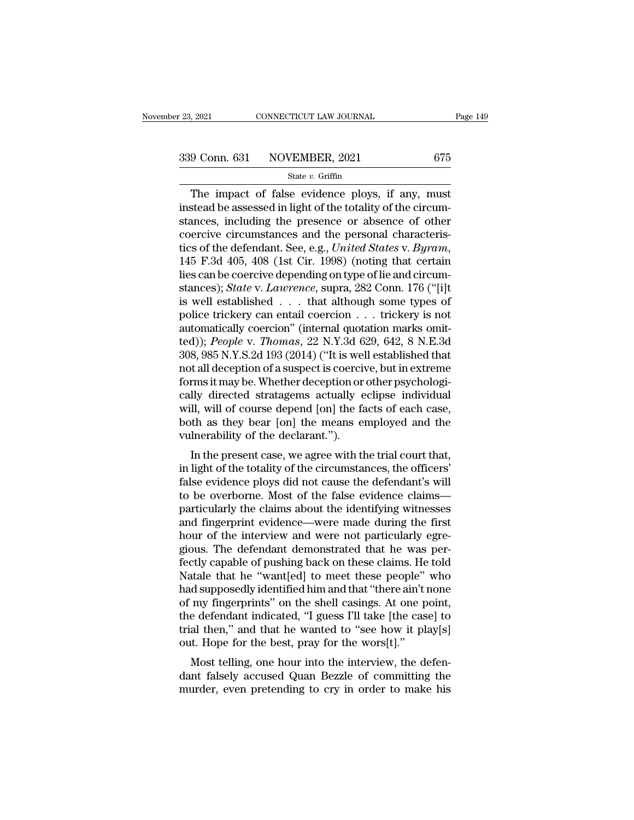$\frac{7021}{9 \text{ Conn. } 631}$  CONNECTICUT LAW JOURNAL Page 149<br>9 Conn. 631 NOVEMBER, 2021 675<br>State v. Griffin<br>The impact of false evidence ploys, if any, must<br>stead be assessed in light of the totality of the circum- $\begin{array}{r} \n 339 \text{ Conn.} \n 631 \quad \text{NOVEMBER, 2021} \n \text{State } v. \n \text{Griffin} \n \end{array}$ The impact of false evidence ploys, if any, must<br>
instead be assessed in light of the totality of the circum-<br>
stances, including the presence or absen 339 Conn. 631 NOVEMBER, 2021 675<br>
State v. Griffin<br>
The impact of false evidence ploys, if any, must<br>
instead be assessed in light of the totality of the circum-<br>
stances, including the presence or absence of other<br>
coerc 339 Conn. 631 NOVEMBER, 2021 675<br>
State v. Griffin<br>
The impact of false evidence ploys, if any, must<br>
instead be assessed in light of the totality of the circum-<br>
stances, including the presence or absence of other<br>
coerc State v. Griffin<br>
The impact of false evidence ploys, if any, must<br>
instead be assessed in light of the totality of the circum-<br>
stances, including the presence or absence of other<br>
coercive circumstances and the personal The impact of false evidence ploys, if any, must<br>instead be assessed in light of the totality of the circum-<br>stances, including the presence or absence of other<br>coercive circumstances and the personal characteris-<br>tics of instead be assessed in light of the totality of the circum-<br>stances, including the presence or absence of other<br>coercive circumstances and the personal characteris-<br>tics of the defendant. See, e.g., *United States* v. *Byr* stances, including the presence or absence of other<br>coercive circumstances and the personal characteris-<br>tics of the defendant. See, e.g., *United States v. Byram*,<br>145 F.3d 405, 408 (1st Cir. 1998) (noting that certain<br>l coercive circumstances and the personal characteristics of the defendant. See, e.g., *United States v. Byram*, 145 F.3d 405, 408 (1st Cir. 1998) (noting that certain lies can be coercive depending on type of lie and circu tics of the defendant. See, e.g., *United States v. Byram*, 145 F.3d 405, 408 (1st Cir. 1998) (noting that certain lies can be coercive depending on type of lie and circumstances); *State v. Lawrence*, supra, 282 Conn. 17 145 F.3d 405, 408 (1st Cir. 1998) (noting that certain<br>lies can be coercive depending on type of lie and circum-<br>stances); *State* v. *Lawrence*, supra, 282 Conn. 176 ("[i]t<br>is well established . . . that although some typ lies can be coercive depending on type of lie and circum-<br>stances); *State* v. *Lawrence*, supra, 282 Conn. 176 ("[i]t<br>is well established . . . that although some types of<br>police trickery can entail coercion  $\ldots$  tricke stances); *State* v. *Lawrence*, supra, 282 Conn. 176 ("[i]t<br>is well established . . . . that although some types of<br>police trickery can entail coercion . . . trickery is not<br>automatically coercion" (internal quotation ma is well established . . . that although some types of<br>police trickery can entail coercion . . . trickery is not<br>automatically coercion" (internal quotation marks omit-<br>ted)); *People* v. *Thomas*, 22 N.Y.3d 629, 642, 8 N. police trickery can entail coercion . . . trickery is not<br>automatically coercion" (internal quotation marks omit-<br>ted)); *People* v. *Thomas*, 22 N.Y.3d 629, 642, 8 N.E.3d<br>308, 985 N.Y.S.2d 193 (2014) ("It is well establis automatically coercion" (internal quotation marks omit-<br>ted)); *People v. Thomas*, 22 N.Y.3d 629, 642, 8 N.E.3d<br>308, 985 N.Y.S.2d 193 (2014) ("It is well established that<br>not all deception of a suspect is coercive, but in ted)); *People v. Thomas*, 22 N.Y.3d 629, 642, 8 N.E.3d<br>308, 985 N.Y.S.2d 193 (2014) ("It is well established that<br>not all deception of a suspect is coercive, but in extreme<br>forms it may be. Whether deception or other psyc 308, 985 N.Y.S.2d 193 (2014) ("It is well<br>not all deception of a suspect is coercive<br>forms it may be. Whether deception or<br>cally directed stratagems actually e<br>will, will of course depend [on] the fa<br>both as they bear [on] It an deception of a suspect is coercive, but in extreme<br>
rms it may be. Whether deception or other psychologi-<br>
Ily directed stratagems actually eclipse individual<br>
Il, will of course depend [on] the facts of each case,<br> Forms it may be. Whether deception of other psychologically directed stratagems actually eclipse individual<br>will, will of course depend [on] the facts of each case,<br>both as they bear [on] the means employed and the<br>vulnera

cany unected stratagents actually eclipse individual<br>will, will of course depend [on] the facts of each case,<br>both as they bear [on] the means employed and the<br>vulnerability of the declarant.").<br>In the present case, we agr win, win of course depend [off] the facts of each case,<br>both as they bear [on] the means employed and the<br>vulnerability of the declarant.").<br>In the present case, we agree with the trial court that,<br>in light of the totality pour as they bear [on] the means employed and the<br>vulnerability of the declarant.").<br>In the present case, we agree with the trial court that,<br>in light of the totality of the circumstances, the officers'<br>false evidence ploy vulnerability of the declarant. ).<br>
In the present case, we agree with the trial court that,<br>
in light of the totality of the circumstances, the officers'<br>
false evidence ploys did not cause the defendant's will<br>
to be ove In the present case, we agree with the trial court that,<br>in light of the totality of the circumstances, the officers'<br>false evidence ploys did not cause the defendant's will<br>to be overborne. Most of the false evidence clai in light of the totality of the circumstances, the officers'<br>false evidence ploys did not cause the defendant's will<br>to be overborne. Most of the false evidence claims<br>particularly the claims about the identifying witnesse false evidence ploys did not cause the defendant's will<br>to be overborne. Most of the false evidence claims—<br>particularly the claims about the identifying witnesses<br>and fingerprint evidence—were made during the first<br>hour o to be overborne. Most of the false evidence claims—<br>particularly the claims about the identifying witnesses<br>and fingerprint evidence—were made during the first<br>hour of the interview and were not particularly egre-<br>gious. T particularly the claims about the identifying witnesses<br>and fingerprint evidence—were made during the first<br>hour of the interview and were not particularly egre-<br>gious. The defendant demonstrated that he was per-<br>fectly ca and fingerprint evidence—were made during the first<br>hour of the interview and were not particularly egregious. The defendant demonstrated that he was per-<br>fectly capable of pushing back on these claims. He told<br>Natale that hour of the interview and were not particularly egregious. The defendant demonstrated that he was perfectly capable of pushing back on these claims. He told Natale that he "want[ed] to meet these people" who had supposedly gious. The defendant demonstrated that he was perfectly capable of pushing back on these claims. He told Natale that he "want[ed] to meet these people" who had supposedly identified him and that "there ain't none of my fin fectly capable of pushing back on these claims. He<br>Natale that he "want[ed] to meet these people"<br>had supposedly identified him and that "there ain't i<br>of my fingerprints" on the shell casings. At one p<br>the defendant indic Most telling, one hour into the interview, the defendant indicated, "I guess I'll take [the case] to al then," and that he wanted to "see how it play[s] it. Hope for the best, pray for the wors[t]." Most telling, one hour rad supposeury identified film and that there and those<br>of my fingerprints" on the shell casings. At one point,<br>the defendant indicated, "I guess I'll take [the case] to<br>trial then," and that he wanted to "see how it play[ of highlightniks on the shell casings. At one point, the defendant indicated, "I guess I'll take [the case] to trial then," and that he wanted to "see how it play[s] out. Hope for the best, pray for the wors[t]." Most tell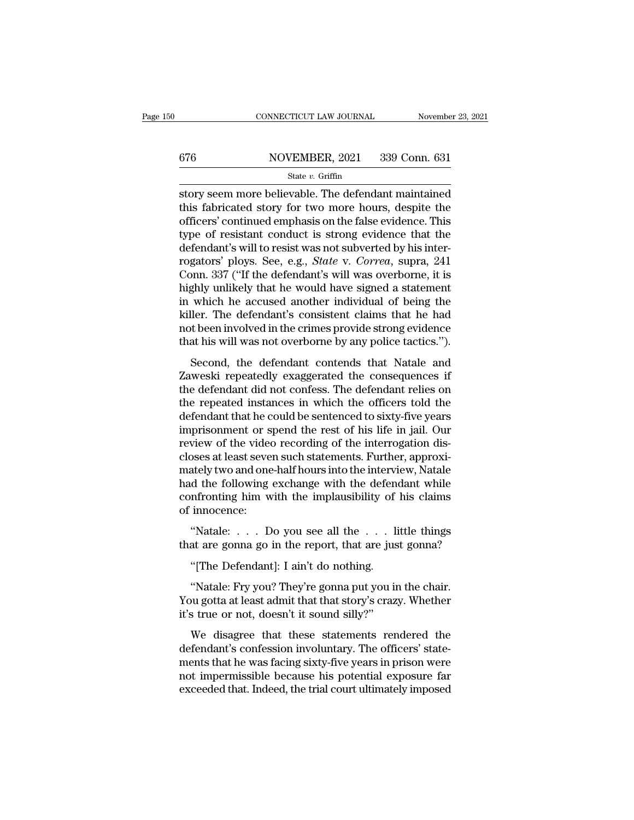# CONNECTICUT LAW JOURNAL November 23, 2021<br>676 NOVEMBER, 2021 339 Conn. 631<br>State v. Griffin

### State *v.* Griffin

 $\begin{tabular}{ll} \multicolumn{2}{l}{{\small \textbf{COMRECTICUT LAW JOURNAL}}} & \multicolumn{2}{l}{\small \textbf{November 23, 2021}}\\ \hline & \multicolumn{2}{l}{\small \textbf{S14}} & \multicolumn{2}{l}{\small \textbf{S39 Conn. 631}}\\ & \multicolumn{2}{l}{\small \textbf{State $v$. Griffiths} }\\ \hline & \multicolumn{2}{l}{\small \textbf{Store} } \textbf{where} \textbf{ believeds} & \multicolumn{2}{l}{\small \textbf{B1}}\\ \hline & \multicolumn{2}{l}{\small \textbf{Store} } \textbf{where$  $\begin{array}{r} \hline \text{676} \text{} \text{NOVEMBER, 2021} \text{~339 Conn. 631} \text{State } v. \text{ Griffiths} \end{array}$ <br>
story seem more believable. The defendant maintained<br>
this fabricated story for two more hours, despite the<br>
officers' continued emphasis on the false  $\frac{\text{676}}{\text{State } v. \text{ GriffithBER, 2021}}$  339 Conn. 631<br>  $\frac{\text{State } v. \text{ Griffith}}{\text{store}}$ <br>
story seem more believable. The defendant maintained<br>
this fabricated story for two more hours, despite the<br>
officers' continued emphasis on the false  $\frac{\text{S31}}{\text{S1}}$ <br>  $\frac{\text{State } v. \text{ Griffith}}{\text{String}}$ <br>  $\frac{\text{State } v. \text{ Griffith}}{\text{String}}$ <br>  $\frac{\text{State } v. \text{ Griffith}}{\text{String}}$ <br>  $\frac{\text{State } v}{\text{String}}$  and  $\frac{\text{Right}}{\text{String}}$ <br>  $\frac{\text{Right}}{\text{String}}$  and  $\frac{\text{Right}}{\text{String}}$  and  $\frac{\text{Right}}{\text{String}}$ <br>  $\frac{\text{Right}}{\text{String}}$  and  $\frac{\text{Right}}{\text{String}}$  and  $\frac$ State v. Griffin<br>State v. Griffin<br>Story seem more believable. The defendant maintained<br>this fabricated story for two more hours, despite the<br>officers' continued emphasis on the false evidence. This<br>type of resistant condu state *v*. Griffin<br>story seem more believable. The defendant maintained<br>this fabricated story for two more hours, despite the<br>officers' continued emphasis on the false evidence. This<br>type of resistant conduct is strong evi story seem more believable. The defendant maintained<br>this fabricated story for two more hours, despite the<br>officers' continued emphasis on the false evidence. This<br>type of resistant conduct is strong evidence that the<br>defe this fabricated story for two more hours, despite the officers' continued emphasis on the false evidence. This type of resistant conduct is strong evidence that the defendant's will to resist was not subverted by his inter officers' continued emphasis on the false evidence. This<br>type of resistant conduct is strong evidence that the<br>defendant's will to resist was not subverted by his inter-<br>rogators' ploys. See, e.g., *State* v. *Correa*, sup type of resistant conduct is strong evidence that the<br>defendant's will to resist was not subverted by his inter-<br>rogators' ploys. See, e.g., *State* v. *Correa*, supra, 241<br>Conn. 337 ("If the defendant's will was overborne defendant's will to resist was not subverted by his inter-<br>rogators' ploys. See, e.g., *State* v. *Correa*, supra, 241<br>Conn. 337 ("If the defendant's will was overborne, it is<br>highly unlikely that he would have signed a st rogators' ploys. See, e.g., *State* v. *Correa*, supra, 241<br>Conn. 337 ("If the defendant's will was overborne, it is<br>highly unlikely that he would have signed a statement<br>in which he accused another individual of being the Second, the defendant solution was overborine, and<br>sphly unlikely that he would have signed a statement<br>which he accused another individual of being the<br>ller. The defendant's consistent claims that he had<br>t been involved i In which he accused another individual of being the<br>killer. The defendant's consistent claims that he had<br>not been involved in the crimes provide strong evidence<br>that his will was not overborne by any police tactics.").<br>Se

In which he accused another individual of being the<br>killer. The defendant's consistent claims that he had<br>not been involved in the crimes provide strong evidence<br>that his will was not overborne by any police tactics.").<br>Se Final Sconsistent claims that he had<br>not been involved in the crimes provide strong evidence<br>that his will was not overborne by any police tactics.").<br>Second, the defendant contends that Natale and<br>Zaweski repeatedly exagg definitively and the critics provide strong evidence that his will was not overborne by any police tactics.").<br>Second, the defendant contends that Natale and Zaweski repeatedly exaggerated the consequences if<br>the defendant Second, the defendant contends that Natale and<br>Zaweski repeatedly exaggerated the consequences if<br>the defendant did not confess. The defendant relies on<br>the repeated instances in which the officers told the<br>defendant that Second, the defendant contends that Natale and<br>Zaweski repeatedly exaggerated the consequences if<br>the defendant did not confess. The defendant relies on<br>the repeated instances in which the officers told the<br>defendant that Zaweski repeatedly exaggerated the consequences if<br>the defendant did not confess. The defendant relies on<br>the repeated instances in which the officers told the<br>defendant that he could be sentenced to sixty-five years<br>impri the defendant did not confess. The defendant relies on<br>the repeated instances in which the officers told the<br>defendant that he could be sentenced to sixty-five years<br>imprisonment or spend the rest of his life in jail. Our<br> the repeated instances in which the officers told the<br>defendant that he could be sentenced to sixty-five years<br>imprisonment or spend the rest of his life in jail. Our<br>review of the video recording of the interrogation disdefendant that he could be sentenced to sixty-five years<br>imprisonment or spend the rest of his life in jail. Our<br>review of the video recording of the interrogation dis-<br>closes at least seven such statements. Further, appro imprisonment or s<br>review of the video<br>closes at least seve<br>mately two and one<br>had the following<br>confronting him w<br>of innocence:<br>"Natale: . . . . D New of the video recording of the interrogation disposes at least seven such statements. Further, approxiately two and one-half hours into the interview, Natale d the following exchange with the defendant while infronting that are gonna go in the report, that are just gonna?<br>
"The Defendant while confronting him with the implausibility of his claims<br>
of innocence:<br>
"Natale: . . . Do you see all the . . . little things<br>
that are gonna go in d the following exchange with the defendent<br>
infronting him with the implausibility of<br>
innocence:<br>
"Natale: . . . Do you see all the . . . li<br>
at are gonna go in the report, that are jus<br>
"[The Defendant]: I ain't do noth

innocence:<br>
"Natale: . . . Do you see all the . . . little things<br>
at are gonna go in the report, that are just gonna?<br>
"[The Defendant]: I ain't do nothing.<br>
"Natale: Fry you? They're gonna put you in the chair.<br>
bu gott "Natale: . . . Do you see all the . . . little things<br>that are gonna go in the report, that are just gonna?<br>"[The Defendant]: I ain't do nothing.<br>"Natale: Fry you? They're gonna put you in the chair.<br>You gotta at least adm "Natale: . . . Do you see all the . . . l<br>that are gonna go in the report, that are jus<br>"[The Defendant]: I ain't do nothing.<br>"Natale: Fry you? They're gonna put you is<br>You gotta at least admit that that story's craze<br>it's "[The Defendant]: I ain't do nothing.<br>"Natale: Fry you? They're gonna put you in the chair.<br>"Natale: Fry you? They're gonna put you in the chair.<br>"It is statements rendered the statements" we disagree that these statement

"[The Defendant]: I ain't do nothing.<br>"Natale: Fry you? They're gonna put you in the chair.<br>You gotta at least admit that that story's crazy. Whether<br>it's true or not, doesn't it sound silly?"<br>We disagree that these statem "Natale: Fry you? They're gonna put you in the chair.<br>You gotta at least admit that that story's crazy. Whether<br>it's true or not, doesn't it sound silly?"<br>We disagree that these statements rendered the<br>defendant's confessi nature. They regonal pat you in the chain.<br>You gotta at least admit that that story's crazy. Whether<br>it's true or not, doesn't it sound silly?"<br>We disagree that these statements rendered the<br>defendant's confession involunt rod gold at reast dank and state is only settay. Whence it's true or not, doesn't it sound silly?"<br>We disagree that these statements rendered the defendant's confession involuntary. The officers' statements that he was fac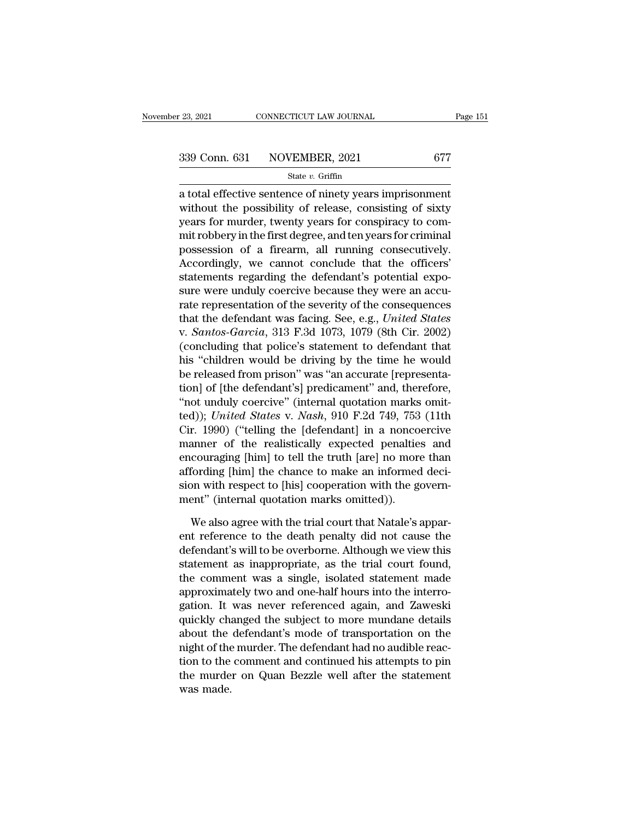<sup>23, 2021</sup> CONNECTICUT LAW JOURNAL Page 15<br>  $\frac{339 \text{ Conn. } 631 \text{ NOVEMBER, } 2021}{}$  677<br>
State v. Griffin<br>
a total effective sentence of ninety years imprisonment<br>
without the possibility of release, consisting of sixty 339 Conn. 631 NOVEMBER, 2021 677<br>
State v. Griffin<br>
a total effective sentence of ninety years imprisonment<br>
without the possibility of release, consisting of sixty<br>
years for murder, twenty years for conspiracy to com-<br> 339 Conn. 631 NOVEMBER, 2021 677<br>
State v. Griffin<br>
a total effective sentence of ninety years imprisonment<br>
without the possibility of release, consisting of sixty<br>
years for murder, twenty years for conspiracy to com-<br> 339 Conn. 631 NOVEMBER, 2021 677<br>
state v. Griffin<br>
a total effective sentence of ninety years imprisonment<br>
without the possibility of release, consisting of sixty<br>
years for murder, twenty years for conspiracy to com-<br> State v. Griffin<br>
a total effective sentence of ninety years imprisonment<br>
without the possibility of release, consisting of sixty<br>
years for murder, twenty years for conspiracy to com-<br>
mit robbery in the first degree, a  $\frac{1}{2}$  a total effective sentence of ninety years imprisonment<br>without the possibility of release, consisting of sixty<br>years for murder, twenty years for conspiracy to com-<br>mit robbery in the first degree, and ten year a total effective sentence of ninety years imprisonment<br>without the possibility of release, consisting of sixty<br>years for murder, twenty years for conspiracy to com-<br>mit robbery in the first degree, and ten years for crimi without the possibility of release, consisting of sixty<br>years for murder, twenty years for conspiracy to com-<br>mit robbery in the first degree, and ten years for criminal<br>possession of a firearm, all running consecutively.<br> years for murder, twenty years for conspiracy to commit robbery in the first degree, and ten years for criminal<br>possession of a firearm, all running consecutively.<br>Accordingly, we cannot conclude that the officers'<br>stateme mit robbery in the first degree, and ten years for criminal<br>possession of a firearm, all running consecutively.<br>Accordingly, we cannot conclude that the officers'<br>statements regarding the defendant's potential expo-<br>sure w possession of a firearm, all running consecutively.<br>Accordingly, we cannot conclude that the officers'<br>statements regarding the defendant's potential expo-<br>sure were unduly coercive because they were an accu-<br>rate represen Accordingly, we cannot conclude that the officers'<br>statements regarding the defendant's potential expo-<br>sure were unduly coercive because they were an accu-<br>rate representation of the severity of the consequences<br>that the statements regarding the defendant's potential exposure were unduly coercive because they were an accurate representation of the severity of the consequences that the defendant was facing. See, e.g., *United States* v. *Sa* sure were unduly coercive because they were an accurate representation of the severity of the consequences<br>that the defendant was facing. See, e.g., *United States*<br>v. *Santos-Garcia*, 313 F.3d 1073, 1079 (8th Cir. 2002)<br>( rate representation of the severity of the consequences<br>that the defendant was facing. See, e.g., *United States*<br>v. *Santos-Garcia*, 313 F.3d 1073, 1079 (8th Cir. 2002)<br>(concluding that police's statement to defendant th that the defendant was facing. See, e.g., *United States*<br>v. *Santos-Garcia*, 313 F.3d 1073, 1079 (8th Cir. 2002)<br>(concluding that police's statement to defendant that<br>his "children would be driving by the time he would<br>b v. *Santos-Garcia*, 313 F.3d 1073, 1079 (8th Cir. 2002)<br>(concluding that police's statement to defendant that<br>his "children would be driving by the time he would<br>be released from prison" was "an accurate [representa-<br>tion] (concluding that police's statement to defendant that<br>his "children would be driving by the time he would<br>be released from prison" was "an accurate [representa-<br>tion] of [the defendant's] predicament" and, therefore,<br>"not his "children would be driving by the time he would<br>be released from prison" was "an accurate [representa-<br>tion] of [the defendant's] predicament" and, therefore,<br>"not unduly coercive" (internal quotation marks omit-<br>ted)) be released from prison" was "an accurate [representation] of [the defendant's] predicament" and, therefore, "not unduly coercive" (internal quotation marks omitted)); *United States v. Nash*, 910 F.2d 749, 753 (11th Cir. tion] of [the defendant's] predicament" and, therefore,<br>
"not unduly coercive" (internal quotation marks omit-<br>
ted)); *United States* v. *Nash*, 910 F.2d 749, 753 (11th<br>
Cir. 1990) ("telling the [defendant] in a noncoerc "not unduly coercive" (internal quotation marks omit-<br>ted)); *United States* v. *Nash*, 910 F.2d 749, 753 (11th<br>Cir. 1990) ("telling the [defendant] in a noncoercive<br>manner of the realistically expected penalties and<br>encou ted)); United States v. Nash, 910 F.2d 749, 753<br>Cir. 1990) ("telling the [defendant] in a nonco<br>manner of the realistically expected penaltie<br>encouraging [him] to tell the truth [are] no more<br>affording [him] the chance to measure of the realistically expected penalties and<br>couraging [him] to tell the truth [are] no more than<br>fording [him] the chance to make an informed deci-<br>on with respect to [his] cooperation with the govern-<br>ent" (intern encouraging [him] to tell the truth [are] no more than<br>affording [him] the chance to make an informed deci-<br>sion with respect to [his] cooperation with the govern-<br>ment" (internal quotation marks omitted)).<br>We also agree w

affording [him] the chance to make an informed decision with respect to [his] cooperation with the government" (internal quotation marks omitted)).<br>We also agree with the trial court that Natale's apparent reference to the sion with respect to [his] cooperation with the government" (internal quotation marks omitted)).<br>We also agree with the trial court that Natale's apparent reference to the death penalty did not cause the<br>defendant's will t ment" (internal quotation marks omitted)).<br>We also agree with the trial court that Natale's apparent reference to the death penalty did not cause the<br>defendant's will to be overborne. Although we view this<br>statement as ina We also agree with the trial court that Natale's apparent reference to the death penalty did not cause the defendant's will to be overborne. Although we view this statement as inappropriate, as the trial court found, the c We also agree with the trial court that Natale's apparent reference to the death penalty did not cause the defendant's will to be overborne. Although we view this statement as inappropriate, as the trial court found, the c ent reference to the death penalty did not cause the<br>defendant's will to be overborne. Although we view this<br>statement as inappropriate, as the trial court found,<br>the comment was a single, isolated statement made<br>approxima defendant's will to be overborne. Although we view this<br>statement as inappropriate, as the trial court found,<br>the comment was a single, isolated statement made<br>approximately two and one-half hours into the interro-<br>gation. statement as inappropriate, as the trial court found,<br>the comment was a single, isolated statement made<br>approximately two and one-half hours into the interro-<br>gation. It was never referenced again, and Zaweski<br>quickly chan the comment was a single, isolated statement made<br>approximately two and one-half hours into the interro-<br>gation. It was never referenced again, and Zaweski<br>quickly changed the subject to more mundane details<br>about the defe approximately two and one-half hours into the interrogation. It was never referenced again, and Zaweski quickly changed the subject to more mundane details about the defendant's mode of transportation on the night of the m gation. It<br>quickly cha<br>about the<br>night of the<br>tion to the<br>the murde<br>was made.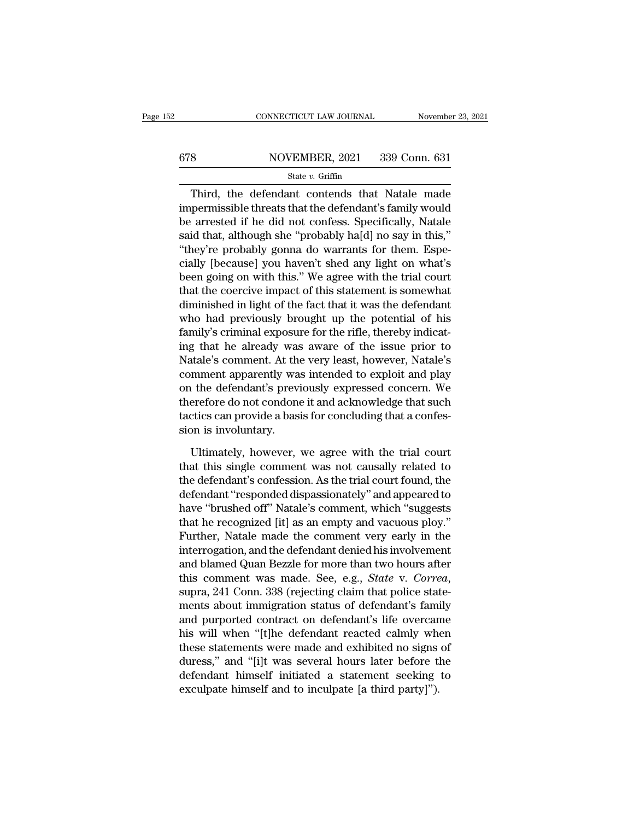# CONNECTICUT LAW JOURNAL November 23, 2021<br>678 NOVEMBER, 2021 339 Conn. 631<br>State v. Griffin

State *v.* Griffin

CONNECTICUT LAW JOURNAL November 23, 2021<br>
State v. Griffin<br>
State v. Griffin<br>
Third, the defendant contends that Natale made<br>
permissible threats that the defendant's family would<br>
ermosted if he did not confoce. Specific for the defendant of the defendant of the defendant of the defendant of the defendant's family would be arrested if he did not confess. Specifically, Natale and the defendant's family would be arrested if he did not confe  $\begin{array}{r} \text{678} & \text{NOVEMBER, 2021} & \text{339 Conn. 631} \\ \text{State } v. \text{ Griffith} \end{array}$ <br>
Third, the defendant contends that Natale made<br>
impermissible threats that the defendant's family would<br>
be arrested if he did not confess. Specifically, Na state v. Griffin<br>
State v. Griffin<br>
State v. Griffin<br>
Third, the defendant contends that Natale made<br>
impermissible threats that the defendant's family would<br>
be arrested if he did not confess. Specifically, Natale<br>
said State v. Griffin<br>
Third, the defendant contends that Natale made<br>
impermissible threats that the defendant's family would<br>
be arrested if he did not confess. Specifically, Natale<br>
said that, although she "probably ha[d] n Third, the defendant contends that Natale made<br>impermissible threats that the defendant's family would<br>be arrested if he did not confess. Specifically, Natale<br>said that, although she "probably ha[d] no say in this,"<br>"they Third, the defendant contends that Natale made<br>impermissible threats that the defendant's family would<br>be arrested if he did not confess. Specifically, Natale<br>said that, although she "probably ha[d] no say in this,"<br>"they' impermissible threats that the defendant's family would<br>be arrested if he did not confess. Specifically, Natale<br>said that, although she "probably ha[d] no say in this,"<br>"they're probably gonna do warrants for them. Espe-<br>c be arrested if he did not confess. Specifically, Natale<br>said that, although she "probably ha[d] no say in this,"<br>"they're probably gonna do warrants for them. Espe-<br>cially [because] you haven't shed any light on what's<br>bee said that, although she "probably ha[d] no say in this,"<br>"they're probably gonna do warrants for them. Espe-<br>cially [because] you haven't shed any light on what's<br>been going on with this." We agree with the trial court<br>tha "they're probably gonna do warrants for them. Espe-<br>cially [because] you haven't shed any light on what's<br>been going on with this." We agree with the trial court<br>that the coercive impact of this statement is somewhat<br>dimin cially [because] you haven't shed any light on what's<br>been going on with this." We agree with the trial court<br>that the coercive impact of this statement is somewhat<br>diminished in light of the fact that it was the defendant been going on with this." We agree with the trial court<br>that the coercive impact of this statement is somewhat<br>diminished in light of the fact that it was the defendant<br>who had previously brought up the potential of his<br>fa that the coercive impact of this statement is somewhat<br>diminished in light of the fact that it was the defendant<br>who had previously brought up the potential of his<br>family's criminal exposure for the rifle, thereby indicatdiminished in light of the fact that it was the defendant<br>who had previously brought up the potential of his<br>family's criminal exposure for the rifle, thereby indicat-<br>ing that he already was aware of the issue prior to<br>Na who had previously brought up the potential of his<br>family's criminal exposure for the rifle, thereby indicat-<br>ing that he already was aware of the issue prior to<br>Natale's comment. At the very least, however, Natale's<br>comme family's criminal exposure for the rifle, thereby indicating that he already was aware of the issue prior to Natale's comment. At the very least, however, Natale's comment apparently was intended to exploit and play on the ing that he already was<br>Natale's comment. At the<br>comment apparently was<br>on the defendant's previ<br>therefore do not condone<br>tactics can provide a basi<br>sion is involuntary.<br>Ultimately, however, mment apparently was intended to exploit and play<br>
i the defendant's previously expressed concern. We<br>
erefore do not condone it and acknowledge that such<br>
ctics can provide a basis for concluding that a confes-<br>
on is inv on the defendant's previously expressed concern. We<br>therefore do not condone it and acknowledge that such<br>tactics can provide a basis for concluding that a confes-<br>sion is involuntary.<br>Ultimately, however, we agree with th

therefore do not condone it and acknowledge that such<br>tactics can provide a basis for concluding that a confession is involuntary.<br>Ultimately, however, we agree with the trial court<br>that this single comment was not causall tactics can provide a basis for concluding that a confes-<br>sion is involuntary.<br>Ultimately, however, we agree with the trial court<br>that this single comment was not causally related to<br>the defendant's confession. As the tria sion is involuntary.<br>
Ultimately, however, we agree with the trial court<br>
that this single comment was not causally related to<br>
the defendant's confession. As the trial court found, the<br>
defendant "responded dispassionatel Ultimately, however, we agree with the trial court<br>that this single comment was not causally related to<br>the defendant's confession. As the trial court found, the<br>defendant "responded dispassionately" and appeared to<br>have " Ultimately, however, we agree with the trial court<br>that this single comment was not causally related to<br>the defendant's confession. As the trial court found, the<br>defendant "responded dispassionately" and appeared to<br>have " that this single comment was not causally related to<br>the defendant's confession. As the trial court found, the<br>defendant "responded dispassionately" and appeared to<br>have "brushed off" Natale's comment, which "suggests<br>that the defendant's confession. As the trial court found, the<br>defendant "responded dispassionately" and appeared to<br>have "brushed off" Natale's comment, which "suggests<br>that he recognized [it] as an empty and vacuous ploy."<br>Fu defendant "responded dispassionately" and appeared to<br>have "brushed off" Natale's comment, which "suggests<br>that he recognized [it] as an empty and vacuous ploy."<br>Further, Natale made the comment very early in the<br>interroga that he recognized [it] as an empty and vacuous ploy."<br>Further, Natale made the comment very early in the<br>interrogation, and the defendant denied his involvement<br>and blamed Quan Bezzle for more than two hours after<br>this co Further, Natale made the comment very early in the<br>interrogation, and the defendant denied his involvement<br>and blamed Quan Bezzle for more than two hours after<br>this comment was made. See, e.g., *State v. Correa*,<br>supra, 24 interrogation, and the defendant denied his involvement<br>and blamed Quan Bezzle for more than two hours after<br>this comment was made. See, e.g., *State v. Correa*,<br>supra, 241 Conn. 338 (rejecting claim that police state-<br>men and blamed Quan Bezzle for more than two hours after<br>this comment was made. See, e.g., *State v. Correa*,<br>supra, 241 Conn. 338 (rejecting claim that police state-<br>ments about immigration status of defendant's family<br>and pu this comment was made. See, e.g., *State v. Correa*,<br>supra, 241 Conn. 338 (rejecting claim that police state-<br>ments about immigration status of defendant's family<br>and purported contract on defendant's life overcame<br>his wil supra, 241 Conn. 338 (rejecting claim that police statements about immigration status of defendant's family and purported contract on defendant's life overcame his will when "[t]he defendant reacted calmly when these state ments about immigration status of defendant's family and purported contract on defendant's life overcan<br>his will when "[t]he defendant reacted calmly whe<br>these statements were made and exhibited no signs<br>duress," and "[i]t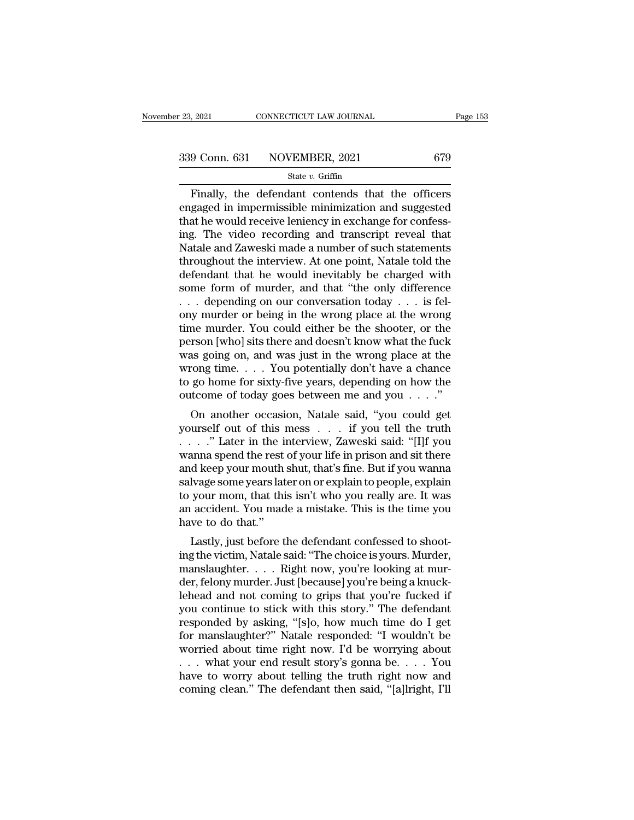Finally, the defendant contends that the officers<br>gaged in impermissible minimization and suggested<br>of the would require longing in exchange for confossial the would require longing in exchange for confossion and the woul 339 Conn. 631 NOVEMBER, 2021 679<br>
State v. Griffin<br>
Finally, the defendant contends that the officers<br>
engaged in impermissible minimization and suggested<br>
that he would receive leniency in exchange for confess-<br>
ing The 339 Conn. 631 NOVEMBER, 2021 679<br>
State v. Griffin<br>
Finally, the defendant contends that the officers<br>
engaged in impermissible minimization and suggested<br>
that he would receive leniency in exchange for confess-<br>
ing. The 339 Conn. 631 NOVEMBER, 2021 679<br>
State v. Griffin<br>
Finally, the defendant contends that the officers<br>
engaged in impermissible minimization and suggested<br>
that he would receive leniency in exchange for confess-<br>
ing. The State v. Griffin<br>
State v. Griffin<br>
Finally, the defendant contends that the officers<br>
engaged in impermissible minimization and suggested<br>
that he would receive leniency in exchange for confess-<br>
ing. The video recording state  $v$ . Griffin<br>
Finally, the defendant contends that the officers<br>
engaged in impermissible minimization and suggested<br>
that he would receive leniency in exchange for confess-<br>
ing. The video recording and transcript Finally, the defendant contends that the officers<br>engaged in impermissible minimization and suggested<br>that he would receive leniency in exchange for confess-<br>ing. The video recording and transcript reveal that<br>Natale and Z engaged in impermissible minimization and suggested<br>that he would receive leniency in exchange for confessing. The video recording and transcript reveal that<br>Natale and Zaweski made a number of such statements<br>throughout t that he would receive leniency in exchange for confessing. The video recording and transcript reveal that Natale and Zaweski made a number of such statements throughout the interview. At one point, Natale told the defenda ing. The video recording and transcript reveal that<br>Natale and Zaweski made a number of such statements<br>throughout the interview. At one point, Natale told the<br>defendant that he would inevitably be charged with<br>some form Natale and Zaweski made a number of such statements<br>throughout the interview. At one point, Natale told the<br>defendant that he would inevitably be charged with<br>some form of murder, and that "the only difference<br> $\ldots$  depen throughout the interview. At one point, Natale told the<br>defendant that he would inevitably be charged with<br>some form of murder, and that "the only difference<br> $\ldots$  depending on our conversation today  $\ldots$  is fel-<br>ony mur defendant that he would inevitably be charged with<br>some form of murder, and that "the only difference<br>... depending on our conversation today ... is fel-<br>ony murder or being in the wrong place at the wrong<br>time murder. You some form of murder, and that "the only difference<br>
... depending on our conversation today ... is fel-<br>
ony murder or being in the wrong place at the wrong<br>
time murder. You could either be the shooter, or the<br>
person [w ... depending on our conversation today ... is fel-<br>ony murder or being in the wrong place at the wrong<br>time murder. You could either be the shooter, or the<br>person [who] sits there and doesn't know what the fuck<br>was going ony murder or being in the wrong place at the wrong<br>time murder. You could either be the shooter, or the<br>person [who] sits there and doesn't know what the fuck<br>was going on, and was just in the wrong place at the<br>wrong ti The muder. For could enter be the shooter, of the<br>rson [who] sits there and doesn't know what the fuck<br>as going on, and was just in the wrong place at the<br>cong time. . . . You potentially don't have a chance<br>go home for s person [who] sits there and doesn't know what the rick<br>was going on, and was just in the wrong place at the<br>wrong time.... You potentially don't have a chance<br>to go home for sixty-five years, depending on how the<br>outcome o

was going on, and was just in the wrong place at the<br>wrong time.... You potentially don't have a chance<br>to go home for sixty-five years, depending on how the<br>outcome of today goes between me and you ...."<br>On another occas wrong time.  $\cdot \cdot \cdot$  Fou potentially don't have a chalce<br>to go home for sixty-five years, depending on how the<br>outcome of today goes between me and you  $\cdot \cdot \cdot$ ."<br>On another occasion, Natale said, "you could get<br>yourself and keep your mouth shut, that's fine. But if you wanned shall want as a shutter of this mess  $\ldots$  if you could get yourself out of this mess  $\ldots$  if you tell the truth  $\ldots$  ." Later in the interview, Zaweski said: "[I outcome or today goes between me and you  $\ldots$ .<br>On another occasion, Natale said, "you could get<br>yourself out of this mess  $\ldots$  if you tell the truth<br> $\ldots$ ." Later in the interview, Zaweski said: "[I]f you<br>wanna spend th On another occasion, Natale said, "you could get<br>yourself out of this mess . . . . if you tell the truth<br>. . . . ." Later in the interview, Zaweski said: "[I]f you<br>wanna spend the rest of your life in prison and sit there<br> yourself out of this mess . . . . if you tell the truth<br>. . . . ." Later in the interview, Zaweski said: "[I]f you<br>wanna spend the rest of your life in prison and sit there<br>and keep your mouth shut, that's fine. But if you Note that in the independent of the rest and keep your mouth salvage some years lat to your mom, that this an accident. You mad have to do that.'' Lastly, just before the sale of the sale of the sale of the sale of the sal and spend the rest of your life in prison and sit there<br>d keep your mouth shut, that's fine. But if you wanna<br>lvage some years later on or explain to people, explain<br>your mom, that this isn't who you really are. It was<br>acc and keep your moduli shut, that s line. But if you wanta<br>salvage some years later on or explain to people, explain<br>to your mom, that this isn't who you really are. It was<br>an accident. You made a mistake. This is the time y

savage some years rater on or explain to people, explain<br>to your mom, that this isn't who you really are. It was<br>an accident. You made a mistake. This is the time you<br>have to do that."<br>Lastly, just before the defendant con der, felony murder. This is the time you have to do that."<br>Lastly, just before the defendant confessed to shooting the victim, Natale said: "The choice is yours. Murder,<br>manslaughter..... Right now, you're looking at murde an accident. Tou made a hustake. This is the time you<br>have to do that."<br>Lastly, just before the defendant confessed to shoot-<br>ing the victim, Natale said: "The choice is yours. Murder,<br>manslaughter.....Right now, you're lo Lastly, just before the defendant confessed to shooting the victim, Natale said: "The choice is yours. Murder, manslaughter. . . . . Right now, you're looking at murder, felony murder. Just [because] you're being a knuckle Lastly, just before the defendant confessed to shooting the victim, Natale said: "The choice is yours. Murder, manslaughter. . . . . Right now, you're looking at murder, felony murder. Just [because] you're being a knuckl ing the victim, Natale said: "The choice is yours. Murder,<br>"manslaughter..... Right now, you're looking at murder, felony murder. Just [because] you're being a knuck-<br>lehead and not coming to grips that you're fucked if<br>yo manslaughter. . . . Right now, you're looking at murder, felony murder. Just [because] you're being a knuck-<br>lehead and not coming to grips that you're fucked if<br>you continue to stick with this story." The defendant<br>respon der, felony murder. Just [because] you're being a knuck-<br>lehead and not coming to grips that you're fucked if<br>you continue to stick with this story." The defendant<br>responded by asking, "[s]o, how much time do I get<br>for man lehead and not coming to grips that you're fucked if<br>you continue to stick with this story." The defendant<br>responded by asking, "[s]o, how much time do I get<br>for manslaughter?" Natale responded: "I wouldn't be<br>worried abo you continue to stick with this story." The defendant<br>responded by asking, "[s]o, how much time do I get<br>for manslaughter?" Natale responded: "I wouldn't be<br>worried about time right now. I'd be worrying about<br>... what your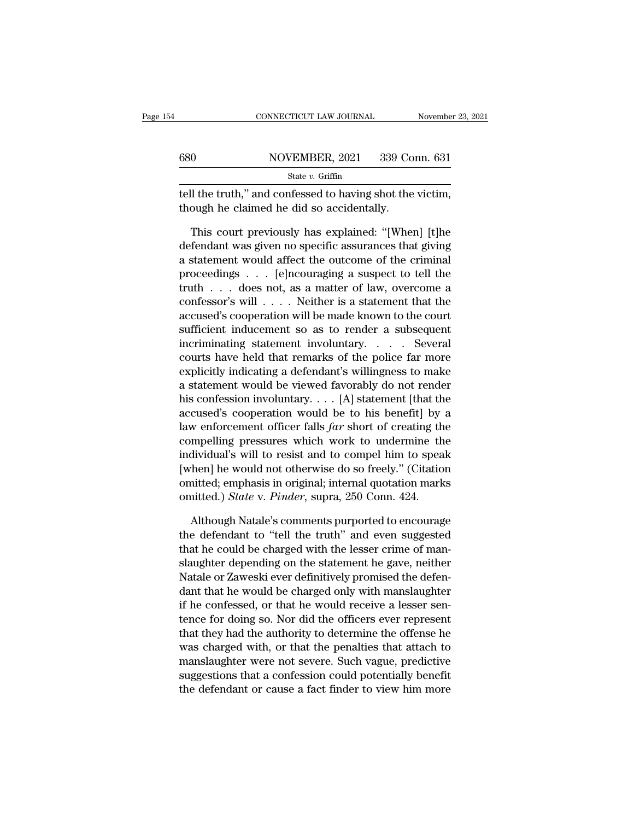|     | CONNECTICUT LAW JOURNAL                                                                                | November 23, 2021 |
|-----|--------------------------------------------------------------------------------------------------------|-------------------|
| 680 | NOVEMBER, 2021                                                                                         | 339 Conn. 631     |
|     | State v. Griffin                                                                                       |                   |
|     | tell the truth," and confessed to having shot the victim,<br>though he claimed he did so accidentally. |                   |
|     | This court previously has explained: "[When] [t]he                                                     |                   |

 $\frac{\text{NOVEMBER, 2021}}{\text{State } v. \text{ Griffith}}$ <br>
It the truth," and confessed to having shot the victim,<br>
ough he claimed he did so accidentally.<br>
This court previously has explained: "[When] [t]he<br>
fendant was given no specific assurance  $\frac{\text{State } v. \text{ Griffith, } 2021 \quad 000 \text{ Coml. } 001}{\text{State } v. \text{ Griffith, } 2021}$ <br>tell the truth," and confessed to having shot the victim,<br>though he claimed he did so accidentally.<br>This court previously has explained: "[When] [t]he<br>defendant state *v*. Griffin<br>
tell the truth," and confessed to having shot the victim,<br>
though he claimed he did so accidentally.<br>
This court previously has explained: "[When] [t]he<br>
defendant was given no specific assurances that tell the truth," and confessed to having shot the victim,<br>though he claimed he did so accidentally.<br>This court previously has explained: "[When] [t]he<br>defendant was given no specific assurances that giving<br>a statement woul though he claimed he did so accidentally.<br>
This court previously has explained: "[When] [t]he<br>
defendant was given no specific assurances that giving<br>
a statement would affect the outcome of the criminal<br>
proceedings  $\dots$ This court previously has explained: "[When] [t]he<br>defendant was given no specific assurances that giving<br>a statement would affect the outcome of the criminal<br>proceedings . . . [e]ncouraging a suspect to tell the<br>truth . This court previously has explained: "[When] [t]he<br>defendant was given no specific assurances that giving<br>a statement would affect the outcome of the criminal<br>proceedings . . . [e]ncouraging a suspect to tell the<br>truth . defendant was given no specific assurances that giving<br>a statement would affect the outcome of the criminal<br>proceedings . . . [e]ncouraging a suspect to tell the<br>truth . . . does not, as a matter of law, overcome a<br>confess a statement would affect the outcome of the criminal<br>proceedings  $\ldots$  [e]ncouraging a suspect to tell the<br>truth  $\ldots$  does not, as a matter of law, overcome a<br>confessor's will  $\ldots$ . Neither is a statement that the<br>accus proceedings  $\ldots$  [e]ncouraging a suspect to tell the<br>truth  $\ldots$  does not, as a matter of law, overcome a<br>confessor's will  $\ldots$ . Neither is a statement that the<br>accused's cooperation will be made known to the court<br>suff fruth  $\ldots$  does not, as a matter of law, overcome a confessor's will  $\ldots$ . Neither is a statement that the accused's cooperation will be made known to the court sufficient inducement so as to render a subsequent incrimi confessor's will  $\dots$ . Neither is a statement that the accused's cooperation will be made known to the court<br>sufficient inducement so as to render a subsequent<br>incriminating statement involuntary. . . . Several<br>courts hav accused's cooperation will be made known to the court<br>sufficient inducement so as to render a subsequent<br>incriminating statement involuntary. . . . Several<br>courts have held that remarks of the police far more<br>explicitly in sufficient inducement so as to render a subsequent<br>incriminating statement involuntary. . . . Several<br>courts have held that remarks of the police far more<br>explicitly indicating a defendant's willingness to make<br>a statemen incriminating statement involuntary. . . . . Several<br>courts have held that remarks of the police far more<br>explicitly indicating a defendant's willingness to make<br>a statement would be viewed favorably do not render<br>his conf courts have held that remarks of the police far more<br>explicitly indicating a defendant's willingness to make<br>a statement would be viewed favorably do not render<br>his confession involuntary.... [A] statement [that the<br>accus explicitly indicating a defendant's willingness to make<br>a statement would be viewed favorably do not render<br>his confession involuntary.... [A] statement [that the<br>accused's cooperation would be to his benefit] by a<br>law en a statement would be viewed favorably do not render<br>his confession involuntary. . . . [A] statement [that the<br>accused's cooperation would be to his benefit] by a<br>law enforcement officer falls *far* short of creating the<br>c his confession involuntary.... [A] statement [that the accused's cooperation would be to his benefit] by a law enforcement officer falls *far* short of creating the compelling pressures which work to undermine the individ accused's cooperation would be to his benefit] by<br>law enforcement officer falls *far* short of creating th<br>compelling pressures which work to undermine th<br>individual's will to resist and to compel him to spea<br>[when] he wou mpelling pressures which work to undermine the<br>dividual's will to resist and to compel him to speak<br>hen] he would not otherwise do so freely." (Citation<br>nitted; emphasis in original; internal quotation marks<br>nitted.) *Stat* individual's will to resist and to compel him to speak<br>[when] he would not otherwise do so freely." (Citation<br>omitted; emphasis in original; internal quotation marks<br>omitted.) *State* v. *Pinder*, supra, 250 Conn. 424.<br>Alt

[when] he would not otherwise do so freely." (Citation<br>omitted; emphasis in original; internal quotation marks<br>omitted.) *State* v. *Pinder*, supra, 250 Conn. 424.<br>Although Natale's comments purported to encourage<br>the defe omitted; emphasis in original; internal quotation marks<br>omitted.) *State* v. *Pinder*, supra, 250 Conn. 424.<br>Although Natale's comments purported to encourage<br>the defendant to "tell the truth" and even suggested<br>that he co omitted.) *State* v. *Pinder*, supra, 250 Conn. 424.<br>Although Natale's comments purported to encourage<br>the defendant to "tell the truth" and even suggested<br>that he could be charged with the lesser crime of man-<br>slaughter d Although Natale's comments purported to encourage<br>the defendant to "tell the truth" and even suggested<br>that he could be charged with the lesser crime of man-<br>slaughter depending on the statement he gave, neither<br>Natale or Although Natale's comments purported to encourage<br>the defendant to "tell the truth" and even suggested<br>that he could be charged with the lesser crime of man-<br>slaughter depending on the statement he gave, neither<br>Natale or the detendant to "tell the truth" and even suggested<br>that he could be charged with the lesser crime of man-<br>slaughter depending on the statement he gave, neither<br>Natale or Zaweski ever definitively promised the defen-<br>dant that he could be charged with the lesser crime of man-<br>slaughter depending on the statement he gave, neither<br>Natale or Zaweski ever definitively promised the defen-<br>dant that he would be charged only with manslaughter<br>if h slaughter depending on the statement he gave, neither<br>Natale or Zaweski ever definitively promised the defen-<br>dant that he would be charged only with manslaughter<br>if he confessed, or that he would receive a lesser sen-<br>ten Natale or Zaweski ever definitively promised the defendant that he would be charged only with manslaughter if he confessed, or that he would receive a lesser sentence for doing so. Nor did the officers ever represent that dant that he would be charged only with manslaughter<br>if he confessed, or that he would receive a lesser sen-<br>tence for doing so. Nor did the officers ever represent<br>that they had the authority to determine the offense he<br>w It he contessed, or that he would receive a lesser sentence for doing so. Nor did the officers ever represent that they had the authority to determine the offense he was charged with, or that the penalties that attach to m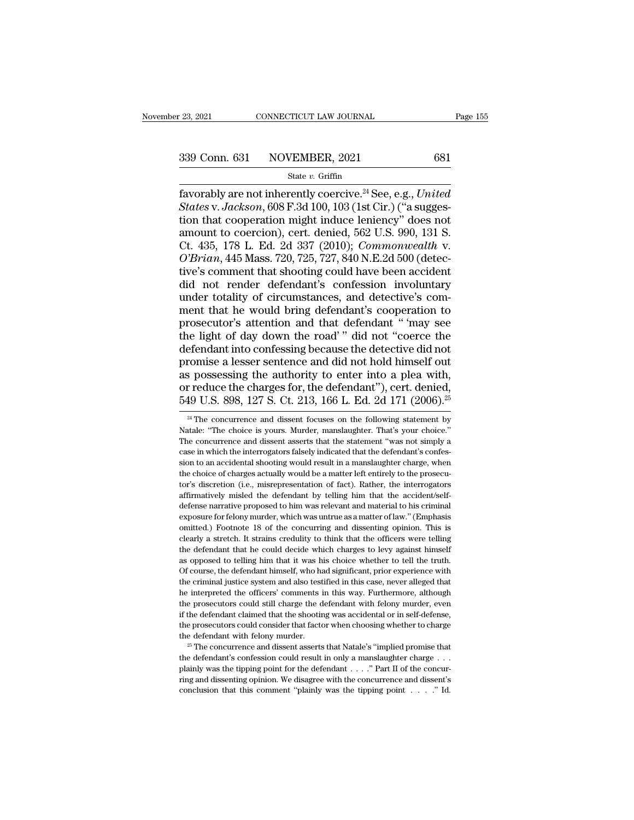# $\frac{23,2021}{239 \text{ Conn. } 631}$  CONNECTICUT LAW JOURNAL Page 155<br>339 Conn. 631 NOVEMBER, 2021 681<br>state v. Griffin

#### State *v.* Griffin

Fage 155<br>
Fage 155<br>
1339 Conn. 631 NOVEMBER, 2021 681<br>
State v. Griffin<br>
Favorably are not inherently coercive.<sup>24</sup> See, e.g., *United*<br>
States v. *Jackson*, 608 F.3d 100, 103 (1st Cir.) ("a suggestion that cooperation mig <sup>339</sup> Conn. 631 NOVEMBER, 2021 681<br>
<sup>State v. Griffin<br>
favorably are not inherently coercive.<sup>24</sup> See, e.g., *United*<br> *States* v. *Jackson*, 608 F.3d 100, 103 (1st Cir.) ("a sugges-<br>
tion that cooperation might induce len</sup> 339 Conn. 631 NOVEMBER, 2021 681<br>
State v. Griffin<br>
favorably are not inherently coercive.<sup>24</sup> See, e.g., *United*<br> *States v. Jackson*, 608 F.3d 100, 103 (1st Cir.) ("a sugges-<br>
tion that cooperation might induce lenienc 339 Conn. 631 NOVEMBER, 2021 681<br>
State v. Griffin<br>
favorably are not inherently coercive.<sup>24</sup> See, e.g., *United*<br> *States* v. *Jackson*, 608 F.3d 100, 103 (1st Cir.) ("a sugges-<br>
tion that cooperation might induce lenie Solution. 651 EVOVERIBER, 2021 661<br>
State v. Griffin<br>
States v. Jackson, 608 F.3d 100, 103 (1st Cir.) ("a sugges-<br>
tion that cooperation might induce leniency" does not<br>
amount to coercion), cert. denied, 562 U.S. 990, 13 *State v. Griffin*<br> *Coercive.<sup>24</sup> See, e.g., United*<br> *States v. Jackson,* 608 F.3d 100, 103 (1st Cir.) ("a sugges-<br>
tion that cooperation might induce leniency" does not<br>
amount to coercion), cert. denied, 562 U.S. 990, favorably are not inherently coercive.<sup>24</sup> See, e.g., *United*<br>States v. Jackson, 608 F.3d 100, 103 (1st Cir.) ("a suggestion that cooperation might induce leniency" does not<br>amount to coercion), cert. denied, 562 U.S. 990 States v. Jackson, 608 F.3d 100, 103 (1st Cir.) ("a suggestion that cooperation might induce leniency" does not<br>amount to coercion), cert. denied, 562 U.S. 990, 131 S.<br>Ct. 435, 178 L. Ed. 2d 337 (2010); *Commonwealth* v.<br> tion that cooperation might induce leniency" does not<br>amount to coercion), cert. denied, 562 U.S. 990, 131 S.<br>Ct. 435, 178 L. Ed. 2d 337 (2010); *Commonwealth* v.<br>*O'Brian*, 445 Mass. 720, 725, 727, 840 N.E.2d 500 (detecamount to coercion), cert. denied, 562 U.S. 990, 131 S.<br>Ct. 435, 178 L. Ed. 2d 337 (2010); *Commonwealth* v.<br>O'Brian, 445 Mass. 720, 725, 727, 840 N.E.2d 500 (detec-<br>tive's comment that shooting could have been accident<br>di Ct. 435, 178 L. Ed. 2d 337 (2010); *Commonwealth* v.<br> *O'Brian*, 445 Mass. 720, 725, 727, 840 N.E.2d 500 (detective's comment that shooting could have been accident<br>
did not render defendant's confession involuntary<br>
under  $O'Brian$ , 445 Mass. 720, 725, 727, 840 N.E.2d 500 (detective's comment that shooting could have been accident<br>did not render defendant's confession involuntary<br>under totality of circumstances, and detective's com-<br>ment that tive's comment that shooting could have been accident<br>did not render defendant's confession involuntary<br>under totality of circumstances, and detective's com-<br>ment that he would bring defendant's cooperation to<br>prosecutor's did not render defendant's confession involuntary<br>under totality of circumstances, and detective's com-<br>ment that he would bring defendant's cooperation to<br>prosecutor's attention and that defendant " may see<br>the light of d under totality of circumstances, and detective's comment that he would bring defendant's cooperation to prosecutor's attention and that defendant " 'may see the light of day down the road' " did not "coerce the defendant ment that he would bring defendant's cooperation to<br>prosecutor's attention and that defendant "'may see<br>the light of day down the road'" did not "coerce the<br>defendant into confessing because the detective did not<br>promise a prosecutor's attention and that defendant " 'may see<br>the light of day down the road' " did not "coerce the<br>defendant into confessing because the detective did not<br>promise a lesser sentence and did not hold himself out<br>as romise a lesser sentence and did not hold himself out<br>s possessing the authority to enter into a plea with,<br>reduce the charges for, the defendant"), cert. denied,<br> $49$  U.S.  $898$ ,  $127$  S. Ct.  $213$ ,  $166$  L. Ed.  $2d$  171 as possessing the authority to enter into a plea with,<br>or reduce the charges for, the defendant"), cert. denied,<br>549 U.S. 898, 127 S. Ct. 213, 166 L. Ed. 2d 171 (2006).<sup>25</sup><br><sup>24</sup> The concurrence and dissent focuses on the

The concurrence and dissent focuses on the following statement by<br>  $^{24}$  The concurrence and dissent focuses on the following statement by<br>
Natale: "The choice is yours. Murder, manslaughter. That's your choice."<br>
The co 549 U.S. 898, 127 S. Ct. 213, 166 L. Ed. 2d 171 (2006).<sup>25</sup><br><sup>24</sup> The concurrence and dissent focuses on the following statement by<br>Natale: "The choice is yours. Murder, manslaughter. That's your choice."<br>The concurrence a  $349$  U.S.  $696$ ,  $121$  S. Ut.  $213$ ,  $100$  L. Ed.  $20111$  ( $2000$ ).<sup>23</sup><br><sup>24</sup> The concurrence and dissent focuses on the following statement by<br>Natale: "The choice is yours. Murder, manslaughter. That's your choice."<br>The <sup>24</sup> The concurrence and dissent focuses on the following statement by Natale: "The choice is yours. Murder, manslaughter. That's your choice." The concurrence and dissent asserts that the statement "was not simply a case Natale: "The choice is yours. Murder, manslaughter. That's your choice."<br>The concurrence and dissent asserts that the statement "was not simply a<br>case in which the interrogators falsely indicated that the defendant's confe The concurrence and dissent saserts that the statement "was not simply a case in which the interrogators falsely indicated that the defendant's confession to an accidental shooting would result in a manslaughter charge, wh case in which the interrogators falsely indicated that the defendant's confession to an accidental shooting would result in a manslaughter charge, when the choice of charges actually would be a matter left entirely to the sion to an accidental shooting would result in a manslaughter charge, when the choice of charges actually would be a matter left entirely to the prosecutor's discretion (i.e., misrepresentation of fact). Rather, the interr the choice of charges actually would be a matter left entirely to the prosecutor's discretion (i.e., misrepresentation of fact). Rather, the interrogators affirmatively misled the defendant by telling him that the accident for a stretch. It strains credulity to think the officers were related.<br>The interrogators affirmatively misled the defendant by telling him that the accident/self-<br>defense narrative proposed to him was relevant and materia affirmatively misled the defendant by telling him that the accident/self-<br>defense narrative proposed to him was relevant and material to his criminal<br>exposure for felony murder, which was untrue as a matter of law." (Empha defense narrative proposed to him was relevant and material to his criminal exposure for felony murder, which was untrue as a matter of law." (Emphasis omitted.) Footnote 18 of the concurring and dissenting opinion. This i exposure for felony murder, which was untrue as a matter of law." (Emphasis omitted.) Footnote 18 of the concurring and dissenting opinion. This is clearly a stretch. It strains credulity to think that the officers were te onitted.) Footnote 18 of the concurring and dissenting opinion. This is clearly a stretch. It strains credulity to think that the officers were telling the defendant that he could decide which charges to levy against himse clearly a stretch. It strains credulity to think that the officers were telling<br>the defendant that he could decide which charges to levy against himself<br>as opposed to telling him that it was his choice whether to tell the the defendant that he could decide which charges to levy against himself as opposed to telling him that it was his choice whether to tell the truth. Of course, the defendant himself, who had significant, prior experience w as opposed to telling him that it was his choice whether to tell the truth.<br>Of course, the defendant himself, who had significant, prior experience with<br>the criminal justice system and also testified in this case, never al Of course, the defendant himself, who had significant, prior experience with the criminal justice system and also testified in this case, never alleged that he interpreted the officers' comments in this way. Furthermore, a the criminal justice system and also testified in this case, never alleged that the interpreted the officers' comments in this way. Furthermore, although the prosecutors could still charge the defendant with felony murder the prosecutors could still charge the defendant with felony murder, even<br>if the defendant claimed that the shooting was accidental or in self-defense,<br>the prosecutors could consider that factor when choosing whether to c

if the defendant claimed that the shooting was accidental or in self-defense,<br>the prosecutors could consider that factor when choosing whether to charge<br>the defendant with felony murder.<br><sup>25</sup> The concurrence and dissent a ring and issenting and dissenting operator when choosing whether to charge the defendant with felony murder.<br><sup>25</sup> The concurrence and dissent asserts that Natale's "implied promise that the defendant's confession could re  $25$  The concurrence and dissent asserts that Natale's "implied promise that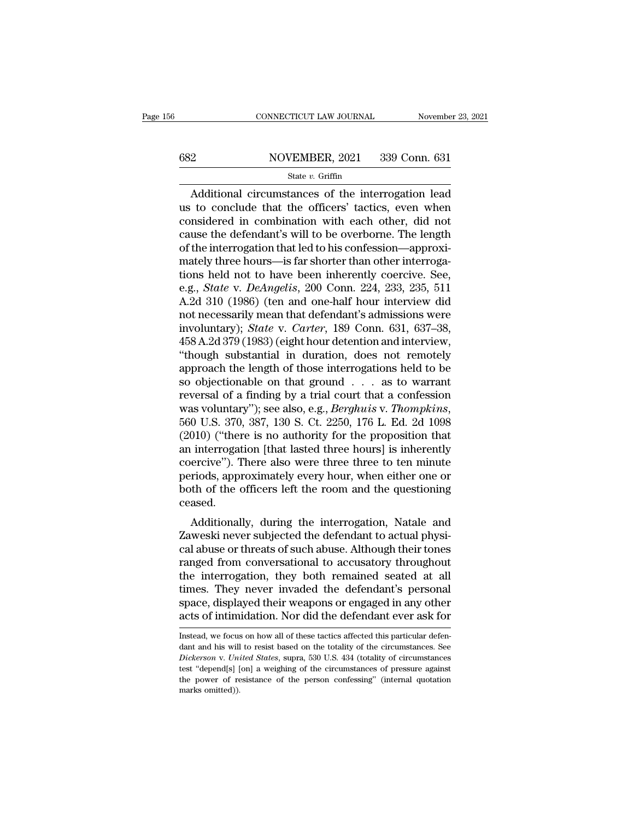# CONNECTICUT LAW JOURNAL November 23, 2021<br>682 NOVEMBER, 2021 339 Conn. 631<br>5tate v. Griffin

### State *v.* Griffin

CONNECTICUT LAW JOURNAL November 23, 2021<br>
2<br>
NOVEMBER, 2021 339 Conn. 631<br>
State v. Griffin<br>
Additional circumstances of the interrogation lead<br>
to conclude that the officers' tactics, even when<br>
meidered in combination w  $682 \n NOVEMBER, 2021 \n 339 \n Conn. 631 \n State *v. Griffith* \n State *v. Griffith* \n State *v. Griffith* \n State *v. Griffith* \n State *v. Griffith* \n State *v.(String)* \n State *v.(String)* \n State *v.(String)* \n State *v.(String)* \n State *v.(String)*</u>$ 682 NOVEMBER, 2021 339 Conn. 631<br>
State v. Griffin<br>
Additional circumstances of the interrogation lead<br>
us to conclude that the officers' tactics, even when<br>
considered in combination with each other, did not<br>
cause the d 682 NOVEMBER, 2021 339 Conn. 631<br>
State v. Griffin<br>
Additional circumstances of the interrogation lead<br>
us to conclude that the officers' tactics, even when<br>
considered in combination with each other, did not<br>
cause the d State v. Griffin<br>State v. Griffin<br>Additional circumstances of the interrogation lead<br>us to conclude that the officers' tactics, even when<br>considered in combination with each other, did not<br>cause the defendant's will to be state v. Griftin<br>
Matheus in complished and the officers' tactics, even when<br>
considered in combination with each other, did not<br>
cause the defendant's will to be overborne. The length<br>
of the interrogation that led to hi Additional circumstances of the interrogation lead<br>us to conclude that the officers' tactics, even when<br>considered in combination with each other, did not<br>cause the defendant's will to be overborne. The length<br>of the inte us to conclude that the officers' tactics, even when<br>considered in combination with each other, did not<br>cause the defendant's will to be overborne. The length<br>of the interrogation that led to his confession—approxi-<br>mately considered in combination with each other, did not<br>cause the defendant's will to be overborne. The length<br>of the interrogation that led to his confession—approxi-<br>mately three hours—is far shorter than other interroga-<br>tio cause the defendant's will to be overborne. The length<br>of the interrogation that led to his confession—approxi-<br>mately three hours—is far shorter than other interroga-<br>tions held not to have been inherently coercive. See,<br> of the interrogation that led to his confession—approximately three hours—is far shorter than other interrogations held not to have been inherently coercive. See, e.g., *State* v. *DeAngelis*, 200 Conn. 224, 233, 235, 511 mately three hours—is far shorter than other interrogations held not to have been inherently coercive. See, e.g., *State* v. *DeAngelis*, 200 Conn. 224, 233, 235, 511 A.2d 310 (1986) (ten and one-half hour interview did no tions held not to have been inherently coercive. See,<br>e.g., *State* v. *DeAngelis*, 200 Conn. 224, 233, 235, 511<br>A.2d 310 (1986) (ten and one-half hour interview did<br>not necessarily mean that defendant's admissions were<br>in e.g., *State* v. *DeAngelis*, 200 Conn. 224, 233, 235, 511<br>A.2d 310 (1986) (ten and one-half hour interview did<br>not necessarily mean that defendant's admissions were<br>involuntary); *State* v. *Carter*, 189 Conn. 631, 637–38 A.2d 310 (1986) (ten and one-half hour interview did<br>not necessarily mean that defendant's admissions were<br>involuntary); *State* v. *Carter*, 189 Conn. 631, 637–38,<br>458 A.2d 379 (1983) (eight hour detention and interview, not necessarily mean that defendant's admissions were<br>involuntary); *State* v. *Carter*, 189 Conn. 631, 637–38,<br>458 A.2d 379 (1983) (eight hour detention and interview,<br>"though substantial in duration, does not remotely<br>a involuntary); *State* v. *Carter*, 189 Conn. 631, 637–38, 458 A.2d 379 (1983) (eight hour detention and interview, "though substantial in duration, does not remotely approach the length of those interrogations held to be s "though substantial in duration, does not remotely<br>approach the length of those interrogations held to be<br>so objectionable on that ground  $\ldots$  as to warrant<br>reversal of a finding by a trial court that a confession<br>was vo approach the length of those interrogations held to be<br>so objectionable on that ground  $\ldots$  as to warrant<br>reversal of a finding by a trial court that a confession<br>was voluntary"); see also, e.g., *Berghuis* v. *Thompkins* so objectionable on that ground  $\ldots$  as to warrant<br>reversal of a finding by a trial court that a confession<br>was voluntary"); see also, e.g., *Berghuis* v. *Thompkins*,<br>560 U.S. 370, 387, 130 S. Ct. 2250, 176 L. Ed. 2d 10 reversal of a finding by a trial court that a confession<br>was voluntary"); see also, e.g., *Berghuis* v. *Thompkins*,<br>560 U.S. 370, 387, 130 S. Ct. 2250, 176 L. Ed. 2d 1098<br>(2010) ("there is no authority for the proposition was voluntary"); see also, e.g., *Berghuis* v. *Thompkins*, 560 U.S. 370, 387, 130 S. Ct. 2250, 176 L. Ed. 2d 1098 (2010) ("there is no authority for the proposition that an interrogation [that lasted three hours] is inher ceased. Forty (There is no authority for the proposition that<br>interrogation [that lasted three hours] is inherently<br>ercive"). There also were three three to ten minute<br>riods, approximately every hour, when either one or<br>th of the an interrogation [that lasted three hours] is inherently<br>coercive"). There also were three three to ten minute<br>periods, approximately every hour, when either one or<br>both of the officers left the room and the questioning<br>ce

coercive ). There also were three three to ten inhute<br>periods, approximately every hour, when either one or<br>both of the officers left the room and the questioning<br>ceased.<br>Additionally, during the interrogation, Natale and<br> perious, approximately every noul, when enter one or<br>both of the officers left the room and the questioning<br>ceased.<br>Additionally, during the interrogation, Natale and<br>Zaweski never subjected the defendant to actual physi-<br> From the interrogation, Natale and Zaweski never subjected the defendant to actual physical abuse or threats of such abuse. Although their tones ranged from conversational to accusatory throughout the interrogation, they b Additionally, during the interrogation, Natale and<br>Zaweski never subjected the defendant to actual physical abuse or threats of such abuse. Although their tones<br>ranged from conversational to accusatory throughout<br>the inter Additionally, during the interrogation, Natale and<br>Zaweski never subjected the defendant to actual physical abuse or threats of such abuse. Although their tones<br>ranged from conversational to accusatory throughout<br>the inter Zaweski never subjected the defendant to actual physical abuse or threats of such abuse. Although their tones<br>ranged from conversational to accusatory throughout<br>the interrogation, they both remained seated at all<br>times. T the interrogation, they both remained seated at all<br>times. They never invaded the defendant's personal<br>space, displayed their weapons or engaged in any other<br>acts of intimidation. Nor did the defendant ever ask for<br>Instead times. They never invaded the defendant's personal space, displayed their weapons or engaged in any other acts of intimidation. Nor did the defendant ever ask for Instead, we focus on how all of these tactics affected this

space, displayed their weapons or engaged in any other<br>acts of intimidation. Nor did the defendant ever ask for<br>Instead, we focus on how all of these tactics affected this particular defen-<br>dant and his will to resist base Expects of intimidation. Nor did the defendant ever ask for<br>Instead, we focus on how all of these tactics affected this particular defendant and his will to resist based on the totality of the circumstances. See<br>Dickerson The power of resistance of the person confessing" (internal ever as a bid mission discover of the circumstances. See *Dickerson v. United States*, supra, 530 U.S. 434 (totality of circumstances test "depend[s] [on] a weigh Instead, we focus on how all of these tactics affected this particular defendant and his will to resist based on the totality of the circumstances. See *Dickerson v. United States*, supra, 530 U.S.  $434$  (totality of circ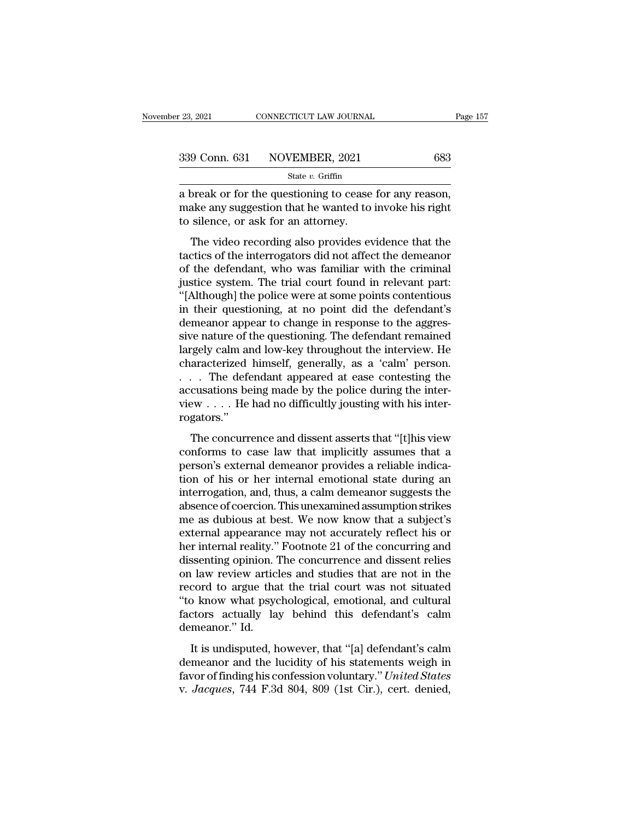| r 23, 2021 | CONNECTICUT LAW JOURNAL      | Page 157 |
|------------|------------------------------|----------|
|            | 339 Conn. 631 NOVEMBER, 2021 | 683      |
|            | State $v$ . Griffin          |          |

<sup>23, 2021</sup> CONNECTICUT LAW JOURNAL Page<br>  $\frac{339 \text{ Conn. } 631 \text{ NOVEMBER, } 2021}{\text{State } v. \text{ Griffith}}$ <br>
a break or for the questioning to cease for any reason,<br>
make any suggestion that he wanted to invoke his right<br>
to silonge or ask fo 339 Conn. 631 NOVEMBER, 2021 683<br>
State v. Griffin<br>
a break or for the questioning to cease for any reason,<br>
make any suggestion that he wanted to invoke his right<br>
to silence, or ask for an attorney. 339 Conn. 631 NOVEMBER, 2021<br>
State v. Griffin<br>
a break or for the questioning to cease<br>
make any suggestion that he wanted to<br>
to silence, or ask for an attorney.<br>
The video recording also provides ev 9 Conn. 631 NOVEMBER, 2021 683<br>
State v. Griffin<br>
State v. Griffin<br>
State v. Griffin<br>
State v. Griffin<br>
State v. Griffin<br>
State v. Griffin<br>
State v. Griffin<br>
State cording to cease for any reason,<br>
state any suggestion th

State  $v$ . Griffin<br>
a break or for the questioning to cease for any reason,<br>
make any suggestion that he wanted to invoke his right<br>
to silence, or ask for an attorney.<br>
The video recording also provides evidence that the a break or for the questioning to cease for any reason,<br>make any suggestion that he wanted to invoke his right<br>to silence, or ask for an attorney.<br>The video recording also provides evidence that the<br>tactics of the interrog a break of for the questioning to ecase for any relason,<br>make any suggestion that he wanted to invoke his right<br>to silence, or ask for an attorney.<br>The video recording also provides evidence that the<br>tactics of the interro The video recording also provides evidence that the<br>tactics of the interrogators did not affect the demeanor<br>of the defendant, who was familiar with the criminal<br>justice system. The trial court found in relevant part:<br>"[Al is shence, or ask for an adorney.<br>The video recording also provides evidence that the<br>tactics of the interrogators did not affect the demeanor<br>of the defendant, who was familiar with the criminal<br>justice system. The trial The video recording also provides evidence that the tactics of the interrogators did not affect the demeanor of the defendant, who was familiar with the criminal justice system. The trial court found in relevant part: "[Al tactics of the interrogators did not affect the demeanor<br>of the defendant, who was familiar with the criminal<br>justice system. The trial court found in relevant part:<br>"[Although] the police were at some points contentious<br>i of the defendant, who was familiar with the criminal<br>justice system. The trial court found in relevant part:<br>"[Although] the police were at some points contentious<br>in their questioning, at no point did the defendant's<br>deme justice system. The trial court found in relevant part:<br>"[Although] the police were at some points contentious<br>in their questioning, at no point did the defendant's<br>demeanor appear to change in response to the aggres-<br>sive "[Although] the police were at some points contentious<br>in their questioning, at no point did the defendant's<br>demeanor appear to change in response to the aggres-<br>sive nature of the questioning. The defendant remained<br>large in their questioning, at no point did the defendant's<br>demeanor appear to change in response to the aggres-<br>sive nature of the questioning. The defendant remained<br>largely calm and low-key throughout the interview. He<br>chara demeanor appear to change in response to the aggressive nature of the questioning. The defendant remained largely calm and low-key throughout the interview. He characterized himself, generally, as a 'calm' person.<br>. . . Th rogators.'' gery cann and fow ncy allocagnous are intervent. The<br>aracterized himself, generally, as a 'calm' person.<br>. . The defendant appeared at ease contesting the<br>cusations being made by the police during the inter-<br>gators."<br>The c characterized rimisen, generally, as a claim person.<br>  $\ldots$  The defendant appeared at ease contesting the<br>
naccusations being made by the police during the inter-<br>
view  $\ldots$ . He had no difficultly jousting with his inter

 $\therefore$  The decreasing and position at east concessing are accusations being made by the police during the inter-<br>view  $\dots$ . He had no difficultly jousting with his inter-<br>rogators."<br>The concurrence and dissent asserts that the method of the had no difficultly jousting with his inter-<br>rogators."<br>The concurrence and dissent asserts that "[t]his view<br>conforms to case law that implicitly assumes that a<br>person's external demeanor provides a reli rogators."<br>
The concurrence and dissent asserts that "[t]his view<br>
conforms to case law that implicitly assumes that a<br>
person's external demeanor provides a reliable indica-<br>
tion of his or her internal emotional state d The concurrence and dissent asserts that "[t]his view<br>conforms to case law that implicitly assumes that a<br>person's external demeanor provides a reliable indica-<br>tion of his or her internal emotional state during an<br>interr The concurrence and dissent asserts that "[t]his view<br>conforms to case law that implicitly assumes that a<br>person's external demeanor provides a reliable indica-<br>tion of his or her internal emotional state during an<br>interro conforms to case law that implicitly assumes that a<br>person's external demeanor provides a reliable indica-<br>tion of his or her internal emotional state during an<br>interrogation, and, thus, a calm demeanor suggests the<br>absenc person's external demeanor provides a reliable indication of his or her internal emotional state during an interrogation, and, thus, a calm demeanor suggests the absence of coercion. This unexamined assumption strikes me a tion of his or her internal emotional state during an interrogation, and, thus, a calm demeanor suggests the absence of coercion. This unexamined assumption strikes me as dubious at best. We now know that a subject's exter interrogation, and, thus, a calm demeanor suggests the<br>absence of coercion. This unexamined assumption strikes<br>me as dubious at best. We now know that a subject's<br>external appearance may not accurately reflect his or<br>her i absence of coercion. This unexamined assumption strikes<br>me as dubious at best. We now know that a subject's<br>external appearance may not accurately reflect his or<br>her internal reality." Footnote 21 of the concurring and<br>dis me as dubious at best. We now know that a subject's<br>external appearance may not accurately reflect his or<br>her internal reality." Footnote 21 of the concurring and<br>dissenting opinion. The concurrence and dissent relies<br>on l external appearance may not accurately reflect his or<br>her internal reality." Footnote 21 of the concurring and<br>dissenting opinion. The concurrence and dissent relies<br>on law review articles and studies that are not in the<br>r her internal reality."<br>dissenting opinion. "<br>on law review artic!<br>record to argue tha<br>"to know what psyc<br>factors actually la;<br>demeanor." Id.<br>It is undisputed, h I law review articles and studies that are not in the<br>cord to argue that the trial court was not situated<br>b know what psychological, emotional, and cultural<br>ctors actually lay behind this defendant's calm<br>meanor." Id.<br>It on taw review dratetes and statates that die not in the<br>record to argue that the trial court was not situated<br>"to know what psychological, emotional, and cultural<br>factors actually lay behind this defendant's calm<br>demeanor

France of a galax and the that court was not statuced<br>
"to know what psychological, emotional, and cultural<br>
factors actually lay behind this defendant's calm<br>
demeanor." Id.<br>
It is undisputed, however, that "[a] defendant factors actually lay behind this defendant's calm<br>demeanor." Id.<br>It is undisputed, however, that "[a] defendant's calm<br>demeanor and the lucidity of his statements weigh in<br>favor of finding his confession voluntary." United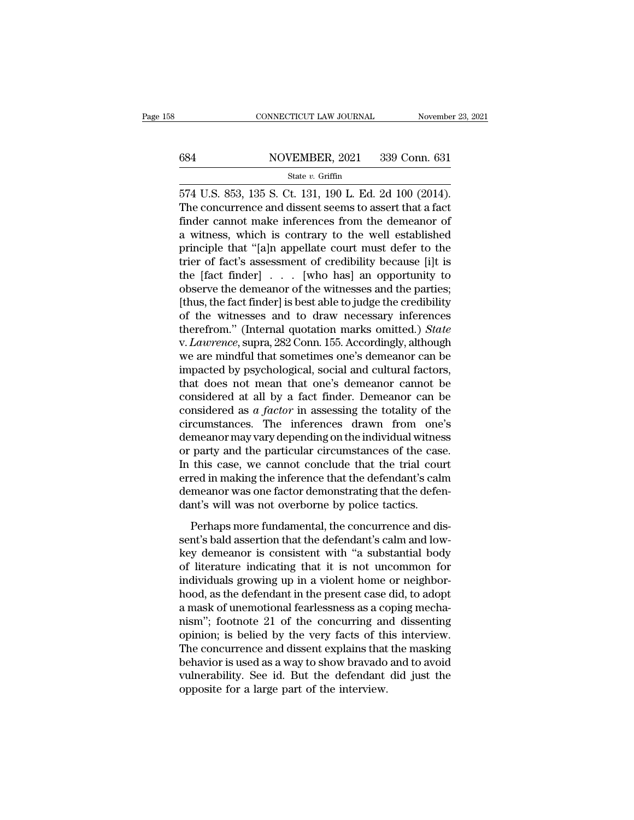# CONNECTICUT LAW JOURNAL November 23, 2021<br>684 NOVEMBER, 2021 339 Conn. 631<br>5tate v. Griffin

### State *v.* Griffin

 $\frac{1}{574}$  CONNECTICUT LAW JOURNAL November 23, 20<br>
State v. Griffin<br>
State v. Griffin<br>
State v. Griffin<br>
ST4 U.S. 853, 135 S. Ct. 131, 190 L. Ed. 2d 100 (2014).<br>
The concurrence and dissent seems to assert that a fact<br>  $\frac{\text{684}}{\text{State } v \cdot \text{Griffin}}$ <br>State v. Griffin<br>574 U.S. 853, 135 S. Ct. 131, 190 L. Ed. 2d 100 (2014).<br>The concurrence and dissent seems to assert that a fact<br>finder cannot make inferences from the demeanor of 684 NOVEMBER, 2021 339 Conn. 631<br>
State v. Griffin<br>
574 U.S. 853, 135 S. Ct. 131, 190 L. Ed. 2d 100 (2014).<br>
The concurrence and dissent seems to assert that a fact<br>
finder cannot make inferences from the demeanor of<br>
a w 684 NOVEMBER, 2021 339 Conn. 631<br>  $\frac{\text{State } v. \text{ Griffith}}{2}$ <br>  $\frac{\text{State } v. \text{ Griffith}}{2}$ <br>
574 U.S. 853, 135 S. Ct. 131, 190 L. Ed. 2d 100 (2014).<br>
The concurrence and dissent seems to assert that a fact<br>
finder cannot make inferences f state v. Griffin<br>
574 U.S. 853, 135 S. Ct. 131, 190 L. Ed. 2d 100 (2014).<br>
The concurrence and dissent seems to assert that a fact<br>
finder cannot make inferences from the demeanor of<br>
a witness, which is contrary to the w state v. Griffin<br>574 U.S. 853, 135 S. Ct. 131, 190 L. Ed. 2d 100 (2014).<br>The concurrence and dissent seems to assert that a fact<br>finder cannot make inferences from the demeanor of<br>a witness, which is contrary to the well 574 U.S. 853, 135 S. Ct. 131, 190 L. Ed. 2d 100 (2014).<br>The concurrence and dissent seems to assert that a fact<br>finder cannot make inferences from the demeanor of<br>a witness, which is contrary to the well established<br>princ The concurrence and dissent seems to assert that a fact<br>finder cannot make inferences from the demeanor of<br>a witness, which is contrary to the well established<br>principle that "[a]n appellate court must defer to the<br>trier finder cannot make inferences from the demeanor of<br>a witness, which is contrary to the well established<br>principle that "[a]n appellate court must defer to the<br>trier of fact's assessment of credibility because [i]t is<br>the a witness, which is contrary to the well established<br>principle that "[a]n appellate court must defer to the<br>trier of fact's assessment of credibility because [i]t is<br>the [fact finder]  $\ldots$  [who has] an opportunity to<br>obs principle that "[a]n appellate court must defer to the<br>trier of fact's assessment of credibility because [i]t is<br>the [fact finder] . . . [who has] an opportunity to<br>observe the demeanor of the witnesses and the parties;<br>[t trier of fact's assessment of credibility because [i]t is<br>the [fact finder] . . . [who has] an opportunity to<br>observe the demeanor of the witnesses and the parties;<br>[thus, the fact finder] is best able to judge the credibi the [fact finder]  $\ldots$  [who has] an opportunity to<br>observe the demeanor of the witnesses and the parties;<br>[thus, the fact finder] is best able to judge the credibility<br>of the witnesses and to draw necessary inferences<br>th observe the demeanor of the witnesses and the parties;<br>[thus, the fact finder] is best able to judge the credibility<br>of the witnesses and to draw necessary inferences<br>therefrom." (Internal quotation marks omitted.) *State* [thus, the fact finder] is best able to judge the credibility<br>of the witnesses and to draw necessary inferences<br>therefrom." (Internal quotation marks omitted.) *State*<br>v. *Lawrence*, supra, 282 Conn. 155. Accordingly, alt of the witnesses and to draw necessary inferences<br>therefrom." (Internal quotation marks omitted.) *State*<br>v. *Lawrence*, supra, 282 Conn. 155. Accordingly, although<br>we are mindful that sometimes one's demeanor can be<br>impa therefrom." (Internal quotation marks omitted.) *State* v. *Lawrence*, supra, 282 Conn. 155. Accordingly, although we are mindful that sometimes one's demeanor can be impacted by psychological, social and cultural factors, v. *Lawrence*, supra, 282 Conn. 155. Accordingly, although<br>we are mindful that sometimes one's demeanor can be<br>impacted by psychological, social and cultural factors,<br>that does not mean that one's demeanor cannot be<br>consi we are mindful that sometimes one's demeanor can be<br>impacted by psychological, social and cultural factors,<br>that does not mean that one's demeanor cannot be<br>considered at all by a fact finder. Demeanor can be<br>considered a impacted by psychological, social and cultural factors,<br>that does not mean that one's demeanor cannot be<br>considered at all by a fact finder. Demeanor can be<br>considered as  $a$  *factor* in assessing the totality of the<br>circ that does not mean that one's demeanor cannot be considered at all by a fact finder. Demeanor can be considered as  $a$  *factor* in assessing the totality of the circumstances. The inferences drawn from one's demeanor may considered at all by a fact finder. Demeanor can be considered as  $a$  factor in assessing the totality of the circumstances. The inferences drawn from one's demeanor may vary depending on the individual witness or party a considered as  $a$  *factor* in assessing the totality of the circumstances. The inferences drawn from one's demeanor may vary depending on the individual witness or party and the particular circumstances of the case. In th circumstances. The inferences drawn from one<br>demeanor may vary depending on the individual witnes<br>or party and the particular circumstances of the case<br>In this case, we cannot conclude that the trial cour<br>erred in making t party and the particular circumstances of the case.<br>
this case, we cannot conclude that the trial court<br>
red in making the inference that the defendant's calm<br>
meanor was one factor demonstrating that the defen-<br>
nt's will Senty and the particular cheanistances of the case.<br>In this case, we cannot conclude that the trial court<br>erred in making the inference that the defendant's calm<br>demeanor was one factor demonstrating that the defen-<br>dant's

In this case, we cannot conclude that the drial coard<br>erred in making the inference that the defendant's calm<br>demeanor was one factor demonstrating that the defen-<br>dant's will was not overborne by police tactics.<br>Perhaps m demeanor was one factor demonstrating that the defen-<br>dant's will was not overborne by police tactics.<br>Perhaps more fundamental, the concurrence and dis-<br>sent's bald assertion that the defendant's calm and low-<br>key demeano dant's will was not overborne by police tactics.<br>
Perhaps more fundamental, the concurrence and dissent's bald assertion that the defendant's calm and low-<br>
key demeanor is consistent with "a substantial body<br>
of literatur For the state of the concurrence and dissent's bald assertion that the defendant's calm and low-<br>key demeanor is consistent with "a substantial body<br>of literature indicating that it is not uncommon for<br>individuals growing Perhaps more fundamental, the concurrence and dissent's bald assertion that the defendant's calm and low-<br>key demeanor is consistent with "a substantial body<br>of literature indicating that it is not uncommon for<br>individuals sent's bald assertion that the defendant's calm and low-<br>key demeanor is consistent with "a substantial body<br>of literature indicating that it is not uncommon for<br>individuals growing up in a violent home or neighbor-<br>hood, key demeanor is consistent with "a substantial body<br>of literature indicating that it is not uncommon for<br>individuals growing up in a violent home or neighbor-<br>hood, as the defendant in the present case did, to adopt<br>a mask of literature indicating that it is not uncommon for<br>individuals growing up in a violent home or neighbor-<br>hood, as the defendant in the present case did, to adopt<br>a mask of unemotional fearlessness as a coping mecha-<br>nism individuals growing up in a violent home or neighborhood, as the defendant in the present case did, to adopt a mask of unemotional fearlessness as a coping mechanism"; footnote 21 of the concurring and dissenting opinion; hood, as the defendant in the present case did, to adopt<br>a mask of unemotional fearlessness as a coping mecha-<br>nism"; footnote 21 of the concurring and dissenting<br>opinion; is belied by the very facts of this interview.<br>The a mask of unemotional fearlessness as a co<br>nism"; footnote 21 of the concurring an<br>opinion; is belied by the very facts of th<br>The concurrence and dissent explains that<br>behavior is used as a way to show bravado<br>vulnerabilit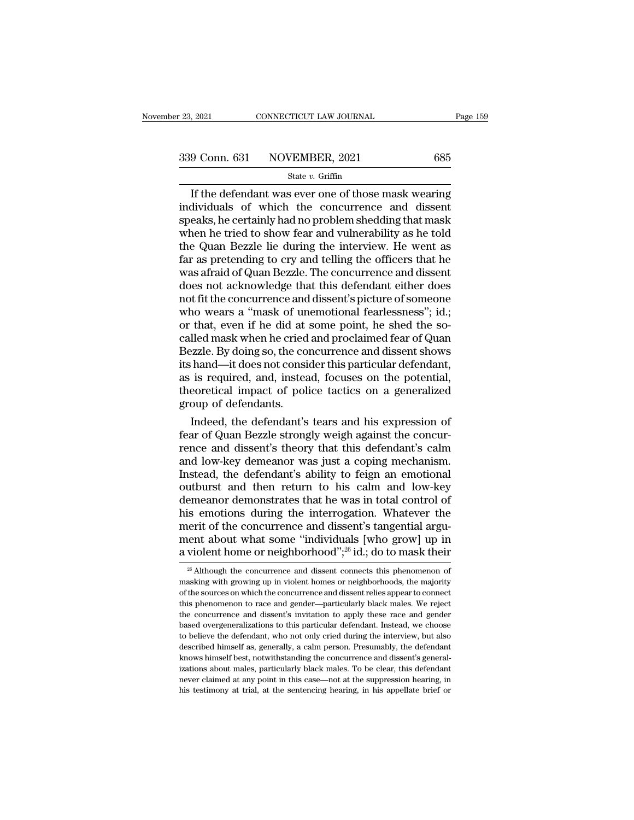$\frac{1}{2021}$  CONNECTICUT LAW JOURNAL Page 159<br>  $\frac{9 \text{ Conn. } 631}$  NOVEMBER, 2021 685<br>  $\frac{1}{32}$ <br>
If the defendant was ever one of those mask wearing<br>
dividuals of which the concurrence and dissent<br>
eaks be certainly had n 339 Conn. 631 NOVEMBER, 2021 685<br>State v. Griffin<br>If the defendant was ever one of those mask wearing<br>individuals of which the concurrence and dissent<br>speaks, he certainly had no problem shedding that mask<br>when he tried t 339 Conn. 631 NOVEMBER, 2021 685<br>
State v. Griffin<br>
If the defendant was ever one of those mask wearing<br>
individuals of which the concurrence and dissent<br>
speaks, he certainly had no problem shedding that mask<br>
when he tr 339 Conn. 631 NOVEMBER, 2021 685<br>
State v. Griffin<br>
If the defendant was ever one of those mask wearing<br>
individuals of which the concurrence and dissent<br>
speaks, he certainly had no problem shedding that mask<br>
when he tr Solution Collars Collection State v. Griffin<br>
If the defendant was ever one of those mask wearing<br>
individuals of which the concurrence and dissent<br>
speaks, he certainly had no problem shedding that mask<br>
when he tried to State  $v$ . Griffin<br>
If the defendant was ever one of those mask wearing<br>
individuals of which the concurrence and dissent<br>
speaks, he certainly had no problem shedding that mask<br>
when he tried to show fear and vulnerabili If the defendant was ever one of those mask wearing<br>individuals of which the concurrence and dissent<br>speaks, he certainly had no problem shedding that mask<br>when he tried to show fear and vulnerability as he told<br>the Quan B individuals of which the concurrence and dissent<br>speaks, he certainly had no problem shedding that mask<br>when he tried to show fear and vulnerability as he told<br>the Quan Bezzle lie during the interview. He went as<br>far as pr speaks, he certainly had no problem shedding that mask<br>when he tried to show fear and vulnerability as he told<br>the Quan Bezzle lie during the interview. He went as<br>far as pretending to cry and telling the officers that he<br> when he tried to show fear and vulnerability as he told<br>the Quan Bezzle lie during the interview. He went as<br>far as pretending to cry and telling the officers that he<br>was afraid of Quan Bezzle. The concurrence and dissent<br> the Quan Bezzle lie during the interview. He went as<br>far as pretending to cry and telling the officers that he<br>was afraid of Quan Bezzle. The concurrence and dissent<br>does not acknowledge that this defendant either does<br>not far as pretending to cry and telling the officers that he<br>was afraid of Quan Bezzle. The concurrence and dissent<br>does not acknowledge that this defendant either does<br>not fit the concurrence and dissent's picture of someone was afraid of Quan Bezzle. The concurrence and dissent<br>does not acknowledge that this defendant either does<br>not fit the concurrence and dissent's picture of someone<br>who wears a "mask of unemotional fearlessness"; id.;<br>or t does not acknowledge that this defendant either does<br>not fit the concurrence and dissent's picture of someone<br>who wears a "mask of unemotional fearlessness"; id.;<br>or that, even if he did at some point, he shed the so-<br>call not fit the concurrence and dissent's picture of someone<br>who wears a "mask of unemotional fearlessness"; id.;<br>or that, even if he did at some point, he shed the so-<br>called mask when he cried and proclaimed fear of Quan<br>Bez who wears a "mask of unemotional fearlessness"; id.;<br>or that, even if he did at some point, he shed the so-<br>called mask when he cried and proclaimed fear of Quan<br>Bezzle. By doing so, the concurrence and dissent shows<br>its h or that, even if he did at<br>called mask when he cried<br>Bezzle. By doing so, the co<br>its hand—it does not consi<br>as is required, and, instear<br>theoretical impact of poli<br>group of defendants.<br>Indeed, the defendant's Iled mask when he cried and proclaimed fear of Quan<br>ezzle. By doing so, the concurrence and dissent shows<br>hand—it does not consider this particular defendant,<br>is required, and, instead, focuses on the potential,<br>eoretical Bezzle. By doing so, the concurrence and dissent shows<br>its hand—it does not consider this particular defendant,<br>as is required, and, instead, focuses on the potential,<br>theoretical impact of police tactics on a generalized<br>

its hand—it does not consider this particular defendant,<br>as is required, and, instead, focuses on the potential,<br>theoretical impact of police tactics on a generalized<br>group of defendants.<br>Indeed, the defendant's tears and as is required, and, instead, focuses on the potential,<br>theoretical impact of police tactics on a generalized<br>group of defendants.<br>Indeed, the defendant's tears and his expression of<br>fear of Quan Bezzle strongly weigh agai theoretical impact of police tactics on a generalized<br>group of defendants.<br>Indeed, the defendant's tears and his expression of<br>fear of Quan Bezzle strongly weigh against the concur-<br>rence and dissent's theory that this def group of defendants.<br>
Indeed, the defendant's tears and his expression of<br>
fear of Quan Bezzle strongly weigh against the concur-<br>
rence and dissent's theory that this defendant's calm<br>
and low-key demeanor was just a copi Indeed, the defendant's tears and his expression of<br>fear of Quan Bezzle strongly weigh against the concur-<br>rence and dissent's theory that this defendant's calm<br>and low-key demeanor was just a coping mechanism.<br>Instead, th fear of Quan Bezzle strongly weigh against the concur-<br>rence and dissent's theory that this defendant's calm<br>and low-key demeanor was just a coping mechanism.<br>Instead, the defendant's ability to feign an emotional<br>outburst rence and dissent's theory that this defendant's calm<br>and low-key demeanor was just a coping mechanism.<br>Instead, the defendant's ability to feign an emotional<br>outburst and then return to his calm and low-key<br>demeanor demo and low-key demeanor was just a coping mechanism.<br>Instead, the defendant's ability to feign an emotional<br>outburst and then return to his calm and low-key<br>demeanor demonstrates that he was in total control of<br>his emotions d Instead, the defendant's ability to feign an emotional outburst and then return to his calm and low-key demeanor demonstrates that he was in total control of his emotions during the interrogation. Whatever the merit of th is emotions during the interrogation. Whatever the<br>erit of the concurrence and dissent's tangential argu-<br>ent about what some "individuals [who grow] up in<br>violent home or neighborhood",<sup>26</sup> id.; do to mask their<br> $\frac{26}{3$ merit of the concurrence and dissent's tangential argument about what some "individuals [who grow] up in a violent home or neighborhood";<sup>26</sup> id.; do to mask their  $\frac{1}{20}$  Although the concurrence and dissent connects

ment about what some "individuals [who grow] up in<br>a violent home or neighborhood";<sup>26</sup> id.; do to mask their<br> $\frac{26}{5}$  Although the concurrence and dissent connects this phenomenon of<br>masking with growing up in violent a violent home or neighborhood";<sup>26</sup> id.; do to mask their<br>
<sup>26</sup> Although the concurrence and dissent connects this phenomenon of<br>
masking with growing up in violent homes or neighborhoods, the majority<br>
of the sources on  $^{26}$  Although the concurrence and dissent connects this phenomenon of masking with growing up in violent homes or neighborhoods, the majority of the sources on which the concurrence and dissent relies appear to connect  $^{26}$  Although the concurrence and dissent connects this phenomenon of masking with growing up in violent homes or neighborhoods, the majority of the sources on which the concurrence and dissent relies appear to connect masking with growing up in violent homes or neighborhoods, the majority of the sources on which the concurrence and dissent relies appear to connect this phenomenon to race and gender—particularly black males. We reject th of the sources on which the concurrence and dissent relies appear to connect<br>this phenomenon to race and gender—particularly black males. We reject<br>the concurrence and dissent's invitation to apply these race and gender<br>ba this phenomenon to race and gender—particularly black males. We reject<br>the concurrence and dissent's invitation to apply these race and gender<br>based overgeneralizations to this particular defendant. Instead, we choose<br>to b the concurrence and dissent's invitation to apply these race and gender based overgeneralizations to this particular defendant. Instead, we choose to believe the defendant, who not only cried during the interview, but also heased overgeneralizations to this particular defendant. Instead, we choose to believe the defendant, who not only cried during the interview, but also described himself as, generally, a calm person. Presumably, the defend to believe the defendant, who not only cried during the interview, but also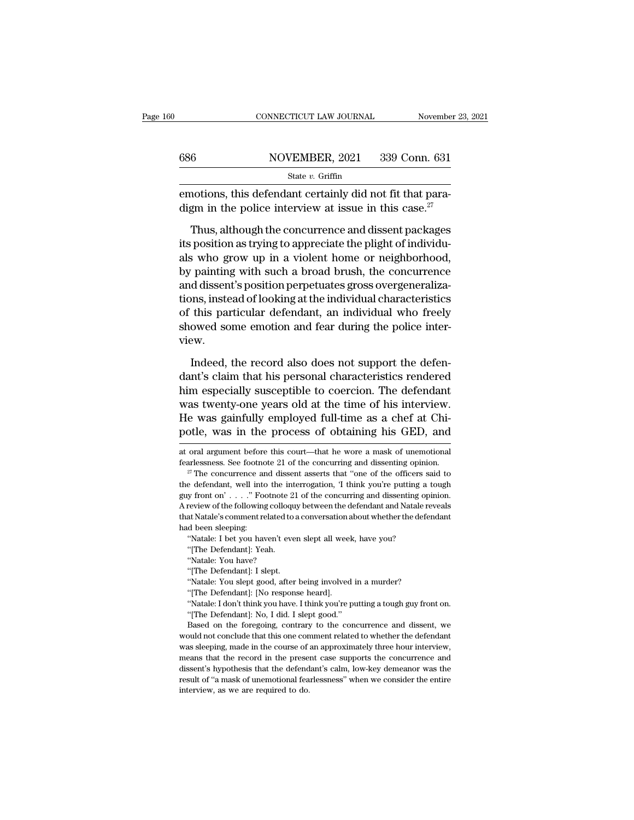|     | CONNECTICUT LAW JOURNAL                                                                                                        | November 23, 2021 |
|-----|--------------------------------------------------------------------------------------------------------------------------------|-------------------|
|     |                                                                                                                                |                   |
| 686 | NOVEMBER, 2021                                                                                                                 | 339 Conn. 631     |
|     | State $v$ . Griffin                                                                                                            |                   |
|     | emotions, this defendant certainly did not fit that para-<br>digm in the police interview at issue in this case. <sup>27</sup> |                   |
|     | Thus, although the concurrence and dissent packages<br>its position as trying to appreciate the plight of individu-            |                   |
|     | alguida grow un in a violent home or neighborhood                                                                              |                   |

Solution as the v. Griffin<br>
State v. Griffin<br>
emotions, this defendant certainly did not fit that para-<br>
digm in the police interview at issue in this case.<sup>27</sup><br>
Thus, although the concurrence and dissent packages<br>
its po State  $v$ . Griffin<br>
emotions, this defendant certainly did not fit that para-<br>
digm in the police interview at issue in this case.<sup>27</sup><br>
Thus, although the concurrence and dissent packages<br>
its position as trying to apprec emotions, this defendant certainly did not fit that para-<br>digm in the police interview at issue in this case.<sup>27</sup><br>Thus, although the concurrence and dissent packages<br>its position as trying to appreciate the plight of indiv digm in the police interview at issue in this case.<sup>27</sup><br>Thus, although the concurrence and dissent packages<br>its position as trying to appreciate the plight of individuals<br>who grow up in a violent home or neighborhood,<br>by Thus, although the concurrence and dissent packages<br>its position as trying to appreciate the plight of individuals<br>who grow up in a violent home or neighborhood,<br>by painting with such a broad brush, the concurrence<br>and dis Thus, although the concurrence and dissent packages<br>its position as trying to appreciate the plight of individu-<br>als who grow up in a violent home or neighborhood,<br>by painting with such a broad brush, the concurrence<br>and d its position as trying to appreciate the plight of individuals who grow up in a violent home or neighborhood, by painting with such a broad brush, the concurrence and dissent's position perpetuates gross overgeneralization view. Indeed, the record also does not support the defendant<br>Indeed, the record also does not support the defendant<br>Indeed, the record also does not support the defen-<br>Indeed, the record also does not support the defen-<br>Indeed, tions, instead of looking at the individual characteristics<br>of this particular defendant, an individual who freely<br>showed some emotion and fear during the police inter-<br>view.<br>Indeed, the record also does not support the de

of this particular defendant, an individual who freely<br>showed some emotion and fear during the police inter-<br>view.<br>Indeed, the record also does not support the defen-<br>dant's claim that his personal characteristics rendered showed some emotion and fear during the police inter-<br>view.<br>Indeed, the record also does not support the defen-<br>dant's claim that his personal characteristics rendered<br>him especially susceptible to coercion. The defendant<br> view.<br>Indeed, the record also does not support the defendant's claim that his personal characteristics rendered<br>him especially susceptible to coercion. The defendant<br>was twenty-one years old at the time of his interview.<br>H Indeed, the record also does not support the defen-<br>dant's claim that his personal characteristics rendered<br>him especially susceptible to coercion. The defendant<br>was twenty-one years old at the time of his interview.<br>He wa him especially susceptible to coercion. The defendant was twenty-one years old at the time of his interview.<br>He was gainfully employed full-time as a chef at Chipotle, was in the process of obtaining his GED, and at oral was twenty-one years old at the time of his interview.<br>He was gainfully employed full-time as a chef at Chi-<br>potle, was in the process of obtaining his GED, and<br>at oral argument before this court—that he wore a mask of une

"Natale: I bet you haven't even slept all wee<br>"(The Defendant]: Yeah.<br>"Natale: You have?<br>"(The Defendant]: I slept.<br>"(The Defendant]: I slept.<br>"Natale: You slept good, after being involved"<br>(The Defendant]: [No response he "[The Defendant]: [No response heard].<br>"Natale: I don't think you have. I think you're putting a tough guy front on.<br>"[The Defendant]: No, I did. I slept good."<br>Based on the foregoing, contrary to the concurrence and disse "Natale: You have?<br>
"The Defendant]: I slept.<br>
"Natale: You slept good, after being involved in<br>
"The Defendant]: [No response heard].<br>
"Natale: I don't think you have. I think you're pu<br>
"The Defendant]: No, I did. I slep

"[The Defendant]: I slept.<br>"Natale: You slept good, after being involved in a murder?<br>"[The Defendant]: [No response heard].<br>"Natale: I don't think you have. I think you're putting a tough guy front on.<br>"[The Defendant]: N "Natale: You slept good, after being involved in a murder?<br>
"The Defendant]: [No response heard].<br>
"Natale: I don't think you have. I think you're putting a tough guy front on.<br>
"The Defendant]: No, I did. I slept good."<br> "The Defendant]: [No response heard].<br>
"Natale: I don't think you have. I think you're putting a tough guy front on.<br>
"[The Defendant]: No, I did. I slept good."<br>
Based on the foregoing, contrary to the concurrence and dis "Natale: I don't think you have. I think you're putting a tough guy front on.<br>"The Defendant]: No, I did. I slept good."<br>Based on the foregoing, contrary to the concurrence and dissent, we<br>would not conclude that this one "The Defendant]: No, I did. I slept good."<br>Based on the foregoing, contrary to the concurrence and dissent, we<br>would not conclude that this one comment related to whether the defendant<br>was sleeping, made in the course of a Figure 1 and the foregoing, contrary to the concurrence and dissent, we would not conclude that this one comment related to whether the defendant was sleeping, made in the course of an approximately three hour interview, m would not conclude that this one compared would not conclude that this one compares that the experiments that the presedissent's hypothesis that the defend result of "a mask of unemotional feal interview, as we are require

potle, was in the process of obtaining his GED, and<br>at oral argument before this court—that he wore a mask of unemotional<br>fearlessness. See footnote 21 of the concurring and dissenting opinion.<br><sup>27</sup> The concurrence and di guy from and argument before this court—that he wore a mask of unemotional fearlessness. See footnote 21 of the concurring and dissenting opinion.<br><sup>27</sup> The concurrence and dissent asserts that "one of the officers said to at oral argument before this court—that he wore a mask of unemotional<br>fearlessness. See footnote 21 of the concurring and dissenting opinion.<br><sup>27</sup> The concurrence and dissent asserts that "one of the officers said to<br>the fearlessness. See footnote 21 of the concurring and dissenting opinion.<br><sup>27</sup> The concurrence and dissent asserts that "one of the officers said to the defendant, well into the interrogation, 'I think you're putting a toug <sup>27</sup> The concurrence at<br>the defendant, well into<br>guy front on' . . . . " Footh and the defendant of the following<br>that Natale's comment re<br>had been sleeping: "Natale: I bet you have <sup>2</sup> elefendant, well into the interrogation, 'I think you're putting a general dissenting or properties of the following colloquy between the defendant and Natale r at Natale's comment related to a conversation about wheth guy front on' . . . ." Footnote 21 of the concurring and dissenting opinion.<br>A review of the following colloquy between the defendant and Natale reveals<br>that Natale's comment related to a conversation about whether the def A review of the following colloguy between the defendant and Natale reveals <sup>2</sup><br>And Natale's comment related to a<br>d been sleeping:<br>"Natale: I bet you haven't ever<br>"[The Defendant]: I sah.<br>"Natale: You have?<br>"[The Defendant]: I slept.<br>"Natale: You slept good, after" d been sleeping:<br>
d been sleeping:<br>
"Natale: I bet you haven't even slept all week, have you?<br>
"[The Defendant]: Yeah.<br>
"Natale: You have?<br>
"[The Defendant]: I slept.<br>
"Natale: You slept good, after being involved in a mur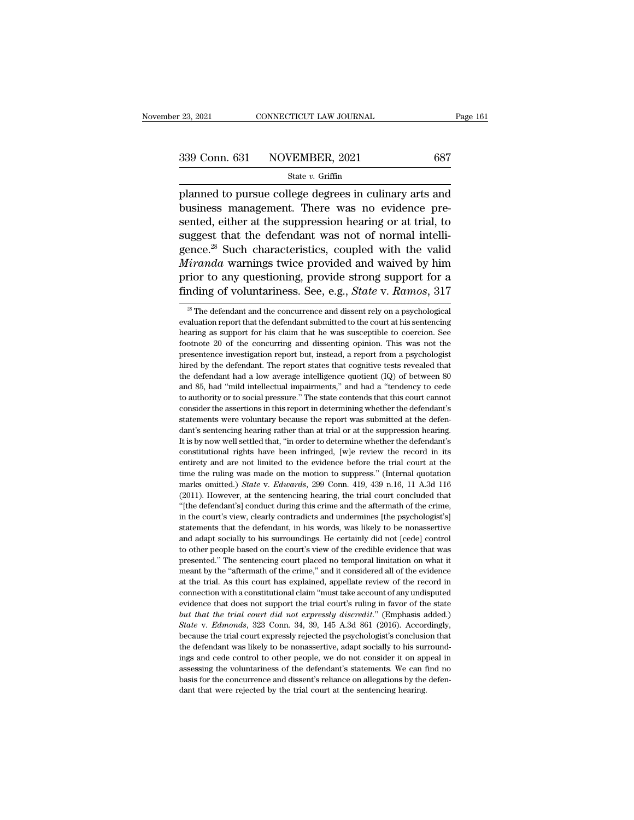Page 161<br>
23, 2021 CONNECTICUT LAW JOURNAL Page 161<br>
339 Conn. 631 NOVEMBER, 2021 687<br>
5tate v. Griffin<br>
planned to pursue college degrees in culinary arts and<br>
business management. There was no evidence pre- $\begin{array}{r} \text{339 Conn. 631} \text{NOVEMBER, } 2021 \text{ } \text{687} \\ \text{State } v. \text{ Griffith} \\ \text{planned to pursue college degrees in culinary arts and business management. There was no evidence presented, either at the suppression hearing or at trial, to equsect that the deformation was not of normal intelligl.} \end{array}$ 339 Conn. 631 NOVEMBER, 2021 687<br>
State v. Griffin<br>
planned to pursue college degrees in culinary arts and<br>
business management. There was no evidence pre-<br>
sented, either at the suppression hearing or at trial, to<br>
sugge 339 Conn. 631 NOVEMBER, 2021 687<br>
State v. Griffin<br>
planned to pursue college degrees in culinary arts and<br>
business management. There was no evidence pre-<br>
sented, either at the suppression hearing or at trial, to<br>
sugge State v. Griffin<br>planned to pursue college degrees in culinary arts and<br>business management. There was no evidence pre-<br>sented, either at the suppression hearing or at trial, to<br>suggest that the defendant was not of norma <sup>Maxim</sup> state *v. shink*<br>
planned to pursue college degrees in culinary arts and<br>
business management. There was no evidence pre-<br>
sented, either at the suppression hearing or at trial, to<br>
suggest that the defendant was n planned to pursue college degrees in culinary arts and<br>business management. There was no evidence pre-<br>sented, either at the suppression hearing or at trial, to<br>suggest that the defendant was not of normal intelli-<br>gence.<sup></sup> business management. There was no evidence pre-<br>sented, either at the suppression hearing or at trial, to<br>suggest that the defendant was not of normal intelli-<br>gence.<sup>28</sup> Such characteristics, coupled with the valid<br>*Miran* gence.<sup>28</sup> Such characteristics, coupled with the valid *Miranda* warnings twice provided and waived by him prior to any questioning, provide strong support for a finding of voluntariness. See, e.g., *State* v. *Ramos*, 3 *Miranda* warnings twice provided and waived by him prior to any questioning, provide strong support for a finding of voluntariness. See, e.g., *State* v. *Ramos*, 317  $\rightarrow$  The defendant and the concurrence and dissent re

prior to any questioning, provide strong support for a<br>finding of voluntariness. See, e.g., *State* v. Ramos, 317<br><sup>28</sup> The defendant and the concurrence and dissent rely on a psychological<br>evaluation report that the defend finding of voluntariness. See, e.g., *State* v. *Ramos*, 317  $\frac{3}{28}$  The defendant and the concurrence and dissent rely on a psychological evaluation report that the defendant submitted to the court at his sentencing h  $\frac{1}{28}$  The defendant and the concurrence and dissent rely on a psychological evaluation report that the defendant submitted to the court at his sentencing hearing as support for his claim that he was susceptible to co <sup>28</sup> The defendant and the concurrence and dissent rely on a psychological evaluation report that the defendant submitted to the court at his sentencing hearing as support for his claim that he was susceptible to coercion evaluation report that the defendant submitted to the court at his sentencing<br>hearing as support for his claim that he was susceptible to coercion. See<br>footnote 20 of the concurring and dissenting opinion. This was not th hearing as support for his claim that he was susceptible to coercion. See footnote 20 of the concurring and dissenting opinion. This was not the presentence investigation report but, instead, a report from a psychologist h footnote 20 of the concurring and dissenting opinion. This was not the presentence investigation report but, instead, a report from a psychologist hired by the defendant. The report states that cognitive tests revealed th presentence investigation report but, instead, a report from a psychologist<br>hired by the defendant. The report states that cognitive tests revealed that<br>the defendant had a low average intelligence quotient (IQ) of between Fixed by the defendant. The report states that cognitive tests revealed that the defendant had a low average intelligence quotient  $(IQ)$  of between 80 and 85, had "mild intellectual impairments," and had a "tendency to ce the defendant had a low average intelligence quotient  $(Q)$  of between 80 and 85, had "mild intellectual impairments," and had a "tendency to cede to authority or to social pressure." The state contends that this court can and 85, had "mild intellectual impairments," and had a "tendency to cede to authority or to social pressure." The state contends that this court cannot consider the assertions in this report in determining whether the defe constitutional rights have been infringed, [w] review the record in this court cannot consider the assertions in this report in determining whether the defendant's statements were voluntary because the report was submitted econsider the assertions in this report in determining whether the defendant's statements were voluntary because the report was submitted at the defendant's sentencing hearing rather than at trial or at the suppression hea extatements were voluntary because the report was submitted at the defendant's sentencing hearing rather than at trial or at the suppression hearing.<br>It is by now well settled that, "in order to determine whether the defe dant's sentencing hearing rather than at trial or at the suppression hearing.<br>It is by now well settled that, "in order to determine whether the defendant's constitutional rights have been infringed, [w]e review the record It is by now well settled that, "in order to determine whether the defendant's constitutional rights have been infringed, [w]e review the record in its entirety and are not limited to the evidence before the trial court a constitutional rights have been infringed, [w]e review the record in its entirety and are not limited to the evidence before the trial court at the time the ruling was made on the motion to suppress." (Internal quotation entirety and are not limited to the evidence before the trial court at the time the ruling was made on the motion to suppress." (Internal quotation marks omitted.) *State v. Edwards*, 299 Conn. 419, 439 n.16, 11 A.3d 116 ( time the ruling was made on the motion to suppress." (Internal quotation marks omitted.) *State v. Edwards*, 299 Conn. 419, 439 n.16, 11 A.3d 116 (2011). However, at the sentencing hearing, the trial court concluded that marks omitted.) *State* v. *Edwards*, 299 Conn. 419, 439 n.16, 11 A.3d 116 (2011). However, at the sentencing hearing, the trial court concluded that "[the defendant's] conduct during this crime and the aftermath of the cr (2011). However, at the sentencing hearing, the trial court concluded that "(the defendant's) conduct during this crime and the aftermath of the crime, in the court's view, clearly contradicts and undermines [the psycholo "(the defendant's) conduct during this crime and the aftermath of the crime, in the court's view, clearly contradicts and undermines [the psychologist's] statements that the defendant, in his words, was likely to be nonas in the court's view, clearly contradicts and undermines [the psychologist's] statements that the defendant, in his words, was likely to be nonassertive and adapt socially to his surroundings. He certainly did not [cede] co at the trial. As this court has explained, appellate review of the record in content and adapt socially to his surroundings. He certainly did not [cede] control to other people based on the court's view of the credible evi example and adapt socially to his surroundings. He certainly did not [cede] control<br>to other people based on the court's view of the credible evidence that was<br>presented." The sentencing court placed no temporal limitation to other people based on the court's view of the credible evidence that was presented." The sentencing court placed no temporal limitation on what it meant by the "aftermath of the crime," and it considered all of the evi presented." The sentencing court placed no temporal limitation on what it meant by the "aftermath of the crime," and it considered all of the evidence at the trial. As this court has explained, appellate review of the reco **Frameworth Wends** when the crime," and it considered all of the evidence at the trial. As this court has explained, appellate review of the record in connection with a constitutional claim "must take account of any undisp at the trial. As this court has explained, appellate review of the record in connection with a constitutional claim "must take account of any undisputed evidence that does not support the trial court's ruling in favor of t connection with a constitutional claim "must take account of any undisputed<br>evidence that does not support the trial court's ruling in favor of the state<br>but that the trial court did not expressly discredit." (Emphasis add evidence that does not support the trial court's ruling in favor of the state but that the trial court did not expressly discredit." (Emphasis added.) State v. Edmonds, 323 Conn. 34, 39, 145 A.3d 861 (2016). Accordingly, b but that the trial court did not expressly discredit." (Emphasis added.)<br>but that the trial court did not expressly discredit." (Emphasis added.)<br>State v. Edmonds, 323 Conn. 34, 39, 145 A.3d 861 (2016). Accordingly,<br>becaus but that the trial court did not expressly discredit." (Emphasis added.) State v. Edmonds, 323 Conn. 34, 39, 145 A.3d 861 (2016). Accordingly, because the trial court expressly rejected the psychologist's conclusion that because the trial court expressly rejected the psychologist's conclusion that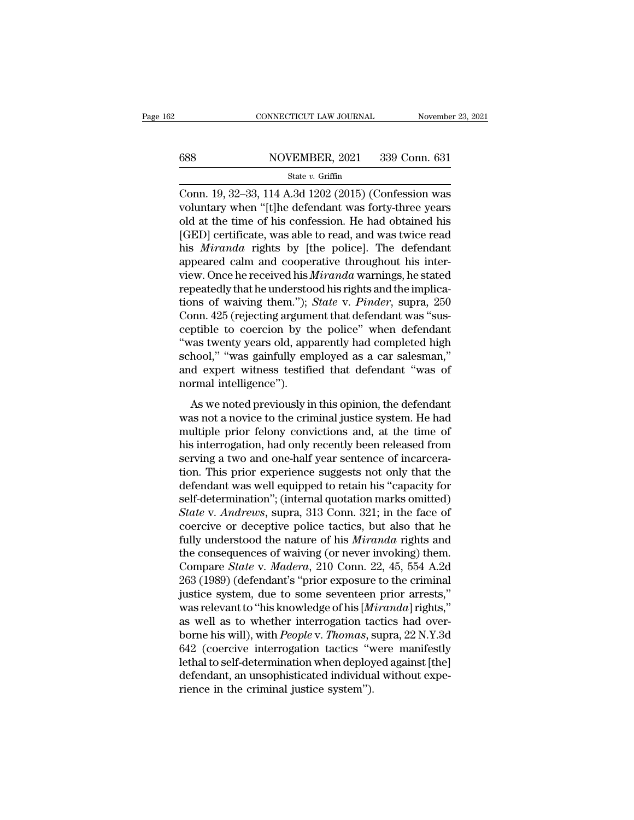# EXECUTE CONNECTICUT LAW JOURNAL Movember 23, 2021<br>
688 NOVEMBER, 2021 339 Conn. 631<br>
State v. Griffin

### State *v.* Griffin

CONNECTICUT LAW JOURNAL November 23, 2021<br>
State v. Griffin<br>
Conn. 19, 32–33, 114 A.3d 1202 (2015) (Confession was<br>
voluntary when "[t]he defendant was forty-three years<br>
cold at the time of his confession. He had obtaine 688 NOVEMBER, 2021 339 Conn. 631<br>
State v. Griffin<br>
Conn. 19, 32–33, 114 A.3d 1202 (2015) (Confession was<br>
voluntary when "[t]he defendant was forty-three years<br>
old at the time of his confession. He had obtained his<br>
ICE 688 NOVEMBER, 2021 339 Conn. 631<br>
State v. Griffin<br>
Conn. 19, 32–33, 114 A.3d 1202 (2015) (Confession was<br>
voluntary when "[t]he defendant was forty-three years<br>
old at the time of his confession. He had obtained his<br>
[GE  $\frac{\text{S38}}{\text{State } v. \text{ GriffithBER, 2021}}$  339 Conn. 631<br>
Conn. 19, 32–33, 114 A.3d 1202 (2015) (Confession was<br>
voluntary when "[t]he defendant was forty-three years<br>
old at the time of his confession. He had obtained his<br>
[GED] ce State *v*. Griffin<br>
Conn. 19, 32–33, 114 A.3d 1202 (2015) (Confession was<br>
voluntary when "[t]he defendant was forty-three years<br>
old at the time of his confession. He had obtained his<br>
[GED] certificate, was able to read, state v. Griftin<br>
Conn. 19, 32–33, 114 A.3d 1202 (2015) (Confession was<br>
voluntary when "[t]he defendant was forty-three years<br>
old at the time of his confession. He had obtained his<br>
[GED] certificate, was able to read, Conn. 19, 32–33, 114 A.3d 1202 (2015) (Confession was<br>voluntary when "[t]he defendant was forty-three years<br>old at the time of his confession. He had obtained his<br>[GED] certificate, was able to read, and was twice read<br>his voluntary when "[t]he defendant was forty-three years<br>old at the time of his confession. He had obtained his<br>[GED] certificate, was able to read, and was twice read<br>his *Miranda* rights by [the police]. The defendant<br>appea old at the time of his confession. He had obtained his [GED] certificate, was able to read, and was twice read<br>his *Miranda* rights by [the police]. The defendant<br>appeared calm and cooperative throughout his inter-<br>view. O [GED] certificate, was able to read, and was twice read<br>his *Miranda* rights by [the police]. The defendant<br>appeared calm and cooperative throughout his inter-<br>view. Once he received his *Miranda* warnings, he stated<br>repea his *Miranda* rights by [the police]. The defendant<br>appeared calm and cooperative throughout his inter-<br>view. Once he received his *Miranda* warnings, he stated<br>repeatedly that he understood his rights and the implica-<br>tio appeared calm and cooperative throughout his inter-<br>view. Once he received his *Miranda* warnings, he stated<br>repeatedly that he understood his rights and the implica-<br>tions of waiving them."); *State* v. *Pinder*, supra, 2 view. Once he received his *Miranda* warnings, he stated<br>repeatedly that he understood his rights and the implica-<br>tions of waiving them."); *State* v. *Pinder*, supra, 250<br>Conn. 425 (rejecting argument that defendant was repeatedly that he understood his rights and the implications of waiving them."); *State* v. *Pinder*, supra, 250 Conn. 425 (rejecting argument that defendant was "susceptible to coercion by the police" when defendant "was tions of waiving them.");<br>Conn. 425 (rejecting argume<br>ceptible to coercion by the<br>"was twenty years old, app<br>school," "was gainfully em<br>and expert witness testifinormal intelligence").<br>As we noted previously in All the control of the police" when defendant<br>prible to coercion by the police" when defendant<br>vas twenty years old, apparently had completed high<br>hool," "was gainfully employed as a car salesman,"<br>d expert witness testifi "was twenty years old, apparently had completed high<br>school," "was gainfully employed as a car salesman,"<br>and expert witness testified that defendant "was of<br>normal intelligence").<br>As we noted previously in this opinion,

mus energy years ora, apparently had completed high<br>school," "was gainfully employed as a car salesman,"<br>and expert witness testified that defendant "was of<br>normal intelligence").<br>As we noted previously in this opinion, th senoot, was gaintary employed as a car satesman,<br>and expert witness testified that defendant "was of<br>normal intelligence").<br>As we noted previously in this opinion, the defendant<br>was not a novice to the criminal justice sys serving a two and one-half years which was or<br>normal intelligence").<br>As we noted previously in this opinion, the defendant<br>was not a novice to the criminal justice system. He had<br>multiple prior felony convictions and, at t The main member of the set of the defendant<br>was not a novice to the criminal justice system. He had<br>multiple prior felony convictions and, at the time of<br>his interrogation, had only recently been released from<br>serving a tw As we noted previously in this opinion, the defendant<br>was not a novice to the criminal justice system. He had<br>multiple prior felony convictions and, at the time of<br>his interrogation, had only recently been released from<br>s was not a novice to the criminal justice system. He had<br>multiple prior felony convictions and, at the time of<br>his interrogation, had only recently been released from<br>serving a two and one-half year sentence of incarcera-<br>t multiple prior felony convictions and, at the time of<br>his interrogation, had only recently been released from<br>serving a two and one-half year sentence of incarcera-<br>tion. This prior experience suggests not only that the<br>de his interrogation, had only recently been released from<br>serving a two and one-half year sentence of incarcera-<br>tion. This prior experience suggests not only that the<br>defendant was well equipped to retain his "capacity for<br> serving a two and one-half year sentence of incarceration. This prior experience suggests not only that the defendant was well equipped to retain his "capacity for self-determination"; (internal quotation marks omitted) *S* tion. This prior experience suggests not only that the defendant was well equipped to retain his "capacity for self-determination"; (internal quotation marks omitted) State v. Andrews, supra, 313 Conn. 321; in the face of defendant was well equipped to retain his "capacity for<br>self-determination"; (internal quotation marks omitted)<br>*State* v. *Andrews*, supra, 313 Conn. 321; in the face of<br>coercive or deceptive police tactics, but also that self-determination"; (internal quotation marks omitted)<br> *State* v. *Andrews*, supra, 313 Conn. 321; in the face of<br>
coercive or deceptive police tactics, but also that he<br>
fully understood the nature of his *Miranda* righ State v. Andrews, supra, 313 Conn. 321; in the face of coercive or deceptive police tactics, but also that he fully understood the nature of his *Miranda* rights and the consequences of waiving (or never invoking) them. Co coercive or deceptive police tactics, but also that he<br>fully understood the nature of his *Miranda* rights and<br>the consequences of waiving (or never invoking) them.<br>Compare *State* v. *Madera*, 210 Conn. 22, 45, 554 A.2d<br>2 fully understood the nature of his *Miranda* rights and<br>the consequences of waiving (or never invoking) them.<br>Compare *State* v. *Madera*, 210 Conn. 22, 45, 554 A.2d<br>263 (1989) (defendant's "prior exposure to the criminal<br> the consequences of waiving (or never invoking) them.<br>Compare *State* v. *Madera*, 210 Conn. 22, 45, 554 A.2d<br>263 (1989) (defendant's "prior exposure to the criminal<br>justice system, due to some seventeen prior arrests,"<br>wa Compare *State* v. *Madera*, 210 Conn. 22, 45, 554 A.2d<br>263 (1989) (defendant's "prior exposure to the criminal<br>justice system, due to some seventeen prior arrests,"<br>was relevant to "his knowledge of his [*Miranda*] rights 263 (1989) (defendant's "prior exposure to the criminal<br>justice system, due to some seventeen prior arrests,"<br>was relevant to "his knowledge of his [*Miranda*] rights,"<br>as well as to whether interrogation tactics had overjustice system, due to some seventeen prior arrests,"<br>was relevant to "his knowledge of his [*Miranda*] rights,"<br>as well as to whether interrogation tactics had over-<br>borne his will), with *People* v. *Thomas*, supra, 22 was relevant to "his knowledge of his [*M* as well as to whether interrogation ta borne his will), with *People* v. *Thomas*, s 642 (coercive interrogation tactics "welchal to self-determination when deploy defendant, an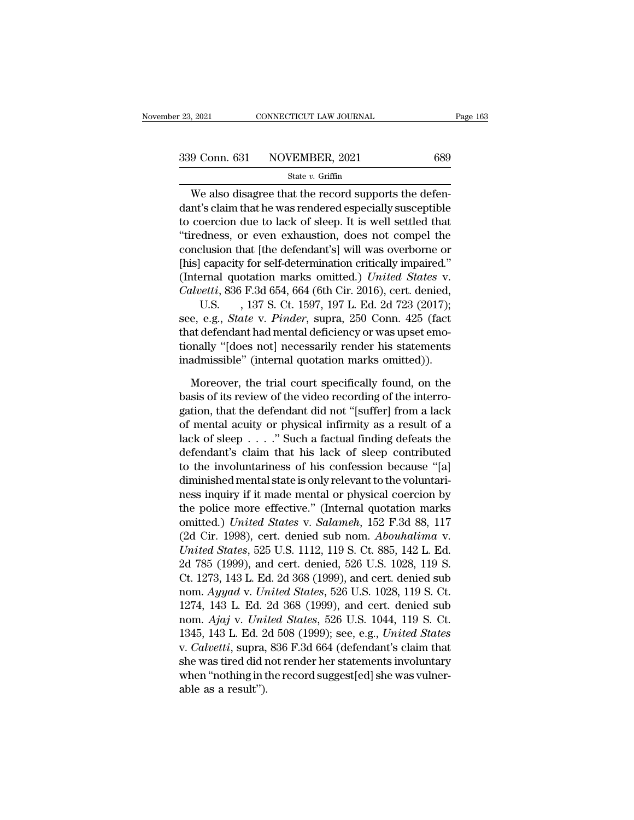$\frac{1}{2021}$  connectricut LAW JOURNAL<br>  $\frac{9 \text{ Conn. } 631}$  NOVEMBER, 2021 689<br>  $\frac{1}{32}$  state v. Griffin<br>
We also disagree that the record supports the defen-<br>
the caling that he was rendered especially susceptible<br>
coord  $\begin{array}{r} \text{339 Conn. 631} \text{NOVEMBER, } 2021 \text{} \text{689} \\ \text{State } v. \text{ Griffith} \end{array}$ <br>We also disagree that the record supports the defendant's claim that he was rendered especially susceptible to coercion due to lack of sleep. It is well se 339 Conn. 631 NOVEMBER, 2021 689<br>
State v. Griffin<br>
We also disagree that the record supports the defendant's claim that he was rendered especially susceptible<br>
to coercion due to lack of sleep. It is well settled that<br>
"  $339$  Conn. 631 NOVEMBER, 2021 689<br>
State v. Griffin<br>
We also disagree that the record supports the defendant's claim that he was rendered especially susceptible<br>
to coercion due to lack of sleep. It is well settled that<br> State v. Griffin<br>We also disagree that the record supports the defendant's claim that he was rendered especially susceptible<br>to coercion due to lack of sleep. It is well settled that<br>"tiredness, or even exhaustion, does n We also disagree that the record supports the defendant's claim that he was rendered especially susceptible to coercion due to lack of sleep. It is well settled that "tiredness, or even exhaustion, does not compel the con We also disagree that the record supports the defen-<br>dant's claim that he was rendered especially susceptible<br>to coercion due to lack of sleep. It is well settled that<br>"tiredness, or even exhaustion, does not compel the<br>co dant's claim that he was rendered especially susceptible<br>to coercion due to lack of sleep. It is well settled that<br>"tiredness, or even exhaustion, does not compel the<br>conclusion that [the defendant's] will was overborne or oercion due to lack of sleep. It is well settled that<br>dness, or even exhaustion, does not compel the<br>clusion that [the defendant's] will was overborne or<br>capacity for self-determination critically impaired."<br>ernal quotatio "tiredness, or even exhaustion, does not compel the<br>conclusion that [the defendant's] will was overborne or<br>[his] capacity for self-determination critically impaired."<br>(Internal quotation marks omitted.) *United States* v.

conclusion that [the defendant's] will was overborne or<br>
[his] capacity for self-determination critically impaired."<br>
(Internal quotation marks omitted.) *United States v.*<br> *Calvetti*, 836 F.3d 654, 664 (6th Cir. 2016), [his] capacity for self-determination critically impaired."<br>(Internal quotation marks omitted.) *United States* v.<br>Calvetti, 836 F.3d 654, 664 (6th Cir. 2016), cert. denied,<br>U.S. , 137 S. Ct. 1597, 197 L. Ed. 2d 723 (2017) (Internal quotation marks omitted.) United States v.<br>Calvetti, 836 F.3d 654, 664 (6th Cir. 2016), cert. denied,<br>U.S., 137 S. Ct. 1597, 197 L. Ed. 2d 723 (2017);<br>see, e.g., *State v. Pinder*, supra, 250 Conn. 425 (fact<br>tha U.S. , 137 S. Ct. 1597, 197 L. Ed. 2d 723 (2017);<br>e, e.g., *State* v. *Pinder*, supra, 250 Conn. 425 (fact<br>at defendant had mental deficiency or was upset emo-<br>pnally "[does not] necessarily render his statements<br>admissibl see, e.g., *State* v. *Pinder*, supra, 250 Conn. 425 (fact that defendant had mental deficiency or was upset emotionally "[does not] necessarily render his statements inadmissible" (internal quotation marks omitted)). More

that defendant had mental deficiency or was upset emo-<br>tionally "[does not] necessarily render his statements<br>inadmissible" (internal quotation marks omitted)).<br>Moreover, the trial court specifically found, on the<br>basis of tionally "[does not] necessarily render his statements<br>inadmissible" (internal quotation marks omitted)).<br>Moreover, the trial court specifically found, on the<br>basis of its review of the video recording of the interro-<br>gat inadmissible" (internal quotation marks omitted)).<br>
Moreover, the trial court specifically found, on the<br>
basis of its review of the video recording of the interro-<br>
gation, that the defendant did not "[suffer] from a lac Moreover, the trial court specifically found, on the<br>basis of its review of the video recording of the interro-<br>gation, that the defendant did not "[suffer] from a lack<br>of mental acuity or physical infirmity as a result o Moreover, the trial court specifically found, on the<br>basis of its review of the video recording of the interro-<br>gation, that the defendant did not "[suffer] from a lack<br>of mental acuity or physical infirmity as a result o basis of its review of the video recording of the interrogation, that the defendant did not "[suffer] from a lack of mental acuity or physical infirmity as a result of a lack of sleep  $\ldots$ ." Such a factual finding defeat gation, that the defendant did not "[suffer] from a lack<br>of mental acuity or physical infirmity as a result of a<br>lack of sleep  $\ldots$ ." Such a factual finding defeats the<br>defendant's claim that his lack of sleep contribute of mental acuity or physical infirmity as a result of a<br>lack of sleep . . . ." Such a factual finding defeats the<br>defendant's claim that his lack of sleep contributed<br>to the involuntariness of his confession because "[a]<br> lack of sleep . . . ." Such a factual finding defeats the<br>defendant's claim that his lack of sleep contributed<br>to the involuntariness of his confession because "[a]<br>diminished mental state is only relevant to the voluntari defendant's claim that his lack of sleep contributed<br>to the involuntariness of his confession because "[a]<br>diminished mental state is only relevant to the voluntari-<br>ness inquiry if it made mental or physical coercion by<br>t to the involuntariness of his confession because "[a]<br>diminished mental state is only relevant to the voluntari-<br>ness inquiry if it made mental or physical coercion by<br>the police more effective." (Internal quotation marks<br> diminished mental state is only relevant to the voluntari-<br>ness inquiry if it made mental or physical coercion by<br>the police more effective." (Internal quotation marks<br>omitted.) United States v. Salameh, 152 F.3d 88, 117<br>( ness inquiry if it made mental or physical coercion by<br>the police more effective." (Internal quotation marks<br>omitted.) United States v. Salameh, 152 F.3d 88, 117<br>(2d Cir. 1998), cert. denied sub nom. Abouhalima v.<br>United S the police more effective." (Internal quotation marks<br>omitted.) *United States* v. *Salameh*, 152 F.3d 88, 117<br>(2d Cir. 1998), cert. denied sub nom. *Abouhalima* v.<br>*United States*, 525 U.S. 1112, 119 S. Ct. 885, 142 L. Ed omitted.) United States v. Salameh, 152 F.3d 88, 117<br>(2d Cir. 1998), cert. denied sub nom. Abouhalima v.<br>United States, 525 U.S. 1112, 119 S. Ct. 885, 142 L. Ed.<br>2d 785 (1999), and cert. denied, 526 U.S. 1028, 119 S.<br>Ct. 1 (2d Cir. 1998), cert. denied sub nom. *Abouhalima v.*<br> *United States*, 525 U.S. 1112, 119 S. Ct. 885, 142 L. Ed.<br>
2d 785 (1999), and cert. denied, 526 U.S. 1028, 119 S.<br>
Ct. 1273, 143 L. Ed. 2d 368 (1999), and cert. denie United States, 525 U.S. 1112, 119 S. Ct. 885, 142 L. Ed.<br>2d 785 (1999), and cert. denied, 526 U.S. 1028, 119 S.<br>Ct. 1273, 143 L. Ed. 2d 368 (1999), and cert. denied sub<br>nom. *Ayyad* v. *United States*, 526 U.S. 1028, 119 S 2d 785 (1999), and cert. denied, 526 U.S. 1028, 119 S.<br>Ct. 1273, 143 L. Ed. 2d 368 (1999), and cert. denied sub<br>nom. *Ayyad* v. *United States*, 526 U.S. 1028, 119 S. Ct.<br>1274, 143 L. Ed. 2d 368 (1999), and cert. denied su Ct. 1273, 143 L. Ed. 2d 368 (1999), and cert. denied sub<br>nom.  $Ayyad$  v. United States, 526 U.S. 1028, 119 S. Ct.<br>1274, 143 L. Ed. 2d 368 (1999), and cert. denied sub<br>nom.  $Ajaj$  v. United States, 526 U.S. 1044, 119 S. Ct.<br>1 nom. Ayyad v. United States, 526 U.S. 1028, 119 S. Ct.<br>1274, 143 L. Ed. 2d 368 (1999), and cert. denied sub<br>nom. Ajaj v. United States, 526 U.S. 1044, 119 S. Ct.<br>1345, 143 L. Ed. 2d 508 (1999); see, e.g., United States<br>v. 1274, 143 L. Ed. 3<br>nom.  $Ajaj$  v. Uni<br>1345, 143 L. Ed. 2<br>v. Calvetti, supra,<br>she was tired did r<br>when "nothing in t<br>able as a result").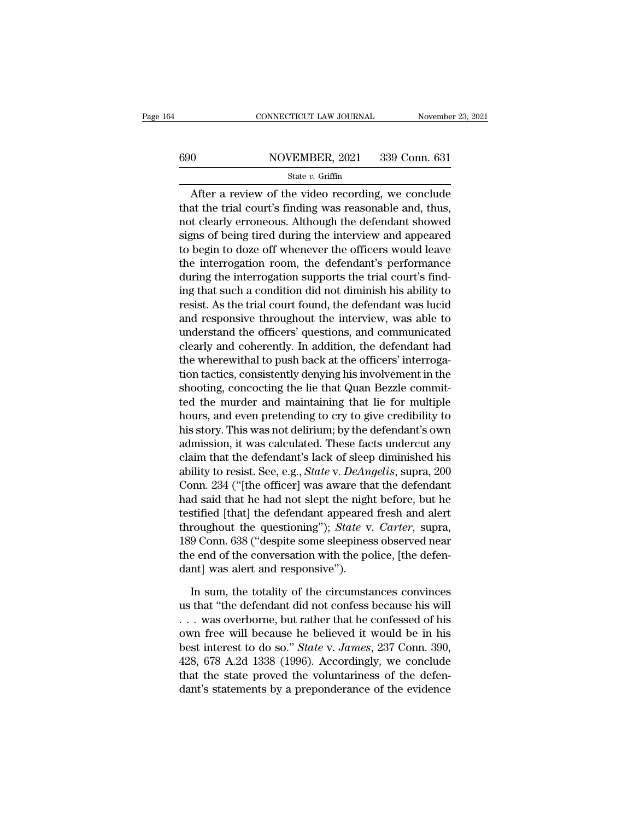### CONNECTICUT LAW JOURNAL November 23, 2021<br>690 NOVEMBER, 2021 339 Conn. 631<br>State v. Griffin State *v.* Griffin

CONNECTICUT LAW JOURNAL November 23, 2021<br>
0 NOVEMBER, 2021 339 Conn. 631<br>
State v. Griffin<br>
After a review of the video recording, we conclude<br>
at the trial court's finding was reasonable and, thus, that the trial court's finding was reasonable and, thus,<br>that the trial court's finding was reasonable and, thus,<br>not clearly erroneous. Although the defendant showed<br>gives of boing tired during the interview and appeared  $\begin{array}{r|l}\n 690 & \text{NOVEMBER, 2021} & 339 \text{ Conn. } 631 \\
 \hline\n \text{State } v. \text{ Griffith} & \text{State } v. \text{病fin} \\
 \hline\n \text{After a review of the video recording, we conclude that the trial court's finding was reasonable and, thus, not clearly erroneous. Although the defendant showed signs of being tired during the interview and appeared to begin to dorg.} \n\end{array}$ signs of being the defordant's performance the interrelation rate of the video recording, we conclude that the trial court's finding was reasonable and, thus, not clearly erroneous. Although the defendant showed signs of State  $v$ . Griffin<br>
After a review of the video recording, we conclude<br>
that the trial court's finding was reasonable and, thus,<br>
not clearly erroneous. Although the defendant showed<br>
signs of being tired during the inter After a review of the video recording, we conclude<br>that the trial court's finding was reasonable and, thus,<br>not clearly erroneous. Although the defendant showed<br>signs of being tired during the interview and appeared<br>to be After a review of the video recording, we conclude<br>that the trial court's finding was reasonable and, thus,<br>not clearly erroneous. Although the defendant showed<br>signs of being tired during the interview and appeared<br>to beg that the trial court's finding was reasonable and, thus,<br>not clearly erroneous. Although the defendant showed<br>signs of being tired during the interview and appeared<br>to begin to doze off whenever the officers would leave<br>th not clearly erroneous. Although the defendant showed<br>signs of being tired during the interview and appeared<br>to begin to doze off whenever the officers would leave<br>the interrogation room, the defendant's performance<br>during signs of being tired during the interview and appeared<br>to begin to doze off whenever the officers would leave<br>the interrogation room, the defendant's performance<br>during the interrogation supports the trial court's find-<br>in to begin to doze off whenever the officers would leave<br>the interrogation room, the defendant's performance<br>during the interrogation supports the trial court's find-<br>ing that such a condition did not diminish his ability to the interrogation room, the defendant's performance<br>during the interrogation supports the trial court's find-<br>ing that such a condition did not diminish his ability to<br>resist. As the trial court found, the defendant was lu during the interrogation supports the trial court's find-<br>ing that such a condition did not diminish his ability to<br>resist. As the trial court found, the defendant was lucid<br>and responsive throughout the interview, was abl ing that such a condition did not diminish his ability to<br>resist. As the trial court found, the defendant was lucid<br>and responsive throughout the interview, was able to<br>understand the officers' questions, and communicated<br> resist. As the trial court found, the defendant was lucid<br>and responsive throughout the interview, was able to<br>understand the officers' questions, and communicated<br>clearly and coherently. In addition, the defendant had<br>the and responsive throughout the interview, was able to<br>understand the officers' questions, and communicated<br>clearly and coherently. In addition, the defendant had<br>the wherewithal to push back at the officers' interroga-<br>tion understand the officers' questions, and communicated<br>clearly and coherently. In addition, the defendant had<br>the wherewithal to push back at the officers' interroga-<br>tion tactics, consistently denying his involvement in the clearly and coherently. In addition, the defendant had<br>the wherewithal to push back at the officers' interroga-<br>tion tactics, consistently denying his involvement in the<br>shooting, concocting the lie that Quan Bezzle commit the wherewithal to push back at the officers' interrogation tactics, consistently denying his involvement in the shooting, concocting the lie that Quan Bezzle committed the murder and maintaining that lie for multiple hour tion tactics, consistently denying his involvement in the shooting, concocting the lie that Quan Bezzle committed the murder and maintaining that lie for multiple hours, and even pretending to cry to give credibility to h shooting, concocting the lie that Quan Bezzle commit-<br>ted the murder and maintaining that lie for multiple<br>hours, and even pretending to cry to give credibility to<br>his story. This was not delirium; by the defendant's own<br>a ted the murder and maintaining that lie for multiple<br>hours, and even pretending to cry to give credibility to<br>his story. This was not delirium; by the defendant's own<br>admission, it was calculated. These facts undercut any<br> hours, and even pretending to cry to give credibility to<br>his story. This was not delirium; by the defendant's own<br>admission, it was calculated. These facts undercut any<br>claim that the defendant's lack of sleep diminished h his story. This was not delirium; by the defendant's own<br>admission, it was calculated. These facts undercut any<br>claim that the defendant's lack of sleep diminished his<br>ability to resist. See, e.g., *State* v. *DeAngelis*, admission, it was calculated. These facts undercut any<br>claim that the defendant's lack of sleep diminished his<br>ability to resist. See, e.g., *State* v. *DeAngelis*, supra, 200<br>Conn. 234 ("[the officer] was aware that the d claim that the defendant's lack of sleep diminished his<br>ability to resist. See, e.g., *State* v. *DeAngelis*, supra, 200<br>Conn. 234 ("[the officer] was aware that the defendant<br>had said that he had not slept the night befor ability to resist. See, e.g., *State* v. *DeAngelis*, supra, 200 Conn. 234 ("[the officer] was aware that the defendant had said that he had not slept the night before, but he testified [that] the defendant appeared fresh Conn. 234 ("[the officer] was aware thand said that he had not slept the night testified [that] the defendant appeared throughout the questioning"); *State* v 189 Conn. 638 ("despite some sleepines the end of the conversat stified [that] the defendant appeared fresh and alert<br>roughout the questioning"); *State* v. *Carter*, supra,<br>9 Conn. 638 ("despite some sleepiness observed near<br>e end of the conversation with the police, [the defen-<br>nt] w throughout the questioning"); *State* v. *Carter*, supra, 189 Conn. 638 ("despite some sleepiness observed near the end of the conversation with the police, [the defendant] was alert and responsive").<br>In sum, the totality

189 Conn. 638 ("despite some sleepiness observed near<br>the end of the conversation with the police, [the defen-<br>dant] was alert and responsive").<br>In sum, the totality of the circumstances convinces<br>us that "the defendant d the end of the conversation with the police, [the defendant] was alert and responsive").<br>
In sum, the totality of the circumstances convinces<br>
us that "the defendant did not confess because his will<br>
... was overborne, bu dant] was alert and responsive").<br>In sum, the totality of the circumstances convinces<br>us that "the defendant did not confess because his will<br>... was overborne, but rather that he confessed of his<br>own free will because he In sum, the totality of the circumstances convinces<br>us that "the defendant did not confess because his will<br>... was overborne, but rather that he confessed of his<br>own free will because he believed it would be in his<br>best In sum, the totality of the circumstances convinces<br>us that "the defendant did not confess because his will<br>... was overborne, but rather that he confessed of his<br>own free will because he believed it would be in his<br>best us that "the defendant did not confess because his will<br>  $\ldots$  was overborne, but rather that he confessed of his<br>
own free will because he believed it would be in his<br>
best interest to do so." *State v. James*, 237 Conn.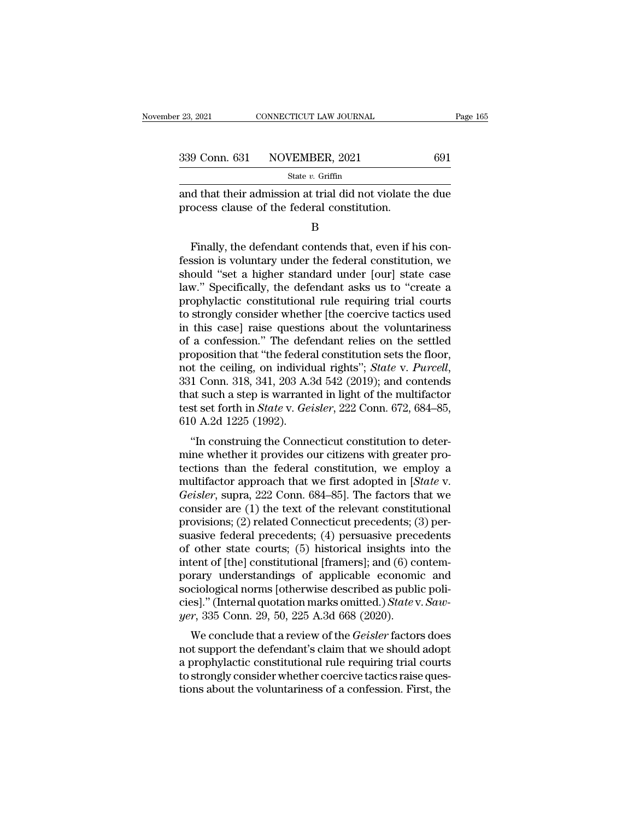| 23, 2021 | CONNECTICUT LAW JOURNAL      | Page 165 |  |
|----------|------------------------------|----------|--|
|          |                              |          |  |
|          | 339 Conn. 631 NOVEMBER, 2021 | 691      |  |
|          | State $v$ . Griffin          |          |  |

<sup>23, 2021</sup> CONNECTICUT LAW JOURNAL Page 165<br>
339 Conn. 631 NOVEMBER, 2021 691<br>
<sup>31</sup> State v. Griffin<br>
and that their admission at trial did not violate the due<br>
process clause of the federal constitution. 339 Conn. 631 NOVEMBER, 2021<br>
State v. Griffin<br>
and that their admission at trial did not violate t<br>
process clause of the federal constitution.<br>
B

B

Finally, the defendant contends that, even if his consistent contends that, even if his con-<br>Sizally, the defendant contends that, even if his con-<br>Sizally, the defendant contends that, even if his con-<br>Sizally, the defen State v. Griffin<br>
and that their admission at trial did not violate the due<br>
process clause of the federal constitution.<br>
B<br>
Finally, the defendant contends that, even if his con-<br>
fession is voluntary under the federal c and that their admission at trial did not violate the due<br>process clause of the federal constitution.<br>B<br>Finally, the defendant contends that, even if his con-<br>fession is voluntary under the federal constitution, we<br>should process clause of the federal constitution.<br>B<br>Finally, the defendant contends that, even if his con-<br>fession is voluntary under the federal constitution, we<br>should "set a higher standard under [our] state case<br>law." Specif B<br>
Finally, the defendant contends that, even if his con-<br>
fession is voluntary under the federal constitution, we<br>
should "set a higher standard under [our] state case<br>
law." Specifically, the defendant asks us to "create Finally, the defendant contends that, even if his con-<br>fession is voluntary under the federal constitution, we<br>should "set a higher standard under [our] state case<br>law." Specifically, the defendant asks us to "create a<br>pro Finally, the defendant contends that, even if his confession is voluntary under the federal constitution, we should "set a higher standard under [our] state case law." Specifically, the defendant asks us to "create a proph fession is voluntary under the federal constitution, we<br>should "set a higher standard under [our] state case<br>law." Specifically, the defendant asks us to "create a<br>prophylactic constitutional rule requiring trial courts<br>to should "set a higher standard under [our] state case<br>law." Specifically, the defendant asks us to "create a<br>prophylactic constitutional rule requiring trial courts<br>to strongly consider whether [the coercive tactics used<br>in law." Specifically, the defendant asks us to "create a<br>prophylactic constitutional rule requiring trial courts<br>to strongly consider whether [the coercive tactics used<br>in this case] raise questions about the voluntariness<br>o to strongly consider whether [the coercive tactics used<br>in this case] raise questions about the voluntariness<br>of a confession." The defendant relies on the settled<br>proposition that "the federal constitution sets the floor in this case] raise questions about the voluntariness<br>of a confession." The defendant relies on the settled<br>proposition that "the federal constitution sets the floor,<br>not the ceiling, on individual rights"; *State* v. *Pur* of a confession." The defe<br>proposition that "the federa<br>not the ceiling, on individe<br>331 Conn. 318, 341, 203 A.:<br>that such a step is warrant<br>test set forth in *State* v. Ge:<br>610 A.2d 1225 (1992).<br>"In construing the Conne by opposition that the federal constitution sets the noot,<br>
it the ceiling, on individual rights"; *State v. Purcell*,<br>
1 Conn. 318, 341, 203 A.3d 542 (2019); and contends<br>
at such a step is warranted in light of the mult mot the centric of multivatual rights , state v. *Tureat*,<br>331 Conn. 318, 341, 203 A.3d 542 (2019); and contends<br>that such a step is warranted in light of the multifactor<br>test set forth in *State* v. *Geisler*, 222 Conn. 6

351 Collit. 318, 341, 203 A.3d 342 (2019), and collients<br>that such a step is warranted in light of the multifactor<br>test set forth in *State* v. *Geisler*, 222 Conn. 672, 684–85,<br>610 A.2d 1225 (1992).<br>"In construing the Co test set forth in *State* v. *Geisler*, 222 Conn. 672, 684–85,<br>610 A.2d 1225 (1992).<br>"In construing the Connecticut constitution to deter-<br>mine whether it provides our citizens with greater pro-<br>tections than the federal c *Geisler*, *Geisler*, *ZZZ* Conn. 672, 064–65,<br>610 A.2d 1225 (1992).<br>"In construing the Connecticut constitution to deter-<br>mine whether it provides our citizens with greater pro-<br>tections than the federal constitution, we The construing the Connecticut constitution to deter-<br>mine whether it provides our citizens with greater pro-<br>tections than the federal constitution, we employ a<br>multifactor approach that we first adopted in [*State v.*<br> "In construing the Connecticut constitution to determine whether it provides our citizens with greater protections than the federal constitution, we employ a multifactor approach that we first adopted in [*State v. Geisle* mine whether it provides our citizens with greater pro-<br>tections than the federal constitution, we employ a<br>multifactor approach that we first adopted in [*State* v.<br>*Geisler*, supra, 222 Conn. 684–85]. The factors that w tections than the federal constitution, we employ a<br>multifactor approach that we first adopted in [*State v.*<br>Geisler, supra, 222 Conn. 684–85]. The factors that we<br>consider are (1) the text of the relevant constitutional<br> multifactor approach that we first adopted in [*State v. Geisler*, supra, 222 Conn. 684–85]. The factors that we consider are (1) the text of the relevant constitutional provisions; (2) related Connecticut precedents; (3) Geisler, supra, 222 Conn. 684–85]. The factors that we<br>consider are (1) the text of the relevant constitutional<br>provisions; (2) related Connecticut precedents; (3) per-<br>suasive federal precedents; (4) persuasive precedent consider are (1) the text of the relevant constitutional<br>provisions; (2) related Connecticut precedents; (3) per-<br>suasive federal precedents; (4) persuasive precedents<br>of other state courts; (5) historical insights into t provisions; (2) related Connecticut precedents; (3) persuasive federal precedents; (4) persuasive precedents of other state courts; (5) historical insights into the intent of [the] constitutional [framers]; and (6) contemp suasive federal precedents; (4) persuasive precof other state courts; (5) historical insights in intent of [the] constitutional [framers]; and (6) co porary understandings of applicable economisociological norms [otherwise The final contrast and the control of the *Geisler* factors and ciological norms [otherwise described as public politions]." (Internal quotation marks omitted.) *State v. Saw-r*, 335 Conn. 29, 50, 225 A.3d 668 (2020).<br>We c ment of [the] constitutional [framers], and (o) contemporary understandings of applicable economic and<br>sociological norms [otherwise described as public poli-<br>cies]." (Internal quotation marks omitted.) *State* v. *Saw-<br>ye* 

porary understandings or applicable economic and<br>sociological norms [otherwise described as public poli-<br>cies]." (Internal quotation marks omitted.) State v. Saw-<br>yer, 335 Conn. 29, 50, 225 A.3d 668 (2020).<br>We conclude th sociological florials (other wise described as public policies)." (Internal quotation marks omitted.) State v. Saw-<br>yer, 335 Conn. 29, 50, 225 A.3d 668 (2020).<br>We conclude that a review of the *Geisler* factors does<br>not su the v. Subsetequent of the Geisler factors does<br>yer, 335 Conn. 29, 50, 225 A.3d 668 (2020).<br>We conclude that a review of the *Geisler* factors does<br>not support the defendant's claim that we should adopt<br>a prophylactic cons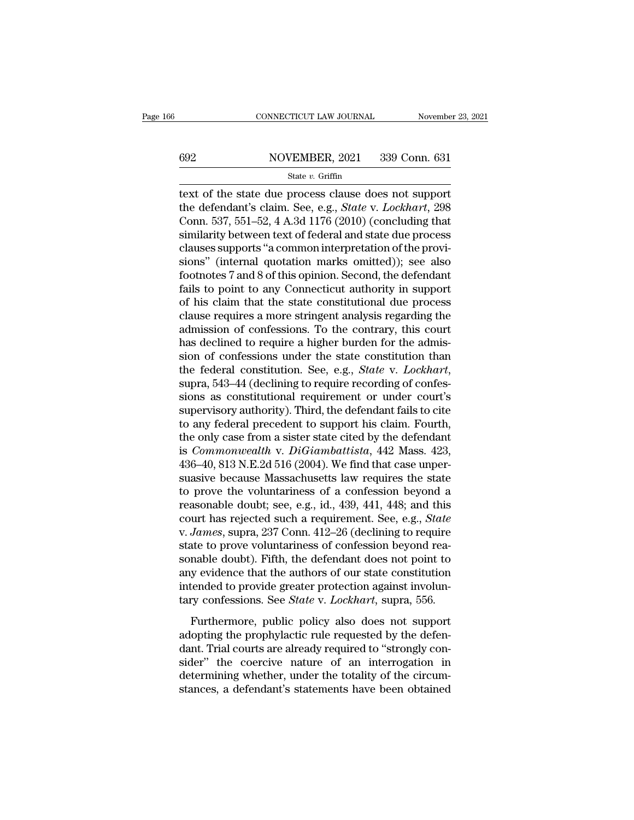# CONNECTICUT LAW JOURNAL November 23, 2021<br>692 NOVEMBER, 2021 339 Conn. 631<br>State v. Griffin

### State *v.* Griffin

CONNECTICUT LAW JOURNAL November 23, 202<br>
State v. Griffin<br>
State v. Griffin<br>
Ext of the state due process clause does not support<br>
the defendant's claim. See, e.g., *State v. Lockhart*, 298<br>
Conn. 527, 551, 52, 4, A 2d 1 the defendant's claim. See, e.g., *State v. Lockhart*, 208 Conn. 537, 551–52, 4 A.3d 1176 (2010) (concluding that emilently between to the federal and state due process 692 NOVEMBER, 2021 339 Conn. 631<br>
State v. Griffin<br>
text of the state due process clause does not support<br>
the defendant's claim. See, e.g., *State v. Lockhart*, 298<br>
Conn. 537, 551–52, 4 A.3d 1176 (2010) (concluding that Similarly between text of the state due process clause does not support<br>the defendant's claim. See, e.g., *State v. Lockhart*, 298<br>Conn. 537, 551–52, 4 A.3d 1176 (2010) (concluding that<br>similarity between text of federal 692 NOVEMBER, 2021 339 Conn. 631<br>
State v. Griffin<br>
text of the state due process clause does not support<br>
the defendant's claim. See, e.g., *State* v. *Lockhart*, 298<br>
Conn. 537, 551–52, 4 A.3d 1176 (2010) (concluding th state v. Griffin<br>text of the state due process clause does not support<br>the defendant's claim. See, e.g., *State* v. *Lockhart*, 298<br>Conn. 537, 551–52, 4 A.3d 1176 (2010) (concluding that<br>similarity between text of federal text of the state due process clause does not support<br>the defendant's claim. See, e.g., *State* v. *Lockhart*, 298<br>Conn. 537, 551–52, 4 A.3d 1176 (2010) (concluding that<br>similarity between text of federal and state due pro the defendant's claim. See, e.g., *State* v. *Lockhart*, 298<br>Conn. 537, 551–52, 4 A.3d 1176 (2010) (concluding that<br>similarity between text of federal and state due process<br>clauses supports "a common interpretation of the Conn. 537, 551–52, 4 A.3d 1176 (2010) (concluding that<br>similarity between text of federal and state due process<br>clauses supports "a common interpretation of the provi-<br>sions" (internal quotation marks omitted)); see also<br>f similarity between text of federal and state due process<br>clauses supports "a common interpretation of the provi-<br>sions" (internal quotation marks omitted)); see also<br>footnotes 7 and 8 of this opinion. Second, the defendant clauses supports "a common interpretation of the provisions" (internal quotation marks omitted)); see also footnotes 7 and 8 of this opinion. Second, the defendant fails to point to any Connecticut authority in support of sions" (internal quotation marks omitted)); see also<br>footnotes 7 and 8 of this opinion. Second, the defendant<br>fails to point to any Connecticut authority in support<br>of his claim that the state constitutional due process<br>c footnotes 7 and 8 of this opinion. Second, the defendant<br>fails to point to any Connecticut authority in support<br>of his claim that the state constitutional due process<br>clause requires a more stringent analysis regarding the fails to point to any Connecticut authority in support<br>of his claim that the state constitutional due process<br>clause requires a more stringent analysis regarding the<br>admission of confessions. To the contrary, this court<br>ha clause requires a more stringent analysis regarding the<br>admission of confessions. To the contrary, this court<br>has declined to require a higher burden for the admis-<br>sion of confessions under the state constitution than<br>the admission of confessions. To the contrary, this court<br>has declined to require a higher burden for the admis-<br>sion of confessions under the state constitution than<br>the federal constitution. See, e.g., *State* v. *Lockhart*, has declined to require a higher burden for the admission of confessions under the state constitution than<br>the federal constitution. See, e.g., *State v. Lockhart*,<br>supra, 543–44 (declining to require recording of confession of confessions under the state constitution than<br>the federal constitution. See, e.g., *State* v. *Lockhart*,<br>supra, 543–44 (declining to require recording of confes-<br>sions as constitutional requirement or under court' the federal constitution. See, e.g., *State v. Lockhart*,<br>supra, 543–44 (declining to require recording of confes-<br>sions as constitutional requirement or under court's<br>supervisory authority). Third, the defendant fails to supra, 543–44 (declining to require recording of confessions as constitutional requirement or under court's<br>supervisory authority). Third, the defendant fails to cite<br>to any federal precedent to support his claim. Fourth,<br> sions as constitutional requirement or under court's<br>supervisory authority). Third, the defendant fails to cite<br>to any federal precedent to support his claim. Fourth,<br>the only case from a sister state cited by the defenda supervisory authority). Third, the defendant fails to cite<br>to any federal precedent to support his claim. Fourth,<br>the only case from a sister state cited by the defendant<br>is *Commonwealth* v. *DiGiambattista*, 442 Mass. 42 to any federal precedent to support his claim. Fourth,<br>the only case from a sister state cited by the defendant<br>is *Commonwealth* v. *DiGiambattista*, 442 Mass. 423,<br>436–40, 813 N.E.2d 516 (2004). We find that case unperthe only case from a sister state cited by the defendant<br>is *Commonwealth* v. *DiGiambattista*, 442 Mass. 423,<br>436–40, 813 N.E.2d 516 (2004). We find that case unper-<br>suasive because Massachusetts law requires the state<br>to is *Commonwealth* v. *DiGiambattista*, 442 Mass. 423, 436–40, 813 N.E.2d 516 (2004). We find that case unpersuasive because Massachusetts law requires the state to prove the voluntariness of a confession beyond a reasonabl 436–40, 813 N.E.2d 516 (2004). We find that case unper-<br>suasive because Massachusetts law requires the state<br>to prove the voluntariness of a confession beyond a<br>reasonable doubt; see, e.g., id., 439, 441, 448; and this<br>co suasive because Massachusetts law requires the state<br>to prove the voluntariness of a confession beyond a<br>reasonable doubt; see, e.g., id., 439, 441, 448; and this<br>court has rejected such a requirement. See, e.g., *State*<br>v to prove the voluntariness of a confession beyond a<br>reasonable doubt; see, e.g., id., 439, 441, 448; and this<br>court has rejected such a requirement. See, e.g., *State*<br>v. *James*, supra, 237 Conn. 412–26 (declining to req reasonable doubt; see, e.g., id., 439, 441, 448; and this<br>court has rejected such a requirement. See, e.g., *State*<br>v. James, supra, 237 Conn. 412–26 (declining to require<br>state to prove voluntariness of confession beyond court has rejected such a requirement. See, e.g., *State* v. *James*, supra, 237 Conn. 412–26 (declining to require state to prove voluntariness of confession beyond reasonable doubt). Fifth, the defendant does not point t Furthermore, public policy also does not support<br>Furthermore, public provides and point to<br>y evidence that the authors of our state constitution<br>tended to provide greater protection against involun-<br>ry confessions. See *St* sonable doubt). Fifth, the defendant does not point to<br>any evidence that the authors of our state constitution<br>intended to provide greater protection against involun-<br>tary confessions. See *State* v. *Lockhart*, supra, 556

dant the authors of our state constitution<br>any evidence that the authors of our state constitution<br>intended to provide greater protection against involun-<br>tary confessions. See *State* v. *Lockhart*, supra, 556.<br>Furthermor intended to provide greater protection against involuntary confessions. See *State* v. *Lockhart*, supra, 556.<br>Furthermore, public policy also does not support adopting the prophylactic rule requested by the defendant. Tri determining whether, under the totality confessions. See *State v. Lockhart*, supra, 556.<br>Furthermore, public policy also does not support adopting the prophylactic rule requested by the defendant. Trial courts are already Furthermore, public policy also does not support adopting the prophylactic rule requested by the defendant. Trial courts are already required to "strongly consider" the coercive nature of an interrogation in determining wh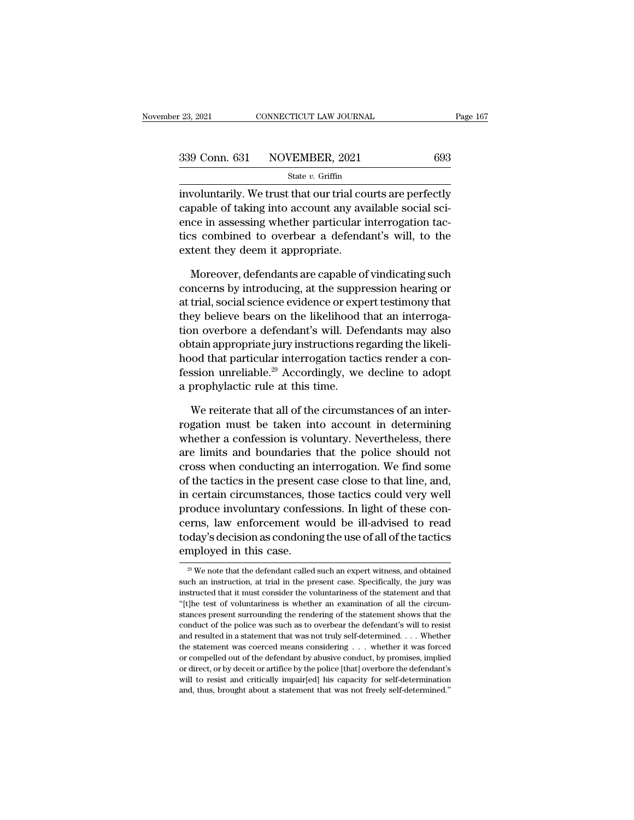<sup>23, 2021</sup> CONNECTICUT LAW JOURNAL Page 167<br>
339 Conn. 631 NOVEMBER, 2021 693<br>
<sup>339</sup> State *v*. Griffin<br>
involuntarily. We trust that our trial courts are perfectly<br>
capable of taking into account any available social sci 339 Conn. 631 NOVEMBER, 2021 693<br>
State v. Griffin<br>
involuntarily. We trust that our trial courts are perfectly<br>
capable of taking into account any available social sci-<br>
ence in assessing whether particular interrogation 339 Conn. 631 NOVEMBER, 2021 693<br>
State v. Griffin<br>
involuntarily. We trust that our trial courts are perfectly<br>
capable of taking into account any available social sci-<br>
ence in assessing whether particular interrogation 339 Conn. 631 NOVEMBER, 2021 693<br>
state v. Griffin<br>
involuntarily. We trust that our trial courts are perfectly<br>
capable of taking into account any available social sci-<br>
ence in assessing whether particular interrogation  $\begin{array}{lll} \text{State }v.\text{ Griffith} \\\text{involutarily. We trust that our trial co} \\\text{capable of taking into account any av:} \\\text{ence in assessing whether particular i} \\\text{tics combined to overbear a defend} \\\text{extend} \\\text{extend} \\\text{extent they} \\\text{den it appropriate.} \\\\ \text{Moreover, defendants are capable of} \end{array}$ woluntarily. We trust that our trial courts are perfectly<br>pable of taking into account any available social sci-<br>ce in assessing whether particular interrogation tac-<br>s combined to overbear a defendant's will, to the<br>tent capable of taking into account any available social science in assessing whether particular interrogation tactics combined to overbear a defendant's will, to the extent they deem it appropriate.<br>Moreover, defendants are ca

ence in assessing whether particular interrogation tactics combined to overbear a defendant's will, to the extent they deem it appropriate.<br>
Moreover, defendants are capable of vindicating such concerns by introducing, at tics combined to overbear a defendant's will, to the<br>extent they deem it appropriate.<br>Moreover, defendants are capable of vindicating such<br>concerns by introducing, at the suppression hearing or<br>at trial, social science evi extent they deem it appropriate.<br>
Moreover, defendants are capable of vindicating such<br>
concerns by introducing, at the suppression hearing or<br>
at trial, social science evidence or expert testimony that<br>
they believe bears Moreover, defendants are capable of vindicating such concerns by introducing, at the suppression hearing or at trial, social science evidence or expert testimony that they believe bears on the likelihood that an interroga Moreover, detendants are capable of vindicating such concerns by introducing, at the suppression hearing or at trial, social science evidence or expert testimony that they believe bears on the likelihood that an interroga concerns by introducing, at the suppression hearing or<br>at trial, social science evidence or expert testimony that<br>they believe bears on the likelihood that an interroga-<br>tion overbore a defendant's will. Defendants may als at trial, social science evidence or exp<br>they believe bears on the likelihood<br>tion overbore a defendant's will. Def<br>obtain appropriate jury instructions re<br>hood that particular interrogation tac<br>fession unreliable.<sup>29</sup> Acc on overbore a defendant's will. Defendants may also<br>tain appropriate jury instructions regarding the likeli-<br>lood that particular interrogation tactics render a con-<br>ssion unreliable.<sup>29</sup> Accordingly, we decline to adopt<br>p obtain appropriate jury instructions regarding the likelihood that particular interrogation tactics render a confession unreliable.<sup>29</sup> Accordingly, we decline to adopt a prophylactic rule at this time.<br>We reiterate that a

hood that particular interrogation tactics render a confession unreliable.<sup>29</sup> Accordingly, we decline to adopt<br>a prophylactic rule at this time.<br>We reiterate that all of the circumstances of an inter-<br>rogation must be tak fession unreliable.<sup>29</sup> Accordingly, we decline to adopt<br>a prophylactic rule at this time.<br>We reiterate that all of the circumstances of an inter-<br>rogation must be taken into account in determining<br>whether a confession is a prophylactic rule at this time.<br>We reiterate that all of the circumstances of an inter-<br>rogation must be taken into account in determining<br>whether a confession is voluntary. Nevertheless, there<br>are limits and boundaries We reiterate that all of the circumstances of an inter-<br>rogation must be taken into account in determining<br>whether a confession is voluntary. Nevertheless, there<br>are limits and boundaries that the police should not<br>cross w We reiterate that all of the circumstances of an inter-<br>rogation must be taken into account in determining<br>whether a confession is voluntary. Nevertheless, there<br>are limits and boundaries that the police should not<br>cross w rogation must be taken into account in determining<br>whether a confession is voluntary. Nevertheless, there<br>are limits and boundaries that the police should not<br>cross when conducting an interrogation. We find some<br>of the tac whether a contession is voluntary. Nevertheless, there<br>are limits and boundaries that the police should not<br>cross when conducting an interrogation. We find some<br>of the tactics in the present case close to that line, and,<br>i are limits and boundaries that the police should not<br>cross when conducting an interrogation. We find some<br>of the tactics in the present case close to that line, and,<br>in certain circumstances, those tactics could very well<br> cross when conducting an in<br>of the tactics in the present<br>in certain circumstances, th<br>produce involuntary confess<br>cerns, law enforcement wo<br>today's decision as condonin<br>employed in this case.<br><sup>29</sup> We note that the defenda produce involuntary confessions. In light of these concerns, law enforcement would be ill-advised to read today's decision as condoning the use of all of the tactics employed in this case.<br> $\frac{1}{20}$  We note that the defe cerns, law enforcement would be ill-advised to read<br>today's decision as condoning the use of all of the tactics<br>employed in this case.<br> $\frac{20 \text{ W}}{100 \text{ W}}$  we note that the defendant called such an expert witness, and ob

today's decision as condoning the use of all of the tactics<br>employed in this case.<br> $\frac{1}{20}$  We note that the defendant called such an expert witness, and obtained<br>such an instruction, at trial in the present case. Speci employed in this case.<br>  $\frac{29}{4}$  We note that the defendant called such an expert witness, and obtained such an instruction, at trial in the present case. Specifically, the jury was instructed that it must consider the  $\frac{20}{3}$  We note that the defendant called such an expert witness, and obtained such an instruction, at trial in the present case. Specifically, the jury was instructed that it must consider the voluntariness of the sta <sup>29</sup> We note that the defendant called such an expert witness, and obtained such an instruction, at trial in the present case. Specifically, the jury was instructed that it must consider the voluntariness of the statement such an instruction, at trial in the present case. Specifically, the jury was instructed that it must consider the voluntariness of the statement and that "[t]he test of voluntariness is whether an examination of all the instructed that it must consider the voluntariness of the statement and that "[t]he test of voluntariness is whether an examination of all the circumstances present surrounding the rendering of the statement shows that th "(t) the test of voluntariness is whether an examination of all the circum-<br>stances present surrounding the rendering of the statement shows that the<br>conduct of the police was such as to overbear the defendant's will to r "[t]he test of voluntariness is whether an examination of all the circum-<br>stances present surrounding the rendering of the statement shows that the<br>conduct of the police was such as to overbear the defendant's will to res conduct of the police was such as to overbear the defendant's will to resist<br>and resulted in a statement that was not truly self-determined. . . . Whether<br>the statement was coerced means considering . . . whether it was f and resulted in a statement that was not truly self-determined. $\ldots$  . Whether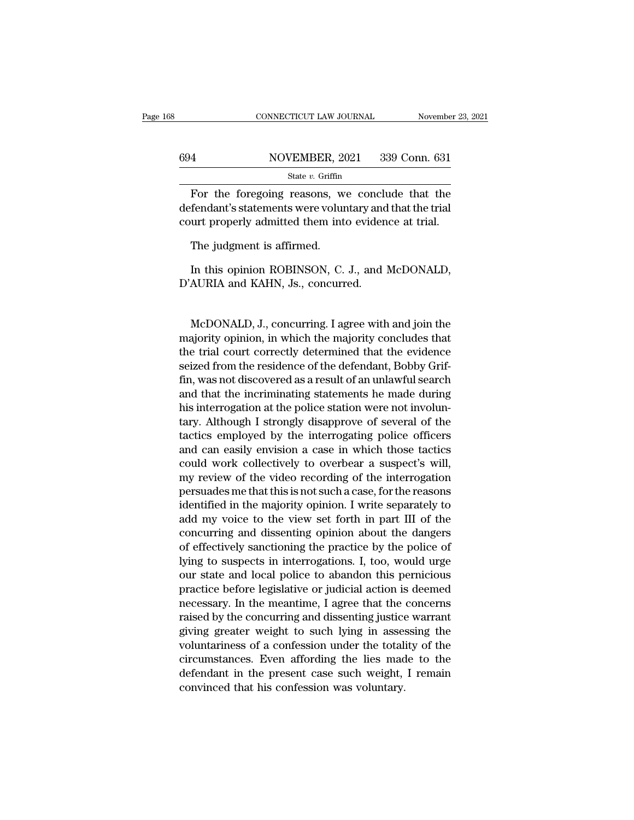|     | CONNECTICUT LAW JOURNAL                                                                                                                                             | November 23, 2021 |
|-----|---------------------------------------------------------------------------------------------------------------------------------------------------------------------|-------------------|
|     |                                                                                                                                                                     |                   |
| 694 | NOVEMBER, 2021                                                                                                                                                      | 339 Conn. 631     |
|     | State v. Griffin                                                                                                                                                    |                   |
|     | For the foregoing reasons, we conclude that the<br>defendant's statements were voluntary and that the trial<br>count proposity odmitted them into evidence at trial |                   |

 $694 \n NOVEMBER, 2021 \n 339 \n Cont, 631 \n State *v. Griffith* \n State *v. Griffith* \n Cont \n Cont \n Cont \n Statements \n over \n cont \n Cont \n property \n admitted \n then \n into \n evidence \n at trial$ </u> 694 NOVEMBER, 2021 339 Conn. 631<br>
State v. Griffin<br>
For the foregoing reasons, we conclude that the<br>
defendant's statements were voluntary and that the trial<br>
court properly admitted them into evidence at trial.<br>
The iudg  $\frac{1000 \text{ mBIR}}{\text{State } v. \text{ Griffith}}$ <br>  $\frac{1000 \text{ mBIR}}{\text{State } v. \text{ Griffith}}$ <br>  $\frac{1000 \text{ mBIR}}{\text{State } v. \text{ Griffith}}$ <br>  $\frac{1000 \text{ mBIR}}{\text{State } v. \text{ Griffith}}$ <br>  $\frac{1000 \text{ mBIR}}{\text{State } v. \text{ Griffith}}$ <br>  $\frac{1000 \text{ mBIR}}{\text{State } v. \text{$ **original** For the foregoing reasons, we conclude that the<br>fendant's statements were voluntary and that the trial<br>urt properly admitted them into evidence at trial.<br>The judgment is affirmed.<br>In this opinion ROBINSON, C. J., and McDON defendant's statements were voluntary and<br>court properly admitted them into eviden<br>The judgment is affirmed.<br>In this opinion ROBINSON, C. J., and D'AURIA and KAHN, Js., concurred.

The judgment is affirmed.<br>In this opinion ROBINSON, C. J., and McDONALD,<br>AURIA and KAHN, Js., concurred.<br>McDONALD, J., concurring. I agree with and join the<br>ajority opinion, in which the majority concludes that<br>a trial gou In this opinion ROBINSON, C. J., and McDONALD,<br>D'AURIA and KAHN, Js., concurred.<br>McDONALD, J., concurring. I agree with and join the<br>majority opinion, in which the majority concludes that<br>the trial court correctly determin In this opinion ROBINSON, C. J., and McDONALD,<br>D'AURIA and KAHN, Js., concurred.<br>McDONALD, J., concurring. I agree with and join the<br>majority opinion, in which the majority concludes that<br>the trial court correctly determin D'AURIA and KAHN, Js., concurred.<br>McDONALD, J., concurring. I agree with and join the<br>majority opinion, in which the majority concludes that<br>the trial court correctly determined that the evidence<br>seized from the residence McDONALD, J., concurring. I agree with and join the<br>majority opinion, in which the majority concludes that<br>the trial court correctly determined that the evidence<br>seized from the residence of the defendant, Bobby Grif-<br>fin, McDONALD, J., concurring. I agree with and join the<br>majority opinion, in which the majority concludes that<br>the trial court correctly determined that the evidence<br>seized from the residence of the defendant, Bobby Grif-<br>fin, McDONALD, J., concurring. I agree with and join the<br>majority opinion, in which the majority concludes that<br>the trial court correctly determined that the evidence<br>seized from the residence of the defendant, Bobby Grif-<br>fin, majority opinion, in which the majority concludes that<br>the trial court correctly determined that the evidence<br>seized from the residence of the defendant, Bobby Grif-<br>fin, was not discovered as a result of an unlawful searc the trial court correctly determined that the evidence<br>seized from the residence of the defendant, Bobby Grif-<br>fin, was not discovered as a result of an unlawful search<br>and that the incriminating statements he made during<br> seized from the residence of the defendant, Bobby Grif-<br>fin, was not discovered as a result of an unlawful search<br>and that the incriminating statements he made during<br>his interrogation at the police station were not involu fin, was not discovered as a result of an unlawful search<br>and that the incriminating statements he made during<br>his interrogation at the police station were not involun-<br>tary. Although I strongly disapprove of several of th and that the incriminating statements he made during<br>his interrogation at the police station were not involun-<br>tary. Although I strongly disapprove of several of the<br>tactics employed by the interrogating police officers<br>an his interrogation at the police station were not involuntary. Although I strongly disapprove of several of the tactics employed by the interrogating police officers and can easily envision a case in which those tactics cou tary. Although I strongly disapprove of several of the<br>tactics employed by the interrogating police officers<br>and can easily envision a case in which those tactics<br>could work collectively to overbear a suspect's will,<br>my re tactics employed by the interrogating police officers<br>and can easily envision a case in which those tactics<br>could work collectively to overbear a suspect's will,<br>my review of the video recording of the interrogation<br>persua and can easily envision a case in which those tactics<br>could work collectively to overbear a suspect's will,<br>my review of the video recording of the interrogation<br>persuades me that this is not such a case, for the reasons<br>i could work collectively to overbear a suspect's will,<br>my review of the video recording of the interrogation<br>persuades me that this is not such a case, for the reasons<br>identified in the majority opinion. I write separately my review of the video recording of the interrogation<br>persuades me that this is not such a case, for the reasons<br>identified in the majority opinion. I write separately to<br>add my voice to the view set forth in part III of t persuades me that this is not such a case, for the reasons<br>identified in the majority opinion. I write separately to<br>add my voice to the view set forth in part III of the<br>concurring and dissenting opinion about the dangers relation in the majority opinion. I write separately to<br>add my voice to the view set forth in part III of the<br>concurring and dissenting opinion about the dangers<br>of effectively sanctioning the practice by the police of<br>lyi add my voice to the view set forth in part III of the<br>concurring and dissenting opinion about the dangers<br>of effectively sanctioning the practice by the police of<br>lying to suspects in interrogations. I, too, would urge<br>our concurring and dissenting opinion about the dangers<br>of effectively sanctioning the practice by the police of<br>lying to suspects in interrogations. I, too, would urge<br>our state and local police to abandon this pernicious<br>pra of effectively sanctioning the practice by the police of<br>lying to suspects in interrogations. I, too, would urge<br>our state and local police to abandon this pernicious<br>practice before legislative or judicial action is deeme lying to suspects in interrogations. I, too, would urge<br>our state and local police to abandon this pernicious<br>practice before legislative or judicial action is deemed<br>necessary. In the meantime, I agree that the concerns<br>r our state and local police to abandon this permicious<br>practice before legislative or judicial action is deemed<br>necessary. In the meantime, I agree that the concerns<br>raised by the concurring and dissenting justice warrant<br>g practice before legislative or judicial action is deemed<br>necessary. In the meantime, I agree that the concerns<br>raised by the concurring and dissenting justice warrant<br>giving greater weight to such lying in assessing the<br>vo necessary. In the meantime, I agree that the raised by the concurring and dissenting justice giving greater weight to such lying in asses voluntariness of a confession under the total circumstances. Even affording the lies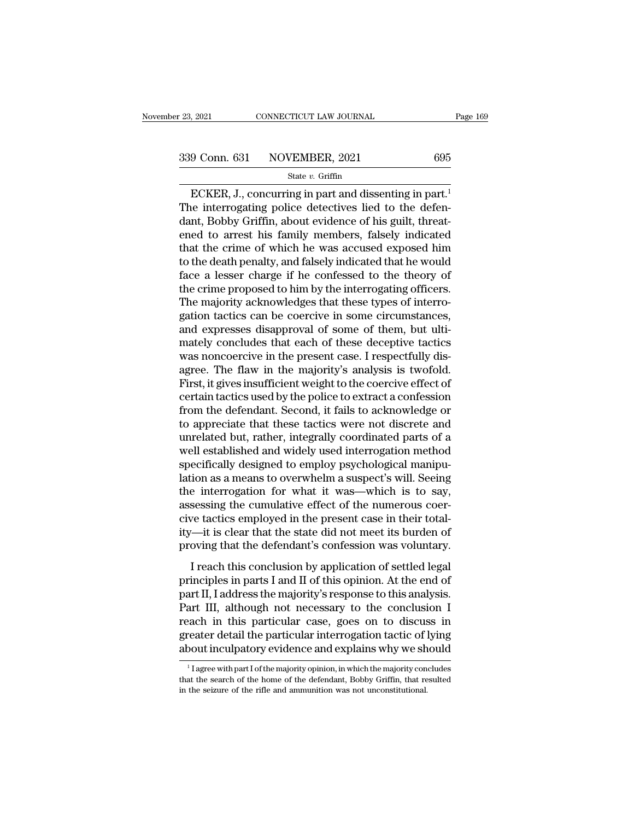ECKER, J., concurring in part and dissenting in part.<br>
ECKER, J., concurring in part and dissenting in part.<sup>1</sup><br>
are interrogating police detectives lied to the defen-<br>
art Bobby Criffin about gydango of big guilt throat  $\begin{array}{r} \text{339 Conn. 631} \text{NOVEMBER, 2021} \text{695} \\\\ \text{State } v. \text{ Griffith} \end{array}$  ECKER, J., concurring in part and dissenting in part.<sup>1</sup><br>The interrogating police detectives lied to the defen-<br>dant, Bobby Griffin, about evidence of his gui 339 Conn. 631 NOVEMBER, 2021 695<br>
State v. Griffin<br>
ECKER, J., concurring in part and dissenting in part.<sup>1</sup><br>
The interrogating police detectives lied to the defendant, Bobby Griffin, about evidence of his guilt, threat-<br> 339 Conn. 631 NOVEMBER, 2021 695<br>
state v. Griffin<br>
ECKER, J., concurring in part and dissenting in part.<sup>1</sup><br>
The interrogating police detectives lied to the defen-<br>
dant, Bobby Griffin, about evidence of his guilt, threa State v. Griffin<br>
ECKER, J., concurring in part and dissenting in part.<sup>1</sup><br>
The interrogating police detectives lied to the defen-<br>
dant, Bobby Griffin, about evidence of his guilt, threat-<br>
ened to arrest his family memb state v. Griffin<br>
ECKER, J., concurring in part and dissenting in part.<sup>1</sup><br>
The interrogating police detectives lied to the defen-<br>
dant, Bobby Griffin, about evidence of his guilt, threat-<br>
ened to arrest his family memb ECKER, J., concurring in part and dissenting in part.<sup>1</sup><br>The interrogating police detectives lied to the defen-<br>dant, Bobby Griffin, about evidence of his guilt, threat-<br>ened to arrest his family members, falsely indicate The interrogating police detectives lied to the defen-<br>dant, Bobby Griffin, about evidence of his guilt, threat-<br>ened to arrest his family members, falsely indicated<br>that the crime of which he was accused exposed him<br>to th dant, Bobby Griffin, about evidence of his guilt, threatened to arrest his family members, falsely indicated that the crime of which he was accused exposed him to the death penalty, and falsely indicated that he would face ened to arrest his family members, falsely indicated<br>that the crime of which he was accused exposed him<br>to the death penalty, and falsely indicated that he would<br>face a lesser charge if he confessed to the theory of<br>the cr that the crime of which he was accused exposed him<br>to the death penalty, and falsely indicated that he would<br>face a lesser charge if he confessed to the theory of<br>the crime proposed to him by the interrogating officers.<br>Th to the death penalty, and falsely indicated that he would<br>face a lesser charge if he confessed to the theory of<br>the crime proposed to him by the interrogating officers.<br>The majority acknowledges that these types of interro face a lesser charge if he confessed to the theory of<br>the crime proposed to him by the interrogating officers.<br>The majority acknowledges that these types of interro-<br>gation tactics can be coercive in some circumstances,<br>an the crime proposed to him by the interrogating officers.<br>The majority acknowledges that these types of interro-<br>gation tactics can be coercive in some circumstances,<br>and expresses disapproval of some of them, but ulti-<br>mat The majority acknowledges that these types of interrogation tactics can be coercive in some circumstances, and expresses disapproval of some of them, but ultimately concludes that each of these deceptive tactics was noncoe gation tactics can be coercive in some circumstances,<br>and expresses disapproval of some of them, but ulti-<br>mately concludes that each of these deceptive tactics<br>was noncoercive in the present case. I respectfully dis-<br>agre and expresses disapproval of some of them, but ultimately concludes that each of these deceptive tactics<br>was noncoercive in the present case. I respectfully dis-<br>agree. The flaw in the majority's analysis is twofold.<br>First mately concludes that each of these deceptive tactics<br>was noncoercive in the present case. I respectfully dis-<br>agree. The flaw in the majority's analysis is twofold.<br>First, it gives insufficient weight to the coercive effe was noncoercive in the present case. I respectfully dis-<br>agree. The flaw in the majority's analysis is twofold.<br>First, it gives insufficient weight to the coercive effect of<br>certain tactics used by the police to extract a agree. The flaw in the majority's analysis is twofold.<br>First, it gives insufficient weight to the coercive effect of<br>certain tactics used by the police to extract a confession<br>from the defendant. Second, it fails to acknow First, it gives insufficient weight to the coercive effect of<br>certain tactics used by the police to extract a confession<br>from the defendant. Second, it fails to acknowledge or<br>to appreciate that these tactics were not disc certain tactics used by the police to extract a confession<br>from the defendant. Second, it fails to acknowledge or<br>to appreciate that these tactics were not discrete and<br>unrelated but, rather, integrally coordinated parts o from the defendant. Second, it fails to acknowledge or<br>to appreciate that these tactics were not discrete and<br>unrelated but, rather, integrally coordinated parts of a<br>well established and widely used interrogation method<br>s to appreciate that these tactics were not discrete and<br>unrelated but, rather, integrally coordinated parts of a<br>well established and widely used interrogation method<br>specifically designed to employ psychological manipu-<br>la unrelated but, rather, integrally coordinated parts of a<br>well established and widely used interrogation method<br>specifically designed to employ psychological manipu-<br>lation as a means to overwhelm a suspect's will. Seeing<br>t well established and widely used interrogation method<br>specifically designed to employ psychological manipu-<br>lation as a means to overwhelm a suspect's will. Seeing<br>the interrogation for what it was—which is to say,<br>assessi specifically designed to employ psychological manipulation as a means to overwhelm a suspect's will. Seeing the interrogation for what it was—which is to say, assessing the cumulative effect of the numerous coercive tactic I reach this conclusion by application of settled legal<br>Intervalsion for what it was—which is to say,<br>sessing the cumulative effect of the numerous coer-<br>ve tactics employed in the present case in their total-<br>it is clear are metrogation for what it was which is to say,<br>assessing the cumulative effect of the numerous coer-<br>cive tactics employed in the present case in their total-<br>ity—it is clear that the state did not meet its burden of<br>pro

Exercise employed in the present case in their total-<br>ity—it is clear that the state did not meet its burden of<br>proving that the defendant's confession was voluntary.<br>I reach this conclusion by application of settled legal ity—it is clear that the state did not meet its burden of<br>proving that the defendant's confession was voluntary.<br>I reach this conclusion by application of settled legal<br>principles in parts I and II of this opinion. At the reach this conclusion by application of settled legal<br>principles in parts I and II of this opinion. At the end of<br>part II, I address the majority's response to this analysis.<br>Part III, although not necessary to the conclus I reach this conclusion by application of settled legal<br>principles in parts I and II of this opinion. At the end of<br>part II, I address the majority's response to this analysis.<br>Part III, although not necessary to the concl I reach this conclusion by application of settled legal<br>principles in parts I and II of this opinion. At the end of<br>part II, I address the majority's response to this analysis.<br>Part III, although not necessary to the conc 1 art III, although not necessary to the conclusion I<br>
1 rach in this particular case, goes on to discuss in<br>
1 reater detail the particular interrogation tactic of lying<br>
2001 inculpatory evidence and explains why we shou reach in this particular case, goes on to discuss in greater detail the particular interrogation tactic of lying about inculpatory evidence and explains why we should  $\frac{1}{1}$  agree with part I of the majority opinion, i

greater detail the particular interrogation tactic of is<br>about inculpatory evidence and explains why we show that the search of the majority opinion, in which the majority constant the search of the home of the defendant,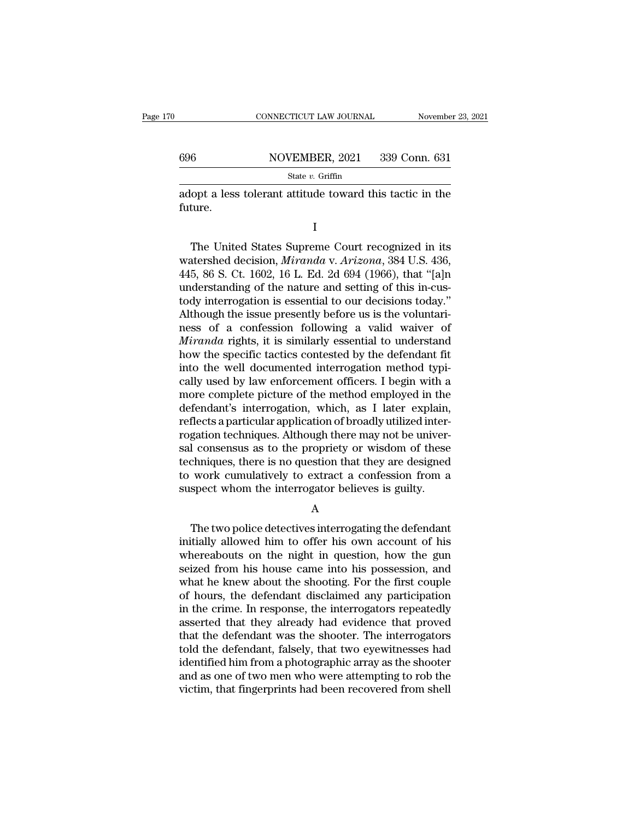# CONNECTICUT LAW JOURNAL November 23, 2021<br>696 NOVEMBER, 2021 339 Conn. 631<br>State v. Griffin

State *v.* Griffin

 $\begin{tabular}{ll} \multicolumn{2}{l}{{\small \textbf{COMRECTICUT LAW JOURNAL}}} & \multicolumn{2}{l}{\small \textbf{November 23, 2021}}\\ \hline & \multicolumn{2}{l}{\small \textbf{SAU}} & \multicolumn{2}{l}{\small \textbf{S39 Conn. 631}}\\ \hline & \multicolumn{2}{l}{\small \textbf{State $v$. Griffiths} }\\ \hline \textbf{adopt a less tolerant attitude toward this tactile in the future.} \end{tabular}$ future.

I

 $T_{\text{tot}}$  and  $T_{\text{tot}}$  are the United States Supreme Court recognized in its<br>ture.<br>The United States Supreme Court recognized in its<br>atershed decision, *Miranda* v. *Arizona*, 384 U.S. 436,<br>5, 86, 8, Ct, 1602, 16, L. Ed. State *v*. Griffin<br>
adopt a less tolerant attitude toward this tactic in the<br>
future.<br>
I<br>
The United States Supreme Court recognized in its<br>
watershed decision, *Miranda* v. *Arizona*, 384 U.S. 436,<br>
445, 86 S. Ct. 1602, 1 adopt a less tolerant attitude toward this tactic in the<br>future.<br>I<br>The United States Supreme Court recognized in its<br>watershed decision, *Miranda* v. Arizona, 384 U.S. 436,<br>445, 86 S. Ct. 1602, 16 L. Ed. 2d 694 (1966), tha I<br>
The United States Supreme Court recognized in its<br>
watershed decision, *Miranda v. Arizona*, 384 U.S. 436,<br>
445, 86 S. Ct. 1602, 16 L. Ed. 2d 694 (1966), that "[a]n<br>
understanding of the nature and setting of this in-cu I<br>
The United States Supreme Court recognized in its<br>
watershed decision, *Miranda v. Arizona*, 384 U.S. 436,<br>
445, 86 S. Ct. 1602, 16 L. Ed. 2d 694 (1966), that "[a]n<br>
understanding of the nature and setting of this in-cu The United States Supreme Court recognized in its<br>watershed decision, *Miranda v. Arizona*, 384 U.S. 436,<br>445, 86 S. Ct. 1602, 16 L. Ed. 2d 694 (1966), that "[a]n<br>understanding of the nature and setting of this in-cus-<br>tod The United States Supreme Court recognized in its<br>watershed decision, *Miranda v. Arizona*, 384 U.S. 436,<br>445, 86 S. Ct. 1602, 16 L. Ed. 2d 694 (1966), that "[a]n<br>understanding of the nature and setting of this in-cus-<br>tod watershed decision, *Miranda* v. *Arizona*, 384 U.S. 436, 445, 86 S. Ct. 1602, 16 L. Ed. 2d 694 (1966), that "[a]n understanding of the nature and setting of this in-custody interrogation is essential to our decisions toda 445, 86 S. Ct. 1602, 16 L. Ed. 2d 694 (1966), that "[a]n understanding of the nature and setting of this in-custody interrogation is essential to our decisions today."<br>Although the issue presently before us is the volunta understanding of the nature and setting of this in-custody interrogation is essential to our decisions today."<br>Although the issue presently before us is the voluntariness of a confession following a valid waiver of *Mirand* tody interrogation is essential to our decisions today."<br>Although the issue presently before us is the voluntari-<br>ness of a confession following a valid waiver of<br>*Miranda* rights, it is similarly essential to understand<br>h Although the issue presently before us is the voluntari-<br>ness of a confession following a valid waiver of<br>*Miranda* rights, it is similarly essential to understand<br>how the specific tactics contested by the defendant fit<br>in ness of a confession following a valid waiver of *Miranda* rights, it is similarly essential to understand how the specific tactics contested by the defendant fit into the well documented interrogation method typically use *Miranda* rights, it is similarly essential to understand<br>how the specific tactics contested by the defendant fit<br>into the well documented interrogation method typi-<br>cally used by law enforcement officers. I begin with a<br>m how the specific tactics contested by the defendant fit<br>into the well documented interrogation method typi-<br>cally used by law enforcement officers. I begin with a<br>more complete picture of the method employed in the<br>defenda into the well documented interrogation method typically used by law enforcement officers. I begin with a more complete picture of the method employed in the defendant's interrogation, which, as I later explain, reflects a cally used by law enforcement officers. I begin with a<br>more complete picture of the method employed in the<br>defendant's interrogation, which, as I later explain,<br>reflects a particular application of broadly utilized inter-<br> more complete picture of the method employed in the<br>defendant's interrogation, which, as I later explain,<br>reflects a particular application of broadly utilized inter-<br>rogation techniques. Although there may not be univer-<br> defendant's interrogation, which, as I later explain,<br>reflects a particular application of broadly utilized inter-<br>rogation techniques. Although there may not be univer-<br>sal consensus as to the propriety or wisdom of these I consensus as to the propriety or wisdom of these<br>chniques, there is no question that they are designed<br>work cumulatively to extract a confession from a<br>spect whom the interrogator believes is guilty.<br>A<br>The two police det

A

techniques, there is no question that they are designed<br>to work cumulatively to extract a confession from a<br>suspect whom the interrogator believes is guilty.<br>A<br>The two police detectives interrogating the defendant<br>initiall to work cumulatively to extract a confession from a<br>suspect whom the interrogator believes is guilty.<br> $A$ <br>The two police detectives interrogating the defendant<br>initially allowed him to offer his own account of his<br>whereab suspect whom the interrogator believes is guilty.<br>
A<br>
The two police detectives interrogating the defendant<br>
initially allowed him to offer his own account of his<br>
whereabouts on the night in question, how the gun<br>
seized A<br>
The two police detectives interrogating the defendant<br>
initially allowed him to offer his own account of his<br>
whereabouts on the night in question, how the gun<br>
seized from his house came into his possession, and<br>
what The two police detectives interrogating the defendant<br>initially allowed him to offer his own account of his<br>whereabouts on the night in question, how the gun<br>seized from his house came into his possession, and<br>what he knew The two police detectives interrogating the defendant<br>initially allowed him to offer his own account of his<br>whereabouts on the night in question, how the gun<br>seized from his house came into his possession, and<br>what he knew initially allowed him to offer his own account of his<br>whereabouts on the night in question, how the gun<br>seized from his house came into his possession, and<br>what he knew about the shooting. For the first couple<br>of hours, th whereabouts on the night in question, how the gun<br>seized from his house came into his possession, and<br>what he knew about the shooting. For the first couple<br>of hours, the defendant disclaimed any participation<br>in the crime. seized from his house came into his possession, and<br>what he knew about the shooting. For the first couple<br>of hours, the defendant disclaimed any participation<br>in the crime. In response, the interrogators repeatedly<br>asserte what he knew about the shooting. For the first couple<br>of hours, the defendant disclaimed any participation<br>in the crime. In response, the interrogators repeatedly<br>asserted that they already had evidence that proved<br>that th of hours, the defendant disclaimed any participation<br>in the crime. In response, the interrogators repeatedly<br>asserted that they already had evidence that proved<br>that the defendant was the shooter. The interrogators<br>told th in the crime. In response, the interrogators repeatedly asserted that they already had evidence that proved that the defendant was the shooter. The interrogators told the defendant, falsely, that two eyewitnesses had ident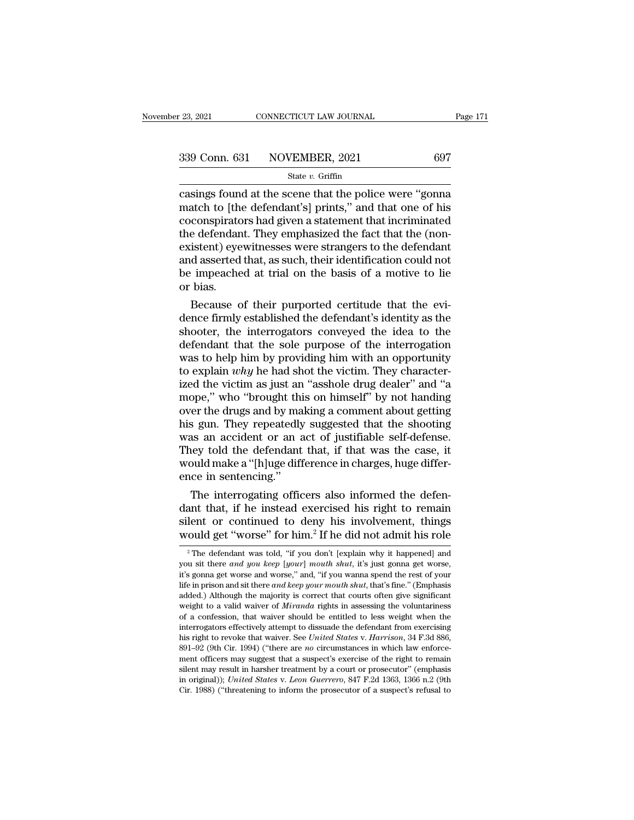# $\begin{array}{r|l} \text{23, 2021} & \text{CONNECTICUT LAW JOURNAL} & \text{Page 171} \\\\ \text{339 Conn. 631} & \text{NOVEMBER, 2021} & \text{697} \\\\ \hline & \text{State } v. \text{ Griffith} & \text{508} \end{array}$

#### State *v.* Griffin

connecticut LAW JOURNAL Page 171<br>
23, 2021 Page 171<br>
239 Conn. 631 NOVEMBER, 2021 697<br>
23 State v. Griffin<br>
23 Connection at the scene that the police were "gonna"<br>
23 State v. Griffin<br>
2020 Connection at the police were 339 Conn. 631 NOVEMBER, 2021 697<br>State v. Griffin<br>Casings found at the scene that the police were "gonna<br>match to [the defendant's] prints," and that one of his<br>coconspirators had given a statement that incriminated<br>the d 339 Conn. 631 NOVEMBER, 2021 697<br>
State v. Griffin<br>
casings found at the scene that the police were "gonna<br>
match to [the defendant's] prints," and that one of his<br>
coconspirators had given a statement that incriminated<br> 339 Conn. 631 NOVEMBER, 2021 697<br>
State v. Griffin<br>
casings found at the scene that the police were "gonna<br>
match to [the defendant's] prints," and that one of his<br>
coconspirators had given a statement that incriminated<br> Solution of the valid of the scale were "gonna"<br>
state v. Griffin<br>
casings found at the scene that the police were "gonna"<br>
match to [the defendant's] prints," and that one of his<br>
coconspirators had given a statement tha State  $v$ . Griffin<br>casings found at the scene that the police were "gonna<br>match to [the defendant's] prints," and that one of his<br>coconspirators had given a statement that incriminated<br>the defendant. They emphasized the f casings found at the scene that the police were "gonna<br>match to [the defendant's] prints," and that one of his<br>coconspirators had given a statement that incriminated<br>the defendant. They emphasized the fact that the (non-<br>e match to [the coconspirate]<br>the defendance sistent) eye<br>and asserted<br>be impeache<br>or bias.<br>Because o conspirators had given a statement that incriminated<br>e defendant. They emphasized the fact that the (non-<br>istent) eyewitnesses were strangers to the defendant<br>d asserted that, as such, their identification could not<br>impeac the defendant. They emphasized the fact that the (non-<br>existent) eyewitnesses were strangers to the defendant<br>and asserted that, as such, their identification could not<br>be impeached at trial on the basis of a motive to lie

existent) eyewitnesses were strangers to the defendant<br>and asserted that, as such, their identification could not<br>be impeached at trial on the basis of a motive to lie<br>or bias.<br>Because of their purported certitude that the and asserted that, as such, their identification could not<br>be impeached at trial on the basis of a motive to lie<br>or bias.<br>Because of their purported certitude that the evi-<br>dence firmly established the defendant's identity be impeached at trial on the basis of a motive to lie<br>or bias.<br>Because of their purported certitude that the evi-<br>dence firmly established the defendant's identity as the<br>shooter, the interrogators conveyed the idea to th or bias.<br>Because of their purported certitude that the evi-<br>dence firmly established the defendant's identity as the<br>shooter, the interrogators conveyed the idea to the<br>defendant that the sole purpose of the interrogation<br> Because of their purported certitude that the evi-<br>dence firmly established the defendant's identity as the<br>shooter, the interrogators conveyed the idea to the<br>defendant that the sole purpose of the interrogation<br>was to h dence firmly established the defendant's identity as the shooter, the interrogators conveyed the idea to the defendant that the sole purpose of the interrogation was to help him by providing him with an opportunity to expl shooter, the interrogators conveyed the idea to the<br>defendant that the sole purpose of the interrogation<br>was to help him by providing him with an opportunity<br>to explain *why* he had shot the victim. They character-<br>ized th defendant that the sole purpose of the interrogation<br>was to help him by providing him with an opportunity<br>to explain *why* he had shot the victim. They character-<br>ized the victim as just an "asshole drug dealer" and "a<br>mop was to help him by providing him with an opportunity<br>to explain  $why$  he had shot the victim. They character-<br>ized the victim as just an "asshole drug dealer" and "a<br>mope," who "brought this on himself" by not handing<br>over to explain *why* he had shot the victim. They characterized the victim as just an "asshole drug dealer" and "a mope," who "brought this on himself" by not handing over the drugs and by making a comment about getting his g ized the victim as just an "asshole drug dealer" and "a<br>mope," who "brought this on himself" by not handing<br>over the drugs and by making a comment about getting<br>his gun. They repeatedly suggested that the shooting<br>was an a mope," who "brought thi<br>over the drugs and by ma<br>his gun. They repeatedly<br>was an accident or an a<br>They told the defendant<br>would make a "[h]uge diff<br>ence in sentencing."<br>The interrogating offic For the artigs and by making a comment about getting<br>is gun. They repeatedly suggested that the shooting<br>as an accident or an act of justifiable self-defense.<br>tey told the defendant that, if that was the case, it<br>build mak ms gun. They repeatedly suggested that the shooting<br>was an accident or an act of justifiable self-defense.<br>They told the defendant that, if that was the case, it<br>would make a "[h]uge difference in charges, huge differ-<br>enc

was an accident or an act of justinable seir-defense.<br>They told the defendant that, if that was the case, it<br>would make a "[h]uge difference in charges, huge differ-<br>ence in sentencing."<br>The interrogating officers also inf They told the defendant that, if that was the case, it<br>would make a "[h]uge difference in charges, huge differ-<br>ence in sentencing."<br>The interrogating officers also informed the defen-<br>dant that, if he instead exercised h The interrogating officers also informed the defenant that, if he instead exercised his right to remain lent or continued to deny his involvement, things ould get "worse" for him.<sup>2</sup> If he did not admit his role  $\frac{1}{2}$ dant that, if he instead exercised his right to remain<br>silent or continued to deny his involvement, things<br>would get "worse" for him.<sup>2</sup> If he did not admit his role<br><sup>2</sup> The defendant was told, "if you don't [explain why i

silent or continued to deny his involvement, things<br>would get "worse" for him.<sup>2</sup> If he did not admit his role<br><sup>2</sup> The defendant was told, "if you don't [explain why it happened] and<br>you sit there *and you keep* [*your*] sherit of Contritued to derly fils involvement, things<br>would get "worse" for him.<sup>2</sup> If he did not admit his role<br><sup>2</sup> The defendant was told, "if you don't [explain why it happened] and<br>you sit there *and you keep* [your] **WOULD GET "WOTSE"** IOT film.<sup>2</sup> II he did not admit his role  $\frac{1}{2}$  The defendant was told, "if you don't [explain why it happened] and you sit there *and you keep* [*your*] *mouth shut*, it's just gonna get worse, it <sup>2</sup> The defendant was told, "if you don't [explain why it happened] and you sit there *and you keep* [*your*] *mouth shut*, it's just gonna get worse, it's gonna get worse and worse," and, "if you wanna spend the rest of The definition was took, if you don't [explain wity it happened] and<br>you sit there and you keep [your] mouth shut, it's just gonna get worse,<br>it's gonna get worse and worse," and, "if you wanna spend the rest of your<br>life interrogators effectively attempt to dissuade the defendant from exercity and set worse, it's gonna get worse and worse," and, "if you wanna spend the rest of your life in prison and sit there *and keep your mouth shut*, t his gointa get worse and worse, and, if you wanta spend the rest of your<br>life in prison and sit there *and keep your mouth shut*, that's fine." (Emphasis<br>added.) Although the majority is correct that courts often give sign life in prison and sit there *and keep your mouth shut*, that's fine." (Emphasis added.) Although the majority is correct that courts often give significant weight to a valid waiver of *Miranda* rights in assessing the vo added.) Anthough the majority is correct that courts often give significant<br>weight to a valid waiver of *Miranda* rights in assessing the voluntariness<br>of a confession, that waiver should be entitled to less weight when th weight to a valid waver of *intribual* rights in assessing the voluntainess<br>of a confession, that waiver should be entitled to less weight when the<br>interrogators effectively attempt to dissuade the defendant from exercisin or a comession, that waver should be entitled to less weight when the<br>interrogators effectively attempt to dissuade the defendant from exercising<br>his right to revoke that waiver. See *United States* v. *Harrison*, 34 F.3d his right to revoke that waiver. See United States v. Harrison, 34 F.3d 886, 891–92 (9th Cir. 1994) ("there are *no* circumstances in which law enforcement officers may suggest that a suspect's exercise of the right to re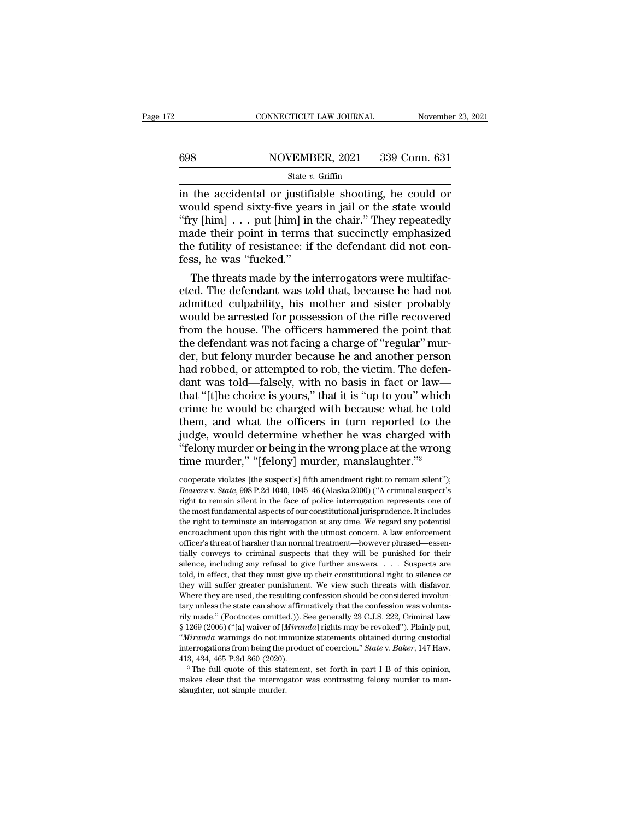# CONNECTICUT LAW JOURNAL November 23, 2021<br>698 NOVEMBER, 2021 339 Conn. 631<br>State v. Griffin

#### State *v.* Griffin

CONNECTICUT LAW JOURNAL November 23, 2021<br>
State v. Griffin<br>
State v. Griffin<br>
State v. Griffin<br>
State v. Griffin<br>
in the accidental or justifiable shooting, he could or<br>
would spend sixty-five years in jail or the state WOVEMBER, 2021 339 Conn. 631<br>
State v. Griffin<br>
in the accidental or justifiable shooting, he could or<br>
would spend sixty-five years in jail or the state would<br>
"fry [him] . . . put [him] in the chair." They repeatedly<br>
m ''fry [him] . . . put [him] in the chair.'' They repeatedly 698 NOVEMBER, 2021 339 Conn. 631<br>
State v. Griffin<br>
in the accidental or justifiable shooting, he could or<br>
would spend sixty-five years in jail or the state would<br>
"fry [him] . . . put [him] in the chair." They repeatedl SECTED SET SOLUTE SOLUTE SOLUTE SOLUTE SOLUTE SALE IS STATE The accidental or justifiable shooting, he could or would spend sixty-five years in jail or the state would "fry [him] . . . put [him] in the chair." They repeat State *v*.<br>
in the accidental or justifi<br>
would spend sixty-five yea<br>
"fry [him]  $\ldots$  put [him] in<br>
made their point in terms<br>
the futility of resistance: if<br>
fess, he was "fucked."<br>
The threats made by the i the accidental or justifiable shooting, he could or<br>ould spend sixty-five years in jail or the state would<br>ry [him]  $\ldots$  put [him] in the chair." They repeatedly<br>ade their point in terms that succinctly emphasized<br>e futi would spend sixty-five years in jail or the state would<br>
"fry [him]  $\ldots$  put [him] in the chair." They repeatedly<br>
made their point in terms that succinctly emphasized<br>
the futility of resistance: if the defendant did no

"fry  $\lfloor \text{him} \rfloor \ldots$  put  $\lfloor \text{him} \rfloor$  in the chair." They repeatedly<br>made their point in terms that succinctly emphasized<br>the futility of resistance: if the defendant did not con-<br>fess, he was "fucked."<br>The threats made made their point in terms that succinctly emphasized<br>the futility of resistance: if the defendant did not con-<br>fess, he was "fucked."<br>The threats made by the interrogators were multifac-<br>eted. The defendant was told that, the futility of resistance: if the defendant did not confess, he was "fucked."<br>The threats made by the interrogators were multifaceted. The defendant was told that, because he had not<br>admitted culpability, his mother and s fess, he was "fucked."<br>The threats made by the interrogators were multifac-<br>eted. The defendant was told that, because he had not<br>admitted culpability, his mother and sister probably<br>would be arrested for possession of the The threats made by the interrogators were multifaceted. The defendant was told that, because he had not admitted culpability, his mother and sister probably would be arrested for possession of the rifle recovered from the eted. The defendant was told that, because he had not admitted culpability, his mother and sister probably would be arrested for possession of the rifle recovered from the house. The officers hammered the point that the de admitted culpability, his mother and sister probably<br>would be arrested for possession of the rifle recovered<br>from the house. The officers hammered the point that<br>the defendant was not facing a charge of "regular" mur-<br>der, would be arrested for possession of the rifle recovered<br>from the house. The officers hammered the point that<br>the defendant was not facing a charge of "regular" mur-<br>der, but felony murder because he and another person<br>had from the house. The officers hammered the point that<br>the defendant was not facing a charge of "regular" mur-<br>der, but felony murder because he and another person<br>had robbed, or attempted to rob, the victim. The defen-<br>dant the defendant was not facing a charge of "regular" murder, but felony murder because he and another person<br>had robbed, or attempted to rob, the victim. The defen-<br>dant was told—falsely, with no basis in fact or law—<br>that " der, but felony murder because he and another person<br>had robbed, or attempted to rob, the victim. The defen-<br>dant was told—falsely, with no basis in fact or law—<br>that "[t]he choice is yours," that it is "up to you" which<br>c had robbed, or attempted to rob, the victim. The defen-<br>dant was told—falsely, with no basis in fact or law—<br>that "[t]he choice is yours," that it is "up to you" which<br>crime he would be charged with because what he told<br>th dant was told—falsely, with no basis in fact or law—<br>that "[t]he choice is yours," that it is "up to you" which<br>crime he would be charged with because what he told<br>them, and what the officers in turn reported to the<br>judge, them, and what the officers in turn reported to the<br>judge, would determine whether he was charged with<br>"felony murder or being in the wrong place at the wrong<br>time murder," "[felony] murder, manslaughter."<sup>3</sup><br>cooperate vio judge, would determine whether he was charged with<br>"felony murder or being in the wrong place at the wrong<br>time murder," "[felony] murder, manslaughter."<sup>3</sup><br>cooperate violates [the suspect's] fifth amendment right to remai

"felony murder or being in the wrong place at the wrong<br>time murder," "[felony] murder, manslaughter."<sup>3</sup><br>cooperate violates [the suspect's] fifth amendment right to remain silent");<br>*Beavers v. State*, 998 P.2d 1040, 104 time murder," "[felony] murder, manslaughter."<sup>3</sup><br>time murder," "[felony] murder, manslaughter."<sup>3</sup><br>cooperate violates [the suspect's] fifth amendment right to remain silent");<br>*Beavers v. State*, 998 P.2d 1040, 1045–46 (A time murder, "[Ielony] murder, manslaughter.""<br>cooperate violates [the suspect's] fifth amendment right to remain silent");<br>*Beavers v. State*, 998 P.2d 1040, 1045–46 (Alaska 2000) ("A criminal suspect's<br>right to remain si cooperate violates [the suspect's] fifth amendment right to remain silent");<br>Beavers v. State, 998 P.2d 1040, 1045–46 (Alaska 2000) ("A criminal suspect's<br>right to remain silent in the face of police interrogation represen Cooperate violates [the suspect s] intit antentiment right to remain shelt *f*, *heavers v. State*, 998 P.2d 1040, 1045–46 (Alaska 2000) ("A criminal suspect's right to remain silent in the face of police interrogation rep Beaters v. State, 330 1.2d 1040, 1043–40 (Alaska 2000) (A Criminal suspect s<br>right to remain silent in the face of police interrogation represents one of<br>the most fundamental aspects of our constitutional jurisprudence. It signation entired and aspects of our constitutional jurisprudence. It includes<br>the right to terminate an interrogation at any time. We regard any potential<br>encroachment upon this right with the utmost concern. A law enforc the nost fundamental aspects of our constitutional jurisprudence. It includes<br>the right to terminate an interrogation at any time. We regard any potential<br>encroachment upon this right with the utmost concern. A law enforce the right to terminate an interrogation at any time. We regard any potential encroachment upon this right with the utmost concern. A law enforcement officer's threat of harsher than normal treatment—however phrased—essenti encroachment upon uns right whit the unlost contern. A law enforcement<br>officer's threat of harsher than normal treatment—however phrased—essen-<br>tially conveys to criminal suspects that they will be punished for their<br>silen oncer stateat of narsier than formal treatment—nowever phrased—essentially conveys to criminal suspects that they will be punished for their silence, including any refusal to give further answers. . . . Suspects are told, riany conveys to criminal suspects that they will be pullished tof their<br>silence, including any refusal to give further answers. . . . Suspects are<br>told, in effect, that they must give up their constitutional right to sile shence, including any retusal to give further answers. . . . . suspects are told, in effect, that they must give up their constitutional right to silence or they will suffer greater punishment. We view such threats with di fold, in effect, that they must give up their constitutional right to shelte of<br>they will suffer greater punishment. We view such threats with disfavor.<br>Where they are used, the resulting confession should be considered in intery win suiter greater punishment. We view start threats whit ustator.<br>Where they are used, the resulting confession should be considered involun-<br>tary unless the state can show affirmatively that the confession was vol where they are used, the resulting contession should be considered involutedary unless the state can show affirmatively that the confession was voluntarily made." (Footnotes omitted.)). See generally 23 C.J.S. 222, Crimina my made. (Foodbooks onlided:)). See generally 23 C.3.5. 222, Criminal Law § 1269 (2006) ("[a] waiver of [*Miranda*] rights may be revoked"). Plainly put, "*Miranda* warnings do not immunize statements obtained during cust "*Miranda* warnings do not immunize statements obtained during custodial interrogations from being the product of coercion." *State* v. *Baker*, 147 Haw. 413, 434, 465 P.3d 860 (2020).<br><sup>3</sup> The full quote of this statement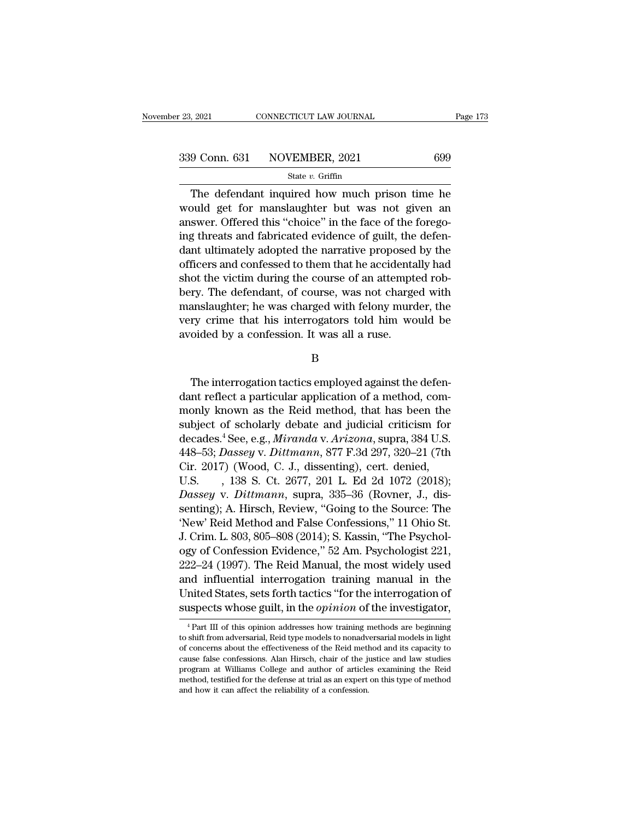$\frac{73}{9}$  CONNECTICUT LAW JOURNAL Page 173<br>  $\frac{9}{173}$ <br>  $\frac{1}{37}$ <br>  $\frac{1}{37}$ <br>
The defendant inquired how much prison time he<br>
buld get for manslaughter but was not given an<br>  $\frac{1}{37}$ <br>  $\frac{1}{37}$ <br>  $\frac{1}{37}$ <br>  $\frac{1}{3$ 339 Conn. 631 NOVEMBER, 2021 699<br>
State v. Griffin<br>
The defendant inquired how much prison time he<br>
would get for manslaughter but was not given an<br>
answer. Offered this "choice" in the face of the forego-<br>
ing threats an 339 Conn. 631 NOVEMBER, 2021 699<br>
State v. Griffin<br>
The defendant inquired how much prison time he<br>
would get for manslaughter but was not given an<br>
answer. Offered this "choice" in the face of the forego-<br>
ing threats an 339 Conn. 631 NOVEMBER, 2021 699<br>
State v. Griffin<br>
The defendant inquired how much prison time he<br>
would get for manslaughter but was not given an<br>
answer. Offered this "choice" in the face of the forego-<br>
ing threats an State  $v$ . Griffin<br>
The defendant inquired how much prison time he<br>
would get for manslaughter but was not given an<br>
answer. Offered this "choice" in the face of the forego-<br>
ing threats and fabricated evidence of guilt, The defendant inquired how much prison time he<br>would get for manslaughter but was not given an<br>answer. Offered this "choice" in the face of the forego-<br>ing threats and fabricated evidence of guilt, the defen-<br>dant ultimate The detendant inquired how much prison time he<br>would get for manslaughter but was not given an<br>answer. Offered this "choice" in the face of the forego-<br>ing threats and fabricated evidence of guilt, the defen-<br>dant ultimate would get for manslaughter but was not given an<br>answer. Offered this "choice" in the face of the forego-<br>ing threats and fabricated evidence of guilt, the defen-<br>dant ultimately adopted the narrative proposed by the<br>office answer. Offered this "choice" in the face of the forego-<br>ing threats and fabricated evidence of guilt, the defen-<br>dant ultimately adopted the narrative proposed by the<br>officers and confessed to them that he accidentally ha ing threats and tabricated evidence of guilt, the deten-<br>dant ultimately adopted the narrative proposed by the<br>officers and confessed to them that he accidentally had<br>shot the victim during the course of an attempted rob-<br> dant ultimately adopted the narrative proposed<br>officers and confessed to them that he accidenta<br>shot the victim during the course of an attempt<br>bery. The defendant, of course, was not charge<br>manslaughter; he was charged wi The interrogation tactics employed against the defen-<br>The interrogation tactics employed against the defen-<br>The interrogation tactics employed against the defen-<br>The interrogation tactics employed against the defen-<br>Interf

B

very crime that his interrogators told him would be<br>avoided by a confession. It was all a ruse.<br>B<br>The interrogation tactics employed against the defen-<br>dant reflect a particular application of a method, com-<br>monly known as monded by a confession. It was all a ruse.<br>
B<br>
The interrogation tactics employed against the defen-<br>
dant reflect a particular application of a method, com-<br>
monly known as the Reid method, that has been the<br>
subject of s B<br>B<br>The interrogation tactics employed against the defen-<br>dant reflect a particular application of a method, com-<br>monly known as the Reid method, that has been the<br>subject of scholarly debate and judicial criticism for<br>dec B<br>The interrogation tactics employed against the defen-<br>dant reflect a particular application of a method, com-<br>monly known as the Reid method, that has been the<br>subject of scholarly debate and judicial criticism for<br>decad The interrogation tactics employed against the defen-<br>dant reflect a particular application of a method, com-<br>monly known as the Reid method, that has been the<br>subject of scholarly debate and judicial criticism for<br>decades The interrogation tactics employed against the detendant reflect a particular application of a method, commonly known as the Reid method, that has been the subject of scholarly debate and judicial criticism for decades.<sup>4</sup> dant reflect a particular application of a method, com-<br>monly known as the Reid method, that has been the<br>subject of scholarly debate and judicial criticism for<br>decades.<sup>4</sup> See, e.g., *Miranda v. Arizona*, supra, 384 U.S.<br> monly known as the Reid method, that has been the<br>subject of scholarly debate and judicial criticism for<br>decades.<sup>4</sup> See, e.g., *Miranda* v. *Arizona*, supra, 384 U.S.<br>448–53; *Dassey* v. *Dittmann*, 877 F.3d 297, 320–21 ( subject of scholarly debate and judicial criticism for<br>decades.<sup>4</sup> See, e.g., *Miranda v. Arizona*, supra, 384 U.S.<br>448–53; *Dassey v. Dittmann*, 877 F.3d 297, 320–21 (7th<br>Cir. 2017) (Wood, C. J., dissenting), cert. denied decades.<sup>3</sup> See, e.g., *Miranda v. Arizona*, supra, 384 U.S.<br>448–53; *Dassey v. Dittmann*, 877 F.3d 297, 320–21 (7th<br>Cir. 2017) (Wood, C. J., dissenting), cert. denied,<br>U.S. , 138 S. Ct. 2677, 201 L. Ed 2d 1072 (2018);<br>*Da* 448–53; *Dassey* v. *Dittmann*, 877 F.3d 297, 320–21 (7th Cir. 2017) (Wood, C. J., dissenting), cert. denied, U.S.  $\,$ , 138 S. Ct. 2677, 201 L. Ed 2d 1072 (2018); *Dassey* v. *Dittmann*, supra, 335–36 (Rovner, J., dissen Cir. 2017) (Wood, C. J., dissenting), cert. denied,<br>U.S. , 138 S. Ct. 2677, 201 L. Ed 2d 1072 (2018);<br>Dassey v. Dittmann, supra, 335–36 (Rovner, J., dis-<br>senting); A. Hirsch, Review, "Going to the Source: The<br>'New' Reid Me U.S. , 138 S. Ct. 2677, 201 L. Ed 2d 1072 (2018);<br>Dassey v. Dittmann, supra, 335–36 (Rovner, J., dissenting); A. Hirsch, Review, "Going to the Source: The<br>'New' Reid Method and False Confessions," 11 Ohio St.<br>J. Crim. L. 8 Dassey v. Dittmann, supra, 335–36 (Rovner, J., dissenting); A. Hirsch, Review, "Going to the Source: The 'New' Reid Method and False Confessions," 11 Ohio St.<br>J. Crim. L. 803, 805–808 (2014); S. Kassin, "The Psychology of senting); A. Hirsch, Review, "Going to the Source: The<br>'New' Reid Method and False Confessions," 11 Ohio St.<br>J. Crim. L. 803, 805–808 (2014); S. Kassin, "The Psychology of Confession Evidence," 52 Am. Psychologist 221,<br>222 Thew Reid Method and Faise Confessions," 11 Onio St.<br>J. Crim. L. 803, 805–808 (2014); S. Kassin, "The Psychology of Confession Evidence," 52 Am. Psychologist 221,<br>222–24 (1997). The Reid Manual, the most widely used<br>and in 222–24 (1997). The Reid Manual, the most widely used<br>and influential interrogation training manual in the<br>United States, sets forth tactics "for the interrogation of<br>suspects whose guilt, in the *opinion* of the investiga and influential interrogation training manual in the<br>United States, sets forth tactics "for the interrogation of<br>suspects whose guilt, in the *opinion* of the investigator,<br> ${}^{4}$ Part III of this opinion addresses how tra

United States, sets forth tactics "for the interrogation of suspects whose guilt, in the *opinion* of the investigator,  $\frac{1}{1}$  art III of this opinion addresses how training methods are beginning to shift from adversar suspects whose guilt, in the *opinion* of the investigator,<br> $\frac{4}{1}$ Part III of this opinion addresses how training methods are beginning<br>to shift from adversarial, Reid type models to nonadversarial models in light<br>of c suspects whose guint, in the optimum of the investigator,<br> $^{4}$ Part III of this opinion addresses how training methods are beginning<br>to shift from adversarial, Reid type models to nonadversarial models in light<br>of concern <sup>4</sup> Part III of this opinion addresses how training methods are beginning to shift from adversarial, Reid type models to nonadversarial models in light of concerns about the effectiveness of the Reid method and its capaci to shift from adversarial, Reid type models to nonadversarial models in light of concerns about the effectiveness of the Reid method and its capacity to cause false confessions. Alan Hirsch, chair of the justice and law st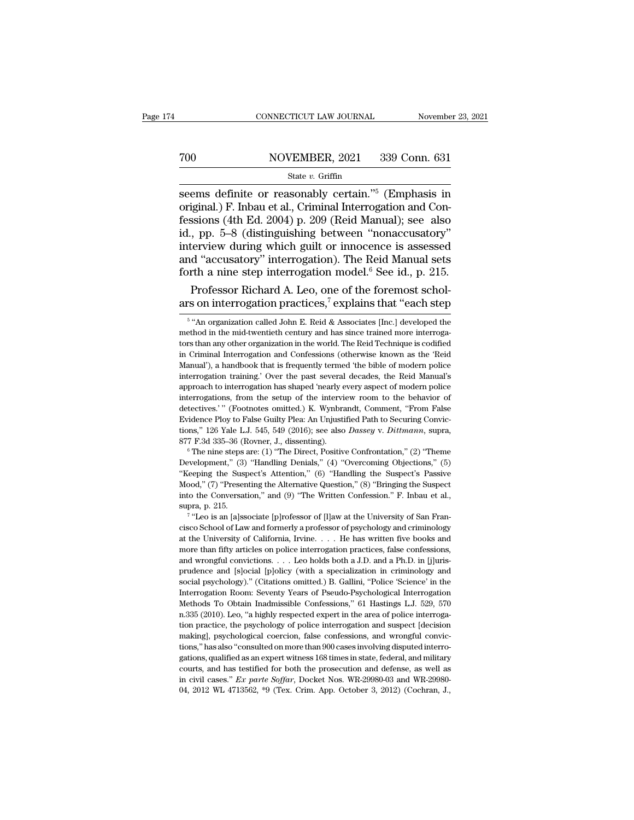# CONNECTICUT LAW JOURNAL November 23, 2021<br>
700 NOVEMBER, 2021 339 Conn. 631<br>
State v. Griffin

### State *v.* Griffin

 $\begin{tabular}{ll} \multicolumn{1}{l}{{\small \textbf{COMRECTICUT LAW JOURNAL}}} & \multicolumn{1}{l}{\small \textbf{November 23, 2021}}\\ \hline & \multicolumn{1}{l}{\small \textbf{S201}} & \multicolumn{1}{l}{\small \textbf{S39 Conn. 631}}\\ & \multicolumn{1}{l}{\small \textbf{State $v$. Griffiths} }\\ \hline & \multicolumn{1}{l}{\small \textbf{Steive $v$. Griffin}}\\ \hline & \multicolumn{1}{l}{\small \textbf{seems definite or reasonably certain.}}\ \hline^{5}$ (Emphasis in original.) F. Inbau et al., Criminal Interrog$ To reasonably certain.<sup>75</sup> (Emphasis in seems definite or reasonably certain.<sup>75</sup> (Emphasis in original.) F. Inbau et al., Criminal Interrogation and Confessions (4th Ed. 2004) p. 209 (Reid Manual); see also id., pp. 5–8 Festival Manual State v. Griffin<br>
State v. Griffin<br>
State v. Griffin<br>
State v. Griffin<br>
State v. Griffin<br>
State v. Griffin<br>
State v. Griffin<br>
State v. Griffin<br>
State v. Criminal Interrogation and Confessions (4th Ed. 2004 To reader the NOVEMBER, 2021 and the State v. Griffin<br>
State v. Griffin<br>
Seems definite or reasonably certain."<sup>5</sup> (Emphasis in<br>
original.) F. Inbau et al., Criminal Interrogation and Con-<br>
fessions (4th Ed. 2004) p. 209 State v. Griffin<br>
State v. Griffin<br>
State v. Griffin<br>
State v. Griffin<br>
original.) F. Inbau et al., Criminal Interrogation and Con-<br>
fessions (4th Ed. 2004) p. 209 (Reid Manual); see also<br>
id., pp. 5–8 (distinguishing bet State v. Griffin<br>seems definite or reasonably certain."<sup>5</sup> (Emphasis in<br>original.) F. Inbau et al., Criminal Interrogation and Con-<br>fessions (4th Ed. 2004) p. 209 (Reid Manual); see also<br>id., pp. 5–8 (distinguishing betwe seems definite or reasonably certain."<sup>5</sup> (Emphasis in original.) F. Inbau et al., Criminal Interrogation and Confessions (4th Ed. 2004) p. 209 (Reid Manual); see also id., pp. 5–8 (distinguishing between "nonaccusatory" i iginal.) F. Inbau et al., Criminal Interrogation and Conssions (4th Ed. 2004) p. 209 (Reid Manual); see also, pp. 5–8 (distinguishing between "nonaccusatory" iterview during which guilt or innocence is assessed d "accusato fessions (4th Ed. 2004) p. 209 (Reid Manual); see also<br>id., pp. 5–8 (distinguishing between "nonaccusatory"<br>interview during which guilt or innocence is assessed<br>and "accusatory" interrogation). The Reid Manual sets<br>forth

Evidence Ploy to False Guilty Plea: An Unjustified Path to Securing Convictions," 126 Yale L.J. 545, 549 (2016); see also *Dassey v. Dittmann*, supra, 877 F.3d 335–36 (Rovner, J., dissenting).<br>
<sup>6</sup> The nine steps are: (1) tions," 126 Yale L.J. 545, 549 (2016); see also *Dassey v. Dittmann*, supra, 877 F.3d 335–36 (Rovner, J., dissenting).<br>
<sup>6</sup> The nine steps are: (1) "The Direct, Positive Confrontation," (2) "Theme Development," (3) "Handl 877 F.3d 335-36 (Rovner, J., dissenting).<br>
877 F.3d 335-36 (Rovner, J., dissenting).<br>
<sup>6</sup> The nine steps are: (1) "The Direct, Positive Confrontation," (2) "Theme<br>
Development," (3) "Handling Denials," (4) "Overcoming Obj <sup>6</sup> The nine steps (3)<br>Development," (3)<br>"Keeping the Susy<br>Mood," (7) "Preser<br>into the Conversat<br>supra, p. 215.<br><sup>7</sup> "Leo is an [a]ss velopment," (3) "Handling Denials," (4) "Overcoming Objections," (5) eping the Suspect's Attention," (6) "Handling the Suspect's Passive od," (7) "Presenting the Alternative Question," (8) "Bringing the Suspect of the Conv "Comparison" (3) The Suspect's Attention," (6) "Handling the Suspect's Passive Mood," (7) "Presenting the Alternative Question," (8) "Bringing the Suspect into the Conversation," and (9) "The Written Confession." F. Inbau

 $5.49$ n o and "accusatory" interrogation). The Reid Manual sets<br>forth a nine step interrogation model.<sup>6</sup> See id., p. 215.<br>Professor Richard A. Leo, one of the foremost schol-<br>ars on interrogation practices,<sup>7</sup> explains that "each forth a nine step interrogation model." See 1d., p. 215.<br>Professor Richard A. Leo, one of the foremost scholars on interrogation practices,<sup>7</sup> explains that "each step<br><sup>5</sup> "An organization called John E. Reid & Associates Professor Richard A. Leo, one of the foremost scholars on interrogation practices,<sup>7</sup> explains that "each step  $\frac{1}{5}$ "An organization called John E. Reid & Associates [Inc.] developed the method in the mid-twentieth ce ars on interrogation practices,<sup>7</sup> explains that "each step  $\frac{1}{5}$ " An organization called John E. Reid & Associates [Inc.] developed the method in the mid-twentieth century and has since trained more interrogators tha ars Off Interrogation practices, explains that each step  $\frac{1}{5}$   $\frac{1}{5}$   $\frac{1}{5}$   $\frac{1}{10}$  organization called John E. Reid & Associates [Inc.] developed the method in the mid-twentieth century and has since traine  $^5$ "An organization called John E. Reid & Associates [Inc.] developed the method in the mid-twentieth century and has since trained more interrogators than any other organization in the world. The Reid Technique is codif method in the mid-twentieth century and has since trained more interrogators than any other organization in the world. The Reid Technique is codified in Criminal Interrogation and Confessions (otherwise known as the 'Reid for the standard interview and Confessions (otherwise known as the 'Reid Criminal Interrogation and Confessions (otherwise known as the 'Reid Manual'), a handbook that is frequently termed 'the bible of modern police inter on Criminal Interrogation and Confessions (otherwise known as the 'Reid Manual'), a handbook that is frequently termed 'the bible of modern police interrogation training.' Over the past several decades, the Reid Manual's a manual"), a handbook that is frequently termed 'the bible of modern police<br>interrogation training.' Over the past several decades, the Reid Manual's<br>approach to interrogation has shaped 'nearly every aspect of modern polic Interrogation training.' Over the past several decades, the Reid Manual's approach to interrogation has shaped 'nearly every aspect of modern police interrogations, from the setup of the interview room to the behavior of d approach to interrogation has shaped 'nearly every aspect of modern police<br>interrogations, from the setup of the interview room to the behavior of<br>detectives.'" (Footnotes omitted.) K. Wynbrandt, Comment, "From False<br>Evide detectives.'" (Footnotes omitted.) K. Wynbrandt, Comment, "From False Evidence Ploy to False Guilty Plea: An Unjustified Path to Securing Convictions," 126 Yale L.J. 545, 549 (2016); see also *Dassey v. Dittmann*, supra, 8

Attending and suppressed the Alternative Question," (8) "Bringing the Suspect into the Conversation," and (9) "The Written Confession." F. Inbau et al., supra, p. 215.<br>
<sup>7</sup> "Leo is an [a]ssociate [p]rofessor of [I]aw at t Mood," (7) "Presenting the Alternative Question," (8) "Bringing the Suspect into the Conversation," and (9) "The Written Confession." F. Inbau et al., supra, p. 215.<br>
<sup>7</sup> "Leo is an [a]ssociate [p]rofessor of [1]aw at the cisco School of Law and formerly a professor of psychology and criminology <sup>7</sup> "Leo is an [a]ssociate [p]rofessor of [l]aw at the University of San Francisco School of Law and formerly a professor of psychology and criminology at the University of California, Irvine. . . . He has written five bo social psychology).'' (Citations omitted.) B. Gallini, "Police 'Science' in the University of California, Irvine. . . . He has written five books and more than fifty articles on police interrogation practices, false confes at the University of California, Irvine.  $\ldots$  He has written five books and more than fifty articles on police interrogation practices, false confessions, and wrongful convictions.  $\ldots$  Leo holds both a J.D. and a Ph.D. more than fifty articles on police interrogation practices, false confessions, and wrongful convictions. . . . Leo holds both a J.D. and a Ph.D. in [j]uris-<br>prudence and [s]ocial [p]olicy (with a specialization in criminol and wrongful convictions. . . . Leo holds both a J.D. and a Ph.D. in [j]uris-<br>prudence and [s]ocial [p]olicy (with a specialization in criminology and<br>social psychology)." (Citations omitted.) B. Gallini, "Police 'Science' prudence and [s]ocial [p]olicy (with a specialization in criminology and social psychology)." (Citations omitted.) B. Gallini, "Police 'Science' in the Interrogation Room: Seventy Years of Pseudo-Psychological Interrogatio psical psychology)." (Citations omitted.) B. Gallini, "Police 'Science' in the Interrogation Room: Seventy Years of Pseudo-Psychological Interrogation Methods To Obtain Inadmissible Confessions," 61 Hastings L.J. 529, 570 Interrogation Room: Seventy Years of Pseudo-Psychological Interrogation<br>Methods To Obtain Inadmissible Confessions," 61 Hastings L.J. 529, 570<br>n.335 (2010). Leo, "a highly respected expert in the area of police interroga-<br> Methods To Obtain Inadmissible Confessions," 61 Hastings L.J. 529, 570 n.335 (2010). Leo, "a highly respected expert in the area of police interrogation practice, the psychology of police interrogation and suspect [decisio n.335 (2010). Leo, "a highly respected expert in the area of police interrogation practice, the psychology of police interrogation and suspect [decision making], psychological coercion, false confessions, and wrongful con tion practice, the psychology of police interrogation and suspect [decision making], psychological coercion, false confessions, and wrongful convic-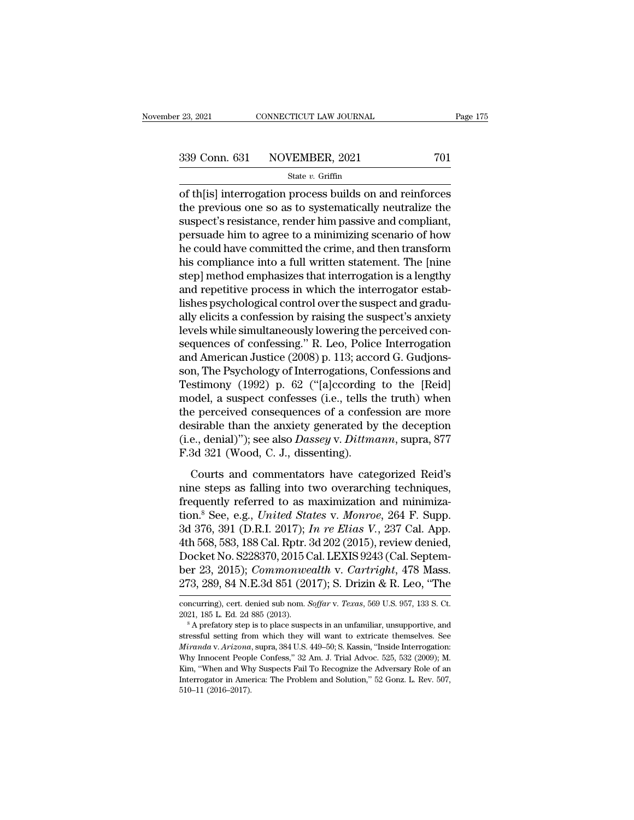<sup>23, 2021</sup> CONNECTICUT LAW JOURNAL Page 175<br>
339 Conn. 631 NOVEMBER, 2021 701<br>
<sup>21</sup> State *v*. Griffin<br>
of th[is] interrogation process builds on and reinforces<br>
the previous one so as to systematically neutralize the<br>
cu 339 Conn. 631 NOVEMBER, 2021 701<br>
State v. Griffin<br>
of th[is] interrogation process builds on and reinforces<br>
the previous one so as to systematically neutralize the<br>
suspect's resistance, render him passive and compliant 339 Conn. 631 NOVEMBER, 2021 701<br>
State v. Griffin<br>
of th[is] interrogation process builds on and reinforces<br>
the previous one so as to systematically neutralize the<br>
suspect's resistance, render him passive and compliant 339 Conn. 631 NOVEMBER, 2021 701<br>
state v. Griffin<br>
of th[is] interrogation process builds on and reinforces<br>
the previous one so as to systematically neutralize the<br>
suspect's resistance, render him passive and compliant  $\begin{array}{l} \hline \text{State }v. \text{ Griffith} \end{array}$  of th[is] interrogation process builds on and reinforces<br>the previous one so as to systematically neutralize the<br>suspect's resistance, render him passive and compliant,<br>persuade him to agree state  $v$ . Grillin<br>
of th[is] interrogation process builds on and reinforces<br>
the previous one so as to systematically neutralize the<br>
suspect's resistance, render him passive and compliant,<br>
persuade him to agree to a mi of th[is] interrogation process builds on and reinforces<br>the previous one so as to systematically neutralize the<br>suspect's resistance, render him passive and compliant,<br>persuade him to agree to a minimizing scenario of how the previous one so as to systematically neutralize the<br>suspect's resistance, render him passive and compliant,<br>persuade him to agree to a minimizing scenario of how<br>he could have committed the crime, and then transform<br>hi suspect's resistance, render him passive and compliant, persuade him to agree to a minimizing scenario of how<br>he could have committed the crime, and then transform<br>his compliance into a full written statement. The [nine<br>st persuade him to agree to a minimizing scenario of how<br>he could have committed the crime, and then transform<br>his compliance into a full written statement. The [nine<br>step] method emphasizes that interrogation is a lengthy<br>an he could have committed the crime, and then transform<br>his compliance into a full written statement. The [nine<br>step] method emphasizes that interrogation is a lengthy<br>and repetitive process in which the interrogator estab-<br> his compliance into a full written statement. The [nine<br>step] method emphasizes that interrogation is a lengthy<br>and repetitive process in which the interrogator estab-<br>lishes psychological control over the suspect and grad step] method emphasizes that interrogation is a lengthy<br>and repetitive process in which the interrogator estab-<br>lishes psychological control over the suspect and gradu-<br>ally elicits a confession by raising the suspect's an and repetitive process in which the interrogator establishes psychological control over the suspect and gradually elicits a confession by raising the suspect's anxiety levels while simultaneously lowering the perceived con lishes psychological control over the suspect and gradually elicits a confession by raising the suspect's anxiety<br>levels while simultaneously lowering the perceived con-<br>sequences of confessing." R. Leo, Police Interrogati ally elicits a confession by raising the suspect's anxiety<br>levels while simultaneously lowering the perceived con-<br>sequences of confessing." R. Leo, Police Interrogation<br>and American Justice (2008) p. 113; accord G. Gudjon levels while simultaneously lowering the perceived consequences of confessing." R. Leo, Police Interrogation<br>and American Justice (2008) p. 113; accord G. Gudjonsson, The Psychology of Interrogations, Confessions and<br>Testi sequences of confessing." R. Leo, Police Interrogation<br>and American Justice (2008) p. 113; accord G. Gudjons-<br>son, The Psychology of Interrogations, Confessions and<br>Testimony (1992) p. 62 ("[a]ccording to the [Reid]<br>model and American Justice (2008) p. 113; accord G. Gudjonsson, The Psychology of Interrogations, Confessions and Testimony (1992) p. 62 ("[a]ccording to the [Reid] model, a suspect confesses (i.e., tells the truth) when the per son, The Psychology of Interrogations, C<br>Testimony (1992) p. 62 ("[a]ccording<br>model, a suspect confesses (i.e., tells tl<br>the perceived consequences of a confes<br>desirable than the anxiety generated by<br>(i.e., denial)"); see collary (1982)  $P$  and (papelling as the price,<br>odel, a suspect confesses (i.e., tells the truth) when<br>e perceived consequences of a confession are more<br>sirable than the anxiety generated by the deception<br>e., denial)"); s the perceived consequences of a confession are more<br>desirable than the anxiety generated by the deception<br>(i.e., denial)"); see also *Dassey v. Dittmann*, supra, 877<br>F.3d 321 (Wood, C. J., dissenting).<br>Courts and commenta

desirable than the anxiety generated by the deception<br>(i.e., denial)"); see also *Dassey v. Dittmann*, supra, 877<br>F.3d 321 (Wood, C. J., dissenting).<br>Courts and commentators have categorized Reid's<br>nine steps as falling i (i.e., denial)"); see also *Dassey v. Dittmann*, supra, 877<br>F.3d 321 (Wood, C. J., dissenting).<br>Courts and commentators have categorized Reid's<br>nine steps as falling into two overarching techniques,<br>frequently referred to F.3d 321 (Wood, C. J., dissenting).<br>
Courts and commentators have categorized Reid's<br>
nine steps as falling into two overarching techniques,<br>
frequently referred to as maximization and minimiza-<br>
tion.<sup>8</sup> See, e.g., *Unite* Courts and commentators have categorized Reid's<br>nine steps as falling into two overarching techniques,<br>frequently referred to as maximization and minimiza-<br>tion.<sup>8</sup> See, e.g., *United States v. Monroe*, 264 F. Supp.<br>3d 376 Courts and commentators have categorized Reid's<br>nine steps as falling into two overarching techniques,<br>frequently referred to as maximization and minimiza-<br>tion.<sup>8</sup> See, e.g., *United States v. Monroe*, 264 F. Supp.<br>3d 37 nine steps as falling into two overarching techniques,<br>frequently referred to as maximization and minimiza-<br>tion.<sup>8</sup> See, e.g., *United States v. Monroe*, 264 F. Supp.<br>3d 376, 391 (D.R.I. 2017); *In re Elias V.*, 237 Cal. frequently referred to as maximization and minimiza-<br>tion.<sup>8</sup> See, e.g., *United States v. Monroe*, 264 F. Supp.<br>3d 376, 391 (D.R.I. 2017); *In re Elias V.*, 237 Cal. App.<br>4th 568, 583, 188 Cal. Rptr. 3d 202 (2015), review 4th 568, 583, 188 Cal. Rptr. 3d 202 (2015), review denied,<br>Docket No. S228370, 2015 Cal. LEXIS 9243 (Cal. Septem-<br>ber 23, 2015); *Commonwealth v. Cartright*, 478 Mass.<br>273, 289, 84 N.E.3d 851 (2017); S. Drizin & R. Leo, "T Docket No. S228370, 2015 Cal. LEXIS 9243 (Cal. Septem-<br>ber 23, 2015); *Commonwealth* v. *Cartright*, 478 Mass.<br>273, 289, 84 N.E.3d 851 (2017); S. Drizin & R. Leo, "The<br>concurring), cert. denied sub nom. *Soffar* v. *Texas* 

<sup>273, 289, 84</sup> N.E.3d 851 (2017); S. Drizin & R. Leo, "The<br>concurring), cert. denied sub nom. *Soffar v. Texas*, 569 U.S. 957, 133 S. Ct.<br>2021, 185 L. Ed. 2d 885 (2013).<br><sup>8</sup> A prefatory step is to place suspects in an unfam 210, 200, 04 IV.E..0d 601 (2011), *S. DITERT & R. LeO*, The<br>concurring), cert. denied sub nom. *Soffar v. Texas*, 569 U.S. 957, 133 S. Ct.<br>2021, 185 L. Ed. 2d 885 (2013).<br><sup>8</sup> A prefatory step is to place suspects in an unf concurring), cert. denied sub nom. *Soffar* v. *Texas*, 569 U.S. 957, 133 S. Ct.<br>2021, 185 L. Ed. 2d 885 (2013).<br><sup>8</sup> A prefatory step is to place suspects in an unfamiliar, unsupportive, and<br>stressful setting from which th 2021, 185 L. Ed. 2d 885 (2013).<br>
<sup>8</sup> A prefatory step is to place suspects in an unfamiliar, unsupportive, and<br>
stressful setting from which they will want to extricate themselves. See<br> *Miranda v. Arizona*, supra, 384 U. <sup>8</sup> A prefatory step is to place suspects in an unfamiliar, unsupportive, and stressful setting from which they will want to extricate themselves. See *Miranda v. Arizona*, supra, 384 U.S. 449–50; S. Kassin, "Inside Interr Fressful setting from the stressful setting from Miranda v. Arizona<br>
Why Innocent People<br>
Kim, "When and Wh<br>
Interrogator in Ame<br>
510–11 (2016–2017).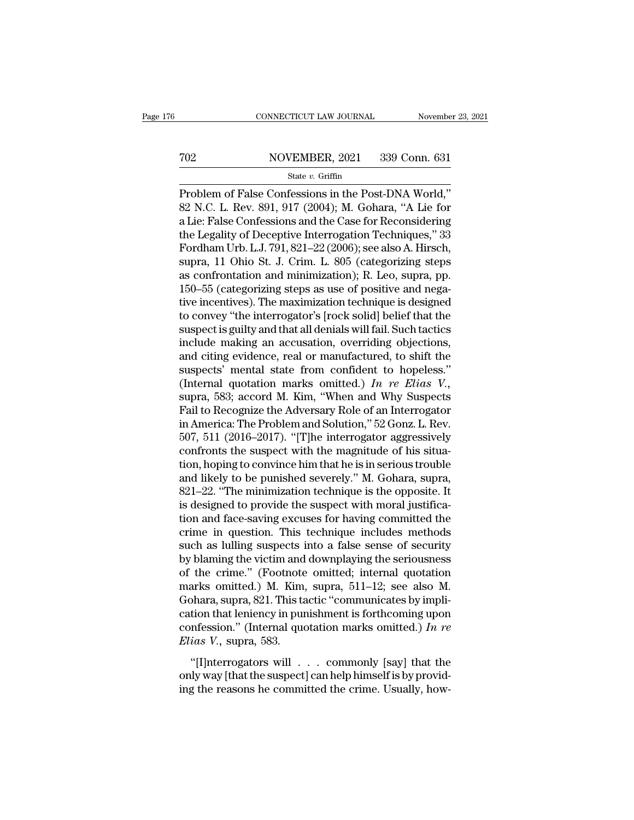# EXECUTE CONNECTICUT LAW JOURNAL Movember 23, 2021<br>
702 NOVEMBER, 2021 339 Conn. 631<br>
State v. Griffin

### State *v.* Griffin

CONNECTICUT LAW JOURNAL November 23, 2021<br>
NOVEMBER, 2021 339 Conn. 631<br>
State v. Griffin<br>
Problem of False Confessions in the Post-DNA World,"<br>
82 N.C. L. Rev. 891, 917 (2004); M. Gohara, "A Lie for a Lie: False Confessio NOVEMBER, 2021 339 Conn. 631<br>
State v. Griffin<br>
Problem of False Confessions in the Post-DNA World,"<br>
82 N.C. L. Rev. 891, 917 (2004); M. Gohara, "A Lie for<br>
a Lie: False Confessions and the Case for Reconsidering<br>
the Leg TO2 NOVEMBER, 2021 339 Conn. 631<br>
State v. Griffin<br>
Problem of False Confessions in the Post-DNA World,"<br>
82 N.C. L. Rev. 891, 917 (2004); M. Gohara, "A Lie for<br>
a Lie: False Confessions and the Case for Reconsidering<br>
th TO2 NOVEMBER, 2021 339 Conn. 631<br>
State v. Griffin<br>
Problem of False Confessions in the Post-DNA World,"<br>
S2 N.C. L. Rev. 891, 917 (2004); M. Gohara, "A Lie for<br>
a Lie: False Confessions and the Case for Reconsidering<br>
th Froblem of False Confessions in the Post-DNA World,"<br>82 N.C. L. Rev. 891, 917 (2004); M. Gohara, "A Lie for<br>a Lie: False Confessions and the Case for Reconsidering<br>the Legality of Deceptive Interrogation Techniques," 33<br>F state v. Griffin<br>
Problem of False Confessions in the Post-DNA World,"<br>
82 N.C. L. Rev. 891, 917 (2004); M. Gohara, "A Lie for<br>
a Lie: False Confessions and the Case for Reconsidering<br>
the Legality of Deceptive Interrogati Problem of False Confessions in the Post-DNA World,"<br>82 N.C. L. Rev. 891, 917 (2004); M. Gohara, "A Lie for<br>a Lie: False Confessions and the Case for Reconsidering<br>the Legality of Deceptive Interrogation Techniques," 33<br>Fo 82 N.C. L. Rev. 891, 917 (2004); M. Gohara, "A Lie for<br>a Lie: False Confessions and the Case for Reconsidering<br>the Legality of Deceptive Interrogation Techniques," 33<br>Fordham Urb. L.J. 791, 821–22 (2006); see also A. Hirsc a Lie: False Confessions and the Case for Reconsidering<br>the Legality of Deceptive Interrogation Techniques," 33<br>Fordham Urb. L.J. 791, 821–22 (2006); see also A. Hirsch,<br>supra, 11 Ohio St. J. Crim. L. 805 (categorizing ste the Legality of Deceptive Interrogation Techniques," 33<br>Fordham Urb. L.J. 791, 821–22 (2006); see also A. Hirsch,<br>supra, 11 Ohio St. J. Crim. L. 805 (categorizing steps<br>as confrontation and minimization); R. Leo, supra, pp Fordham Urb. L.J. 791, 821–22 (2006); see also A. Hirsch,<br>supra, 11 Ohio St. J. Crim. L. 805 (categorizing steps<br>as confrontation and minimization); R. Leo, supra, pp.<br>150–55 (categorizing steps as use of positive and nega supra, 11 Ohio St. J. Crim. L. 805 (categorizing steps<br>as confrontation and minimization); R. Leo, supra, pp.<br>150–55 (categorizing steps as use of positive and nega-<br>tive incentives). The maximization technique is designed as confrontation and minimization); R. Leo, supra, pp.<br>150–55 (categorizing steps as use of positive and negative incentives). The maximization technique is designed<br>to convey "the interrogator's [rock solid] belief that 150–55 (categorizing steps as use of positive and negative incentives). The maximization technique is designed<br>to convey "the interrogator's [rock solid] belief that the<br>suspect is guilty and that all denials will fail. S tive incentives). The maximization technique is designed<br>to convey "the interrogator's [rock solid] belief that the<br>suspect is guilty and that all denials will fail. Such tactics<br>include making an accusation, overriding ob to convey "the interrogator's [rock solid] belief that the<br>suspect is guilty and that all denials will fail. Such tactics<br>include making an accusation, overriding objections,<br>and citing evidence, real or manufactured, to suspect is guilty and that all denials will fail. Such tactics<br>include making an accusation, overriding objections,<br>and citing evidence, real or manufactured, to shift the<br>suspects' mental state from confident to hopeless include making an accusation, overriding objections,<br>and citing evidence, real or manufactured, to shift the<br>suspects' mental state from confident to hopeless."<br>(Internal quotation marks omitted.) In re Elias V.,<br>supra, 5 and citing evidence, real or manufactured, to shift the<br>suspects' mental state from confident to hopeless."<br>(Internal quotation marks omitted.) In re Elias V.,<br>supra, 583; accord M. Kim, "When and Why Suspects<br>Fail to Rec suspects' mental state from confident to hopeless."<br>(Internal quotation marks omitted.) In re Elias V.,<br>supra, 583; accord M. Kim, "When and Why Suspects<br>Fail to Recognize the Adversary Role of an Interrogator<br>in America: (Internal quotation marks omitted.) In re Elias V.,<br>supra, 583; accord M. Kim, "When and Why Suspects<br>Fail to Recognize the Adversary Role of an Interrogator<br>in America: The Problem and Solution," 52 Gonz. L. Rev.<br>507, 51 supra, 583; accord M. Kim, "When and Why Suspects<br>Fail to Recognize the Adversary Role of an Interrogator<br>in America: The Problem and Solution," 52 Gonz. L. Rev.<br>507, 511 (2016–2017). "[T]he interrogator aggressively<br>confr Fail to Recognize the Adversary Role of an Interrogator<br>in America: The Problem and Solution," 52 Gonz. L. Rev.<br>507, 511 (2016–2017). "[T]he interrogator aggressively<br>confronts the suspect with the magnitude of his situa-<br> in America: The Problem and Solution," 52 Gonz. L. Rev.<br>507, 511 (2016–2017). "[T]he interrogator aggressively<br>confronts the suspect with the magnitude of his situa-<br>tion, hoping to convince him that he is in serious troub 507, 511 (2016–2017). "[T]he interrogator aggressively<br>confronts the suspect with the magnitude of his situa-<br>tion, hoping to convince him that he is in serious trouble<br>and likely to be punished severely." M. Gohara, supra confronts the suspect with the magnitude of his situation, hoping to convince him that he is in serious trouble and likely to be punished severely." M. Gohara, supra, 821–22. "The minimization technique is the opposite. It tion, hoping to convince him that he is in serious trouble<br>and likely to be punished severely." M. Gohara, supra,<br>821–22. "The minimization technique is the opposite. It<br>is designed to provide the suspect with moral justif and likely to be punished severely." M. Gohara, supra,  $821-22$ . "The minimization technique is the opposite. It is designed to provide the suspect with moral justification and face-saving excuses for having committed the 821–22. "The minimization technique is the opposite. It<br>is designed to provide the suspect with moral justifica-<br>tion and face-saving excuses for having committed the<br>crime in question. This technique includes methods<br>such is designed to provide the suspect with moral justification and face-saving excuses for having committed the crime in question. This technique includes methods such as lulling suspects into a false sense of security by bla tion and face-saving excuses for having committed the crime in question. This technique includes methods such as lulling suspects into a false sense of security by blaming the victim and downplaying the seriousness of the crime in question. This technique includes methods<br>such as lulling suspects into a false sense of security<br>by blaming the victim and downplaying the seriousness<br>of the crime." (Footnote omitted; internal quotation<br>marks o such as lulling suspects into a false sense of security<br>by blaming the victim and downplaying the seriousness<br>of the crime." (Footnote omitted; internal quotation<br>marks omitted.) *M*. Kim, supra, 511–12; see also *M*.<br>Goha by blaming the victim and<br>of the crime." (Footnote<br>marks omitted.) M. Kim,<br>Gohara, supra, 821. This ta<br>cation that leniency in pur<br>confession." (Internal que<br>*Elias V.*, supra, 583.<br>"[I]nterrogators will. The semilar (19 M. Kim, supra, 511–12; see also M.<br>
Shara, supra, 821. This tactic "communicates by impli-<br>
tion that leniency in punishment is forthcoming upon<br>
mfession." (Internal quotation marks omitted.) In re<br>
ias V Frame Strategral, 311 That, Septer, 311 The, 350 and The Gohara, supra, 821. This tactic "communicates by implication that leniency in punishment is forthcoming upon confession." (Internal quotation marks omitted.) In re cation that leniency in punishment is forthcoming upon<br>confession." (Internal quotation marks omitted.) In re<br>Elias V., supra, 583.<br>"[I]nterrogators will . . . commonly [say] that the<br>only way [that the suspect] can help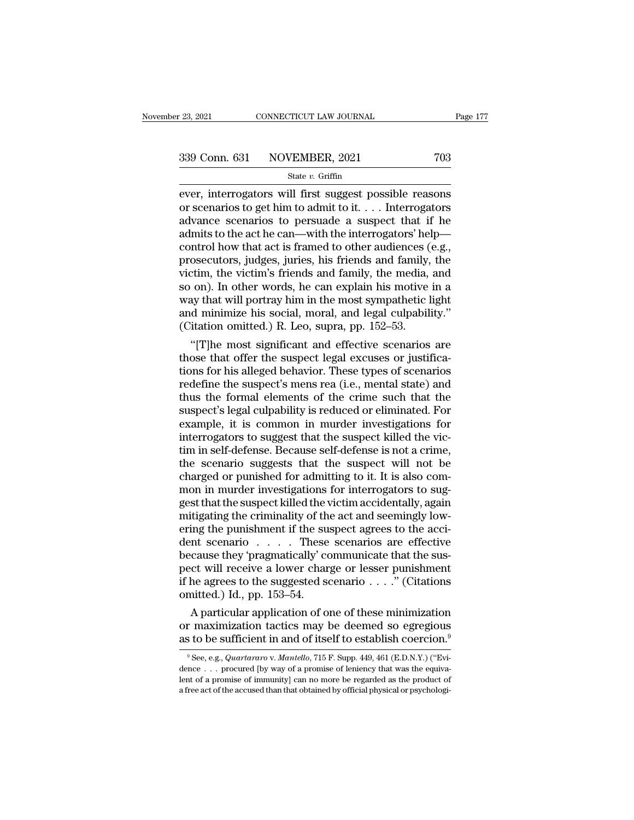ever, interrogators will first suggest possible reasons<br>
ever, interrogators will first suggest possible reasons<br>
or scenarios to get him to admit to it. . . . Interrogators<br>
advance scenarios to porsuade a suspect that i 339 Conn. 631 NOVEMBER, 2021 703<br>
State v. Griffin<br>
ever, interrogators will first suggest possible reasons<br>
or scenarios to get him to admit to it. . . . Interrogators<br>
advance scenarios to persuade a suspect that if he<br> 339 Conn. 631 NOVEMBER, 2021 703<br>
State v. Griffin<br>
ever, interrogators will first suggest possible reasons<br>
or scenarios to get him to admit to it.... Interrogators<br>
advance scenarios to persuade a suspect that if he<br>
ad 339 Conn. 631 NOVEMBER, 2021 703<br>
State v. Griffin<br>
ever, interrogators will first suggest possible reasons<br>
or scenarios to get him to admit to it.... Interrogators<br>
advance scenarios to persuade a suspect that if he<br>
ad Solution of the vertices (e.g., interrogators will first suggest possible reasons<br>or scenarios to get him to admit to it.... Interrogators<br>advance scenarios to persuade a suspect that if he<br>admits to the act he can—with t State v. Griffin<br>
ever, interrogators will first suggest possible reasons<br>
or scenarios to get him to admit to it.... Interrogators<br>
advance scenarios to persuade a suspect that if he<br>
admits to the act he can—with the in ever, interrogators will first suggest possible reasons<br>or scenarios to get him to admit to it. . . . Interrogators<br>advance scenarios to persuade a suspect that if he<br>admits to the act he can—with the interrogators' help or scenarios to get him to admit to it. . . . Interrogators<br>advance scenarios to persuade a suspect that if he<br>admits to the act he can—with the interrogators' help—<br>control how that act is framed to other audiences (e.g., advance scenarios to persuade a suspect that if he<br>admits to the act he can—with the interrogators' help—<br>control how that act is framed to other audiences (e.g.,<br>prosecutors, judges, juries, his friends and family, the<br>v admits to the act he can—with the interrogators' help—<br>control how that act is framed to other audiences (e.g.,<br>prosecutors, judges, juries, his friends and family, the<br>victim, the victim's friends and family, the media, a control how that act is framed to other audiences (prosecutors, judges, juries, his friends and family, victim, the victim's friends and family, the media, so on). In other words, he can explain his motive way that will po osecutors, judges, juries, his friends and family, the<br>
ctim, the victim's friends and family, the media, and<br>
on). In other words, he can explain his motive in a<br>
ay that will portray him in the most sympathetic light<br>
d victim, the victim's friends and family, the media, and<br>so on). In other words, he can explain his motive in a<br>way that will portray him in the most sympathetic light<br>and minimize his social, moral, and legal culpability."

so on). In other words, he can explain his motive in a<br>way that will portray him in the most sympathetic light<br>and minimize his social, moral, and legal culpability."<br>(Citation omitted.) R. Leo, supra, pp. 152–53.<br>"[T]he m way that will portray him in the most sympathetic light<br>and minimize his social, moral, and legal culpability."<br>(Citation omitted.) R. Leo, supra, pp. 152–53.<br>"[T]he most significant and effective scenarios are<br>those that and minimize his social, moral, and legal culpability."<br>
(Citation omitted.) R. Leo, supra, pp. 152–53.<br>
"[T]he most significant and effective scenarios are<br>
those that offer the suspect legal excuses or justifica-<br>
tions (Citation omitted.) R. Leo, supra, pp. 152–53.<br>
"[T]he most significant and effective scenarios are<br>
those that offer the suspect legal excuses or justifica-<br>
tions for his alleged behavior. These types of scenarios<br>
redef "[T]he most significant and effective scenarios are<br>those that offer the suspect legal excuses or justifica-<br>tions for his alleged behavior. These types of scenarios<br>redefine the suspect's mens rea (i.e., mental state) and those that offer the suspect legal excuses or justifications for his alleged behavior. These types of scenarios redefine the suspect's mens rea (i.e., mental state) and thus the formal elements of the crime such that the s tions for his alleged behavior. These types of scenarios<br>redefine the suspect's mens rea (i.e., mental state) and<br>thus the formal elements of the crime such that the<br>suspect's legal culpability is reduced or eliminated. Fo redefine the suspect's mens rea (i.e., mental state) and<br>thus the formal elements of the crime such that the<br>suspect's legal culpability is reduced or eliminated. For<br>example, it is common in murder investigations for<br>inte thus the formal elements of the crime such that the suspect's legal culpability is reduced or eliminated. For example, it is common in murder investigations for interrogators to suggest that the suspect killed the victim i suspect's legal culpability is reduced or eliminated. For<br>example, it is common in murder investigations for<br>interrogators to suggest that the suspect killed the vic-<br>tim in self-defense. Because self-defense is not a crim example, it is common in murder investigations for<br>interrogators to suggest that the suspect killed the vic-<br>tim in self-defense. Because self-defense is not a crime,<br>the scenario suggests that the suspect will not be<br>char interrogators to suggest that the suspect killed the victim in self-defense. Because self-defense is not a crime, the scenario suggests that the suspect will not be charged or punished for admitting to it. It is also commo tim in self-defense. Because self-defense is not a crime,<br>the scenario suggests that the suspect will not be<br>charged or punished for admitting to it. It is also com-<br>mon in murder investigations for interrogators to sug-<br> the scenario suggests that the suspect will not be charged or punished for admitting to it. It is also common in murder investigations for interrogators to suggest that the suspect killed the victim accidentally, again mit charged or punished for admitting to it. It is also common in murder investigations for interrogators to suggest that the suspect killed the victim accidentally, again mitigating the criminality of the act and seemingly lo mon in murder investigations for interrogators to suggest that the suspect killed the victim accidentally, again<br>mitigating the criminality of the act and seemingly low-<br>ering the punishment if the suspect agrees to the a gest that the suspect killed the victim accidentally, again<br>mitigating the criminality of the act and seemingly low-<br>ering the punishment if the suspect agrees to the acci-<br>dent scenario . . . . . These scenarios are effec mitigating the criminality of the act and seemingly low-<br>ering the punishment if the suspect agrees to the acci-<br>dent scenario  $\ldots$ . These scenarios are effective<br>because they 'pragmatically' communicate that the sus-<br>pe Ing the punishment if the suspect agrees to the acci-<br>
ant scenario . . . . These scenarios are effective<br>
cause they 'pragmatically' communicate that the sus-<br>
ct will receive a lower charge or lesser punishment<br>
he agre dent scenario . . . . These scenarios are effective<br>because they 'pragmatically' communicate that the sus-<br>pect will receive a lower charge or lesser punishment<br>if he agrees to the suggested scenario . . . . " (Citations<br> because they 'pragmatically' communicate that the sus-<br>pect will receive a lower charge or lesser punishment<br>if he agrees to the suggested scenario . . . ." (Citations<br>omitted.) Id., pp. 153–54.<br>A particular application o

A particular application of one of these minimization<br>r maximization tactics may be deemed so egregious<br>s to be sufficient in and of itself to establish coercion.<sup>9</sup><br>See, e.g., *Quartararo* v. *Mantello*, 715 F. Supp. 449, A particular application of one of these minimization<br>or maximization tactics may be deemed so egregious<br>as to be sufficient in and of itself to establish coercion.<sup>9</sup><br><sup>9</sup> See, e.g., *Quartararo* v. *Mantello*, 715 F. Sup

or maximization tactics may be deemed so egregious<br>as to be sufficient in and of itself to establish coercion.<sup>9</sup><br><sup>9</sup> See, e.g., *Quartararo* v. *Mantello*, 715 F. Supp. 449, 461 (E.D.N.Y.) ("Evidence . . . procured [by w as to be sufficient in and of itself to establish coercion.<sup>9</sup><br><sup>9</sup>See, e.g., *Quartararo* v. *Mantello*, 715 F. Supp. 449, 461 (E.D.N.Y.) ("Evidence . . . procured [by way of a promise of leniency that was the equivalent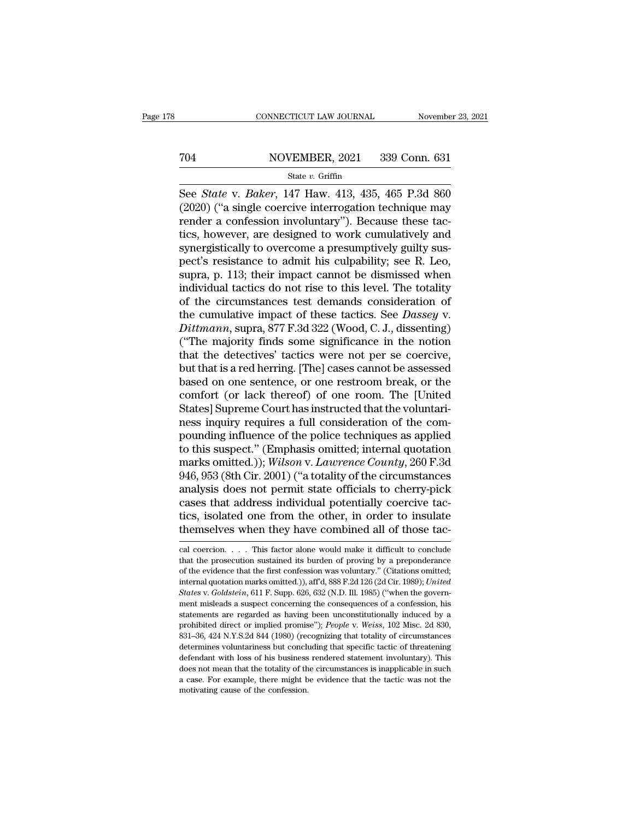# EXECUTE CONNECTICUT LAW JOURNAL Movember 23, 2021<br>
704 NOVEMBER, 2021 339 Conn. 631<br>
State v. Griffin

### State *v.* Griffin

CONNECTICUT LAW JOURNAL November 23, 2021<br>
See *State* v. *Baker*, 147 Haw. 413, 435, 465 P.3d 860<br>
(2020) ("a single coercive interrogation technique may<br>
rendor a confession involuntary"). Because these tag (2021) (2021) (2021) (2021) (2021) (2021) (2020) (4 single coercive interrogation technique may render a confession involuntary"). Because these tactics however are designed to work cumulatively and To render a confession involution in the confession involution of the confession involuntary''). Because these tac-<br>tics, however, are designed to work cumulatively and symparistically to overcome a prosumptively suity su To reader to NOVEMBER, 2021 339 Conn. 631<br>
See State v. Baker, 147 Haw. 413, 435, 465 P.3d 860<br>
(2020) ("a single coercive interrogation technique may<br>
render a confession involuntary"). Because these tac-<br>
tics, however, State v. Baker, 147 Haw. 413, 435, 465 P.3d 860<br>(2020) ("a single coercive interrogation technique may<br>render a confession involuntary"). Because these tac-<br>tics, however, are designed to work cumulatively and<br>synergistic state v. *Baker*, 147 Haw. 413, 435, 465 P.3d 860 (2020) ("a single coercive interrogation technique may render a confession involuntary"). Because these tactics, however, are designed to work cumulatively and synergistic See *State* v. *Baker*, 147 Haw. 413, 435, 465 P.3d 860 (2020) ("a single coercive interrogation technique may render a confession involuntary"). Because these tactics, however, are designed to work cumulatively and synerg (2020) ("a single coercive interrogation technique may<br>render a confession involuntary"). Because these tac-<br>tics, however, are designed to work cumulatively and<br>synergistically to overcome a presumptively guilty sus-<br>pec render a confession involuntary"). Because these tactics, however, are designed to work cumulatively and<br>synergistically to overcome a presumptively guilty sus-<br>pect's resistance to admit his culpability; see R. Leo,<br>supr tics, however, are designed to work cumulatively and<br>synergistically to overcome a presumptively guilty sus-<br>pect's resistance to admit his culpability; see R. Leo,<br>supra, p. 113; their impact cannot be dismissed when<br>indi synergistically to overcome a presumptively guilty sus-<br>pect's resistance to admit his culpability; see R. Leo,<br>supra, p. 113; their impact cannot be dismissed when<br>individual tactics do not rise to this level. The totalit pect's resistance to admit his culpability; see R. Leo,<br>supra, p. 113; their impact cannot be dismissed when<br>individual tactics do not rise to this level. The totality<br>of the circumstances test demands consideration of<br>the supra, p. 113; their impact cannot be dismissed when<br>individual tactics do not rise to this level. The totality<br>of the circumstances test demands consideration of<br>the cumulative impact of these tactics. See *Dassey* v.<br>*Di* individual tactics do not rise to this level. The totality<br>of the circumstances test demands consideration of<br>the cumulative impact of these tactics. See *Dassey* v.<br>*Dittmann*, supra, 877 F.3d 322 (Wood, C. J., dissenting of the circumstances test demands consideration of<br>the cumulative impact of these tactics. See *Dassey* v.<br>*Dittmann*, supra, 877 F.3d 322 (Wood, C. J., dissenting)<br>("The majority finds some significance in the notion<br>that the cumulative impact of these tactics. See *Dassey* v.<br> *Dittmann*, supra, 877 F.3d 322 (Wood, C. J., dissenting)<br>
("The majority finds some significance in the notion<br>
that the detectives' tactics were not per se coerciv Dittmann, supra, 877 F.3d 322 (Wood, C. J., dissenting)<br>("The majority finds some significance in the notion<br>that the detectives' tactics were not per se coercive,<br>but that is a red herring. [The] cases cannot be assessed<br> ("The majority finds some significance in the notion<br>that the detectives' tactics were not per se coercive,<br>but that is a red herring. [The] cases cannot be assessed<br>based on one sentence, or one restroom break, or the<br>com that the detectives' tactics were not per se coercive,<br>but that is a red herring. [The] cases cannot be assessed<br>based on one sentence, or one restroom break, or the<br>comfort (or lack thereof) of one room. The [United<br>Stat but that is a red herring. [The] cases cannot be assessed<br>based on one sentence, or one restroom break, or the<br>comfort (or lack thereof) of one room. The [United<br>States] Supreme Court has instructed that the voluntari-<br>nes based on one sentence, or one restroom break, or the comfort (or lack thereof) of one room. The [United States] Supreme Court has instructed that the voluntariness inquiry requires a full consideration of the compounding i comfort (or lack thereof) of one room. The [United States] Supreme Court has instructed that the voluntari-<br>ness inquiry requires a full consideration of the com-<br>pounding influence of the police techniques as applied<br>to t States] Supreme Court has instructed that the voluntari-<br>ness inquiry requires a full consideration of the com-<br>pounding influence of the police techniques as applied<br>to this suspect." (Emphasis omitted; internal quotation ness inquiry requires a full consideration of the compounding influence of the police techniques as applied<br>to this suspect." (Emphasis omitted; internal quotation<br>marks omitted.)); *Wilson v. Lawrence County*, 260 F.3d<br>94 pounding influence of the police techniques as applied<br>to this suspect." (Emphasis omitted; internal quotation<br>marks omitted.)); *Wilson v. Lawrence County*, 260 F.3d<br>946, 953 (8th Cir. 2001) ("a totality of the circumstan to this suspect." (Emphasis omitted; internal quotation marks omitted.)); *Wilson v. Lawrence County*, 260 F.3d 946, 953 (8th Cir. 2001) ("a totality of the circumstances analysis does not permit state officials to cherry analysis does not permit state officials to cherry-pick<br>cases that address individual potentially coercive tac-<br>tics, isolated one from the other, in order to insulate<br>themselves when they have combined all of those tac-<br> cases that address individual potentially coercive tactics, isolated one from the other, in order to insulate themselves when they have combined all of those tac-<br>cal coercion. . . . This factor alone would make it difficu

tics, isolated one from the other, in order to insulate<br>themselves when they have combined all of those tac-<br>cal coercion. . . . This factor alone would make it difficult to conclude<br>that the prosecution sustained its burd themselves when they have combined all of those tac-<br>cal coercion. . . . This factor alone would make it difficult to conclude<br>that the prosecution sustained its burden of proving by a preponderance<br>of the evidence that th *States* v. *Colubried an Of those tac-*<br> *States decretion*. *Colubried an Of those tac-*<br> *Cal coercion. Colubried its burden of proving by a preponderance*<br>
of the evidence that the first confession was voluntary." (C cal coercion. . . . This factor alone would make it difficult to conclude that the prosecution sustained its burden of proving by a preponderance of the evidence that the first confession was voluntary." (Citations omitte that the prosecution sustained its burden of proving by a preponderance of the evidence that the first confession was voluntary." (Citations omitted; internal quotation marks omitted.)), aff'd, 888 F.2d 126 (2d Cir. 1989); of the evidence that the first confession was voluntary." (Citations omitted; internal quotation marks omitted.)), aff d, 888 F.2d 126 (2d Cir. 1989); *United States* v. *Goldstein*, 611 F. Supp. 626, 632 (N.D. Ill. 1985) internal quotation marks omitted.)), aff'd, 888 F.2d 126 (2d Cir. 1989); United<br>States v. Goldstein, 611 F. Supp. 626, 632 (N.D. Ill. 1985) ("when the govern-<br>ment misleads a suspect concerning the consequences of a confes *States* v. *Goldstein*, 611 F. Supp. 626, 632 (N.D. Ill. 1985) ("when the government misleads a suspect concerning the consequences of a confession, his statements are regarded as having been unconstitutionally induced by States v. Goldstein, 611 F. Supp. 626, 632 (N.D. Ill. 1985) ("when the government misleads a suspect concerning the consequences of a confession, his statements are regarded as having been unconstitutionally induced by a statements are regarded as having been unconstitutionally induced by a prohibited direct or implied promise"); *People* v. *Weiss*, 102 Misc. 2d 830, 831–36, 424 N.Y.S.2d 844 (1980) (recognizing that totality of circumstan prohibited direct or implied promise"); *People* v. *Weiss*, 102 Misc. 2d 830, 831–36, 424 N.Y.S.2d 844 (1980) (recognizing that totality of circumstances determines voluntariness but concluding that specific tactic of th 831–36, 424 N.Y.S.2d 844 (1980) (recognizing that totality of circumstances determines voluntariness but concluding that specific tactic of threatening defendant with loss of his business rendered statement involuntary). T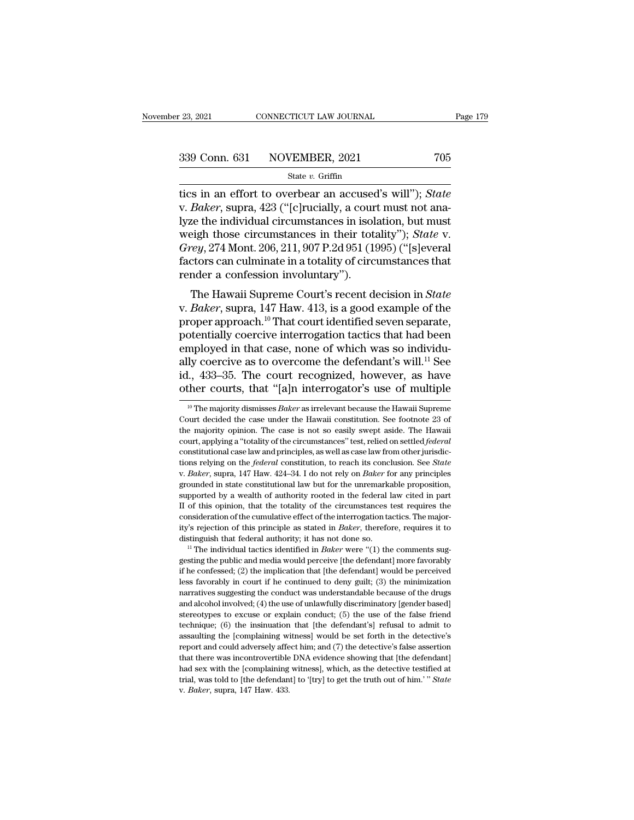tics in an effort to overbear an accused's will<sup>''</sup>); *State*<br>
We be a state *v*. Griffin<br>
tics in an effort to overbear an accused's will''); *State*<br>
v. *Baker*, supra, 423 ("[c]rucially, a court must not analyze the ind 339 Conn. 631 NOVEMBER, 2021 705<br>
<sup>State v.</sup> Griffin<br>
tics in an effort to overbear an accused's will"); *State*<br>
v. *Baker*, supra, 423 ("[c]rucially, a court must not ana-<br>
lyze the individual circumstances in isolation, 339 Conn. 631 NOVEMBER, 2021 705<br>
State v. Griffin<br>
tics in an effort to overbear an accused's will''); State<br>
v. Baker, supra, 423 ("[c]rucially, a court must not ana-<br>
lyze the individual circumstances in isolation, but 339 Conn. 631 NOVEMBER, 2021 705<br>  $\frac{\text{State } v. \text{ Griffith}}{\text{ities in an effort to overbear an accused's will''}}$ ; *State*<br>
v. *Baker*, supra, 423 ("[c]rucially, a court must not ana-<br>
lyze the individual circumstances in isolation, but must<br>
weigh those circumstances *State v. Griffin*<br> *Grammers 110 Chancery, 2022*<br> *Grammers 123 ("Chancer"); State*<br> *Greer, supra, 423 ("Chancer"); State with must<br>
alyze the individual circumstances in isolation, but must<br>
weigh those circumstances in* state *v*. Griftin<br>tics in an effort to overbear an accused's will"); State<br>v. Baker, supra, 423 ("[c]rucially, a court must not ana-<br>lyze the individual circumstances in isolation, but must<br>weigh those circumstances in t tics in an effort to overbear an accused's will"); *State* v. *Baker*, supra, 423 ("[c]rucially, a court must not analyze the individual circumstances in isolation, but must weigh those circumstances in their totality"); *Buker*, supra, 425 ([C]Tuctany, a court must not ana-<br>te the individual circumstances in isolation, but must<br>eigh those circumstances in their totality"); *State* v.<br> $rey$ , 274 Mont. 206, 211, 907 P.2d 951 (1995) ("[s]ever ryze the marvidual circumstances in isolation, but must<br>weigh those circumstances in their totality"); *State* v.<br>*Grey*, 274 Mont. 206, 211, 907 P.2d 951 (1995) ("[s]everal<br>factors can culminate in a totality of circumsta

*Grey*, 274 Mont. 206, 211, 907 P.2d 951 (1995) ("[s]everal<br>factors can culminate in a totality of circumstances that<br>render a confession involuntary").<br>The Hawaii Supreme Court's recent decision in *State*<br>v. *Baker*, su portegy, 274 Mont. 200, 211, 3071.2d 351 (1335) (speedard factors can culminate in a totality of circumstances that render a confession involuntary").<br>The Hawaii Supreme Court's recent decision in *State* v. *Baker*, supr render a confession involuntary").<br>
The Hawaii Supreme Court's recent decision in *State*<br>
v. *Baker*, supra, 147 Haw. 413, is a good example of the<br>
proper approach.<sup>10</sup> That court identified seven separate,<br>
potentially The Hawaii Supreme Court's recent decision in *State* v. *Baker*, supra, 147 Haw. 413, is a good example of the proper approach.<sup>10</sup> That court identified seven separate, potentially coercive interrogation tactics that ha The Hawaii Supreme Court's recent decision in *State* v. *Baker*, supra, 147 Haw. 413, is a good example of the proper approach.<sup>10</sup> That court identified seven separate, potentially coercive interrogation tactics that ha v. *Baker*, supra, 147 Haw. 413, is a good example of the proper approach.<sup>10</sup> That court identified seven separate, potentially coercive interrogation tactics that had been employed in that case, none of which was so ind mployed in that case, none of which was so individu-<br>ly coercive as to overcome the defendant's will.<sup>11</sup> See<br>l., 433–35. The court recognized, however, as have<br>ther courts, that "[a]n interrogator's use of multiple<br><sup>10</sup> T ally coercive as to overcome the defendant's will.<sup>11</sup> See id., 433–35. The court recognized, however, as have other courts, that "[a]n interrogator's use of multiple  $\frac{10}{10}$  The majority dismisses *Baker* as irreleva

id., 433–35. The court recognized, however, as have other courts, that "[a]n interrogator's use of multiple  $\frac{10 \text{ T/h}}{10 \text{ T/h}}$  majority dismisses *Baker* as irrelevant because the Hawaii Supreme Court decided the case court, applying a "totality of the circumstances" of the Hawaii Supreme<br>Court decided the case under the Hawaii constitution. See footnote 23 of<br>the majority opinion. The case is not so easily swept aside. The Hawaii<br>court <sup>10</sup> The majority dismisses *Baker* as irrelevant because the Hawaii Supreme Court decided the case under the Hawaii constitution. See footnote 23 of the majority opinion. The case is not so easily swept aside. The Hawaii <sup>10</sup> The majority dismisses *Baker* as irrelevant because the Hawaii Supreme Court decided the case under the Hawaii constitution. See footnote 23 of the majority opinion. The case is not so easily swept aside. The Hawaii the majority opinion. The case is not so easily swept aside. The Hawaii court, applying a "totality of the circumstances" test, relied on settled *federal* constitutional case law and principles, as well as case law from o supported by a wealth of authority of the circumstances are also settled *federal* constitutional case law and principles, as well as case law from other jurisdictions relying on the *federal* constitution, to reach its co constitutional case law and principles, as well as case law from other jurisdictions relying on the *federal* constitution, to reach its conclusion. See *State* v. *Baker*, supra, 147 Haw. 424–34. I do not rely on *Baker* constitutional case law and principles, as well as case law from other jurisdictions relying on the *federal* constitution, to reach its conclusion. See *State* v. *Baker*, supra, 147 Haw. 424–34. I do not rely on *Baker* v. *Baker*, supra, 147 Haw. 424–34. I do not rely on *Baker* for any principles grounded in state constitutional law but for the unremarkable proposition, supported by a wealth of authority rooted in the federal law cited distinguish that federal authority; it has not done solutional authority; imported in state constitutional law but for the unremarkable proposition, supported by a wealth of authority rooted in the federal law cited in par If of this opinion, that the totality of the circumstances test requires the consideration of the cumulative effect of the interrogation tactics. The majority's rejection of this principle as stated in *Baker*, therefore,

if the conference of the interrogation tactics. The major-<br>consideration of the cumulative effect of the interrogation tactics. The major-<br>tity's rejection of this principle as stated in *Baker*, therefore, requires it to ity's rejection of this principle as stated in *Baker*, therefore, requires it to distinguish that federal authority; it has not done so.<br><sup>11</sup> The individual tactics identified in *Baker* were "(1) the comments suggesting narratives suggesting the conduction of the conduction of the conductinguish that federal authority; it has not done so.<br>
<sup>11</sup> The individual tactics identified in *Baker* were "(1) the comments suggesting the public and <sup>11</sup> The individual tactics identified in *Baker* were "(1) the comments suggesting the public and media would perceive [the defendant] more favorably if he confessed; (2) the implication that [the defendant] would be per gesting the public and media would perceive [the defendant] more favorably if he confessed; (2) the implication that [the defendant] would be perceived less favorably in court if he continued to deny guilt; (3) the minimiz if the confessed; (2) the implication that [the defendant] would be perceived less favorably in court if he continued to deny guilt; (3) the minimization narratives suggesting the conduct was understandable because of the as favorably in court if he continued to deny guilt; (3) the minimization narratives suggesting the conduct was understandable because of the drugs and alcohol involved; (4) the use of unlawfully discriminatory [gender bas represent and could adversely affect him; and (7) the detective's false assertion and alcohol involved; (4) the use of unlawfully discriminatory [gender based] stereotypes to excuse or explain conduct; (5) the use of the f and alcohol involved; (4) the use of unlawfully discriminatory [gender based] stereotypes to excuse or explain conduct; (5) the use of the false friend technique; (6) the insinuation that [the defendant's] refusal to admi stereotypes to excuse or explain conduct; (5) the use of the false friend technique; (6) the insinuation that [the defendant's] refusal to admit to assaulting the [complaining witness] would be set forth in the detective' trechnique; (6) the insinuation that [the defendant's] refusal to admit to assaulting the [complaining witness] would be set forth in the detective's report and could adversely affect him; and (7) the detective's false ass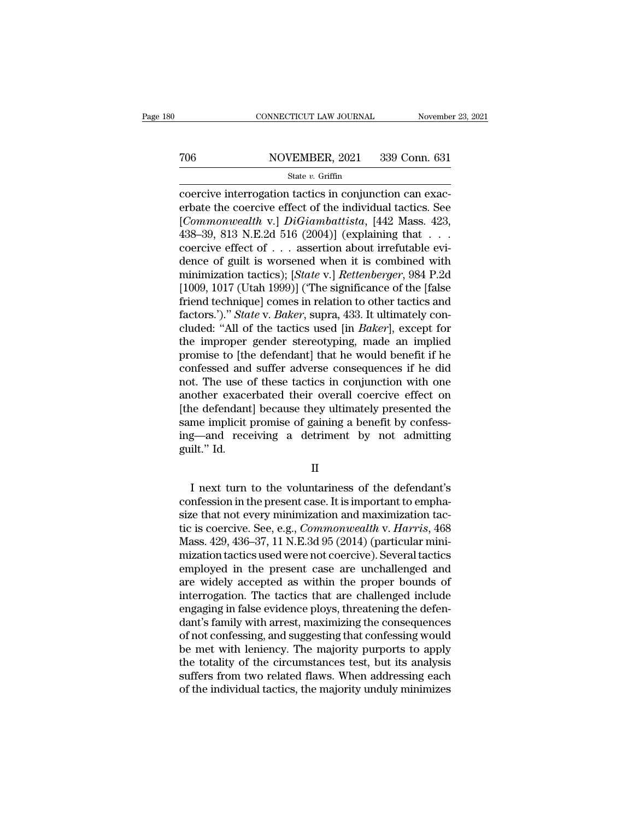# EXECUTE CONNECTICUT LAW JOURNAL Movember 23, 2021<br>
706 NOVEMBER, 2021 339 Conn. 631<br>
State v. Griffin

### State *v.* Griffin

CONNECTICUT LAW JOURNAL November<br>
TO6 NOVEMBER, 2021 339 Conn. 631<br>
State v. Griffin<br>
Coercive interrogation tactics in conjunction can exacerbate the coercive effect of the individual tactics. See For the coercive interrogation tactics in conjunction can exacerbate the coercive effect of the individual tactics. See [*Commonwealth v.*] *DiGiambattista*, [442 Mass. 423, 438, 30, 813, N F 24, 516, (2004)], (oxplaining To common and the v. Griffin<br> *State v. Griffin*<br>
Coercive interrogation tactics in conjunction can exacerbate the coercive effect of the individual tactics. See<br>
[*Commonwealth* v.] *DiGiambattista*, [442 Mass. 423, 438–3 706 NOVEMBER, 2021 339 Conn. 631<br>
State v. Griffin<br>
coercive interrogation tactics in conjunction can exacerbate the coercive effect of the individual tactics. See<br>
[*Commonwealth v.*] *DiGiambattista*, [442 Mass. 423, 43 State v. Griffin<br>
coercive interrogation tactics in conjunction can exacerbate the coercive effect of the individual tactics. See<br>
[*Commonwealth v.*] *DiGiambattista*, [442 Mass. 423, 438–39, 813 N.E.2d 516 (2004)] (expl state v. Griftin<br>
coercive interrogation tactics in conjunction can exac-<br>
erbate the coercive effect of the individual tactics. See<br>
[*Commonwealth* v.] *DiGiambattista*, [442 Mass. 423,<br>
438–39, 813 N.E.2d 516 (2004)] ( coercive interrogation tactics in conjunction can exacerbate the coercive effect of the individual tactics. See [*Commonwealth* v.] *DiGiambattista*, [442 Mass. 423, 438–39, 813 N.E.2d 516 (2004)] (explaining that . . . . erbate the coercive effect of the individual tactics. See<br>[*Commonwealth* v.] *DiGiambattista*, [442 Mass. 423,<br>438–39, 813 N.E.2d 516 (2004)] (explaining that . . .<br>coercive effect of . . . assertion about irrefutable ev [*Commonwealth* v.] *DiGiambattista*, [442 Mass. 423, 438–39, 813 N.E.2d 516 (2004)] (explaining that  $\ldots$  coercive effect of  $\ldots$  assertion about irrefutable evidence of guilt is worsened when it is combined with minim 438–39, 813 N.E.2d 516 (2004)] (explaining that . . . coercive effect of . . . assertion about irrefutable evidence of guilt is worsened when it is combined with minimization tactics); [*State v.*] *Rettenberger*, 984 P.2d coercive effect of . . . assertion about irrefutable evi-<br>dence of guilt is worsened when it is combined with<br>minimization tactics); [*State* v.] *Rettenberger*, 984 P.2d<br>[1009, 1017 (Utah 1999)] ('The significance of the dence of guilt is worsened when it is combined with<br>minimization tactics); [*State* v.] *Rettenberger*, 984 P.2d<br>[1009, 1017 (Utah 1999)] ('The significance of the [false<br>friend technique] comes in relation to other tactic minimization tactics); [*State v.*] *Rettenberger*, 984 P.2d [1009, 1017 (Utah 1999)] ('The significance of the [false friend technique] comes in relation to other tactics and factors.')." *State v. Baker*, supra, 433. It [1009, 1017 (Utah 1999)] ("The significance of the [false<br>friend technique] comes in relation to other tactics and<br>factors.')." *State* v. *Baker*, supra, 433. It ultimately con-<br>cluded: "All of the tactics used [in *Bake* friend technique] comes in relation to other tactics and<br>factors.')." *State* v. *Baker*, supra, 433. It ultimately con-<br>cluded: "All of the tactics used [in *Baker*], except for<br>the improper gender stereotyping, made an i factors.')." *State* v. *Baker*, supra, 433. It ultimately concluded: "All of the tactics used [in *Baker*], except for the improper gender stereotyping, made an implied promise to [the defendant] that he would benefit if cluded: "All of the tactics used [in *Baker*], except for<br>the improper gender stereotyping, made an implied<br>promise to [the defendant] that he would benefit if he<br>confessed and suffer adverse consequences if he did<br>not. Th the improper gender stereotyping, made an implied<br>promise to [the defendant] that he would benefit if he<br>confessed and suffer adverse consequences if he did<br>not. The use of these tactics in conjunction with one<br>another exa promise to [the defendant] that he would benefit if he confessed and suffer adverse consequences if he did not. The use of these tactics in conjunction with one another exacerbated their overall coercive effect on [the def confessed and<br>not. The use c<br>another exace<br>[the defendant<br>same implicit <sub>]</sub><br>ing—and rece<br>guilt.'' Id. I next turn to the voluntariness of the defendant's<br>
I next turn to the voluntariness of the defendant's<br>
I next turn to the voluntariness of the defendant's<br>
I next turn to the voluntariness of the defendant's<br>
I next tur

II

same implicit promise of gaining a benefit by confess-<br>ing—and receiving a detriment by not admitting<br>guilt." Id.<br>II<br>I next turn to the voluntariness of the defendant's<br>confession in the present case. It is important to em ing—and receiving a detriment by not admitting<br>guilt." Id.<br>I<br>I next turn to the voluntariness of the defendant's<br>confession in the present case. It is important to empha-<br>size that not every minimization and maximization t II<br>I next turn to the voluntariness of the defendant's<br>confession in the present case. It is important to empha-<br>size that not every minimization and maximization tac-<br>tic is coercive. See, e.g., *Commonwealth* v. *Harris* II<br>I next turn to the voluntariness of the defendant's<br>confession in the present case. It is important to empha-<br>size that not every minimization and maximization tac-<br>tic is coercive. See, e.g., *Commonwealth v. Harris*, I next turn to the voluntariness of the defendant's<br>confession in the present case. It is important to empha-<br>size that not every minimization and maximization tac-<br>tic is coercive. See, e.g., *Commonwealth* v. *Harris*, 4 I next turn to the voluntariness of the defendant's<br>confession in the present case. It is important to empha-<br>size that not every minimization and maximization tac-<br>tic is coercive. See, e.g., *Commonwealth* v. *Harris*, 4 confession in the present case. It is important to emphasize that not every minimization and maximization tactic is coercive. See, e.g., *Commonwealth v. Harris*, 468 Mass. 429, 436–37, 11 N.E.3d 95 (2014) (particular mini size that not every minimization and maximization tactic is coercive. See, e.g., *Commonwealth* v. *Harris*, 468 Mass. 429, 436–37, 11 N.E.3d 95 (2014) (particular minimization tactics used were not coercive). Several tact tic is coercive. See, e.g., *Commonwealth* v. *Harris*, 468<br>Mass. 429, 436–37, 11 N.E.3d 95 (2014) (particular mini-<br>mization tactics used were not coercive). Several tactics<br>employed in the present case are unchallenged a Mass. 429, 436–37, 11 N.E.3d 95 (2014) (particular mini-<br>mization tactics used were not coercive). Several tactics<br>employed in the present case are unchallenged and<br>are widely accepted as within the proper bounds of<br>interr mization tactics used were not coercive). Several tactics<br>employed in the present case are unchallenged and<br>are widely accepted as within the proper bounds of<br>interrogation. The tactics that are challenged include<br>engaging employed in the present case are unchallenged and<br>are widely accepted as within the proper bounds of<br>interrogation. The tactics that are challenged include<br>engaging in false evidence ploys, threatening the defen-<br>dant's fa are widely accepted as within the proper bounds of<br>interrogation. The tactics that are challenged include<br>engaging in false evidence ploys, threatening the defen-<br>dant's family with arrest, maximizing the consequences<br>of n interrogation. The tactics that are challenged include<br>engaging in false evidence ploys, threatening the defen-<br>dant's family with arrest, maximizing the consequences<br>of not confessing, and suggesting that confessing would engaging in false evidence ploys, threatening the defendant's family with arrest, maximizing the consequences<br>of not confessing, and suggesting that confessing would<br>be met with leniency. The majority purports to apply<br>the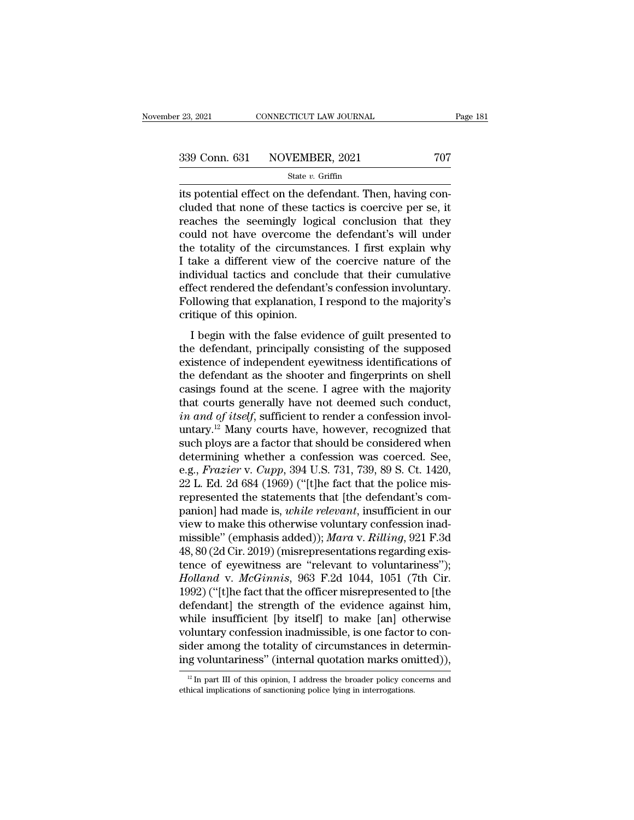| r 23, 2021 | CONNECTICUT LAW JOURNAL      | Page 181 |
|------------|------------------------------|----------|
|            | 339 Conn. 631 NOVEMBER, 2021 | 707      |
|            | State $v$ . Griffin          |          |

<sup>23, 2021</sup> CONNECTICUT LAW JOURNAL<br>  $\frac{339 \text{ Conn. } 631 \text{ NOVEMBER, } 2021}$  707<br>  $\frac{631 \text{ Star-Oriftin}}{1000 \text{ Total effect on the defendant. Then, having con-  
cluded that none of these tactics is coercive per se, it  
reaches the seemingly logical conclusion that they$ 339 Conn. 631 NOVEMBER, 2021 707<br>
State v. Griffin<br>
its potential effect on the defendant. Then, having concluded that none of these tactics is coercive per se, it<br>
reaches the seemingly logical conclusion that they<br>
coul 339 Conn. 631 NOVEMBER, 2021 707<br>
State v. Griffin<br>
its potential effect on the defendant. Then, having concluded that none of these tactics is coercive per se, it<br>
reaches the seemingly logical conclusion that they<br>
coul 339 Conn. 631 NOVEMBER, 2021 707<br>
state v. Griffin<br>
its potential effect on the defendant. Then, having con-<br>
cluded that none of these tactics is coercive per se, it<br>
reaches the seemingly logical conclusion that they<br>
c Solution of the transmental control of the circumstances.<br>
Its potential effect on the defendant. Then, having concluded that none of these tactics is coercive per se, it<br>
reaches the seemingly logical conclusion that the state v. Griffin<br>its potential effect on the defendant. Then, having con-<br>cluded that none of these tactics is coercive per se, it<br>reaches the seemingly logical conclusion that they<br>could not have overcome the defendant's its potential effect on the defendant. Then, having concluded that none of these tactics is coercive per se, it reaches the seemingly logical conclusion that they could not have overcome the defendant's will under the tota cluded that none of these tactics is coercive per se, it<br>reaches the seemingly logical conclusion that they<br>could not have overcome the defendant's will under<br>the totality of the circumstances. I first explain why<br>I take a reaches the seemingly logical conclusion that they<br>could not have overcome the defendant's will under<br>the totality of the circumstances. I first explain why<br>I take a different view of the coercive nature of the<br>individual could not have overcome the<br>the totality of the circumsta<br>I take a different view of the<br>individual tactics and conclu<br>effect rendered the defendant<br>Following that explanation, I<br>critique of this opinion.<br>I begin with the E todaily of the chedulistances. Thist explaint why<br>ake a different view of the coercive nature of the<br>dividual tactics and conclude that their cumulative<br>fect rendered the defendant's confession involuntary.<br>Illowing that Trake a unferent view of the coefficient hadite of the<br>individual tactics and conclude that their cumulative<br>effect rendered the defendant's confession involuntary.<br>Following that explanation, I respond to the majority's<br>c

marvidual tactics and conclude that their cumulative<br>effect rendered the defendant's confession involuntary.<br>Following that explanation, I respond to the majority's<br>critique of this opinion.<br>I begin with the false evidence Following that explanation, I respond to the majority's<br>critique of this opinion.<br>I begin with the false evidence of guilt presented to<br>the defendant, principally consisting of the supposed<br>existence of independent eyewitn Following that explanation, Trespond to the majority's<br>critique of this opinion.<br>I begin with the false evidence of guilt presented to<br>the defendant, principally consisting of the supposed<br>existence of independent eyewitne I begin with the false evidence of guilt presented to<br>the defendant, principally consisting of the supposed<br>existence of independent eyewitness identifications of<br>the defendant as the shooter and fingerprints on shell<br>cas *I* begin with the false evidence of guilt presented to the defendant, principally consisting of the supposed existence of independent eyewitness identifications of the defendant as the shooter and fingerprints on shell ca the defendant, principally consisting of the supposed<br>existence of independent eyewitness identifications of<br>the defendant as the shooter and fingerprints on shell<br>casings found at the scene. I agree with the majority<br>that existence of independent eyewitness identifications of<br>the defendant as the shooter and fingerprints on shell<br>casings found at the scene. I agree with the majority<br>that courts generally have not deemed such conduct,<br> $in and of itself$ the defendant as the shooter and fingerprints on shell<br>casings found at the scene. I agree with the majority<br>that courts generally have not deemed such conduct,<br>*in and of itself*, sufficient to render a confession involcasings found at the scene. I agree with the majority<br>that courts generally have not deemed such conduct,<br>*in and of itself*, sufficient to render a confession invol-<br>untary.<sup>12</sup> Many courts have, however, recognized that<br> that courts generally have not deemed such conduct,<br>in and of itself, sufficient to render a confession invol-<br>untary.<sup>12</sup> Many courts have, however, recognized that<br>such ploys are a factor that should be considered when<br> *in and of itself*, sufficient to render a confession involuntary.<sup>12</sup> Many courts have, however, recognized that such ploys are a factor that should be considered when determining whether a confession was coerced. See, e untary.<sup>12</sup> Many courts have, however, recognized that<br>such ploys are a factor that should be considered when<br>determining whether a confession was coerced. See,<br>e.g., *Frazier* v. *Cupp*, 394 U.S. 731, 739, 89 S. Ct. 1420, such ploys are a factor that should be considered when<br>determining whether a confession was coerced. See,<br>e.g., *Frazier* v. *Cupp*, 394 U.S. 731, 739, 89 S. Ct. 1420,<br>22 L. Ed. 2d 684 (1969) ("[t]he fact that the police m determining whether a confession was coerced. See,<br>e.g., *Frazier* v. *Cupp*, 394 U.S. 731, 739, 89 S. Ct. 1420,<br>22 L. Ed. 2d 684 (1969) ("[t]he fact that the police mis-<br>represented the statements that [the defendant's co e.g., *Frazier* v. *Cupp*, 394 U.S. 731, 739, 89 S. Ct. 1420, 22 L. Ed. 2d 684 (1969) ("[t]he fact that the police mis-<br>represented the statements that [the defendant's com-<br>panion] had made is, *while relevant*, insuffic 22 L. Ed. 2d 684 (1969) ("[t]he fact that the police mis-<br>represented the statements that [the defendant's com-<br>panion] had made is, *while relevant*, insufficient in our<br>view to make this otherwise voluntary confession i represented the statements that [the defendant's companion] had made is, *while relevant*, insufficient in our view to make this otherwise voluntary confession inad-<br>missible" (emphasis added)); *Mara* v. *Rilling*, 921 F. panion] had made is, *while relevant*, insufficient in our<br>view to make this otherwise voluntary confession inad-<br>missible" (emphasis added)); *Mara v. Rilling*, 921 F.3d<br>48, 80 (2d Cir. 2019) (misrepresentations regardin view to make this otherwise voluntary confession inad-<br>missible" (emphasis added)); *Mara* v. *Rilling*, 921 F.3d<br>48, 80 (2d Cir. 2019) (misrepresentations regarding exis-<br>tence of eyewitness are "relevant to voluntariness missible" (emphasis added)); *Mara* v. *Rilling*, 921 F.3d<br>48, 80 (2d Cir. 2019) (misrepresentations regarding exis-<br>tence of eyewitness are "relevant to voluntariness");<br>*Holland* v. *McGinnis*, 963 F.2d 1044, 1051 (7th 48, 80 (2d Cir. 2019) (misrepresentations regarding existence of eyewitness are "relevant to voluntariness");<br>Holland v. McGinnis, 963 F.2d 1044, 1051 (7th Cir. 1992) ("[t]he fact that the officer misrepresented to [the<br>d tence of eyewitness are "relevant to voluntariness");<br>Holland v. McGinnis, 963 F.2d 1044, 1051 (7th Cir.<br>1992) ("[t]he fact that the officer misrepresented to [the<br>defendant] the strength of the evidence against him,<br>while *Holland* v. *McGinnis*, 963 F.2d 1044, 1051 (7th Cir. 1992) ("[t]he fact that the officer misrepresented to [the defendant] the strength of the evidence against him, while insufficient [by itself] to make [an] otherwise while insufficient [by itself] to make [an] otherwise<br>voluntary confession inadmissible, is one factor to con-<br>sider among the totality of circumstances in determin-<br>ing voluntariness" (internal quotation marks omitted)), ing voluntariness" (internal quotation marks omitted)),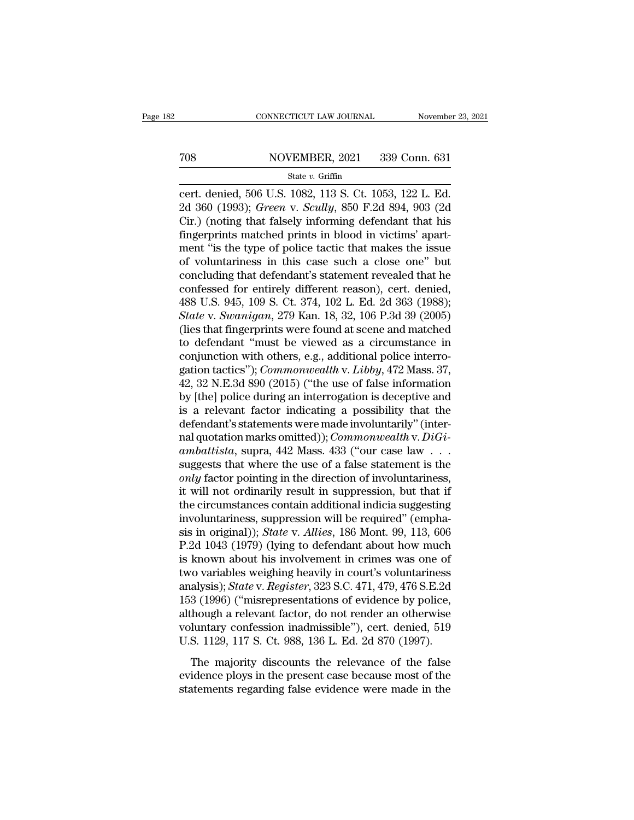# EXECUTE CONNECTICUT LAW JOURNAL Movember 23, 2021<br>
708 NOVEMBER, 2021 339 Conn. 631<br>
31 State v. Griffin

### State *v.* Griffin

CONNECTICUT LAW JOURNAL November 23, 2<br>
TOS NOVEMBER, 2021 339 Conn. 631<br>
State v. Griffin<br>
Cert. denied, 506 U.S. 1082, 113 S. Ct. 1053, 122 L. Ed.<br>
2d 360 (1993); *Green v. Scully*, 850 F.2d 894, 903 (2d<br>
Cir.) (poting t NOVEMBER, 2021 339 Conn. 631<br>
State v. Griffin<br>
Cert. denied, 506 U.S. 1082, 113 S. Ct. 1053, 122 L. Ed.<br>
2d 360 (1993); *Green* v. *Scully*, 850 F.2d 894, 903 (2d<br>
Cir.) (noting that falsely informing defendant that his<br> TOS NOVEMBER, 2021 339 Conn. 631<br>
State v. Griffin<br>
Cert. denied, 506 U.S. 1082, 113 S. Ct. 1053, 122 L. Ed.<br>
2d 360 (1993); *Green v. Scully*, 850 F.2d 894, 903 (2d<br>
Cir.) (noting that falsely informing defendant that hi Find MOVEMBER, 2021 339 Conn. 631<br>
State v. Griffin<br>
cert. denied, 506 U.S. 1082, 113 S. Ct. 1053, 122 L. Ed.<br>
2d 360 (1993); *Green v. Scully*, 850 F.2d 894, 903 (2d<br>
Cir.) (noting that falsely informing defendant that h State v. Griffin<br>
cert. denied, 506 U.S. 1082, 113 S. Ct. 1053, 122 L. Ed.<br>
2d 360 (1993); *Green v. Scully*, 850 F.2d 894, 903 (2d<br>
Cir.) (noting that falsely informing defendant that his<br>
fingerprints matched prints in state v. Griffin<br>cert. denied, 506 U.S. 1082, 113 S. Ct. 1053, 122 L. Ed.<br>2d 360 (1993); *Green v. Scully*, 850 F.2d 894, 903 (2d<br>Cir.) (noting that falsely informing defendant that his<br>fingerprints matched prints in bloo cert. denied, 506 U.S. 1082, 113 S. Ct. 1053, 122 L. Ed.<br>2d 360 (1993); *Green v. Scully*, 850 F.2d 894, 903 (2d<br>Cir.) (noting that falsely informing defendant that his<br>fingerprints matched prints in blood in victims' apa 2d 360 (1993); *Green v. Scully*, 850 F.2d 894, 903 (2d Cir.) (noting that falsely informing defendant that his fingerprints matched prints in blood in victims' apartment "is the type of police tactic that makes the issue Cir.) (noting that falsely informing defendant that his<br>fingerprints matched prints in blood in victims' apart-<br>ment "is the type of police tactic that makes the issue<br>of voluntariness in this case such a close one" but<br>co fingerprints matched prints in blood in victims' apart-<br>ment "is the type of police tactic that makes the issue<br>of voluntariness in this case such a close one" but<br>concluding that defendant's statement revealed that he<br>con ment "is the type of police tactic that makes the issue<br>of voluntariness in this case such a close one" but<br>concluding that defendant's statement revealed that he<br>confessed for entirely different reason), cert. denied,<br>488 of voluntariness in this case such a close one" but<br>concluding that defendant's statement revealed that he<br>confessed for entirely different reason), cert. denied,<br> $488$  U.S. 945, 109 S. Ct. 374, 102 L. Ed. 2d 363 (1988);<br> concluding that defendant's statement revealed that he confessed for entirely different reason), cert. denied, 488 U.S. 945, 109 S. Ct. 374, 102 L. Ed. 2d 363 (1988); State v. Swanigan, 279 Kan. 18, 32, 106 P.3d 39 (2005) confessed for entirely different reason), cert. denied,<br>488 U.S. 945, 109 S. Ct. 374, 102 L. Ed. 2d 363 (1988);<br>*State* v. *Swanigan*, 279 Kan. 18, 32, 106 P.3d 39 (2005)<br>(lies that fingerprints were found at scene and mat 488 U.S. 945, 109 S. Ct. 374, 102 L. Ed. 2d 363 (1988);<br> *State* v. *Swanigan*, 279 Kan. 18, 32, 106 P.3d 39 (2005)<br>
(lies that fingerprints were found at scene and matched<br>
to defendant "must be viewed as a circumstance State v. Swanigan, 279 Kan. 18, 32, 106 P.3d 39 (2005)<br>(lies that fingerprints were found at scene and matched<br>to defendant "must be viewed as a circumstance in<br>conjunction with others, e.g., additional police interro-<br>gat (lies that fingerprints were found at scene and matched<br>to defendant "must be viewed as a circumstance in<br>conjunction with others, e.g., additional police interro-<br>gation tactics"); *Commonwealth* v. *Libby*, 472 Mass. 37 to defendant "must be viewed as a circumstance in conjunction with others, e.g., additional police interrogation tactics"); *Commonwealth* v. *Libby*, 472 Mass. 37, 42, 32 N.E.3d 890 (2015) ("the use of false information conjunction with others, e.g., additional police interro-<br>gation tactics"); *Commonwealth* v. *Libby*, 472 Mass. 37,<br>42, 32 N.E.3d 890 (2015) ("the use of false information<br>by [the] police during an interrogation is decept gation tactics"); *Commonwealth* v. *Libby*, 472 Mass. 37,<br>42, 32 N.E.3d 890 (2015) ("the use of false information<br>by [the] police during an interrogation is deceptive and<br>is a relevant factor indicating a possibility that 42, 32 N.E.3d 890 (2015) ("the use of false information<br>by [the] police during an interrogation is deceptive and<br>is a relevant factor indicating a possibility that the<br>defendant's statements were made involuntarily" (inte by [the] police during an interrogation is deceptive and<br>is a relevant factor indicating a possibility that the<br>defendant's statements were made involuntarily" (inter-<br>nal quotation marks omitted)); *Commonwealth* v. *DiGi* is a relevant factor indicating a possibility that the defendant's statements were made involuntarily" (inter-<br>nal quotation marks omitted)); *Commonwealth* v. *DiGiambattista*, supra, 442 Mass. 433 ("our case law . . .<br>s defendant's statements were made involuntarily" (inter-<br>nal quotation marks omitted)); *Commonwealth* v. *DiGi-*<br>*ambattista*, supra, 442 Mass. 433 ("our case law . . .<br>suggests that where the use of a false statement is nal quotation marks omitted)); *Commonwealth* v. *DiGiambattista*, supra, 442 Mass. 433 ("our case law . . . suggests that where the use of a false statement is the *only* factor pointing in the direction of involuntarine ambattista, supra, 442 Mass. 433 ("our case law . . . .<br>suggests that where the use of a false statement is the<br>*only* factor pointing in the direction of involuntariness,<br>it will not ordinarily result in suppression, but suggests that where the use of a false statement is the *only* factor pointing in the direction of involuntariness, it will not ordinarily result in suppression, but that if the circumstances contain additional indicia sug only factor pointing in the direction of involuntariness,<br>it will not ordinarily result in suppression, but that if<br>the circumstances contain additional indicia suggesting<br>involuntariness, suppression will be required" (e it will not ordinarily result in suppression, but that if<br>the circumstances contain additional indicia suggesting<br>involuntariness, suppression will be required" (empha-<br>sis in original)); *State* v. *Allies*, 186 Mont. 99, the circumstances contain additional indicia suggesting<br>involuntariness, suppression will be required" (empha-<br>sis in original)); *State* v. *Allies*, 186 Mont. 99, 113, 606<br>P.2d 1043 (1979) (lying to defendant about how m involuntariness, suppression will be required" (emphasis in original)); *State* v. *Allies*, 186 Mont. 99, 113, 606<br>P.2d 1043 (1979) (lying to defendant about how much<br>is known about his involvement in crimes was one of<br>tw sis in original)); *State v. Allies*, 186 Mont. 99, 113, 606<br>P.2d 1043 (1979) (lying to defendant about how much<br>is known about his involvement in crimes was one of<br>two variables weighing heavily in court's voluntariness<br> P.2d 1043 (1979) (lying to defendant about how much<br>is known about his involvement in crimes was one of<br>two variables weighing heavily in court's voluntariness<br>analysis); *State* v. *Register*, 323 S.C. 471, 479, 476 S.E.2 is known about his involvement in crimes was one of<br>two variables weighing heavily in court's voluntariness<br>analysis); *State* v. *Register*, 323 S.C. 471, 479, 476 S.E.2d<br>153 (1996) ("misrepresentations of evidence by pol 2 Consisted vergining nearly and set of all allysis); State v. Register, 323 S.C. 471, 479, 476 S.E.2d 3 (1996) ("misrepresentations of evidence by police, hough a relevant factor, do not render an otherwise luntary confes evidence ploys in the presentations of evidence by police,<br>although a relevant factor, do not render an otherwise<br>voluntary confession inadmissible"), cert. denied, 519<br>U.S. 1129, 117 S. Ct. 988, 136 L. Ed. 2d 870 (1997).<br> statements of change of change of every calibration of the evidence with<br>a relevant factor, do not render an otherwise<br>voluntary confession inadmissible"), cert. denied, 519<br>U.S. 1129, 117 S. Ct. 988, 136 L. Ed. 2d 870 (19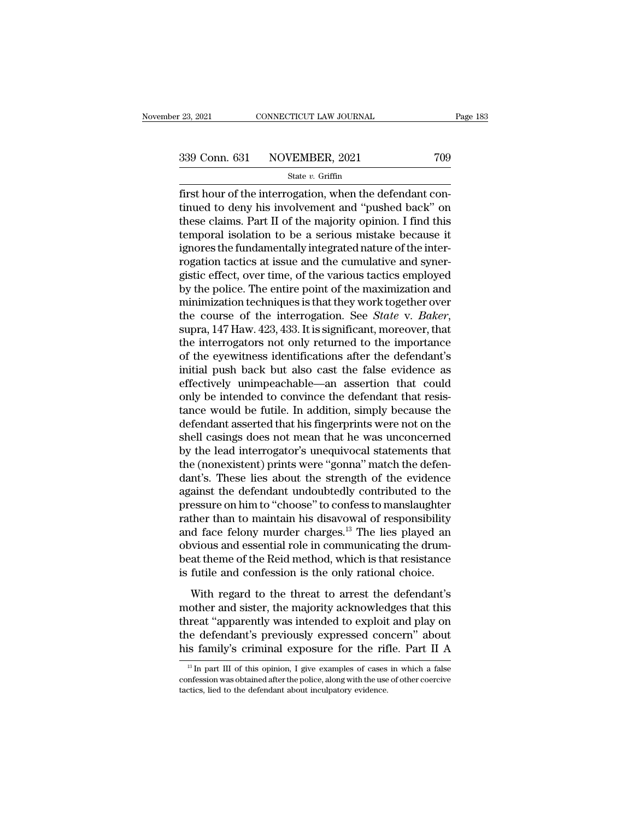First hour of the interrogation, when the defendant continued to deny his involvement and "pushed back" on these claims. Part II of the majority opinion. I find this 339 Conn. 631 NOVEMBER, 2021 709<br>
State v. Griffin<br>
first hour of the interrogation, when the defendant con-<br>
tinued to deny his involvement and "pushed back" on<br>
these claims. Part II of the majority opinion. I find this 339 Conn. 631 NOVEMBER, 2021 709<br>
State v. Griffin<br>
first hour of the interrogation, when the defendant con-<br>
tinued to deny his involvement and "pushed back" on<br>
these claims. Part II of the majority opinion. I find this 339 Conn. 631 NOVEMBER, 2021 709<br>
State v. Griffin<br>
first hour of the interrogation, when the defendant con-<br>
tinued to deny his involvement and "pushed back" on<br>
these claims. Part II of the majority opinion. I find this State v. Griffin<br>
first hour of the interrogation, when the defendant con-<br>
tinued to deny his involvement and "pushed back" on<br>
these claims. Part II of the majority opinion. I find this<br>
temporal isolation to be a serio state  $v$ . Griftin<br>first hour of the interrogation, when the defendant con-<br>tinued to deny his involvement and "pushed back" on<br>these claims. Part II of the majority opinion. I find this<br>temporal isolation to be a serious first hour of the interrogation, when the defendant continued to deny his involvement and "pushed back" on these claims. Part II of the majority opinion. I find this temporal isolation to be a serious mistake because it ig tinued to deny his involvement and "pushed back" on<br>these claims. Part II of the majority opinion. I find this<br>temporal isolation to be a serious mistake because it<br>ignores the fundamentally integrated nature of the interthese claims. Part II of the majority opinion. I find this<br>temporal isolation to be a serious mistake because it<br>ignores the fundamentally integrated nature of the inter-<br>rogation tactics at issue and the cumulative and s temporal isolation to be a serious mistake because it<br>ignores the fundamentally integrated nature of the inter-<br>rogation tactics at issue and the cumulative and syner-<br>gistic effect, over time, of the various tactics emplo rogation tactics at issue and the cumulative and synergistic effect, over time, of the various tactics employed<br>by the police. The entire point of the maximization and<br>minimization techniques is that they work together ove gistic effect, over time, of the various tactics employed<br>by the police. The entire point of the maximization and<br>minimization techniques is that they work together over<br>the course of the interrogation. See *State* v. *Bak* by the police. The entire point of the maximization and<br>minimization techniques is that they work together over<br>the course of the interrogation. See *State* v. *Baker*,<br>supra, 147 Haw. 423, 433. It is significant, moreover minimization techniques is that they work together over<br>the course of the interrogation. See *State* v. *Baker*,<br>supra, 147 Haw. 423, 433. It is significant, moreover, that<br>the interrogators not only returned to the import the course of the interrogation. See *State* v. *Baker*, supra, 147 Haw. 423, 433. It is significant, moreover, that the interrogators not only returned to the importance of the eyewitness identifications after the defenda supra, 147 Haw. 423, 433. It is significant, moreover, that<br>the interrogators not only returned to the importance<br>of the eyewitness identifications after the defendant's<br>initial push back but also cast the false evidence a the interrogators not only returned to the importance<br>of the eyewitness identifications after the defendant's<br>initial push back but also cast the false evidence as<br>effectively unimpeachable—an assertion that could<br>only be of the eyewitness identifications after the defendant's<br>initial push back but also cast the false evidence as<br>effectively unimpeachable—an assertion that could<br>only be intended to convince the defendant that resis-<br>tance w initial push back but also cast the false evidence as<br>effectively unimpeachable—an assertion that could<br>only be intended to convince the defendant that resis-<br>tance would be futile. In addition, simply because the<br>defendan effectively unimpeachable—an assertion that could<br>only be intended to convince the defendant that resis-<br>tance would be futile. In addition, simply because the<br>defendant asserted that his fingerprints were not on the<br>shell only be intended to convince the defendant that resistance would be futile. In addition, simply because the defendant asserted that his fingerprints were not on the shell casings does not mean that he was unconcerned by th tance would be futile. In addition, simply because the defendant asserted that his fingerprints were not on the shell casings does not mean that he was unconcerned by the lead interrogator's unequivocal statements that the defendant asserted that his fingerprints were not on the<br>shell casings does not mean that he was unconcerned<br>by the lead interrogator's unequivocal statements that<br>the (nonexistent) prints were "gonna" match the defen-<br>dan shell casings does not mean that he was unconcerned<br>by the lead interrogator's unequivocal statements that<br>the (nonexistent) prints were "gonna" match the defen-<br>dant's. These lies about the strength of the evidence<br>agains by the lead interrogator's unequivocal statements that<br>the (nonexistent) prints were "gonna" match the defen-<br>dant's. These lies about the strength of the evidence<br>against the defendant undoubtedly contributed to the<br>press the (nonexistent) prints were "gonna" match the defendant's. These lies about the strength of the evidence against the defendant undoubtedly contributed to the pressure on him to "choose" to confess to manslaughter rather dant's. These lies about the strength of the evidence<br>against the defendant undoubtedly contributed to the<br>pressure on him to "choose" to confess to manslaughter<br>rather than to maintain his disavowal of responsibility<br>and against the defendant undoubtedly contributed to the<br>pressure on him to "choose" to confess to manslaughter<br>rather than to maintain his disavowal of responsibility<br>and face felony murder charges.<sup>13</sup> The lies played an<br>obv Exame of the threat to endoted to estimate the than to maintain his disavowal of responsibility<br>d face felony murder charges.<sup>13</sup> The lies played an<br>wious and essential role in communicating the drum-<br>at theme of the Reid radical dial of malnotant rise disact our of responsiving,<br>and face felony murder charges.<sup>13</sup> The lies played an<br>obvious and essential role in communicating the drum-<br>beat theme of the Reid method, which is that resistanc

threat these recently interact entangely. The first pray of anti-<br>obvious and essential role in communicating the drum-<br>beat theme of the Reid method, which is that resistance<br>is futile and confession is the only rational the defendant of the Reid method, which is that resistance<br>is futile and confession is the only rational choice.<br>With regard to the threat to arrest the defendant's<br>mother and sister, the majority acknowledges that this<br>th is futile and confession is the only rational choice.<br>With regard to the threat to arrest the defendant's mother and sister, the majority acknowledges that this threat "apparently was intended to exploit and play on the d 13 In part III of this opinion, I give examples of cases in which a false<br>13 In part III of this opinion, I give examples of cases in which a false<br>13 In part III of this opinion, I give examples of cases in which a false<br> threat "apparently was intended to exploit and play on<br>the defendant's previously expressed concern" about<br>his family's criminal exposure for the rifle. Part II A<br> $\frac{13 \text{ In part III of this opinion, I give examples of cases in which a false}$ <br>confession was obtained after

the defendant's previously expressed correlations family's criminal exposure for the riferal inculpator of  $\frac{18 \text{ In part II of this opinion, I give examples of cases}}{18 \text{ contains a obtained after the police, along with the use}$  tactics, lied to the defendant about inculpatory evidence.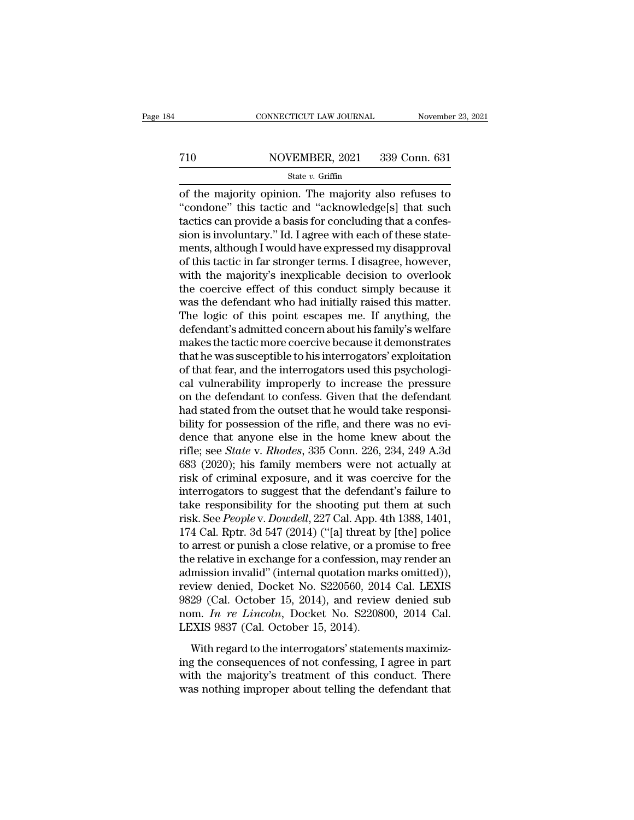# EXECUTE CONNECTICUT LAW JOURNAL Movember 23, 2021<br>
710 NOVEMBER, 2021 339 Conn. 631<br>
State v. Griffin

### State *v.* Griffin

CONNECTICUT LAW JOURNAL November 23, 2021<br>
T10 NOVEMBER, 2021 339 Conn. 631<br>
State v. Griffin<br>
of the majority opinion. The majority also refuses to<br>
"condone" this tactic and "acknowledge[s] that such<br>
tactics can provid <sup>710</sup> NOVEMBER, 2021 339 Conn. 631<br>
<sup>State v. Griffin<br>
of the majority opinion. The majority also refuses to<br>
"condone" this tactic and "acknowledge[s] that such<br>
tactics can provide a basis for concluding that a confes-<br></sup> T10 NOVEMBER, 2021 339 Conn. 631<br>
State v. Griffin<br>
of the majority opinion. The majority also refuses to<br>
"condone" this tactic and "acknowledge[s] that such<br>
tactics can provide a basis for concluding that a confes-<br>
si The state v. Griffin<br>State v. Griffin<br>of the majority opinion. The majority also refuses to<br>"condone" this tactic and "acknowledge[s] that such<br>tactics can provide a basis for concluding that a confes-<br>sion is involuntary State v. Griffin<br>
of the majority opinion. The majority also refuses to<br>
"condone" this tactic and "acknowledge[s] that such<br>
tactics can provide a basis for concluding that a confes-<br>
sion is involuntary." Id. I agree wi state *v*. Griffin<br>
of the majority opinion. The majority also refuses to<br>
"condone" this tactic and "acknowledge[s] that such<br>
tactics can provide a basis for concluding that a confes-<br>
sion is involuntary." Id. I agree of the majority opinion. The majority also refuses to<br>"condone" this tactic and "acknowledge[s] that such<br>tactics can provide a basis for concluding that a confes-<br>sion is involuntary." Id. I agree with each of these state "condone" this tactic and "acknowledge[s] that such<br>tactics can provide a basis for concluding that a confes-<br>sion is involuntary." Id. I agree with each of these state-<br>ments, although I would have expressed my disapprova tactics can provide a basis for concluding that a confession is involuntary." Id. I agree with each of these statements, although I would have expressed my disapproval of this tactic in far stronger terms. I disagree, howe sion is involuntary." Id. I agree with each of these statements, although I would have expressed my disapproval<br>of this tactic in far stronger terms. I disagree, however,<br>with the majority's inexplicable decision to overlo ments, although I would have expressed my disapproval<br>of this tactic in far stronger terms. I disagree, however,<br>with the majority's inexplicable decision to overlook<br>the coercive effect of this conduct simply because it<br>w of this tactic in far stronger terms. I disagree, however,<br>with the majority's inexplicable decision to overlook<br>the coercive effect of this conduct simply because it<br>was the defendant who had initially raised this matter. with the majority's inexplicable decision to overlook<br>the coercive effect of this conduct simply because it<br>was the defendant who had initially raised this matter.<br>The logic of this point escapes me. If anything, the<br>defen the coercive effect of this conduct simply because it was the defendant who had initially raised this matter.<br>The logic of this point escapes me. If anything, the defendant's admitted concern about his family's welfare mak was the defendant who had initially raised this matter.<br>The logic of this point escapes me. If anything, the<br>defendant's admitted concern about his family's welfare<br>makes the tactic more coercive because it demonstrates<br>th The logic of this point escapes me. If anything, the<br>defendant's admitted concern about his family's welfare<br>makes the tactic more coercive because it demonstrates<br>that he was susceptible to his interrogators' exploitation defendant's admitted concern about his family's welfare<br>makes the tactic more coercive because it demonstrates<br>that he was susceptible to his interrogators' exploitation<br>of that fear, and the interrogators used this psycho makes the tactic more coercive because it demonstrates<br>that he was susceptible to his interrogators' exploitation<br>of that fear, and the interrogators used this psychologi-<br>cal vulnerability improperly to increase the pres that he was susceptible to his interrogators' exploitation<br>of that fear, and the interrogators used this psychologi-<br>cal vulnerability improperly to increase the pressure<br>on the defendant to confess. Given that the defend of that fear, and the interrogators used this psychological vulnerability improperly to increase the pressure<br>on the defendant to confess. Given that the defendant<br>had stated from the outset that he would take responsi-<br>bi cal vulnerability improperly to increase the pressure<br>on the defendant to confess. Given that the defendant<br>had stated from the outset that he would take responsi-<br>bility for possession of the rifle, and there was no evi-<br> on the defendant to confess. Given that the defendant<br>had stated from the outset that he would take responsi-<br>bility for possession of the rifle, and there was no evi-<br>dence that anyone else in the home knew about the<br>rifl had stated from the outset that he would take responsi-<br>bility for possession of the rifle, and there was no evi-<br>dence that anyone else in the home knew about the<br>rifle; see *State* v. *Rhodes*, 335 Conn. 226, 234, 249 A bility for possession of the rifle, and there was no evi-<br>dence that anyone else in the home knew about the<br>rifle; see *State* v. *Rhodes*, 335 Conn. 226, 234, 249 A.3d<br>683 (2020); his family members were not actually at<br>r dence that anyone else in the home knew about the<br>rifle; see *State* v. *Rhodes*, 335 Conn. 226, 234, 249 A.3d<br>683 (2020); his family members were not actually at<br>risk of criminal exposure, and it was coercive for the<br>inte rifle; see *State* v. *Rhodes*, 335 Conn. 226, 234, 249 A.3d<br>683 (2020); his family members were not actually at<br>risk of criminal exposure, and it was coercive for the<br>interrogators to suggest that the defendant's failure 683 (2020); his family members were not actually at<br>risk of criminal exposure, and it was coercive for the<br>interrogators to suggest that the defendant's failure to<br>take responsibility for the shooting put them at such<br>ris risk of criminal exposure, and it was coercive for the<br>interrogators to suggest that the defendant's failure to<br>take responsibility for the shooting put them at such<br>risk. See *People* v. *Dowdell*, 227 Cal. App. 4th 1388, interrogators to suggest that the defendant's failure to<br>take responsibility for the shooting put them at such<br>risk. See *People* v. *Dowdell*, 227 Cal. App. 4th 1388, 1401,<br>174 Cal. Rptr. 3d 547 (2014) ("[a] threat by [th take responsibility for the shooting put them at such<br>risk. See *People* v. *Dowdell*, 227 Cal. App. 4th 1388, 1401,<br>174 Cal. Rptr. 3d 547 (2014) ("[a] threat by [the] police<br>to arrest or punish a close relative, or a pro risk. See *People* v. *Dowdell*, 227 Cal. App. 4th 1388, 1401,<br>174 Cal. Rptr. 3d 547 (2014) ("[a] threat by [the] police<br>to arrest or punish a close relative, or a promise to free<br>the relative in exchange for a confession 174 Cal. Rptr. 3d 547 (2014) ("[a] threat by [the] police<br>to arrest or punish a close relative, or a promise to free<br>the relative in exchange for a confession, may render an<br>admission invalid" (internal quotation marks omi to arrest or punish a close relative, or a pr<br>the relative in exchange for a confession, n<br>admission invalid" (internal quotation mar<br>review denied, Docket No. S220560, 201<br>9829 (Cal. October 15, 2014), and review<br>nom. *I* mission invalid" (internal quotation marks omitted)),<br>mission invalid" (internal quotation marks omitted)),<br>view denied, Docket No. S220560, 2014 Cal. LEXIS<br>29 (Cal. October 15, 2014), and review denied sub<br>m. *In re Linco* Example of notice the consequences of not confession. The consequences of not confessively and review denied sub<br>nom. *In re Lincoln*, Docket No. S220800, 2014 Cal.<br>LEXIS 9837 (Cal. October 15, 2014).<br>With regard to the in

9829 (Cal. October 15, 2014), and review denied sub<br>nom. *In re Lincoln*, Docket No. S220800, 2014 Cal.<br>LEXIS 9837 (Cal. October 15, 2014).<br>With regard to the interrogators' statements maximiz-<br>ing the consequences of not nom. *In re Lincoln*, Docket No. S220800, 2014 Cal.<br>LEXIS 9837 (Cal. October 15, 2014).<br>With regard to the interrogators' statements maximizing the consequences of not confessing, I agree in part<br>with the majority's treat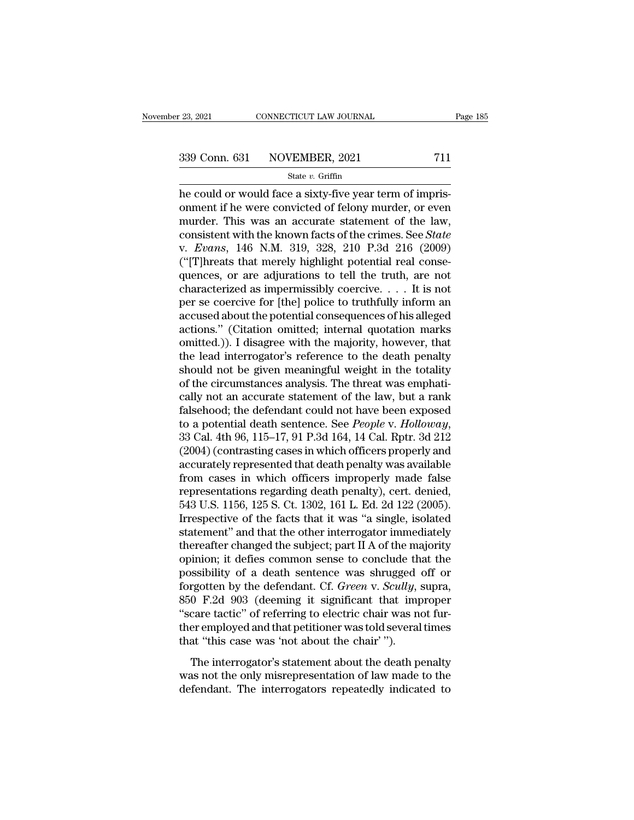# $\frac{23,2021}{239 \text{ Conn. } 631}$  CONNECTICUT LAW JOURNAL Page 185<br>339 Conn. 631 NOVEMBER, 2021 711<br>State v. Griffin

### State *v.* Griffin

 $\frac{1}{23,2021}$  CONNECTICUT LAW JOURNAL<br>  $\frac{339 \text{ Conn. } 631 \qquad \text{NOVEMBER, } 2021$  711<br>  $\frac{1}{21}$ <br>  $\frac{1}{21}$ <br>
he could or would face a sixty-five year term of impris-<br>
onment if he were convicted of felony murder, or even 339 Conn. 631 NOVEMBER, 2021 711<br>
State v. Griffin<br>
he could or would face a sixty-five year term of impris-<br>
onment if he were convicted of felony murder, or even<br>
murder. This was an accurate statement of the law,<br>
cons 339 Conn. 631 NOVEMBER, 2021 711<br>
State v. Griffin<br>
he could or would face a sixty-five year term of impris-<br>
onment if he were convicted of felony murder, or even<br>
murder. This was an accurate statement of the law,<br>
cons 339 Conn. 631 NOVEMBER, 2021 711<br>
state v. Griffin<br>
he could or would face a sixty-five year term of impris-<br>
onment if he were convicted of felony murder, or even<br>
murder. This was an accurate statement of the law,<br>
cons state *v*. Griffin<br>
state *v*. Griffin<br>
he could or would face a sixty-five year term of impris-<br>
onment if he were convicted of felony murder, or even<br>
murder. This was an accurate statement of the law,<br>
consistent with t State v. Griftin<br>
(a) the could or would face a sixty-five year term of impris-<br>
onment if he were convicted of felony murder, or even<br>
murder. This was an accurate statement of the law,<br>
consistent with the known facts o he could or would face a sixty-five year term of imprisonment if he were convicted of felony murder, or even<br>murder. This was an accurate statement of the law,<br>consistent with the known facts of the crimes. See *State*<br>v. onment if he were convicted of felony murder, or even<br>murder. This was an accurate statement of the law,<br>consistent with the known facts of the crimes. See *State*<br>v. Evans, 146 N.M. 319, 328, 210 P.3d 216 (2009)<br>("[T]hre murder. This was an accurate statement of the law,<br>consistent with the known facts of the crimes. See *State*<br>v. *Evans*, 146 N.M. 319, 328, 210 P.3d 216 (2009)<br>("[T]hreats that merely highlight potential real conse-<br>quen consistent with the known facts of the crimes. See *State*<br>v. *Evans*, 146 N.M. 319, 328, 210 P.3d 216 (2009)<br>("[T]hreats that merely highlight potential real conse-<br>quences, or are adjurations to tell the truth, are not<br> v. *Evans*, 146 N.M. 319, 328, 210 P.3d 216 (2009)<br>("[T]hreats that merely highlight potential real consequences, or are adjurations to tell the truth, are not<br>characterized as impermissibly coercive.... It is not<br>per se c ("[T]hreats that merely highlight potential real consequences, or are adjurations to tell the truth, are not characterized as impermissibly coercive.... It is not per se coercive for [the] police to truthfully inform an a quences, or are adjurations to tell the truth, are not<br>characterized as impermissibly coercive. . . . It is not<br>per se coercive for [the] police to truthfully inform an<br>accused about the potential consequences of his alle characterized as impermissibly coercive. . . . It is not<br>per se coercive for [the] police to truthfully inform an<br>accused about the potential consequences of his alleged<br>actions." (Citation omitted; internal quotation mar per se coercive for [the] police to truthfully inform an accused about the potential consequences of his alleged actions." (Citation omitted; internal quotation marks omitted.)). I disagree with the majority, however, that accused about the potential consequences of his alleged<br>actions." (Citation omitted; internal quotation marks<br>omitted.)). I disagree with the majority, however, that<br>the lead interrogator's reference to the death penalty<br>s actions." (Citation omitted; internal quotation marks<br>omitted.)). I disagree with the majority, however, that<br>the lead interrogator's reference to the death penalty<br>should not be given meaningful weight in the totality<br>of omitted.)). I disagree with the majority, however, that<br>the lead interrogator's reference to the death penalty<br>should not be given meaningful weight in the totality<br>of the circumstances analysis. The threat was emphati-<br>ca should not be given meaningful weight in the totality<br>of the circumstances analysis. The threat was emphati-<br>cally not an accurate statement of the law, but a rank<br>falsehood; the defendant could not have been exposed<br>to a of the circumstances analysis. The threat was emphatically not an accurate statement of the law, but a rank falsehood; the defendant could not have been exposed to a potential death sentence. See *People v. Holloway*, 33 C cally not an accurate statement of the law, but a rank<br>falsehood; the defendant could not have been exposed<br>to a potential death sentence. See *People* v. Holloway,<br>33 Cal. 4th 96, 115–17, 91 P.3d 164, 14 Cal. Rptr. 3d 212 falsehood; the defendant could not have been exposed<br>to a potential death sentence. See *People* v. Holloway,<br>33 Cal. 4th 96, 115–17, 91 P.3d 164, 14 Cal. Rptr. 3d 212<br>(2004) (contrasting cases in which officers properly a to a potential death sentence. See *People v. Holloway*,<br>33 Cal. 4th 96, 115–17, 91 P.3d 164, 14 Cal. Rptr. 3d 212<br>(2004) (contrasting cases in which officers properly and<br>accurately represented that death penalty was avai 33 Cal. 4th 96, 115–17, 91 P.3d 164, 14 Cal. Rptr. 3d 212<br>(2004) (contrasting cases in which officers properly and<br>accurately represented that death penalty was available<br>from cases in which officers improperly made false<br> (2004) (contrasting cases in which officers properly and<br>accurately represented that death penalty was available<br>from cases in which officers improperly made false<br>representations regarding death penalty), cert. denied,<br>54 accurately represented that death penalty was available<br>from cases in which officers improperly made false<br>representations regarding death penalty), cert. denied,<br>543 U.S. 1156, 125 S. Ct. 1302, 161 L. Ed. 2d 122 (2005).<br>I from cases in which officers improperly made false<br>representations regarding death penalty), cert. denied,<br>543 U.S. 1156, 125 S. Ct. 1302, 161 L. Ed. 2d 122 (2005).<br>Irrespective of the facts that it was "a single, isolate representations regarding death penalty), cert. denied,<br>543 U.S. 1156, 125 S. Ct. 1302, 161 L. Ed. 2d 122 (2005).<br>Irrespective of the facts that it was "a single, isolated<br>statement" and that the other interrogator immedi 543 U.S. 1156, 125 S. Ct. 1302, 161 L. Ed. 2d 122 (2005).<br>Irrespective of the facts that it was "a single, isolated<br>statement" and that the other interrogator immediately<br>thereafter changed the subject; part II A of the ma Irrespective of the facts that it was "a single, isolated<br>statement" and that the other interrogator immediately<br>thereafter changed the subject; part II A of the majority<br>opinion; it defies common sense to conclude that th statement" and that the other interrogator immediately<br>thereafter changed the subject; part II A of the majority<br>opinion; it defies common sense to conclude that the<br>possibility of a death sentence was shrugged off or<br>forg thereafter changed the subject; part II A of the majority<br>opinion; it defies common sense to conclude that the<br>possibility of a death sentence was shrugged off or<br>forgotten by the defendant. Cf. *Green* v. *Scully*, supra, opinion; it defies common sense to conclude th<br>possibility of a death sentence was shrugged<br>forgotten by the defendant. Cf. *Green* v. *Scully*, :<br>850 F.2d 903 (deeming it significant that imp<br>"scare tactic" of referring t The interrogator's statement about the death penalty superation by the defendant. Cf. *Green v. Scully*, supra, 0 F.2d 903 (deeming it significant that improper care tactic'' of referring to electric chair was not fur-<br>er Example 1930 (deeming it significant that improper<br>
"scare tactic" of referring to electric chair was not fur-<br>
ther employed and that petitioner was told several times<br>
that "this case was 'not about the chair"").<br>
The in  $\degree$  scare tactic" of referring to electric chair was not further employed and that petitioner was told several times that "this case was 'not about the chair"").<br>The interrogator's statement about the death penalty was n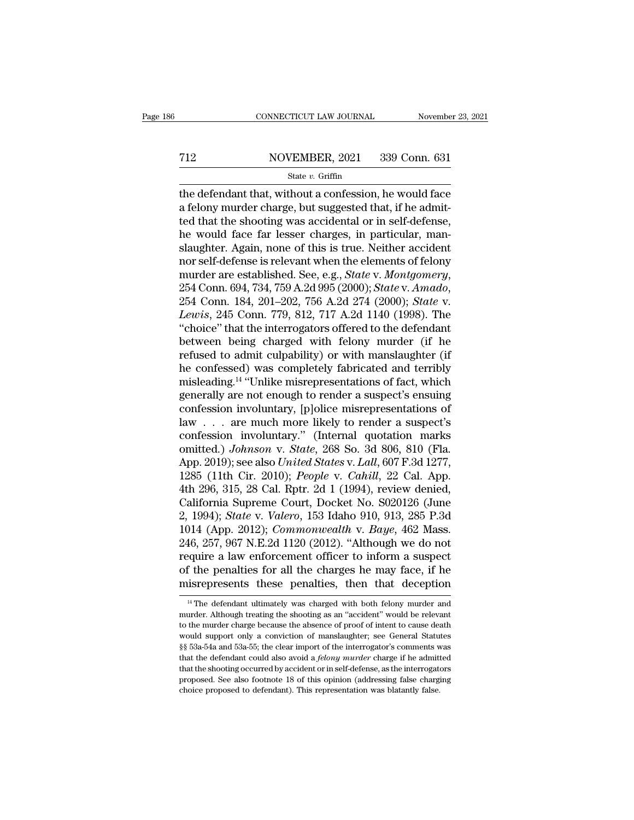# EXECUTE CONNECTICUT LAW JOURNAL Movember 23, 2021<br>
712 NOVEMBER, 2021 339 Conn. 631<br>
State v. Griffin

### State *v.* Griffin

CONNECTICUT LAW JOURNAL November 23, 2021<br>
T12 NOVEMBER, 2021 339 Conn. 631<br>
State v. Griffin<br>
the defendant that, without a confession, he would face<br>
a felony murder charge, but suggested that, if he admit-For all that for the MOVEMBER, 2021 and the defendant that, without a confession, he would face<br>a felony murder charge, but suggested that, if he admitted that the shooting was accidental or in self-defense,<br>the would fac T12 NOVEMBER, 2021 339 Conn. 631<br>
State v. Griffin<br>
the defendant that, without a confession, he would face<br>
a felony murder charge, but suggested that, if he admit-<br>
ted that the shooting was accidental or in self-defens For all that, without a confession, he would face<br>a felony murder charge, but suggested that, if he admitted that the shooting was accidental or in self-defense,<br>he would face far lesser charges, in particular, man-<br>slaug State v. Griffin<br>State v. Griffin<br>the defendant that, without a confession, he would face<br>a felony murder charge, but suggested that, if he admit-<br>ted that the shooting was accidental or in self-defense,<br>he would face far state v. Griffin<br>the defendant that, without a confession, he would face<br>a felony murder charge, but suggested that, if he admit-<br>ted that the shooting was accidental or in self-defense,<br>he would face far lesser charges, the defendant that, without a confession, he would face<br>a felony murder charge, but suggested that, if he admit-<br>ted that the shooting was accidental or in self-defense,<br>he would face far lesser charges, in particular, man he would face far lesser charges, in particular, man-<br>slaughter. Again, none of this is true. Neither accident<br>nor self-defense is relevant when the elements of felony<br>murder are established. See, e.g., *State v. Montgomer* slaughter. Again, none of this is true. Neither accident<br>nor self-defense is relevant when the elements of felony<br>murder are established. See, e.g., *State v. Montgomery*,<br>254 Conn. 694, 734, 759 A.2d 995 (2000); *State v.* nor self-defense is relevant when the elements of felony<br>murder are established. See, e.g., *State* v. *Montgomery*,<br>254 Conn. 694, 734, 759 A.2d 995 (2000); *State* v. *Amado*,<br>254 Conn. 184, 201–202, 756 A.2d 274 (2000); murder are established. See, e.g., *State v. Montgomery*,<br>254 Conn. 694, 734, 759 A.2d 995 (2000); *State v. Amado*,<br>254 Conn. 184, 201–202, 756 A.2d 274 (2000); *State v.<br>Lewis*, 245 Conn. 779, 812, 717 A.2d 1140 (1998). 254 Conn. 694, 734, 759 A.2d 995 (2000); *State* v. *Amado*,<br>254 Conn. 184, 201–202, 756 A.2d 274 (2000); *State* v.<br>*Lewis*, 245 Conn. 779, 812, 717 A.2d 1140 (1998). The<br>"choice" that the interrogators offered to the def 254 Conn. 184, 201–202, 756 A.2d 274 (2000); *State v.*<br>Lewis, 245 Conn. 779, 812, 717 A.2d 1140 (1998). The<br>"choice" that the interrogators offered to the defendant<br>between being charged with felony murder (if he<br>refused Lewis, 245 Conn. 779, 812, 717 A.2d 1140 (1998). The<br>"choice" that the interrogators offered to the defendant<br>between being charged with felony murder (if he<br>refused to admit culpability) or with manslaughter (if<br>he confes "choice" that the interrogators offered to the defendant<br>between being charged with felony murder (if he<br>refused to admit culpability) or with manslaughter (if<br>he confessed) was completely fabricated and terribly<br>misleadi between being charged with felony murder (if he<br>refused to admit culpability) or with manslaughter (if<br>he confessed) was completely fabricated and terribly<br>misleading.<sup>14</sup> "Unlike misrepresentations of fact, which<br>generall refused to admit culpability) or with manslaughter (if<br>he confessed) was completely fabricated and terribly<br>misleading.<sup>14</sup> "Unlike misrepresentations of fact, which<br>generally are not enough to render a suspect's ensuing<br> he confessed) was completely fabricated and terribly<br>misleading.<sup>14</sup> "Unlike misrepresentations of fact, which<br>generally are not enough to render a suspect's ensuing<br>confession involuntary, [p]olice misrepresentations of<br>l misleading.<sup>14</sup> "Unlike misrepresentations of fact, which<br>generally are not enough to render a suspect's ensuing<br>confession involuntary, [p]olice misrepresentations of<br>law . . . are much more likely to render a suspect's<br>c generally are not enough to render a suspect's ensuing<br>confession involuntary, [p]olice misrepresentations of<br>law . . . are much more likely to render a suspect's<br>confession involuntary." (Internal quotation marks<br>omitted. confession involuntary, [p]olice misrepresentations of<br>law . . . are much more likely to render a suspect's<br>confession involuntary." (Internal quotation marks<br>omitted.) Johnson v. State, 268 So. 3d 806, 810 (Fla.<br>App. 201 law . . . are much more likely to render a suspect's<br>confession involuntary." (Internal quotation marks<br>omitted.) Johnson v. State, 268 So. 3d 806, 810 (Fla.<br>App. 2019); see also United States v. Lall, 607 F.3d 1277,<br>1285 confession involuntary." (Internal quotation marks<br>
omitted.) *Johnson v. State*, 268 So. 3d 806, 810 (Fla.<br>
App. 2019); see also *United States v. Lall*, 607 F.3d 1277,<br>
1285 (11th Cir. 2010); *People v. Cahill*, 22 Cal. omitted.) *Johnson v. State*, 268 So. 3d 806, 810 (Fla.<br>App. 2019); see also *United States v. Lall*, 607 F.3d 1277,<br>1285 (11th Cir. 2010); *People v. Cahill*, 22 Cal. App.<br>4th 296, 315, 28 Cal. Rptr. 2d 1 (1994), review d App. 2019); see also United States v. Lall, 607 F.3d 1277, 1285 (11th Cir. 2010); *People v. Cahill*, 22 Cal. App.<br>4th 296, 315, 28 Cal. Rptr. 2d 1 (1994), review denied, California Supreme Court, Docket No. S020126 (June 1285 (11th Cir. 2010); *People v. Cahill*, 22 Cal. App.<br>4th 296, 315, 28 Cal. Rptr. 2d 1 (1994), review denied,<br>California Supreme Court, Docket No. S020126 (June<br>2, 1994); *State v. Valero*, 153 Idaho 910, 913, 285 P.3d<br> 4th 296, 315, 28 Cal. Rptr. 2d 1 (1994), review denied,<br>California Supreme Court, Docket No. S020126 (June<br>2, 1994); *State* v. *Valero*, 153 Idaho 910, 913, 285 P.3d<br>1014 (App. 2012); *Commonwealth* v. *Baye*, 462 Mass.<br> California Supreme Court, Docket No.  $S020126$  (June 2, 1994); *State* v. *Valero*, 153 Idaho 910, 913, 285 P.3d 1014 (App. 2012); *Commonwealth* v. *Baye*, 462 Mass. 246, 257, 967 N.E.2d 1120 (2012). "Although we do not 246, 257, 967 N.E.2d 1120 (2012). "Although we do not require a law enforcement officer to inform a suspect of the penalties for all the charges he may face, if he misrepresents these penalties, then that deception  $\frac{14$ require a law enforcement officer to inform a suspect<br>of the penalties for all the charges he may face, if he<br>misrepresents these penalties, then that deception<br> $\frac{14}{11}$ The defendant ultimately was charged with both fe

of the penalties for all the charges he may face, if he misrepresents these penalties, then that deception  $\frac{14}{10}$  The defendant ultimately was charged with both felony murder and murder. Although treating the shootin **misrepresents these penalties, then that deception**<br><sup>14</sup> The defendant ultimately was charged with both felony murder and murder. Although treating the shooting as an "accident" would be relevant to the murder charge bec <sup>14</sup> The defendant ultimately was charged with both felony murder and murder. Although treating the shooting as an "accident" would be relevant to the murder charge because the absence of proof of intent to cause death wo <sup>14</sup> The defendant ultimately was charged with both felony murder and murder. Although treating the shooting as an "accident" would be relevant to the murder charge because the absence of proof of intent to cause death wo murder. Although treating the shooting as an "accident" would be relevant to the murder charge because the absence of proof of intent to cause death would support only a conviction of manslaughter; see General Statutes  $\S$ to the murder charge because the absence of proof of intent to cause death would support only a conviction of manslaughter; see General Statutes  $\S$  53a-54a and 53a-55; the clear import of the interrogator's comments was would support only a conviction of manslaughter; see General Statutes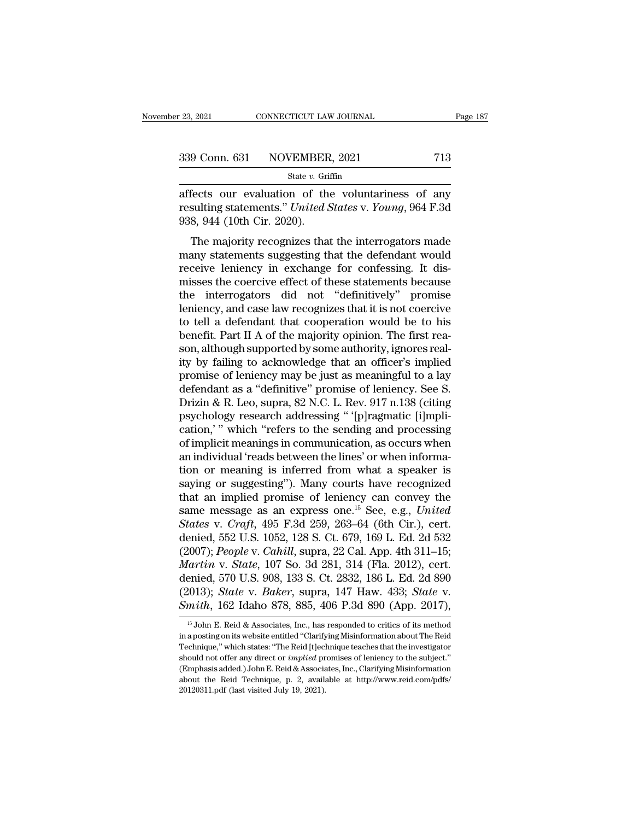| r 23, 2021 | CONNECTICUT LAW JOURNAL      | Page 187 |
|------------|------------------------------|----------|
|            | 339 Conn. 631 NOVEMBER, 2021 | 713      |
|            | State $v$ . Griffin          |          |

<sup>23, 2021</sup> CONNECTICUT LAW JOURNAL Page 187<br>
339 Conn. 631 NOVEMBER, 2021 713<br>
<sup>31</sup> State *v*. Griffin<br>
affects our evaluation of the voluntariness of any<br>
resulting statements." United States v. Young, 964 F.3d<br>
028 044 Free State v. Griffin<br>
State v. Griffin<br>
affects our evaluation of the voluntariness of any<br>
resulting statements." *United States* v. *Young*, 964 F.3d<br>
938, 944 (10th Cir. 2020).  $\begin{array}{r} \textbf{339} \text{ Conn. } \textbf{631} \qquad \text{NOVEMBER} \ \hline \text{affects} \text{ our evaluation of the resulting statements." *United S* \ \textbf{938, 944 (10th Cir. 2020).} \ \hline \text{The majority recognizes that} \end{array}$ 9 Conn. 631 NOVEMBER, 2021 713<br>
State v. Griffin<br>
fects our evaluation of the voluntariness of any<br>
sulting statements." United States v. Young, 964 F.3d<br>
8, 944 (10th Cir. 2020).<br>
The majority recognizes that the interro

State v. Griffin<br>
affects our evaluation of the voluntariness of any<br>
resulting statements." *United States* v. *Young*, 964 F.3d<br>
938, 944 (10th Cir. 2020).<br>
The majority recognizes that the interrogators made<br>
many stat affects our evaluation of the voluntariness of any<br>resulting statements." *United States* v. *Young*, 964 F.3d<br>938, 944 (10th Cir. 2020).<br>The majority recognizes that the interrogators made<br>many statements suggesting that Francets our evaluation of the volumatiness of any<br>resulting statements." United States v. Young, 964 F.3d<br>938, 944 (10th Cir. 2020).<br>The majority recognizes that the interrogators made<br>many statements suggesting that the Festing statements. *Chiled Bates v. Toung*, 504 1.5d<br>938, 944 (10th Cir. 2020).<br>The majority recognizes that the interrogators made<br>many statements suggesting that the defendant would<br>receive leniency in exchange for conf The majority recognizes that the interrogators made<br>many statements suggesting that the defendant would<br>receive leniency in exchange for confessing. It dis-<br>misses the coercive effect of these statements because<br>the inter The majority recognizes that the interrogators made<br>many statements suggesting that the defendant would<br>receive leniency in exchange for confessing. It dis-<br>misses the coercive effect of these statements because<br>the interr many statements suggesting that the defendant would<br>receive leniency in exchange for confessing. It dis-<br>misses the coercive effect of these statements because<br>the interrogators did not "definitively" promise<br>leniency, and receive leniency in exchange for confessing. It dismisses the coercive effect of these statements because<br>the interrogators did not "definitively" promise<br>leniency, and case law recognizes that it is not coercive<br>to tell a misses the coercive effect of these statements because<br>the interrogators did not "definitively" promise<br>leniency, and case law recognizes that it is not coercive<br>to tell a defendant that cooperation would be to his<br>benefit the interrogators did not "definitively" promise<br>leniency, and case law recognizes that it is not coercive<br>to tell a defendant that cooperation would be to his<br>benefit. Part II A of the majority opinion. The first rea-<br>so leniency, and case law recognizes that it is not coercive<br>to tell a defendant that cooperation would be to his<br>benefit. Part II A of the majority opinion. The first rea-<br>son, although supported by some authority, ignores r to tell a defendant that cooperation would be to his<br>benefit. Part II A of the majority opinion. The first rea-<br>son, although supported by some authority, ignores real-<br>ity by failing to acknowledge that an officer's impli benefit. Part II A of the majority opinion. The first reason, although supported by some authority, ignores real-<br>ity by failing to acknowledge that an officer's implied<br>promise of leniency may be just as meaningful to a l son, although supported by some authority, ignores real-<br>ity by failing to acknowledge that an officer's implied<br>promise of leniency may be just as meaningful to a lay<br>defendant as a "definitive" promise of leniency. See S ity by failing to acknowledge that an officer's implied<br>promise of leniency may be just as meaningful to a lay<br>defendant as a "definitive" promise of leniency. See S.<br>Drizin & R. Leo, supra, 82 N.C. L. Rev. 917 n.138 (citi promise of leniency may be just as meaningful to a lay<br>defendant as a "definitive" promise of leniency. See S.<br>Drizin & R. Leo, supra, 82 N.C. L. Rev. 917 n.138 (citing<br>psychology research addressing " '[p]ragmatic [i]mpli defendant as a "definitive" promise of leniency. See S.<br>Drizin & R. Leo, supra, 82 N.C. L. Rev. 917 n.138 (citing<br>psychology research addressing " '[p]ragmatic [i]mpli-<br>cation,' " which "refers to the sending and processin Drizin & R. Leo, supra, 82 N.C. L. Rev. 917 n.138 (citing<br>psychology research addressing "'[p]ragmatic [i]mpli-<br>cation,'" which "refers to the sending and processing<br>of implicit meanings in communication, as occurs when<br>a psychology research addressing "'[p]ragmatic [i]mplication,'" which "refers to the sending and processing<br>of implicit meanings in communication, as occurs when<br>an individual 'reads between the lines' or when informa-<br>tion cation,'" which "refers to the sending and processing<br>of implicit meanings in communication, as occurs when<br>an individual 'reads between the lines' or when informa-<br>tion or meaning is inferred from what a speaker is<br>sayin of implicit meanings in communication, as occurs when<br>an individual 'reads between the lines' or when informa-<br>tion or meaning is inferred from what a speaker is<br>saying or suggesting"). Many courts have recognized<br>that an an individual 'reads between the lines' or when information or meaning is inferred from what a speaker is<br>saying or suggesting"). Many courts have recognized<br>that an implied promise of leniency can convey the<br>same message tion or meaning is inferred from what a speaker is<br>saying or suggesting"). Many courts have recognized<br>that an implied promise of leniency can convey the<br>same message as an express one.<sup>15</sup> See, e.g., *United*<br>*States* v. saying or suggesting"). Many courts have recognized<br>that an implied promise of leniency can convey the<br>same message as an express one.<sup>15</sup> See, e.g., *United*<br>States v. *Craft*, 495 F.3d 259, 263–64 (6th Cir.), cert.<br>denie that an implied promise of leniency can convey the<br>same message as an express one.<sup>15</sup> See, e.g., *United*<br>*States v. Craft*, 495 F.3d 259, 263–64 (6th Cir.), cert.<br>denied, 552 U.S. 1052, 128 S. Ct. 679, 169 L. Ed. 2d 532 same message as an express one.<sup>15</sup> See, e.g., *United*<br>*States v. Craft*, 495 F.3d 259, 263–64 (6th Cir.), cert.<br>denied, 552 U.S. 1052, 128 S. Ct. 679, 169 L. Ed. 2d 532<br>(2007); *People v. Cahill*, supra, 22 Cal. App. 4th *States v. Craft,* 495 F.3d 259, 263–64 (6th Cir.), cert.<br>denied, 552 U.S. 1052, 128 S. Ct. 679, 169 L. Ed. 2d 532<br>(2007); *People v. Cahill*, supra, 22 Cal. App. 4th 311–15;<br>*Martin v. State*, 107 So. 3d 281, 314 (Fla. 20 Martin v. State, 107 So. 3d 281, 314 (Fla. 2012), cert.<br>denied, 570 U.S. 908, 133 S. Ct. 2832, 186 L. Ed. 2d 890<br>(2013); *State* v. *Baker*, supra, 147 Haw. 433; *State* v.<br>*Smith*, 162 Idaho 878, 885, 406 P.3d 890 (App. denied, 570 U.S. 908, 133 S. Ct. 2832, 186 L. Ed. 2d 890<br>(2013); *State* v. *Baker*, supra, 147 Haw. 433; *State* v.<br>*Smith*, 162 Idaho 878, 885, 406 P.3d 890 (App. 2017),<br><sup>15</sup> John E. Reid & Associates, Inc., has responde

<sup>(2013);</sup> *State* v. *Baker*, supra, 147 Haw. 433; *State* v. *Smith*, 162 Idaho 878, 885, 406 P.3d 890 (App. 2017),  $\frac{15}{15}$  John E. Reid & Associates, Inc., has responded to critics of its method in a posting on its we Smith, 162 Idaho 878, 885, 406 P.3d 890 (App. 2017),<br><sup>15</sup> John E. Reid & Associates, Inc., has responded to critics of its method<br>in a posting on its website entitled "Clarifying Misinformation about The Reid<br>Technique," w SINETH, TOZ TUATIO 810, 800, 400 T .300 890 (App. 2011),<br>
<sup>15</sup> John E. Reid & Associates, Inc., has responded to critics of its method<br>
in a posting on its website entitled "Clarifying Misinformation about The Reid<br>
Techn <sup>15</sup> John E. Reid & Associates, Inc., has responded to critics of its method in a posting on its website entitled "Clarifying Misinformation about The Reid Technique," which states: "The Reid [t]echnique teaches that the in a posting on its website entitled "Clarifying Misinformation about The Reid Technique," which states: "The Reid [t]echnique teaches that the investigator should not offer any direct or *implied* promises of leniency to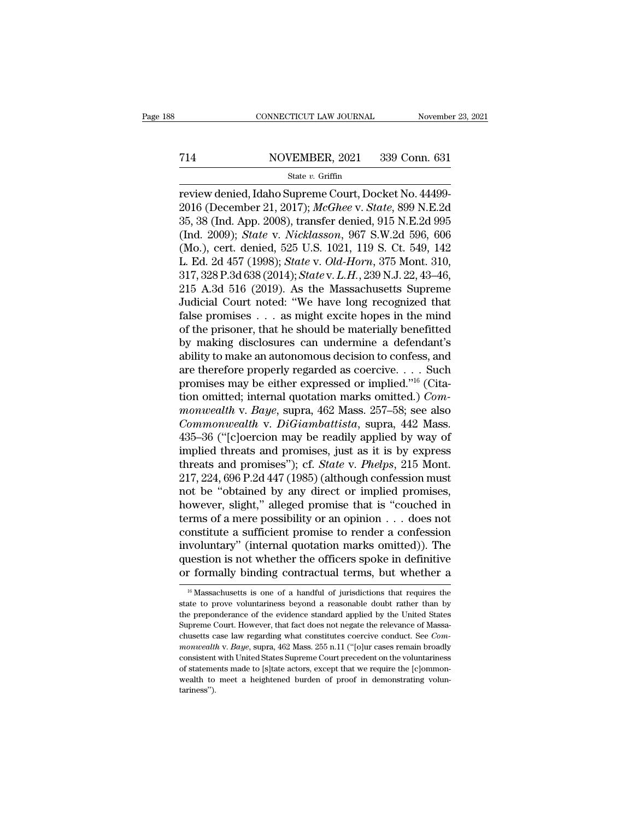# EXECUTE CONNECTICUT LAW JOURNAL Movember 23, 2021<br>
714 NOVEMBER, 2021 339 Conn. 631<br>
State v. Griffin

### State *v.* Griffin

CONNECTICUT LAW JOURNAL November 23, 20<br>
T14 NOVEMBER, 2021 339 Conn. 631<br>
State v. Griffin<br>
review denied, Idaho Supreme Court, Docket No. 44499-<br>
2016 (December 21, 2017); McGhee v. State, 899 N.E.2d<br>
25, 28 (Ind. App. 2 **2016 (December 21, 2016)**<br>
2016 (December 21, 2017); *McGhee* v. *State*, 899 N.E.2d<br>
2016 (December 21, 2017); *McGhee* v. *State*, 899 N.E.2d<br>
35, 38 (Ind. App. 2008), transfer denied, 915 N.E.2d<br>
36, 38 (Ind. 2000). *S* 359 Conn. 631<br>
359 Conn. 631<br>
359 Conn. 631<br>
35, 38 (Ind. App. 2017); *McGheev. State*, 899 N.E.2d<br>
35, 38 (Ind. App. 2008), transfer denied, 915 N.E.2d 995<br>
36, 38 (Ind. 2009); *State v. Nicklasson*, 967 S.W.2d 596, 606<br> (Ind. 2009); *State v. Griffin*<br>
External of *Supreme Court, Docket No. 44499*<br>
2016 (December 21, 2017); *McGhee v. State*, 899 N.E.2d<br>
35, 38 (Ind. App. 2008), transfer denied, 915 N.E.2d 995<br>
(Ind. 2009); *State v. Nick* State v. Griffin<br>
review denied, Idaho Supreme Court, Docket No. 44499-<br>
2016 (December 21, 2017); McGhee v. State, 899 N.E.2d<br>
35, 38 (Ind. App. 2008), transfer denied, 915 N.E.2d<br>
995 (Ind. 2009); *State v. Nicklasson*, state *v*. Griffin<br>
review denied, Idaho Supreme Court, Docket No. 44499-<br>
2016 (December 21, 2017); *McGhee v. State*, 899 N.E.2d<br>
35, 38 (Ind. App. 2008), transfer denied, 915 N.E.2d<br>
995<br>
(Ind. 2009); *State* v. *Nickla* review denied, Idaho Supreme Court, Docket No. 44499-<br>2016 (December 21, 2017); *McGhee v. State*, 899 N.E.2d<br>35, 38 (Ind. App. 2008), transfer denied, 915 N.E.2d 995<br>(Ind. 2009); *State v. Nicklasson*, 967 S.W.2d 596, 606 2016 (December 21, 2017); *McGhee v. State*, 899 N.E.2d<br>35, 38 (Ind. App. 2008), transfer denied, 915 N.E.2d 995<br>(Ind. 2009); *State v. Nicklasson*, 967 S.W.2d 596, 606<br>(Mo.), cert. denied, 525 U.S. 1021, 119 S. Ct. 549, 1 35, 38 (Ind. App. 2008), transfer denied, 915 N.E.2d 995<br>(Ind. 2009); *State v. Nicklasson*, 967 S.W.2d 596, 606<br>(Mo.), cert. denied, 525 U.S. 1021, 119 S. Ct. 549, 142<br>L. Ed. 2d 457 (1998); *State v. Old-Horn*, 375 Mont. (Ind. 2009); *State* v. *Nicklasson*, 967 S.W.2d 596, 606 (Mo.), cert. denied, 525 U.S. 1021, 119 S. Ct. 549, 142 L. Ed. 2d 457 (1998); *State* v. *Old-Horn*, 375 Mont. 310, 317, 328 P.3d 638 (2014); *State* v. *L.H.*, 23 (Mo.), cert. denied, 525 U.S. 1021, 119 S. Ct. 549, 142<br>L. Ed. 2d 457 (1998); *State v. Old-Horn*, 375 Mont. 310,<br>317, 328 P.3d 638 (2014); *State v. L.H.*, 239 N.J. 22, 43–46,<br>215 A.3d 516 (2019). As the Massachusetts Su L. Ed. 2d 457 (1998); *State* v. *Old-Horn*, 375 Mont. 310,<br>317, 328 P.3d 638 (2014); *State* v. *L.H.*, 239 N.J. 22, 43–46,<br>215 A.3d 516 (2019). As the Massachusetts Supreme<br>Judicial Court noted: "We have long recognized 317, 328 P.3d 638 (2014); *State* v. *L.H.*, 239 N.J. 22, 43–46,<br>215 A.3d 516 (2019). As the Massachusetts Supreme<br>Judicial Court noted: "We have long recognized that<br>false promises . . . as might excite hopes in the mind 215 A.3d 516 (2019). As the Massachusetts Supreme<br>Judicial Court noted: "We have long recognized that<br>false promises . . . as might excite hopes in the mind<br>of the prisoner, that he should be materially benefitted<br>by maki Judicial Court noted: "We have long recognized that<br>false promises . . . as might excite hopes in the mind<br>of the prisoner, that he should be materially benefitted<br>by making disclosures can undermine a defendant's<br>ability false promises . . . as might excite hopes in the mind<br>of the prisoner, that he should be materially benefitted<br>by making disclosures can undermine a defendant's<br>ability to make an autonomous decision to confess, and<br>are of the prisoner, that he should be materially benefitted<br>by making disclosures can undermine a defendant's<br>ability to make an autonomous decision to confess, and<br>are therefore properly regarded as coercive. . . . Such<br>prom by making disclosures can undermine a defendant's<br>ability to make an autonomous decision to confess, and<br>are therefore properly regarded as coercive. . . . Such<br>promises may be either expressed or implied."<sup>16</sup> (Cita-<br>tion ability to make an autonomous decision to confess, and<br>are therefore properly regarded as coercive. . . . Such<br>promises may be either expressed or implied."<sup>16</sup> (Cita-<br>tion omitted; internal quotation marks omitted.) *Com* are therefore properly regarded as coercive. . . . Such<br>promises may be either expressed or implied."<sup>16</sup> (Cita-<br>tion omitted; internal quotation marks omitted.) *Com-*<br>monwealth v. *Baye*, supra, 462 Mass. 257–58; see al promises may be either expressed or implied."<sup>16</sup> (Citation omitted; internal quotation marks omitted.) *Commonwealth* v. *Baye*, supra, 462 Mass. 257–58; see also *Commonwealth* v. *DiGiambattista*, supra, 442 Mass. 435–3 tion omitted; internal quotation marks omitted.) *Com-*<br>monwealth v. Baye, supra, 462 Mass. 257–58; see also<br>*Commonwealth* v. DiGiambattista, supra, 442 Mass.<br>435–36 ("[c]oercion may be readily applied by way of<br>implied monwealth v. Baye, supra, 462 Mass. 257–58; see also<br>Commonwealth v. DiGiambattista, supra, 442 Mass.<br>435–36 ("[c]oercion may be readily applied by way of<br>implied threats and promises"); cf. *State* v. *Phelps*, 215 Mont.<br> Commonwealth v. DiGiambattista, supra, 442 Mass.<br>435–36 ("[c]oercion may be readily applied by way of<br>implied threats and promises"); cf. *State* v. *Phelps*, 215 Mont.<br>217, 224, 696 P.2d 447 (1985) (although confession m 435–36 ("[c]oercion may be readily applied by way of<br>implied threats and promises, just as it is by express<br>threats and promises"); cf. *State* v. *Phelps*, 215 Mont.<br>217, 224, 696 P.2d 447 (1985) (although confession mus implied threats and promises, just as it is by express<br>threats and promises"); cf. *State* v. *Phelps*, 215 Mont.<br>217, 224, 696 P.2d 447 (1985) (although confession must<br>not be "obtained by any direct or implied promises,<br> threats and promises"); cf. *State* v. *Phelps*, 215 Mont.<br>217, 224, 696 P.2d 447 (1985) (although confession must<br>not be "obtained by any direct or implied promises,<br>however, slight," alleged promise that is "couched in<br> 217, 224, 696 P.2d 447 (1985) (although confession must<br>not be "obtained by any direct or implied promises,<br>however, slight," alleged promise that is "couched in<br>terms of a mere possibility or an opinion  $\dots$  does not<br>con not be "obtained by any direct or implied promises,<br>however, slight," alleged promise that is "couched in<br>terms of a mere possibility or an opinion  $\dots$  does not<br>constitute a sufficient promise to render a confession<br>invo constitute a sufficient promise to render a confession<br>involuntary" (internal quotation marks omitted)). The<br>question is not whether the officers spoke in definitive<br>or formally binding contractual terms, but whether a involuntary" (internal quotation marks omitted)). The question is not whether the officers spoke in definitive or formally binding contractual terms, but whether a  $\frac{16}{10}$  Massachusetts is one of a handful of jurisdic

question is not whether the officers spoke in definitive<br>or formally binding contractual terms, but whether a<br><sup>16</sup> Massachusetts is one of a handful of jurisdictions that requires the<br>state to prove voluntariness beyond a The Massachusetts is one of a handful of jurisdictions that requires the state to prove voluntariness beyond a reasonable doubt rather than by the preponderance of the evidence standard applied by the United States Suprem <sup>16</sup> Massachusetts is one of a handful of jurisdictions that requires the state to prove voluntariness beyond a reasonable doubt rather than by the preponderance of the evidence standard applied by the United States Suprem <sup>16</sup> Massachusetts is one of a handful of jurisdictions that requires the state to prove voluntariness beyond a reasonable doubt rather than by the preponderance of the evidence standard applied by the United States Supre state to prove voluntariness beyond a reasonable doubt rather than by<br>the preponderance of the evidence standard applied by the United States<br>Supreme Court. However, that fact does not negate the relevance of Massa-<br>chuse the preponderance of the evidence standard applied by the United States Supreme Court. However, that fact does not negate the relevance of Massatariness'').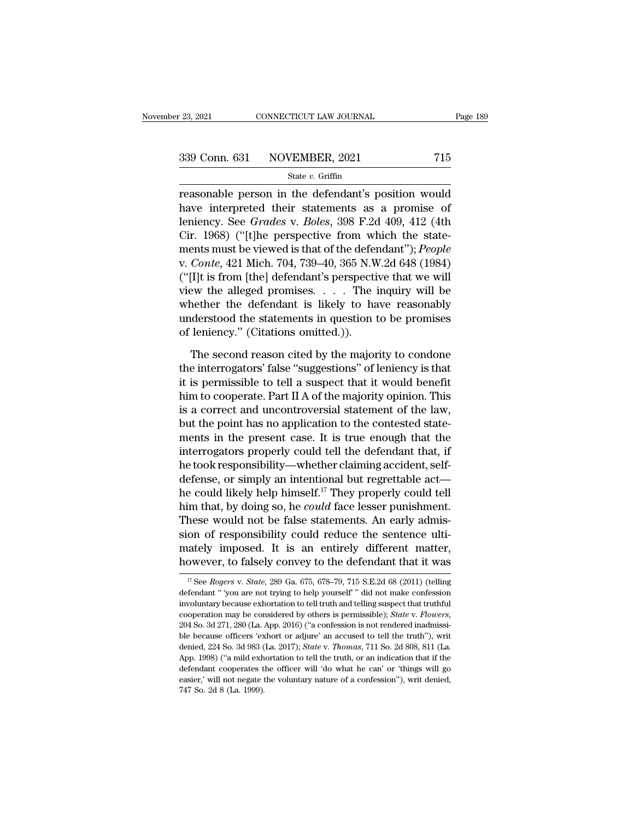| r 23, 2021 | CONNECTICUT LAW JOURNAL      | Page 189 |
|------------|------------------------------|----------|
|            | 339 Conn. 631 NOVEMBER, 2021 | 715      |
|            | State $v$ . Griffin          |          |

reasonable person in the defendant's position would<br>
Rage 189<br>
reasonable person in the defendant's position would<br>
have interpreted their statements as a promise of<br>
lonionary See Cardee y, Peles 208 F.2d 400, 412 (4th 339 Conn. 631 NOVEMBER, 2021 715<br>
State v. Griffin<br>
reasonable person in the defendant's position would<br>
have interpreted their statements as a promise of<br>
leniency. See *Grades v. Boles*, 398 F.2d 409, 412 (4th<br>
Cir. 106 339 Conn. 631 NOVEMBER, 2021 715<br>
State v. Griffin<br>
reasonable person in the defendant's position would<br>
have interpreted their statements as a promise of<br>
leniency. See *Grades* v. *Boles*, 398 F.2d 409, 412 (4th<br>
Cir. 1 339 Conn. 631 NOVEMBER, 2021 715<br>
State v. Griffin<br>
reasonable person in the defendant's position would<br>
have interpreted their statements as a promise of<br>
leniency. See *Grades* v. *Boles*, 398 F.2d 409, 412 (4th<br>
Cir. 1 State *v*. Griffin<br>
reasonable person in the defendant's position would<br>
have interpreted their statements as a promise of<br>
leniency. See *Grades* v. *Boles*, 398 F.2d 409, 412 (4th<br>
Cir. 1968) ("[t]he perspective from whi v. **State** *v.* **Grantin**<br>
reasonable person in the defendant's position would<br>
have interpreted their statements as a promise of<br>
leniency. See *Grades* v. *Boles*, 398 F.2d 409, 412 (4th<br>
Cir. 1968) ("[t]he perspective fro reasonable person in the defendant's position would<br>have interpreted their statements as a promise of<br>leniency. See *Grades* v. *Boles*, 398 F.2d 409, 412 (4th<br>Cir. 1968) ("[t]he perspective from which the state-<br>ments mu have interpreted their statements as a promise of<br>leniency. See *Grades* v. *Boles*, 398 F.2d 409, 412 (4th<br>Cir. 1968) ("[t]he perspective from which the state-<br>ments must be viewed is that of the defendant"); *People*<br>v. leniency. See *Grades* v. *Boles*, 398 F.2d 409, 412 (4th<br>Cir. 1968) ("[t]he perspective from which the state-<br>ments must be viewed is that of the defendant"); *People*<br>v. *Conte*, 421 Mich. 704, 739–40, 365 N.W.2d 648 (1 Cir. 1968) ("[t]he perspective from which the state-<br>ments must be viewed is that of the defendant"); *People*<br>v. *Conte*, 421 Mich. 704, 739–40, 365 N.W.2d 648 (1984)<br>("[I]t is from [the] defendant's perspective that we ments must be viewed is that of the defer<br>v. *Conte*, 421 Mich. 704, 739–40, 365 N.W<br>("[I]t is from [the] defendant's perspecti<br>view the alleged promises.... The<br>whether the defendant is likely to ha<br>understood the stateme [I]t is from [the] defendant's perspective that we will<br>even the alleged promises. . . . . The inquiry will be<br>nether the defendant is likely to have reasonably<br>derstood the statements in question to be promises<br>leniency. view the alleged promises.  $\therefore$  The inquiry will be whether the defendant is likely to have reasonably understood the statements in question to be promises of leniency." (Citations omitted.)).<br>The second reason cited by

whether the defendant is likely to have reasonably<br>understood the statements in question to be promises<br>of leniency." (Citations omitted.)).<br>The second reason cited by the majority to condone<br>the interrogators' false "sugg understood the statements in question to be promises<br>of leniency." (Citations omitted.)).<br>The second reason cited by the majority to condone<br>the interrogators' false "suggestions" of leniency is that<br>it is permissible to t of leniency." (Citations omitted.)).<br>
The second reason cited by the majority to condone<br>
the interrogators' false "suggestions" of leniency is that<br>
it is permissible to tell a suspect that it would benefit<br>
him to cooper The second reason cited by the majority to condone<br>the interrogators' false "suggestions" of leniency is that<br>it is permissible to tell a suspect that it would benefit<br>him to cooperate. Part II A of the majority opinion. T The second reason cited by the majority to condone<br>the interrogators' false "suggestions" of leniency is that<br>it is permissible to tell a suspect that it would benefit<br>him to cooperate. Part II A of the majority opinion. T the interrogators' false "suggestions" of leniency is that<br>it is permissible to tell a suspect that it would benefit<br>him to cooperate. Part II A of the majority opinion. This<br>is a correct and uncontroversial statement of t it is permissible to tell a suspect that it would benefit<br>him to cooperate. Part II A of the majority opinion. This<br>is a correct and uncontroversial statement of the law,<br>but the point has no application to the contested s him to cooperate. Part II A of the majority opinion. This<br>is a correct and uncontroversial statement of the law,<br>but the point has no application to the contested state-<br>ments in the present case. It is true enough that th is a correct and uncontroversial statement of the law,<br>but the point has no application to the contested state-<br>ments in the present case. It is true enough that the<br>interrogators properly could tell the defendant that, i but the point has no application to the contested statements in the present case. It is true enough that the interrogators properly could tell the defendant that, if he took responsibility—whether claiming accident, self-<br> ments in the present case. It is true enough that the<br>interrogators properly could tell the defendant that, if<br>he took responsibility—whether claiming accident, self-<br>defense, or simply an intentional but regrettable act interrogators properly could tell the defendant that, if<br>he took responsibility—whether claiming accident, self-<br>defense, or simply an intentional but regrettable act—<br>he could likely help himself.<sup>17</sup> They properly could he took responsibility—whether claiming accident, self-<br>defense, or simply an intentional but regrettable act—<br>he could likely help himself.<sup>17</sup> They properly could tell<br>him that, by doing so, he *could* face lesser punish defense, or simply an intentional but regrettable act—<br>he could likely help himself.<sup>17</sup> They properly could tell<br>him that, by doing so, he *could* face lesser punishment.<br>These would not be false statements. An early adm These would not be false statements. An early admission of responsibility could reduce the sentence ultimately imposed. It is an entirely different matter, however, to falsely convey to the defendant that it was  $\frac{17}{17}$ sion of responsibility could reduce the sentence ulti-<br>mately imposed. It is an entirely different matter,<br>however, to falsely convey to the defendant that it was<br> $\frac{17}{17}$  See *Rogers v. State*, 289 Ga. 675, 678–79, 71

mately imposed. It is an entirely different matter,<br>however, to falsely convey to the defendant that it was<br> $\frac{17}{17}$  See *Rogers v. State*, 289 Ga. 675, 678–79, 715 S.E.2d 68 (2011) (telling<br>defendant " you are not try however, to falsely convey to the defendant that it was<br>
<sup>17</sup> See *Rogers* v. *State*, 289 Ga. 675, 678–79, 715 S.E.2d 68 (2011) (telling<br>
defendant "you are not trying to help yourself" did not make confession<br>
involuntar <sup>17</sup> See *Rogers v. State*, 289 Ga. 675, 678–79, 715 S.E.2d 68 (2011) (telling defendant " 'you are not trying to help yourself" did not make confession involuntary because exhortation to tell truth and telling suspect th defendant " you are not trying to help yourself" did not make confession<br>involuntary because exhortation to tell truth and telling suspect that truthful<br>cooperation may be considered by others is permissible); *State* v. involuntary because exhortation to tell truth and telling suspect that truthful<br>cooperation may be considered by others is permissible); *State v. Flowers*,<br>204 So. 3d 271, 280 (La. App. 2016) ("a confession is not rendere cooperation may be considered by others is permissible); *State v. Flowers*, 204 So. 3d 271, 280 (La. App. 2016) ("a confession is not rendered inadmissible because officers 'exhort or adjure' an accused to tell the truth 204 So. 3d 271, 280 (La. App. 2016) ("a confession is not rendered inadmissible because officers 'exhort or adjure' an accused to tell the truth"), writ denied, 224 So. 3d 983 (La. 2017); *State v. Thomas*, 711 So. 2d 808 ble because officers 'exhort or adjure' an accused to tell the truth"), writ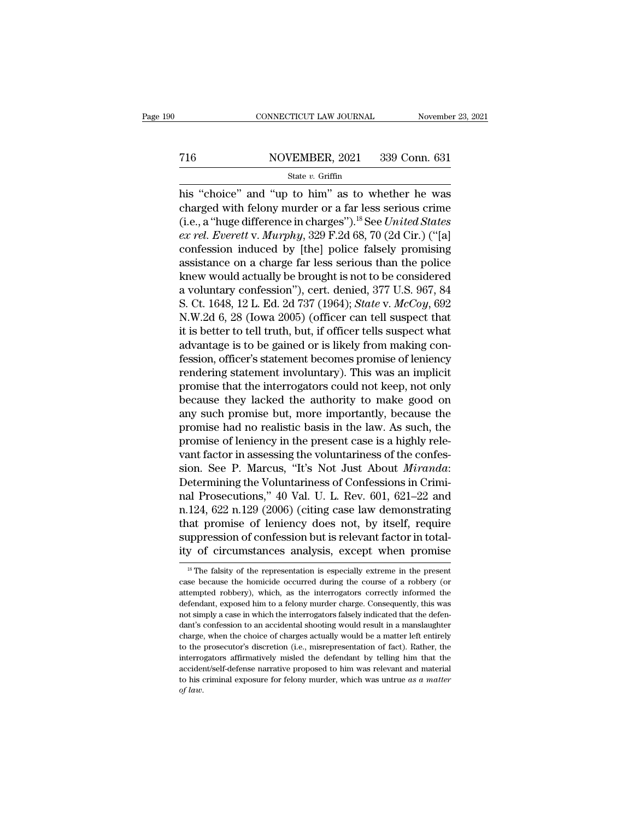# EXECUTE CONNECTICUT LAW JOURNAL Movember 23, 2021<br>
716 NOVEMBER, 2021 339 Conn. 631<br>
State v. Griffin

### State *v.* Griffin

CONNECTICUT LAW JOURNAL November 23, 2021<br>  $\frac{716}{\text{State } v. \text{ Griffith}}$  State v. Griffin<br>
his "choice" and "up to him" as to whether he was<br>
charged with felony murder or a far less serious crime T16 NOVEMBER, 2021 339 Conn. 631<br>
State v. Griffin<br>
his "choice" and "up to him" as to whether he was<br>
charged with felony murder or a far less serious crime<br>
(i.e., a "huge difference in charges").<sup>18</sup> See *United States* (16 MOVEMBER, 2021 339 Conn. 631<br>
State v. Griffin<br>
his "choice" and "up to him" as to whether he was<br>
charged with felony murder or a far less serious crime<br>
(i.e., a "huge difference in charges").<sup>18</sup> See *United States* **Example 10**  $\frac{1}{2}$  **Example 10**  $\frac{1}{2}$  **Example 10**  $\frac{1}{2}$  **Example 10**  $\frac{1}{2}$  **Compared with felony murder or a far less serious crime (i.e., a "huge difference in charges").<sup>18</sup> See** *United States**ex rel.* State v. Griffin<br>his "choice" and "up to him" as to whether he was<br>charged with felony murder or a far less serious crime<br>(i.e., a "huge difference in charges").<sup>18</sup> See *United States<br>ex rel. Everett* v. *Murphy*, 329 F. siate v. Grand and the policies of the policies of the policies of the policies, a "huge difference in charges").<sup>18</sup> See *United States* ex rel. Everett v. Murphy, 329 F.2d 68, 70 (2d Cir.) ("[a] confession induced by [t his "choice" and "up to him" as to whether he was<br>charged with felony murder or a far less serious crime<br>(i.e., a "huge difference in charges").<sup>18</sup> See *United States*<br>ex rel. Everett v. Murphy, 329 F.2d 68, 70 (2d Cir.) charged with felony murder or a far less serious crime<br>
(i.e., a "huge difference in charges").<sup>18</sup> See *United States*<br> *ex rel. Everett* v. *Murphy*, 329 F.2d 68, 70 (2d Cir.) ("[a]<br>
confession induced by [the] police f (i.e., a "huge difference in charges").<sup>18</sup> See *United States*<br>ex rel. Everett v. Murphy, 329 F.2d 68, 70 (2d Cir.) ("[a]<br>confession induced by [the] police falsely promising<br>assistance on a charge far less serious than t ex rel. Everett v. Murphy, 329 F.2d 68, 70 (2d Cir.) ("[a]<br>confession induced by [the] police falsely promising<br>assistance on a charge far less serious than the police<br>knew would actually be brought is not to be considere confession induced by [the] police falsely promising<br>assistance on a charge far less serious than the police<br>knew would actually be brought is not to be considered<br>a voluntary confession"), cert. denied, 377 U.S. 967, 84<br>S assistance on a charge far less serious than the police<br>knew would actually be brought is not to be considered<br>a voluntary confession"), cert. denied, 377 U.S. 967, 84<br>S. Ct. 1648, 12 L. Ed. 2d 737 (1964); *State v. McCoy* knew would actually be brought is not to be considered<br>a voluntary confession"), cert. denied, 377 U.S. 967, 84<br>S. Ct. 1648, 12 L. Ed. 2d 737 (1964); *State v. McCoy*, 692<br>N.W.2d 6, 28 (Iowa 2005) (officer can tell suspect a voluntary confession"), cert. denied, 377 U.S. 967, 84<br>S. Ct. 1648, 12 L. Ed. 2d 737 (1964); *State v. McCoy*, 692<br>N.W.2d 6, 28 (Iowa 2005) (officer can tell suspect that<br>it is better to tell truth, but, if officer tells S. Ct. 1648, 12 L. Ed. 2d 737 (1964); *State* v. *McCoy*, 692<br>N.W.2d 6, 28 (Iowa 2005) (officer can tell suspect that<br>it is better to tell truth, but, if officer tells suspect what<br>advantage is to be gained or is likely fr N.W.2d 6, 28 (Iowa 2005) (officer can tell suspect that<br>it is better to tell truth, but, if officer tells suspect what<br>advantage is to be gained or is likely from making con-<br>fession, officer's statement becomes promise of it is better to tell truth, but, if officer tells suspect what<br>advantage is to be gained or is likely from making con-<br>fession, officer's statement becomes promise of leniency<br>rendering statement involuntary). This was an advantage is to be gained or is likely from making confession, officer's statement becomes promise of leniency<br>rendering statement involuntary). This was an implicit<br>promise that the interrogators could not keep, not only<br> fession, officer's statement becomes promise of leniency<br>rendering statement involuntary). This was an implicit<br>promise that the interrogators could not keep, not only<br>because they lacked the authority to make good on<br>any rendering statement involuntary). This was an implicit<br>promise that the interrogators could not keep, not only<br>because they lacked the authority to make good on<br>any such promise but, more importantly, because the<br>promise h promise that the interrogators could not keep, not only<br>because they lacked the authority to make good on<br>any such promise but, more importantly, because the<br>promise had no realistic basis in the law. As such, the<br>promise because they lacked the authority to make good on<br>any such promise but, more importantly, because the<br>promise had no realistic basis in the law. As such, the<br>promise of leniency in the present case is a highly rele-<br>vant any such promise but, more importantly, because the<br>promise had no realistic basis in the law. As such, the<br>promise of leniency in the present case is a highly rele-<br>vant factor in assessing the voluntariness of the confes promise had no realistic basis in the law. As such, the<br>promise of leniency in the present case is a highly rele-<br>vant factor in assessing the voluntariness of the confes-<br>sion. See P. Marcus, "It's Not Just About *Miranda* promise of leniency in the present case is a highly relevant factor in assessing the voluntariness of the confession. See P. Marcus, "It's Not Just About *Miranda*: Determining the Voluntariness of Confessions in Criminal vant factor in assessing the voluntariness of the confession. See P. Marcus, "It's Not Just About *Miranda*: Determining the Voluntariness of Confessions in Criminal Prosecutions," 40 Val. U. L. Rev. 601, 621–22 and n.124, sion. See P. Marcus, "It's Not Just About *Miranda*:<br>Determining the Voluntariness of Confessions in Crimi-<br>nal Prosecutions," 40 Val. U. L. Rev. 601, 621–22 and<br>n.124, 622 n.129 (2006) (citing case law demonstrating<br>that n.124, 622 n.129 (2006) (citing case law demonstrating that promise of leniency does not, by itself, require suppression of confession but is relevant factor in totality of circumstances analysis, except when promise  $\frac{$ that promise of leniency does not, by itself, require<br>suppression of confession but is relevant factor in total-<br>ity of circumstances analysis, except when promise<br><sup>18</sup> The falsity of the representation is especially extre

suppression of confession but is relevant factor in total-<br>ity of circumstances analysis, except when promise<br><sup>18</sup>The falsity of the representation is especially extreme in the present<br>case because the homicide occurred du ity of circumstances analysis, except when promise<br>
<sup>18</sup>The falsity of the representation is especially extreme in the present<br>
case because the homicide occurred during the course of a robbery (or<br>
attempted robbery), whi It is the falsity of the representation is especially extreme in the present case because the homicide occurred during the course of a robbery (or attempted robbery), which, as the interrogators correctly informed the def <sup>18</sup> The falsity of the representation is especially extreme in the present case because the homicide occurred during the course of a robbery (or attempted robbery), which, as the interrogators correctly informed the defe charge, when the choice of charges actually volume of a robbery (or attempted robbery), which, as the interrogators correctly informed the defendant, exposed him to a felony murder charge. Consequently, this was not simply attempted robbery), which, as the interrogators correctly informed the defendant, exposed him to a felony murder charge. Consequently, this was not simply a case in which the interrogators falsely indicated that the defend defendant, exposed him to a felony murder charge. Consequently, this was not simply a case in which the interrogators falsely indicated that the defendant's confession to an accidental shooting would result in a manslaught not simply a case in which the interrogators falsely indicated that the defendant's confession to an accidental shooting would result in a manslaughter charge, when the choice of charges actually would be a matter left en dant's confession to an accidental shooting would result in a manslaughter charge, when the choice of charges actually would be a matter left entirely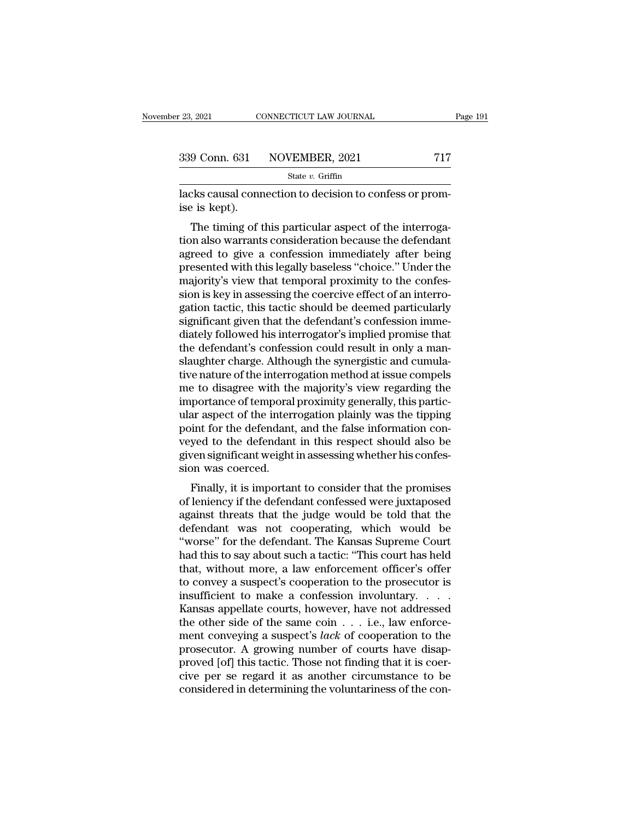| 23, 2021 | CONNECTICUT LAW JOURNAL      | Page 191 |  |
|----------|------------------------------|----------|--|
|          |                              |          |  |
|          | 339 Conn. 631 NOVEMBER, 2021 | 717      |  |
|          | State $v$ . Griffin          |          |  |

lacks causal connection to decision to confess or promise is kept).<br>  $\frac{1}{2}$ <br>
Example 18 kept). 339 Conn. 631<br>Iacks causal conne<br>ise is kept).<br>The timing of t

9 Conn. 631 NOVEMBER, 2021 717<br>
State v. Griffin<br>
cks causal connection to decision to confess or prom-<br>
Exercise is kept.<br>
The timing of this particular aspect of the interroga-<br>
on also warrants consideration because th 339 Conn. 631 NOVEMBER, 2021 717<br>
State v. Griffin<br>
lacks causal connection to decision to confess or prom-<br>
ise is kept).<br>
The timing of this particular aspect of the interroga-<br>
tion also warrants consideration because State v. Griffin<br>
lacks causal connection to decision to confess or prom-<br>
ise is kept).<br>
The timing of this particular aspect of the interroga-<br>
tion also warrants consideration because the defendant<br>
agreed to give a co lacks causal connection to decision to confess or promise is kept).<br>The timing of this particular aspect of the interrogation also warrants consideration because the defendant<br>agreed to give a confession immediately after racks causar connection to decision to comess or promise<br>ise is kept).<br>The timing of this particular aspect of the interrogation also warrants consideration because the defendant<br>agreed to give a confession immediately aft sive is kept).<br>The timing of this particular aspect of the interrogation also warrants consideration because the defendant<br>agreed to give a confession immediately after being<br>presented with this legally baseless "choice." The timing of this particular aspect of the interrogation also warrants consideration because the defendant<br>agreed to give a confession immediately after being<br>presented with this legally baseless "choice." Under the<br>major tion also warrants consideration because the defendant<br>agreed to give a confession immediately after being<br>presented with this legally baseless "choice." Under the<br>majority's view that temporal proximity to the confes-<br>sio agreed to give a confession immediately after being<br>presented with this legally baseless "choice." Under the<br>majority's view that temporal proximity to the confes-<br>sion is key in assessing the coercive effect of an interro presented with this legally baseless "choice." Under the majority's view that temporal proximity to the confession is key in assessing the coercive effect of an interrogation tactic, this tactic should be deemed particular majority's view that temporal proximity to the confession is key in assessing the coercive effect of an interrogation tactic, this tactic should be deemed particularly significant given that the defendant's confession imme sion is key in assessing the coercive effect of an interrogation tactic, this tactic should be deemed particularly<br>significant given that the defendant's confession imme-<br>diately followed his interrogator's implied promise gation tactic, this tactic should be deemed particularly<br>significant given that the defendant's confession imme-<br>diately followed his interrogator's implied promise that<br>the defendant's confession could result in only a ma significant given that the defendant's confession immediately followed his interrogator's implied promise that<br>the defendant's confession could result in only a man-<br>slaughter charge. Although the synergistic and cumula-<br>t diately followed his interrogator's implied promise that<br>the defendant's confession could result in only a man-<br>slaughter charge. Although the synergistic and cumula-<br>tive nature of the interrogation method at issue compel the defendant's confession could result in only a man-<br>slaughter charge. Although the synergistic and cumula-<br>tive nature of the interrogation method at issue compels<br>me to disagree with the majority's view regarding the<br>i slaughter charge. Although the synergistic and cumulative nature of the interrogation method at issue compels<br>me to disagree with the majority's view regarding the<br>importance of temporal proximity generally, this partic-<br>u tive nature of the interrogation method at issue compels<br>me to disagree with the majority's view regarding the<br>importance of temporal proximity generally, this partic-<br>ular aspect of the interrogation plainly was the tippi me to disagree with the<br>importance of temporal<br>ular aspect of the intern<br>point for the defendant<br>veyed to the defendant<br>given significant weight<br>sion was coerced.<br>Finally, it is importar portance of temporal proximity generally, this particular<br>ar aspect of the interrogation plainly was the tipping<br>int for the defendant, and the false information con-<br>yed to the defendant in this respect should also be<br>ven man aspect of the interrogation planty was the tipping<br>point for the defendant, and the false information con-<br>veyed to the defendant in this respect should also be<br>given significant weight in assessing whether his confes-

point for the defendant, and the fase information conveyed to the defendant in this respect should also be given significant weight in assessing whether his confession was coerced.<br>Finally, it is important to consider that veyed to the defendant in this respect should also be<br>given significant weight in assessing whether his confes-<br>sion was coerced.<br>Finally, it is important to consider that the promises<br>of leniency if the defendant confesse Finally, it is important to consider that the promises<br>
of leniency if the defendant confessed were juxtaposed<br>
against threats that the judge would be told that the<br>
defendant was not cooperating, which would be<br>
"worse" Finally, it is important to consider that the promises<br>of leniency if the defendant confessed were juxtaposed<br>against threats that the judge would be told that the<br>defendant was not cooperating, which would be<br>"worse" for Finally, it is important to consider that the promises<br>of leniency if the defendant confessed were juxtaposed<br>against threats that the judge would be told that the<br>defendant was not cooperating, which would be<br>"worse" for of leniency if the defendant confessed were juxtaposed<br>against threats that the judge would be told that the<br>defendant was not cooperating, which would be<br>"worse" for the defendant. The Kansas Supreme Court<br>had this to say against threats that the judge would be told that the<br>defendant was not cooperating, which would be<br>"worse" for the defendant. The Kansas Supreme Court<br>had this to say about such a tactic: "This court has held<br>that, withou defendant was not cooperating, which would be<br>"worse" for the defendant. The Kansas Supreme Court<br>had this to say about such a tactic: "This court has held<br>that, without more, a law enforcement officer's offer<br>to convey a "worse" for the defendant. The Kansas Supreme Court<br>had this to say about such a tactic: "This court has held<br>that, without more, a law enforcement officer's offer<br>to convey a suspect's cooperation to the prosecutor is<br>in had this to say about such a tactic: "This court has held<br>that, without more, a law enforcement officer's offer<br>to convey a suspect's cooperation to the prosecutor is<br>insufficient to make a confession involuntary. . . . .<br> that, without more, a law enforcement officer's offer<br>to convey a suspect's cooperation to the prosecutor is<br>insufficient to make a confession involuntary. . . . .<br>Kansas appellate courts, however, have not addressed<br>the to convey a suspect's cooperation to the prosecutor is<br>insufficient to make a confession involuntary. . . . .<br>Kansas appellate courts, however, have not addressed<br>the other side of the same coin . . . i.e., law enforce-<br>m insufficient to make a confession involuntary. . . . .<br>Kansas appellate courts, however, have not addressed<br>the other side of the same coin  $\dots$  i.e., law enforce-<br>ment conveying a suspect's *lack* of cooperation to the<br>p Kansas appellate courts, however, have not addressed<br>the other side of the same coin  $\dots$  i.e., law enforce-<br>ment conveying a suspect's *lack* of cooperation to the<br>prosecutor. A growing number of courts have disap-<br>prove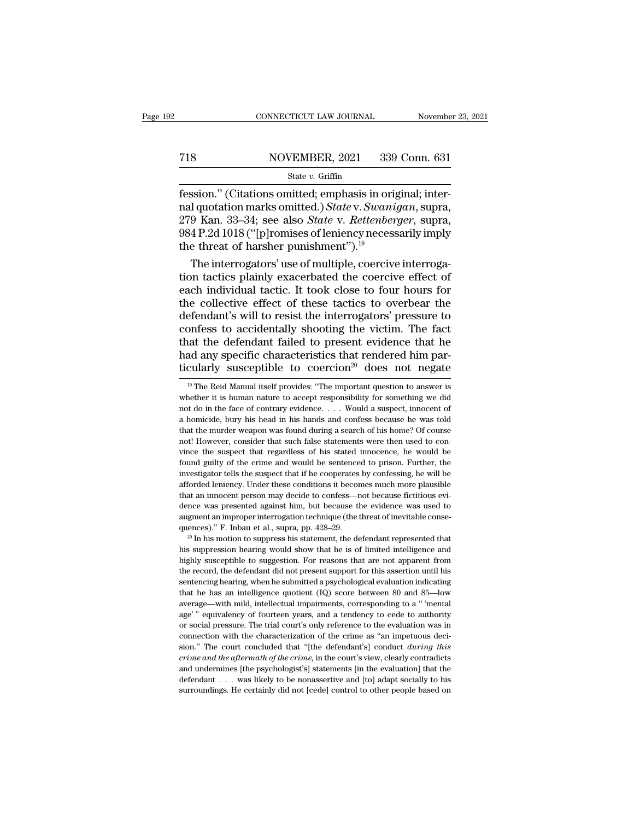# EXECUTE CONNECTICUT LAW JOURNAL Movember 23, 2021<br>
718 NOVEMBER, 2021 339 Conn. 631<br>
State v. Griffin

### State *v.* Griffin

FERE CONNECTICUT LAW JOURNAL Movember<br>
Fession.'' (Citations omitted; emphasis in original; inter-<br>
Fession.'' (Citations omitted; emphasis in original; inter-<br>
ral quotation marks omitted.) State v. Swanigan, supra,<br>
270 nal marks omitted; and an original; 1994<br>
nal quotation marks omitted; emphasis in original; inter-<br>
The marks omitted.) *State v. Swanigan*, supra,<br>
1984 P 2d 1018 ("Infromises of leniency necessarily imply Xan. 2021 Say Conn. 631<br>
2718 NovEMBER, 2021 339 Conn. 631<br>
279 Kan. 33–34; see also *State* v. *Rettenberger*, supra, 279 Kan. 33–34; see also *State* v. *Rettenberger*, supra, 279 Kan. 33–34; see also *State* v. *Rettenb* 998 P. 2021 P. 2021 P. 2021<br>
989 Conn. 631<br>
984 P. 2d 1018 ("[p]romises of leniency necessarily imply<br>
984 P.2d 1018 ("[p]romises of leniency necessarily imply<br>  $\frac{1}{2}$  T. 2d 1018 ("[p]romises of leniency necessarily im  $\begin{array}{r}\n \text{State } v. \text{ Griffith, } 2021 \quad 6063 \\
 \hline\n \text{fession." (Citations omitted; emphasis in ori) and quotation marks omitted.) State v. Swani 279 Kan. 33–34; see also State v. Rettenber 984 P.2d 1018 ("[p]romises of leniency necess) the threat of harsher punishment").<sup>19</sup>\n\begin{array}{r}\n \text{The interrogators' use of multiple, coerciv}\n \end{array}$ Sion." (Citations omitted; emphasis in original; inter-<br>1 quotation marks omitted.) State v. Swanigan, supra,<br>9 Kan. 33–34; see also State v. Rettenberger, supra,<br>4 P.2d 1018 ("[p]romises of leniency necessarily imply<br>2 t fession." (Citations omitted; emphasis in original; inter-<br>nal quotation marks omitted.) State v. Swanigan, supra,<br>279 Kan. 33–34; see also State v. Rettenberger, supra,<br>984 P.2d 1018 ("[p]romises of leniency necessarily

nal quotation marks omitted.) *State* v. *Swanigan*, supra,<br>279 Kan. 33–34; see also *State* v. *Rettenberger*, supra,<br>984 P.2d 1018 ("[p]romises of leniency necessarily imply<br>the threat of harsher punishment").<sup>19</sup><br>The in 279 Kan. 33–34; see also *State* v. *Rettenberger*, supra,<br>984 P.2d 1018 ("[p]romises of leniency necessarily imply<br>the threat of harsher punishment").<sup>19</sup><br>The interrogators' use of multiple, coercive interroga-<br>tion tact 984 P.2d 1018 ("[p]romises of leniency necessarily imply<br>the threat of harsher punishment").<sup>19</sup><br>The interrogators' use of multiple, coercive interroga-<br>tion tactics plainly exacerbated the coercive effect of<br>each individ the threat of harsher punishment").<sup>19</sup><br>The interrogators' use of multiple, coercive interrogation tactics plainly exacerbated the coercive effect of<br>each individual tactic. It took close to four hours for<br>the collective e The interrogators' use of multiple, coercive interrogation tactics plainly exacerbated the coercive effect of each individual tactic. It took close to four hours for the collective effect of these tactics to overbear the d tion tactics plainly exacerbated the coercive effect of each individual tactic. It took close to four hours for the collective effect of these tactics to overbear the defendant's will to resist the interrogators' pressure each individual tactic. It took close to four hours for<br>the collective effect of these tactics to overbear the<br>defendant's will to resist the interrogators' pressure to<br>confess to accidentally shooting the victim. The fac between the defendant failed to present evidence that he ad any specific characteristics that rendered him parcularly susceptible to coercion<sup>20</sup> does not negate  $\frac{19}{10}$  The Reid Manual itself provides: "The important that the defendant failed to present evidence that he<br>had any specific characteristics that rendered him par-<br>ticularly susceptible to coercion<sup>20</sup> does not negate<br><sup>19</sup> The Reid Manual itself provides: "The important ques ticularly susceptible to coercion<sup>20</sup> does not negate

had any specific characteristics that rendered him particularly susceptible to coercion<sup>20</sup> does not negate  $\frac{19}{10}$  The Reid Manual itself provides: "The important question to answer is whether it is human nature to a The murder weapon was found during a search of his home? Hot murder weapons whether it is human nature to accept responsibility for something we did not do in the face of contrary evidence.  $\ldots$  Would a suspect, innocent <sup>19</sup> The Reid Manual itself provides: "The important question to answer is whether it is human nature to accept responsibility for something we did not do in the face of contrary evidence.  $\ldots$  Would a suspect, innocent whether it is human nature to accept responsibility for something we did not do in the face of contrary evidence.  $\ldots$  Would a suspect, innocent of a homicide, bury his head in his hands and confess because he was told t mot do in the face of contrary evidence.  $\ldots$  Would a suspect, innocent of a homicide, bury his head in his hands and confess because he was told that the murder weapon was found during a search of his home? Of course no in a band in the suspect that is hands and confess because he was told that the murder weapon was found during a search of his home? Of course not! However, consider that such false statements were then used to convince th a final the murder weapon was found during a search of his home? Of course mot! However, consider that such false statements were then used to convince the suspect that regardless of his stated innocence, he would be found not! However, consider that such false statements were then used to convince the suspect that regardless of his stated innocence, he would be found guilty of the crime and would be sentenced to prison. Further, the investi wince the suspect that regardless of his stated innocence, he would be found guilty of the crime and would be sentenced to prison. Further, the investigator tells the suspect that if he cooperates by confessing, he will be afforded leniency. Under these conditions it becomes much more plausible<br>that an innocent person may decide to confess—not because fictitious evi-<br>dence was presented against him, but because the evidence was used to<br>augm External guint of the suspect that if he cooperates by confessing, he will be afforded leniency. Under these conditions it becomes much more plausible that an innocent person may decide to confess—not because fictitious e that an innocent person may decide to confess—not because fictitious evidence was presented against him, but because the evidence was used to augment an improper interrogation technique (the threat of inevitable consequenc

dence was presented against him, but because the evidence was used to augment an improper interrogation technique (the threat of inevitable consequences)." F. Inbau et al., supra, pp. 428–29.<br><sup>20</sup> In his motion to suppress augment an improper interrogation technique (the threat of inevitable consequences)." F. Inbau et al., supra, pp. 428–29.<br><sup>20</sup> In his motion to suppress his statement, the defendant represented that his suppression hearin sentences)." F. Inbau et al., supra, pp. 428–29.<br><sup>20</sup> In his motion to suppress his statement, the defendant represented that his suppression hearing would show that he is of limited intelligence and highly susceptible to <sup>20</sup> In his motion to suppress his statement, the defendant represented that his suppression hearing would show that he is of limited intelligence and highly susceptible to suggestion. For reasons that are not apparent fr as a suppression hearing would show that he is of limited intelligence and highly susceptible to suggestion. For reasons that are not apparent from the record, the defendant did not present support for this assertion until incy in the present of the defendant did not presents that are not apparent from the record, the defendant did not present support for this assertion until his sentencing hearing, when he submitted a psychological evaluati the record, the defendant did not present support for this assertion until his sentencing hearing, when he submitted a psychological evaluation indicating that he has an intelligence quotient  $(Q)$  score between 80 and 85 exercision, when he submitted a psychological evaluation indicating<br>that he has an intelligence quotient  $(IQ)$  score between 80 and 85—low<br>average—with mild, intellectual impairments, corresponding to a " mental<br>age" equi share that he has an intelligence quotient  $(IQ)$  score between 80 and 85—low average—with mild, intellectual impairments, corresponding to a "mental age" equivalency of fourteen years, and a tendency to cede to authority average—with mild, intellectual impairments, corresponding to a "mental age" equivalency of fourteen years, and a tendency to cede to authority or social pressure. The trial court's only reference to the evaluation was in and undermines are interesting and a tendency to cede to authority<br>or social pressure. The trial court's only reference to the evaluation was in<br>connection with the characterization of the crime as "an impetuous deci-<br>sio or social pressure. The trial court's only reference to the evaluation was in connection with the characterization of the crime as "an impetuous decision." The court concluded that "[the defendant's] conduct *during this* connection with the characterization of the crime as "an impetuous deci-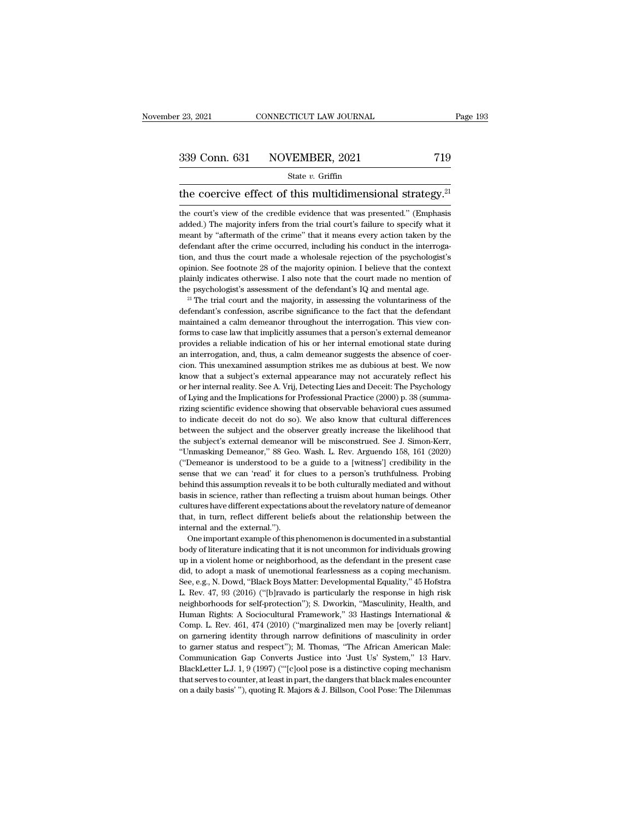# $\begin{array}{r|l} \text{23, 2021} & \text{CONNECTICUT LAW JOURNAL} & \text{Page 193} \\\\ \hline \text{339 Conn. 631} & \text{NOVEMBER, 2021} & \text{719} \\\\ \hline \text{State } v. \text{ Griffith} & \text{719} \end{array}$

### State *v.* Griffin

the coercive effect of this multidimensional strategy.<sup>21</sup><br>the coercive effect of this multidimensional strategy.<sup>21</sup><br>the coercive effect of this multidimensional strategy.<sup>21</sup><br>the court's view of the credible evidence th 339 Conn. 631 NOVEMBER, 2021 719<br>
State v. Griffin<br>
the coercive effect of this multidimensional strategy.<sup>21</sup><br>
the court's view of the credible evidence that was presented.'' (Emphasis<br>
added.) The majority infers from t State v. Griffin<br>  $\frac{1}{2}$ <br>  $\frac{1}{2}$ <br>
the coercive effect of this multidimensional strategy.<sup>21</sup><br>
the court's view of the credible evidence that was presented." (Emphasis<br>
added.) The majority infers from the trial cour State  $v$ . Griffin<br>the coercive effect of this multidimensional strategy.<sup>21</sup><br>the court's view of the credible evidence that was presented." (Emphasis<br>added.) The majority infers from the trial court's failure to specify the coercive effect of this multidimensional strategy.<sup>21</sup><br>the court's view of the credible evidence that was presented." (Emphasis<br>added.) The majority infers from the trial court's failure to specify what it<br>meant by "af The coefficive effect of this intuitionments of all strategy.<br>
the court's view of the credible evidence that was presented." (Emphasis<br>
added.) The majority infers from the trial court's failure to specify what it<br>
meant the court's view of the credible evidence that was presented." (Emphasis added.) The majority infers from the trial court's failure to specify what it meant by "aftermath of the crime" that it means every action taken by t added.) The majority infers from the trial court's failure to specify what it meant by "aftermath of the crime" that it means every action taken by the defendant after the crime occurred, including his conduct in the inter meant by "aftermath of the crime" that it means every action taken by the defendant after the crime occurred, including his conduct in the interrogation, and thus the court made a wholesale rejection of the psychologist's tion, and thus the court made a wholesale rejection of the psychologist's<br>opinion. See footnote 28 of the majority opinion. I believe that the context<br>plainly indicates otherwise. I also note that the court made no mentio

complision. See footnote 28 of the majority opinion. I believe that the context plainly indicates otherwise. I also note that the court made no mention of the psychologist's assessment of the defendant's  $IQ$  and mental ag plainly indicates otherwise. I also note that the court made no mention of the psychologist's assessment of the defendant's  $IQ$  and mental age.<br><sup>21</sup> The trial court and the majority, in assessing the voluntariness of the provides a reliable indication of the defendant's  $IQ$  and mental age.<br><sup>21</sup> The trial court and the majority, in assessing the voluntariness of the defendant's confession, ascribe significance to the fact that the defenda <sup>21</sup> The trial court and the majority, in assessing the voluntariness of the defendant's confession, ascribe significance to the fact that the defendant maintained a calm demeanor throughout the interrogation. This view c defendant's confession, ascribe significance to the fact that the defendant maintained a calm demeanor throughout the interrogation. This view conforms to case law that implicitly assumes that a person's external demeanor maintained a calm demeanor throughout the interrogation. This view con-<br>forms to case law that implicitly assumes that a person's external demeanor<br>provides a reliable indication of his or her internal emotional state duri forms to case law that implicitly assumes that a person's external demeanor provides a reliable indication of his or her internal emotional state during an interrogation, and, thus, a calm demeanor suggests the absence of forms to case law that implicitly assumes that a person's external demean<br>or provides a reliable indication of his or her internal emotional state during<br>an interrogation, and, thus, a calm demean<br>or suggests the absence Frame interrogation, and, thus, a calm demeanor suggests the absence of coercion. This unexamined assumption strikes me as dubious at best. We now know that a subject's external appearance may not accurately reflect his or in the individual differences we can conclude the downtown that a subject's external appearance may not accurately reflect his or her internal reality. See A. Vrij, Detecting Lies and Deceit: The Psychology of Lying and th know that a subject's external appearance may not accurately reflect his<br>or her internal reality. See A. Vrij, Detecting Lies and Deceit: The Psychology<br>of Lying and the Implications for Professional Practice (2000) p. 38 For the subject's external pelactics and Deceit: The Psychology<br>of Lying and the Implications for Professional Practice (2000) p. 38 (summa-<br>rizing scientific evidence showing that observable behavioral cues assumed<br>to ind of Lying and the Implications for Professional Practice (2000) p. 38 (summa-<br>rizing scientific evidence showing that observable behavioral cues assumed<br>to indicate deceit do not do so). We also know that cultural differenc or interest and methods of the absent the behavioral cues assumed to indicate deceit do not do so). We also know that cultural differences between the subject and the observer greatly increase the likelihood that the subje sense that we can 'read' it for clues to a person's truthfulness. The sense the likelihood that the subject's external demeanor will be misconstrued. See J. Simon-Kerr, "Unmasking Demeanor," 88 Geo. Wash. L. Rev. Arguendo between the subject and the observer greatly increase the likelihood that the subject's external demeanor will be misconstrued. See J. Simon-Kerr, "Unmasking Demeanor," 88 Geo. Wash. L. Rev. Arguendo 158, 161 (2020) ("Deme between the subject's external demeanor will be misconstrued. See J. Simon-Kerr, "Unmasking Demeanor," 88 Geo. Wash. L. Rev. Arguendo 158, 161 (2020) ("Demeanor is understood to be a guide to a [witness'] credibility in th "Unmasking Demeanor," 88 Geo. Wash. L. Rev. Arguendo 158, 161 (2020)<br>"Unmasking Demeanor," 88 Geo. Wash. L. Rev. Arguendo 158, 161 (2020)<br>("Demeanor is understood to be a guide to a [witness'] credibility in the<br>sense that ("Demeanor is understood to be a guide to a [witness'] credibility in the sense that we can 'read' it for clues to a person's truthfulness. Probing behind this assumption reveals it to be both culturally mediated and witho ("Demeanor is understood to be a guide to a [witness'] credibility in the sense that we can 'read' it for clues to a person's truthfulness. Probing behind this assumption reveals it to be both culturally mediated and with The and the instant example of this phenomenon is documented in a substantial this assumption reveals it to be both culturally mediated and without sis in science, rather than reflecting a truism about human beings. Other basis in science, rather than reflecting a truism about human beings. Other cultures have different expectations about the revelatory nature of demeanor that, in turn, reflect different beliefs about the relationship betwe

but it as a video term of the revelatory nature of demeanor<br>that, in turn, reflect different beliefs about the revelatory nature of demeanor<br>that, in turn, reflect different beliefs about the relationship between the<br>inter that, in turn, reflect different beliefs about the relationship between the internal and the external.").<br>One important example of this phenomenon is documented in a substantial<br>body of literature indicating that it is not Internal and the external.").<br>
One important example of this phenomenon is documented in a substantial<br>
body of literature indicating that it is not uncommon for individuals growing<br>
up in a violent home or neighborhood, a One important example of this phenomenon is documented in a substantial<br>body of literature indicating that it is not uncommon for individuals growing<br>up in a violent home or neighborhood, as the defendant in the present ca body of literature indicating that it is not uncommon for individuals growing<br>up in a violent home or neighborhood, as the defendant in the present case<br>did, to adopt a mask of unemotional fearlessness as a coping mechanis up in a violent home or neighborhood, as the defendant in the present case<br>did, to adopt a mask of unemotional fearlessness as a coping mechanism.<br>See, e.g., N. Dowd, "Black Boys Matter: Developmental Equality," 45 Hofstra did, to adopt a mask of unemotional fearlessness as a coping mechanism.<br>See, e.g., N. Dowd, "Black Boys Matter: Developmental Equality," 45 Hofstra<br>L. Rev. 47, 93 (2016) ("[b]ravado is particularly the response in high ris See, e.g., N. Dowd, "Black Boys Matter: Developmental Equality," 45 Hofstra L. Rev. 47, 93 (2016) ("[b]ravado is particularly the response in high risk neighborhoods for self-protection"); S. Dworkin, "Masculinity, Health, L. Rev. 47, 93 (2016) ("[b]ravado is particularly the response in high risk<br>neighborhoods for self-protection"); S. Dworkin, "Masculinity, Health, and<br>Human Rights: A Sociocultural Framework," 33 Hastings International &<br>C meighborhoods for self-protection"); S. Dworkin, "Masculinity, Health, and Human Rights: A Sociocultural Framework," 33 Hastings International & Comp. L. Rev. 461, 474 (2010) ("marginalized men may be [overly reliant] on g Human Rights: A Sociocultural Framework," 33 Hastings International & Comp. L. Rev. 461, 474 (2010) ("marginalized men may be [overly reliant] on garnering identity through narrow definitions of masculinity in order to gar Human Rights: A Sociocultural Framework," 33 Hastings International & Comp. L. Rev. 461, 474 (2010) ("marginalized men may be [overly reliant] on garnering identity through narrow definitions of masculinity in order to ga on garnering identity through narrow definitions of masculinity in order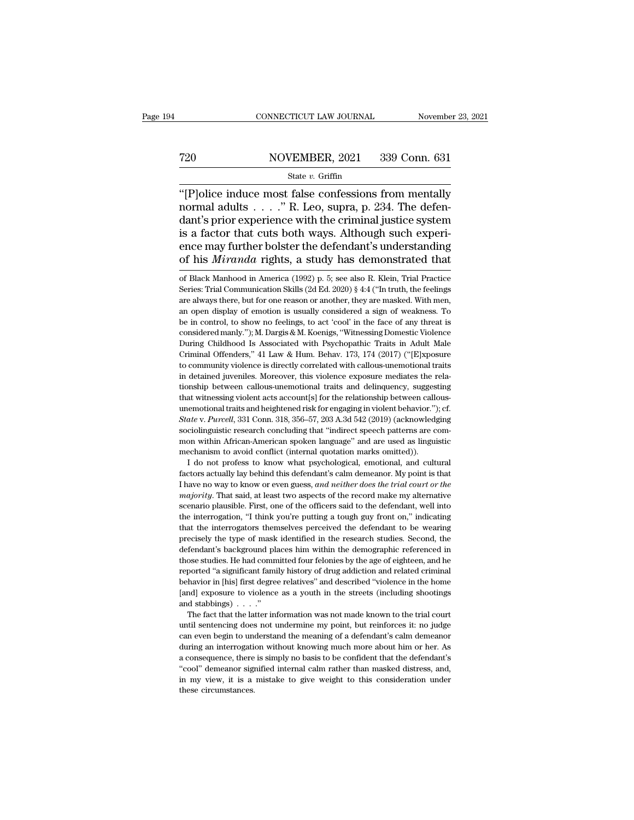# EXECUTE CONNECTICUT LAW JOURNAL Movember 23, 2021<br>
720 NOVEMBER, 2021 339 Conn. 631<br>
81 State v. Griffin

### State *v.* Griffin

 $\begin{array}{r} \text{CONPECTICUT LAW JOURNAL} \ \text{November 23, 2021} \ \text{720} \ \text{NOVEMBER, 2021} \ \text{339 Conn. } 631 \ \text{State } v. \ \text{Griffin} \ \text{``[P]olice induce most false confessions from mentally normal adults . . . .". R. Leo, supra, p. 234. The defen-dant's prior experience with the criminal justice system.} \end{array}$ T20 NOVEMBER, 2021 339 Conn. 631<br>
State v. Griffin<br>
"[P]olice induce most false confessions from mentally<br>
normal adults . . . . ." R. Leo, supra, p. 234. The defen-<br>
dant's prior experience with the criminal justice syst T20 NOVEMBER, 2021 339 Conn. 631<br>
State v. Griffin<br>
"[P]olice induce most false confessions from mentally<br>
normal adults . . . . ." R. Leo, supra, p. 234. The defen-<br>
dant's prior experience with the criminal justice syst Fraction MOVEMBER, 2021 339 Conn. 631<br>
State v. Griffin<br>
"[P]olice induce most false confessions from mentally<br>
normal adults . . . . " R. Leo, supra, p. 234. The defendant's prior experience with the criminal justice sys Ence may further the defendant's understanding<br>
of the defendant's prior experience with the criminal justice system<br>
is a factor that cuts both ways. Although such experience may further bolster the defendant's understan State *v*. Griffin<br>
"[P]olice induce most false confessions from mentally<br>
normal adults . . . . " R. Leo, supra, p. 234. The defen-<br>
dant's prior experience with the criminal justice system<br>
is a factor that cuts both wa dant's prior experience with the criminal justice system<br>is a factor that cuts both ways. Although such experi-<br>ence may further bolster the defendant's understanding<br>of his *Miranda* rights, a study has demonstrated that is a factor that cuts both ways. Although such experience may further bolster the defendant's understanding of his *Miranda* rights, a study has demonstrated that of Black Manhood in America (1992) p. 5; see also R. Klein,

ence may further bolster the defendant's understanding<br>of his *Miranda* rights, a study has demonstrated that<br>of Black Manhood in America (1992) p. 5; see also R. Klein, Trial Practice<br>Series: Trial Communication Skills ( of his *Miranda* rights, a study has demonstrated that<br>of Black Manhood in America (1992) p. 5; see also R. Klein, Trial Practice<br>Series: Trial Communication Skills (2d Ed. 2020) § 4:4 ("In truth, the feelings<br>are always of Black Manhood in America (1992) p. 5; see also R. Klein, Trial Practice<br>Series: Trial Communication Skills (2d Ed. 2020) § 4:4 ("In truth, the feelings<br>are always there, but for one reason or another, they are masked. of Black Manhood in America (1992) p. 5; see also R. Klein, Trial Practice<br>Series: Trial Communication Skills (2d Ed. 2020) § 4:4 ("In truth, the feelings<br>are always there, but for one reason or another, they are masked. W Series: Trial Communication Skills (2d Ed. 2020) § 4:4 ("In truth, the feelings are always there, but for one reason or another, they are masked. With men, an open display of emotion is usually considered a sign of weakne are always there, but for one reason or another, they are masked. With men, an open display of emotion is usually considered a sign of weakness. To be in control, to show no feelings, to act 'cool' in the face of any threa an open display of emotion is usually considered a sign of weakness. To<br>be in control, to show no feelings, to act 'cool' in the face of any threat is<br>considered manly."); M. Dargis & M. Koenigs, "Witnessing Domestic Viol in the in control, to show no feelings, to act 'cool' in the face of any threat is<br>considered manly."); M. Dargis & M. Koenigs, "Witnessing Domestic Violence<br>During Childhood Is Associated with Psychopathic Traits in Adult considered manly."); M. Dargis & M. Koenigs, "Witnessing Domestic Violence<br>During Childhood Is Associated with Psychopathic Traits in Adult Male<br>Criminal Offenders," 41 Law & Hum. Behav. 173, 174 (2017) ("[E]xposure<br>to com During Childhood Is Associated with Psychopathic Traits in Adult Male Criminal Offenders," 41 Law & Hum. Behav. 173, 174 (2017) ("[E]xposure to community violence is directly correlated with callous-unemotional traits in d Eurique of Finders," 41 Law & Hum. Behav. 173, 174 (2017) ("[E]xposure to community violence is directly correlated with callous-unemotional traits in detained juveniles. Moreover, this violence exposure mediates the rela to community violence is directly correlated with callous-unemotional traits<br>in detained juveniles. Moreover, this violence exposure mediates the rela-<br>tionship between callous-unemotional traits and delinquency, suggestin to community violence is directly correlated with callous-unemotional traits in detained juveniles. Moreover, this violence exposure mediates the relationship between callous-unemotional traits and delinquency, suggesting monking between callous-unemotional traits and delinquency, suggesting<br>tionship between callous-unemotional traits and delinquency, suggesting<br>that witnessing violent acts account[s] for the relationship between callous-<br>u that witnessing violent acts account[s] for the relationship between callous-<br>unemotional traits and heightened risk for engaging in violent behavior."); cf.<br> *State* v. *Purcell*, 331 Conn. 318, 356–57, 203 A.3d 542 (201 Example in the notional traits and heightened risk for engaging in violent behavior."); cf.<br> *ate* v. *Purcell*, 331 Conn. 318, 356–57, 203 A.3d 542 (2019) (acknowledging<br>
ciolinguistic research concluding that "indirect s *State v. Purcell*, 331 Conn. 318, 356-57, 203 A.3d 542 (2019) (acknowledging sociolinguistic research concluding that "indirect speech patterns are common within African-American spoken language" and are used as linguisti

Bava 1.1 arota, *Sof Sofin, 315, 388* 31, 389 has a Li (2019) (actabologing<br>sociolinguistic research concluding that "indirect speech patterns are com-<br>mon within African-American spoken language" and are used as linguisti mon within African-American spoken language" and are used as linguistic mechanism to avoid conflict (internal quotation marks omitted)).<br>
I do not profess to know what psychological, emotional, and cultural factors actuall mechanism to avoid conflict (internal quotation marks omitted)).<br>
I do not profess to know what psychological, emotional, and cultural<br>
factors actually lay behind this defendant's calm demeanor. My point is that<br>
I have n I do not profess to know what psychological, emotional, and cultural factors actually lay behind this defendant's calm demeanor. My point is that I have no way to know or even guess, *and neither does the trial court or t* factors actually lay behind this defendant's calm demeanor. My point is that I have no way to know or even guess, *and neither does the trial court or the majority*. That said, at least two aspects of the record make my al Thave no way to know or even guess, *and neither does the trial court or the majority*. That said, at least two aspects of the record make my alternative scenario plausible. First, one of the officers said to the defendant *majority*. That said, at least two aspects of the record make my alternative scenario plausible. First, one of the officers said to the defendant, well into the interrogation, "I think you're putting a tough guy front on the intertwall and committed four felonies and the defendant, well into the interrogation, "I think you're putting a tough guy front on," indicating that the interrogators themselves perceived the defendant to be wearing p be interrogation, "I think you're putting a tough guy front on," indicating that the interrogators themselves perceived the defendant to be wearing precisely the type of mask identified in the research studies. Second, the have the interrogators training allows perceived the defendant to be wearing<br>precisely the type of mask identified in the research studies. Second, the<br>defendant's background places him within the demographic referenced in precisely the type of mask identified in the research studies. Second, the defendant's background places him within the demographic referenced in those studies. He had committed four felonies by the age of eighteen, and he defendant's background place<br>defendant's background place<br>those studies. He had comm<br>reported "a significant family<br>behavior in [his] first degree<br>[and] exposure to violence<br>and stabbings) . . . ."<br>The fact that the latter ose studies. He had committed four felonies by the age of eighteen, and he ported "a significant family history of drug addiction and related criminal havior in [his] first degree relatives" and described "violence in the reported "a significant family history of drug addiction and related criminal behavior in [his] first degree relatives" and described "violence in the home [and] exposure to violence as a youth in the streets (including s

behavior in [his] first degree relatives" and described "violence in the home [and] exposure to violence as a youth in the streets (including shootings and stabbings)  $\ldots$ ."<br>The fact that the latter information was not m Final exposure to violence as a youth in the streets (including shootings<br>and stabbings)  $\ldots$ ."<br>The fact that the latter information was not made known to the trial court<br>until sentencing does not undermine my point, but and stabbings)  $\ldots$ ."<br>The fact that the latter information was not made known to the trial court<br>until sentencing does not undermine my point, but reinforces it: no judge<br>can even begin to understand the meaning of a def The fact that the latter information was not made known to the trial court<br>until sentencing does not undermine my point, but reinforces it: no judge<br>can even begin to understand the meaning of a defendant's calm demeanor<br>d in multi sentencing does not undermine my point, but reinforces it: no judge<br>can even begin to understand the meaning of a defendant's calm demeanor<br>during an interrogation without knowing much more about him or her. As<br>a can even begin to understand the meaning of a defendant's calm demean<br>or during an interrogation without knowing much more about him or her. As<br>a consequence, there is simply no basis to be confident that the defendant's<br>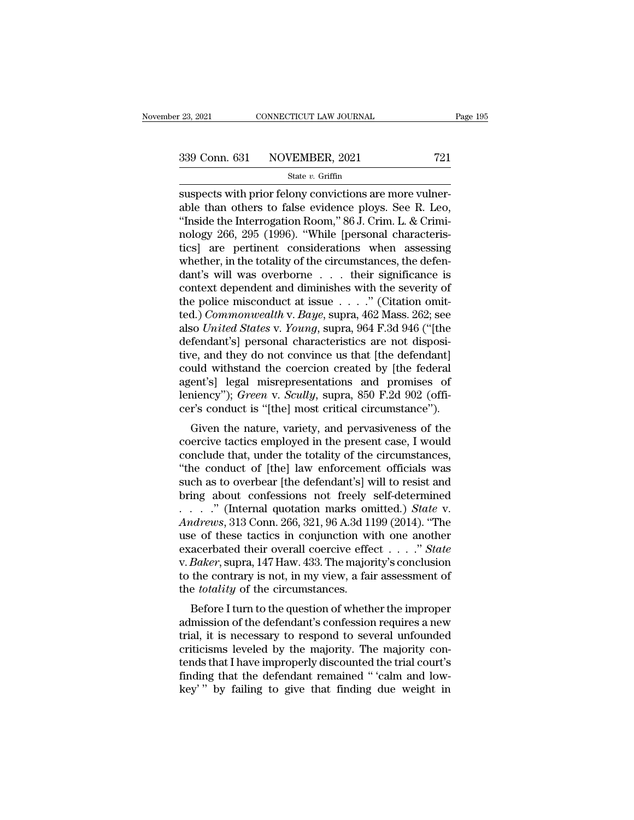# $\begin{array}{r|l} \text{23, 2021} & \text{CONNECTICUT LAW JOURNAL} \end{array}$  Page 195<br>339 Conn. 631 NOVEMBER, 2021 721<br>State v. Griffin

### State *v.* Griffin

subsects with prior felony convictions are more vulner-<br>
suspects with prior felony convictions are more vulner-<br>
suspects with prior felony convictions are more vulner-<br>
suspects with prior felony convictions are more vu 339 Conn. 631 NOVEMBER, 2021 721<br>
State v. Griffin<br>
suspects with prior felony convictions are more vulner-<br>
able than others to false evidence ploys. See R. Leo,<br>
"Inside the Interrogation Room," 86 J. Crim. L. & Crimi-<br> 339 Conn. 631 NOVEMBER, 2021 721<br>
State v. Griffin<br>
Suspects with prior felony convictions are more vulner-<br>
able than others to false evidence ploys. See R. Leo,<br>
"Inside the Interrogation Room," 86 J. Crim. L. & Crimi-<br> 339 Conn. 631 NOVEMBER, 2021 721<br>
State v. Griffin<br>
suspects with prior felony convictions are more vulner-<br>
able than others to false evidence ploys. See R. Leo,<br>
"Inside the Interrogation Room," 86 J. Crim. L. & Crimi-<br> State v. Griffin<br>
State v. Griffin<br>
suspects with prior felony convictions are more vulner-<br>
able than others to false evidence ploys. See R. Leo,<br>
"Inside the Interrogation Room," 86 J. Crim. L. & Crimi-<br>
nology 266, 295 state v. Griftin<br>suspects with prior felony convictions are more vulner-<br>able than others to false evidence ploys. See R. Leo,<br>"Inside the Interrogation Room," 86 J. Crim. L. & Crimi-<br>nology 266, 295 (1996). "While [perso suspects with prior felony convictions are more vulner-<br>able than others to false evidence ploys. See R. Leo,<br>"Inside the Interrogation Room," 86 J. Crim. L. & Crimi-<br>nology 266, 295 (1996). "While [personal characteris-<br>t able than others to false evidence ploys. See R. Leo,<br>
"Inside the Interrogation Room," 86 J. Crim. L. & Crimi-<br>
nology 266, 295 (1996). "While [personal characteris-<br>
tics] are pertinent considerations when assessing<br>
wh "Inside the Interrogation Room," 86 J. Crim. L. & Criminology 266, 295 (1996). "While [personal characteristics] are pertinent considerations when assessing whether, in the totality of the circumstances, the defendant's w nology 266, 295 (1996). "While [personal characteristics] are pertinent considerations when assessing whether, in the totality of the circumstances, the defendant's will was overborne . . . their significance is context de tics] are pertinent considerations when assessing<br>whether, in the totality of the circumstances, the defen-<br>dant's will was overborne . . . their significance is<br>context dependent and diminishes with the severity of<br>the po whether, in the totality of the circumstances, the defendant's will was overborne . . . their significance is context dependent and diminishes with the severity of the police misconduct at issue . . . . ." (Citation omitt dant's will was overborne  $\ldots$  their significance is<br>context dependent and diminishes with the severity of<br>the police misconduct at issue  $\ldots$ ." (Citation omit-<br>ted.) *Commonwealth* v. *Baye*, supra, 462 Mass. 262; see<br> context dependent and diminishes with the severity of<br>the police misconduct at issue . . . ." (Citation omit-<br>ted.) *Commonwealth* v. *Baye*, supra, 462 Mass. 262; see<br>also *United States* v. *Young*, supra, 964 F.3d 946 the police misconduct at issue  $\ldots$ ." (Citation omit-<br>ted.) *Commonwealth* v. *Baye*, supra, 462 Mass. 262; see<br>also *United States* v. *Young*, supra, 964 F.3d 946 ("[the<br>defendant's] personal characteristics are not di ted.) *Commonwealth* v. *Baye*, supra, 462 Mass. 262; see<br>also *United States* v. *Young*, supra, 964 F.3d 946 ("[the<br>defendant's] personal characteristics are not disposi-<br>tive, and they do not convince us that [the defen also *United States* v. *Young*, supra, 964 F.3d 946 ("[the defendant's] personal characteristics are not dispositive, and they do not convince us that [the defendant] could withstand the coercion created by [the federal a renuant sp ersonal characteristics are not usposition,<br>e, and they do not convince us that [the defendant]<br>uld withstand the coercion created by [the federal<br>ent's] legal misrepresentations and promises of<br>niency"); *Green* the state in the coercion created by [the federal<br>agent's] legal misrepresentations and promises of<br>leniency"); *Green* v. *Scully*, supra, 850 F.2d 902 (offi-<br>cer's conduct is "[the] most critical circumstance").<br>Given th

could withstand the coercion created by [the rederated agent's] legal misrepresentations and promises of leniency"); *Green* v. *Scully*, supra, 850 F.2d 902 (officer's conduct is "[the] most critical circumstance"). Given agent s<sub>J</sub> regar inistepresentations and promises of<br>
leniency"); *Green* v. *Scully*, supra, 850 F.2d 902 (offi-<br>
cer's conduct is "[the] most critical circumstance").<br>
Given the nature, variety, and pervasiveness of the<br> such as the member of the defendant of the defendance  $\tilde{t}$ .<br>
Given the nature, variety, and pervasiveness of the coercive tactics employed in the present case, I would<br>
conclude that, under the totality of the circums Given the nature, variety, and pervasiveness of the<br>coercive tactics employed in the present case, I would<br>conclude that, under the totality of the circumstances,<br>"the conduct of [the] law enforcement officials was<br>such a Given the nature, variety, and pervasiveness of the coercive tactics employed in the present case, I would conclude that, under the totality of the circumstances, "the conduct of [the] law enforcement officials was such as *Andrews* tactics employed in the present case, I would<br>
conclude that, under the totality of the circumstances,<br>
"the conduct of [the] law enforcement officials was<br>
such as to overbear [the defendant's] will to resist an conclude that, under the totality of the circumstances,<br>
"the conduct of [the] law enforcement officials was<br>
such as to overbear [the defendant's] will to resist and<br>
bring about confessions not freely self-determined<br> "the conduct of [the] law enforcement officials was<br>such as to overbear [the defendant's] will to resist and<br>bring about confessions not freely self-determined<br>. . . . . . " (Internal quotation marks omitted.) *State* v.<br>A such as to overbear [the defendant's] will to resist and<br>bring about confessions not freely self-determined<br>. . . . . " (Internal quotation marks omitted.) *State* v.<br>Andrews, 313 Conn. 266, 321, 96 A.3d 1199 (2014). "The<br> bring about confessions not freely self-determined<br>
. . . . ." (Internal quotation marks omitted.) *State* v.<br>
Andrews, 313 Conn. 266, 321, 96 A.3d 1199 (2014). "The<br>
use of these tactics in conjunction with one another<br> . . . . . " (Internal quotation marks on<br>*Andrews*, 313 Conn. 266, 321, 96 A.3d 11<br>use of these tactics in conjunction wi<br>exacerbated their overall coercive effe<br>v. *Baker*, supra, 147 Haw. 433. The major<br>to the contrary i before I turn to the question of whether the improper<br>Before I turn to the question of the contrary is not, in my view, a fair assessment of<br>the contrary is not, in my view, a fair assessment of<br>e *totality* of the circum as the defendant of the majority of the majority on the defendant of the contrary is not, in my view, a fair assessment of the *totality* of the circumstances.<br>Before I turn to the question of whether the improper admissi

Exacerbated their overall coeffive effect  $\ldots$  is not only subset of the contrary is not, in my view, a fair assessment of the *totality* of the circumstances.<br>Before I turn to the question of whether the improper admiss criticisms leveled by the majority. The majority scontrussion<br>to the contrary is not, in my view, a fair assessment of<br>the *totality* of the circumstances.<br>Before I turn to the question of whether the improper<br>admission of to the colurary is not, in hiy view, a fair assessment of<br>the *totality* of the circumstances.<br>Before I turn to the question of whether the improper<br>admission of the defendant's confession requires a new<br>trial, it is neces finding that the defendant's confession requires a new trial, it is necessary to respond to several unfounded criticisms leveled by the majority. The majority contends that I have improperly discounted the trial court's fi Before I turn to the question of whether the improper<br>admission of the defendant's confession requires a new<br>trial, it is necessary to respond to several unfounded<br>criticisms leveled by the majority. The majority con-<br>tend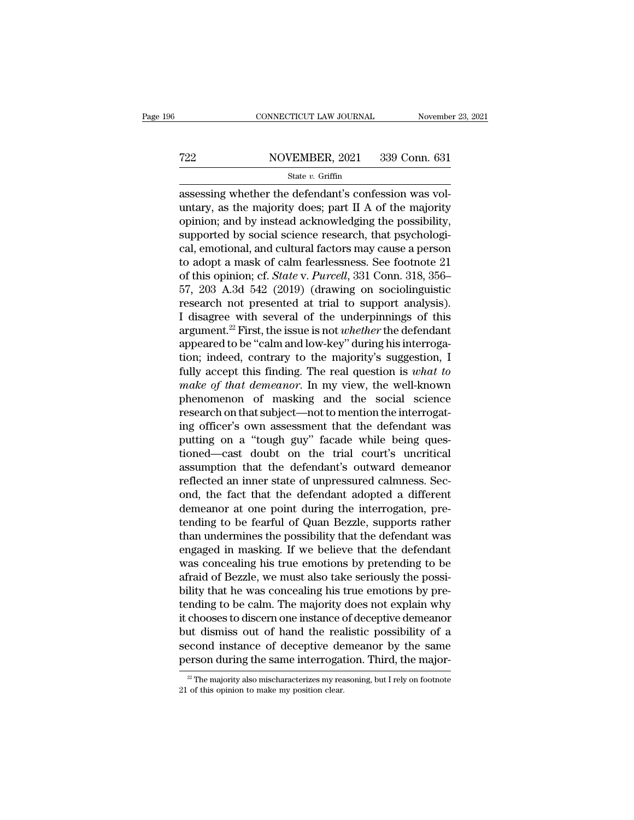# EXECUTE CONNECTICUT LAW JOURNAL Movember 23, 2021<br>
722 NOVEMBER, 2021 339 Conn. 631<br>
81 State v. Griffin

### State *v.* Griffin

CONNECTICUT LAW JOURNAL November<br>
T22 NOVEMBER, 2021 339 Conn. 631<br>
State v. Griffin<br>
assessing whether the defendant's confession was vol-<br>
untary, as the majority does; part II A of the majority<br>
opinion and by instead a T22 NOVEMBER, 2021 339 Conn. 631<br>
State v. Griffin<br>
assessing whether the defendant's confession was voluntary, as the majority does; part II A of the majority<br>
opinion; and by instead acknowledging the possibility,<br>
supp T22 NOVEMBER, 2021 339 Conn. 631<br>
State v. Griffin<br>
assessing whether the defendant's confession was voluntary, as the majority does; part II A of the majority<br>
opinion; and by instead acknowledging the possibility,<br>
supp For all the supported by social science research, that psychonic same assessing whether the defendant's confession was voluntary, as the majority does; part II A of the majority opinion; and by instead acknowledging the p State *v*. Griffin<br>
assessing whether the defendant's confession was voluntary, as the majority does; part II A of the majority<br>
opinion; and by instead acknowledging the possibility,<br>
supported by social science research state v. Grillin and confession was voluntary, as the majority does; part II A of the majority<br>opinion; and by instead acknowledging the possibility,<br>supported by social science research, that psychologi-<br>cal, emotional, assessing whether the defendant's confession was voluntary, as the majority does; part II A of the majority<br>opinion; and by instead acknowledging the possibility,<br>supported by social science research, that psychologi-<br>cal, untary, as the majority does; part II A of the majority<br>opinion; and by instead acknowledging the possibility,<br>supported by social science research, that psychologi-<br>cal, emotional, and cultural factors may cause a person<br> opinion; and by instead acknowledging the possibility,<br>supported by social science research, that psychologi-<br>cal, emotional, and cultural factors may cause a person<br>to adopt a mask of calm fearlessness. See footnote 21<br>o supported by social science research, that psychological, emotional, and cultural factors may cause a person<br>to adopt a mask of calm fearlessness. See footnote 21<br>of this opinion; cf. *State* v. *Purcell*, 331 Conn. 318, 3 cal, emotional, and cultural factors may cause a person<br>to adopt a mask of calm fearlessness. See footnote 21<br>of this opinion; cf. *State* v. *Purcell*, 331 Conn. 318, 356–<br>57, 203 A.3d 542 (2019) (drawing on sociolinguist to adopt a mask of calm fearlessness. See footnote 21<br>of this opinion; cf. *State* v. *Purcell*, 331 Conn. 318, 356–<br>57, 203 A.3d 542 (2019) (drawing on sociolinguistic<br>research not presented at trial to support analysis) of this opinion; cf. *State* v. *Purcell*, 331 Conn. 318, 356–57, 203 A.3d 542 (2019) (drawing on sociolinguistic research not presented at trial to support analysis). I disagree with several of the underpinnings of this 57, 203 A.3d 542 (2019) (drawing on sociolinguistic<br>research not presented at trial to support analysis).<br>I disagree with several of the underpinnings of this<br>argument.<sup>22</sup> First, the issue is not *whether* the defendant<br> research not presented at trial to support analysis).<br>I disagree with several of the underpinnings of this<br>argument.<sup>22</sup> First, the issue is not *whether* the defendant<br>appeared to be "calm and low-key" during his interrog I disagree with several of the underpinnings of this<br>argument.<sup>22</sup> First, the issue is not *whether* the defendant<br>appeared to be "calm and low-key" during his interroga-<br>tion; indeed, contrary to the majority's suggestio argument.<sup>22</sup> First, the issue is not *whether* the defendant appeared to be "calm and low-key" during his interrogation; indeed, contrary to the majority's suggestion, I fully accept this finding. The real question is *wh* appeared to be "calm and low-key" during his interrogation; indeed, contrary to the majority's suggestion, I<br>fully accept this finding. The real question is *what to*<br>make of that demeanor. In my view, the well-known<br>pheno tion; indeed, contrary to the majority's suggestion, I<br>fully accept this finding. The real question is *what to*<br>make of that demeanor. In my view, the well-known<br>phenomenon of masking and the social science<br>research on th fully accept this finding. The real question is *what to*<br>make of that demeanor. In my view, the well-known<br>phenomenon of masking and the social science<br>research on that subject—not to mention the interrogat-<br>ing officer's make of that demeanor. In my view, the well-known<br>phenomenon of masking and the social science<br>research on that subject—not to mention the interrogat-<br>ing officer's own assessment that the defendant was<br>putting on a "tough phenomenon of masking and the social science<br>research on that subject—not to mention the interrogat-<br>ing officer's own assessment that the defendant was<br>putting on a "tough guy" facade while being ques-<br>tioned—cast doubt o research on that subject—not to mention the interrogating officer's own assessment that the defendant was<br>putting on a "tough guy" facade while being questioned—cast doubt on the trial court's uncritical<br>assumption that th ing officer's own assessment that the defendant was<br>putting on a "tough guy" facade while being ques-<br>tioned—cast doubt on the trial court's uncritical<br>assumption that the defendant's outward demeanor<br>reflected an inner st putting on a "tough guy" facade while being questioned—cast doubt on the trial court's uncritical assumption that the defendant's outward demeanor reflected an inner state of unpressured calmness. Second, the fact that the tioned—cast doubt on the trial court's uncritical<br>assumption that the defendant's outward demeanor<br>reflected an inner state of unpressured calmness. Sec-<br>ond, the fact that the defendant adopted a different<br>demeanor at one assumption that the defendant's outward demeanor<br>reflected an inner state of unpressured calmness. Sec-<br>ond, the fact that the defendant adopted a different<br>demeanor at one point during the interrogation, pre-<br>tending to b reflected an inner state of unpressured calmness. Sec-<br>ond, the fact that the defendant adopted a different<br>demeanor at one point during the interrogation, pre-<br>tending to be fearful of Quan Bezzle, supports rather<br>than un ond, the fact that the defendant adopted a different<br>demeanor at one point during the interrogation, pre-<br>tending to be fearful of Quan Bezzle, supports rather<br>than undermines the possibility that the defendant was<br>engaged demeanor at one point during the interrogation, pre-<br>tending to be fearful of Quan Bezzle, supports rather<br>than undermines the possibility that the defendant was<br>engaged in masking. If we believe that the defendant<br>was con tending to be fearful of Quan Bezzle, supports rather<br>than undermines the possibility that the defendant was<br>engaged in masking. If we believe that the defendant<br>was concealing his true emotions by pretending to be<br>afraid than undermines the possibility that the defendant was<br>engaged in masking. If we believe that the defendant<br>was concealing his true emotions by pretending to be<br>afraid of Bezzle, we must also take seriously the possi-<br>bili engaged in masking. If we believe that the defendant<br>was concealing his true emotions by pretending to be<br>afraid of Bezzle, we must also take seriously the possi-<br>bility that he was concealing his true emotions by pre-<br>ten was concealing his true emotions by pretending to be afraid of Bezzle, we must also take seriously the possibility that he was concealing his true emotions by pretending to be calm. The majority does not explain why it cho afraid of Bezzle, we must also take seriously the possibility that he was concealing his true emotions by pretending to be calm. The majority does not explain why it chooses to discern one instance of deceptive demeanor b it chooses to discern one instance of deceptive demeanor<br>but dismiss out of hand the realistic possibility of a<br>second instance of deceptive demeanor by the same<br>person during the same interrogation. Third, the major-<br> $\frac$ person during the same interrogation. Third, the major-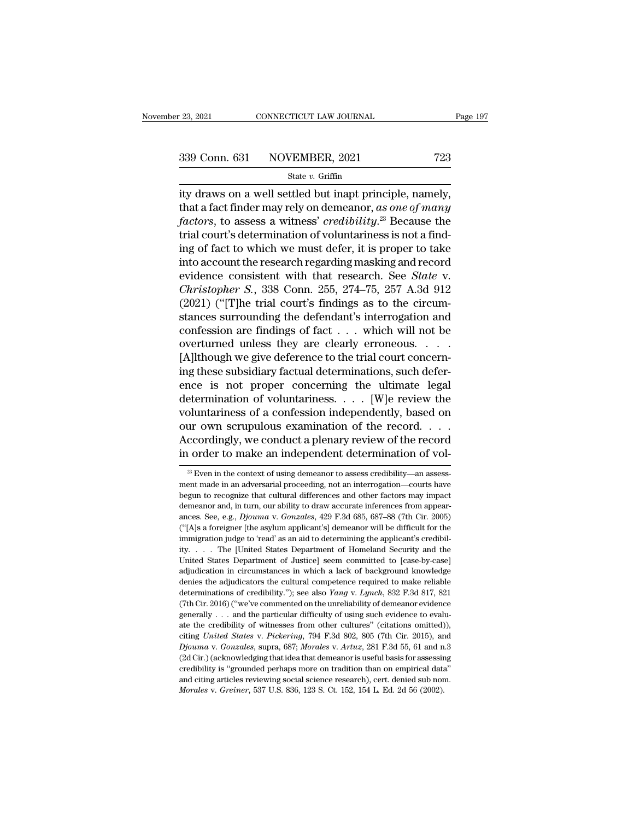<sup>23, 2021</sup> CONNECTICUT LAW JOURNAL Page<br>
339 Conn. 631 NOVEMBER, 2021 723<br>
<sup>23</sup> State *v*. Griffin<br>
ity draws on a well settled but inapt principle, namely,<br>
that a fact finder may rely on demeanor, *as one of many*<br>
fact 339 Conn. 631 NOVEMBER, 2021 723<br>State v. Griffin<br>ity draws on a well settled but inapt principle, namely,<br>that a fact finder may rely on demeanor, *as one of many*<br>factors, to assess a witness' credibility.<sup>23</sup> Because th **factors** 339 Conn. 631 NOVEMBER, 2021 723<br> **factors** *factors* on a well settled but inapt principle, namely,<br>
that a fact finder may rely on demeanor, as one of many<br> *factors*, to assess a witness' *credibility*.<sup>23</sup> B 339 Conn. 631 NOVEMBER, 2021 723<br>
State v. Griffin<br>
ity draws on a well settled but inapt principle, namely,<br>
that a fact finder may rely on demeanor, as one of many<br>
factors, to assess a witness' credibility.<sup>23</sup> Because State v. Griffin<br>ity draws on a well settled but inapt principle, namely,<br>that a fact finder may rely on demeanor, as one of many<br>factors, to assess a witness' credibility.<sup>23</sup> Because the<br>trial court's determination of v state *v*. Grillin<br>ity draws on a well settled but inapt principle, namely,<br>that a fact finder may rely on demeanor, as one of many<br>factors, to assess a witness' credibility.<sup>23</sup> Because the<br>trial court's determination of ity draws on a well settled but inapt principle, namely,<br>that a fact finder may rely on demeanor, as one of many<br>factors, to assess a witness' credibility.<sup>23</sup> Because the<br>trial court's determination of voluntariness is no that a fact finder may rely on demeanor, *as one of many*<br>*factors*, to assess a witness' *credibility*.<sup>23</sup> Because the<br>trial court's determination of voluntariness is not a find-<br>ing of fact to which we must defer, it is factors, to assess a witness' credibility.<sup>23</sup> Because the<br>trial court's determination of voluntariness is not a find-<br>ing of fact to which we must defer, it is proper to take<br>into account the research regarding masking a trial court's determination of voluntariness is not a find-<br>ing of fact to which we must defer, it is proper to take<br>into account the research regarding masking and record<br>evidence consistent with that research. See *Stat* ing of fact to which we must defer, it is proper to take<br>into account the research regarding masking and record<br>evidence consistent with that research. See *State* v.<br>*Christopher S.*, 338 Conn. 255, 274–75, 257 A.3d 912<br> into account the research regarding masking and record<br>evidence consistent with that research. See *State* v.<br>*Christopher S.*, 338 Conn. 255, 274–75, 257 A.3d 912<br>(2021) ("[T]he trial court's findings as to the circum-<br>s evidence consistent with that research. See *State* v.<br>Christopher S., 338 Conn. 255, 274–75, 257 A.3d 912<br>(2021) ("[T]he trial court's findings as to the circum-<br>stances surrounding the defendant's interrogation and<br>confe Christopher S., 338 Conn. 255, 274–75, 257 A.3d 912 (2021) ("[T]he trial court's findings as to the circumstances surrounding the defendant's interrogation and confession are findings of fact  $\dots$  which will not be overtu (2021) ("[T]he trial court's findings as to the circum-<br>stances surrounding the defendant's interrogation and<br>confession are findings of fact  $\dots$  which will not be<br>overturned unless they are clearly erroneous.  $\dots$ <br>[A]lt stances surrounding the defendant's interrogation and<br>confession are findings of fact . . . which will not be<br>overturned unless they are clearly erroneous. . . .<br>[A]lthough we give deference to the trial court concern-<br>in confession are findings of fact  $\dots$  which will not be<br>overturned unless they are clearly erroneous.  $\dots$ <br>[A]lthough we give deference to the trial court concern-<br>ing these subsidiary factual determinations, such defer-<br>e our own scrupulous examination of the record. . . . [A]lthough we give deference to the trial court concerning these subsidiary factual determinations, such deference is not proper concerning the ultimate legal determination of voluntariness. . . . [W]e review the voluntari ing these subsidiary factual determinations, such deference is not proper concerning the ultimate legal determination of voluntariness  $\ldots$ . [W]e review the voluntariness of a confession independently, based on our own s Diuntariness or a conression independently, based on<br>ur own scrupulous examination of the record. . . .<br>ccordingly, we conduct a plenary review of the record<br>order to make an independent determination of vol-<br> $\frac{23}{2}$  E our own scrupulous examination of the record. . . . . Accordingly, we conduct a plenary review of the record<br>in order to make an independent determination of vol-<br> $\frac{1}{2}$  Even in the context of using demeanor to assess

Accordingly, we conduct a plenary review of the record<br>in order to make an independent determination of vol-<br> $\frac{1}{100}$ <br> $\frac{1}{100}$  Even in the context of using demeanor to assess credibility—an assessment made in an adv in order to make an independent determination of vol-<br>
<sup>23</sup> Even in the context of using demeanor to assess credibility—an assessment made in an adversarial proceeding, not an interrogation—courts have begun to recognize ances. See, e.g., *Djouma* v. *Gonzales*, 429 F.3d 685, 687–88 (7th Cir. 2005)<br>
(4th Sa foreigner that cultural differences and other factors may impact<br>
demeanor and, in turn, our ability to draw accurate inferences from <sup>23</sup> Even in the context of using demeanor to assess credibility—an assessment made in an adversarial proceeding, not an interrogation—courts have begun to recognize that cultural differences and other factors may impact ment made in an adversarial proceeding, not an interrogation—courts have<br>begun to recognize that cultural differences and other factors may impact<br>demeanor and, in turn, our ability to draw accurate inferences from appear ity. . . . The [United States Department of Homeland Security and the Demeanor and, in turn, our ability to draw accurate inferences from appearances. See, e.g.,  $Djouma$  v. Gonzales, 429 F.3d 685, 687–88 (7th Cir. 2005) ("[A]s a foreigner [the asylum applicant's] demeanor will be difficult f ances. See, e.g., *Djouma* v. *Gonzales*, 429 F.3d 685, 687–88 (7th Cir. 2005)<br>ances. See, e.g., *Djouma* v. *Gonzales*, 429 F.3d 685, 687–88 (7th Cir. 2005)<br>("[A]s a foreigner [the asylum applicant's] demeanor will be di ("[A]s a foreigner [the asylum applicant's] demeanor will be difficult for the immigration judge to 'read' as an aid to determining the applicant's credibility. . . . The [United States Department of Homeland Security and immigration judge to 'read' as an aid to determining the applicant's credibility.<br>
ity. . . . The [United States Department of Homeland Security and the United States Department of Justice] seem committed to [case-by-case] th Cir. 2016) ("We've commented on the unreliability of using Such the United States Department of Justice] seem committed to [case-by-case] adjudication in circumstances in which a lack of background knowledge denies the United States Department of Justice] seem committed to [case-by-case] adjudication in circumstances in which a lack of background knowledge denies the adjudicators the cultural competence required to make reliable determi adjudication in circumstances in which a lack of background knowledge denies the adjudicators the cultural competence required to make reliable determinations of credibility."); see also *Yang* v. *Lynch*, 832 F.3d 817, 8 denies the adjudicators the cultural competence required to make reliable determinations of credibility."); see also *Yang* v. *Lynch*, 832 F.3d 817, 821 (7th Cir. 2016) ("we've commented on the unreliability of demeanor e determinations of credibility."); see also *Yang* v. *Lynch*, 832 F.3d 817, 821 (7th Cir. 2016) ("we've commented on the unreliability of demeanor evidence generally . . . and the particular difficulty of using such eviden (7th Cir. 2016) "we've commented on the unreliability of demeanor evidence generally . . . and the particular difficulty of using such evidence to evaluate the credibility of witnesses from other cultures" (citations omit (7th Cir. 2016) ("we've commented on the unreliability of demeanor evidence generally . . . and the particular difficulty of using such evidence to evaluate the credibility of witnesses from other cultures" (citations omi and citing articles reviewing social science research) of witnesses from other cultures" (citations omitted)), citing *United States v. Pickering*, 794 F.3d 802, 805 (7th Cir. 2015), and *Djouma v. Gonzales*, supra, 687; citing *United States v. Pickering*, 794 F.3d 802, 805 (7th Cir. 2015), are *Djouma v. Gonzales*, supra, 687; *Morales v. Artuz*, 281 F.3d 55, 61 and n (2d Cir.) (acknowledging that idea that demeanor is useful basis for a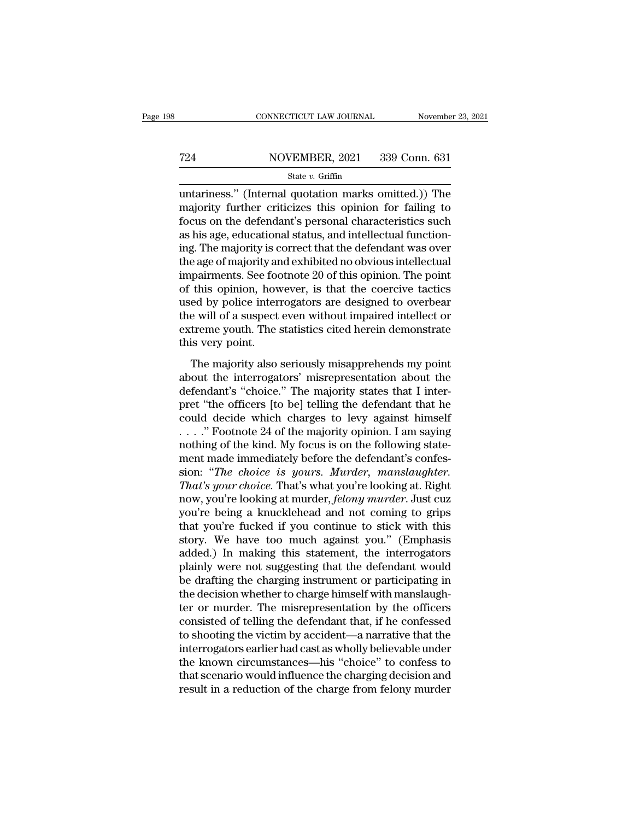# EXECUTE CONNECTICUT LAW JOURNAL Movember 23, 2021<br>
724 NOVEMBER, 2021 339 Conn. 631<br>
81 State v. Griffin

### State *v.* Griffin

CONNECTICUT LAW JOURNAL November 23, 2021<br>
T24 NOVEMBER, 2021 339 Conn. 631<br>
State v. Griffin<br>
untariness.'' (Internal quotation marks omitted.)) The<br>
majority further criticizes this opinion for failing to<br>
focus on the d majority further criticizes this opinion for failing to<br>
state  $v$ . Griffin<br>
untariness." (Internal quotation marks omitted.)) The<br>
majority further criticizes this opinion for failing to<br>
focus on the defendant's persona For the defendant's personal characteristics such as his age, educational status, and intellectual functions are defendant's personal characteristics such as his age, educational status, and intellectual function-T24 NOVEMBER, 2021 339 Conn. 631<br>
State v. Griffin<br>
untariness." (Internal quotation marks omitted.)) The<br>
majority further criticizes this opinion for failing to<br>
focus on the defendant's personal characteristics such<br>
a State v. Griffin<br>
untariness." (Internal quotation marks omitted.)) The<br>
majority further criticizes this opinion for failing to<br>
focus on the defendant's personal characteristics such<br>
as his age, educational status, and state v. Griffin<br>
untariness." (Internal quotation marks omitted.)) The<br>
majority further criticizes this opinion for failing to<br>
focus on the defendant's personal characteristics such<br>
as his age, educational status, and untariness." (Internal quotation marks omitted.)) The<br>majority further criticizes this opinion for failing to<br>focus on the defendant's personal characteristics such<br>as his age, educational status, and intellectual function majority further criticizes this opinion for failing to<br>focus on the defendant's personal characteristics such<br>as his age, educational status, and intellectual function-<br>ing. The majority is correct that the defendant was focus on the defendant's personal characteristics such<br>as his age, educational status, and intellectual function-<br>ing. The majority is correct that the defendant was over<br>the age of majority and exhibited no obvious intell as his age, educational status, and intellectual function-<br>ing. The majority is correct that the defendant was over<br>the age of majority and exhibited no obvious intellectual<br>impairments. See footnote 20 of this opinion. Th ing. The majority is correct that the defendant was over<br>the age of majority and exhibited no obvious intellectual<br>impairments. See footnote 20 of this opinion. The point<br>of this opinion, however, is that the coercive tact the age of majority are<br>impairments. See foot<br>of this opinion, how<br>used by police inter.<br>the will of a suspect<br>extreme youth. The :<br>this very point.<br>The majority also The majority also seriously misapprehends my point<br>this opinion, however, is that the coercive tactics<br>ed by police interrogators are designed to overbear<br>e will of a suspect even without impaired intellect or<br>treme youth. and by police interrogators are designed to overbear<br>the will of a suspect even without impaired intellect or<br>extreme youth. The statistics cited herein demonstrate<br>this very point.<br>The majority also seriously misapprehend

defendant of a suspect even without impaired intellect or<br>
extreme youth. The statistics cited herein demonstrate<br>
this very point.<br>
The majority also seriously misapprehends my point<br>
about the interrogators' misrepresent extreme youth. The statistics cited herein demonstrate<br>this very point.<br>The majority also seriously misapprehends my point<br>about the interrogators' misrepresentation about the<br>defendant's "choice." The majority states that this very point. The statistics checa herein demonstrate<br>this very point.<br>The majority also seriously misapprehends my point<br>about the interrogators' misrepresentation about the<br>defendant's "choice." The majority states t The majority also seriously misapprehends my point<br>about the interrogators' misrepresentation about the<br>defendant's "choice." The majority states that I inter-<br>pret "the officers [to be] telling the defendant that he<br>coul The majority also seriously misapprehends my point<br>about the interrogators' misrepresentation about the<br>defendant's "choice." The majority states that I inter-<br>pret "the officers [to be] telling the defendant that he<br>coul about the interrogators' misrepresentation about the<br>defendant's "choice." The majority states that I inter-<br>pret "the officers [to be] telling the defendant that he<br>could decide which charges to levy against himself<br> $\ldots$ defendant's "choice." The majority states that I inter-<br>pret "the officers [to be] telling the defendant that he<br>could decide which charges to levy against himself<br>...." Footnote 24 of the majority opinion. I am saying<br>not pret "the officers [to be] telling the defendant that he could decide which charges to levy against himself . . . . . " Footnote 24 of the majority opinion. I am saying nothing of the kind. My focus is on the following sta could decide which charges to levy against himself<br>
...." Footnote 24 of the majority opinion. I am saying<br>
nothing of the kind. My focus is on the following state-<br>
ment made immediately before the defendant's confes-<br>
si ...." Footnote 24 of the majority opinion. I am saying<br>nothing of the kind. My focus is on the following state-<br>ment made immediately before the defendant's confes-<br>sion: "*The choice is yours. Murder*, *manslaughter.*<br>*T* nothing of the kind. My focus is on the following statement made immediately before the defendant's confession: "The choice is yours. Murder, manslaughter.<br>That's your choice. That's what you're looking at. Right<br>now, you' ment made immediately before the defendant's confession: "*The choice is yours. Murder, manslaughter.*<br>That's your choice. That's what you're looking at. Right<br>now, you're looking at murder, *felony murder*. Just cuz<br>you'r sion: "The choice is yours. Murder, manslaughter.<br>That's your choice. That's what you're looking at. Right<br>now, you're looking at murder, felony murder. Just cuz<br>you're being a knucklehead and not coming to grips<br>that you' That's your choice. That's what you're looking at. Right<br>now, you're looking at murder, *felony murder*. Just cuz<br>you're being a knucklehead and not coming to grips<br>that you're fucked if you continue to stick with this<br>sto now, you're looking at murder, *felony murder*. Just cuz<br>you're being a knucklehead and not coming to grips<br>that you're fucked if you continue to stick with this<br>story. We have too much against you." (Emphasis<br>added.) In m you're being a knucklehead and not coming to grips<br>that you're fucked if you continue to stick with this<br>story. We have too much against you." (Emphasis<br>added.) In making this statement, the interrogators<br>plainly were not that you're fucked if you continue to stick with this<br>story. We have too much against you." (Emphasis<br>added.) In making this statement, the interrogators<br>plainly were not suggesting that the defendant would<br>be drafting the story. We have too much against you." (Emphasis<br>added.) In making this statement, the interrogators<br>plainly were not suggesting that the defendant would<br>be drafting the charging instrument or participating in<br>the decision added.) In making this statement, the interrogators<br>plainly were not suggesting that the defendant would<br>be drafting the charging instrument or participating in<br>the decision whether to charge himself with manslaugh-<br>ter or plainly were not suggesting that the defendant would<br>be drafting the charging instrument or participating in<br>the decision whether to charge himself with manslaugh-<br>ter or murder. The misrepresentation by the officers<br>consi be drafting the charging instrument or participating in<br>the decision whether to charge himself with manslaugh-<br>ter or murder. The misrepresentation by the officers<br>consisted of telling the defendant that, if he confessed<br>t the decision whether to charge himself with manslaughter or murder. The misrepresentation by the officers consisted of telling the defendant that, if he confessed to shooting the victim by accident—a narrative that the int ter or murder. The misrepresentation by the officers<br>consisted of telling the defendant that, if he confessed<br>to shooting the victim by accident—a narrative that the<br>interrogators earlier had cast as wholly believable unde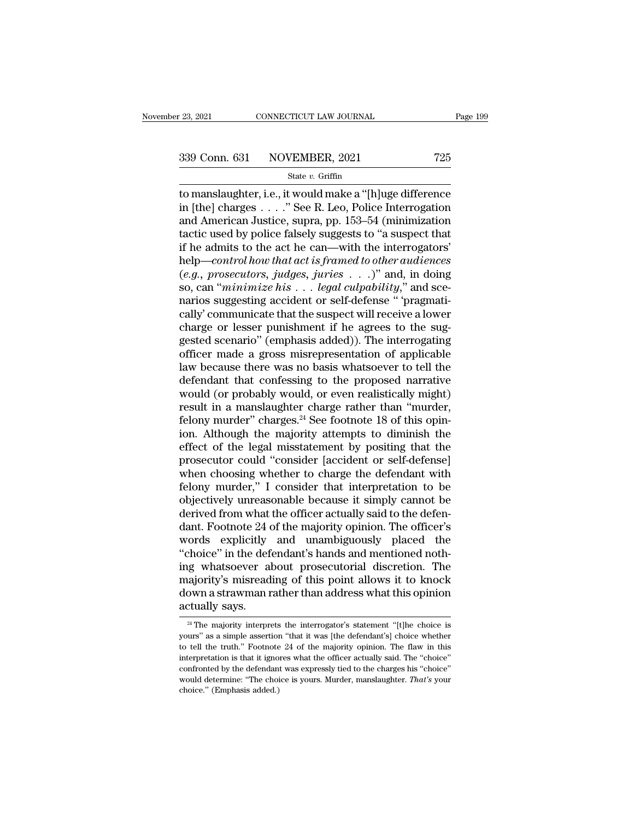# 23, 2021 CONNECTICUT LAW JOURNAL Page 199<br>339 Conn. 631 NOVEMBER, 2021 725<br>State v. Griffin

### State *v.* Griffin

<sup>23, 2021</sup> CONNECTICUT LAW JOURNAL Page 199<br>
339 Conn. 631 NOVEMBER, 2021 725<br>
<sup>State v. Griffin<br>
to manslaughter, i.e., it would make a "[h]uge difference<br>
in [the] charges . . . . " See R. Leo, Police Interrogation<br>
and</sup> 339 Conn. 631 NOVEMBER, 2021 725<br>
state v. Griffin<br>
to manslaughter, i.e., it would make a "[h]uge difference<br>
in [the] charges . . . . " See R. Leo, Police Interrogation<br>
and American Justice, supra, pp. 153–54 (minimiza 339 Conn. 631 NOVEMBER, 2021 725<br>
State v. Griffin<br>
to manslaughter, i.e., it would make a "[h]uge difference<br>
in [the] charges . . . . " See R. Leo, Police Interrogation<br>
and American Justice, supra, pp. 153–54 (minimiza 339 Conn. 631 NOVEMBER, 2021 725<br>
State v. Griffin<br>
to manslaughter, i.e., it would make a "[h]uge difference<br>
in [the] charges . . . . " See R. Leo, Police Interrogation<br>
and American Justice, supra, pp. 153–54 (minimiza Solution of the Chinama, 2021<br>
State v. Griffin<br>
to manslaughter, i.e., it would make a "[h]uge difference<br>
in [the] charges . . . . " See R. Leo, Police Interrogation<br>
and American Justice, supra, pp. 153–54 (minimizatio state *v*. Griffin<br>
to manslaughter, i.e., it would make a "[h]uge difference<br>
in [the] charges . . . . " See R. Leo, Police Interrogation<br>
and American Justice, supra, pp. 153–54 (minimization<br>
tactic used by police false to manslaughter, i.e., it would make a "[h]uge difference<br>in [the] charges . . . . " See R. Leo, Police Interrogation<br>and American Justice, supra, pp. 153–54 (minimization<br>tactic used by police falsely suggests to "a suspe in [the] charges . . . . " See R. Leo, Police Interrogation<br>and American Justice, supra, pp. 153–54 (minimization<br>tactic used by police falsely suggests to "a suspect that<br>if he admits to the act he can—with the interrogat and American Justice, supra, pp. 153–54 (minimization tactic used by police falsely suggests to "a suspect that if he admits to the act he can—with the interrogators' help—*control how that act is framed to other audience* tactic used by police falsely suggests to "a suspect that<br>if he admits to the act he can—with the interrogators'<br>help—*control how that act is framed to other audiences*<br> $(e.g.,\,process, \,judges, \,juries \dots)$ " and, in doing<br>so, can "*mi* if he admits to the act he can—with the interrogators'<br>help—*control how that act is framed to other audiences*<br> $(e.g.,\,process, \,judes, \,juries \dots )"$  and, in doing<br>so, can "*minimize his*  $\dots$  *legal culpability*," and sce-<br>narios sugg help—control how that act is framed to other audiences<br>(e.g., prosecutors, judges, juries  $\ldots$ )" and, in doing<br>so, can "minimize his  $\ldots$  legal culpability," and sce-<br>narios suggesting accident or self-defense "'pragmat (e.g., prosecutors, judges, juries  $\ldots$ )" and, in doing<br>so, can "minimize his  $\ldots$  legal culpability," and sce-<br>narios suggesting accident or self-defense " 'pragmati-<br>cally' communicate that the suspect will receive a so, can "*minimize his*  $\ldots$  *legal culpability*," and scenarios suggesting accident or self-defense " 'pragmatically' communicate that the suspect will receive a lower charge or lesser punishment if he agrees to the sug narios suggesting accident or self-defense "'pragmatically' communicate that the suspect will receive a lower<br>charge or lesser punishment if he agrees to the suggested scenario" (emphasis added)). The interrogating<br>officer cally' communicate that the suspect will receive a lower<br>charge or lesser punishment if he agrees to the sug-<br>gested scenario" (emphasis added)). The interrogating<br>officer made a gross misrepresentation of applicable<br>law b charge or lesser punishment if he agrees to the suggested scenario" (emphasis added)). The interrogating<br>officer made a gross misrepresentation of applicable<br>law because there was no basis whatsoever to tell the<br>defendant gested scenario" (emphasis added)). The interrogating<br>officer made a gross misrepresentation of applicable<br>law because there was no basis whatsoever to tell the<br>defendant that confessing to the proposed narrative<br>would (or officer made a gross misrepresentation of applicable<br>law because there was no basis whatsoever to tell the<br>defendant that confessing to the proposed narrative<br>would (or probably would, or even realistically might)<br>result i law because there was no basis whatsoever to tell the<br>defendant that confessing to the proposed narrative<br>would (or probably would, or even realistically might)<br>result in a manslaughter charge rather than "murder,<br>felony m defendant that confessing to the proposed narrative<br>would (or probably would, or even realistically might)<br>result in a manslaughter charge rather than "murder,<br>felony murder" charges.<sup>24</sup> See footnote 18 of this opin-<br>ion. would (or probably would, or even realistically might)<br>result in a manslaughter charge rather than "murder,<br>felony murder" charges.<sup>24</sup> See footnote 18 of this opin-<br>ion. Although the majority attempts to diminish the<br>effe result in a manslaughter charge rather than "murder,<br>felony murder" charges.<sup>24</sup> See footnote 18 of this opin-<br>ion. Although the majority attempts to diminish the<br>effect of the legal misstatement by positing that the<br>prose felony murder" charges.<sup>24</sup> See footnote 18 of this opin-<br>ion. Although the majority attempts to diminish the<br>effect of the legal misstatement by positing that the<br>prosecutor could "consider [accident or self-defense]<br>whe ion. Although the majority attempts to diminish the effect of the legal misstatement by positing that the prosecutor could "consider [accident or self-defense] when choosing whether to charge the defendant with felony murd effect of the legal misstatement by positing that the<br>prosecutor could "consider [accident or self-defense]<br>when choosing whether to charge the defendant with<br>felony murder," I consider that interpretation to be<br>objectivel prosecutor could "consider [accident or self-defense]<br>when choosing whether to charge the defendant with<br>felony murder," I consider that interpretation to be<br>objectively unreasonable because it simply cannot be<br>derived fro when choosing whether to charge the defendant with<br>felony murder," I consider that interpretation to be<br>objectively unreasonable because it simply cannot be<br>derived from what the officer actually said to the defen-<br>dant. F felony murder," I consider that interpretation to be<br>objectively unreasonable because it simply cannot be<br>derived from what the officer actually said to the defen-<br>dant. Footnote 24 of the majority opinion. The officer's<br>w objectively unreasonable because it simply cannot be<br>derived from what the officer actually said to the defen-<br>dant. Footnote 24 of the majority opinion. The officer's<br>words explicitly and unambiguously placed the<br>"choice" derived from what the officer actually said to the defen-<br>dant. Footnote 24 of the majority opinion. The officer's<br>words explicitly and unambiguously placed the<br>"choice" in the defendant's hands and mentioned noth-<br>ing wha dant. Footnote 24 d<br>words explicitly<br>"choice" in the def<br>ing whatsoever al<br>majority's misread<br>down a strawman r<br>actually says. g whatsoever about prosecutorial discretion. The<br>ajority's misreading of this point allows it to knock<br>own a strawman rather than address what this opinion<br>tually says.<br><sup>24</sup> The majority interprets the interrogator's state majority's misreading of this point allows it to knock<br>down a strawman rather than address what this opinion<br>actually says.<br> $\frac{24 \text{ The majority} }{1}$  are majority interprets the interrogator's statement "[t]he choice is<br>yours" as

down a strawman rather than address what this opinion<br>actually says.<br><sup>24</sup> The majority interprets the interrogator's statement "[t]he choice is<br>yours" as a simple assertion "that it was [the defendant's] choice whether<br>to actually says.<br>
<sup>24</sup> The majority interprets the interrogator's statement "[t]he choice is<br>
yours" as a simple assertion "that it was [the defendant's] choice whether<br>
to tell the truth." Footnote 24 of the majority opinio actually says.<br>
<sup>24</sup> The majority interprets the interrogator's statement "[t]he choice is<br>
yours" as a simple assertion "that it was [the defendant's] choice whether<br>
to tell the truth." Footnote 24 of the majority opini <sup>24</sup> The majority interprets the interrogator's statement "[t]he choice is yours" as a simple assertion "that it was [the defendant's] choice whether to tell the truth." Footnote 24 of the majority opinion. The flaw in th yours" as a simple assertion "that it was [the defendant's] choice whether to tell the truth." Footnote 24 of the majority opinion. The flaw in this interpretation is that it ignores what the officer actually said. The "c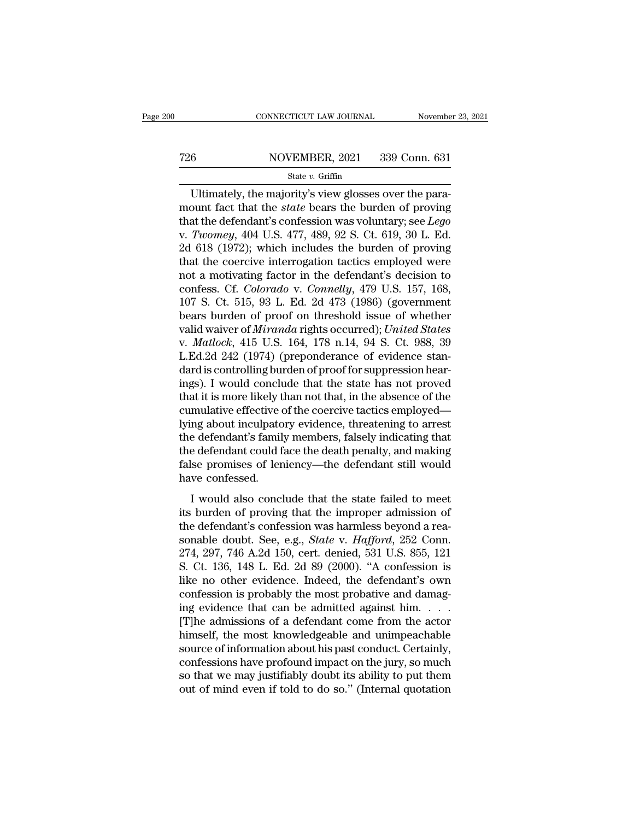# EXECUTE CONNECTICUT LAW JOURNAL Movember 23, 2021<br>
726 NOVEMBER, 2021 339 Conn. 631<br>
State v. Griffin

### State *v.* Griffin

CONNECTICUT LAW JOURNAL November<br>
6 NOVEMBER, 2021 339 Conn. 631<br>
State v. Griffin<br>
Ultimately, the majority's view glosses over the para-<br>
para-<br>
para-<br>
para-<br>
para-<br>
para-<br>
para-<br>
para-<br>
para-<br>
para-<br>
para-<br>
para-<br>
para T26 NOVEMBER, 2021 339 Conn. 631<br>
State *v*. Griffin<br>
Ultimately, the majority's view glosses over the para-<br>
mount fact that the *state* bears the burden of proving<br>
that the defendant's confession was voluntary; see *Leg* T26 NOVEMBER, 2021 339 Conn. 631<br>
State v. Griffin<br>
Ultimately, the majority's view glosses over the para-<br>
mount fact that the *state* bears the burden of proving<br>
that the defendant's confession was voluntary; see *Lego* V. 726 NOVEMBER, 2021 339 Conn. 631<br>
State *v*. Griffin<br>
Ultimately, the majority's view glosses over the para-<br>
mount fact that the *state* bears the burden of proving<br>
that the defendant's confession was voluntary; see 2022 (1972); which includes the burden of proving<br>
2022 (1978); which includes the burden of proving<br>
1978); the majority's view glosses over the para-<br>
1978); the defendant's confession was voluntary; see *Lego*<br>
1978); State v. Griffin State v. Griffin<br>
Ultimately, the majority's view glosses over the para-<br>
mount fact that the *state* bears the burden of proving<br>
that the defendant's confession was voluntary; see *Lego*<br>
v. *Twomey*, 4 Ultimately, the majority's view glosses over the para-<br>mount fact that the *state* bears the burden of proving<br>that the defendant's confession was voluntary; see *Lego*<br>v. Twomey, 404 U.S. 477, 489, 92 S. Ct. 619, 30 L. E mount fact that the *state* bears the burden of proving<br>that the defendant's confession was voluntary; see *Lego*<br>v. *Twomey*, 404 U.S. 477, 489, 92 S. Ct. 619, 30 L. Ed.<br>2d 618 (1972); which includes the burden of proving that the defendant's confession was voluntary; see *Lego* v. *Twomey*, 404 U.S. 477, 489, 92 S. Ct. 619, 30 L. Ed. 2d 618 (1972); which includes the burden of proving that the coercive interrogation tactics employed were v. Twomey, 404 U.S. 477, 489, 92 S. Ct. 619, 30 L. Ed.<br>2d 618 (1972); which includes the burden of proving<br>that the coercive interrogation tactics employed were<br>not a motivating factor in the defendant's decision to<br>confes 2d 618 (1972); which includes the burden of proving<br>that the coercive interrogation tactics employed were<br>not a motivating factor in the defendant's decision to<br>confess. Cf. *Colorado* v. *Connelly*, 479 U.S. 157, 168,<br>107 that the coercive interrogation tactics employed were<br>not a motivating factor in the defendant's decision to<br>confess. Cf. *Colorado* v. *Connelly*, 479 U.S. 157, 168,<br>107 S. Ct. 515, 93 L. Ed. 2d 473 (1986) (government<br>bea not a motivating factor in the defendant's decision to<br>confess. Cf. *Colorado* v. *Connelly*, 479 U.S. 157, 168,<br>107 S. Ct. 515, 93 L. Ed. 2d 473 (1986) (government<br>bears burden of proof on threshold issue of whether<br>valid confess. Cf. *Colorado* v. *Connelly*, 479 U.S. 157, 168, 107 S. Ct. 515, 93 L. Ed. 2d 473 (1986) (government bears burden of proof on threshold issue of whether valid waiver of *Miranda* rights occurred); *United States* 107 S. Ct. 515, 93 L. Ed. 2d 473 (1986) (government<br>bears burden of proof on threshold issue of whether<br>valid waiver of *Miranda* rights occurred); *United States*<br>v. *Matlock*, 415 U.S. 164, 178 n.14, 94 S. Ct. 988, 39<br>L bears burden of proof on threshold issue of whether<br>valid waiver of *Miranda* rights occurred); United States<br>v. *Matlock*, 415 U.S. 164, 178 n.14, 94 S. Ct. 988, 39<br>L.Ed.2d 242 (1974) (preponderance of evidence stan-<br>dard valid waiver of *Miranda* rights occurred); *United States*<br>v. *Matlock*, 415 U.S. 164, 178 n.14, 94 S. Ct. 988, 39<br>L.Ed.2d 242 (1974) (preponderance of evidence stan-<br>dard is controlling burden of proof for suppression he v. *Matlock*, 415 U.S. 164, 178 n.14, 94 S. Ct. 988, 39<br>L.Ed.2d 242 (1974) (preponderance of evidence stan-<br>dard is controlling burden of proof for suppression hear-<br>ings). I would conclude that the state has not proved<br>th L.Ed.2d 242 (1974) (preponderance of evidence stan-<br>dard is controlling burden of proof for suppression hear-<br>ings). I would conclude that the state has not proved<br>that it is more likely than not that, in the absence of th dard is controlling burden of proof for suppression hearings). I would conclude that the state has not proved<br>that it is more likely than not that, in the absence of the<br>cumulative effective of the coercive tactics employe ings). I would conclude that the state has not proved<br>that it is more likely than not that, in the absence of the<br>cumulative effective of the coercive tactics employed—<br>lying about inculpatory evidence, threatening to arre that it is more likely t<br>cumulative effective of<br>lying about inculpato<br>the defendant's famil<br>the defendant could f<br>false promises of len<br>have confessed.<br>I would also concl Indian certically of the societive dictates employed<br>in a about inculpatory evidence, threatening to arrest<br>e defendant could face the death penalty, and making<br>lse promises of leniency—the defendant still would<br>we confess is also included in the defendant's family members, falsely indicating that<br>the defendant could face the death penalty, and making<br>false promises of leniency—the defendant still would<br>have confessed.<br>I would also conclude

the defendant standing members, raisery indicating diate<br>the defendant could face the death penalty, and making<br>false promises of leniency—the defendant still would<br>have confessed.<br>I would also conclude that the state fail false promises of leniency—the defendant still would<br>have confessed.<br>I would also conclude that the state failed to meet<br>its burden of proving that the improper admission of<br>the defendant's confession was harmless beyond a Example 120 also conclude that the state failed to meet<br>its burden of proving that the improper admission of<br>the defendant's confession was harmless beyond a rea-<br>sonable doubt. See, e.g., *State v. Hafford*, 252 Conn.<br>274 I would also conclude that the state failed to meet<br>its burden of proving that the improper admission of<br>the defendant's confession was harmless beyond a rea-<br>sonable doubt. See, e.g., *State* v. *Hafford*, 252 Conn.<br>274, I would also conclude that the state failed to meet<br>its burden of proving that the improper admission of<br>the defendant's confession was harmless beyond a rea-<br>sonable doubt. See, e.g., *State* v. *Hafford*, 252 Conn.<br>274, its burden of proving that the improper admission of<br>the defendant's confession was harmless beyond a rea-<br>sonable doubt. See, e.g., *State* v. *Hafford*, 252 Conn.<br>274, 297, 746 A.2d 150, cert. denied, 531 U.S. 855, 121<br> the defendant's confession was harmless beyond a reasonable doubt. See, e.g., *State* v. *Hafford*, 252 Conn. 274, 297, 746 A.2d 150, cert. denied, 531 U.S. 855, 121 S. Ct. 136, 148 L. Ed. 2d 89 (2000). "A confession is l sonable doubt. See, e.g., *State* v. *Hafford*, 252 Conn.<br>274, 297, 746 A.2d 150, cert. denied, 531 U.S. 855, 121<br>S. Ct. 136, 148 L. Ed. 2d 89 (2000). "A confession is<br>like no other evidence. Indeed, the defendant's own<br>c 274, 297, 746 A.2d 150, cert. denied, 531 U.S. 855, 121<br>S. Ct. 136, 148 L. Ed. 2d 89 (2000). "A confession is<br>like no other evidence. Indeed, the defendant's own<br>confession is probably the most probative and damag-<br>ing evi S. Ct. 136, 148 L. Ed. 2d 89 (2000). "A confession is<br>like no other evidence. Indeed, the defendant's own<br>confession is probably the most probative and damag-<br>ing evidence that can be admitted against him. . . .<br>[T]he admi like no other evidence. Indeed, the defendant's own<br>confession is probably the most probative and damag-<br>ing evidence that can be admitted against him. . . . .<br>[T]he admissions of a defendant come from the actor<br>himself, t confession is probably the most probative and damaging evidence that can be admitted against him.  $\ldots$  [T]he admissions of a defendant come from the actor himself, the most knowledgeable and unimpeachable source of infor ing evidence that can be admitted against him. . . . . [T]he admissions of a defendant come from the actor himself, the most knowledgeable and unimpeachable source of information about his past conduct. Certainly, confessi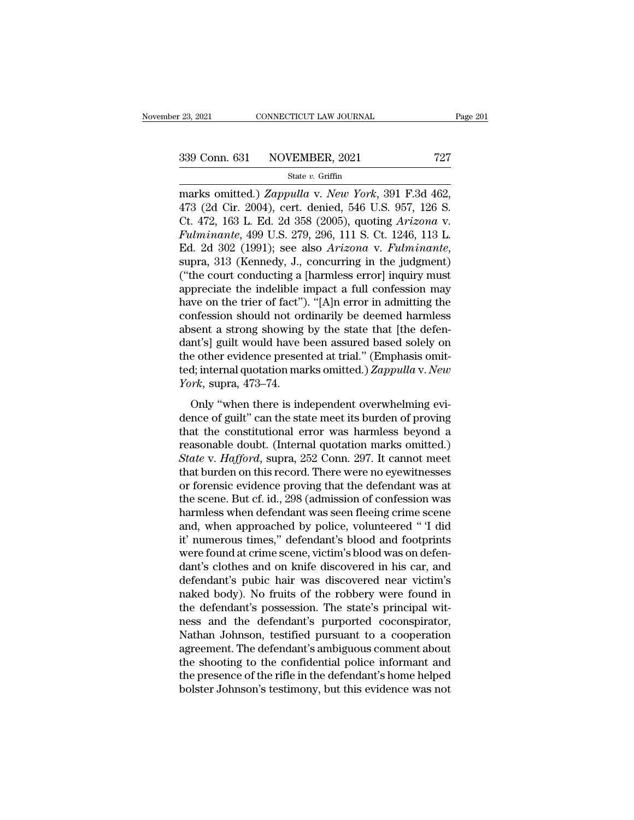Page 1<br>
23, 2021 CONNECTICUT LAW JOURNAL Page 1<br>
239 Conn. 631 NOVEMBER, 2021 727<br>
23 State v. Griffin<br>
24 State v. *New York*, 391 F.3d 462, 473 (2d Cir. 2004), cert. denied, 546 U.S. 957, 126 S.<br>
25 Ct. 472, 163 J. Ed. 2 339 Conn. 631 NOVEMBER, 2021 727<br>
State v. Griffin<br>
marks omitted.) Zappulla v. New York, 391 F.3d 462,<br>
473 (2d Cir. 2004), cert. denied, 546 U.S. 957, 126 S.<br>
Ct. 472, 163 L. Ed. 2d 358 (2005), quoting Arizona v.<br>
Fulmin 339 Conn. 631 NOVEMBER, 2021 727<br>
State v. Griffin<br>
marks omitted.) Zappulla v. New York, 391 F.3d 462,<br>
473 (2d Cir. 2004), cert. denied, 546 U.S. 957, 126 S.<br>
Ct. 472, 163 L. Ed. 2d 358 (2005), quoting *Arizona* v.<br>
Fulm **Fulminanter 313** Conn. 631 NOVEMBER, 2021 727<br> **Fulminanter 313** State v. Griffin<br> **Fulminante**, 2004), cert. denied, 546 U.S. 957, 126 S.<br>
Ct. 472, 163 L. Ed. 2d 358 (2005), quoting *Arizona* v.<br> *Fulminante*, 499 U.S. 2 Ed. 2d 302 (1991); see also *Arizona* v. *Fulminante*, suppose also *Arizona* v. *Fulminante*, 499 U.S. 279, 296, 111 S. Ct. 1246, 113 L. Ed. 2d 302 (1991); see also *Arizona* v. *Fulminante*, supra, 313 (Kennedy, J., conc marks omitted.) Zappulla v. New York, 391 F.3d 462,<br>473 (2d Cir. 2004), cert. denied, 546 U.S. 957, 126 S.<br>Ct. 472, 163 L. Ed. 2d 358 (2005), quoting Arizona v.<br>Fulminante, 499 U.S. 279, 296, 111 S. Ct. 1246, 113 L.<br>Ed. 2d 473 (2d Cir. 2004), cert. denied, 546 U.S. 957, 126 S.<br>Ct. 472, 163 L. Ed. 2d 358 (2005), quoting *Arizona* v.<br>Fulminante, 499 U.S. 279, 296, 111 S. Ct. 1246, 113 L.<br>Ed. 2d 302 (1991); see also *Arizona* v. Fulminante,<br>su Ct. 472, 163 L. Ed. 2d 358 (2005), quoting *Arizona* v.<br>Fulminante, 499 U.S. 279, 296, 111 S. Ct. 1246, 113 L.<br>Ed. 2d 302 (1991); see also *Arizona* v. Fulminante,<br>supra, 313 (Kennedy, J., concurring in the judgment)<br>("the Fulminante, 499 U.S. 279, 296, 111 S. Ct. 1246, 113 L.<br>Ed. 2d 302 (1991); see also *Arizona v. Fulminante*,<br>supra, 313 (Kennedy, J., concurring in the judgment)<br>("the court conducting a [harmless error] inquiry must<br>apprec Ed. 2d 302 (1991); see also *Arizona* v. Fulminante,<br>supra, 313 (Kennedy, J., concurring in the judgment)<br>("the court conducting a [harmless error] inquiry must<br>appreciate the indelible impact a full confession may<br>have o supra, 313 (Kennedy, J., concurring in the judgment)<br>("the court conducting a [harmless error] inquiry must<br>appreciate the indelible impact a full confession may<br>have on the trier of fact"). "[A]n error in admitting the<br>co ("the court conducting a [harmless error] inquiry must<br>appreciate the indelible impact a full confession may<br>have on the trier of fact"). "[A]n error in admitting the<br>confession should not ordinarily be deemed harmless<br>ab appreciate the indelible impact a full confession may<br>have on the trier of fact"). "[A]n error in admitting the<br>confession should not ordinarily be deemed harmless<br>absent a strong showing by the state that [the defen-<br>dant have on the trier of fact")<br>confession should not or<br>absent a strong showing<br>dant's] guilt would have l<br>the other evidence preser<br>ted; internal quotation ma<br>*York*, supra, 473–74.<br>Only "when there is ine mession should not ordinally be decided nations.<br>
Sent a strong showing by the state that [the defen-<br>
nt's] guilt would have been assured based solely on<br>
e other evidence presented at trial." (Emphasis omit-<br>
d; internal dessent a satisfy showing by are state and fare determodent's] guilt would have been assured based solely on the other evidence presented at trial." (Emphasis omitted; internal quotation marks omitted.) Zappulla v. New Yo

the other evidence presented at trial." (Emphasis omitted; internal quotation marks omitted.) Zappulla v. New<br>
York, supra, 473–74.<br>
Only "when there is independent overwhelming evidence of guilt" can the state meet its b reasonable doubt. (Internal quotation marks omitted.) *Zappulla v. New*<br> *York*, supra, 473–74.<br>
Only "when there is independent overwhelming evi-<br>
dence of guilt" can the state meet its burden of proving<br>
that the constit *State*, *Hacrica quotalism marks sindiced.) Dappedia 1.1108*<br>*York*, supra, 473–74.<br>Only "when there is independent overwhelming evidence of guilt" can the state meet its burden of proving<br>that the constitutional error Only "when there is independent overwhelming evidence of guilt" can the state meet its burden of proving<br>that the constitutional error was harmless beyond a<br>reasonable doubt. (Internal quotation marks omitted.)<br>State v. H Only "when there is independent overwhelming evidence of guilt" can the state meet its burden of proving<br>that the constitutional error was harmless beyond a<br>reasonable doubt. (Internal quotation marks omitted.)<br>State v. Ha dence of guilt" can the state meet its burden of proving<br>that the constitutional error was harmless beyond a<br>reasonable doubt. (Internal quotation marks omitted.)<br>State v. Hafford, supra, 252 Conn. 297. It cannot meet<br>that that the constitutional error was harmless beyond a<br>reasonable doubt. (Internal quotation marks omitted.)<br>State v. Hafford, supra, 252 Conn. 297. It cannot meet<br>that burden on this record. There were no eyewitnesses<br>or for reasonable doubt. (Internal quotation marks omitted.)<br> *State* v. *Hafford*, supra, 252 Conn. 297. It cannot meet<br>
that burden on this record. There were no eyewitnesses<br>
or forensic evidence proving that the defendant was State v. Hafford, supra, 252 Conn. 297. It cannot meet<br>that burden on this record. There were no eyewitnesses<br>or forensic evidence proving that the defendant was at<br>the scene. But cf. id., 298 (admission of confession was<br> that burden on this record. There were no eyewitnesses<br>or forensic evidence proving that the defendant was at<br>the scene. But cf. id., 298 (admission of confession was<br>harmless when defendant was seen fleeing crime scene<br>an or forensic evidence proving that the defendant was at<br>the scene. But cf. id., 298 (admission of confession was<br>harmless when defendant was seen fleeing crime scene<br>and, when approached by police, volunteered " I did<br>it' n the scene. But cf. id., 298 (admission of confession was harmless when defendant was seen fleeing crime scene<br>and, when approached by police, volunteered " I did<br>it' numerous times," defendant's blood and footprints<br>were f harmless when defendant was seen fleeing crime scene<br>and, when approached by police, volunteered " I did<br>it' numerous times," defendant's blood and footprints<br>were found at crime scene, victim's blood was on defen-<br>dant's and, when approached by police, volunteered "I did<br>it' numerous times," defendant's blood and footprints<br>were found at crime scene, victim's blood was on defen-<br>dant's clothes and on knife discovered in his car, and<br>defend it' numerous times," defendant's blood and footprints<br>were found at crime scene, victim's blood was on defendant's clothes and on knife discovered in his car, and<br>defendant's pubic hair was discovered near victim's<br>naked b were found at crime scene, victim's blood was on defendant's clothes and on knife discovered in his car, and defendant's pubic hair was discovered near victim's naked body). No fruits of the robbery were found in the defen dant's clothes and on knife discovered in his car, and<br>defendant's pubic hair was discovered near victim's<br>naked body). No fruits of the robbery were found in<br>the defendant's possession. The state's principal wit-<br>ness and defendant's pubic hair was discovered near victim's<br>naked body). No fruits of the robbery were found in<br>the defendant's possession. The state's principal wit-<br>ness and the defendant's purported coconspirator,<br>Nathan Johnso naked body). No fruits of the robbery were found in<br>the defendant's possession. The state's principal wit-<br>ness and the defendant's purported coconspirator,<br>Nathan Johnson, testified pursuant to a cooperation<br>agreement. Th the defendant's possession. The state's principal witness and the defendant's purported coconspirator, Nathan Johnson, testified pursuant to a cooperation agreement. The defendant's ambiguous comment about the shooting to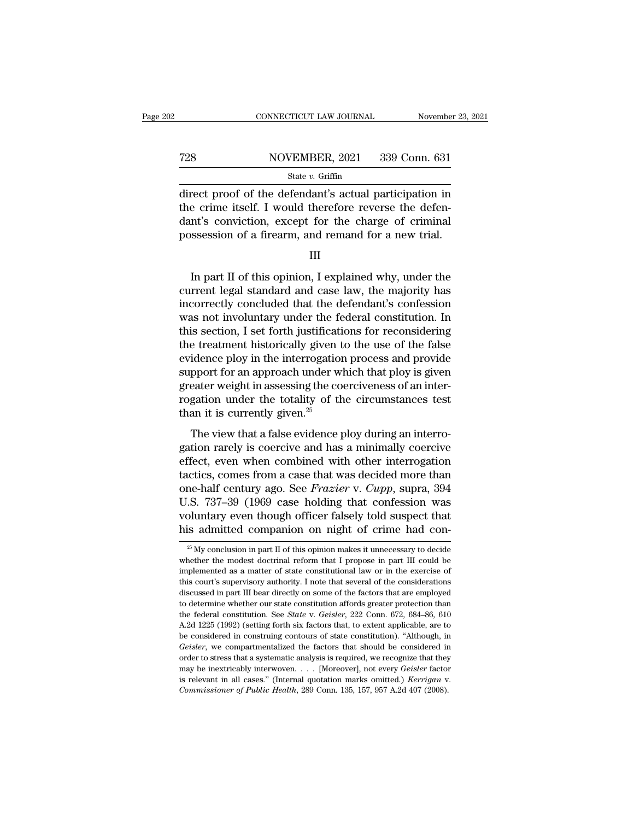### EXECUTE CONNECTICUT LAW JOURNAL Movember 23, 2021<br>
728 NOVEMBER, 2021 339 Conn. 631<br>
State v. Griffin State *v.* Griffin

 $\begin{array}{r|l}\n\hline\n\text{COMRECTICUT LAW JOURNAL} & \text{November 23, 2021}\n\hline\n\end{array}$ <br>  $\begin{array}{r}\n\text{TOVEMBER, 2021} & \text{339 Conn. 631}\n\hline\n\text{direct proof of the defendant's actual participation in}\n\hline\n\text{the crime itself. I would therefore reverse the defen-}\n\text{dant's computation, except for the charge of criminal}\n\end{array}$ T28 NOVEMBER, 2021 339 Conn. 631<br>
State v. Griffin<br>
direct proof of the defendant's actual participation in<br>
the crime itself. I would therefore reverse the defen-<br>
dant's conviction, except for the charge of criminal<br>
nos T28 NOVEMBER, 2021 339 Conn. 631<br>
State v. Griffin<br>
direct proof of the defendant's actual participation in<br>
the crime itself. I would therefore reverse the defen-<br>
dant's conviction, except for the charge of criminal<br>
po For a state v. Griffin<br>
State v. Griffin<br>
State v. Griffin<br>
direct proof of the defendant's actual participation in<br>
the crime itself. I would therefore reverse the defen-<br>
dant's conviction, except for the charge of crim rect proof of the defendant's actual participation in<br>
e crime itself. I would therefore reverse the defen-<br>
nt's conviction, except for the charge of criminal<br>
ssession of a firearm, and remand for a new trial.<br>
III<br>
In p

III

the crime itself. I would therefore reverse the defendant's conviction, except for the charge of criminal<br>possession of a firearm, and remand for a new trial.<br>III<br>III<br>In part II of this opinion, I explained why, under the<br> dant's conviction, except for the charge of criminal<br>possession of a firearm, and remand for a new trial.<br>III<br>In part II of this opinion, I explained why, under the<br>current legal standard and case law, the majority has<br>inc possession of a firearm, and remand for a new trial.<br>III<br>III<br>In part II of this opinion, I explained why, under the<br>current legal standard and case law, the majority has<br>incorrectly concluded that the defendant's confessio III<br>In part II of this opinion, I explained why, under the<br>current legal standard and case law, the majority has<br>incorrectly concluded that the defendant's confession<br>was not involuntary under the federal constitution. In<br> In part II of this opinion, I explained why, under the<br>current legal standard and case law, the majority has<br>incorrectly concluded that the defendant's confession<br>was not involuntary under the federal constitution. In<br>this In part II of this opinion, I explained why, under the<br>current legal standard and case law, the majority has<br>incorrectly concluded that the defendant's confession<br>was not involuntary under the federal constitution. In<br>this current legal standard and case law, the majority has<br>incorrectly concluded that the defendant's confession<br>was not involuntary under the federal constitution. In<br>this section, I set forth justifications for reconsidering<br> incorrectly concluded that the defendant's confession<br>was not involuntary under the federal constitution. In<br>this section, I set forth justifications for reconsidering<br>the treatment historically given to the use of the fa was not involuntary under the federal constitution. In<br>this section, I set forth justifications for reconsidering<br>the treatment historically given to the use of the false<br>evidence ploy in the interrogation process and pro this section, I set forth justificati<br>the treatment historically given t<br>evidence ploy in the interrogation<br>support for an approach under wi<br>greater weight in assessing the co<br>rogation under the totality of th<br>than it is c The view that a false evidence ploy during an interro-<br>idence ploy in the interrogation process and provide<br>pport for an approach under which that ploy is given<br>eater weight in assessing the coerciveness of an interro-<br>ga support for an approach under which that ploy is given<br>greater weight in assessing the coerciveness of an inter-<br>rogation under the totality of the circumstances test<br>than it is currently given.<sup>25</sup><br>The view that a false

greater weight in assessing the coerciveness of an inter-<br>rogation under the totality of the circumstances test<br>than it is currently given.<sup>25</sup><br>The view that a false evidence ploy during an interro-<br>gation rarely is coerc rogation under the totality of the circumstances test<br>than it is currently given.<sup>25</sup><br>The view that a false evidence ploy during an interro-<br>gation rarely is coercive and has a minimally coercive<br>effect, even when combine one-half century given.<sup>25</sup><br>The view that a false evidence ploy during an interro-<br>gation rarely is coercive and has a minimally coercive<br>effect, even when combined with other interrogation<br>tactics, comes from a case that The view that a false evidence ploy during an interro-<br>gation rarely is coercive and has a minimally coercive<br>effect, even when combined with other interrogation<br>tactics, comes from a case that was decided more than<br>one-h The view that a false evidence ploy during an interrogation rarely is coercive and has a minimally coercive effect, even when combined with other interrogation tactics, comes from a case that was decided more than one-half gation rarely is coercive and has a minimally coercive<br>effect, even when combined with other interrogation<br>tactics, comes from a case that was decided more than<br>one-half century ago. See *Frazier* v. *Cupp*, supra, 394<br>U. The-nall century ago. See *Frazier* v. *Cupp*, supra, 394<br>
2.S. 737–39 (1969 case holding that confession was<br>
bluntary even though officer falsely told suspect that<br>
is admitted companion on night of crime had con-<br>
<sup>25</sup> U.S. 737–39 (1969 case holding that confession was voluntary even though officer falsely told suspect that his admitted companion on night of crime had con-<br><sup>25</sup> My conclusion in part II of this opinion makes it unnecessa

voluntary even though officer falsely told suspect that<br>his admitted companion on night of crime had con-<br> $^{26}$ My conclusion in part II of this opinion makes it unnecessary to decide<br>whether the modest doctrinal reform t This admitted companion on night of crime had con-<br>
<sup>25</sup> My conclusion in part II of this opinion makes it unnecessary to decide<br>
whether the modest doctrinal reform that I propose in part III could be<br>
implemented as a m  $\frac{25}{3}$  My conclusion in part II of this opinion makes it unnecessary to decide whether the modest doctrinal reform that I propose in part III could be implemented as a matter of state constitutional law or in the exer <sup>25</sup> My conclusion in part II of this opinion makes it unnecessary to decide whether the modest doctrinal reform that I propose in part III could be implemented as a matter of state constitutional law or in the exercise o whether the modest doctrinal reform that I propose in part III could be implemented as a matter of state constitutional law or in the exercise of this court's supervisory authority. I note that several of the consideration implemented as a matter of state constitutional law or in the exercise of this court's supervisory authority. I note that several of the considerations discussed in part III bear directly on some of the factors that are em this court's supervisory authority. I note that several of the considerations discussed in part III bear directly on some of the factors that are employed to determine whether our state constitution affords greater protect discussed in part III bear directly on some of the factors that are employed to determine whether our state constitution affords greater protection than the federal constitution. See *State* v. *Geisler*, 222 Conn. 672, 68 to determine whether our state constitution affords greater protection than<br>the federal constitution. See *State* v. *Geisler*, 222 Conn. 672, 684–86, 610<br>A.2d 1225 (1992) (setting forth six factors that, to extent applic to determine whether our state constitution affords greater protection than<br>the federal constitution. See *State* v. *Geisler*, 222 Conn. 672, 684–86, 610<br>A.2d 1225 (1992) (setting forth six factors that, to extent applic a. 2d 1225 (1992) (setting forth six factors that, to extent applicable, are to be considered in construing contours of state constitution). "Although, in *Geisler*, we compartmentalized the factors that should be consider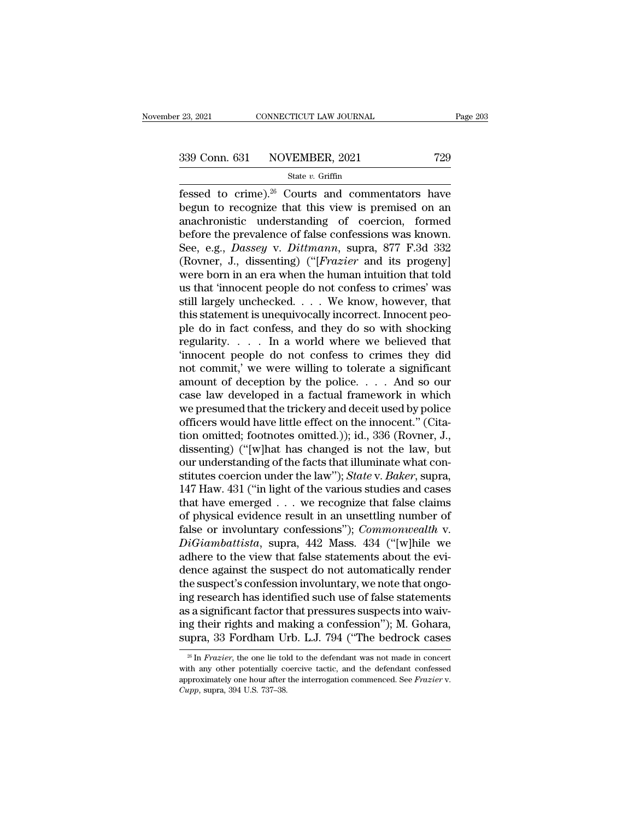Fessed to crime).<sup>26</sup> Courts and commentators have<br>
egun to recognize that this view is premised on an<br>
encoherential understanding of coording formed  $\begin{array}{r} \n 339 \text{ Conn. } 631 \quad \text{NOVEMBER, } 2021 \quad \text{729} \\
 \text{State } v. \text{ Griffith} \\
 \n \text{fessed to crime).}^{26} \text{} \text{} & \text{commentators have} \\
 \text{begin to recognize that this view is premised on an anachronistic understanding of coercion, formed before the prevalence of false confosions was known.} \n\end{array}$ 339 Conn. 631 NOVEMBER, 2021 729<br>
State v. Griffin<br>
fessed to crime).<sup>26</sup> Courts and commentators have<br>
begun to recognize that this view is premised on an<br>
anachronistic understanding of coercion, formed<br>
before the prev 339 Conn. 631 NOVEMBER, 2021 729<br>
State v. Griffin<br>
fessed to crime).<sup>26</sup> Courts and commentators have<br>
begun to recognize that this view is premised on an<br>
anachronistic understanding of coercion, formed<br>
before the prev See Collar Collar Providency, 2022<br>
State *v*. Griffin<br>
fessed to crime).<sup>26</sup> Courts and commentators have<br>
begun to recognize that this view is premised on an<br>
anachronistic understanding of coercion, formed<br>
before the p state *v*. Griftin<br>
fessed to crime).<sup>26</sup> Courts and commentators have<br>
begun to recognize that this view is premised on an<br>
anachronistic understanding of coercion, formed<br>
before the prevalence of false confessions was k fessed to crime).<sup>26</sup> Courts and commentators have<br>begun to recognize that this view is premised on an<br>anachronistic understanding of coercion, formed<br>before the prevalence of false confessions was known.<br>See, e.g., *Dass* begun to recognize that this view is premised on an anachronistic understanding of coercion, formed<br>before the prevalence of false confessions was known.<br>See, e.g., *Dassey* v. *Dittmann*, supra, 877 F.3d 332<br>(Rovner, J., anachronistic understanding of coercion, formed<br>before the prevalence of false confessions was known.<br>See, e.g., *Dassey* v. *Dittmann*, supra, 877 F.3d 332<br>(Rovner, J., dissenting) ("[*Frazier* and its progeny]<br>were born before the prevalence of false confessions was known.<br>See, e.g., *Dassey* v. *Dittmann*, supra, 877 F.3d 332<br>(Rovner, J., dissenting) ("[*Frazier* and its progeny]<br>were born in an era when the human intuition that told<br>us See, e.g., *Dassey* v. *Dittmann*, supra, 877 F.3d 332 (Rovner, J., dissenting) ("[*Frazier* and its progeny] were born in an era when the human intuition that told us that 'innocent people do not confess to crimes' was s (Rovner, J., dissenting) ("[*Frazier* and its progeny]<br>were born in an era when the human intuition that told<br>us that 'innocent people do not confess to crimes' was<br>still largely unchecked.  $\dots$  We know, however, that<br>thi were born in an era when the human intuition that told<br>us that 'innocent people do not confess to crimes' was<br>still largely unchecked. . . . We know, however, that<br>this statement is unequivocally incorrect. Innocent peo-<br> us that 'innocent people do not confess to crimes' was<br>still largely unchecked. . . . We know, however, that<br>this statement is unequivocally incorrect. Innocent peo-<br>ple do in fact confess, and they do so with shocking<br>re still largely unchecked. . . . We know, however, that<br>this statement is unequivocally incorrect. Innocent peo-<br>ple do in fact confess, and they do so with shocking<br>regularity. . . . . In a world where we believed that<br>'inn this statement is unequivocally incorrect. Innocent peo-<br>ple do in fact confess, and they do so with shocking<br>regularity. . . . . In a world where we believed that<br>"innocent people do not confess to crimes they did<br>not co ple do in fact confess, and they do so with shocking<br>regularity. . . . . In a world where we believed that<br>'innocent people do not confess to crimes they did<br>not commit,' we were willing to tolerate a significant<br>amount o regularity.  $\ldots$  In a world where we believed that<br>
"innocent people do not confess to crimes they did<br>
not commit,' we were willing to tolerate a significant<br>
amount of deception by the police.  $\ldots$  And so our<br>
case la "innocent people do not confess to crimes they did<br>not commit," we were willing to tolerate a significant<br>amount of deception by the police.... And so our<br>case law developed in a factual framework in which<br>we presumed tha not commit,' we were willing to tolerate a significant<br>amount of deception by the police. . . . And so our<br>case law developed in a factual framework in which<br>we presumed that the trickery and deceit used by police<br>officer amount of deception by the police. . . . . And so our case law developed in a factual framework in which we presumed that the trickery and deceit used by police officers would have little effect on the innocent." (Citatio case law developed in a factual framework in which<br>we presumed that the trickery and deceit used by police<br>officers would have little effect on the innocent." (Cita-<br>tion omitted; footnotes omitted.)); id., 336 (Rovner, J. we presumed that the trickery and deceit used by police<br>officers would have little effect on the innocent." (Cita-<br>tion omitted; footnotes omitted.)); id., 336 (Rovner, J.,<br>dissenting) ("[w]hat has changed is not the law, officers would have little effect on the innocent." (Citation omitted; footnotes omitted.)); id., 336 (Rovner, J., dissenting) ("[w]hat has changed is not the law, but our understanding of the facts that illuminate what c tion omitted; footnotes omitted.)); id., 336 (Rovner, J., dissenting) ("[w]hat has changed is not the law, but<br>our understanding of the facts that illuminate what con-<br>stitutes coercion under the law"); *State* v. *Baker* dissenting) ("[w]hat has changed is not the law, but<br>our understanding of the facts that illuminate what con-<br>stitutes coercion under the law"); *State* v. *Baker*, supra,<br>147 Haw. 431 ("in light of the various studies and our understanding of the facts that illuminate what constitutes coercion under the law"); *State* v. *Baker*, supra, 147 Haw. 431 ("in light of the various studies and cases that have emerged . . . we recognize that false stitutes coercion under the law"); *State* v. *Baker*, supra, 147 Haw. 431 ("in light of the various studies and cases that have emerged  $\ldots$  we recognize that false claims of physical evidence result in an unsettling nu 147 Haw. 431 ("in light of the various studies and cases<br>that have emerged  $\ldots$  we recognize that false claims<br>of physical evidence result in an unsettling number of<br>false or involuntary confessions"); *Commonwealth* v.<br> that have emerged  $\ldots$  we recognize that false claims<br>of physical evidence result in an unsettling number of<br>false or involuntary confessions"); *Commonwealth* v.<br> $DiGiambattista$ , supra, 442 Mass. 434 ("[w]hile we<br>adhere to the of physical evidence result in an unsettling number of<br>false or involuntary confessions"); *Commonwealth* v.<br>*DiGiambattista*, supra, 442 Mass. 434 ("[w]hile we<br>adhere to the view that false statements about the evi-<br>dence false or involuntary confessions"); *Commonwealth* v.<br> *DiGiambattista*, supra, 442 Mass. 434 ("[w]hile we<br>
adhere to the view that false statements about the evi-<br>
dence against the suspect do not automatically render<br>
t DiGiambattista, supra, 442 Mass. 434 ("[w]hile we<br>adhere to the view that false statements about the evi-<br>dence against the suspect do not automatically render<br>the suspect's confession involuntary, we note that ongo-<br>ing r adhere to the view that false statements about the evi-<br>dence against the suspect do not automatically render<br>the suspect's confession involuntary, we note that ongo-<br>ing research has identified such use of false statemen is a significant factor that pressures suspects into waiving their rights and making a confession"); M. Gohara, upra, 33 Fordham Urb. L.J. 794 ("The bedrock cases" in *Frazier*, the one lie told to the defendant was not ma as a significant factor that pressures suspects into waiving their rights and making a confession"); M. Gohara, supra, 33 Fordham Urb. L.J. 794 ("The bedrock cases  $\frac{1}{x}$  In *Frazier*, the one lie told to the defendant

ing their rights and making a confession"); M. Gohara, supra, 33 Fordham Urb. L.J. 794 ("The bedrock cases  $\frac{1}{\sqrt{2}}$  The *Frazier*, the one lie told to the defendant was not made in concert with any other potentially co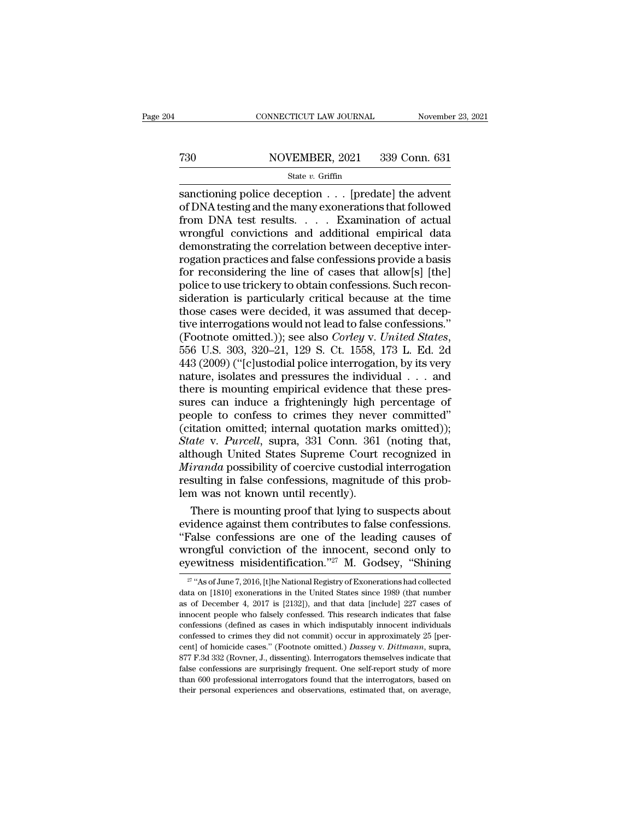# CONNECTICUT LAW JOURNAL November 23, 2021<br>
730 NOVEMBER, 2021 339 Conn. 631<br>
State v. Griffin

### State *v.* Griffin

CONNECTICUT LAW JOURNAL November 23, 202<br>
State v. Griffin<br>
State v. Griffin<br>
Sanctioning police deception . . . [predate] the advent<br>
of DNA testing and the many exonerations that followed<br>
from DNA test results The MOVEMBER, 2021 339 Conn. 631<br>
State v. Griffin<br>
Sanctioning police deception . . . [predate] the advent<br>
of DNA testing and the many exonerations that followed<br>
from DNA test results. . . . Examination of actual<br>
wron From DNA test in a diffusion of actual demonstration of actual demonstration of actual demonstration of actual demonstration of actual demonstration of actual demonstration of actual demonstration of actual demonstration T30 NOVEMBER, 2021 339 Conn. 631<br>
State v. Griffin<br>
State v. Griffin<br>
State v. Griffin<br>
of DNA testing and the many exonerations that followed<br>
from DNA test results. . . . . Examination of actual<br>
wrongful convictions an  $\begin{array}{l|l} \hline \text{State } v. \text{ Griffith.} \text{ 2021} & \text{055} \text{ COTH.} \text{ 051} \\ \hline \text{sanctioning police deception } \ldots \text{ [predate] the advent of DNA testing and the many exonerations that followed from DNA test results.} & \ldots & \text{Examination of actual wrongful convictions and additional empirical data demonstrating the correlation between defective inter-rogation practices and false confessions provide a basis for reconsidering the line of cases that allow[s] [the] \end{array}$ State v. Griffin<br>
sanctioning police deception  $\ldots$  [predate] the advent<br>
of DNA testing and the many exonerations that followed<br>
from DNA test results.  $\ldots$  Examination of actual<br>
wrongful convictions and additional em sanctioning police deception  $\ldots$  [predate] the advent<br>of DNA testing and the many exonerations that followed<br>from DNA test results.  $\ldots$  Examination of actual<br>wrongful convictions and additional empirical data<br>demonstr of DNA testing and the many exonerations that followed<br>from DNA test results. . . . . Examination of actual<br>wrongful convictions and additional empirical data<br>demonstrating the correlation between deceptive inter-<br>rogation from DNA test results. . . . . Examination of actual<br>wrongful convictions and additional empirical data<br>demonstrating the correlation between deceptive inter-<br>rogation practices and false confessions provide a basis<br>for re wrongful convictions and additional empirical data<br>demonstrating the correlation between deceptive inter-<br>rogation practices and false confessions provide a basis<br>for reconsidering the line of cases that allow[s] [the]<br>po demonstrating the correlation between deceptive inter-<br>rogation practices and false confessions provide a basis<br>for reconsidering the line of cases that allow[s] [the]<br>police to use trickery to obtain confessions. Such rec rogation practices and false confessions provide a basis<br>for reconsidering the line of cases that allow[s] [the]<br>police to use trickery to obtain confessions. Such recon-<br>sideration is particularly critical because at the police to use trickery to obtain confessions. Such reconsideration is particularly critical because at the time<br>those cases were decided, it was assumed that deceptive interrogations would not lead to false confessions."<br>( sideration is particularly critical because at the time<br>those cases were decided, it was assumed that deceptive interrogations would not lead to false confessions."<br>(Footnote omitted.)); see also *Corley v. United States* those cases were decided, it was assumed that deceptive interrogations would not lead to false confessions."<br>(Footnote omitted.)); see also *Corley v. United States*,<br>556 U.S. 303, 320–21, 129 S. Ct. 1558, 173 L. Ed. 2d<br>4 tive interrogations would not lead to false confessions."<br>(Footnote omitted.)); see also *Corley v. United States*,<br>556 U.S. 303, 320–21, 129 S. Ct. 1558, 173 L. Ed. 2d<br>443 (2009) ("[c]ustodial police interrogation, by its (Footnote omitted.)); see also *Corley v. United States*,<br>556 U.S. 303, 320–21, 129 S. Ct. 1558, 173 L. Ed. 2d<br>443 (2009) ("[c]ustodial police interrogation, by its very<br>nature, isolates and pressures the individual  $\ldots$ 556 U.S. 303, 320–21, 129 S. Ct. 1558, 173 L. Ed. 2d<br>443 (2009) ("[c]ustodial police interrogation, by its very<br>nature, isolates and pressures the individual  $\ldots$  and<br>there is mounting empirical evidence that these pres-443 (2009) ("[c]ustodial police interrogation, by its very<br>nature, isolates and pressures the individual . . . and<br>there is mounting empirical evidence that these pres-<br>sures can induce a frighteningly high percentage of<br>p mature, isolates and pressures the individual  $\ldots$  and<br>there is mounting empirical evidence that these pressures can induce a frighteningly high percentage of<br>people to confess to crimes they never committed"<br>(citation o there is mounting empirical evidence that these pressures can induce a frighteningly high percentage of people to confess to crimes they never committed"<br>(citation omitted; internal quotation marks omitted));<br>*State* v. *P* sures can induce a frighteningly high percentage of<br>people to confess to crimes they never committed"<br>(citation omitted; internal quotation marks omitted));<br>*State* v. *Purcell*, supra, 331 Conn. 361 (noting that,<br>although people to confess to crimes they never<br>
(citation omitted; internal quotation man<br> *State* v. *Purcell*, supra, 331 Conn. 361<br>
although United States Supreme Court<br> *Miranda* possibility of coercive custodial<br>
resulting in itation omitted; internal quotation marks omitted));<br>
ate v. Purcell, supra, 331 Conn. 361 (noting that,<br>
chough United States Supreme Court recognized in<br>
iranda possibility of coercive custodial interrogation<br>
sulting in State v. Purcell, supra, 331 Conn. 361 (noting that,<br>although United States Supreme Court recognized in<br>*Miranda* possibility of coercive custodial interrogation<br>resulting in false confessions, magnitude of this prob-<br>lem

although United States Supreme Court recognized in<br> *Miranda* possibility of coercive custodial interrogation<br>
resulting in false confessions, magnitude of this prob-<br>
lem was not known until recently).<br>
There is mounting *Miranda* possibility of coercive custodial interrogation<br>resulting in false confessions, magnitude of this prob-<br>lem was not known until recently).<br>There is mounting proof that lying to suspects about<br>evidence against th resulting in false confessions, magnitude of this prob-<br>lem was not known until recently).<br>There is mounting proof that lying to suspects about<br>evidence against them contributes to false confessions.<br>"False confessions ar vidence against them contributes to false confessions.<br>
False confessions are one of the leading causes of<br>
rongful conviction of the innocent, second only to<br>
yewitness misidentification.<sup>"27</sup> M. Godsey, "Shining<br>  $\frac{27$ "False confessions are one of the leading causes of wrongful conviction of the innocent, second only to eyewitness misidentification."<sup>27</sup> M. Godsey, "Shining  $\frac{27 \text{ m}}{48 \text{ s of June 7},2016}$ , [t]he National Registry of Exon

wrongful conviction of the innocent, second only to eyewitness misidentification."<sup>27</sup> M. Godsey, "Shining  $\frac{27 \text{ u}}{48 \text{ s of June } 7,2016}$ , [t]he National Registry of Exonerations had collected data on [1810] exonerations eyewitness misidentification."<sup>27</sup> M. Godsey, "Shining<br>  $\frac{27 \text{ u}}{48 \text{ of June 7,2016}}$ , [t]he National Registry of Exonerations had collected<br>
data on [1810] exonerations in the United States since 1989 (that number<br>
as of eyewithess Thistdentification. M. Godsey, Shifting<br>  $\frac{27 \text{ ft}}{27}$   $\frac{48 \text{ of June 7, 2016}}{2016}$ , [t]he National Registry of Exonerations had collected<br>
data on [1810] exonerations in the United States since 1989 (that nu <sup>27</sup> "As of June 7, 2016, [t]he National Registry of Exonerations had collected data on [1810] exonerations in the United States since 1989 (that number as of December 4, 2017 is [2132]), and that data [include] 227 cases data on [1810] exonerations in the United States since 1989 (that number as of December 4, 2017 is [2132]), and that data [include] 227 cases of innocent people who falsely confessed. This research indicates that false con as of December 4, 2017 is [2132]), and that data [include] 227 cases of innocent people who falsely confessed. This research indicates that false confessions (defined as cases in which indisputably innocent individuals co innocent people who falsely confessed. This research indicates that false confessions (defined as cases in which indisputably innocent individuals confessed to crimes they did not commit) occur in approximately 25 [percent confessions (defined as cases in which indisputably innocent individuals confessions (defined as cases in which indisputably innocent individuals confessed to crimes they did not commit) occur in approximately 25 [percent] confessed to crimes they did not commit) occur in approximately 25 [percent] of homicide cases." (Footnote omitted.) *Dassey* v. *Dittmann*, supra, 877 F.3d 332 (Rovner, J., dissenting). Interrogators themselves indicate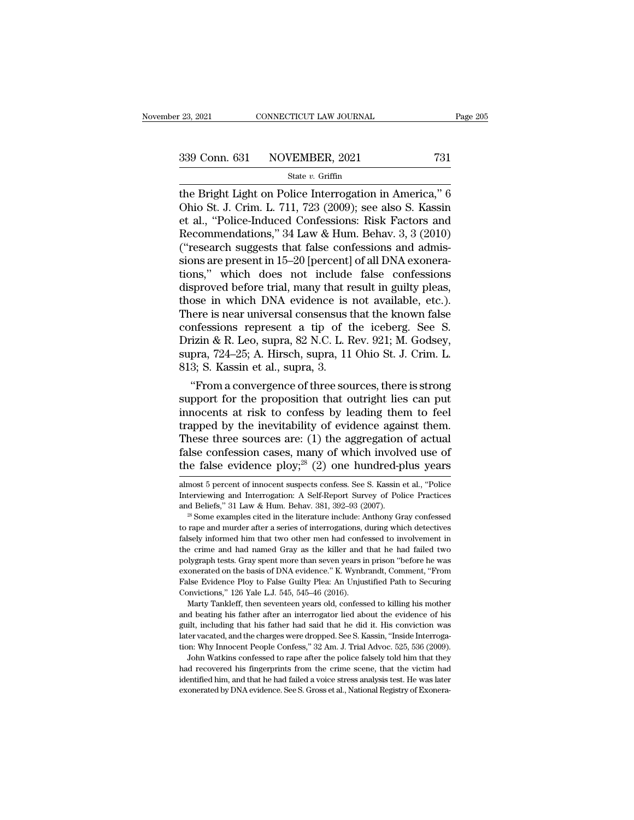<sup>23, 2021</sup> CONNECTICUT LAW JOURNAL Page 205<br>
339 Conn. 631 NOVEMBER, 2021 731<br>
<sup>31</sup> State *v*. Griffin<br>
the Bright Light on Police Interrogation in America,'' 6<br>
Ohio St. J. Crim. L. 711, 723 (2009); see also S. Kassin<br>
o 339 Conn. 631 NOVEMBER, 2021 731<br>
State v. Griffin<br>
the Bright Light on Police Interrogation in America," 6<br>
Ohio St. J. Crim. L. 711, 723 (2009); see also S. Kassin<br>
et al., "Police-Induced Confessions: Risk Factors and<br> 339 Conn. 631 NOVEMBER, 2021 731<br>
State v. Griffin<br>
the Bright Light on Police Interrogation in America," 6<br>
Ohio St. J. Crim. L. 711, 723 (2009); see also S. Kassin<br>
et al., "Police-Induced Confessions: Risk Factors and<br> 339 Conn. 631 NOVEMBER, 2021 731<br>
State v. Griffin<br>
the Bright Light on Police Interrogation in America," 6<br>
Ohio St. J. Crim. L. 711, 723 (2009); see also S. Kassin<br>
et al., "Police-Induced Confessions: Risk Factors and<br> ( $\frac{1}{2}$  and  $\frac{1}{2}$  and  $\frac{1}{2}$  and  $\frac{1}{2}$  and  $\frac{1}{2}$  and  $\frac{1}{2}$  and  $\frac{1}{2}$  (2009); see also S. Kassin et al., "Police-Induced Confessions: Risk Factors and Recommendations," 34 Law & Hum. Behav. 3, 3 ( state v. Griffin<br>the Bright Light on Police Interrogation in America," 6<br>Ohio St. J. Crim. L. 711, 723 (2009); see also S. Kassin<br>et al., "Police-Induced Confessions: Risk Factors and<br>Recommendations," 34 Law & Hum. Behav. the Bright Light on Police Interrogation in America," 6<br>Ohio St. J. Crim. L. 711, 723 (2009); see also S. Kassin<br>et al., "Police-Induced Confessions: Risk Factors and<br>Recommendations," 34 Law & Hum. Behav. 3, 3 (2010)<br>("re Ohio St. J. Crim. L. 711, 723 (2009); see also S. Kassin<br>et al., "Police-Induced Confessions: Risk Factors and<br>Recommendations," 34 Law & Hum. Behav. 3, 3 (2010)<br>("research suggests that false confessions and admis-<br>sions et al., "Police-Induced Confessions: Risk Factors and<br>Recommendations," 34 Law & Hum. Behav. 3, 3 (2010)<br>("research suggests that false confessions and admis-<br>sions are present in 15–20 [percent] of all DNA exonera-<br>tions, Recommendations," 34 Law & Hum. Behav. 3, 3 (2010)<br>("research suggests that false confessions and admis-<br>sions are present in 15–20 [percent] of all DNA exonera-<br>tions," which does not include false confessions<br>disproved ("research suggests that false confessions and admissions are present in 15–20 [percent] of all DNA exonerations," which does not include false confessions disproved before trial, many that result in guilty pleas, those i sions are present in 15–20 [percent] of all DNA exonerations," which does not include false confessions disproved before trial, many that result in guilty pleas, those in which DNA evidence is not available, etc.). There i tions," which does not include false confessions<br>disproved before trial, many that result in guilty pleas,<br>those in which DNA evidence is not available, etc.).<br>There is near universal consensus that the known false<br>confess disproved before trial, many that r<br>those in which DNA evidence is<br>There is near universal consensus t<br>confessions represent a tip of t<br>Drizin & R. Leo, supra, 82 N.C. L. F<br>supra, 724–25; A. Hirsch, supra, 11<br>813; S. Kassi ose in which DNA evidence is not available, etc.).<br>
here is near universal consensus that the known false<br>
nfessions represent a tip of the iceberg. See S.<br>
izin & R. Leo, supra, 82 N.C. L. Rev. 921; M. Godsey,<br>
pra, 724–2 There is near universal consensus that the known raise<br>confessions represent a tip of the iceberg. See S.<br>Drizin & R. Leo, supra, 82 N.C. L. Rev. 921; M. Godsey,<br>supra, 724–25; A. Hirsch, supra, 11 Ohio St. J. Crim. L.<br>813

confessions represent a up or the iceberg. See S.<br>Drizin & R. Leo, supra, 82 N.C. L. Rev. 921; M. Godsey,<br>supra, 724–25; A. Hirsch, supra, 11 Ohio St. J. Crim. L.<br>813; S. Kassin et al., supra, 3.<br>"From a convergence of th Drizin & K. Leo, supra, 82 N.C. L. Rev. 921; M. Godsey,<br>supra, 724–25; A. Hirsch, supra, 11 Ohio St. J. Crim. L.<br>813; S. Kassin et al., supra, 3.<br>"From a convergence of three sources, there is strong<br>support for the propos supra,  $(24-25)$ ; A. Hirsch, supra, 11 Onio St. J. Crim. L.<br>813; S. Kassin et al., supra, 3.<br>"From a convergence of three sources, there is strong<br>support for the proposition that outright lies can put<br>innocents at risk t SI3; S. Kassin et al., supra, 3.<br>
"From a convergence of three sources, there is strong<br>
support for the proposition that outright lies can put<br>
innocents at risk to confess by leading them to feel<br>
trapped by the inevita "From a convergence of three sources, there is strong<br>support for the proposition that outright lies can put<br>innocents at risk to confess by leading them to feel<br>trapped by the inevitability of evidence against them.<br>Thes trapped by the inevitability of evidence against them.<br>These three sources are: (1) the aggregation of actual<br>false confession cases, many of which involved use of<br>the false evidence ploy;<sup>28</sup> (2) one hundred-plus years<br>al These three sources are: (1) the aggregation of actual false confession cases, many of which involved use of the false evidence ploy;<sup>28</sup> (2) one hundred-plus years almost 5 percent of innocent suspects confess. See S. Ka

exonerated on the basis of DNA evidence." K. Wynbrandt, Comment, "From False Evidence Ploy to False Guilty Plea: An Unjustified Path to Securing Convictions," 126 Yale L.J. 545, 545–46 (2016).<br>
Marty Tankleff, then sevente False Evidence Ploy to False Guilty Plea: An Unjustified Path to Securing Convictions," 126 Yale L.J. 545, 545–46 (2016).<br>
Marty Tankleff, then seventeen years old, confessed to killing his mother<br>
and beating his father a Convictions," 126 Yale L.J. 545, 545–46 (2016).<br>Marty Tankleff, then seventeen years old, confessed to killing his mother<br>and beating his father after an interrogator lied about the evidence of his<br>guilt, including that hi Marty Tankleff, then seventeen years old, confessed to killing his mother d beating his father after an interrogator lied about the evidence of his ilt, including that his father had said that he did it. His conviction was and beating his father after an interrogator lied about the evidence of his guilt, including that his father had said that he did it. His conviction was later vacated, and the charges were dropped. See S. Kassin, "Inside I later vacated, and the charges were dropped. See S. Kassin, "Inside Interroga-

guilt, including that his father had said that he did it. His conviction was later vacated, and the charges were dropped. See S. Kassin, "Inside Interrogation: Why Innocent People Confess," 32 Am. J. Trial Advoc. 525, 536

false confession cases, many of which involved use of the false evidence ploy;<sup>28</sup> (2) one hundred-plus years almost 5 percent of innocent suspects confess. See S. Kassin et al., "Police Interviewing and Interrogation: A

The range evidence proy;<sup>---</sup> (2) one nundred-prus years<br>almost 5 percent of innocent suspects confess. See S. Kassin et al., "Police<br>Interviewing and Interrogation: A Self-Report Survey of Police Practices<br>and Beliefs," almost 5 percent of innocent suspects confess. See S. Kassin et al., "Police Interviewing and Interrogation: A Self-Report Survey of Police Practices and Beliefs," 31 Law & Hum. Behav. 381, 392–93 (2007).  $28$  Some exampl Interviewing and Interrogation: A Self-Report Survey of Police Practices<br>Interviewing and Interrogation: A Self-Report Survey of Police Practices<br>and Beliefs," 31 Law & Hum. Behav. 381, 392–93 (2007).<br><sup>28</sup> Some examples ci and Beliefs," 31 Law & Hum. Behav. 381, 392–93 (2007).<br>
<sup>28</sup> Some examples cited in the literature include: Anthony Gray confessed<br>
to rape and murder after a series of interrogations, during which detectives<br>
falsely info <sup>28</sup> Some examples cited in the literature include: Anthony Gray confessed<br>to rape and murder after a series of interrogations, during which detectives<br>falsely informed him that two other men had confessed to involvement i for the meaning manner and murder after a series of interrogations, during which detectives falsely informed him that two other men had confessed to involvement in the crime and had named Gray as the killer and that he had Ealsely informed him that two other men had conferencel<br>falsely informed him that two other men had conference.<br>The crime and had named Gray as the killer and the polygraph tests. Gray spent more than seven years in<br>exoner Example 1 and named Gray as the killer and that he had failed two lygraph tests. Gray spent more than seven years in prison "before he was onerated on the basis of DNA evidence." K. Wynbrandt, Comment, "From she Evidence P polygraph tests. Gray spent more than seven years in prison "before he was exonerated on the basis of DNA evidence." K. Wynbrandt, Comment, "From False Evidence Ploy to False Guilty Plea: An Unjustified Path to Securing Co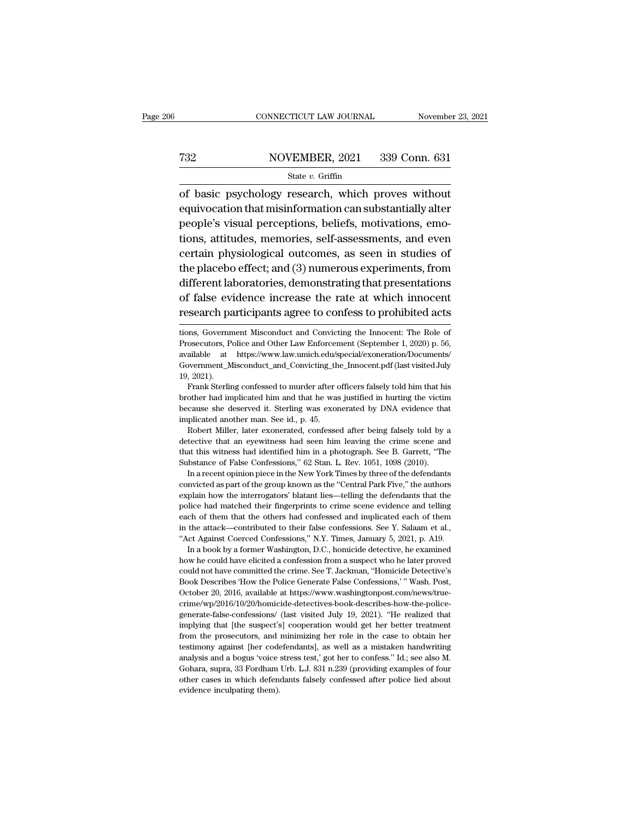### EXECUTE CONNECTICUT LAW JOURNAL Movember 23, 2021<br>
732 NOVEMBER, 2021 339 Conn. 631<br>
81 State v. Griffin State *v.* Griffin

CONNECTICUT LAW JOURNAL November 23, 202<br>
NOVEMBER, 2021 339 Conn. 631<br>
State v. Griffin<br>
of basic psychology research, which proves without<br>
equivocation that misinformation can substantially alter FERE 2021 339 Conn. 631<br>
Extra v. Griffin<br>
of basic psychology research, which proves without<br>
equivocation that misinformation can substantially alter<br>
people's visual perceptions, beliefs, motivations, emo-Percent Move MBER, 2021 339 Conn. 631<br>
State v. Griffin<br>
of basic psychology research, which proves without<br>
equivocation that misinformation can substantially alter<br>
people's visual perceptions, beliefs, motivations, emo-T32 NOVEMBER, 2021 339 Conn. 631<br>
State v. Griffin<br>
of basic psychology research, which proves without<br>
equivocation that misinformation can substantially alter<br>
people's visual perceptions, beliefs, motivations, emo-<br>
ti State v. Griffin<br>
of basic psychology research, which proves without<br>
equivocation that misinformation can substantially alter<br>
people's visual perceptions, beliefs, motivations, emo-<br>
tions, attitudes, memories, self-ass of basic psychology research, which proves without<br>equivocation that misinformation can substantially alter<br>people's visual perceptions, beliefs, motivations, emo-<br>tions, attitudes, memories, self-assessments, and even<br>cer or basic psychology research, which proves whatout equivocation that misinformation can substantially alter people's visual perceptions, beliefs, motivations, emo-<br>tions, attitudes, memories, self-assessments, and even cer people's visual perceptions, beliefs, motivations, emo-<br>tions, attitudes, memories, self-assessments, and even<br>certain physiological outcomes, as seen in studies of<br>the placebo effect; and (3) numerous experiments, from<br>di people's Visaar perseptions, senels, included acts<br>tions, attitudes, memories, self-assessments, and even<br>certain physiological outcomes, as seen in studies of<br>the placebo effect; and (3) numerous experiments, from<br>differe different laboratories, demonstrating that presentations<br>of false evidence increase the rate at which innocent<br>research participants agree to confess to prohibited acts<br>tions, Government Misconduct and Convicting the Innoc different laboratories, demonstrating that presentations<br>of false evidence increase the rate at which innocent<br>research participants agree to confess to prohibited acts<br>tions, Government Misconduct and Convicting the Innoc

because she deserved it. Sterling was exonerated by DNA evidence that<br>implicated in this sterling confessed to murder after officers falsely told him that his<br>brother had implicated him and that he was justified in hurting Government\_Misconduct\_and\_Convicting\_th<br>Government\_Misconduct\_and\_Convicting\_th<br>19, 2021).<br>Frank Sterling confessed to murder after a<br>brother had implicated him and that he was<br>because she deserved it. Sterling was exon<br>im Robert Miller, later exonerated, confessed after being falsely told him that his cother had implicated him and that he was justified in hurting the victim cause she deserved it. Sterling was exonerated by DNA evidence that

because she deserved it. Sterling was exonerated by DNA evidence that implicated another man. See id., p. 45.<br>Robert Miller, later exonerated, confessed after being falsely told by a detective that an eyewitness had seen h From the main mand that he was justified in hurting the victim<br>because she deserved it. Sterling was exonerated by DNA evidence that<br>implicated another man. See id., p. 45.<br>Robert Miller, later exonerated, confessed after because she deserved it. Sterling was exonerated by DNA evidence that implicated another man. See id., p. 45.<br>Robert Miller, later exonerated, confessed after being falsely told by a detective that an eyewitness had seen h plicated another man. See id., p. 45.<br>Robert Miller, later exonerated, confessed after being falsely told by a<br>Robert Miller, later exonerated, confessed after being falsely told by a<br>tective that an eyewitness had seen hi Robert Miller, later exonerated, confessed after being falsely told by a detective that an eyewitness had seen him leaving the crime scene and that this witness had identified him in a photograph. See B. Garrett, "The Subs

detective that an eyewitness had seen him leaving the crime scene and that this witness had identified him in a photograph. See B. Garrett, "The Substance of False Confessions," 62 Stan. L. Rev. 1051, 1098 (2010). In a rec that this witness had identified him in a photograph. See B. Garrett, "The Substance of False Confessions," 62 Stan. L. Rev. 1051, 1098 (2010). In a recent opinion piece in the New York Times by three of the defendants con Substance of False Confessions," 62 Stan. L. Rev. 1051, 1098 (2010).<br>In a recent opinion piece in the New York Times by three of the defendants<br>convicted as part of the group known as the "Central Park Five," the authors<br>e In a recent opinion piece in the New York Times by three of the defendants<br>
convicted as part of the group known as the "Central Park Five," the authors<br>
explain how the interrogators' blatant lies—telling the defendants t convicted as part of the group known as the "Central Park Five," the authors<br>explain how the interrogators' blatant lies—telling the defendants that the<br>police had matched their fingerprints to crime scene evidence and tel plain how the interrogators' blatant lies—telling the defendants that the lice had matched their fingerprints to crime scene evidence and telling ch of them that the others had confessed and implicated each of them the att police had matched their fingerprints to crime scene evidence and telling<br>each of them that the others had confessed and implicated each of them<br>in the attack—contributed to their false confessions. See Y. Salaam et al.,<br>"

peach of them that the others had confessed and implicated each of them that the others had confessed and implicated each of them in the attack—contributed to their false confessions. See Y. Salaam et al., "Act Against Coe in the attack—contributed to their false confessions. See Y. Salaam et al., "Act Against Coerced Confessions," N.Y. Times, January 5, 2021, p. A19. In a book by a former Washington, D.C., homicide detective, he examined ho "Act Against Coerced Confessions," N.Y. Times, January 5, 2021, p. A19.<br>
"Act Against Coerced Confessions," N.Y. Times, January 5, 2021, p. A19.<br>
In a book by a former Washington, D.C., homicide detective, he examined<br>
ho crime/wp/2016/10/20/homicide-detectives-book-describes-how-the-police-<br>generate-false-confessions/ (last visited July 19, 2021). "He realized that<br>implying that [the suspect's] cooperation would get her better treatment<br>fr how he could have elicited a confession from a suspect who he later proved could not have committed the crime. See T. Jackman, "Homicide Detective's Book Describes 'How the Police Generate False Confessions,' "Wash. Post, could not have committed the crime. See T. Jackman, "Homicide Detective's Book Describes 'How the Police Generate False Confessions,' " Wash. Post, October 20, 2016, available at https://www.washingtonpost.com/news/true-<br>c Book Describes 'How the Police Generate False Confessions,' "Wash. Post, October 20, 2016, available at https://www.washingtonpost.com/news/true-<br>crime/wp/2016/10/20/homicide-detectives-book-describes-how-the-police-<br>gener  $Dctober 20, 2016, available at$ generate-false-confessions/ (last visited July 19, 2021). "He realized that implying that [the suspect's] cooperation would get her better treatment from the prosecutors, and minimizing her role in the case to obtain her t implying that [the suspect's] cooperation would get her better treatment from the prosecutors, and minimizing her role in the case to obtain her

of false evidence increase the rate at which innocent<br>research participants agree to confess to prohibited acts<br>tions, Government Misconduct and Convicting the Innocent: The Role of<br>Prosecutors, Police and Other Law Enforc research participants agree to confess to prohibited acts<br>tions, Government Misconduct and Convicting the Innocent: The Role of<br>Prosecutors, Police and Other Law Enforcement (September 1, 2020) p. 56,<br>available at https:// tions, Government Misconduct and Convicting the Innocent: The Role of Prosecutors, Police and Other Law Enforcement (September 1, 2020) p. 56, available at https://www.law.umich.edu/special/exoneration/Documents/Governmen oney, Government Misconduct and Convicting the Innocent: The Role of osecutors, Police and Other Law Enforcement (September 1, 2020) p. 56, ailable at https://www.law.umich.edu/special/exoneration/Documents/<br>overnment\_Misc Prosecutors, Police and Other Law Enforcement (September 1, 2020) p. 56, available at https://www.law.umich.edu/special/exoneration/Documents/Government\_Misconduct\_and\_Convicting\_the\_Innocent.pdf (last visited July 19, 202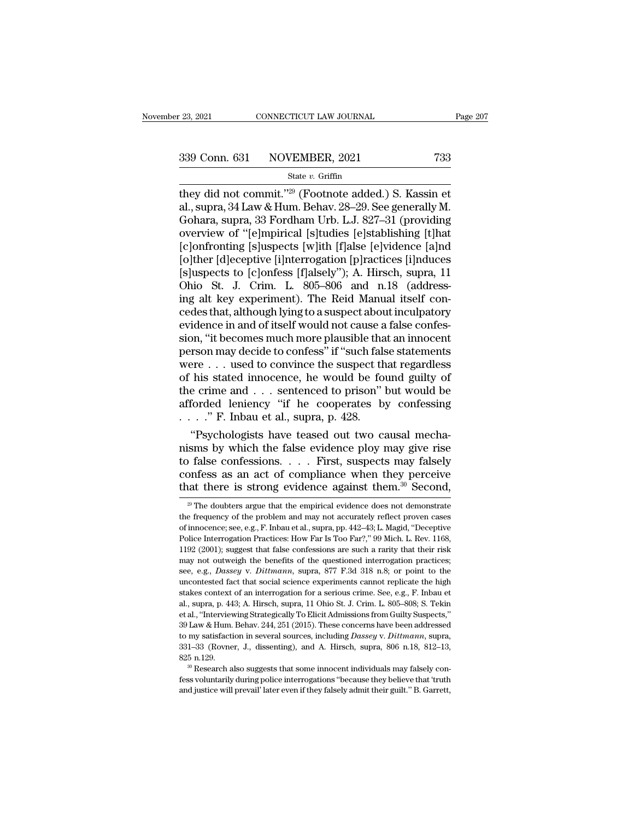<sup>23, 2021</sup> CONNECTICUT LAW JOURNAL Page 20<br>
339 Conn. 631 NOVEMBER, 2021 733<br>
<sup>State v. Griffin<br>
they did not commit.'<sup>'29</sup> (Footnote added.) S. Kassin et<br>
al., supra, 34 Law & Hum. Behav. 28–29. See generally M.<br>
Gobara </sup> 339 Conn. 631 NOVEMBER, 2021 733<br>
State v. Griffin<br>
they did not commit."<sup>29</sup> (Footnote added.) S. Kassin et<br>
al., supra, 34 Law & Hum. Behav. 28–29. See generally M.<br>
Gohara, supra, 33 Fordham Urb. L.J. 827–31 (providing<br> 339 Conn. 631 NOVEMBER, 2021 733<br>
State v. Griffin<br>
they did not commit."<sup>29</sup> (Footnote added.) S. Kassin et<br>
al., supra, 34 Law & Hum. Behav. 28–29. See generally M.<br>
Gohara, supra, 33 Fordham Urb. L.J. 827–31 (providing 339 Conn. 631 NOVEMBER, 2021 733<br>
State v. Griffin<br>
they did not commit."<sup>29</sup> (Footnote added.) S. Kassin et<br>
al., supra, 34 Law & Hum. Behav. 28–29. See generally M.<br>
Gohara, supra, 33 Fordham Urb. L.J. 827–31 (providing  $\frac{\text{State } v. \text{ Griffith, } 2021}{\text{State } v. \text{ Griffith, } 2021}$ <br>
they did not commit."<sup>29</sup> (Footnote added.) S. Kassin et<br>
al., supra, 34 Law & Hum. Behav. 28–29. See generally M.<br>
Gohara, supra, 33 Fordham Urb. L.J. 827–31 (providing<br>
overvi State v. Griffin<br>
they did not commit."<sup>29</sup> (Footnote added.) S. Kassin et<br>
al., supra, 34 Law & Hum. Behav. 28–29. See generally M.<br>
Gohara, supra, 33 Fordham Urb. L.J. 827–31 (providing<br>
overview of "[e]mpirical [s]tudie they did not commit."<sup>29</sup> (Footnote added.) S. Kassin et<br>al., supra, 34 Law & Hum. Behav. 28–29. See generally M.<br>Gohara, supra, 33 Fordham Urb. L.J. 827–31 (providing<br>overview of "[e]mpirical [s]tudies [e]stablishing [t]h al., supra, 34 Law & Hum. Behav. 28–29. See generally M.<br>Gohara, supra, 33 Fordham Urb. L.J. 827–31 (providing<br>overview of "[e]mpirical [s]tudies [e]stablishing [t]hat<br>[c]onfronting [s]uspects [w]ith [f]alse [e]vidence [a] Gohara, supra, 33 Fordham Urb. L.J. 827–31 (providing<br>overview of "[e]mpirical [s]tudies [e]stablishing [t]hat<br>[c]onfronting [s]uspects [w]ith [f]alse [e]vidence [a]nd<br>[o]ther [d]eceptive [i]nterrogation [p]ractices [i]ndu overview of "[e]mpirical [s]tudies [e]stablishing [t]hat<br>[c]onfronting [s]uspects [w]ith [f]alse [e]vidence [a]nd<br>[o]ther [d]eceptive [i]nterrogation [p]ractices [i]nduces<br>[s]uspects to [c]onfess [f]alsely"); A. Hirsch, su [c]onfronting [s]uspects [w]ith [f]alse [e]vidence [a]nd<br>[o]ther [d]eceptive [i]nterrogation [p]ractices [i]nduces<br>[s]uspects to [c]onfess [f]alsely"); A. Hirsch, supra, 11<br>Ohio St. J. Crim. L. 805–806 and n.18 (address-<br>i [o]ther [d]eceptive [i]nterrogation [p]ractices [i]nduces [s]uspects to [c]onfess [f]alsely"); A. Hirsch, supra, 11 Ohio St. J. Crim. L. 805–806 and n.18 (addressing alt key experiment). The Reid Manual itself concedes tha [s]uspects to [c]onfess [f]alsely"); A. Hirsch, supra, 11<br>Ohio St. J. Crim. L. 805–806 and n.18 (address-<br>ing alt key experiment). The Reid Manual itself con-<br>cedes that, although lying to a suspect about inculpatory<br>evid Ohio St. J. Crim. L. 805–806 and n.18 (addressing alt key experiment). The Reid Manual itself concedes that, although lying to a suspect about inculpatory evidence in and of itself would not cause a false confession, "it ing alt key experiment). The Reid Manual itself concedes that, although lying to a suspect about inculpatory<br>evidence in and of itself would not cause a false confes-<br>sion, "it becomes much more plausible that an innocent<br> cedes that, although lying to a suspect about inculpatory<br>evidence in and of itself would not cause a false confes-<br>sion, "it becomes much more plausible that an innocent<br>person may decide to confess" if "such false state evidence in and of itself would not cause a false confession, "it becomes much more plausible that an innocent<br>person may decide to confess" if "such false statements<br>were  $\dots$  used to convince the suspect that regardless sion, "it becomes much more plausible tha<br>person may decide to confess" if "such fals<br>were . . . used to convince the suspect th<br>of his stated innocence, he would be for<br>the crime and . . . sentenced to prison" |<br>afforded From may decide to confess" if "such false statements<br>
Pre  $\ldots$  used to convince the suspect that regardless<br>
his stated innocence, he would be found guilty of<br>
e crime and  $\ldots$  sentenced to prison" but would be<br>
forded were . . . used to convince the suspect that regardless<br>of his stated innocence, he would be found guilty of<br>the crime and . . . sentenced to prison" but would be<br>afforded leniency "if he cooperates by confessing<br> $\ldots$ ."

of his stated innocence, he would be found guilty of<br>the crime and . . . sentenced to prison" but would be<br>afforded leniency "if he cooperates by confessing<br> $\dots$ ." F. Inbau et al., supra, p. 428.<br>"Psychologists have tease the crime and . . . sentenced to prison" but would be afforded leniency "if he cooperates by confessing . . . . " F. Inbau et al., supra, p. 428. "Psychologists have teased out two causal mechanisms by which the false evi afforded leniency "if he cooperates by confessing<br>  $\ldots$ ." F. Inbau et al., supra, p. 428.<br>
"Psychologists have teased out two causal mechanisms by which the false evidence ploy may give rise<br>
to false confessions.... Fir isms by which the false evidence ploy may give rise<br>o false confessions. . . . First, suspects may falsely<br>onfess as an act of compliance when they perceive<br>aat there is strong evidence against them.<sup>30</sup> Second,<br> $\frac{29}{10$ to false confessions. . . . . First, suspects may falsely confess as an act of compliance when they perceive that there is strong evidence against them.<sup>30</sup> Second,  $\frac{20}{10}$  The doubters argue that the empirical eviden

confess as an act of compliance when they perceive<br>that there is strong evidence against them.<sup>30</sup> Second,<br><sup>29</sup> The doubters argue that the empirical evidence does not demonstrate<br>the frequency of the problem and may not that there is strong evidence against them.<sup>30</sup> Second,<br><sup>29</sup> The doubters argue that the empirical evidence does not demonstrate<br>the frequency of the problem and may not accurately reflect proven cases<br>of innocence; see, That there is strong evidence against them. Second,<br>
<sup>29</sup> The doubters argue that the empirical evidence does not demonstrate<br>
the frequency of the problem and may not accurately reflect proven cases<br>
of innocence; see, e <sup>29</sup> The doubters argue that the empirical evidence does not demonstrate the frequency of the problem and may not accurately reflect proven cases of innocence; see, e.g., F. Inbau et al., supra, pp. 442–43; L. Magid, "Dec frequency of the problem and may not accurately reflect proven cases<br>of innocence; see, e.g., F. Inbau et al., supra, pp. 442–43; L. Magid, "Deceptive<br>Police Interrogation Practices: How Far Is Too Far?," 99 Mich. L. Rev. not imocence; see, e.g., F. Inbau et al., supra, pp. 442–43; L. Magid, "Deceptive Police Interrogation Practices: How Far Is Too Far?," 99 Mich. L. Rev. 1168, 1192 (2001); suggest that false confessions are such a rarity t Police Interrogation Practices: How Far Is Too Far?," 99 Mich. L. Rev. 1168, 1192 (2001); suggest that false confessions are such a rarity that their risk may not outweigh the benefits of the questioned interrogation prac 1192 (2001); suggest that false confessions are such a rarity that their risk<br>may not outweigh the benefits of the questioned interrogation practices;<br>see, e.g., *Dassey* v. *Dittmann*, supra, 877 F.3d 318 n.8; or point to may not outweigh the benefits of the questioned interrogation practices;<br>see, e.g., *Dassey* v. *Dittmann*, supra, 877 F.3d 318 n.8; or point to the<br>uncontested fact that social science experiments cannot replicate the hig see, e.g., *Dassey* v. *Dittmann*, supra, 877 F.3d 318 n.8; or point to the uncontested fact that social science experiments cannot replicate the high stakes context of an interrogation for a serious crime. See, e.g., F. I beco, e.g., Dasco, e.g., and a since experiments cannot replicate the high stakes context of an interrogation for a serious crime. See, e.g., F. Inbau et al., supra, p. 443; A. Hirsch, supra, 11 Ohio St. J. Crim. L. 805–80 stakes context of an interrogation for a serious crime. See, e.g., F. Inbau et al., supra, p. 443; A. Hirsch, supra, 11 Ohio St. J. Crim. L. 805–808; S. Tekin et al., "Interviewing Strategically To Elicit Admissions from G all, supra, p. 443; A. Hirsch, supra, 11 Ohio St. J. Crim. L. 805–808; S. Tekin et al., "Interviewing Strategically To Elicit Admissions from Guilty Suspects," 39 Law & Hum. Behav. 244, 251 (2015). These concerns have been Festally during police interrogations ''because they differently produces,<br>39 Law & Hum. Behav. 244, 251 (2015). These concerns have been addressed<br>to my satisfaction in several sources, including *Dassey v. Dittmann*, sup 39 Law & Hum. Behav. 244, 251 (2015). These concerns have been addressed<br>to my satisfaction in several sources, including *Dassey* v. *Dittmann*, supra,<br>331–33 (Rovner, J., dissenting), and A. Hirsch, supra, 806 n.18, 812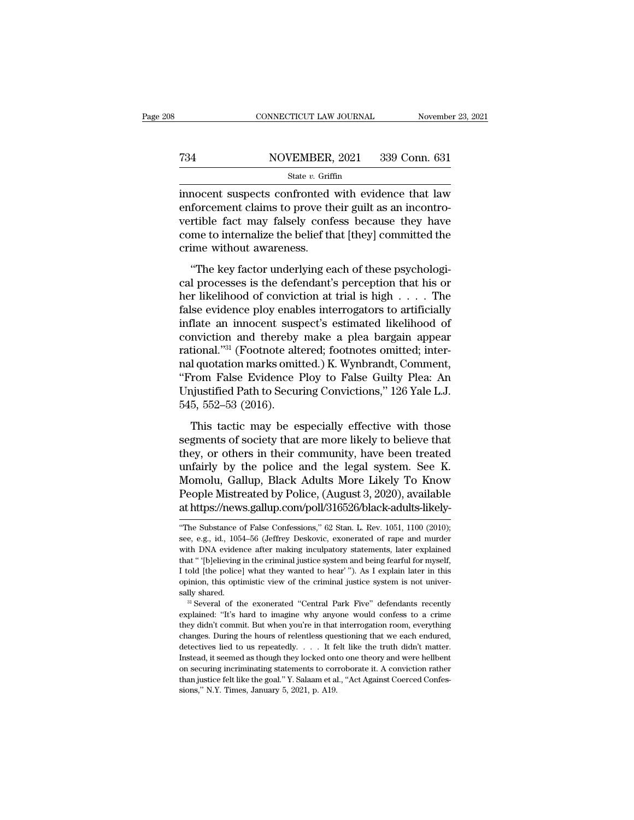### EXECUTE CONNECTICUT LAW JOURNAL Movember 23, 2021<br>
734 NOVEMBER, 2021 339 Conn. 631<br>
81 State v. Griffin State *v.* Griffin

 $\begin{array}{lll}\n\text{CONRECTICUT LAW JOURNAL} & \text{November 23, 2021}\n\hline\n\text{734} & \text{NOVEMBER, 2021} & \text{339 Conn. 631}\n\hline\n\text{54} & \text{55} & \text{56} & \text{66} & \text{66} \\
\hline\n\text{65} & \text{66} & \text{66} & \text{66} & \text{66} & \text{66} \\
\text{18} & \text{18} & \text{18} & \text{18} & \text{18} & \text{18} \\
\text{19} & \text{19}$ Fig. 2021 MOVEMBER, 2021 339 Conn. 631<br>
State v. Griffin<br>
innocent suspects confronted with evidence that law<br>
enforcement claims to prove their guilt as an incontro-<br>
vertible fact may falsely confess because they have<br>
c Vertical vertex of the state weak of the state weak of the state weak of the state weak of the state may falsely confess because they have the state of the state of the state of the state of the state of the state of the T34 NOVEMBER, 2021 339 Conn. 631<br>
State v. Griffin<br>
innocent suspects confronted with evidence that law<br>
enforcement claims to prove their guilt as an incontro-<br>
vertible fact may falsely confess because they have<br>
come t crime without awareness. mocent suspects confronted with evidence that law<br>forcement claims to prove their guilt as an incontro-<br>rtible fact may falsely confess because they have<br>me to internalize the belief that [they] committed the<br>ime without a matecal suspects confident with evidence that his<br>enforcement claims to prove their guilt as an incontro-<br>vertible fact may falsely confess because they have<br>come to internalize the belief that [they] committed the<br>crime w

First text of convictions of provess in the call in the star is dependence to internalize the belief that [they] committed the crime without awareness.<br>
"The key factor underlying each of these psychological processes is False rate may havely concess seculate andy have<br>come to internalize the belief that [they] committed the<br>crime without awareness.<br>"The key factor underlying each of these psychologi-<br>cal processes is the defendant's perc The key factor underlying each of these psychological processes is the defendant's perception that his or<br>her likelihood of conviction at trial is high  $\dots$ . The<br>false evidence ploy enables interrogators to artificially<br>i "The key factor underlying each of these psychological processes is the defendant's perception that his or<br>her likelihood of conviction at trial is high  $\dots$ . The<br>false evidence ploy enables interrogators to artificially<br> "The key factor underlying each of these psychological processes is the defendant's perception that his or<br>her likelihood of conviction at trial is high  $\dots$ . The<br>false evidence ploy enables interrogators to artificially<br> cal processes is the defendant's perception that his or<br>her likelihood of conviction at trial is high  $\dots$ . The<br>false evidence ploy enables interrogators to artificially<br>inflate an innocent suspect's estimated likelihood her likelihood of conviction at trial is high  $\ldots$ . The<br>false evidence ploy enables interrogators to artificially<br>inflate an innocent suspect's estimated likelihood of<br>conviction and thereby make a plea bargain appear<br>ra false evidence ploy enables interrogators to artificially<br>inflate an innocent suspect's estimated likelihood of<br>conviction and thereby make a plea bargain appear<br>rational.''<sup>31</sup> (Footnote altered; footnotes omitted; interinflate an innocent susp<br>conviction and thereby<br>rational."<sup>31</sup> (Footnote alt<br>nal quotation marks omit<br>"From False Evidence ]<br>Unjustified Path to Secu<br>545, 552–53 (2016).<br>This tactic may be es The all and the ends of pical surgin appears<br>
ional."<sup>31</sup> (Footnote altered; footnotes omitted; inter-<br>
l quotation marks omitted.) K. Wynbrandt, Comment,<br>
'rom False Evidence Ploy to False Guilty Plea: An<br>
njustified Path randial (1 societies and the solutions, 1 solutions, 1 set and quotation marks omitted.) K. Wynbrandt, Comment,<br>
"From False Evidence Ploy to False Guilty Plea: An<br>
Unjustified Path to Securing Convictions," 126 Yale L.J.

They, They, They, Schmark, William Constants (From False Evidence Ploy to False Guilty Plea: An Unjustified Path to Securing Convictions," 126 Yale L.J.<br>545, 552–53 (2016).<br>This tactic may be especially effective with thos Unjustified Path to Securing Convictions," 126 Yale L.J.<br>545, 552–53 (2016).<br>This tactic may be especially effective with those<br>segments of society that are more likely to believe that<br>they, or others in their community, h  $545, 552-53$  (2016).<br>This tactic may be especially effective with those<br>segments of society that are more likely to believe that<br>they, or others in their community, have been treated<br>unfairly by the police and the legal This tactic may be especially effective with those<br>segments of society that are more likely to believe that<br>they, or others in their community, have been treated<br>unfairly by the police and the legal system. See K.<br>Momolu, This tactic may be especially effective with those<br>segments of society that are more likely to believe that<br>they, or others in their community, have been treated<br>unfairly by the police and the legal system. See K.<br>Momolu, unfairly by the police and the legal system. See K.<br>Momolu, Gallup, Black Adults More Likely To Know<br>People Mistreated by Police, (August 3, 2020), available<br>at https://news.gallup.com/poll/316526/black-adults-likely-<br>"The Momolu, Gallup, Black Adults More Likely To Know<br>People Mistreated by Police, (August 3, 2020), available<br>at https://news.gallup.com/poll/316526/black-adults-likely-<br>"The Substance of False Confessions," 62 Stan. L. Rev. 1

People Mistreated by Police, (August 3, 2020), available<br>at https://news.gallup.com/poll/316526/black-adults-likely-<br>"The Substance of False Confessions," 62 Stan. L. Rev. 1051, 1100 (2010);<br>see, e.g., id., 1054–56 (Jeffre at https://news.gallup.com/poll/316526/black-adults-likely-<br>
"The Substance of False Confessions," 62 Stan. L. Rev. 1051, 1100 (2010);<br>
see, e.g., id., 1054–56 (Jeffrey Deskovic, exonerated of rape and murder<br>
with DNA ev The much standard confessions," 62 Stan. L. Rev. 1051, 1100 (2010);<br>
See, e.g., id., 1054–56 (Jeffrey Deskovic, exonerated of rape and murder<br>
with DNA evidence after making inculpatory statements, later explained<br>
that "[ "The Substance of False Confessions," 62 Stan. L. Rev. 1051, 1100 (2010);<br>see, e.g., id., 1054–56 (Jeffrey Deskovic, exonerated of rape and murder<br>with DNA evidence after making inculpatory statements, later explained<br>tha see, e.g., id., 1054–56 (Jeffrey Deskovic, exonerated of rape and muder with DNA evidence after making inculpatory statements, later explained that " [b]elieving in the criminal justice system and being fearful for myself, that "'[b]elieving in the criminal justice system and being fearful for myself, I told [the police] what they wanted to hear' "). As I explain later in this opinion, this optimistic view of the criminal justice system is n

It told [the police] what they wanted to hear' "). As I explain later in this opinion, this optimistic view of the criminal justice system is not universally shared.<br><sup>31</sup> Several of the exonerated "Central Park Five" defe Figure 1. The Figure of the criminal justice system is not universally shared.<br>
<sup>31</sup> Several of the exonerated "Central Park Five" defendants recently explained: "It's hard to imagine why anyone would confess to a crime t sally shared.<br><sup>31</sup> Several of the exonerated "Central Park Five" defendants recently explained: "It's hard to imagine why anyone would confess to a crime they didn't commit. But when you're in that interrogation room, eve <sup>21</sup> Several of the exonerated "Central Park Five" defendants recently explained: "It's hard to imagine why anyone would confess to a crime they didn't commit. But when you're in that interrogation room, everything change explained: "It's hard to imagine why anyone would confess to a crime<br>they didn't commit. But when you're in that interrogation room, everything<br>changes. During the hours of relentless questioning that we each endured,<br>det they didn't commit. But when you're in that interrogation room, everything changes. During the hours of relentless questioning that we each endured, detectives lied to us repeatedly.  $\dots$  It felt like the truth didn't mat changes. During the hours of relentless questioning that we each endured,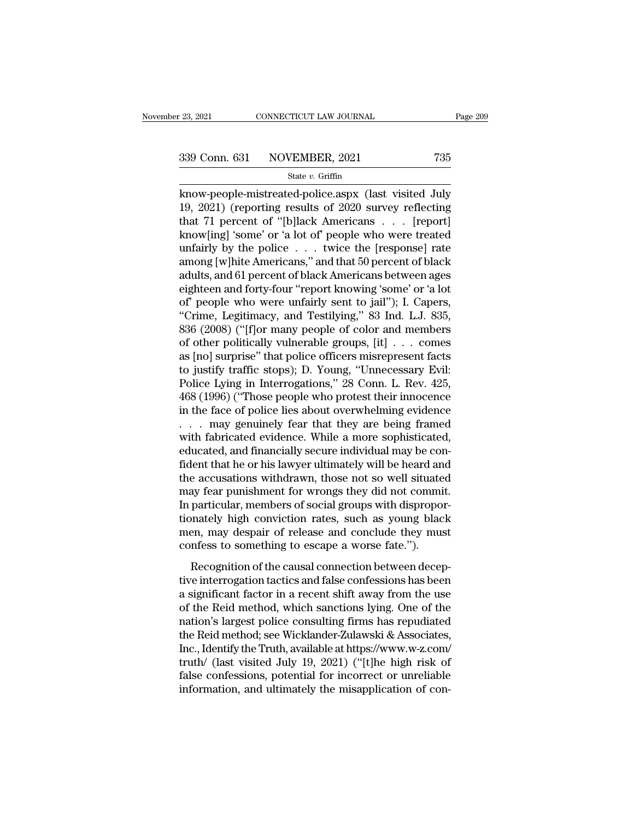examples and the connective connective transition of the connection of the connection of the connection of the connection of the connection of the connection of the connection of the connection of the connection of the con 339 Conn. 631 NOVEMBER, 2021 735<br>
state v. Griffin<br>
know-people-mistreated-police.aspx (last visited July<br>
19, 2021) (reporting results of 2020 survey reflecting<br>
that 71 percent of "[b]lack Americans . . . [report]<br>
know 339 Conn. 631 NOVEMBER, 2021 735<br>
State v. Griffin<br>
know-people-mistreated-police.aspx (last visited July<br>
19, 2021) (reporting results of 2020 survey reflecting<br>
that 71 percent of "[b]lack Americans . . . [report]<br>
know 339 Conn. 631 NOVEMBER, 2021 735<br>
state v. Griffin<br>
know-people-mistreated-police.aspx (last visited July<br>
19, 2021) (reporting results of 2020 survey reflecting<br>
that 71 percent of "[b]lack Americans . . . [report]<br>
know State v. Griffin<br>
know-people-mistreated-police aspx (last visited July<br>
19, 2021) (reporting results of 2020 survey reflecting<br>
that 71 percent of "[b]lack Americans . . . [report]<br>
know[ing] 'some' or 'a lot of' people state v. Griftin<br>
amow-people-mistreated-police.aspx (last visited July<br>
19, 2021) (reporting results of 2020 survey reflecting<br>
that 71 percent of "[b]lack Americans . . . [report]<br>
know[ing] 'some' or 'a lot of' people know-people-mistreated-police.aspx (last visited July 19, 2021) (reporting results of 2020 survey reflecting<br>that 71 percent of "[b]lack Americans  $\ldots$  [report]<br>know[ing] 'some' or 'a lot of' people who were treated<br>unfa 19, 2021) (reporting results of 2020 survey reflecting<br>that 71 percent of "[b]lack Americans . . . [report]<br>know[ing] 'some' or 'a lot of' people who were treated<br>unfairly by the police . . . twice the [response] rate<br>amo that 71 percent of "[b]lack Americans . . . [report]<br>know[ing] 'some' or 'a lot of' people who were treated<br>unfairly by the police . . . twice the [response] rate<br>among [w]hite Americans," and that 50 percent of black<br>adul know[ing] 'some' or 'a lot of' people who were treated<br>unfairly by the police . . . twice the [response] rate<br>among [w]hite Americans," and that 50 percent of black<br>adults, and 61 percent of black Americans between ages<br>ei unfairly by the police . . . twice the [response] rate<br>among [w]hite Americans," and that 50 percent of black<br>adults, and 61 percent of black Americans between ages<br>eighteen and forty-four "report knowing 'some' or 'a lot<br> among [w]hite Americans," and that 50 percent of black<br>adults, and 61 percent of black Americans between ages<br>eighteen and forty-four "report knowing 'some' or 'a lot<br>of' people who were unfairly sent to jail"); I. Capers, adults, and 61 percent of black Americans between ages<br>eighteen and forty-four "report knowing 'some' or 'a lot<br>of" people who were unfairly sent to jail"); I. Capers,<br>"Crime, Legitimacy, and Testilying," 83 Ind. L.J. 835, eighteen and forty-four "report knowing 'some' or 'a lot<br>of' people who were unfairly sent to jail"); I. Capers,<br>"Crime, Legitimacy, and Testilying," 83 Ind. L.J. 835,<br>836 (2008) ("[f]or many people of color and members<br>of of people who were unfairly sent to jail"); I. Capers,<br>"Crime, Legitimacy, and Testilying," 83 Ind. L.J. 835,<br>836 (2008) ("[f]or many people of color and members<br>of other politically vulnerable groups, [it] . . . comes<br>as "Crime, Legitimacy, and Testilying," 83 Ind. L.J. 835,<br>836 (2008) ("[f]or many people of color and members<br>of other politically vulnerable groups, [it] . . . comes<br>as [no] surprise" that police officers misrepresent facts<br> 836 (2008) ("[f]or many people of color and members<br>of other politically vulnerable groups, [it]  $\dots$  comes<br>as [no] surprise" that police officers misrepresent facts<br>to justify traffic stops); D. Young, "Unnecessary Evil: of other politically vulnerable groups, [it] . . . comes<br>as [no] surprise" that police officers misrepresent facts<br>to justify traffic stops); D. Young, "Unnecessary Evil:<br>Police Lying in Interrogations," 28 Conn. L. Rev. 4 as [no] surprise" that police officers misrepresent facts<br>to justify traffic stops); D. Young, "Unnecessary Evil:<br>Police Lying in Interrogations," 28 Conn. L. Rev. 425,<br>468 (1996) ("Those people who protest their innocence to justify traffic stops); D. Young, "Unnecessary Evil:<br>Police Lying in Interrogations," 28 Conn. L. Rev. 425,<br>468 (1996) ("Those people who protest their innocence<br>in the face of police lies about overwhelming evidence<br>. Police Lying in Interrogations," 28 Conn. L. Rev. 425,<br>468 (1996) ("Those people who protest their innocence<br>in the face of police lies about overwhelming evidence<br>. . . . may genuinely fear that they are being framed<br>with 468 (1996) ("Those people who protest their innocence<br>in the face of police lies about overwhelming evidence<br>. . . . may genuinely fear that they are being framed<br>with fabricated evidence. While a more sophisticated,<br>educa in the face of police lies about overwhelming evidence<br>
. . . . may genuinely fear that they are being framed<br>
with fabricated evidence. While a more sophisticated,<br>
educated, and financially secure individual may be con-<br> In a may genuinely fear that they are being framed with fabricated evidence. While a more sophisticated, educated, and financially secure individual may be confident that he or his lawyer ultimately will be heard and the a with fabricated evidence. While a more sophisticated,<br>educated, and financially secure individual may be con-<br>fident that he or his lawyer ultimately will be heard and<br>the accusations withdrawn, those not so well situated<br> educated, and financially secure individual may be confident that he or his lawyer ultimately will be heard and the accusations withdrawn, those not so well situated may fear punishment for wrongs they did not commit. In p fident that he or his lawyer ultimately will be heard an<br>the accusations withdrawn, those not so well situate<br>may fear punishment for wrongs they did not commi<br>In particular, members of social groups with dispropoi<br>tionate recognitions with the conservative with the committive and featured as fear punishment for wrongs they did not committive particular, members of social groups with disproportantly high conviction rates, such as young black In particular, members of social groups with disproportionately high conviction rates, such as young black<br>men, may despair of release and conclude they must<br>confess to something to escape a worse fate.").<br>Recognition of t

In paracedar, members of social groups with disproper<br>tionately high conviction rates, such as young black<br>men, may despair of release and conclude they must<br>confess to something to escape a worse fate.").<br>Recognition of t nonatory right contributed rates, such as young stack<br>men, may despair of release and conclude they must<br>confess to something to escape a worse fate.").<br>Recognition of the causal connection between decep-<br>tive interrogatio confess to something to escape a worse fate.").<br>
Recognition of the causal connection between deceptive interrogation tactics and false confessions has been<br>
a significant factor in a recent shift away from the use<br>
of th Recognition of the causal connection between deceptive interrogation tactics and false confessions has been<br>a significant factor in a recent shift away from the use<br>of the Reid method, which sanctions lying. One of the<br>na Recognition of the causal connection between deceptive interrogation tactics and false confessions has been<br>a significant factor in a recent shift away from the use<br>of the Reid method, which sanctions lying. One of the<br>nat tive interrogation tactics and false confessions has been<br>a significant factor in a recent shift away from the use<br>of the Reid method, which sanctions lying. One of the<br>nation's largest police consulting firms has repudiat a significant factor in a recent shift away from the use<br>of the Reid method, which sanctions lying. One of the<br>nation's largest police consulting firms has repudiated<br>the Reid method; see Wicklander-Zulawski & Associates,<br> of the Reid method, which sanctions lying. One of the nation's largest police consulting firms has repudiated<br>the Reid method; see Wicklander-Zulawski & Associates,<br>Inc., Identify the Truth, available at https://www.w-z.co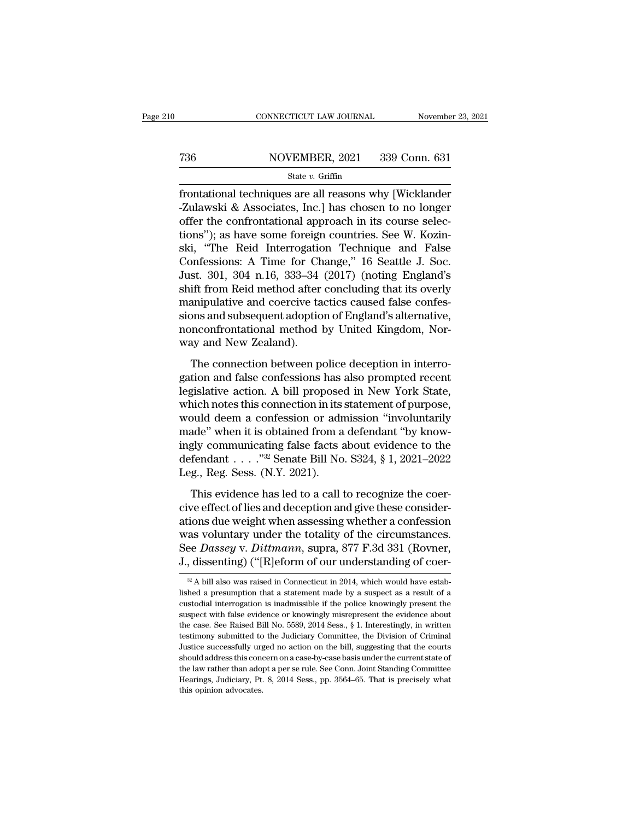# EXECUTE CONNECTICUT LAW JOURNAL Movember 23, 2021<br>
736 NOVEMBER, 2021 339 Conn. 631<br>
State v. Griffin

### State *v.* Griffin

FRONDECTICUT LAW JOURNAL November 23, 2021<br>
FRONT MOVEMBER, 2021 339 Conn. 631<br>
State v. Griffin<br>
Frontational techniques are all reasons why [Wicklander<br>
FLO-Zulawski & Associates, Inc.] has chosen to no longer<br>
FRONT MAR  $\begin{array}{r} \text{736} & \text{NOVEMBER, 2021} & \text{339 Conn. 631} \\ \text{State } v. \text{ Griffith} \end{array}$ <br>
frontational techniques are all reasons why [Wicklander -Zulawski & Associates, Inc.] has chosen to no longer offer the confrontational approach in its cour T36 NOVEMBER, 2021 339 Conn. 631<br>
State v. Griffin<br>
frontational techniques are all reasons why [Wicklander<br>
-Zulawski & Associates, Inc.] has chosen to no longer<br>
offer the confrontational approach in its course selec-<br> Tas state v. Griffin<br>State v. Griffin<br> $\frac{\text{State } v. \text{ Griffith}}{\text{Griffin}}$ <br>frontational techniques are all reasons why [Wicklander-Zulawski & Associates, Inc.] has chosen to no longer<br>offer the confrontational approach in its course s state v. Griffin<br>
state v. Griffin<br>
frontational techniques are all reasons why [Wicklander<br>
-Zulawski & Associates, Inc.] has chosen to no longer<br>
offer the confrontational approach in its course selec-<br>
tions"); as have state *v*. Griffin<br>frontational techniques are all reasons why [Wicklander<br>-Zulawski & Associates, Inc.] has chosen to no longer<br>offer the confrontational approach in its course selec-<br>tions"); as have some foreign countri frontational techniques are all reasons why [Wicklander -Zulawski & Associates, Inc.] has chosen to no longer<br>offer the confrontational approach in its course selec-<br>tions"); as have some foreign countries. See W. Kozin-<br>s -Zulawski & Associates, Inc.] has chosen to no longer<br>offer the confrontational approach in its course selec-<br>tions"); as have some foreign countries. See W. Kozin-<br>ski, "The Reid Interrogation Technique and False<br>Confessi offer the confrontational approach in its course selections"); as have some foreign countries. See W. Kozinski, "The Reid Interrogation Technique and False Confessions: A Time for Change," 16 Seattle J. Soc.<br>Just. 301, 304 tions"); as have some foreign countries. See W. Kozinski, "The Reid Interrogation Technique and False<br>Confessions: A Time for Change," 16 Seattle J. Soc.<br>Just. 301, 304 n.16, 333–34 (2017) (noting England's<br>shift from Reid ski, "The Reid Interrogation Technique and False<br>Confessions: A Time for Change," 16 Seattle J. Soc.<br>Just. 301, 304 n.16, 333–34 (2017) (noting England's<br>shift from Reid method after concluding that its overly<br>manipulative Confessions: A Time for Ch<br>Just. 301, 304 n.16, 333–34<br>shift from Reid method after<br>manipulative and coercive ta<br>sions and subsequent adoptio<br>nonconfrontational method l<br>way and New Zealand).<br>The connection between p Edstrain, 302 of 1991) (houng England E<br>ift from Reid method after concluding that its overly<br>anipulative and coercive tactics caused false confes-<br>ons and subsequent adoption of England's alternative,<br>nconfrontational met Bank Hom Tech method diter concluding and tas overly<br>manipulative and coercive tactics caused false confes-<br>sions and subsequent adoption of England's alternative,<br>nonconfrontational method by United Kingdom, Nor-<br>way and

manpalative and cocterve actives educed naise contes<br>sions and subsequent adoption of England's alternative,<br>nonconfrontational method by United Kingdom, Nor-<br>way and New Zealand).<br>The connection between police deception i sions and sussequent alloption of England 3 differentiality,<br>nonconfrontational method by United Kingdom, Nor-<br>way and New Zealand).<br>The connection between police deception in interro-<br>gation and false confessions has also way and New Zealand).<br>
The connection between police deception in interro-<br>
gation and false confessions has also prompted recent<br>
legislative action. A bill proposed in New York State,<br>
which notes this connection in its The connection between police deception in interrogation and false confessions has also prompted recent legislative action. A bill proposed in New York State, which notes this connection in its statement of purpose, would The connection between police deception in interro-<br>gation and false confessions has also prompted recent<br>legislative action. A bill proposed in New York State,<br>which notes this connection in its statement of purpose,<br>wou gation and false confessions has also prompted recent<br>legislative action. A bill proposed in New York State,<br>which notes this connection in its statement of purpose,<br>would deem a confession or admission "involuntarily<br>mad Leg., Reg. Sess. (N.Y. 2021). and deem a confession or admission "involuntarily<br>ade" when it is obtained from a defendant "by know-<br>gly communicating false facts about evidence to the<br>fendant  $\dots$  . "<sup>32</sup> Senate Bill No. S324, § 1, 2021–2022<br>g., Reg. cive effect of lies and deception and give these consider-

ations due weight when assessing whether a confession defendant  $\ldots$  ."<sup>32</sup> Senate Bill No. S324, § 1, 2021–2022<br>Leg., Reg. Sess. (N.Y. 2021).<br>This evidence has led to a call to recognize the coer-<br>cive effect of lies and deception and give these consider-<br>ations due weight Leg., Reg. Sess. (N.Y. 2021).<br>Leg., Reg. Sess. (N.Y. 2021).<br>This evidence has led to a call to recognize the coer-<br>cive effect of lies and deception and give these consider-<br>ations due weight when assessing whether a confe This evidence has led to a call to recognize the coercive effect of lies and deception and give these considerations due weight when assessing whether a confession was voluntary under the totality of the circumstances.<br>Se ations due weight when assessing whether a confession<br>was voluntary under the totality of the circumstances.<br>See Dassey v. Dittmann, supra, 877 F.3d 331 (Rovner,<br>J., dissenting) ("[R]eform of our understanding of coer-<br> $\$ was voluntary under the totality of the circumstances.<br>See Dassey v. Dittmann, supra, 877 F.3d 331 (Rovner, J., dissenting) ("[R]eform of our understanding of coer-<br> $\frac{1}{2}$ A bill also was raised in Connecticut in 2014,

See *Dassey* v. *Dittmann*, supra, 877 F.3d 331 (Rovner, J., dissenting) ("[R]eform of our understanding of coer-<br><sup>28</sup>A bill also was raised in Connecticut in 2014, which would have established a presumption that a statem J., dissenting) ("[R]eform of our understanding of coer-<br>  $\frac{1}{2}$ A bill also was raised in Connecticut in 2014, which would have established a presumption that a statement made by a suspect as a result of a custodial in  $\frac{1}{2}$ , **Cassering**) (**[iv**] **c** (**iv**] **c** conduct in 2014, which would have established a presumption that a statement made by a suspect as a result of a custodial interrogation is inadmissible if the police knowingl  $\alpha$  A bill also was raised in Connecticut in 2014, which would have established a presumption that a statement made by a suspect as a result of a custodial interrogation is inadmissible if the police knowingly present th Ished a presumption that a statement made by a suspect as a result of a custodial interrogation is inadmissible if the police knowingly present the suspect with false evidence or knowingly misrepresent the evidence about existed interrogation is inadmissible if the police knowingly present the suspect with false evidence or knowingly misrepresent the evidence about the case. See Raised Bill No. 5589, 2014 Sess., § 1. Interestingly, in writ suspect with false evidence or knowingly misrepresent the evidence about<br>the case. See Raised Bill No. 5589, 2014 Sess., § 1. Interestingly, in written<br>testimony submitted to the Judiciary Committee, the Division of Crimi the case. See Raised Bill No. 5589, 2014 Sess., § 1. Interestingly, in written testimony submitted to the Judiciary Committee, the Division of Criminal Justice successfully urged no action on the bill, suggesting that the testimony submitted to the Judiciary Committee, the Division of Criminal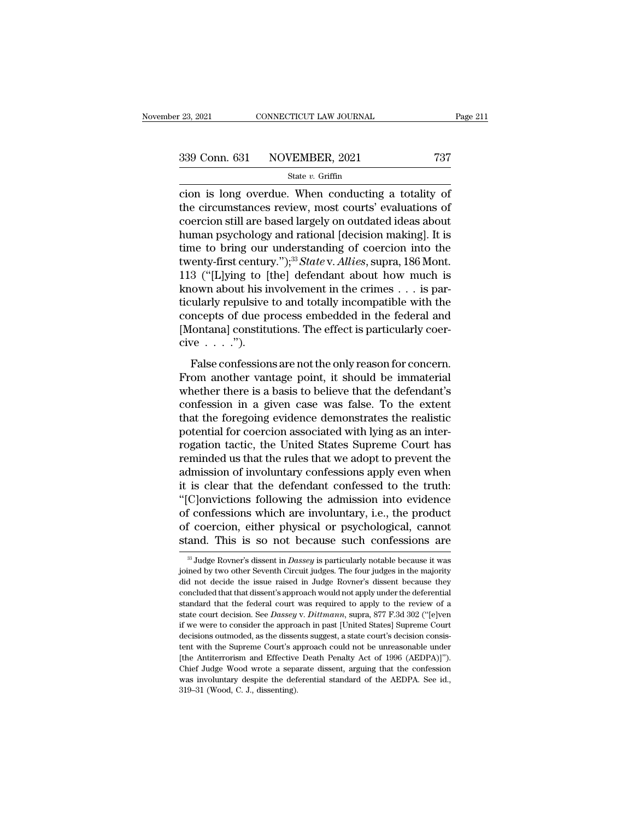connecticut in the solution is long overdue. When conducting a totality of<br>
the circumstances review, most courts' evaluations of<br>
contain the circumstances review, most courts' evaluations of<br>
coordign still are based la 339 Conn. 631 NOVEMBER, 2021 737<br>
State v. Griffin<br>
cion is long overdue. When conducting a totality of<br>
the circumstances review, most courts' evaluations of<br>
coercion still are based largely on outdated ideas about<br>
hum 339 Conn. 631 NOVEMBER, 2021 737<br>
State v. Griffin<br>
cion is long overdue. When conducting a totality of<br>
the circumstances review, most courts' evaluations of<br>
coercion still are based largely on outdated ideas about<br>
hum 339 Conn. 631 NOVEMBER, 2021 737<br>
State v. Griffin<br>
cion is long overdue. When conducting a totality of<br>
the circumstances review, most courts' evaluations of<br>
coercion still are based largely on outdated ideas about<br>
hum State v. Griffin<br>
cion is long overdue. When conducting a totality of<br>
the circumstances review, most courts' evaluations of<br>
coercion still are based largely on outdated ideas about<br>
human psychology and rational [decisi state *v*. Griffin<br>cion is long overdue. When conducting a totality of<br>the circumstances review, most courts' evaluations of<br>coercion still are based largely on outdated ideas about<br>human psychology and rational [decision cion is long overdue. When conducting a totality of<br>the circumstances review, most courts' evaluations of<br>coercion still are based largely on outdated ideas about<br>human psychology and rational [decision making]. It is<br>tim the circumstances review, most courts' evaluations of<br>coercion still are based largely on outdated ideas about<br>human psychology and rational [decision making]. It is<br>time to bring our understanding of coercion into the<br>tw coercion still are based largely on outdated ideas about<br>human psychology and rational [decision making]. It is<br>time to bring our understanding of coercion into the<br>twenty-first century.");<sup>33</sup> *State* v. *Allies*, supra, human psychology and rational [decision making]. It is<br>time to bring our understanding of coercion into the<br>twenty-first century.");<sup>33</sup> *State* v. *Allies*, supra, 186 Mont.<br>113 ("[L]ying to [the] defendant about how muc time to bring our understanding of coercion into the<br>twenty-first century.");<sup>33</sup>*State* v. *Allies*, supra, 186 Mont.<br>113 ("[L]ying to [the] defendant about how much is<br>known about his involvement in the crimes . . . is 113 ("[L]ying to [the] defendant about how much is<br>known about his involvement in the crimes . . . is par-<br>ticularly repulsive to and totally incompatible with the<br>concepts of due process embedded in the federal and<br>[Mont False confessions are not the only reason for  $\alpha$  is parallely repulsive to and totally incompatible with the neepts of due process embedded in the federal and fontanal constitutions. The effect is particularly coer-<br>ve From another vantage point, it should be immaterial<br>From another vanishing the federal and<br>[Montana] constitutions. The effect is particularly coer-<br>cive  $\dots$ .").<br>False confessions are not the only reason for concern.<br>Fro

collarly replast to and totally incompassed what the<br>concepts of due process embedded in the federal and<br>[Montana] constitutions. The effect is particularly coer-<br>cive  $\dots$ .").<br>False confessions are not the only reason fo [Montana] constitutions. The effect is particularly coercive  $\dots$ .").<br>
False confessions are not the only reason for concern.<br>
From another vantage point, it should be immaterial<br>
whether there is a basis to believe that From another vanishes. The effect is paracularly coordinate<br>cive  $\ldots$ .").<br>False confessions are not the only reason for concern.<br>From another vantage point, it should be immaterial<br>whether there is a basis to believe tha False confessions are not the only reason for concern.<br>From another vantage point, it should be immaterial<br>whether there is a basis to believe that the defendant's<br>confession in a given case was false. To the extent<br>that False confessions are not the only reason for concern.<br>From another vantage point, it should be immaterial<br>whether there is a basis to believe that the defendant's<br>confession in a given case was false. To the extent<br>that t From another vantage point, it should be immaterial<br>whether there is a basis to believe that the defendant's<br>confession in a given case was false. To the extent<br>that the foregoing evidence demonstrates the realistic<br>potent whether there is a basis to believe that the defendant's<br>confession in a given case was false. To the extent<br>that the foregoing evidence demonstrates the realistic<br>potential for coercion associated with lying as an inter-<br> confession in a given case was false. To the extent<br>that the foregoing evidence demonstrates the realistic<br>potential for coercion associated with lying as an inter-<br>rogation tactic, the United States Supreme Court has<br>remi that the foregoing evidence demonstrates the realistic<br>potential for coercion associated with lying as an inter-<br>rogation tactic, the United States Supreme Court has<br>reminded us that the rules that we adopt to prevent the<br> potential for coercion associated with lying as an inter-<br>rogation tactic, the United States Supreme Court has<br>reminded us that the rules that we adopt to prevent the<br>admission of involuntary confessions apply even when<br>it rogation tactic, the United States Supreme Court has<br>reminded us that the rules that we adopt to prevent the<br>admission of involuntary confessions apply even when<br>it is clear that the defendant confessed to the truth:<br>"[C]o reminded us that the rules that we adopt to prevent the<br>admission of involuntary confessions apply even when<br>it is clear that the defendant confessed to the truth:<br>"[C]onvictions following the admission into evidence<br>of c "[C]onvictions following the admission into evidence<br>of confessions which are involuntary, i.e., the product<br>of coercion, either physical or psychological, cannot<br>stand. This is so not because such confessions are<br> $\frac{1}{3}$ of confessions which are involuntary, i.e., the product<br>of coercion, either physical or psychological, cannot<br>stand. This is so not because such confessions are<br> $\frac{1}{3}$  Judge Rovner's dissent in *Dassey* is particularly

of coercion, either physical or psychological, cannot stand. This is so not because such confessions are  $\frac{1}{3}$  Judge Rovner's dissent in *Dassey* is particularly notable because it was joined by two other Seventh Circ stand. This is so not because such confessions are<br> $\frac{1}{3}$  Judge Rovner's dissent in *Dassey* is particularly notable because it was<br>joined by two other Seventh Circuit judges. The four judges in the majority<br>did not de standard THIS IS SO HOU DECause Such Comessions are<br>
<sup>33</sup> Judge Rovner's dissent in *Dassey* is particularly notable because it was<br>
joined by two other Seventh Circuit judges. The four judges in the majority<br>
did not dec <sup>33</sup> Judge Rovner's dissent in *Dassey* is particularly notable because it was joined by two other Seventh Circuit judges. The four judges in the majority did not decide the issue raised in Judge Rovner's dissent because joined by two other Seventh Circuit judges. The four judges in the majority did not decide the issue raised in Judge Rovner's dissent because they concluded that that dissent's approach would not apply under the deferentia decide the issue raised in Judge Rovner's dissent because they<br>concluded that that dissent's approach would not apply under the deferential<br>standard that the federal court was required to apply to the review of a<br>state cou concluded that that dissent's approach would not apply under the deferential standard that the federal court was required to apply to the review of a state court decision. See *Dassey v. Dittmann*, supra, 877 F.3d 302 ("[ standard that the federal court was required to apply to the review of a state court decision. See *Dassey* v. *Dittmann*, supra, 877 F.3d 302 ("[e]ven if we were to consider the approach in past [United States] Supreme C state court decision. See *Dassey* v. *Dittmann*, supra, 877 F.3d 302 ("[e]ven if we were to consider the approach in past [United States] Supreme Court decisions outmoded, as the dissents suggest, a state court's decisio if we were to consider the approach in past [United States] Supreme Court decisions outmoded, as the dissents suggest, a state court's decision consistent with the Supreme Court's approach could not be unreasonable under [ decisions outmoded, as the dissents suggest, a state court's decision consis-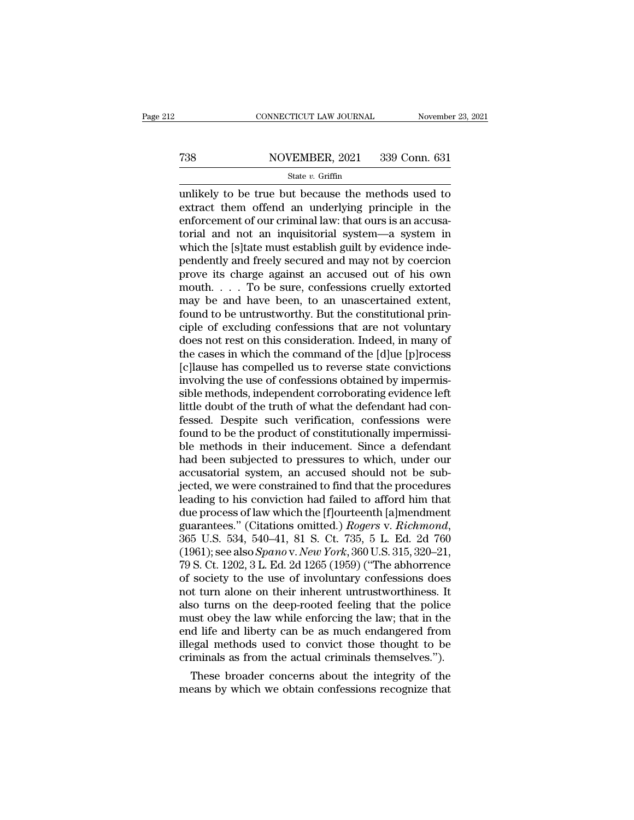# EXECUTE CONNECTICUT LAW JOURNAL Movember 23, 2021<br>
738 NOVEMBER, 2021 339 Conn. 631<br>
State v. Griffin

### State *v.* Griffin

CONNECTICUT LAW JOURNAL November 23, 2021<br>
T38 NOVEMBER, 2021 339 Conn. 631<br>
State v. Griffin<br>
Unlikely to be true but because the methods used to<br>
extract them offend an underlying principle in the<br>
onforcement of our cr Fraction MOVEMBER, 2021 339 Conn. 631<br>
State v. Griffin<br>
unlikely to be true but because the methods used to<br>
extract them offend an underlying principle in the<br>
enforcement of our criminal law: that ours is an accusa-<br>
t Figure 1.1 The MOVEMBER, 2021 339 Conn. 631<br>
State v. Griffin<br>
unlikely to be true but because the methods used to<br>
extract them offend an underlying principle in the<br>
enforcement of our criminal law: that ours is an accu T38 NOVEMBER, 2021 339 Conn. 631<br>
State v. Griffin<br>
unlikely to be true but because the methods used to<br>
extract them offend an underlying principle in the<br>
enforcement of our criminal law: that ours is an accusa-<br>
torial State v. Griffin<br>
whikely to be true but because the methods used to<br>
extract them offend an underlying principle in the<br>
enforcement of our criminal law: that ours is an accusa-<br>
torial and not an inquisitorial system—a state v. Griffin<br>
unlikely to be true but because the methods used to<br>
extract them offend an underlying principle in the<br>
enforcement of our criminal law: that ours is an accusa-<br>
torial and not an inquisitorial system—a unlikely to be true but because the methods used to<br>extract them offend an underlying principle in the<br>enforcement of our criminal law: that ours is an accusa-<br>torial and not an inquisitorial system—a system in<br>which the [ extract them offend an underlying principle in the<br>enforcement of our criminal law: that ours is an accusa-<br>torial and not an inquisitorial system—a system in<br>which the [s]tate must establish guilt by evidence inde-<br>penden enforcement of our criminal law: that ours is an accusatorial and not an inquisitorial system—a system in which the [s]tate must establish guilt by evidence independently and freely secured and may not by coercion prove it formal and not an inquisitorial system—a system in<br>which the [s]tate must establish guilt by evidence inde-<br>pendently and freely secured and may not by coercion<br>prove its charge against an accused out of his own<br>mouth.  $\d$ which the [s]tate must establish guilt by evidence independently and freely secured and may not by coercion<br>prove its charge against an accused out of his own<br>mouth.... To be sure, confessions cruelly extorted<br>may be and pendently and freely secured and may not by coercion<br>prove its charge against an accused out of his own<br>mouth. . . . To be sure, confessions cruelly extorted<br>may be and have been, to an unascertained extent,<br>found to be un prove its charge against an accused out of his own<br>mouth. . . . To be sure, confessions cruelly extorted<br>may be and have been, to an unascertained extent,<br>found to be untrustworthy. But the constitutional prin-<br>ciple of e mouth. . . . To be sure, confessions cruelly extorted<br>may be and have been, to an unascertained extent,<br>found to be untrustworthy. But the constitutional prin-<br>ciple of excluding confessions that are not voluntary<br>does no may be and have been, to an unascertained extent,<br>found to be untrustworthy. But the constitutional prin-<br>ciple of excluding confessions that are not voluntary<br>does not rest on this consideration. Indeed, in many of<br>the ca found to be untrustworthy. But the constitutional principle of excluding confessions that are not voluntary<br>does not rest on this consideration. Indeed, in many of<br>the cases in which the command of the [d]ue [p]rocess<br>[c]l ciple of excluding confessions that are not voluntary<br>does not rest on this consideration. Indeed, in many of<br>the cases in which the command of the [d]ue [p]rocess<br>[c]lause has compelled us to reverse state convictions<br>inv does not rest on this consideration. Indeed, in many of<br>the cases in which the command of the [d]ue [p]rocess<br>[c]lause has compelled us to reverse state convictions<br>involving the use of confessions obtained by impermis-<br>si the cases in which the command of the [d]ue [p]rocess<br>[c]lause has compelled us to reverse state convictions<br>involving the use of confessions obtained by impermis-<br>sible methods, independent corroborating evidence left<br>lit [c]lause has compelled us to reverse state convictions<br>involving the use of confessions obtained by impermis-<br>sible methods, independent corroborating evidence left<br>little doubt of the truth of what the defendant had con-<br> involving the use of confessions obtained by impermis-<br>sible methods, independent corroborating evidence left<br>little doubt of the truth of what the defendant had con-<br>fessed. Despite such verification, confessions were<br>fou sible methods, independent corroborating evidence left<br>little doubt of the truth of what the defendant had con-<br>fessed. Despite such verification, confessions were<br>found to be the product of constitutionally impermissi-<br>bl little doubt of the truth of what the defendant had confessed. Despite such verification, confessions were found to be the product of constitutionally impermissible methods in their inducement. Since a defendant had been s fessed. Despite such verification, confessions were<br>found to be the product of constitutionally impermissi-<br>ble methods in their inducement. Since a defendant<br>had been subjected to pressures to which, under our<br>accusatoria found to be the product of constitutionally impermissible methods in their inducement. Since a defendant<br>had been subjected to pressures to which, under our<br>accusatorial system, an accused should not be sub-<br>jected, we we ble methods in their inducement. Since a defendant<br>had been subjected to pressures to which, under our<br>accusatorial system, an accused should not be sub-<br>jected, we were constrained to find that the procedures<br>leading to h accusatorial system, an accused should not be sub-<br>jected, we were constrained to find that the procedures<br>leading to his conviction had failed to afford him that<br>due process of law which the [f]ourteenth [a]mendment<br>guara jected, we were constrained to find that the procedures<br>leading to his conviction had failed to afford him that<br>due process of law which the [f]ourteenth [a]mendment<br>guarantees." (Citations omitted.) *Rogers* v. *Richmond* leading to his conviction had failed to afford him that<br>due process of law which the [f]ourteenth [a]mendment<br>guarantees." (Citations omitted.) *Rogers v. Richmond*,<br>365 U.S. 534, 540–41, 81 S. Ct. 735, 5 L. Ed. 2d 760<br>(19 due process of law which the [f]ourteenth [a]mendment<br>guarantees." (Citations omitted.) *Rogers v. Richmond*,<br>365 U.S. 534, 540–41, 81 S. Ct. 735, 5 L. Ed. 2d 760<br>(1961); see also *Spano v. New York*, 360 U.S. 315, 320–21, guarantees." (Citations omitted.) *Rogers v. Richmond*, 365 U.S. 534, 540–41, 81 S. Ct. 735, 5 L. Ed. 2d 760 (1961); see also *Spano v. New York*, 360 U.S. 315, 320–21, 79 S. Ct. 1202, 3 L. Ed. 2d 1265 (1959) ("The abhorre 365 U.S. 534, 540–41, 81 S. Ct. 735, 5 L. Ed. 2d 760 (1961); see also *Spano* v. *New York*, 360 U.S. 315, 320–21, 79 S. Ct. 1202, 3 L. Ed. 2d 1265 (1959) ("The abhorrence of society to the use of involuntary confessions (1961); see also *Spano* v. *New York*, 360 U.S. 315, 320–21,<br>79 S. Ct. 1202, 3 L. Ed. 2d 1265 (1959) ("The abhorrence<br>of society to the use of involuntary confessions does<br>not turn alone on their inherent untrustworthine 79 S. Ct. 1202, 3 L. Ed. 2d 1265 (1959) ("The abhorrence<br>of society to the use of involuntary confessions does<br>not turn alone on their inherent untrustworthiness. It<br>also turns on the deep-rooted feeling that the police<br>mu of society to the use of involuntary confessions does<br>not turn alone on their inherent untrustworthiness. It<br>also turns on the deep-rooted feeling that the police<br>must obey the law while enforcing the law; that in the<br>end It turn alone on their inherent untrustworthiness. It<br>so turns on the deep-rooted feeling that the police<br>ust obey the law while enforcing the law; that in the<br>d life and liberty can be as much endangered from<br>egal methods also turns on the deep-rooted feeling that the police<br>must obey the law while enforcing the law; that in the<br>end life and liberty can be as much endangered from<br>illegal methods used to convict those thought to be<br>criminals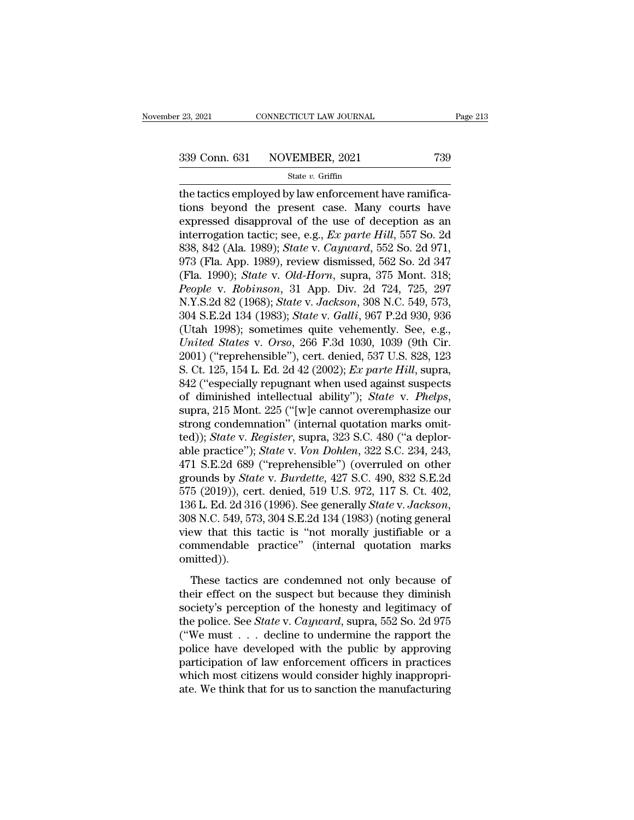$\begin{array}{cccc} \text{23, 2021} & \text{CONNETICUT LAW JOURNAL} \ \end{array}$ <br>  $\begin{array}{cccc} \text{339 Conn. 631} & \text{NOVEMBER, 2021} & \text{739} \ \end{array}$ <br>  $\begin{array}{cccc} \text{State } v. \text{ Griffith} \ \end{array}$ <br>  $\begin{array}{cccc} \text{State } v. \text{ Griffith} \ \end{array}$ <br>  $\begin{array}{cccc} \text{State } v. \text{Verify} \ \end{array}$ <br>  $\begin{array}{cccc} \text{State } v. \text{Verify} \ \end{array}$ <br>  $\begin{array}{cccc} \$ 339 Conn. 631 NOVEMBER, 2021 739<br>
state v. Griffin<br>
the tactics employed by law enforcement have ramifica-<br>
tions beyond the present case. Many courts have<br>
expressed disapproval of the use of deception as an<br>
intercontio 339 Conn. 631 NOVEMBER, 2021 739<br>
State v. Griffin<br>
the tactics employed by law enforcement have ramifica-<br>
tions beyond the present case. Many courts have<br>
expressed disapproval of the use of deception as an<br>
interrogati 339 Conn. 631 NOVEMBER, 2021 739<br>
State *v*. Griffin<br>
the tactics employed by law enforcement have ramifica-<br>
tions beyond the present case. Many courts have<br>
expressed disapproval of the use of deception as an<br>
interrogat State *v*. Griffin<br>
State *v*. Griffin<br>
the tactics employed by law enforcement have ramifica-<br>
tions beyond the present case. Many courts have<br>
expressed disapproval of the use of deception as an<br>
interrogation tactic; se state v. Griffin<br>the tactics employed by law enforcement have ramifica-<br>tions beyond the present case. Many courts have<br>expressed disapproval of the use of deception as an<br>interrogation tactic; see, e.g., *Ex parte Hill*, the tactics employed by law enforcement have ramifications beyond the present case. Many courts have<br>expressed disapproval of the use of deception as an<br>interrogation tactic; see, e.g., *Ex parte Hill*, 557 So. 2d<br>838, 842 tions beyond the present case. Many courts have<br>expressed disapproval of the use of deception as an<br>interrogation tactic; see, e.g., *Ex parte Hill*, 557 So. 2d<br>838, 842 (Ala. 1989); *State v. Cayward*, 552 So. 2d 971,<br>973 expressed disapproval of the use of deception as an interrogation tactic; see, e.g., *Ex parte Hill*, 557 So. 2d 388, 842 (Ala. 1989); *State* v. *Cayward*, 552 So. 2d 971, 973 (Fla. App. 1989), review dismissed, 562 So. 2 interrogation tactic; see, e.g., *Ex parte Hill*, 557 So. 2d<br>838, 842 (Ala. 1989); *State* v. *Cayward*, 552 So. 2d 971,<br>973 (Fla. App. 1989), review dismissed, 562 So. 2d 347<br>(Fla. 1990); *State* v. *Old-Horn*, supra, 375 838, 842 (Ala. 1989); *State v. Cayward*, 552 So. 2d 971,<br>973 (Fla. App. 1989), review dismissed, 562 So. 2d 347<br>(Fla. 1990); *State v. Old-Horn*, supra, 375 Mont. 318;<br>*People v. Robinson*, 31 App. Div. 2d 724, 725, 297<br>N 973 (Fla. App. 1989), review dismissed, 562 So. 2d 347<br> *(Fla. 1990); State v. Old-Horn*, supra, 375 Mont. 318;<br> *People v. Robinson*, 31 App. Div. 2d 724, 725, 297<br> *N.Y.S.2d* 82 (1968); *State v. Jackson*, 308 N.C. 549, (Fla. 1990); *State v. Old-Horn*, supra, 375 Mont. 318;<br> *People v. Robinson*, 31 App. Div. 2d 724, 725, 297<br>
N.Y.S.2d 82 (1968); *State v. Jackson*, 308 N.C. 549, 573,<br>
304 S.E.2d 134 (1983); *State v. Galli*, 967 P.2d 9 People v. Robinson, 31 App. Div. 2d 724, 725, 297<br>N.Y.S.2d 82 (1968); *State v. Jackson*, 308 N.C. 549, 573,<br>304 S.E.2d 134 (1983); *State v. Galli*, 967 P.2d 930, 936<br>(Utah 1998); sometimes quite vehemently. See, e.g.,<br>*U* N.Y.S.2d 82 (1968); *State v. Jackson*, 308 N.C. 549, 573,<br>304 S.E.2d 134 (1983); *State v. Galli*, 967 P.2d 930, 936<br>(Utah 1998); sometimes quite vehemently. See, e.g.,<br>*United States v. Orso*, 266 F.3d 1030, 1039 (9th Ci 304 S.E.2d 134 (1983); *State* v. *Galli*, 967 P.2d 930, 936<br>(Utah 1998); sometimes quite vehemently. See, e.g.,<br>*United States* v. *Orso*, 266 F.3d 1030, 1039 (9th Cir.<br>2001) ("reprehensible"), cert. denied, 537 U.S. 828, United States v. Orso, 266 F.3d 1030, 1039 (9th Cir. 2001) ("reprehensible"), cert. denied, 537 U.S. 828, 123 S. Ct. 125, 154 L. Ed. 2d 42 (2002); *Ex parte Hill*, supra, 842 ("especially repugnant when used against suspe 2001) ("reprehensible"), cert. denied, 537 U.S. 828, 123<br>S. Ct. 125, 154 L. Ed. 2d 42 (2002); *Ex parte Hill*, supra,<br>842 ("especially repugnant when used against suspects<br>of diminished intellectual ability"); *State* v. S. Ct. 125, 154 L. Ed. 2d 42 (2002); *Ex parte Hill*, supra,<br>842 ("especially repugnant when used against suspects<br>of diminished intellectual ability"); *State* v. *Phelps*,<br>supra, 215 Mont. 225 ("[w]e cannot overemphasize 842 ("especially repugnant when used against suspects<br>of diminished intellectual ability"); *State* v. *Phelps*,<br>supra, 215 Mont. 225 ("[w]e cannot overemphasize our<br>strong condemnation" (internal quotation marks omit-<br>ted of diminished intellectual ability"); *State* v. *Phelps*,<br>supra, 215 Mont. 225 ("[w]e cannot overemphasize our<br>strong condemnation" (internal quotation marks omit-<br>ted)); *State* v. *Register*, supra, 323 S.C. 480 ("a dep supra, 215 Mont. 225 ("[w]e cannot overemphasize our<br>strong condemnation" (internal quotation marks omit-<br>ted)); *State v. Register*, supra, 323 S.C. 480 ("a deplor-<br>able practice"); *State v. Von Dohlen*, 322 S.C. 234, 24 strong condemnation" (internal quotation marks omit-<br>ted)); *State* v. *Register*, supra, 323 S.C. 480 ("a deplor-<br>able practice"); *State* v. *Von Dohlen*, 322 S.C. 234, 243,<br>471 S.E.2d 689 ("reprehensible") (overruled on able practice"); *State* v. *Von Dohlen*, 322 S.C. 234, 243,<br>471 S.E.2d 689 ("reprehensible") (overruled on other<br>grounds by *State* v. *Burdette*, 427 S.C. 490, 832 S.E.2d<br>575 (2019)), cert. denied, 519 U.S. 972, 117 S. C 471 S.E.2d 689 ("reprehensible") (overruled on other grounds by *State v. Burdette*, 427 S.C. 490, 832 S.E.2d 575 (2019)), cert. denied, 519 U.S. 972, 117 S. Ct. 402, 136 L. Ed. 2d 316 (1996). See generally *State v. Jack* omitted)). 6 L. Ed. 2d 316 (1996). See generally *State v. Jackson*,<br>6 L. Ed. 2d 316 (1996). See generally *State v. Jackson*,<br>8 N.C. 549, 573, 304 S.E.2d 134 (1983) (noting general<br>ew that this tactic is "not morally justifiable or 1998 M.C. 549, 573, 304 S.E.2d 134 (1983) (noting general<br>view that this tactic is "not morally justifiable or a<br>commendable practice" (internal quotation marks<br>omitted)).<br>These tactics are condemned not only because of<br>t

society's perception of the fractional production of the commendable practice" (internal quotation marks omitted)).<br>These tactics are condemned not only because of their effect on the suspect but because they diminish soc the police. See *State* is the molandy jastimate of a commendable practice" (internal quotation marks omitted)).<br>These tactics are condemned not only because of their effect on the suspect but because they diminish society omitted)).<br>
These tactics are condemned not only because of<br>
their effect on the suspect but because they diminish<br>
society's perception of the honesty and legitimacy of<br>
the police. See *State* v. *Cayward*, supra, 552 S These tactics are condemned not only because of<br>their effect on the suspect but because they diminish<br>society's perception of the honesty and legitimacy of<br>the police. See *State* v. *Cayward*, supra, 552 So. 2d 975<br>("We These tactics are condemned not only because of<br>their effect on the suspect but because they diminish<br>society's perception of the honesty and legitimacy of<br>the police. See *State* v. *Cayward*, supra, 552 So. 2d 975<br>("We their effect on the suspect but because they diminish society's perception of the honesty and legitimacy of the police. See *State* v. *Cayward*, supra, 552 So. 2d 975 ("We must  $\ldots$  decline to undermine the rapport the society's perception of the honesty and legitimacy of<br>the police. See *State* v. *Cayward*, supra, 552 So. 2d 975<br>("We must  $\ldots$  decline to undermine the rapport the<br>police have developed with the public by approving<br>par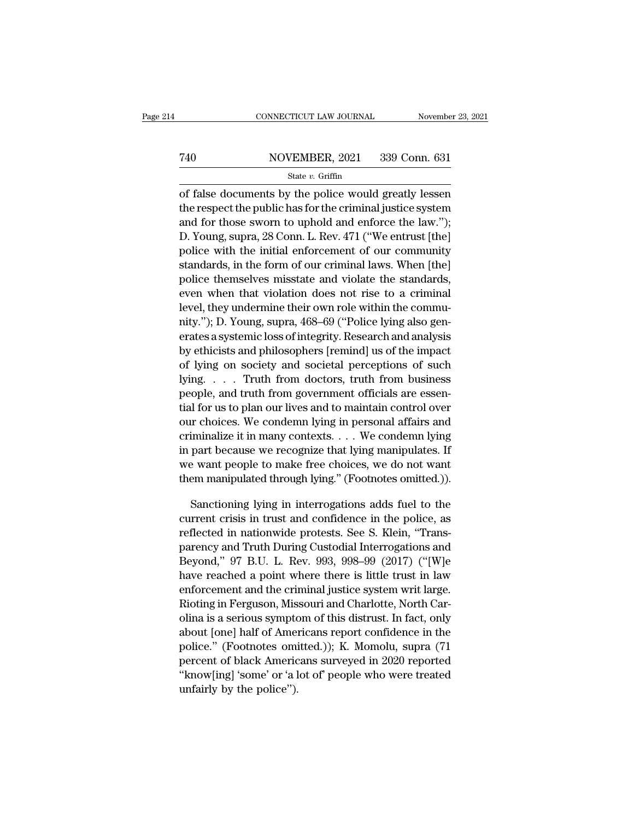# EXECUTE CONNECTICUT LAW JOURNAL Movember 23, 2021<br>
740 NOVEMBER, 2021 339 Conn. 631<br>
81 State v. Griffin

### State *v.* Griffin

CONNECTICUT LAW JOURNAL November 23, 2021<br>
T40 NOVEMBER, 2021 339 Conn. 631<br>
State v. Griffin<br>
of false documents by the police would greatly lessen<br>
the respect the public has for the criminal justice system<br>
and for the T40 NOVEMBER, 2021 339 Conn. 631<br>
State v. Griffin<br>
of false documents by the police would greatly lessen<br>
the respect the public has for the criminal justice system<br>
and for those sworn to uphold and enforce the law.");<br> T40 NOVEMBER, 2021 339 Conn. 631<br>
State v. Griffin<br>
of false documents by the police would greatly lessen<br>
the respect the public has for the criminal justice system<br>
and for those sworn to uphold and enforce the law.''); T40 NOVEMBER, 2021 339 Conn. 631<br>
State *v*. Griffin<br>
Of false documents by the police would greatly lessen<br>
the respect the public has for the criminal justice system<br>
and for those sworn to uphold and enforce the law.") State v. Griffin<br>
of false documents by the police would greatly lessen<br>
the respect the public has for the criminal justice system<br>
and for those sworn to uphold and enforce the law.");<br>
D. Young, supra, 28 Conn. L. Rev. of false documents by the police would greatly lessen<br>the respect the public has for the criminal justice system<br>and for those sworn to uphold and enforce the law.");<br>D. Young, supra, 28 Conn. L. Rev. 471 ("We entrust [the or raise documents by the police would greatly lessen<br>the respect the public has for the criminal justice system<br>and for those sworn to uphold and enforce the law.");<br>D. Young, supra, 28 Conn. L. Rev. 471 ("We entrust [the the respect the public has for the criminal justice system<br>and for those sworn to uphold and enforce the law.");<br>D. Young, supra, 28 Conn. L. Rev. 471 ("We entrust [the]<br>police with the initial enforcement of our community and for those sworn to uphold and enforce the faw. );<br>D. Young, supra, 28 Conn. L. Rev. 471 ("We entrust [the]<br>police with the initial enforcement of our community<br>standards, in the form of our criminal laws. When [the]<br>po D. Young, supra, 28 Conn. L. Rev. 471 (We entrust [the]<br>police with the initial enforcement of our community<br>standards, in the form of our criminal laws. When [the]<br>police themselves misstate and violate the standards,<br>eve ponce with the mitial enforcement of our community<br>standards, in the form of our criminal laws. When [the]<br>police themselves misstate and violate the standards,<br>even when that violation does not rise to a criminal<br>level, t standards, in the form of our criminal laws. When [the]<br>police themselves misstate and violate the standards,<br>even when that violation does not rise to a criminal<br>level, they undermine their own role within the commu-<br>nity police themselves misstate and violate the standards,<br>even when that violation does not rise to a criminal<br>level, they undermine their own role within the commu-<br>nity."); D. Young, supra, 468–69 ("Police lying also gen-<br>er even when that violation does not rise to a criminal<br>level, they undermine their own role within the commu-<br>nity."); D. Young, supra, 468–69 ("Police lying also gen-<br>erates a systemic loss of integrity. Research and analys pever, they undernune their own role within the commu-<br>nity."); D. Young, supra, 468–69 ("Police lying also gen-<br>erates a systemic loss of integrity. Research and analysis<br>by ethicists and philosophers [remind] us of the i they. 3; D. Young, supra, 408–09 (Police lying also generates a systemic loss of integrity. Research and analysis<br>by ethicists and philosophers [remind] us of the impact<br>of lying on society and societal perceptions of such erates a systemic loss of mtegrity. Research and analysis<br>by ethicists and philosophers [remind] us of the impact<br>of lying on society and societal perceptions of such<br>lying.... Truth from doctors, truth from business<br>peopl by emicists and philosophers [remind] us of the impact<br>of lying on society and societal perceptions of such<br>lying. . . . Truth from doctors, truth from business<br>people, and truth from government officials are essen-<br>tial or lying on society and societal perceptions or such<br>lying.... Truth from doctors, truth from business<br>people, and truth from government officials are essen-<br>tial for us to plan our lives and to maintain control over<br>our rying. . . . . I ruth from doctors, truth from business<br>people, and truth from government officials are essen-<br>tial for us to plan our lives and to maintain control over<br>our choices. We condemn lying in personal affairs an people, and truth from government officials are essential for us to plan our lives and to maintain control over<br>our choices. We condemn lying in personal affairs and<br>criminalize it in many contexts. . . . We condemn lying<br> In the condemnation is personal affairs and<br>iminalize it in many contexts. . . . We condemn lying<br>part because we recognize that lying manipulates. If<br>e want people to make free choices, we do not want<br>em manipulated thro criminalize it in many contexts.  $\dots$  We condemn lying<br>in part because we recognize that lying manipulates. If<br>we want people to make free choices, we do not want<br>them manipulated through lying." (Footnotes omitted.)).<br>Sa

in part because we recognize that lying manipulates. If<br>we want people to make free choices, we do not want<br>them manipulated through lying." (Footnotes omitted.)).<br>Sanctioning lying in interrogations adds fuel to the<br>curre we want people to make free choices, we do not want<br>them manipulated through lying." (Footnotes omitted.)).<br>Sanctioning lying in interrogations adds fuel to the<br>current crisis in trust and confidence in the police, as<br>refl them manipulated through lying." (Footnotes omitted.)).<br>
Sanctioning lying in interrogations adds fuel to the<br>
current crisis in trust and confidence in the police, as<br>
reflected in nationwide protests. See S. Klein, "Tran Sanctioning lying in interrogations adds fuel to the<br>current crisis in trust and confidence in the police, as<br>reflected in nationwide protests. See S. Klein, "Trans-<br>parency and Truth During Custodial Interrogations and<br>Be sanctioning lying in interrogations adds luet to the<br>current crisis in trust and confidence in the police, as<br>reflected in nationwide protests. See S. Klein, "Trans-<br>parency and Truth During Custodial Interrogations and<br>Be current crisis in trust and confidence in the police, as<br>reflected in nationwide protests. See S. Klein, "Trans-<br>parency and Truth During Custodial Interrogations and<br>Beyond," 97 B.U. L. Rev. 993, 998–99 (2017) ("[W]e<br>have renected in nationwide protests. See S. Kiem, Trans-<br>parency and Truth During Custodial Interrogations and<br>Beyond," 97 B.U. L. Rev. 993, 998–99 (2017) ("[W]e<br>have reached a point where there is little trust in law<br>enforcem parency and Truth During Custodial Interrogations and<br>Beyond," 97 B.U. L. Rev. 993, 998–99 (2017) ("[W]e<br>have reached a point where there is little trust in law<br>enforcement and the criminal justice system writ large.<br>Rioti beyond,  $97$  B.O. L. Rev.  $995$ ,  $998-99$  (2017) ( [W]e<br>have reached a point where there is little trust in law<br>enforcement and the criminal justice system writ large.<br>Rioting in Ferguson, Missouri and Charlotte, North Ca nave reacned a point where there is fittle trust in law<br>enforcement and the criminal justice system writ large.<br>Rioting in Ferguson, Missouri and Charlotte, North Car-<br>olina is a serious symptom of this distrust. In fact, enforcement and the criminal justice system writ large.<br>
Rioting in Ferguson, Missouri and Charlotte, North Car-<br>
olina is a serious symptom of this distrust. In fact, only<br>
about [one] half of Americans report confidence Khoung in Ferguson, Mis<br>olina is a serious sympto<br>about [one] half of Amer<br>police.'' (Footnotes omi<br>percent of black Americ<br>"know[ing] 'some' or 'a l<br>unfairly by the police'').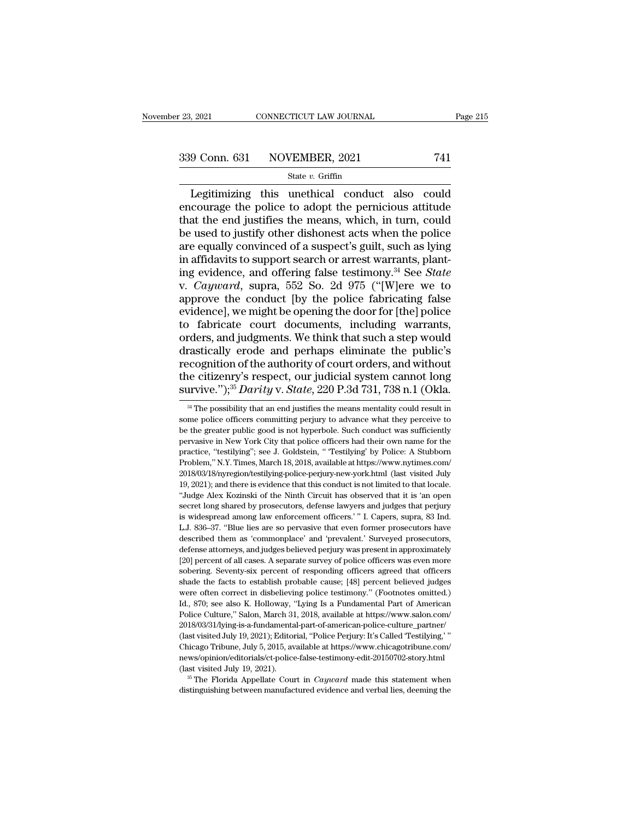# $\frac{23,2021}{239 \text{ Conn. } 631}$  CONNECTICUT LAW JOURNAL Page 215<br>339 Conn. 631 NOVEMBER, 2021 741<br>State v. Griffin

### State *v.* Griffin

Equal to the connective conduct also could<br>
Dependence to the conduct also could<br>
the end justifies the means which in turn could<br>
equal the end justifies the means which in turn could 339 Conn. 631 NOVEMBER, 2021 741<br>
State v. Griffin<br>
Legitimizing this unethical conduct also could<br>
encourage the police to adopt the pernicious attitude<br>
that the end justifies the means, which, in turn, could<br>
he used t 339 Conn. 631 NOVEMBER, 2021 741<br>
State v. Griffin<br>
Legitimizing this unethical conduct also could<br>
encourage the police to adopt the pernicious attitude<br>
that the end justifies the means, which, in turn, could<br>
be used t 339 Conn. 631 NOVEMBER, 2021 741<br>
State v. Griffin<br>
Legitimizing this unethical conduct also could<br>
encourage the police to adopt the pernicious attitude<br>
that the end justifies the means, which, in turn, could<br>
be used t Equilibrium State v. Griffin<br>
State v. Griffin<br>
Legitimizing this unethical conduct also could<br>
encourage the police to adopt the pernicious attitude<br>
that the end justifies the means, which, in turn, could<br>
be used to ju State *v*. Griffin<br>Legitimizing this unethical conduct also could<br>encourage the police to adopt the pernicious attitude<br>that the end justifies the means, which, in turn, could<br>be used to justify other dishonest acts when Legitimizing this unethical conduct also could<br>encourage the police to adopt the pernicious attitude<br>that the end justifies the means, which, in turn, could<br>be used to justify other dishonest acts when the police<br>are equal encourage the police to adopt the pernicious attitude<br>that the end justifies the means, which, in turn, could<br>be used to justify other dishonest acts when the police<br>are equally convinced of a suspect's guilt, such as lyin that the end justifies the means, which, in turn, could<br>be used to justify other dishonest acts when the police<br>are equally convinced of a suspect's guilt, such as lying<br>in affidavits to support search or arrest warrants, be used to justify other dishonest acts when the police<br>are equally convinced of a suspect's guilt, such as lying<br>in affidavits to support search or arrest warrants, plant-<br>ing evidence, and offering false testimony.<sup>34</sup> S are equally convinced of a suspect's guilt, such as lying<br>in affidavits to support search or arrest warrants, plant-<br>ing evidence, and offering false testimony.<sup>34</sup> See *State*<br>v. *Cayward*, supra, 552 So. 2d 975 ("[W]ere in affidavits to support search or arrest warrants, planting evidence, and offering false testimony.<sup>34</sup> See *State* v. *Cayward*, supra, 552 So. 2d 975 ("[W]ere we to approve the conduct [by the police fabricating false ing evidence, and offering false testimony.<sup>34</sup> See *State*<br>v. *Cayward*, supra, 552 So. 2d 975 ("[W]ere we to<br>approve the conduct [by the police fabricating false<br>evidence], we might be opening the door for [the] police<br>t v. *Cayward*, supra, 552 So. 2d 975 ("[W]ere we to approve the conduct [by the police fabricating false evidence], we might be opening the door for [the] police to fabricate court documents, including warrants, orders, an approve the conduct [by the police fabricating false<br>evidence], we might be opening the door for [the] police<br>to fabricate court documents, including warrants,<br>orders, and judgments. We think that such a step would<br>drasti evidence], we might be opening the door for [the] police<br>to fabricate court documents, including warrants,<br>orders, and judgments. We think that such a step would<br>drastically erode and perhaps eliminate the public's<br>recogni rastically erode and perhaps eliminate the public's<br>ecognition of the authority of court orders, and without<br>le citizenry's respect, our judicial system cannot long<br>irvive.");<sup>35</sup> *Darity* v. *State*, 220 P.3d 731, 738 n. recognition of the authority of court orders, and without<br>the citizenry's respect, our judicial system cannot long<br>survive.");<sup>35</sup> *Darity* v. *State*, 220 P.3d 731, 738 n.1 (Okla.<br><sup>34</sup> The possibility that an end justifi

the citizenry's respect, our judicial system cannot long<br>survive.");<sup>35</sup> *Darity* v. *State*, 220 P.3d 731, 738 n.1 (Okla.<br><sup>34</sup> The possibility that an end justifies the means mentality could result in<br>some police officer survive."),<sup>35</sup> *Darity* v. *State*, 220 P.3d 731, 738 n.1 (Okla.<br>
<sup>34</sup> The possibility that an end justifies the means mentality could result in<br>
some police officers committing perjury to advance what they perceive to<br> **SULTATE:**  $\frac{1}{3}$  The possibility that an end justifies the means mentality could result in some police officers committing perjury to advance what they perceive to be the greater public good is not hyperbole. Such con <sup>34</sup> The possibility that an end justifies the means mentality could result in some police officers committing perjury to advance what they perceive to be the greater public good is not hyperbole. Such conduct was suffici some police officers commiting perjury to advance what they perceive to be the greater public good is not hyperbole. Such conduct was sufficiently pervasive in New York City that police officers had their own name for the be the greater public good is not hyperbole. Such conduct was sufficiently pervasive in New York City that police officers had their own name for the practice, "testilying"; see J. Goldstein, "Testilying" by Police: A Stub be pervasive in New York City that police officers had their own name for the practice, "testilying"; see J. Goldstein, " Testilying' by Police: A Stubborn Problem," N.Y. Times, March 18, 2018, available at https://www.nyt practice, "testilying"; see J. Goldstein, "Testilying" by Police: A Stubborn Problem," N.Y. Times, March 18, 2018, available at https://www.nytimes.com/<br>2018/03/18/nyregion/testilying-police-perjury-new-york.html (last vis Problem," N.Y. Times, March 18, 2018, available at https://www.nytimes.com/<br>2018/03/18/nyregion/testilying-police-perjury-new-york.html (last visited July<br>19, 2021); and there is evidence that this conduct is not limited t 2018/03/18/nyregion/testilying-police-perjury-new-york.html (last visited July 19, 2021); and there is evidence that this conduct is not limited to that locale. "Judge Alex Kozinski of the Ninth Circuit has observed that i 19, 2021); and there is evidence that this conduct is not limited to that locale.<br>19, 2021); and there is evidence that this conduct is not limited to that locale.<br>"Judge Alex Kozinski of the Ninth Circuit has observed tha <sup>24</sup> Judge Alex Kozinski of the Ninth Circuit has observed that it is 'an open<br>secret long shared by prosecutors, defense lawyers and judges that perjury<br>is widespread among law enforcement officers.' " I. Capers, supra, 8 secret long shared by prosecutors, defense lawyers and judges that perjury<br>is widespread among law enforcement officers.' " I. Capers, supra, 83 Ind.<br>L.J. 836–37. "Blue lies are so pervasive that even former prosecutors ha is widespread among law enforcement officers.'" I. Capers, supra, 83 Ind.<br>L.J. 836–37. "Blue lies are so pervasive that even former prosecutors have<br>described them as 'commonplace' and 'prevalent.' Surveyed prosecutors,<br>d L.J. 836–37. "Blue lies are so pervasive that even former prosecutors have described them as 'commonplace' and 'prevalent.' Surveyed prosecutors, defense attorneys, and judges believed perjury was present in approximately described them as 'commonplace' and 'prevalent.' Surveyed prosecutors,<br>defense attorneys, and judges believed perjury was present in approximately<br>[20] percent of all cases. A separate survey of police officers was even mo defense attorneys, and judges believed perjury was present in approximately [20] percent of all cases. A separate survey of police officers was even more sobering. Seventy-six percent of responding officers agreed that off [20] percent of all cases. A separate survey of police officers was even more sobering. Seventy-six percent of responding officers sagreed that officers shade the facts to establish probable cause; [48] percent believed ju 2018/03/31/lying-is-a-fundamental-part-of-american-police-culture\_partner/ shade the facts to establish probable cause; [48] percent believed judges were often correct in disbelieving police testimony." (Footnotes omitted.) Id., 870; see also K. Holloway, "Lying Is a Fundamental Part of American were often correct in disbelieving police testimony." (Footnotes omitted.) Id., 870; see also K. Holloway, "Lying Is a Fundamental Part of American Police Culture," Salon, March 31, 2018, available at https://www.salon.com news/opinion/editorials/ct-police-false-testimony-edit-20150702-story.html Folice Culture," Salon, March 31, 2018, available at https://www.salon.com/<br>2018/03/31/lying-is-a-fundamental-part-of-american-police-culture\_partner/<br>(last visited July 19, 2021); Editorial, "Police Perjury: It's Called ' (last visited July 19, 2021); Editorial, "Police Perjury: It's Called 'Testilying,' "Chicago Tribune, July 5, 2015, available at https://www.chicagotribune.com/news/opinion/editorials/ct-police-false-testimony-edit-201507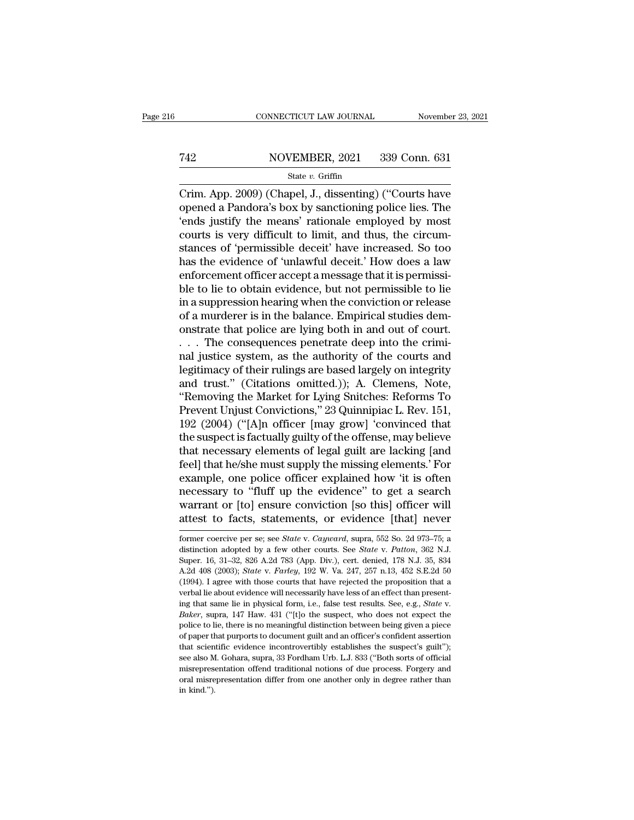# EXECUTE CONNECTICUT LAW JOURNAL Movember 23, 2021<br>
742 NOVEMBER, 2021 339 Conn. 631<br>
State v. Griffin

### State *v.* Griffin

CONNECTICUT LAW JOURNAL November 23, 2021<br>
T42 NOVEMBER, 2021 339 Conn. 631<br>
State v. Griffin<br>
Crim. App. 2009) (Chapel, J., dissenting) ("Courts have<br>
opened a Pandora's box by sanctioning police lies. The<br>
"conds justify T42 NOVEMBER, 2021 339 Conn. 631<br>
State v. Griffin<br>
Crim. App. 2009) (Chapel, J., dissenting) ("Courts have<br>
opened a Pandora's box by sanctioning police lies. The<br>
"ends justify the means" rationale employed by most<br>
cou T42 NOVEMBER, 2021 339 Conn. 631<br>
State v. Griffin<br>
Crim. App. 2009) (Chapel, J., dissenting) ("Courts have<br>
opened a Pandora's box by sanctioning police lies. The<br>
'ends justify the means' rationale employed by most<br>
cou T42 NOVEMBER, 2021 339 Conn. 631<br>
State v. Griffin<br>
Crim. App. 2009) (Chapel, J., dissenting) ("Courts have<br>
opened a Pandora's box by sanctioning police lies. The<br>
'ends justify the means' rationale employed by most<br>
cou State v. Griffin<br>
State v. Griffin<br>
Crim. App. 2009) (Chapel, J., dissenting) ("Courts have<br>
opened a Pandora's box by sanctioning police lies. The<br>
'ends justify the means' rationale employed by most<br>
courts is very diff state v. Grifin<br>Crim. App. 2009) (Chapel, J., dissenting) ("Courts have<br>opened a Pandora's box by sanctioning police lies. The<br>'ends justify the means' rationale employed by most<br>courts is very difficult to limit, and thu Crim. App. 2009) (Chapel, J., dissenting) ("Courts have<br>opened a Pandora's box by sanctioning police lies. The<br>'ends justify the means' rationale employed by most<br>courts is very difficult to limit, and thus, the circum-<br>st opened a Pandora's box by sanctioning police lies. The<br>
'ends justify the means' rationale employed by most<br>
courts is very difficult to limit, and thus, the circum-<br>
stances of 'permissible deceit' have increased. So too<br> 'ends justify the means' rationale employed by most<br>courts is very difficult to limit, and thus, the circum-<br>stances of 'permissible deceit' have increased. So too<br>has the evidence of 'unlawful deceit.' How does a law<br>enfo courts is very difficult to limit, and thus, the circum-<br>stances of 'permissible deceit' have increased. So too<br>has the evidence of 'unlawful deceit.' How does a law<br>enforcement officer accept a message that it is permissi stances of 'permissible deceit' have increased. So too<br>has the evidence of 'unlawful deceit.' How does a law<br>enforcement officer accept a message that it is permissi-<br>ble to lie to obtain evidence, but not permissible to l has the evidence of 'unlawful deceit.' How does a law<br>enforcement officer accept a message that it is permissi-<br>ble to lie to obtain evidence, but not permissible to lie<br>in a suppression hearing when the conviction or rele enforcement officer accept a message that it is permissible to lie<br>ble to lie to obtain evidence, but not permissible to lie<br>in a suppression hearing when the conviction or release<br>of a murderer is in the balance. Empiric ble to lie to obtain evidence, but not permissible to lie<br>in a suppression hearing when the conviction or release<br>of a murderer is in the balance. Empirical studies dem-<br>onstrate that police are lying both in and out of co in a suppression hearing when the conviction or release<br>of a murderer is in the balance. Empirical studies dem-<br>onstrate that police are lying both in and out of court.<br> $\ldots$  The consequences penetrate deep into the crimi of a murderer is in the balance. Empirical studies demonstrate that police are lying both in and out of court.<br>
. . . The consequences penetrate deep into the crimi-<br>
nal justice system, as the authority of the courts and<br> on trate that police are lying both in and out of court.<br>
. . . The consequences penetrate deep into the crimi-<br>
nal justice system, as the authority of the courts and<br>
legitimacy of their rulings are based largely on inte . . . The consequences penetrate deep into the crimi-<br>nal justice system, as the authority of the courts and<br>legitimacy of their rulings are based largely on integrity<br>and trust." (Citations omitted.)); A. Clemens, Note,<br>" nal justice system, as the authority of the courts and<br>legitimacy of their rulings are based largely on integrity<br>and trust." (Citations omitted.)); A. Clemens, Note,<br>"Removing the Market for Lying Snitches: Reforms To<br>Pre legitimacy of their rulings are based largely on integrity<br>and trust." (Citations omitted.)); A. Clemens, Note,<br>"Removing the Market for Lying Snitches: Reforms To<br>Prevent Unjust Convictions," 23 Quinnipiac L. Rev. 151,<br>19 and trust." (Citations omitted.)); A. Clemens, Note,<br>"Removing the Market for Lying Snitches: Reforms To<br>Prevent Unjust Convictions," 23 Quinnipiac L. Rev. 151,<br>192 (2004) ("[A]n officer [may grow] 'convinced that<br>the susp "Removing the Market for Lying Snitches: Reforms To<br>Prevent Unjust Convictions," 23 Quinnipiac L. Rev. 151,<br>192 (2004) ("[A]n officer [may grow] 'convinced that<br>the suspect is factually guilty of the offense, may believe<br>t Prevent Unjust Convictions," 23 Quinnipiac L. Rev. 151,<br>192 (2004) ("[A]n officer [may grow] 'convinced that<br>the suspect is factually guilty of the offense, may believe<br>that necessary elements of legal guilt are lacking [a 192 (2004) ("[A]n officer [may grow] 'convinced that<br>the suspect is factually guilty of the offense, may believe<br>that necessary elements of legal guilt are lacking [and<br>feel] that he/she must supply the missing elements.' the suspect is factually guilty of the offense, may believe<br>that necessary elements of legal guilt are lacking [and<br>feel] that he/she must supply the missing elements.' For<br>example, one police officer explained how 'it is example, one police officer explained how 'it is often<br>necessary to "fluff up the evidence" to get a search<br>warrant or [to] ensure conviction [so this] officer will<br>attest to facts, statements, or evidence [that] never<br>for necessary to "fluff up the evidence" to get a search<br>warrant or [to] ensure conviction [so this] officer will<br>attest to facts, statements, or evidence [that] never<br>former coercive per se; see *State* v. *Cayward*, supra, 5

warrant or [to] ensure conviction [so this] officer will<br>attest to facts, statements, or evidence [that] never<br>former coercive per se; see *State* v. *Cayward*, supra, 552 So. 2d 973–75; a<br>distinction adopted by a few othe Attest to facts, statements, or evidence [that] never<br>former coercive per se; see *State* v. *Cayward*, supra, 552 So. 2d 973–75; a<br>distinction adopted by a few other courts. See *State* v. *Patton*, 362 N.J.<br>Super. 16, 31 Framer coefficients, or evidence funal never<br>
former coefficients of evidence of the proposition adopted by a few other courts. See *State v. Patton*, 362 N.J.<br>
Super. 16, 31–32, 826 A.2d 783 (App. Div.), cert. denied, 178 A.2d 408 (2003); *State* v. *Farley*, 192 W. Va. 247, 257 n.13, 452 S.E.2d 50 (1994). I agree with those courts that have rejected the proposition that a verbal lie about evidence will necessarily have less of an effect t distinction adopted by a few other courts. See *State* v. *Patton*, 362 N.J. Super. 16, 31–32, 826 A.2d 783 (App. Div.), cert. denied, 178 N.J. 35, 834 A.2d 408 (2003); *State* v. *Farley*, 192 W. Va. 247, 257 n.13, 452 S. A.2d 408 (2003); *State* v. *Farley*, 192 W. Va. 247, 257 n.13, 452 S.E.2d 50 (1994). I agree with those courts that have rejected the proposition that a verbal lie about evidence will necessarily have less of an effect t CHPM and the courts that have rejected the proposition that a verbal lie about evidence will necessarily have less of an effect than presenting that same lie in physical form, i.e., false test results. See, e.g., *State* verbal lie about evidence will necessarily have less of an effect than presenting that same lie in physical form, i.e., false test results. See, e.g., *State* v. *Baker*, supra, 147 Haw. 431 ("[t]o the suspect, who does n ing that same lie in physical form, i.e., false test results. See, e.g., *State* v. *Baker*, supra, 147 Haw. 431 ("[t]o the suspect, who does not expect the police to lie, there is no meaningful distinction between being *Haker*, supra, 147 Haw. 431 ("[t]o the suspect, who does not expect the police to lie, there is no meaningful distinction between being given a piece of paper that purports to document guilt and an officer's confident ass police to lie, there is no meaningful distinction between being given a piece of paper that purports to document guilt and an officer's confident assertion that scientific evidence incontrovertibly establishes the suspect' of paper that purports to document guilt and an officer's confident assertion that scientific evidence incontrovertibly establishes the suspect's guilt''); see also M. Gohara, supra, 33 Fordham Urb. L.J. 833 ("Both sorts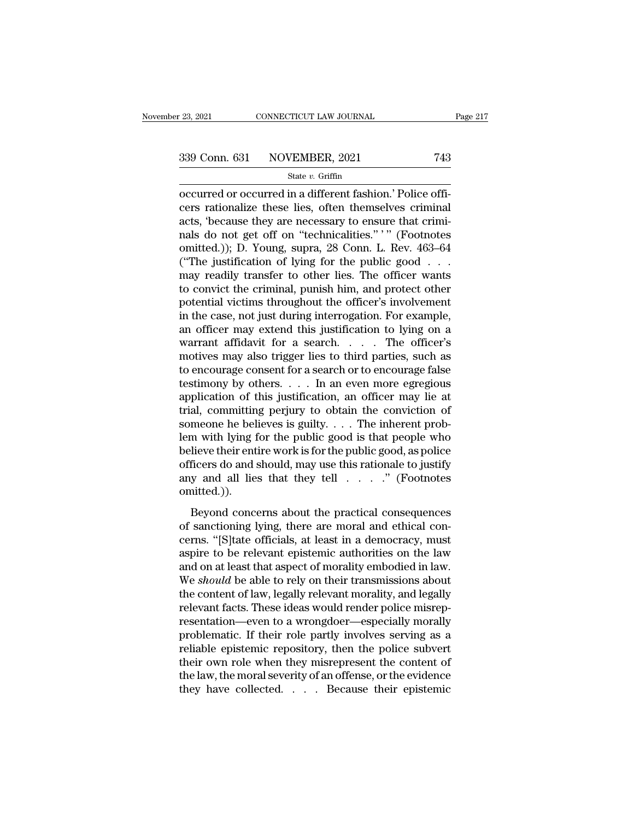<sup>23, 2021</sup> CONNECTICUT LAW JOURNAL<br>
339 Conn. 631 NOVEMBER, 2021 743<br>
<sup>21</sup> State *v*. Griffin<br>
32 Occurred or occurred in a different fashion.' Police officers rationalize these lies, often themselves criminal<br>
245 (bogay 339 Conn. 631 NOVEMBER, 2021 743<br>
state v. Griffin<br>
occurred or occurred in a different fashion.' Police officers<br>
rationalize these lies, often themselves criminal<br>
acts, 'because they are necessary to ensure that crimin 339 Conn. 631 NOVEMBER, 2021 743<br>
State v. Griffin<br>
occurred or occurred in a different fashion.' Police officers<br>
rationalize these lies, often themselves criminal<br>
acts, 'because they are necessary to ensure that crimi-339 Conn. 631 NOVEMBER, 2021 743<br>
State v. Griffin<br>
occurred or occurred in a different fashion.' Police officers<br>
rationalize these lies, often themselves criminal<br>
acts, 'because they are necessary to ensure that crimi-State v. Griffin<br>
occurred or occurred in a different fashion.' Police officers<br>
rationalize these lies, often themselves criminal<br>
acts, 'because they are necessary to ensure that crimi-<br>
ranks do not get off on "technic State v. Griffin<br>
occurred or occurred in a different fashion.' Police officers<br>
rationalize these lies, often themselves criminal<br>
acts, 'because they are necessary to ensure that crimi-<br>
nals do not get off on "technica occurred or occurred in a different fashion.' Police officers rationalize these lies, often themselves criminal<br>acts, 'because they are necessary to ensure that crimi-<br>nals do not get off on "technicalities." ' " (Footnote cers rationalize these lies, often themselves criminal<br>acts, 'because they are necessary to ensure that crimi-<br>nals do not get off on "technicalities." '" (Footnotes<br>omitted.)); D. Young, supra, 28 Conn. L. Rev. 463–64<br>("T acts, 'because they are necessary to ensure that criminals do not get off on "technicalities." '" (Footnotes omitted.)); D. Young, supra, 28 Conn. L. Rev. 463–64 ("The justification of lying for the public good . . . may r nals do not get off on "technicalities." '" (Footnotes omitted.)); D. Young, supra, 28 Conn. L. Rev. 463–64 ("The justification of lying for the public good . . . may readily transfer to other lies. The officer wants to co omitted.)); D. Young, supra, 28 Conn. L. Rev. 463–64<br>("The justification of lying for the public good . . .<br>may readily transfer to other lies. The officer wants<br>to convict the criminal, punish him, and protect other<br>poten warrant affidavit for a search. . . . The officer's may readily transfer to other lies. The officer wants<br>to convict the criminal, punish him, and protect other<br>potential victims throughout the officer's involvement<br>in the case, not just during interrogation. For example,<br>a to convict the criminal, punish him, and protect other<br>potential victims throughout the officer's involvement<br>in the case, not just during interrogation. For example,<br>an officer may extend this justification to lying on a potential victims throughout the officer's involvement<br>in the case, not just during interrogation. For example,<br>an officer may extend this justification to lying on a<br>warrant affidavit for a search. . . . The officer's<br>mot in the case, not just during interrogation. For example,<br>an officer may extend this justification to lying on a<br>warrant affidavit for a search.... The officer's<br>motives may also trigger lies to third parties, such as<br>to e an officer may extend this justification to lying on a<br>warrant affidavit for a search. . . . The officer's<br>motives may also trigger lies to third parties, such as<br>to encourage consent for a search or to encourage false<br>te warrant affidavit for a search. . . . The officer's<br>motives may also trigger lies to third parties, such as<br>to encourage consent for a search or to encourage false<br>testimony by others. . . . In an even more egregious<br>appl motives may also trigger lies to third parties, such as<br>to encourage consent for a search or to encourage false<br>testimony by others. . . . In an even more egregious<br>application of this justification, an officer may lie at to encourage consent for a search or to encourage false<br>testimony by others. . . . In an even more egregious<br>application of this justification, an officer may lie at<br>trial, committing perjury to obtain the conviction of<br>s testimony by others. . . . In an even more egregious<br>application of this justification, an officer may lie at<br>trial, committing perjury to obtain the conviction of<br>someone he believes is guilty. . . . The inherent prob-<br>l application of this justification, an officer may lie at<br>trial, committing perjury to obtain the conviction of<br>someone he believes is guilty.... The inherent prob-<br>lem with lying for the public good is that people who<br>bel omitted.)). m with lying for the public good is that people who<br>lieve their entire work is for the public good, as police<br>ficers do and should, may use this rationale to justify<br>y and all lies that they tell  $\ldots$ ." (Footnotes<br>aitted lem with lying for the public good is that people who<br>believe their entire work is for the public good, as police<br>officers do and should, may use this rationale to justify<br>any and all lies that they tell  $\ldots$ ." (Footnote

beficers do and should, may use this rationale to justify<br>any and all lies that they tell  $\ldots$ ." (Footnotes<br>omitted.)).<br>Beyond concerns about the practical consequences<br>of sanctioning lying, there are moral and ethical c any and all lies that they tell  $\ldots$ ." (Footnotes omitted.)).<br>Beyond concerns about the practical consequences<br>of sanctioning lying, there are moral and ethical con-<br>cerns. "[S]tate officials, at least in a democracy, mu and an act and  $\alpha$ ,  $\alpha$  is a consequences of sanctioning lying, there are moral and ethical concerns. "[S]tate officials, at least in a democracy, must aspire to be relevant epistemic authorities on the law and on at le Beyond concerns about the practical consequences<br>of sanctioning lying, there are moral and ethical con-<br>cerns. "[S]tate officials, at least in a democracy, must<br>aspire to be relevant epistemic authorities on the law<br>and on Beyond concerns about the practical consequences<br>of sanctioning lying, there are moral and ethical con-<br>cerns. "[S]tate officials, at least in a democracy, must<br>aspire to be relevant epistemic authorities on the law<br>and on of sanctioning lying, there are moral and ethical concerns. "[S]tate officials, at least in a democracy, must<br>aspire to be relevant epistemic authorities on the law<br>and on at least that aspect of morality embodied in law.<br> cerns. "[S]tate officials, at least in a democracy, must<br>aspire to be relevant epistemic authorities on the law<br>and on at least that aspect of morality embodied in law.<br>We *should* be able to rely on their transmissions ab aspire to be relevant epistemic authorities on the law<br>and on at least that aspect of morality embodied in law.<br>We *should* be able to rely on their transmissions about<br>the content of law, legally relevant morality, and le and on at least that aspect of morality embodied in law.<br>We *should* be able to rely on their transmissions about<br>the content of law, legally relevant morality, and legally<br>relevant facts. These ideas would render police m We *should* be able to rely on their transmissions about<br>the content of law, legally relevant morality, and legally<br>relevant facts. These ideas would render police misrep-<br>resentation—even to a wrongdoer—especially morally the content of law, legally relevant morality, and legally<br>relevant facts. These ideas would render police misrep-<br>resentation—even to a wrongdoer—especially morally<br>problematic. If their role partly involves serving as a<br> relevant facts. These ideas would render police misrep-<br>resentation—even to a wrongdoer—especially morally<br>problematic. If their role partly involves serving as a<br>reliable epistemic repository, then the police subvert<br>thei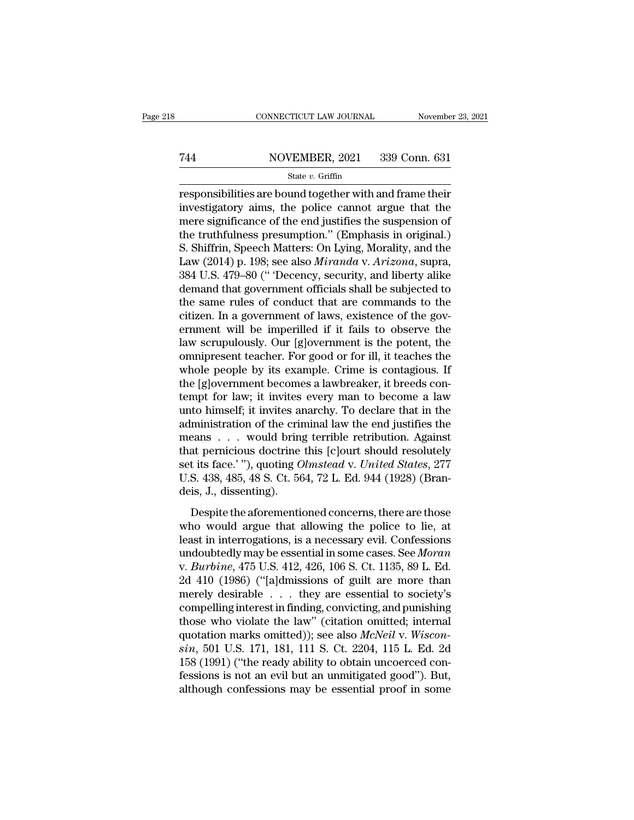# EXECUTE CONNECTICUT LAW JOURNAL Movember 23, 2021<br>
744 NOVEMBER, 2021 339 Conn. 631<br>
81 State v. Griffin

### State *v.* Griffin

 $\begin{tabular}{ll} \multicolumn{1}{l}{{\small \textbf{COMRECTICUT LAW JOURNAL}}} & \multicolumn{1}{l}{\small \textbf{November 23, 2021}}\\ \cline{1-2}{{\small \textbf{744}}} & \multicolumn{1}{l}{\small \textbf{NOVEMBER, 2021}} & \multicolumn{1}{l}{\small \textbf{339 Conn. 631}}\\ & \multicolumn{1}{l}{\small \textbf{State $v$. Griffiths} } \\ \cline{1-2}{{\small \textbf{F}}{\small \textbf{S}0}} & \multicolumn{1}{l}{\small \textbf{State $v$. Griffiths} } \\ \cline{1-2}{{\$ The means of the truth and frame their<br>
investigatory aims, the police cannot argue that the<br>
investigatory aims, the police cannot argue that the<br>
investigatory aims, the police cannot argue that the<br>
the truth places pr Text Transaction NOVEMBER, 2021 339 Conn. 631<br>
State v. Griffin<br>
responsibilities are bound together with and frame their<br>
investigatory aims, the police cannot argue that the<br>
mere significance of the end justifies the s Tasket w. Griffin<br>
State v. Griffin<br>
State v. Griffin<br>
Tresponsibilities are bound together with and frame their<br>
investigatory aims, the police cannot argue that the<br>
mere significance of the end justifies the suspension State v. Griffin<br>
State v. Griffin<br>
responsibilities are bound together with and frame their<br>
investigatory aims, the police cannot argue that the<br>
mere significance of the end justifies the suspension of<br>
the truthfulnes state *v*. Griffin<br>
responsibilities are bound together with and frame their<br>
investigatory aims, the police cannot argue that the<br>
mere significance of the end justifies the suspension of<br>
the truthfulness presumption." ( responsibilities are bound together with and frame their<br>investigatory aims, the police cannot argue that the<br>mere significance of the end justifies the suspension of<br>the truthfulness presumption." (Emphasis in original.)<br> investigatory aims, the police cannot argue that the<br>mere significance of the end justifies the suspension of<br>the truthfulness presumption." (Emphasis in original.)<br>S. Shiffrin, Speech Matters: On Lying, Morality, and the<br> mere significance of the end justifies the suspension of<br>the truthfulness presumption." (Emphasis in original.)<br>S. Shiffrin, Speech Matters: On Lying, Morality, and the<br>Law (2014) p. 198; see also *Miranda* v. *Arizona*, s the truthfulness presumption." (Emphasis in original.)<br>S. Shiffrin, Speech Matters: On Lying, Morality, and the<br>Law (2014) p. 198; see also *Miranda* v. Arizona, supra,<br>384 U.S. 479–80 (" Decency, security, and liberty ali S. Shiffrin, Speech Matters: On Lying, Morality, and the Law (2014) p. 198; see also *Miranda* v. *Arizona*, supra, 384 U.S. 479–80 (" Decency, security, and liberty alike demand that government officials shall be subjecte Law (2014) p. 198; see also *Miranda* v. *Arizona*, supra, 384 U.S. 479–80 (" Decency, security, and liberty alike demand that government officials shall be subjected to the same rules of conduct that are commands to the c 384 U.S. 479–80 (" 'Decency, security, and liberty alike<br>demand that government officials shall be subjected to<br>the same rules of conduct that are commands to the<br>citizen. In a government of laws, existence of the gov-<br>ern demand that government officials shall be subjected to<br>the same rules of conduct that are commands to the<br>citizen. In a government of laws, existence of the gov-<br>ernment will be imperilled if it fails to observe the<br>law sc the same rules of conduct that are commands to the citizen. In a government of laws, existence of the government will be imperilled if it fails to observe the law scrupulously. Our [g]overnment is the potent, the omniprese citizen. In a government of laws, existence of the government will be imperilled if it fails to observe the<br>law scrupulously. Our [g]overnment is the potent, the<br>omnipresent teacher. For good or for ill, it teaches the<br>who ernment will be imperilled if it fails to observe the<br>law scrupulously. Our [g]overnment is the potent, the<br>omnipresent teacher. For good or for ill, it teaches the<br>whole people by its example. Crime is contagious. If<br>the law scrupulously. Our [g]overnment is the potent, the omnipresent teacher. For good or for ill, it teaches the whole people by its example. Crime is contagious. If the [g]overnment becomes a lawbreaker, it breeds contempt omnipresent teacher. For good or for ill, it teaches the<br>whole people by its example. Crime is contagious. If<br>the [g]overnment becomes a lawbreaker, it breeds con-<br>tempt for law; it invites every man to become a law<br>unto whole people by its example. Crime is contagious. If<br>the [g]overnment becomes a lawbreaker, it breeds con-<br>tempt for law; it invites every man to become a law<br>unto himself; it invites anarchy. To declare that in the<br>admin the [g]overnment becomes a lawbreaker, it breeds contempt for law; it invites every man to become a law<br>unto himself; it invites anarchy. To declare that in the<br>administration of the criminal law the end justifies the<br>mean tempt for law; it invites every man to become a law<br>unto himself; it invites anarchy. To declare that in the<br>administration of the criminal law the end justifies the<br>means . . . would bring terrible retribution. Against<br>th unto himself; it invites and<br>administration of the crime<br>means . . . would bring<br>that pernicious doctrine<br>set its face.' "), quoting C<br>U.S. 438, 485, 48 S. Ct. 56<br>deis, J., dissenting).<br>Despite the aforementic France Concernsive the aforemention of the continuation of the concerns and a general concerns at pernicious doctrine this [c]ourt should resolutely t its face.'"), quoting *Olmstead v. United States*, 277 S. 438, 485, 48 that pernicious doctrine this [c]ourt should resolutely<br>set its face.'"), quoting *Olmstead* v. *United States*, 277<br>U.S. 438, 485, 48 S. Ct. 564, 72 L. Ed. 944 (1928) (Bran-<br>deis, J., dissenting).<br>Despite the aforementio

set its face.'"), quoting *Olmstead v. United States*, 277<br>U.S. 438, 485, 48 S. Ct. 564, 72 L. Ed. 944 (1928) (Bran-<br>deis, J., dissenting).<br>Despite the aforementioned concerns, there are those<br>who would argue that allowin U.S. 438, 485, 48 S. Ct. 564, 72 L. Ed. 944 (1928) (Bran-<br>deis, J., dissenting).<br>Despite the aforementioned concerns, there are those<br>who would argue that allowing the police to lie, at<br>least in interrogations, is a necess v. *Burbine*, 475 U.S. 412, 426, 106 S. Ct. 1135, 89 L. Ed. Despite the aforementioned concerns, there are those<br>who would argue that allowing the police to lie, at<br>least in interrogations, is a necessary evil. Confessions<br>undoubtedly may be essential in some cases. See *Moran*<br>v. Despite the aforementioned concerns, there are those<br>who would argue that allowing the police to lie, at<br>least in interrogations, is a necessary evil. Confessions<br>undoubtedly may be essential in some cases. See *Moran*<br>v. who would argue that allowing the police to lie, at<br>least in interrogations, is a necessary evil. Confessions<br>undoubtedly may be essential in some cases. See *Moran*<br>v. *Burbine*, 475 U.S. 412, 426, 106 S. Ct. 1135, 89 L. least in interrogations, is a necessary evil. Confessions<br>undoubtedly may be essential in some cases. See *Moran*<br>v. *Burbine*, 475 U.S. 412, 426, 106 S. Ct. 1135, 89 L. Ed.<br>2d 410 (1986) ("[a]dmissions of guilt are more undoubtedly may be essential in some cases. See *Moran*<br>v. *Burbine*, 475 U.S. 412, 426, 106 S. Ct. 1135, 89 L. Ed.<br>2d 410 (1986) ("[a]dmissions of guilt are more than<br>merely desirable . . . they are essential to society's *since, 475 U.S. 412, 426, 106 S. Ct. 1135, 89 L. Ed.* 2d *410* (1986) ("[a]dmissions of guilt are more than merely desirable . . . they are essential to society's compelling interest in finding, convicting, and punishing 2d 410 (1986) ("[a]dmissions of guilt are more than<br>merely desirable . . . they are essential to society's<br>compelling interest in finding, convicting, and punishing<br>those who violate the law" (citation omitted; internal<br>q merely desirable  $\ldots$  they are essential to society's compelling interest in finding, convicting, and punishing those who violate the law" (citation omitted; internal quotation marks omitted)); see also  $McNeil$  v.  $Wisconsim$ , 5 compelling interest in finding, convicting, and punishing<br>those who violate the law" (citation omitted; internal<br>quotation marks omitted)); see also *McNeil* v. *Wiscon-*<br>sin, 501 U.S. 171, 181, 111 S. Ct. 2204, 115 L. Ed.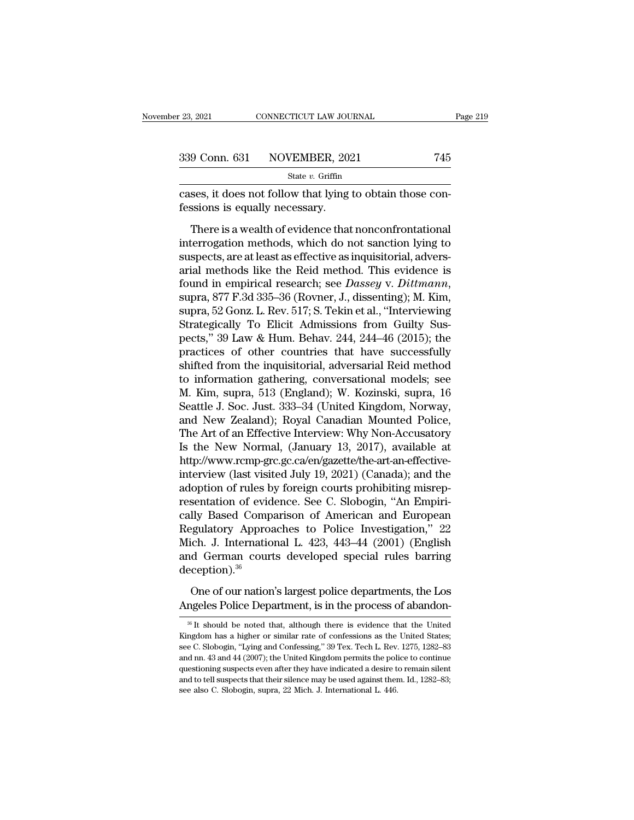| 23, 2021 | CONNECTICUT LAW JOURNAL      | Page 219 |
|----------|------------------------------|----------|
|          | 339 Conn. 631 NOVEMBER, 2021 | 745      |
|          | State $v$ . Griffin          |          |

connecticut LAW JOURNAL<br>
23, 2021 CONNECTICUT LAW JOURNAL<br>
339 Conn. 631 NOVEMBER, 2021 745<br>
31 State v. Griffin<br>
23, cases, it does not follow that lying to obtain those confessions is equally necessary.  $\begin{array}{r} \textbf{339} \text{ Conn. } \textbf{631} \text{ NOVEMBER, } \textbf{202} \text{ State } v. \textbf{ Griffith} \text{cases, it does not follow that lying} \textbf{f} \text{sessions is equally necessary.} \textbf{There is a wealth of evidence that the code of the code.} \end{array}$ 

9 Conn. 631 NOVEMBER, 2021 745<br>
State v. Griffin<br>
ses, it does not follow that lying to obtain those consisions is equally necessary.<br>
There is a wealth of evidence that nonconfrontational<br>
terrogation methods, which do n 339 Conn. 631 NOVENBER, 2021 (45)<br>
State v. Griffin<br>
Cases, it does not follow that lying to obtain those con-<br>
fessions is equally necessary.<br>
There is a wealth of evidence that nonconfrontational<br>
interrogation methods, state  $v$ . Griffin<br>
state  $v$ . Griffin<br>
state  $v$ . Griffin<br>
state  $v$ . Griffin<br>
states are at least as effective as inquisitorial, advers-<br>
state are at least as effective as inquisitorial, advers-<br>
arial methods like the cases, it does not follow that lying to obtain those confessions is equally necessary.<br>
There is a wealth of evidence that nonconfrontational<br>
interrogation methods, which do not sanction lying to<br>
suspects, are at least fessions is equally necessary.<br>
There is a wealth of evidence that nonconfrontational<br>
interrogation methods, which do not sanction lying to<br>
suspects, are at least as effective as inquisitorial, advers-<br>
arial methods lik There is a wealth of evidence that nonconfrontational<br>interrogation methods, which do not sanction lying to<br>suspects, are at least as effective as inquisitorial, advers-<br>arial methods like the Reid method. This evidence is interrogation methods, which do not sanction lying to suspects, are at least as effective as inquisitorial, adversarial methods like the Reid method. This evidence is found in empirical research; see *Dassey v. Dittmann*, suspects, are at least as effective as inquisitorial, adversarial methods like the Reid method. This evidence is<br>found in empirical research; see *Dassey* v. *Dittmann*,<br>supra, 877 F.3d 335–36 (Rovner, J., dissenting); M. arial methods like the Reid method. This evidence is<br>found in empirical research; see *Dassey* v. *Dittmann*,<br>supra, 877 F.3d 335–36 (Rovner, J., dissenting); M. Kim,<br>supra, 52 Gonz. L. Rev. 517; S. Tekin et al., "Intervie found in empirical research; see *Dassey v. Dittmann*,<br>supra, 877 F.3d 335–36 (Rovner, J., dissenting); M. Kim,<br>supra, 52 Gonz. L. Rev. 517; S. Tekin et al., "Interviewing<br>Strategically To Elicit Admissions from Guilty Su supra, 877 F.3d 335–36 (Rovner, J., dissenting); M. Kim,<br>supra, 52 Gonz. L. Rev. 517; S. Tekin et al., "Interviewing<br>Strategically To Elicit Admissions from Guilty Sus-<br>pects," 39 Law & Hum. Behav. 244, 244–46 (2015); the<br> supra, 52 Gonz. L. Rev. 517; S. Tekin et al., "Interviewing<br>Strategically To Elicit Admissions from Guilty Sus-<br>pects," 39 Law & Hum. Behav. 244, 244–46 (2015); the<br>practices of other countries that have successfully<br>shift Strategically To Elicit Admissions from Guilty Suspects," 39 Law & Hum. Behav. 244, 244–46 (2015); the practices of other countries that have successfully shifted from the inquisitorial, adversarial Reid method to informat pects," 39 Law & Hum. Behav. 244, 244–46 (2015); the<br>practices of other countries that have successfully<br>shifted from the inquisitorial, adversarial Reid method<br>to information gathering, conversational models; see<br>M. Kim, practices of other countries that have successfully<br>shifted from the inquisitorial, adversarial Reid method<br>to information gathering, conversational models; see<br>M. Kim, supra, 513 (England); W. Kozinski, supra, 16<br>Seattle shifted from the inquisitorial, adversarial Reid method<br>to information gathering, conversational models; see<br>M. Kim, supra, 513 (England); W. Kozinski, supra, 16<br>Seattle J. Soc. Just. 333–34 (United Kingdom, Norway,<br>and Ne http://www.rcmp-grc.gc.ca/en/gazette/the-art-an-effective-M. Kim, supra, 513 (England); W. Kozinski, supra, 16<br>Seattle J. Soc. Just. 333–34 (United Kingdom, Norway,<br>and New Zealand); Royal Canadian Mounted Police,<br>The Art of an Effective Interview: Why Non-Accusatory<br>Is the New N Seattle J. Soc. Just. 333–34 (United Kingdom, Norway, and New Zealand); Royal Canadian Mounted Police, The Art of an Effective Interview: Why Non-Accusatory Is the New Normal, (January 13, 2017), available at http://www.rc and New Zealand); Royal Canadian Mounted Police,<br>The Art of an Effective Interview: Why Non-Accusatory<br>Is the New Normal, (January 13, 2017), available at<br>http://www.rcmp-grc.gc.ca/en/gazette/the-art-an-effective-<br>intervie The Art of an Effective Interview: Why Non-Accusatory<br>Is the New Normal, (January 13, 2017), available at<br>http://www.rcmp-grc.gc.ca/en/gazette/the-art-an-effective-<br>interview (last visited July 19, 2021) (Canada); and the<br> Is the New Normal, (January 13, 2017), available at<br>http://www.rcmp-grc.gc.ca/en/gazette/the-art-an-effective-<br>interview (last visited July 19, 2021) (Canada); and the<br>adoption of rules by foreign courts prohibiting misrep http://www.rcmp-grc.gc.ca/en/gazette/the-art-an-effective-<br>interview (last visited July 19, 2021) (Canada); and the<br>adoption of rules by foreign courts prohibiting misrep-<br>resentation of evidence. See C. Slobogin, "An Empi interview (last visited July 19, 2021) (Canada); and the<br>adoption of rules by foreign courts prohibiting misrep-<br>resentation of evidence. See C. Slobogin, "An Empiri-<br>cally Based Comparison of American and European<br>Regulat deception).<sup>36</sup> Illy Based Comparison of American and European<br>gulatory Approaches to Police Investigation," 22<br>ich. J. International L. 423, 443–44 (2001) (English<br>d German courts developed special rules barring<br>ception).<sup>36</sup><br>One of our Example 12.1 and the process of Delice Investigation," 22 Mich. J. International L. 423, 443–44 (2001) (English and German courts developed special rules barring deception).<sup>36</sup><br>One of our nation's largest police departme

eception).<sup>36</sup><br>
36 One of our nation's largest police departments, the Los<br>
19 ngeles Police Department, is in the process of abandon-<br>
3<sup>8</sup> It should be noted that, although there is evidence that the United<br>
19 ngdom has

One of our nation's largest police departments, the Los<br>Angeles Police Department, is in the process of abandon-<br><sup>36</sup> It should be noted that, although there is evidence that the United<br>Kingdom has a higher or similar rate One of our nation's largest police departments, the Los<br>Angeles Police Department, is in the process of abandon-<br><sup>36</sup> It should be noted that, although there is evidence that the United<br>Kingdom has a higher or similar rat Angeles Police Department, is in the process of abandon-<br><sup>36</sup> It should be noted that, although there is evidence that the United Kingdom has a higher or similar rate of confessions as the United States;<br>see C. Slobogin, "  $\frac{1}{100}$  and the noted that, although there is evidence that the United Kingdom has a higher or similar rate of confessions as the United States; see C. Slobogin, "Lying and Confessing," 39 Tex. Tech L. Rev. 1275, 1282 <sup>36</sup> It should be noted that, although there is evidence that the United Kingdom has a higher or similar rate of confessions as the United States; see C. Slobogin, "Lying and Confessing," 39 Tex. Tech L. Rev. 1275, 1282–8 Kingdom has a higher or similar rate of confessions as the United States; see C. Slobogin, "Lying and Confessing," 39 Tex. Tech L. Rev. 1275, 1282–83 and nn. 43 and 44 (2007); the United Kingdom permits the police to conti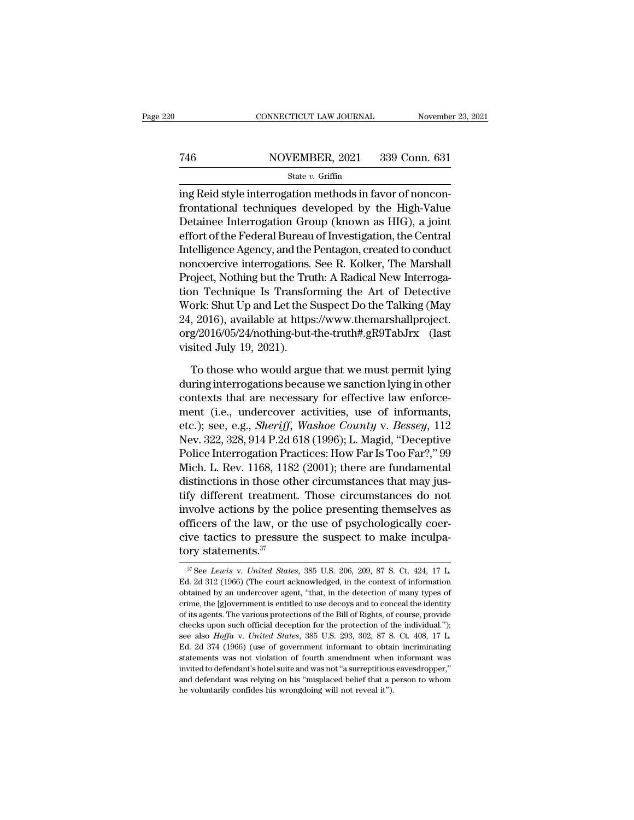## EXECUTE CONNECTICUT LAW JOURNAL Movember 23, 2021<br>
746 NOVEMBER, 2021 339 Conn. 631<br>
State v. Griffin State *v.* Griffin

### CONNECTICUT LAW JOURNAL November<br>
T46 NOVEMBER, 2021 339 Conn. 631<br>
State v. Griffin<br>
ing Reid style interrogation methods in favor of noncon-<br>
frontational techniques developed by the High-Value From Table 1 and the NOVEMBER, 2021 and 239 Conn. 631<br>
State v. Griffin<br>
ing Reid style interrogation methods in favor of noncon-<br>
frontational techniques developed by the High-Value<br>
Detainee Interrogation Group (known a T46 NOVEMBER, 2021 339 Conn. 631<br>
State v. Griffin<br>
ing Reid style interrogation methods in favor of nonconfrontational techniques developed by the High-Value<br>
Detainee Interrogation Group (known as HIG), a joint<br>
effort Family 1986 MOVEMBER, 2021 339 Conn. 631<br>
State v. Griffin<br>
ing Reid style interrogation methods in favor of noncon-<br>
frontational techniques developed by the High-Value<br>
Detainee Interrogation Group (known as HIG), a joi State v. Griffin<br>
ing Reid style interrogation methods in favor of noncon-<br>
frontational techniques developed by the High-Value<br>
Detainee Interrogation Group (known as HIG), a joint<br>
effort of the Federal Bureau of Invest state *i*. Guilar<br>ing Reid style interrogation methods in favor of noncon-<br>frontational techniques developed by the High-Value<br>Detainee Interrogation Group (known as HIG), a joint<br>effort of the Federal Bureau of Investigat ing Reid style interrogation methods in favor of noncon-<br>frontational techniques developed by the High-Value<br>Detainee Interrogation Group (known as HIG), a joint<br>effort of the Federal Bureau of Investigation, the Central<br>I frontational techniques developed by the High-Value<br>Detainee Interrogation Group (known as HIG), a joint<br>effort of the Federal Bureau of Investigation, the Central<br>Intelligence Agency, and the Pentagon, created to conduct<br> Detainee Interrogation Group (known as HIG), a joint<br>effort of the Federal Bureau of Investigation, the Central<br>Intelligence Agency, and the Pentagon, created to conduct<br>noncoercive interrogations. See R. Kolker, The Marsh effort of the Federal Bureau of Investigation, the Central<br>Intelligence Agency, and the Pentagon, created to conduct<br>noncoercive interrogations. See R. Kolker, The Marshall<br>Project, Nothing but the Truth: A Radical New Int Intelligence Agency, and the Pentagon, created to conduct<br>noncoercive interrogations. See R. Kolker, The Marshall<br>Project, Nothing but the Truth: A Radical New Interroga-<br>tion Technique Is Transforming the Art of Detective noncoercive interrogations.<br>Project, Nothing but the Tru<br>tion Technique Is Transfo<br>Work: Shut Up and Let the S<br>24, 2016), available at https<br>org/2016/05/24/nothing-but-<br>visited July 19, 2021).<br>To those who would argu or Technique Is Transforming the Art of Detective<br>ork: Shut Up and Let the Suspect Do the Talking (May<br>, 2016), available at https://www.themarshallproject.<br>g/2016/05/24/nothing-but-the-truth#.gR9TabJrx (last<br>sited July 19 Work: Shut Up and Let the Suspect Do the Talking (May 24, 2016), available at https://www.themarshallproject.<br>org/2016/05/24/nothing-but-the-truth#.gR9TabJrx (last<br>visited July 19, 2021).<br>To those who would argue that we m

24, 2016), available at https://www.themarshallproject.<br>
org/2016/05/24/nothing-but-the-truth#.gR9TabJrx (last<br>
visited July 19, 2021).<br>
To those who would argue that we must permit lying<br>
during interrogations because we org/2016/05/24/nothing-but-the-truth#.gR9TabJrx (last<br>visited July 19, 2021).<br>To those who would argue that we must permit lying<br>during interrogations because we sanction lying in other<br>contexts that are necessary for effe visited July 19, 2021).<br>To those who would argue that we must permit lying<br>during interrogations because we sanction lying in other<br>contexts that are necessary for effective law enforce-<br>ment (i.e., undercover activities, To those who would argue that we must permit lying<br>during interrogations because we sanction lying in other<br>contexts that are necessary for effective law enforce-<br>ment (i.e., undercover activities, use of informants,<br>etc.) To those who would argue that we must permit lying<br>during interrogations because we sanction lying in other<br>contexts that are necessary for effective law enforce-<br>ment (i.e., undercover activities, use of informants,<br>etc.) during interrogations because we sanction lying in other<br>contexts that are necessary for effective law enforce-<br>ment (i.e., undercover activities, use of informants,<br>etc.); see, e.g., *Sheriff*, *Washoe County v. Bessey*, contexts that are necessary for effective law enforce-<br>ment (i.e., undercover activities, use of informants,<br>etc.); see, e.g., *Sheriff*, *Washoe County* v. *Bessey*, 112<br>Nev. 322, 328, 914 P.2d 618 (1996); L. Magid, "Dece ment (i.e., undercover activities, use of informants,<br>etc.); see, e.g., *Sheriff*, *Washoe County* v. *Bessey*, 112<br>Nev. 322, 328, 914 P.2d 618 (1996); L. Magid, "Deceptive<br>Police Interrogation Practices: How Far Is Too Fa etc.); see, e.g., *Sheriff*, *Washoe County v. Bessey*, 112<br>Nev. 322, 328, 914 P.2d 618 (1996); L. Magid, "Deceptive<br>Police Interrogation Practices: How Far Is Too Far?," 99<br>Mich. L. Rev. 1168, 1182 (2001); there are funda Nev. 322, 328, 914 P.2d 618 (1996); L. Magid, "Deceptive<br>Police Interrogation Practices: How Far Is Too Far?," 99<br>Mich. L. Rev. 1168, 1182 (2001); there are fundamental<br>distinctions in those other circumstances that may ju Police Interrogation Practices: How Far Is Too Far?," 99<br>Mich. L. Rev. 1168, 1182 (2001); there are fundamental<br>distinctions in those other circumstances that may jus-<br>tify different treatment. Those circumstances do not<br> Mich. L. Rev. 1168, 1182<br>distinctions in those other<br>tify different treatment<br>involve actions by the p<br>officers of the law, or tl<br>cive tactics to pressure<br>tory statements.<sup>37</sup> involve actions by the police presenting themselves as officers of the law, or the use of psychologically coercive tactics to pressure the suspect to make inculpatory statements.<sup>37</sup><br>
<sup>37</sup> See *Lewis* v. *United States*, 3 officers of the law, or the use of psychologically coercive tactics to pressure the suspect to make inculpatory statements.<sup>37</sup><br> $\frac{\pi}{8}$  See *Lewis v. United States*, 385 U.S. 206, 209, 87 S. Ct. 424, 17 L.<br>Ed. 2d 312 (1

cive tactics to pressure the suspect to make inculpa-<br>tory statements.<sup>37</sup><br> $\pi$  See Lewis v. United States, 385 U.S. 206, 209, 87 S. Ct. 424, 17 L.<br>Ed. 2d 312 (1966) (The court acknowledged, in the context of information<br> tory statements.<sup>37</sup><br>
<sup>37</sup> See Lewis v. United States, 385 U.S. 206, 209, 87 S. Ct. 424, 17 L.<br>
Ed. 2d 312 (1966) (The court acknowledged, in the context of information<br>
obtained by an undercover agent, "that, in the dete of  $\frac{\pi}{8}$  See Lewis v. United States, 385 U.S. 206, 209, 87 S. Ct. 424, 17 L.<br>Ed. 2d 312 (1966) (The court acknowledged, in the context of information<br>obtained by an undercover agent, "that, in the detection of many ty <sup>37</sup> See *Lewis* v. *United States*, 385 U.S. 206, 209, 87 S. Ct. 424, 17 L. Ed. 2d 312 (1966) (The court acknowledged, in the context of information obtained by an undercover agent, "that, in the detection of many types Ed. 2d 312 (1966) (The court acknowledged, in the context of information obtained by an undercover agent, "that, in the detection of many types of crime, the [g]overnment is entitled to use decoys and to conceal the ident Constant of the distance of the Bill of Rights, of course, the detection of many types of crime, the [g]overnment is entitled to use decoys and to conceal the identity of its agents. The various protections of the Bill of crime, the [g]<br>overnment is entitled to use decoys and to conceal the identity of its agents. The various protections of the Bill of Rights, of course, provide checks upon such official deception for the protection of the of its agents. The various protections of the Bill of Rights, of course, provide checks upon such official deception for the protection of the individual."); see also *Hoffa* v. *United States*, 385 U.S. 293, 302, 87 S. C checks upon such official deception for the protection of the individual.");<br>checks upon such official deception for the protection of the individual.");<br>Ed. 2d 374 (1966) (use of government informant to obtain incriminat Ed. 2d 374 (1966) (use of government informant to obtain incriminating